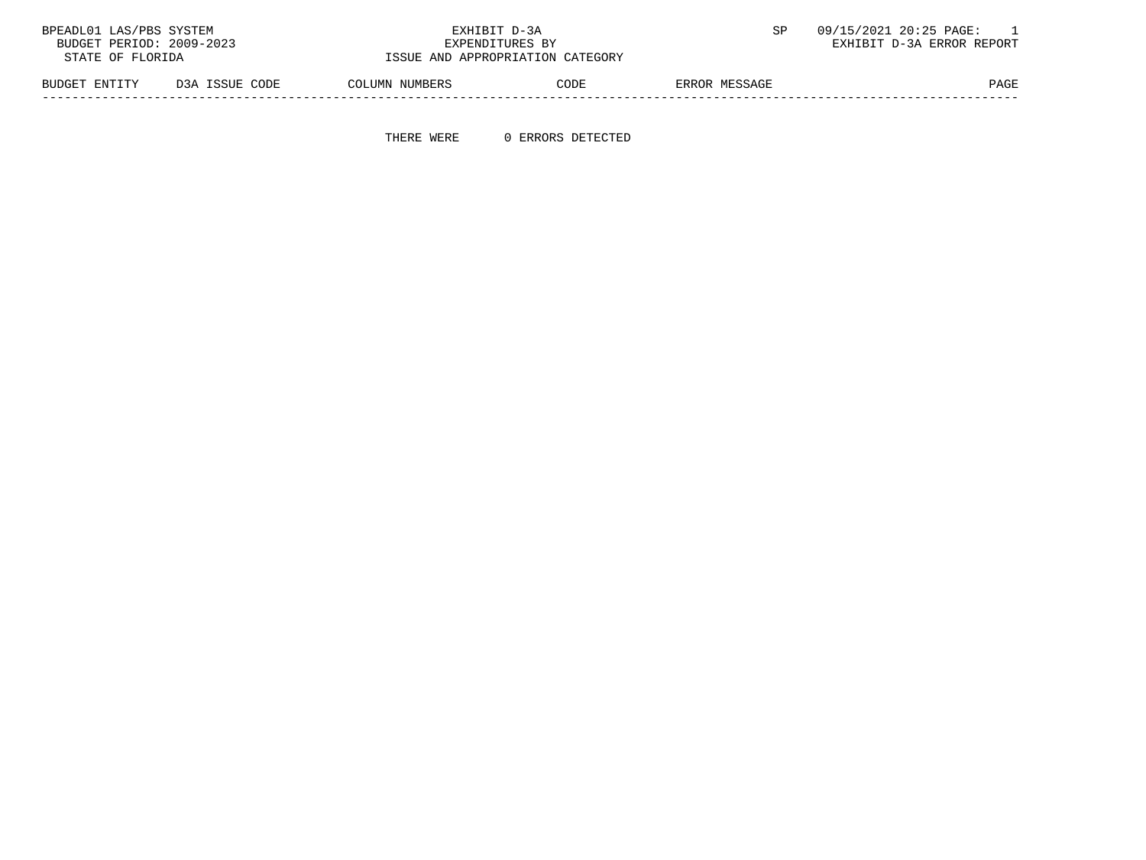| BPEADL01 LAS/PBS SYSTEM  |                | EXHIBIT D-3A                     |      |               | 09/15/2021 20:25 PAGE:    |
|--------------------------|----------------|----------------------------------|------|---------------|---------------------------|
| BUDGET PERIOD: 2009-2023 |                | EXPENDITURES BY                  |      |               | EXHIBIT D-3A ERROR REPORT |
| STATE OF FLORIDA         |                | ISSUE AND APPROPRIATION CATEGORY |      |               |                           |
| BUDGET ENTITY            | D3A ISSUE CODE | COLUMN NUMBERS                   | CODE | ERROR MESSAGE | PAGE                      |

-----------------------------------------------------------------------------------------------------------------------------------

THERE WERE 0 ERRORS DETECTED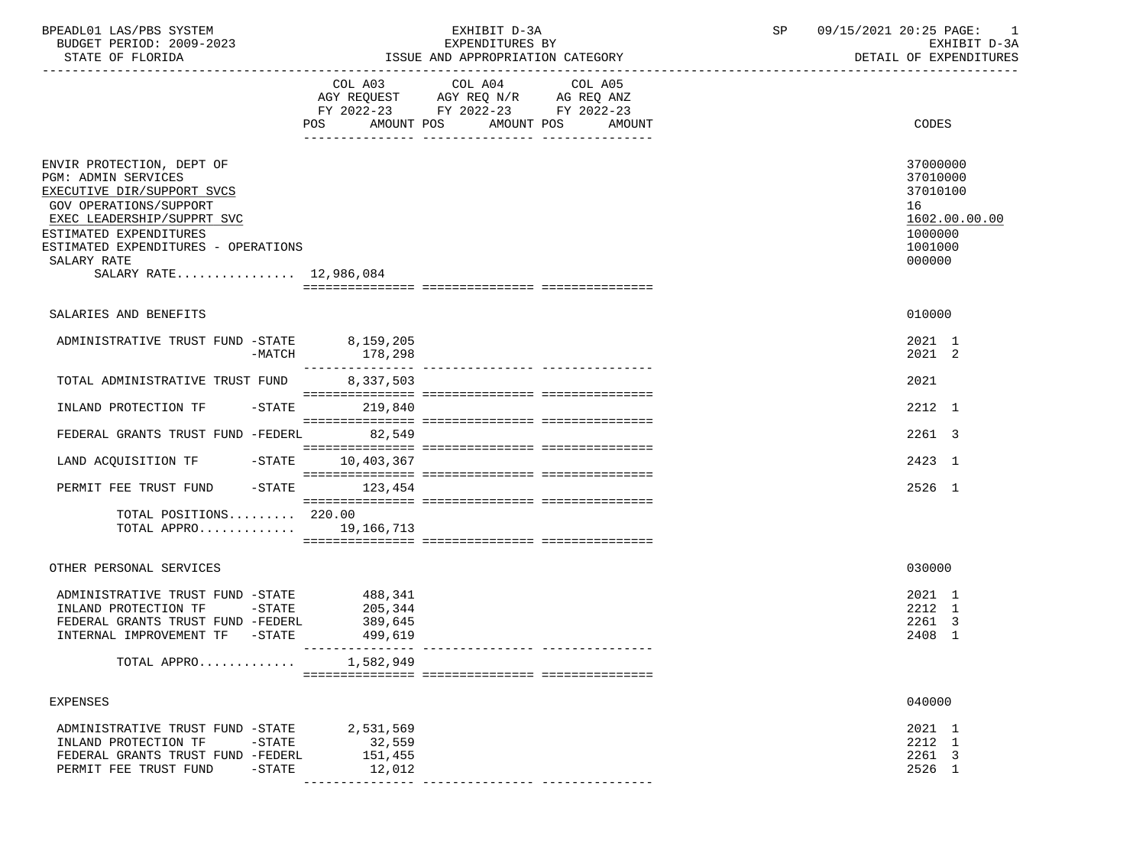| BPEADL01 LAS/PBS SYSTEM<br>BUDGET PERIOD: 2009-2023<br>STATE OF FLORIDA                                                                                                                                                                                        |                                                       | EXHIBIT D-3A<br>EXPENDITURES BY<br>ISSUE AND APPROPRIATION CATEGORY                                                                  | SP | 09/15/2021 20:25 PAGE: 1<br>EXHIBIT D-3A<br>DETAIL OF EXPENDITURES                      |
|----------------------------------------------------------------------------------------------------------------------------------------------------------------------------------------------------------------------------------------------------------------|-------------------------------------------------------|--------------------------------------------------------------------------------------------------------------------------------------|----|-----------------------------------------------------------------------------------------|
|                                                                                                                                                                                                                                                                | POS                                                   | COL A03 COL A04 COL A05<br>AGY REQUEST AGY REQ N/R AG REQ ANZ<br>FY 2022-23 FY 2022-23 FY 2022-23<br>AMOUNT POS AMOUNT POS<br>AMOUNT |    | CODES                                                                                   |
| ENVIR PROTECTION, DEPT OF<br><b>PGM: ADMIN SERVICES</b><br>EXECUTIVE DIR/SUPPORT SVCS<br><b>GOV OPERATIONS/SUPPORT</b><br>EXEC LEADERSHIP/SUPPRT SVC<br>ESTIMATED EXPENDITURES<br>ESTIMATED EXPENDITURES - OPERATIONS<br>SALARY RATE<br>SALARY RATE 12,986,084 |                                                       |                                                                                                                                      |    | 37000000<br>37010000<br>37010100<br>16<br>1602.00.00.00<br>1000000<br>1001000<br>000000 |
| SALARIES AND BENEFITS                                                                                                                                                                                                                                          |                                                       |                                                                                                                                      |    | 010000                                                                                  |
| ADMINISTRATIVE TRUST FUND -STATE 8,159,205<br>-MATCH                                                                                                                                                                                                           | 178,298                                               |                                                                                                                                      |    | 2021 1<br>2021 2                                                                        |
| TOTAL ADMINISTRATIVE TRUST FUND                                                                                                                                                                                                                                | 8,337,503                                             |                                                                                                                                      |    | 2021                                                                                    |
| INLAND PROTECTION TF -STATE 219,840                                                                                                                                                                                                                            |                                                       |                                                                                                                                      |    | 2212 1                                                                                  |
| FEDERAL GRANTS TRUST FUND -FEDERL 82,549                                                                                                                                                                                                                       |                                                       |                                                                                                                                      |    | 2261 3                                                                                  |
| LAND ACQUISITION TF -STATE 10,403,367                                                                                                                                                                                                                          |                                                       |                                                                                                                                      |    | 2423 1                                                                                  |
| PERMIT FEE TRUST FUND -STATE 123,454                                                                                                                                                                                                                           |                                                       |                                                                                                                                      |    | 2526 1                                                                                  |
| TOTAL POSITIONS 220.00<br>TOTAL APPRO 19,166,713                                                                                                                                                                                                               |                                                       |                                                                                                                                      |    |                                                                                         |
| OTHER PERSONAL SERVICES                                                                                                                                                                                                                                        |                                                       |                                                                                                                                      |    | 030000                                                                                  |
| ADMINISTRATIVE TRUST FUND -STATE<br>$-$ STATE<br>INLAND PROTECTION TF<br>FEDERAL GRANTS TRUST FUND -FEDERL<br>INTERNAL IMPROVEMENT TF -STATE<br>$TOTAL$ $APPRO$                                                                                                | 488,341<br>205,344<br>389,645<br>499,619<br>1,582,949 |                                                                                                                                      |    | 2021 1<br>2212 1<br>2261 3<br>2408 1                                                    |
| EXPENSES                                                                                                                                                                                                                                                       |                                                       |                                                                                                                                      |    | 040000                                                                                  |
| ADMINISTRATIVE TRUST FUND -STATE<br>INLAND PROTECTION TF<br>-STATE<br>FEDERAL GRANTS TRUST FUND -FEDERL<br>PERMIT FEE TRUST FUND<br>$-$ STATE                                                                                                                  | 2,531,569<br>32,559<br>151,455<br>12,012              |                                                                                                                                      |    | 2021 1<br>2212 1<br>2261 3<br>2526 1                                                    |

--------------- --------------- ---------------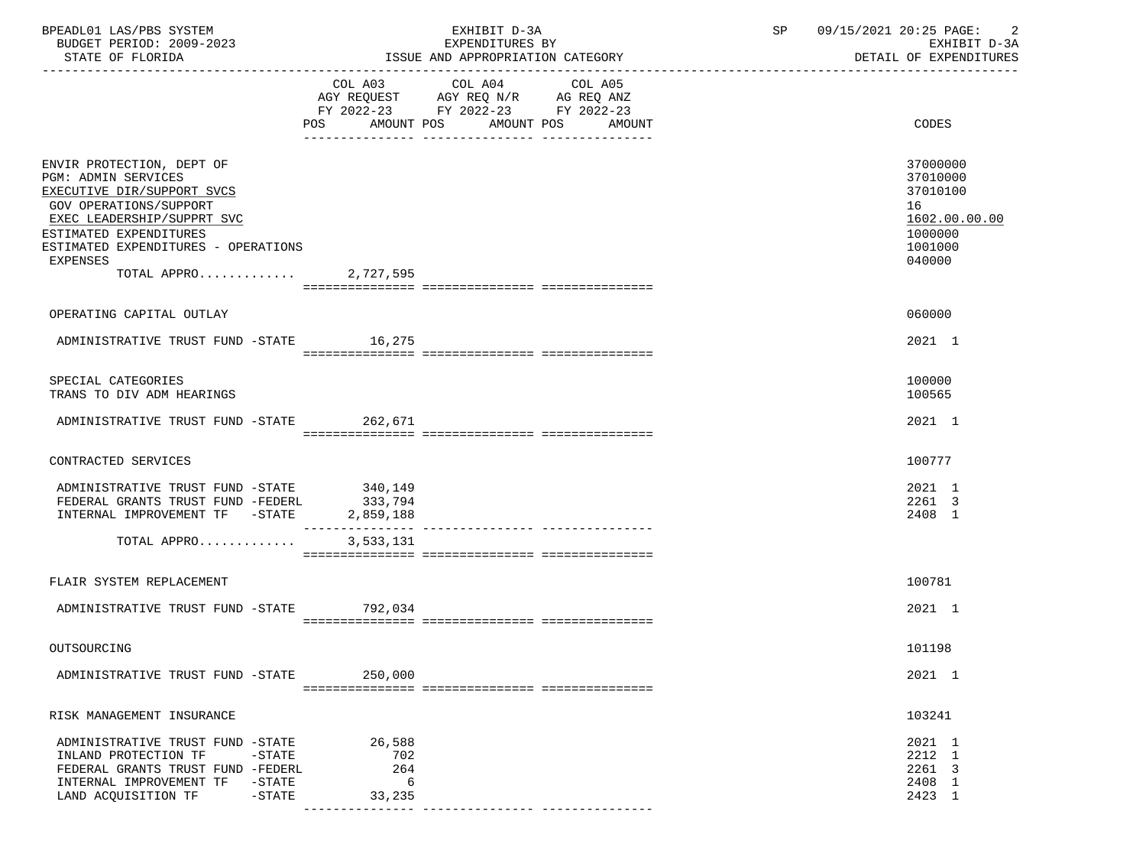| BPEADL01 LAS/PBS SYSTEM<br>BUDGET PERIOD: 2009-2023                                                                                                                                                                                                 |                                                                                                                                       | EXHIBIT D-3A<br>EXPENDITURES BY | SP 09/15/2021 20:25 PAGE: 2<br>EXHIBIT D-3A |                                                                                         |
|-----------------------------------------------------------------------------------------------------------------------------------------------------------------------------------------------------------------------------------------------------|---------------------------------------------------------------------------------------------------------------------------------------|---------------------------------|---------------------------------------------|-----------------------------------------------------------------------------------------|
| STATE OF FLORIDA                                                                                                                                                                                                                                    | ISSUE AND APPROPRIATION CATEGORY                                                                                                      |                                 | DETAIL OF EXPENDITURES                      |                                                                                         |
|                                                                                                                                                                                                                                                     | COL A03 COL A04 COL A05<br>AGY REQUEST AGY REQ N/R AG REQ ANZ<br>FY 2022-23 FY 2022-23 FY 2022-23<br>POS AMOUNT POS AMOUNT POS AMOUNT |                                 |                                             | CODES                                                                                   |
| ENVIR PROTECTION, DEPT OF<br><b>PGM: ADMIN SERVICES</b><br>EXECUTIVE DIR/SUPPORT SVCS<br>GOV OPERATIONS/SUPPORT<br>EXEC LEADERSHIP/SUPPRT SVC<br>ESTIMATED EXPENDITURES<br>ESTIMATED EXPENDITURES - OPERATIONS<br>EXPENSES<br>TOTAL APPRO 2,727,595 |                                                                                                                                       |                                 |                                             | 37000000<br>37010000<br>37010100<br>16<br>1602.00.00.00<br>1000000<br>1001000<br>040000 |
| OPERATING CAPITAL OUTLAY                                                                                                                                                                                                                            |                                                                                                                                       |                                 |                                             | 060000                                                                                  |
| ADMINISTRATIVE TRUST FUND -STATE 16,275                                                                                                                                                                                                             |                                                                                                                                       |                                 |                                             | 2021 1                                                                                  |
| SPECIAL CATEGORIES<br>TRANS TO DIV ADM HEARINGS                                                                                                                                                                                                     |                                                                                                                                       |                                 |                                             | 100000<br>100565                                                                        |
| ADMINISTRATIVE TRUST FUND -STATE 262,671                                                                                                                                                                                                            |                                                                                                                                       |                                 |                                             | 2021 1                                                                                  |
| CONTRACTED SERVICES                                                                                                                                                                                                                                 |                                                                                                                                       |                                 |                                             | 100777                                                                                  |
| ADMINISTRATIVE TRUST FUND -STATE 340,149<br>FEDERAL GRANTS TRUST FUND -FEDERL 333,794                                                                                                                                                               |                                                                                                                                       |                                 |                                             | 2021 1<br>2261 3<br>2408 1                                                              |
| TOTAL APPRO                                                                                                                                                                                                                                         | 3,533,131                                                                                                                             |                                 |                                             |                                                                                         |
| FLAIR SYSTEM REPLACEMENT                                                                                                                                                                                                                            |                                                                                                                                       |                                 |                                             | 100781                                                                                  |
| ADMINISTRATIVE TRUST FUND -STATE 792,034                                                                                                                                                                                                            |                                                                                                                                       |                                 |                                             | 2021 1                                                                                  |
| OUTSOURCING                                                                                                                                                                                                                                         |                                                                                                                                       |                                 |                                             | 101198                                                                                  |
| ADMINISTRATIVE TRUST FUND -STATE                                                                                                                                                                                                                    | 250,000                                                                                                                               |                                 |                                             | 2021 1                                                                                  |
| RISK MANAGEMENT INSURANCE                                                                                                                                                                                                                           |                                                                                                                                       |                                 |                                             | 103241                                                                                  |
| ADMINISTRATIVE TRUST FUND -STATE<br>INLAND PROTECTION TF<br>$-$ STATE<br>FEDERAL GRANTS TRUST FUND -FEDERL<br>INTERNAL IMPROVEMENT TF<br>$-$ STATE<br>LAND ACQUISITION TF<br>$-$ STATE                                                              | 26,588<br>702<br>264<br>6<br>33,235                                                                                                   |                                 |                                             | 2021 1<br>2212 1<br>2261 3<br>2408 1<br>2423 1                                          |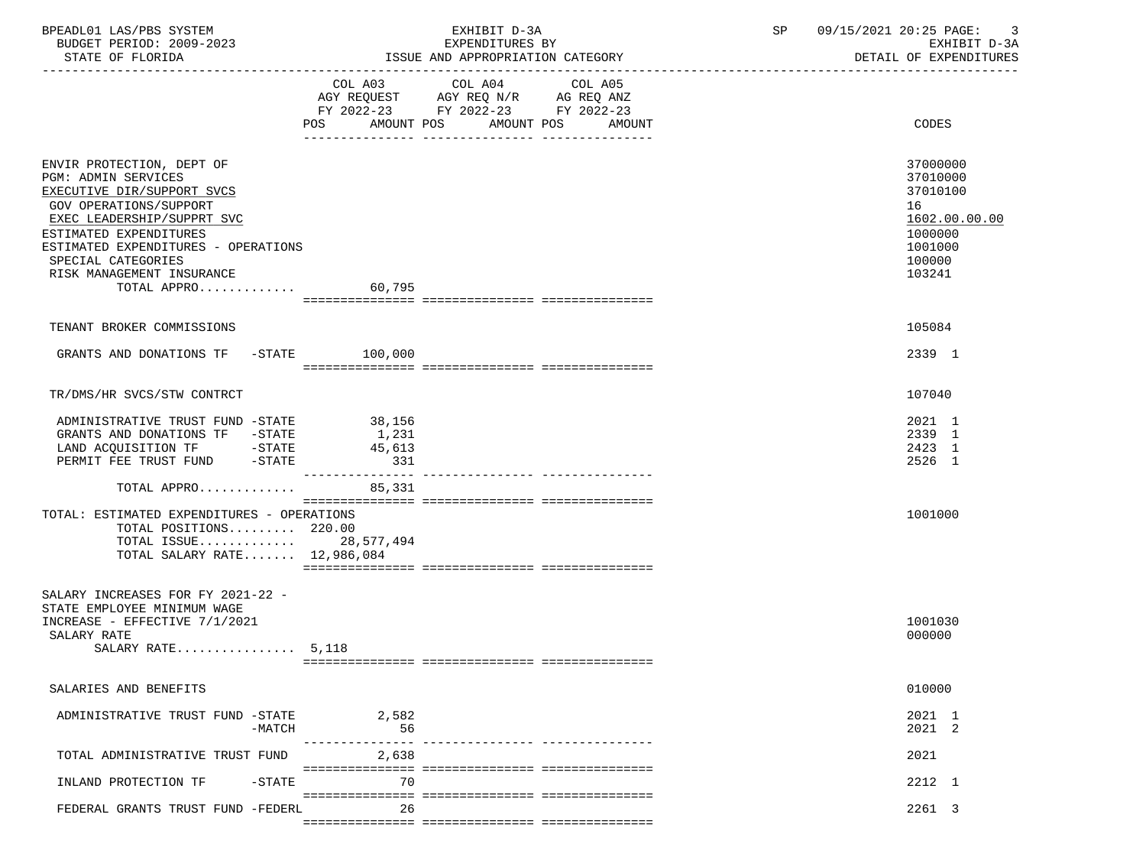| BPEADL01 LAS/PBS SYSTEM<br>BUDGET PERIOD: 2009-2023<br>STATE OF FLORIDA                                                                                                                                                                                                            |                                              | EXHIBIT D-3A<br>EXPENDITURES BY<br>ISSUE AND APPROPRIATION CATEGORY                         | SP | 09/15/2021 20:25 PAGE: 3<br>EXHIBIT D-3A<br>DETAIL OF EXPENDITURES                                |
|------------------------------------------------------------------------------------------------------------------------------------------------------------------------------------------------------------------------------------------------------------------------------------|----------------------------------------------|---------------------------------------------------------------------------------------------|----|---------------------------------------------------------------------------------------------------|
|                                                                                                                                                                                                                                                                                    | COL A03 COL A04<br>POS AMOUNT POS AMOUNT POS | COL A05<br>AGY REQUEST AGY REQ N/R AG REQ ANZ<br>FY 2022-23 FY 2022-23 FY 2022-23<br>AMOUNT |    | CODES                                                                                             |
| ENVIR PROTECTION, DEPT OF<br>PGM: ADMIN SERVICES<br>EXECUTIVE DIR/SUPPORT SVCS<br>GOV OPERATIONS/SUPPORT<br>EXEC LEADERSHIP/SUPPRT SVC<br>ESTIMATED EXPENDITURES<br>ESTIMATED EXPENDITURES - OPERATIONS<br>SPECIAL CATEGORIES<br>RISK MANAGEMENT INSURANCE<br>TOTAL APPRO $60,795$ |                                              |                                                                                             |    | 37000000<br>37010000<br>37010100<br>16<br>1602.00.00.00<br>1000000<br>1001000<br>100000<br>103241 |
| TENANT BROKER COMMISSIONS                                                                                                                                                                                                                                                          |                                              |                                                                                             |    | 105084                                                                                            |
| GRANTS AND DONATIONS TF -STATE 100,000                                                                                                                                                                                                                                             |                                              |                                                                                             |    | 2339 1                                                                                            |
| TR/DMS/HR SVCS/STW CONTRCT                                                                                                                                                                                                                                                         |                                              |                                                                                             |    | 107040                                                                                            |
| ADMINISTRATIVE TRUST FUND -STATE 38,156<br>GRANTS AND DONATIONS TF -STATE<br>LAND ACQUISITION TF - STATE<br>PERMIT FEE TRUST FUND - STATE                                                                                                                                          | 1,231<br>45,613<br>331                       |                                                                                             |    | 2021 1<br>2339 1<br>2423 1<br>2526 1                                                              |
| TOTAL APPRO 85,331                                                                                                                                                                                                                                                                 |                                              |                                                                                             |    |                                                                                                   |
| TOTAL: ESTIMATED EXPENDITURES - OPERATIONS<br>TOTAL POSITIONS 220.00<br>TOTAL ISSUE 28,577,494<br>TOTAL SALARY RATE 12,986,084                                                                                                                                                     |                                              |                                                                                             |    | 1001000                                                                                           |
| SALARY INCREASES FOR FY 2021-22 -<br>STATE EMPLOYEE MINIMUM WAGE<br>INCREASE - EFFECTIVE 7/1/2021<br>SALARY RATE<br>SALARY RATE $5,118$                                                                                                                                            |                                              |                                                                                             |    | 1001030<br>000000                                                                                 |
| SALARIES AND BENEFITS                                                                                                                                                                                                                                                              |                                              |                                                                                             |    | 010000                                                                                            |
| ADMINISTRATIVE TRUST FUND -STATE<br>-MATCH                                                                                                                                                                                                                                         | 2,582<br>56<br>---------------               |                                                                                             |    | 2021 1<br>2021 2                                                                                  |
| TOTAL ADMINISTRATIVE TRUST FUND                                                                                                                                                                                                                                                    | 2,638                                        |                                                                                             |    | 2021                                                                                              |
| INLAND PROTECTION TF<br>-STATE                                                                                                                                                                                                                                                     | 70                                           |                                                                                             |    | 2212 1                                                                                            |
| FEDERAL GRANTS TRUST FUND -FEDERL                                                                                                                                                                                                                                                  | 26                                           |                                                                                             |    | 2261 3                                                                                            |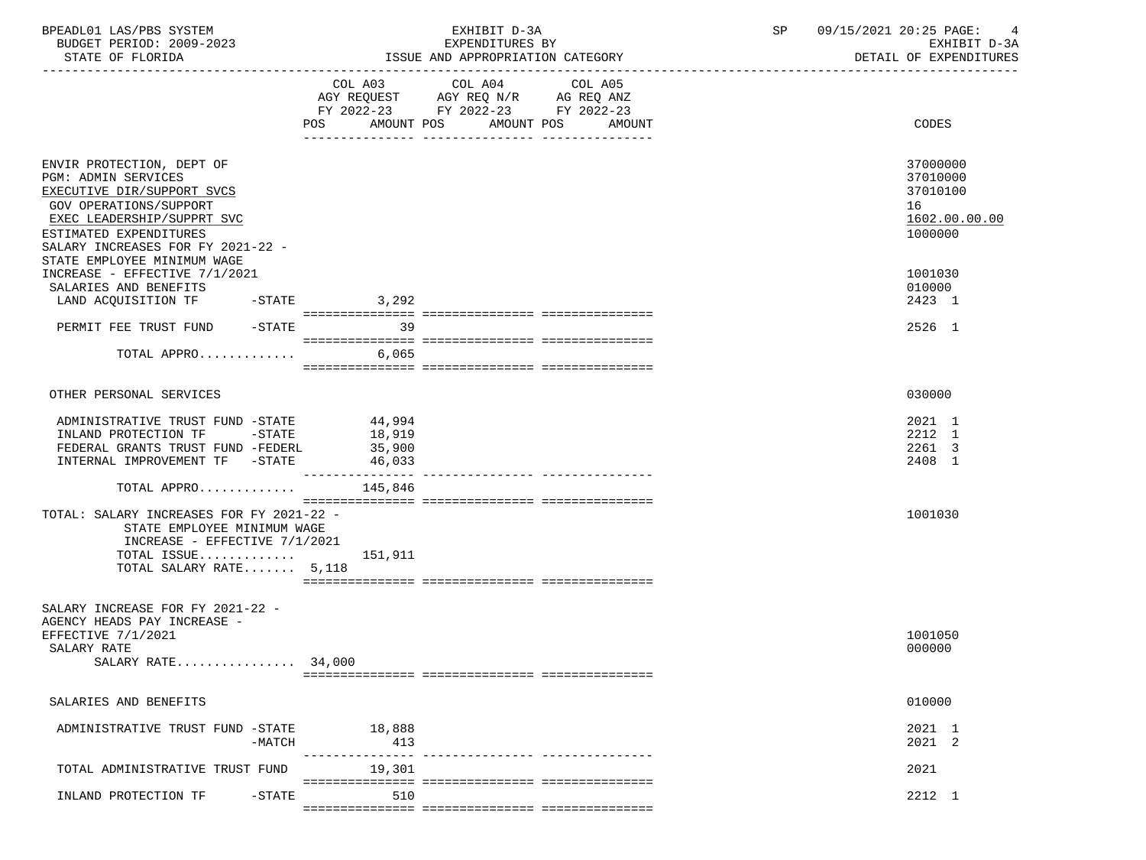| BPEADL01 LAS/PBS SYSTEM<br>BUDGET PERIOD: 2009-2023                                                                                                                                                                                                                          |                            | EXHIBIT D-3A<br>EXPENDITURES BY                                                                                                          | 09/15/2021 20:25 PAGE:<br>SP<br>EXHIBIT D-3A                                  |
|------------------------------------------------------------------------------------------------------------------------------------------------------------------------------------------------------------------------------------------------------------------------------|----------------------------|------------------------------------------------------------------------------------------------------------------------------------------|-------------------------------------------------------------------------------|
| STATE OF FLORIDA                                                                                                                                                                                                                                                             |                            | ISSUE AND APPROPRIATION CATEGORY                                                                                                         | DETAIL OF EXPENDITURES                                                        |
|                                                                                                                                                                                                                                                                              |                            | COL A03 COL A04<br>COL A05<br>AGY REQUEST AGY REQ N/R AG REQ ANZ<br>FY 2022-23 FY 2022-23 FY 2022-23<br>POS AMOUNT POS AMOUNT POS AMOUNT | CODES                                                                         |
| ENVIR PROTECTION, DEPT OF<br><b>PGM: ADMIN SERVICES</b><br>EXECUTIVE DIR/SUPPORT SVCS<br>GOV OPERATIONS/SUPPORT<br>EXEC LEADERSHIP/SUPPRT SVC<br>ESTIMATED EXPENDITURES<br>SALARY INCREASES FOR FY 2021-22 -<br>STATE EMPLOYEE MINIMUM WAGE<br>INCREASE - EFFECTIVE 7/1/2021 |                            |                                                                                                                                          | 37000000<br>37010000<br>37010100<br>16<br>1602.00.00.00<br>1000000<br>1001030 |
| SALARIES AND BENEFITS                                                                                                                                                                                                                                                        |                            |                                                                                                                                          | 010000                                                                        |
| LAND ACQUISITION TF -STATE 3,292                                                                                                                                                                                                                                             |                            |                                                                                                                                          | 2423 1                                                                        |
|                                                                                                                                                                                                                                                                              |                            |                                                                                                                                          |                                                                               |
| PERMIT FEE TRUST FUND -STATE<br>TOTAL APPRO $6,065$                                                                                                                                                                                                                          | 39                         |                                                                                                                                          | 2526 1                                                                        |
|                                                                                                                                                                                                                                                                              |                            |                                                                                                                                          |                                                                               |
| OTHER PERSONAL SERVICES                                                                                                                                                                                                                                                      |                            |                                                                                                                                          | 030000                                                                        |
| ADMINISTRATIVE TRUST FUND -STATE 44,994<br>$-STATE$<br>INLAND PROTECTION TF<br>FEDERAL GRANTS TRUST FUND -FEDERL<br>INTERNAL IMPROVEMENT TF -STATE                                                                                                                           | 18,919<br>35,900<br>46,033 |                                                                                                                                          | 2021 1<br>2212 1<br>2261 3<br>2408 1                                          |
| TOTAL APPRO                                                                                                                                                                                                                                                                  | 145,846                    |                                                                                                                                          |                                                                               |
| TOTAL: SALARY INCREASES FOR FY 2021-22 -<br>STATE EMPLOYEE MINIMUM WAGE<br>INCREASE - EFFECTIVE 7/1/2021<br>TOTAL ISSUE $151,911$<br>TOTAL SALARY RATE 5,118                                                                                                                 |                            |                                                                                                                                          | 1001030                                                                       |
|                                                                                                                                                                                                                                                                              |                            |                                                                                                                                          |                                                                               |
| SALARY INCREASE FOR FY 2021-22 -<br>AGENCY HEADS PAY INCREASE -<br>EFFECTIVE 7/1/2021<br>SALARY RATE<br>SALARY RATE 34,000                                                                                                                                                   |                            |                                                                                                                                          | 1001050<br>000000                                                             |
| SALARIES AND BENEFITS                                                                                                                                                                                                                                                        |                            |                                                                                                                                          | 010000                                                                        |
| ADMINISTRATIVE TRUST FUND -STATE<br>$-MATCH$                                                                                                                                                                                                                                 | 18,888<br>413              |                                                                                                                                          | 2021 1<br>2021 2                                                              |
| TOTAL ADMINISTRATIVE TRUST FUND                                                                                                                                                                                                                                              | 19,301                     | ---------------- ----------------                                                                                                        | 2021                                                                          |
| INLAND PROTECTION TF<br>$-STATE$                                                                                                                                                                                                                                             | 510                        |                                                                                                                                          | 2212 1                                                                        |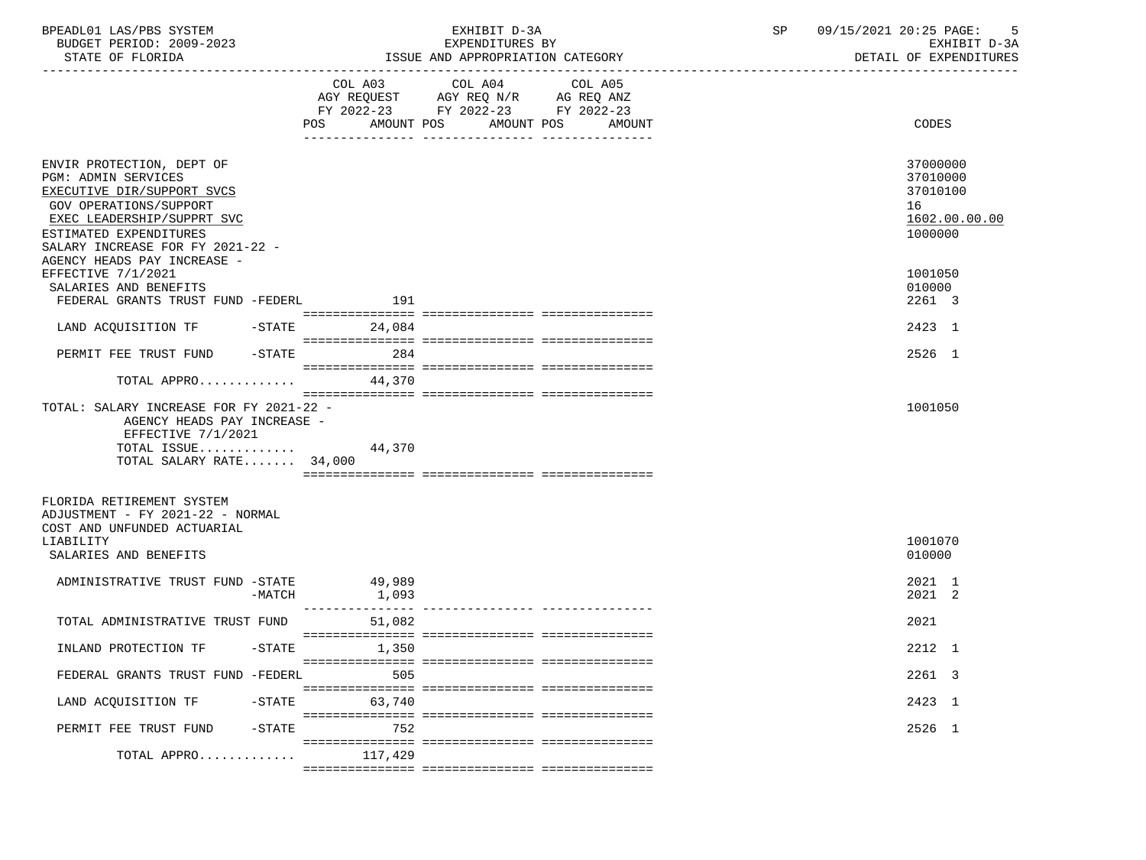| BPEADL01 LAS/PBS SYSTEM<br>BUDGET PERIOD: 2009-2023<br>STATE OF FLORIDA                                                                                                                                                                    |           |                   | EXHIBIT D-3A<br>EXPENDITURES BY<br>ISSUE AND APPROPRIATION CATEGORY                                                                         | SP | 09/15/2021 20:25 PAGE:<br>5<br>EXHIBIT D-3A<br>DETAIL OF EXPENDITURES |  |
|--------------------------------------------------------------------------------------------------------------------------------------------------------------------------------------------------------------------------------------------|-----------|-------------------|---------------------------------------------------------------------------------------------------------------------------------------------|----|-----------------------------------------------------------------------|--|
|                                                                                                                                                                                                                                            |           |                   | COL A03 COL A04<br>COL A05<br>AGY REQUEST AGY REQ N/R AG REQ ANZ<br>FY 2022-23 FY 2022-23 FY 2022-23<br>POS AMOUNT POS AMOUNT POS<br>AMOUNT |    | CODES                                                                 |  |
| ENVIR PROTECTION, DEPT OF<br><b>PGM: ADMIN SERVICES</b><br>EXECUTIVE DIR/SUPPORT SVCS<br>GOV OPERATIONS/SUPPORT<br>EXEC LEADERSHIP/SUPPRT SVC<br>ESTIMATED EXPENDITURES<br>SALARY INCREASE FOR FY 2021-22 -<br>AGENCY HEADS PAY INCREASE - |           |                   |                                                                                                                                             |    | 37000000<br>37010000<br>37010100<br>16<br>1602.00.00.00<br>1000000    |  |
| EFFECTIVE 7/1/2021<br>SALARIES AND BENEFITS<br>FEDERAL GRANTS TRUST FUND -FEDERL                                                                                                                                                           |           | 191               |                                                                                                                                             |    | 1001050<br>010000<br>2261 3                                           |  |
| LAND ACQUISITION TF -STATE 24,084                                                                                                                                                                                                          |           |                   |                                                                                                                                             |    | 2423 1                                                                |  |
| PERMIT FEE TRUST FUND -STATE 284                                                                                                                                                                                                           |           |                   |                                                                                                                                             |    | 2526 1                                                                |  |
| TOTAL APPRO $44,370$                                                                                                                                                                                                                       |           |                   |                                                                                                                                             |    |                                                                       |  |
| TOTAL: SALARY INCREASE FOR FY 2021-22 -<br>AGENCY HEADS PAY INCREASE -<br>EFFECTIVE 7/1/2021<br>TOTAL ISSUE $44,370$<br>TOTAL SALARY RATE 34,000                                                                                           |           |                   |                                                                                                                                             |    | 1001050                                                               |  |
| FLORIDA RETIREMENT SYSTEM<br>ADJUSTMENT - FY 2021-22 - NORMAL<br>COST AND UNFUNDED ACTUARIAL<br>LIABILITY<br>SALARIES AND BENEFITS                                                                                                         |           |                   |                                                                                                                                             |    | 1001070<br>010000                                                     |  |
| ADMINISTRATIVE TRUST FUND -STATE                                                                                                                                                                                                           | -MATCH    | 49,989<br>1,093   |                                                                                                                                             |    | 2021 1<br>2021 2                                                      |  |
| TOTAL ADMINISTRATIVE TRUST FUND                                                                                                                                                                                                            |           | 51,082            |                                                                                                                                             |    | 2021                                                                  |  |
| INLAND PROTECTION TF                                                                                                                                                                                                                       |           | $-STATE$<br>1,350 |                                                                                                                                             |    | 2212 1                                                                |  |
| FEDERAL GRANTS TRUST FUND -FEDERL                                                                                                                                                                                                          |           | 505               |                                                                                                                                             |    | 2261 3                                                                |  |
| LAND ACQUISITION TF                                                                                                                                                                                                                        | $-$ STATE | 63,740            |                                                                                                                                             |    | 2423 1                                                                |  |
| PERMIT FEE TRUST FUND                                                                                                                                                                                                                      | $-$ STATE | 752               |                                                                                                                                             |    | 2526 1                                                                |  |
| TOTAL APPRO                                                                                                                                                                                                                                |           | 117,429           |                                                                                                                                             |    |                                                                       |  |
|                                                                                                                                                                                                                                            |           |                   |                                                                                                                                             |    |                                                                       |  |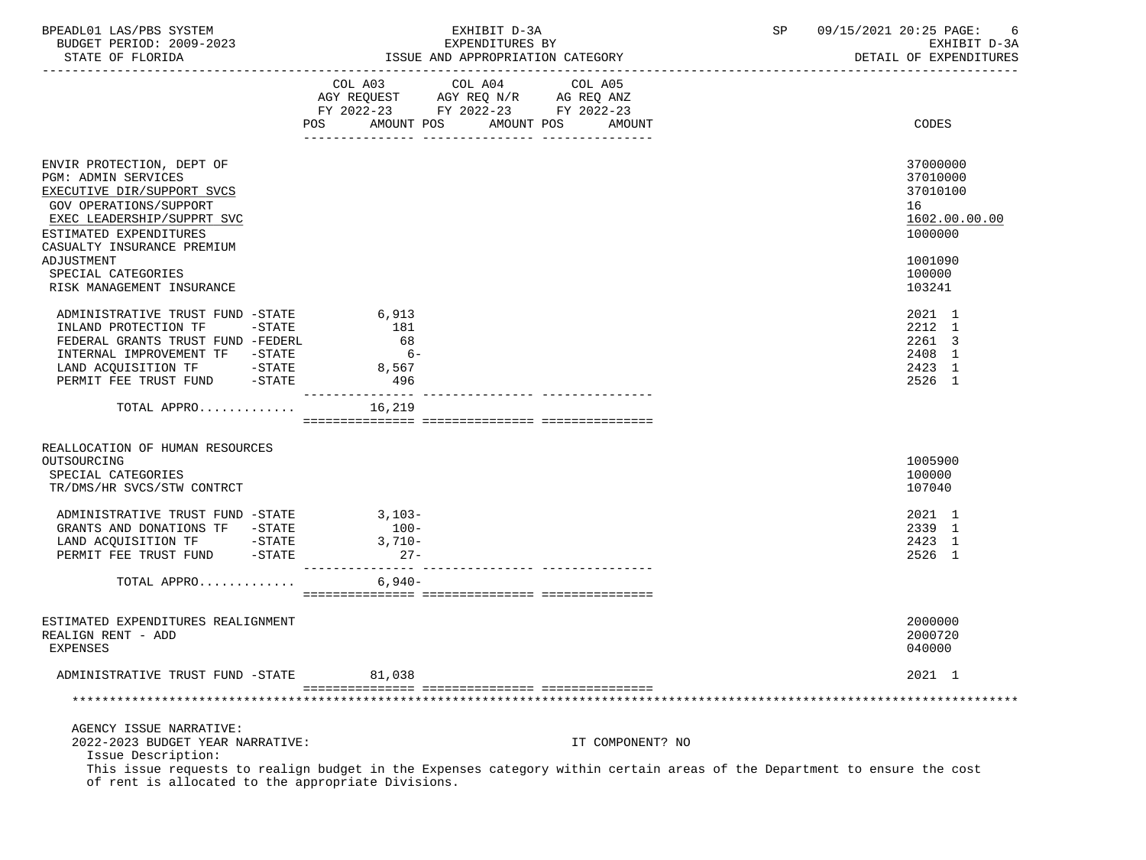| BPEADL01 LAS/PBS SYSTEM  | EXHIBIT D-3A    |  | 09/15/2021 20:25 PAGE: |  |
|--------------------------|-----------------|--|------------------------|--|
| BUDGET PERIOD: 2009-2023 | EXPENDITURES BY |  | EXHIBIT D-3A           |  |

STATE OF FLORIDA **ISSUE AND APPROPRIATION CATEGORY ISSUE AND APPROPRIATION** CATEGORY

|                                                                                                                                                                                                      |                                                                                                                |                                              | COL A03 COL A04 COL A05                                                |                  |                                                                    |
|------------------------------------------------------------------------------------------------------------------------------------------------------------------------------------------------------|----------------------------------------------------------------------------------------------------------------|----------------------------------------------|------------------------------------------------------------------------|------------------|--------------------------------------------------------------------|
|                                                                                                                                                                                                      |                                                                                                                |                                              | AGY REQUEST AGY REQ N/R AG REQ ANZ<br>FY 2022-23 FY 2022-23 FY 2022-23 |                  |                                                                    |
|                                                                                                                                                                                                      | POS FOR THE POST OF THE STATE STATE STATE STATE STATE STATE STATE STATE STATE STATE STATE STATE STATE STATE ST | AMOUNT POS                                   | AMOUNT POS                                                             | AMOUNT           | CODES                                                              |
|                                                                                                                                                                                                      |                                                                                                                |                                              |                                                                        |                  |                                                                    |
| ENVIR PROTECTION, DEPT OF<br>PGM: ADMIN SERVICES<br>EXECUTIVE DIR/SUPPORT SVCS<br>GOV OPERATIONS/SUPPORT<br>EXEC LEADERSHIP/SUPPRT SVC<br>ESTIMATED EXPENDITURES<br>CASUALTY INSURANCE PREMIUM       |                                                                                                                |                                              |                                                                        |                  | 37000000<br>37010000<br>37010100<br>16<br>1602.00.00.00<br>1000000 |
| ADJUSTMENT<br>SPECIAL CATEGORIES<br>RISK MANAGEMENT INSURANCE                                                                                                                                        |                                                                                                                |                                              |                                                                        |                  | 1001090<br>100000<br>103241                                        |
| ADMINISTRATIVE TRUST FUND -STATE<br>INLAND PROTECTION TF -STATE<br>FEDERAL GRANTS TRUST FUND -FEDERL<br>INTERNAL IMPROVEMENT TF -STATE<br>LAND ACQUISITION TF -STATE<br>PERMIT FEE TRUST FUND -STATE |                                                                                                                | 6,913<br>181<br>68<br>$6 -$<br>8,567<br>-496 |                                                                        |                  | 2021 1<br>2212 1<br>2261 3<br>2408 1<br>2423 1<br>2526 1           |
| TOTAL APPRO                                                                                                                                                                                          |                                                                                                                | 16,219                                       |                                                                        |                  |                                                                    |
|                                                                                                                                                                                                      |                                                                                                                |                                              |                                                                        |                  |                                                                    |
| REALLOCATION OF HUMAN RESOURCES<br>OUTSOURCING<br>SPECIAL CATEGORIES<br>TR/DMS/HR SVCS/STW CONTRCT                                                                                                   |                                                                                                                |                                              |                                                                        |                  | 1005900<br>100000<br>107040                                        |
| ADMINISTRATIVE TRUST FUND -STATE<br>GRANTS AND DONATIONS TF -STATE                                                                                                                                   |                                                                                                                | $3,103-$<br>$100-$<br>$3,710-$<br>$27 -$     |                                                                        |                  | 2021 1<br>2339 1<br>2423 1<br>2526 1                               |
| TOTAL APPRO                                                                                                                                                                                          |                                                                                                                | 6,940-                                       |                                                                        |                  |                                                                    |
|                                                                                                                                                                                                      |                                                                                                                |                                              |                                                                        |                  |                                                                    |
| ESTIMATED EXPENDITURES REALIGNMENT<br>REALIGN RENT - ADD<br><b>EXPENSES</b>                                                                                                                          |                                                                                                                |                                              |                                                                        |                  | 2000000<br>2000720<br>040000                                       |
| ADMINISTRATIVE TRUST FUND -STATE                                                                                                                                                                     |                                                                                                                | 81,038                                       |                                                                        |                  | 2021 1                                                             |
|                                                                                                                                                                                                      |                                                                                                                |                                              |                                                                        |                  |                                                                    |
| AGENCY ISSUE NARRATIVE:<br>2022-2023 BUDGET YEAR NARRATIVE:<br>Issue Description:                                                                                                                    |                                                                                                                |                                              |                                                                        | IT COMPONENT? NO |                                                                    |

 This issue requests to realign budget in the Expenses category within certain areas of the Department to ensure the cost of rent is allocated to the appropriate Divisions.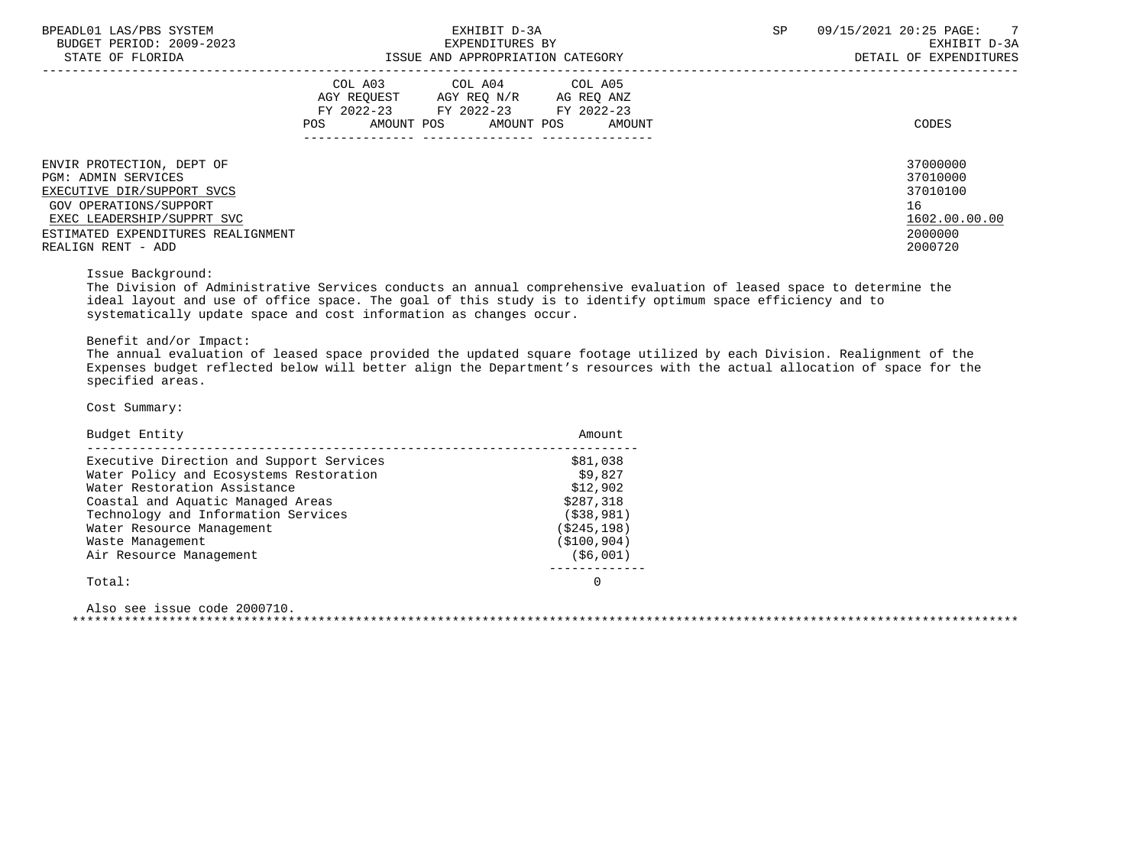| BPEADL01 LAS/PBS SYSTEM |                  |                          |
|-------------------------|------------------|--------------------------|
|                         |                  | BUDGET PERIOD: 2009-2023 |
|                         | STATE OF FLORIDA |                          |

|                                                                                                                                                                                                    | COL A03<br>AGY REOUEST<br>FY 2022-23<br>AMOUNT POS<br>POS | COL A04<br>AGY REQ N/R<br>FY 2022-23 FY 2022-23<br>AMOUNT POS | COL A05<br>AG REQ ANZ<br>AMOUNT | CODES                                                                         |
|----------------------------------------------------------------------------------------------------------------------------------------------------------------------------------------------------|-----------------------------------------------------------|---------------------------------------------------------------|---------------------------------|-------------------------------------------------------------------------------|
| ENVIR PROTECTION, DEPT OF<br>PGM: ADMIN SERVICES<br>EXECUTIVE DIR/SUPPORT SVCS<br>GOV OPERATIONS/SUPPORT<br>EXEC LEADERSHIP/SUPPRT SVC<br>ESTIMATED EXPENDITURES REALIGNMENT<br>REALIGN RENT - ADD |                                                           |                                                               |                                 | 37000000<br>37010000<br>37010100<br>16<br>1602.00.00.00<br>2000000<br>2000720 |

Issue Background:

 The Division of Administrative Services conducts an annual comprehensive evaluation of leased space to determine the ideal layout and use of office space. The goal of this study is to identify optimum space efficiency and to systematically update space and cost information as changes occur.

Benefit and/or Impact:

 The annual evaluation of leased space provided the updated square footage utilized by each Division. Realignment of the Expenses budget reflected below will better align the Department's resources with the actual allocation of space for the specified areas.

Cost Summary:

| Budget Entity                            | Amount       |
|------------------------------------------|--------------|
| Executive Direction and Support Services | \$81,038     |
| Water Policy and Ecosystems Restoration  | \$9.827      |
| Water Restoration Assistance             | \$12,902     |
| Coastal and Aquatic Managed Areas        | \$287,318    |
| Technology and Information Services      | ( \$38, 981) |
| Water Resource Management                | (\$245,198)  |
| Waste Management                         | (\$100,904)  |
| Air Resource Management                  | (\$6,001)    |
| Total:                                   |              |
|                                          |              |

 Also see issue code 2000710. \*\*\*\*\*\*\*\*\*\*\*\*\*\*\*\*\*\*\*\*\*\*\*\*\*\*\*\*\*\*\*\*\*\*\*\*\*\*\*\*\*\*\*\*\*\*\*\*\*\*\*\*\*\*\*\*\*\*\*\*\*\*\*\*\*\*\*\*\*\*\*\*\*\*\*\*\*\*\*\*\*\*\*\*\*\*\*\*\*\*\*\*\*\*\*\*\*\*\*\*\*\*\*\*\*\*\*\*\*\*\*\*\*\*\*\*\*\*\*\*\*\*\*\*\*\*\*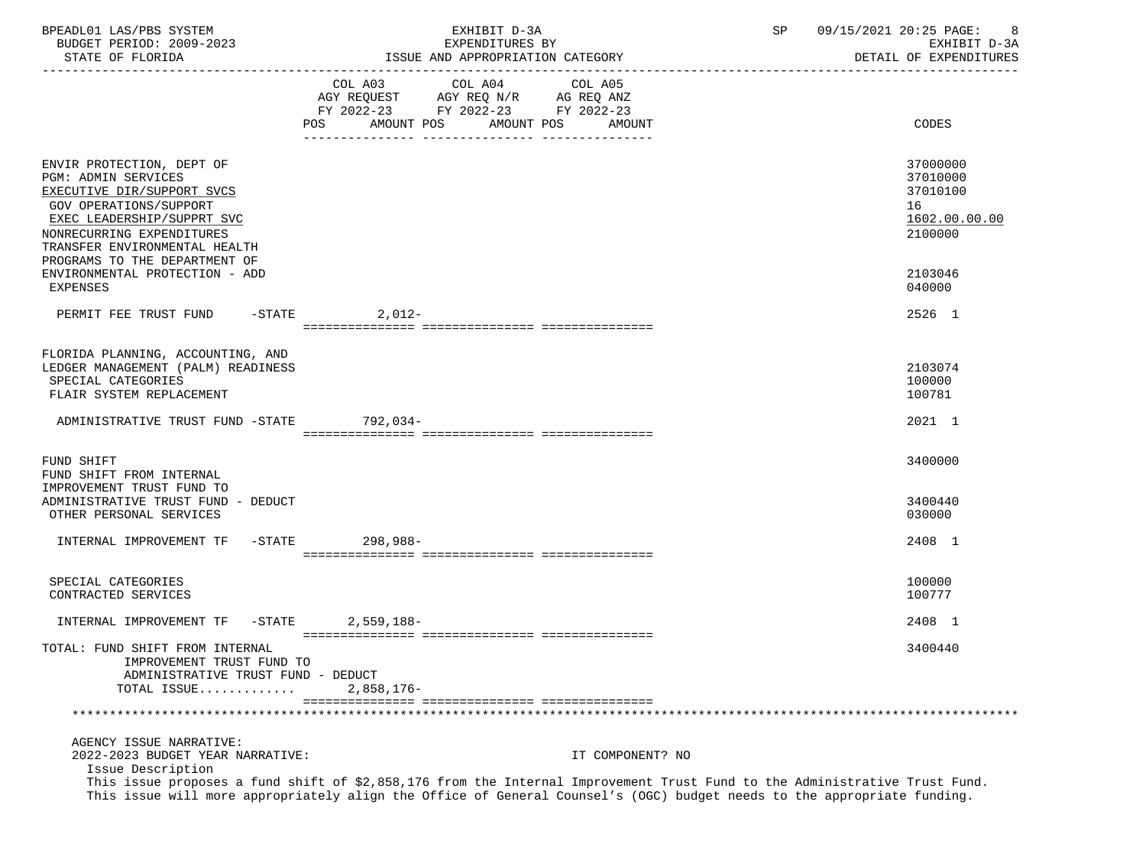| BPEADL01 LAS/PBS SYSTEM<br>BUDGET PERIOD: 2009-2023                                                                                                                                                                                                                            | EXHIBIT D-3A<br>EXPENDITURES BY                                                                                                                                                                                                                       |                  | 09/15/2021 20:25 PAGE:<br>SP |                                                                               |  |
|--------------------------------------------------------------------------------------------------------------------------------------------------------------------------------------------------------------------------------------------------------------------------------|-------------------------------------------------------------------------------------------------------------------------------------------------------------------------------------------------------------------------------------------------------|------------------|------------------------------|-------------------------------------------------------------------------------|--|
| STATE OF FLORIDA                                                                                                                                                                                                                                                               | ISSUE AND APPROPRIATION CATEGORY                                                                                                                                                                                                                      |                  |                              | EXHIBIT D-3A<br>DETAIL OF EXPENDITURES                                        |  |
|                                                                                                                                                                                                                                                                                | COL A03 COL A04<br>AGY REQUEST AGY REQ N/R AG REQ ANZ<br>FY 2022-23 FY 2022-23 FY 2022-23<br>POS AMOUNT POS AMOUNT POS AMOUNT                                                                                                                         | COL A05          |                              | CODES                                                                         |  |
| ENVIR PROTECTION, DEPT OF<br><b>PGM: ADMIN SERVICES</b><br>EXECUTIVE DIR/SUPPORT SVCS<br>GOV OPERATIONS/SUPPORT<br>EXEC LEADERSHIP/SUPPRT SVC<br>NONRECURRING EXPENDITURES<br>TRANSFER ENVIRONMENTAL HEALTH<br>PROGRAMS TO THE DEPARTMENT OF<br>ENVIRONMENTAL PROTECTION - ADD |                                                                                                                                                                                                                                                       |                  |                              | 37000000<br>37010000<br>37010100<br>16<br>1602.00.00.00<br>2100000<br>2103046 |  |
| EXPENSES<br>PERMIT FEE TRUST FUND -STATE 2,012-                                                                                                                                                                                                                                |                                                                                                                                                                                                                                                       |                  |                              | 040000<br>2526 1                                                              |  |
| FLORIDA PLANNING, ACCOUNTING, AND<br>LEDGER MANAGEMENT (PALM) READINESS<br>SPECIAL CATEGORIES<br>FLAIR SYSTEM REPLACEMENT<br>ADMINISTRATIVE TRUST FUND -STATE 792,034-                                                                                                         |                                                                                                                                                                                                                                                       |                  |                              | 2103074<br>100000<br>100781<br>2021 1                                         |  |
|                                                                                                                                                                                                                                                                                |                                                                                                                                                                                                                                                       |                  |                              |                                                                               |  |
| FUND SHIFT<br>FUND SHIFT FROM INTERNAL<br>IMPROVEMENT TRUST FUND TO<br>ADMINISTRATIVE TRUST FUND - DEDUCT<br>OTHER PERSONAL SERVICES                                                                                                                                           |                                                                                                                                                                                                                                                       |                  |                              | 3400000<br>3400440<br>030000                                                  |  |
| INTERNAL IMPROVEMENT TF -STATE 298,988-                                                                                                                                                                                                                                        |                                                                                                                                                                                                                                                       |                  |                              | 2408 1                                                                        |  |
| SPECIAL CATEGORIES<br>CONTRACTED SERVICES                                                                                                                                                                                                                                      |                                                                                                                                                                                                                                                       |                  |                              | 100000<br>100777                                                              |  |
| INTERNAL IMPROVEMENT TF -STATE                                                                                                                                                                                                                                                 | 2,559,188-                                                                                                                                                                                                                                            |                  |                              | 2408 1                                                                        |  |
| TOTAL: FUND SHIFT FROM INTERNAL<br>IMPROVEMENT TRUST FUND TO<br>ADMINISTRATIVE TRUST FUND - DEDUCT<br>TOTAL ISSUE                                                                                                                                                              | 2,858,176-                                                                                                                                                                                                                                            |                  |                              | 3400440                                                                       |  |
|                                                                                                                                                                                                                                                                                |                                                                                                                                                                                                                                                       |                  |                              |                                                                               |  |
| AGENCY ISSUE NARRATIVE:<br>2022-2023 BUDGET YEAR NARRATIVE:<br>Issue Description                                                                                                                                                                                               | This issue proposes a fund shift of \$2,858,176 from the Internal Improvement Trust Fund to the Administrative Trust Fund.<br>This issue will more appropriately align the Office of General Counsel's (OGC) budget needs to the appropriate funding. | IT COMPONENT? NO |                              |                                                                               |  |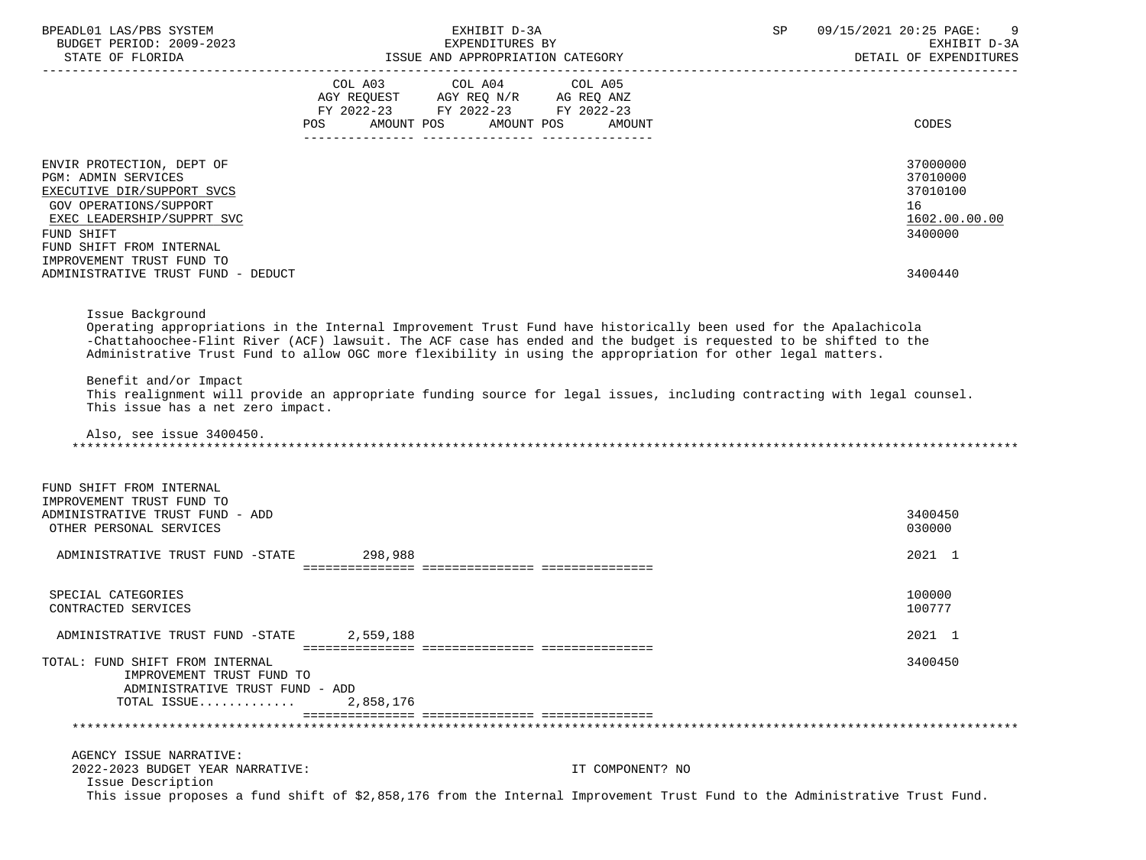| BPEADL01 LAS/PBS SYSTEM                  | EXHIBIT D-3A                                                                                                               | 09/15/2021 20:25 PAGE:<br>SP |
|------------------------------------------|----------------------------------------------------------------------------------------------------------------------------|------------------------------|
| BUDGET PERIOD: 2009-2023                 | EXPENDITURES BY                                                                                                            | EXHIBIT D-3A                 |
|                                          | ISSUE AND APPROPRIATION CATEGORY                                                                                           | DETAIL OF EXPENDITURES       |
|                                          |                                                                                                                            |                              |
|                                          |                                                                                                                            |                              |
|                                          | FY 2022-23 FY 2022-23 FY 2022-23                                                                                           |                              |
|                                          | AMOUNT POS AMOUNT POS<br>POS<br>AMOUNT                                                                                     | CODES                        |
|                                          |                                                                                                                            |                              |
|                                          |                                                                                                                            |                              |
| ENVIR PROTECTION, DEPT OF                |                                                                                                                            | 37000000                     |
| PGM: ADMIN SERVICES                      |                                                                                                                            | 37010000                     |
| EXECUTIVE DIR/SUPPORT SVCS               |                                                                                                                            | 37010100                     |
| GOV OPERATIONS/SUPPORT                   |                                                                                                                            | 16                           |
| EXEC LEADERSHIP/SUPPRT SVC               |                                                                                                                            | 1602.00.00.00                |
| FUND SHIFT                               |                                                                                                                            | 3400000                      |
| FUND SHIFT FROM INTERNAL                 |                                                                                                                            |                              |
| IMPROVEMENT TRUST FUND TO                |                                                                                                                            |                              |
| ADMINISTRATIVE TRUST FUND - DEDUCT       |                                                                                                                            | 3400440                      |
|                                          |                                                                                                                            |                              |
|                                          |                                                                                                                            |                              |
| Issue Background                         |                                                                                                                            |                              |
|                                          | Operating appropriations in the Internal Improvement Trust Fund have historically been used for the Apalachicola           |                              |
|                                          | -Chattahoochee-Flint River (ACF) lawsuit. The ACF case has ended and the budget is requested to be shifted to the          |                              |
|                                          | Administrative Trust Fund to allow OGC more flexibility in using the appropriation for other legal matters.                |                              |
|                                          |                                                                                                                            |                              |
| Benefit and/or Impact                    |                                                                                                                            |                              |
|                                          | This realignment will provide an appropriate funding source for legal issues, including contracting with legal counsel.    |                              |
| This issue has a net zero impact.        |                                                                                                                            |                              |
| Also, see issue 3400450.                 |                                                                                                                            |                              |
|                                          |                                                                                                                            |                              |
|                                          |                                                                                                                            |                              |
|                                          |                                                                                                                            |                              |
| FUND SHIFT FROM INTERNAL                 |                                                                                                                            |                              |
| IMPROVEMENT TRUST FUND TO                |                                                                                                                            |                              |
| ADMINISTRATIVE TRUST FUND - ADD          |                                                                                                                            | 3400450                      |
| OTHER PERSONAL SERVICES                  |                                                                                                                            | 030000                       |
|                                          |                                                                                                                            |                              |
| ADMINISTRATIVE TRUST FUND -STATE 298,988 |                                                                                                                            | 2021 1                       |
|                                          |                                                                                                                            |                              |
| SPECIAL CATEGORIES                       |                                                                                                                            | 100000                       |
| CONTRACTED SERVICES                      |                                                                                                                            | 100777                       |
|                                          |                                                                                                                            |                              |
| ADMINISTRATIVE TRUST FUND -STATE         | 2,559,188                                                                                                                  | 2021 1                       |
|                                          |                                                                                                                            |                              |
| TOTAL: FUND SHIFT FROM INTERNAL          |                                                                                                                            | 3400450                      |
| IMPROVEMENT TRUST FUND TO                |                                                                                                                            |                              |
| ADMINISTRATIVE TRUST FUND - ADD          |                                                                                                                            |                              |
| TOTAL ISSUE                              | 2,858,176                                                                                                                  |                              |
|                                          |                                                                                                                            |                              |
|                                          |                                                                                                                            |                              |
| AGENCY ISSUE NARRATIVE:                  |                                                                                                                            |                              |
| 2022-2023 BUDGET YEAR NARRATIVE:         | IT COMPONENT? NO                                                                                                           |                              |
| Issue Description                        |                                                                                                                            |                              |
|                                          | This issue proposes a fund shift of \$2,858,176 from the Internal Improvement Trust Fund to the Administrative Trust Fund. |                              |
|                                          |                                                                                                                            |                              |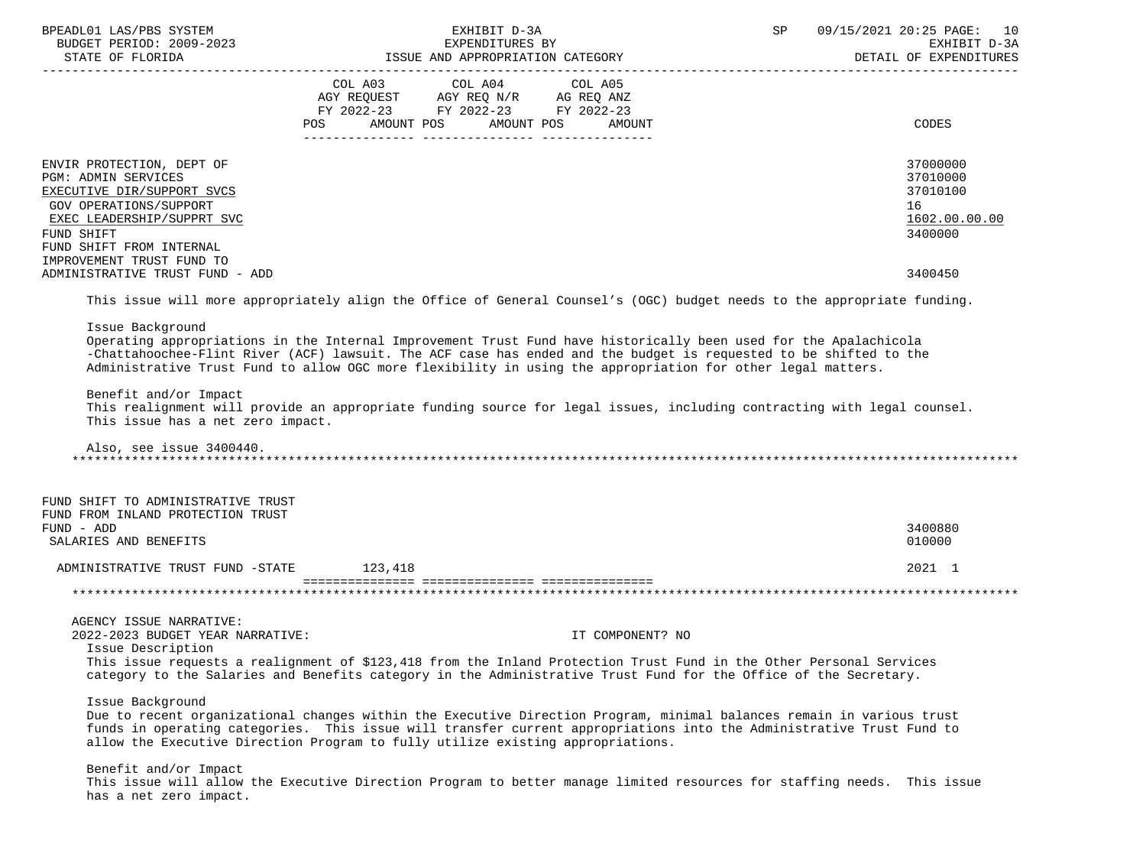| BPEADL01 LAS/PBS SYSTEM<br>BUDGET PERIOD: 2009-2023                                                                                                                                                     |                                         | EXHIBIT D-3A<br>EXPENDITURES BY |                  | SP | 09/15/2021 20:25 PAGE: 10<br>EXHIBIT D-3A |
|---------------------------------------------------------------------------------------------------------------------------------------------------------------------------------------------------------|-----------------------------------------|---------------------------------|------------------|----|-------------------------------------------|
|                                                                                                                                                                                                         |                                         |                                 |                  |    | DETAIL OF EXPENDITURES                    |
|                                                                                                                                                                                                         | COL A03 COL A04 COL A05                 |                                 |                  |    |                                           |
|                                                                                                                                                                                                         | AGY REQUEST AGY REQ N/R AG REQ ANZ      |                                 |                  |    |                                           |
|                                                                                                                                                                                                         | FY 2022-23 FY 2022-23 FY 2022-23<br>POS | AMOUNT POS AMOUNT POS           | AMOUNT           |    | CODES                                     |
|                                                                                                                                                                                                         |                                         |                                 |                  |    |                                           |
|                                                                                                                                                                                                         |                                         |                                 |                  |    | 37000000                                  |
| ENVIR PROTECTION, DEPT OF<br><b>PGM: ADMIN SERVICES</b>                                                                                                                                                 |                                         |                                 |                  |    | 37010000                                  |
| EXECUTIVE DIR/SUPPORT SVCS                                                                                                                                                                              |                                         |                                 |                  |    | 37010100                                  |
| GOV OPERATIONS/SUPPORT                                                                                                                                                                                  |                                         |                                 |                  |    | 16                                        |
| EXEC LEADERSHIP/SUPPRT SVC                                                                                                                                                                              |                                         |                                 |                  |    | 1602.00.00.00                             |
| FUND SHIFT                                                                                                                                                                                              |                                         |                                 |                  |    | 3400000                                   |
| FUND SHIFT FROM INTERNAL                                                                                                                                                                                |                                         |                                 |                  |    |                                           |
| IMPROVEMENT TRUST FUND TO                                                                                                                                                                               |                                         |                                 |                  |    |                                           |
| ADMINISTRATIVE TRUST FUND - ADD                                                                                                                                                                         |                                         |                                 |                  |    | 3400450                                   |
| This issue will more appropriately align the Office of General Counsel's (OGC) budget needs to the appropriate funding.                                                                                 |                                         |                                 |                  |    |                                           |
| Issue Background                                                                                                                                                                                        |                                         |                                 |                  |    |                                           |
| Operating appropriations in the Internal Improvement Trust Fund have historically been used for the Apalachicola                                                                                        |                                         |                                 |                  |    |                                           |
| -Chattahoochee-Flint River (ACF) lawsuit. The ACF case has ended and the budget is requested to be shifted to the                                                                                       |                                         |                                 |                  |    |                                           |
| Administrative Trust Fund to allow OGC more flexibility in using the appropriation for other legal matters.                                                                                             |                                         |                                 |                  |    |                                           |
| Benefit and/or Impact                                                                                                                                                                                   |                                         |                                 |                  |    |                                           |
| This realignment will provide an appropriate funding source for legal issues, including contracting with legal counsel.                                                                                 |                                         |                                 |                  |    |                                           |
| This issue has a net zero impact.                                                                                                                                                                       |                                         |                                 |                  |    |                                           |
|                                                                                                                                                                                                         |                                         |                                 |                  |    |                                           |
| Also, see issue 3400440.                                                                                                                                                                                |                                         |                                 |                  |    |                                           |
|                                                                                                                                                                                                         |                                         |                                 |                  |    |                                           |
| FUND SHIFT TO ADMINISTRATIVE TRUST                                                                                                                                                                      |                                         |                                 |                  |    |                                           |
| FUND FROM INLAND PROTECTION TRUST                                                                                                                                                                       |                                         |                                 |                  |    |                                           |
| FUND - ADD                                                                                                                                                                                              |                                         |                                 |                  |    | 3400880                                   |
| SALARIES AND BENEFITS                                                                                                                                                                                   |                                         |                                 |                  |    | 010000                                    |
| ADMINISTRATIVE TRUST FUND -STATE 123,418                                                                                                                                                                |                                         |                                 |                  |    | 2021 1                                    |
|                                                                                                                                                                                                         |                                         |                                 |                  |    |                                           |
|                                                                                                                                                                                                         |                                         |                                 |                  |    |                                           |
| AGENCY ISSUE NARRATIVE:                                                                                                                                                                                 |                                         |                                 |                  |    |                                           |
| 2022-2023 BUDGET YEAR NARRATIVE:                                                                                                                                                                        |                                         |                                 | IT COMPONENT? NO |    |                                           |
| Issue Description                                                                                                                                                                                       |                                         |                                 |                  |    |                                           |
| This issue requests a realignment of \$123,418 from the Inland Protection Trust Fund in the Other Personal Services                                                                                     |                                         |                                 |                  |    |                                           |
| category to the Salaries and Benefits category in the Administrative Trust Fund for the Office of the Secretary.                                                                                        |                                         |                                 |                  |    |                                           |
| Issue Background                                                                                                                                                                                        |                                         |                                 |                  |    |                                           |
| Due to recent organizational changes within the Executive Direction Program, minimal balances remain in various trust                                                                                   |                                         |                                 |                  |    |                                           |
| funds in operating categories. This issue will transfer current appropriations into the Administrative Trust Fund to<br>allow the Executive Direction Program to fully utilize existing appropriations. |                                         |                                 |                  |    |                                           |
|                                                                                                                                                                                                         |                                         |                                 |                  |    |                                           |
| Benefit and/or Impact                                                                                                                                                                                   |                                         |                                 |                  |    |                                           |
| This issue will allow the Executive Direction Program to better manage limited resources for staffing needs. This issue<br>has a net zero impact.                                                       |                                         |                                 |                  |    |                                           |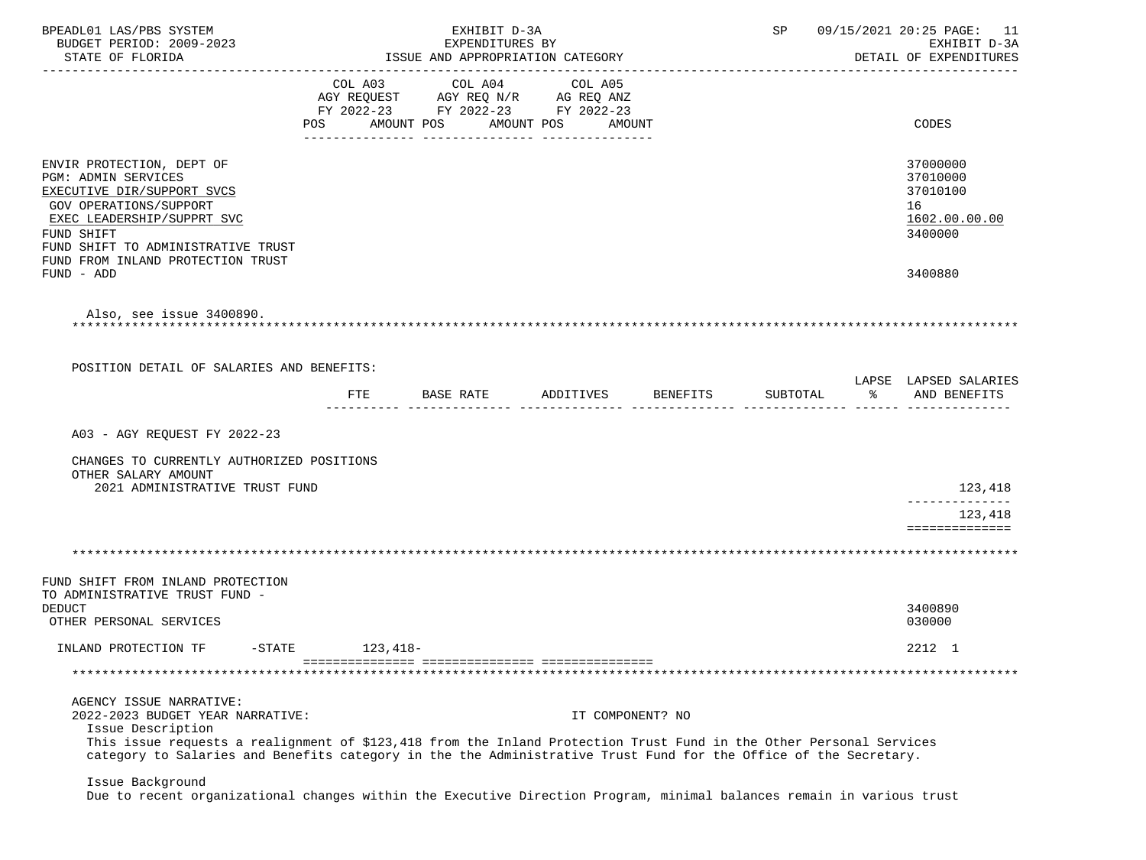| BPEADL01 LAS/PBS SYSTEM<br>BUDGET PERIOD: 2009-2023<br>STATE OF FLORIDA                                                                                                                                                                       |                | EXHIBIT D-3A<br>EXPENDITURES BY<br>ISSUE AND APPROPRIATION CATEGORY                             |                       |                  | SP       |    | 09/15/2021 20:25 PAGE: 11<br>EXHIBIT D-3A<br>DETAIL OF EXPENDITURES |
|-----------------------------------------------------------------------------------------------------------------------------------------------------------------------------------------------------------------------------------------------|----------------|-------------------------------------------------------------------------------------------------|-----------------------|------------------|----------|----|---------------------------------------------------------------------|
|                                                                                                                                                                                                                                               | COL A03<br>POS | COL A04<br>AGY REQUEST AGY REQ N/R AG REQ ANZ<br>FY 2022-23 FY 2022-23 FY 2022-23<br>AMOUNT POS | COL A05<br>AMOUNT POS | AMOUNT           |          |    | ----------------<br>CODES                                           |
|                                                                                                                                                                                                                                               |                |                                                                                                 |                       |                  |          |    |                                                                     |
| ENVIR PROTECTION, DEPT OF<br><b>PGM: ADMIN SERVICES</b><br>EXECUTIVE DIR/SUPPORT SVCS<br><b>GOV OPERATIONS/SUPPORT</b><br>EXEC LEADERSHIP/SUPPRT SVC<br>FUND SHIFT<br>FUND SHIFT TO ADMINISTRATIVE TRUST<br>FUND FROM INLAND PROTECTION TRUST |                |                                                                                                 |                       |                  |          |    | 37000000<br>37010000<br>37010100<br>16<br>1602.00.00.00<br>3400000  |
| FUND - ADD                                                                                                                                                                                                                                    |                |                                                                                                 |                       |                  |          |    | 3400880                                                             |
| Also, see issue 3400890.<br>POSITION DETAIL OF SALARIES AND BENEFITS:                                                                                                                                                                         |                |                                                                                                 |                       |                  |          |    | LAPSE LAPSED SALARIES                                               |
|                                                                                                                                                                                                                                               | FTE            | BASE RATE                                                                                       | ADDITIVES             | BENEFITS         | SUBTOTAL | °້ | AND BENEFITS                                                        |
| A03 - AGY REQUEST FY 2022-23<br>CHANGES TO CURRENTLY AUTHORIZED POSITIONS<br>OTHER SALARY AMOUNT<br>2021 ADMINISTRATIVE TRUST FUND                                                                                                            |                |                                                                                                 |                       |                  |          |    | 123,418                                                             |
|                                                                                                                                                                                                                                               |                |                                                                                                 |                       |                  |          |    | ______________                                                      |
|                                                                                                                                                                                                                                               |                |                                                                                                 |                       |                  |          |    | 123,418<br>==============                                           |
|                                                                                                                                                                                                                                               |                |                                                                                                 |                       |                  |          |    |                                                                     |
|                                                                                                                                                                                                                                               |                |                                                                                                 |                       |                  |          |    |                                                                     |
| FUND SHIFT FROM INLAND PROTECTION                                                                                                                                                                                                             |                |                                                                                                 |                       |                  |          |    |                                                                     |
| TO ADMINISTRATIVE TRUST FUND -<br><b>DEDUCT</b>                                                                                                                                                                                               |                |                                                                                                 |                       |                  |          |    | 3400890                                                             |
| OTHER PERSONAL SERVICES                                                                                                                                                                                                                       |                |                                                                                                 |                       |                  |          |    | 030000                                                              |
| INLAND PROTECTION TF<br>$-STATE$                                                                                                                                                                                                              | $123,418-$     |                                                                                                 |                       |                  |          |    | 2212 1                                                              |
|                                                                                                                                                                                                                                               |                |                                                                                                 |                       |                  |          |    |                                                                     |
|                                                                                                                                                                                                                                               |                |                                                                                                 |                       |                  |          |    |                                                                     |
| AGENCY ISSUE NARRATIVE:<br>2022-2023 BUDGET YEAR NARRATIVE:<br>Issue Description<br>This issue requests a realignment of \$123,418 from the Inland Protection Trust Fund in the Other Personal Services                                       |                |                                                                                                 |                       | IT COMPONENT? NO |          |    |                                                                     |
| category to Salaries and Benefits category in the the Administrative Trust Fund for the Office of the Secretary.                                                                                                                              |                |                                                                                                 |                       |                  |          |    |                                                                     |
| Issue Background                                                                                                                                                                                                                              |                |                                                                                                 |                       |                  |          |    |                                                                     |

Due to recent organizational changes within the Executive Direction Program, minimal balances remain in various trust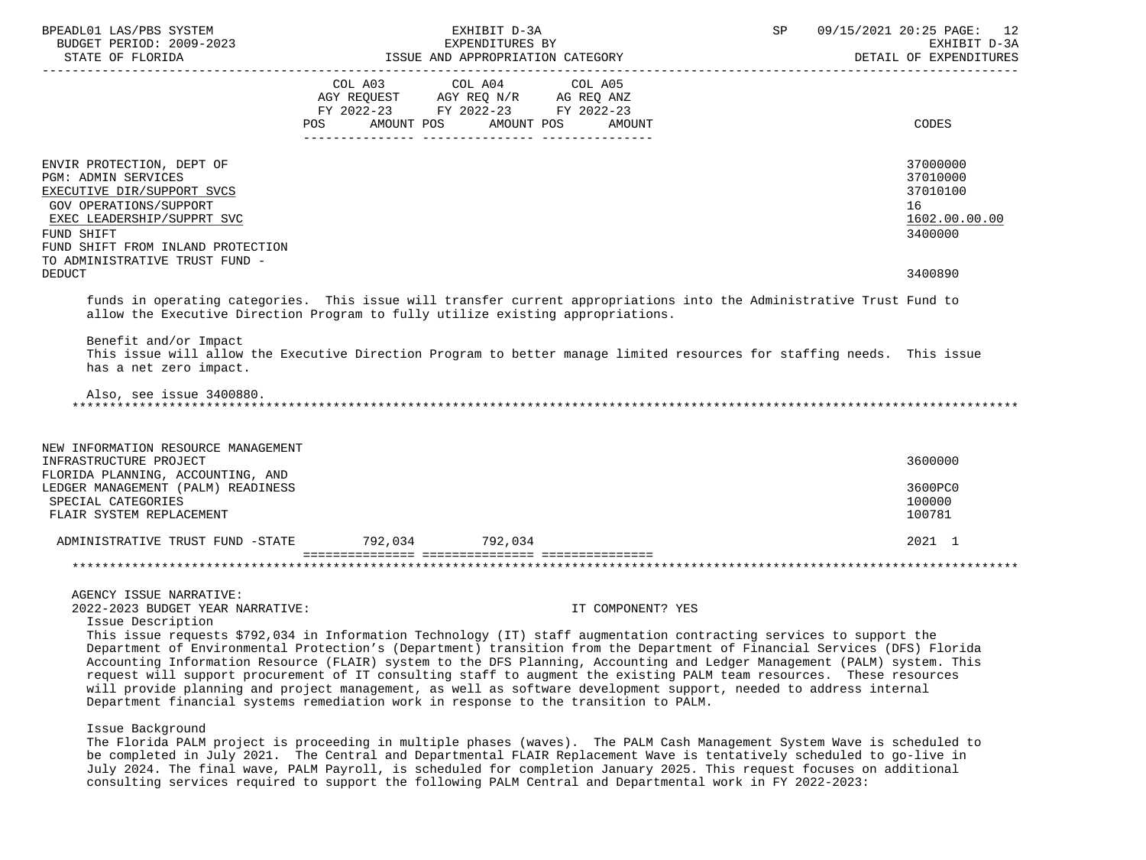| BPEADL01 LAS/PBS SYSTEM<br>BUDGET PERIOD: 2009-2023<br>STATE OF FLORIDA                                                                                                                                                                                                                                                                                                                                                                                                                                                                                                                                                                                                                                                               | ISSUE AND APPROPRIATION CATEGORY                                                                                       | EXHIBIT D-3A<br>EXPENDITURES BY |                      | SP | _____________________________ | 09/15/2021 20:25 PAGE:<br>12<br>EXHIBIT D-3A<br>DETAIL OF EXPENDITURES |
|---------------------------------------------------------------------------------------------------------------------------------------------------------------------------------------------------------------------------------------------------------------------------------------------------------------------------------------------------------------------------------------------------------------------------------------------------------------------------------------------------------------------------------------------------------------------------------------------------------------------------------------------------------------------------------------------------------------------------------------|------------------------------------------------------------------------------------------------------------------------|---------------------------------|----------------------|----|-------------------------------|------------------------------------------------------------------------|
|                                                                                                                                                                                                                                                                                                                                                                                                                                                                                                                                                                                                                                                                                                                                       | COL A03 COL A04 COL A05<br>AGY REQUEST AGY REQ N/R AG REQ ANZ<br>FY 2022-23 FY 2022-23 FY 2022-23<br>POS<br>AMOUNT POS |                                 | AMOUNT POS<br>AMOUNT |    |                               | CODES                                                                  |
| ENVIR PROTECTION, DEPT OF<br><b>PGM: ADMIN SERVICES</b><br>EXECUTIVE DIR/SUPPORT SVCS<br><b>GOV OPERATIONS/SUPPORT</b><br>EXEC LEADERSHIP/SUPPRT SVC<br>FUND SHIFT<br>FUND SHIFT FROM INLAND PROTECTION<br>TO ADMINISTRATIVE TRUST FUND -                                                                                                                                                                                                                                                                                                                                                                                                                                                                                             |                                                                                                                        |                                 |                      |    |                               | 37000000<br>37010000<br>37010100<br>16<br>1602.00.00.00<br>3400000     |
| <b>DEDUCT</b>                                                                                                                                                                                                                                                                                                                                                                                                                                                                                                                                                                                                                                                                                                                         |                                                                                                                        |                                 |                      |    |                               | 3400890                                                                |
| funds in operating categories. This issue will transfer current appropriations into the Administrative Trust Fund to<br>allow the Executive Direction Program to fully utilize existing appropriations.                                                                                                                                                                                                                                                                                                                                                                                                                                                                                                                               |                                                                                                                        |                                 |                      |    |                               |                                                                        |
| Benefit and/or Impact<br>This issue will allow the Executive Direction Program to better manage limited resources for staffing needs. This issue<br>has a net zero impact.                                                                                                                                                                                                                                                                                                                                                                                                                                                                                                                                                            |                                                                                                                        |                                 |                      |    |                               |                                                                        |
| Also, see issue 3400880.                                                                                                                                                                                                                                                                                                                                                                                                                                                                                                                                                                                                                                                                                                              |                                                                                                                        |                                 |                      |    |                               |                                                                        |
| NEW INFORMATION RESOURCE MANAGEMENT<br>INFRASTRUCTURE PROJECT                                                                                                                                                                                                                                                                                                                                                                                                                                                                                                                                                                                                                                                                         |                                                                                                                        |                                 |                      |    |                               | 3600000                                                                |
| FLORIDA PLANNING, ACCOUNTING, AND<br>LEDGER MANAGEMENT (PALM) READINESS                                                                                                                                                                                                                                                                                                                                                                                                                                                                                                                                                                                                                                                               |                                                                                                                        |                                 |                      |    |                               | 3600PC0                                                                |
| SPECIAL CATEGORIES<br>FLAIR SYSTEM REPLACEMENT                                                                                                                                                                                                                                                                                                                                                                                                                                                                                                                                                                                                                                                                                        |                                                                                                                        |                                 |                      |    |                               | 100000<br>100781                                                       |
| ADMINISTRATIVE TRUST FUND -STATE 792,034 792,034                                                                                                                                                                                                                                                                                                                                                                                                                                                                                                                                                                                                                                                                                      |                                                                                                                        |                                 |                      |    |                               | 2021 1                                                                 |
|                                                                                                                                                                                                                                                                                                                                                                                                                                                                                                                                                                                                                                                                                                                                       |                                                                                                                        |                                 |                      |    |                               |                                                                        |
| AGENCY ISSUE NARRATIVE:                                                                                                                                                                                                                                                                                                                                                                                                                                                                                                                                                                                                                                                                                                               |                                                                                                                        |                                 |                      |    |                               |                                                                        |
| 2022-2023 BUDGET YEAR NARRATIVE:                                                                                                                                                                                                                                                                                                                                                                                                                                                                                                                                                                                                                                                                                                      |                                                                                                                        |                                 | IT COMPONENT? YES    |    |                               |                                                                        |
| Issue Description<br>This issue requests \$792,034 in Information Technology (IT) staff augmentation contracting services to support the<br>Department of Environmental Protection's (Department) transition from the Department of Financial Services (DFS) Florida<br>Accounting Information Resource (FLAIR) system to the DFS Planning, Accounting and Ledger Management (PALM) system. This<br>request will support procurement of IT consulting staff to augment the existing PALM team resources. These resources<br>will provide planning and project management, as well as software development support, needed to address internal<br>Department financial systems remediation work in response to the transition to PALM. |                                                                                                                        |                                 |                      |    |                               |                                                                        |
| Issue Background                                                                                                                                                                                                                                                                                                                                                                                                                                                                                                                                                                                                                                                                                                                      |                                                                                                                        |                                 |                      |    |                               |                                                                        |

 The Florida PALM project is proceeding in multiple phases (waves). The PALM Cash Management System Wave is scheduled to be completed in July 2021. The Central and Departmental FLAIR Replacement Wave is tentatively scheduled to go-live in July 2024. The final wave, PALM Payroll, is scheduled for completion January 2025. This request focuses on additional consulting services required to support the following PALM Central and Departmental work in FY 2022-2023: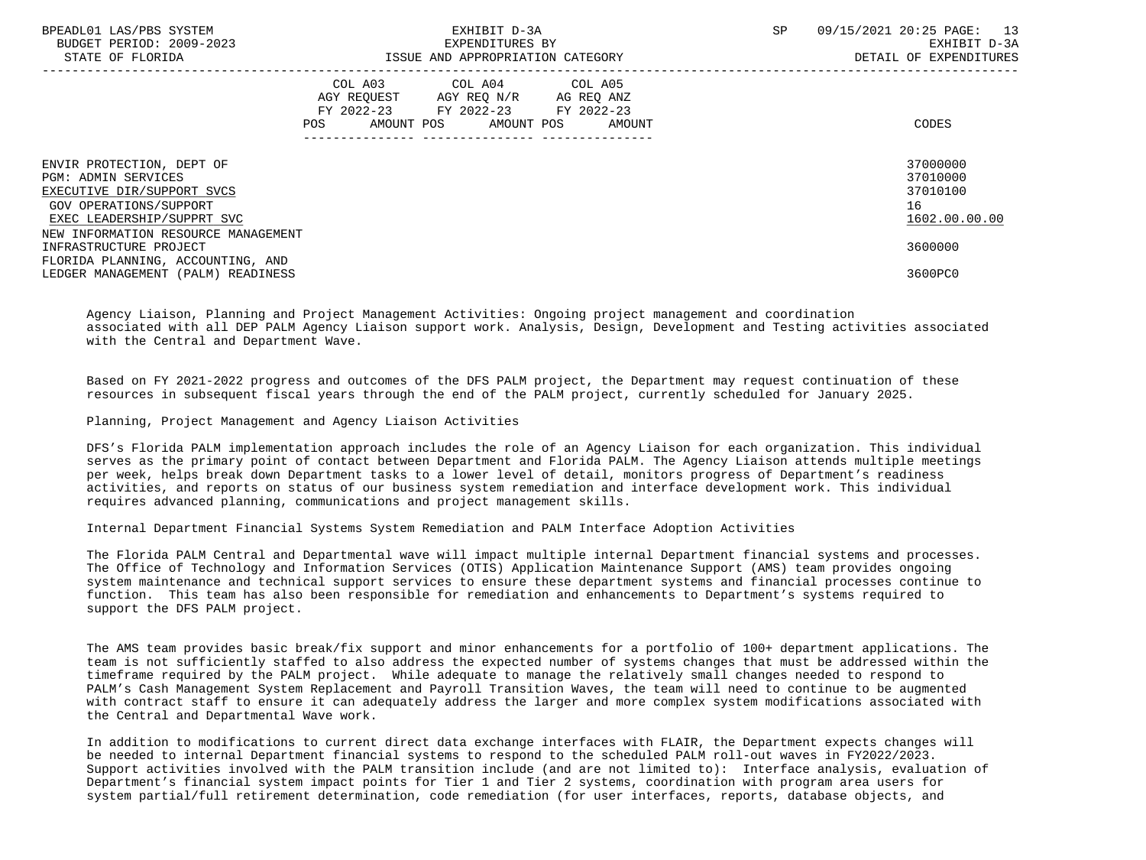| BPEADL01 LAS/PBS SYSTEM<br>BUDGET PERIOD: 2009-2023<br>STATE OF FLORIDA                                                                       | EXHIBIT D-3A<br>EXPENDITURES BY<br>ISSUE AND APPROPRIATION CATEGORY |                                                                                                   |                              |  | 09/15/2021 20:25 PAGE: 13<br>EXHIBIT D-3A<br>DETAIL OF EXPENDITURES |
|-----------------------------------------------------------------------------------------------------------------------------------------------|---------------------------------------------------------------------|---------------------------------------------------------------------------------------------------|------------------------------|--|---------------------------------------------------------------------|
|                                                                                                                                               | POS                                                                 | COL A03 COL A04 COL A05<br>AGY REQUEST AGY REQ N/R AG REQ ANZ<br>FY 2022-23 FY 2022-23 FY 2022-23 | AMOUNT POS AMOUNT POS AMOUNT |  | CODES                                                               |
| ENVIR PROTECTION, DEPT OF<br><b>PGM: ADMIN SERVICES</b><br>EXECUTIVE DIR/SUPPORT SVCS<br>GOV OPERATIONS/SUPPORT<br>EXEC LEADERSHIP/SUPPRT SVC |                                                                     |                                                                                                   |                              |  | 37000000<br>37010000<br>37010100<br>16<br>1602.00.00.00             |
| NEW INFORMATION RESOURCE MANAGEMENT<br>INFRASTRUCTURE PROJECT<br>FLORIDA PLANNING, ACCOUNTING, AND<br>LEDGER MANAGEMENT (PALM) READINESS      |                                                                     |                                                                                                   |                              |  | 3600000<br>3600PC0                                                  |

 Agency Liaison, Planning and Project Management Activities: Ongoing project management and coordination associated with all DEP PALM Agency Liaison support work. Analysis, Design, Development and Testing activities associated with the Central and Department Wave.

 Based on FY 2021-2022 progress and outcomes of the DFS PALM project, the Department may request continuation of these resources in subsequent fiscal years through the end of the PALM project, currently scheduled for January 2025.

Planning, Project Management and Agency Liaison Activities

 DFS's Florida PALM implementation approach includes the role of an Agency Liaison for each organization. This individual serves as the primary point of contact between Department and Florida PALM. The Agency Liaison attends multiple meetings per week, helps break down Department tasks to a lower level of detail, monitors progress of Department's readiness activities, and reports on status of our business system remediation and interface development work. This individual requires advanced planning, communications and project management skills.

Internal Department Financial Systems System Remediation and PALM Interface Adoption Activities

 The Florida PALM Central and Departmental wave will impact multiple internal Department financial systems and processes. The Office of Technology and Information Services (OTIS) Application Maintenance Support (AMS) team provides ongoing system maintenance and technical support services to ensure these department systems and financial processes continue to function. This team has also been responsible for remediation and enhancements to Department's systems required to support the DFS PALM project.

 The AMS team provides basic break/fix support and minor enhancements for a portfolio of 100+ department applications. The team is not sufficiently staffed to also address the expected number of systems changes that must be addressed within the timeframe required by the PALM project. While adequate to manage the relatively small changes needed to respond to PALM's Cash Management System Replacement and Payroll Transition Waves, the team will need to continue to be augmented with contract staff to ensure it can adequately address the larger and more complex system modifications associated with the Central and Departmental Wave work.

 In addition to modifications to current direct data exchange interfaces with FLAIR, the Department expects changes will be needed to internal Department financial systems to respond to the scheduled PALM roll-out waves in FY2022/2023. Support activities involved with the PALM transition include (and are not limited to): Interface analysis, evaluation of Department's financial system impact points for Tier 1 and Tier 2 systems, coordination with program area users for system partial/full retirement determination, code remediation (for user interfaces, reports, database objects, and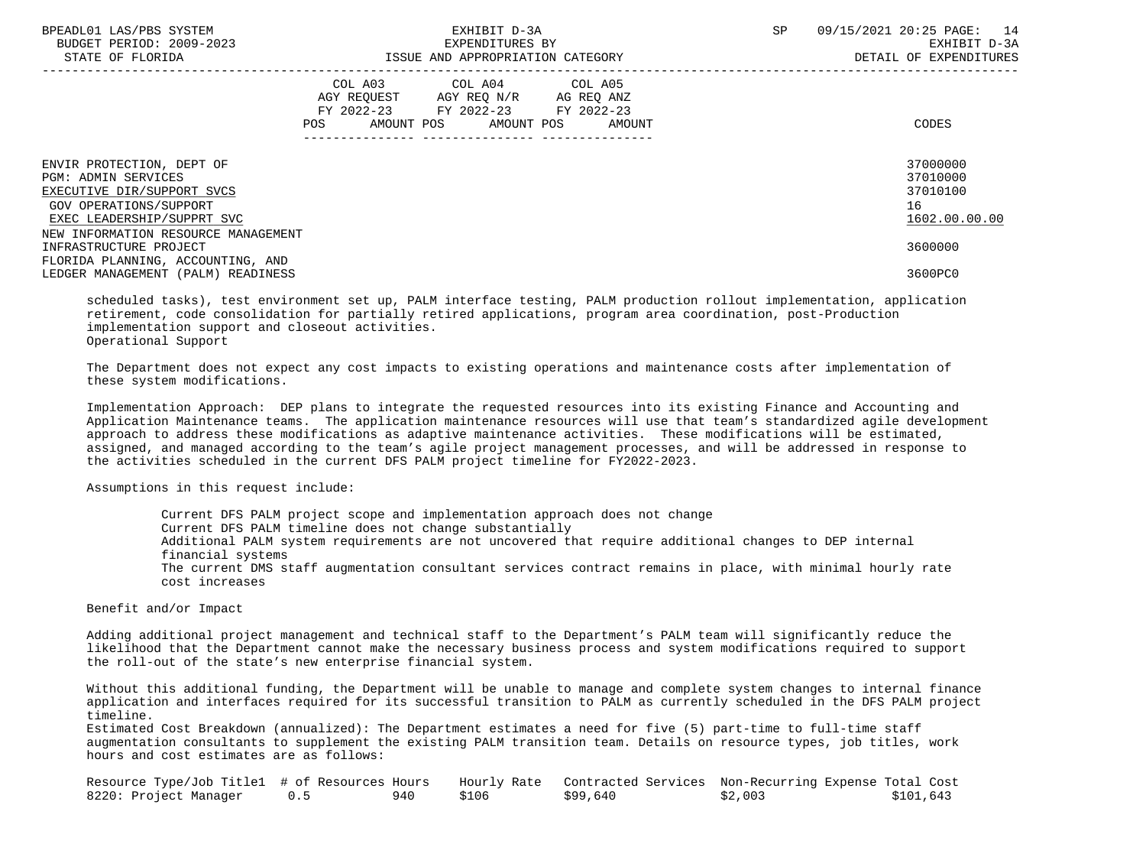| BPEADL01 LAS/PBS SYSTEM<br>BUDGET PERIOD: 2009-2023<br>STATE OF FLORIDA                                                                                                              |                                                                                                                | EXHIBIT D-3A<br>EXPENDITURES BY<br>ISSUE AND APPROPRIATION CATEGORY                                                               | SP | 09/15/2021 20:25 PAGE: 14<br>EXHIBIT D-3A<br>DETAIL OF EXPENDITURES |                                                         |
|--------------------------------------------------------------------------------------------------------------------------------------------------------------------------------------|----------------------------------------------------------------------------------------------------------------|-----------------------------------------------------------------------------------------------------------------------------------|----|---------------------------------------------------------------------|---------------------------------------------------------|
|                                                                                                                                                                                      | POS FOR THE POST OF THE STATE STATE STATE STATE STATE STATE STATE STATE STATE STATE STATE STATE STATE STATE ST | COL A03 COL A04 COL A05<br>AGY REQUEST AGY REQ N/R AG REQ ANZ<br>FY 2022-23 FY 2022-23 FY 2022-23<br>AMOUNT POS AMOUNT POS AMOUNT |    |                                                                     | CODES                                                   |
| ENVIR PROTECTION, DEPT OF<br><b>PGM: ADMIN SERVICES</b><br>EXECUTIVE DIR/SUPPORT SVCS<br>GOV OPERATIONS/SUPPORT<br>EXEC LEADERSHIP/SUPPRT SVC<br>NEW INFORMATION RESOURCE MANAGEMENT |                                                                                                                |                                                                                                                                   |    |                                                                     | 37000000<br>37010000<br>37010100<br>16<br>1602.00.00.00 |
| INFRASTRUCTURE PROJECT<br>FLORIDA PLANNING, ACCOUNTING, AND<br>LEDGER MANAGEMENT (PALM) READINESS                                                                                    |                                                                                                                |                                                                                                                                   |    |                                                                     | 3600000<br>3600PC0                                      |

 scheduled tasks), test environment set up, PALM interface testing, PALM production rollout implementation, application retirement, code consolidation for partially retired applications, program area coordination, post-Production implementation support and closeout activities. Operational Support

 The Department does not expect any cost impacts to existing operations and maintenance costs after implementation of these system modifications.

 Implementation Approach: DEP plans to integrate the requested resources into its existing Finance and Accounting and Application Maintenance teams. The application maintenance resources will use that team's standardized agile development approach to address these modifications as adaptive maintenance activities. These modifications will be estimated, assigned, and managed according to the team's agile project management processes, and will be addressed in response to the activities scheduled in the current DFS PALM project timeline for FY2022-2023.

Assumptions in this request include:

 Current DFS PALM project scope and implementation approach does not change Current DFS PALM timeline does not change substantially Additional PALM system requirements are not uncovered that require additional changes to DEP internal financial systems The current DMS staff augmentation consultant services contract remains in place, with minimal hourly rate cost increases

Benefit and/or Impact

 Adding additional project management and technical staff to the Department's PALM team will significantly reduce the likelihood that the Department cannot make the necessary business process and system modifications required to support the roll-out of the state's new enterprise financial system.

 Without this additional funding, the Department will be unable to manage and complete system changes to internal finance application and interfaces required for its successful transition to PALM as currently scheduled in the DFS PALM project timeline.

 Estimated Cost Breakdown (annualized): The Department estimates a need for five (5) part-time to full-time staff augmentation consultants to supplement the existing PALM transition team. Details on resource types, job titles, work hours and cost estimates are as follows:

| Resource Type/Job Titlel # of Resources Hours |      |       |          | Hourly Rate Contracted Services Non-Recurring Expense Total Cost |           |
|-----------------------------------------------|------|-------|----------|------------------------------------------------------------------|-----------|
| 8220: Project Manager                         | 940. | \$106 | \$99,640 | \$2,003                                                          | \$101,643 |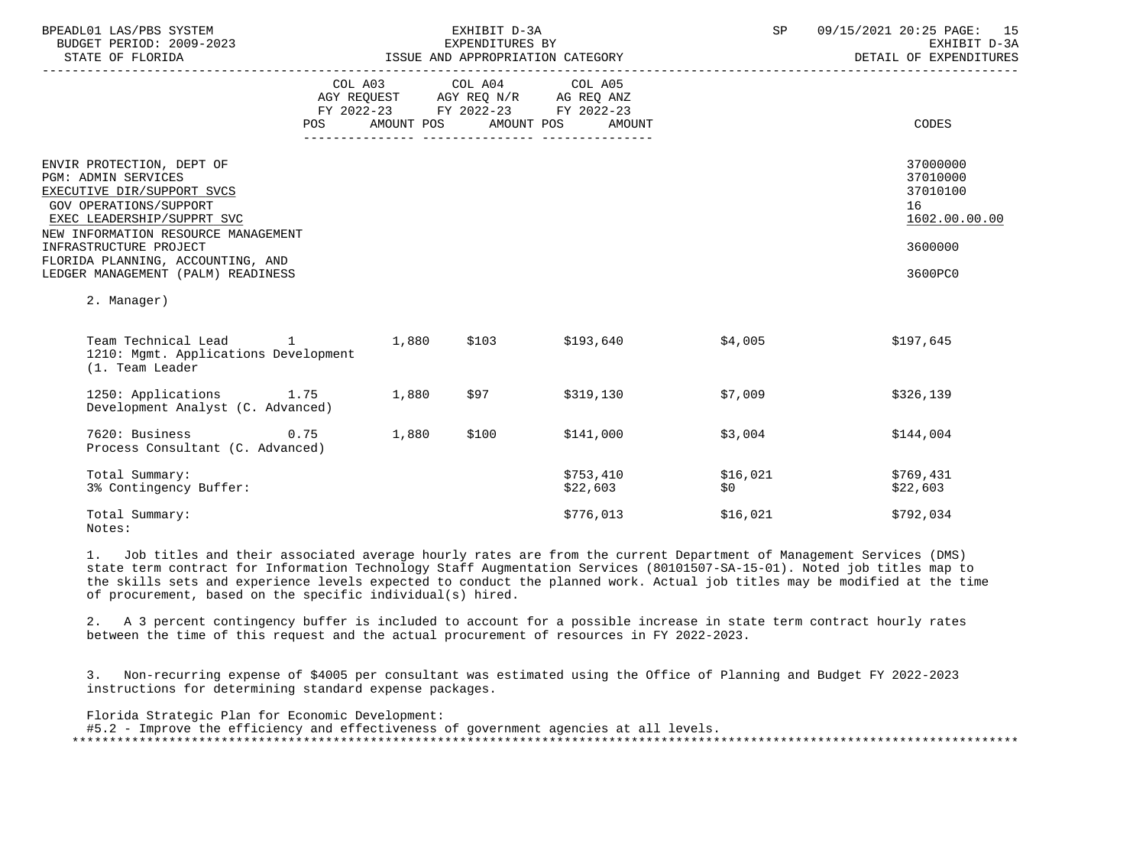| BPEADL01 LAS/PBS SYSTEM<br>BUDGET PERIOD: 2009-2023<br>STATE OF FLORIDA                                                                                                                                                                                                                                         |            |            | EXHIBIT D-3A<br>EXPENDITURES BY                                                                                 | ISSUE AND APPROPRIATION CATEGORY | SP              | 09/15/2021 20:25 PAGE: 15<br>EXHIBIT D-3A<br>DETAIL OF EXPENDITURES           |
|-----------------------------------------------------------------------------------------------------------------------------------------------------------------------------------------------------------------------------------------------------------------------------------------------------------------|------------|------------|-----------------------------------------------------------------------------------------------------------------|----------------------------------|-----------------|-------------------------------------------------------------------------------|
|                                                                                                                                                                                                                                                                                                                 | <b>POS</b> | AMOUNT POS | COL A03 COL A04 COL A05<br>AGY REQUEST AGY REQ N/R AG REQ ANZ<br>FY 2022-23 FY 2022-23 FY 2022-23<br>AMOUNT POS | AMOUNT                           |                 | CODES                                                                         |
| ENVIR PROTECTION, DEPT OF<br><b>PGM: ADMIN SERVICES</b><br>EXECUTIVE DIR/SUPPORT SVCS<br><b>GOV OPERATIONS/SUPPORT</b><br>EXEC LEADERSHIP/SUPPRT SVC<br>NEW INFORMATION RESOURCE MANAGEMENT<br>INFRASTRUCTURE PROJECT<br>FLORIDA PLANNING, ACCOUNTING, AND<br>LEDGER MANAGEMENT (PALM) READINESS<br>2. Manager) |            |            |                                                                                                                 |                                  |                 | 37000000<br>37010000<br>37010100<br>16<br>1602.00.00.00<br>3600000<br>3600PC0 |
| Team Technical Lead<br>1210: Mgmt. Applications Development<br>(1. Team Leader                                                                                                                                                                                                                                  |            |            | $1$ 1,880 \$103 \$193,640                                                                                       |                                  | \$4,005         | \$197,645                                                                     |
| 1250: Applications 1.75 1,880<br>Development Analyst (C. Advanced)                                                                                                                                                                                                                                              |            |            | \$97                                                                                                            | \$319,130                        | \$7,009         | \$326,139                                                                     |
| 7620: Business<br>Process Consultant (C. Advanced)                                                                                                                                                                                                                                                              | 0.75       | 1,880      | \$100                                                                                                           | \$141,000                        | \$3,004         | \$144,004                                                                     |
| Total Summary:<br>3% Contingency Buffer:                                                                                                                                                                                                                                                                        |            |            |                                                                                                                 | \$753,410<br>\$22,603            | \$16,021<br>\$0 | \$769,431<br>\$22,603                                                         |
| Total Summary:<br>Notes:                                                                                                                                                                                                                                                                                        |            |            |                                                                                                                 | \$776,013                        | \$16,021        | \$792,034                                                                     |

 1. Job titles and their associated average hourly rates are from the current Department of Management Services (DMS) state term contract for Information Technology Staff Augmentation Services (80101507-SA-15-01). Noted job titles map to the skills sets and experience levels expected to conduct the planned work. Actual job titles may be modified at the time of procurement, based on the specific individual(s) hired.

 2. A 3 percent contingency buffer is included to account for a possible increase in state term contract hourly rates between the time of this request and the actual procurement of resources in FY 2022-2023.

 3. Non-recurring expense of \$4005 per consultant was estimated using the Office of Planning and Budget FY 2022-2023 instructions for determining standard expense packages.

 Florida Strategic Plan for Economic Development: #5.2 - Improve the efficiency and effectiveness of government agencies at all levels. \*\*\*\*\*\*\*\*\*\*\*\*\*\*\*\*\*\*\*\*\*\*\*\*\*\*\*\*\*\*\*\*\*\*\*\*\*\*\*\*\*\*\*\*\*\*\*\*\*\*\*\*\*\*\*\*\*\*\*\*\*\*\*\*\*\*\*\*\*\*\*\*\*\*\*\*\*\*\*\*\*\*\*\*\*\*\*\*\*\*\*\*\*\*\*\*\*\*\*\*\*\*\*\*\*\*\*\*\*\*\*\*\*\*\*\*\*\*\*\*\*\*\*\*\*\*\*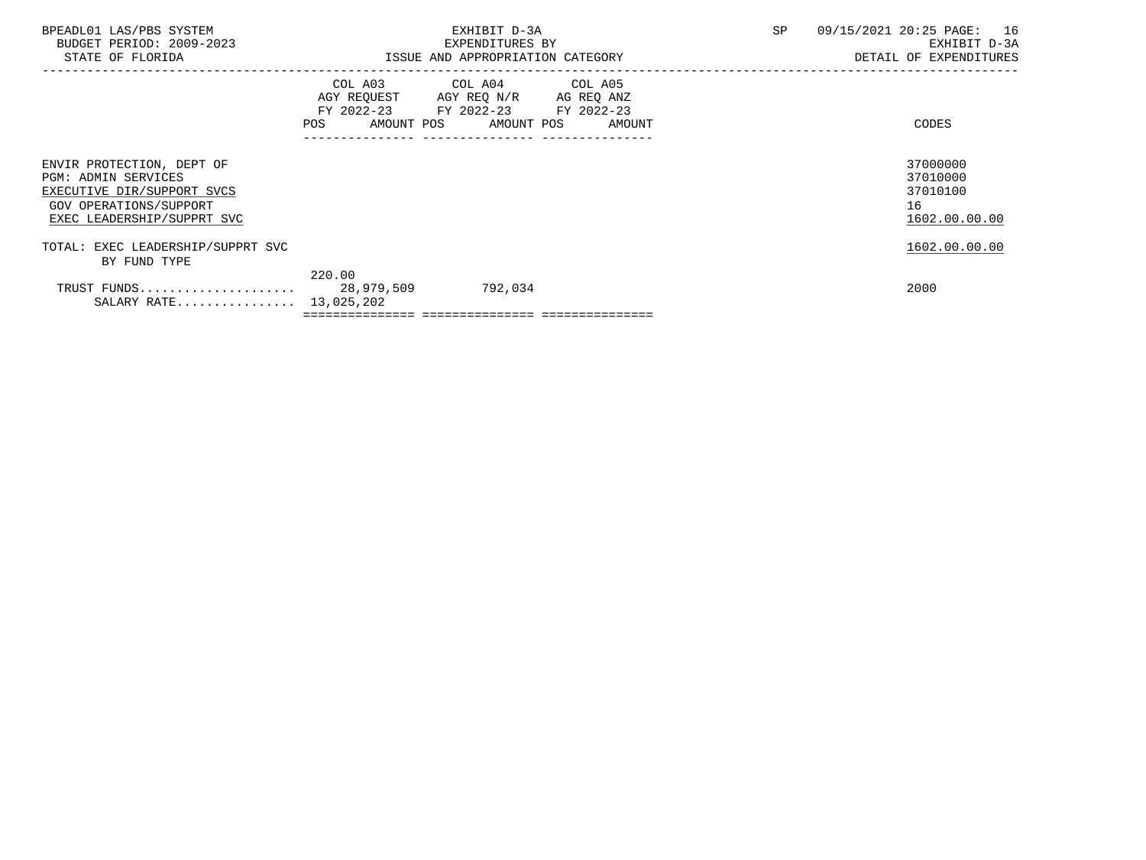| BPEADL01 LAS/PBS SYSTEM<br>BUDGET PERIOD: 2009-2023<br>STATE OF FLORIDA                                                                       |        | EXHIBIT D-3A<br>EXPENDITURES BY<br>ISSUE AND APPROPRIATION CATEGORY                                                               | SP | 09/15/2021 20:25 PAGE: 16<br>EXHIBIT D-3A<br>DETAIL OF EXPENDITURES |
|-----------------------------------------------------------------------------------------------------------------------------------------------|--------|-----------------------------------------------------------------------------------------------------------------------------------|----|---------------------------------------------------------------------|
|                                                                                                                                               | POS    | COL A03 COL A04 COL A05<br>AGY REQUEST AGY REQ N/R AG REQ ANZ<br>FY 2022-23 FY 2022-23 FY 2022-23<br>AMOUNT POS AMOUNT POS AMOUNT |    | CODES                                                               |
| ENVIR PROTECTION, DEPT OF<br><b>PGM: ADMIN SERVICES</b><br>EXECUTIVE DIR/SUPPORT SVCS<br>GOV OPERATIONS/SUPPORT<br>EXEC LEADERSHIP/SUPPRT SVC |        |                                                                                                                                   |    | 37000000<br>37010000<br>37010100<br>16<br>1602.00.00.00             |
| TOTAL: EXEC LEADERSHIP/SUPPRT SVC<br>BY FUND TYPE                                                                                             |        |                                                                                                                                   |    | 1602.00.00.00                                                       |
| SALARY RATE $13,025,202$                                                                                                                      | 220.00 | 792,034                                                                                                                           |    | 2000                                                                |
|                                                                                                                                               |        |                                                                                                                                   |    |                                                                     |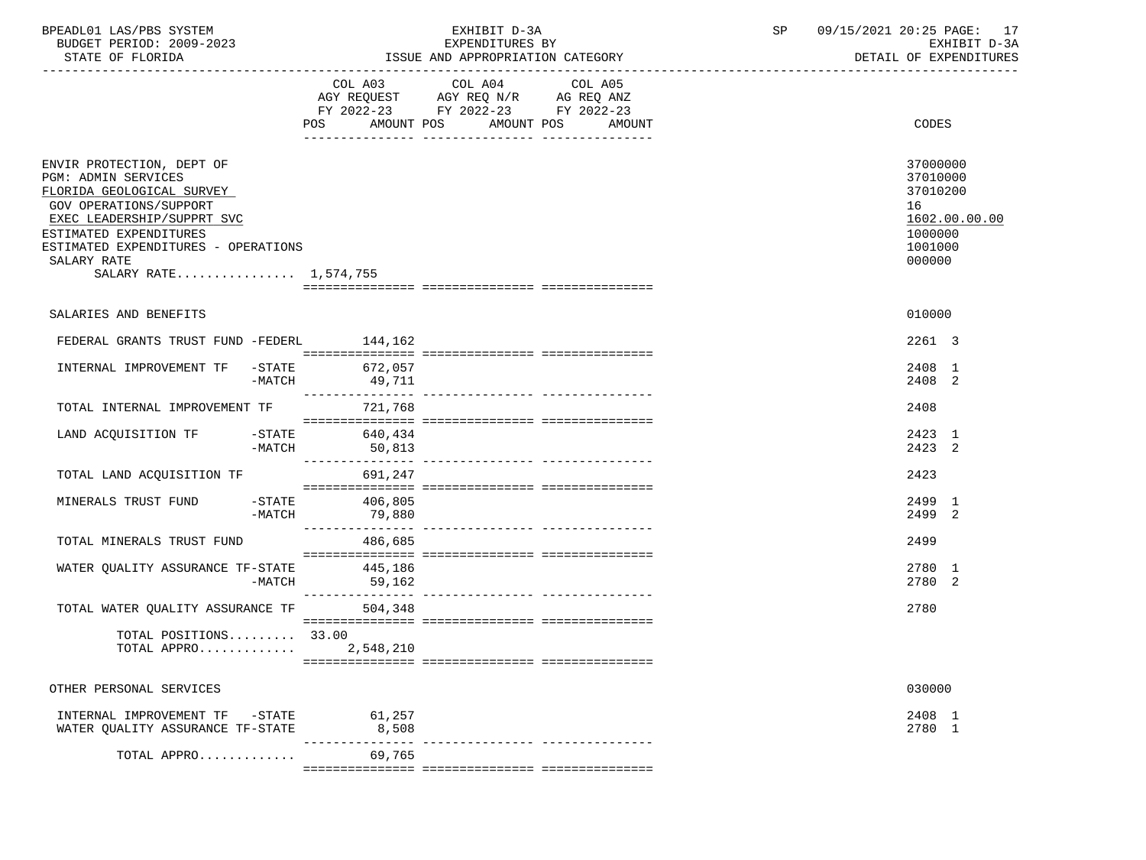| BPEADL01 LAS/PBS SYSTEM<br>BUDGET PERIOD: 2009-2023<br>STATE OF FLORIDA                                                                                                                                                                               |                    |                         | EXHIBIT D-3A<br>EXPENDITURES BY<br>ISSUE AND APPROPRIATION CATEGORY                                                                     | SP | 09/15/2021 20:25 PAGE: 17<br>EXHIBIT D-3A<br>DETAIL OF EXPENDITURES                     |
|-------------------------------------------------------------------------------------------------------------------------------------------------------------------------------------------------------------------------------------------------------|--------------------|-------------------------|-----------------------------------------------------------------------------------------------------------------------------------------|----|-----------------------------------------------------------------------------------------|
|                                                                                                                                                                                                                                                       |                    | POS                     | COL A03 COL A04<br>COL A05<br>AGY REQUEST AGY REQ N/R AG REQ ANZ<br>FY 2022-23 FY 2022-23 FY 2022-23<br>AMOUNT POS AMOUNT POS<br>AMOUNT |    | CODES                                                                                   |
| ENVIR PROTECTION, DEPT OF<br><b>PGM: ADMIN SERVICES</b><br>FLORIDA GEOLOGICAL SURVEY<br>GOV OPERATIONS/SUPPORT<br>EXEC LEADERSHIP/SUPPRT SVC<br>ESTIMATED EXPENDITURES<br>ESTIMATED EXPENDITURES - OPERATIONS<br>SALARY RATE<br>SALARY RATE 1,574,755 |                    |                         |                                                                                                                                         |    | 37000000<br>37010000<br>37010200<br>16<br>1602.00.00.00<br>1000000<br>1001000<br>000000 |
| SALARIES AND BENEFITS                                                                                                                                                                                                                                 |                    |                         |                                                                                                                                         |    | 010000                                                                                  |
| FEDERAL GRANTS TRUST FUND -FEDERL 144,162                                                                                                                                                                                                             |                    |                         |                                                                                                                                         |    | 2261 3                                                                                  |
| INTERNAL IMPROVEMENT TF                                                                                                                                                                                                                               | -STATE<br>$-MATCH$ | 672,057<br>49,711       |                                                                                                                                         |    | 2408 1<br>2408 2                                                                        |
| TOTAL INTERNAL IMPROVEMENT TF                                                                                                                                                                                                                         |                    | 721,768                 |                                                                                                                                         |    | 2408                                                                                    |
| LAND ACQUISITION TF -STATE 640,434                                                                                                                                                                                                                    | -MATCH             | 50,813                  |                                                                                                                                         |    | 2423 1<br>2423 2                                                                        |
| TOTAL LAND ACQUISITION TF                                                                                                                                                                                                                             |                    | 691,247                 |                                                                                                                                         |    | 2423                                                                                    |
| MINERALS TRUST FUND                                                                                                                                                                                                                                   | -STATE<br>$-MATCH$ | 406,805<br>79,880       |                                                                                                                                         |    | 2499 1<br>2499 2                                                                        |
| TOTAL MINERALS TRUST FUND                                                                                                                                                                                                                             |                    | 486,685                 |                                                                                                                                         |    | 2499                                                                                    |
| WATER QUALITY ASSURANCE TF-STATE                                                                                                                                                                                                                      | -MATCH             | 445,186<br>59,162       |                                                                                                                                         |    | 2780 1<br>2780 2                                                                        |
| TOTAL WATER QUALITY ASSURANCE TF                                                                                                                                                                                                                      |                    | 504,348                 |                                                                                                                                         |    | 2780                                                                                    |
| TOTAL POSITIONS 33.00<br>TOTAL APPRO                                                                                                                                                                                                                  |                    | 2,548,210               |                                                                                                                                         |    |                                                                                         |
| OTHER PERSONAL SERVICES                                                                                                                                                                                                                               |                    |                         |                                                                                                                                         |    | 030000                                                                                  |
| INTERNAL IMPROVEMENT TF -STATE<br>WATER QUALITY ASSURANCE TF-STATE                                                                                                                                                                                    |                    | 61,257<br>8,508         |                                                                                                                                         |    | 2408 1<br>2780 1                                                                        |
| TOTAL APPRO                                                                                                                                                                                                                                           |                    | -------------<br>69,765 | ------------- ----------------                                                                                                          |    |                                                                                         |
|                                                                                                                                                                                                                                                       |                    |                         |                                                                                                                                         |    |                                                                                         |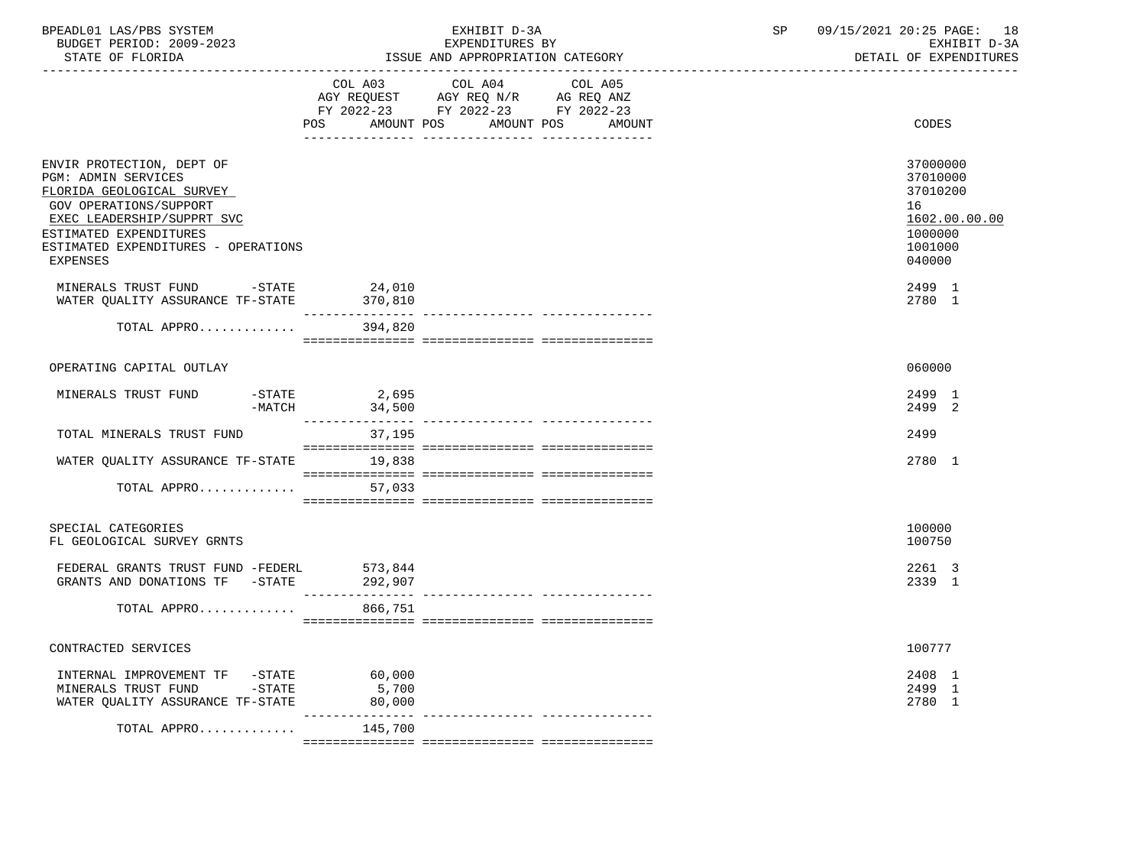| BPEADL01 LAS/PBS SYSTEM<br>BUDGET PERIOD: 2009-2023<br>STATE OF FLORIDA                                                                                                                                                   |                          | EXHIBIT D-3A<br>EXPENDITURES BY<br>ISSUE AND APPROPRIATION CATEGORY                                                                   | 09/15/2021 20:25 PAGE: 18<br>SP<br>EXHIBIT D-3A<br>DETAIL OF EXPENDITURES               |
|---------------------------------------------------------------------------------------------------------------------------------------------------------------------------------------------------------------------------|--------------------------|---------------------------------------------------------------------------------------------------------------------------------------|-----------------------------------------------------------------------------------------|
|                                                                                                                                                                                                                           |                          | COL A03 COL A04 COL A05<br>AGY REQUEST AGY REQ N/R AG REQ ANZ<br>FY 2022-23 FY 2022-23 FY 2022-23<br>POS AMOUNT POS AMOUNT POS AMOUNT | CODES                                                                                   |
| ENVIR PROTECTION, DEPT OF<br>PGM: ADMIN SERVICES<br>FLORIDA GEOLOGICAL SURVEY<br>GOV OPERATIONS/SUPPORT<br>EXEC LEADERSHIP/SUPPRT SVC<br>ESTIMATED EXPENDITURES<br>ESTIMATED EXPENDITURES - OPERATIONS<br><b>EXPENSES</b> |                          |                                                                                                                                       | 37000000<br>37010000<br>37010200<br>16<br>1602.00.00.00<br>1000000<br>1001000<br>040000 |
| MINERALS TRUST FUND -STATE<br>WATER QUALITY ASSURANCE TF-STATE 370,810                                                                                                                                                    | 24,010                   |                                                                                                                                       | 2499 1<br>2780 1                                                                        |
| TOTAL APPRO 394,820                                                                                                                                                                                                       |                          |                                                                                                                                       |                                                                                         |
| OPERATING CAPITAL OUTLAY                                                                                                                                                                                                  |                          |                                                                                                                                       | 060000                                                                                  |
| MINERALS TRUST FUND<br>$ STATE$                                                                                                                                                                                           | 2,695<br>$-MATCH$ 34,500 |                                                                                                                                       | 2499 1<br>2499 2                                                                        |
| TOTAL MINERALS TRUST FUND                                                                                                                                                                                                 | 37,195                   |                                                                                                                                       | 2499                                                                                    |
| WATER QUALITY ASSURANCE TF-STATE 19,838                                                                                                                                                                                   |                          |                                                                                                                                       | 2780 1                                                                                  |
| TOTAL APPRO                                                                                                                                                                                                               | 57,033                   |                                                                                                                                       |                                                                                         |
| SPECIAL CATEGORIES<br>FL GEOLOGICAL SURVEY GRNTS                                                                                                                                                                          |                          |                                                                                                                                       | 100000<br>100750                                                                        |
| FEDERAL GRANTS TRUST FUND -FEDERL 573,844<br>GRANTS AND DONATIONS TF -STATE 292,907                                                                                                                                       |                          |                                                                                                                                       | 2261 3<br>2339 1                                                                        |
| TOTAL APPRO                                                                                                                                                                                                               | 866,751                  |                                                                                                                                       |                                                                                         |
| CONTRACTED SERVICES                                                                                                                                                                                                       |                          |                                                                                                                                       | 100777                                                                                  |
| INTERNAL IMPROVEMENT TF -STATE<br>MINERALS TRUST FUND -STATE<br>WATER QUALITY ASSURANCE TF-STATE 80,000                                                                                                                   | 60,000<br>5,700          |                                                                                                                                       | 2408 1<br>2499 1<br>2780 1                                                              |
| TOTAL APPRO                                                                                                                                                                                                               | 145,700                  |                                                                                                                                       |                                                                                         |
|                                                                                                                                                                                                                           |                          |                                                                                                                                       |                                                                                         |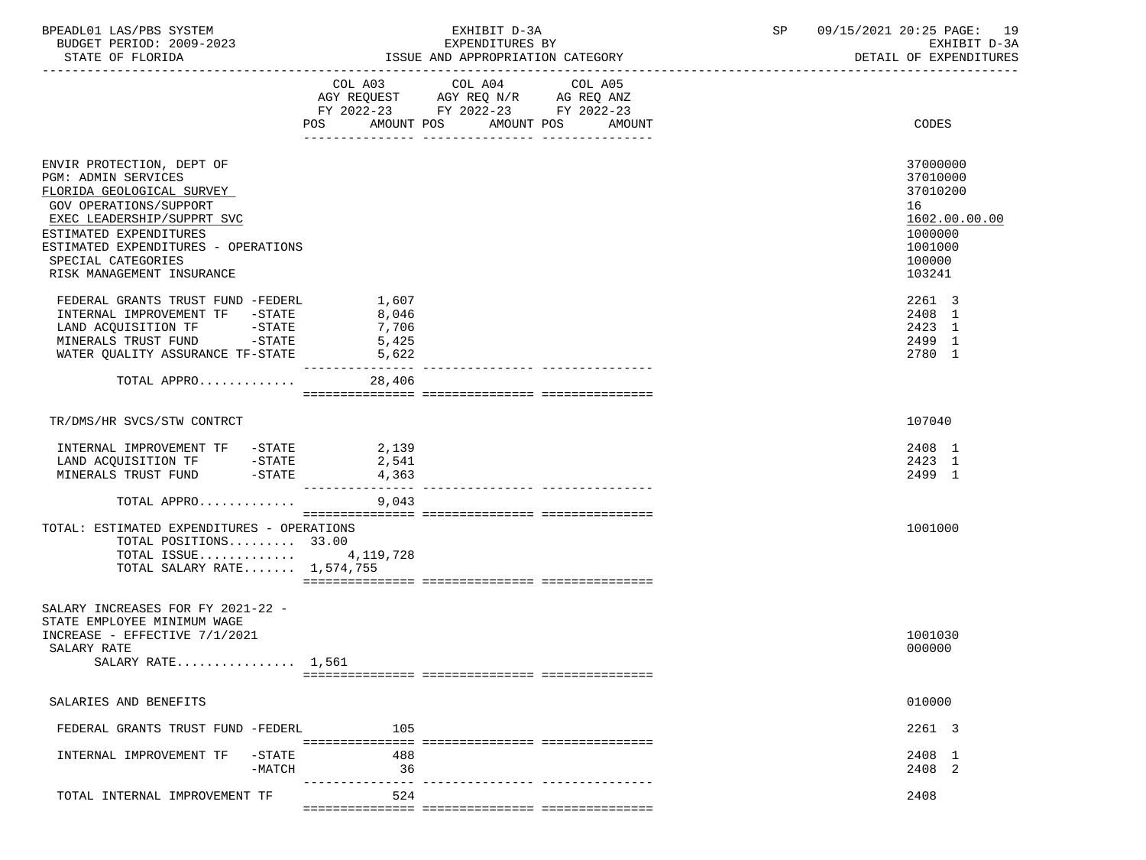| BPEADL01 LAS/PBS SYSTEM  | EXHIBIT D-3A                     | 09/15/2021 20:25 PAGE:<br>19 |
|--------------------------|----------------------------------|------------------------------|
| BUDGET PERIOD: 2009-2023 | EXPENDITURES BY                  | EXHIBIT D-3A                 |
| STATE OF FLORIDA         | ISSUE AND APPROPRIATION CATEGORY | DETAIL OF EXPENDITURES       |

|                                                                                                                                                                                                                                                                  |                                           | $\begin{tabular}{lllllllllll} \multicolumn{4}{l} \multicolumn{4}{c}{} & \multicolumn{4}{c}{} & \multicolumn{4}{c}{} & \multicolumn{4}{c}{} & \multicolumn{4}{c}{} & \multicolumn{4}{c}{} & \multicolumn{4}{c}{} & \multicolumn{4}{c}{} & \multicolumn{4}{c}{} & \multicolumn{4}{c}{} & \multicolumn{4}{c}{} & \multicolumn{4}{c}{} & \multicolumn{4}{c}{} & \multicolumn{4}{c}{} & \multicolumn{4}{c}{} & \multicolumn{4}{c}{} & \multicolumn{4}{c}{} & \multicolumn{4}{c}{} &$<br>FY 2022-23 FY 2022-23 FY 2022-23 |                           |                                                                                                   |
|------------------------------------------------------------------------------------------------------------------------------------------------------------------------------------------------------------------------------------------------------------------|-------------------------------------------|---------------------------------------------------------------------------------------------------------------------------------------------------------------------------------------------------------------------------------------------------------------------------------------------------------------------------------------------------------------------------------------------------------------------------------------------------------------------------------------------------------------------|---------------------------|---------------------------------------------------------------------------------------------------|
|                                                                                                                                                                                                                                                                  | POS<br>AMOUNT POS                         | AMOUNT POS<br>____________                                                                                                                                                                                                                                                                                                                                                                                                                                                                                          | AMOUNT<br>_______________ | CODES                                                                                             |
| ENVIR PROTECTION, DEPT OF<br>PGM: ADMIN SERVICES<br>FLORIDA GEOLOGICAL SURVEY<br><b>GOV OPERATIONS/SUPPORT</b><br>EXEC LEADERSHIP/SUPPRT SVC<br>ESTIMATED EXPENDITURES<br>ESTIMATED EXPENDITURES - OPERATIONS<br>SPECIAL CATEGORIES<br>RISK MANAGEMENT INSURANCE |                                           |                                                                                                                                                                                                                                                                                                                                                                                                                                                                                                                     |                           | 37000000<br>37010000<br>37010200<br>16<br>1602.00.00.00<br>1000000<br>1001000<br>100000<br>103241 |
| FEDERAL GRANTS TRUST FUND -FEDERL<br>INTERNAL IMPROVEMENT TF -STATE<br>LAND ACQUISITION TF -STATE<br>MINERALS TRUST FUND -STATE<br>WATER OUALITY ASSURANCE TF-STATE                                                                                              | 1,607<br>8,046<br>7,706<br>5,425<br>5,622 |                                                                                                                                                                                                                                                                                                                                                                                                                                                                                                                     |                           | 2261 3<br>2408 1<br>2423 1<br>2499 1<br>2780 1                                                    |
| TOTAL APPRO                                                                                                                                                                                                                                                      | ---------------<br>28,406                 |                                                                                                                                                                                                                                                                                                                                                                                                                                                                                                                     |                           |                                                                                                   |
|                                                                                                                                                                                                                                                                  |                                           |                                                                                                                                                                                                                                                                                                                                                                                                                                                                                                                     |                           |                                                                                                   |
| TR/DMS/HR SVCS/STW CONTRCT                                                                                                                                                                                                                                       |                                           |                                                                                                                                                                                                                                                                                                                                                                                                                                                                                                                     |                           | 107040                                                                                            |
| INTERNAL IMPROVEMENT TF -STATE<br>LAND ACQUISITION TF -STATE                                                                                                                                                                                                     | 2,139                                     |                                                                                                                                                                                                                                                                                                                                                                                                                                                                                                                     |                           | 2408 1                                                                                            |
| $-STATE$<br>MINERALS TRUST FUND                                                                                                                                                                                                                                  | 2,541<br>4,363                            |                                                                                                                                                                                                                                                                                                                                                                                                                                                                                                                     |                           | 2423 1<br>2499 1                                                                                  |
| TOTAL APPRO                                                                                                                                                                                                                                                      | ------------<br>9,043                     |                                                                                                                                                                                                                                                                                                                                                                                                                                                                                                                     |                           |                                                                                                   |
| TOTAL: ESTIMATED EXPENDITURES - OPERATIONS<br>TOTAL POSITIONS 33.00<br>TOTAL ISSUE $4,119,728$<br>TOTAL SALARY RATE 1,574,755                                                                                                                                    |                                           |                                                                                                                                                                                                                                                                                                                                                                                                                                                                                                                     |                           | 1001000                                                                                           |
| SALARY INCREASES FOR FY 2021-22 -<br>STATE EMPLOYEE MINIMUM WAGE<br>INCREASE - EFFECTIVE 7/1/2021<br>SALARY RATE<br>SALARY RATE $1,561$                                                                                                                          |                                           |                                                                                                                                                                                                                                                                                                                                                                                                                                                                                                                     |                           | 1001030<br>000000                                                                                 |
| SALARIES AND BENEFITS                                                                                                                                                                                                                                            |                                           |                                                                                                                                                                                                                                                                                                                                                                                                                                                                                                                     |                           | 010000                                                                                            |
| FEDERAL GRANTS TRUST FUND -FEDERL                                                                                                                                                                                                                                | 105                                       |                                                                                                                                                                                                                                                                                                                                                                                                                                                                                                                     |                           | 2261 3                                                                                            |
| -STATE<br>INTERNAL IMPROVEMENT TF<br>-MATCH                                                                                                                                                                                                                      | 488<br>36                                 |                                                                                                                                                                                                                                                                                                                                                                                                                                                                                                                     |                           | 2408 1<br>2408 2                                                                                  |
| TOTAL INTERNAL IMPROVEMENT TF                                                                                                                                                                                                                                    | 524                                       |                                                                                                                                                                                                                                                                                                                                                                                                                                                                                                                     |                           | 2408                                                                                              |

=============== =============== ===============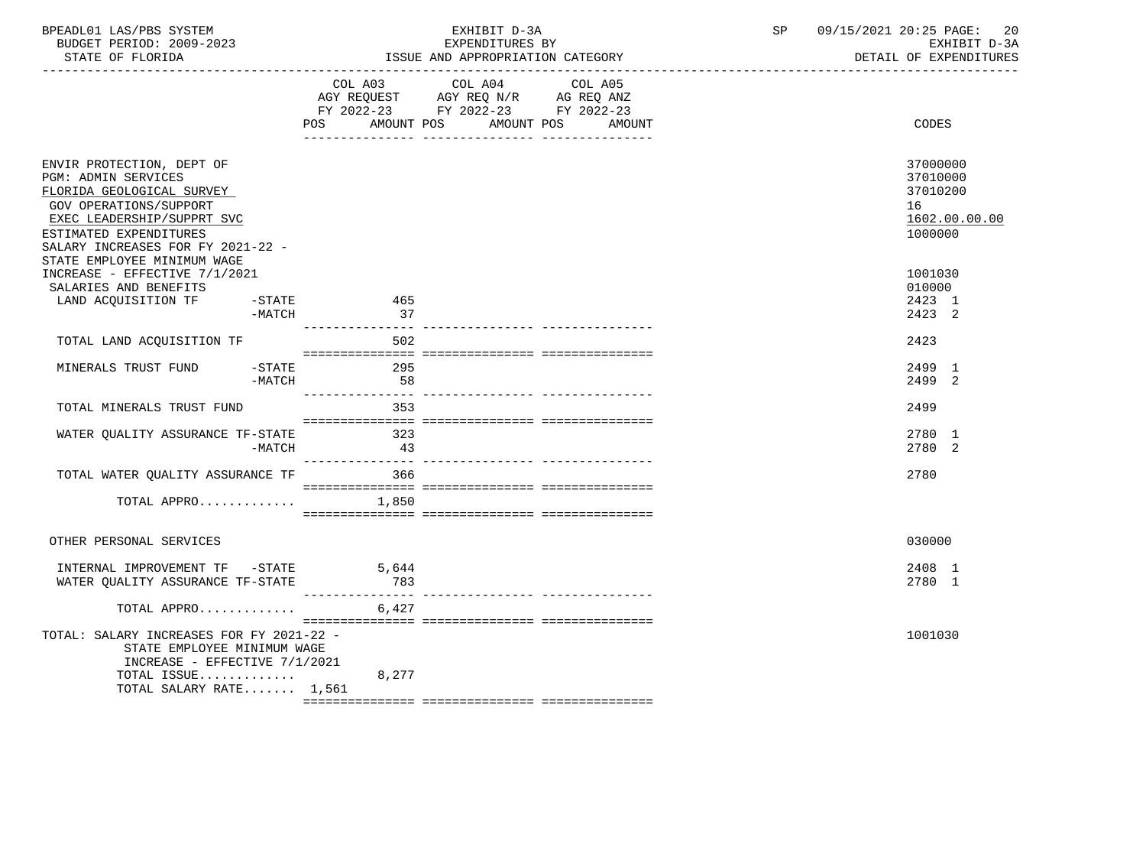| BPEADL01 LAS/PBS SYSTEM<br>BUDGET PERIOD: 2009-2023<br>STATE OF FLORIDA                                                                                                                                                                           | EXHIBIT D-3A<br>EXPENDITURES BY<br>ISSUE AND APPROPRIATION CATEGORY                                                                         | 09/15/2021 20:25 PAGE:<br>SP<br>-20<br>EXHIBIT D-3A<br>DETAIL OF EXPENDITURES |
|---------------------------------------------------------------------------------------------------------------------------------------------------------------------------------------------------------------------------------------------------|---------------------------------------------------------------------------------------------------------------------------------------------|-------------------------------------------------------------------------------|
|                                                                                                                                                                                                                                                   | COL A03 COL A04<br>COL A05<br>AGY REQUEST AGY REQ N/R AG REQ ANZ<br>FY 2022-23 FY 2022-23 FY 2022-23<br>POS AMOUNT POS AMOUNT POS<br>AMOUNT | CODES                                                                         |
| ENVIR PROTECTION, DEPT OF<br><b>PGM: ADMIN SERVICES</b><br>FLORIDA GEOLOGICAL SURVEY<br><b>GOV OPERATIONS/SUPPORT</b><br>EXEC LEADERSHIP/SUPPRT SVC<br>ESTIMATED EXPENDITURES<br>SALARY INCREASES FOR FY 2021-22 -<br>STATE EMPLOYEE MINIMUM WAGE |                                                                                                                                             | 37000000<br>37010000<br>37010200<br>16<br>1602.00.00.00<br>1000000            |
| INCREASE - EFFECTIVE 7/1/2021<br>SALARIES AND BENEFITS<br>LAND ACQUISITION TF<br>$-STATE$<br>-MATCH                                                                                                                                               | 465<br>37                                                                                                                                   | 1001030<br>010000<br>2423 1<br>2423 2                                         |
| TOTAL LAND ACQUISITION TF                                                                                                                                                                                                                         | 502                                                                                                                                         | 2423                                                                          |
| $-STATE$<br>MINERALS TRUST FUND<br>-MATCH                                                                                                                                                                                                         | 295<br>58                                                                                                                                   | 2499 1<br>2499 2                                                              |
| TOTAL MINERALS TRUST FUND                                                                                                                                                                                                                         | 353                                                                                                                                         | 2499                                                                          |
| WATER QUALITY ASSURANCE TF-STATE<br>$-MATCH$                                                                                                                                                                                                      | 323<br>43                                                                                                                                   | 2780 1<br>2780 2                                                              |
| TOTAL WATER QUALITY ASSURANCE TF                                                                                                                                                                                                                  | 366                                                                                                                                         | 2780                                                                          |
| TOTAL APPRO $1,850$                                                                                                                                                                                                                               |                                                                                                                                             |                                                                               |
| OTHER PERSONAL SERVICES                                                                                                                                                                                                                           |                                                                                                                                             | 030000                                                                        |
| INTERNAL IMPROVEMENT TF -STATE<br>WATER QUALITY ASSURANCE TF-STATE                                                                                                                                                                                | 5,644<br>783                                                                                                                                | 2408 1<br>2780 1                                                              |
| TOTAL APPRO                                                                                                                                                                                                                                       | 6,427                                                                                                                                       |                                                                               |
| TOTAL: SALARY INCREASES FOR FY 2021-22 -<br>STATE EMPLOYEE MINIMUM WAGE<br>INCREASE - EFFECTIVE $7/1/2021$<br>TOTAL ISSUE                                                                                                                         | 8,277                                                                                                                                       | 1001030                                                                       |
| TOTAL SALARY RATE 1,561                                                                                                                                                                                                                           |                                                                                                                                             |                                                                               |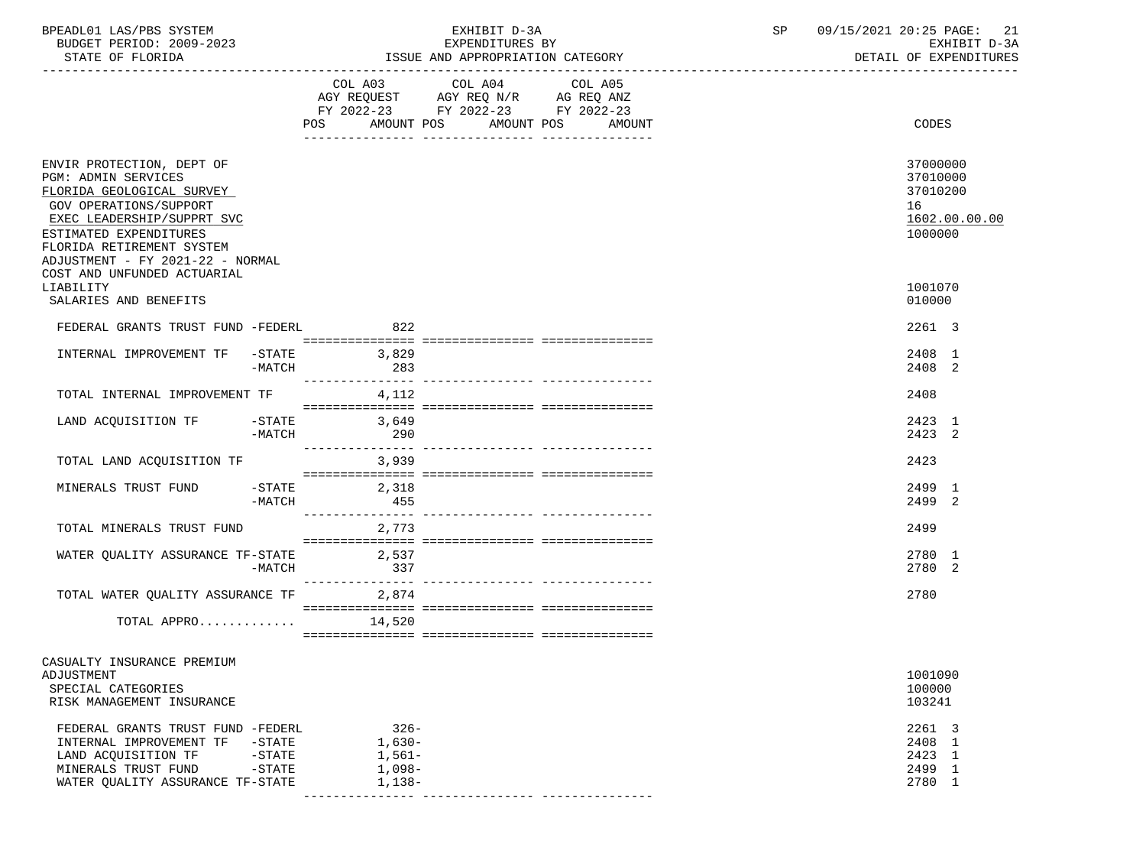| BPEADL01 LAS/PBS SYSTEM<br>BUDGET PERIOD: 2009-2023<br>STATE OF FLORIDA                                                                                                                                                                                                |                                       |                                                     | EXHIBIT D-3A<br>EXPENDITURES BY<br>ISSUE AND APPROPRIATION CATEGORY                       | 09/15/2021 20:25 PAGE: 21<br>SP<br>EXHIBIT D-3A<br>DETAIL OF EXPENDITURES |  |                                                                    |
|------------------------------------------------------------------------------------------------------------------------------------------------------------------------------------------------------------------------------------------------------------------------|---------------------------------------|-----------------------------------------------------|-------------------------------------------------------------------------------------------|---------------------------------------------------------------------------|--|--------------------------------------------------------------------|
|                                                                                                                                                                                                                                                                        |                                       |                                                     | COL A03 COL A04<br>AGY REQUEST AGY REQ N/R AG REQ ANZ<br>FY 2022-23 FY 2022-23 FY 2022-23 | COL A05<br>POS AMOUNT POS AMOUNT POS AMOUNT                               |  | CODES                                                              |
|                                                                                                                                                                                                                                                                        |                                       |                                                     |                                                                                           |                                                                           |  |                                                                    |
| ENVIR PROTECTION, DEPT OF<br><b>PGM: ADMIN SERVICES</b><br>FLORIDA GEOLOGICAL SURVEY<br>GOV OPERATIONS/SUPPORT<br>EXEC LEADERSHIP/SUPPRT SVC<br>ESTIMATED EXPENDITURES<br>FLORIDA RETIREMENT SYSTEM<br>ADJUSTMENT - FY 2021-22 - NORMAL<br>COST AND UNFUNDED ACTUARIAL |                                       |                                                     |                                                                                           |                                                                           |  | 37000000<br>37010000<br>37010200<br>16<br>1602.00.00.00<br>1000000 |
| LIABILITY<br>SALARIES AND BENEFITS                                                                                                                                                                                                                                     |                                       |                                                     |                                                                                           |                                                                           |  | 1001070<br>010000                                                  |
| FEDERAL GRANTS TRUST FUND -FEDERL                                                                                                                                                                                                                                      |                                       | 822                                                 |                                                                                           |                                                                           |  | 2261 3                                                             |
| INTERNAL IMPROVEMENT TF -STATE 3,829                                                                                                                                                                                                                                   |                                       | -MATCH 283                                          |                                                                                           |                                                                           |  | 2408 1<br>2408 2                                                   |
| TOTAL INTERNAL IMPROVEMENT TF 4,112                                                                                                                                                                                                                                    |                                       |                                                     |                                                                                           |                                                                           |  | 2408                                                               |
| LAND ACQUISITION TF -STATE 3,649                                                                                                                                                                                                                                       | $-MATCH$                              | 290                                                 |                                                                                           |                                                                           |  | 2423 1<br>2423 2                                                   |
| TOTAL LAND ACQUISITION TF 3,939                                                                                                                                                                                                                                        |                                       |                                                     |                                                                                           |                                                                           |  | 2423                                                               |
| MINERALS TRUST FUND                                                                                                                                                                                                                                                    |                                       | $-STATE$ 2,318<br>$-MATCH$ 455                      |                                                                                           |                                                                           |  | 2499 1<br>2499 2                                                   |
| TOTAL MINERALS TRUST FUND                                                                                                                                                                                                                                              |                                       | 2,773                                               |                                                                                           |                                                                           |  | 2499                                                               |
| WATER QUALITY ASSURANCE TF-STATE 2,537                                                                                                                                                                                                                                 | -MATCH                                | 337                                                 |                                                                                           |                                                                           |  | 2780 1<br>2780 2                                                   |
| TOTAL WATER QUALITY ASSURANCE TF 2,874                                                                                                                                                                                                                                 |                                       |                                                     |                                                                                           |                                                                           |  | 2780                                                               |
| TOTAL APPRO $14,520$                                                                                                                                                                                                                                                   |                                       |                                                     |                                                                                           |                                                                           |  |                                                                    |
| CASUALTY INSURANCE PREMIUM<br>ADJUSTMENT<br>SPECIAL CATEGORIES<br>RISK MANAGEMENT INSURANCE                                                                                                                                                                            |                                       |                                                     |                                                                                           |                                                                           |  | 1001090<br>100000<br>103241                                        |
| FEDERAL GRANTS TRUST FUND -FEDERL<br>INTERNAL IMPROVEMENT TF<br>LAND ACOUISITION TF<br>MINERALS TRUST FUND<br>WATER QUALITY ASSURANCE TF-STATE                                                                                                                         | -STATE<br>-STATE<br>$-\mathtt{STATE}$ | $326 -$<br>$1,630-$<br>1,561–<br>1,098-<br>$1,138-$ |                                                                                           |                                                                           |  | 2261 3<br>2408 1<br>2423 1<br>2499 1<br>2780 1                     |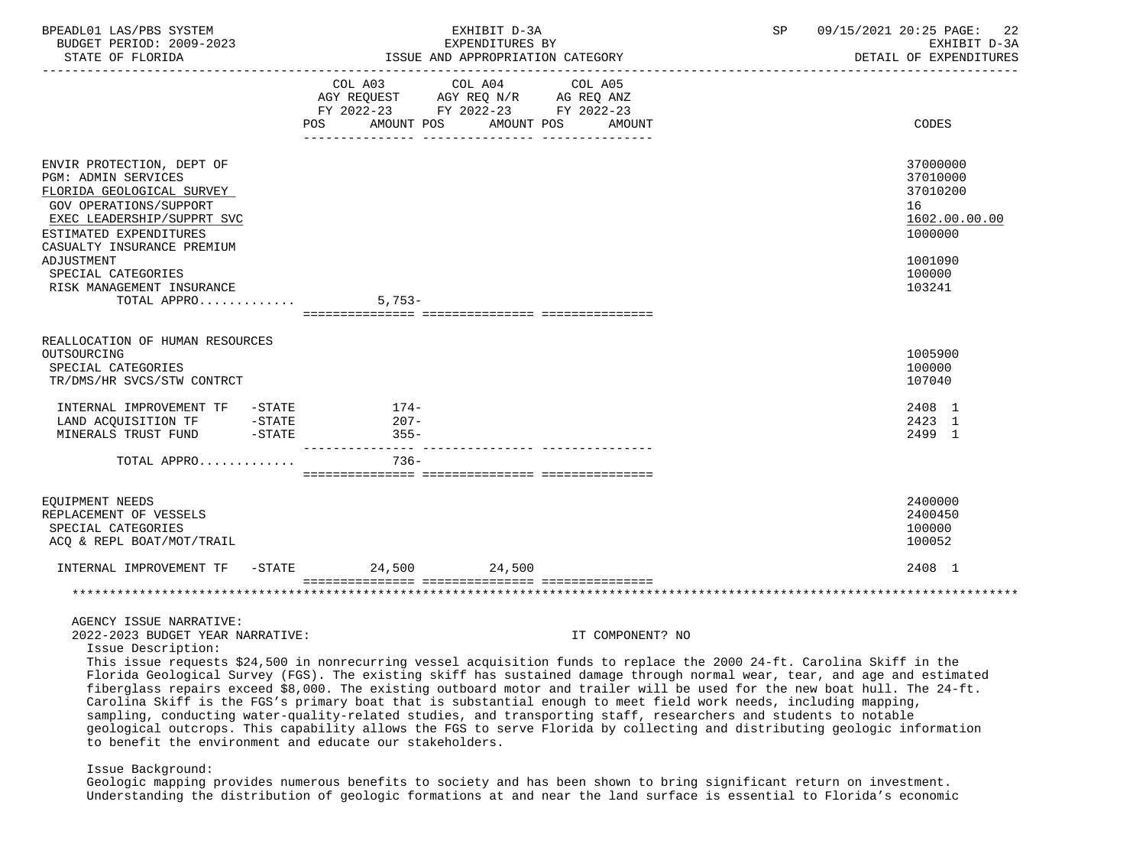| BPEADL01 LAS/PBS SYSTEM<br>BUDGET PERIOD: 2009-2023<br>STATE OF FLORIDA                                                                                                                                            |                   | EXHIBIT D-3A<br>EXPENDITURES BY<br>ISSUE AND APPROPRIATION CATEGORY                                                                                                                                                                                                                                                                                                                                                                                                                          | SP | 09/15/2021 20:25 PAGE:<br>22<br>EXHIBIT D-3A<br>DETAIL OF EXPENDITURES        |
|--------------------------------------------------------------------------------------------------------------------------------------------------------------------------------------------------------------------|-------------------|----------------------------------------------------------------------------------------------------------------------------------------------------------------------------------------------------------------------------------------------------------------------------------------------------------------------------------------------------------------------------------------------------------------------------------------------------------------------------------------------|----|-------------------------------------------------------------------------------|
|                                                                                                                                                                                                                    |                   | COL A03 COL A04 COL A05<br>FY 2022-23 FY 2022-23 FY 2022-23<br>POS AMOUNT POS AMOUNT POS AMOUNT                                                                                                                                                                                                                                                                                                                                                                                              |    | CODES                                                                         |
| ENVIR PROTECTION, DEPT OF<br><b>PGM: ADMIN SERVICES</b><br>FLORIDA GEOLOGICAL SURVEY<br>GOV OPERATIONS/SUPPORT<br>EXEC LEADERSHIP/SUPPRT SVC<br>ESTIMATED EXPENDITURES<br>CASUALTY INSURANCE PREMIUM<br>ADJUSTMENT |                   |                                                                                                                                                                                                                                                                                                                                                                                                                                                                                              |    | 37000000<br>37010000<br>37010200<br>16<br>1602.00.00.00<br>1000000<br>1001090 |
| SPECIAL CATEGORIES<br>RISK MANAGEMENT INSURANCE<br>TOTAL APPRO $\dots\dots\dots\dots$ 5,753-                                                                                                                       |                   |                                                                                                                                                                                                                                                                                                                                                                                                                                                                                              |    | 100000<br>103241                                                              |
| REALLOCATION OF HUMAN RESOURCES<br>OUTSOURCING<br>SPECIAL CATEGORIES<br>TR/DMS/HR SVCS/STW CONTRCT                                                                                                                 |                   |                                                                                                                                                                                                                                                                                                                                                                                                                                                                                              |    | 1005900<br>100000<br>107040                                                   |
| INTERNAL IMPROVEMENT TF -STATE 174-<br>LAND ACQUISITION TF -STATE<br>MINERALS TRUST FUND -STATE                                                                                                                    | $207 -$<br>$355-$ |                                                                                                                                                                                                                                                                                                                                                                                                                                                                                              |    | 2408 1<br>2423 1<br>2499 1                                                    |
| TOTAL APPRO                                                                                                                                                                                                        | $736 -$           |                                                                                                                                                                                                                                                                                                                                                                                                                                                                                              |    |                                                                               |
| EQUIPMENT NEEDS<br>REPLACEMENT OF VESSELS<br>SPECIAL CATEGORIES<br>ACQ & REPL BOAT/MOT/TRAIL                                                                                                                       |                   |                                                                                                                                                                                                                                                                                                                                                                                                                                                                                              |    | 2400000<br>2400450<br>100000<br>100052                                        |
| INTERNAL IMPROVEMENT TF -STATE 24,500 24,500                                                                                                                                                                       |                   |                                                                                                                                                                                                                                                                                                                                                                                                                                                                                              |    | 2408 1                                                                        |
|                                                                                                                                                                                                                    |                   |                                                                                                                                                                                                                                                                                                                                                                                                                                                                                              |    |                                                                               |
| AGENCY ISSUE NARRATIVE:<br>2022-2023 BUDGET YEAR NARRATIVE:<br>Issue Description:                                                                                                                                  |                   | IT COMPONENT? NO<br>This issue requests \$24,500 in nonrecurring vessel acquisition funds to replace the 2000 24-ft. Carolina Skiff in the<br>Florida Geological Survey (FGS). The existing skiff has sustained damage through normal wear, tear, and age and estimated                                                                                                                                                                                                                      |    |                                                                               |
| to benefit the environment and educate our stakeholders.                                                                                                                                                           |                   | fiberglass repairs exceed \$8,000. The existing outboard motor and trailer will be used for the new boat hull. The 24-ft.<br>Carolina Skiff is the FGS's primary boat that is substantial enough to meet field work needs, including mapping,<br>sampling, conducting water-quality-related studies, and transporting staff, researchers and students to notable<br>geological outcrops. This capability allows the FGS to serve Florida by collecting and distributing geologic information |    |                                                                               |

# Issue Background:

 Geologic mapping provides numerous benefits to society and has been shown to bring significant return on investment. Understanding the distribution of geologic formations at and near the land surface is essential to Florida's economic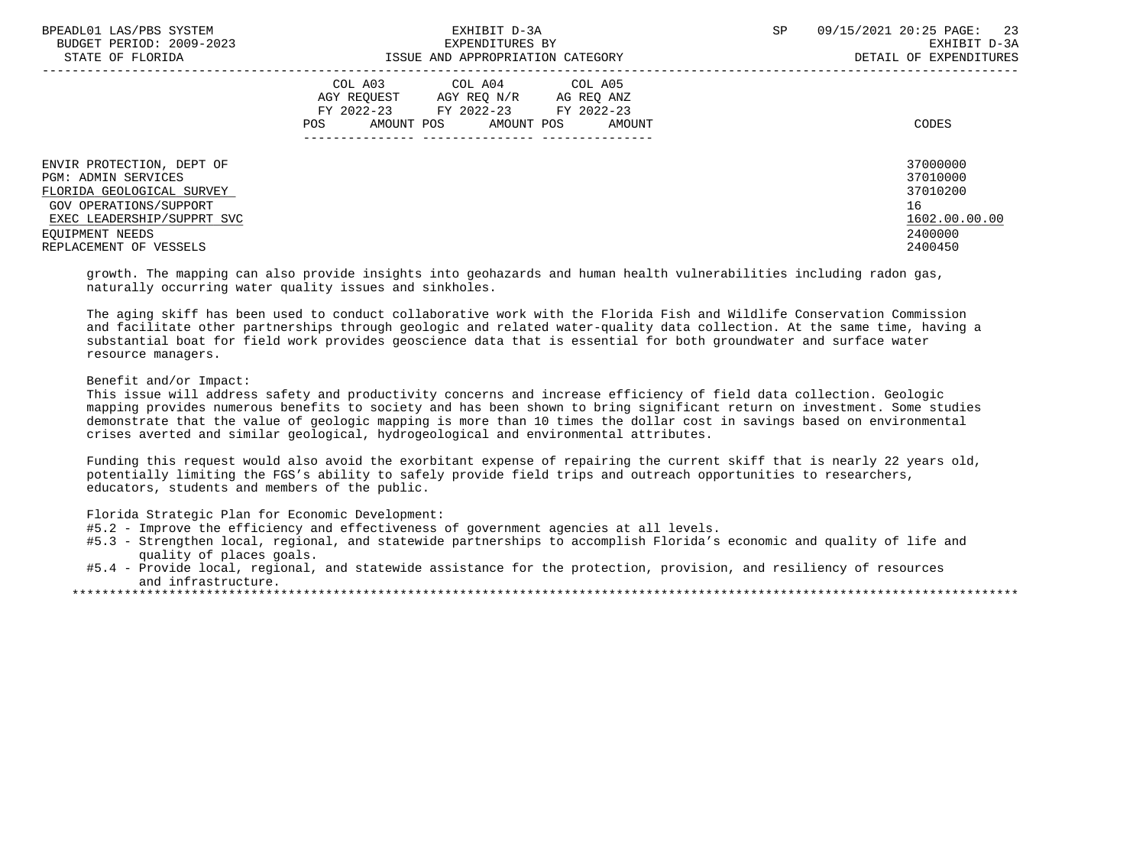| BPEADL01 LAS/PBS SYSTEM<br>BUDGET PERIOD: 2009-2023                                                                                   | EXHIBIT D-3A<br>EXPENDITURES BY                                                                                                                      | SP<br>09/15/2021 20:25 PAGE: 23<br>EXHIBIT D-3A         |
|---------------------------------------------------------------------------------------------------------------------------------------|------------------------------------------------------------------------------------------------------------------------------------------------------|---------------------------------------------------------|
| STATE OF FLORIDA                                                                                                                      | ISSUE AND APPROPRIATION CATEGORY                                                                                                                     | DETAIL OF EXPENDITURES                                  |
|                                                                                                                                       | COL A03 COL A04 COL A05<br>AGY REO N/R<br>AGY REOUEST<br>AG REO ANZ<br>FY 2022-23 FY 2022-23 FY 2022-23<br>AMOUNT POS<br>AMOUNT POS<br>POS<br>AMOUNT | CODES                                                   |
| ENVIR PROTECTION, DEPT OF<br>PGM: ADMIN SERVICES<br>FLORIDA GEOLOGICAL SURVEY<br>GOV OPERATIONS/SUPPORT<br>EXEC LEADERSHIP/SUPPRT SVC |                                                                                                                                                      | 37000000<br>37010000<br>37010200<br>16<br>1602.00.00.00 |
| EOUIPMENT NEEDS<br>REPLACEMENT OF VESSELS                                                                                             |                                                                                                                                                      | 2400000<br>2400450                                      |
|                                                                                                                                       |                                                                                                                                                      |                                                         |

 growth. The mapping can also provide insights into geohazards and human health vulnerabilities including radon gas, naturally occurring water quality issues and sinkholes.

 The aging skiff has been used to conduct collaborative work with the Florida Fish and Wildlife Conservation Commission and facilitate other partnerships through geologic and related water-quality data collection. At the same time, having a substantial boat for field work provides geoscience data that is essential for both groundwater and surface water resource managers.

## Benefit and/or Impact:

 This issue will address safety and productivity concerns and increase efficiency of field data collection. Geologic mapping provides numerous benefits to society and has been shown to bring significant return on investment. Some studies demonstrate that the value of geologic mapping is more than 10 times the dollar cost in savings based on environmental crises averted and similar geological, hydrogeological and environmental attributes.

 Funding this request would also avoid the exorbitant expense of repairing the current skiff that is nearly 22 years old, potentially limiting the FGS's ability to safely provide field trips and outreach opportunities to researchers, educators, students and members of the public.

Florida Strategic Plan for Economic Development:

- #5.2 Improve the efficiency and effectiveness of government agencies at all levels.
- #5.3 Strengthen local, regional, and statewide partnerships to accomplish Florida's economic and quality of life and quality of places goals.
- #5.4 Provide local, regional, and statewide assistance for the protection, provision, and resiliency of resources and infrastructure.
- \*\*\*\*\*\*\*\*\*\*\*\*\*\*\*\*\*\*\*\*\*\*\*\*\*\*\*\*\*\*\*\*\*\*\*\*\*\*\*\*\*\*\*\*\*\*\*\*\*\*\*\*\*\*\*\*\*\*\*\*\*\*\*\*\*\*\*\*\*\*\*\*\*\*\*\*\*\*\*\*\*\*\*\*\*\*\*\*\*\*\*\*\*\*\*\*\*\*\*\*\*\*\*\*\*\*\*\*\*\*\*\*\*\*\*\*\*\*\*\*\*\*\*\*\*\*\*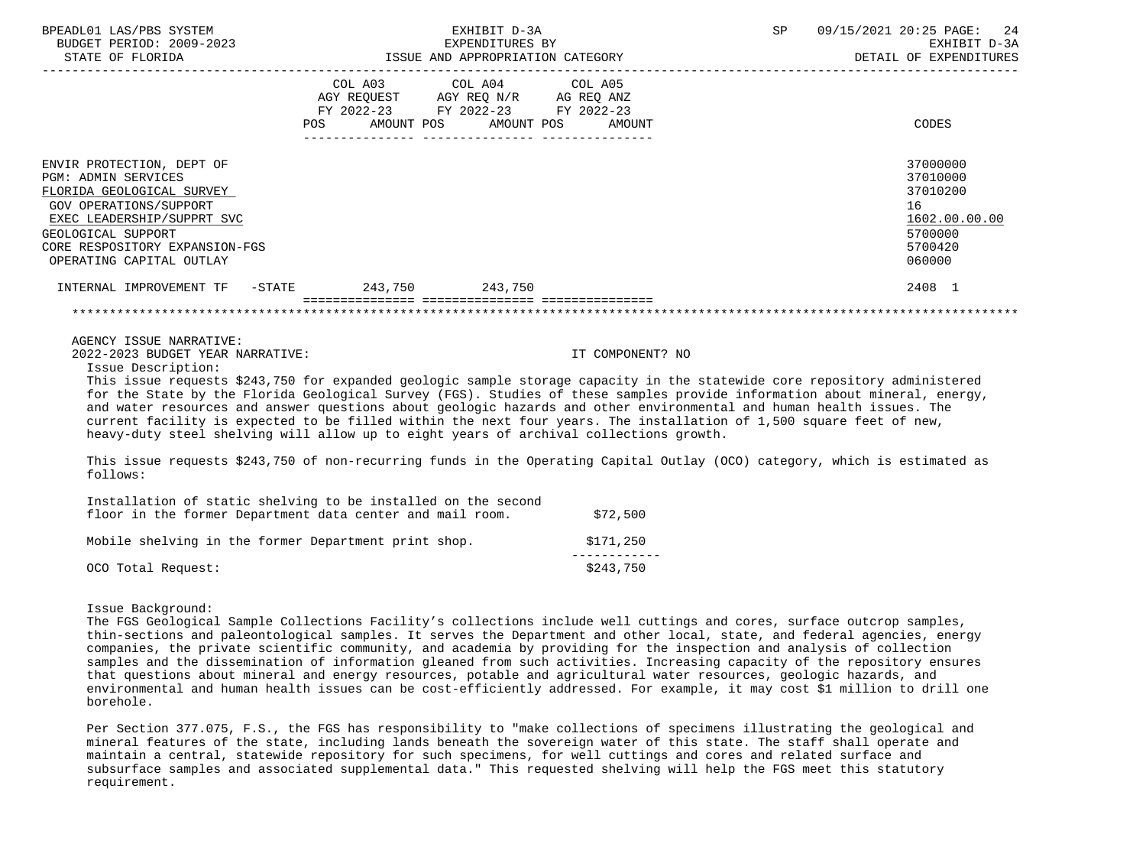| BPEADL01 LAS/PBS SYSTEM                                                                                                                                                                                                          | EXHIBIT D-3A<br>BUDGET PERIOD: 2009-2023 EXHIBIT D-3A<br>STATE OF FLORIDA                                     ISSUE AND APPROPRIATION CATEGORY                         DETAIL OF EXPENDITURES                                                                                                                                                                                                                                                                                                                                                                                                   | SP | 09/15/2021 20:25 PAGE: 24                                                               |
|----------------------------------------------------------------------------------------------------------------------------------------------------------------------------------------------------------------------------------|-------------------------------------------------------------------------------------------------------------------------------------------------------------------------------------------------------------------------------------------------------------------------------------------------------------------------------------------------------------------------------------------------------------------------------------------------------------------------------------------------------------------------------------------------------------------------------------------------|----|-----------------------------------------------------------------------------------------|
|                                                                                                                                                                                                                                  | COL A03 COL A04 COL A05<br>FY 2022-23 FY 2022-23 FY 2022-23<br>POS AMOUNT POS AMOUNT POS AMOUNT                                                                                                                                                                                                                                                                                                                                                                                                                                                                                                 |    | CODES                                                                                   |
| ENVIR PROTECTION, DEPT OF<br><b>PGM: ADMIN SERVICES</b><br>FLORIDA GEOLOGICAL SURVEY<br>GOV OPERATIONS/SUPPORT<br>EXEC LEADERSHIP/SUPPRT SVC<br>GEOLOGICAL SUPPORT<br>CORE RESPOSITORY EXPANSION-FGS<br>OPERATING CAPITAL OUTLAY |                                                                                                                                                                                                                                                                                                                                                                                                                                                                                                                                                                                                 |    | 37000000<br>37010000<br>37010200<br>16<br>1602.00.00.00<br>5700000<br>5700420<br>060000 |
|                                                                                                                                                                                                                                  | INTERNAL IMPROVEMENT TF -STATE 243,750 243,750                                                                                                                                                                                                                                                                                                                                                                                                                                                                                                                                                  |    | 2408 1                                                                                  |
|                                                                                                                                                                                                                                  |                                                                                                                                                                                                                                                                                                                                                                                                                                                                                                                                                                                                 |    |                                                                                         |
| AGENCY ISSUE NARRATIVE:<br>2022-2023 BUDGET YEAR NARRATIVE:<br>Issue Description:                                                                                                                                                | IT COMPONENT? NO                                                                                                                                                                                                                                                                                                                                                                                                                                                                                                                                                                                |    |                                                                                         |
|                                                                                                                                                                                                                                  | This issue requests \$243,750 for expanded geologic sample storage capacity in the statewide core repository administered<br>for the State by the Florida Geological Survey (FGS). Studies of these samples provide information about mineral, energy,<br>and water resources and answer questions about geologic hazards and other environmental and human health issues. The<br>current facility is expected to be filled within the next four years. The installation of 1,500 square feet of new,<br>heavy-duty steel shelving will allow up to eight years of archival collections growth. |    |                                                                                         |
| follows:                                                                                                                                                                                                                         | This issue requests \$243,750 of non-recurring funds in the Operating Capital Outlay (OCO) category, which is estimated as                                                                                                                                                                                                                                                                                                                                                                                                                                                                      |    |                                                                                         |
|                                                                                                                                                                                                                                  | Installation of static shelving to be installed on the second<br>floor in the former Department data center and mail room. \$72,500                                                                                                                                                                                                                                                                                                                                                                                                                                                             |    |                                                                                         |

| Mobile shelving in the former Department print shop. |  |  | \$171,250 |  |
|------------------------------------------------------|--|--|-----------|--|
|                                                      |  |  |           |  |
| OCO Total Request:                                   |  |  | \$243,750 |  |

Issue Background:

 The FGS Geological Sample Collections Facility's collections include well cuttings and cores, surface outcrop samples, thin-sections and paleontological samples. It serves the Department and other local, state, and federal agencies, energy companies, the private scientific community, and academia by providing for the inspection and analysis of collection samples and the dissemination of information gleaned from such activities. Increasing capacity of the repository ensures that questions about mineral and energy resources, potable and agricultural water resources, geologic hazards, and environmental and human health issues can be cost-efficiently addressed. For example, it may cost \$1 million to drill one borehole.

 Per Section 377.075, F.S., the FGS has responsibility to "make collections of specimens illustrating the geological and mineral features of the state, including lands beneath the sovereign water of this state. The staff shall operate and maintain a central, statewide repository for such specimens, for well cuttings and cores and related surface and subsurface samples and associated supplemental data." This requested shelving will help the FGS meet this statutory requirement.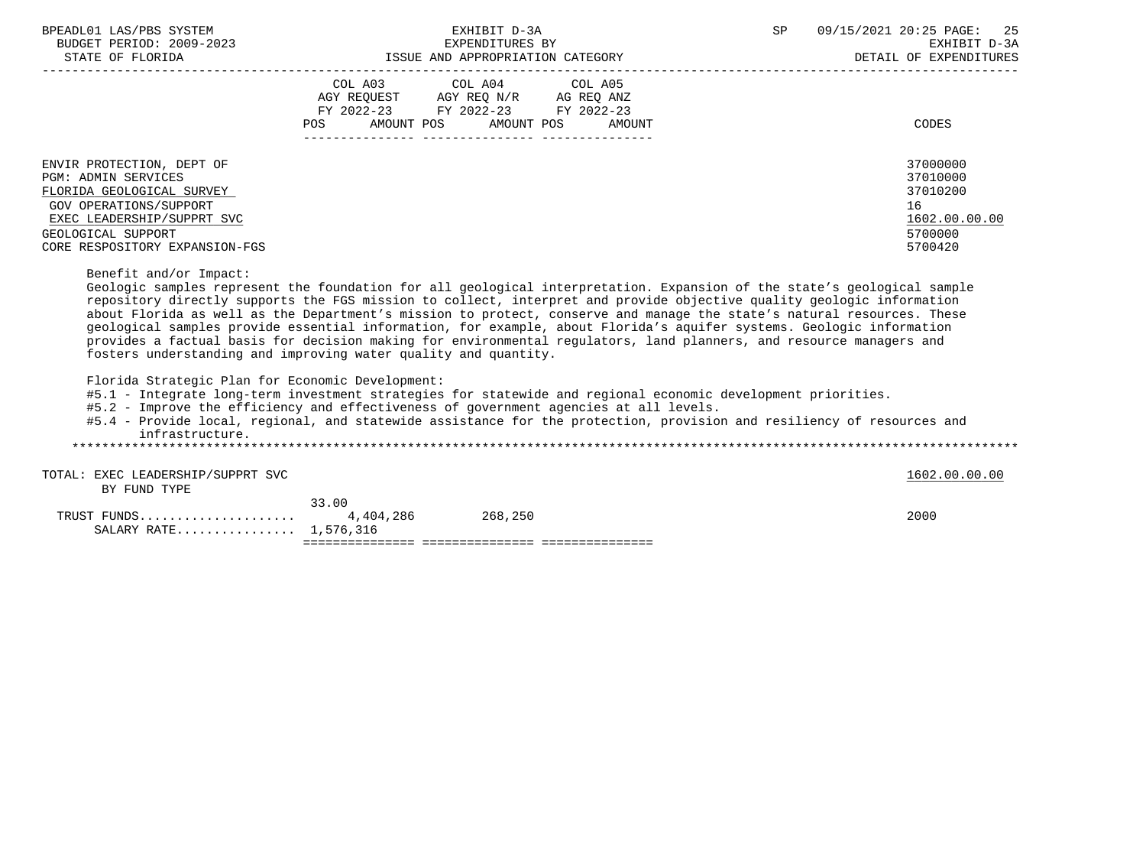| BPEADL01 LAS/PBS SYSTEM<br>BUDGET PERIOD: 2009-2023                                                                                                                                                                                                                                                                                                                                                                                                                                                                                                                                                                                                                                                                    |                                                                                             | EXHIBIT D-3A<br>EXPENDITURES BY       |                                                           | SP | 09/15/2021 20:25 PAGE:<br>25<br>EXHIBIT D-3A                                  |
|------------------------------------------------------------------------------------------------------------------------------------------------------------------------------------------------------------------------------------------------------------------------------------------------------------------------------------------------------------------------------------------------------------------------------------------------------------------------------------------------------------------------------------------------------------------------------------------------------------------------------------------------------------------------------------------------------------------------|---------------------------------------------------------------------------------------------|---------------------------------------|-----------------------------------------------------------|----|-------------------------------------------------------------------------------|
| STATE OF FLORIDA                                                                                                                                                                                                                                                                                                                                                                                                                                                                                                                                                                                                                                                                                                       |                                                                                             |                                       | -2023 EXPENDITURES BY<br>ISSUE AND APPROPRIATION CATEGORY |    | DETAIL OF EXPENDITURES                                                        |
|                                                                                                                                                                                                                                                                                                                                                                                                                                                                                                                                                                                                                                                                                                                        | AGY REQUEST AGY REQ N/R AG REQ ANZ<br>FY 2022-23 FY 2022-23 FY 2022-23<br>AMOUNT POS<br>POS | COL A03 COL A04 COL A05<br>AMOUNT POS | AMOUNT                                                    |    | <b>CODES</b>                                                                  |
| ENVIR PROTECTION, DEPT OF<br><b>PGM: ADMIN SERVICES</b><br>FLORIDA GEOLOGICAL SURVEY<br>GOV OPERATIONS/SUPPORT<br>EXEC LEADERSHIP/SUPPRT SVC<br>GEOLOGICAL SUPPORT<br>CORE RESPOSITORY EXPANSION-FGS                                                                                                                                                                                                                                                                                                                                                                                                                                                                                                                   |                                                                                             |                                       |                                                           |    | 37000000<br>37010000<br>37010200<br>16<br>1602.00.00.00<br>5700000<br>5700420 |
| Benefit and/or Impact:<br>Geologic samples represent the foundation for all geological interpretation. Expansion of the state's geological sample<br>repository directly supports the FGS mission to collect, interpret and provide objective quality geologic information<br>about Florida as well as the Department's mission to protect, conserve and manage the state's natural resources. These<br>geological samples provide essential information, for example, about Florida's aquifer systems. Geologic information<br>provides a factual basis for decision making for environmental regulators, land planners, and resource managers and<br>fosters understanding and improving water quality and quantity. |                                                                                             |                                       |                                                           |    |                                                                               |
| Florida Strategic Plan for Economic Development:<br>#5.1 - Integrate long-term investment strategies for statewide and regional economic development priorities.<br>#5.2 - Improve the efficiency and effectiveness of government agencies at all levels.<br>#5.4 - Provide local, regional, and statewide assistance for the protection, provision and resiliency of resources and<br>infrastructure.                                                                                                                                                                                                                                                                                                                 |                                                                                             |                                       |                                                           |    |                                                                               |
| TOTAL: EXEC LEADERSHIP/SUPPRT SVC<br>BY FUND TYPE                                                                                                                                                                                                                                                                                                                                                                                                                                                                                                                                                                                                                                                                      |                                                                                             |                                       |                                                           |    | 1602.00.00.00                                                                 |
| SALARY RATE 1,576,316                                                                                                                                                                                                                                                                                                                                                                                                                                                                                                                                                                                                                                                                                                  | 33.00                                                                                       |                                       |                                                           |    | 2000                                                                          |
|                                                                                                                                                                                                                                                                                                                                                                                                                                                                                                                                                                                                                                                                                                                        |                                                                                             |                                       |                                                           |    |                                                                               |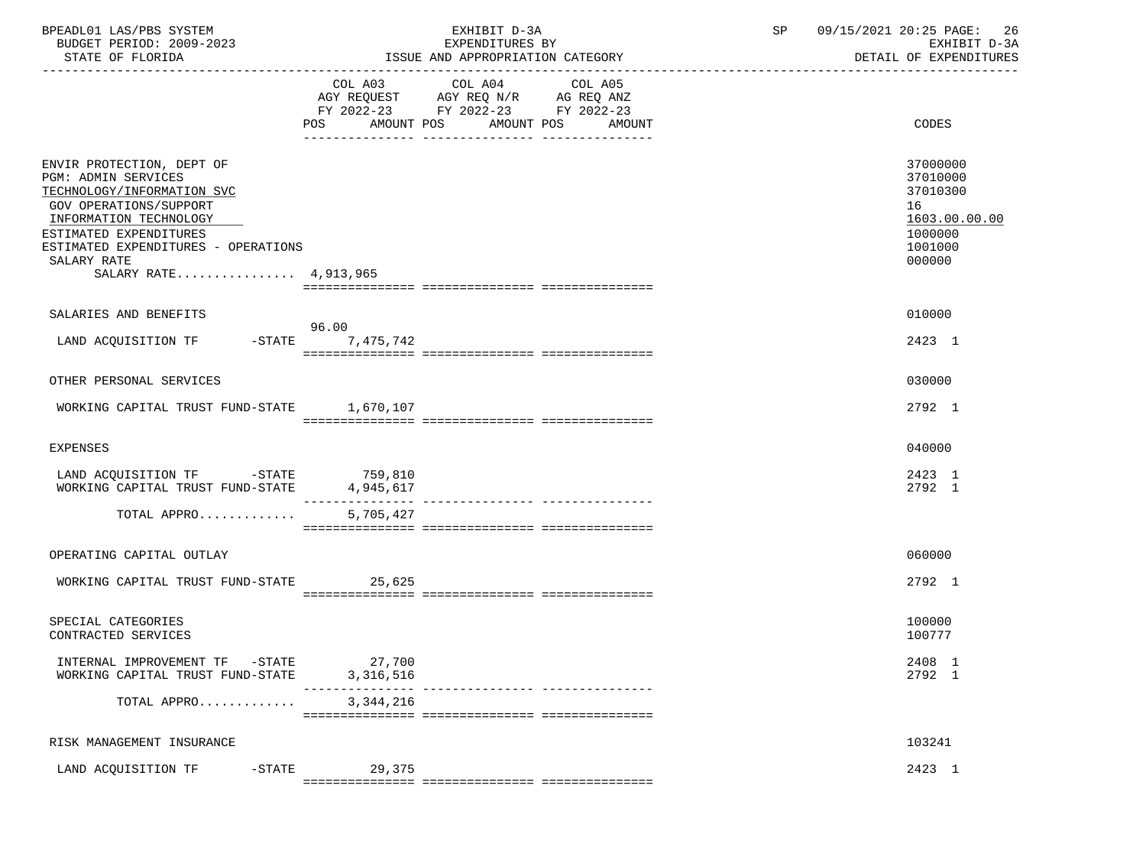| BPEADL01 LAS/PBS SYSTEM<br>BUDGET PERIOD: 2009-2023<br>STATE OF FLORIDA                                                                                                                                                                            | EXHIBIT D-3A<br>EXPENDITURES BY<br>ISSUE AND APPROPRIATION CATEGORY                                                                   | 09/15/2021 20:25 PAGE: 26<br>SP<br>EXHIBIT D-3A<br>DETAIL OF EXPENDITURES               |
|----------------------------------------------------------------------------------------------------------------------------------------------------------------------------------------------------------------------------------------------------|---------------------------------------------------------------------------------------------------------------------------------------|-----------------------------------------------------------------------------------------|
|                                                                                                                                                                                                                                                    | COL A03 COL A04 COL A05<br>AGY REQUEST AGY REQ N/R AG REQ ANZ<br>FY 2022-23 FY 2022-23 FY 2022-23<br>POS AMOUNT POS AMOUNT POS AMOUNT | CODES                                                                                   |
| ENVIR PROTECTION, DEPT OF<br><b>PGM: ADMIN SERVICES</b><br>TECHNOLOGY/INFORMATION SVC<br>GOV OPERATIONS/SUPPORT<br>INFORMATION TECHNOLOGY<br>ESTIMATED EXPENDITURES<br>ESTIMATED EXPENDITURES - OPERATIONS<br>SALARY RATE<br>SALARY RATE 4,913,965 |                                                                                                                                       | 37000000<br>37010000<br>37010300<br>16<br>1603.00.00.00<br>1000000<br>1001000<br>000000 |
| SALARIES AND BENEFITS                                                                                                                                                                                                                              | 96.00                                                                                                                                 | 010000                                                                                  |
| LAND ACQUISITION TF -STATE 7,475,742                                                                                                                                                                                                               |                                                                                                                                       | 2423 1                                                                                  |
| OTHER PERSONAL SERVICES                                                                                                                                                                                                                            |                                                                                                                                       | 030000                                                                                  |
| WORKING CAPITAL TRUST FUND-STATE 1,670,107                                                                                                                                                                                                         |                                                                                                                                       | 2792 1                                                                                  |
| EXPENSES                                                                                                                                                                                                                                           |                                                                                                                                       | 040000                                                                                  |
| LAND ACQUISITION TF -STATE 759,810<br>WORKING CAPITAL TRUST FUND-STATE 4,945,617                                                                                                                                                                   | 4,945,617                                                                                                                             | 2423 1<br>2792 1                                                                        |
| TOTAL APPRO                                                                                                                                                                                                                                        | 5,705,427                                                                                                                             |                                                                                         |
| OPERATING CAPITAL OUTLAY                                                                                                                                                                                                                           |                                                                                                                                       | 060000                                                                                  |
| WORKING CAPITAL TRUST FUND-STATE 25,625                                                                                                                                                                                                            |                                                                                                                                       | 2792 1                                                                                  |
| SPECIAL CATEGORIES<br>CONTRACTED SERVICES                                                                                                                                                                                                          |                                                                                                                                       | 100000<br>100777                                                                        |
| INTERNAL IMPROVEMENT TF -STATE<br>WORKING CAPITAL TRUST FUND-STATE                                                                                                                                                                                 | 27,700<br>3,316,516                                                                                                                   | 2408 1<br>2792 1                                                                        |
| TOTAL APPRO                                                                                                                                                                                                                                        | 3, 344, 216                                                                                                                           |                                                                                         |
| RISK MANAGEMENT INSURANCE                                                                                                                                                                                                                          |                                                                                                                                       | 103241                                                                                  |
| $-$ STATE<br>LAND ACQUISITION TF                                                                                                                                                                                                                   | 29,375                                                                                                                                | 2423 1                                                                                  |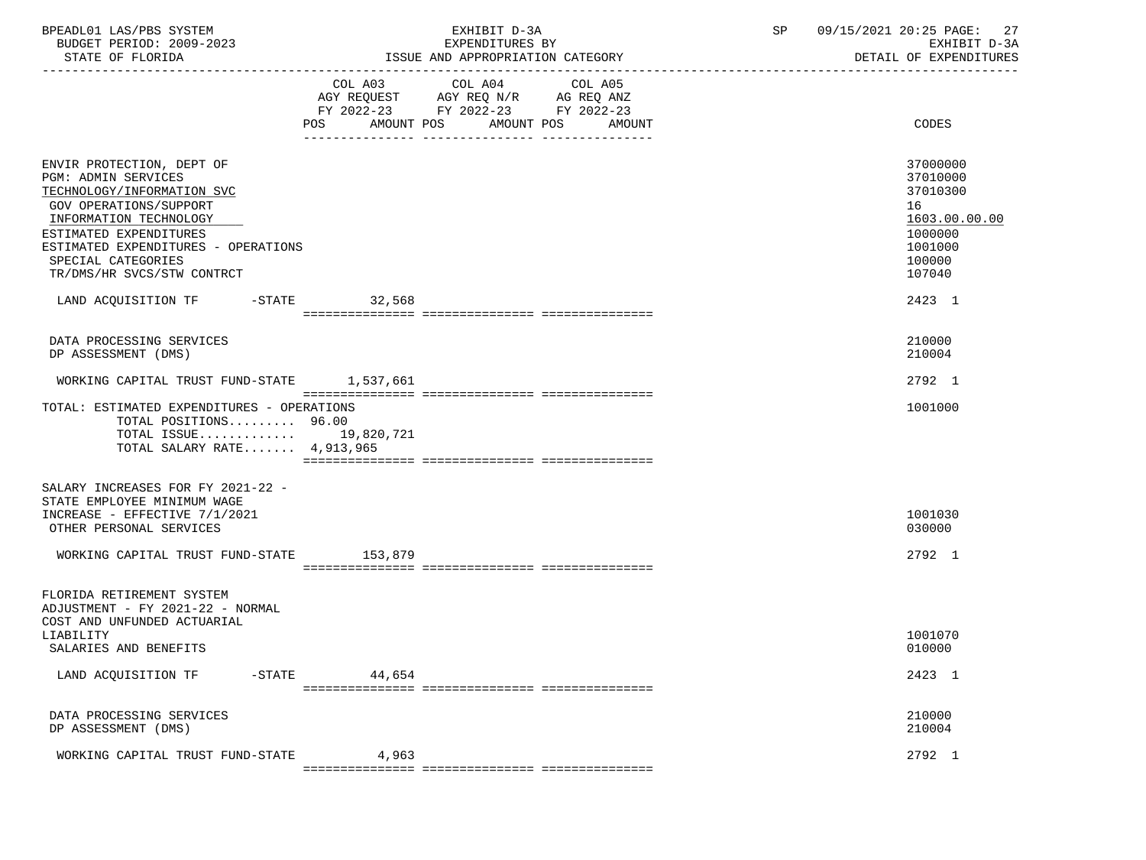| BPEADL01 LAS/PBS SYSTEM  | RYHTRTT D-3A                     | 09/15/2021 20:25 PAGE: 27      |
|--------------------------|----------------------------------|--------------------------------|
| BUDGET PERIOD: 2009-2023 | EXPENDITURES BY                  |                                |
| STATE OF FLORIDA         | ISSUE AND APPROPRIATION CATEGORY | . OF EXPENDITHERS<br>וד מידיםת |
|                          |                                  |                                |

|                                                                                                                                                                                                                                                                | COL A03<br>AMOUNT POS<br>POS | COL A04 COL A05<br>AGY REQUEST AGY REQ N/R AG REQ ANZ<br>FY 2022-23 FY 2022-23 FY 2022-23 | AMOUNT POS AMOUNT | CODES                                                                                             |
|----------------------------------------------------------------------------------------------------------------------------------------------------------------------------------------------------------------------------------------------------------------|------------------------------|-------------------------------------------------------------------------------------------|-------------------|---------------------------------------------------------------------------------------------------|
| ENVIR PROTECTION, DEPT OF<br><b>PGM: ADMIN SERVICES</b><br>TECHNOLOGY/INFORMATION SVC<br>GOV OPERATIONS/SUPPORT<br>INFORMATION TECHNOLOGY<br>ESTIMATED EXPENDITURES<br>ESTIMATED EXPENDITURES - OPERATIONS<br>SPECIAL CATEGORIES<br>TR/DMS/HR SVCS/STW CONTRCT |                              |                                                                                           |                   | 37000000<br>37010000<br>37010300<br>16<br>1603.00.00.00<br>1000000<br>1001000<br>100000<br>107040 |
| LAND ACQUISITION TF -STATE 32,568                                                                                                                                                                                                                              |                              |                                                                                           |                   | 2423 1                                                                                            |
| DATA PROCESSING SERVICES<br>DP ASSESSMENT (DMS)<br>WORKING CAPITAL TRUST FUND-STATE 1,537,661                                                                                                                                                                  |                              |                                                                                           |                   | 210000<br>210004<br>2792 1                                                                        |
| TOTAL: ESTIMATED EXPENDITURES - OPERATIONS<br>TOTAL POSITIONS 96.00<br>TOTAL ISSUE 19,820,721<br>TOTAL SALARY RATE $4,913,965$                                                                                                                                 |                              |                                                                                           |                   | 1001000                                                                                           |
| SALARY INCREASES FOR FY 2021-22 -<br>STATE EMPLOYEE MINIMUM WAGE<br>INCREASE - EFFECTIVE 7/1/2021<br>OTHER PERSONAL SERVICES                                                                                                                                   |                              |                                                                                           |                   | 1001030<br>030000                                                                                 |
| WORKING CAPITAL TRUST FUND-STATE 153,879                                                                                                                                                                                                                       |                              |                                                                                           |                   | 2792 1                                                                                            |
| FLORIDA RETIREMENT SYSTEM<br>ADJUSTMENT - FY 2021-22 - NORMAL<br>COST AND UNFUNDED ACTUARIAL<br>LIABILITY<br>SALARIES AND BENEFITS                                                                                                                             |                              |                                                                                           |                   | 1001070<br>010000                                                                                 |
| LAND ACQUISITION TF                                                                                                                                                                                                                                            | $-$ STATE $44,654$           |                                                                                           |                   | 2423 1                                                                                            |
| DATA PROCESSING SERVICES<br>DP ASSESSMENT (DMS)                                                                                                                                                                                                                |                              |                                                                                           |                   | 210000<br>210004                                                                                  |
| WORKING CAPITAL TRUST FUND-STATE                                                                                                                                                                                                                               | 4,963                        |                                                                                           |                   | 2792 1                                                                                            |

=============== =============== ===============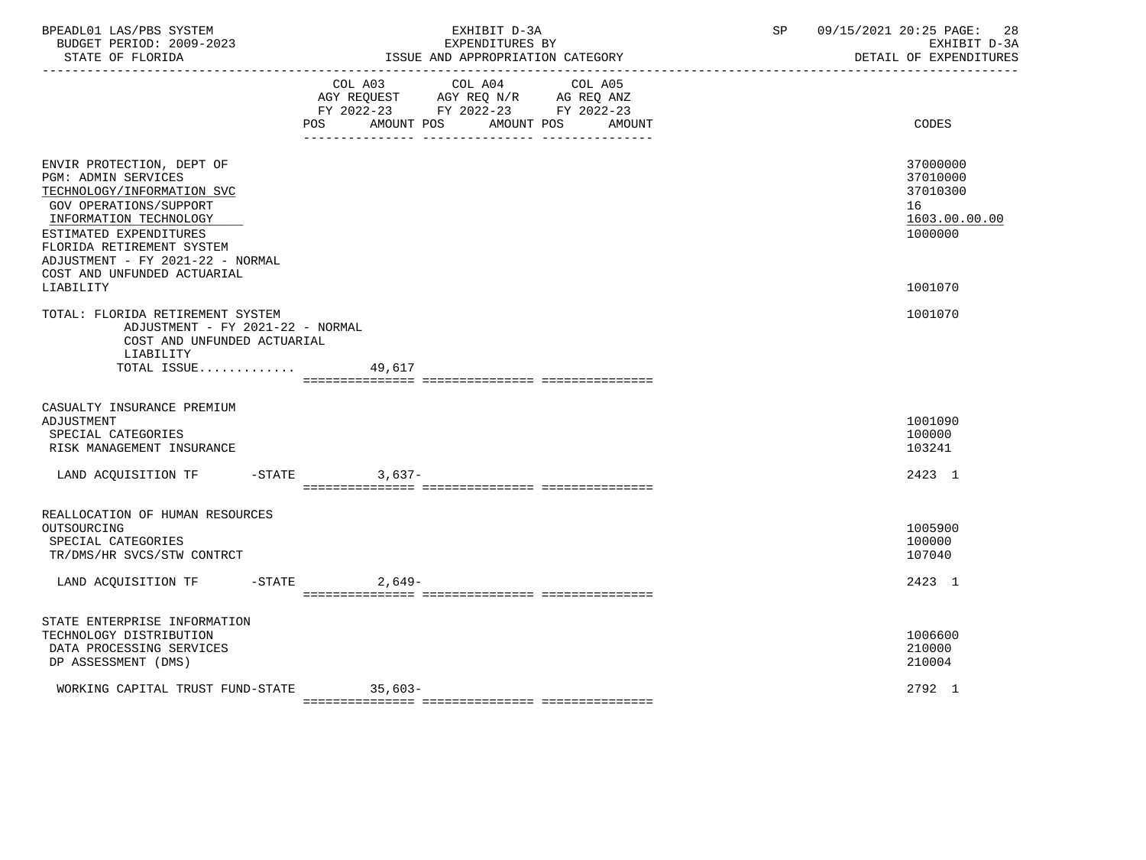| BPEADL01 LAS/PBS SYSTEM<br>BUDGET PERIOD: 2009-2023<br>STATE OF FLORIDA                                                                                                                                                                                                          | EXHIBIT D-3A<br>EXPENDITURES BY<br>ISSUE AND APPROPRIATION CATEGORY                                                                      | 28<br>SP<br>09/15/2021 20:25 PAGE:<br>EXHIBIT D-3A<br>DETAIL OF EXPENDITURES  |
|----------------------------------------------------------------------------------------------------------------------------------------------------------------------------------------------------------------------------------------------------------------------------------|------------------------------------------------------------------------------------------------------------------------------------------|-------------------------------------------------------------------------------|
|                                                                                                                                                                                                                                                                                  | COL A03 COL A04 COL A05<br>AGY REQUEST AGY REQ N/R AG REQ ANZ<br>FY 2022-23 FY 2022-23 FY 2022-23<br>POS AMOUNT POS AMOUNT POS<br>AMOUNT | CODES                                                                         |
| ENVIR PROTECTION, DEPT OF<br><b>PGM: ADMIN SERVICES</b><br>TECHNOLOGY/INFORMATION SVC<br>GOV OPERATIONS/SUPPORT<br>INFORMATION TECHNOLOGY<br>ESTIMATED EXPENDITURES<br>FLORIDA RETIREMENT SYSTEM<br>ADJUSTMENT - FY 2021-22 - NORMAL<br>COST AND UNFUNDED ACTUARIAL<br>LIABILITY |                                                                                                                                          | 37000000<br>37010000<br>37010300<br>16<br>1603.00.00.00<br>1000000<br>1001070 |
| TOTAL: FLORIDA RETIREMENT SYSTEM<br>ADJUSTMENT - FY 2021-22 - NORMAL<br>COST AND UNFUNDED ACTUARIAL<br>LIABILITY<br>TOTAL ISSUE                                                                                                                                                  | 49,617                                                                                                                                   | 1001070                                                                       |
| CASUALTY INSURANCE PREMIUM<br>ADJUSTMENT<br>SPECIAL CATEGORIES<br>RISK MANAGEMENT INSURANCE                                                                                                                                                                                      |                                                                                                                                          | 1001090<br>100000<br>103241                                                   |
| LAND ACQUISITION TF -STATE 3,637-                                                                                                                                                                                                                                                |                                                                                                                                          | 2423 1                                                                        |
| REALLOCATION OF HUMAN RESOURCES<br>OUTSOURCING<br>SPECIAL CATEGORIES<br>TR/DMS/HR SVCS/STW CONTRCT                                                                                                                                                                               |                                                                                                                                          | 1005900<br>100000<br>107040                                                   |
| LAND ACQUISITION TF -STATE 2,649-                                                                                                                                                                                                                                                |                                                                                                                                          | 2423 1                                                                        |
| STATE ENTERPRISE INFORMATION<br>TECHNOLOGY DISTRIBUTION<br>DATA PROCESSING SERVICES<br>DP ASSESSMENT (DMS)                                                                                                                                                                       |                                                                                                                                          | 1006600<br>210000<br>210004                                                   |
| WORKING CAPITAL TRUST FUND-STATE                                                                                                                                                                                                                                                 | $35,603-$                                                                                                                                | 2792 1                                                                        |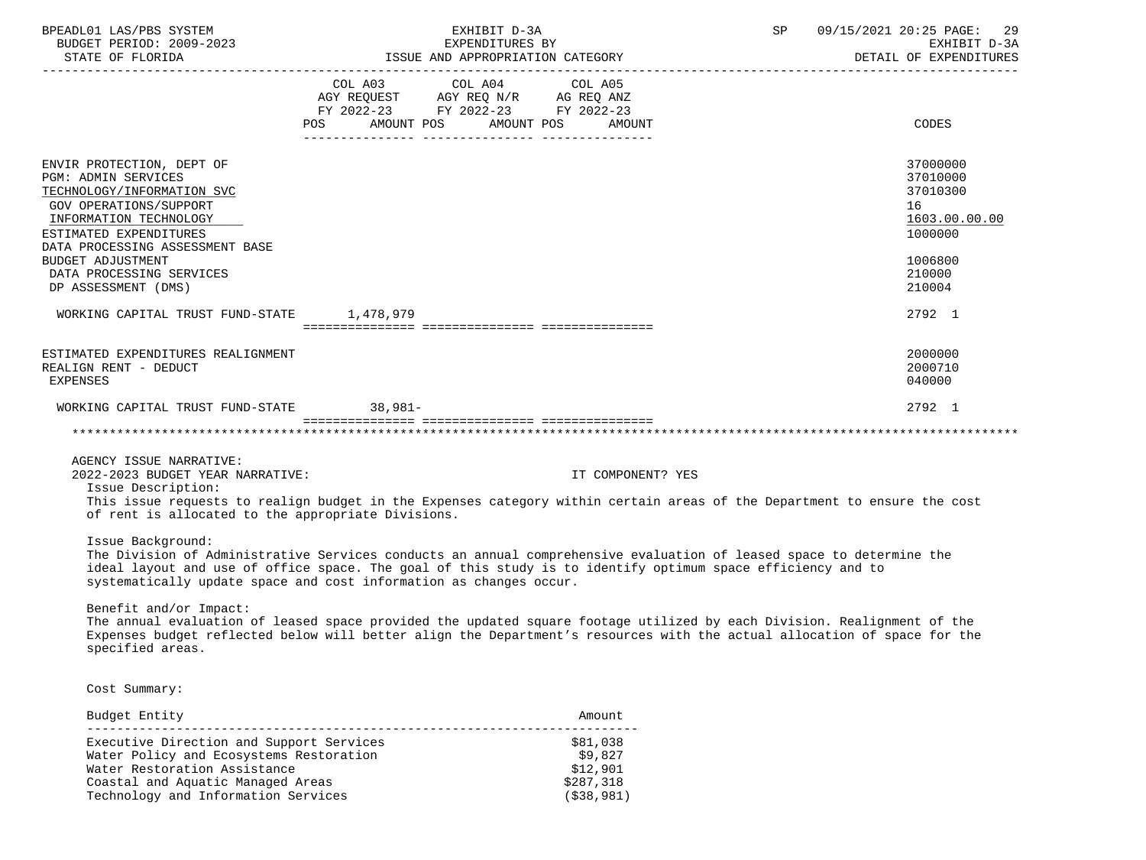| BPEADL01 LAS/PBS SYSTEM                                                                                                                                                                                                                   |                                                                                                                               | EXHIBIT D-3A                                                                                                                                                                                                                                        | 09/15/2021 20:25 PAGE:<br>SP<br>29<br>EXHIBIT D-3A                            |  |  |
|-------------------------------------------------------------------------------------------------------------------------------------------------------------------------------------------------------------------------------------------|-------------------------------------------------------------------------------------------------------------------------------|-----------------------------------------------------------------------------------------------------------------------------------------------------------------------------------------------------------------------------------------------------|-------------------------------------------------------------------------------|--|--|
|                                                                                                                                                                                                                                           |                                                                                                                               |                                                                                                                                                                                                                                                     | DETAIL OF EXPENDITURES                                                        |  |  |
|                                                                                                                                                                                                                                           | COL A03 COL A04<br>AGY REQUEST AGY REQ N/R AG REQ ANZ<br>FY 2022-23 FY 2022-23 FY 2022-23<br>POS AMOUNT POS AMOUNT POS AMOUNT | COL A05                                                                                                                                                                                                                                             | CODES                                                                         |  |  |
| ENVIR PROTECTION, DEPT OF<br><b>PGM: ADMIN SERVICES</b><br>TECHNOLOGY/INFORMATION SVC<br><b>GOV OPERATIONS/SUPPORT</b><br>INFORMATION TECHNOLOGY<br>ESTIMATED EXPENDITURES<br>DATA PROCESSING ASSESSMENT BASE<br><b>BUDGET ADJUSTMENT</b> |                                                                                                                               |                                                                                                                                                                                                                                                     | 37000000<br>37010000<br>37010300<br>16<br>1603.00.00.00<br>1000000<br>1006800 |  |  |
| DATA PROCESSING SERVICES<br>DP ASSESSMENT (DMS)                                                                                                                                                                                           |                                                                                                                               |                                                                                                                                                                                                                                                     | 210000<br>210004                                                              |  |  |
| WORKING CAPITAL TRUST FUND-STATE 1,478,979                                                                                                                                                                                                |                                                                                                                               |                                                                                                                                                                                                                                                     | 2792 1                                                                        |  |  |
| ESTIMATED EXPENDITURES REALIGNMENT<br>REALIGN RENT - DEDUCT<br><b>EXPENSES</b>                                                                                                                                                            |                                                                                                                               |                                                                                                                                                                                                                                                     | 2000000<br>2000710<br>040000                                                  |  |  |
| WORKING CAPITAL TRUST FUND-STATE 38,981-                                                                                                                                                                                                  |                                                                                                                               |                                                                                                                                                                                                                                                     | 2792 1                                                                        |  |  |
|                                                                                                                                                                                                                                           |                                                                                                                               |                                                                                                                                                                                                                                                     |                                                                               |  |  |
| AGENCY ISSUE NARRATIVE:<br>2022-2023 BUDGET YEAR NARRATIVE:<br>Issue Description:<br>of rent is allocated to the appropriate Divisions.                                                                                                   |                                                                                                                               | IT COMPONENT? YES<br>This issue requests to realign budget in the Expenses category within certain areas of the Department to ensure the cost                                                                                                       |                                                                               |  |  |
| Issue Background:<br>systematically update space and cost information as changes occur.                                                                                                                                                   |                                                                                                                               | The Division of Administrative Services conducts an annual comprehensive evaluation of leased space to determine the<br>ideal layout and use of office space. The goal of this study is to identify optimum space efficiency and to                 |                                                                               |  |  |
| Benefit and/or Impact:<br>specified areas.                                                                                                                                                                                                |                                                                                                                               | The annual evaluation of leased space provided the updated square footage utilized by each Division. Realignment of the<br>Expenses budget reflected below will better align the Department's resources with the actual allocation of space for the |                                                                               |  |  |
| Cost Summary:                                                                                                                                                                                                                             |                                                                                                                               |                                                                                                                                                                                                                                                     |                                                                               |  |  |
| Budget Entity                                                                                                                                                                                                                             |                                                                                                                               | Amount                                                                                                                                                                                                                                              |                                                                               |  |  |
| Executive Direction and Support Services<br>Water Policy and Ecosystems Restoration<br>Water Restoration Assistance                                                                                                                       |                                                                                                                               | \$81,038<br>\$9,827<br>\$12,901                                                                                                                                                                                                                     |                                                                               |  |  |

 Coastal and Aquatic Managed Areas \$287,318 Technology and Information Services (\$38,981)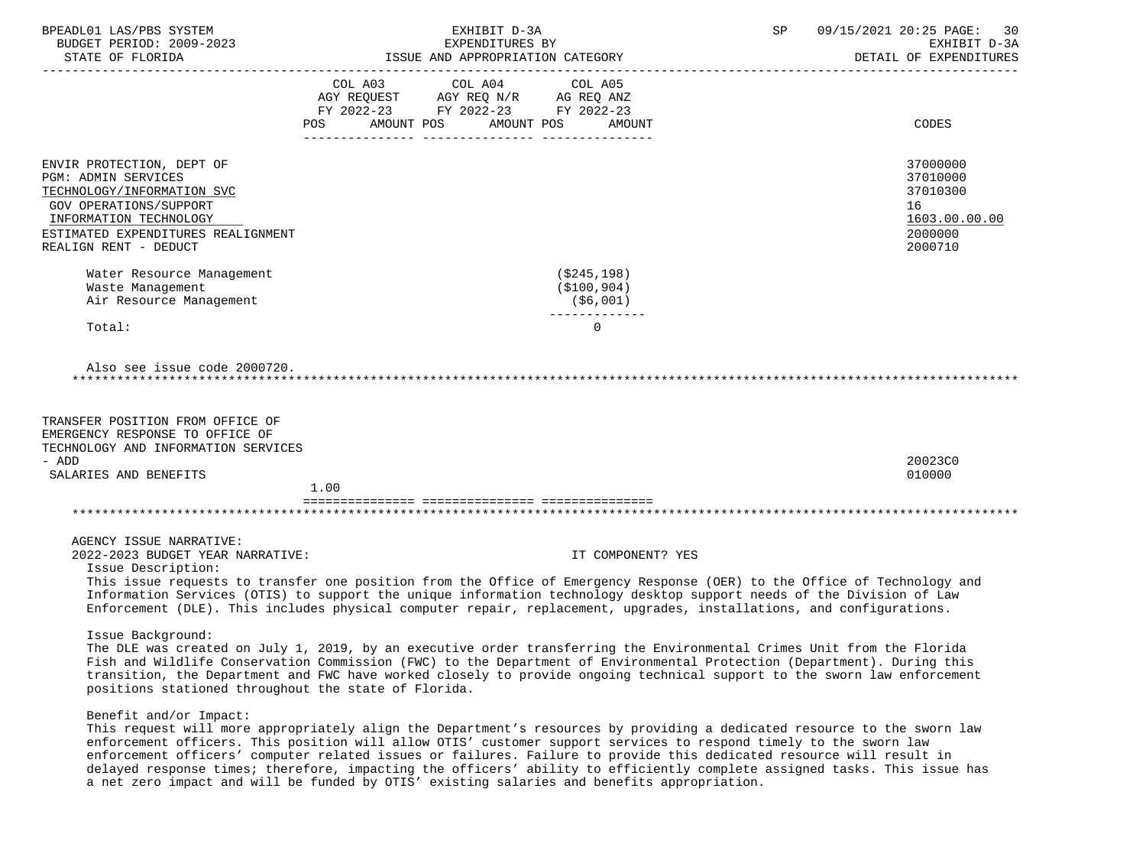| BPEADL01 LAS/PBS SYSTEM<br>BUDGET PERIOD: 2009-2023                                                                                                                                                      | EXHIBIT D-3A<br>EXPENDITURES BY                                                                                                                                                                                                                                                                                                                                                                                                                                                                                                                                | 09/15/2021 20:25 PAGE: 30<br>SP<br>EXHIBIT D-3A<br>DETAIL OF EXPENDITURES                                                                                                                                                                                                                                                                                                                      |
|----------------------------------------------------------------------------------------------------------------------------------------------------------------------------------------------------------|----------------------------------------------------------------------------------------------------------------------------------------------------------------------------------------------------------------------------------------------------------------------------------------------------------------------------------------------------------------------------------------------------------------------------------------------------------------------------------------------------------------------------------------------------------------|------------------------------------------------------------------------------------------------------------------------------------------------------------------------------------------------------------------------------------------------------------------------------------------------------------------------------------------------------------------------------------------------|
|                                                                                                                                                                                                          | $\begin{tabular}{lllllllllll} \multicolumn{4}{l} \multicolumn{4}{c}{} & \multicolumn{4}{c}{} & \multicolumn{4}{c}{} & \multicolumn{4}{c}{} & \multicolumn{4}{c}{} & \multicolumn{4}{c}{} & \multicolumn{4}{c}{} & \multicolumn{4}{c}{} & \multicolumn{4}{c}{} & \multicolumn{4}{c}{} & \multicolumn{4}{c}{} & \multicolumn{4}{c}{} & \multicolumn{4}{c}{} & \multicolumn{4}{c}{} & \multicolumn{4}{c}{} & \multicolumn{4}{c}{} & \multicolumn{4}{c}{} & \multicolumn{4}{c}{} &$<br>COL A04<br>FY 2022-23 FY 2022-23 FY 2022-23<br>AMOUNT POS AMOUNT POS AMOUNT | CODES                                                                                                                                                                                                                                                                                                                                                                                          |
|                                                                                                                                                                                                          |                                                                                                                                                                                                                                                                                                                                                                                                                                                                                                                                                                |                                                                                                                                                                                                                                                                                                                                                                                                |
| ENVIR PROTECTION, DEPT OF<br><b>PGM: ADMIN SERVICES</b><br>TECHNOLOGY/INFORMATION SVC<br>GOV OPERATIONS/SUPPORT<br>INFORMATION TECHNOLOGY<br>ESTIMATED EXPENDITURES REALIGNMENT<br>REALIGN RENT - DEDUCT |                                                                                                                                                                                                                                                                                                                                                                                                                                                                                                                                                                | 37000000<br>37010000<br>37010300<br>16<br>1603.00.00.00<br>2000000<br>2000710                                                                                                                                                                                                                                                                                                                  |
| Water Resource Management<br>Waste Management<br>Air Resource Management                                                                                                                                 | (\$245,198)<br>( \$100, 904)<br>( \$6,001)                                                                                                                                                                                                                                                                                                                                                                                                                                                                                                                     |                                                                                                                                                                                                                                                                                                                                                                                                |
| Total:                                                                                                                                                                                                   | -------------<br>$\Omega$                                                                                                                                                                                                                                                                                                                                                                                                                                                                                                                                      |                                                                                                                                                                                                                                                                                                                                                                                                |
| Also see issue code 2000720.                                                                                                                                                                             |                                                                                                                                                                                                                                                                                                                                                                                                                                                                                                                                                                |                                                                                                                                                                                                                                                                                                                                                                                                |
| TRANSFER POSITION FROM OFFICE OF<br>EMERGENCY RESPONSE TO OFFICE OF<br>TECHNOLOGY AND INFORMATION SERVICES<br>- ADD                                                                                      |                                                                                                                                                                                                                                                                                                                                                                                                                                                                                                                                                                | 20023C0                                                                                                                                                                                                                                                                                                                                                                                        |
| SALARIES AND BENEFITS                                                                                                                                                                                    | 1.00                                                                                                                                                                                                                                                                                                                                                                                                                                                                                                                                                           | 010000                                                                                                                                                                                                                                                                                                                                                                                         |
|                                                                                                                                                                                                          |                                                                                                                                                                                                                                                                                                                                                                                                                                                                                                                                                                |                                                                                                                                                                                                                                                                                                                                                                                                |
|                                                                                                                                                                                                          |                                                                                                                                                                                                                                                                                                                                                                                                                                                                                                                                                                |                                                                                                                                                                                                                                                                                                                                                                                                |
| AGENCY ISSUE NARRATIVE:<br>2022-2023 BUDGET YEAR NARRATIVE:<br>Issue Description:                                                                                                                        |                                                                                                                                                                                                                                                                                                                                                                                                                                                                                                                                                                | IT COMPONENT? YES<br>This issue requests to transfer one position from the Office of Emergency Response (OER) to the Office of Technology and<br>Information Services (OTIS) to support the unique information technology desktop support needs of the Division of Law<br>Enforcement (DLE). This includes physical computer repair, replacement, upgrades, installations, and configurations. |
| Issue Background:                                                                                                                                                                                        |                                                                                                                                                                                                                                                                                                                                                                                                                                                                                                                                                                |                                                                                                                                                                                                                                                                                                                                                                                                |

 The DLE was created on July 1, 2019, by an executive order transferring the Environmental Crimes Unit from the Florida Fish and Wildlife Conservation Commission (FWC) to the Department of Environmental Protection (Department). During this transition, the Department and FWC have worked closely to provide ongoing technical support to the sworn law enforcement positions stationed throughout the state of Florida.

## Benefit and/or Impact:

 This request will more appropriately align the Department's resources by providing a dedicated resource to the sworn law enforcement officers. This position will allow OTIS' customer support services to respond timely to the sworn law enforcement officers' computer related issues or failures. Failure to provide this dedicated resource will result in delayed response times; therefore, impacting the officers' ability to efficiently complete assigned tasks. This issue has a net zero impact and will be funded by OTIS' existing salaries and benefits appropriation.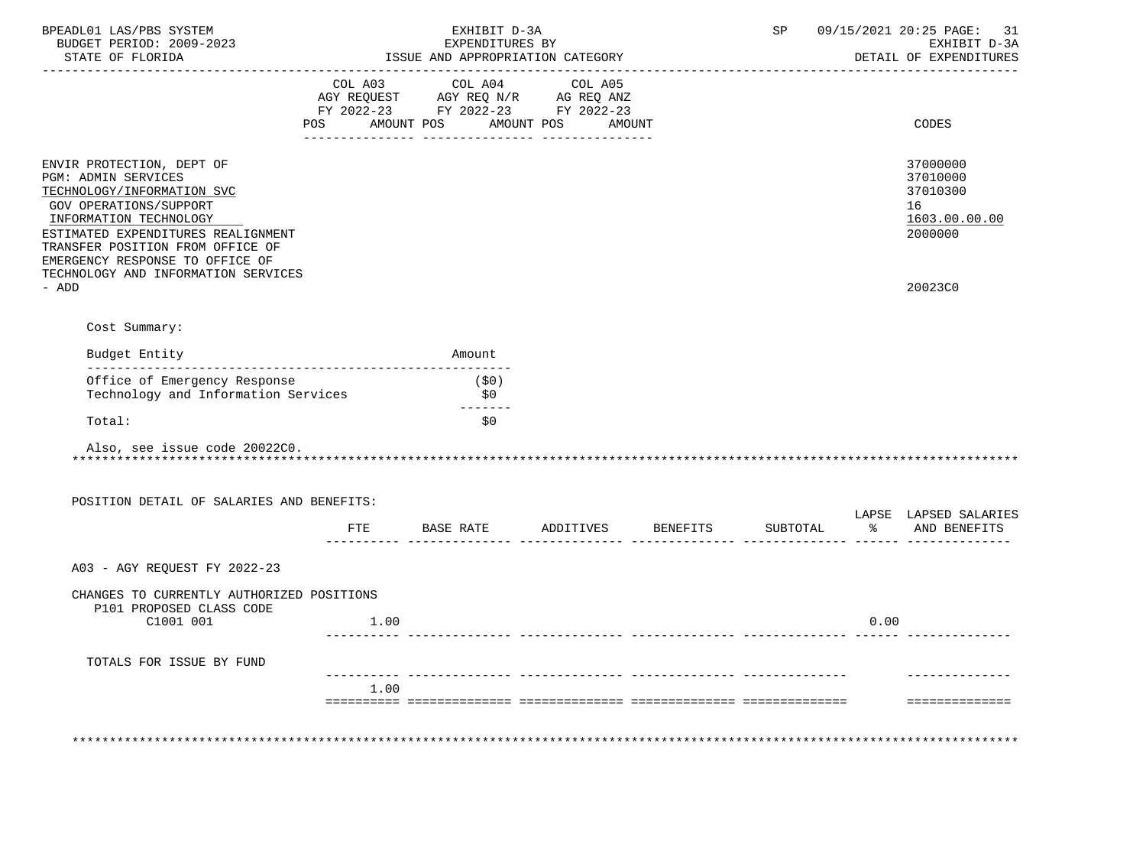| BPEADL01 LAS/PBS SYSTEM<br>BUDGET PERIOD: 2009-2023                                                                                                                                                                                             | EXHIBIT D-3A<br>EXPENDITURES BY  |                                                                                                                                                                                                                                                                                       |        |              |  |  |                                  | 09/15/2021 20:25 PAGE:<br>SP<br>31<br>EXHIBIT D-3A |      |                                                                    |  |
|-------------------------------------------------------------------------------------------------------------------------------------------------------------------------------------------------------------------------------------------------|----------------------------------|---------------------------------------------------------------------------------------------------------------------------------------------------------------------------------------------------------------------------------------------------------------------------------------|--------|--------------|--|--|----------------------------------|----------------------------------------------------|------|--------------------------------------------------------------------|--|
| STATE OF FLORIDA                                                                                                                                                                                                                                | ISSUE AND APPROPRIATION CATEGORY |                                                                                                                                                                                                                                                                                       |        |              |  |  |                                  |                                                    |      | DETAIL OF EXPENDITURES                                             |  |
|                                                                                                                                                                                                                                                 |                                  | $\begin{tabular}{lllllllllll} COL & A03 & \multicolumn{2}{l}COL & A04 & \multicolumn{2}{l}COL & A05 \\ AGY & REQUEST & \multicolumn{2}{l}AGY & REQ & N/R & \multicolumn{2}{l}AG & REQ & ANZ \\ \end{tabular}$<br>FY 2022-23 FY 2022-23 FY 2022-23<br>POS AMOUNT POS AMOUNT POS AMOUNT |        |              |  |  |                                  |                                                    |      | CODES                                                              |  |
|                                                                                                                                                                                                                                                 |                                  |                                                                                                                                                                                                                                                                                       |        |              |  |  |                                  |                                                    |      |                                                                    |  |
| ENVIR PROTECTION, DEPT OF<br>PGM: ADMIN SERVICES<br>TECHNOLOGY/INFORMATION SVC<br>GOV OPERATIONS/SUPPORT<br>INFORMATION TECHNOLOGY<br>ESTIMATED EXPENDITURES REALIGNMENT<br>TRANSFER POSITION FROM OFFICE OF<br>EMERGENCY RESPONSE TO OFFICE OF |                                  |                                                                                                                                                                                                                                                                                       |        |              |  |  |                                  |                                                    |      | 37000000<br>37010000<br>37010300<br>16<br>1603.00.00.00<br>2000000 |  |
| TECHNOLOGY AND INFORMATION SERVICES<br>- ADD                                                                                                                                                                                                    |                                  |                                                                                                                                                                                                                                                                                       |        |              |  |  |                                  |                                                    |      | 20023C0                                                            |  |
| Cost Summary:                                                                                                                                                                                                                                   |                                  |                                                                                                                                                                                                                                                                                       |        |              |  |  |                                  |                                                    |      |                                                                    |  |
| Budget Entity                                                                                                                                                                                                                                   |                                  |                                                                                                                                                                                                                                                                                       | Amount |              |  |  |                                  |                                                    |      |                                                                    |  |
| Office of Emergency Response<br>Technology and Information Services                                                                                                                                                                             |                                  |                                                                                                                                                                                                                                                                                       |        | (\$0)<br>\$0 |  |  |                                  |                                                    |      |                                                                    |  |
| Total:                                                                                                                                                                                                                                          |                                  |                                                                                                                                                                                                                                                                                       |        | \$0          |  |  |                                  |                                                    |      |                                                                    |  |
| Also, see issue code 20022C0.                                                                                                                                                                                                                   |                                  |                                                                                                                                                                                                                                                                                       |        |              |  |  |                                  |                                                    |      |                                                                    |  |
| POSITION DETAIL OF SALARIES AND BENEFITS:                                                                                                                                                                                                       |                                  |                                                                                                                                                                                                                                                                                       |        |              |  |  |                                  |                                                    |      |                                                                    |  |
|                                                                                                                                                                                                                                                 |                                  |                                                                                                                                                                                                                                                                                       |        |              |  |  | FTE BASE RATE ADDITIVES BENEFITS | SUBTOTAL                                           |      | LAPSE LAPSED SALARIES<br>% AND BENEFITS                            |  |
| A03 - AGY REOUEST FY 2022-23                                                                                                                                                                                                                    |                                  |                                                                                                                                                                                                                                                                                       |        |              |  |  |                                  |                                                    |      |                                                                    |  |
| CHANGES TO CURRENTLY AUTHORIZED POSITIONS<br>P101 PROPOSED CLASS CODE                                                                                                                                                                           |                                  |                                                                                                                                                                                                                                                                                       |        |              |  |  |                                  |                                                    |      |                                                                    |  |
| C1001 001                                                                                                                                                                                                                                       |                                  | 1.00                                                                                                                                                                                                                                                                                  |        |              |  |  |                                  |                                                    | 0.00 |                                                                    |  |
| TOTALS FOR ISSUE BY FUND                                                                                                                                                                                                                        |                                  |                                                                                                                                                                                                                                                                                       |        |              |  |  |                                  |                                                    |      |                                                                    |  |
|                                                                                                                                                                                                                                                 |                                  | 1.00                                                                                                                                                                                                                                                                                  |        |              |  |  |                                  |                                                    |      |                                                                    |  |
|                                                                                                                                                                                                                                                 |                                  |                                                                                                                                                                                                                                                                                       |        |              |  |  |                                  |                                                    |      | ==============                                                     |  |
|                                                                                                                                                                                                                                                 |                                  |                                                                                                                                                                                                                                                                                       |        |              |  |  |                                  |                                                    |      |                                                                    |  |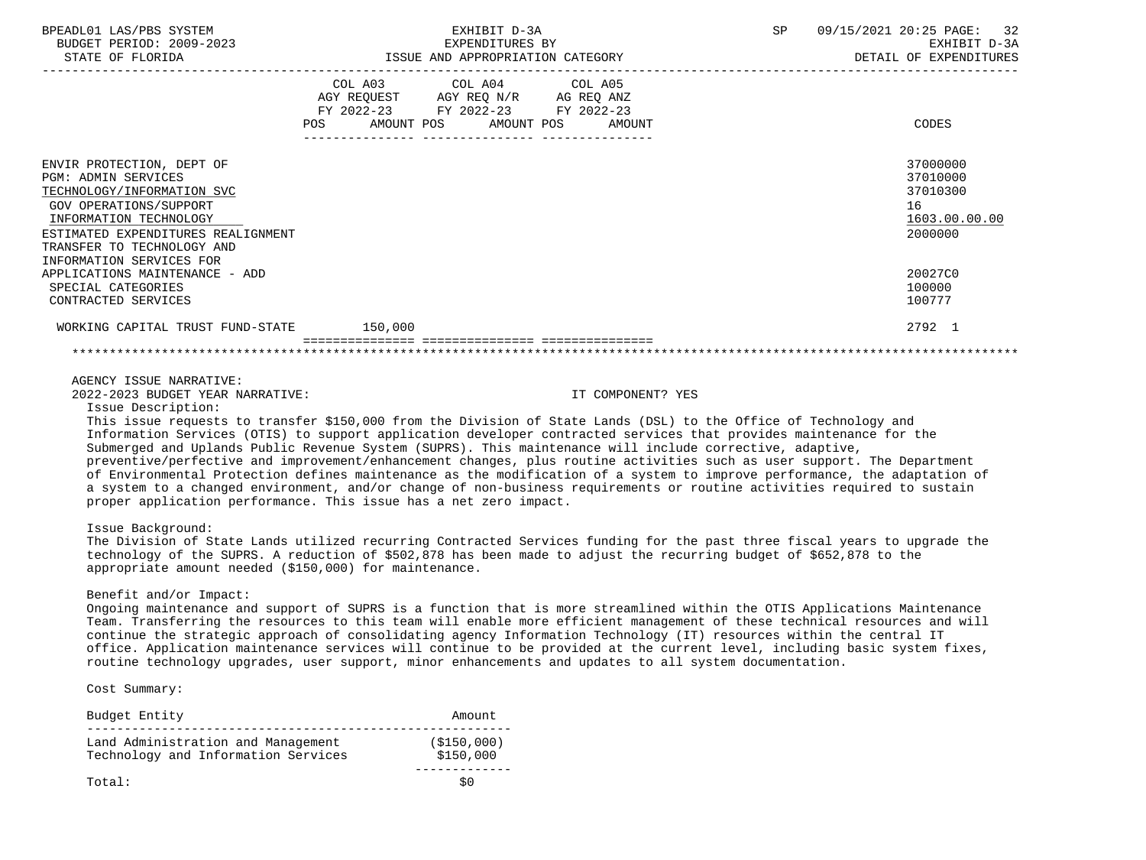| BPEADL01 LAS/PBS SYSTEM<br>BUDGET PERIOD: 2009-2023<br>STATE OF FLORIDA                                                                                                                                                                   | EXHIBIT D-3A<br>EXPENDITURES BY<br>ISSUE AND APPROPRIATION CATEGORY                                                                   | SP | 09/15/2021 20:25 PAGE: 32<br>EXHIBIT D-3A<br>DETAIL OF EXPENDITURES |
|-------------------------------------------------------------------------------------------------------------------------------------------------------------------------------------------------------------------------------------------|---------------------------------------------------------------------------------------------------------------------------------------|----|---------------------------------------------------------------------|
|                                                                                                                                                                                                                                           | COL A03 COL A04 COL A05<br>AGY REQUEST AGY REQ N/R AG REQ ANZ<br>FY 2022-23 FY 2022-23 FY 2022-23<br>POS AMOUNT POS AMOUNT POS AMOUNT |    | CODES                                                               |
| ENVIR PROTECTION, DEPT OF<br><b>PGM: ADMIN SERVICES</b><br>TECHNOLOGY/INFORMATION SVC<br>GOV OPERATIONS/SUPPORT<br>INFORMATION TECHNOLOGY<br>ESTIMATED EXPENDITURES REALIGNMENT<br>TRANSFER TO TECHNOLOGY AND<br>INFORMATION SERVICES FOR |                                                                                                                                       |    | 37000000<br>37010000<br>37010300<br>16<br>1603.00.00.00<br>2000000  |
| APPLICATIONS MAINTENANCE - ADD<br>SPECIAL CATEGORIES<br>CONTRACTED SERVICES                                                                                                                                                               |                                                                                                                                       |    | 20027C0<br>100000<br>100777                                         |
| WORKING CAPITAL TRUST FUND-STATE 150,000                                                                                                                                                                                                  |                                                                                                                                       |    | 2792 1                                                              |

### AGENCY ISSUE NARRATIVE:

2022-2023 BUDGET YEAR NARRATIVE: IT COMPONENT? YES

Issue Description:

 This issue requests to transfer \$150,000 from the Division of State Lands (DSL) to the Office of Technology and Information Services (OTIS) to support application developer contracted services that provides maintenance for the Submerged and Uplands Public Revenue System (SUPRS). This maintenance will include corrective, adaptive, preventive/perfective and improvement/enhancement changes, plus routine activities such as user support. The Department of Environmental Protection defines maintenance as the modification of a system to improve performance, the adaptation of a system to a changed environment, and/or change of non-business requirements or routine activities required to sustain proper application performance. This issue has a net zero impact.

Issue Background:

 The Division of State Lands utilized recurring Contracted Services funding for the past three fiscal years to upgrade the technology of the SUPRS. A reduction of \$502,878 has been made to adjust the recurring budget of \$652,878 to the appropriate amount needed (\$150,000) for maintenance.

### Benefit and/or Impact:

 Ongoing maintenance and support of SUPRS is a function that is more streamlined within the OTIS Applications Maintenance Team. Transferring the resources to this team will enable more efficient management of these technical resources and will continue the strategic approach of consolidating agency Information Technology (IT) resources within the central IT office. Application maintenance services will continue to be provided at the current level, including basic system fixes, routine technology upgrades, user support, minor enhancements and updates to all system documentation.

Cost Summary:

| Budget Entity                                                             | Amount                    |
|---------------------------------------------------------------------------|---------------------------|
| Land Administration and Management<br>Technology and Information Services | ( \$150,000)<br>\$150,000 |
| Total:                                                                    | S O                       |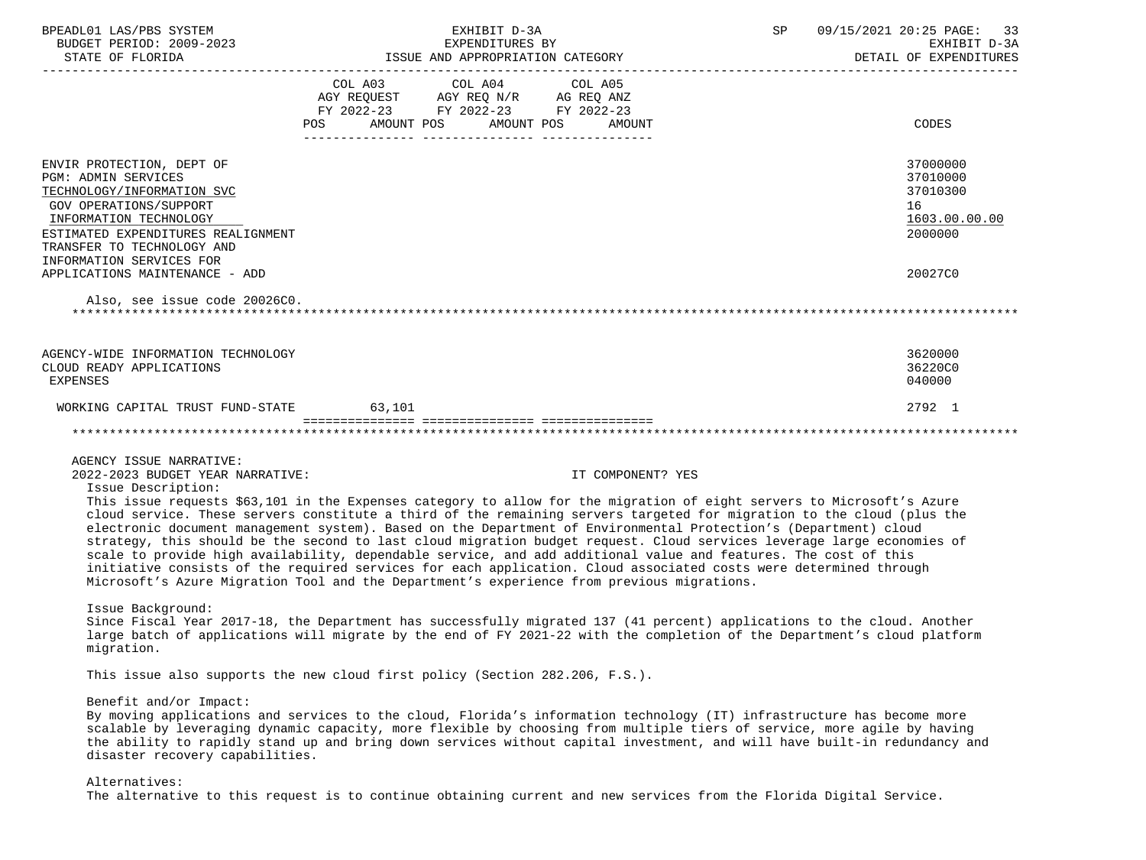| BPEADL01 LAS/PBS SYSTEM                                                                                                   |                 | EXHIBIT D-3A                       |                                  | SP           | 09/15/2021 20:25 PAGE:<br>33 |
|---------------------------------------------------------------------------------------------------------------------------|-----------------|------------------------------------|----------------------------------|--------------|------------------------------|
| BUDGET PERIOD: 2009-2023                                                                                                  | EXPENDITURES BY |                                    |                                  | EXHIBIT D-3A |                              |
|                                                                                                                           |                 |                                    |                                  |              | DETAIL OF EXPENDITURES       |
|                                                                                                                           |                 | COL A03 COL A04                    | COL A05                          |              |                              |
|                                                                                                                           |                 | AGY REQUEST AGY REQ N/R AG REQ ANZ |                                  |              |                              |
|                                                                                                                           |                 | FY 2022-23 FY 2022-23 FY 2022-23   |                                  |              |                              |
|                                                                                                                           |                 |                                    | POS AMOUNT POS AMOUNT POS AMOUNT |              | CODES                        |
|                                                                                                                           |                 |                                    |                                  |              |                              |
|                                                                                                                           |                 |                                    |                                  |              |                              |
| ENVIR PROTECTION, DEPT OF                                                                                                 |                 |                                    |                                  |              | 37000000                     |
| <b>PGM: ADMIN SERVICES</b>                                                                                                |                 |                                    |                                  |              | 37010000<br>37010300         |
| TECHNOLOGY/INFORMATION SVC                                                                                                |                 |                                    |                                  |              | 16                           |
| GOV OPERATIONS/SUPPORT<br>INFORMATION TECHNOLOGY                                                                          |                 |                                    |                                  |              | 1603.00.00.00                |
| ESTIMATED EXPENDITURES REALIGNMENT                                                                                        |                 |                                    |                                  |              | 2000000                      |
| TRANSFER TO TECHNOLOGY AND                                                                                                |                 |                                    |                                  |              |                              |
| INFORMATION SERVICES FOR                                                                                                  |                 |                                    |                                  |              |                              |
| APPLICATIONS MAINTENANCE - ADD                                                                                            |                 |                                    |                                  |              | 20027C0                      |
|                                                                                                                           |                 |                                    |                                  |              |                              |
| Also, see issue code 20026C0.                                                                                             |                 |                                    |                                  |              |                              |
|                                                                                                                           |                 |                                    |                                  |              |                              |
|                                                                                                                           |                 |                                    |                                  |              |                              |
| AGENCY-WIDE INFORMATION TECHNOLOGY                                                                                        |                 |                                    |                                  |              | 3620000                      |
| CLOUD READY APPLICATIONS                                                                                                  |                 |                                    |                                  |              | 36220C0                      |
| EXPENSES                                                                                                                  |                 |                                    |                                  |              | 040000                       |
|                                                                                                                           |                 |                                    |                                  |              |                              |
| WORKING CAPITAL TRUST FUND-STATE 63,101                                                                                   |                 |                                    |                                  |              | 2792 1                       |
|                                                                                                                           |                 |                                    |                                  |              |                              |
|                                                                                                                           |                 |                                    |                                  |              |                              |
| AGENCY ISSUE NARRATIVE:                                                                                                   |                 |                                    |                                  |              |                              |
| 2022-2023 BUDGET YEAR NARRATIVE:                                                                                          |                 |                                    | IT COMPONENT? YES                |              |                              |
| Issue Description:                                                                                                        |                 |                                    |                                  |              |                              |
| This issue requests \$63,101 in the Expenses category to allow for the migration of eight servers to Microsoft's Azure    |                 |                                    |                                  |              |                              |
| cloud service. These servers constitute a third of the remaining servers targeted for migration to the cloud (plus the    |                 |                                    |                                  |              |                              |
| electronic document management system). Based on the Department of Environmental Protection's (Department) cloud          |                 |                                    |                                  |              |                              |
| strategy, this should be the second to last cloud migration budget request. Cloud services leverage large economies of    |                 |                                    |                                  |              |                              |
| scale to provide high availability, dependable service, and add additional value and features. The cost of this           |                 |                                    |                                  |              |                              |
| initiative consists of the required services for each application. Cloud associated costs were determined through         |                 |                                    |                                  |              |                              |
| Microsoft's Azure Migration Tool and the Department's experience from previous migrations.                                |                 |                                    |                                  |              |                              |
| Issue Background:                                                                                                         |                 |                                    |                                  |              |                              |
| Since Fiscal Year 2017-18, the Department has successfully migrated 137 (41 percent) applications to the cloud. Another   |                 |                                    |                                  |              |                              |
| large batch of applications will migrate by the end of FY 2021-22 with the completion of the Department's cloud platform  |                 |                                    |                                  |              |                              |
| migration.                                                                                                                |                 |                                    |                                  |              |                              |
|                                                                                                                           |                 |                                    |                                  |              |                              |
| This issue also supports the new cloud first policy (Section 282.206, F.S.).                                              |                 |                                    |                                  |              |                              |
| Benefit and/or Impact:                                                                                                    |                 |                                    |                                  |              |                              |
| By moving applications and services to the cloud, Florida's information technology (IT) infrastructure has become more    |                 |                                    |                                  |              |                              |
| scalable by leveraging dynamic capacity, more flexible by choosing from multiple tiers of service, more agile by having   |                 |                                    |                                  |              |                              |
| the ability to rapidly stand up and bring down services without capital investment, and will have built-in redundancy and |                 |                                    |                                  |              |                              |
| disaster recovery capabilities.                                                                                           |                 |                                    |                                  |              |                              |
|                                                                                                                           |                 |                                    |                                  |              |                              |
| Alternatives:                                                                                                             |                 |                                    |                                  |              |                              |
| The alternative to this request is to continue obtaining current and new services from the Florida Digital Service.       |                 |                                    |                                  |              |                              |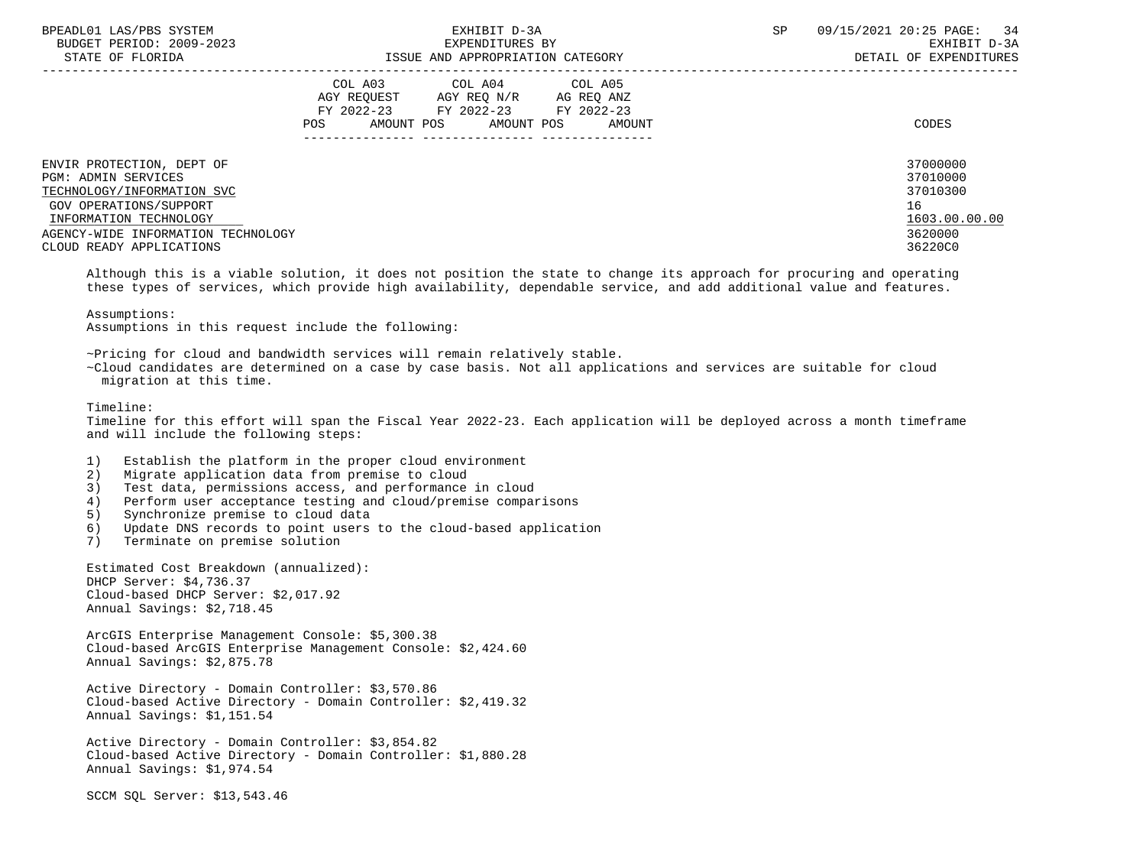| BPEADL01 LAS/PBS SYSTEM |                  |                          |
|-------------------------|------------------|--------------------------|
|                         |                  | BUDGET PERIOD: 2009-2023 |
|                         | גרדקר הם החימידי |                          |

|                            |     | COL A03     | COL A04     | COL A05    |               |
|----------------------------|-----|-------------|-------------|------------|---------------|
|                            |     | AGY REQUEST | AGY REQ N/R | AG REQ ANZ |               |
|                            |     | FY 2022-23  | FY 2022-23  | FY 2022-23 |               |
|                            | POS | AMOUNT POS  | AMOUNT POS  | AMOUNT     | CODES         |
|                            |     |             |             |            |               |
| ENVIR PROTECTION, DEPT OF  |     |             |             |            | 37000000      |
| PGM: ADMIN SERVICES        |     |             |             |            | 37010000      |
| TECHNOLOGY/INFORMATION SVC |     |             |             |            | 37010300      |
| GOV OPERATIONS/SUPPORT     |     |             |             |            | 16            |
| INFORMATION TECHNOLOGY     |     |             |             |            | 1603.00.00.00 |

 AGENCY-WIDE INFORMATION TECHNOLOGY 3620000 CLOUD READY APPLICATIONS 36220C0

 Although this is a viable solution, it does not position the state to change its approach for procuring and operating these types of services, which provide high availability, dependable service, and add additional value and features.

Assumptions in this request include the following:

~Pricing for cloud and bandwidth services will remain relatively stable.

 ~Cloud candidates are determined on a case by case basis. Not all applications and services are suitable for cloud migration at this time.

Timeline:

 Timeline for this effort will span the Fiscal Year 2022-23. Each application will be deployed across a month timeframe and will include the following steps:

- 1) Establish the platform in the proper cloud environment<br>2) Migrate application data from premise to cloud
- 2) Migrate application data from premise to cloud<br>3) Test data, permissions access, and performance
- Test data, permissions access, and performance in cloud
- 4) Perform user acceptance testing and cloud/premise comparisons
- 5) Synchronize premise to cloud data
- 6) Update DNS records to point users to the cloud-based application
- 7) Terminate on premise solution

 Estimated Cost Breakdown (annualized): DHCP Server: \$4,736.37 Cloud-based DHCP Server: \$2,017.92 Annual Savings: \$2,718.45

 ArcGIS Enterprise Management Console: \$5,300.38 Cloud-based ArcGIS Enterprise Management Console: \$2,424.60 Annual Savings: \$2,875.78

 Active Directory - Domain Controller: \$3,570.86 Cloud-based Active Directory - Domain Controller: \$2,419.32 Annual Savings: \$1,151.54

 Active Directory - Domain Controller: \$3,854.82 Cloud-based Active Directory - Domain Controller: \$1,880.28 Annual Savings: \$1,974.54

SCCM SQL Server: \$13,543.46

Assumptions: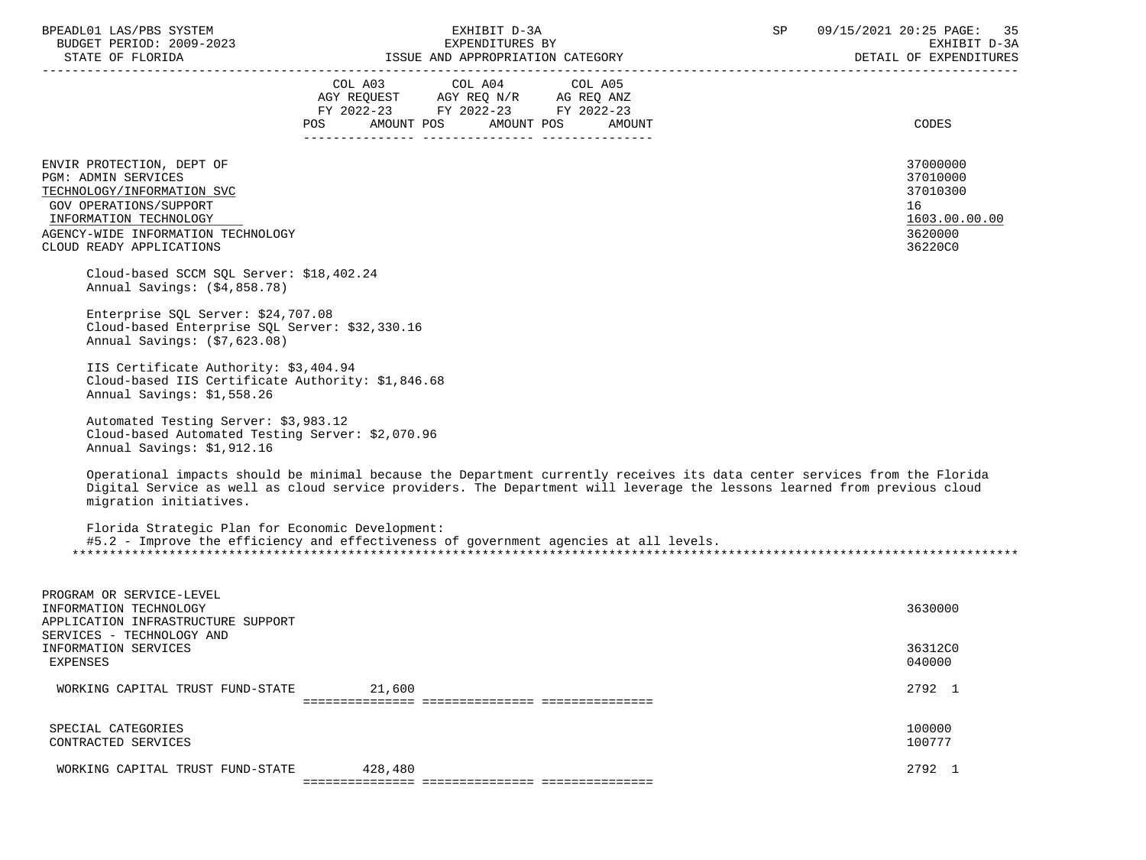| BPEADL01 LAS/PBS SYSTEM |                  |                          |
|-------------------------|------------------|--------------------------|
|                         |                  | BUDGET PERIOD: 2009-2023 |
|                         | CEARE OR RIODIDA |                          |

| STATE OF FLORIDA                                                                                                                                                                                            |                              | ISSUE AND APPROPRIATION CATEGORY                                                  |                                 | DETAIL OF EXPENDITURES                                                                                                                                                                                                                                |
|-------------------------------------------------------------------------------------------------------------------------------------------------------------------------------------------------------------|------------------------------|-----------------------------------------------------------------------------------|---------------------------------|-------------------------------------------------------------------------------------------------------------------------------------------------------------------------------------------------------------------------------------------------------|
|                                                                                                                                                                                                             | COL A03<br>AMOUNT POS<br>POS | COL A04<br>AGY REQUEST AGY REQ N/R AG REQ ANZ<br>FY 2022-23 FY 2022-23 FY 2022-23 | COL A05<br>AMOUNT POS<br>AMOUNT | CODES                                                                                                                                                                                                                                                 |
| ENVIR PROTECTION, DEPT OF<br><b>PGM: ADMIN SERVICES</b><br>TECHNOLOGY/INFORMATION SVC<br>GOV OPERATIONS/SUPPORT<br>INFORMATION TECHNOLOGY<br>AGENCY-WIDE INFORMATION TECHNOLOGY<br>CLOUD READY APPLICATIONS |                              |                                                                                   |                                 | 37000000<br>37010000<br>37010300<br>16<br>1603.00.00.00<br>3620000<br>36220C0                                                                                                                                                                         |
| Cloud-based SCCM SQL Server: \$18,402.24<br>Annual Savings: (\$4,858.78)                                                                                                                                    |                              |                                                                                   |                                 |                                                                                                                                                                                                                                                       |
| Enterprise SQL Server: \$24,707.08<br>Cloud-based Enterprise SOL Server: \$32,330.16<br>Annual Savings: (\$7,623.08)                                                                                        |                              |                                                                                   |                                 |                                                                                                                                                                                                                                                       |
| IIS Certificate Authority: \$3,404.94<br>Cloud-based IIS Certificate Authority: \$1,846.68<br>Annual Savings: \$1,558.26                                                                                    |                              |                                                                                   |                                 |                                                                                                                                                                                                                                                       |
| Automated Testing Server: \$3,983.12<br>Cloud-based Automated Testing Server: \$2,070.96<br>Annual Savings: \$1,912.16                                                                                      |                              |                                                                                   |                                 |                                                                                                                                                                                                                                                       |
| migration initiatives.                                                                                                                                                                                      |                              |                                                                                   |                                 | Operational impacts should be minimal because the Department currently receives its data center services from the Florida<br>Digital Service as well as cloud service providers. The Department will leverage the lessons learned from previous cloud |
| Florida Strategic Plan for Economic Development:<br>#5.2 - Improve the efficiency and effectiveness of government agencies at all levels.                                                                   |                              |                                                                                   |                                 |                                                                                                                                                                                                                                                       |
| PROGRAM OR SERVICE-LEVEL<br>INFORMATION TECHNOLOGY<br>APPLICATION INFRASTRUCTURE SUPPORT<br>SERVICES - TECHNOLOGY AND                                                                                       |                              |                                                                                   |                                 | 3630000                                                                                                                                                                                                                                               |
| INFORMATION SERVICES<br>EXPENSES                                                                                                                                                                            |                              |                                                                                   |                                 | 36312C0<br>040000                                                                                                                                                                                                                                     |
| WORKING CAPITAL TRUST FUND-STATE                                                                                                                                                                            | 21,600                       |                                                                                   |                                 | 2792 1                                                                                                                                                                                                                                                |
| SPECIAL CATEGORIES<br>CONTRACTED SERVICES                                                                                                                                                                   |                              |                                                                                   |                                 | 100000<br>100777                                                                                                                                                                                                                                      |
| WORKING CAPITAL TRUST FUND-STATE                                                                                                                                                                            | 428,480                      |                                                                                   |                                 | 2792 1                                                                                                                                                                                                                                                |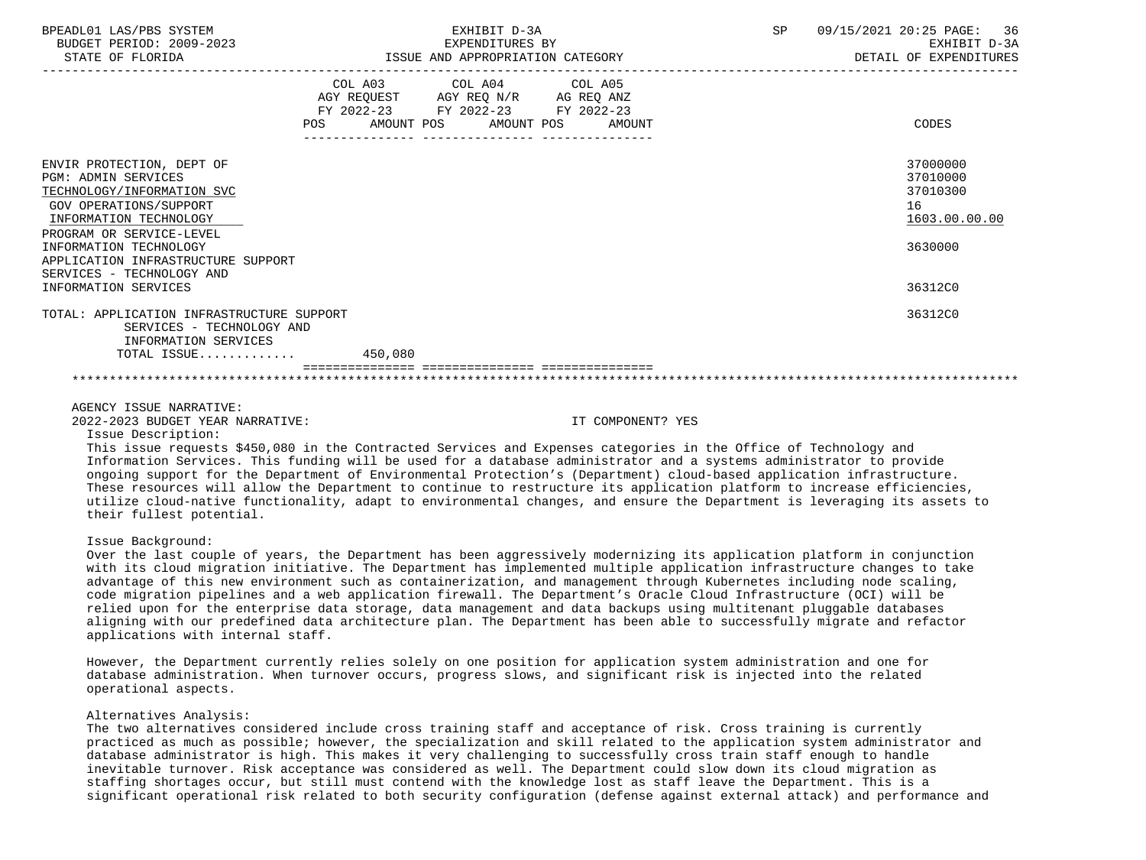| BPEADL01 LAS/PBS SYSTEM<br>BUDGET PERIOD: 2009-2023<br>STATE OF FLORIDA                                                                                                                                                                                                                           | EXHIBIT D-3A<br>EXPENDITURES BY<br>ISSUE AND APPROPRIATION CATEGORY                                                                   | SP | 09/15/2021 20:25 PAGE: 36<br>EXHIBIT D-3A<br>DETAIL OF EXPENDITURES           |
|---------------------------------------------------------------------------------------------------------------------------------------------------------------------------------------------------------------------------------------------------------------------------------------------------|---------------------------------------------------------------------------------------------------------------------------------------|----|-------------------------------------------------------------------------------|
|                                                                                                                                                                                                                                                                                                   | COL A03 COL A04 COL A05<br>AGY REQUEST AGY REQ N/R AG REQ ANZ<br>FY 2022-23 FY 2022-23 FY 2022-23<br>POS AMOUNT POS AMOUNT POS AMOUNT |    | CODES                                                                         |
| ENVIR PROTECTION, DEPT OF<br><b>PGM: ADMIN SERVICES</b><br>TECHNOLOGY/INFORMATION SVC<br><b>GOV OPERATIONS/SUPPORT</b><br>INFORMATION TECHNOLOGY<br>PROGRAM OR SERVICE-LEVEL<br>INFORMATION TECHNOLOGY<br>APPLICATION INFRASTRUCTURE SUPPORT<br>SERVICES - TECHNOLOGY AND<br>INFORMATION SERVICES |                                                                                                                                       |    | 37000000<br>37010000<br>37010300<br>16<br>1603.00.00.00<br>3630000<br>36312C0 |
| TOTAL: APPLICATION INFRASTRUCTURE SUPPORT<br>SERVICES - TECHNOLOGY AND<br>INFORMATION SERVICES<br>TOTAL ISSUE 450,080                                                                                                                                                                             |                                                                                                                                       |    | 36312C0                                                                       |
|                                                                                                                                                                                                                                                                                                   |                                                                                                                                       |    |                                                                               |

AGENCY ISSUE NARRATIVE:

2022-2023 BUDGET YEAR NARRATIVE: IT COMPONENT? YES

Issue Description:

 This issue requests \$450,080 in the Contracted Services and Expenses categories in the Office of Technology and Information Services. This funding will be used for a database administrator and a systems administrator to provide ongoing support for the Department of Environmental Protection's (Department) cloud-based application infrastructure. These resources will allow the Department to continue to restructure its application platform to increase efficiencies, utilize cloud-native functionality, adapt to environmental changes, and ensure the Department is leveraging its assets to their fullest potential.

Issue Background:

 Over the last couple of years, the Department has been aggressively modernizing its application platform in conjunction with its cloud migration initiative. The Department has implemented multiple application infrastructure changes to take advantage of this new environment such as containerization, and management through Kubernetes including node scaling, code migration pipelines and a web application firewall. The Department's Oracle Cloud Infrastructure (OCI) will be relied upon for the enterprise data storage, data management and data backups using multitenant pluggable databases aligning with our predefined data architecture plan. The Department has been able to successfully migrate and refactor applications with internal staff.

 However, the Department currently relies solely on one position for application system administration and one for database administration. When turnover occurs, progress slows, and significant risk is injected into the related operational aspects.

## Alternatives Analysis:

 The two alternatives considered include cross training staff and acceptance of risk. Cross training is currently practiced as much as possible; however, the specialization and skill related to the application system administrator and database administrator is high. This makes it very challenging to successfully cross train staff enough to handle inevitable turnover. Risk acceptance was considered as well. The Department could slow down its cloud migration as staffing shortages occur, but still must contend with the knowledge lost as staff leave the Department. This is a significant operational risk related to both security configuration (defense against external attack) and performance and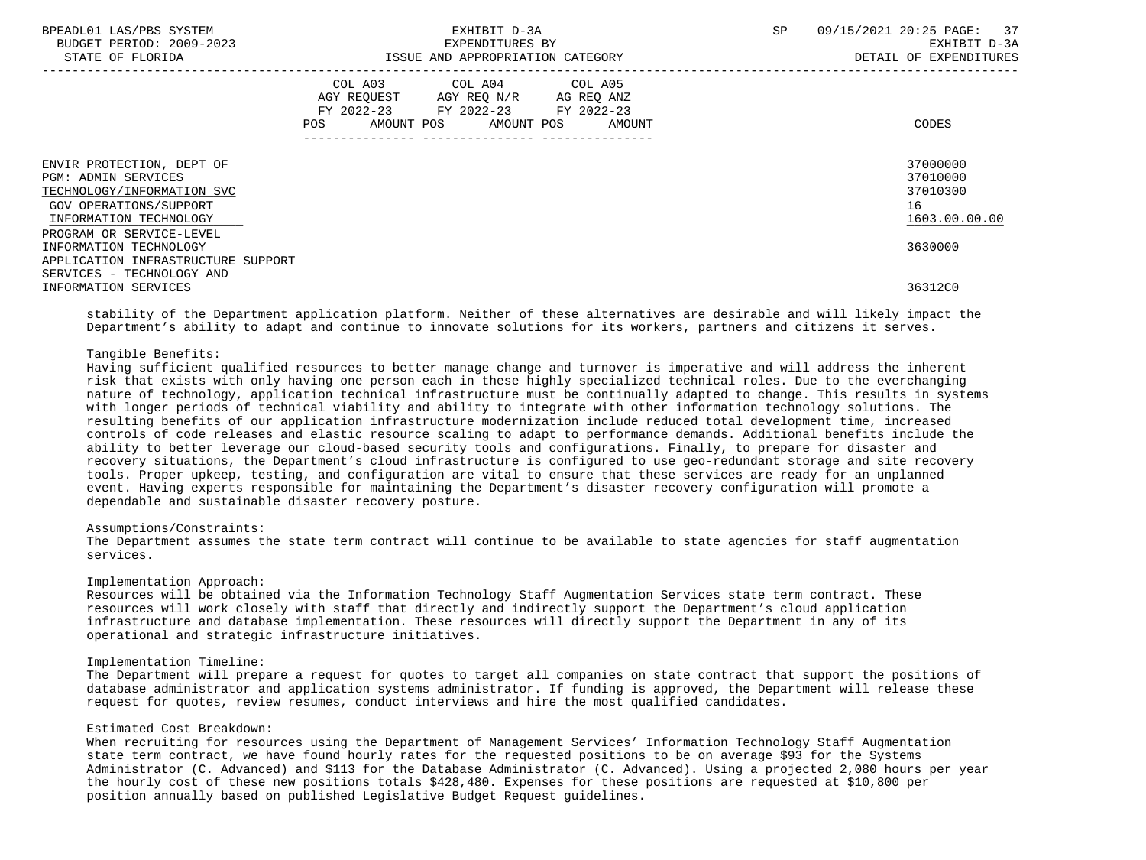| BPEADL01 LAS/PBS SYSTEM<br>BUDGET PERIOD: 2009-2023<br>STATE OF FLORIDA                                                                                               | EXHIBIT D-3A<br>EXPENDITURES BY<br>ISSUE AND APPROPRIATION CATEGORY                                                                         | 09/15/2021 20:25 PAGE: 37<br><b>SP</b><br>EXHIBIT D-3A<br>DETAIL OF EXPENDITURES |
|-----------------------------------------------------------------------------------------------------------------------------------------------------------------------|---------------------------------------------------------------------------------------------------------------------------------------------|----------------------------------------------------------------------------------|
|                                                                                                                                                                       | COL A03 COL A04 COL A05<br>AGY REQUEST AGY REQ N/R AG REQ ANZ<br>FY 2022-23 FY 2022-23 FY 2022-23<br>POS<br>AMOUNT POS AMOUNT POS<br>AMOUNT | CODES                                                                            |
| ENVIR PROTECTION, DEPT OF<br><b>PGM: ADMIN SERVICES</b><br>TECHNOLOGY/INFORMATION SVC<br>GOV OPERATIONS/SUPPORT<br>INFORMATION TECHNOLOGY<br>PROGRAM OR SERVICE-LEVEL |                                                                                                                                             | 37000000<br>37010000<br>37010300<br>16<br>1603.00.00.00                          |
| INFORMATION TECHNOLOGY<br>APPLICATION INFRASTRUCTURE SUPPORT<br>SERVICES - TECHNOLOGY AND                                                                             |                                                                                                                                             | 3630000                                                                          |
| INFORMATION SERVICES                                                                                                                                                  |                                                                                                                                             | 36312C0                                                                          |

 stability of the Department application platform. Neither of these alternatives are desirable and will likely impact the Department's ability to adapt and continue to innovate solutions for its workers, partners and citizens it serves.

# Tangible Benefits:

 Having sufficient qualified resources to better manage change and turnover is imperative and will address the inherent risk that exists with only having one person each in these highly specialized technical roles. Due to the everchanging nature of technology, application technical infrastructure must be continually adapted to change. This results in systems with longer periods of technical viability and ability to integrate with other information technology solutions. The resulting benefits of our application infrastructure modernization include reduced total development time, increased controls of code releases and elastic resource scaling to adapt to performance demands. Additional benefits include the ability to better leverage our cloud-based security tools and configurations. Finally, to prepare for disaster and recovery situations, the Department's cloud infrastructure is configured to use geo-redundant storage and site recovery tools. Proper upkeep, testing, and configuration are vital to ensure that these services are ready for an unplanned event. Having experts responsible for maintaining the Department's disaster recovery configuration will promote a dependable and sustainable disaster recovery posture.

# Assumptions/Constraints:

 The Department assumes the state term contract will continue to be available to state agencies for staff augmentation services.

#### Implementation Approach:

 Resources will be obtained via the Information Technology Staff Augmentation Services state term contract. These resources will work closely with staff that directly and indirectly support the Department's cloud application infrastructure and database implementation. These resources will directly support the Department in any of its operational and strategic infrastructure initiatives.

# Implementation Timeline:

 The Department will prepare a request for quotes to target all companies on state contract that support the positions of database administrator and application systems administrator. If funding is approved, the Department will release these request for quotes, review resumes, conduct interviews and hire the most qualified candidates.

# Estimated Cost Breakdown:

 When recruiting for resources using the Department of Management Services' Information Technology Staff Augmentation state term contract, we have found hourly rates for the requested positions to be on average \$93 for the Systems Administrator (C. Advanced) and \$113 for the Database Administrator (C. Advanced). Using a projected 2,080 hours per year the hourly cost of these new positions totals \$428,480. Expenses for these positions are requested at \$10,800 per position annually based on published Legislative Budget Request guidelines.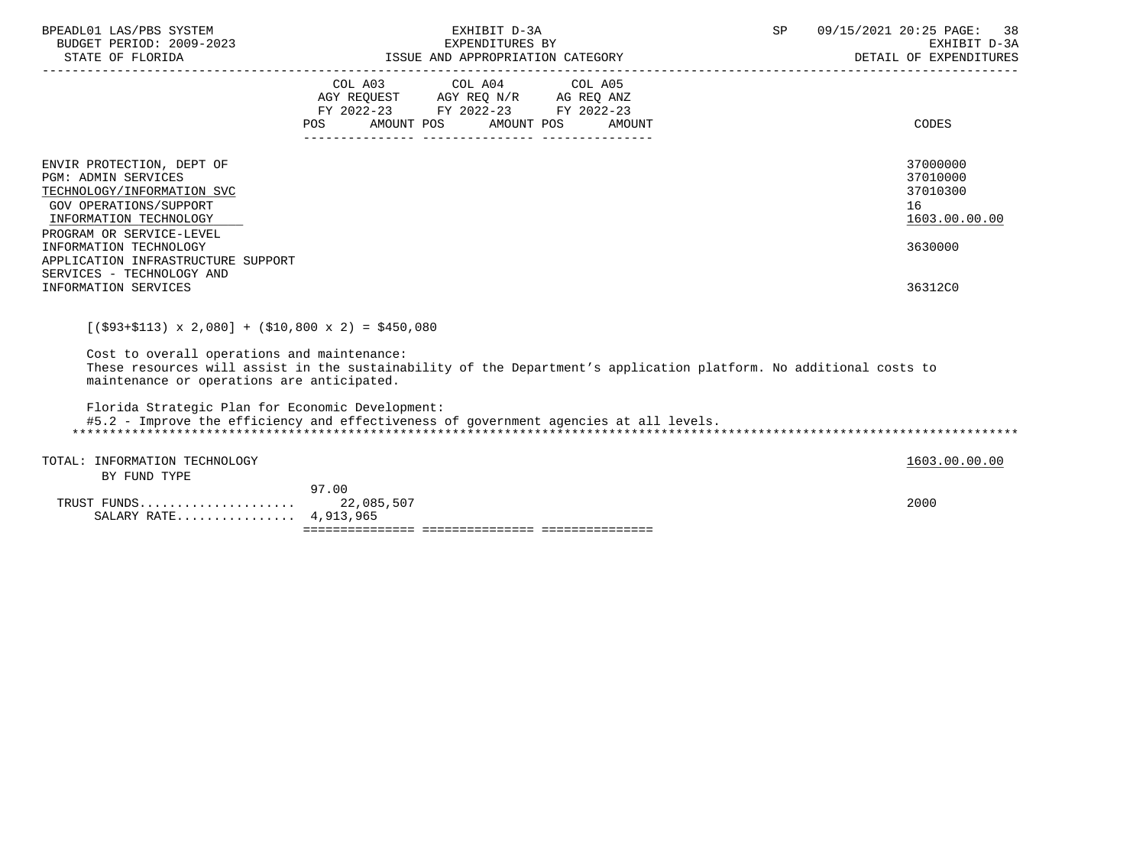| BPEADL01 LAS/PBS SYSTEM<br>BUDGET PERIOD: 2009-2023<br>STATE OF FLORIDA                                                                                               |                   | EXHIBIT D-3A<br>EXPENDITURES BY<br>-2023 EXPENDITURES BY<br>ISSUE AND APPROPRIATION CATEGORY                                                                                                                              | SP                                                                                                                 | 09/15/2021 20:25 PAGE: 38<br>EXHIBIT D-3A<br>DETAIL OF EXPENDITURES |
|-----------------------------------------------------------------------------------------------------------------------------------------------------------------------|-------------------|---------------------------------------------------------------------------------------------------------------------------------------------------------------------------------------------------------------------------|--------------------------------------------------------------------------------------------------------------------|---------------------------------------------------------------------|
|                                                                                                                                                                       | AMOUNT POS<br>POS | COL A03 COL A04 COL A05<br>$\begin{tabular}{lllllll} AGY & \texttt{REQUEST} & \texttt{AGY REQ} & \texttt{N/R} & \texttt{AG REQ} & \texttt{ANZ} \end{tabular}$<br>FY 2022-23 FY 2022-23 FY 2022-23<br>AMOUNT POS<br>AMOUNT |                                                                                                                    | CODES                                                               |
| ENVIR PROTECTION, DEPT OF<br><b>PGM: ADMIN SERVICES</b><br>TECHNOLOGY/INFORMATION SVC<br>GOV OPERATIONS/SUPPORT<br>INFORMATION TECHNOLOGY<br>PROGRAM OR SERVICE-LEVEL |                   |                                                                                                                                                                                                                           |                                                                                                                    | 37000000<br>37010000<br>37010300<br>16<br>1603.00.00.00             |
| INFORMATION TECHNOLOGY<br>APPLICATION INFRASTRUCTURE SUPPORT<br>SERVICES - TECHNOLOGY AND<br>INFORMATION SERVICES                                                     |                   |                                                                                                                                                                                                                           |                                                                                                                    | 3630000<br>36312C0                                                  |
| $[(\$93+\$113) \times 2,080] + ($10,800 \times 2) = $450,080$                                                                                                         |                   |                                                                                                                                                                                                                           |                                                                                                                    |                                                                     |
| Cost to overall operations and maintenance:<br>maintenance or operations are anticipated.                                                                             |                   |                                                                                                                                                                                                                           | These resources will assist in the sustainability of the Department's application platform. No additional costs to |                                                                     |
| Florida Strategic Plan for Economic Development:                                                                                                                      |                   | #5.2 - Improve the efficiency and effectiveness of government agencies at all levels.                                                                                                                                     |                                                                                                                    |                                                                     |
| TOTAL: INFORMATION TECHNOLOGY<br>BY FUND TYPE                                                                                                                         |                   |                                                                                                                                                                                                                           |                                                                                                                    | 1603.00.00.00                                                       |
| SALARY RATE 4,913,965                                                                                                                                                 | 97.00             |                                                                                                                                                                                                                           |                                                                                                                    | 2000                                                                |
|                                                                                                                                                                       |                   |                                                                                                                                                                                                                           |                                                                                                                    |                                                                     |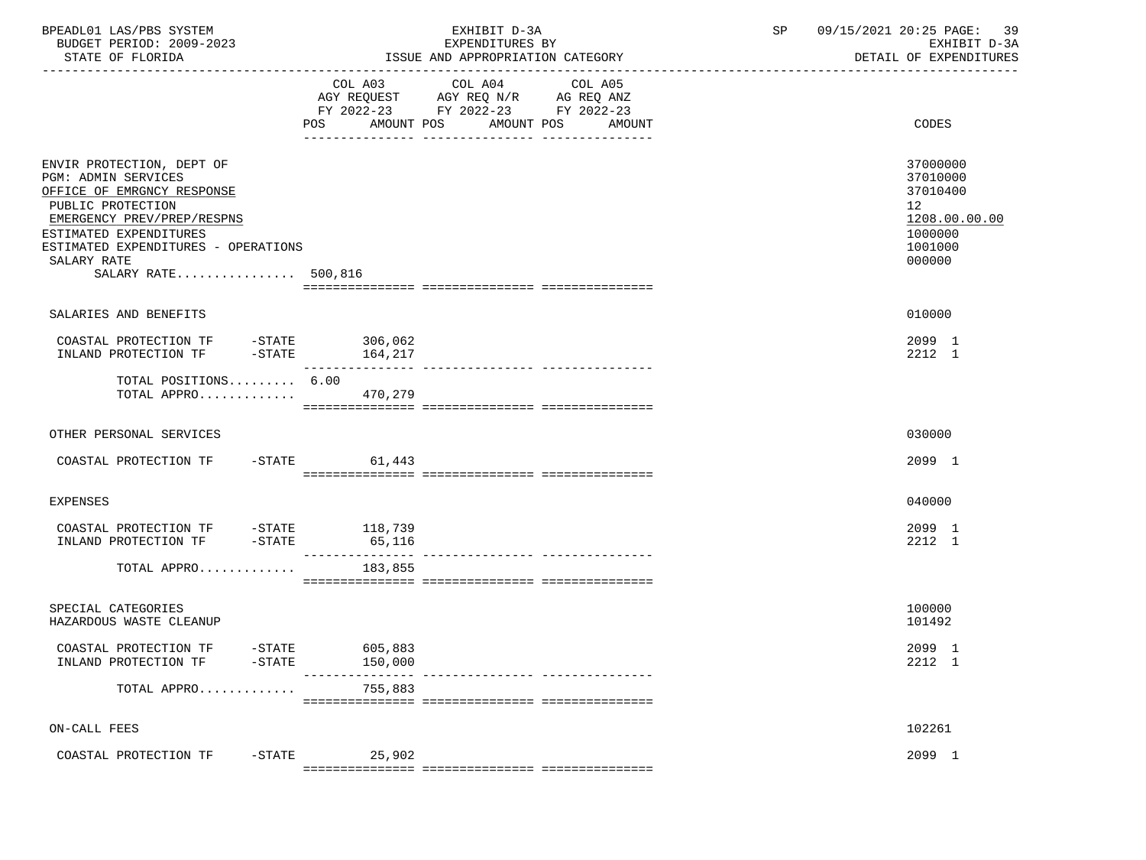| BPEADL01 LAS/PBS SYSTEM<br>BUDGET PERIOD: 2009-2023<br>STATE OF FLORIDA                                                                                                                                                                         | EXHIBIT D-3A<br>EXPENDITURES BY<br>ISSUE AND APPROPRIATION CATEGORY                                                                               | 09/15/2021 20:25 PAGE: 39<br>SP and the set of the set of the set of the set of the set of the set of the set of the set of the set of the s<br>EXHIBIT D-3A<br>DETAIL OF EXPENDITURES |
|-------------------------------------------------------------------------------------------------------------------------------------------------------------------------------------------------------------------------------------------------|---------------------------------------------------------------------------------------------------------------------------------------------------|----------------------------------------------------------------------------------------------------------------------------------------------------------------------------------------|
|                                                                                                                                                                                                                                                 | COL A03 COL A04<br>COL A05<br>AGY REQUEST AGY REQ N/R AG REQ ANZ<br>FY 2022-23 FY 2022-23 FY 2022-23<br>POS<br>AMOUNT POS<br>AMOUNT POS<br>AMOUNT | CODES                                                                                                                                                                                  |
| ENVIR PROTECTION, DEPT OF<br><b>PGM: ADMIN SERVICES</b><br>OFFICE OF EMRGNCY RESPONSE<br>PUBLIC PROTECTION<br>EMERGENCY PREV/PREP/RESPNS<br>ESTIMATED EXPENDITURES<br>ESTIMATED EXPENDITURES - OPERATIONS<br>SALARY RATE<br>SALARY RATE 500,816 |                                                                                                                                                   | 37000000<br>37010000<br>37010400<br>12<br>1208.00.00.00<br>1000000<br>1001000<br>000000                                                                                                |
| SALARIES AND BENEFITS                                                                                                                                                                                                                           |                                                                                                                                                   | 010000                                                                                                                                                                                 |
|                                                                                                                                                                                                                                                 | 306,062<br>164,217<br>________________                                                                                                            | 2099 1<br>2212 1                                                                                                                                                                       |
| TOTAL POSITIONS 6.00<br>TOTAL APPRO $\ldots \ldots \ldots$                                                                                                                                                                                      |                                                                                                                                                   |                                                                                                                                                                                        |
| OTHER PERSONAL SERVICES                                                                                                                                                                                                                         |                                                                                                                                                   | 030000                                                                                                                                                                                 |
| COASTAL PROTECTION TF -STATE 61,443                                                                                                                                                                                                             |                                                                                                                                                   | 2099 1                                                                                                                                                                                 |
| EXPENSES                                                                                                                                                                                                                                        |                                                                                                                                                   | 040000                                                                                                                                                                                 |
| COASTAL PROTECTION TF -STATE 118,739<br>INLAND PROTECTION TF -STATE 65,116                                                                                                                                                                      |                                                                                                                                                   | 2099 1<br>2212 1                                                                                                                                                                       |
| TOTAL APPRO $183,855$                                                                                                                                                                                                                           |                                                                                                                                                   |                                                                                                                                                                                        |
| SPECIAL CATEGORIES<br>HAZARDOUS WASTE CLEANUP                                                                                                                                                                                                   |                                                                                                                                                   | 100000<br>101492                                                                                                                                                                       |
| COASTAL PROTECTION TF<br>$-STATE$<br>INLAND PROTECTION TF<br>$-$ STATE                                                                                                                                                                          | 605,883<br>150,000                                                                                                                                | 2099 1<br>2212 1                                                                                                                                                                       |
| TOTAL APPRO                                                                                                                                                                                                                                     | 755,883                                                                                                                                           |                                                                                                                                                                                        |
| ON-CALL FEES                                                                                                                                                                                                                                    |                                                                                                                                                   | 102261                                                                                                                                                                                 |
| $-STATE$<br>COASTAL PROTECTION TF                                                                                                                                                                                                               | 25,902                                                                                                                                            | 2099 1                                                                                                                                                                                 |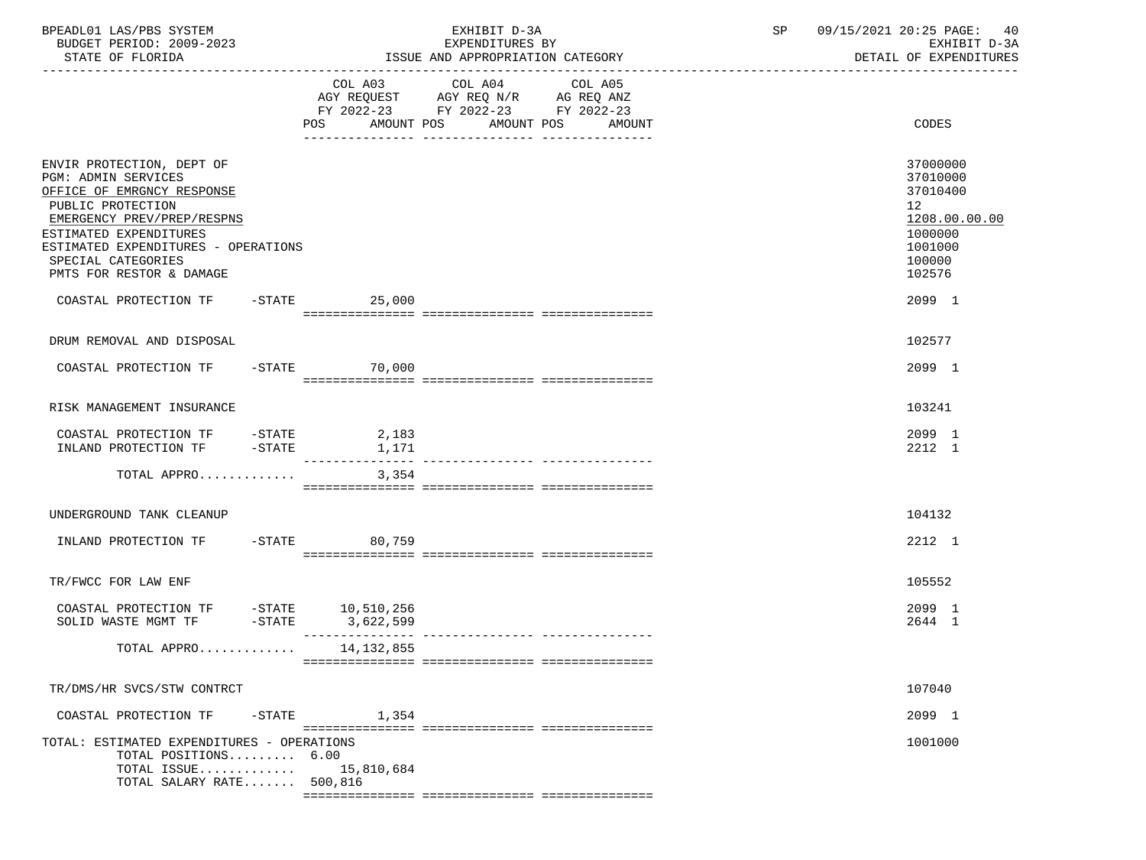| BPEADL01 LAS/PBS SYSTEM<br>BUDGET PERIOD: 2009-2023                                                                                                                                                                                                         |                 | EXHIBIT D-3A<br>EXPENDITURES BY                                                                                                          | 09/15/2021 20:25 PAGE:<br>SP<br>40<br>EXHIBIT D-3A                                                             |
|-------------------------------------------------------------------------------------------------------------------------------------------------------------------------------------------------------------------------------------------------------------|-----------------|------------------------------------------------------------------------------------------------------------------------------------------|----------------------------------------------------------------------------------------------------------------|
| STATE OF FLORIDA                                                                                                                                                                                                                                            |                 | ISSUE AND APPROPRIATION CATEGORY                                                                                                         | DETAIL OF EXPENDITURES                                                                                         |
|                                                                                                                                                                                                                                                             |                 | COL A03 COL A04<br>COL A05<br>AGY REQUEST AGY REQ N/R AG REQ ANZ<br>FY 2022-23 FY 2022-23 FY 2022-23<br>POS AMOUNT POS AMOUNT POS AMOUNT | CODES                                                                                                          |
|                                                                                                                                                                                                                                                             |                 |                                                                                                                                          |                                                                                                                |
| ENVIR PROTECTION, DEPT OF<br><b>PGM: ADMIN SERVICES</b><br>OFFICE OF EMRGNCY RESPONSE<br>PUBLIC PROTECTION<br>EMERGENCY PREV/PREP/RESPNS<br>ESTIMATED EXPENDITURES<br>ESTIMATED EXPENDITURES - OPERATIONS<br>SPECIAL CATEGORIES<br>PMTS FOR RESTOR & DAMAGE |                 |                                                                                                                                          | 37000000<br>37010000<br>37010400<br>12 <sup>°</sup><br>1208.00.00.00<br>1000000<br>1001000<br>100000<br>102576 |
| COASTAL PROTECTION TF -STATE 25,000                                                                                                                                                                                                                         |                 |                                                                                                                                          | 2099 1                                                                                                         |
| DRUM REMOVAL AND DISPOSAL                                                                                                                                                                                                                                   |                 |                                                                                                                                          | 102577                                                                                                         |
| COASTAL PROTECTION TF                                                                                                                                                                                                                                       | $-STATE$ 70,000 |                                                                                                                                          | 2099 1                                                                                                         |
| RISK MANAGEMENT INSURANCE                                                                                                                                                                                                                                   |                 |                                                                                                                                          | 103241                                                                                                         |
|                                                                                                                                                                                                                                                             |                 |                                                                                                                                          | 2099 1<br>2212 1                                                                                               |
| TOTAL APPRO                                                                                                                                                                                                                                                 | 3,354           |                                                                                                                                          |                                                                                                                |
| UNDERGROUND TANK CLEANUP                                                                                                                                                                                                                                    |                 |                                                                                                                                          | 104132                                                                                                         |
| INLAND PROTECTION TF -STATE 80,759                                                                                                                                                                                                                          |                 |                                                                                                                                          | 2212 1                                                                                                         |
| TR/FWCC FOR LAW ENF                                                                                                                                                                                                                                         |                 |                                                                                                                                          | 105552                                                                                                         |
| COASTAL PROTECTION TF $-$ STATE 10,510,256<br>SOLID WASTE MGMT TF $-$ STATE 3,622,599                                                                                                                                                                       |                 |                                                                                                                                          | 2099 1<br>2644 1                                                                                               |
| TOTAL APPRO                                                                                                                                                                                                                                                 | 14,132,855      |                                                                                                                                          |                                                                                                                |
| TR/DMS/HR SVCS/STW CONTRCT                                                                                                                                                                                                                                  |                 |                                                                                                                                          | 107040                                                                                                         |
| COASTAL PROTECTION TF<br>$-$ STATE                                                                                                                                                                                                                          | 1,354           |                                                                                                                                          | 2099 1                                                                                                         |
| TOTAL: ESTIMATED EXPENDITURES - OPERATIONS<br>TOTAL POSITIONS 6.00<br>TOTAL ISSUE<br>TOTAL SALARY RATE 500,816                                                                                                                                              | 15,810,684      |                                                                                                                                          | 1001000                                                                                                        |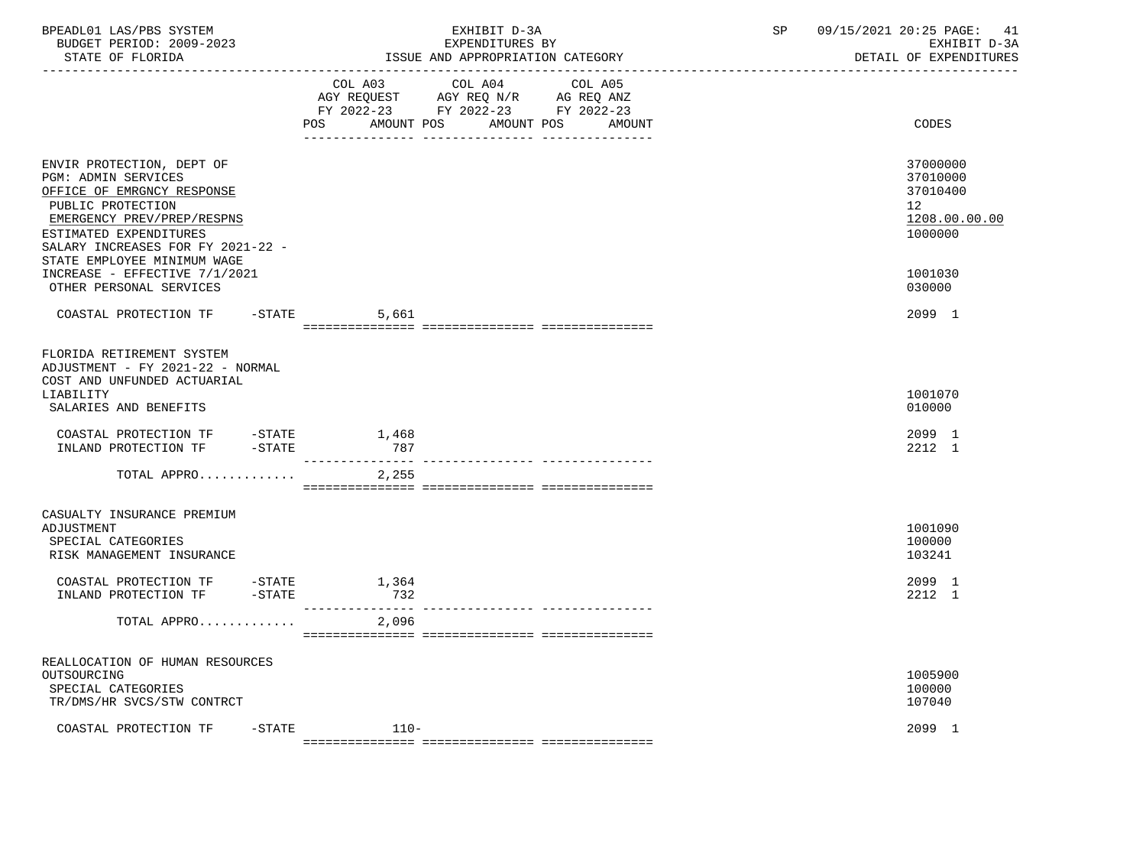| BPEADL01 LAS/PBS SYSTEM<br>BUDGET PERIOD: 2009-2023                                                                                                                                                                                                                                                |           |                   | EXHIBIT D-3A<br>EXPENDITURES BY                                                                   | SP                   | 09/15/2021 20:25 PAGE: 41<br>EXHIBIT D-3A<br>DETAIL OF EXPENDITURES |                                                                                         |
|----------------------------------------------------------------------------------------------------------------------------------------------------------------------------------------------------------------------------------------------------------------------------------------------------|-----------|-------------------|---------------------------------------------------------------------------------------------------|----------------------|---------------------------------------------------------------------|-----------------------------------------------------------------------------------------|
|                                                                                                                                                                                                                                                                                                    |           | POS<br>AMOUNT POS | COL A03 COL A04 COL A05<br>AGY REQUEST AGY REQ N/R AG REQ ANZ<br>FY 2022-23 FY 2022-23 FY 2022-23 | AMOUNT POS<br>AMOUNT |                                                                     | CODES                                                                                   |
| ENVIR PROTECTION, DEPT OF<br><b>PGM: ADMIN SERVICES</b><br>OFFICE OF EMRGNCY RESPONSE<br>PUBLIC PROTECTION<br>EMERGENCY PREV/PREP/RESPNS<br>ESTIMATED EXPENDITURES<br>SALARY INCREASES FOR FY 2021-22 -<br>STATE EMPLOYEE MINIMUM WAGE<br>INCREASE - EFFECTIVE 7/1/2021<br>OTHER PERSONAL SERVICES |           |                   |                                                                                                   |                      |                                                                     | 37000000<br>37010000<br>37010400<br>12<br>1208.00.00.00<br>1000000<br>1001030<br>030000 |
| COASTAL PROTECTION TF -STATE                                                                                                                                                                                                                                                                       |           | 5,661             |                                                                                                   |                      |                                                                     | 2099 1                                                                                  |
| FLORIDA RETIREMENT SYSTEM<br>ADJUSTMENT - FY 2021-22 - NORMAL<br>COST AND UNFUNDED ACTUARIAL<br>LIABILITY<br>SALARIES AND BENEFITS                                                                                                                                                                 |           |                   |                                                                                                   |                      |                                                                     | 1001070<br>010000                                                                       |
| COASTAL PROTECTION TF -STATE<br>INLAND PROTECTION TF                                                                                                                                                                                                                                               | $-$ STATE | 1,468<br>787      |                                                                                                   |                      |                                                                     | 2099 1<br>2212 1                                                                        |
| TOTAL APPRO                                                                                                                                                                                                                                                                                        |           | 2,255             |                                                                                                   |                      |                                                                     |                                                                                         |
| CASUALTY INSURANCE PREMIUM<br>ADJUSTMENT<br>SPECIAL CATEGORIES<br>RISK MANAGEMENT INSURANCE                                                                                                                                                                                                        |           |                   |                                                                                                   |                      |                                                                     | 1001090<br>100000<br>103241                                                             |
| COASTAL PROTECTION TF -STATE<br>INLAND PROTECTION TF -STATE                                                                                                                                                                                                                                        |           | 1,364<br>732      |                                                                                                   |                      |                                                                     | 2099 1<br>2212 1                                                                        |
| TOTAL APPRO                                                                                                                                                                                                                                                                                        |           | 2,096             |                                                                                                   |                      |                                                                     |                                                                                         |
| REALLOCATION OF HUMAN RESOURCES<br>OUTSOURCING<br>SPECIAL CATEGORIES<br>TR/DMS/HR SVCS/STW CONTRCT                                                                                                                                                                                                 |           |                   |                                                                                                   |                      |                                                                     | 1005900<br>100000<br>107040                                                             |
| COASTAL PROTECTION TF                                                                                                                                                                                                                                                                              | $-$ STATE | $110 -$           |                                                                                                   |                      |                                                                     | 2099 1                                                                                  |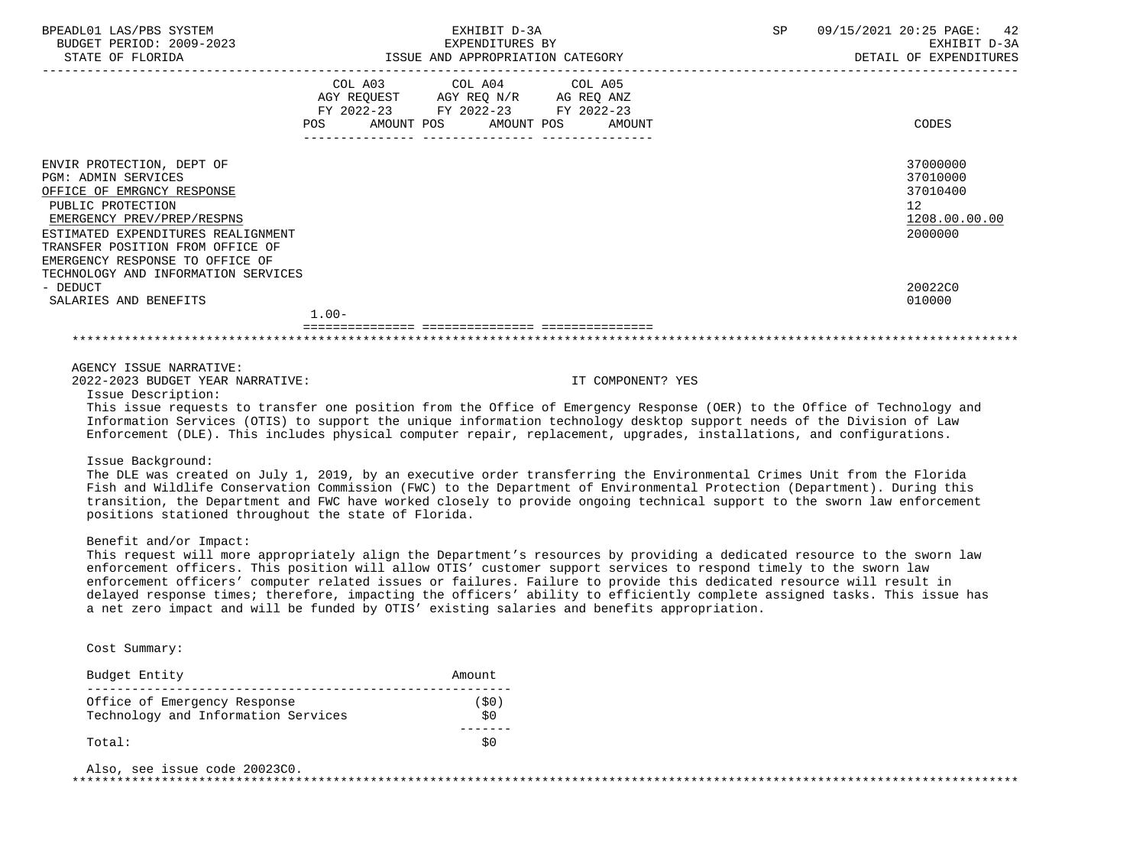| BPEADL01 LAS/PBS SYSTEM<br>BUDGET PERIOD: 2009-2023<br>STATE OF FLORIDA                                                                                                                                                                                                                      | EXHIBIT D-3A<br>EXPENDITURES BY<br>ISSUE AND APPROPRIATION CATEGORY                                                                                                                                                                                                                                                                                                                                                                                                                                                                                                                               | SP<br>09/15/2021 20:25 PAGE:<br>42<br>EXHIBIT D-3A<br>DETAIL OF EXPENDITURES      |
|----------------------------------------------------------------------------------------------------------------------------------------------------------------------------------------------------------------------------------------------------------------------------------------------|---------------------------------------------------------------------------------------------------------------------------------------------------------------------------------------------------------------------------------------------------------------------------------------------------------------------------------------------------------------------------------------------------------------------------------------------------------------------------------------------------------------------------------------------------------------------------------------------------|-----------------------------------------------------------------------------------|
|                                                                                                                                                                                                                                                                                              | COL A03 COL A04<br>COL A05<br>AGY REQUEST AGY REQ N/R AG REQ ANZ<br>FY 2022-23 FY 2022-23 FY 2022-23                                                                                                                                                                                                                                                                                                                                                                                                                                                                                              |                                                                                   |
|                                                                                                                                                                                                                                                                                              | AMOUNT POS<br>AMOUNT POS<br>POS<br>AMOUNT                                                                                                                                                                                                                                                                                                                                                                                                                                                                                                                                                         | CODES                                                                             |
| ENVIR PROTECTION, DEPT OF<br><b>PGM: ADMIN SERVICES</b><br>OFFICE OF EMRGNCY RESPONSE<br>PUBLIC PROTECTION<br>EMERGENCY PREV/PREP/RESPNS<br>ESTIMATED EXPENDITURES REALIGNMENT<br>TRANSFER POSITION FROM OFFICE OF<br>EMERGENCY RESPONSE TO OFFICE OF<br>TECHNOLOGY AND INFORMATION SERVICES |                                                                                                                                                                                                                                                                                                                                                                                                                                                                                                                                                                                                   | 37000000<br>37010000<br>37010400<br>$12 \overline{ }$<br>1208.00.00.00<br>2000000 |
| - DEDUCT<br>SALARIES AND BENEFITS                                                                                                                                                                                                                                                            |                                                                                                                                                                                                                                                                                                                                                                                                                                                                                                                                                                                                   | 20022C0<br>010000                                                                 |
|                                                                                                                                                                                                                                                                                              | $1.00 -$                                                                                                                                                                                                                                                                                                                                                                                                                                                                                                                                                                                          |                                                                                   |
|                                                                                                                                                                                                                                                                                              |                                                                                                                                                                                                                                                                                                                                                                                                                                                                                                                                                                                                   |                                                                                   |
| AGENCY ISSUE NARRATIVE:<br>2022-2023 BUDGET YEAR NARRATIVE:<br>Issue Description:                                                                                                                                                                                                            | IT COMPONENT? YES<br>This issue requests to transfer one position from the Office of Emergency Response (OER) to the Office of Technology and<br>Information Services (OTIS) to support the unique information technology desktop support needs of the Division of Law<br>Enforcement (DLE). This includes physical computer repair, replacement, upgrades, installations, and configurations.                                                                                                                                                                                                    |                                                                                   |
| Issue Background:<br>positions stationed throughout the state of Florida.                                                                                                                                                                                                                    | The DLE was created on July 1, 2019, by an executive order transferring the Environmental Crimes Unit from the Florida<br>Fish and Wildlife Conservation Commission (FWC) to the Department of Environmental Protection (Department). During this<br>transition, the Department and FWC have worked closely to provide ongoing technical support to the sworn law enforcement                                                                                                                                                                                                                     |                                                                                   |
| Benefit and/or Impact:                                                                                                                                                                                                                                                                       | This request will more appropriately align the Department's resources by providing a dedicated resource to the sworn law<br>enforcement officers. This position will allow OTIS' customer support services to respond timely to the sworn law<br>enforcement officers' computer related issues or failures. Failure to provide this dedicated resource will result in<br>delayed response times; therefore, impacting the officers' ability to efficiently complete assigned tasks. This issue has<br>a net zero impact and will be funded by OTIS' existing salaries and benefits appropriation. |                                                                                   |
| Cost Summary:                                                                                                                                                                                                                                                                                |                                                                                                                                                                                                                                                                                                                                                                                                                                                                                                                                                                                                   |                                                                                   |
| Budget Entity                                                                                                                                                                                                                                                                                | Amount                                                                                                                                                                                                                                                                                                                                                                                                                                                                                                                                                                                            |                                                                                   |
| Office of Emergency Response<br>Technology and Information Services                                                                                                                                                                                                                          | (50)<br>\$0                                                                                                                                                                                                                                                                                                                                                                                                                                                                                                                                                                                       |                                                                                   |
| Total:                                                                                                                                                                                                                                                                                       | -------<br>\$0                                                                                                                                                                                                                                                                                                                                                                                                                                                                                                                                                                                    |                                                                                   |
| Also, see issue code 20023C0.                                                                                                                                                                                                                                                                |                                                                                                                                                                                                                                                                                                                                                                                                                                                                                                                                                                                                   |                                                                                   |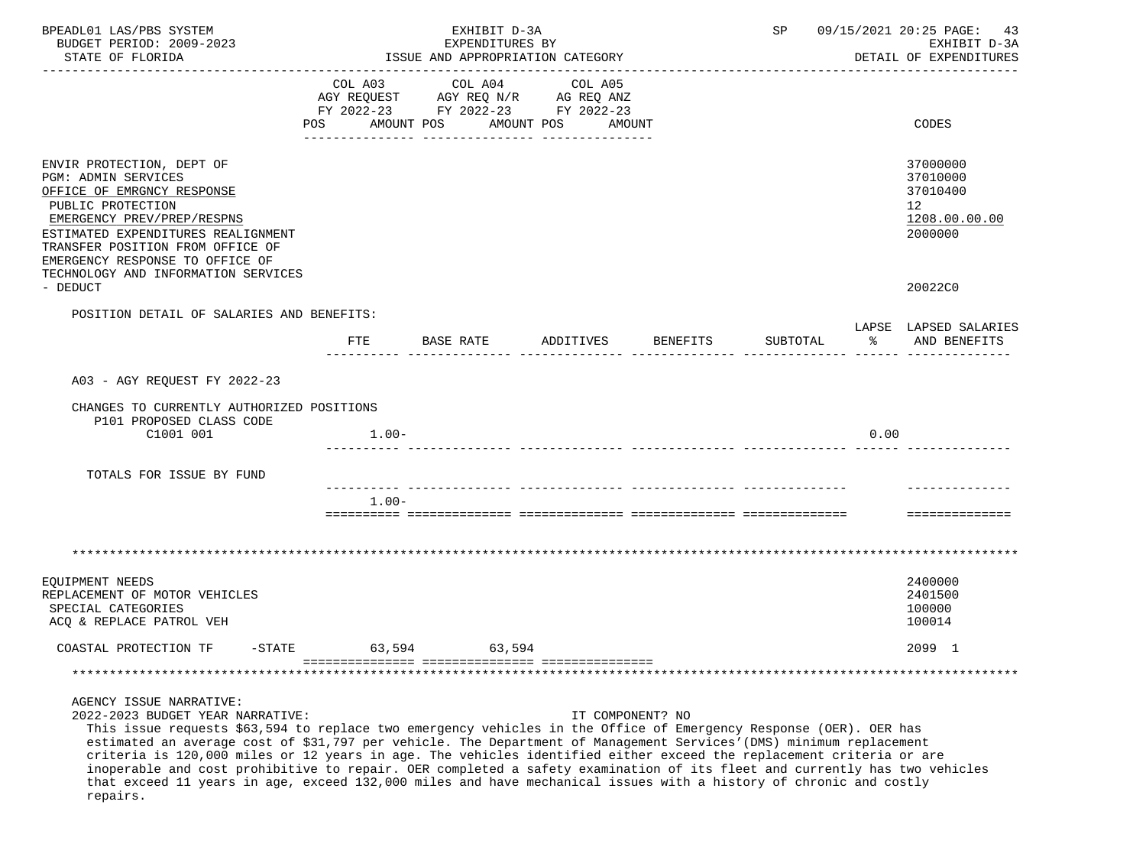| BPEADL01 LAS/PBS SYSTEM<br>BUDGET PERIOD: 2009-2023                                                                                                                                                                                                                                                                                                                                                                                                                                                                                                                                                                                                                              | EXHIBIT D-3A<br>EXPENDITURES BY |                                                                                                 |                                 | 09/15/2021 20:25 PAGE:<br>SP<br>-43<br>EXHIBIT D-3A |          |                      |                                                                    |
|----------------------------------------------------------------------------------------------------------------------------------------------------------------------------------------------------------------------------------------------------------------------------------------------------------------------------------------------------------------------------------------------------------------------------------------------------------------------------------------------------------------------------------------------------------------------------------------------------------------------------------------------------------------------------------|---------------------------------|-------------------------------------------------------------------------------------------------|---------------------------------|-----------------------------------------------------|----------|----------------------|--------------------------------------------------------------------|
| STATE OF FLORIDA                                                                                                                                                                                                                                                                                                                                                                                                                                                                                                                                                                                                                                                                 |                                 | ISSUE AND APPROPRIATION CATEGORY                                                                |                                 |                                                     |          |                      | DETAIL OF EXPENDITURES                                             |
|                                                                                                                                                                                                                                                                                                                                                                                                                                                                                                                                                                                                                                                                                  | COL A03<br>POS                  | COL A04<br>AGY REQUEST AGY REQ N/R AG REQ ANZ<br>FY 2022-23 FY 2022-23 FY 2022-23<br>AMOUNT POS | COL A05<br>AMOUNT POS<br>AMOUNT |                                                     |          |                      | CODES                                                              |
| ENVIR PROTECTION, DEPT OF<br><b>PGM: ADMIN SERVICES</b><br>OFFICE OF EMRGNCY RESPONSE<br>PUBLIC PROTECTION<br>EMERGENCY PREV/PREP/RESPNS<br>ESTIMATED EXPENDITURES REALIGNMENT<br>TRANSFER POSITION FROM OFFICE OF<br>EMERGENCY RESPONSE TO OFFICE OF<br>TECHNOLOGY AND INFORMATION SERVICES                                                                                                                                                                                                                                                                                                                                                                                     |                                 |                                                                                                 |                                 |                                                     |          |                      | 37000000<br>37010000<br>37010400<br>12<br>1208.00.00.00<br>2000000 |
| - DEDUCT                                                                                                                                                                                                                                                                                                                                                                                                                                                                                                                                                                                                                                                                         |                                 |                                                                                                 |                                 |                                                     |          |                      | 20022C0                                                            |
| POSITION DETAIL OF SALARIES AND BENEFITS:                                                                                                                                                                                                                                                                                                                                                                                                                                                                                                                                                                                                                                        | FTE                             | BASE RATE                                                                                       | ADDITIVES                       | BENEFITS                                            | SUBTOTAL | $\sim$ $\sim$ $\sim$ | LAPSE LAPSED SALARIES<br>AND BENEFITS                              |
|                                                                                                                                                                                                                                                                                                                                                                                                                                                                                                                                                                                                                                                                                  |                                 |                                                                                                 |                                 |                                                     |          |                      |                                                                    |
| A03 - AGY REQUEST FY 2022-23                                                                                                                                                                                                                                                                                                                                                                                                                                                                                                                                                                                                                                                     |                                 |                                                                                                 |                                 |                                                     |          |                      |                                                                    |
| CHANGES TO CURRENTLY AUTHORIZED POSITIONS<br>P101 PROPOSED CLASS CODE<br>C1001 001                                                                                                                                                                                                                                                                                                                                                                                                                                                                                                                                                                                               | $1.00 -$                        |                                                                                                 |                                 |                                                     |          | 0.00                 |                                                                    |
| TOTALS FOR ISSUE BY FUND                                                                                                                                                                                                                                                                                                                                                                                                                                                                                                                                                                                                                                                         |                                 |                                                                                                 |                                 |                                                     |          |                      |                                                                    |
|                                                                                                                                                                                                                                                                                                                                                                                                                                                                                                                                                                                                                                                                                  |                                 |                                                                                                 |                                 |                                                     |          |                      |                                                                    |
|                                                                                                                                                                                                                                                                                                                                                                                                                                                                                                                                                                                                                                                                                  | $1.00 -$                        |                                                                                                 |                                 |                                                     |          |                      | ==============                                                     |
|                                                                                                                                                                                                                                                                                                                                                                                                                                                                                                                                                                                                                                                                                  |                                 |                                                                                                 |                                 |                                                     |          |                      |                                                                    |
| EQUIPMENT NEEDS<br>REPLACEMENT OF MOTOR VEHICLES<br>SPECIAL CATEGORIES<br>ACQ & REPLACE PATROL VEH                                                                                                                                                                                                                                                                                                                                                                                                                                                                                                                                                                               |                                 |                                                                                                 |                                 |                                                     |          |                      | 2400000<br>2401500<br>100000<br>100014                             |
| COASTAL PROTECTION TF<br>-STATE                                                                                                                                                                                                                                                                                                                                                                                                                                                                                                                                                                                                                                                  | 63,594                          | 63,594                                                                                          |                                 |                                                     |          |                      | 2099 1                                                             |
|                                                                                                                                                                                                                                                                                                                                                                                                                                                                                                                                                                                                                                                                                  |                                 |                                                                                                 |                                 |                                                     |          |                      |                                                                    |
| AGENCY ISSUE NARRATIVE:<br>2022-2023 BUDGET YEAR NARRATIVE:<br>This issue requests \$63,594 to replace two emergency vehicles in the Office of Emergency Response (OER). OER has<br>estimated an average cost of \$31,797 per vehicle. The Department of Management Services' (DMS) minimum replacement<br>criteria is 120,000 miles or 12 years in age. The vehicles identified either exceed the replacement criteria or are<br>inoperable and cost prohibitive to repair. OER completed a safety examination of its fleet and currently has two vehicles<br>that exceed 11 years in age, exceed 132,000 miles and have mechanical issues with a history of chronic and costly |                                 |                                                                                                 | IT COMPONENT? NO                |                                                     |          |                      |                                                                    |

repairs.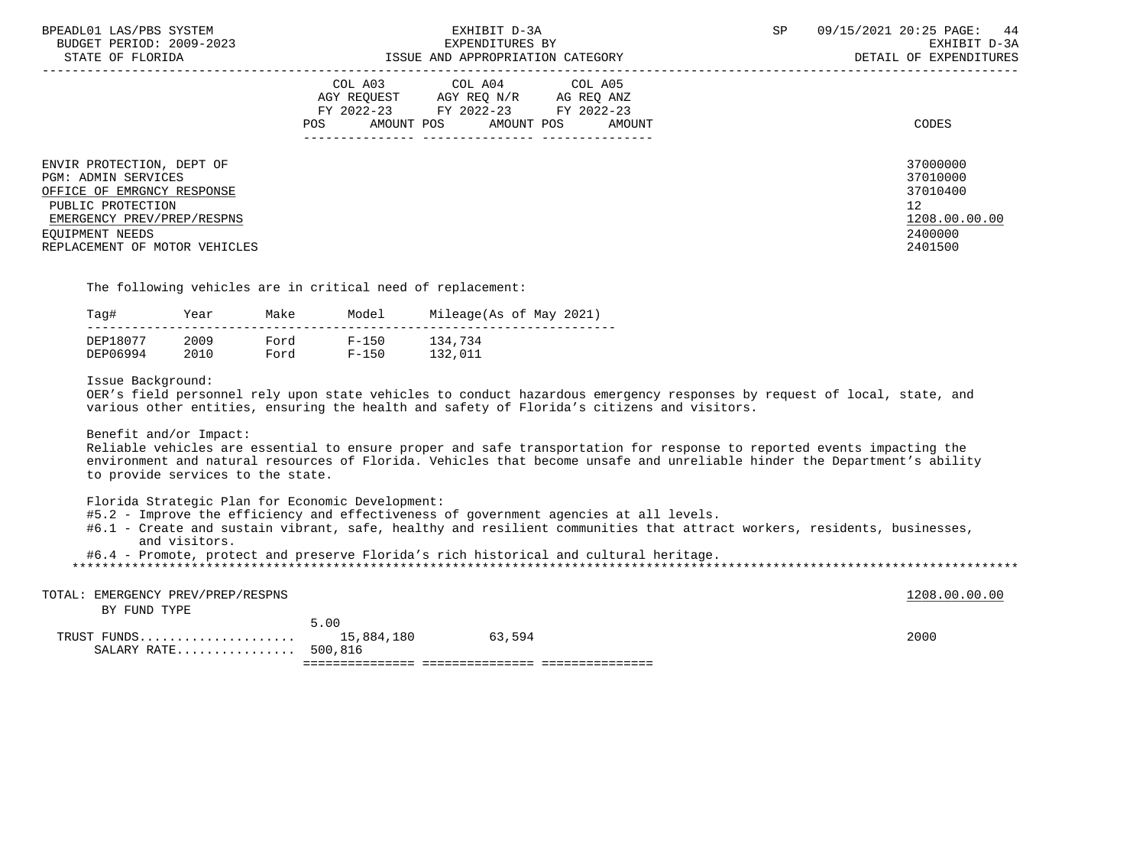| BPEADL01 LAS/PBS SYSTEM<br>BUDGET PERIOD: 2009-2023<br>STATE OF FLORIDA                                                                                         | EXHIBIT D-3A<br>EXPENDITURES BY<br>ISSUE AND APPROPRIATION CATEGORY                                                                          | SP<br>09/15/2021 20:25 PAGE: 44<br>EXHIBIT D-3A<br>DETAIL OF EXPENDITURES |
|-----------------------------------------------------------------------------------------------------------------------------------------------------------------|----------------------------------------------------------------------------------------------------------------------------------------------|---------------------------------------------------------------------------|
| ENVIR PROTECTION, DEPT OF                                                                                                                                       | COL A03 COL A04 COL A05<br>AGY REOUEST AGY REO N/R AG REO ANZ<br>FY 2022-23 FY 2022-23 FY 2022-23<br>AMOUNT POS AMOUNT POS AMOUNT<br>POS FOR | CODES<br>37000000                                                         |
| <b>PGM: ADMIN SERVICES</b><br>OFFICE OF EMRGNCY RESPONSE<br>PUBLIC PROTECTION<br>EMERGENCY PREV/PREP/RESPNS<br>EOUIPMENT NEEDS<br>REPLACEMENT OF MOTOR VEHICLES |                                                                                                                                              | 37010000<br>37010400<br>12<br>1208.00.00.00<br>2400000<br>2401500         |

The following vehicles are in critical need of replacement:

| Taq#     | Year | Make | Model     | Mileage(As of May 2021) |
|----------|------|------|-----------|-------------------------|
| DEP18077 | 2009 | Ford | $F - 150$ | 134,734                 |
| DEP06994 | 2010 | Ford | $F - 150$ | 132,011                 |

Issue Background:

 OER's field personnel rely upon state vehicles to conduct hazardous emergency responses by request of local, state, and various other entities, ensuring the health and safety of Florida's citizens and visitors.

Benefit and/or Impact:

 Reliable vehicles are essential to ensure proper and safe transportation for response to reported events impacting the environment and natural resources of Florida. Vehicles that become unsafe and unreliable hinder the Department's ability to provide services to the state.

Florida Strategic Plan for Economic Development:

- #5.2 Improve the efficiency and effectiveness of government agencies at all levels.
- #6.1 Create and sustain vibrant, safe, healthy and resilient communities that attract workers, residents, businesses, and visitors.
- #6.4 Promote, protect and preserve Florida's rich historical and cultural heritage.

| SALARY RATE 500,816               |      |        |  |               |
|-----------------------------------|------|--------|--|---------------|
|                                   | 5.00 | 63,594 |  | 2000          |
| BY FUND TYPE                      |      |        |  |               |
| TOTAL: EMERGENCY PREV/PREP/RESPNS |      |        |  | 1208.00.00.00 |
|                                   |      |        |  |               |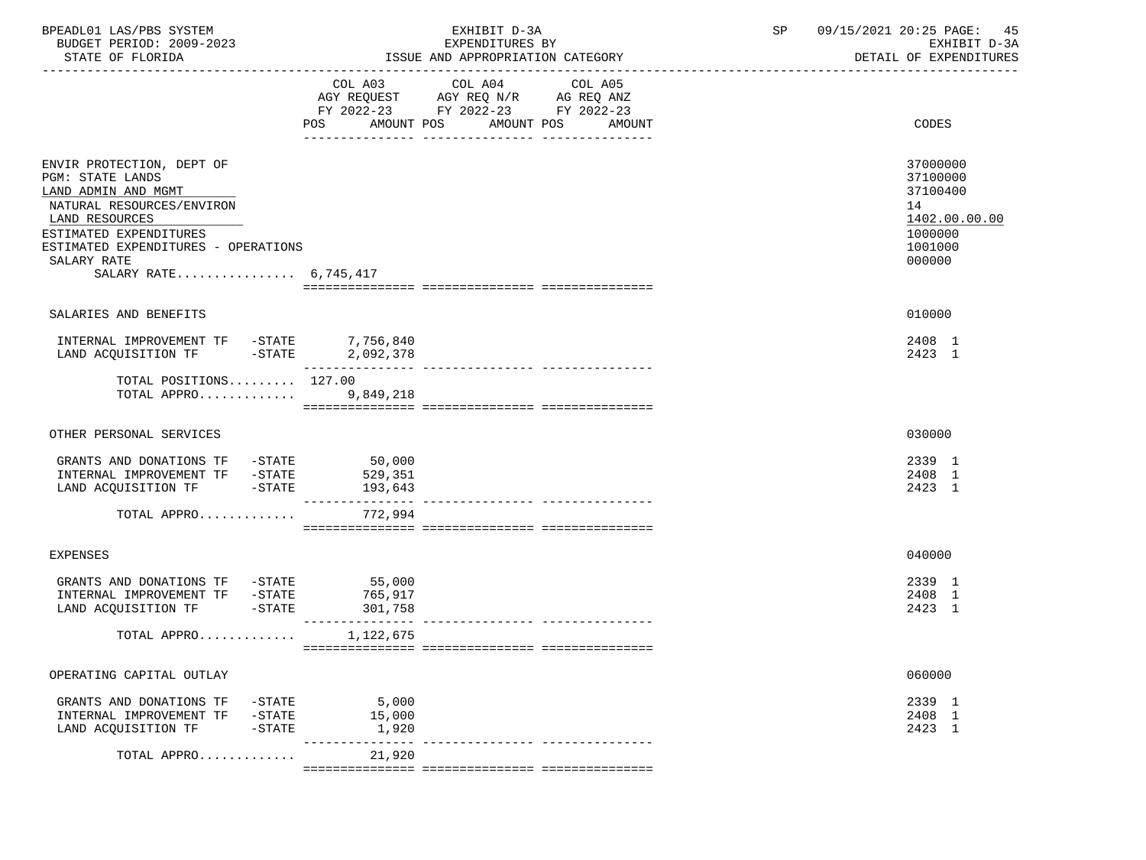| BPEADL01 LAS/PBS SYSTEM<br>BUDGET PERIOD: 2009-2023<br>STATE OF FLORIDA                                                                                                                                                             |                          | EXHIBIT D-3A<br>EXPENDITURES BY<br>ISSUE AND APPROPRIATION CATEGORY                                                      | SP | 09/15/2021 20:25 PAGE: 45<br>EXHIBIT D-3A<br>DETAIL OF EXPENDITURES                     |
|-------------------------------------------------------------------------------------------------------------------------------------------------------------------------------------------------------------------------------------|--------------------------|--------------------------------------------------------------------------------------------------------------------------|----|-----------------------------------------------------------------------------------------|
|                                                                                                                                                                                                                                     | COL A03 COL A04          | COL A05<br>AGY REQUEST AGY REQ N/R AG REQ ANZ<br>FY 2022-23 FY 2022-23 FY 2022-23<br>POS AMOUNT POS AMOUNT POS<br>AMOUNT |    | CODES                                                                                   |
| ENVIR PROTECTION, DEPT OF<br><b>PGM: STATE LANDS</b><br>LAND ADMIN AND MGMT<br>NATURAL RESOURCES/ENVIRON<br>LAND RESOURCES<br>ESTIMATED EXPENDITURES<br>ESTIMATED EXPENDITURES - OPERATIONS<br>SALARY RATE<br>SALARY RATE 6,745,417 |                          |                                                                                                                          |    | 37000000<br>37100000<br>37100400<br>14<br>1402.00.00.00<br>1000000<br>1001000<br>000000 |
| SALARIES AND BENEFITS                                                                                                                                                                                                               |                          |                                                                                                                          |    | 010000                                                                                  |
| $\begin{tabular}{llllll} \bf{INTERNAL} & \bf{IMPROVEMENT} & \bf{TF} & -STATE & \bf{7,756,840} \\ \bf{LAND} & \bf{ACQUISITION} & \bf{TF} & -STATE & \bf{2,092,378} \\ \end{tabular}$                                                 |                          |                                                                                                                          |    | 2408 1<br>2423 1                                                                        |
| TOTAL POSITIONS $127.00$<br>TOTAL APPRO                                                                                                                                                                                             | 9,849,218                |                                                                                                                          |    |                                                                                         |
| OTHER PERSONAL SERVICES                                                                                                                                                                                                             |                          |                                                                                                                          |    | 030000                                                                                  |
| GRANTS AND DONATIONS TF -STATE 50,000<br>INTERNAL IMPROVEMENT TF -STATE<br>LAND ACQUISITION TF -STATE                                                                                                                               | 529,351<br>193,643       |                                                                                                                          |    | 2339 1<br>2408 1<br>2423 1                                                              |
| TOTAL APPRO                                                                                                                                                                                                                         | 772,994                  |                                                                                                                          |    |                                                                                         |
| <b>EXPENSES</b>                                                                                                                                                                                                                     |                          |                                                                                                                          |    | 040000                                                                                  |
| GRANTS AND DONATIONS TF -STATE<br>INTERNAL IMPROVEMENT TF -STATE<br>LAND ACQUISITION TF -STATE 301,758                                                                                                                              | 55,000<br>765,917        |                                                                                                                          |    | 2339 1<br>2408 1<br>2423 1                                                              |
| TOTAL APPRO $1,122,675$                                                                                                                                                                                                             |                          |                                                                                                                          |    |                                                                                         |
| OPERATING CAPITAL OUTLAY                                                                                                                                                                                                            |                          |                                                                                                                          |    | 060000                                                                                  |
| GRANTS AND DONATIONS TF<br>-STATE<br>INTERNAL IMPROVEMENT TF<br>$-$ STATE<br>LAND ACQUISITION TF<br>$-$ STATE                                                                                                                       | 5,000<br>15,000<br>1,920 |                                                                                                                          |    | 2339 1<br>2408 1<br>2423 1                                                              |
| TOTAL APPRO                                                                                                                                                                                                                         | 21,920                   |                                                                                                                          |    |                                                                                         |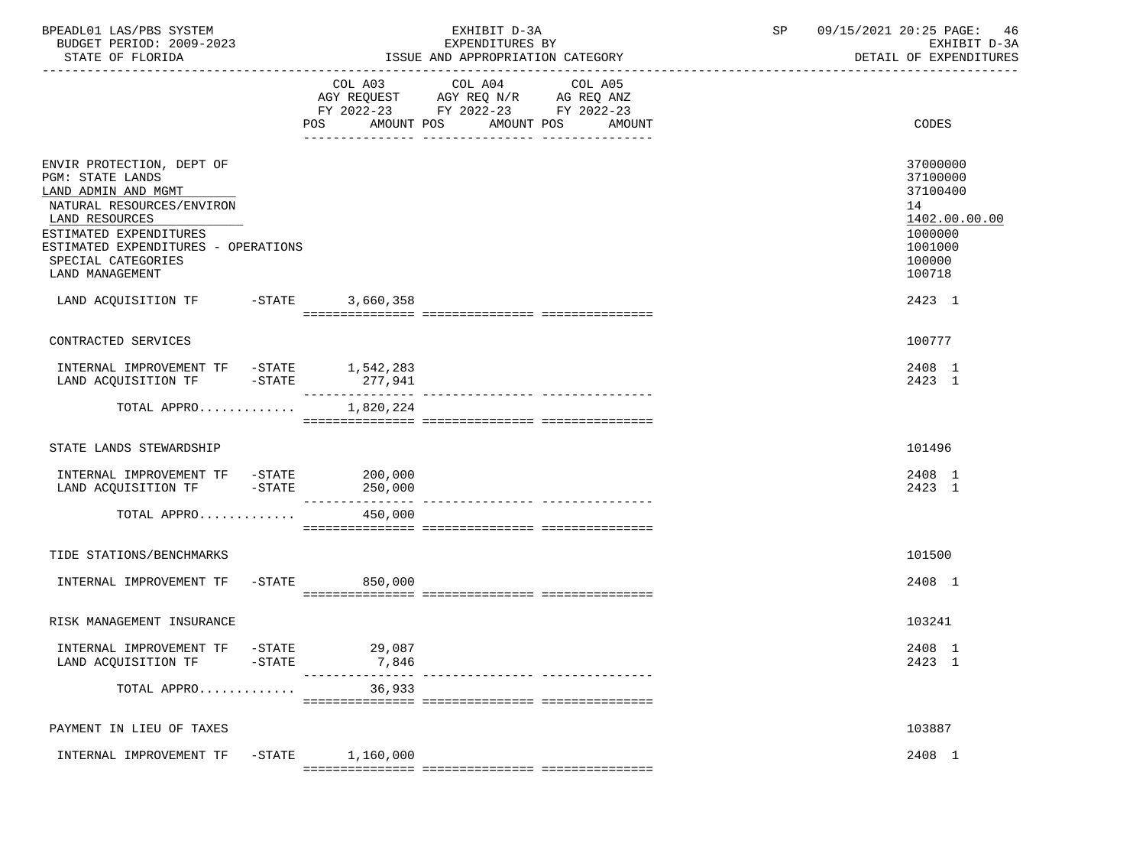| BPEADL01 LAS/PBS SYSTEM<br>BUDGET PERIOD: 2009-2023<br>STATE OF FLORIDA                                                                                                                                                                                               |           |                 | EXHIBIT D-3A<br>EXPENDITURES BY<br>ISSUE AND APPROPRIATION CATEGORY                       |                                             | 09/15/2021 20:25 PAGE:<br>SP<br>46<br>EXHIBIT D-3A<br>DETAIL OF EXPENDITURES |                                                                                                             |  |
|-----------------------------------------------------------------------------------------------------------------------------------------------------------------------------------------------------------------------------------------------------------------------|-----------|-----------------|-------------------------------------------------------------------------------------------|---------------------------------------------|------------------------------------------------------------------------------|-------------------------------------------------------------------------------------------------------------|--|
|                                                                                                                                                                                                                                                                       |           |                 | COL A03 COL A04<br>AGY REQUEST AGY REQ N/R AG REQ ANZ<br>FY 2022-23 FY 2022-23 FY 2022-23 | COL A05<br>POS AMOUNT POS AMOUNT POS AMOUNT |                                                                              | CODES                                                                                                       |  |
| ENVIR PROTECTION, DEPT OF<br>PGM: STATE LANDS<br>LAND ADMIN AND MGMT<br>NATURAL RESOURCES/ENVIRON<br>LAND RESOURCES<br>ESTIMATED EXPENDITURES<br>ESTIMATED EXPENDITURES - OPERATIONS<br>SPECIAL CATEGORIES<br>LAND MANAGEMENT<br>LAND ACQUISITION TF -STATE 3,660,358 |           |                 |                                                                                           |                                             |                                                                              | 37000000<br>37100000<br>37100400<br>14<br>1402.00.00.00<br>1000000<br>1001000<br>100000<br>100718<br>2423 1 |  |
|                                                                                                                                                                                                                                                                       |           |                 |                                                                                           |                                             |                                                                              |                                                                                                             |  |
| CONTRACTED SERVICES                                                                                                                                                                                                                                                   |           |                 |                                                                                           |                                             |                                                                              | 100777                                                                                                      |  |
| $\begin{tabular}{lllllllllll} \multicolumn{2}{l}{{\bf INTERNAL}} & {\bf IMPROVEMENT TF} & -{\bf STATE} & 1,542,283 \\ {\bf LAND ACQUISITION TF} & -{\bf STATE} & 277,941 \\ \end{tabular}$                                                                            |           |                 |                                                                                           |                                             |                                                                              | 2408 1<br>2423 1                                                                                            |  |
| TOTAL APPRO                                                                                                                                                                                                                                                           |           | 1,820,224       |                                                                                           |                                             |                                                                              |                                                                                                             |  |
| STATE LANDS STEWARDSHIP                                                                                                                                                                                                                                               |           |                 |                                                                                           |                                             |                                                                              | 101496                                                                                                      |  |
| INTERNAL IMPROVEMENT TF -STATE 200,000<br>LAND ACQUISITION TF -STATE 250,000                                                                                                                                                                                          |           |                 |                                                                                           |                                             |                                                                              | 2408 1<br>2423 1                                                                                            |  |
| TOTAL APPRO                                                                                                                                                                                                                                                           |           | 450,000         |                                                                                           |                                             |                                                                              |                                                                                                             |  |
| TIDE STATIONS/BENCHMARKS                                                                                                                                                                                                                                              |           |                 |                                                                                           |                                             |                                                                              | 101500                                                                                                      |  |
| INTERNAL IMPROVEMENT TF -STATE 650,000                                                                                                                                                                                                                                |           |                 |                                                                                           |                                             |                                                                              | 2408 1                                                                                                      |  |
| RISK MANAGEMENT INSURANCE                                                                                                                                                                                                                                             |           |                 |                                                                                           |                                             |                                                                              | 103241                                                                                                      |  |
| INTERNAL IMPROVEMENT TF -STATE<br>LAND ACQUISITION TF                                                                                                                                                                                                                 | $-STATE$  | 29,087<br>7,846 |                                                                                           |                                             |                                                                              | 2408 1<br>2423 1                                                                                            |  |
| TOTAL APPRO                                                                                                                                                                                                                                                           |           | 36,933          |                                                                                           |                                             |                                                                              |                                                                                                             |  |
| PAYMENT IN LIEU OF TAXES                                                                                                                                                                                                                                              |           |                 |                                                                                           |                                             |                                                                              | 103887                                                                                                      |  |
| INTERNAL IMPROVEMENT TF                                                                                                                                                                                                                                               | $-$ STATE | 1,160,000       |                                                                                           |                                             |                                                                              | 2408 1                                                                                                      |  |
|                                                                                                                                                                                                                                                                       |           |                 |                                                                                           |                                             |                                                                              |                                                                                                             |  |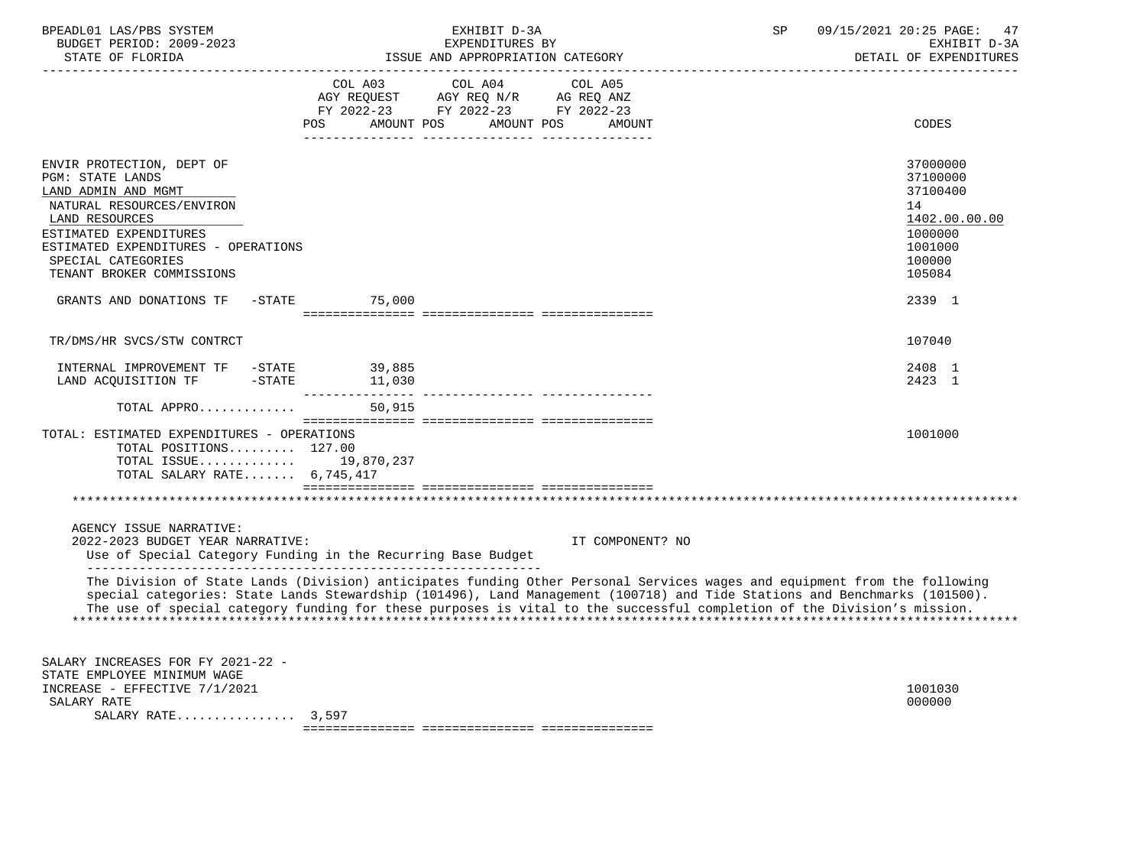| BPEADL01 LAS/PBS SYSTEM<br>BUDGET PERIOD: 2009-2023<br>STATE OF FLORIDA                                                                                                                                                                                                         |                                     | EXHIBIT D-3A<br>EXPENDITURES BY<br>ISSUE AND APPROPRIATION CATEGORY                                                                                                                                                                                                                                                                                                               | 09/15/2021 20:25 PAGE:<br>SP<br>47<br>EXHIBIT D-3A<br>DETAIL OF EXPENDITURES                                |
|---------------------------------------------------------------------------------------------------------------------------------------------------------------------------------------------------------------------------------------------------------------------------------|-------------------------------------|-----------------------------------------------------------------------------------------------------------------------------------------------------------------------------------------------------------------------------------------------------------------------------------------------------------------------------------------------------------------------------------|-------------------------------------------------------------------------------------------------------------|
|                                                                                                                                                                                                                                                                                 | COL A03<br>AMOUNT POS<br><b>POS</b> | COL A04<br>COL A05<br>AGY REQUEST AGY REQ N/R AG REQ ANZ<br>FY 2022-23 FY 2022-23 FY 2022-23<br>AMOUNT POS<br>AMOUNT                                                                                                                                                                                                                                                              | CODES                                                                                                       |
| ENVIR PROTECTION, DEPT OF<br>PGM: STATE LANDS<br>LAND ADMIN AND MGMT<br>NATURAL RESOURCES/ENVIRON<br>LAND RESOURCES<br>ESTIMATED EXPENDITURES<br>ESTIMATED EXPENDITURES - OPERATIONS<br>SPECIAL CATEGORIES<br>TENANT BROKER COMMISSIONS<br>GRANTS AND DONATIONS TF<br>$-$ STATE | 75,000                              |                                                                                                                                                                                                                                                                                                                                                                                   | 37000000<br>37100000<br>37100400<br>14<br>1402.00.00.00<br>1000000<br>1001000<br>100000<br>105084<br>2339 1 |
|                                                                                                                                                                                                                                                                                 |                                     |                                                                                                                                                                                                                                                                                                                                                                                   |                                                                                                             |
| TR/DMS/HR SVCS/STW CONTRCT                                                                                                                                                                                                                                                      |                                     |                                                                                                                                                                                                                                                                                                                                                                                   | 107040                                                                                                      |
| INTERNAL IMPROVEMENT TF -STATE<br>LAND ACQUISITION TF -STATE                                                                                                                                                                                                                    | 39,885<br>11,030                    |                                                                                                                                                                                                                                                                                                                                                                                   | 2408 1<br>2423 1                                                                                            |
| TOTAL APPRO                                                                                                                                                                                                                                                                     | 50,915                              |                                                                                                                                                                                                                                                                                                                                                                                   |                                                                                                             |
| TOTAL: ESTIMATED EXPENDITURES - OPERATIONS<br>TOTAL POSITIONS 127.00<br>TOTAL ISSUE 19,870,237<br>TOTAL SALARY RATE 6,745,417                                                                                                                                                   |                                     |                                                                                                                                                                                                                                                                                                                                                                                   | 1001000                                                                                                     |
|                                                                                                                                                                                                                                                                                 |                                     |                                                                                                                                                                                                                                                                                                                                                                                   |                                                                                                             |
| AGENCY ISSUE NARRATIVE:<br>2022-2023 BUDGET YEAR NARRATIVE:<br>Use of Special Category Funding in the Recurring Base Budget                                                                                                                                                     |                                     | IT COMPONENT? NO                                                                                                                                                                                                                                                                                                                                                                  |                                                                                                             |
|                                                                                                                                                                                                                                                                                 |                                     | The Division of State Lands (Division) anticipates funding Other Personal Services wages and equipment from the following<br>special categories: State Lands Stewardship (101496), Land Management (100718) and Tide Stations and Benchmarks (101500).<br>The use of special category funding for these purposes is vital to the successful completion of the Division's mission. |                                                                                                             |
| SALARY INCREASES FOR FY 2021-22 -<br>STATE EMPLOYEE MINIMUM WAGE<br>INCREASE - EFFECTIVE 7/1/2021<br>SALARY RATE<br>SALARY RATE $3,597$                                                                                                                                         |                                     |                                                                                                                                                                                                                                                                                                                                                                                   | 1001030<br>000000                                                                                           |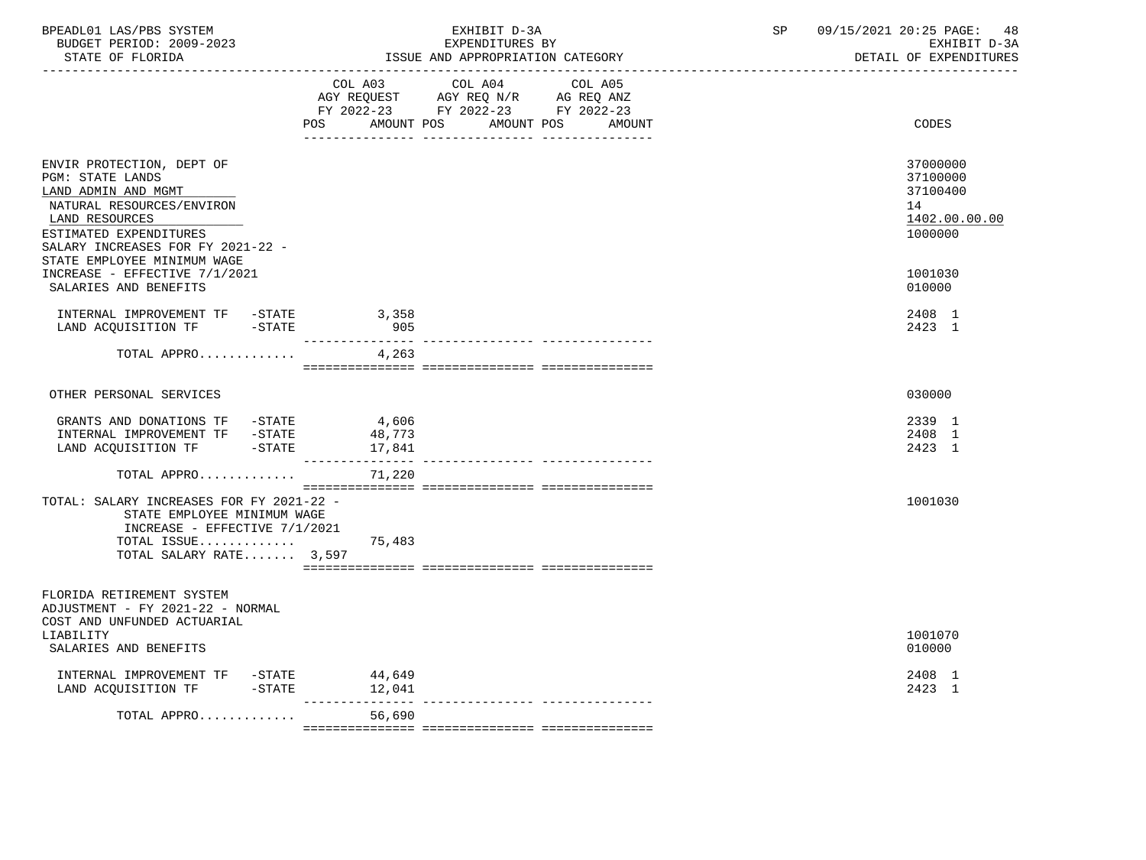| BPEADL01 LAS/PBS SYSTEM<br>BUDGET PERIOD: 2009-2023<br>STATE OF FLORIDA                                                                                                                                           | EXHIBIT D-3A<br>EXPENDITURES BY<br>ISSUE AND APPROPRIATION CATEGORY                                                                                                                                                                                                                | 09/15/2021 20:25 PAGE:<br>SP<br>48<br>EXHIBIT D-3A<br>DETAIL OF EXPENDITURES |
|-------------------------------------------------------------------------------------------------------------------------------------------------------------------------------------------------------------------|------------------------------------------------------------------------------------------------------------------------------------------------------------------------------------------------------------------------------------------------------------------------------------|------------------------------------------------------------------------------|
|                                                                                                                                                                                                                   | COL A03 COL A04 COL A05<br>$\begin{tabular}{lllllll} AGY & \texttt{REQUEST} & \texttt{AGY} & \texttt{REG} & \texttt{N/R} & \texttt{AG} & \texttt{REG} & \texttt{ANZ} \end{tabular}$<br>FY 2022-23 FY 2022-23 FY 2022-23<br><b>POS</b><br>AMOUNT POS<br>AMOUNT POS<br><b>AMOUNT</b> | CODES                                                                        |
| ENVIR PROTECTION, DEPT OF<br>PGM: STATE LANDS<br>LAND ADMIN AND MGMT<br>NATURAL RESOURCES/ENVIRON<br>LAND RESOURCES<br>ESTIMATED EXPENDITURES<br>SALARY INCREASES FOR FY 2021-22 -<br>STATE EMPLOYEE MINIMUM WAGE |                                                                                                                                                                                                                                                                                    | 37000000<br>37100000<br>37100400<br>14<br>1402.00.00.00<br>1000000           |
| INCREASE - EFFECTIVE 7/1/2021<br>SALARIES AND BENEFITS                                                                                                                                                            |                                                                                                                                                                                                                                                                                    | 1001030<br>010000                                                            |
| INTERNAL IMPROVEMENT TF -STATE 3,358<br>LAND ACQUISITION TF -STATE                                                                                                                                                | 905                                                                                                                                                                                                                                                                                | 2408 1<br>2423 1                                                             |
| TOTAL APPRO                                                                                                                                                                                                       | 4,263                                                                                                                                                                                                                                                                              |                                                                              |
| OTHER PERSONAL SERVICES                                                                                                                                                                                           |                                                                                                                                                                                                                                                                                    | 030000                                                                       |
| GRANTS AND DONATIONS TF $-STATE$ 4,606<br>INTERNAL IMPROVEMENT TF -STATE<br>LAND ACQUISITION TF -STATE                                                                                                            | 48,773<br>17,841                                                                                                                                                                                                                                                                   | 2339 1<br>2408 1<br>2423 1                                                   |
| TOTAL APPRO                                                                                                                                                                                                       | 71,220                                                                                                                                                                                                                                                                             |                                                                              |
| TOTAL: SALARY INCREASES FOR FY 2021-22 -<br>STATE EMPLOYEE MINIMUM WAGE<br>INCREASE - EFFECTIVE 7/1/2021<br>TOTAL ISSUE<br>TOTAL SALARY RATE 3,597                                                                | 75,483                                                                                                                                                                                                                                                                             | 1001030                                                                      |
| FLORIDA RETIREMENT SYSTEM                                                                                                                                                                                         |                                                                                                                                                                                                                                                                                    |                                                                              |
| ADJUSTMENT - FY 2021-22 - NORMAL<br>COST AND UNFUNDED ACTUARIAL<br>LIABILITY<br>SALARIES AND BENEFITS                                                                                                             |                                                                                                                                                                                                                                                                                    | 1001070<br>010000                                                            |
| INTERNAL IMPROVEMENT TF -STATE<br>LAND ACQUISITION TF -STATE                                                                                                                                                      | 44,649<br>12,041                                                                                                                                                                                                                                                                   | 2408 1<br>2423 1                                                             |
| TOTAL APPRO                                                                                                                                                                                                       | $- - - - - - - - -$<br>------------- ---------------<br>56,690                                                                                                                                                                                                                     |                                                                              |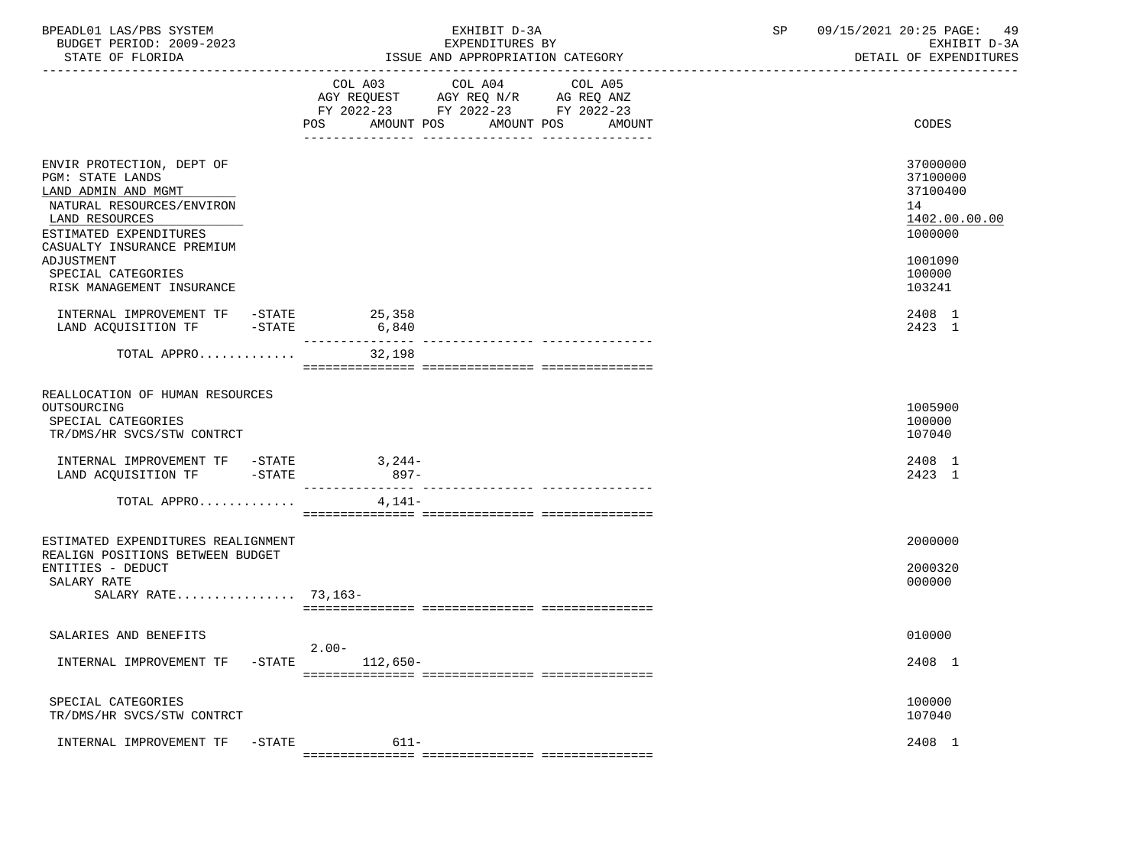| BPEADL01 LAS/PBS SYSTEM<br>BUDGET PERIOD: 2009-2023<br>STATE OF FLORIDA                                                                                                                          | EXHIBIT D-3A<br>EXPENDITURES BY<br>ISSUE AND APPROPRIATION CATEGORY                                                                  | SP     | 09/15/2021 20:25 PAGE: 49<br>EXHIBIT D-3A<br>DETAIL OF EXPENDITURES           |
|--------------------------------------------------------------------------------------------------------------------------------------------------------------------------------------------------|--------------------------------------------------------------------------------------------------------------------------------------|--------|-------------------------------------------------------------------------------|
|                                                                                                                                                                                                  | COL A03 COL A04 COL A05<br>AGY REQUEST AGY REQ N/R AG REQ ANZ<br>FY 2022-23 FY 2022-23 FY 2022-23<br>AMOUNT POS<br>AMOUNT POS<br>POS | AMOUNT | CODES                                                                         |
| ENVIR PROTECTION, DEPT OF<br><b>PGM: STATE LANDS</b><br>LAND ADMIN AND MGMT<br>NATURAL RESOURCES/ENVIRON<br>LAND RESOURCES<br>ESTIMATED EXPENDITURES<br>CASUALTY INSURANCE PREMIUM<br>ADJUSTMENT |                                                                                                                                      |        | 37000000<br>37100000<br>37100400<br>14<br>1402.00.00.00<br>1000000<br>1001090 |
| SPECIAL CATEGORIES<br>RISK MANAGEMENT INSURANCE                                                                                                                                                  |                                                                                                                                      |        | 100000<br>103241                                                              |
| INTERNAL IMPROVEMENT TF -STATE<br>LAND ACQUISITION TF -STATE                                                                                                                                     | 25,358<br>6,840<br>---------------                                                                                                   |        | 2408 1<br>2423 1                                                              |
| TOTAL APPRO                                                                                                                                                                                      | 32,198                                                                                                                               |        |                                                                               |
| REALLOCATION OF HUMAN RESOURCES<br>OUTSOURCING<br>SPECIAL CATEGORIES<br>TR/DMS/HR SVCS/STW CONTRCT                                                                                               |                                                                                                                                      |        | 1005900<br>100000<br>107040                                                   |
| INTERNAL IMPROVEMENT TF -STATE 3,244-<br>LAND ACQUISITION TF -STATE                                                                                                                              | $897 -$                                                                                                                              |        | 2408 1<br>2423 1                                                              |
| TOTAL APPRO                                                                                                                                                                                      | 4,141-                                                                                                                               |        |                                                                               |
| ESTIMATED EXPENDITURES REALIGNMENT<br>REALIGN POSITIONS BETWEEN BUDGET<br>ENTITIES - DEDUCT<br>SALARY RATE<br>SALARY RATE 73,163-                                                                |                                                                                                                                      |        | 2000000<br>2000320<br>000000                                                  |
| SALARIES AND BENEFITS                                                                                                                                                                            |                                                                                                                                      |        | 010000                                                                        |
| $-$ STATE<br>INTERNAL IMPROVEMENT TF                                                                                                                                                             | $2.00-$<br>$112,650-$                                                                                                                |        | 2408 1                                                                        |
| SPECIAL CATEGORIES<br>TR/DMS/HR SVCS/STW CONTRCT                                                                                                                                                 |                                                                                                                                      |        | 100000<br>107040                                                              |
| INTERNAL IMPROVEMENT TF                                                                                                                                                                          | $611 -$<br>$-$ STATE                                                                                                                 |        | 2408 1                                                                        |

=============== =============== ===============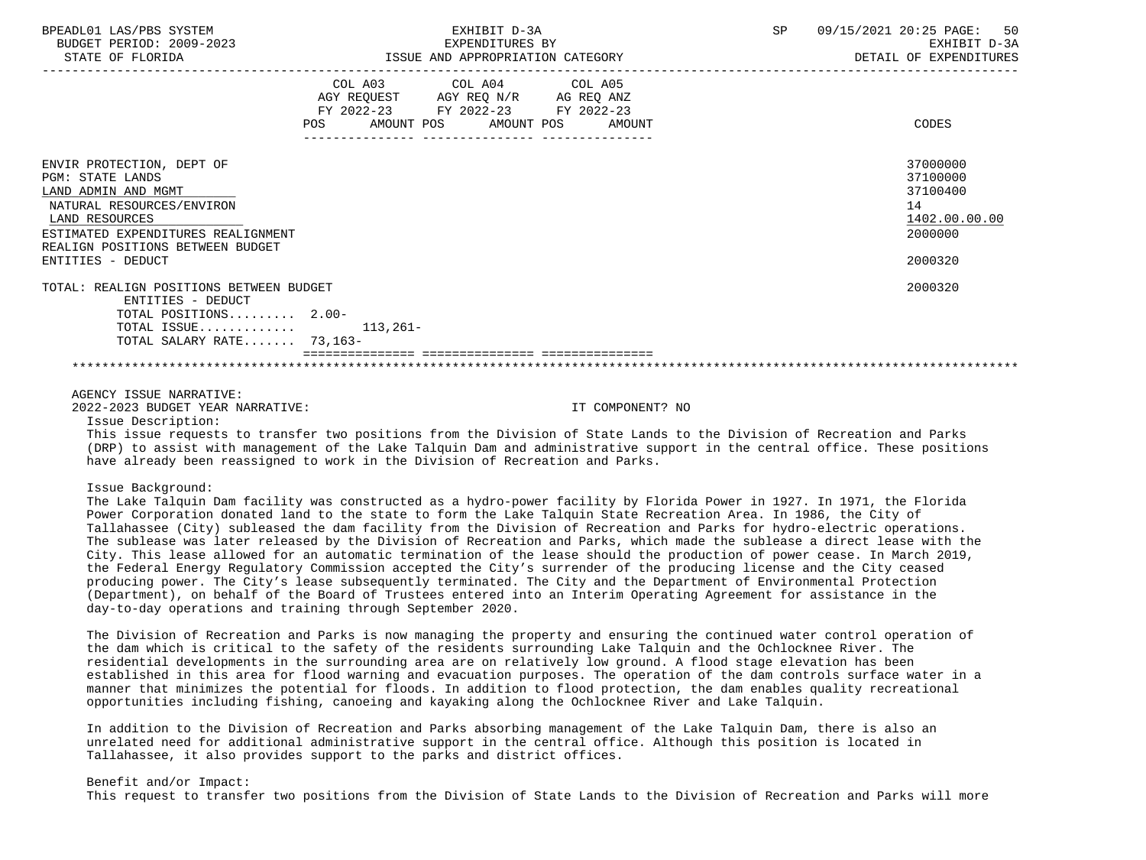| BPEADL01 LAS/PBS SYSTEM<br>BUDGET PERIOD: 2009-2023<br>STATE OF FLORIDA                                                                                                                                            | EXHIBIT D-3A<br>EXPENDITURES BY<br>ISSUE AND APPROPRIATION CATEGORY                                                                   | SP<br>09/15/2021 20:25 PAGE: 50<br>EXHIBIT D-3A<br>DETAIL OF EXPENDITURES     |
|--------------------------------------------------------------------------------------------------------------------------------------------------------------------------------------------------------------------|---------------------------------------------------------------------------------------------------------------------------------------|-------------------------------------------------------------------------------|
|                                                                                                                                                                                                                    | COL A03 COL A04 COL A05<br>AGY REQUEST AGY REQ N/R AG REQ ANZ<br>FY 2022-23 FY 2022-23 FY 2022-23<br>POS AMOUNT POS AMOUNT POS AMOUNT | CODES                                                                         |
| ENVIR PROTECTION, DEPT OF<br>PGM: STATE LANDS<br>LAND ADMIN AND MGMT<br>NATURAL RESOURCES/ENVIRON<br>LAND RESOURCES<br>ESTIMATED EXPENDITURES REALIGNMENT<br>REALIGN POSITIONS BETWEEN BUDGET<br>ENTITIES - DEDUCT |                                                                                                                                       | 37000000<br>37100000<br>37100400<br>14<br>1402.00.00.00<br>2000000<br>2000320 |
| TOTAL: REALIGN POSITIONS BETWEEN BUDGET<br>ENTITIES - DEDUCT<br>TOTAL POSITIONS 2.00-<br>TOTAL ISSUE $113.261-$<br>TOTAL SALARY RATE 73,163-                                                                       |                                                                                                                                       | 2000320                                                                       |
| AGENCY ISSUE NARRATIVE:                                                                                                                                                                                            |                                                                                                                                       |                                                                               |

2022-2023 BUDGET YEAR NARRATIVE: IT COMPONENT? NO

Issue Description:

 This issue requests to transfer two positions from the Division of State Lands to the Division of Recreation and Parks (DRP) to assist with management of the Lake Talquin Dam and administrative support in the central office. These positions have already been reassigned to work in the Division of Recreation and Parks.

Issue Background:

 The Lake Talquin Dam facility was constructed as a hydro-power facility by Florida Power in 1927. In 1971, the Florida Power Corporation donated land to the state to form the Lake Talquin State Recreation Area. In 1986, the City of Tallahassee (City) subleased the dam facility from the Division of Recreation and Parks for hydro-electric operations. The sublease was later released by the Division of Recreation and Parks, which made the sublease a direct lease with the City. This lease allowed for an automatic termination of the lease should the production of power cease. In March 2019, the Federal Energy Regulatory Commission accepted the City's surrender of the producing license and the City ceased producing power. The City's lease subsequently terminated. The City and the Department of Environmental Protection (Department), on behalf of the Board of Trustees entered into an Interim Operating Agreement for assistance in the day-to-day operations and training through September 2020.

 The Division of Recreation and Parks is now managing the property and ensuring the continued water control operation of the dam which is critical to the safety of the residents surrounding Lake Talquin and the Ochlocknee River. The residential developments in the surrounding area are on relatively low ground. A flood stage elevation has been established in this area for flood warning and evacuation purposes. The operation of the dam controls surface water in a manner that minimizes the potential for floods. In addition to flood protection, the dam enables quality recreational opportunities including fishing, canoeing and kayaking along the Ochlocknee River and Lake Talquin.

 In addition to the Division of Recreation and Parks absorbing management of the Lake Talquin Dam, there is also an unrelated need for additional administrative support in the central office. Although this position is located in Tallahassee, it also provides support to the parks and district offices.

 Benefit and/or Impact: This request to transfer two positions from the Division of State Lands to the Division of Recreation and Parks will more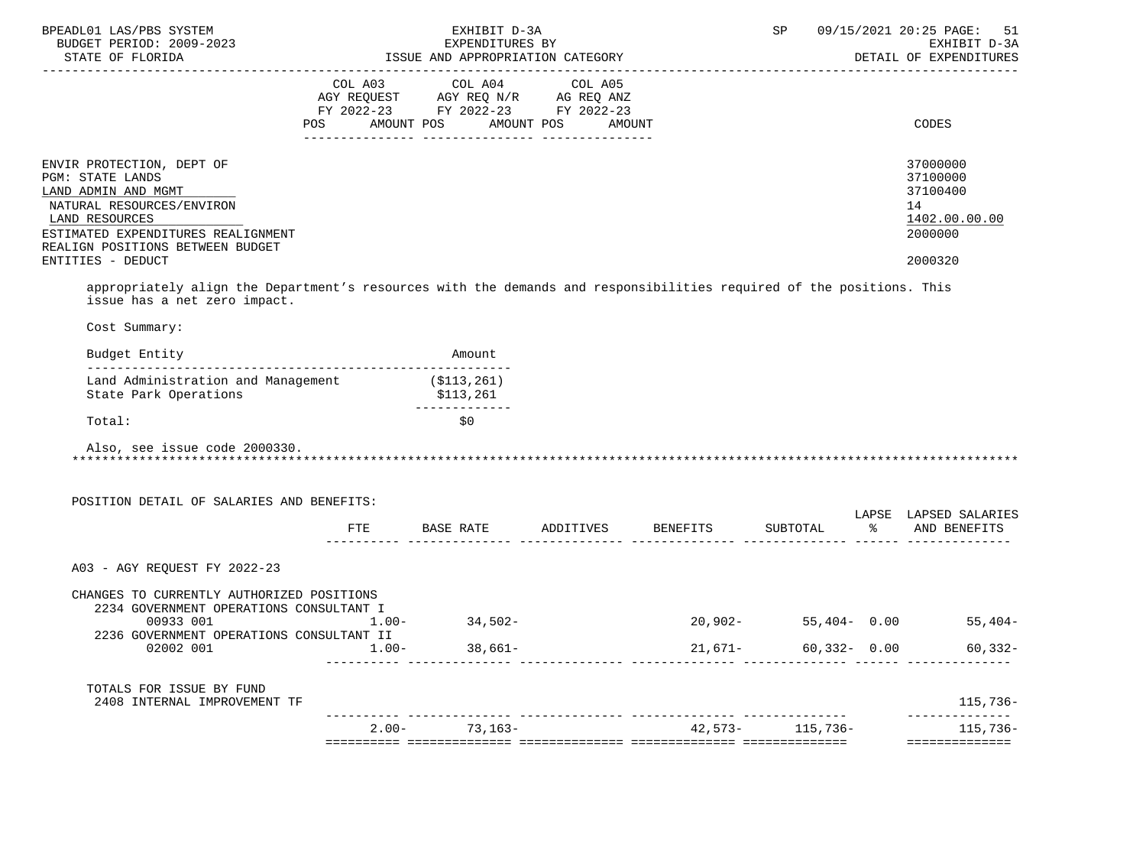| BPEADL01 LAS/PBS SYSTEM<br>BUDGET PERIOD: 2009-2023<br>STATE OF FLORIDA                                                                                                                                                                                                                                                                           |          | EXHIBIT D-3A<br>EXPENDITURES BY<br>ISSUE AND APPROPRIATION CATEGORY  |         | SP              | 09/15/2021 20:25 PAGE:<br>51<br>EXHIBIT D-3A<br>DETAIL OF EXPENDITURES        |
|---------------------------------------------------------------------------------------------------------------------------------------------------------------------------------------------------------------------------------------------------------------------------------------------------------------------------------------------------|----------|----------------------------------------------------------------------|---------|-----------------|-------------------------------------------------------------------------------|
|                                                                                                                                                                                                                                                                                                                                                   |          | FY 2022-23 FY 2022-23 FY 2022-23<br>POS AMOUNT POS AMOUNT POS AMOUNT |         |                 | CODES                                                                         |
| ENVIR PROTECTION, DEPT OF<br><b>PGM: STATE LANDS</b><br>LAND ADMIN AND MGMT<br>NATURAL RESOURCES/ENVIRON<br>LAND RESOURCES<br>ESTIMATED EXPENDITURES REALIGNMENT<br>REALIGN POSITIONS BETWEEN BUDGET<br>ENTITIES - DEDUCT<br>appropriately align the Department's resources with the demands and responsibilities required of the positions. This |          |                                                                      |         |                 | 37000000<br>37100000<br>37100400<br>14<br>1402.00.00.00<br>2000000<br>2000320 |
| issue has a net zero impact.<br>Cost Summary:                                                                                                                                                                                                                                                                                                     |          |                                                                      |         |                 |                                                                               |
| Budget Entity                                                                                                                                                                                                                                                                                                                                     |          | Amount                                                               |         |                 |                                                                               |
| Land Administration and Management (\$113,261)<br>State Park Operations                                                                                                                                                                                                                                                                           |          | \$113,261<br>-------------                                           |         |                 |                                                                               |
| Total:                                                                                                                                                                                                                                                                                                                                            |          | \$0                                                                  |         |                 |                                                                               |
| Also, see issue code 2000330.<br>POSITION DETAIL OF SALARIES AND BENEFITS:                                                                                                                                                                                                                                                                        |          | FTE BASE RATE ADDITIVES BENEFITS                                     |         |                 | LAPSE LAPSED SALARIES<br>SUBTOTAL % AND BENEFITS                              |
| A03 - AGY REQUEST FY 2022-23                                                                                                                                                                                                                                                                                                                      |          |                                                                      |         |                 |                                                                               |
| CHANGES TO CURRENTLY AUTHORIZED POSITIONS<br>2234 GOVERNMENT OPERATIONS CONSULTANT I<br>00933 001<br>2236 GOVERNMENT OPERATIONS CONSULTANT II                                                                                                                                                                                                     | $1.00 -$ | $34,502-$                                                            |         |                 | $20,902 - 55,404 - 0.00$ 55,404-                                              |
| 02002 001                                                                                                                                                                                                                                                                                                                                         | $1.00 -$ | $38,661-$                                                            | 21,671- | $60,332 - 0.00$ | $60, 332 -$                                                                   |
|                                                                                                                                                                                                                                                                                                                                                   |          |                                                                      |         |                 |                                                                               |
| TOTALS FOR ISSUE BY FUND<br>2408 INTERNAL IMPROVEMENT TF                                                                                                                                                                                                                                                                                          |          |                                                                      |         |                 | 115,736-<br>--------------                                                    |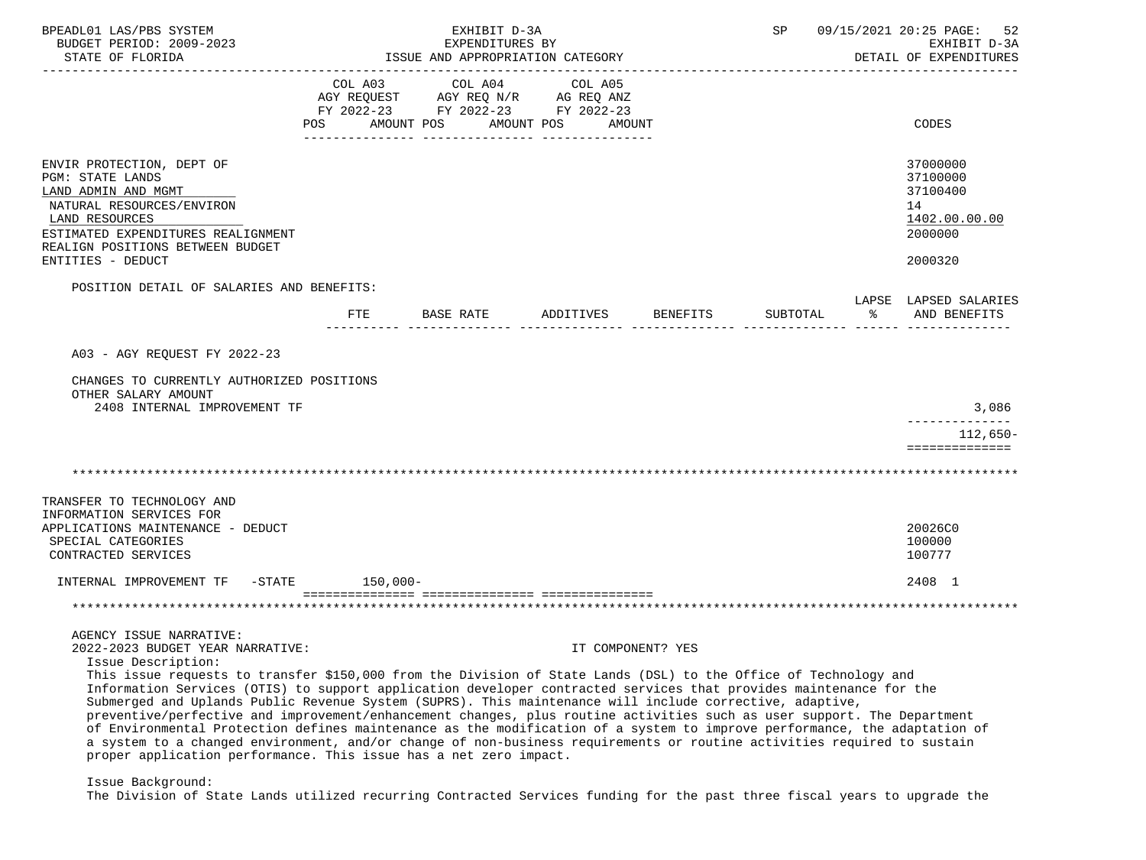| BPEADL01 LAS/PBS SYSTEM<br>BUDGET PERIOD: 2009-2023<br>STATE OF FLORIDA                                                                                                                                                                                                                                                                                                                                                                                                                                                                                                                                                                                                                         | EXHIBIT D-3A<br>EXPENDITURES BY<br>ISSUE AND APPROPRIATION CATEGORY |                                                                                                 |                       | SP                |          | 09/15/2021 20:25 PAGE: 52<br>EXHIBIT D-3A<br>DETAIL OF EXPENDITURES |                                                                               |
|-------------------------------------------------------------------------------------------------------------------------------------------------------------------------------------------------------------------------------------------------------------------------------------------------------------------------------------------------------------------------------------------------------------------------------------------------------------------------------------------------------------------------------------------------------------------------------------------------------------------------------------------------------------------------------------------------|---------------------------------------------------------------------|-------------------------------------------------------------------------------------------------|-----------------------|-------------------|----------|---------------------------------------------------------------------|-------------------------------------------------------------------------------|
|                                                                                                                                                                                                                                                                                                                                                                                                                                                                                                                                                                                                                                                                                                 | COL A03<br>POS                                                      | COL A04<br>AGY REQUEST AGY REQ N/R AG REQ ANZ<br>FY 2022-23 FY 2022-23 FY 2022-23<br>AMOUNT POS | COL A05<br>AMOUNT POS | AMOUNT            |          |                                                                     | CODES                                                                         |
| ENVIR PROTECTION, DEPT OF<br><b>PGM: STATE LANDS</b><br>LAND ADMIN AND MGMT<br>NATURAL RESOURCES/ENVIRON<br>LAND RESOURCES<br>ESTIMATED EXPENDITURES REALIGNMENT<br>REALIGN POSITIONS BETWEEN BUDGET<br>ENTITIES - DEDUCT                                                                                                                                                                                                                                                                                                                                                                                                                                                                       |                                                                     |                                                                                                 |                       |                   |          |                                                                     | 37000000<br>37100000<br>37100400<br>14<br>1402.00.00.00<br>2000000<br>2000320 |
| POSITION DETAIL OF SALARIES AND BENEFITS:                                                                                                                                                                                                                                                                                                                                                                                                                                                                                                                                                                                                                                                       |                                                                     |                                                                                                 |                       |                   |          |                                                                     | LAPSE LAPSED SALARIES                                                         |
|                                                                                                                                                                                                                                                                                                                                                                                                                                                                                                                                                                                                                                                                                                 | FTE                                                                 | BASE RATE                                                                                       | ADDITIVES             | BENEFITS          | SUBTOTAL | ႜ                                                                   | AND BENEFITS                                                                  |
| A03 - AGY REOUEST FY 2022-23                                                                                                                                                                                                                                                                                                                                                                                                                                                                                                                                                                                                                                                                    |                                                                     |                                                                                                 |                       |                   |          |                                                                     |                                                                               |
| CHANGES TO CURRENTLY AUTHORIZED POSITIONS<br>OTHER SALARY AMOUNT<br>2408 INTERNAL IMPROVEMENT TF                                                                                                                                                                                                                                                                                                                                                                                                                                                                                                                                                                                                |                                                                     |                                                                                                 |                       |                   |          |                                                                     | 3,086                                                                         |
|                                                                                                                                                                                                                                                                                                                                                                                                                                                                                                                                                                                                                                                                                                 |                                                                     |                                                                                                 |                       |                   |          |                                                                     | --------------<br>$112,650-$                                                  |
|                                                                                                                                                                                                                                                                                                                                                                                                                                                                                                                                                                                                                                                                                                 |                                                                     |                                                                                                 |                       |                   |          |                                                                     | ==============                                                                |
|                                                                                                                                                                                                                                                                                                                                                                                                                                                                                                                                                                                                                                                                                                 |                                                                     |                                                                                                 |                       |                   |          |                                                                     |                                                                               |
| TRANSFER TO TECHNOLOGY AND<br>INFORMATION SERVICES FOR<br>APPLICATIONS MAINTENANCE - DEDUCT<br>SPECIAL CATEGORIES<br>CONTRACTED SERVICES                                                                                                                                                                                                                                                                                                                                                                                                                                                                                                                                                        |                                                                     |                                                                                                 |                       |                   |          |                                                                     | 20026C0<br>100000<br>100777                                                   |
| INTERNAL IMPROVEMENT TF -STATE                                                                                                                                                                                                                                                                                                                                                                                                                                                                                                                                                                                                                                                                  | 150,000-                                                            |                                                                                                 |                       |                   |          |                                                                     | 2408 1                                                                        |
|                                                                                                                                                                                                                                                                                                                                                                                                                                                                                                                                                                                                                                                                                                 |                                                                     |                                                                                                 |                       |                   |          |                                                                     |                                                                               |
| AGENCY ISSUE NARRATIVE:<br>2022-2023 BUDGET YEAR NARRATIVE:<br>Issue Description:<br>This issue requests to transfer \$150,000 from the Division of State Lands (DSL) to the Office of Technology and<br>Information Services (OTIS) to support application developer contracted services that provides maintenance for the<br>Submerged and Uplands Public Revenue System (SUPRS). This maintenance will include corrective, adaptive,<br>preventive/perfective and improvement/enhancement changes, plus routine activities such as user support. The Department<br>of Environmental Protection defines maintenance as the modification of a system to improve performance, the adaptation of |                                                                     |                                                                                                 |                       | IT COMPONENT? YES |          |                                                                     |                                                                               |
| a system to a changed environment, and/or change of non-business requirements or routine activities required to sustain<br>proper application performance. This issue has a net zero impact.                                                                                                                                                                                                                                                                                                                                                                                                                                                                                                    |                                                                     |                                                                                                 |                       |                   |          |                                                                     |                                                                               |

Issue Background:

The Division of State Lands utilized recurring Contracted Services funding for the past three fiscal years to upgrade the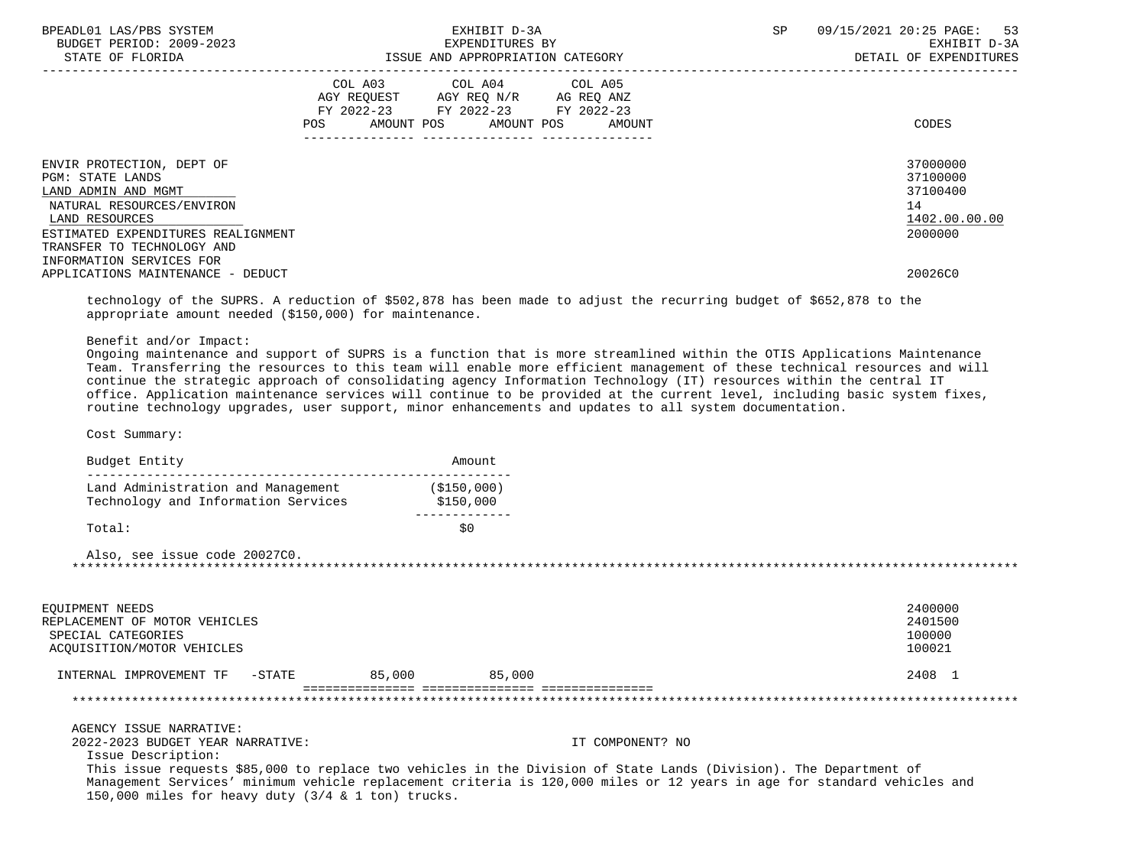| BPEADL01 LAS/PBS SYSTEM<br>BUDGET PERIOD: 2009-2023<br>STATE OF FLORIDA                                                                                                                                             | EXHIBIT D-3A<br>EXPENDITURES BY<br>ISSUE AND APPROPRIATION CATEGORY                                                                                                                                                                                                                                                                                                                                                                                                                                                                                                                                                 | <b>SP</b> | 09/15/2021 20:25 PAGE:<br>53<br>EXHIBIT D-3A<br>DETAIL OF EXPENDITURES |
|---------------------------------------------------------------------------------------------------------------------------------------------------------------------------------------------------------------------|---------------------------------------------------------------------------------------------------------------------------------------------------------------------------------------------------------------------------------------------------------------------------------------------------------------------------------------------------------------------------------------------------------------------------------------------------------------------------------------------------------------------------------------------------------------------------------------------------------------------|-----------|------------------------------------------------------------------------|
|                                                                                                                                                                                                                     | COL A03 COL A04 COL A05<br>AGY REQUEST AGY REQ N/R AG REQ ANZ<br>FY 2022-23 FY 2022-23 FY 2022-23<br>AMOUNT POS AMOUNT POS<br>POS.<br>AMOUNT                                                                                                                                                                                                                                                                                                                                                                                                                                                                        |           | CODES                                                                  |
| ENVIR PROTECTION, DEPT OF<br>PGM: STATE LANDS<br>LAND ADMIN AND MGMT<br>NATURAL RESOURCES/ENVIRON<br>LAND RESOURCES<br>ESTIMATED EXPENDITURES REALIGNMENT<br>TRANSFER TO TECHNOLOGY AND<br>INFORMATION SERVICES FOR |                                                                                                                                                                                                                                                                                                                                                                                                                                                                                                                                                                                                                     |           | 37000000<br>37100000<br>37100400<br>14<br>1402.00.00.00<br>2000000     |
| APPLICATIONS MAINTENANCE - DEDUCT                                                                                                                                                                                   |                                                                                                                                                                                                                                                                                                                                                                                                                                                                                                                                                                                                                     |           | 20026C0                                                                |
|                                                                                                                                                                                                                     | technology of the SUPRS. A reduction of \$502,878 has been made to adjust the recurring budget of \$652,878 to the<br>appropriate amount needed (\$150,000) for maintenance.                                                                                                                                                                                                                                                                                                                                                                                                                                        |           |                                                                        |
| Benefit and/or Impact:                                                                                                                                                                                              | Ongoing maintenance and support of SUPRS is a function that is more streamlined within the OTIS Applications Maintenance<br>Team. Transferring the resources to this team will enable more efficient management of these technical resources and will<br>continue the strategic approach of consolidating agency Information Technology (IT) resources within the central IT<br>office. Application maintenance services will continue to be provided at the current level, including basic system fixes,<br>routine technology upgrades, user support, minor enhancements and updates to all system documentation. |           |                                                                        |
| Cost Summary:                                                                                                                                                                                                       |                                                                                                                                                                                                                                                                                                                                                                                                                                                                                                                                                                                                                     |           |                                                                        |
| Budget Entity                                                                                                                                                                                                       | Amount                                                                                                                                                                                                                                                                                                                                                                                                                                                                                                                                                                                                              |           |                                                                        |
| Technology and Information Services                                                                                                                                                                                 | Land Administration and Management (\$150,000)<br>\$150,000                                                                                                                                                                                                                                                                                                                                                                                                                                                                                                                                                         |           |                                                                        |
| Total:                                                                                                                                                                                                              | _____________<br>\$0                                                                                                                                                                                                                                                                                                                                                                                                                                                                                                                                                                                                |           |                                                                        |
| Also, see issue code 20027C0.                                                                                                                                                                                       |                                                                                                                                                                                                                                                                                                                                                                                                                                                                                                                                                                                                                     |           |                                                                        |
| EQUIPMENT NEEDS<br>REPLACEMENT OF MOTOR VEHICLES<br>SPECIAL CATEGORIES<br>ACQUISITION/MOTOR VEHICLES                                                                                                                |                                                                                                                                                                                                                                                                                                                                                                                                                                                                                                                                                                                                                     |           | 2400000<br>2401500<br>100000<br>100021                                 |
| INTERNAL IMPROVEMENT TF -STATE                                                                                                                                                                                      | 85,000<br>85,000                                                                                                                                                                                                                                                                                                                                                                                                                                                                                                                                                                                                    |           | 2408 1                                                                 |

AGENCY ISSUE NARRATIVE:

2022-2023 BUDGET YEAR NARRATIVE: IT COMPONENT? NO

Issue Description:

 This issue requests \$85,000 to replace two vehicles in the Division of State Lands (Division). The Department of Management Services' minimum vehicle replacement criteria is 120,000 miles or 12 years in age for standard vehicles and 150,000 miles for heavy duty (3/4 & 1 ton) trucks.

\*\*\*\*\*\*\*\*\*\*\*\*\*\*\*\*\*\*\*\*\*\*\*\*\*\*\*\*\*\*\*\*\*\*\*\*\*\*\*\*\*\*\*\*\*\*\*\*\*\*\*\*\*\*\*\*\*\*\*\*\*\*\*\*\*\*\*\*\*\*\*\*\*\*\*\*\*\*\*\*\*\*\*\*\*\*\*\*\*\*\*\*\*\*\*\*\*\*\*\*\*\*\*\*\*\*\*\*\*\*\*\*\*\*\*\*\*\*\*\*\*\*\*\*\*\*\*

=============== =============== ===============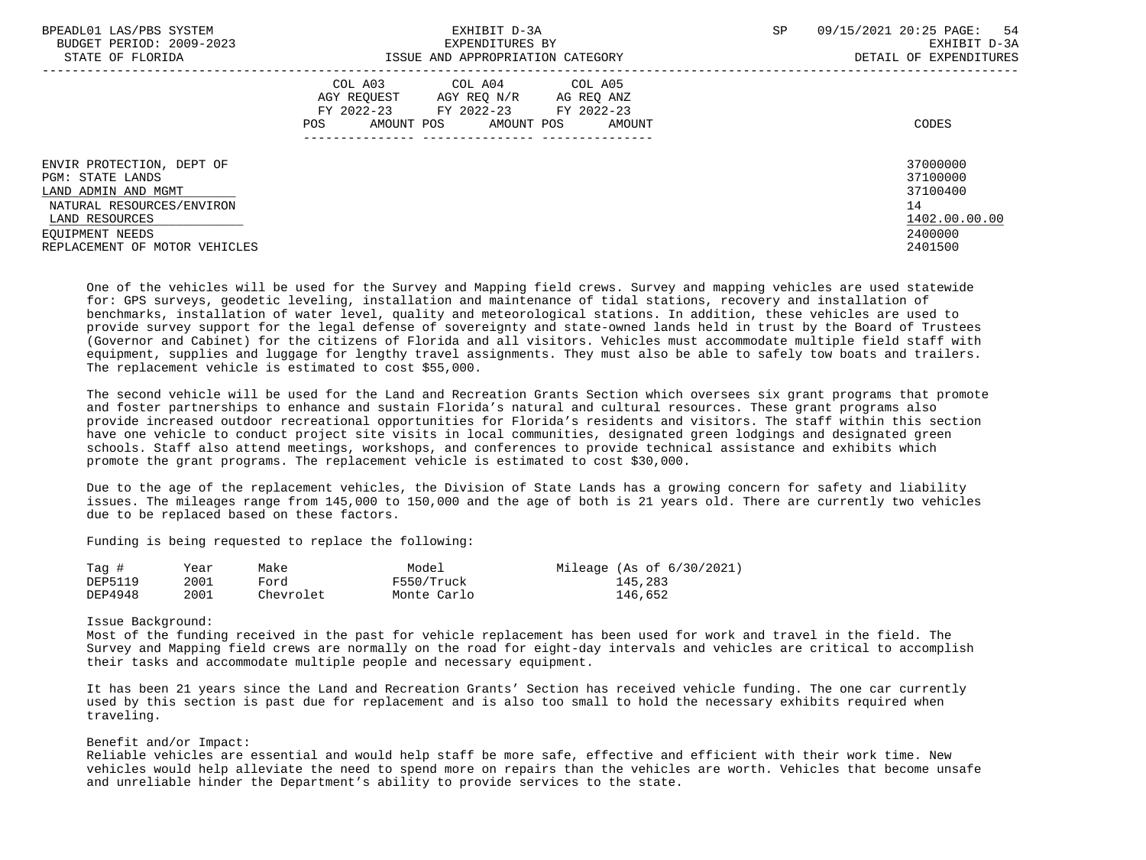| BPEADL01 LAS/PBS SYSTEM<br>BUDGET PERIOD: 2009-2023<br>STATE OF FLORIDA                                                                                                 | EXHIBIT D-3A<br>EXPENDITURES BY<br>ISSUE AND APPROPRIATION CATEGORY                                                                                  | 09/15/2021 20:25 PAGE: 54<br>SP<br>EXHIBIT D-3A<br>DETAIL OF EXPENDITURES     |
|-------------------------------------------------------------------------------------------------------------------------------------------------------------------------|------------------------------------------------------------------------------------------------------------------------------------------------------|-------------------------------------------------------------------------------|
|                                                                                                                                                                         | COL A03<br>COL A04 COL A05<br>AGY REOUEST<br>AGY REO N/R<br>AG REQ ANZ<br>FY 2022-23 FY 2022-23 FY 2022-23<br>AMOUNT POS AMOUNT POS<br>POS<br>AMOUNT | CODES                                                                         |
| ENVIR PROTECTION, DEPT OF<br>PGM: STATE LANDS<br>LAND ADMIN AND MGMT<br>NATURAL RESOURCES/ENVIRON<br>LAND RESOURCES<br>EOUIPMENT NEEDS<br>REPLACEMENT OF MOTOR VEHICLES |                                                                                                                                                      | 37000000<br>37100000<br>37100400<br>14<br>1402.00.00.00<br>2400000<br>2401500 |

 One of the vehicles will be used for the Survey and Mapping field crews. Survey and mapping vehicles are used statewide for: GPS surveys, geodetic leveling, installation and maintenance of tidal stations, recovery and installation of benchmarks, installation of water level, quality and meteorological stations. In addition, these vehicles are used to provide survey support for the legal defense of sovereignty and state-owned lands held in trust by the Board of Trustees (Governor and Cabinet) for the citizens of Florida and all visitors. Vehicles must accommodate multiple field staff with equipment, supplies and luggage for lengthy travel assignments. They must also be able to safely tow boats and trailers. The replacement vehicle is estimated to cost \$55,000.

 The second vehicle will be used for the Land and Recreation Grants Section which oversees six grant programs that promote and foster partnerships to enhance and sustain Florida's natural and cultural resources. These grant programs also provide increased outdoor recreational opportunities for Florida's residents and visitors. The staff within this section have one vehicle to conduct project site visits in local communities, designated green lodgings and designated green schools. Staff also attend meetings, workshops, and conferences to provide technical assistance and exhibits which promote the grant programs. The replacement vehicle is estimated to cost \$30,000.

 Due to the age of the replacement vehicles, the Division of State Lands has a growing concern for safety and liability issues. The mileages range from 145,000 to 150,000 and the age of both is 21 years old. There are currently two vehicles due to be replaced based on these factors.

Funding is being requested to replace the following:

| Tag #   | Year | Make      | Model       | Mileage (As of $6/30/2021$ ) |
|---------|------|-----------|-------------|------------------------------|
| DEP5119 | 2001 | Ford      | F550/Truck  | 145,283                      |
| DEP4948 | 2001 | Chevrolet | Monte Carlo | 146,652                      |

Issue Background:

 Most of the funding received in the past for vehicle replacement has been used for work and travel in the field. The Survey and Mapping field crews are normally on the road for eight-day intervals and vehicles are critical to accomplish their tasks and accommodate multiple people and necessary equipment.

 It has been 21 years since the Land and Recreation Grants' Section has received vehicle funding. The one car currently used by this section is past due for replacement and is also too small to hold the necessary exhibits required when traveling.

# Benefit and/or Impact:

 Reliable vehicles are essential and would help staff be more safe, effective and efficient with their work time. New vehicles would help alleviate the need to spend more on repairs than the vehicles are worth. Vehicles that become unsafe and unreliable hinder the Department's ability to provide services to the state.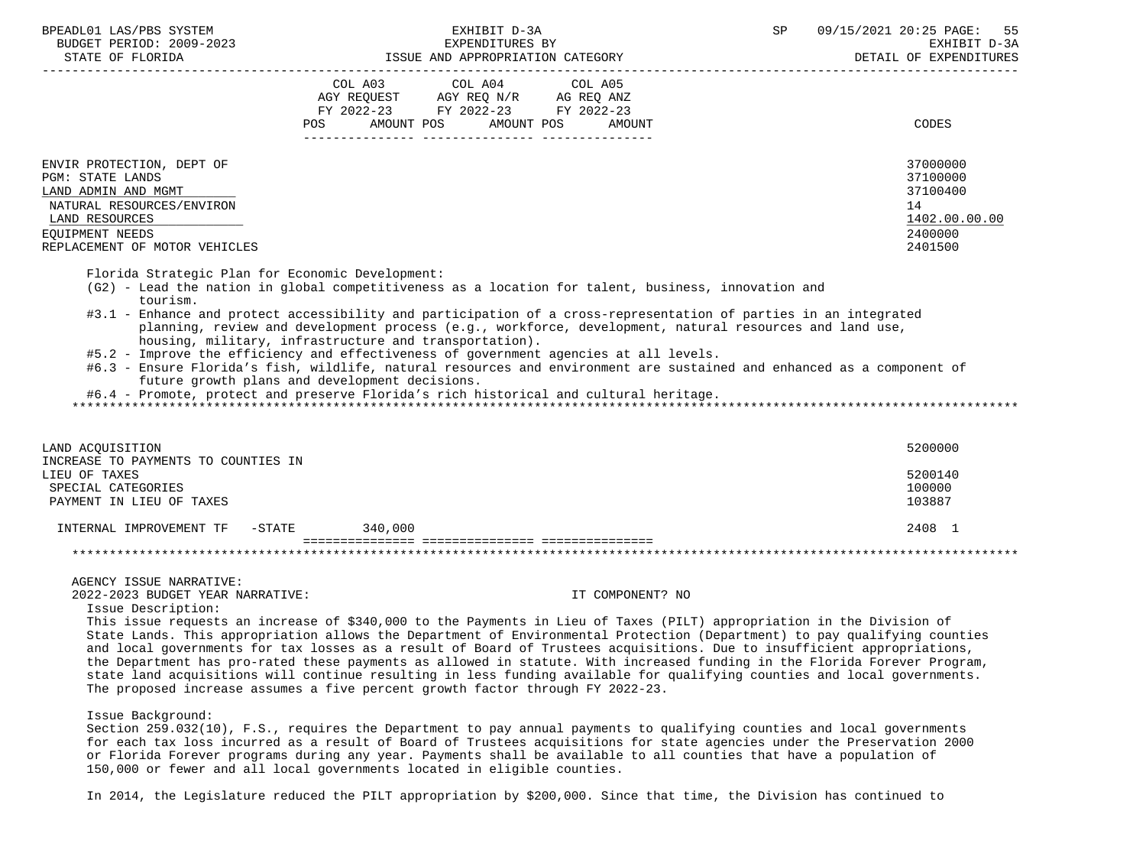| BPEADL01 LAS/PBS SYSTEM<br>BUDGET PERIOD: 2009-2023                                                                                                                            | EXHIBIT D-3A<br>EXPENDITURES BY                                                                                                                                                                                                                                                                                                                                                                                                                                                                                                                                                                                                                                                                                                                            | SP<br>09/15/2021 20:25 PAGE: 55<br>EXHIBIT D-3A                               |
|--------------------------------------------------------------------------------------------------------------------------------------------------------------------------------|------------------------------------------------------------------------------------------------------------------------------------------------------------------------------------------------------------------------------------------------------------------------------------------------------------------------------------------------------------------------------------------------------------------------------------------------------------------------------------------------------------------------------------------------------------------------------------------------------------------------------------------------------------------------------------------------------------------------------------------------------------|-------------------------------------------------------------------------------|
| STATE OF FLORIDA                                                                                                                                                               | ISSUE AND APPROPRIATION CATEGORY                                                                                                                                                                                                                                                                                                                                                                                                                                                                                                                                                                                                                                                                                                                           | DETAIL OF EXPENDITURES                                                        |
|                                                                                                                                                                                | COL A03 COL A04 COL A05<br>AGY REQUEST AGY REQ N/R AG REQ ANZ<br>FY 2022-23 FY 2022-23 FY 2022-23<br>AMOUNT POS AMOUNT POS<br>POS FOR<br>AMOUNT                                                                                                                                                                                                                                                                                                                                                                                                                                                                                                                                                                                                            | CODES                                                                         |
| ENVIR PROTECTION, DEPT OF<br><b>PGM: STATE LANDS</b><br>LAND ADMIN AND MGMT<br>NATURAL RESOURCES/ENVIRON<br>LAND RESOURCES<br>EOUIPMENT NEEDS<br>REPLACEMENT OF MOTOR VEHICLES |                                                                                                                                                                                                                                                                                                                                                                                                                                                                                                                                                                                                                                                                                                                                                            | 37000000<br>37100000<br>37100400<br>14<br>1402.00.00.00<br>2400000<br>2401500 |
| Florida Strategic Plan for Economic Development:<br>tourism.                                                                                                                   | (G2) - Lead the nation in global competitiveness as a location for talent, business, innovation and<br>#3.1 - Enhance and protect accessibility and participation of a cross-representation of parties in an integrated<br>planning, review and development process (e.g., workforce, development, natural resources and land use,<br>housing, military, infrastructure and transportation).<br>#5.2 - Improve the efficiency and effectiveness of government agencies at all levels.<br>#6.3 - Ensure Florida's fish, wildlife, natural resources and environment are sustained and enhanced as a component of<br>future growth plans and development decisions.<br>#6.4 - Promote, protect and preserve Florida's rich historical and cultural heritage. |                                                                               |
| LAND ACOUISITION<br>INCREASE TO PAYMENTS TO COUNTIES IN<br>LIEU OF TAXES<br>SPECIAL CATEGORIES                                                                                 |                                                                                                                                                                                                                                                                                                                                                                                                                                                                                                                                                                                                                                                                                                                                                            | 5200000<br>5200140<br>100000                                                  |
| PAYMENT IN LIEU OF TAXES<br>INTERNAL IMPROVEMENT TF                                                                                                                            | -STATE<br>340.000                                                                                                                                                                                                                                                                                                                                                                                                                                                                                                                                                                                                                                                                                                                                          | 103887<br>2408 1                                                              |
|                                                                                                                                                                                |                                                                                                                                                                                                                                                                                                                                                                                                                                                                                                                                                                                                                                                                                                                                                            |                                                                               |

#### \*\*\*\*\*\*\*\*\*\*\*\*\*\*\*\*\*\*\*\*\*\*\*\*\*\*\*\*\*\*\*\*\*\*\*\*\*\*\*\*\*\*\*\*\*\*\*\*\*\*\*\*\*\*\*\*\*\*\*\*\*\*\*\*\*\*\*\*\*\*\*\*\*\*\*\*\*\*\*\*\*\*\*\*\*\*\*\*\*\*\*\*\*\*\*\*\*\*\*\*\*\*\*\*\*\*\*\*\*\*\*\*\*\*\*\*\*\*\*\*\*\*\*\*\*\*\*

AGENCY ISSUE NARRATIVE:

2022-2023 BUDGET YEAR NARRATIVE: IT COMPONENT? NO

Issue Description:

 This issue requests an increase of \$340,000 to the Payments in Lieu of Taxes (PILT) appropriation in the Division of State Lands. This appropriation allows the Department of Environmental Protection (Department) to pay qualifying counties and local governments for tax losses as a result of Board of Trustees acquisitions. Due to insufficient appropriations, the Department has pro-rated these payments as allowed in statute. With increased funding in the Florida Forever Program, state land acquisitions will continue resulting in less funding available for qualifying counties and local governments. The proposed increase assumes a five percent growth factor through FY 2022-23.

Issue Background:

 Section 259.032(10), F.S., requires the Department to pay annual payments to qualifying counties and local governments for each tax loss incurred as a result of Board of Trustees acquisitions for state agencies under the Preservation 2000 or Florida Forever programs during any year. Payments shall be available to all counties that have a population of 150,000 or fewer and all local governments located in eligible counties.

In 2014, the Legislature reduced the PILT appropriation by \$200,000. Since that time, the Division has continued to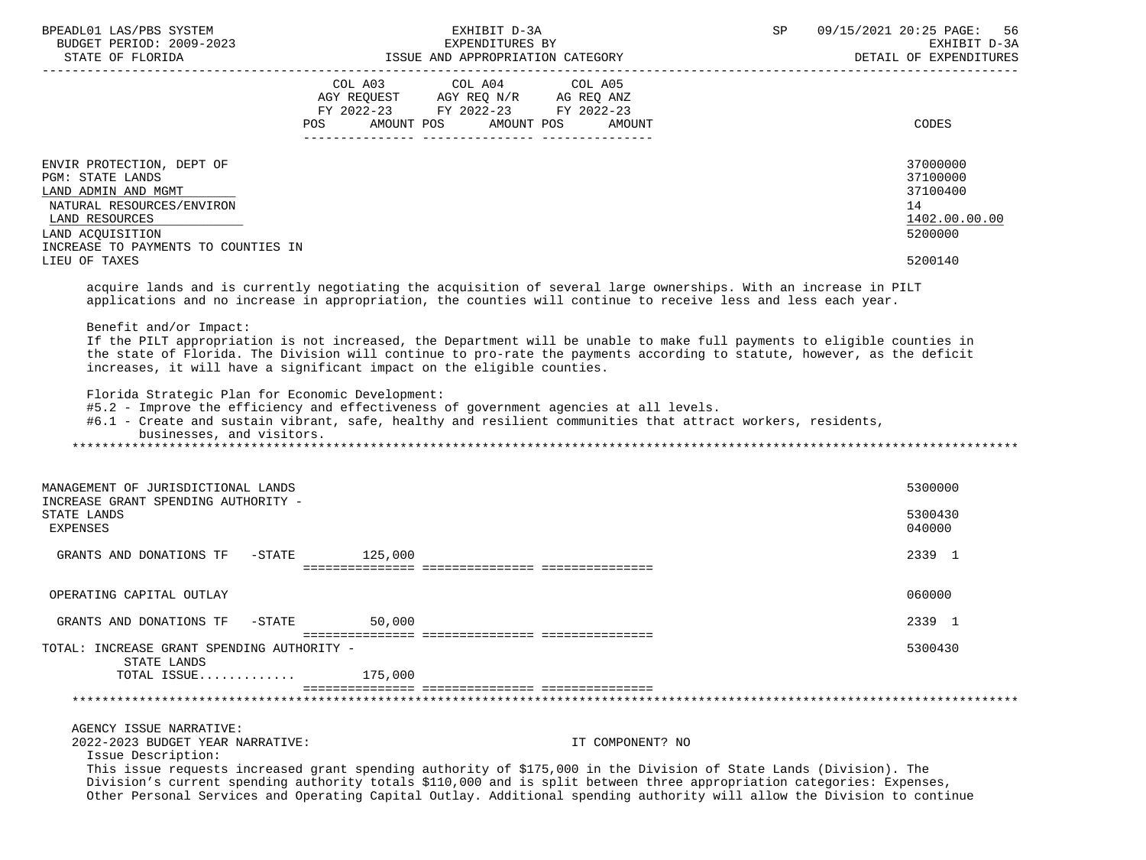| BPEADL01 LAS/PBS SYSTEM<br>BUDGET PERIOD: 2009-2023                                                                                                                                   | EXHIBIT D-3A<br>EXPENDITURES BY                                                                                                                                                                                                                                                                                                                                                                                                                                                                                                      | 09/15/2021 20:25 PAGE:<br>SP<br>56<br>EXHIBIT D-3A<br>DETAIL OF EXPENDITURES |
|---------------------------------------------------------------------------------------------------------------------------------------------------------------------------------------|--------------------------------------------------------------------------------------------------------------------------------------------------------------------------------------------------------------------------------------------------------------------------------------------------------------------------------------------------------------------------------------------------------------------------------------------------------------------------------------------------------------------------------------|------------------------------------------------------------------------------|
|                                                                                                                                                                                       | COL A03<br>COL A04 COL A05<br>AGY REQUEST AGY REQ N/R AG REQ ANZ<br>FY 2022-23 FY 2022-23 FY 2022-23<br>AMOUNT POS<br>AMOUNT POS<br>AMOUNT<br>POS                                                                                                                                                                                                                                                                                                                                                                                    | CODES                                                                        |
| ENVIR PROTECTION, DEPT OF<br><b>PGM: STATE LANDS</b><br>LAND ADMIN AND MGMT<br>NATURAL RESOURCES/ENVIRON<br>LAND RESOURCES<br>LAND ACOUISITION<br>INCREASE TO PAYMENTS TO COUNTIES IN |                                                                                                                                                                                                                                                                                                                                                                                                                                                                                                                                      | 37000000<br>37100000<br>37100400<br>14<br>1402.00.00.00<br>5200000           |
| LIEU OF TAXES                                                                                                                                                                         |                                                                                                                                                                                                                                                                                                                                                                                                                                                                                                                                      | 5200140                                                                      |
|                                                                                                                                                                                       | acquire lands and is currently negotiating the acquisition of several large ownerships. With an increase in PILT<br>applications and no increase in appropriation, the counties will continue to receive less and less each year.                                                                                                                                                                                                                                                                                                    |                                                                              |
| Benefit and/or Impact:<br>Florida Strategic Plan for Economic Development:<br>businesses, and visitors.                                                                               | If the PILT appropriation is not increased, the Department will be unable to make full payments to eligible counties in<br>the state of Florida. The Division will continue to pro-rate the payments according to statute, however, as the deficit<br>increases, it will have a significant impact on the eligible counties.<br>#5.2 - Improve the efficiency and effectiveness of government agencies at all levels.<br>#6.1 - Create and sustain vibrant, safe, healthy and resilient communities that attract workers, residents, |                                                                              |
| MANAGEMENT OF JURISDICTIONAL LANDS<br>INCREASE GRANT SPENDING AUTHORITY -                                                                                                             |                                                                                                                                                                                                                                                                                                                                                                                                                                                                                                                                      | 5300000                                                                      |
| STATE LANDS<br><b>EXPENSES</b>                                                                                                                                                        |                                                                                                                                                                                                                                                                                                                                                                                                                                                                                                                                      | 5300430<br>040000                                                            |
| GRANTS AND DONATIONS TF                                                                                                                                                               | $-STATE$ 125,000                                                                                                                                                                                                                                                                                                                                                                                                                                                                                                                     | 2339 1                                                                       |
|                                                                                                                                                                                       |                                                                                                                                                                                                                                                                                                                                                                                                                                                                                                                                      |                                                                              |
| OPERATING CAPITAL OUTLAY                                                                                                                                                              |                                                                                                                                                                                                                                                                                                                                                                                                                                                                                                                                      | 060000                                                                       |
| GRANTS AND DONATIONS TF<br>$-$ STATE                                                                                                                                                  | 50,000                                                                                                                                                                                                                                                                                                                                                                                                                                                                                                                               | 2339 1                                                                       |
| TOTAL: INCREASE GRANT SPENDING AUTHORITY -<br>STATE LANDS                                                                                                                             |                                                                                                                                                                                                                                                                                                                                                                                                                                                                                                                                      | 5300430                                                                      |
| TOTAL ISSUE                                                                                                                                                                           | 175,000                                                                                                                                                                                                                                                                                                                                                                                                                                                                                                                              |                                                                              |
|                                                                                                                                                                                       |                                                                                                                                                                                                                                                                                                                                                                                                                                                                                                                                      |                                                                              |
| AGENCY ISSUE NARRATIVE:<br>2022-2023 BUDGET YEAR NARRATIVE:<br>Issue Description:                                                                                                     | IT COMPONENT? NO                                                                                                                                                                                                                                                                                                                                                                                                                                                                                                                     |                                                                              |
|                                                                                                                                                                                       | This issue requests increased grant spending authority of \$175,000 in the Division of State Lands (Division). The<br>Division's current spending authority totals \$110,000 and is split between three appropriation categories: Expenses,<br>Other Personal Services and Operating Capital Outlay. Additional spending authority will allow the Division to continue                                                                                                                                                               |                                                                              |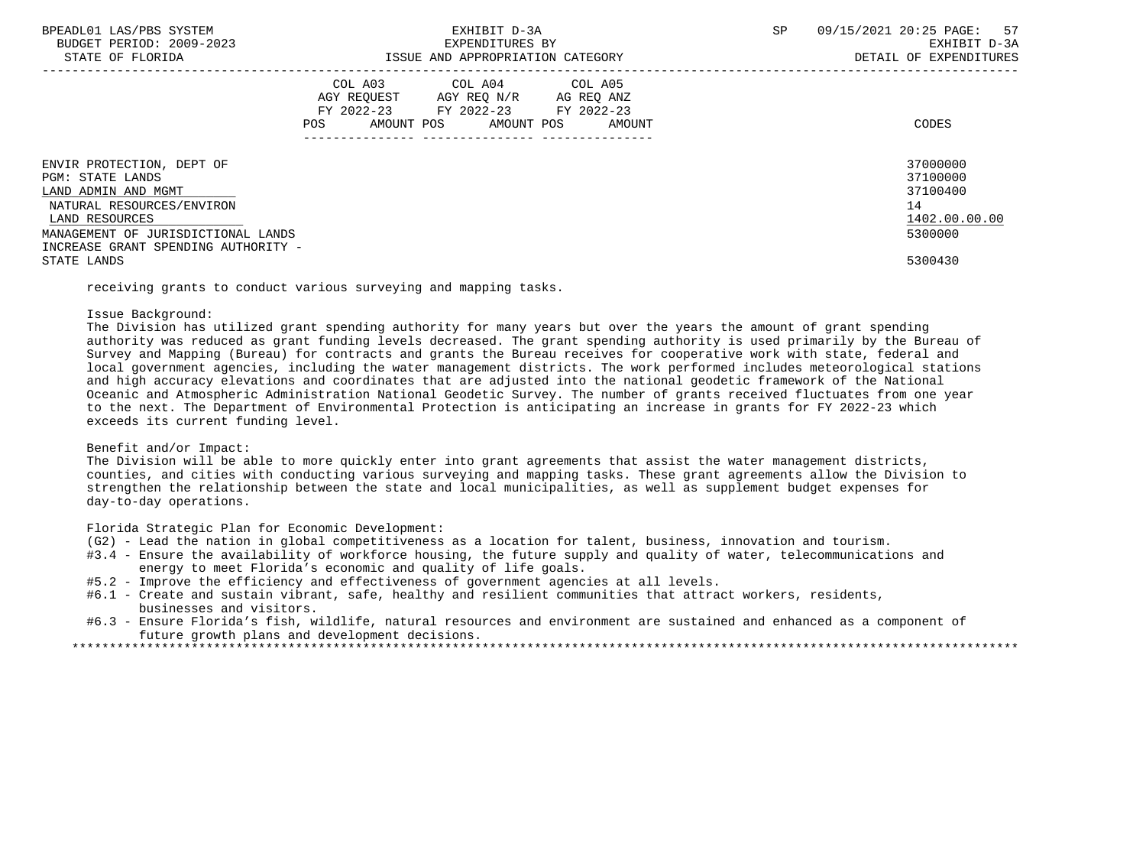| BPEADL01 LAS/PBS SYSTEM |                  |                          |
|-------------------------|------------------|--------------------------|
|                         |                  | BUDGET PERIOD: 2009-2023 |
|                         | STATE OF FLORIDA |                          |

|                                                                                                                                                                                                                 | COL A03<br>AGY REQUEST<br>FY 2022-23<br>AMOUNT POS<br>POS | COL A04<br>AGY REQ N/R<br>FY 2022-23<br>AMOUNT POS | COL A05<br>AG REQ ANZ<br>FY 2022-23<br>AMOUNT | CODES                                                                         |
|-----------------------------------------------------------------------------------------------------------------------------------------------------------------------------------------------------------------|-----------------------------------------------------------|----------------------------------------------------|-----------------------------------------------|-------------------------------------------------------------------------------|
| ENVIR PROTECTION, DEPT OF<br>PGM: STATE LANDS<br>LAND ADMIN AND MGMT<br>NATURAL RESOURCES/ENVIRON<br>LAND RESOURCES<br>MANAGEMENT OF JURISDICTIONAL LANDS<br>INCREASE GRANT SPENDING AUTHORITY -<br>STATE LANDS |                                                           |                                                    |                                               | 37000000<br>37100000<br>37100400<br>14<br>1402.00.00.00<br>5300000<br>5300430 |

receiving grants to conduct various surveying and mapping tasks.

## Issue Background:

 The Division has utilized grant spending authority for many years but over the years the amount of grant spending authority was reduced as grant funding levels decreased. The grant spending authority is used primarily by the Bureau of Survey and Mapping (Bureau) for contracts and grants the Bureau receives for cooperative work with state, federal and local government agencies, including the water management districts. The work performed includes meteorological stations and high accuracy elevations and coordinates that are adjusted into the national geodetic framework of the National Oceanic and Atmospheric Administration National Geodetic Survey. The number of grants received fluctuates from one year to the next. The Department of Environmental Protection is anticipating an increase in grants for FY 2022-23 which exceeds its current funding level.

# Benefit and/or Impact:

 The Division will be able to more quickly enter into grant agreements that assist the water management districts, counties, and cities with conducting various surveying and mapping tasks. These grant agreements allow the Division to strengthen the relationship between the state and local municipalities, as well as supplement budget expenses for day-to-day operations.

Florida Strategic Plan for Economic Development:

- (G2) Lead the nation in global competitiveness as a location for talent, business, innovation and tourism.
- #3.4 Ensure the availability of workforce housing, the future supply and quality of water, telecommunications and energy to meet Florida's economic and quality of life goals.
- #5.2 Improve the efficiency and effectiveness of government agencies at all levels.
- #6.1 Create and sustain vibrant, safe, healthy and resilient communities that attract workers, residents, businesses and visitors.
- #6.3 Ensure Florida's fish, wildlife, natural resources and environment are sustained and enhanced as a component of future growth plans and development decisions.
- \*\*\*\*\*\*\*\*\*\*\*\*\*\*\*\*\*\*\*\*\*\*\*\*\*\*\*\*\*\*\*\*\*\*\*\*\*\*\*\*\*\*\*\*\*\*\*\*\*\*\*\*\*\*\*\*\*\*\*\*\*\*\*\*\*\*\*\*\*\*\*\*\*\*\*\*\*\*\*\*\*\*\*\*\*\*\*\*\*\*\*\*\*\*\*\*\*\*\*\*\*\*\*\*\*\*\*\*\*\*\*\*\*\*\*\*\*\*\*\*\*\*\*\*\*\*\*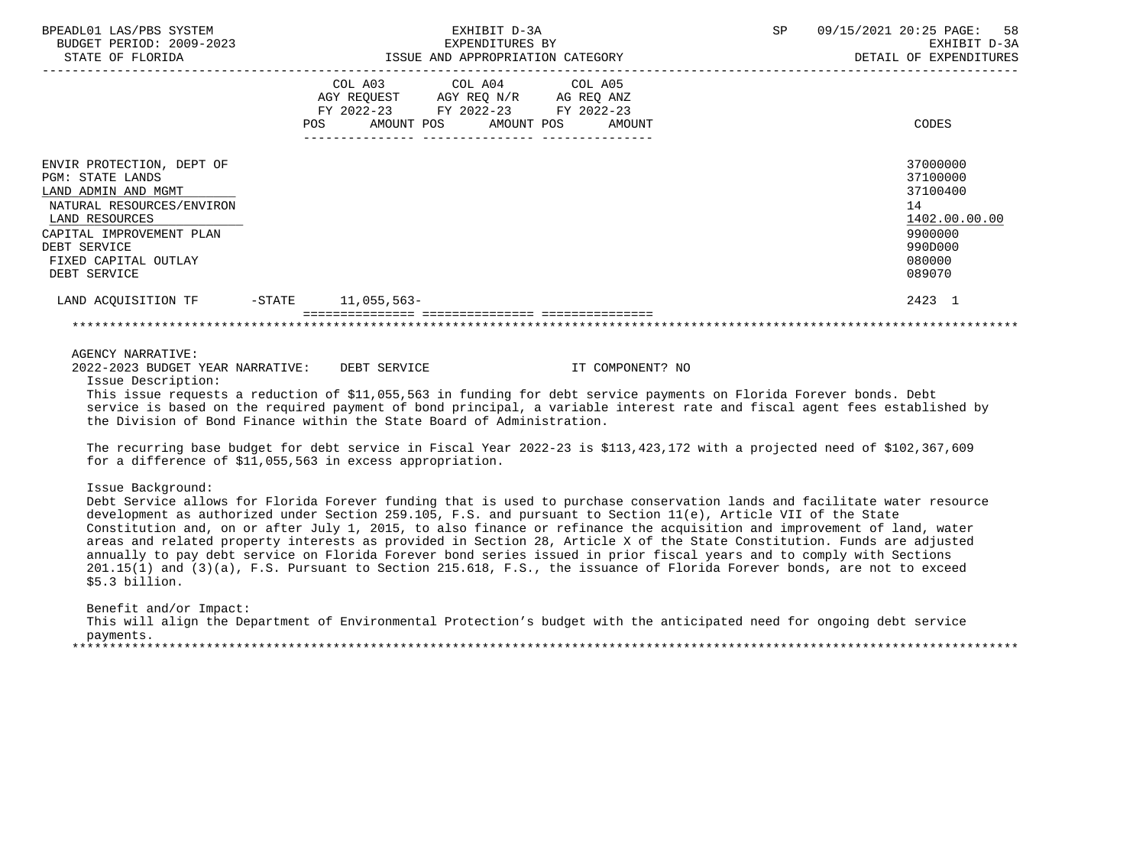| BPEADL01 LAS/PBS SYSTEM<br>BUDGET PERIOD: 2009-2023<br>STATE OF FLORIDA                                                                                                                                        |           | EXHIBIT D-3A<br>EXPENDITURES BY<br>ISSUE AND APPROPRIATION CATEGORY |                                                                                                 |         | 58<br>09/15/2021 20:25 PAGE:<br><b>SP</b><br>EXHIBIT D-3A<br>DETAIL OF EXPENDITURES |  |                                                                                                   |
|----------------------------------------------------------------------------------------------------------------------------------------------------------------------------------------------------------------|-----------|---------------------------------------------------------------------|-------------------------------------------------------------------------------------------------|---------|-------------------------------------------------------------------------------------|--|---------------------------------------------------------------------------------------------------|
|                                                                                                                                                                                                                | POS       | COL A03<br>AMOUNT POS                                               | COL A04<br>AGY REQUEST AGY REQ N/R AG REQ ANZ<br>FY 2022-23 FY 2022-23 FY 2022-23<br>AMOUNT POS | COL A05 | AMOUNT                                                                              |  | CODES                                                                                             |
| ENVIR PROTECTION, DEPT OF<br><b>PGM: STATE LANDS</b><br>LAND ADMIN AND MGMT<br>NATURAL RESOURCES/ENVIRON<br>LAND RESOURCES<br>CAPITAL IMPROVEMENT PLAN<br>DEBT SERVICE<br>FIXED CAPITAL OUTLAY<br>DEBT SERVICE |           |                                                                     |                                                                                                 |         |                                                                                     |  | 37000000<br>37100000<br>37100400<br>14<br>1402.00.00.00<br>9900000<br>990D000<br>080000<br>089070 |
| LAND ACOUISITION TF                                                                                                                                                                                            | $-$ STATE | 11,055,563-                                                         |                                                                                                 |         |                                                                                     |  | 2423 1                                                                                            |
|                                                                                                                                                                                                                |           |                                                                     |                                                                                                 |         |                                                                                     |  |                                                                                                   |
|                                                                                                                                                                                                                |           |                                                                     |                                                                                                 |         |                                                                                     |  |                                                                                                   |

AGENCY NARRATIVE:

2022-2023 BUDGET YEAR NARRATIVE: DEBT SERVICE IT COMPONENT? NO

Issue Description:

 This issue requests a reduction of \$11,055,563 in funding for debt service payments on Florida Forever bonds. Debt service is based on the required payment of bond principal, a variable interest rate and fiscal agent fees established by the Division of Bond Finance within the State Board of Administration.

 The recurring base budget for debt service in Fiscal Year 2022-23 is \$113,423,172 with a projected need of \$102,367,609 for a difference of \$11,055,563 in excess appropriation.

Issue Background:

 Debt Service allows for Florida Forever funding that is used to purchase conservation lands and facilitate water resource development as authorized under Section 259.105, F.S. and pursuant to Section 11(e), Article VII of the State Constitution and, on or after July 1, 2015, to also finance or refinance the acquisition and improvement of land, water areas and related property interests as provided in Section 28, Article X of the State Constitution. Funds are adjusted annually to pay debt service on Florida Forever bond series issued in prior fiscal years and to comply with Sections 201.15(1) and (3)(a), F.S. Pursuant to Section 215.618, F.S., the issuance of Florida Forever bonds, are not to exceed \$5.3 billion.

 Benefit and/or Impact: This will align the Department of Environmental Protection's budget with the anticipated need for ongoing debt service payments.<br>\*\*\*\*\*\*\*\*\*\*\*\*\*\*\*\*\*\*\* \*\*\*\*\*\*\*\*\*\*\*\*\*\*\*\*\*\*\*\*\*\*\*\*\*\*\*\*\*\*\*\*\*\*\*\*\*\*\*\*\*\*\*\*\*\*\*\*\*\*\*\*\*\*\*\*\*\*\*\*\*\*\*\*\*\*\*\*\*\*\*\*\*\*\*\*\*\*\*\*\*\*\*\*\*\*\*\*\*\*\*\*\*\*\*\*\*\*\*\*\*\*\*\*\*\*\*\*\*\*\*\*\*\*\*\*\*\*\*\*\*\*\*\*\*\*\*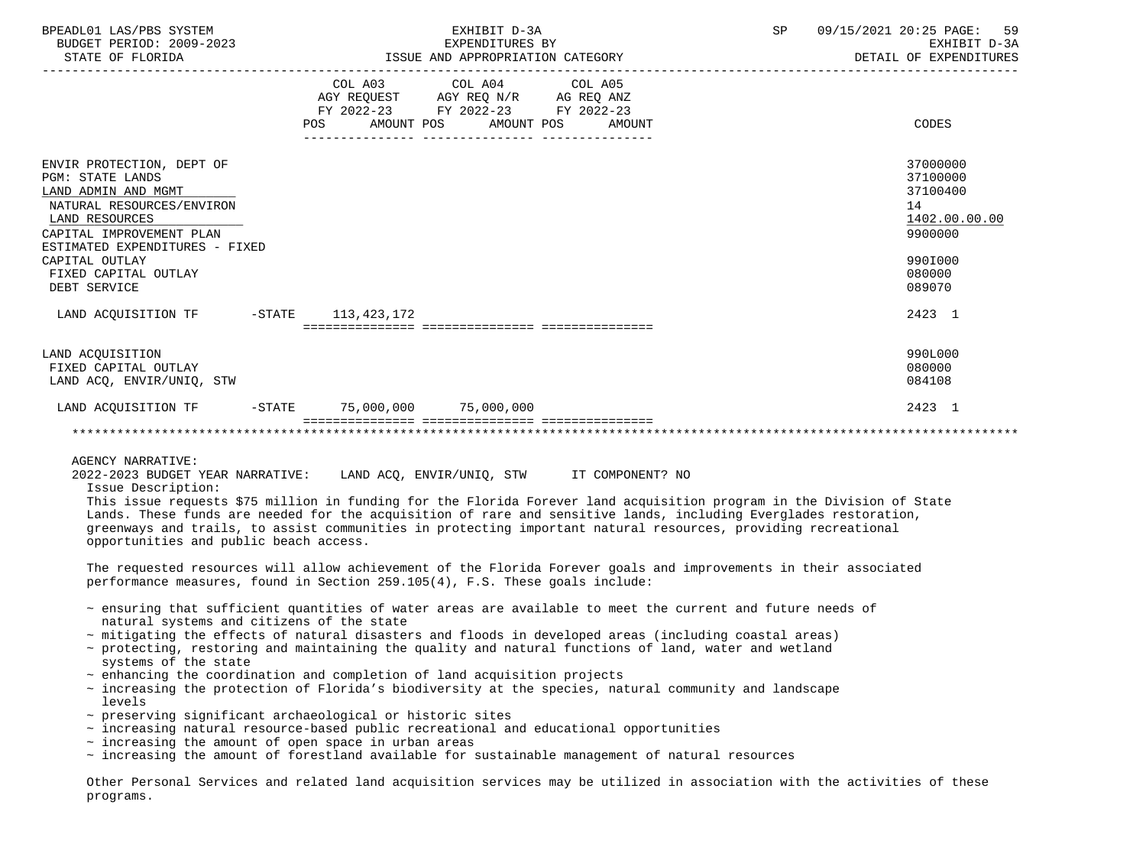| BPEADL01 LAS/PBS SYSTEM<br>BUDGET PERIOD: 2009-2023<br>STATE OF FLORIDA                                                                                                                                                                            | EXHIBIT D-3A<br>EXPENDITURES BY<br>ISSUE AND APPROPRIATION CATEGORY                                                                         | 09/15/2021 20:25 PAGE:<br>SP<br>59<br>EXHIBIT D-3A<br>DETAIL OF EXPENDITURES                      |
|----------------------------------------------------------------------------------------------------------------------------------------------------------------------------------------------------------------------------------------------------|---------------------------------------------------------------------------------------------------------------------------------------------|---------------------------------------------------------------------------------------------------|
|                                                                                                                                                                                                                                                    | COL A03 COL A04 COL A05<br>AGY REQUEST AGY REQ N/R AG REQ ANZ<br>FY 2022-23 FY 2022-23 FY 2022-23<br>AMOUNT POS AMOUNT POS<br>POS<br>AMOUNT | CODES                                                                                             |
| ENVIR PROTECTION, DEPT OF<br><b>PGM: STATE LANDS</b><br>LAND ADMIN AND MGMT<br>NATURAL RESOURCES/ENVIRON<br>LAND RESOURCES<br>CAPITAL IMPROVEMENT PLAN<br>ESTIMATED EXPENDITURES - FIXED<br>CAPITAL OUTLAY<br>FIXED CAPITAL OUTLAY<br>DEBT SERVICE |                                                                                                                                             | 37000000<br>37100000<br>37100400<br>14<br>1402.00.00.00<br>9900000<br>990I000<br>080000<br>089070 |
| LAND ACOUISITION TF -STATE 113,423,172                                                                                                                                                                                                             |                                                                                                                                             | 2423 1                                                                                            |
| LAND ACOUISITION<br>FIXED CAPITAL OUTLAY<br>LAND ACQ, ENVIR/UNIQ, STW                                                                                                                                                                              |                                                                                                                                             | 990L000<br>080000<br>084108                                                                       |
|                                                                                                                                                                                                                                                    | LAND ACOUISITION TF -STATE 75,000,000 75,000,000                                                                                            | 2423 1                                                                                            |
|                                                                                                                                                                                                                                                    |                                                                                                                                             |                                                                                                   |
| AGENCY NARRATIVE:                                                                                                                                                                                                                                  |                                                                                                                                             |                                                                                                   |

2022-2023 BUDGET YEAR NARRATIVE: LAND ACQ, ENVIR/UNIQ, STW IT COMPONENT? NO

Issue Description:

 This issue requests \$75 million in funding for the Florida Forever land acquisition program in the Division of State Lands. These funds are needed for the acquisition of rare and sensitive lands, including Everglades restoration, greenways and trails, to assist communities in protecting important natural resources, providing recreational opportunities and public beach access.

 The requested resources will allow achievement of the Florida Forever goals and improvements in their associated performance measures, found in Section 259.105(4), F.S. These goals include:

- ~ ensuring that sufficient quantities of water areas are available to meet the current and future needs of natural systems and citizens of the state
- ~ mitigating the effects of natural disasters and floods in developed areas (including coastal areas)
- ~ protecting, restoring and maintaining the quality and natural functions of land, water and wetland systems of the state
- $\sim$  enhancing the coordination and completion of land acquisition projects
- ~ increasing the protection of Florida's biodiversity at the species, natural community and landscape levels
- ~ preserving significant archaeological or historic sites
- $\sim$  increasing natural resource-based public recreational and educational opportunities
- $\sim$  increasing the amount of open space in urban areas
- $\sim$  increasing the amount of forestland available for sustainable management of natural resources

 Other Personal Services and related land acquisition services may be utilized in association with the activities of these programs.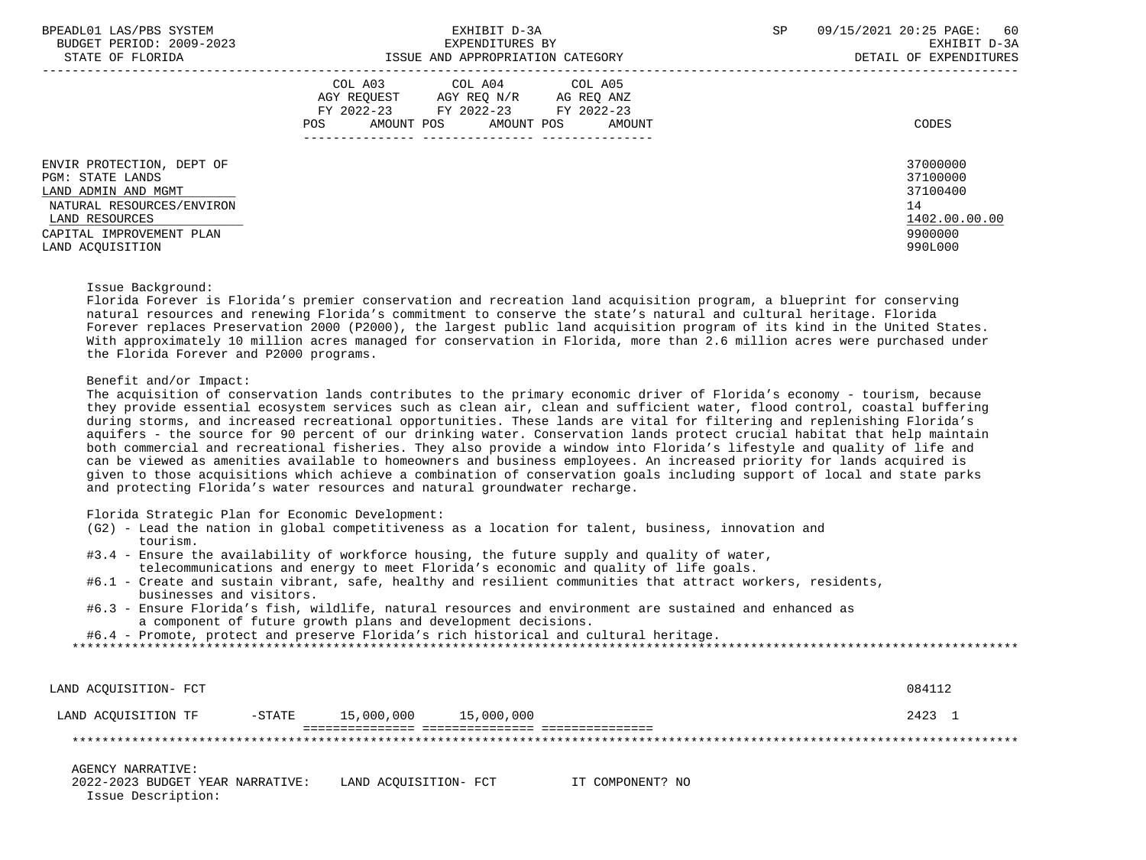| BPEADL01 LAS/PBS SYSTEM<br>BUDGET PERIOD: 2009-2023<br>STATE OF FLORIDA                                                                                                    | EXHIBIT D-3A<br>EXPENDITURES BY<br>ISSUE AND APPROPRIATION CATEGORY                                                                                     | SP<br>09/15/2021 20:25 PAGE: 60<br>EXHIBIT D-3A<br>DETAIL OF EXPENDITURES     |
|----------------------------------------------------------------------------------------------------------------------------------------------------------------------------|---------------------------------------------------------------------------------------------------------------------------------------------------------|-------------------------------------------------------------------------------|
|                                                                                                                                                                            | COL A03<br>COL A04 COL A05<br>AGY REO N/R<br>AGY REOUEST<br>AG REQ ANZ<br>FY 2022-23 FY 2022-23 FY 2022-23<br>AMOUNT POS<br>AMOUNT POS<br>POS<br>AMOUNT | CODES                                                                         |
| ENVIR PROTECTION, DEPT OF<br><b>PGM: STATE LANDS</b><br>LAND ADMIN AND MGMT<br>NATURAL RESOURCES/ENVIRON<br>LAND RESOURCES<br>CAPITAL IMPROVEMENT PLAN<br>LAND ACOUISITION |                                                                                                                                                         | 37000000<br>37100000<br>37100400<br>14<br>1402.00.00.00<br>9900000<br>990L000 |

#### Issue Background:

 Florida Forever is Florida's premier conservation and recreation land acquisition program, a blueprint for conserving natural resources and renewing Florida's commitment to conserve the state's natural and cultural heritage. Florida Forever replaces Preservation 2000 (P2000), the largest public land acquisition program of its kind in the United States. With approximately 10 million acres managed for conservation in Florida, more than 2.6 million acres were purchased under the Florida Forever and P2000 programs.

# Benefit and/or Impact:

 The acquisition of conservation lands contributes to the primary economic driver of Florida's economy - tourism, because they provide essential ecosystem services such as clean air, clean and sufficient water, flood control, coastal buffering during storms, and increased recreational opportunities. These lands are vital for filtering and replenishing Florida's aquifers - the source for 90 percent of our drinking water. Conservation lands protect crucial habitat that help maintain both commercial and recreational fisheries. They also provide a window into Florida's lifestyle and quality of life and can be viewed as amenities available to homeowners and business employees. An increased priority for lands acquired is given to those acquisitions which achieve a combination of conservation goals including support of local and state parks and protecting Florida's water resources and natural groundwater recharge.

Florida Strategic Plan for Economic Development:

- (G2) Lead the nation in global competitiveness as a location for talent, business, innovation and tourism.
- #3.4 Ensure the availability of workforce housing, the future supply and quality of water, telecommunications and energy to meet Florida's economic and quality of life goals.
- #6.1 Create and sustain vibrant, safe, healthy and resilient communities that attract workers, residents, businesses and visitors.
- #6.3 Ensure Florida's fish, wildlife, natural resources and environment are sustained and enhanced as a component of future growth plans and development decisions.
- #6.4 Promote, protect and preserve Florida's rich historical and cultural heritage.

\*\*\*\*\*\*\*\*\*\*\*\*\*\*\*\*\*\*\*\*\*\*\*\*\*\*\*\*\*\*\*\*\*\*\*\*\*\*\*\*\*\*\*\*\*\*\*\*\*\*\*\*\*\*\*\*\*\*\*\*\*\*\*\*\*\*\*\*\*\*\*\*\*\*\*\*\*\*\*\*\*\*\*\*\*\*\*\*\*\*\*\*\*\*\*\*\*\*\*\*\*\*\*\*\*\*\*\*\*\*\*\*\*\*\*\*\*\*\*\*\*\*\*\*\*\*\*

| LAND ACOUISITION- FCT                                  |           |                       |            |                  | 084112 |
|--------------------------------------------------------|-----------|-----------------------|------------|------------------|--------|
| LAND ACOUISITION TF                                    | $-$ STATE | 15,000,000            | 15,000,000 |                  | 2423 1 |
|                                                        |           |                       |            |                  |        |
| AGENCY NARRATIVE:                                      |           |                       |            |                  |        |
| 2022-2023 BUDGET YEAR NARRATIVE:<br>Issue Description: |           | LAND ACOUISITION- FCT |            | IT COMPONENT? NO |        |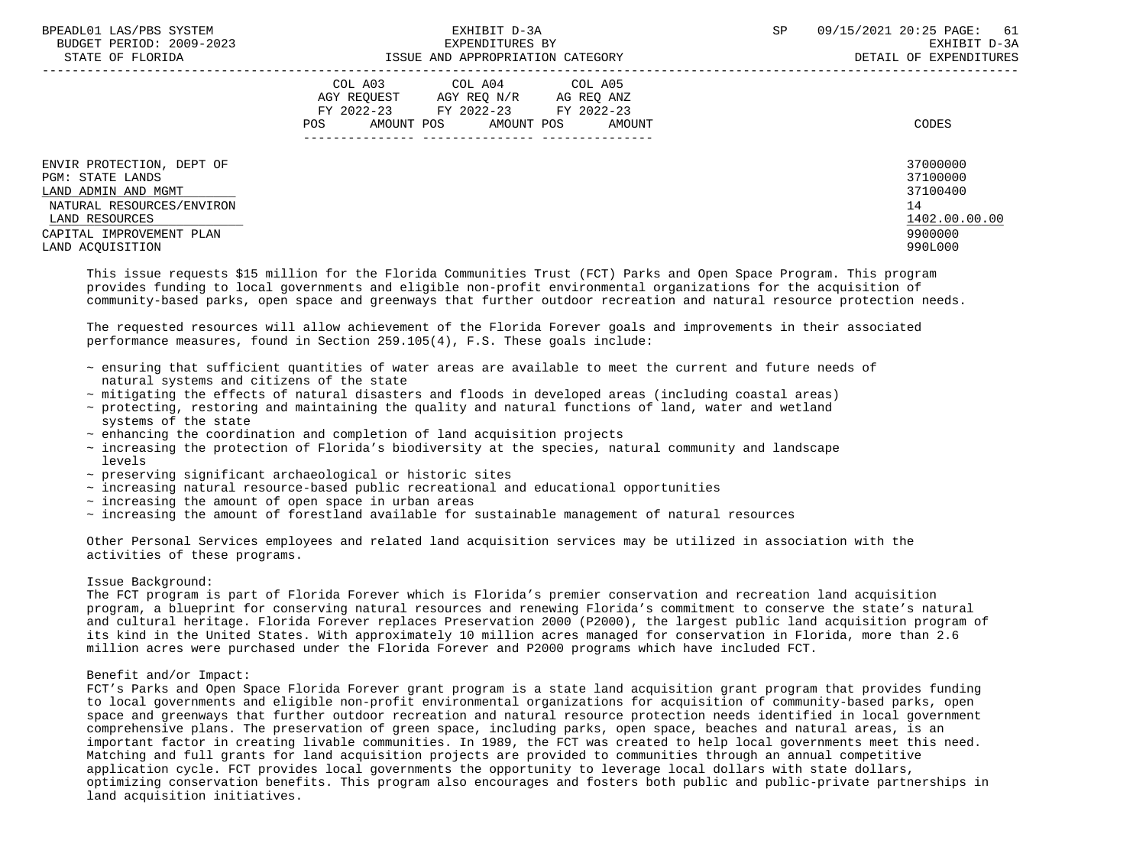| BPEADL01 LAS/PBS SYSTEM<br>BUDGET PERIOD: 2009-2023<br>STATE OF FLORIDA                                                                                                    | EXHIBIT D-3A<br>EXPENDITURES BY<br>ISSUE AND APPROPRIATION CATEGORY                                                                            | <b>SP</b> | 09/15/2021 20:25 PAGE: 61<br>EXHIBIT D-3A<br>DETAIL OF EXPENDITURES           |
|----------------------------------------------------------------------------------------------------------------------------------------------------------------------------|------------------------------------------------------------------------------------------------------------------------------------------------|-----------|-------------------------------------------------------------------------------|
|                                                                                                                                                                            | COL A03 COL A04 COL A05<br>AGY REQUEST AGY REQ N/R AG REQ ANZ<br>FY 2022-23 FY 2022-23 FY 2022-23<br>AMOUNT POS<br>AMOUNT POS<br>POS<br>AMOUNT |           | CODES                                                                         |
| ENVIR PROTECTION, DEPT OF<br><b>PGM: STATE LANDS</b><br>LAND ADMIN AND MGMT<br>NATURAL RESOURCES/ENVIRON<br>LAND RESOURCES<br>CAPITAL IMPROVEMENT PLAN<br>LAND ACOUISITION |                                                                                                                                                |           | 37000000<br>37100000<br>37100400<br>14<br>1402.00.00.00<br>9900000<br>990L000 |

 This issue requests \$15 million for the Florida Communities Trust (FCT) Parks and Open Space Program. This program provides funding to local governments and eligible non-profit environmental organizations for the acquisition of community-based parks, open space and greenways that further outdoor recreation and natural resource protection needs.

 The requested resources will allow achievement of the Florida Forever goals and improvements in their associated performance measures, found in Section 259.105(4), F.S. These goals include:

- ~ ensuring that sufficient quantities of water areas are available to meet the current and future needs of natural systems and citizens of the state
- ~ mitigating the effects of natural disasters and floods in developed areas (including coastal areas)
- ~ protecting, restoring and maintaining the quality and natural functions of land, water and wetland systems of the state
- $\sim$  enhancing the coordination and completion of land acquisition projects
- ~ increasing the protection of Florida's biodiversity at the species, natural community and landscape levels
- ~ preserving significant archaeological or historic sites
- $\sim$  increasing natural resource-based public recreational and educational opportunities
- $\sim$  increasing the amount of open space in urban areas
- ~ increasing the amount of forestland available for sustainable management of natural resources

 Other Personal Services employees and related land acquisition services may be utilized in association with the activities of these programs.

# Issue Background:

 The FCT program is part of Florida Forever which is Florida's premier conservation and recreation land acquisition program, a blueprint for conserving natural resources and renewing Florida's commitment to conserve the state's natural and cultural heritage. Florida Forever replaces Preservation 2000 (P2000), the largest public land acquisition program of its kind in the United States. With approximately 10 million acres managed for conservation in Florida, more than 2.6 million acres were purchased under the Florida Forever and P2000 programs which have included FCT.

## Benefit and/or Impact:

 FCT's Parks and Open Space Florida Forever grant program is a state land acquisition grant program that provides funding to local governments and eligible non-profit environmental organizations for acquisition of community-based parks, open space and greenways that further outdoor recreation and natural resource protection needs identified in local government comprehensive plans. The preservation of green space, including parks, open space, beaches and natural areas, is an important factor in creating livable communities. In 1989, the FCT was created to help local governments meet this need. Matching and full grants for land acquisition projects are provided to communities through an annual competitive application cycle. FCT provides local governments the opportunity to leverage local dollars with state dollars, optimizing conservation benefits. This program also encourages and fosters both public and public-private partnerships in land acquisition initiatives.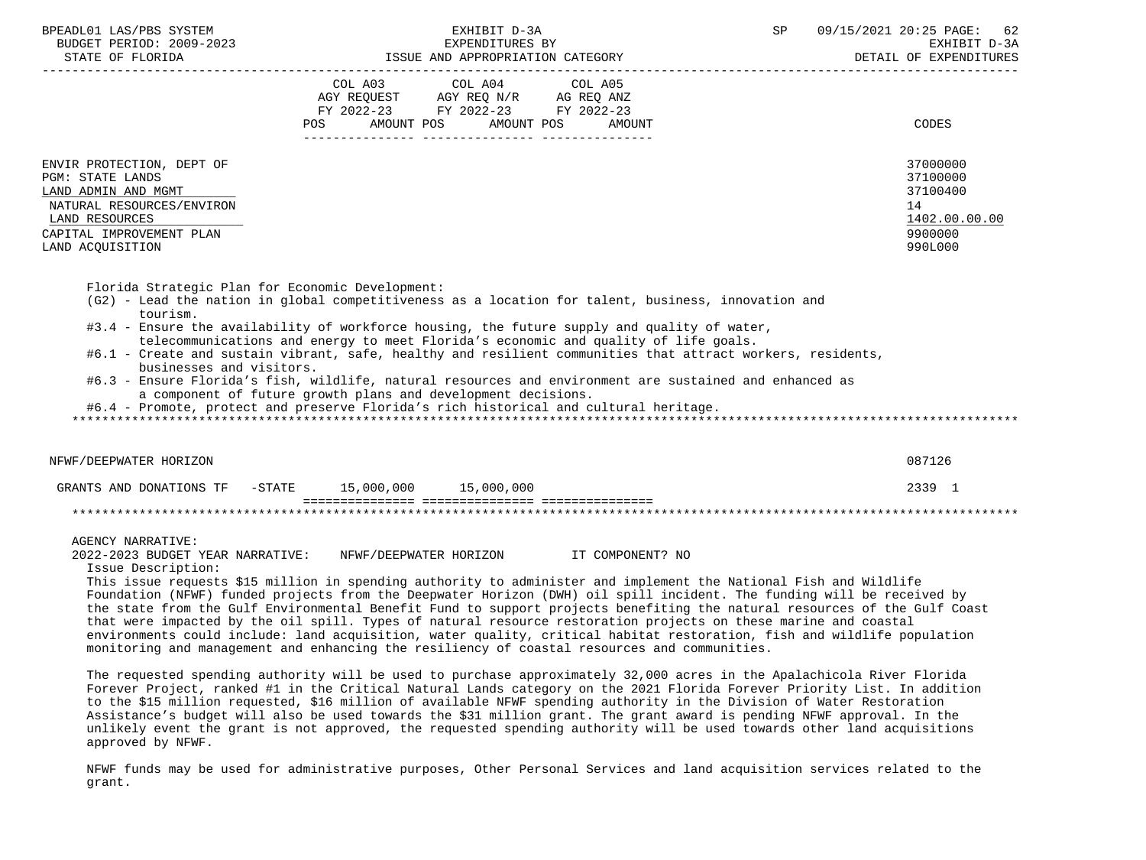| BPEADL01 LAS/PBS SYSTEM<br>BLADLUI LAS/PBS SISIEM<br>BUDGET PERIOD: 2009-2023<br>STATE OF FLORIDA                                                                          | EXHIBIT D-3A<br>EXPENDITURES BY<br>ISSUE AND APPROPRIATION CATEGORY DETAIL OF EXPENDITION CATEGORY                                                                                                                                                                                                                                                                                                                                                                                                                                                                                                                                                                                                                                                                                                                                                                                                                                                                                                                      | SP<br>09/15/2021 20:25 PAGE: 62<br>EXHIBIT D-3A<br>DETAIL OF EXPENDITURES     |
|----------------------------------------------------------------------------------------------------------------------------------------------------------------------------|-------------------------------------------------------------------------------------------------------------------------------------------------------------------------------------------------------------------------------------------------------------------------------------------------------------------------------------------------------------------------------------------------------------------------------------------------------------------------------------------------------------------------------------------------------------------------------------------------------------------------------------------------------------------------------------------------------------------------------------------------------------------------------------------------------------------------------------------------------------------------------------------------------------------------------------------------------------------------------------------------------------------------|-------------------------------------------------------------------------------|
|                                                                                                                                                                            | COL A03<br>$\begin{tabular}{lllllllllllll} &\multicolumn{4}{c }{\text{COL A03}} &\multicolumn{4}{c }{\text{COL A04}} &\multicolumn{4}{c }{\text{COL A05}}\\ \text{AGY REQUEST} &\multicolumn{4}{c }{\text{AGY REQ ANZ}} &\multicolumn{4}{c }{\text{AG REQ ANZ}}\\ \text{FY 2022--23} &\multicolumn{4}{c }{\text{FY 2022--23}} &\multicolumn{4}{c }{\text{FY 2022--23}} &\multicolumn{4}{c }{\text{FY 2022--23}} \end{tabular}$<br>POS AMOUNT POS AMOUNT POS AMOUNT                                                                                                                                                                                                                                                                                                                                                                                                                                                                                                                                                      | CODES                                                                         |
| ENVIR PROTECTION, DEPT OF<br><b>PGM: STATE LANDS</b><br>LAND ADMIN AND MGMT<br>NATURAL RESOURCES/ENVIRON<br>LAND RESOURCES<br>CAPITAL IMPROVEMENT PLAN<br>LAND ACQUISITION |                                                                                                                                                                                                                                                                                                                                                                                                                                                                                                                                                                                                                                                                                                                                                                                                                                                                                                                                                                                                                         | 37000000<br>37100000<br>37100400<br>14<br>1402.00.00.00<br>9900000<br>990L000 |
| Florida Strategic Plan for Economic Development:<br>tourism.<br>businesses and visitors.                                                                                   | (G2) - Lead the nation in global competitiveness as a location for talent, business, innovation and<br>#3.4 - Ensure the availability of workforce housing, the future supply and quality of water,<br>telecommunications and energy to meet Florida's economic and quality of life goals.<br>#6.1 - Create and sustain vibrant, safe, healthy and resilient communities that attract workers, residents,<br>#6.3 - Ensure Florida's fish, wildlife, natural resources and environment are sustained and enhanced as<br>a component of future growth plans and development decisions.<br>#6.4 - Promote, protect and preserve Florida's rich historical and cultural heritage.                                                                                                                                                                                                                                                                                                                                          |                                                                               |
| NFWF/DEEPWATER HORIZON                                                                                                                                                     |                                                                                                                                                                                                                                                                                                                                                                                                                                                                                                                                                                                                                                                                                                                                                                                                                                                                                                                                                                                                                         | 087126                                                                        |
|                                                                                                                                                                            | GRANTS AND DONATIONS TF - STATE 15,000,000 15,000,000                                                                                                                                                                                                                                                                                                                                                                                                                                                                                                                                                                                                                                                                                                                                                                                                                                                                                                                                                                   | 2339 1                                                                        |
|                                                                                                                                                                            |                                                                                                                                                                                                                                                                                                                                                                                                                                                                                                                                                                                                                                                                                                                                                                                                                                                                                                                                                                                                                         |                                                                               |
| <b>AGENCY NARRATIVE:</b><br>2022-2023 BUDGET YEAR NARRATIVE:<br>Issue Description:                                                                                         | NFWF/DEEPWATER HORIZON TT COMPONENT? NO<br>This issue requests \$15 million in spending authority to administer and implement the National Fish and Wildlife<br>Foundation (NFWF) funded projects from the Deepwater Horizon (DWH) oil spill incident. The funding will be received by<br>the state from the Gulf Environmental Benefit Fund to support projects benefiting the natural resources of the Gulf Coast<br>that were impacted by the oil spill. Types of natural resource restoration projects on these marine and coastal<br>environments could include: land acquisition, water quality, critical habitat restoration, fish and wildlife population<br>monitoring and management and enhancing the resiliency of coastal resources and communities.<br>The requested spending authority will be used to purchase approximately 32,000 acres in the Apalachicola River Florida<br>Forever Project, ranked #1 in the Critical Natural Lands category on the 2021 Florida Forever Priority List. In addition |                                                                               |

 to the \$15 million requested, \$16 million of available NFWF spending authority in the Division of Water Restoration Assistance's budget will also be used towards the \$31 million grant. The grant award is pending NFWF approval. In the unlikely event the grant is not approved, the requested spending authority will be used towards other land acquisitions approved by NFWF.

 NFWF funds may be used for administrative purposes, Other Personal Services and land acquisition services related to the grant.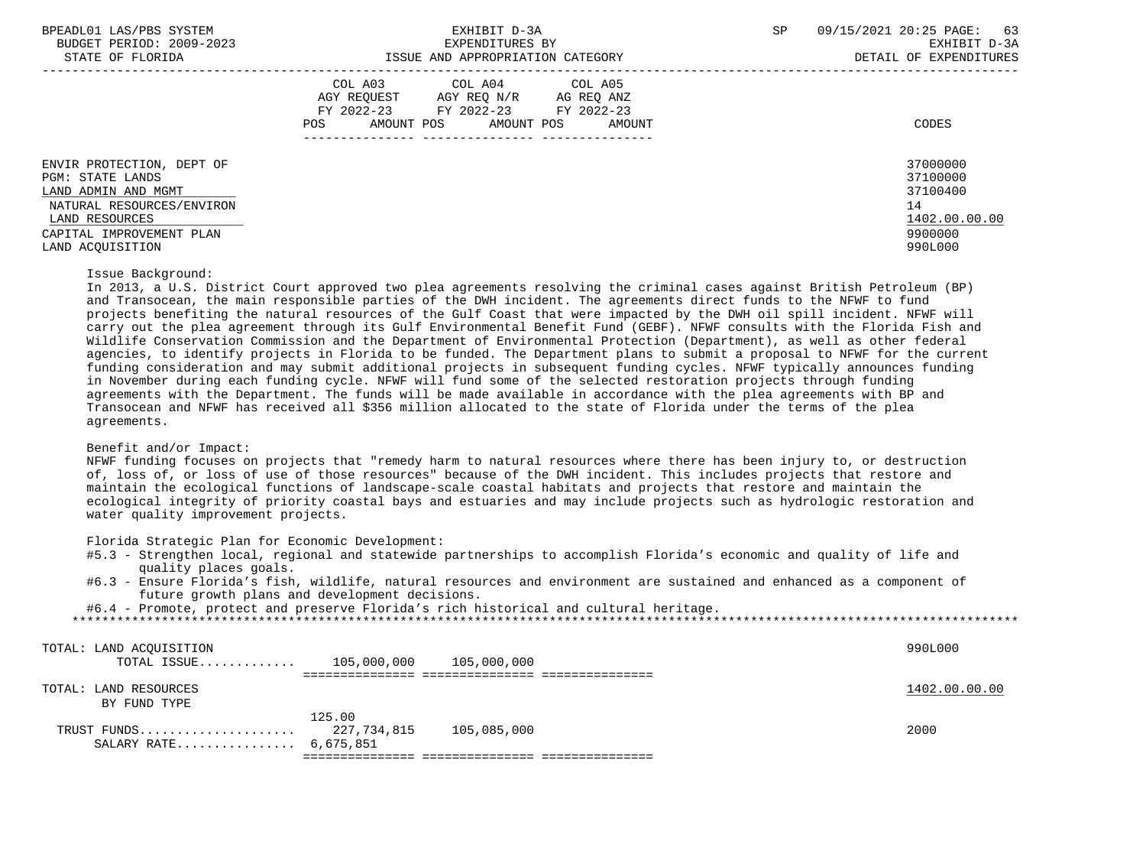| BPEADL01 LAS/PBS SYSTEM |                  |                          |
|-------------------------|------------------|--------------------------|
|                         |                  | BUDGET PERIOD: 2009-2023 |
|                         | CEARE OR RIODIDA |                          |

|                                                                                                                                                                     | COL A03<br>COL A05<br>COL A04<br>AGY REQUEST<br>AGY REQ N/R<br>AG REQ ANZ<br>FY 2022-23<br>FY 2022-23<br>FY 2022-23<br>AMOUNT POS<br>AMOUNT POS<br>AMOUNT<br>POS | CODES                                                                         |
|---------------------------------------------------------------------------------------------------------------------------------------------------------------------|------------------------------------------------------------------------------------------------------------------------------------------------------------------|-------------------------------------------------------------------------------|
| ENVIR PROTECTION, DEPT OF<br>PGM: STATE LANDS<br>LAND ADMIN AND MGMT<br>NATURAL RESOURCES/ENVIRON<br>LAND RESOURCES<br>CAPITAL IMPROVEMENT PLAN<br>LAND ACOUISITION |                                                                                                                                                                  | 37000000<br>37100000<br>37100400<br>14<br>1402.00.00.00<br>9900000<br>990L000 |

#### Issue Background:

 In 2013, a U.S. District Court approved two plea agreements resolving the criminal cases against British Petroleum (BP) and Transocean, the main responsible parties of the DWH incident. The agreements direct funds to the NFWF to fund projects benefiting the natural resources of the Gulf Coast that were impacted by the DWH oil spill incident. NFWF will carry out the plea agreement through its Gulf Environmental Benefit Fund (GEBF). NFWF consults with the Florida Fish and Wildlife Conservation Commission and the Department of Environmental Protection (Department), as well as other federal agencies, to identify projects in Florida to be funded. The Department plans to submit a proposal to NFWF for the current funding consideration and may submit additional projects in subsequent funding cycles. NFWF typically announces funding in November during each funding cycle. NFWF will fund some of the selected restoration projects through funding agreements with the Department. The funds will be made available in accordance with the plea agreements with BP and Transocean and NFWF has received all \$356 million allocated to the state of Florida under the terms of the plea agreements.

# Benefit and/or Impact:

 NFWF funding focuses on projects that "remedy harm to natural resources where there has been injury to, or destruction of, loss of, or loss of use of those resources" because of the DWH incident. This includes projects that restore and maintain the ecological functions of landscape-scale coastal habitats and projects that restore and maintain the ecological integrity of priority coastal bays and estuaries and may include projects such as hydrologic restoration and water quality improvement projects.

Florida Strategic Plan for Economic Development:

- #5.3 Strengthen local, regional and statewide partnerships to accomplish Florida's economic and quality of life and quality places goals.
- #6.3 Ensure Florida's fish, wildlife, natural resources and environment are sustained and enhanced as a component of future growth plans and development decisions.

\*\*\*\*\*\*\*\*\*\*\*\*\*\*\*\*\*\*\*\*\*\*\*\*\*\*\*\*\*\*\*\*\*\*\*\*\*\*\*\*\*\*\*\*\*\*\*\*\*\*\*\*\*\*\*\*\*\*\*\*\*\*\*\*\*\*\*\*\*\*\*\*\*\*\*\*\*\*\*\*\*\*\*\*\*\*\*\*\*\*\*\*\*\*\*\*\*\*\*\*\*\*\*\*\*\*\*\*\*\*\*\*\*\*\*\*\*\*\*\*\*\*\*\*\*\*\*

#6.4 - Promote, protect and preserve Florida's rich historical and cultural heritage.

| TOTAL: LAND ACOUISITION   |        |             | 990L000       |
|---------------------------|--------|-------------|---------------|
| TOTAL ISSUE $105,000,000$ |        | 105,000,000 |               |
|                           |        |             |               |
| TOTAL: LAND RESOURCES     |        |             | 1402.00.00.00 |
| BY FUND TYPE              |        |             |               |
|                           | 125.00 |             |               |
|                           |        | 105,085,000 | 2000          |
| SALARY RATE 6,675,851     |        |             |               |
|                           |        |             |               |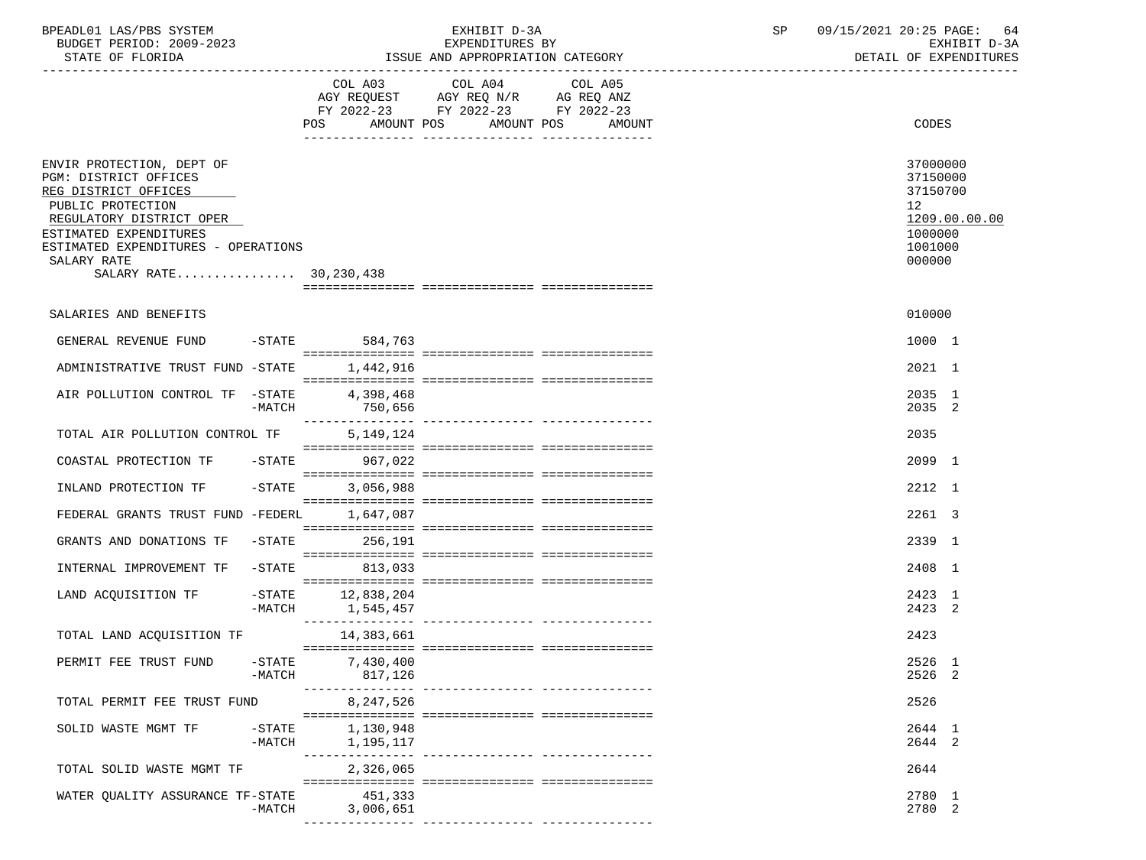| BPEADL01 LAS/PBS SYSTEM<br>BUDGET PERIOD: 2009-2023<br>STATE OF FLORIDA                                                                                                                                                               |                       |                                  | EXHIBIT D-3A<br>EXPENDITURES BY<br>ISSUE AND APPROPRIATION CATEGORY                       |                                             | SP | 09/15/2021 20:25 PAGE:<br>64<br>EXHIBIT D-3A<br>DETAIL OF EXPENDITURES |                                                                                   |  |
|---------------------------------------------------------------------------------------------------------------------------------------------------------------------------------------------------------------------------------------|-----------------------|----------------------------------|-------------------------------------------------------------------------------------------|---------------------------------------------|----|------------------------------------------------------------------------|-----------------------------------------------------------------------------------|--|
|                                                                                                                                                                                                                                       |                       |                                  | COL A03 COL A04<br>AGY REQUEST AGY REQ N/R AG REQ ANZ<br>FY 2022-23 FY 2022-23 FY 2022-23 | COL A05<br>POS AMOUNT POS AMOUNT POS AMOUNT |    |                                                                        | CODES                                                                             |  |
| ENVIR PROTECTION, DEPT OF<br>PGM: DISTRICT OFFICES<br>REG DISTRICT OFFICES<br>PUBLIC PROTECTION<br>REGULATORY DISTRICT OPER<br>ESTIMATED EXPENDITURES<br>ESTIMATED EXPENDITURES - OPERATIONS<br>SALARY RATE<br>SALARY RATE 30,230,438 |                       |                                  |                                                                                           |                                             |    | 12 <sup>°</sup>                                                        | 37000000<br>37150000<br>37150700<br>1209.00.00.00<br>1000000<br>1001000<br>000000 |  |
| SALARIES AND BENEFITS                                                                                                                                                                                                                 |                       |                                  |                                                                                           |                                             |    |                                                                        | 010000                                                                            |  |
| GENERAL REVENUE FUND -STATE 584,763                                                                                                                                                                                                   |                       |                                  |                                                                                           |                                             |    |                                                                        | 1000 1                                                                            |  |
| ADMINISTRATIVE TRUST FUND -STATE                                                                                                                                                                                                      |                       | 1,442,916                        |                                                                                           |                                             |    |                                                                        | 2021 1                                                                            |  |
| AIR POLLUTION CONTROL TF -STATE 4,398,468                                                                                                                                                                                             | -MATCH                | 750,656                          |                                                                                           |                                             |    |                                                                        | 2035 1<br>2035 2                                                                  |  |
| TOTAL AIR POLLUTION CONTROL TF                                                                                                                                                                                                        |                       | 5,149,124                        |                                                                                           |                                             |    | 2035                                                                   |                                                                                   |  |
| COASTAL PROTECTION TF -STATE 967,022                                                                                                                                                                                                  |                       |                                  |                                                                                           |                                             |    |                                                                        | 2099 1                                                                            |  |
| INLAND PROTECTION TF                                                                                                                                                                                                                  | $-$ STATE             | 3,056,988                        |                                                                                           |                                             |    |                                                                        | 2212 1                                                                            |  |
| FEDERAL GRANTS TRUST FUND -FEDERL                                                                                                                                                                                                     |                       | 1,647,087                        |                                                                                           |                                             |    |                                                                        | 2261 3                                                                            |  |
| GRANTS AND DONATIONS TF                                                                                                                                                                                                               | $-$ STATE             | 256,191                          |                                                                                           |                                             |    |                                                                        | 2339 1                                                                            |  |
| INTERNAL IMPROVEMENT TF                                                                                                                                                                                                               | $-$ STATE             | 813,033                          |                                                                                           |                                             |    |                                                                        | 2408 1                                                                            |  |
| LAND ACOUISITION TF                                                                                                                                                                                                                   | $-MATCH$              | $-STATE$ 12,838,204<br>1,545,457 |                                                                                           |                                             |    |                                                                        | 2423 1<br>2423 2                                                                  |  |
| TOTAL LAND ACQUISITION TF                                                                                                                                                                                                             |                       | 14,383,661                       |                                                                                           |                                             |    | 2423                                                                   |                                                                                   |  |
| PERMIT FEE TRUST FUND                                                                                                                                                                                                                 | $-$ STATE<br>$-MATCH$ | 7,430,400<br>817,126             |                                                                                           |                                             |    |                                                                        | 2526 1<br>2526 2                                                                  |  |
| TOTAL PERMIT FEE TRUST FUND                                                                                                                                                                                                           |                       | 8,247,526                        |                                                                                           |                                             |    | 2526                                                                   |                                                                                   |  |
| SOLID WASTE MGMT TF                                                                                                                                                                                                                   | $-$ STATE<br>$-MATCH$ | 1,130,948<br>1,195,117           |                                                                                           |                                             |    |                                                                        | 2644 1<br>2644 2                                                                  |  |
| TOTAL SOLID WASTE MGMT TF                                                                                                                                                                                                             |                       | 2,326,065                        |                                                                                           |                                             |    | 2644                                                                   |                                                                                   |  |
| WATER QUALITY ASSURANCE TF-STATE                                                                                                                                                                                                      | -MATCH                | 451,333<br>3,006,651             |                                                                                           |                                             |    |                                                                        | 2780 1<br>2780 2                                                                  |  |

--------------- --------------- ---------------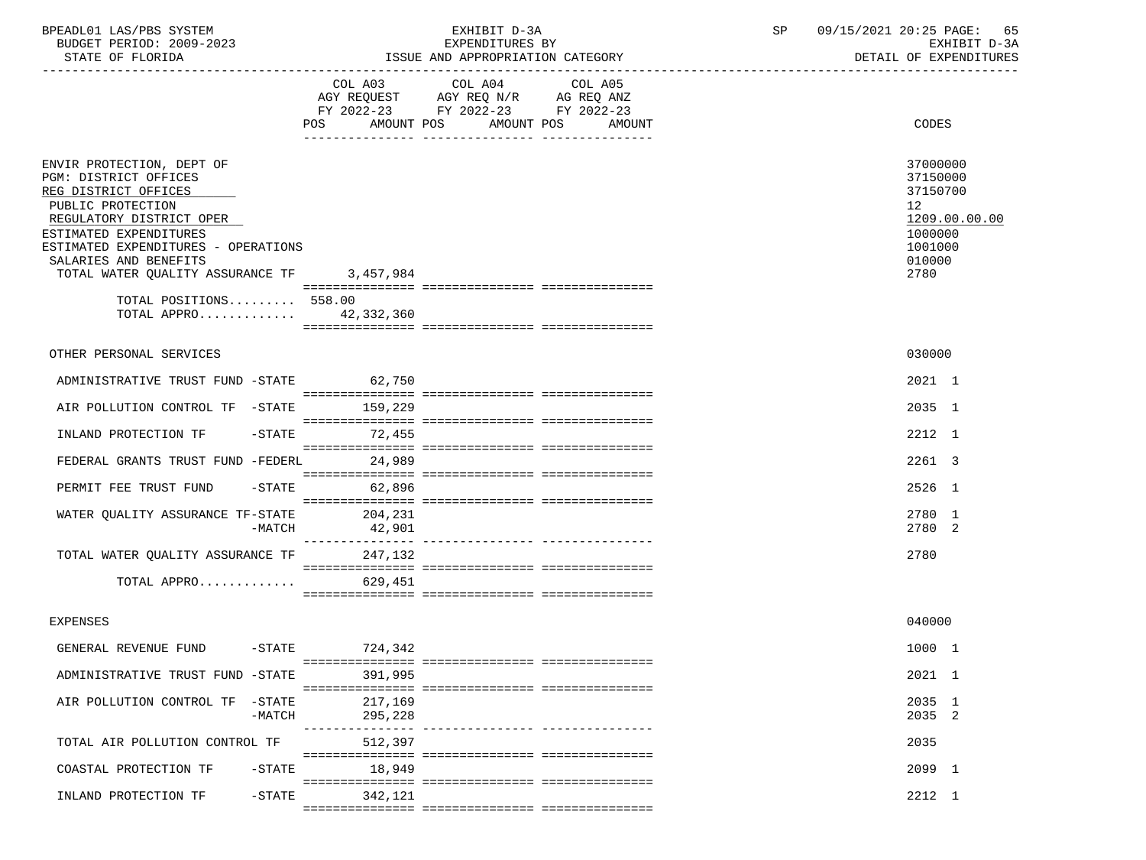| BPEADL01 LAS/PBS SYSTEM  | EXHIBIT D-3A                     | 09/15/2021 20:25 PAGE: 65 |
|--------------------------|----------------------------------|---------------------------|
| BUDGET PERIOD: 2009-2023 | EXPENDITURES BY                  | EXHIBIT D-3A              |
| STATE OF FLORIDA         | ISSUE AND APPROPRIATION CATEGORY | DETAIL OF EXPENDITURES    |

|                                                                                                                                                                                                                                                           | POS AMOUNT POS AMOUNT POS AMOUNT | COL A03 COL A04 COL A05<br>AGY REQUEST AGY REQ N/R AG REQ ANZ<br>FY 2022-23 FY 2022-23 FY 2022-23 |  | CODES                                                                                           |  |
|-----------------------------------------------------------------------------------------------------------------------------------------------------------------------------------------------------------------------------------------------------------|----------------------------------|---------------------------------------------------------------------------------------------------|--|-------------------------------------------------------------------------------------------------|--|
| ENVIR PROTECTION, DEPT OF<br>PGM: DISTRICT OFFICES<br>REG DISTRICT OFFICES<br>PUBLIC PROTECTION<br>REGULATORY DISTRICT OPER<br>ESTIMATED EXPENDITURES<br>ESTIMATED EXPENDITURES - OPERATIONS<br>SALARIES AND BENEFITS<br>TOTAL WATER QUALITY ASSURANCE TF | 3,457,984                        |                                                                                                   |  | 37000000<br>37150000<br>37150700<br>12<br>1209.00.00.00<br>1000000<br>1001000<br>010000<br>2780 |  |
| TOTAL POSITIONS 558.00<br>TOTAL APPRO 42,332,360                                                                                                                                                                                                          |                                  |                                                                                                   |  |                                                                                                 |  |
| OTHER PERSONAL SERVICES                                                                                                                                                                                                                                   |                                  |                                                                                                   |  | 030000                                                                                          |  |
| ADMINISTRATIVE TRUST FUND -STATE 62,750                                                                                                                                                                                                                   |                                  |                                                                                                   |  | 2021 1                                                                                          |  |
| AIR POLLUTION CONTROL TF -STATE 159,229                                                                                                                                                                                                                   |                                  |                                                                                                   |  | 2035 1                                                                                          |  |
| INLAND PROTECTION TF                                                                                                                                                                                                                                      | $-STATE$ 72.455                  |                                                                                                   |  | 2212 1                                                                                          |  |
| FEDERAL GRANTS TRUST FUND -FEDERL                                                                                                                                                                                                                         | 24,989                           |                                                                                                   |  | 2261 3                                                                                          |  |
| PERMIT FEE TRUST FUND                                                                                                                                                                                                                                     | $-STATE$ 62,896                  |                                                                                                   |  | 2526 1                                                                                          |  |
| WATER QUALITY ASSURANCE TF-STATE 204,231<br>$-MATCH$                                                                                                                                                                                                      | 42,901                           |                                                                                                   |  | 2780 1<br>2780 2                                                                                |  |
| TOTAL WATER QUALITY ASSURANCE TF 247,132                                                                                                                                                                                                                  |                                  |                                                                                                   |  | 2780                                                                                            |  |
| TOTAL APPRO                                                                                                                                                                                                                                               | 629,451                          |                                                                                                   |  |                                                                                                 |  |
| <b>EXPENSES</b>                                                                                                                                                                                                                                           |                                  |                                                                                                   |  | 040000                                                                                          |  |
| GENERAL REVENUE FUND -STATE 724,342                                                                                                                                                                                                                       |                                  |                                                                                                   |  | 1000 1                                                                                          |  |
| ADMINISTRATIVE TRUST FUND -STATE                                                                                                                                                                                                                          | 391,995                          |                                                                                                   |  | 2021 1                                                                                          |  |
| AIR POLLUTION CONTROL TF -STATE<br>$-MATCH$                                                                                                                                                                                                               | 217,169<br>295,228               |                                                                                                   |  | 2035 1<br>2035 2                                                                                |  |
| TOTAL AIR POLLUTION CONTROL TF                                                                                                                                                                                                                            | 512,397                          |                                                                                                   |  | 2035                                                                                            |  |
| COASTAL PROTECTION TF<br>$-STATE$                                                                                                                                                                                                                         | 18,949                           |                                                                                                   |  | 2099 1                                                                                          |  |
| $-STATE$<br>INLAND PROTECTION TF                                                                                                                                                                                                                          | 342,121                          |                                                                                                   |  | 2212 1                                                                                          |  |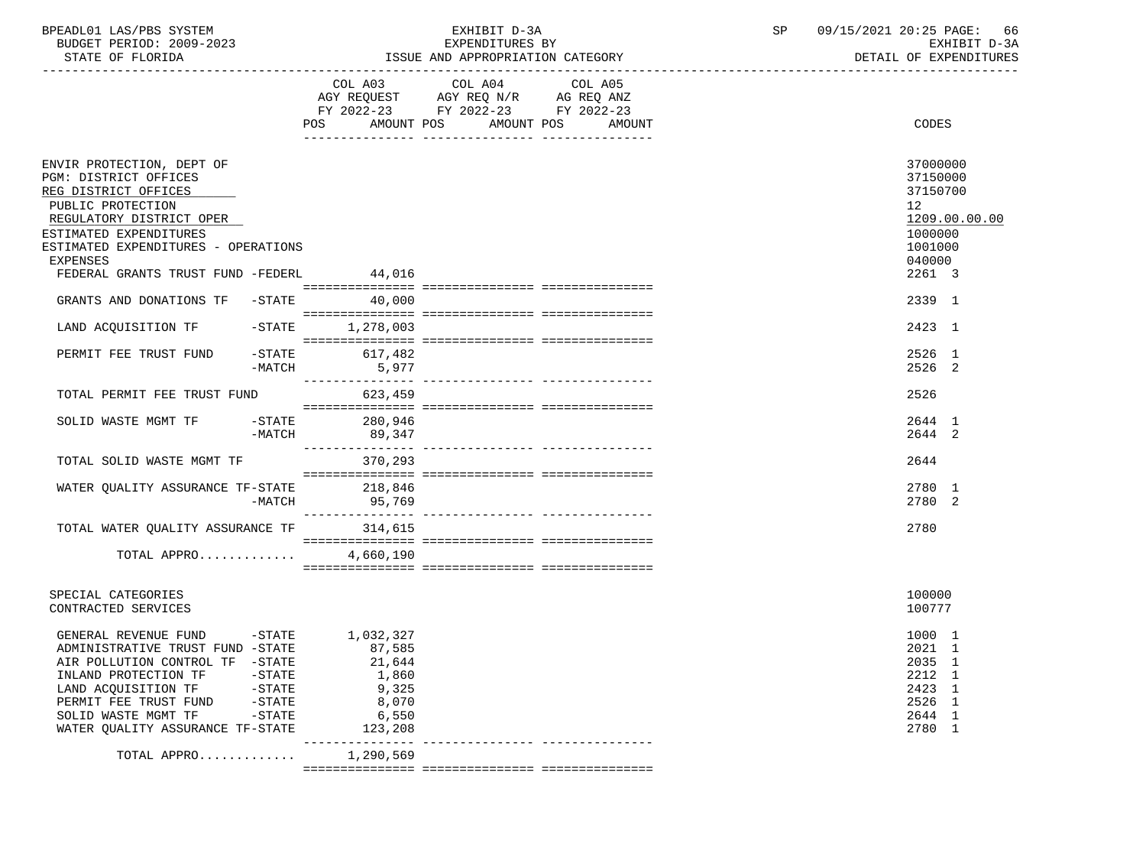| BPEADL01 LAS/PBS SYSTEM |                          |
|-------------------------|--------------------------|
|                         | BUDGET PERIOD: 2009-2023 |

|                                                              |                   | COL A03           | COL A04 COL A05                    |                   |                  |
|--------------------------------------------------------------|-------------------|-------------------|------------------------------------|-------------------|------------------|
|                                                              |                   |                   | AGY REQUEST AGY REQ N/R AG REQ ANZ |                   |                  |
|                                                              |                   | POS<br>AMOUNT POS | FY 2022-23 FY 2022-23 FY 2022-23   | AMOUNT POS AMOUNT | CODES            |
|                                                              |                   |                   |                                    |                   |                  |
| ENVIR PROTECTION, DEPT OF                                    |                   |                   |                                    |                   | 37000000         |
| PGM: DISTRICT OFFICES                                        |                   |                   |                                    |                   | 37150000         |
| REG DISTRICT OFFICES                                         |                   |                   |                                    |                   | 37150700         |
| PUBLIC PROTECTION                                            |                   |                   |                                    |                   | 12               |
| REGULATORY DISTRICT OPER                                     |                   |                   |                                    |                   | 1209.00.00.00    |
| ESTIMATED EXPENDITURES                                       |                   |                   |                                    |                   | 1000000          |
| ESTIMATED EXPENDITURES - OPERATIONS                          |                   |                   |                                    |                   | 1001000          |
| <b>EXPENSES</b>                                              |                   |                   |                                    |                   | 040000           |
| FEDERAL GRANTS TRUST FUND -FEDERL                            |                   | 44,016            |                                    |                   | 2261 3           |
| GRANTS AND DONATIONS TF -STATE 40,000                        |                   |                   |                                    |                   | 2339 1           |
|                                                              |                   |                   |                                    |                   |                  |
| LAND ACQUISITION TF -STATE                                   |                   | 1,278,003         |                                    |                   | 2423 1           |
|                                                              |                   |                   |                                    |                   |                  |
| PERMIT FEE TRUST FUND                                        | $-\mathtt{STATE}$ | 617,482           |                                    |                   | 2526 1           |
|                                                              | $-MATCH$          | 5,977             |                                    |                   | 2526 2           |
| TOTAL PERMIT FEE TRUST FUND                                  |                   | 623,459           |                                    |                   | 2526             |
|                                                              |                   |                   |                                    |                   |                  |
| SOLID WASTE MGMT TF -STATE                                   |                   | 280,946           |                                    |                   | 2644 1           |
|                                                              | -MATCH            | 89,347            |                                    |                   | 2644 2           |
|                                                              |                   |                   |                                    |                   |                  |
| TOTAL SOLID WASTE MGMT TF                                    |                   | 370,293           |                                    |                   | 2644             |
| WATER QUALITY ASSURANCE TF-STATE 218,846                     |                   |                   |                                    |                   | 2780 1           |
|                                                              | $-MATCH$          | 95,769            |                                    |                   | 2780 2           |
|                                                              |                   |                   |                                    |                   |                  |
| TOTAL WATER QUALITY ASSURANCE TF                             |                   | 314,615           |                                    |                   | 2780             |
|                                                              |                   |                   |                                    |                   |                  |
| TOTAL APPRO                                                  |                   | 4,660,190         |                                    |                   |                  |
|                                                              |                   |                   |                                    |                   |                  |
| SPECIAL CATEGORIES                                           |                   |                   |                                    |                   | 100000           |
| CONTRACTED SERVICES                                          |                   |                   |                                    |                   | 100777           |
|                                                              |                   |                   |                                    |                   |                  |
| GENERAL REVENUE FUND -STATE 1,032,327                        |                   | 87,585            |                                    |                   | 1000 1           |
| ADMINISTRATIVE TRUST FUND -STATE                             |                   |                   |                                    |                   | 2021 1           |
| AIR POLLUTION CONTROL TF -STATE                              |                   | 21,644            |                                    |                   | 2035 1<br>2212 1 |
| INLAND PROTECTION TF -STATE                                  |                   | 1,860             |                                    |                   |                  |
| LAND ACQUISITION TF - STATE<br>PERMIT FEE TRUST FUND - STATE |                   | 9,325             |                                    |                   | 2423 1           |
|                                                              |                   | 8,070             |                                    |                   | 2526 1           |
| SOLID WASTE MGMT TF -STATE                                   |                   | 6,550             |                                    |                   | 2644 1           |
| WATER QUALITY ASSURANCE TF-STATE                             |                   | 123,208           |                                    |                   | 2780 1           |
|                                                              |                   |                   |                                    |                   |                  |
| TOTAL APPRO                                                  |                   | 1,290,569         |                                    |                   |                  |

ISSUE AND APPROPRIATION CATEGORY

=============== =============== ===============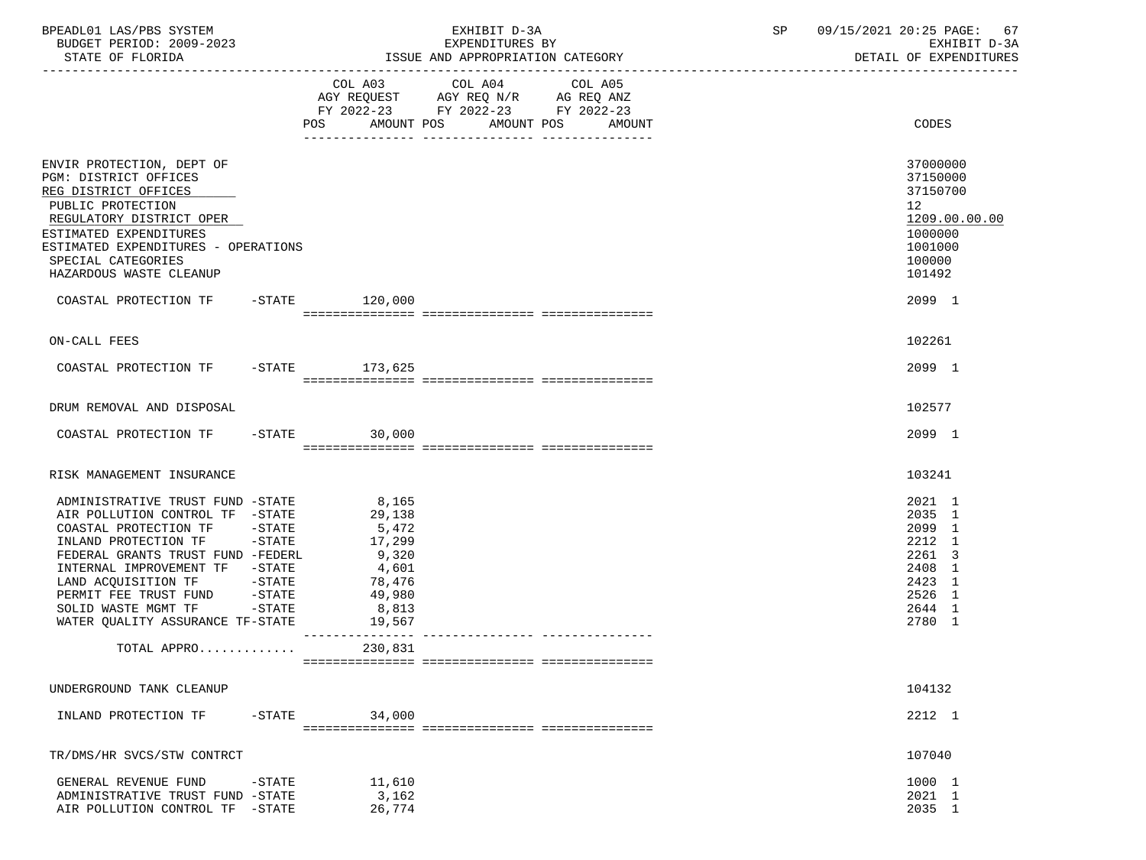| BPEADL01 LAS/PBS SYSTEM<br>BUDGET PERIOD: 2009-2023                                                                                                                                                                                                                                                                                                                | EXHIBIT D-3A<br>EXPENDITURES BY |                                                                                    | SP                                                                                                | 09/15/2021 20:25 PAGE: 67<br>EXHIBIT D-3A |  |                                                                                                                          |
|--------------------------------------------------------------------------------------------------------------------------------------------------------------------------------------------------------------------------------------------------------------------------------------------------------------------------------------------------------------------|---------------------------------|------------------------------------------------------------------------------------|---------------------------------------------------------------------------------------------------|-------------------------------------------|--|--------------------------------------------------------------------------------------------------------------------------|
| STATE OF FLORIDA                                                                                                                                                                                                                                                                                                                                                   |                                 |                                                                                    |                                                                                                   | ISSUE AND APPROPRIATION CATEGORY          |  | DETAIL OF EXPENDITURES                                                                                                   |
|                                                                                                                                                                                                                                                                                                                                                                    |                                 |                                                                                    | COL A03 COL A04 COL A05<br>AGY REQUEST AGY REQ N/R AG REQ ANZ<br>FY 2022-23 FY 2022-23 FY 2022-23 | POS AMOUNT POS AMOUNT POS AMOUNT          |  | CODES                                                                                                                    |
| ENVIR PROTECTION, DEPT OF<br>PGM: DISTRICT OFFICES<br>REG DISTRICT OFFICES<br>PUBLIC PROTECTION<br>REGULATORY DISTRICT OPER<br>ESTIMATED EXPENDITURES<br>ESTIMATED EXPENDITURES - OPERATIONS<br>SPECIAL CATEGORIES<br>HAZARDOUS WASTE CLEANUP<br>COASTAL PROTECTION TF -STATE 120,000                                                                              |                                 |                                                                                    |                                                                                                   |                                           |  | 37000000<br>37150000<br>37150700<br>12 <sup>°</sup><br>1209.00.00.00<br>1000000<br>1001000<br>100000<br>101492<br>2099 1 |
|                                                                                                                                                                                                                                                                                                                                                                    |                                 |                                                                                    |                                                                                                   |                                           |  |                                                                                                                          |
| ON-CALL FEES                                                                                                                                                                                                                                                                                                                                                       |                                 |                                                                                    |                                                                                                   |                                           |  | 102261                                                                                                                   |
| COASTAL PROTECTION TF -STATE 173,625                                                                                                                                                                                                                                                                                                                               |                                 |                                                                                    |                                                                                                   |                                           |  | 2099 1                                                                                                                   |
| DRUM REMOVAL AND DISPOSAL                                                                                                                                                                                                                                                                                                                                          |                                 |                                                                                    |                                                                                                   |                                           |  | 102577                                                                                                                   |
| COASTAL PROTECTION TF -STATE 30,000                                                                                                                                                                                                                                                                                                                                |                                 |                                                                                    |                                                                                                   |                                           |  | 2099 1                                                                                                                   |
| RISK MANAGEMENT INSURANCE                                                                                                                                                                                                                                                                                                                                          |                                 |                                                                                    |                                                                                                   |                                           |  | 103241                                                                                                                   |
| ADMINISTRATIVE TRUST FUND -STATE 8,165<br>AIR POLLUTION CONTROL TF -STATE<br>COASTAL PROTECTION TF -STATE<br>INLAND PROTECTION TF -STATE<br>FEDERAL GRANTS TRUST FUND -FEDERL<br>INTERNAL IMPROVEMENT TF -STATE<br>LAND ACQUISITION TF            -STATE<br>PERMIT FEE TRUST FUND         -STATE<br>SOLID WASTE MGMT TF -STATE<br>WATER QUALITY ASSURANCE TF-STATE |                                 | 29,138<br>5,472<br>17,299<br>9,320<br>4,601<br>78,476<br>49,980<br>8,813<br>19,567 |                                                                                                   |                                           |  | 2021 1<br>2035 1<br>2099 1<br>2212 1<br>2261 3<br>2408 1<br>2423 1<br>2526 1<br>2644 1<br>2780 1                         |
| TOTAL APPRO                                                                                                                                                                                                                                                                                                                                                        |                                 | 230,831                                                                            |                                                                                                   |                                           |  |                                                                                                                          |
| UNDERGROUND TANK CLEANUP                                                                                                                                                                                                                                                                                                                                           |                                 |                                                                                    |                                                                                                   |                                           |  | 104132                                                                                                                   |
| INLAND PROTECTION TF                                                                                                                                                                                                                                                                                                                                               | $-$ STATE                       | 34,000                                                                             |                                                                                                   |                                           |  | 2212 1                                                                                                                   |
| TR/DMS/HR SVCS/STW CONTRCT                                                                                                                                                                                                                                                                                                                                         |                                 |                                                                                    |                                                                                                   |                                           |  | 107040                                                                                                                   |
| GENERAL REVENUE FUND<br>ADMINISTRATIVE TRUST FUND -STATE<br>AIR POLLUTION CONTROL TF -STATE                                                                                                                                                                                                                                                                        | $-STATE$                        | 11,610<br>3,162<br>26,774                                                          |                                                                                                   |                                           |  | 1000 1<br>2021 1<br>2035 1                                                                                               |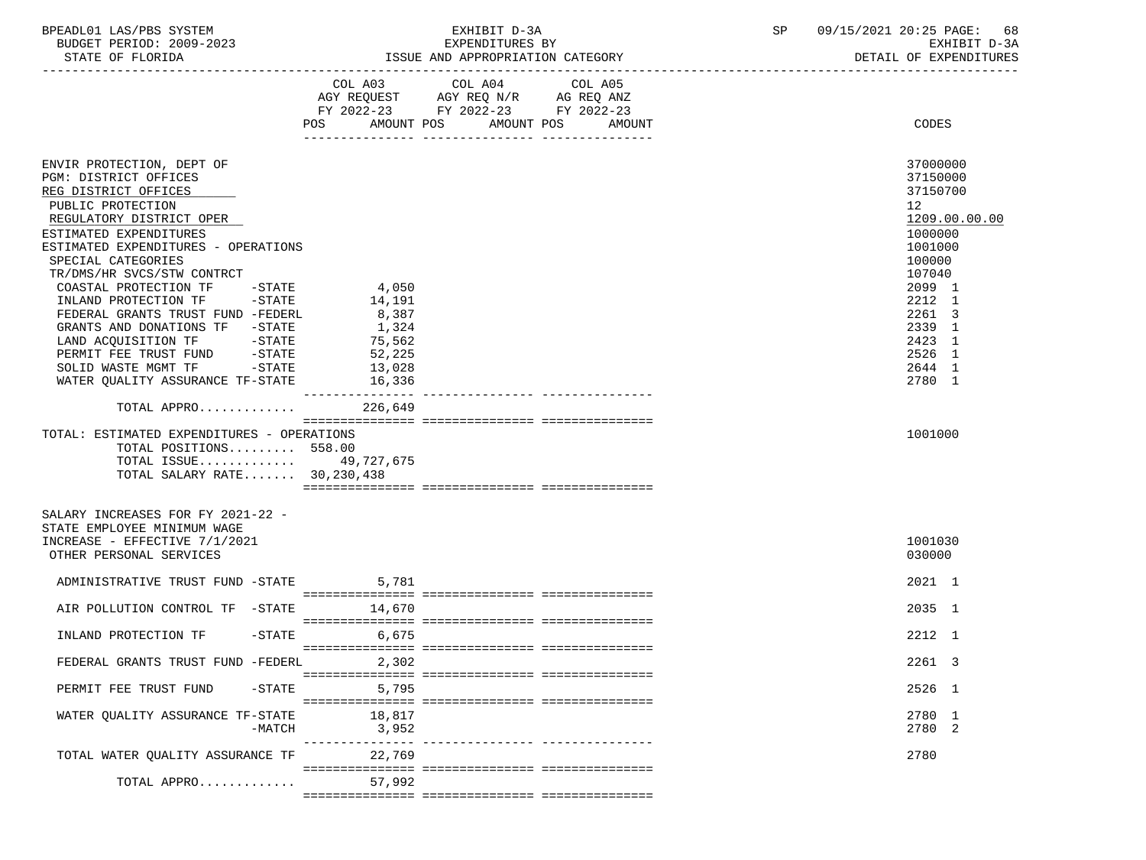BPEADL01 LAS/PBS SYSTEM EXHIBIT D-3A SP 09/15/2021 20:25 PAGE: 68

ISSUE AND APPROPRIATION CATEGORY

-----------------------------------------------------------------------------------------------------------------------------------

# BUDGET PERIOD: 2009-2023 EXPENDITURES BY EXHIBIT D-3A

|                                                                  | COL A03           | COL A04 COL A05<br>AGY REQUEST AGY REQ N/R AG REQ ANZ<br>FY 2022-23 FY 2022-23 FY 2022-23 |        |                  |               |
|------------------------------------------------------------------|-------------------|-------------------------------------------------------------------------------------------|--------|------------------|---------------|
|                                                                  | <b>POS</b>        | AMOUNT POS<br>AMOUNT POS                                                                  | AMOUNT | CODES            |               |
| ENVIR PROTECTION, DEPT OF                                        |                   |                                                                                           |        | 37000000         |               |
| PGM: DISTRICT OFFICES                                            |                   |                                                                                           |        | 37150000         |               |
| REG DISTRICT OFFICES                                             |                   |                                                                                           |        | 37150700         |               |
| PUBLIC PROTECTION                                                |                   |                                                                                           |        | 12 <sup>°</sup>  |               |
| REGULATORY DISTRICT OPER                                         |                   |                                                                                           |        |                  | 1209.00.00.00 |
| ESTIMATED EXPENDITURES                                           |                   |                                                                                           |        | 1000000          |               |
| ESTIMATED EXPENDITURES - OPERATIONS                              |                   |                                                                                           |        | 1001000          |               |
| SPECIAL CATEGORIES                                               |                   |                                                                                           |        | 100000           |               |
| TR/DMS/HR SVCS/STW CONTRCT                                       |                   |                                                                                           |        | 107040           |               |
| COASTAL PROTECTION TF -STATE                                     | 4,050             |                                                                                           |        | 2099 1<br>2212 1 |               |
| INLAND PROTECTION TF -STATE<br>FEDERAL GRANTS TRUST FUND -FEDERL | 14,191<br>8,387   |                                                                                           |        | 2261 3           |               |
| GRANTS AND DONATIONS TF -STATE                                   | 1,324             |                                                                                           |        | 2339 1           |               |
| LAND ACQUISITION TF -STATE                                       | 75,562            |                                                                                           |        | 2423 1           |               |
| $-$ STATE<br>PERMIT FEE TRUST FUND                               | 52,225            |                                                                                           |        | 2526 1           |               |
| SOLID WASTE MGMT TF -STATE                                       | 13,028            |                                                                                           |        | 2644 1           |               |
| WATER QUALITY ASSURANCE TF-STATE                                 | 16,336            |                                                                                           |        | 2780 1           |               |
|                                                                  |                   |                                                                                           |        |                  |               |
| TOTAL APPRO 226,649                                              |                   |                                                                                           |        |                  |               |
| TOTAL: ESTIMATED EXPENDITURES - OPERATIONS                       |                   |                                                                                           |        | 1001000          |               |
| TOTAL POSITIONS 558.00                                           |                   |                                                                                           |        |                  |               |
| TOTAL ISSUE 49,727,675                                           |                   |                                                                                           |        |                  |               |
| TOTAL SALARY RATE 30,230,438                                     |                   |                                                                                           |        |                  |               |
|                                                                  |                   |                                                                                           |        |                  |               |
| SALARY INCREASES FOR FY 2021-22 -                                |                   |                                                                                           |        |                  |               |
| STATE EMPLOYEE MINIMUM WAGE                                      |                   |                                                                                           |        |                  |               |
| INCREASE - EFFECTIVE 7/1/2021                                    |                   |                                                                                           |        | 1001030          |               |
| OTHER PERSONAL SERVICES                                          |                   |                                                                                           |        | 030000           |               |
| ADMINISTRATIVE TRUST FUND -STATE 5,781                           |                   |                                                                                           |        | 2021 1           |               |
|                                                                  |                   |                                                                                           |        |                  |               |
| AIR POLLUTION CONTROL TF -STATE 14,670                           |                   |                                                                                           |        | 2035 1           |               |
|                                                                  |                   |                                                                                           |        |                  |               |
| INLAND PROTECTION TF                                             | $-STATE$<br>6,675 |                                                                                           |        | 2212 1           |               |
|                                                                  |                   |                                                                                           |        |                  |               |
| FEDERAL GRANTS TRUST FUND -FEDERL 2,302                          |                   |                                                                                           |        | 2261 3           |               |
|                                                                  |                   |                                                                                           |        |                  |               |
| PERMIT FEE TRUST FUND                                            | $-STATE$ 5,795    |                                                                                           |        | 2526 1           |               |
|                                                                  |                   |                                                                                           |        |                  |               |
| WATER QUALITY ASSURANCE TF-STATE 18,817                          |                   |                                                                                           |        | 2780 1           |               |
| $-MATCH$                                                         | 3,952             |                                                                                           |        | 2780 2           |               |
|                                                                  |                   |                                                                                           |        |                  |               |
| TOTAL WATER QUALITY ASSURANCE TF 22,769                          |                   |                                                                                           |        | 2780             |               |
|                                                                  |                   |                                                                                           |        |                  |               |
| TOTAL APPRO                                                      | 57,992            |                                                                                           |        |                  |               |
|                                                                  |                   |                                                                                           |        |                  |               |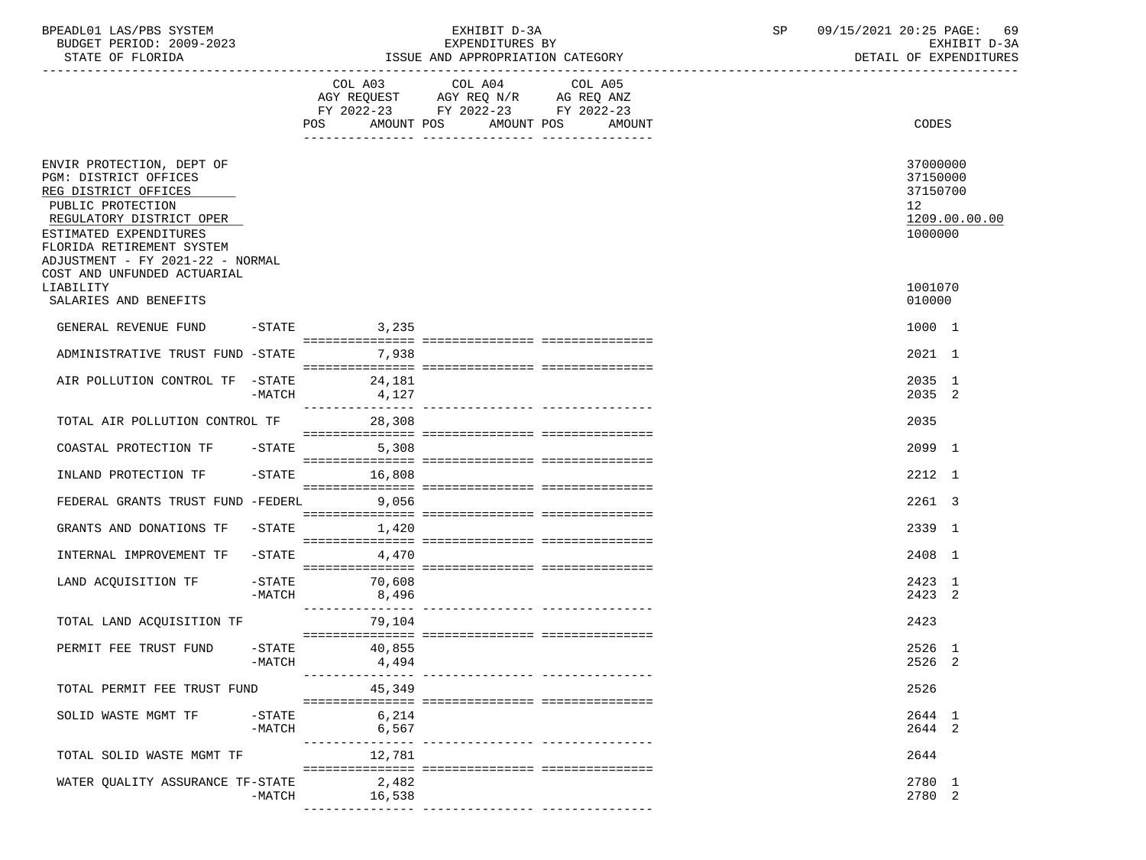| BPEADL01 LAS/PBS SYSTEM  | EXHIBIT D-3A    | 09/15/2021 20:25 PAGE: 69 |  |
|--------------------------|-----------------|---------------------------|--|
| BUDGET PERIOD: 2009-2023 | EXPENDITURES BY | EXHIBIT D-3A              |  |

| STATE OF FLORIDA                                                                                                                                                                   |                       |                             | ISSUE AND APPROPRIATION CATEGORY                                                  | DETAIL OF EXPENDITURES                      |                                                                |               |
|------------------------------------------------------------------------------------------------------------------------------------------------------------------------------------|-----------------------|-----------------------------|-----------------------------------------------------------------------------------|---------------------------------------------|----------------------------------------------------------------|---------------|
|                                                                                                                                                                                    |                       | COL A03                     | COL A04<br>AGY REQUEST AGY REQ N/R AG REQ ANZ<br>FY 2022-23 FY 2022-23 FY 2022-23 | COL A05<br>POS AMOUNT POS AMOUNT POS AMOUNT | CODES                                                          |               |
| ENVIR PROTECTION, DEPT OF<br>PGM: DISTRICT OFFICES<br>REG DISTRICT OFFICES<br>PUBLIC PROTECTION<br>REGULATORY DISTRICT OPER<br>ESTIMATED EXPENDITURES<br>FLORIDA RETIREMENT SYSTEM |                       |                             |                                                                                   |                                             | 37000000<br>37150000<br>37150700<br>12 <sup>°</sup><br>1000000 | 1209.00.00.00 |
| ADJUSTMENT - FY 2021-22 - NORMAL<br>COST AND UNFUNDED ACTUARIAL<br>LIABILITY<br>SALARIES AND BENEFITS                                                                              |                       |                             |                                                                                   |                                             | 1001070<br>010000                                              |               |
| GENERAL REVENUE FUND                                                                                                                                                               |                       | 3,235<br>$-STATE$           |                                                                                   |                                             | 1000 1                                                         |               |
| ADMINISTRATIVE TRUST FUND -STATE                                                                                                                                                   |                       | 7,938                       |                                                                                   |                                             | 2021 1                                                         |               |
| AIR POLLUTION CONTROL TF -STATE                                                                                                                                                    | -MATCH                | 24,181<br>4,127             |                                                                                   |                                             | 2035 1<br>2035 2                                               |               |
| TOTAL AIR POLLUTION CONTROL TF                                                                                                                                                     |                       | 28,308                      |                                                                                   |                                             | 2035                                                           |               |
| COASTAL PROTECTION TF                                                                                                                                                              |                       | $-STATE$<br>5,308           |                                                                                   |                                             | 2099 1                                                         |               |
| INLAND PROTECTION TF                                                                                                                                                               | $-$ STATE             | 16,808                      |                                                                                   |                                             | 2212 1                                                         |               |
| FEDERAL GRANTS TRUST FUND -FEDERL                                                                                                                                                  |                       | 9,056                       |                                                                                   |                                             | 2261 3                                                         |               |
| GRANTS AND DONATIONS TF                                                                                                                                                            | $-STATE$              | 1,420                       |                                                                                   |                                             | 2339 1                                                         |               |
| INTERNAL IMPROVEMENT TF                                                                                                                                                            | $-$ STATE             | 4,470                       |                                                                                   |                                             | 2408 1                                                         |               |
| LAND ACQUISITION TF                                                                                                                                                                | $-$ STATE<br>$-MATCH$ | 70,608<br>8,496             |                                                                                   |                                             | 2423 1<br>2423 2                                               |               |
| TOTAL LAND ACQUISITION TF                                                                                                                                                          |                       | ________________<br>79,104  |                                                                                   |                                             | 2423                                                           |               |
| PERMIT FEE TRUST FUND                                                                                                                                                              | $-$ STATE<br>-MATCH   | 40,855<br>4,494             |                                                                                   |                                             | 2526 1<br>2526 2                                               |               |
| TOTAL PERMIT FEE TRUST FUND                                                                                                                                                        |                       | 45,349                      |                                                                                   |                                             | 2526                                                           |               |
| SOLID WASTE MGMT TF                                                                                                                                                                | $-$ STATE<br>$-MATCH$ | 6,214<br>6,567<br>--------- |                                                                                   |                                             | 2644 1<br>2644 2                                               |               |
| TOTAL SOLID WASTE MGMT TF                                                                                                                                                          |                       | 12,781                      |                                                                                   | ---------- ----------------                 | 2644                                                           |               |
| WATER QUALITY ASSURANCE TF-STATE                                                                                                                                                   | -MATCH                | 2,482<br>16,538             | ----------- --------------- ---------                                             |                                             | 2780 1<br>2780 2                                               |               |
|                                                                                                                                                                                    |                       |                             |                                                                                   |                                             |                                                                |               |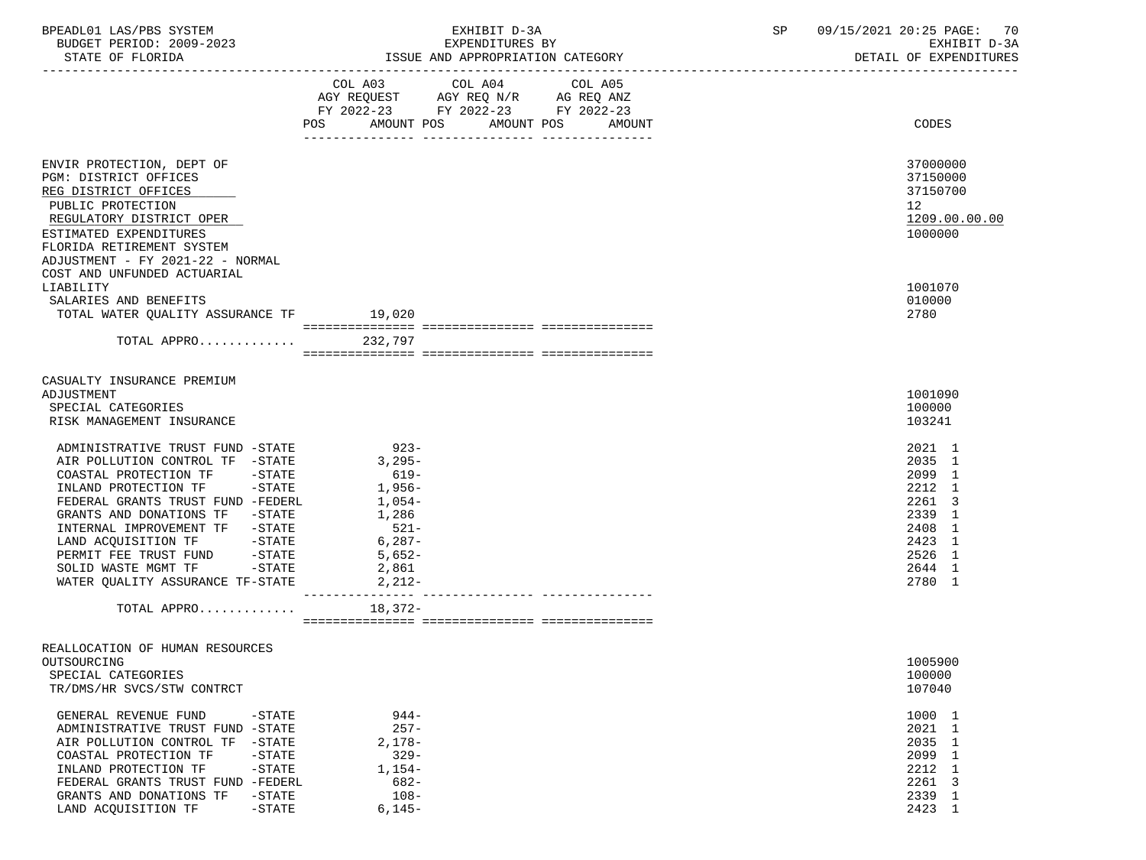| BPEADL01 LAS/PBS SYSTEM<br>BUDGET PERIOD: 2009-2023                                                 |                   | EXHIBIT D-3A<br>EXPENDITURES BY                                                                                                                                                                                                                                                                                                                                                                                                                                   | SP 09/15/2021 20:25 PAGE: 70<br>EXHIBIT D-3A |
|-----------------------------------------------------------------------------------------------------|-------------------|-------------------------------------------------------------------------------------------------------------------------------------------------------------------------------------------------------------------------------------------------------------------------------------------------------------------------------------------------------------------------------------------------------------------------------------------------------------------|----------------------------------------------|
|                                                                                                     |                   |                                                                                                                                                                                                                                                                                                                                                                                                                                                                   |                                              |
|                                                                                                     |                   | $\begin{tabular}{lllllllllll} &\multicolumn{4}{c}{\text{COL A03}} &\multicolumn{4}{c}{\text{COL A04}} &\multicolumn{4}{c}{\text{COL A05}} \\ \multicolumn{4}{c}{\text{AGY REQUEST}} &\multicolumn{4}{c}{\text{AGY REQ ANZ}} &\multicolumn{4}{c}{\text{GOL A05}} \\ \multicolumn{4}{c}{\text{AGY REQUEST}} &\multicolumn{4}{c}{\text{AGY REQ ANZ}} &\multicolumn{4}{c}{\text{GOL A06}} \\ \multicolumn{4}{c}{\text{AGY REQUMC}} &\multicolumn{4}{c}{\text{AGN CRQ$ |                                              |
|                                                                                                     |                   |                                                                                                                                                                                                                                                                                                                                                                                                                                                                   |                                              |
|                                                                                                     |                   | FY 2022-23 FY 2022-23 FY 2022-23                                                                                                                                                                                                                                                                                                                                                                                                                                  |                                              |
|                                                                                                     |                   | POS AMOUNT POS AMOUNT POS<br>AMOUNT                                                                                                                                                                                                                                                                                                                                                                                                                               | CODES                                        |
| ENVIR PROTECTION, DEPT OF                                                                           |                   |                                                                                                                                                                                                                                                                                                                                                                                                                                                                   | 37000000                                     |
| PGM: DISTRICT OFFICES                                                                               |                   |                                                                                                                                                                                                                                                                                                                                                                                                                                                                   | 37150000                                     |
| REG DISTRICT OFFICES                                                                                |                   |                                                                                                                                                                                                                                                                                                                                                                                                                                                                   | 37150700                                     |
| PUBLIC PROTECTION                                                                                   |                   |                                                                                                                                                                                                                                                                                                                                                                                                                                                                   | 12 <sup>12</sup>                             |
| REGULATORY DISTRICT OPER                                                                            |                   |                                                                                                                                                                                                                                                                                                                                                                                                                                                                   | 1209.00.00.00                                |
| ESTIMATED EXPENDITURES                                                                              |                   |                                                                                                                                                                                                                                                                                                                                                                                                                                                                   | 1000000                                      |
| FLORIDA RETIREMENT SYSTEM                                                                           |                   |                                                                                                                                                                                                                                                                                                                                                                                                                                                                   |                                              |
| ADJUSTMENT - FY 2021-22 - NORMAL                                                                    |                   |                                                                                                                                                                                                                                                                                                                                                                                                                                                                   |                                              |
| COST AND UNFUNDED ACTUARIAL                                                                         |                   |                                                                                                                                                                                                                                                                                                                                                                                                                                                                   |                                              |
| LIABILITY                                                                                           |                   |                                                                                                                                                                                                                                                                                                                                                                                                                                                                   | 1001070                                      |
| SALARIES AND BENEFITS                                                                               |                   |                                                                                                                                                                                                                                                                                                                                                                                                                                                                   | 010000                                       |
| TOTAL WATER QUALITY ASSURANCE TF 19,020                                                             |                   |                                                                                                                                                                                                                                                                                                                                                                                                                                                                   | 2780                                         |
|                                                                                                     |                   |                                                                                                                                                                                                                                                                                                                                                                                                                                                                   |                                              |
| TOTAL APPRO                                                                                         | 232,797           |                                                                                                                                                                                                                                                                                                                                                                                                                                                                   |                                              |
|                                                                                                     |                   |                                                                                                                                                                                                                                                                                                                                                                                                                                                                   |                                              |
| CASUALTY INSURANCE PREMIUM                                                                          |                   |                                                                                                                                                                                                                                                                                                                                                                                                                                                                   |                                              |
| ADJUSTMENT                                                                                          |                   |                                                                                                                                                                                                                                                                                                                                                                                                                                                                   | 1001090                                      |
| SPECIAL CATEGORIES                                                                                  |                   |                                                                                                                                                                                                                                                                                                                                                                                                                                                                   | 100000                                       |
| RISK MANAGEMENT INSURANCE                                                                           |                   |                                                                                                                                                                                                                                                                                                                                                                                                                                                                   | 103241                                       |
| ADMINISTRATIVE TRUST FUND -STATE                                                                    | $923-$            |                                                                                                                                                                                                                                                                                                                                                                                                                                                                   | 2021 1                                       |
| AIR POLLUTION CONTROL TF -STATE                                                                     | $3,295-$          |                                                                                                                                                                                                                                                                                                                                                                                                                                                                   | 2035 1                                       |
| COASTAL PROTECTION TF -STATE                                                                        | 619-              |                                                                                                                                                                                                                                                                                                                                                                                                                                                                   | 2099 1                                       |
| INLAND PROTECTION TF -STATE                                                                         | 1,956-            |                                                                                                                                                                                                                                                                                                                                                                                                                                                                   | 2212 1                                       |
| FEDERAL GRANTS TRUST FUND -FEDERL                                                                   | $1,054-$          |                                                                                                                                                                                                                                                                                                                                                                                                                                                                   | 2261 3                                       |
| GRANTS AND DONATIONS TF -STATE                                                                      | 1,286             |                                                                                                                                                                                                                                                                                                                                                                                                                                                                   | 2339 1                                       |
| INTERNAL IMPROVEMENT TF -STATE                                                                      | $521-$            |                                                                                                                                                                                                                                                                                                                                                                                                                                                                   | 2408 1                                       |
| LAND ACQUISITION TF -STATE                                                                          | $6,287-$          |                                                                                                                                                                                                                                                                                                                                                                                                                                                                   | 2423 1                                       |
| PERMIT FEE TRUST FUND -STATE                                                                        | 5,652-            |                                                                                                                                                                                                                                                                                                                                                                                                                                                                   | 2526 1                                       |
| SOLID WASTE MGMT TF -STATE                                                                          | 2,861             |                                                                                                                                                                                                                                                                                                                                                                                                                                                                   | 2644 1                                       |
| WATER QUALITY ASSURANCE TF-STATE                                                                    | 2,212-            |                                                                                                                                                                                                                                                                                                                                                                                                                                                                   | 2780 1                                       |
| TOTAL APPRO                                                                                         | 18,372-           |                                                                                                                                                                                                                                                                                                                                                                                                                                                                   |                                              |
|                                                                                                     |                   |                                                                                                                                                                                                                                                                                                                                                                                                                                                                   |                                              |
| REALLOCATION OF HUMAN RESOURCES                                                                     |                   |                                                                                                                                                                                                                                                                                                                                                                                                                                                                   |                                              |
| OUTSOURCING                                                                                         |                   |                                                                                                                                                                                                                                                                                                                                                                                                                                                                   | 1005900                                      |
| SPECIAL CATEGORIES                                                                                  |                   |                                                                                                                                                                                                                                                                                                                                                                                                                                                                   | 100000                                       |
| TR/DMS/HR SVCS/STW CONTRCT                                                                          |                   |                                                                                                                                                                                                                                                                                                                                                                                                                                                                   | 107040                                       |
|                                                                                                     |                   |                                                                                                                                                                                                                                                                                                                                                                                                                                                                   |                                              |
| GENERAL REVENUE FUND<br>$-STATE$                                                                    | $944-$<br>$257 -$ |                                                                                                                                                                                                                                                                                                                                                                                                                                                                   | 1000 1                                       |
| ADMINISTRATIVE TRUST FUND<br>$-$ STATE                                                              | $2,178-$          |                                                                                                                                                                                                                                                                                                                                                                                                                                                                   | 2021 1<br>2035 1                             |
| AIR POLLUTION CONTROL TF<br>$-STATE$<br>COASTAL PROTECTION TF<br>$-STATE$                           | $329 -$           |                                                                                                                                                                                                                                                                                                                                                                                                                                                                   | 2099 1                                       |
| INLAND PROTECTION TF<br>$-STATE$                                                                    | $1,154-$          |                                                                                                                                                                                                                                                                                                                                                                                                                                                                   | 2212 1                                       |
|                                                                                                     |                   |                                                                                                                                                                                                                                                                                                                                                                                                                                                                   |                                              |
|                                                                                                     |                   |                                                                                                                                                                                                                                                                                                                                                                                                                                                                   |                                              |
| LAND ACQUISITION TF                                                                                 | $6,145-$          |                                                                                                                                                                                                                                                                                                                                                                                                                                                                   | 2423 1                                       |
| FEDERAL GRANTS TRUST FUND -FEDERL<br>GRANTS AND DONATIONS TF<br>$-STATE$<br>$-\operatorname{STATE}$ | $682-$<br>$108 -$ |                                                                                                                                                                                                                                                                                                                                                                                                                                                                   | 2261 3<br>2339 1                             |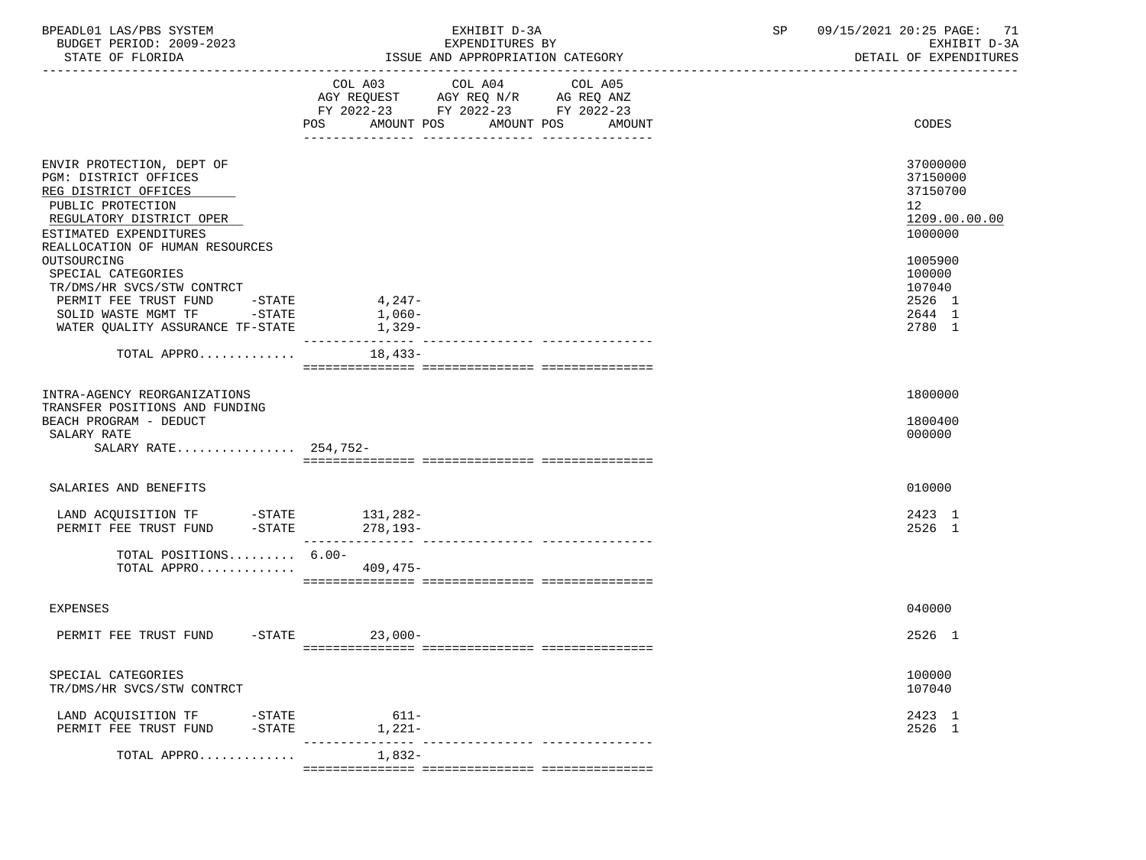| COL A03 COL A04 COL A05<br>AGY REQUEST AGY REQ N/R AG REQ ANZ<br>FY 2022-23 FY 2022-23 FY 2022-23<br>AMOUNT POS AMOUNT POS<br>CODES<br>POS<br>AMOUNT<br>ENVIR PROTECTION, DEPT OF<br>37000000<br>PGM: DISTRICT OFFICES<br>37150000<br>37150700<br>REG DISTRICT OFFICES<br>PUBLIC PROTECTION<br>12<br>REGULATORY DISTRICT OPER<br>ESTIMATED EXPENDITURES<br>1000000<br>REALLOCATION OF HUMAN RESOURCES<br>OUTSOURCING<br>1005900<br>100000<br>SPECIAL CATEGORIES<br>TR/DMS/HR SVCS/STW CONTRCT<br>107040<br>$4,247-$<br>2526 1<br>PERMIT FEE TRUST FUND<br>$-\mathtt{STATE}$<br>SOLID WASTE MGMT TF -STATE<br>1,060-<br>2644 1<br>2780 1<br>WATER OUALITY ASSURANCE TF-STATE<br>1,329-<br>TOTAL APPRO<br>$18,433-$<br>1800000<br>INTRA-AGENCY REORGANIZATIONS<br>TRANSFER POSITIONS AND FUNDING<br>BEACH PROGRAM - DEDUCT<br>1800400<br>SALARY RATE<br>000000<br>SALARY RATE 254,752-<br>010000<br>SALARIES AND BENEFITS<br>2423 1<br>2526 1<br>TOTAL POSITIONS 6.00-<br>TOTAL APPRO 409,475-<br>040000<br>EXPENSES<br>PERMIT FEE TRUST FUND -STATE 23,000-<br>2526 1<br>100000<br>SPECIAL CATEGORIES<br>107040<br>TR/DMS/HR SVCS/STW CONTRCT | BPEADL01 LAS/PBS SYSTEM<br>BUDGET PERIOD: 2009-2023<br>STATE OF FLORIDA | EXHIBIT D-3A<br>EXPENDITURES BY<br>ISSUE AND APPROPRIATION CATEGORY | $\operatorname{SP}$<br>09/15/2021 20:25 PAGE: 71<br>EXHIBIT D-3A<br>DETAIL OF EXPENDITURES |
|----------------------------------------------------------------------------------------------------------------------------------------------------------------------------------------------------------------------------------------------------------------------------------------------------------------------------------------------------------------------------------------------------------------------------------------------------------------------------------------------------------------------------------------------------------------------------------------------------------------------------------------------------------------------------------------------------------------------------------------------------------------------------------------------------------------------------------------------------------------------------------------------------------------------------------------------------------------------------------------------------------------------------------------------------------------------------------------------------------------------------------------------|-------------------------------------------------------------------------|---------------------------------------------------------------------|--------------------------------------------------------------------------------------------|
|                                                                                                                                                                                                                                                                                                                                                                                                                                                                                                                                                                                                                                                                                                                                                                                                                                                                                                                                                                                                                                                                                                                                              |                                                                         |                                                                     |                                                                                            |
|                                                                                                                                                                                                                                                                                                                                                                                                                                                                                                                                                                                                                                                                                                                                                                                                                                                                                                                                                                                                                                                                                                                                              |                                                                         |                                                                     | 1209.00.00.00                                                                              |
|                                                                                                                                                                                                                                                                                                                                                                                                                                                                                                                                                                                                                                                                                                                                                                                                                                                                                                                                                                                                                                                                                                                                              |                                                                         |                                                                     |                                                                                            |
|                                                                                                                                                                                                                                                                                                                                                                                                                                                                                                                                                                                                                                                                                                                                                                                                                                                                                                                                                                                                                                                                                                                                              |                                                                         |                                                                     |                                                                                            |
|                                                                                                                                                                                                                                                                                                                                                                                                                                                                                                                                                                                                                                                                                                                                                                                                                                                                                                                                                                                                                                                                                                                                              |                                                                         |                                                                     |                                                                                            |
|                                                                                                                                                                                                                                                                                                                                                                                                                                                                                                                                                                                                                                                                                                                                                                                                                                                                                                                                                                                                                                                                                                                                              |                                                                         |                                                                     |                                                                                            |
|                                                                                                                                                                                                                                                                                                                                                                                                                                                                                                                                                                                                                                                                                                                                                                                                                                                                                                                                                                                                                                                                                                                                              |                                                                         |                                                                     |                                                                                            |
|                                                                                                                                                                                                                                                                                                                                                                                                                                                                                                                                                                                                                                                                                                                                                                                                                                                                                                                                                                                                                                                                                                                                              |                                                                         |                                                                     |                                                                                            |
|                                                                                                                                                                                                                                                                                                                                                                                                                                                                                                                                                                                                                                                                                                                                                                                                                                                                                                                                                                                                                                                                                                                                              |                                                                         |                                                                     |                                                                                            |
|                                                                                                                                                                                                                                                                                                                                                                                                                                                                                                                                                                                                                                                                                                                                                                                                                                                                                                                                                                                                                                                                                                                                              |                                                                         |                                                                     |                                                                                            |
| 2423 1<br>LAND ACQUISITION TF<br>$-$ STATE<br>$611 -$<br>2526 1<br>PERMIT FEE TRUST FUND<br>$-$ STATE<br>1,221-                                                                                                                                                                                                                                                                                                                                                                                                                                                                                                                                                                                                                                                                                                                                                                                                                                                                                                                                                                                                                              |                                                                         |                                                                     |                                                                                            |
| $1,832-$<br>TOTAL APPRO                                                                                                                                                                                                                                                                                                                                                                                                                                                                                                                                                                                                                                                                                                                                                                                                                                                                                                                                                                                                                                                                                                                      |                                                                         |                                                                     |                                                                                            |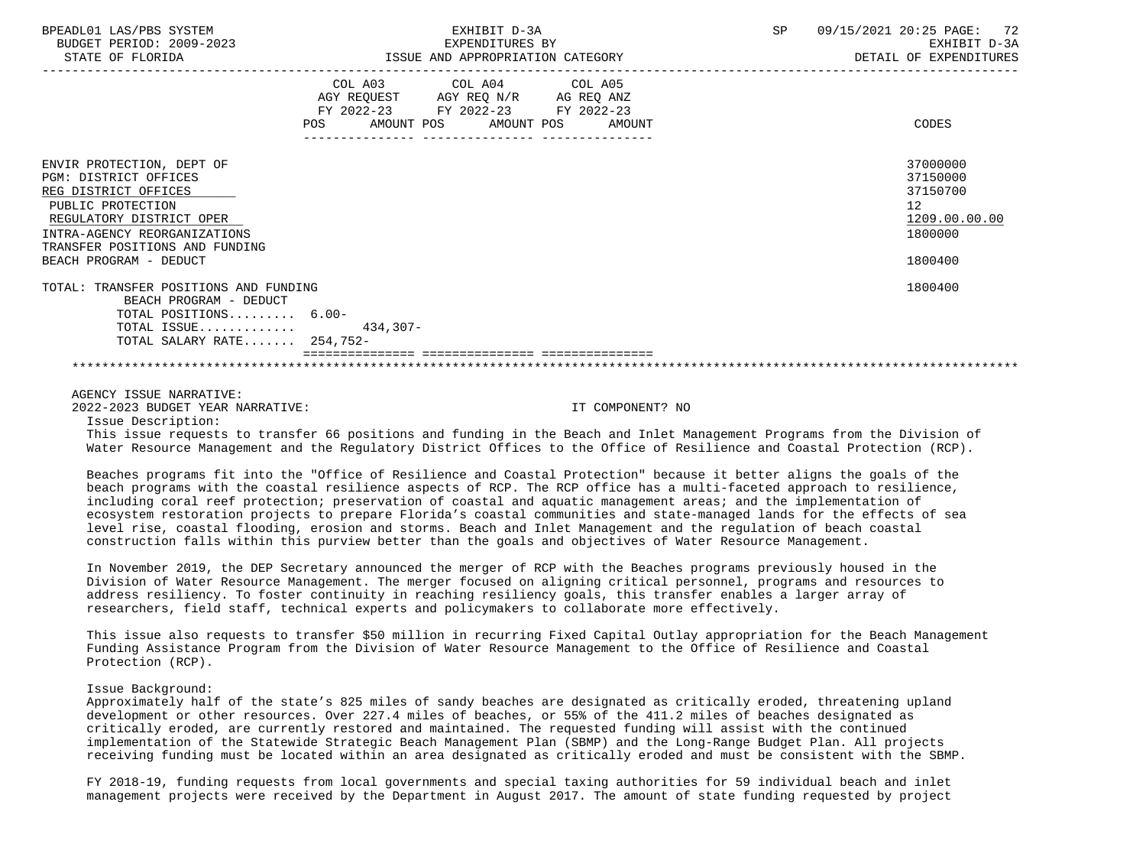| BPEADL01 LAS/PBS SYSTEM<br>BUDGET PERIOD: 2009-2023<br>STATE OF FLORIDA                                                                                                                                                 | EXHIBIT D-3A<br>EXPENDITURES BY<br>ISSUE AND APPROPRIATION CATEGORY                                                                   | SP 09/15/2021 20:25 PAGE: 72<br>EXHIBIT D-3A<br>DETAIL OF EXPENDITURES        |
|-------------------------------------------------------------------------------------------------------------------------------------------------------------------------------------------------------------------------|---------------------------------------------------------------------------------------------------------------------------------------|-------------------------------------------------------------------------------|
|                                                                                                                                                                                                                         | COL A03 COL A04 COL A05<br>AGY REQUEST AGY REQ N/R AG REQ ANZ<br>FY 2022-23 FY 2022-23 FY 2022-23<br>POS AMOUNT POS AMOUNT POS AMOUNT | CODES                                                                         |
| ENVIR PROTECTION, DEPT OF<br>PGM: DISTRICT OFFICES<br>REG DISTRICT OFFICES<br>PUBLIC PROTECTION<br>REGULATORY DISTRICT OPER<br>INTRA-AGENCY REORGANIZATIONS<br>TRANSFER POSITIONS AND FUNDING<br>BEACH PROGRAM - DEDUCT |                                                                                                                                       | 37000000<br>37150000<br>37150700<br>12<br>1209.00.00.00<br>1800000<br>1800400 |
| TOTAL: TRANSFER POSITIONS AND FUNDING<br>BEACH PROGRAM - DEDUCT<br>TOTAL POSITIONS 6.00-<br>TOTAL ISSUE $434,307-$<br>TOTAL SALARY RATE 254,752-                                                                        |                                                                                                                                       | 1800400                                                                       |
|                                                                                                                                                                                                                         |                                                                                                                                       |                                                                               |

AGENCY ISSUE NARRATIVE:

2022-2023 BUDGET YEAR NARRATIVE: IT COMPONENT? NO

Issue Description:

 This issue requests to transfer 66 positions and funding in the Beach and Inlet Management Programs from the Division of Water Resource Management and the Regulatory District Offices to the Office of Resilience and Coastal Protection (RCP).

 Beaches programs fit into the "Office of Resilience and Coastal Protection" because it better aligns the goals of the beach programs with the coastal resilience aspects of RCP. The RCP office has a multi-faceted approach to resilience, including coral reef protection; preservation of coastal and aquatic management areas; and the implementation of ecosystem restoration projects to prepare Florida's coastal communities and state-managed lands for the effects of sea level rise, coastal flooding, erosion and storms. Beach and Inlet Management and the regulation of beach coastal construction falls within this purview better than the goals and objectives of Water Resource Management.

 In November 2019, the DEP Secretary announced the merger of RCP with the Beaches programs previously housed in the Division of Water Resource Management. The merger focused on aligning critical personnel, programs and resources to address resiliency. To foster continuity in reaching resiliency goals, this transfer enables a larger array of researchers, field staff, technical experts and policymakers to collaborate more effectively.

 This issue also requests to transfer \$50 million in recurring Fixed Capital Outlay appropriation for the Beach Management Funding Assistance Program from the Division of Water Resource Management to the Office of Resilience and Coastal Protection (RCP).

## Issue Background:

 Approximately half of the state's 825 miles of sandy beaches are designated as critically eroded, threatening upland development or other resources. Over 227.4 miles of beaches, or 55% of the 411.2 miles of beaches designated as critically eroded, are currently restored and maintained. The requested funding will assist with the continued implementation of the Statewide Strategic Beach Management Plan (SBMP) and the Long-Range Budget Plan. All projects receiving funding must be located within an area designated as critically eroded and must be consistent with the SBMP.

 FY 2018-19, funding requests from local governments and special taxing authorities for 59 individual beach and inlet management projects were received by the Department in August 2017. The amount of state funding requested by project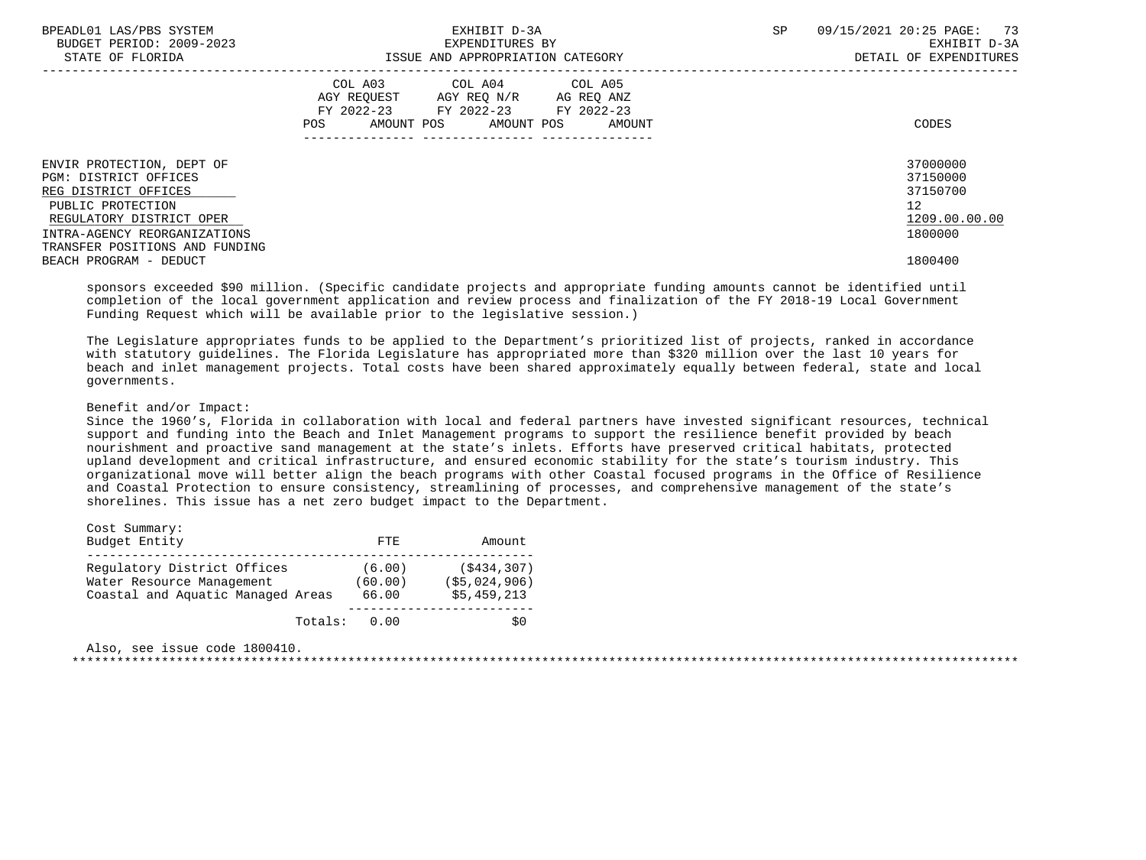| BPEADL01 LAS/PBS SYSTEM        | EXHIBIT D-3A                        | 09/15/2021 20:25 PAGE: 73<br><b>SP</b> |
|--------------------------------|-------------------------------------|----------------------------------------|
| BUDGET PERIOD: 2009-2023       | EXPENDITURES BY                     | EXHIBIT D-3A                           |
| STATE OF FLORIDA               | ISSUE AND APPROPRIATION CATEGORY    | DETAIL OF EXPENDITURES                 |
|                                | COL A03 COL A04 COL A05             |                                        |
|                                | AGY REQUEST AGY REQ N/R AG REQ ANZ  |                                        |
|                                | FY 2022-23 FY 2022-23<br>FY 2022-23 |                                        |
|                                | AMOUNT POS AMOUNT POS AMOUNT<br>POS | CODES                                  |
|                                |                                     |                                        |
| ENVIR PROTECTION, DEPT OF      |                                     | 37000000                               |
| PGM: DISTRICT OFFICES          |                                     | 37150000                               |
| REG DISTRICT OFFICES           |                                     | 37150700                               |
| PUBLIC PROTECTION              |                                     | 12 <sup>°</sup>                        |
| REGULATORY DISTRICT OPER       |                                     | 1209.00.00.00                          |
| INTRA-AGENCY REORGANIZATIONS   |                                     | 1800000                                |
| TRANSFER POSITIONS AND FUNDING |                                     |                                        |
| BEACH PROGRAM - DEDUCT         |                                     | 1800400                                |
|                                |                                     |                                        |

 sponsors exceeded \$90 million. (Specific candidate projects and appropriate funding amounts cannot be identified until completion of the local government application and review process and finalization of the FY 2018-19 Local Government Funding Request which will be available prior to the legislative session.)

 The Legislature appropriates funds to be applied to the Department's prioritized list of projects, ranked in accordance with statutory guidelines. The Florida Legislature has appropriated more than \$320 million over the last 10 years for beach and inlet management projects. Total costs have been shared approximately equally between federal, state and local governments.

## Benefit and/or Impact:

 Since the 1960's, Florida in collaboration with local and federal partners have invested significant resources, technical support and funding into the Beach and Inlet Management programs to support the resilience benefit provided by beach nourishment and proactive sand management at the state's inlets. Efforts have preserved critical habitats, protected upland development and critical infrastructure, and ensured economic stability for the state's tourism industry. This organizational move will better align the beach programs with other Coastal focused programs in the Office of Resilience and Coastal Protection to ensure consistency, streamlining of processes, and comprehensive management of the state's shorelines. This issue has a net zero budget impact to the Department.

| Cost Summary:                                                                                 |         |                            |                                              |
|-----------------------------------------------------------------------------------------------|---------|----------------------------|----------------------------------------------|
| Budget Entity                                                                                 |         | FTE.                       | Amount                                       |
| Requlatory District Offices<br>Water Resource Management<br>Coastal and Aquatic Managed Areas |         | (6.00)<br>(60.00)<br>66.00 | (S434, 307)<br>( \$5,024,906)<br>\$5,459,213 |
|                                                                                               | Totals: | 0.00                       | S0                                           |

| Also, see issue code 1800410. |  |
|-------------------------------|--|
|                               |  |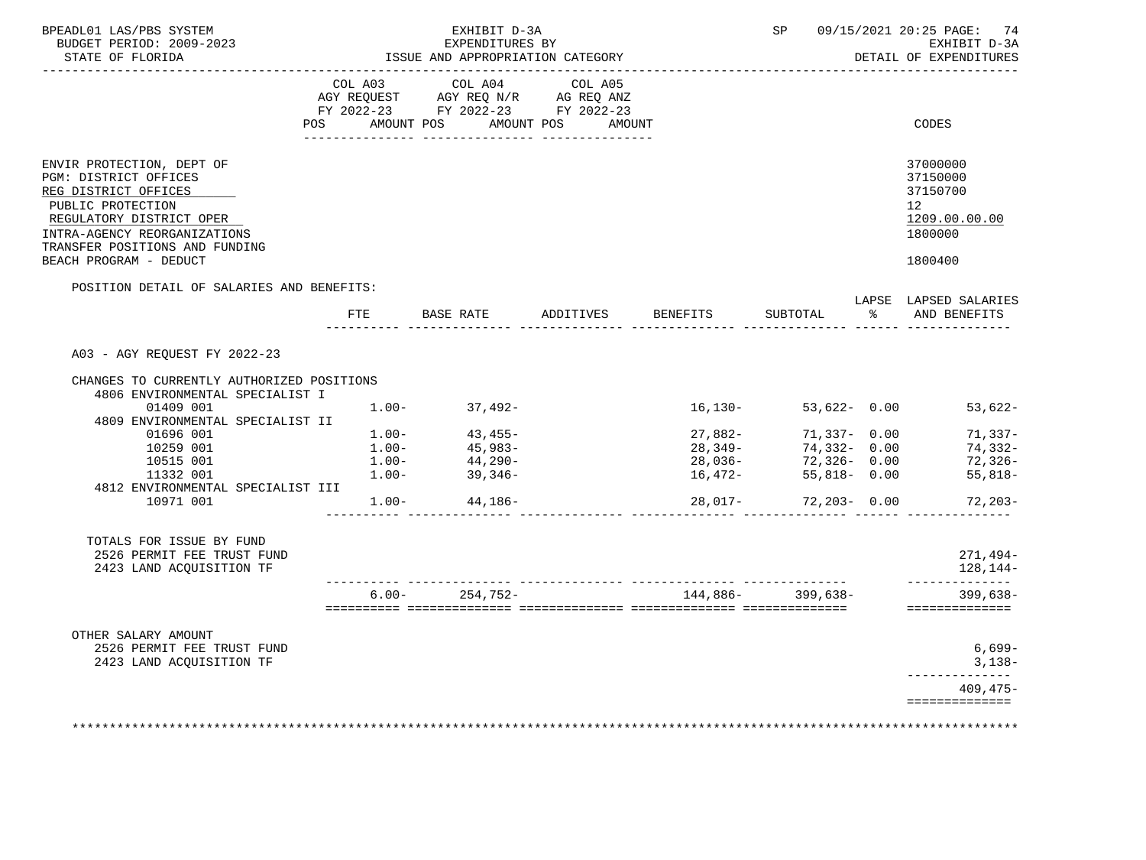| POSITION DETAIL OF SALARIES AND BENEFITS: | COL A03 COL A04<br>AGY REQUEST AGY REQ N/R AG REQ ANZ<br>FY 2022-23 FY 2022-23 FY 2022-23<br>AMOUNT POS<br>FTE BASE RATE ADDITIVES | COL A05<br>AMOUNT POS<br>AMOUNT                                                                                                                                                                                                    | BENEFITS | SUBTOTAL | $\frac{8}{6}$                                                                           | CODES<br>37000000<br>37150000<br>37150700<br>12 <sup>°</sup><br>1209.00.00.00<br>1800000<br>1800400<br>LAPSE LAPSED SALARIES<br>AND BENEFITS |
|-------------------------------------------|------------------------------------------------------------------------------------------------------------------------------------|------------------------------------------------------------------------------------------------------------------------------------------------------------------------------------------------------------------------------------|----------|----------|-----------------------------------------------------------------------------------------|----------------------------------------------------------------------------------------------------------------------------------------------|
|                                           |                                                                                                                                    |                                                                                                                                                                                                                                    |          |          |                                                                                         |                                                                                                                                              |
|                                           |                                                                                                                                    |                                                                                                                                                                                                                                    |          |          |                                                                                         |                                                                                                                                              |
|                                           |                                                                                                                                    |                                                                                                                                                                                                                                    |          |          |                                                                                         |                                                                                                                                              |
|                                           |                                                                                                                                    |                                                                                                                                                                                                                                    |          |          |                                                                                         |                                                                                                                                              |
|                                           |                                                                                                                                    |                                                                                                                                                                                                                                    |          |          |                                                                                         |                                                                                                                                              |
|                                           |                                                                                                                                    |                                                                                                                                                                                                                                    |          |          |                                                                                         |                                                                                                                                              |
| CHANGES TO CURRENTLY AUTHORIZED POSITIONS |                                                                                                                                    |                                                                                                                                                                                                                                    |          |          |                                                                                         |                                                                                                                                              |
|                                           |                                                                                                                                    |                                                                                                                                                                                                                                    |          |          |                                                                                         | $53,622-$                                                                                                                                    |
|                                           |                                                                                                                                    |                                                                                                                                                                                                                                    |          |          |                                                                                         | 71,337-                                                                                                                                      |
|                                           |                                                                                                                                    |                                                                                                                                                                                                                                    |          |          |                                                                                         | 74,332-                                                                                                                                      |
|                                           |                                                                                                                                    |                                                                                                                                                                                                                                    |          |          |                                                                                         | 72,326-                                                                                                                                      |
|                                           |                                                                                                                                    |                                                                                                                                                                                                                                    |          |          |                                                                                         | $55,818-$                                                                                                                                    |
|                                           |                                                                                                                                    |                                                                                                                                                                                                                                    |          |          |                                                                                         | $72,203-$                                                                                                                                    |
|                                           |                                                                                                                                    |                                                                                                                                                                                                                                    |          |          |                                                                                         | $271,494-$<br>128,144-                                                                                                                       |
|                                           |                                                                                                                                    |                                                                                                                                                                                                                                    |          |          |                                                                                         | $399,638-$<br>==============                                                                                                                 |
|                                           |                                                                                                                                    |                                                                                                                                                                                                                                    |          |          |                                                                                         | $6,699-$<br>$3.138-$<br>---------------<br>$409, 475 -$<br>==============                                                                    |
|                                           |                                                                                                                                    | $1.00 - 37,492 -$<br>$\begin{array}{llll} 1. \, 00- & & 43 \, , \, 455- \\ 1. \, 00- & & 45 \, , \, 983- \\ 1. \, 00- & & 44 \, , \, 290- \\ 1. \, 00- & & 39 \, , \, 346- \end{array}$<br>$1.00 - 44,186 -$<br>$6.00 - 254,752 -$ |          |          | $16, 130 -$<br>27,882-<br>28,349-<br>28,036-<br>$16,472-$<br>__________________________ | $53,622 - 0.00$<br>$71,337 - 0.00$<br>$74,332 - 0.00$<br>72,326- 0.00<br>55,818- 0.00<br>$28,017 - 72,203 - 0.00$<br>$144,886-$ 399,638-     |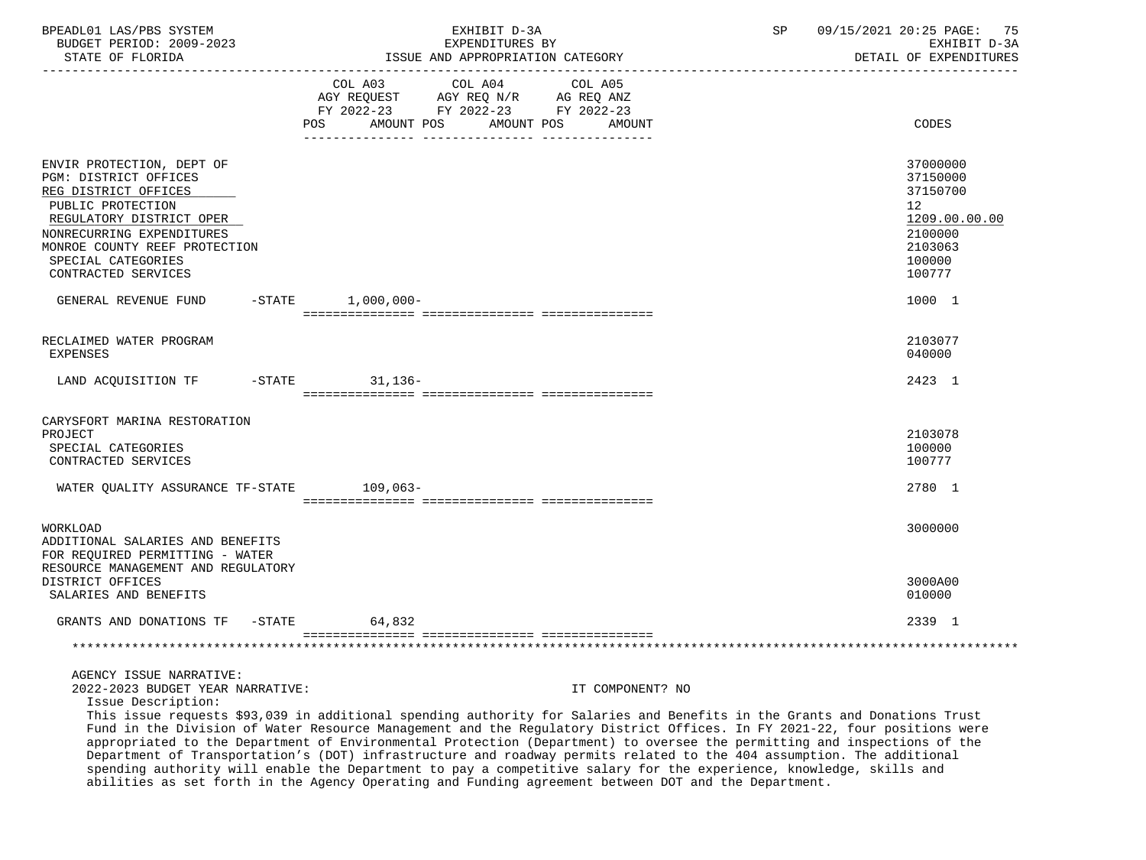| BPEADL01 LAS/PBS SYSTEM<br>BUDGET PERIOD: 2009-2023<br>STATE OF FLORIDA<br>___________________                                                                                                                                         |                                                                                             | EXHIBIT D-3A<br>EXPENDITURES BY<br>ISSUE AND APPROPRIATION CATEGORY      |                  | SP | 09/15/2021 20:25 PAGE: 75<br>EXHIBIT D-3A<br>DETAIL OF EXPENDITURES                               |
|----------------------------------------------------------------------------------------------------------------------------------------------------------------------------------------------------------------------------------------|---------------------------------------------------------------------------------------------|--------------------------------------------------------------------------|------------------|----|---------------------------------------------------------------------------------------------------|
|                                                                                                                                                                                                                                        | AGY REQUEST AGY REQ N/R AG REQ ANZ<br>FY 2022-23 FY 2022-23 FY 2022-23<br>POS<br>AMOUNT POS | COL A03 COL A04 COL A05<br>AMOUNT POS<br>____ _______________ __________ | AMOUNT           |    | CODES                                                                                             |
| ENVIR PROTECTION, DEPT OF<br>PGM: DISTRICT OFFICES<br>REG DISTRICT OFFICES<br>PUBLIC PROTECTION<br>REGULATORY DISTRICT OPER<br>NONRECURRING EXPENDITURES<br>MONROE COUNTY REEF PROTECTION<br>SPECIAL CATEGORIES<br>CONTRACTED SERVICES |                                                                                             |                                                                          |                  |    | 37000000<br>37150000<br>37150700<br>12<br>1209.00.00.00<br>2100000<br>2103063<br>100000<br>100777 |
| GENERAL REVENUE FUND                                                                                                                                                                                                                   | $-STATE$ 1,000,000-                                                                         |                                                                          |                  |    | 1000 1                                                                                            |
| RECLAIMED WATER PROGRAM<br><b>EXPENSES</b>                                                                                                                                                                                             |                                                                                             |                                                                          |                  |    | 2103077<br>040000                                                                                 |
| LAND ACQUISITION TF -STATE 31,136-                                                                                                                                                                                                     |                                                                                             |                                                                          |                  |    | 2423 1                                                                                            |
| CARYSFORT MARINA RESTORATION<br>PROJECT<br>SPECIAL CATEGORIES<br>CONTRACTED SERVICES<br>WATER QUALITY ASSURANCE TF-STATE 109,063-                                                                                                      |                                                                                             |                                                                          |                  |    | 2103078<br>100000<br>100777<br>2780 1                                                             |
| WORKLOAD<br>ADDITIONAL SALARIES AND BENEFITS<br>FOR REQUIRED PERMITTING - WATER<br>RESOURCE MANAGEMENT AND REGULATORY<br>DISTRICT OFFICES                                                                                              |                                                                                             |                                                                          |                  |    | 3000000<br>3000A00                                                                                |
| SALARIES AND BENEFITS<br>GRANTS AND DONATIONS TF -STATE                                                                                                                                                                                | 64,832                                                                                      |                                                                          |                  |    | 010000<br>2339 1                                                                                  |
|                                                                                                                                                                                                                                        |                                                                                             |                                                                          |                  |    |                                                                                                   |
| AGENCY ISSUE NARRATIVE:<br>2022-2023 BUDGET YEAR NARRATIVE:<br>Issue Description:                                                                                                                                                      |                                                                                             |                                                                          | IT COMPONENT? NO |    |                                                                                                   |

 This issue requests \$93,039 in additional spending authority for Salaries and Benefits in the Grants and Donations Trust Fund in the Division of Water Resource Management and the Regulatory District Offices. In FY 2021-22, four positions were appropriated to the Department of Environmental Protection (Department) to oversee the permitting and inspections of the Department of Transportation's (DOT) infrastructure and roadway permits related to the 404 assumption. The additional spending authority will enable the Department to pay a competitive salary for the experience, knowledge, skills and abilities as set forth in the Agency Operating and Funding agreement between DOT and the Department.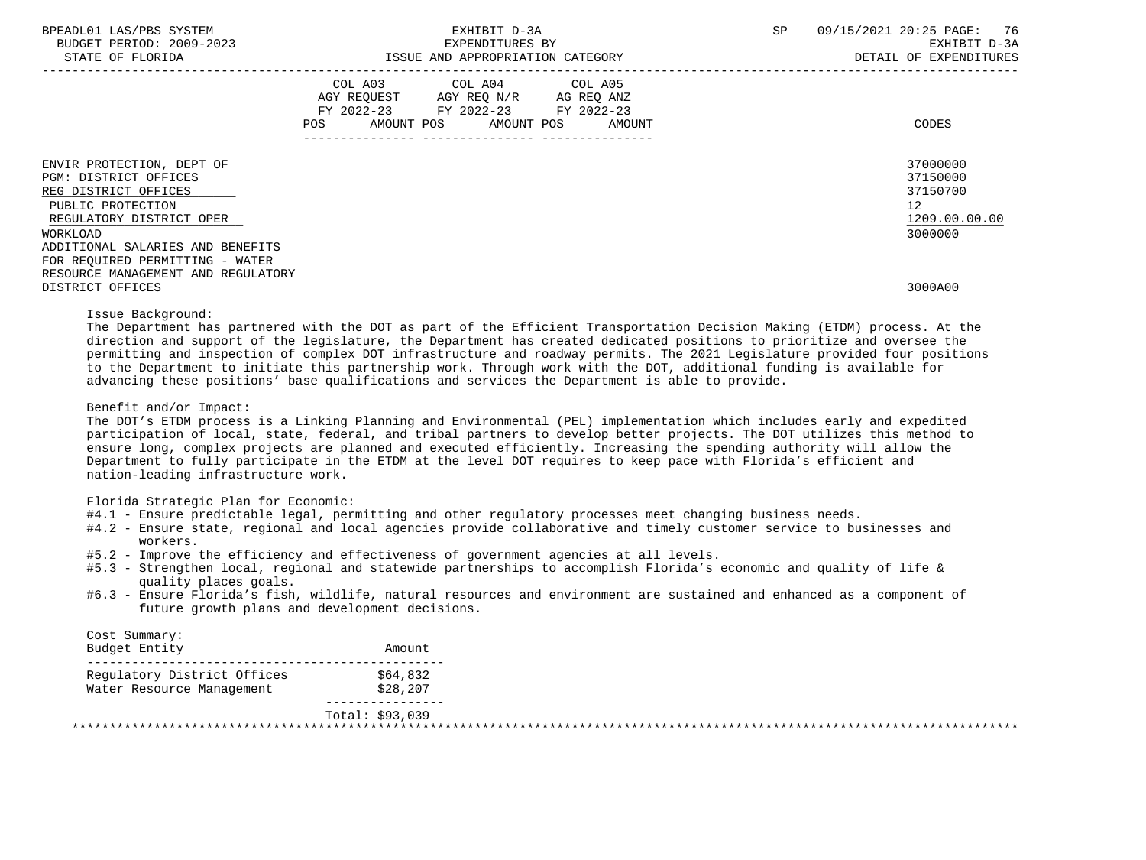| BPEADL01 LAS/PBS SYSTEM |                   |                          |
|-------------------------|-------------------|--------------------------|
|                         |                   | BUDGET PERIOD: 2009-2023 |
|                         | גתדכת זה הם היהיה |                          |

|                                                                                                                                         | COL A03<br>AGY REQUEST<br>FY 2022-23 FY 2022-23<br><b>POS</b><br>AMOUNT POS | COL A04<br>AGY REQ N/R<br>AMOUNT POS | COL A05<br>AG REQ ANZ<br>FY 2022-23<br>AMOUNT | CODES                                                              |
|-----------------------------------------------------------------------------------------------------------------------------------------|-----------------------------------------------------------------------------|--------------------------------------|-----------------------------------------------|--------------------------------------------------------------------|
|                                                                                                                                         |                                                                             |                                      |                                               |                                                                    |
| ENVIR PROTECTION, DEPT OF<br>PGM: DISTRICT OFFICES<br>REG DISTRICT OFFICES<br>PUBLIC PROTECTION<br>REGULATORY DISTRICT OPER<br>WORKLOAD |                                                                             |                                      |                                               | 37000000<br>37150000<br>37150700<br>12<br>1209.00.00.00<br>3000000 |
| ADDITIONAL SALARIES AND BENEFITS                                                                                                        |                                                                             |                                      |                                               |                                                                    |
| FOR REQUIRED PERMITTING - WATER                                                                                                         |                                                                             |                                      |                                               |                                                                    |
| RESOURCE MANAGEMENT AND REGULATORY                                                                                                      |                                                                             |                                      |                                               |                                                                    |
| DISTRICT OFFICES                                                                                                                        |                                                                             |                                      |                                               | 3000A00                                                            |

Issue Background:

 The Department has partnered with the DOT as part of the Efficient Transportation Decision Making (ETDM) process. At the direction and support of the legislature, the Department has created dedicated positions to prioritize and oversee the permitting and inspection of complex DOT infrastructure and roadway permits. The 2021 Legislature provided four positions to the Department to initiate this partnership work. Through work with the DOT, additional funding is available for advancing these positions' base qualifications and services the Department is able to provide.

Benefit and/or Impact:

 The DOT's ETDM process is a Linking Planning and Environmental (PEL) implementation which includes early and expedited participation of local, state, federal, and tribal partners to develop better projects. The DOT utilizes this method to ensure long, complex projects are planned and executed efficiently. Increasing the spending authority will allow the Department to fully participate in the ETDM at the level DOT requires to keep pace with Florida's efficient and nation-leading infrastructure work.

Florida Strategic Plan for Economic:

- #4.1 Ensure predictable legal, permitting and other regulatory processes meet changing business needs.
- #4.2 Ensure state, regional and local agencies provide collaborative and timely customer service to businesses and workers.
- #5.2 Improve the efficiency and effectiveness of government agencies at all levels.
- #5.3 Strengthen local, regional and statewide partnerships to accomplish Florida's economic and quality of life & quality places goals.
- #6.3 Ensure Florida's fish, wildlife, natural resources and environment are sustained and enhanced as a component of future growth plans and development decisions.

| Cost Summary:<br>Budget Entity | Amount          |  |
|--------------------------------|-----------------|--|
| Requlatory District Offices    | \$64,832        |  |
| Water Resource Management      | \$28,207        |  |
|                                | Total: \$93,039 |  |
|                                |                 |  |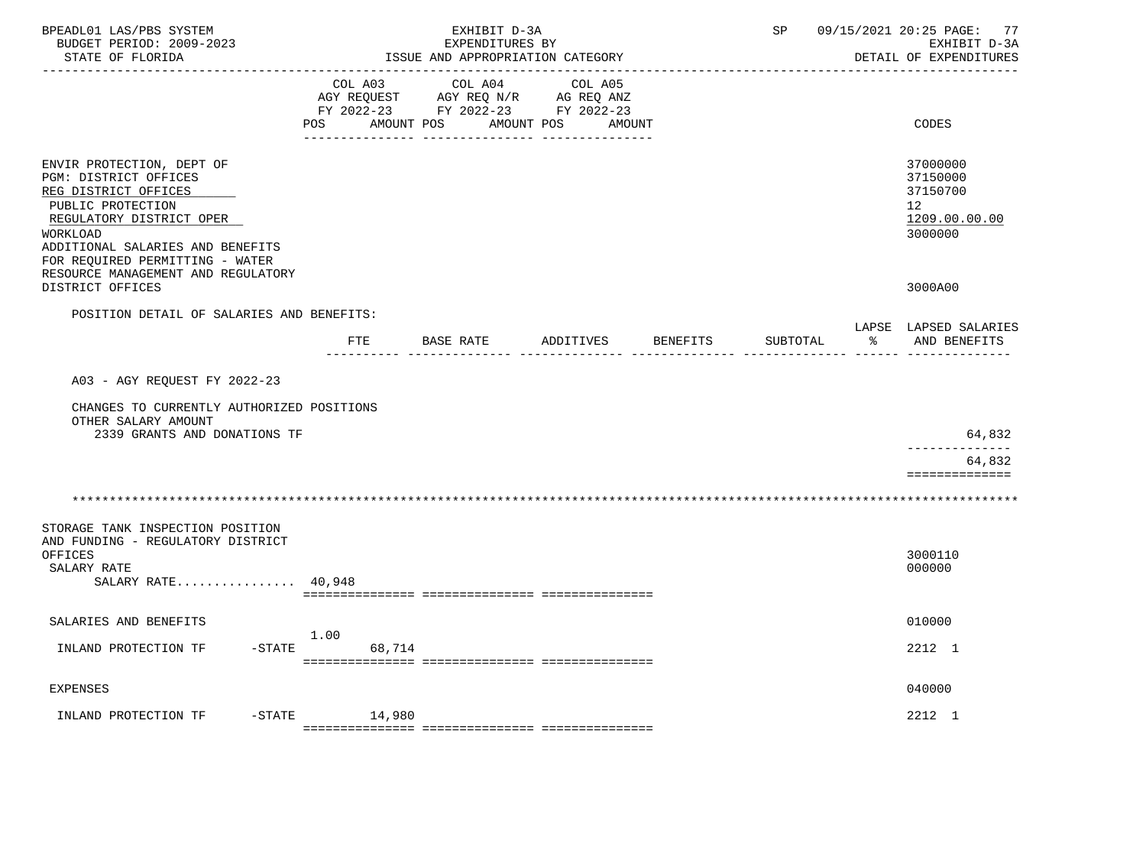| BPEADL01 LAS/PBS SYSTEM<br>BUDGET PERIOD: 2009-2023<br>STATE OF FLORIDA<br>-------------------                                                                                                                 |                             | EXHIBIT D-3A<br>EXPENDITURES BY<br>ISSUE AND APPROPRIATION CATEGORY                             |                                 |          | SP       | 09/15/2021 20:25 PAGE: 77<br>EXHIBIT D-3A<br>DETAIL OF EXPENDITURES              |
|----------------------------------------------------------------------------------------------------------------------------------------------------------------------------------------------------------------|-----------------------------|-------------------------------------------------------------------------------------------------|---------------------------------|----------|----------|----------------------------------------------------------------------------------|
|                                                                                                                                                                                                                | COL A03<br>POS              | COL A04<br>AGY REQUEST AGY REQ N/R AG REQ ANZ<br>FY 2022-23 FY 2022-23 FY 2022-23<br>AMOUNT POS | COL A05<br>AMOUNT POS<br>AMOUNT |          |          | CODES                                                                            |
| ENVIR PROTECTION, DEPT OF<br>PGM: DISTRICT OFFICES<br>REG DISTRICT OFFICES<br>PUBLIC PROTECTION<br>REGULATORY DISTRICT OPER<br>WORKLOAD<br>ADDITIONAL SALARIES AND BENEFITS<br>FOR REQUIRED PERMITTING - WATER |                             |                                                                                                 |                                 |          |          | 37000000<br>37150000<br>37150700<br>12 <sup>12</sup><br>1209.00.00.00<br>3000000 |
| RESOURCE MANAGEMENT AND REGULATORY<br>DISTRICT OFFICES                                                                                                                                                         |                             |                                                                                                 |                                 |          |          | 3000A00                                                                          |
| POSITION DETAIL OF SALARIES AND BENEFITS:                                                                                                                                                                      | FTE<br><u>aaaaaaaa aaaa</u> | BASE RATE                                                                                       | ADDITIVES                       | BENEFITS | SUBTOTAL | LAPSE LAPSED SALARIES<br>$\approx$ $\approx$<br>AND BENEFITS                     |
| A03 - AGY REQUEST FY 2022-23<br>CHANGES TO CURRENTLY AUTHORIZED POSITIONS<br>OTHER SALARY AMOUNT<br>2339 GRANTS AND DONATIONS TF                                                                               |                             |                                                                                                 |                                 |          |          | 64,832                                                                           |
|                                                                                                                                                                                                                |                             |                                                                                                 |                                 |          |          | 64,832                                                                           |
| STORAGE TANK INSPECTION POSITION<br>AND FUNDING - REGULATORY DISTRICT<br>OFFICES<br>SALARY RATE<br>SALARY RATE 40,948                                                                                          |                             |                                                                                                 |                                 |          |          | ==============<br>3000110<br>000000                                              |
| SALARIES AND BENEFITS                                                                                                                                                                                          |                             |                                                                                                 |                                 |          |          | 010000                                                                           |
| INLAND PROTECTION TF                                                                                                                                                                                           | 1.00<br>$-STATE$<br>68,714  |                                                                                                 |                                 |          |          | 2212 1                                                                           |
| EXPENSES                                                                                                                                                                                                       |                             |                                                                                                 |                                 |          |          | 040000                                                                           |
| $-$ STATE<br>INLAND PROTECTION TF                                                                                                                                                                              | 14,980                      |                                                                                                 |                                 |          |          | 2212 1                                                                           |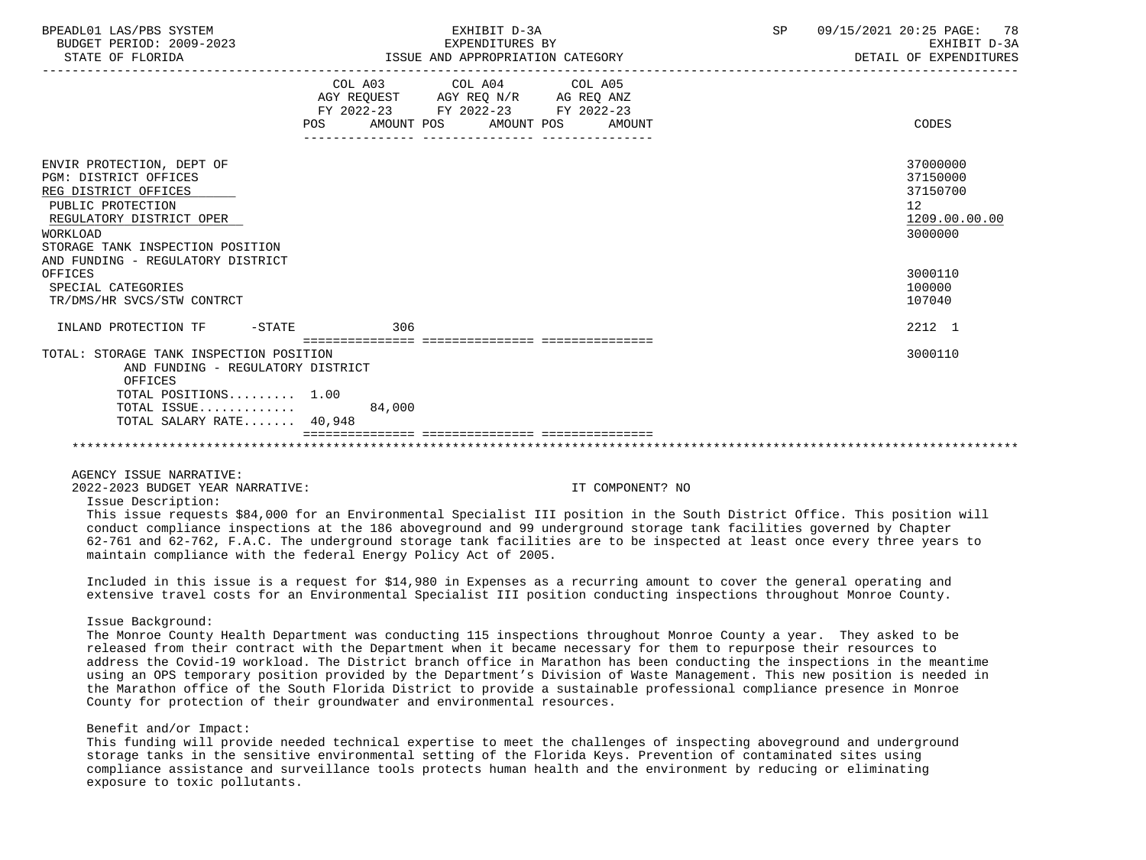| BPEADL01 LAS/PBS SYSTEM<br>BUDGET PERIOD: 2009-2023<br>STATE OF FLORIDA                                                                                                                                                 | EXHIBIT D-3A<br>EXPENDITURES BY<br>ISSUE AND APPROPRIATION CATEGORY                                                                      | 09/15/2021 20:25 PAGE: 78<br>SP<br>EXHIBIT D-3A<br>DETAIL OF EXPENDITURES |
|-------------------------------------------------------------------------------------------------------------------------------------------------------------------------------------------------------------------------|------------------------------------------------------------------------------------------------------------------------------------------|---------------------------------------------------------------------------|
|                                                                                                                                                                                                                         | COL A03 COL A04 COL A05<br>AGY REQUEST AGY REQ N/R AG REQ ANZ<br>FY 2022-23 FY 2022-23 FY 2022-23<br>POS AMOUNT POS AMOUNT POS<br>AMOUNT | CODES                                                                     |
| ENVIR PROTECTION, DEPT OF<br>PGM: DISTRICT OFFICES<br>REG DISTRICT OFFICES<br>PUBLIC PROTECTION<br>REGULATORY DISTRICT OPER<br><b>WORKLOAD</b><br>STORAGE TANK INSPECTION POSITION<br>AND FUNDING - REGULATORY DISTRICT |                                                                                                                                          | 37000000<br>37150000<br>37150700<br>12<br>1209.00.00.00<br>3000000        |
| OFFICES<br>SPECIAL CATEGORIES<br>TR/DMS/HR SVCS/STW CONTRCT                                                                                                                                                             |                                                                                                                                          | 3000110<br>100000<br>107040                                               |
| INLAND PROTECTION TF - STATE                                                                                                                                                                                            | 306                                                                                                                                      | 2212 1                                                                    |
| TOTAL: STORAGE TANK INSPECTION POSITION<br>AND FUNDING - REGULATORY DISTRICT<br>OFFICES<br>TOTAL POSITIONS 1.00                                                                                                         |                                                                                                                                          | 3000110                                                                   |
| TOTAL ISSUE 84,000<br>TOTAL SALARY RATE 40,948                                                                                                                                                                          |                                                                                                                                          |                                                                           |
|                                                                                                                                                                                                                         |                                                                                                                                          |                                                                           |

AGENCY ISSUE NARRATIVE:

2022-2023 BUDGET YEAR NARRATIVE: IT COMPONENT? NO

Issue Description:

 This issue requests \$84,000 for an Environmental Specialist III position in the South District Office. This position will conduct compliance inspections at the 186 aboveground and 99 underground storage tank facilities governed by Chapter 62-761 and 62-762, F.A.C. The underground storage tank facilities are to be inspected at least once every three years to maintain compliance with the federal Energy Policy Act of 2005.

 Included in this issue is a request for \$14,980 in Expenses as a recurring amount to cover the general operating and extensive travel costs for an Environmental Specialist III position conducting inspections throughout Monroe County.

#### Issue Background:

 The Monroe County Health Department was conducting 115 inspections throughout Monroe County a year. They asked to be released from their contract with the Department when it became necessary for them to repurpose their resources to address the Covid-19 workload. The District branch office in Marathon has been conducting the inspections in the meantime using an OPS temporary position provided by the Department's Division of Waste Management. This new position is needed in the Marathon office of the South Florida District to provide a sustainable professional compliance presence in Monroe County for protection of their groundwater and environmental resources.

## Benefit and/or Impact:

 This funding will provide needed technical expertise to meet the challenges of inspecting aboveground and underground storage tanks in the sensitive environmental setting of the Florida Keys. Prevention of contaminated sites using compliance assistance and surveillance tools protects human health and the environment by reducing or eliminating exposure to toxic pollutants.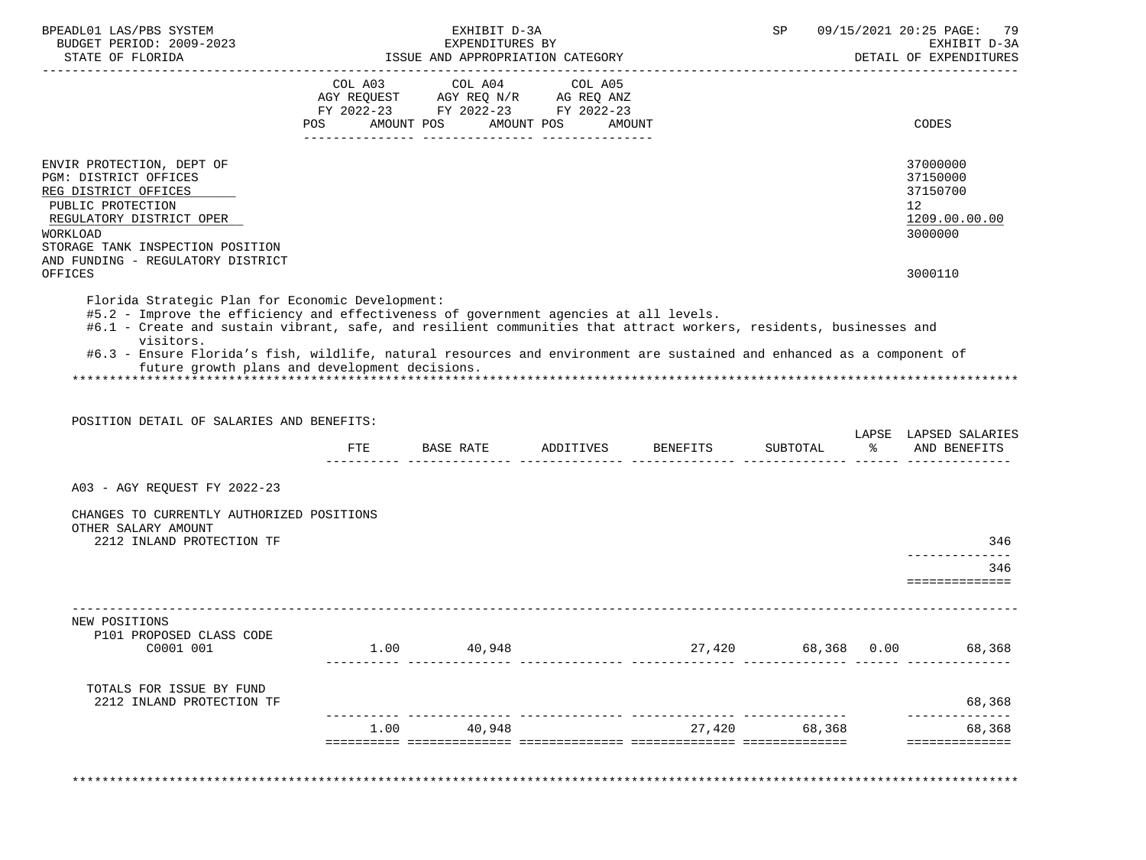| BPEADL01 LAS/PBS SYSTEM<br>BUDGET PERIOD: 2009-2023                                                                                                                                                                   |            | EXHIBIT D-3A<br>EXPENDITURES BY                                                                                 |                      |                                                                                       | SP            |      | 09/15/2021 20:25 PAGE:<br>-79<br>EXHIBIT D-3A<br>DETAIL OF EXPENDITURES         |
|-----------------------------------------------------------------------------------------------------------------------------------------------------------------------------------------------------------------------|------------|-----------------------------------------------------------------------------------------------------------------|----------------------|---------------------------------------------------------------------------------------|---------------|------|---------------------------------------------------------------------------------|
|                                                                                                                                                                                                                       | <b>POS</b> | COL A03 COL A04 COL A05<br>AGY REQUEST AGY REQ N/R AG REQ ANZ<br>FY 2022-23 FY 2022-23 FY 2022-23<br>AMOUNT POS | AMOUNT POS<br>AMOUNT |                                                                                       |               |      | CODES                                                                           |
| ENVIR PROTECTION, DEPT OF<br>PGM: DISTRICT OFFICES<br>REG DISTRICT OFFICES<br>PUBLIC PROTECTION<br>REGULATORY DISTRICT OPER<br>WORKLOAD<br>STORAGE TANK INSPECTION POSITION                                           |            |                                                                                                                 |                      |                                                                                       |               |      | 37000000<br>37150000<br>37150700<br>12 <sup>°</sup><br>1209.00.00.00<br>3000000 |
| AND FUNDING - REGULATORY DISTRICT<br>OFFICES                                                                                                                                                                          |            |                                                                                                                 |                      |                                                                                       |               |      | 3000110                                                                         |
| visitors.                                                                                                                                                                                                             |            |                                                                                                                 |                      |                                                                                       |               |      |                                                                                 |
| #6.3 - Ensure Florida's fish, wildlife, natural resources and environment are sustained and enhanced as a component of<br>future growth plans and development decisions.<br>POSITION DETAIL OF SALARIES AND BENEFITS: |            |                                                                                                                 |                      |                                                                                       |               |      |                                                                                 |
|                                                                                                                                                                                                                       |            | FTE BASE RATE ADDITIVES BENEFITS                                                                                |                      | ticilistici interesticiti interestici interestici interestici interestici interestici | SUBTOTAL      |      | % AND BENEFITS                                                                  |
| A03 - AGY REQUEST FY 2022-23<br>CHANGES TO CURRENTLY AUTHORIZED POSITIONS                                                                                                                                             |            |                                                                                                                 |                      |                                                                                       |               |      |                                                                                 |
| OTHER SALARY AMOUNT<br>2212 INLAND PROTECTION TF                                                                                                                                                                      |            |                                                                                                                 |                      |                                                                                       |               |      | LAPSE LAPSED SALARIES<br>346                                                    |
|                                                                                                                                                                                                                       |            |                                                                                                                 |                      |                                                                                       |               |      | --------------<br>346<br>===============                                        |
| NEW POSITIONS<br>P101 PROPOSED CLASS CODE<br>C0001 001                                                                                                                                                                | 1.00       | 40,948                                                                                                          |                      | 27,420                                                                                | 68,368        | 0.00 |                                                                                 |
| TOTALS FOR ISSUE BY FUND<br>2212 INLAND PROTECTION TF                                                                                                                                                                 |            |                                                                                                                 |                      |                                                                                       |               |      | 68,368<br>68,368                                                                |
|                                                                                                                                                                                                                       | 1.00       | 40,948                                                                                                          |                      |                                                                                       | 27,420 68,368 |      | 68,368                                                                          |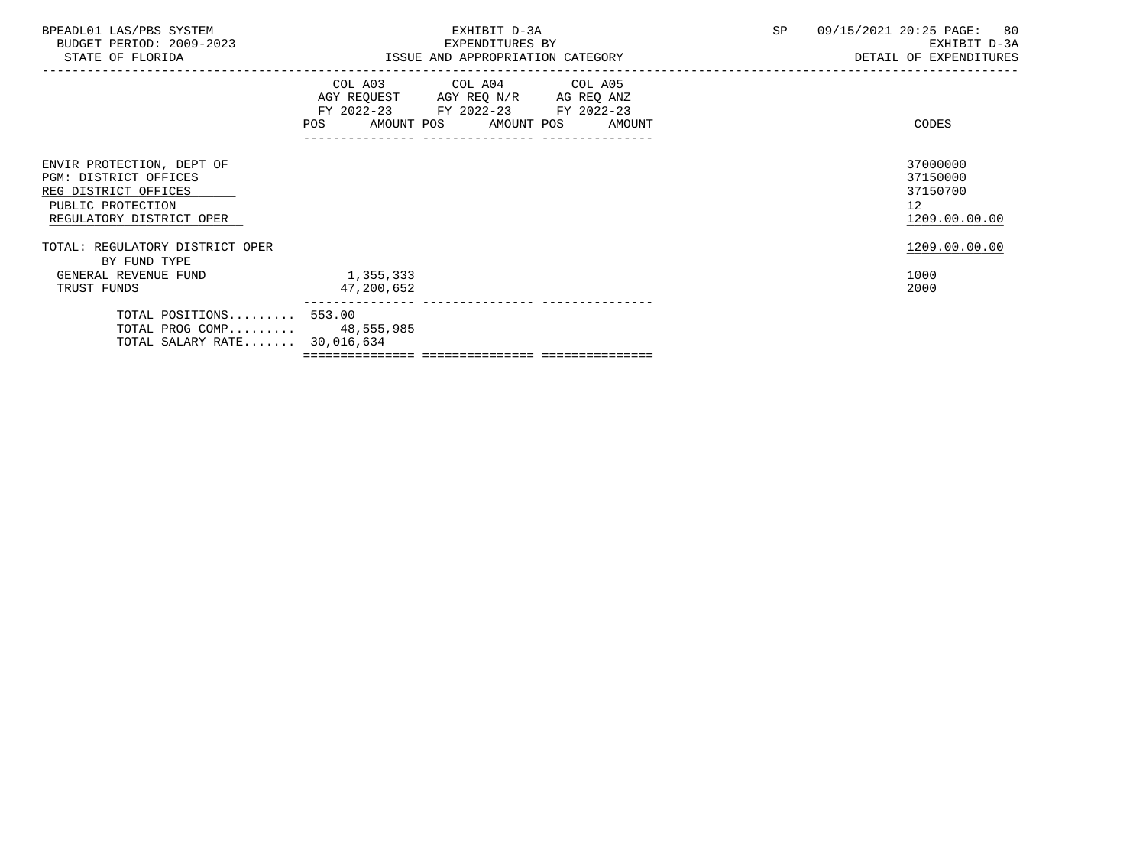| BPEADL01 LAS/PBS SYSTEM |                          |
|-------------------------|--------------------------|
|                         | BUDGET PERIOD: 2009-2023 |

ISSUE AND APPROPRIATION CATEGORY

|                                                                                                                             | POS                     | COL A03 COL A04 COL A05<br>AGY REQUEST AGY REQ N/R AG REQ ANZ<br>FY 2022-23 FY 2022-23 FY 2022-23<br>AMOUNT POS AMOUNT POS | AMOUNT | CODES                                                   |
|-----------------------------------------------------------------------------------------------------------------------------|-------------------------|----------------------------------------------------------------------------------------------------------------------------|--------|---------------------------------------------------------|
| ENVIR PROTECTION, DEPT OF<br>PGM: DISTRICT OFFICES<br>REG DISTRICT OFFICES<br>PUBLIC PROTECTION<br>REGULATORY DISTRICT OPER |                         |                                                                                                                            |        | 37000000<br>37150000<br>37150700<br>12<br>1209.00.00.00 |
| TOTAL: REGULATORY DISTRICT OPER                                                                                             |                         |                                                                                                                            |        | 1209.00.00.00                                           |
| BY FUND TYPE<br>GENERAL REVENUE FUND<br>TRUST FUNDS                                                                         | 1,355,333<br>47,200,652 |                                                                                                                            |        | 1000<br>2000                                            |
| TOTAL POSITIONS 553.00<br>TOTAL PROG COMP 48,555,985<br>TOTAL SALARY RATE 30,016,634                                        |                         | ============================                                                                                               |        |                                                         |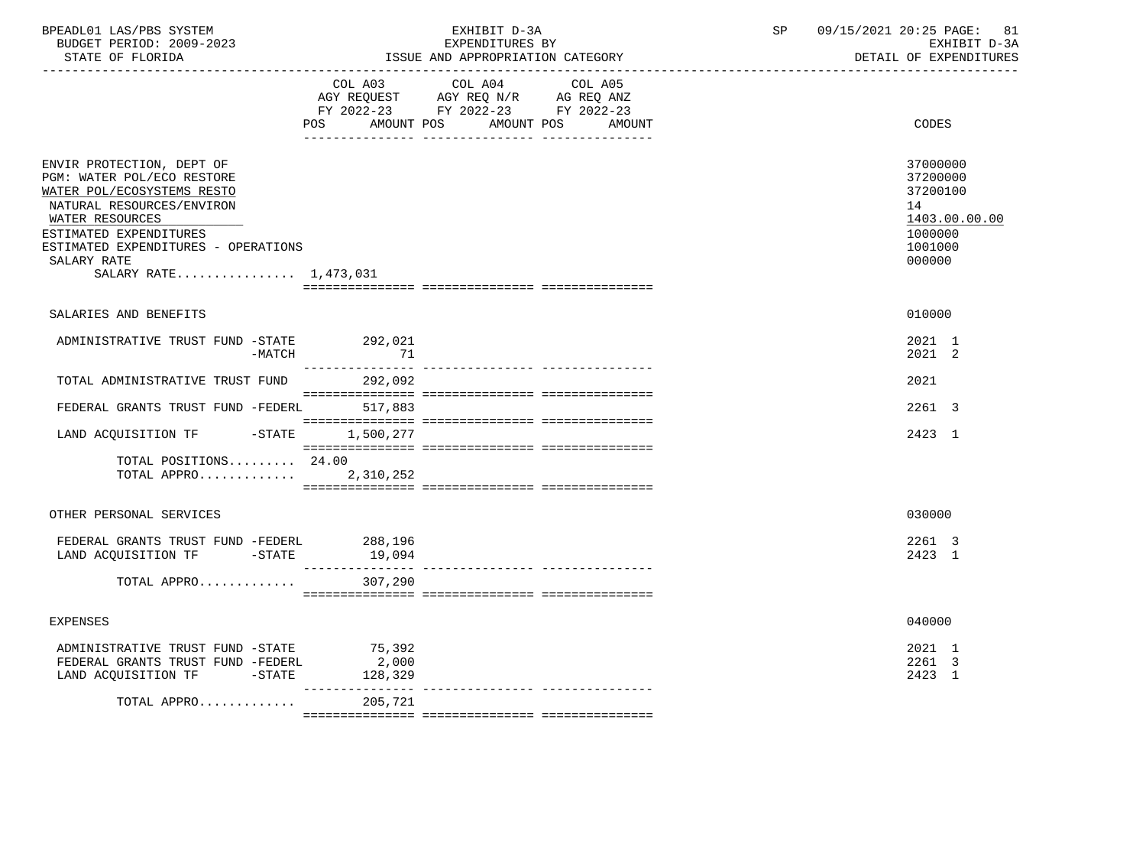| BPEADL01 LAS/PBS SYSTEM<br>BUDGET PERIOD: 2009-2023<br>STATE OF FLORIDA                                                                                                                                                                        |                   | EXHIBIT D-3A<br>EXPENDITURES BY<br>ISSUE AND APPROPRIATION CATEGORY                                                                  | SP | 09/15/2021 20:25 PAGE: 81<br>EXHIBIT D-3A<br>DETAIL OF EXPENDITURES                     |
|------------------------------------------------------------------------------------------------------------------------------------------------------------------------------------------------------------------------------------------------|-------------------|--------------------------------------------------------------------------------------------------------------------------------------|----|-----------------------------------------------------------------------------------------|
|                                                                                                                                                                                                                                                | <b>POS</b>        | COL A03 COL A04 COL A05<br>AGY REQUEST AGY REQ N/R AG REQ ANZ<br>FY 2022-23 FY 2022-23 FY 2022-23<br>AMOUNT POS AMOUNT POS<br>AMOUNT |    | CODES                                                                                   |
| ENVIR PROTECTION, DEPT OF<br>PGM: WATER POL/ECO RESTORE<br>WATER POL/ECOSYSTEMS RESTO<br>NATURAL RESOURCES/ENVIRON<br>WATER RESOURCES<br>ESTIMATED EXPENDITURES<br>ESTIMATED EXPENDITURES - OPERATIONS<br>SALARY RATE<br>SALARY RATE 1,473,031 |                   |                                                                                                                                      |    | 37000000<br>37200000<br>37200100<br>14<br>1403.00.00.00<br>1000000<br>1001000<br>000000 |
| SALARIES AND BENEFITS                                                                                                                                                                                                                          |                   |                                                                                                                                      |    | 010000                                                                                  |
| ADMINISTRATIVE TRUST FUND -STATE 292,021<br>-MATCH                                                                                                                                                                                             | 71                |                                                                                                                                      |    | 2021 1<br>2021 2                                                                        |
| TOTAL ADMINISTRATIVE TRUST FUND                                                                                                                                                                                                                | 292,092           |                                                                                                                                      |    | 2021                                                                                    |
| FEDERAL GRANTS TRUST FUND -FEDERL 517,883                                                                                                                                                                                                      |                   |                                                                                                                                      |    | 2261 3                                                                                  |
| LAND ACQUISITION TF -STATE 1,500,277                                                                                                                                                                                                           |                   |                                                                                                                                      |    | 2423 1                                                                                  |
| TOTAL POSITIONS $24.00$<br>TOTAL APPRO 2,310,252                                                                                                                                                                                               |                   |                                                                                                                                      |    |                                                                                         |
| OTHER PERSONAL SERVICES                                                                                                                                                                                                                        |                   |                                                                                                                                      |    | 030000                                                                                  |
| FEDERAL GRANTS TRUST FUND -FEDERL<br>LAND ACQUISITION TF -STATE                                                                                                                                                                                | 288,196<br>19,094 |                                                                                                                                      |    | 2261 3<br>2423 1                                                                        |
| TOTAL APPRO                                                                                                                                                                                                                                    | 307,290           |                                                                                                                                      |    |                                                                                         |
| <b>EXPENSES</b>                                                                                                                                                                                                                                |                   |                                                                                                                                      |    | 040000                                                                                  |
| ADMINISTRATIVE TRUST FUND -STATE 75,392<br>FEDERAL GRANTS TRUST FUND -FEDERL<br>LAND ACQUISITION TF -STATE 128,329                                                                                                                             | 2,000             |                                                                                                                                      |    | 2021 1<br>2261 3<br>2423 1                                                              |
| TOTAL APPRO                                                                                                                                                                                                                                    | 205,721           |                                                                                                                                      |    |                                                                                         |
|                                                                                                                                                                                                                                                |                   |                                                                                                                                      |    |                                                                                         |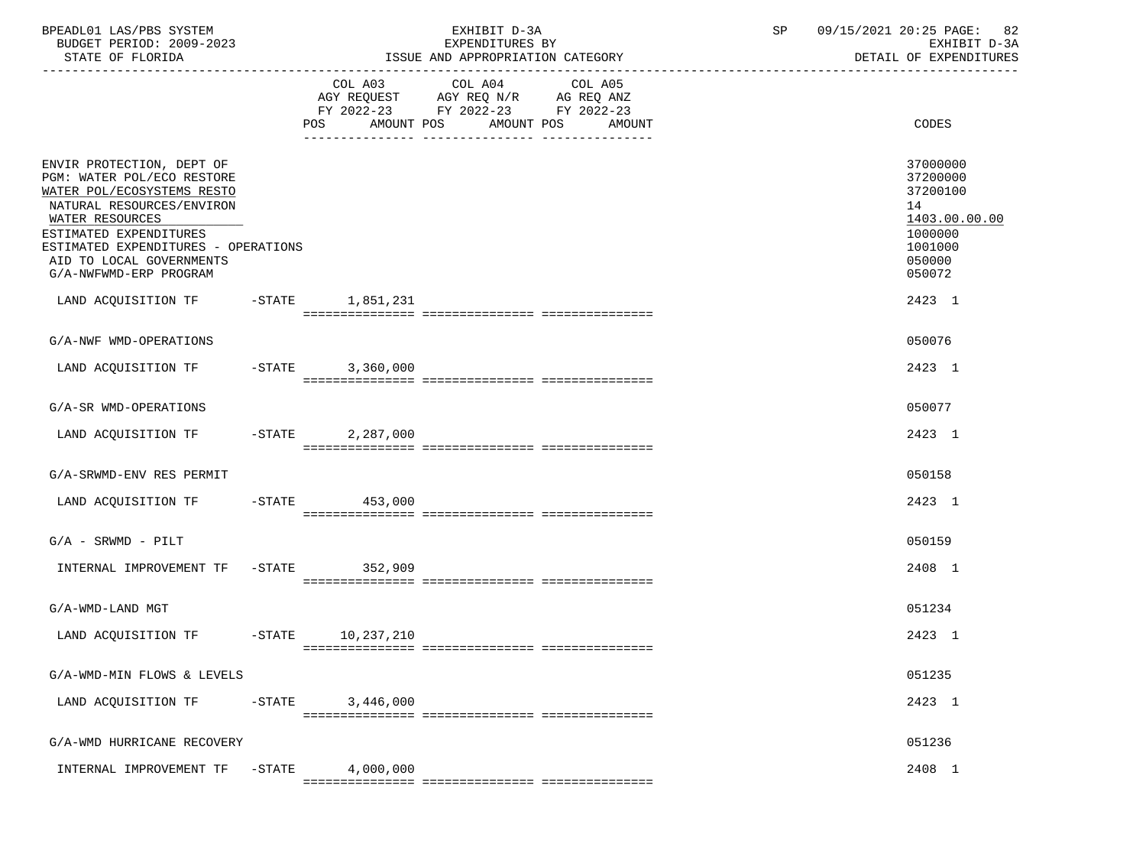| BPEADL01 LAS/PBS SYSTEM<br>BUDGET PERIOD: 2009-2023<br>STATE OF FLORIDA                                                                                                                                                                                      |           |           | EXHIBIT D-3A<br>EXPENDITURES BY<br>ISSUE AND APPROPRIATION CATEGORY                       |                                             | SP | 09/15/2021 20:25 PAGE: 82<br>EXHIBIT D-3A<br>DETAIL OF EXPENDITURES                               |
|--------------------------------------------------------------------------------------------------------------------------------------------------------------------------------------------------------------------------------------------------------------|-----------|-----------|-------------------------------------------------------------------------------------------|---------------------------------------------|----|---------------------------------------------------------------------------------------------------|
|                                                                                                                                                                                                                                                              |           |           | COL A03 COL A04<br>AGY REQUEST AGY REQ N/R AG REQ ANZ<br>FY 2022-23 FY 2022-23 FY 2022-23 | COL A05<br>POS AMOUNT POS AMOUNT POS AMOUNT |    | CODES                                                                                             |
| ENVIR PROTECTION, DEPT OF<br>PGM: WATER POL/ECO RESTORE<br>WATER POL/ECOSYSTEMS RESTO<br>NATURAL RESOURCES/ENVIRON<br>WATER RESOURCES<br>ESTIMATED EXPENDITURES<br>ESTIMATED EXPENDITURES - OPERATIONS<br>AID TO LOCAL GOVERNMENTS<br>G/A-NWFWMD-ERP PROGRAM |           |           |                                                                                           |                                             |    | 37000000<br>37200000<br>37200100<br>14<br>1403.00.00.00<br>1000000<br>1001000<br>050000<br>050072 |
| LAND ACQUISITION TF -STATE 1,851,231                                                                                                                                                                                                                         |           |           |                                                                                           |                                             |    | 2423 1                                                                                            |
| G/A-NWF WMD-OPERATIONS                                                                                                                                                                                                                                       |           |           |                                                                                           |                                             |    | 050076                                                                                            |
| LAND ACQUISITION TF -STATE 3,360,000                                                                                                                                                                                                                         |           |           |                                                                                           |                                             |    | 2423 1                                                                                            |
| G/A-SR WMD-OPERATIONS                                                                                                                                                                                                                                        |           |           |                                                                                           |                                             |    | 050077                                                                                            |
| LAND ACQUISITION TF -STATE 2,287,000                                                                                                                                                                                                                         |           |           |                                                                                           |                                             |    | 2423 1                                                                                            |
| G/A-SRWMD-ENV RES PERMIT                                                                                                                                                                                                                                     |           |           |                                                                                           |                                             |    | 050158                                                                                            |
| LAND ACQUISITION TF -STATE 453,000                                                                                                                                                                                                                           |           |           |                                                                                           |                                             |    | 2423 1                                                                                            |
| $G/A$ - SRWMD - PILT                                                                                                                                                                                                                                         |           |           |                                                                                           |                                             |    | 050159                                                                                            |
| INTERNAL IMPROVEMENT TF -STATE 352,909                                                                                                                                                                                                                       |           |           |                                                                                           |                                             |    | 2408 1                                                                                            |
| G/A-WMD-LAND MGT                                                                                                                                                                                                                                             |           |           |                                                                                           |                                             |    | 051234                                                                                            |
| LAND ACQUISITION TF -STATE 10,237,210                                                                                                                                                                                                                        |           |           |                                                                                           |                                             |    | 2423 1                                                                                            |
| G/A-WMD-MIN FLOWS & LEVELS                                                                                                                                                                                                                                   |           |           |                                                                                           |                                             |    | 051235                                                                                            |
| LAND ACQUISITION TF                                                                                                                                                                                                                                          | $-$ STATE | 3,446,000 |                                                                                           |                                             |    | 2423 1                                                                                            |
| G/A-WMD HURRICANE RECOVERY                                                                                                                                                                                                                                   |           |           |                                                                                           |                                             |    | 051236                                                                                            |
| INTERNAL IMPROVEMENT TF                                                                                                                                                                                                                                      | $-$ STATE | 4,000,000 |                                                                                           |                                             |    | 2408 1                                                                                            |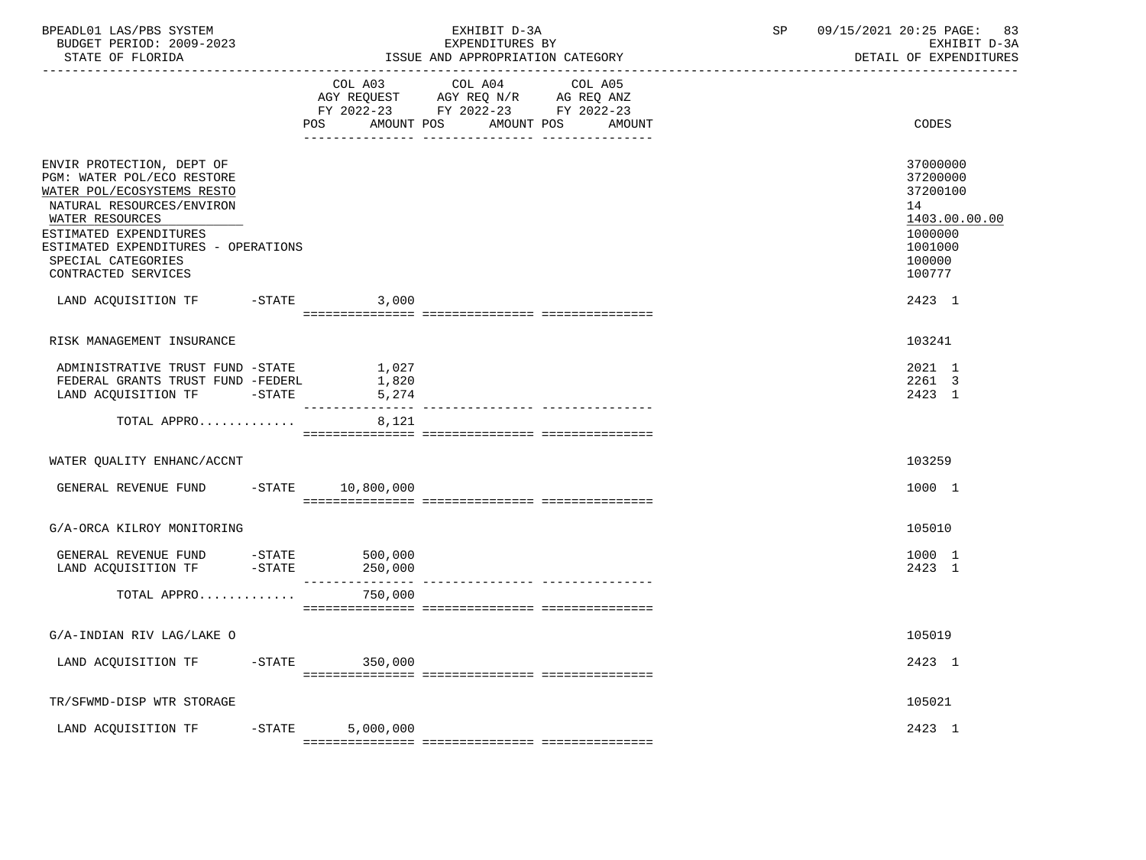| BPEADL01 LAS/PBS SYSTEM<br>BUDGET PERIOD: 2009-2023<br>STATE OF FLORIDA                                                                                                                                                                             |           | EXHIBIT D-3A<br>EXPENDITURES BY<br>ISSUE AND APPROPRIATION CATEGORY                                                                   | 09/15/2021 20:25 PAGE:<br>SP | 83<br>EXHIBIT D-3A<br>DETAIL OF EXPENDITURES                                                      |
|-----------------------------------------------------------------------------------------------------------------------------------------------------------------------------------------------------------------------------------------------------|-----------|---------------------------------------------------------------------------------------------------------------------------------------|------------------------------|---------------------------------------------------------------------------------------------------|
|                                                                                                                                                                                                                                                     |           | COL A03 COL A04 COL A05<br>AGY REQUEST AGY REQ N/R AG REQ ANZ<br>FY 2022-23 FY 2022-23 FY 2022-23<br>POS AMOUNT POS AMOUNT POS AMOUNT |                              | CODES                                                                                             |
| ENVIR PROTECTION, DEPT OF<br>PGM: WATER POL/ECO RESTORE<br>WATER POL/ECOSYSTEMS RESTO<br>NATURAL RESOURCES/ENVIRON<br>WATER RESOURCES<br>ESTIMATED EXPENDITURES<br>ESTIMATED EXPENDITURES - OPERATIONS<br>SPECIAL CATEGORIES<br>CONTRACTED SERVICES |           |                                                                                                                                       |                              | 37000000<br>37200000<br>37200100<br>14<br>1403.00.00.00<br>1000000<br>1001000<br>100000<br>100777 |
| LAND ACQUISITION TF -STATE 3,000                                                                                                                                                                                                                    |           |                                                                                                                                       |                              | 2423 1                                                                                            |
| RISK MANAGEMENT INSURANCE                                                                                                                                                                                                                           |           |                                                                                                                                       |                              | 103241                                                                                            |
| ADMINISTRATIVE TRUST FUND -STATE 1,027<br>FEDERAL GRANTS TRUST FUND -FEDERL<br>LAND ACQUISITION TF -STATE 5,274                                                                                                                                     | 1,820     |                                                                                                                                       |                              | 2021 1<br>2261 3<br>2423 1                                                                        |
| TOTAL APPRO                                                                                                                                                                                                                                         | 8,121     |                                                                                                                                       |                              |                                                                                                   |
| WATER QUALITY ENHANC/ACCNT                                                                                                                                                                                                                          |           |                                                                                                                                       |                              | 103259                                                                                            |
| GENERAL REVENUE FUND -STATE 10,800,000                                                                                                                                                                                                              |           |                                                                                                                                       |                              | 1000 1                                                                                            |
| G/A-ORCA KILROY MONITORING                                                                                                                                                                                                                          |           |                                                                                                                                       |                              | 105010                                                                                            |
| GENERAL REVENUE FUND -STATE 500,000<br>LAND ACQUISITION TF -STATE 250,000                                                                                                                                                                           |           |                                                                                                                                       |                              | 1000 1<br>2423 1                                                                                  |
| TOTAL APPRO                                                                                                                                                                                                                                         | 750,000   |                                                                                                                                       |                              |                                                                                                   |
| G/A-INDIAN RIV LAG/LAKE O                                                                                                                                                                                                                           |           |                                                                                                                                       |                              | 105019                                                                                            |
| LAND ACQUISITION TF -STATE 350,000                                                                                                                                                                                                                  |           |                                                                                                                                       |                              | 2423 1                                                                                            |
| TR/SFWMD-DISP WTR STORAGE                                                                                                                                                                                                                           |           |                                                                                                                                       |                              | 105021                                                                                            |
| LAND ACQUISITION TF -STATE                                                                                                                                                                                                                          | 5,000,000 |                                                                                                                                       |                              | 2423 1                                                                                            |
|                                                                                                                                                                                                                                                     |           |                                                                                                                                       |                              |                                                                                                   |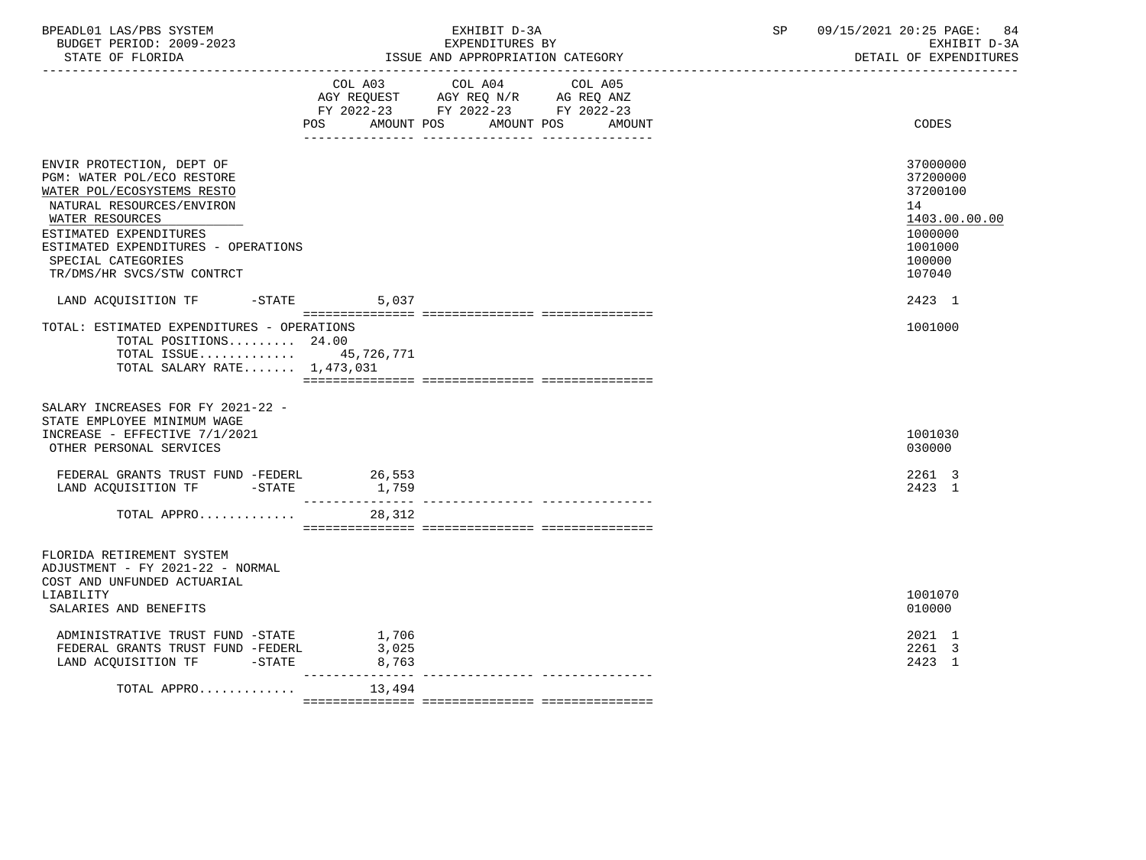| BPEADL01 LAS/PBS SYSTEM<br>BUDGET PERIOD: 2009-2023<br>STATE OF FLORIDA                                                                                                                                                                                    |                            | EXHIBIT D-3A<br>EXPENDITURES BY<br>ISSUE AND APPROPRIATION CATEGORY                                                       | SP | 09/15/2021 20:25 PAGE:<br>84<br>EXHIBIT D-3A<br>DETAIL OF EXPENDITURES                            |
|------------------------------------------------------------------------------------------------------------------------------------------------------------------------------------------------------------------------------------------------------------|----------------------------|---------------------------------------------------------------------------------------------------------------------------|----|---------------------------------------------------------------------------------------------------|
|                                                                                                                                                                                                                                                            | <b>POS</b><br>AMOUNT POS   | COL A03 COL A04 COL A05<br>AGY REQUEST AGY REQ N/R AG REQ ANZ<br>FY 2022-23 FY 2022-23 FY 2022-23<br>AMOUNT POS<br>AMOUNT |    | CODES                                                                                             |
| ENVIR PROTECTION, DEPT OF<br>PGM: WATER POL/ECO RESTORE<br>WATER POL/ECOSYSTEMS RESTO<br>NATURAL RESOURCES/ENVIRON<br>WATER RESOURCES<br>ESTIMATED EXPENDITURES<br>ESTIMATED EXPENDITURES - OPERATIONS<br>SPECIAL CATEGORIES<br>TR/DMS/HR SVCS/STW CONTRCT |                            |                                                                                                                           |    | 37000000<br>37200000<br>37200100<br>14<br>1403.00.00.00<br>1000000<br>1001000<br>100000<br>107040 |
| LAND ACQUISITION TF<br>$-$ STATE                                                                                                                                                                                                                           | 5,037                      |                                                                                                                           |    | 2423 1                                                                                            |
| TOTAL: ESTIMATED EXPENDITURES - OPERATIONS<br>TOTAL POSITIONS 24.00<br>TOTAL ISSUE 45,726,771<br>TOTAL SALARY RATE $1,473,031$<br>SALARY INCREASES FOR FY 2021-22 -                                                                                        |                            |                                                                                                                           |    | 1001000                                                                                           |
| STATE EMPLOYEE MINIMUM WAGE<br>INCREASE - EFFECTIVE 7/1/2021<br>OTHER PERSONAL SERVICES                                                                                                                                                                    |                            |                                                                                                                           |    | 1001030<br>030000                                                                                 |
| FEDERAL GRANTS TRUST FUND -FEDERL<br>LAND ACQUISITION TF -STATE                                                                                                                                                                                            | 26,553<br>1,759            |                                                                                                                           |    | 2261 3<br>2423 1                                                                                  |
| TOTAL APPRO 28,312                                                                                                                                                                                                                                         |                            |                                                                                                                           |    |                                                                                                   |
| FLORIDA RETIREMENT SYSTEM<br>ADJUSTMENT - FY 2021-22 - NORMAL<br>COST AND UNFUNDED ACTUARIAL                                                                                                                                                               |                            |                                                                                                                           |    |                                                                                                   |
| LIABILITY<br>SALARIES AND BENEFITS                                                                                                                                                                                                                         |                            |                                                                                                                           |    | 1001070<br>010000                                                                                 |
| ADMINISTRATIVE TRUST FUND -STATE<br>FEDERAL GRANTS TRUST FUND -FEDERL<br>LAND ACQUISITION TF -STATE                                                                                                                                                        | 1,706<br>3,025<br>8,763    |                                                                                                                           |    | 2021 1<br>2261 3<br>2423 1                                                                        |
| TOTAL APPRO                                                                                                                                                                                                                                                | ________________<br>13,494 |                                                                                                                           |    |                                                                                                   |
|                                                                                                                                                                                                                                                            |                            |                                                                                                                           |    |                                                                                                   |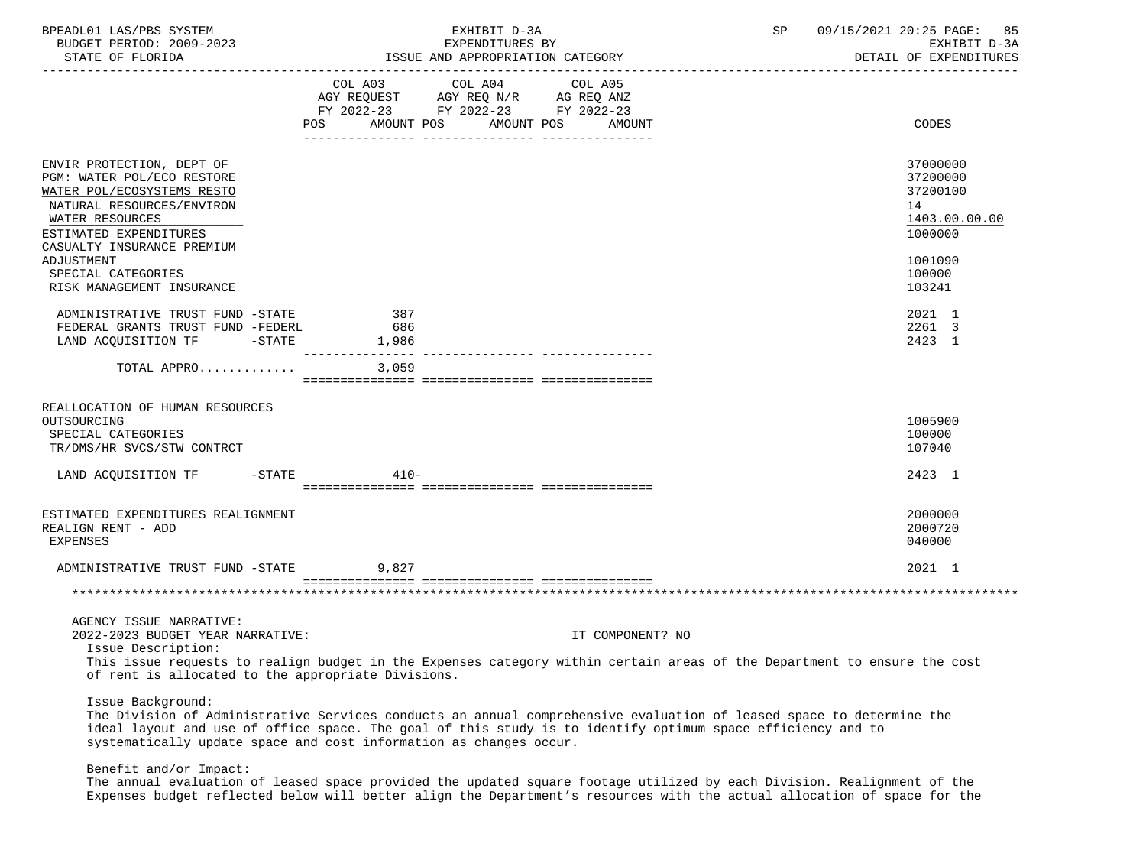| BPEADL01 LAS/PBS SYSTEM<br>BUDGET PERIOD: 2009-2023<br>STATE OF FLORIDA                                                                                                                                                                                                                                                        |            |                                                                                                                                       | EXHIBIT D-3A<br>EXPENDITURES BY |                  | SP | 09/15/2021 20:25 PAGE: 85<br>EXHIBIT D-3A<br>DETAIL OF EXPENDITURES |
|--------------------------------------------------------------------------------------------------------------------------------------------------------------------------------------------------------------------------------------------------------------------------------------------------------------------------------|------------|---------------------------------------------------------------------------------------------------------------------------------------|---------------------------------|------------------|----|---------------------------------------------------------------------|
|                                                                                                                                                                                                                                                                                                                                |            | COL A03 COL A04 COL A05<br>AGY REQUEST AGY REQ N/R AG REQ ANZ<br>FY 2022-23 FY 2022-23 FY 2022-23<br>POS AMOUNT POS AMOUNT POS AMOUNT |                                 |                  |    | CODES                                                               |
|                                                                                                                                                                                                                                                                                                                                |            |                                                                                                                                       |                                 |                  |    |                                                                     |
| ENVIR PROTECTION, DEPT OF<br>PGM: WATER POL/ECO RESTORE<br>WATER POL/ECOSYSTEMS RESTO<br>NATURAL RESOURCES/ENVIRON<br>WATER RESOURCES<br>ESTIMATED EXPENDITURES                                                                                                                                                                |            |                                                                                                                                       |                                 |                  |    | 37000000<br>37200000<br>37200100<br>14<br>1403.00.00.00<br>1000000  |
| CASUALTY INSURANCE PREMIUM<br>ADJUSTMENT<br>SPECIAL CATEGORIES                                                                                                                                                                                                                                                                 |            |                                                                                                                                       |                                 |                  |    | 1001090<br>100000                                                   |
| RISK MANAGEMENT INSURANCE                                                                                                                                                                                                                                                                                                      |            |                                                                                                                                       |                                 |                  |    | 103241                                                              |
| ADMINISTRATIVE TRUST FUND -STATE<br>FEDERAL GRANTS TRUST FUND -FEDERL<br>LAND ACQUISITION TF -STATE 1,986                                                                                                                                                                                                                      | 387<br>686 |                                                                                                                                       |                                 |                  |    | 2021 1<br>2261 3<br>2423 1                                          |
| TOTAL APPRO $3,059$                                                                                                                                                                                                                                                                                                            |            |                                                                                                                                       |                                 |                  |    |                                                                     |
| REALLOCATION OF HUMAN RESOURCES<br>OUTSOURCING<br>SPECIAL CATEGORIES<br>TR/DMS/HR SVCS/STW CONTRCT<br>LAND ACQUISITION TF -STATE                                                                                                                                                                                               | $410-$     |                                                                                                                                       |                                 |                  |    | 1005900<br>100000<br>107040<br>2423 1                               |
|                                                                                                                                                                                                                                                                                                                                |            |                                                                                                                                       |                                 |                  |    |                                                                     |
| ESTIMATED EXPENDITURES REALIGNMENT<br>REALIGN RENT - ADD<br><b>EXPENSES</b>                                                                                                                                                                                                                                                    |            |                                                                                                                                       |                                 |                  |    | 2000000<br>2000720<br>040000                                        |
| ADMINISTRATIVE TRUST FUND -STATE 9,827                                                                                                                                                                                                                                                                                         |            |                                                                                                                                       |                                 |                  |    | 2021 1                                                              |
|                                                                                                                                                                                                                                                                                                                                |            |                                                                                                                                       |                                 |                  |    |                                                                     |
| AGENCY ISSUE NARRATIVE:                                                                                                                                                                                                                                                                                                        |            |                                                                                                                                       |                                 |                  |    |                                                                     |
| 2022-2023 BUDGET YEAR NARRATIVE:                                                                                                                                                                                                                                                                                               |            |                                                                                                                                       |                                 | IT COMPONENT? NO |    |                                                                     |
| Issue Description:<br>This issue requests to realign budget in the Expenses category within certain areas of the Department to ensure the cost<br>of rent is allocated to the appropriate Divisions.                                                                                                                           |            |                                                                                                                                       |                                 |                  |    |                                                                     |
| Issue Background:<br>The Division of Administrative Services conducts an annual comprehensive evaluation of leased space to determine the<br>ideal layout and use of office space. The goal of this study is to identify optimum space efficiency and to<br>systematically update space and cost information as changes occur. |            |                                                                                                                                       |                                 |                  |    |                                                                     |

Benefit and/or Impact:

 The annual evaluation of leased space provided the updated square footage utilized by each Division. Realignment of the Expenses budget reflected below will better align the Department's resources with the actual allocation of space for the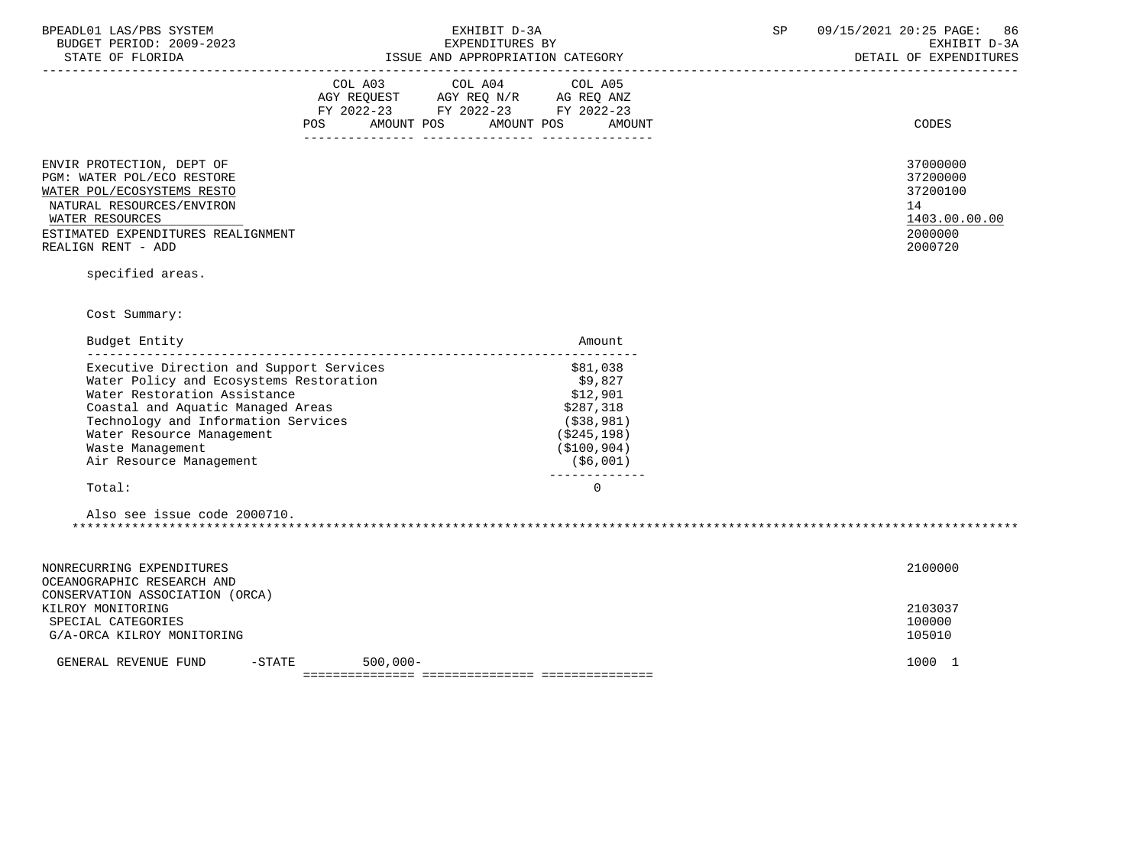| BPEADL01 LAS/PBS SYSTEM |                           |                          |
|-------------------------|---------------------------|--------------------------|
|                         |                           | BUDGET PERIOD: 2009-2023 |
|                         | $CDMMD$ $CD$ $DT$ $CDTDA$ |                          |

STATE OF FLORIDA **ISSUE AND APPROPRIATION CATEGORY ISSUE AND APPROPRIATION** CATEGORY

|                                                                                                                                                                                                   | COL A03<br>AGY REQUEST<br>FY 2022-23<br>POS<br>AMOUNT POS | COL A04 COL A05<br>AGY REQ N/R<br>FY 2022-23 FY 2022-23<br>AMOUNT POS | AG REQ ANZ<br>AMOUNT | CODES                                                                         |
|---------------------------------------------------------------------------------------------------------------------------------------------------------------------------------------------------|-----------------------------------------------------------|-----------------------------------------------------------------------|----------------------|-------------------------------------------------------------------------------|
| ENVIR PROTECTION, DEPT OF<br>PGM: WATER POL/ECO RESTORE<br>WATER POL/ECOSYSTEMS RESTO<br>NATURAL RESOURCES/ENVIRON<br>WATER RESOURCES<br>ESTIMATED EXPENDITURES REALIGNMENT<br>REALIGN RENT - ADD |                                                           |                                                                       |                      | 37000000<br>37200000<br>37200100<br>14<br>1403.00.00.00<br>2000000<br>2000720 |

specified areas.

Cost Summary:

| Budget Entity                            | Amount      |
|------------------------------------------|-------------|
| Executive Direction and Support Services | \$81,038    |
| Water Policy and Ecosystems Restoration  | \$9.827     |
| Water Restoration Assistance             | \$12,901    |
| Coastal and Aquatic Managed Areas        | \$287,318   |
| Technology and Information Services      | (\$38,981)  |
| Water Resource Management                | (\$245,198) |
| Waste Management                         | (\$100,904) |
| Air Resource Management                  | (\$6,001)   |
| Total:                                   | O           |
|                                          |             |

| 2000710<br>Also see issue code |  |
|--------------------------------|--|
|                                |  |

| 2100000<br>NONRECURRING EXPENDITURES<br>OCEANOGRAPHIC RESEARCH AND<br>CONSERVATION ASSOCIATION (ORCA) |                                      |             |  |      |  |  |
|-------------------------------------------------------------------------------------------------------|--------------------------------------|-------------|--|------|--|--|
|                                                                                                       |                                      |             |  |      |  |  |
| 2103037<br>KILROY MONITORING                                                                          |                                      |             |  |      |  |  |
| SPECIAL CATEGORIES                                                                                    | 100000                               |             |  |      |  |  |
|                                                                                                       | 105010<br>G/A-ORCA KILROY MONITORING |             |  |      |  |  |
| GENERAL REVENUE FUND                                                                                  | $-$ STATE                            | $500,000 -$ |  | 1000 |  |  |
|                                                                                                       |                                      |             |  |      |  |  |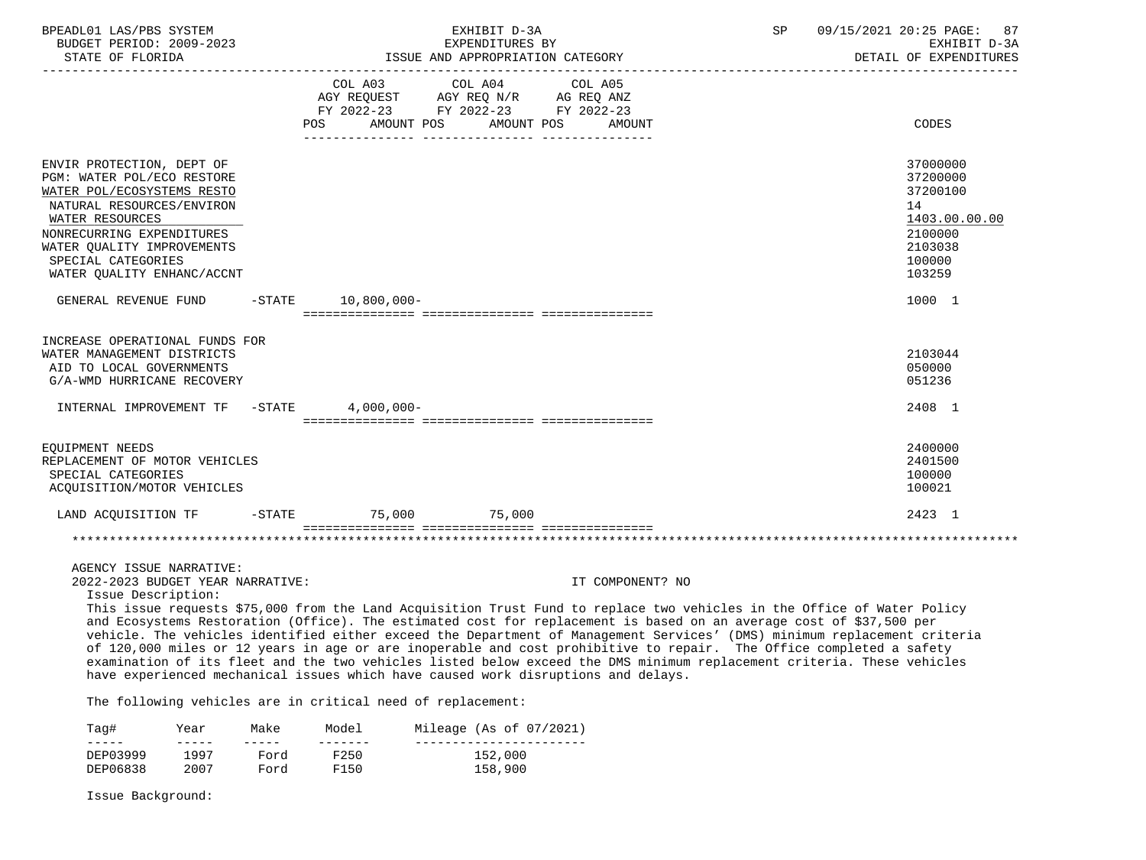| BPEADL01 LAS/PBS SYSTEM<br>BUDGET PERIOD: 2009-2023<br>STATE OF FLORIDA                                                                                                                                                                                                                                                                                                                                                                                                                                                                                                                                                                                                                                                                                                                               |                                    |                                                                                                 | EXHIBIT D-3A<br>EXPENDITURES BY<br>ISSUE AND APPROPRIATION CATEGORY |                  | SP | 09/15/2021 20:25 PAGE: 87<br>EXHIBIT D-3A<br>DETAIL OF EXPENDITURES                                         |
|-------------------------------------------------------------------------------------------------------------------------------------------------------------------------------------------------------------------------------------------------------------------------------------------------------------------------------------------------------------------------------------------------------------------------------------------------------------------------------------------------------------------------------------------------------------------------------------------------------------------------------------------------------------------------------------------------------------------------------------------------------------------------------------------------------|------------------------------------|-------------------------------------------------------------------------------------------------|---------------------------------------------------------------------|------------------|----|-------------------------------------------------------------------------------------------------------------|
|                                                                                                                                                                                                                                                                                                                                                                                                                                                                                                                                                                                                                                                                                                                                                                                                       | <b>POS</b>                         | COL A03<br>AGY REQUEST AGY REQ N/R AG REQ ANZ<br>FY 2022-23 FY 2022-23 FY 2022-23<br>AMOUNT POS | COL A04 COL A05<br>AMOUNT POS                                       | AMOUNT           |    | CODES                                                                                                       |
| ENVIR PROTECTION, DEPT OF<br>PGM: WATER POL/ECO RESTORE<br>WATER POL/ECOSYSTEMS RESTO<br>NATURAL RESOURCES/ENVIRON<br>WATER RESOURCES<br>NONRECURRING EXPENDITURES<br>WATER OUALITY IMPROVEMENTS<br>SPECIAL CATEGORIES<br>WATER QUALITY ENHANC/ACCNT<br>GENERAL REVENUE FUND                                                                                                                                                                                                                                                                                                                                                                                                                                                                                                                          |                                    | $-STATE$ 10,800,000-                                                                            |                                                                     |                  |    | 37000000<br>37200000<br>37200100<br>14<br>1403.00.00.00<br>2100000<br>2103038<br>100000<br>103259<br>1000 1 |
| INCREASE OPERATIONAL FUNDS FOR<br>WATER MANAGEMENT DISTRICTS<br>AID TO LOCAL GOVERNMENTS<br>G/A-WMD HURRICANE RECOVERY                                                                                                                                                                                                                                                                                                                                                                                                                                                                                                                                                                                                                                                                                |                                    |                                                                                                 |                                                                     |                  |    | 2103044<br>050000<br>051236                                                                                 |
| INTERNAL IMPROVEMENT TF -STATE                                                                                                                                                                                                                                                                                                                                                                                                                                                                                                                                                                                                                                                                                                                                                                        |                                    | $4,000,000-$                                                                                    |                                                                     |                  |    | 2408 1                                                                                                      |
| EQUIPMENT NEEDS<br>REPLACEMENT OF MOTOR VEHICLES<br>SPECIAL CATEGORIES<br>ACQUISITION/MOTOR VEHICLES                                                                                                                                                                                                                                                                                                                                                                                                                                                                                                                                                                                                                                                                                                  |                                    |                                                                                                 |                                                                     |                  |    | 2400000<br>2401500<br>100000<br>100021                                                                      |
| LAND ACQUISITION TF                                                                                                                                                                                                                                                                                                                                                                                                                                                                                                                                                                                                                                                                                                                                                                                   |                                    | -STATE 75,000 75,000                                                                            |                                                                     |                  |    | 2423 1                                                                                                      |
|                                                                                                                                                                                                                                                                                                                                                                                                                                                                                                                                                                                                                                                                                                                                                                                                       |                                    |                                                                                                 |                                                                     |                  |    |                                                                                                             |
| AGENCY ISSUE NARRATIVE:<br>2022-2023 BUDGET YEAR NARRATIVE:<br>Issue Description:<br>This issue requests \$75,000 from the Land Acquisition Trust Fund to replace two vehicles in the Office of Water Policy<br>and Ecosystems Restoration (Office). The estimated cost for replacement is based on an average cost of \$37,500 per<br>vehicle. The vehicles identified either exceed the Department of Management Services' (DMS) minimum replacement criteria<br>of 120,000 miles or 12 years in age or are inoperable and cost prohibitive to repair. The Office completed a safety<br>examination of its fleet and the two vehicles listed below exceed the DMS minimum replacement criteria. These vehicles<br>have experienced mechanical issues which have caused work disruptions and delays. |                                    |                                                                                                 |                                                                     | IT COMPONENT? NO |    |                                                                                                             |
| The following vehicles are in critical need of replacement:                                                                                                                                                                                                                                                                                                                                                                                                                                                                                                                                                                                                                                                                                                                                           |                                    |                                                                                                 |                                                                     |                  |    |                                                                                                             |
|                                                                                                                                                                                                                                                                                                                                                                                                                                                                                                                                                                                                                                                                                                                                                                                                       | $\sim$ $\sim$ $\sim$ $\sim$ $\sim$ |                                                                                                 |                                                                     |                  |    |                                                                                                             |

| Taq#     | Year | Make | Model | Mileage (As of 07/2021) |
|----------|------|------|-------|-------------------------|
| _____    |      |      |       |                         |
| DEP03999 | 1997 | Ford | F250  | 152,000                 |
| DEP06838 | 2007 | Ford | F150  | 158,900                 |

Issue Background: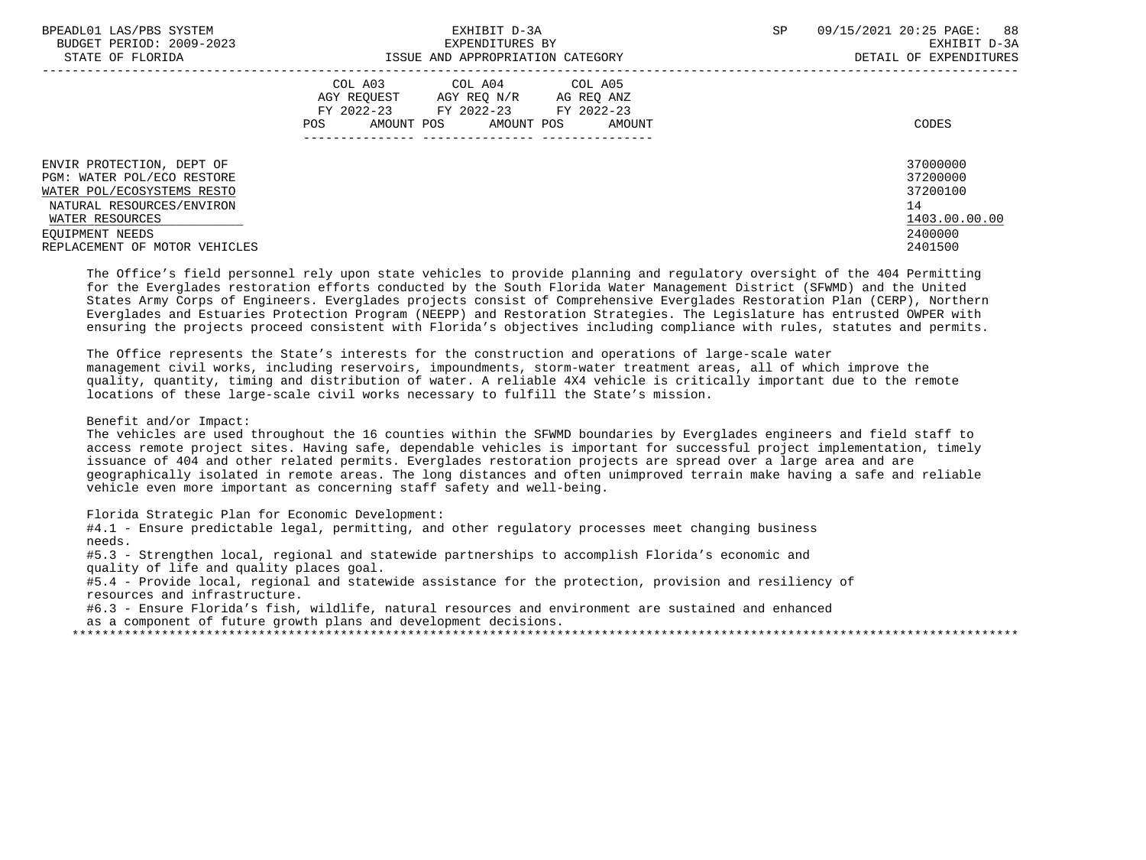| BPEADL01 LAS/PBS SYSTEM<br>BUDGET PERIOD: 2009-2023     | EXHIBIT D-3A<br>EXPENDITURES BY                                                                                                                   | SP<br>09/15/2021 20:25 PAGE: 88<br>EXHIBIT D-3A |
|---------------------------------------------------------|---------------------------------------------------------------------------------------------------------------------------------------------------|-------------------------------------------------|
| STATE OF FLORIDA                                        | ISSUE AND APPROPRIATION CATEGORY                                                                                                                  | DETAIL OF EXPENDITURES                          |
|                                                         | COL A03 COL A04 COL A05<br>AGY REOUEST<br>AGY REQ N/R<br>AG REQ ANZ<br>FY 2022-23 FY 2022-23 FY 2022-23<br>AMOUNT POS AMOUNT POS<br>POS<br>AMOUNT | CODES                                           |
| ENVIR PROTECTION, DEPT OF<br>PGM: WATER POL/ECO RESTORE |                                                                                                                                                   | 37000000<br>37200000                            |
| WATER POL/ECOSYSTEMS RESTO                              |                                                                                                                                                   | 37200100                                        |
| NATURAL RESOURCES/ENVIRON                               |                                                                                                                                                   | 14                                              |
| WATER RESOURCES                                         |                                                                                                                                                   | 1403.00.00.00                                   |
| EOUIPMENT NEEDS                                         |                                                                                                                                                   | 2400000                                         |
| REPLACEMENT OF MOTOR VEHICLES                           |                                                                                                                                                   | 2401500                                         |

 The Office's field personnel rely upon state vehicles to provide planning and regulatory oversight of the 404 Permitting for the Everglades restoration efforts conducted by the South Florida Water Management District (SFWMD) and the United States Army Corps of Engineers. Everglades projects consist of Comprehensive Everglades Restoration Plan (CERP), Northern Everglades and Estuaries Protection Program (NEEPP) and Restoration Strategies. The Legislature has entrusted OWPER with ensuring the projects proceed consistent with Florida's objectives including compliance with rules, statutes and permits.

 The Office represents the State's interests for the construction and operations of large-scale water management civil works, including reservoirs, impoundments, storm-water treatment areas, all of which improve the quality, quantity, timing and distribution of water. A reliable 4X4 vehicle is critically important due to the remote locations of these large-scale civil works necessary to fulfill the State's mission.

Benefit and/or Impact:

 The vehicles are used throughout the 16 counties within the SFWMD boundaries by Everglades engineers and field staff to access remote project sites. Having safe, dependable vehicles is important for successful project implementation, timely issuance of 404 and other related permits. Everglades restoration projects are spread over a large area and are geographically isolated in remote areas. The long distances and often unimproved terrain make having a safe and reliable vehicle even more important as concerning staff safety and well-being.

Florida Strategic Plan for Economic Development:

 #4.1 - Ensure predictable legal, permitting, and other regulatory processes meet changing business needs.

 #5.3 - Strengthen local, regional and statewide partnerships to accomplish Florida's economic and quality of life and quality places goal.

 #5.4 - Provide local, regional and statewide assistance for the protection, provision and resiliency of resources and infrastructure.

 #6.3 - Ensure Florida's fish, wildlife, natural resources and environment are sustained and enhanced as a component of future growth plans and development decisions.

\*\*\*\*\*\*\*\*\*\*\*\*\*\*\*\*\*\*\*\*\*\*\*\*\*\*\*\*\*\*\*\*\*\*\*\*\*\*\*\*\*\*\*\*\*\*\*\*\*\*\*\*\*\*\*\*\*\*\*\*\*\*\*\*\*\*\*\*\*\*\*\*\*\*\*\*\*\*\*\*\*\*\*\*\*\*\*\*\*\*\*\*\*\*\*\*\*\*\*\*\*\*\*\*\*\*\*\*\*\*\*\*\*\*\*\*\*\*\*\*\*\*\*\*\*\*\*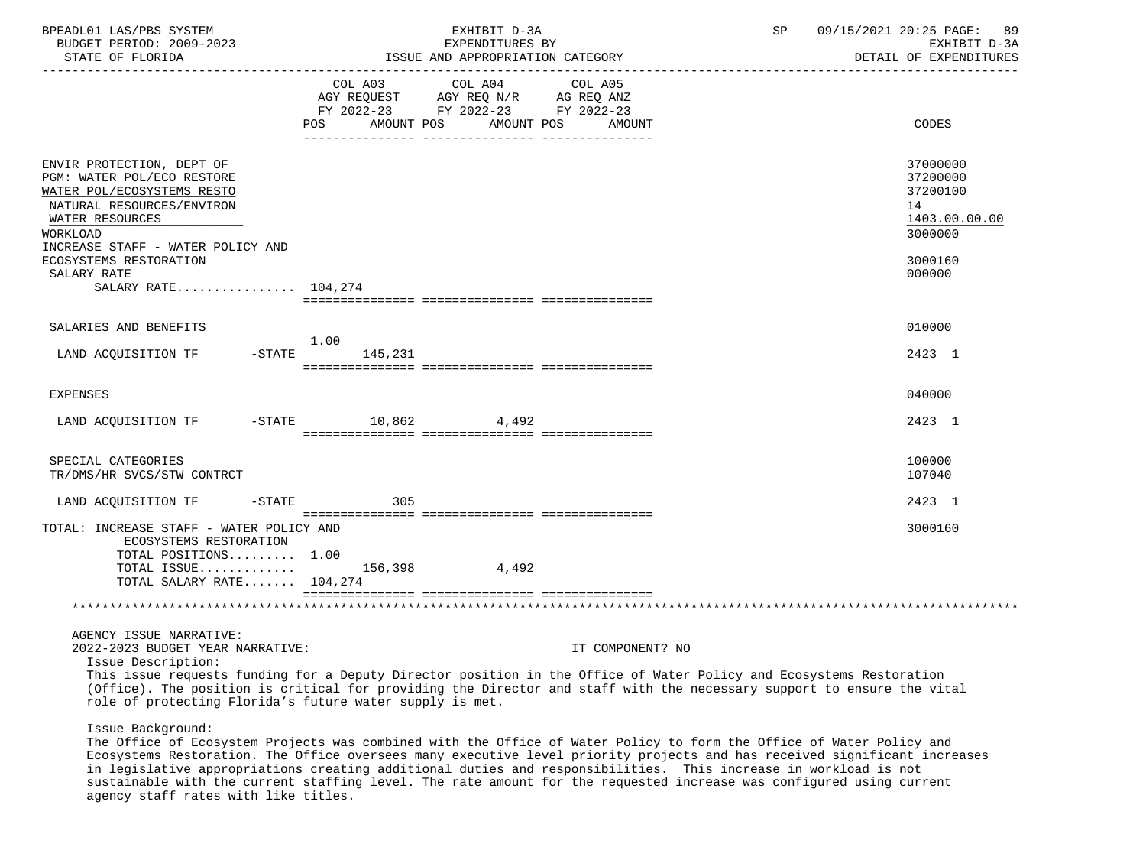| BPEADL01 LAS/PBS SYSTEM<br>BUDGET PERIOD: 2009-2023<br>STATE OF FLORIDA                                                                                                                |                     | EXHIBIT D-3A<br>EXPENDITURES BY<br>ISSUE AND APPROPRIATION CATEGORY                                                       | 09/15/2021 20:25 PAGE:<br>SP<br>- 89<br>EXHIBIT D-3A<br>DETAIL OF EXPENDITURES                                                                                                                                                                |
|----------------------------------------------------------------------------------------------------------------------------------------------------------------------------------------|---------------------|---------------------------------------------------------------------------------------------------------------------------|-----------------------------------------------------------------------------------------------------------------------------------------------------------------------------------------------------------------------------------------------|
|                                                                                                                                                                                        | POS.<br>AMOUNT POS  | COL A03 COL A04 COL A05<br>AGY REQUEST AGY REQ N/R AG REQ ANZ<br>FY 2022-23 FY 2022-23 FY 2022-23<br>AMOUNT POS<br>AMOUNT | CODES                                                                                                                                                                                                                                         |
| ENVIR PROTECTION, DEPT OF<br>PGM: WATER POL/ECO RESTORE<br>WATER POL/ECOSYSTEMS RESTO<br>NATURAL RESOURCES/ENVIRON<br>WATER RESOURCES<br>WORKLOAD<br>INCREASE STAFF - WATER POLICY AND |                     |                                                                                                                           | 37000000<br>37200000<br>37200100<br>14<br>1403.00.00.00<br>3000000                                                                                                                                                                            |
| ECOSYSTEMS RESTORATION<br>SALARY RATE<br>SALARY RATE 104,274                                                                                                                           |                     |                                                                                                                           | 3000160<br>000000                                                                                                                                                                                                                             |
| SALARIES AND BENEFITS                                                                                                                                                                  |                     |                                                                                                                           | 010000                                                                                                                                                                                                                                        |
|                                                                                                                                                                                        | 1.00                |                                                                                                                           |                                                                                                                                                                                                                                               |
| LAND ACQUISITION TF -STATE                                                                                                                                                             | 145,231             |                                                                                                                           | 2423 1                                                                                                                                                                                                                                        |
| <b>EXPENSES</b>                                                                                                                                                                        |                     |                                                                                                                           | 040000                                                                                                                                                                                                                                        |
| LAND ACQUISITION TF                                                                                                                                                                    | -STATE 10,862 4,492 |                                                                                                                           | 2423 1                                                                                                                                                                                                                                        |
| SPECIAL CATEGORIES<br>TR/DMS/HR SVCS/STW CONTRCT                                                                                                                                       |                     |                                                                                                                           | 100000<br>107040                                                                                                                                                                                                                              |
| LAND ACQUISITION TF<br>$-$ STATE                                                                                                                                                       | 305                 |                                                                                                                           | 2423 1                                                                                                                                                                                                                                        |
| TOTAL: INCREASE STAFF - WATER POLICY AND<br>ECOSYSTEMS RESTORATION<br>TOTAL POSITIONS 1.00<br>TOTAL ISSUE<br>TOTAL SALARY RATE 104,274                                                 |                     | 156,398 4,492                                                                                                             | 3000160                                                                                                                                                                                                                                       |
|                                                                                                                                                                                        |                     |                                                                                                                           |                                                                                                                                                                                                                                               |
| AGENCY ISSUE NARRATIVE:<br>2022-2023 BUDGET YEAR NARRATIVE:<br>Issue Description:                                                                                                      |                     | IT COMPONENT? NO                                                                                                          | This issue requests funding for a Deputy Director position in the Office of Water Policy and Ecosystems Restoration<br>(Office). The position is critical for providing the Director and staff with the necessary support to ensure the vital |

role of protecting Florida's future water supply is met.

Issue Background:

 The Office of Ecosystem Projects was combined with the Office of Water Policy to form the Office of Water Policy and Ecosystems Restoration. The Office oversees many executive level priority projects and has received significant increases in legislative appropriations creating additional duties and responsibilities. This increase in workload is not sustainable with the current staffing level. The rate amount for the requested increase was configured using current agency staff rates with like titles.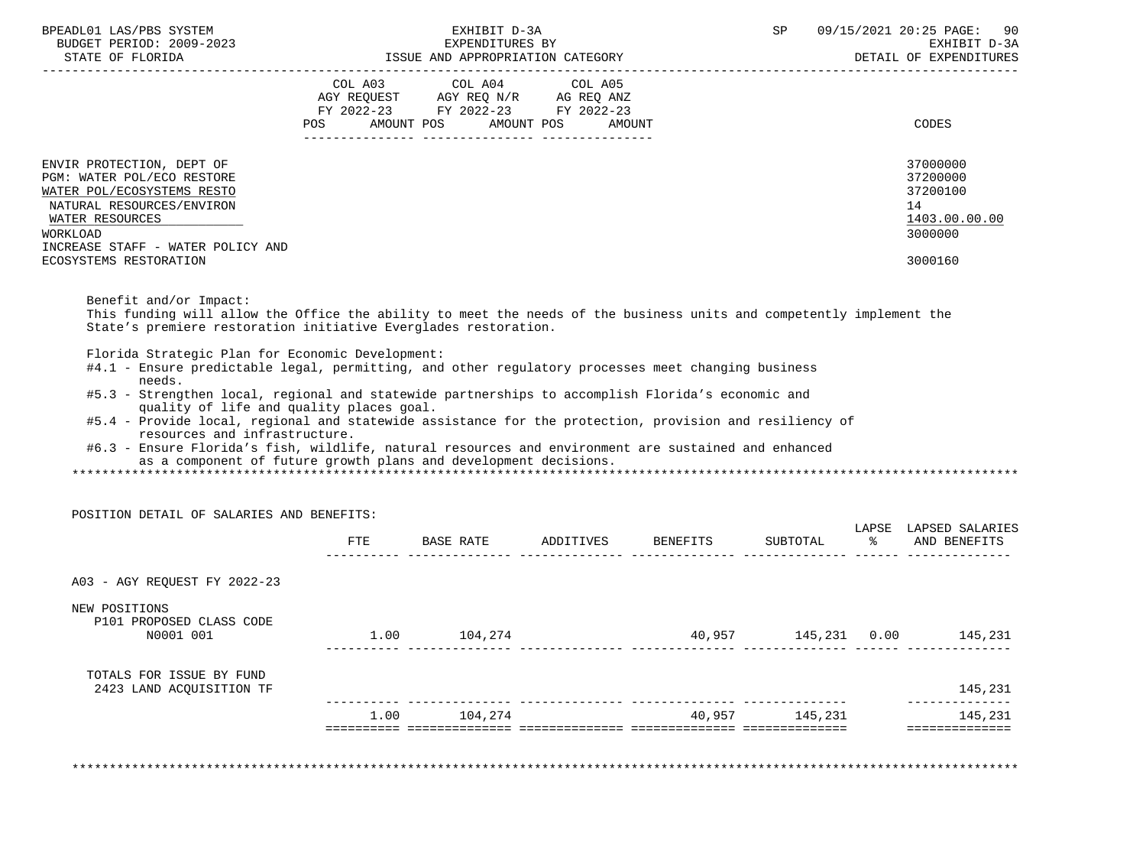| BPEADL01 LAS/PBS SYSTEM<br>BUDGET PERIOD: 2009-2023                                                                                                                                                                                                                                                                                                                                                                                                                                                                                                                                   |      | EXHIBIT D-3A                                                | EXPENDITURES BY |                                  | SP                  | 09/15/2021 20:25 PAGE: 90<br>EXHIBIT D-3A<br>DETAIL OF EXPENDITURES           |
|---------------------------------------------------------------------------------------------------------------------------------------------------------------------------------------------------------------------------------------------------------------------------------------------------------------------------------------------------------------------------------------------------------------------------------------------------------------------------------------------------------------------------------------------------------------------------------------|------|-------------------------------------------------------------|-----------------|----------------------------------|---------------------|-------------------------------------------------------------------------------|
|                                                                                                                                                                                                                                                                                                                                                                                                                                                                                                                                                                                       |      | COL A03 COL A04 COL A05<br>POS AMOUNT POS AMOUNT POS AMOUNT |                 |                                  |                     | CODES                                                                         |
| ENVIR PROTECTION, DEPT OF<br>PGM: WATER POL/ECO RESTORE<br>WATER POL/ECOSYSTEMS RESTO<br>NATURAL RESOURCES/ENVIRON<br>WATER RESOURCES<br>WORKLOAD<br>INCREASE STAFF - WATER POLICY AND<br>ECOSYSTEMS RESTORATION                                                                                                                                                                                                                                                                                                                                                                      |      |                                                             |                 |                                  |                     | 37000000<br>37200000<br>37200100<br>14<br>1403.00.00.00<br>3000000<br>3000160 |
| Benefit and/or Impact:<br>This funding will allow the Office the ability to meet the needs of the business units and competently implement the<br>State's premiere restoration initiative Everglades restoration.<br>Florida Strategic Plan for Economic Development:                                                                                                                                                                                                                                                                                                                 |      |                                                             |                 |                                  |                     |                                                                               |
| #4.1 - Ensure predictable legal, permitting, and other regulatory processes meet changing business<br>needs.<br>#5.3 - Strengthen local, regional and statewide partnerships to accomplish Florida's economic and<br>quality of life and quality places goal.<br>#5.4 - Provide local, regional and statewide assistance for the protection, provision and resiliency of<br>resources and infrastructure.<br>#6.3 - Ensure Florida's fish, wildlife, natural resources and environment are sustained and enhanced<br>as a component of future growth plans and development decisions. |      |                                                             |                 |                                  |                     |                                                                               |
| POSITION DETAIL OF SALARIES AND BENEFITS:                                                                                                                                                                                                                                                                                                                                                                                                                                                                                                                                             |      |                                                             |                 |                                  |                     |                                                                               |
|                                                                                                                                                                                                                                                                                                                                                                                                                                                                                                                                                                                       |      |                                                             |                 | FTE BASE RATE ADDITIVES BENEFITS |                     | LAPSE LAPSED SALARIES<br>SUBTOTAL % AND BENEFITS                              |
| A03 - AGY REQUEST FY 2022-23                                                                                                                                                                                                                                                                                                                                                                                                                                                                                                                                                          |      |                                                             |                 |                                  |                     |                                                                               |
| NEW POSITIONS<br>P101 PROPOSED CLASS CODE<br>N0001 001                                                                                                                                                                                                                                                                                                                                                                                                                                                                                                                                |      | 1.00 104,274                                                |                 |                                  | 40,957 145,231 0.00 | 145,231                                                                       |
| TOTALS FOR ISSUE BY FUND<br>2423 LAND ACQUISITION TF                                                                                                                                                                                                                                                                                                                                                                                                                                                                                                                                  |      |                                                             |                 |                                  |                     | 145,231                                                                       |
|                                                                                                                                                                                                                                                                                                                                                                                                                                                                                                                                                                                       | 1.00 | 104,274                                                     |                 |                                  | 40,957 145,231      | 145,231<br>==============                                                     |
|                                                                                                                                                                                                                                                                                                                                                                                                                                                                                                                                                                                       |      |                                                             |                 |                                  |                     |                                                                               |

\*\*\*\*\*\*\*\*\*\*\*\*\*\*\*\*\*\*\*\*\*\*\*\*\*\*\*\*\*\*\*\*\*\*\*\*\*\*\*\*\*\*\*\*\*\*\*\*\*\*\*\*\*\*\*\*\*\*\*\*\*\*\*\*\*\*\*\*\*\*\*\*\*\*\*\*\*\*\*\*\*\*\*\*\*\*\*\*\*\*\*\*\*\*\*\*\*\*\*\*\*\*\*\*\*\*\*\*\*\*\*\*\*\*\*\*\*\*\*\*\*\*\*\*\*\*\*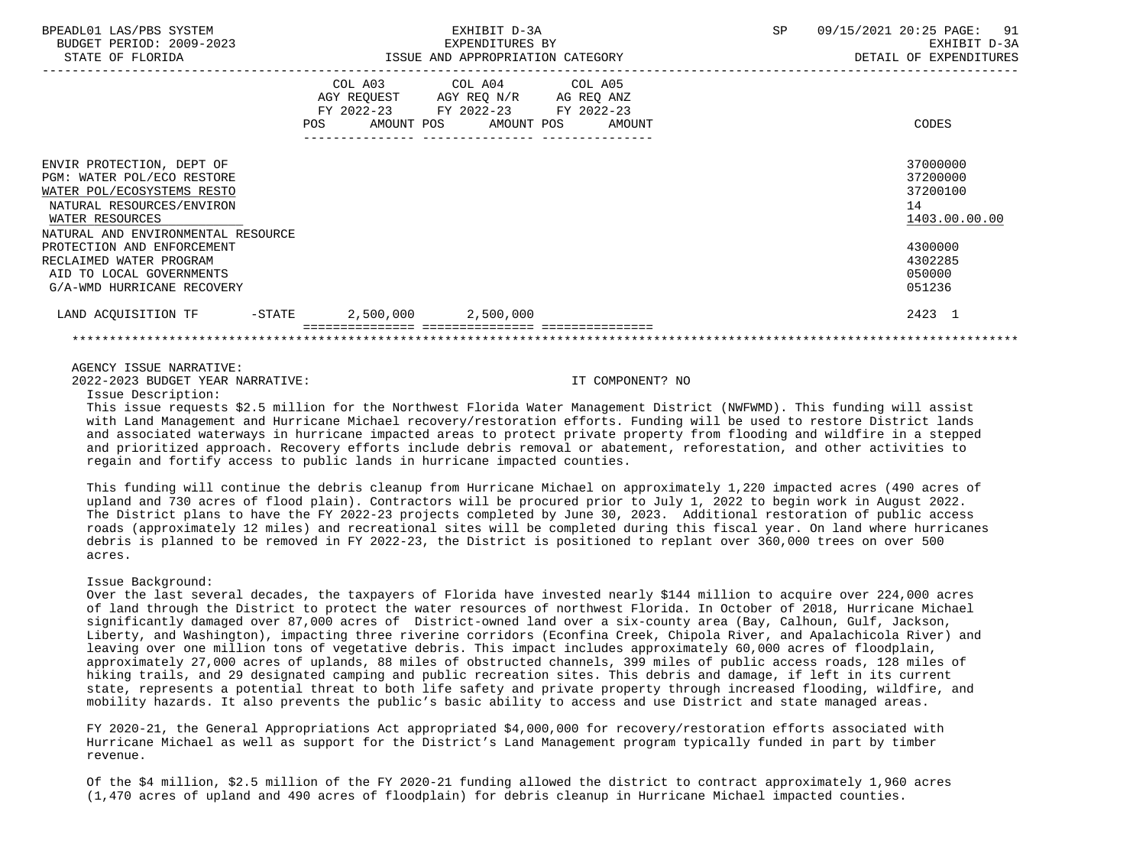| BPEADL01 LAS/PBS SYSTEM<br>BUDGET PERIOD: 2009-2023                                                                                                                         | EXHIBIT D-3A |                                                                                                                                   |  | SP | 09/15/2021 20:25 PAGE: 91                               |
|-----------------------------------------------------------------------------------------------------------------------------------------------------------------------------|--------------|-----------------------------------------------------------------------------------------------------------------------------------|--|----|---------------------------------------------------------|
| STATE OF FLORIDA                                                                                                                                                            |              | EXPENDITURES BY<br>ISSUE AND APPROPRIATION CATEGORY                                                                               |  |    | EXHIBIT D-3A<br>DETAIL OF EXPENDITURES                  |
|                                                                                                                                                                             | POS          | COL A03 COL A04 COL A05<br>AGY REOUEST AGY REO N/R AG REO ANZ<br>FY 2022-23 FY 2022-23 FY 2022-23<br>AMOUNT POS AMOUNT POS AMOUNT |  |    | CODES                                                   |
| ENVIR PROTECTION, DEPT OF<br>PGM: WATER POL/ECO RESTORE<br>WATER POL/ECOSYSTEMS RESTO<br>NATURAL RESOURCES/ENVIRON<br>WATER RESOURCES<br>NATURAL AND ENVIRONMENTAL RESOURCE |              |                                                                                                                                   |  |    | 37000000<br>37200000<br>37200100<br>14<br>1403.00.00.00 |
| PROTECTION AND ENFORCEMENT<br>RECLAIMED WATER PROGRAM<br>AID TO LOCAL GOVERNMENTS<br>G/A-WMD HURRICANE RECOVERY                                                             |              |                                                                                                                                   |  |    | 4300000<br>4302285<br>050000<br>051236                  |
| LAND ACQUISITION TF -STATE 2,500,000 2,500,000                                                                                                                              |              |                                                                                                                                   |  |    | 2423 1                                                  |
|                                                                                                                                                                             |              |                                                                                                                                   |  |    |                                                         |

AGENCY ISSUE NARRATIVE:

2022-2023 BUDGET YEAR NARRATIVE: IT COMPONENT? NO

Issue Description:

 This issue requests \$2.5 million for the Northwest Florida Water Management District (NWFWMD). This funding will assist with Land Management and Hurricane Michael recovery/restoration efforts. Funding will be used to restore District lands and associated waterways in hurricane impacted areas to protect private property from flooding and wildfire in a stepped and prioritized approach. Recovery efforts include debris removal or abatement, reforestation, and other activities to regain and fortify access to public lands in hurricane impacted counties.

 This funding will continue the debris cleanup from Hurricane Michael on approximately 1,220 impacted acres (490 acres of upland and 730 acres of flood plain). Contractors will be procured prior to July 1, 2022 to begin work in August 2022. The District plans to have the FY 2022-23 projects completed by June 30, 2023. Additional restoration of public access roads (approximately 12 miles) and recreational sites will be completed during this fiscal year. On land where hurricanes debris is planned to be removed in FY 2022-23, the District is positioned to replant over 360,000 trees on over 500 acres.

## Issue Background:

 Over the last several decades, the taxpayers of Florida have invested nearly \$144 million to acquire over 224,000 acres of land through the District to protect the water resources of northwest Florida. In October of 2018, Hurricane Michael significantly damaged over 87,000 acres of District-owned land over a six-county area (Bay, Calhoun, Gulf, Jackson, Liberty, and Washington), impacting three riverine corridors (Econfina Creek, Chipola River, and Apalachicola River) and leaving over one million tons of vegetative debris. This impact includes approximately 60,000 acres of floodplain, approximately 27,000 acres of uplands, 88 miles of obstructed channels, 399 miles of public access roads, 128 miles of hiking trails, and 29 designated camping and public recreation sites. This debris and damage, if left in its current state, represents a potential threat to both life safety and private property through increased flooding, wildfire, and mobility hazards. It also prevents the public's basic ability to access and use District and state managed areas.

 FY 2020-21, the General Appropriations Act appropriated \$4,000,000 for recovery/restoration efforts associated with Hurricane Michael as well as support for the District's Land Management program typically funded in part by timber revenue.

 Of the \$4 million, \$2.5 million of the FY 2020-21 funding allowed the district to contract approximately 1,960 acres (1,470 acres of upland and 490 acres of floodplain) for debris cleanup in Hurricane Michael impacted counties.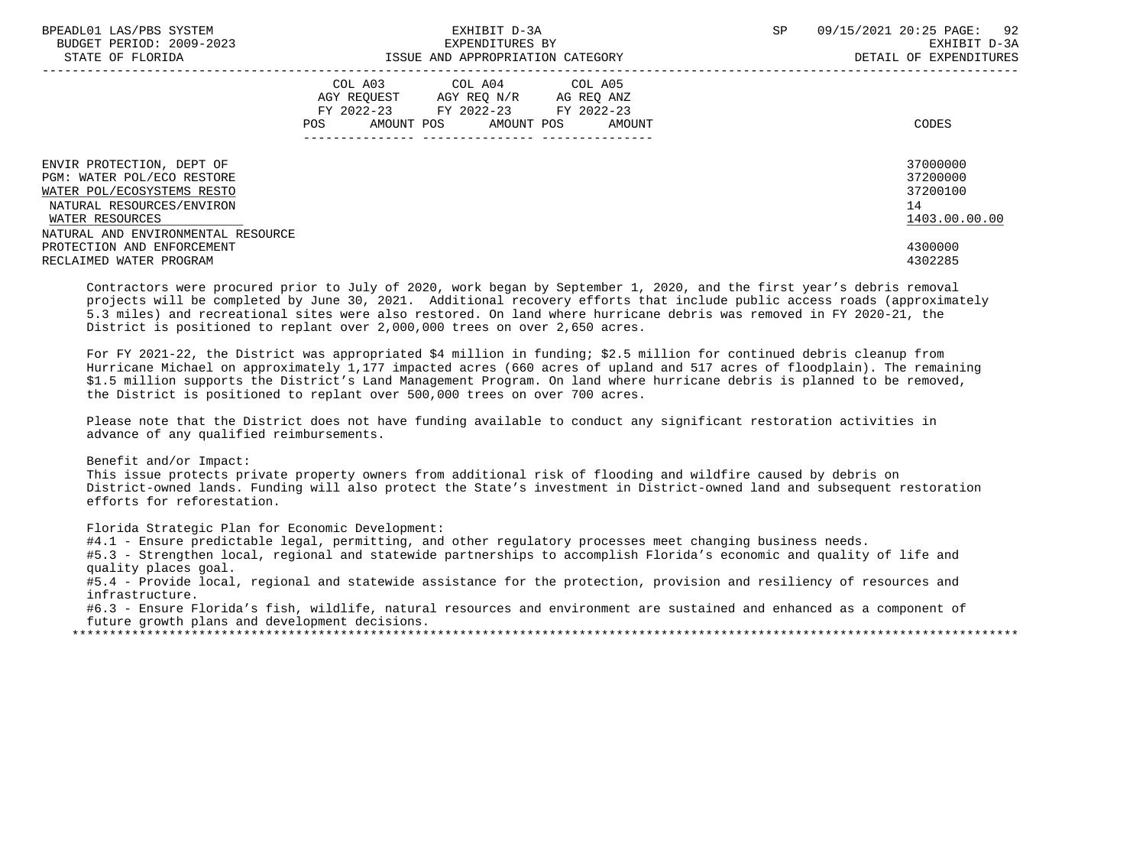| BPEADL01 LAS/PBS SYSTEM<br>BUDGET PERIOD: 2009-2023<br>STATE OF FLORIDA                                                                                                     | EXHIBIT D-3A<br>EXPENDITURES BY<br>ISSUE AND APPROPRIATION CATEGORY                                                                            | 92<br><b>SP</b><br>09/15/2021 20:25 PAGE:<br>EXHIBIT D-3A<br>DETAIL OF EXPENDITURES |
|-----------------------------------------------------------------------------------------------------------------------------------------------------------------------------|------------------------------------------------------------------------------------------------------------------------------------------------|-------------------------------------------------------------------------------------|
|                                                                                                                                                                             | COL A03<br>COL A04 COL A05<br>AGY REOUEST AGY REO N/R<br>AG REQ ANZ<br>FY 2022-23 FY 2022-23 FY 2022-23<br>POS<br>AMOUNT POS AMOUNT POS AMOUNT | CODES                                                                               |
| ENVIR PROTECTION, DEPT OF<br>PGM: WATER POL/ECO RESTORE<br>WATER POL/ECOSYSTEMS RESTO<br>NATURAL RESOURCES/ENVIRON<br>WATER RESOURCES<br>NATURAL AND ENVIRONMENTAL RESOURCE |                                                                                                                                                | 37000000<br>37200000<br>37200100<br>14<br>1403.00.00.00                             |
| PROTECTION AND ENFORCEMENT<br>RECLAIMED WATER PROGRAM                                                                                                                       |                                                                                                                                                | 4300000<br>4302285                                                                  |

 Contractors were procured prior to July of 2020, work began by September 1, 2020, and the first year's debris removal projects will be completed by June 30, 2021. Additional recovery efforts that include public access roads (approximately 5.3 miles) and recreational sites were also restored. On land where hurricane debris was removed in FY 2020-21, the District is positioned to replant over 2,000,000 trees on over 2,650 acres.

 For FY 2021-22, the District was appropriated \$4 million in funding; \$2.5 million for continued debris cleanup from Hurricane Michael on approximately 1,177 impacted acres (660 acres of upland and 517 acres of floodplain). The remaining \$1.5 million supports the District's Land Management Program. On land where hurricane debris is planned to be removed, the District is positioned to replant over 500,000 trees on over 700 acres.

 Please note that the District does not have funding available to conduct any significant restoration activities in advance of any qualified reimbursements.

Benefit and/or Impact:

 This issue protects private property owners from additional risk of flooding and wildfire caused by debris on District-owned lands. Funding will also protect the State's investment in District-owned land and subsequent restoration efforts for reforestation.

Florida Strategic Plan for Economic Development:

#4.1 - Ensure predictable legal, permitting, and other regulatory processes meet changing business needs.

 #5.3 - Strengthen local, regional and statewide partnerships to accomplish Florida's economic and quality of life and quality places goal.

 #5.4 - Provide local, regional and statewide assistance for the protection, provision and resiliency of resources and infrastructure.

 #6.3 - Ensure Florida's fish, wildlife, natural resources and environment are sustained and enhanced as a component of future growth plans and development decisions.

\*\*\*\*\*\*\*\*\*\*\*\*\*\*\*\*\*\*\*\*\*\*\*\*\*\*\*\*\*\*\*\*\*\*\*\*\*\*\*\*\*\*\*\*\*\*\*\*\*\*\*\*\*\*\*\*\*\*\*\*\*\*\*\*\*\*\*\*\*\*\*\*\*\*\*\*\*\*\*\*\*\*\*\*\*\*\*\*\*\*\*\*\*\*\*\*\*\*\*\*\*\*\*\*\*\*\*\*\*\*\*\*\*\*\*\*\*\*\*\*\*\*\*\*\*\*\*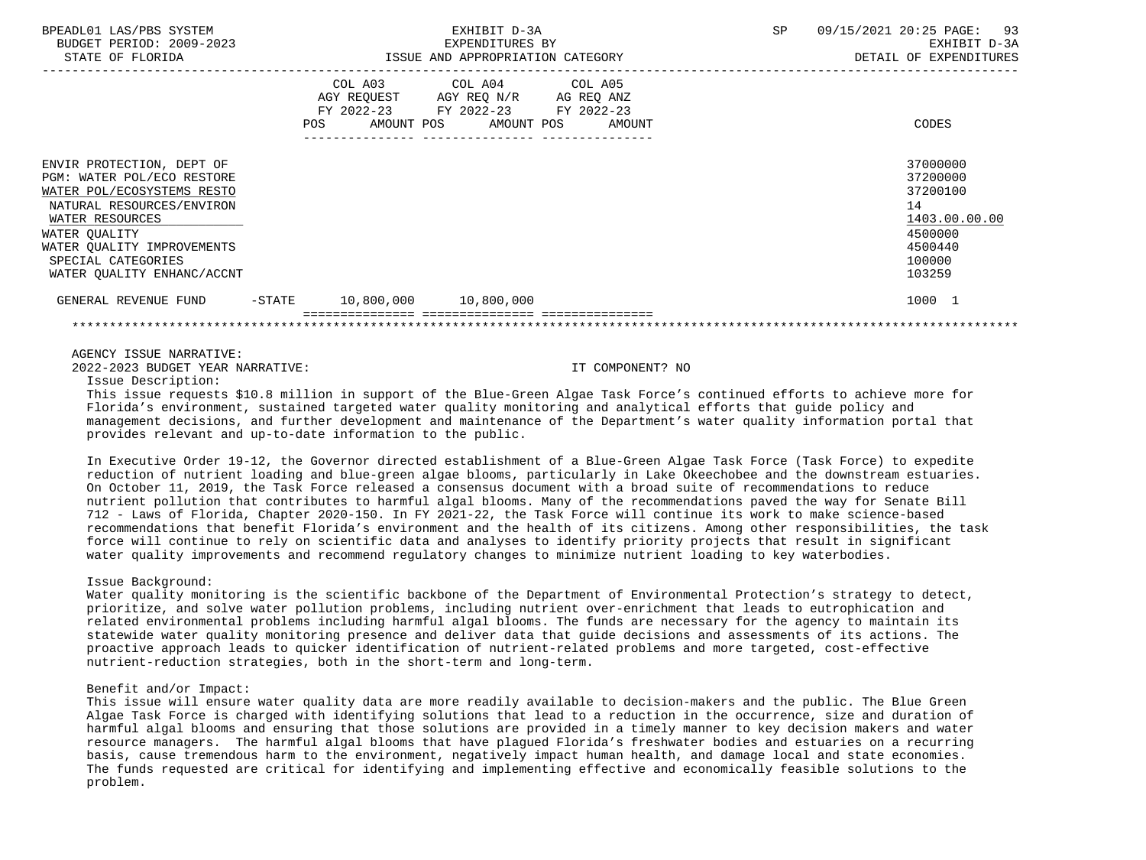| BPEADL01 LAS/PBS SYSTEM<br>BUDGET PERIOD: 2009-2023<br>STATE OF FLORIDA                                                                                                                                                                  |     | EXHIBIT D-3A<br>EXPENDITURES BY<br>ISSUE AND APPROPRIATION CATEGORY |                                                                                                                            |  | <b>SP</b> | 09/15/2021 20:25 PAGE: 93<br>EXHIBIT D-3A<br>DETAIL OF EXPENDITURES |                                                                                                   |
|------------------------------------------------------------------------------------------------------------------------------------------------------------------------------------------------------------------------------------------|-----|---------------------------------------------------------------------|----------------------------------------------------------------------------------------------------------------------------|--|-----------|---------------------------------------------------------------------|---------------------------------------------------------------------------------------------------|
|                                                                                                                                                                                                                                          | POS |                                                                     | COL A03 COL A04 COL A05<br>AGY REQUEST AGY REQ N/R AG REQ ANZ<br>FY 2022-23 FY 2022-23 FY 2022-23<br>AMOUNT POS AMOUNT POS |  | AMOUNT    |                                                                     | CODES                                                                                             |
| ENVIR PROTECTION, DEPT OF<br>PGM: WATER POL/ECO RESTORE<br>WATER POL/ECOSYSTEMS RESTO<br>NATURAL RESOURCES/ENVIRON<br>WATER RESOURCES<br>WATER QUALITY<br>WATER OUALITY IMPROVEMENTS<br>SPECIAL CATEGORIES<br>WATER QUALITY ENHANC/ACCNT |     |                                                                     |                                                                                                                            |  |           |                                                                     | 37000000<br>37200000<br>37200100<br>14<br>1403.00.00.00<br>4500000<br>4500440<br>100000<br>103259 |
| GENERAL REVENUE FUND                                                                                                                                                                                                                     |     |                                                                     | $-STATE$ 10,800,000 10,800,000                                                                                             |  |           |                                                                     | 1000 1                                                                                            |
|                                                                                                                                                                                                                                          |     |                                                                     |                                                                                                                            |  |           |                                                                     |                                                                                                   |

AGENCY ISSUE NARRATIVE:

2022-2023 BUDGET YEAR NARRATIVE: IT COMPONENT? NO

Issue Description:

 This issue requests \$10.8 million in support of the Blue-Green Algae Task Force's continued efforts to achieve more for Florida's environment, sustained targeted water quality monitoring and analytical efforts that guide policy and management decisions, and further development and maintenance of the Department's water quality information portal that provides relevant and up-to-date information to the public.

 In Executive Order 19-12, the Governor directed establishment of a Blue-Green Algae Task Force (Task Force) to expedite reduction of nutrient loading and blue-green algae blooms, particularly in Lake Okeechobee and the downstream estuaries. On October 11, 2019, the Task Force released a consensus document with a broad suite of recommendations to reduce nutrient pollution that contributes to harmful algal blooms. Many of the recommendations paved the way for Senate Bill 712 - Laws of Florida, Chapter 2020-150. In FY 2021-22, the Task Force will continue its work to make science-based recommendations that benefit Florida's environment and the health of its citizens. Among other responsibilities, the task force will continue to rely on scientific data and analyses to identify priority projects that result in significant water quality improvements and recommend regulatory changes to minimize nutrient loading to key waterbodies.

## Issue Background:

 Water quality monitoring is the scientific backbone of the Department of Environmental Protection's strategy to detect, prioritize, and solve water pollution problems, including nutrient over-enrichment that leads to eutrophication and related environmental problems including harmful algal blooms. The funds are necessary for the agency to maintain its statewide water quality monitoring presence and deliver data that guide decisions and assessments of its actions. The proactive approach leads to quicker identification of nutrient-related problems and more targeted, cost-effective nutrient-reduction strategies, both in the short-term and long-term.

## Benefit and/or Impact:

 This issue will ensure water quality data are more readily available to decision-makers and the public. The Blue Green Algae Task Force is charged with identifying solutions that lead to a reduction in the occurrence, size and duration of harmful algal blooms and ensuring that those solutions are provided in a timely manner to key decision makers and water resource managers. The harmful algal blooms that have plagued Florida's freshwater bodies and estuaries on a recurring basis, cause tremendous harm to the environment, negatively impact human health, and damage local and state economies. The funds requested are critical for identifying and implementing effective and economically feasible solutions to the problem.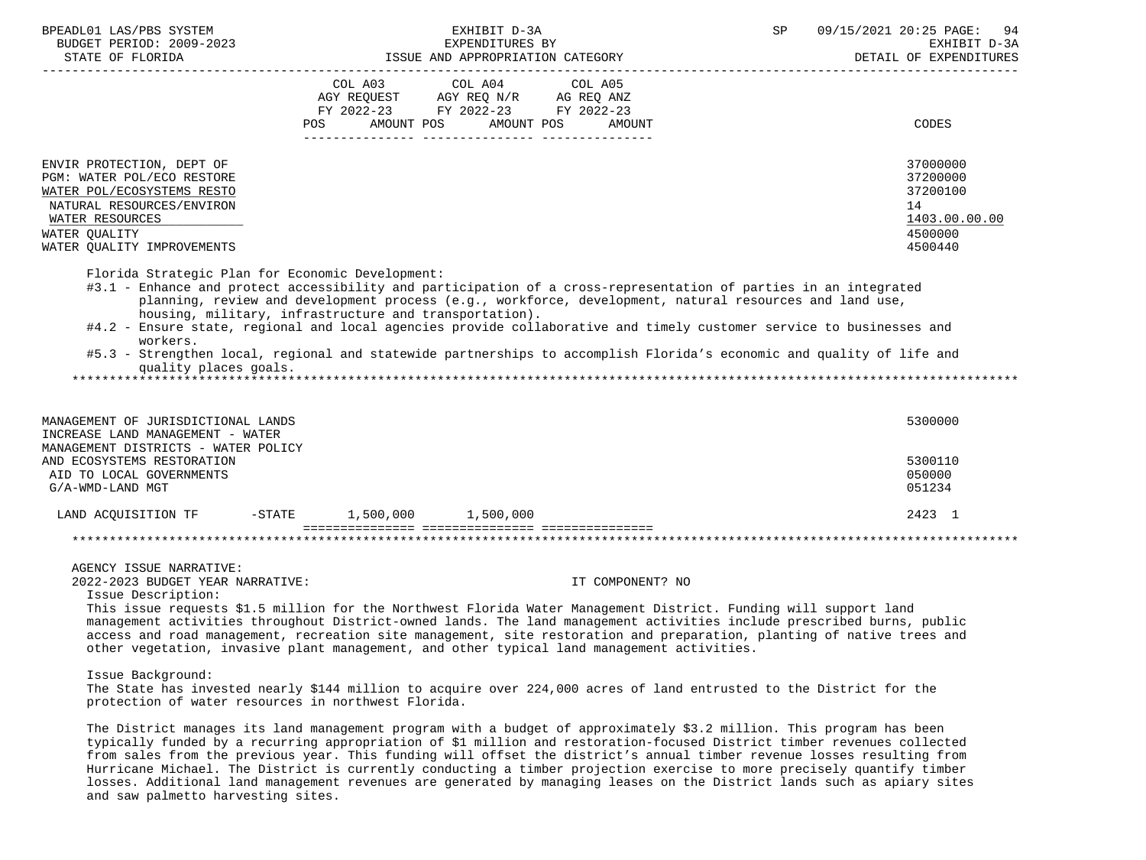| BPEADL01 LAS/PBS SYSTEM<br>BUDGET PERIOD: 2009-2023                                                                                                                                  | EXHIBIT D-3A<br>EXPENDITURES BY                                                                                                                                                                                                                                                                                                                                                                                                                                                                                                        | 09/15/2021 20:25 PAGE: 94<br>SP<br>EXHIBIT D-3A<br>DETAIL OF EXPENDITURES     |
|--------------------------------------------------------------------------------------------------------------------------------------------------------------------------------------|----------------------------------------------------------------------------------------------------------------------------------------------------------------------------------------------------------------------------------------------------------------------------------------------------------------------------------------------------------------------------------------------------------------------------------------------------------------------------------------------------------------------------------------|-------------------------------------------------------------------------------|
|                                                                                                                                                                                      | COL A03 COL A04 COL A05<br>AGY REQUEST AGY REQ N/R AG REQ ANZ<br>FY 2022-23 FY 2022-23 FY 2022-23                                                                                                                                                                                                                                                                                                                                                                                                                                      |                                                                               |
|                                                                                                                                                                                      | AMOUNT POS<br>AMOUNT POS<br>POS<br>AMOUNT                                                                                                                                                                                                                                                                                                                                                                                                                                                                                              | CODES                                                                         |
| ENVIR PROTECTION, DEPT OF<br>PGM: WATER POL/ECO RESTORE<br>WATER POL/ECOSYSTEMS RESTO<br>NATURAL RESOURCES/ENVIRON<br>WATER RESOURCES<br>WATER QUALITY<br>WATER QUALITY IMPROVEMENTS |                                                                                                                                                                                                                                                                                                                                                                                                                                                                                                                                        | 37000000<br>37200000<br>37200100<br>14<br>1403.00.00.00<br>4500000<br>4500440 |
| Florida Strategic Plan for Economic Development:<br>workers.<br>quality places goals.                                                                                                | #3.1 - Enhance and protect accessibility and participation of a cross-representation of parties in an integrated<br>planning, review and development process (e.g., workforce, development, natural resources and land use,<br>housing, military, infrastructure and transportation).<br>#4.2 - Ensure state, regional and local agencies provide collaborative and timely customer service to businesses and<br>#5.3 - Strengthen local, regional and statewide partnerships to accomplish Florida's economic and quality of life and |                                                                               |
| MANAGEMENT OF JURISDICTIONAL LANDS                                                                                                                                                   |                                                                                                                                                                                                                                                                                                                                                                                                                                                                                                                                        | 5300000                                                                       |
| INCREASE LAND MANAGEMENT - WATER<br>MANAGEMENT DISTRICTS - WATER POLICY<br>AND ECOSYSTEMS RESTORATION<br>AID TO LOCAL GOVERNMENTS<br>G/A-WMD-LAND MGT                                |                                                                                                                                                                                                                                                                                                                                                                                                                                                                                                                                        | 5300110<br>050000<br>051234                                                   |
|                                                                                                                                                                                      | LAND ACQUISITION TF -STATE 1,500,000 1,500,000                                                                                                                                                                                                                                                                                                                                                                                                                                                                                         | 2423 1                                                                        |
|                                                                                                                                                                                      |                                                                                                                                                                                                                                                                                                                                                                                                                                                                                                                                        |                                                                               |
| AGENCY ISSUE NARRATIVE:<br>2022-2023 BUDGET YEAR NARRATIVE:<br>Issue Description:                                                                                                    | IT COMPONENT? NO<br>This issue requests \$1.5 million for the Northwest Florida Water Management District. Funding will support land<br>management activities throughout District-owned lands. The land management activities include prescribed burns, public<br>access and road management, recreation site management, site restoration and preparation, planting of native trees and<br>other vegetation, invasive plant management, and other typical land management activities.                                                 |                                                                               |
| Issue Background:                                                                                                                                                                    | The State has invested nearly \$144 million to acquire over 224,000 acres of land entrusted to the District for the<br>protection of water resources in northwest Florida.                                                                                                                                                                                                                                                                                                                                                             |                                                                               |
|                                                                                                                                                                                      | The District manages its land management program with a budget of approximately \$3.2 million. This program has been<br>typically funded by a recurring appropriation of \$1 million and restoration-focused District timber revenues collected<br>from sales from the previous year. This funding will offset the district's annual timber revenue losses resulting from                                                                                                                                                              |                                                                               |

 Hurricane Michael. The District is currently conducting a timber projection exercise to more precisely quantify timber losses. Additional land management revenues are generated by managing leases on the District lands such as apiary sites and saw palmetto harvesting sites.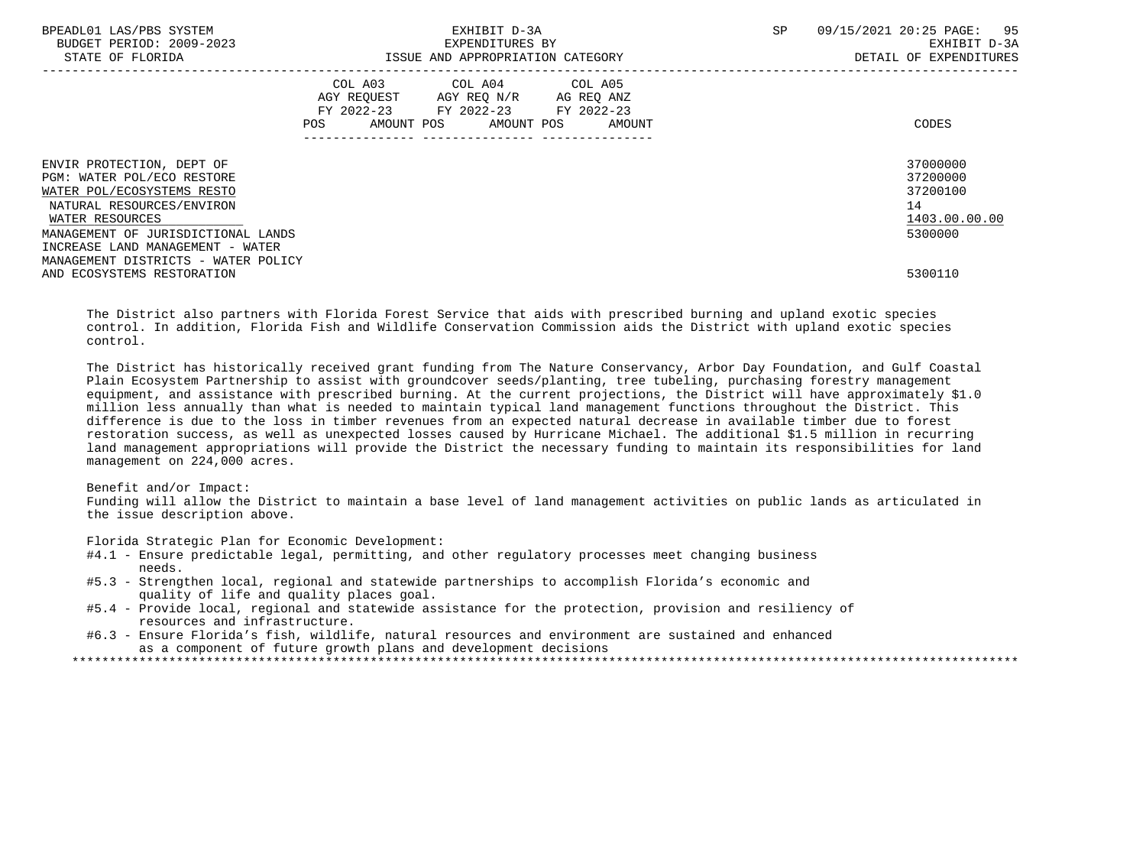| BPEADL01 LAS/PBS SYSTEM<br>BUDGET PERIOD: 2009-2023<br>STATE OF FLORIDA                                                                                                                                                                                | EXHIBIT D-3A<br>EXPENDITURES BY<br>ISSUE AND APPROPRIATION CATEGORY                                                                   | SP<br>09/15/2021 20:25 PAGE: 95<br>EXHIBIT D-3A<br>DETAIL OF EXPENDITURES |
|--------------------------------------------------------------------------------------------------------------------------------------------------------------------------------------------------------------------------------------------------------|---------------------------------------------------------------------------------------------------------------------------------------|---------------------------------------------------------------------------|
|                                                                                                                                                                                                                                                        | COL A03 COL A04 COL A05<br>AGY REOUEST AGY REO N/R AG REO ANZ<br>FY 2022-23 FY 2022-23 FY 2022-23<br>POS AMOUNT POS AMOUNT POS AMOUNT | CODES                                                                     |
| ENVIR PROTECTION, DEPT OF<br>PGM: WATER POL/ECO RESTORE<br>WATER POL/ECOSYSTEMS RESTO<br>NATURAL RESOURCES/ENVIRON<br>WATER RESOURCES<br>MANAGEMENT OF JURISDICTIONAL LANDS<br>INCREASE LAND MANAGEMENT - WATER<br>MANAGEMENT DISTRICTS - WATER POLICY |                                                                                                                                       | 37000000<br>37200000<br>37200100<br>14<br>1403.00.00.00<br>5300000        |
| AND ECOSYSTEMS RESTORATION                                                                                                                                                                                                                             |                                                                                                                                       | 5300110                                                                   |

 The District also partners with Florida Forest Service that aids with prescribed burning and upland exotic species control. In addition, Florida Fish and Wildlife Conservation Commission aids the District with upland exotic species control.

 The District has historically received grant funding from The Nature Conservancy, Arbor Day Foundation, and Gulf Coastal Plain Ecosystem Partnership to assist with groundcover seeds/planting, tree tubeling, purchasing forestry management equipment, and assistance with prescribed burning. At the current projections, the District will have approximately \$1.0 million less annually than what is needed to maintain typical land management functions throughout the District. This difference is due to the loss in timber revenues from an expected natural decrease in available timber due to forest restoration success, as well as unexpected losses caused by Hurricane Michael. The additional \$1.5 million in recurring land management appropriations will provide the District the necessary funding to maintain its responsibilities for land management on 224,000 acres.

# Benefit and/or Impact:

 Funding will allow the District to maintain a base level of land management activities on public lands as articulated in the issue description above.

Florida Strategic Plan for Economic Development:

- #4.1 Ensure predictable legal, permitting, and other regulatory processes meet changing business needs.
- #5.3 Strengthen local, regional and statewide partnerships to accomplish Florida's economic and quality of life and quality places goal.
- #5.4 Provide local, regional and statewide assistance for the protection, provision and resiliency of resources and infrastructure.
- #6.3 Ensure Florida's fish, wildlife, natural resources and environment are sustained and enhanced as a component of future growth plans and development decisions

\*\*\*\*\*\*\*\*\*\*\*\*\*\*\*\*\*\*\*\*\*\*\*\*\*\*\*\*\*\*\*\*\*\*\*\*\*\*\*\*\*\*\*\*\*\*\*\*\*\*\*\*\*\*\*\*\*\*\*\*\*\*\*\*\*\*\*\*\*\*\*\*\*\*\*\*\*\*\*\*\*\*\*\*\*\*\*\*\*\*\*\*\*\*\*\*\*\*\*\*\*\*\*\*\*\*\*\*\*\*\*\*\*\*\*\*\*\*\*\*\*\*\*\*\*\*\*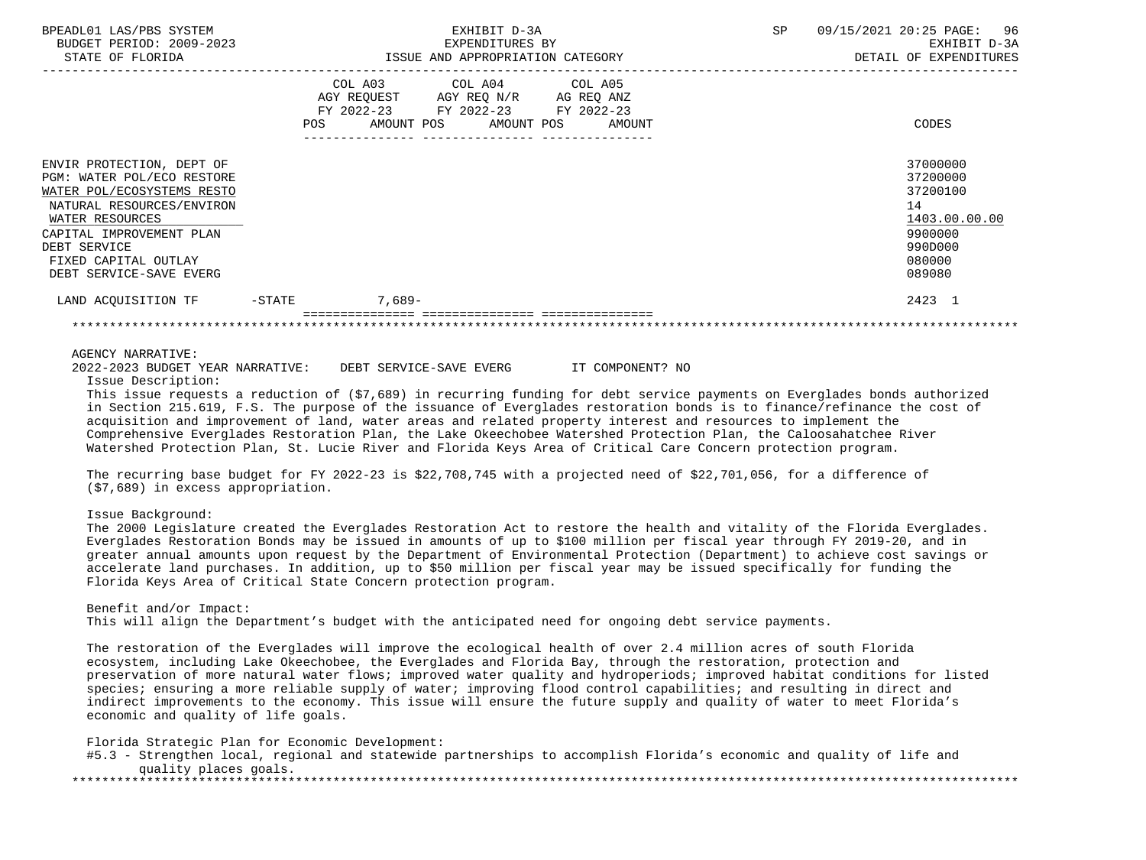| BPEADL01 LAS/PBS SYSTEM<br>BUDGET PERIOD: 2009-2023<br>STATE OF FLORIDA                                                                                                                                                              |                   | EXHIBIT D-3A<br>EXPENDITURES BY<br>ISSUE AND APPROPRIATION CATEGORY                                             |        |  | 96<br>09/15/2021 20:25 PAGE:<br>EXHIBIT D-3A<br>DETAIL OF EXPENDITURES                            |
|--------------------------------------------------------------------------------------------------------------------------------------------------------------------------------------------------------------------------------------|-------------------|-----------------------------------------------------------------------------------------------------------------|--------|--|---------------------------------------------------------------------------------------------------|
|                                                                                                                                                                                                                                      | FY 2022-23<br>POS | COL A03 COL A04 COL A05<br>AGY REQUEST AGY REQ N/R AG REQ ANZ<br>FY 2022-23 FY 2022-23<br>AMOUNT POS AMOUNT POS | AMOUNT |  | CODES                                                                                             |
| ENVIR PROTECTION, DEPT OF<br>PGM: WATER POL/ECO RESTORE<br>WATER POL/ECOSYSTEMS RESTO<br>NATURAL RESOURCES/ENVIRON<br>WATER RESOURCES<br>CAPITAL IMPROVEMENT PLAN<br>DEBT SERVICE<br>FIXED CAPITAL OUTLAY<br>DEBT SERVICE-SAVE EVERG |                   |                                                                                                                 |        |  | 37000000<br>37200000<br>37200100<br>14<br>1403.00.00.00<br>9900000<br>990D000<br>080000<br>089080 |
| LAND ACQUISITION TF                                                                                                                                                                                                                  | $-\mathtt{STATE}$ | 7,689-                                                                                                          |        |  | 2423 1                                                                                            |
|                                                                                                                                                                                                                                      |                   |                                                                                                                 |        |  |                                                                                                   |

#### AGENCY NARRATIVE:

 2022-2023 BUDGET YEAR NARRATIVE: DEBT SERVICE-SAVE EVERG IT COMPONENT? NO Issue Description:

 This issue requests a reduction of (\$7,689) in recurring funding for debt service payments on Everglades bonds authorized in Section 215.619, F.S. The purpose of the issuance of Everglades restoration bonds is to finance/refinance the cost of acquisition and improvement of land, water areas and related property interest and resources to implement the Comprehensive Everglades Restoration Plan, the Lake Okeechobee Watershed Protection Plan, the Caloosahatchee River Watershed Protection Plan, St. Lucie River and Florida Keys Area of Critical Care Concern protection program.

 The recurring base budget for FY 2022-23 is \$22,708,745 with a projected need of \$22,701,056, for a difference of (\$7,689) in excess appropriation.

Issue Background:

 The 2000 Legislature created the Everglades Restoration Act to restore the health and vitality of the Florida Everglades. Everglades Restoration Bonds may be issued in amounts of up to \$100 million per fiscal year through FY 2019-20, and in greater annual amounts upon request by the Department of Environmental Protection (Department) to achieve cost savings or accelerate land purchases. In addition, up to \$50 million per fiscal year may be issued specifically for funding the Florida Keys Area of Critical State Concern protection program.

 Benefit and/or Impact: This will align the Department's budget with the anticipated need for ongoing debt service payments.

 The restoration of the Everglades will improve the ecological health of over 2.4 million acres of south Florida ecosystem, including Lake Okeechobee, the Everglades and Florida Bay, through the restoration, protection and preservation of more natural water flows; improved water quality and hydroperiods; improved habitat conditions for listed species; ensuring a more reliable supply of water; improving flood control capabilities; and resulting in direct and indirect improvements to the economy. This issue will ensure the future supply and quality of water to meet Florida's economic and quality of life goals.

Florida Strategic Plan for Economic Development:

|                       | #5.3 - Strengthen local, regional and statewide partnerships to accomplish Florida's economic and quality of life and |  |
|-----------------------|-----------------------------------------------------------------------------------------------------------------------|--|
| quality places goals. |                                                                                                                       |  |
|                       |                                                                                                                       |  |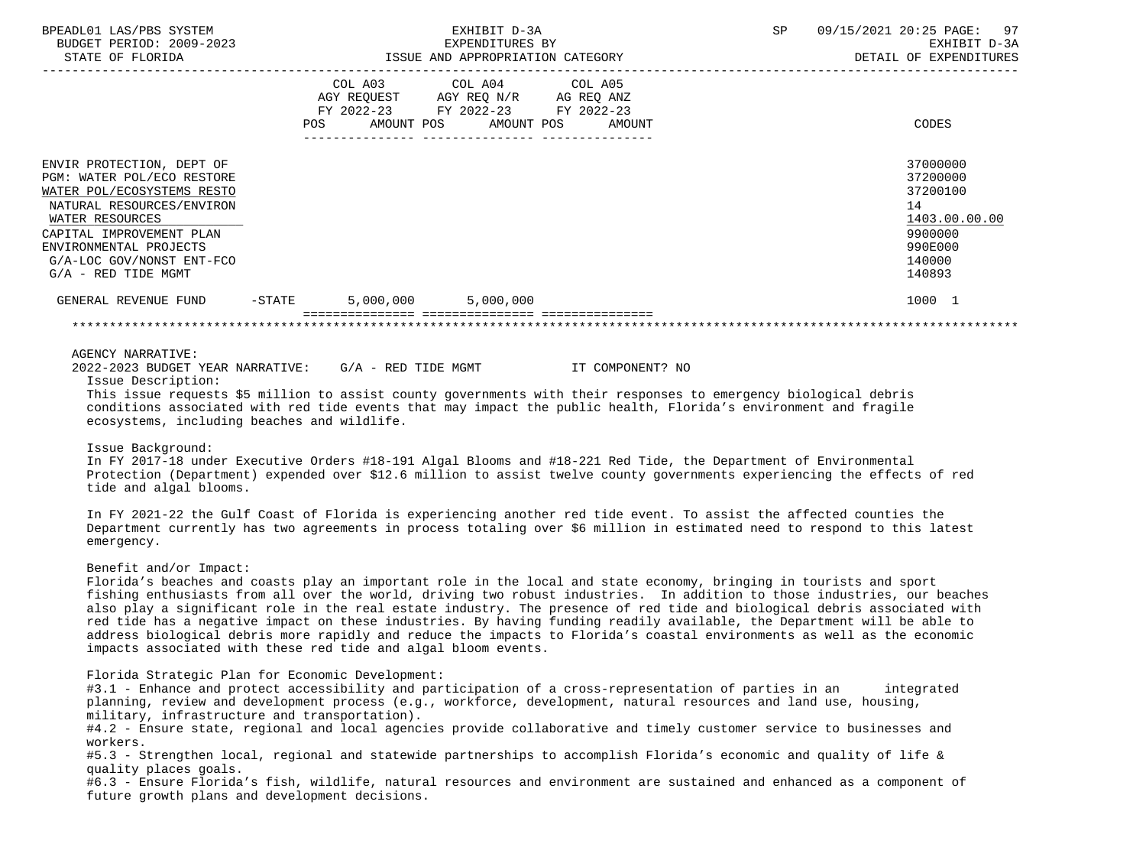| BPEADL01 LAS/PBS SYSTEM<br>BUDGET PERIOD: 2009-2023<br>STATE OF FLORIDA                                                                                                                                                                           | EXHIBIT D-3A<br>EXPENDITURES BY<br>ISSUE AND APPROPRIATION CATEGORY                                                                                                                                                                                                                                                                                                                                                                                                                                                                                                                                                                                                                                                                   | SP<br>09/15/2021 20:25 PAGE:<br>97<br>EXHIBIT D-3A<br>DETAIL OF EXPENDITURES                      |
|---------------------------------------------------------------------------------------------------------------------------------------------------------------------------------------------------------------------------------------------------|---------------------------------------------------------------------------------------------------------------------------------------------------------------------------------------------------------------------------------------------------------------------------------------------------------------------------------------------------------------------------------------------------------------------------------------------------------------------------------------------------------------------------------------------------------------------------------------------------------------------------------------------------------------------------------------------------------------------------------------|---------------------------------------------------------------------------------------------------|
|                                                                                                                                                                                                                                                   | COL A03 COL A04 COL A05<br>AGY REQUEST AGY REQ N/R AG REQ ANZ<br>FY 2022-23 FY 2022-23 FY 2022-23<br>AMOUNT POS<br>AMOUNT POS<br>AMOUNT                                                                                                                                                                                                                                                                                                                                                                                                                                                                                                                                                                                               | CODES                                                                                             |
| ENVIR PROTECTION, DEPT OF<br>PGM: WATER POL/ECO RESTORE<br>WATER POL/ECOSYSTEMS RESTO<br>NATURAL RESOURCES/ENVIRON<br>WATER RESOURCES<br>CAPITAL IMPROVEMENT PLAN<br>ENVIRONMENTAL PROJECTS<br>G/A-LOC GOV/NONST ENT-FCO<br>$G/A$ - RED TIDE MGMT |                                                                                                                                                                                                                                                                                                                                                                                                                                                                                                                                                                                                                                                                                                                                       | 37000000<br>37200000<br>37200100<br>14<br>1403.00.00.00<br>9900000<br>990E000<br>140000<br>140893 |
| GENERAL REVENUE FUND -STATE                                                                                                                                                                                                                       | 5,000,000 5,000,000                                                                                                                                                                                                                                                                                                                                                                                                                                                                                                                                                                                                                                                                                                                   | 1000 1                                                                                            |
|                                                                                                                                                                                                                                                   |                                                                                                                                                                                                                                                                                                                                                                                                                                                                                                                                                                                                                                                                                                                                       |                                                                                                   |
| Issue Description:<br>ecosystems, including beaches and wildlife.<br>Issue Background:<br>tide and algal blooms.<br>emergency.                                                                                                                    | This issue requests \$5 million to assist county governments with their responses to emergency biological debris<br>conditions associated with red tide events that may impact the public health, Florida's environment and fragile<br>In FY 2017-18 under Executive Orders #18-191 Algal Blooms and #18-221 Red Tide, the Department of Environmental<br>Protection (Department) expended over \$12.6 million to assist twelve county governments experiencing the effects of red<br>In FY 2021-22 the Gulf Coast of Florida is experiencing another red tide event. To assist the affected counties the<br>Department currently has two agreements in process totaling over \$6 million in estimated need to respond to this latest |                                                                                                   |
| Benefit and/or Impact:                                                                                                                                                                                                                            | Florida's beaches and coasts play an important role in the local and state economy, bringing in tourists and sport<br>fishing enthusiasts from all over the world, driving two robust industries. In addition to those industries, our beaches<br>also play a significant role in the real estate industry. The presence of red tide and biological debris associated with<br>red tide has a negative impact on these industries. By having funding readily available, the Department will be able to<br>address biological debris more rapidly and reduce the impacts to Florida's coastal environments as well as the economic<br>impacts associated with these red tide and algal bloom events.                                    |                                                                                                   |
| workers.<br>quality places goals.                                                                                                                                                                                                                 | Florida Strategic Plan for Economic Development:<br>#3.1 - Enhance and protect accessibility and participation of a cross-representation of parties in an<br>planning, review and development process (e.g., workforce, development, natural resources and land use, housing,<br>military, infrastructure and transportation).<br>#4.2 - Ensure state, regional and local agencies provide collaborative and timely customer service to businesses and<br>#5.3 - Strengthen local, regional and statewide partnerships to accomplish Florida's economic and quality of life &                                                                                                                                                         | integrated                                                                                        |

 #6.3 - Ensure Florida's fish, wildlife, natural resources and environment are sustained and enhanced as a component of future growth plans and development decisions.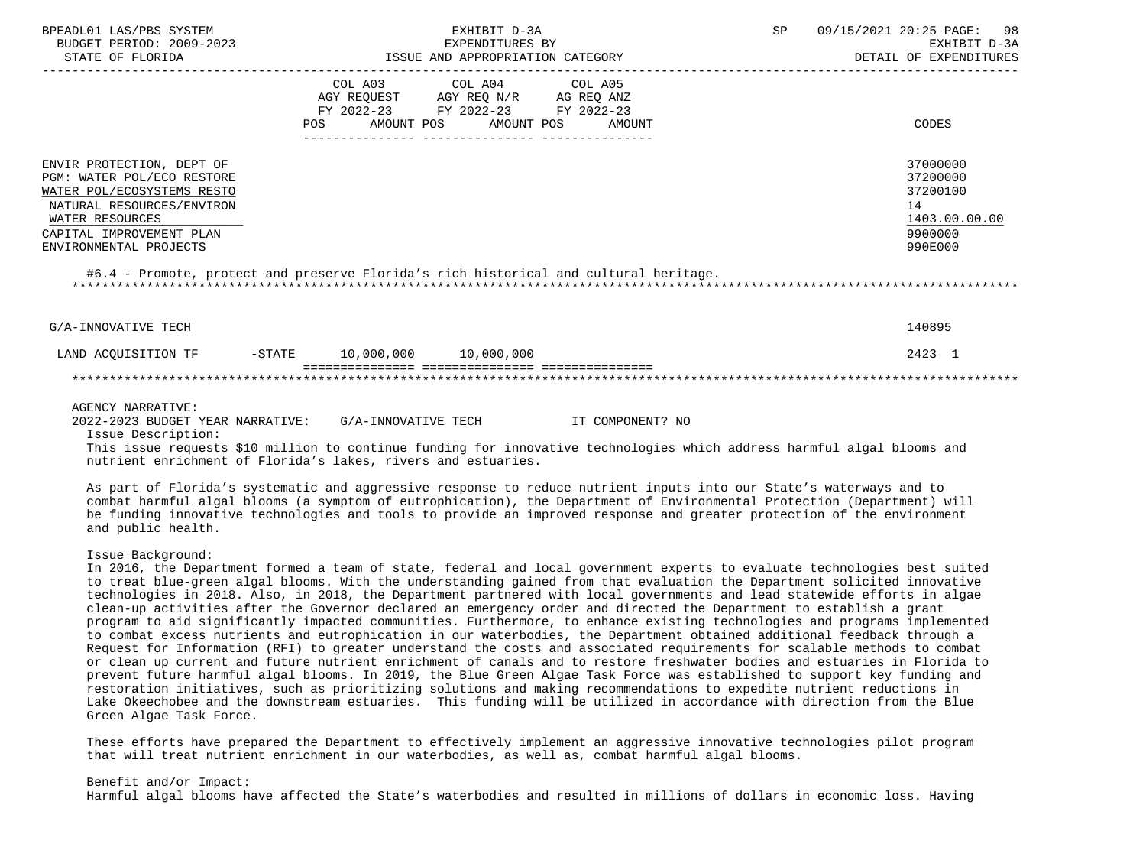|     | EXHIBIT D-3A |                                                                                                                   | SP 09/15/2021 20:25 PAGE: 98<br>EXHIBIT D-3A<br>DETAIL OF EXPENDITURES                                                                                                                                                                                                                        |                                                                                                                                                                                                                                                                                                                                         |
|-----|--------------|-------------------------------------------------------------------------------------------------------------------|-----------------------------------------------------------------------------------------------------------------------------------------------------------------------------------------------------------------------------------------------------------------------------------------------|-----------------------------------------------------------------------------------------------------------------------------------------------------------------------------------------------------------------------------------------------------------------------------------------------------------------------------------------|
| POS |              | AMOUNT                                                                                                            |                                                                                                                                                                                                                                                                                               | CODES                                                                                                                                                                                                                                                                                                                                   |
|     |              |                                                                                                                   |                                                                                                                                                                                                                                                                                               | 37000000<br>37200000<br>37200100<br>14<br>1403.00.00.00<br>9900000<br>990E000                                                                                                                                                                                                                                                           |
|     |              |                                                                                                                   |                                                                                                                                                                                                                                                                                               | 140895                                                                                                                                                                                                                                                                                                                                  |
|     |              |                                                                                                                   |                                                                                                                                                                                                                                                                                               | 2423 1                                                                                                                                                                                                                                                                                                                                  |
|     |              |                                                                                                                   |                                                                                                                                                                                                                                                                                               |                                                                                                                                                                                                                                                                                                                                         |
|     |              |                                                                                                                   |                                                                                                                                                                                                                                                                                               |                                                                                                                                                                                                                                                                                                                                         |
|     |              | LAND ACOUISITION TF -STATE 10,000,000 10,000,000<br>nutrient enrichment of Florida's lakes, rivers and estuaries. | COL A03 COL A04 COL A05<br>$\begin{tabular}{lllllll} \bf AGY & \bf REQUEST & \bf AGY & \bf REQ & \bf N/R & \bf AG & \bf REQ & \bf ANZ \\ \end{tabular}$<br>FY 2022-23 FY 2022-23 FY 2022-23<br>AMOUNT POS AMOUNT POS<br>2022-2023 BUDGET YEAR NARRATIVE: G/A-INNOVATIVE TECH TT COMPONENT? NO | #6.4 - Promote, protect and preserve Florida's rich historical and cultural heritage.<br>This issue requests \$10 million to continue funding for innovative technologies which address harmful algal blooms and<br>As part of Florida's systematic and aggressive response to reduce nutrient inputs into our State's waterways and to |

 combat harmful algal blooms (a symptom of eutrophication), the Department of Environmental Protection (Department) will be funding innovative technologies and tools to provide an improved response and greater protection of the environment and public health.

Issue Background:

 In 2016, the Department formed a team of state, federal and local government experts to evaluate technologies best suited to treat blue-green algal blooms. With the understanding gained from that evaluation the Department solicited innovative technologies in 2018. Also, in 2018, the Department partnered with local governments and lead statewide efforts in algae clean-up activities after the Governor declared an emergency order and directed the Department to establish a grant program to aid significantly impacted communities. Furthermore, to enhance existing technologies and programs implemented to combat excess nutrients and eutrophication in our waterbodies, the Department obtained additional feedback through a Request for Information (RFI) to greater understand the costs and associated requirements for scalable methods to combat or clean up current and future nutrient enrichment of canals and to restore freshwater bodies and estuaries in Florida to prevent future harmful algal blooms. In 2019, the Blue Green Algae Task Force was established to support key funding and restoration initiatives, such as prioritizing solutions and making recommendations to expedite nutrient reductions in Lake Okeechobee and the downstream estuaries. This funding will be utilized in accordance with direction from the Blue Green Algae Task Force.

 These efforts have prepared the Department to effectively implement an aggressive innovative technologies pilot program that will treat nutrient enrichment in our waterbodies, as well as, combat harmful algal blooms.

 Benefit and/or Impact: Harmful algal blooms have affected the State's waterbodies and resulted in millions of dollars in economic loss. Having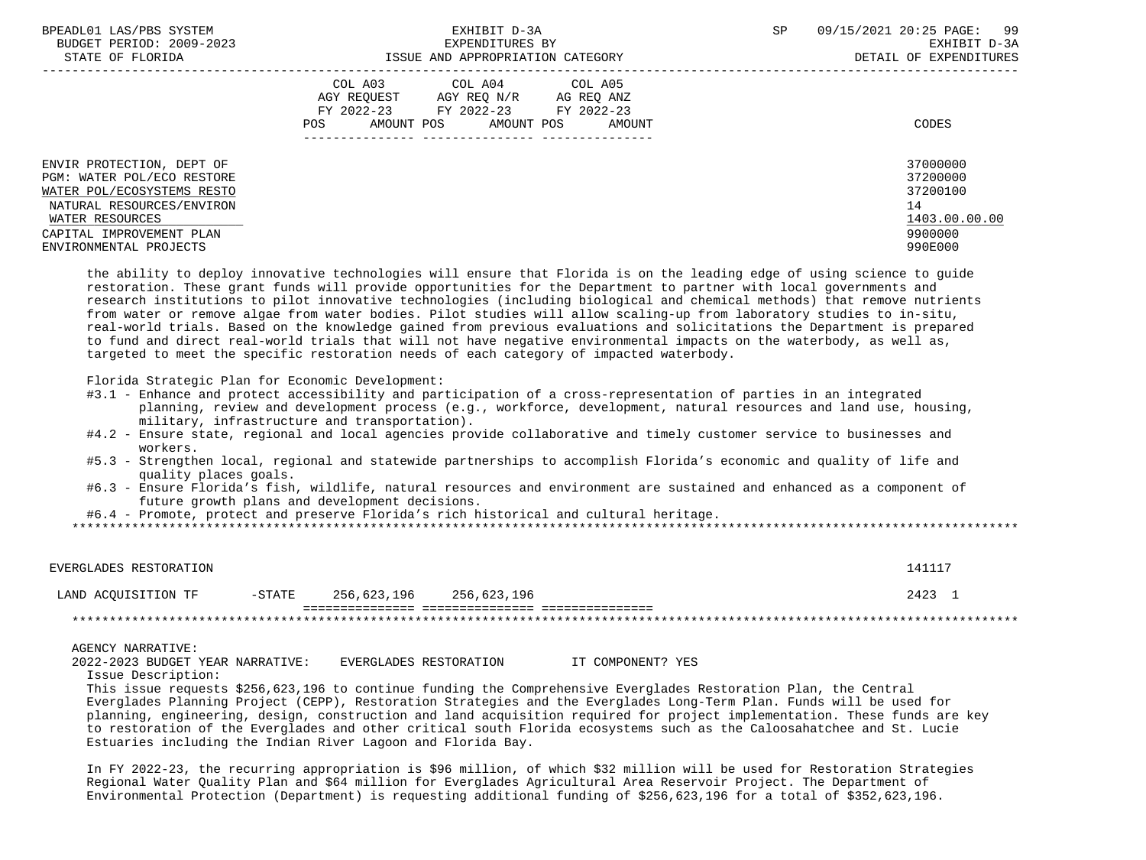| BPEADL01 LAS/PBS SYSTEM<br>BUDGET PERIOD: 2009-2023                                                                                                                                         | EXHIBIT D-3A<br>EXPENDITURES BY                                                                                                                      | 09/15/2021 20:25 PAGE: 99<br>SP<br>EXHIBIT D-3A                               |
|---------------------------------------------------------------------------------------------------------------------------------------------------------------------------------------------|------------------------------------------------------------------------------------------------------------------------------------------------------|-------------------------------------------------------------------------------|
| STATE OF FLORIDA                                                                                                                                                                            | ISSUE AND APPROPRIATION CATEGORY                                                                                                                     | DETAIL OF EXPENDITURES                                                        |
|                                                                                                                                                                                             | COL A03 COL A04 COL A05<br>AGY REOUEST AGY REO N/R<br>AG REQ ANZ<br>FY 2022-23 FY 2022-23<br>FY 2022-23<br>AMOUNT POS<br>AMOUNT POS<br>POS<br>AMOUNT | CODES                                                                         |
| ENVIR PROTECTION, DEPT OF<br>PGM: WATER POL/ECO RESTORE<br>WATER POL/ECOSYSTEMS RESTO<br>NATURAL RESOURCES/ENVIRON<br>WATER RESOURCES<br>CAPITAL IMPROVEMENT PLAN<br>ENVIRONMENTAL PROJECTS |                                                                                                                                                      | 37000000<br>37200000<br>37200100<br>14<br>1403.00.00.00<br>9900000<br>990E000 |

 the ability to deploy innovative technologies will ensure that Florida is on the leading edge of using science to guide restoration. These grant funds will provide opportunities for the Department to partner with local governments and research institutions to pilot innovative technologies (including biological and chemical methods) that remove nutrients from water or remove algae from water bodies. Pilot studies will allow scaling-up from laboratory studies to in-situ, real-world trials. Based on the knowledge gained from previous evaluations and solicitations the Department is prepared to fund and direct real-world trials that will not have negative environmental impacts on the waterbody, as well as, targeted to meet the specific restoration needs of each category of impacted waterbody.

Florida Strategic Plan for Economic Development:

- #3.1 Enhance and protect accessibility and participation of a cross-representation of parties in an integrated planning, review and development process (e.g., workforce, development, natural resources and land use, housing, military, infrastructure and transportation).
- #4.2 Ensure state, regional and local agencies provide collaborative and timely customer service to businesses and workers.
- #5.3 Strengthen local, regional and statewide partnerships to accomplish Florida's economic and quality of life and quality places goals.
- #6.3 Ensure Florida's fish, wildlife, natural resources and environment are sustained and enhanced as a component of future growth plans and development decisions.

#6.4 - Promote, protect and preserve Florida's rich historical and cultural heritage.

\*\*\*\*\*\*\*\*\*\*\*\*\*\*\*\*\*\*\*\*\*\*\*\*\*\*\*\*\*\*\*\*\*\*\*\*\*\*\*\*\*\*\*\*\*\*\*\*\*\*\*\*\*\*\*\*\*\*\*\*\*\*\*\*\*\*\*\*\*\*\*\*\*\*\*\*\*\*\*\*\*\*\*\*\*\*\*\*\*\*\*\*\*\*\*\*\*\*\*\*\*\*\*\*\*\*\*\*\*\*\*\*\*\*\*\*\*\*\*\*\*\*\*\*\*\*\*

| EVERGLADES RESTORATION |           |             |             | 141117 |
|------------------------|-----------|-------------|-------------|--------|
| LAND ACOUISITION TF    | $-$ STATE | 256,623,196 | 256,623,196 | 2423   |
|                        |           |             |             |        |

AGENCY NARRATIVE:

 2022-2023 BUDGET YEAR NARRATIVE: EVERGLADES RESTORATION IT COMPONENT? YES Issue Description:

 This issue requests \$256,623,196 to continue funding the Comprehensive Everglades Restoration Plan, the Central Everglades Planning Project (CEPP), Restoration Strategies and the Everglades Long-Term Plan. Funds will be used for planning, engineering, design, construction and land acquisition required for project implementation. These funds are key to restoration of the Everglades and other critical south Florida ecosystems such as the Caloosahatchee and St. Lucie Estuaries including the Indian River Lagoon and Florida Bay.

 In FY 2022-23, the recurring appropriation is \$96 million, of which \$32 million will be used for Restoration Strategies Regional Water Quality Plan and \$64 million for Everglades Agricultural Area Reservoir Project. The Department of Environmental Protection (Department) is requesting additional funding of \$256,623,196 for a total of \$352,623,196.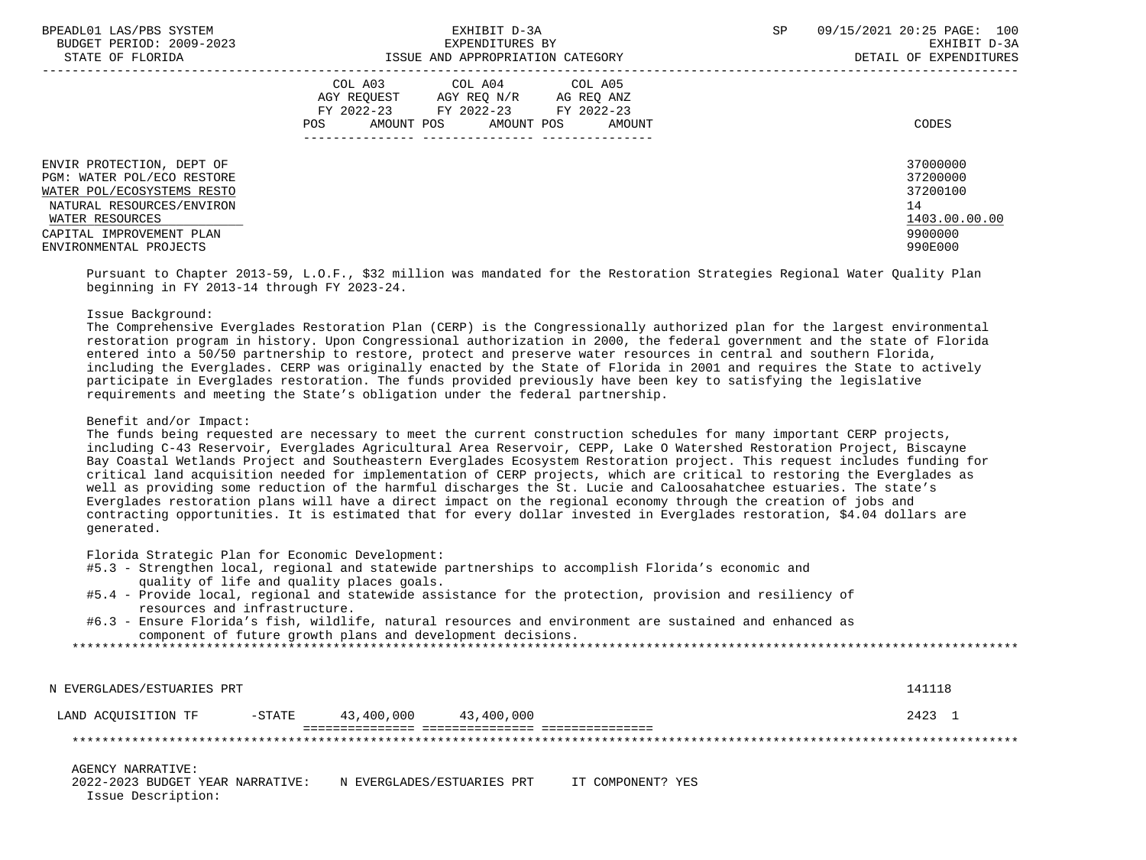| BPEADL01 LAS/PBS SYSTEM    | EXHIBIT D-3A                              | SP<br>09/15/2021 20:25 PAGE: 100 |
|----------------------------|-------------------------------------------|----------------------------------|
| BUDGET PERIOD: 2009-2023   | EXPENDITURES BY                           | EXHIBIT D-3A                     |
| STATE OF FLORIDA           | ISSUE AND APPROPRIATION CATEGORY          | DETAIL OF EXPENDITURES           |
|                            | COL A03 COL A04 COL A05                   |                                  |
|                            | AGY REOUEST AGY REO N/R<br>AG REO ANZ     |                                  |
|                            | FY 2022-23 FY 2022-23<br>FY 2022-23       |                                  |
|                            | AMOUNT POS<br>AMOUNT POS<br>POS<br>AMOUNT | CODES                            |
|                            |                                           |                                  |
| ENVIR PROTECTION, DEPT OF  |                                           | 37000000                         |
| PGM: WATER POL/ECO RESTORE |                                           | 37200000                         |
| WATER POL/ECOSYSTEMS RESTO |                                           | 37200100                         |
| NATURAL RESOURCES/ENVIRON  |                                           | 14                               |
| WATER RESOURCES            |                                           | 1403.00.00.00                    |
| CAPITAL IMPROVEMENT PLAN   |                                           | 9900000                          |
| ENVIRONMENTAL PROJECTS     |                                           | 990E000                          |

 Pursuant to Chapter 2013-59, L.O.F., \$32 million was mandated for the Restoration Strategies Regional Water Quality Plan beginning in FY 2013-14 through FY 2023-24.

# Issue Background:

 The Comprehensive Everglades Restoration Plan (CERP) is the Congressionally authorized plan for the largest environmental restoration program in history. Upon Congressional authorization in 2000, the federal government and the state of Florida entered into a 50/50 partnership to restore, protect and preserve water resources in central and southern Florida, including the Everglades. CERP was originally enacted by the State of Florida in 2001 and requires the State to actively participate in Everglades restoration. The funds provided previously have been key to satisfying the legislative requirements and meeting the State's obligation under the federal partnership.

## Benefit and/or Impact:

 The funds being requested are necessary to meet the current construction schedules for many important CERP projects, including C-43 Reservoir, Everglades Agricultural Area Reservoir, CEPP, Lake O Watershed Restoration Project, Biscayne Bay Coastal Wetlands Project and Southeastern Everglades Ecosystem Restoration project. This request includes funding for critical land acquisition needed for implementation of CERP projects, which are critical to restoring the Everglades as well as providing some reduction of the harmful discharges the St. Lucie and Caloosahatchee estuaries. The state's Everglades restoration plans will have a direct impact on the regional economy through the creation of jobs and contracting opportunities. It is estimated that for every dollar invested in Everglades restoration, \$4.04 dollars are generated.

Florida Strategic Plan for Economic Development:

- #5.3 Strengthen local, regional and statewide partnerships to accomplish Florida's economic and quality of life and quality places goals.
- #5.4 Provide local, regional and statewide assistance for the protection, provision and resiliency of resources and infrastructure.
- #6.3 Ensure Florida's fish, wildlife, natural resources and environment are sustained and enhanced as component of future growth plans and development decisions.

\*\*\*\*\*\*\*\*\*\*\*\*\*\*\*\*\*\*\*\*\*\*\*\*\*\*\*\*\*\*\*\*\*\*\*\*\*\*\*\*\*\*\*\*\*\*\*\*\*\*\*\*\*\*\*\*\*\*\*\*\*\*\*\*\*\*\*\*\*\*\*\*\*\*\*\*\*\*\*\*\*\*\*\*\*\*\*\*\*\*\*\*\*\*\*\*\*\*\*\*\*\*\*\*\*\*\*\*\*\*\*\*\*\*\*\*\*\*\*\*\*\*\*\*\*\*\*

 N EVERGLADES/ESTUARIES PRT 141118 LAND ACOUISITION TF  $-$  -STATE 43,400,000 43,400,000 2423 1 =============== =============== =============== \*\*\*\*\*\*\*\*\*\*\*\*\*\*\*\*\*\*\*\*\*\*\*\*\*\*\*\*\*\*\*\*\*\*\*\*\*\*\*\*\*\*\*\*\*\*\*\*\*\*\*\*\*\*\*\*\*\*\*\*\*\*\*\*\*\*\*\*\*\*\*\*\*\*\*\*\*\*\*\*\*\*\*\*\*\*\*\*\*\*\*\*\*\*\*\*\*\*\*\*\*\*\*\*\*\*\*\*\*\*\*\*\*\*\*\*\*\*\*\*\*\*\*\*\*\*\* AGENCY NARRATIVE: 2022-2023 BUDGET YEAR NARRATIVE: N EVERGLADES/ESTUARIES PRT IT COMPONENT? YES

Issue Description: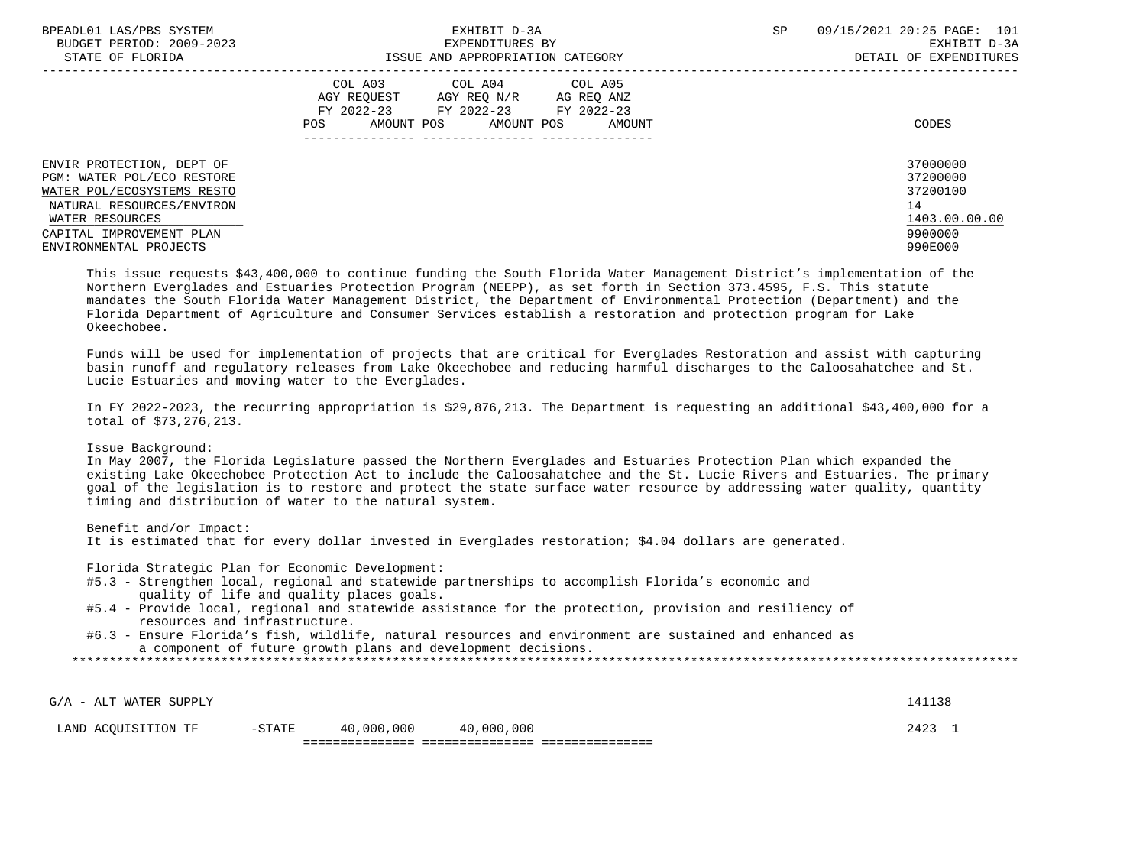| BPEADL01 LAS/PBS SYSTEM<br>BUDGET PERIOD: 2009-2023<br>STATE OF FLORIDA                                                                                                                     | EXHIBIT D-3A<br>EXPENDITURES BY<br>ISSUE AND APPROPRIATION CATEGORY                                                                                           | SP<br>09/15/2021 20:25 PAGE: 101<br>EXHIBIT D-3A<br>DETAIL OF EXPENDITURES    |
|---------------------------------------------------------------------------------------------------------------------------------------------------------------------------------------------|---------------------------------------------------------------------------------------------------------------------------------------------------------------|-------------------------------------------------------------------------------|
|                                                                                                                                                                                             | COL A03<br>COL A04 COL A05<br>AGY REOUEST<br>AGY REO N/R<br>AG REQ ANZ<br>FY 2022-23<br>FY 2022-23<br>FY 2022-23<br>AMOUNT POS<br>AMOUNT POS<br>POS<br>AMOUNT | CODES                                                                         |
| ENVIR PROTECTION, DEPT OF<br>PGM: WATER POL/ECO RESTORE<br>WATER POL/ECOSYSTEMS RESTO<br>NATURAL RESOURCES/ENVIRON<br>WATER RESOURCES<br>CAPITAL IMPROVEMENT PLAN<br>ENVIRONMENTAL PROJECTS |                                                                                                                                                               | 37000000<br>37200000<br>37200100<br>14<br>1403.00.00.00<br>9900000<br>990E000 |

 This issue requests \$43,400,000 to continue funding the South Florida Water Management District's implementation of the Northern Everglades and Estuaries Protection Program (NEEPP), as set forth in Section 373.4595, F.S. This statute mandates the South Florida Water Management District, the Department of Environmental Protection (Department) and the Florida Department of Agriculture and Consumer Services establish a restoration and protection program for Lake Okeechobee.

 Funds will be used for implementation of projects that are critical for Everglades Restoration and assist with capturing basin runoff and regulatory releases from Lake Okeechobee and reducing harmful discharges to the Caloosahatchee and St. Lucie Estuaries and moving water to the Everglades.

 In FY 2022-2023, the recurring appropriation is \$29,876,213. The Department is requesting an additional \$43,400,000 for a total of \$73,276,213.

Issue Background:

 In May 2007, the Florida Legislature passed the Northern Everglades and Estuaries Protection Plan which expanded the existing Lake Okeechobee Protection Act to include the Caloosahatchee and the St. Lucie Rivers and Estuaries. The primary goal of the legislation is to restore and protect the state surface water resource by addressing water quality, quantity timing and distribution of water to the natural system.

 Benefit and/or Impact: It is estimated that for every dollar invested in Everglades restoration; \$4.04 dollars are generated.

Florida Strategic Plan for Economic Development:

- #5.3 Strengthen local, regional and statewide partnerships to accomplish Florida's economic and quality of life and quality places goals.
- #5.4 Provide local, regional and statewide assistance for the protection, provision and resiliency of resources and infrastructure.
- #6.3 Ensure Florida's fish, wildlife, natural resources and environment are sustained and enhanced as a component of future growth plans and development decisions.

|--|

 $G/A$  - ALT WATER SUPPLY 141138 LAND ACOUISITION TF  $-$  -STATE 40,000,000 40,000,000 2423 1 =============== =============== ===============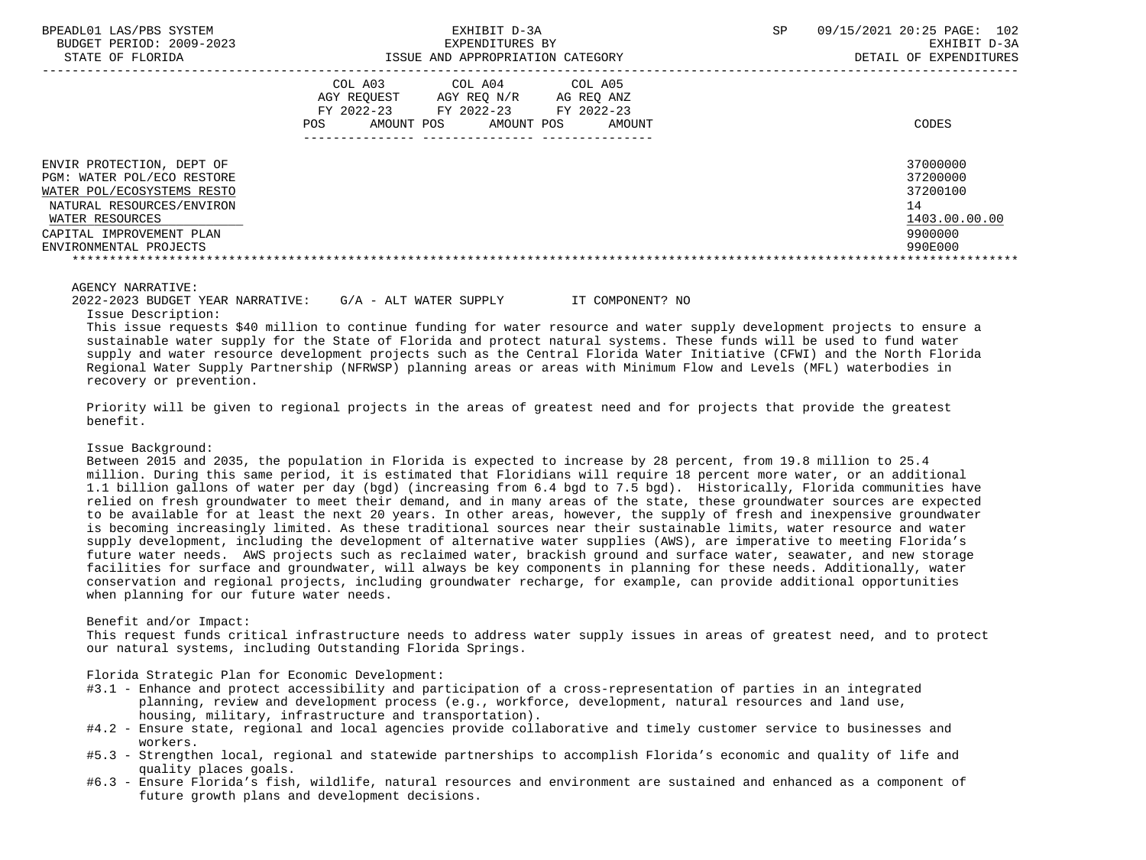| BPEADL01 LAS/PBS SYSTEM |                   |                          |
|-------------------------|-------------------|--------------------------|
|                         |                   | BUDGET PERIOD: 2009-2023 |
|                         | גתדכת זה הם היהיה |                          |

|                                                                                                                                                                                             | COL A03<br>AGY REOUEST<br>FY 2022-23<br>POS<br>AMOUNT POS | COL A04<br>AGY REO N/R<br>FY 2022-23<br>AMOUNT POS | COL A05<br>AG REO ANZ<br>FY 2022-23<br>AMOUNT | CODES                                                                         |
|---------------------------------------------------------------------------------------------------------------------------------------------------------------------------------------------|-----------------------------------------------------------|----------------------------------------------------|-----------------------------------------------|-------------------------------------------------------------------------------|
| ENVIR PROTECTION, DEPT OF<br>PGM: WATER POL/ECO RESTORE<br>WATER POL/ECOSYSTEMS RESTO<br>NATURAL RESOURCES/ENVIRON<br>WATER RESOURCES<br>CAPITAL IMPROVEMENT PLAN<br>ENVIRONMENTAL PROJECTS |                                                           |                                                    |                                               | 37000000<br>37200000<br>37200100<br>14<br>1403.00.00.00<br>9900000<br>990E000 |

#### AGENCY NARRATIVE:

2022-2023 BUDGET YEAR NARRATIVE: G/A - ALT WATER SUPPLY IT COMPONENT? NO

Issue Description:

 This issue requests \$40 million to continue funding for water resource and water supply development projects to ensure a sustainable water supply for the State of Florida and protect natural systems. These funds will be used to fund water supply and water resource development projects such as the Central Florida Water Initiative (CFWI) and the North Florida Regional Water Supply Partnership (NFRWSP) planning areas or areas with Minimum Flow and Levels (MFL) waterbodies in recovery or prevention.

 Priority will be given to regional projects in the areas of greatest need and for projects that provide the greatest benefit.

### Issue Background:

 Between 2015 and 2035, the population in Florida is expected to increase by 28 percent, from 19.8 million to 25.4 million. During this same period, it is estimated that Floridians will require 18 percent more water, or an additional 1.1 billion gallons of water per day (bgd) (increasing from 6.4 bgd to 7.5 bgd). Historically, Florida communities have relied on fresh groundwater to meet their demand, and in many areas of the state, these groundwater sources are expected to be available for at least the next 20 years. In other areas, however, the supply of fresh and inexpensive groundwater is becoming increasingly limited. As these traditional sources near their sustainable limits, water resource and water supply development, including the development of alternative water supplies (AWS), are imperative to meeting Florida's future water needs. AWS projects such as reclaimed water, brackish ground and surface water, seawater, and new storage facilities for surface and groundwater, will always be key components in planning for these needs. Additionally, water conservation and regional projects, including groundwater recharge, for example, can provide additional opportunities when planning for our future water needs.

### Benefit and/or Impact:

 This request funds critical infrastructure needs to address water supply issues in areas of greatest need, and to protect our natural systems, including Outstanding Florida Springs.

Florida Strategic Plan for Economic Development:

- #3.1 Enhance and protect accessibility and participation of a cross-representation of parties in an integrated planning, review and development process (e.g., workforce, development, natural resources and land use, housing, military, infrastructure and transportation).
- #4.2 Ensure state, regional and local agencies provide collaborative and timely customer service to businesses and workers.
- #5.3 Strengthen local, regional and statewide partnerships to accomplish Florida's economic and quality of life and quality places goals.
- #6.3 Ensure Florida's fish, wildlife, natural resources and environment are sustained and enhanced as a component of future growth plans and development decisions.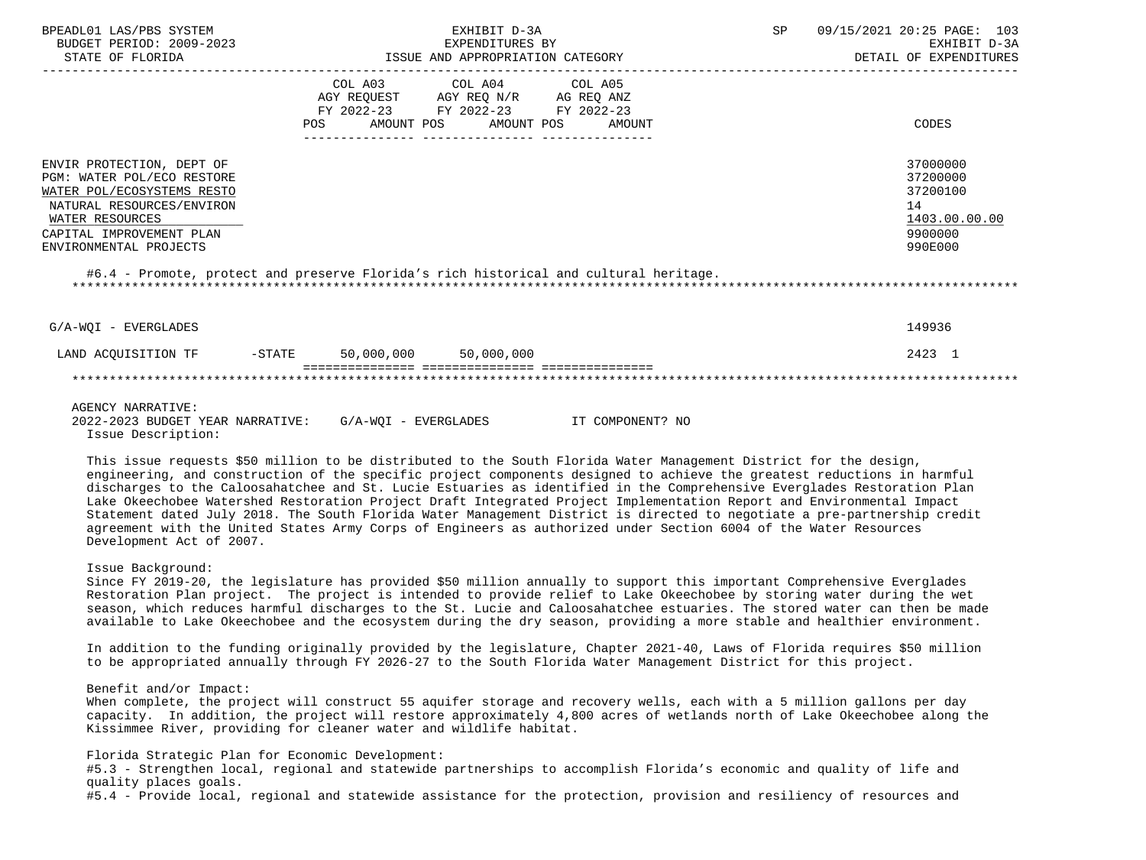| BPEADL01 LAS/PBS SYSTEM<br>BUDGET PERIOD: 2009-2023<br>STATE OF FLORIDA                                                                                                                                                                                                              | EXHIBIT D-3A<br>EXPENDITURES BY<br>ISSUE AND APPROPRIATION CATEGORY |                                                                                   |  |                                          |  |        | SP | 09/15/2021 20:25 PAGE: 103<br>EXHIBIT D-3A<br>DETAIL OF EXPENDITURES          |
|--------------------------------------------------------------------------------------------------------------------------------------------------------------------------------------------------------------------------------------------------------------------------------------|---------------------------------------------------------------------|-----------------------------------------------------------------------------------|--|------------------------------------------|--|--------|----|-------------------------------------------------------------------------------|
|                                                                                                                                                                                                                                                                                      | POS                                                                 | COL A03<br>AGY REQUEST AGY REQ N/R AG REQ ANZ<br>FY 2022-23 FY 2022-23 FY 2022-23 |  | COL A04 COL A05<br>AMOUNT POS AMOUNT POS |  | AMOUNT |    | CODES                                                                         |
| ENVIR PROTECTION, DEPT OF<br>PGM: WATER POL/ECO RESTORE<br>WATER POL/ECOSYSTEMS RESTO<br>NATURAL RESOURCES/ENVIRON<br>WATER RESOURCES<br>CAPITAL IMPROVEMENT PLAN<br>ENVIRONMENTAL PROJECTS<br>#6.4 - Promote, protect and preserve Florida's rich historical and cultural heritage. |                                                                     |                                                                                   |  |                                          |  |        |    | 37000000<br>37200000<br>37200100<br>14<br>1403.00.00.00<br>9900000<br>990E000 |
| G/A-WOI - EVERGLADES                                                                                                                                                                                                                                                                 |                                                                     |                                                                                   |  |                                          |  |        |    | 149936                                                                        |
| LAND ACQUISITION TF                                                                                                                                                                                                                                                                  |                                                                     | -STATE 50,000,000 50,000,000                                                      |  |                                          |  |        |    | 2423 1                                                                        |
|                                                                                                                                                                                                                                                                                      |                                                                     |                                                                                   |  |                                          |  |        |    |                                                                               |

## AGENCY NARRATIVE:

 2022-2023 BUDGET YEAR NARRATIVE: G/A-WQI - EVERGLADES IT COMPONENT? NO Issue Description:

 This issue requests \$50 million to be distributed to the South Florida Water Management District for the design, engineering, and construction of the specific project components designed to achieve the greatest reductions in harmful discharges to the Caloosahatchee and St. Lucie Estuaries as identified in the Comprehensive Everglades Restoration Plan Lake Okeechobee Watershed Restoration Project Draft Integrated Project Implementation Report and Environmental Impact Statement dated July 2018. The South Florida Water Management District is directed to negotiate a pre-partnership credit agreement with the United States Army Corps of Engineers as authorized under Section 6004 of the Water Resources Development Act of 2007.

# Issue Background:

 Since FY 2019-20, the legislature has provided \$50 million annually to support this important Comprehensive Everglades Restoration Plan project. The project is intended to provide relief to Lake Okeechobee by storing water during the wet season, which reduces harmful discharges to the St. Lucie and Caloosahatchee estuaries. The stored water can then be made available to Lake Okeechobee and the ecosystem during the dry season, providing a more stable and healthier environment.

 In addition to the funding originally provided by the legislature, Chapter 2021-40, Laws of Florida requires \$50 million to be appropriated annually through FY 2026-27 to the South Florida Water Management District for this project.

## Benefit and/or Impact:

 When complete, the project will construct 55 aquifer storage and recovery wells, each with a 5 million gallons per day capacity. In addition, the project will restore approximately 4,800 acres of wetlands north of Lake Okeechobee along the Kissimmee River, providing for cleaner water and wildlife habitat.

Florida Strategic Plan for Economic Development:

 #5.3 - Strengthen local, regional and statewide partnerships to accomplish Florida's economic and quality of life and quality places goals.

#5.4 - Provide local, regional and statewide assistance for the protection, provision and resiliency of resources and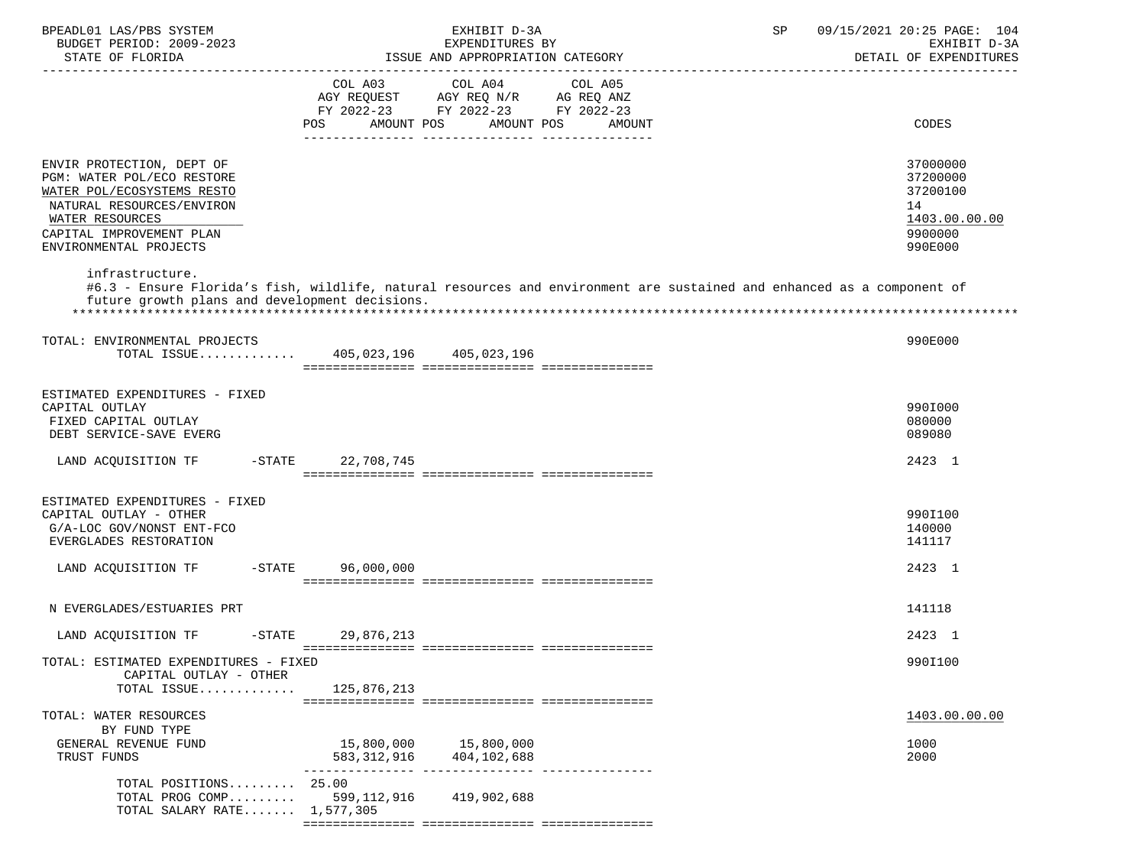| BPEADL01 LAS/PBS SYSTEM<br>BUDGET PERIOD: 2009-2023<br>STATE OF FLORIDA                                                                                                                                        | EXHIBIT D-3A<br>EXPENDITURES BY<br>ISSUE AND APPROPRIATION CATEGORY                                                                                         | SP<br>09/15/2021 20:25 PAGE: 104<br>EXHIBIT D-3A<br>DETAIL OF EXPENDITURES    |
|----------------------------------------------------------------------------------------------------------------------------------------------------------------------------------------------------------------|-------------------------------------------------------------------------------------------------------------------------------------------------------------|-------------------------------------------------------------------------------|
|                                                                                                                                                                                                                | COL A03<br>COL A04<br>COL A05<br>AGY REQUEST AGY REQ N/R AG REQ ANZ<br>FY 2022-23 FY 2022-23 FY 2022-23<br>AMOUNT POS<br><b>POS</b><br>AMOUNT POS<br>AMOUNT | CODES                                                                         |
| ENVIR PROTECTION, DEPT OF<br>PGM: WATER POL/ECO RESTORE<br>WATER POL/ECOSYSTEMS RESTO<br>NATURAL RESOURCES/ENVIRON<br>WATER RESOURCES<br>CAPITAL IMPROVEMENT PLAN<br>ENVIRONMENTAL PROJECTS<br>infrastructure. |                                                                                                                                                             | 37000000<br>37200000<br>37200100<br>14<br>1403.00.00.00<br>9900000<br>990E000 |
| future growth plans and development decisions.                                                                                                                                                                 | #6.3 - Ensure Florida's fish, wildlife, natural resources and environment are sustained and enhanced as a component of                                      |                                                                               |
| TOTAL: ENVIRONMENTAL PROJECTS                                                                                                                                                                                  | TOTAL ISSUE 405,023,196 405,023,196                                                                                                                         | 990E000                                                                       |
| ESTIMATED EXPENDITURES - FIXED<br>CAPITAL OUTLAY<br>FIXED CAPITAL OUTLAY<br>DEBT SERVICE-SAVE EVERG                                                                                                            |                                                                                                                                                             | 990I000<br>080000<br>089080                                                   |
| LAND ACQUISITION TF                                                                                                                                                                                            | -STATE 22,708,745                                                                                                                                           | 2423 1                                                                        |
| ESTIMATED EXPENDITURES - FIXED<br>CAPITAL OUTLAY - OTHER<br>G/A-LOC GOV/NONST ENT-FCO<br>EVERGLADES RESTORATION                                                                                                |                                                                                                                                                             | 990I100<br>140000<br>141117                                                   |
| LAND ACQUISITION TF<br>$-$ STATE                                                                                                                                                                               | 96,000,000                                                                                                                                                  | 2423 1                                                                        |
| N EVERGLADES/ESTUARIES PRT                                                                                                                                                                                     |                                                                                                                                                             | 141118                                                                        |
| LAND ACOUISITION TF<br>$-$ STATE                                                                                                                                                                               | 29,876,213                                                                                                                                                  | 2423 1                                                                        |
| TOTAL: ESTIMATED EXPENDITURES - FIXED<br>CAPITAL OUTLAY - OTHER<br>TOTAL ISSUE                                                                                                                                 | 125,876,213                                                                                                                                                 | 990I100                                                                       |
| TOTAL: WATER RESOURCES                                                                                                                                                                                         |                                                                                                                                                             | 1403.00.00.00                                                                 |
| BY FUND TYPE<br>GENERAL REVENUE FUND<br>TRUST FUNDS                                                                                                                                                            | 15,800,000<br>15,800,000<br>404,102,688<br>583,312,916                                                                                                      | 1000<br>2000                                                                  |
| TOTAL POSITIONS 25.00<br>TOTAL PROG COMP<br>TOTAL SALARY RATE 1,577,305                                                                                                                                        | 599,112,916<br>419,902,688                                                                                                                                  |                                                                               |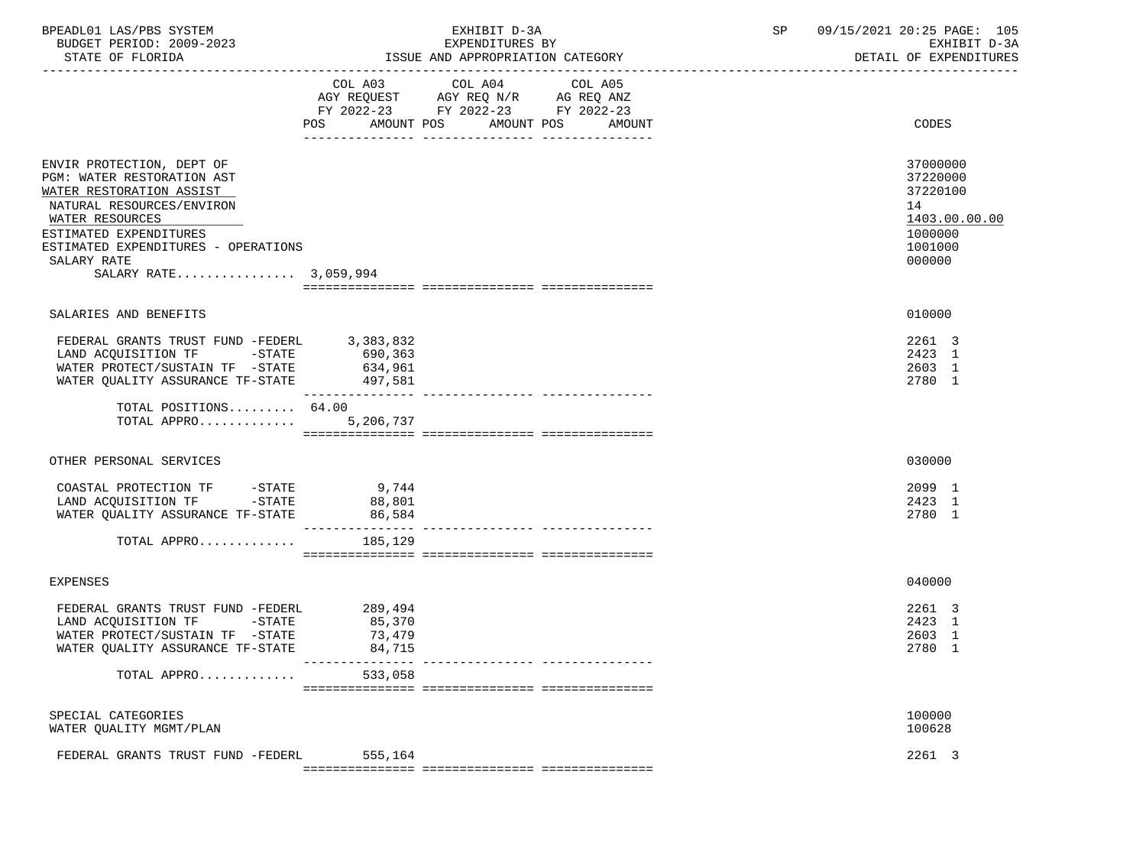| BPEADL01 LAS/PBS SYSTEM<br>BUDGET PERIOD: 2009-2023<br>STATE OF FLORIDA                                                                                          |                                       | EXHIBIT D-3A<br>EXPENDITURES BY<br>ISSUE AND APPROPRIATION CATEGORY                                                             | 09/15/2021 20:25 PAGE: 105<br>SP<br>EXHIBIT D-3A<br>DETAIL OF EXPENDITURES |                                                     |  |
|------------------------------------------------------------------------------------------------------------------------------------------------------------------|---------------------------------------|---------------------------------------------------------------------------------------------------------------------------------|----------------------------------------------------------------------------|-----------------------------------------------------|--|
|                                                                                                                                                                  | COL A03<br>POS                        | COL A04<br>COL A05<br>AGY REQUEST AGY REQ N/R AG REQ ANZ<br>FY 2022-23 FY 2022-23 FY 2022-23<br>AMOUNT POS AMOUNT POS<br>AMOUNT |                                                                            | CODES                                               |  |
|                                                                                                                                                                  |                                       |                                                                                                                                 |                                                                            |                                                     |  |
| ENVIR PROTECTION, DEPT OF<br>PGM: WATER RESTORATION AST<br>WATER RESTORATION ASSIST                                                                              |                                       |                                                                                                                                 |                                                                            | 37000000<br>37220000<br>37220100                    |  |
| NATURAL RESOURCES/ENVIRON<br>WATER RESOURCES<br>ESTIMATED EXPENDITURES<br>ESTIMATED EXPENDITURES - OPERATIONS<br>SALARY RATE                                     |                                       |                                                                                                                                 |                                                                            | 14<br>1403.00.00.00<br>1000000<br>1001000<br>000000 |  |
| SALARY RATE 3,059,994                                                                                                                                            |                                       |                                                                                                                                 |                                                                            |                                                     |  |
|                                                                                                                                                                  |                                       |                                                                                                                                 |                                                                            |                                                     |  |
| SALARIES AND BENEFITS                                                                                                                                            |                                       |                                                                                                                                 |                                                                            | 010000                                              |  |
| FEDERAL GRANTS TRUST FUND -FEDERL 3,383,832<br>LAND ACQUISITION TF -STATE 690,363<br>WATER PROTECT/SUSTAIN TF -STATE<br>WATER QUALITY ASSURANCE TF-STATE 497,581 | 634,961                               |                                                                                                                                 |                                                                            | 2261 3<br>2423 1<br>2603 1<br>2780 1                |  |
| TOTAL POSITIONS 64.00<br>TOTAL APPRO $5,206,737$                                                                                                                 |                                       |                                                                                                                                 |                                                                            |                                                     |  |
| OTHER PERSONAL SERVICES                                                                                                                                          |                                       |                                                                                                                                 |                                                                            | 030000                                              |  |
| COASTAL PROTECTION TF -STATE<br>LAND ACQUISITION TF -STATE<br>WATER QUALITY ASSURANCE TF-STATE                                                                   | 9,744<br>88,801<br>86,584             |                                                                                                                                 |                                                                            | 2099 1<br>2423 1<br>2780 1                          |  |
| TOTAL APPRO                                                                                                                                                      | 185,129                               |                                                                                                                                 |                                                                            |                                                     |  |
| <b>EXPENSES</b>                                                                                                                                                  |                                       |                                                                                                                                 |                                                                            | 040000                                              |  |
| FEDERAL GRANTS TRUST FUND -FEDERL<br>LAND ACQUISITION TF -STATE<br>WATER PROTECT/SUSTAIN TF -STATE<br>WATER QUALITY ASSURANCE TF-STATE                           | 289,494<br>85,370<br>73,479<br>84,715 |                                                                                                                                 |                                                                            | 2261 3<br>2423 1<br>2603 1<br>2780 1                |  |
| TOTAL APPRO                                                                                                                                                      | 533,058                               |                                                                                                                                 |                                                                            |                                                     |  |
| SPECIAL CATEGORIES<br>WATER QUALITY MGMT/PLAN                                                                                                                    |                                       |                                                                                                                                 |                                                                            | 100000<br>100628                                    |  |
| FEDERAL GRANTS TRUST FUND -FEDERL                                                                                                                                | 555,164                               |                                                                                                                                 |                                                                            | 2261 3                                              |  |
|                                                                                                                                                                  |                                       |                                                                                                                                 |                                                                            |                                                     |  |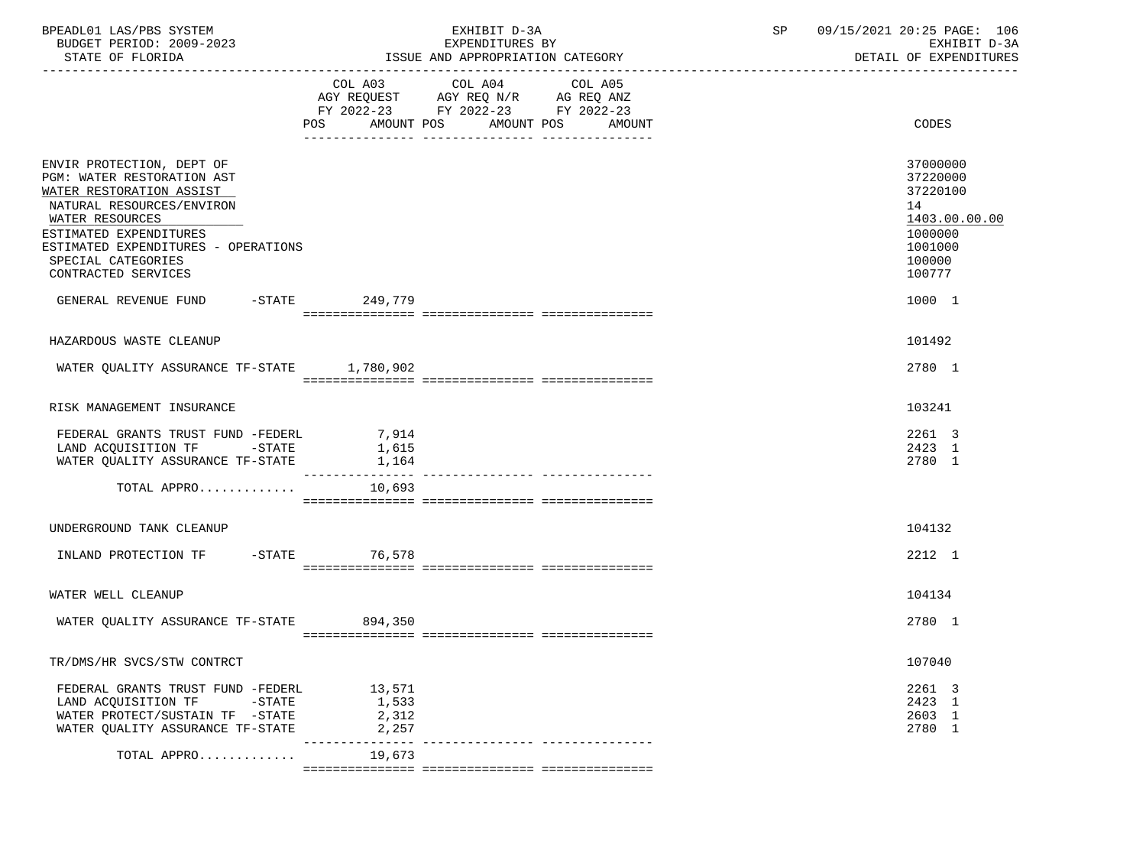| BPEADL01 LAS/PBS SYSTEM<br>BUDGET PERIOD: 2009-2023<br>STATE OF FLORIDA                                                                                                                                                                                                                  | EXHIBIT D-3A<br>EXPENDITURES BY<br>ISSUE AND APPROPRIATION CATEGORY                                                                   | 09/15/2021 20:25 PAGE: 106<br>SP<br>EXHIBIT D-3A<br>DETAIL OF EXPENDITURES                                  |
|------------------------------------------------------------------------------------------------------------------------------------------------------------------------------------------------------------------------------------------------------------------------------------------|---------------------------------------------------------------------------------------------------------------------------------------|-------------------------------------------------------------------------------------------------------------|
|                                                                                                                                                                                                                                                                                          | COL A03 COL A04 COL A05<br>AGY REQUEST AGY REQ N/R AG REQ ANZ<br>FY 2022-23 FY 2022-23 FY 2022-23<br>POS AMOUNT POS AMOUNT POS AMOUNT | CODES                                                                                                       |
| ENVIR PROTECTION, DEPT OF<br>PGM: WATER RESTORATION AST<br>WATER RESTORATION ASSIST<br>NATURAL RESOURCES/ENVIRON<br>WATER RESOURCES<br>ESTIMATED EXPENDITURES<br>ESTIMATED EXPENDITURES - OPERATIONS<br>SPECIAL CATEGORIES<br>CONTRACTED SERVICES<br>GENERAL REVENUE FUND -STATE 249,779 |                                                                                                                                       | 37000000<br>37220000<br>37220100<br>14<br>1403.00.00.00<br>1000000<br>1001000<br>100000<br>100777<br>1000 1 |
|                                                                                                                                                                                                                                                                                          |                                                                                                                                       |                                                                                                             |
| HAZARDOUS WASTE CLEANUP                                                                                                                                                                                                                                                                  |                                                                                                                                       | 101492                                                                                                      |
| WATER QUALITY ASSURANCE TF-STATE 1,780,902                                                                                                                                                                                                                                               |                                                                                                                                       | 2780 1                                                                                                      |
| RISK MANAGEMENT INSURANCE                                                                                                                                                                                                                                                                |                                                                                                                                       | 103241                                                                                                      |
| FEDERAL GRANTS TRUST FUND -FEDERL<br>LAND ACQUISITION TF -STATE<br>WATER QUALITY ASSURANCE TF-STATE 1,164                                                                                                                                                                                | 7,914<br>1,615                                                                                                                        | 2261 3<br>2423 1<br>2780 1                                                                                  |
| TOTAL APPRO                                                                                                                                                                                                                                                                              | 10,693                                                                                                                                |                                                                                                             |
| UNDERGROUND TANK CLEANUP                                                                                                                                                                                                                                                                 |                                                                                                                                       | 104132                                                                                                      |
| INLAND PROTECTION TF -STATE 76,578                                                                                                                                                                                                                                                       |                                                                                                                                       | 2212 1                                                                                                      |
| WATER WELL CLEANUP                                                                                                                                                                                                                                                                       |                                                                                                                                       | 104134                                                                                                      |
| WATER QUALITY ASSURANCE TF-STATE 894,350                                                                                                                                                                                                                                                 |                                                                                                                                       | 2780 1                                                                                                      |
| TR/DMS/HR SVCS/STW CONTRCT                                                                                                                                                                                                                                                               |                                                                                                                                       | 107040                                                                                                      |
| FEDERAL GRANTS TRUST FUND -FEDERL<br>LAND ACQUISITION TF<br>-STATE<br>WATER PROTECT/SUSTAIN TF -STATE<br>WATER QUALITY ASSURANCE TF-STATE                                                                                                                                                | 13,571<br>1,533<br>2,312<br>2,257                                                                                                     | 2261 3<br>2423 1<br>2603 1<br>2780 1                                                                        |
| TOTAL APPRO                                                                                                                                                                                                                                                                              | _______________________________<br>19,673                                                                                             |                                                                                                             |
|                                                                                                                                                                                                                                                                                          |                                                                                                                                       |                                                                                                             |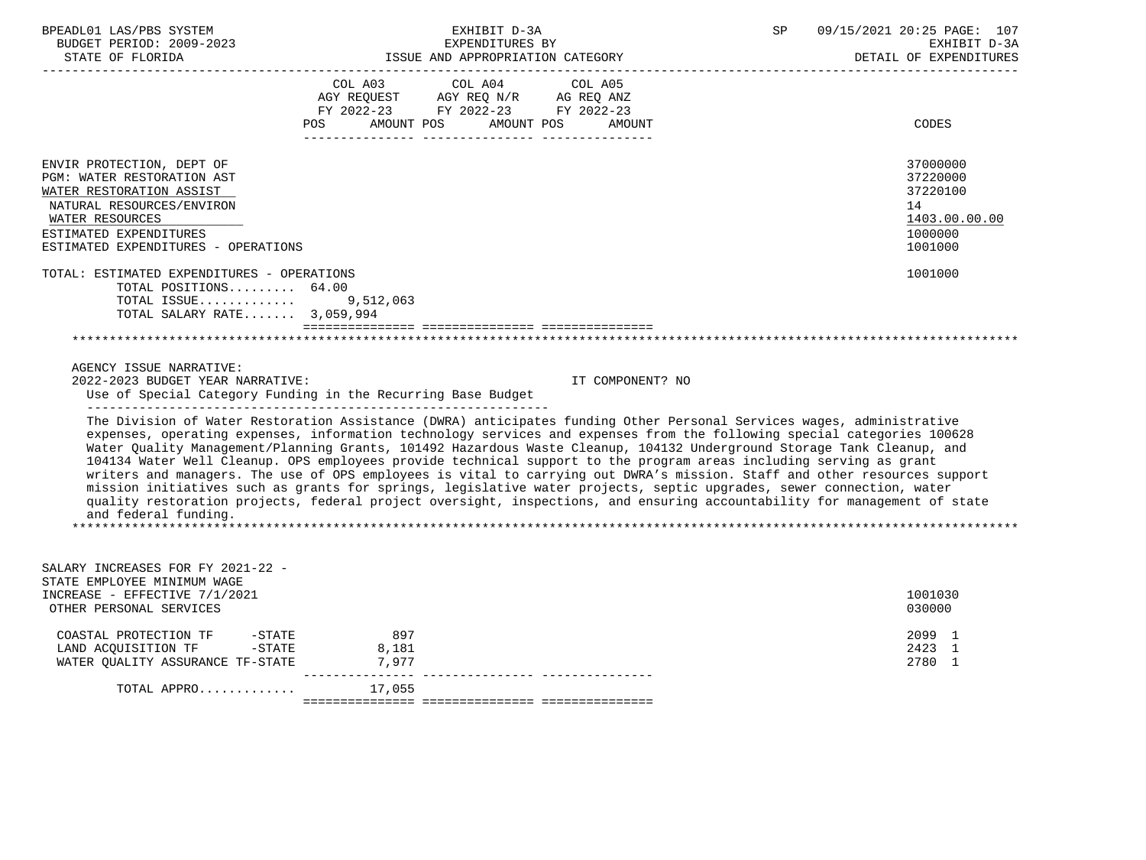| BPEADL01 LAS/PBS SYSTEM<br>BUDGET PERIOD: 2009-2023<br>STATE OF FLORIDA<br>________________________                                                                                                                                                                                                                                                                                                                                                                                                                                                                                                                                                                                                                                                                                                                                                                                                        | EXHIBIT D-3A<br>EXPENDITURES BY<br>ISSUE AND APPROPRIATION CATEGORY                                                                      | SP               | 09/15/2021 20:25 PAGE: 107<br>EXHIBIT D-3A<br>DETAIL OF EXPENDITURES          |  |
|------------------------------------------------------------------------------------------------------------------------------------------------------------------------------------------------------------------------------------------------------------------------------------------------------------------------------------------------------------------------------------------------------------------------------------------------------------------------------------------------------------------------------------------------------------------------------------------------------------------------------------------------------------------------------------------------------------------------------------------------------------------------------------------------------------------------------------------------------------------------------------------------------------|------------------------------------------------------------------------------------------------------------------------------------------|------------------|-------------------------------------------------------------------------------|--|
|                                                                                                                                                                                                                                                                                                                                                                                                                                                                                                                                                                                                                                                                                                                                                                                                                                                                                                            | COL A03 COL A04 COL A05<br>AGY REQUEST AGY REQ N/R AG REQ ANZ<br>FY 2022-23 FY 2022-23 FY 2022-23<br>AMOUNT POS AMOUNT POS AMOUNT<br>POS |                  | CODES                                                                         |  |
| ENVIR PROTECTION, DEPT OF<br>PGM: WATER RESTORATION AST<br>WATER RESTORATION ASSIST<br>NATURAL RESOURCES/ENVIRON<br>WATER RESOURCES<br>ESTIMATED EXPENDITURES<br>ESTIMATED EXPENDITURES - OPERATIONS                                                                                                                                                                                                                                                                                                                                                                                                                                                                                                                                                                                                                                                                                                       |                                                                                                                                          |                  | 37000000<br>37220000<br>37220100<br>14<br>1403.00.00.00<br>1000000<br>1001000 |  |
| TOTAL: ESTIMATED EXPENDITURES - OPERATIONS<br>TOTAL POSITIONS 64.00<br>TOTAL ISSUE 9,512,063<br>TOTAL SALARY RATE 3,059,994                                                                                                                                                                                                                                                                                                                                                                                                                                                                                                                                                                                                                                                                                                                                                                                |                                                                                                                                          |                  | 1001000                                                                       |  |
|                                                                                                                                                                                                                                                                                                                                                                                                                                                                                                                                                                                                                                                                                                                                                                                                                                                                                                            |                                                                                                                                          |                  |                                                                               |  |
| AGENCY ISSUE NARRATIVE:<br>2022-2023 BUDGET YEAR NARRATIVE:                                                                                                                                                                                                                                                                                                                                                                                                                                                                                                                                                                                                                                                                                                                                                                                                                                                | Use of Special Category Funding in the Recurring Base Budget                                                                             | IT COMPONENT? NO |                                                                               |  |
| The Division of Water Restoration Assistance (DWRA) anticipates funding Other Personal Services wages, administrative<br>expenses, operating expenses, information technology services and expenses from the following special categories 100628<br>Water Quality Management/Planning Grants, 101492 Hazardous Waste Cleanup, 104132 Underground Storage Tank Cleanup, and<br>104134 Water Well Cleanup. OPS employees provide technical support to the program areas including serving as grant<br>writers and managers. The use of OPS employees is vital to carrying out DWRA's mission. Staff and other resources support<br>mission initiatives such as grants for springs, legislative water projects, septic upgrades, sewer connection, water<br>quality restoration projects, federal project oversight, inspections, and ensuring accountability for management of state<br>and federal funding. |                                                                                                                                          |                  |                                                                               |  |
| SALARY INCREASES FOR FY 2021-22 -<br>STATE EMPLOYEE MINIMUM WAGE<br>INCREASE - EFFECTIVE 7/1/2021<br>OTHER PERSONAL SERVICES                                                                                                                                                                                                                                                                                                                                                                                                                                                                                                                                                                                                                                                                                                                                                                               |                                                                                                                                          |                  | 1001030<br>030000                                                             |  |
| COASTAL PROTECTION TF -STATE<br>LAND ACQUISITION TF -STATE<br>WATER QUALITY ASSURANCE TF-STATE 7,977                                                                                                                                                                                                                                                                                                                                                                                                                                                                                                                                                                                                                                                                                                                                                                                                       | 897<br>8,181                                                                                                                             |                  | 2099 1<br>2423 1<br>2780 1                                                    |  |
| TOTAL APPRO                                                                                                                                                                                                                                                                                                                                                                                                                                                                                                                                                                                                                                                                                                                                                                                                                                                                                                | 17,055                                                                                                                                   |                  |                                                                               |  |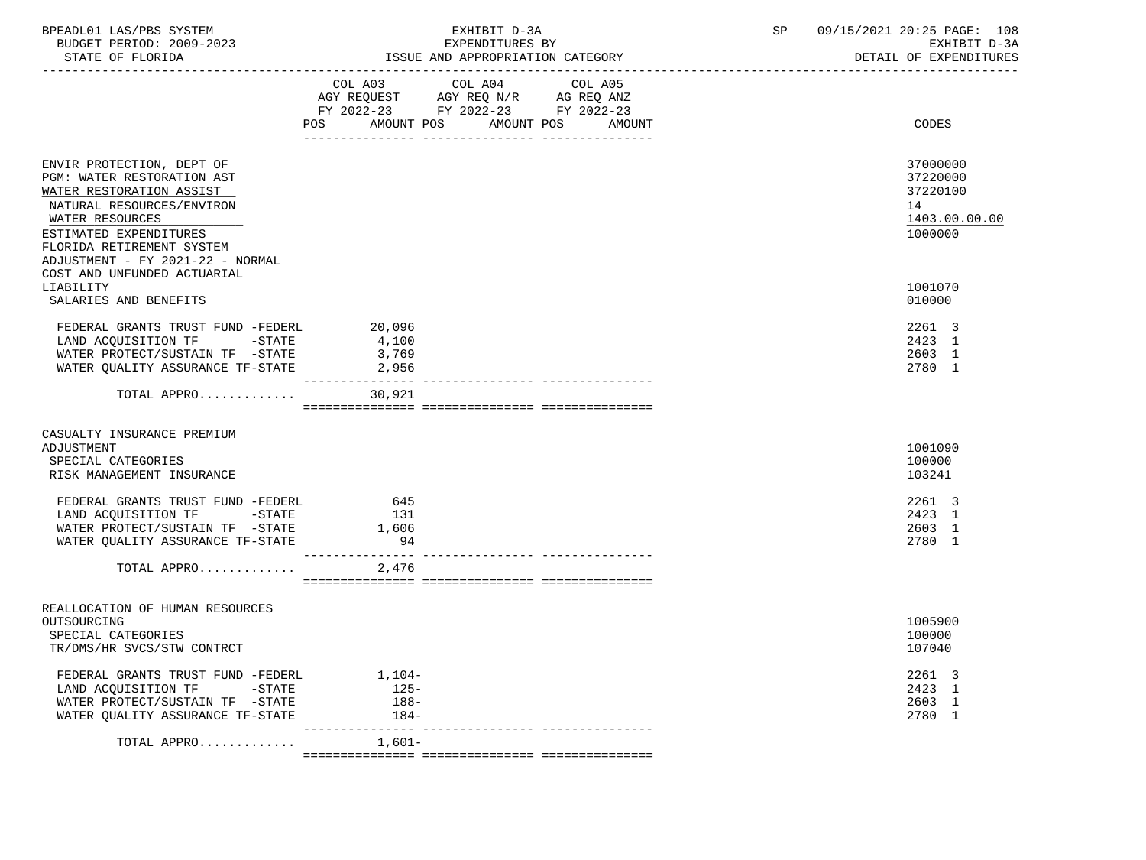| BPEADL01 LAS/PBS SYSTEM<br>BUDGET PERIOD: 2009-2023<br>STATE OF FLORIDA                                                                                                                    | EXHIBIT D-3A<br>EXPENDITURES BY<br>ISSUE AND APPROPRIATION CATEGORY                                                                                | 09/15/2021 20:25 PAGE: 108<br>SP<br>EXHIBIT D-3A<br>DETAIL OF EXPENDITURES |
|--------------------------------------------------------------------------------------------------------------------------------------------------------------------------------------------|----------------------------------------------------------------------------------------------------------------------------------------------------|----------------------------------------------------------------------------|
|                                                                                                                                                                                            | COL A03 COL A04 COL A05<br>AGY REQUEST AGY REQ N/R AG REQ ANZ<br>FY 2022-23 FY 2022-23 FY 2022-23<br>AMOUNT POS AMOUNT POS<br><b>AMOUNT</b><br>POS | CODES                                                                      |
|                                                                                                                                                                                            |                                                                                                                                                    |                                                                            |
| ENVIR PROTECTION, DEPT OF<br>PGM: WATER RESTORATION AST<br>WATER RESTORATION ASSIST<br>NATURAL RESOURCES/ENVIRON<br>WATER RESOURCES<br>ESTIMATED EXPENDITURES<br>FLORIDA RETIREMENT SYSTEM |                                                                                                                                                    | 37000000<br>37220000<br>37220100<br>14<br>1403.00.00.00<br>1000000         |
| ADJUSTMENT - FY 2021-22 - NORMAL<br>COST AND UNFUNDED ACTUARIAL                                                                                                                            |                                                                                                                                                    |                                                                            |
| LIABILITY<br>SALARIES AND BENEFITS                                                                                                                                                         |                                                                                                                                                    | 1001070<br>010000                                                          |
| FEDERAL GRANTS TRUST FUND -FEDERL<br>LAND ACQUISITION TF -STATE<br>WATER PROTECT/SUSTAIN TF -STATE<br>WATER OUALITY ASSURANCE TF-STATE                                                     | 20,096<br>4,100<br>3,769<br>2,956<br>________________                                                                                              | 2261 3<br>2423 1<br>2603 1<br>2780 1                                       |
| TOTAL APPRO                                                                                                                                                                                | 30,921                                                                                                                                             |                                                                            |
| CASUALTY INSURANCE PREMIUM                                                                                                                                                                 |                                                                                                                                                    |                                                                            |
| ADJUSTMENT<br>SPECIAL CATEGORIES<br>RISK MANAGEMENT INSURANCE                                                                                                                              |                                                                                                                                                    | 1001090<br>100000<br>103241                                                |
| FEDERAL GRANTS TRUST FUND -FEDERL<br>LAND ACQUISITION TF -STATE<br>WATER PROTECT/SUSTAIN TF -STATE<br>WATER QUALITY ASSURANCE TF-STATE                                                     | 645<br>131<br>1,606<br>94                                                                                                                          | 2261 3<br>2423 1<br>2603 1<br>2780 1                                       |
| TOTAL APPRO                                                                                                                                                                                | 2,476                                                                                                                                              |                                                                            |
|                                                                                                                                                                                            |                                                                                                                                                    |                                                                            |
| REALLOCATION OF HUMAN RESOURCES<br>OUTSOURCING<br>SPECIAL CATEGORIES<br>TR/DMS/HR SVCS/STW CONTRCT                                                                                         |                                                                                                                                                    | 1005900<br>100000<br>107040                                                |
| FEDERAL GRANTS TRUST FUND -FEDERL<br>$-\mathtt{STATE}$<br>LAND ACQUISITION TF<br>WATER PROTECT/SUSTAIN TF -STATE<br>WATER OUALITY ASSURANCE TF-STATE                                       | 1,104-<br>$125-$<br>188-<br>184-                                                                                                                   | 2261 3<br>2423 1<br>2603 1<br>2780 1                                       |
| TOTAL APPRO                                                                                                                                                                                | ________________________________<br>------------<br>$1,601-$                                                                                       |                                                                            |
|                                                                                                                                                                                            |                                                                                                                                                    |                                                                            |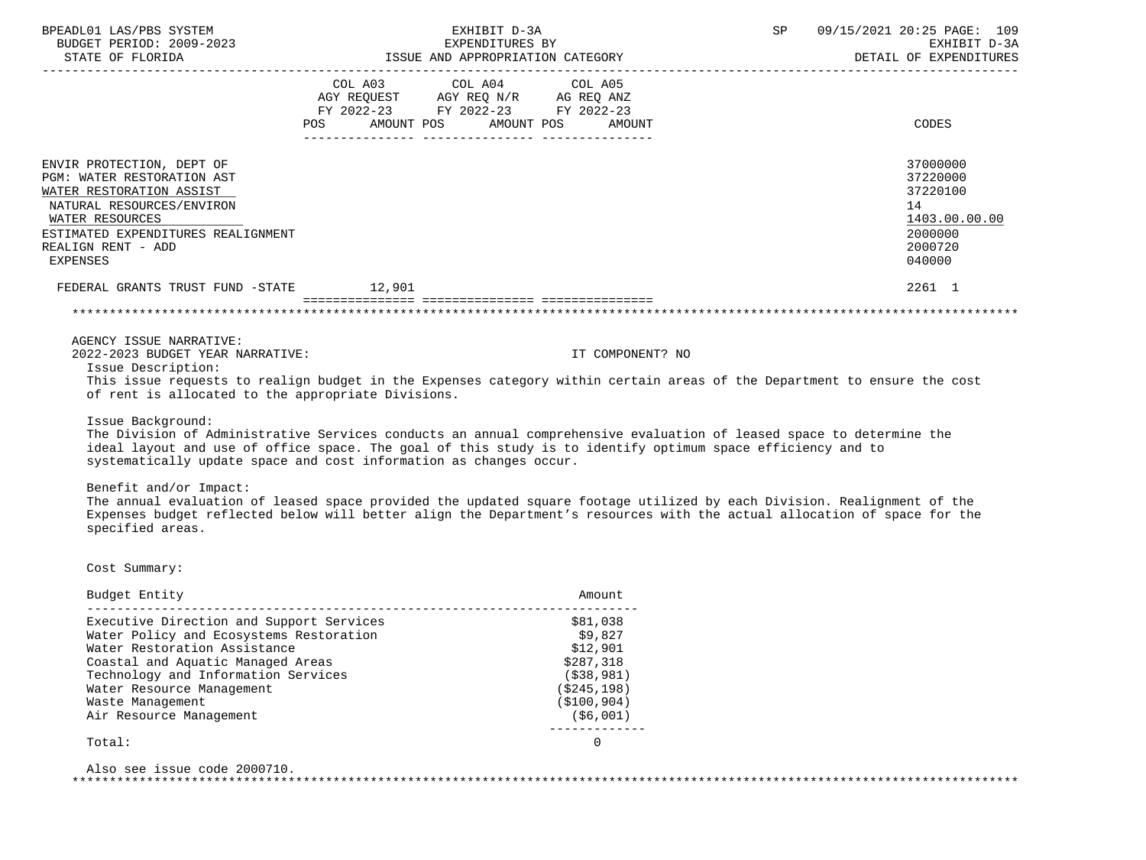| BPEADL01 LAS/PBS SYSTEM<br>BUDGET PERIOD: 2009-2023<br>STATE OF FLORIDA                                                                                                                                     | EXHIBIT D-3A<br>EXPENDITURES BY<br>ISSUE AND APPROPRIATION CATEGORY                                                                          | 09/15/2021 20:25 PAGE: 109<br>SP and the set of the set of the set of the set of the set of the set of the set of the set of the set of the s<br>EXHIBIT D-3A<br>DETAIL OF EXPENDITURES |  |  |
|-------------------------------------------------------------------------------------------------------------------------------------------------------------------------------------------------------------|----------------------------------------------------------------------------------------------------------------------------------------------|-----------------------------------------------------------------------------------------------------------------------------------------------------------------------------------------|--|--|
|                                                                                                                                                                                                             | COL A03 COL A04 COL A05<br>AGY REQUEST AGY REQ N/R AG REQ ANZ<br>FY 2022-23 FY 2022-23 FY 2022-23<br>POS AMOUNT POS AMOUNT POS AMOUNT        | CODES                                                                                                                                                                                   |  |  |
| ENVIR PROTECTION, DEPT OF<br>PGM: WATER RESTORATION AST<br>WATER RESTORATION ASSIST<br>NATURAL RESOURCES/ENVIRON<br>WATER RESOURCES<br>ESTIMATED EXPENDITURES REALIGNMENT<br>REALIGN RENT - ADD<br>EXPENSES |                                                                                                                                              | 37000000<br>37220000<br>37220100<br>14<br>1403.00.00.00<br>2000000<br>2000720<br>040000                                                                                                 |  |  |
| FEDERAL GRANTS TRUST FUND -STATE 12,901                                                                                                                                                                     |                                                                                                                                              | 2261 1                                                                                                                                                                                  |  |  |
|                                                                                                                                                                                                             |                                                                                                                                              |                                                                                                                                                                                         |  |  |
| AGENCY ISSUE NARRATIVE:                                                                                                                                                                                     |                                                                                                                                              |                                                                                                                                                                                         |  |  |
| 2022-2023 BUDGET YEAR NARRATIVE:<br>Issue Description:                                                                                                                                                      | IT COMPONENT? NO<br>This issue requests to realign budget in the Expenses category within certain areas of the Department to ensure the cost |                                                                                                                                                                                         |  |  |

requests to realign budget in the Expenses category within certain areas of the Department to ensure the cost of rent is allocated to the appropriate Divisions.

Issue Background:

 The Division of Administrative Services conducts an annual comprehensive evaluation of leased space to determine the ideal layout and use of office space. The goal of this study is to identify optimum space efficiency and to systematically update space and cost information as changes occur.

Benefit and/or Impact:

 The annual evaluation of leased space provided the updated square footage utilized by each Division. Realignment of the Expenses budget reflected below will better align the Department's resources with the actual allocation of space for the specified areas.

Cost Summary:

| Budget Entity                            | Amount.       |
|------------------------------------------|---------------|
| Executive Direction and Support Services | \$81,038      |
| Water Policy and Ecosystems Restoration  | \$9,827       |
| Water Restoration Assistance             | \$12,901      |
| Coastal and Aquatic Managed Areas        | \$287,318     |
| Technology and Information Services      | ( \$38, 981)  |
| Water Resource Management                | (\$245,198)   |
| Waste Management                         | ( \$100, 904) |
| Air Resource Management                  | ( \$6,001)    |
|                                          |               |

Total: 0

 Also see issue code 2000710. \*\*\*\*\*\*\*\*\*\*\*\*\*\*\*\*\*\*\*\*\*\*\*\*\*\*\*\*\*\*\*\*\*\*\*\*\*\*\*\*\*\*\*\*\*\*\*\*\*\*\*\*\*\*\*\*\*\*\*\*\*\*\*\*\*\*\*\*\*\*\*\*\*\*\*\*\*\*\*\*\*\*\*\*\*\*\*\*\*\*\*\*\*\*\*\*\*\*\*\*\*\*\*\*\*\*\*\*\*\*\*\*\*\*\*\*\*\*\*\*\*\*\*\*\*\*\*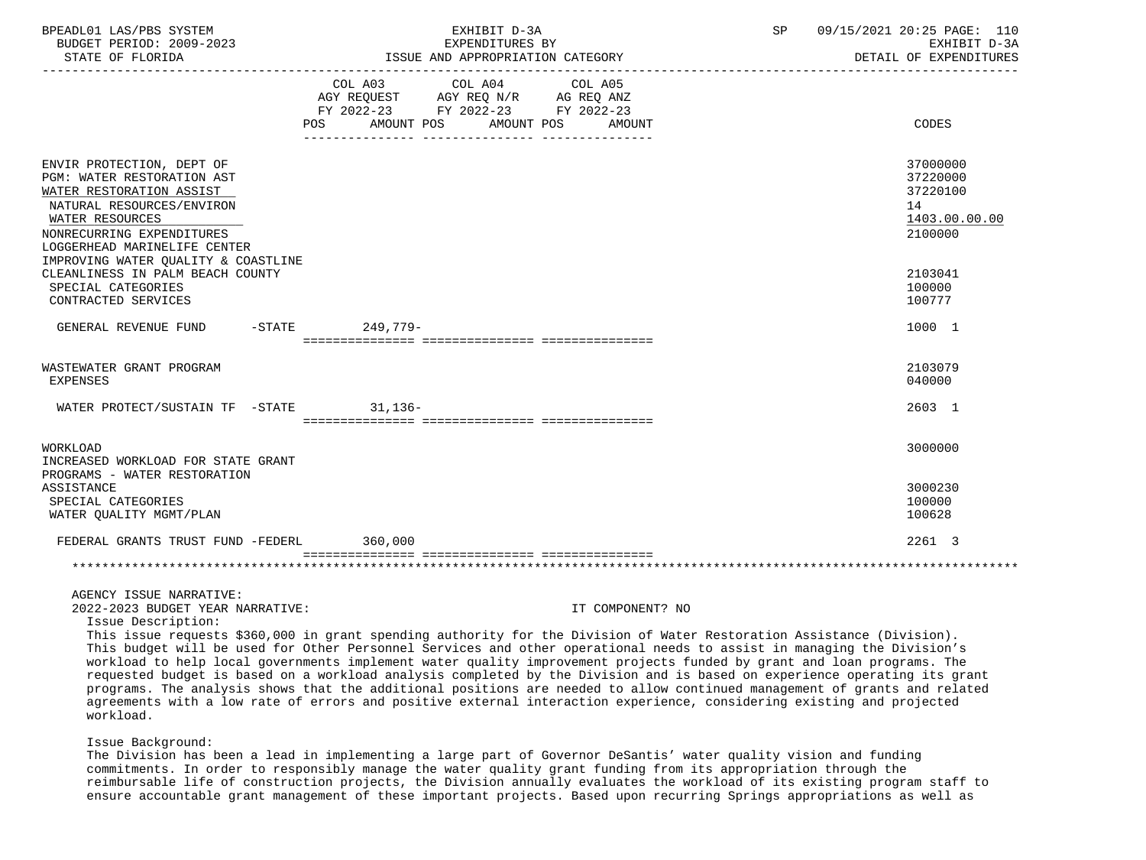| BPEADL01 LAS/PBS SYSTEM<br>BUDGET PERIOD: 2009-2023<br>STATE OF FLORIDA                                                                                                                          | EXHIBIT D-3A<br>EXPENDITURES BY<br>ISSUE AND APPROPRIATION CATEGORY                                                                                                                                                                              | SP               | 09/15/2021 20:25 PAGE: 110<br>EXHIBIT D-3A<br>DETAIL OF EXPENDITURES |
|--------------------------------------------------------------------------------------------------------------------------------------------------------------------------------------------------|--------------------------------------------------------------------------------------------------------------------------------------------------------------------------------------------------------------------------------------------------|------------------|----------------------------------------------------------------------|
|                                                                                                                                                                                                  | COL A03 COL A04<br>AGY REQUEST AGY REQ N/R AG REQ ANZ<br>FY 2022-23 FY 2022-23 FY 2022-23<br>POS AMOUNT POS AMOUNT POS AMOUNT                                                                                                                    | COL A05          | <b>CODES</b>                                                         |
| ENVIR PROTECTION, DEPT OF<br>PGM: WATER RESTORATION AST<br>WATER RESTORATION ASSIST<br>NATURAL RESOURCES/ENVIRON<br>WATER RESOURCES<br>NONRECURRING EXPENDITURES<br>LOGGERHEAD MARINELIFE CENTER |                                                                                                                                                                                                                                                  |                  | 37000000<br>37220000<br>37220100<br>14<br>1403.00.00.00<br>2100000   |
| IMPROVING WATER QUALITY & COASTLINE<br>CLEANLINESS IN PALM BEACH COUNTY<br>SPECIAL CATEGORIES<br>CONTRACTED SERVICES                                                                             |                                                                                                                                                                                                                                                  |                  | 2103041<br>100000<br>100777                                          |
| GENERAL REVENUE FUND                                                                                                                                                                             | -STATE 249.779-                                                                                                                                                                                                                                  |                  | 1000 1                                                               |
| WASTEWATER GRANT PROGRAM<br>EXPENSES                                                                                                                                                             |                                                                                                                                                                                                                                                  |                  | 2103079<br>040000                                                    |
| WATER PROTECT/SUSTAIN TF -STATE                                                                                                                                                                  | $31,136-$                                                                                                                                                                                                                                        |                  | 2603 1                                                               |
| WORKLOAD<br>INCREASED WORKLOAD FOR STATE GRANT                                                                                                                                                   |                                                                                                                                                                                                                                                  |                  | 3000000                                                              |
| PROGRAMS - WATER RESTORATION<br>ASSISTANCE<br>SPECIAL CATEGORIES<br>WATER QUALITY MGMT/PLAN                                                                                                      |                                                                                                                                                                                                                                                  |                  | 3000230<br>100000<br>100628                                          |
| FEDERAL GRANTS TRUST FUND -FEDERL 360.000                                                                                                                                                        |                                                                                                                                                                                                                                                  |                  | 2261 3                                                               |
|                                                                                                                                                                                                  |                                                                                                                                                                                                                                                  |                  |                                                                      |
| AGENCY ISSUE NARRATIVE:<br>2022-2023 BUDGET YEAR NARRATIVE:<br>Issue Description:                                                                                                                | This issue requests \$360,000 in grant spending authority for the Division of Water Restoration Assistance (Division).<br>This budget will be used for Other Personnel Services and other operational needs to assist in managing the Division's | IT COMPONENT? NO |                                                                      |

 This budget will be used for Other Personnel Services and other operational needs to assist in managing the Division's workload to help local governments implement water quality improvement projects funded by grant and loan programs. The requested budget is based on a workload analysis completed by the Division and is based on experience operating its grant programs. The analysis shows that the additional positions are needed to allow continued management of grants and related agreements with a low rate of errors and positive external interaction experience, considering existing and projected workload.

# Issue Background:

 The Division has been a lead in implementing a large part of Governor DeSantis' water quality vision and funding commitments. In order to responsibly manage the water quality grant funding from its appropriation through the reimbursable life of construction projects, the Division annually evaluates the workload of its existing program staff to ensure accountable grant management of these important projects. Based upon recurring Springs appropriations as well as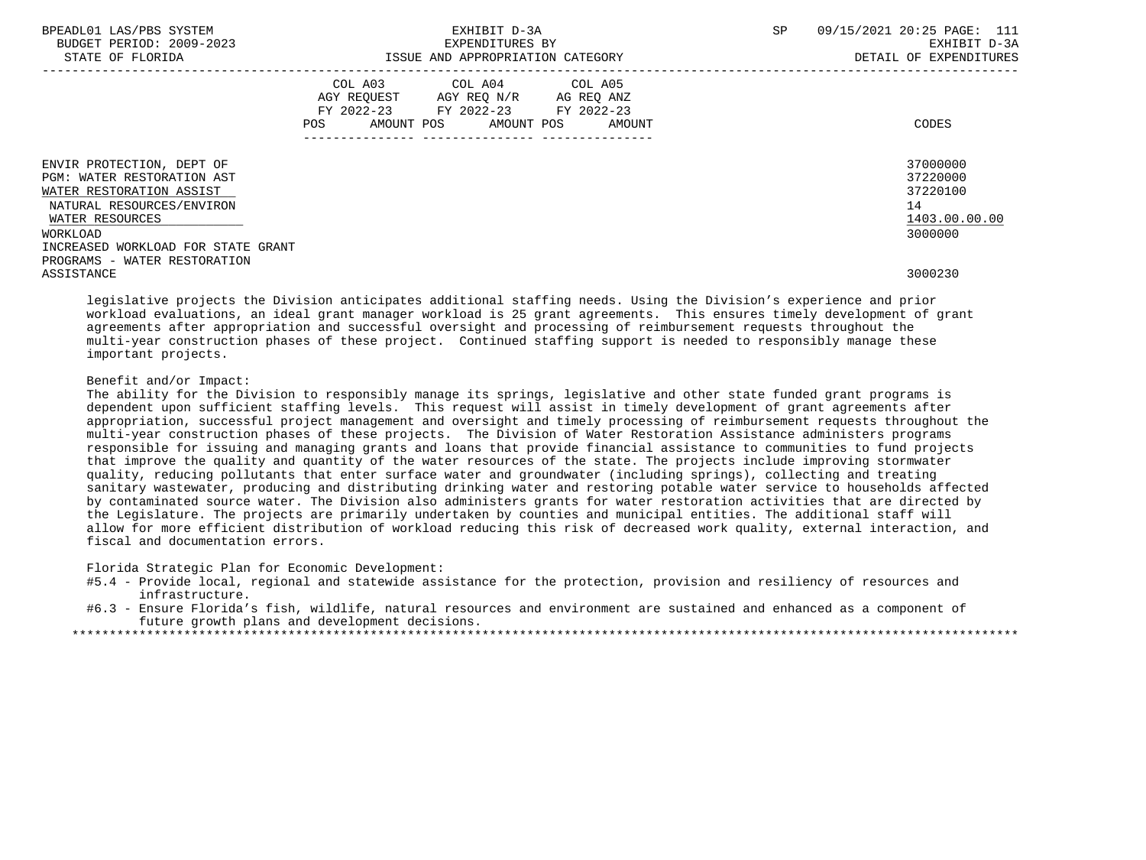| BPEADL01 LAS/PBS SYSTEM<br>BUDGET PERIOD: 2009-2023<br>STATE OF FLORIDA             | EXHIBIT D-3A<br>EXPENDITURES BY<br>ISSUE AND APPROPRIATION CATEGORY                                                                            | 09/15/2021 20:25 PAGE: 111<br>SP<br>EXHIBIT D-3A<br>DETAIL OF EXPENDITURES |
|-------------------------------------------------------------------------------------|------------------------------------------------------------------------------------------------------------------------------------------------|----------------------------------------------------------------------------|
|                                                                                     | COL A03 COL A04 COL A05<br>AGY REQUEST AGY REQ N/R AG REQ ANZ<br>FY 2022-23 FY 2022-23<br>FY 2022-23<br>AMOUNT POS AMOUNT POS<br>POS<br>AMOUNT | CODES                                                                      |
| ENVIR PROTECTION, DEPT OF<br>PGM: WATER RESTORATION AST<br>WATER RESTORATION ASSIST |                                                                                                                                                | 37000000<br>37220000<br>37220100                                           |
| NATURAL RESOURCES/ENVIRON<br>WATER RESOURCES                                        |                                                                                                                                                | 14<br>1403.00.00.00                                                        |
| WORKLOAD<br>INCREASED WORKLOAD FOR STATE GRANT<br>PROGRAMS - WATER RESTORATION      |                                                                                                                                                | 3000000                                                                    |

ASSISTANCE 3000230

 legislative projects the Division anticipates additional staffing needs. Using the Division's experience and prior workload evaluations, an ideal grant manager workload is 25 grant agreements. This ensures timely development of grant agreements after appropriation and successful oversight and processing of reimbursement requests throughout the multi-year construction phases of these project. Continued staffing support is needed to responsibly manage these important projects.

# Benefit and/or Impact:

 The ability for the Division to responsibly manage its springs, legislative and other state funded grant programs is dependent upon sufficient staffing levels. This request will assist in timely development of grant agreements after appropriation, successful project management and oversight and timely processing of reimbursement requests throughout the multi-year construction phases of these projects. The Division of Water Restoration Assistance administers programs responsible for issuing and managing grants and loans that provide financial assistance to communities to fund projects that improve the quality and quantity of the water resources of the state. The projects include improving stormwater quality, reducing pollutants that enter surface water and groundwater (including springs), collecting and treating sanitary wastewater, producing and distributing drinking water and restoring potable water service to households affected by contaminated source water. The Division also administers grants for water restoration activities that are directed by the Legislature. The projects are primarily undertaken by counties and municipal entities. The additional staff will allow for more efficient distribution of workload reducing this risk of decreased work quality, external interaction, and fiscal and documentation errors.

Florida Strategic Plan for Economic Development:

 #5.4 - Provide local, regional and statewide assistance for the protection, provision and resiliency of resources and infrastructure.

 #6.3 - Ensure Florida's fish, wildlife, natural resources and environment are sustained and enhanced as a component of future growth plans and development decisions.

\*\*\*\*\*\*\*\*\*\*\*\*\*\*\*\*\*\*\*\*\*\*\*\*\*\*\*\*\*\*\*\*\*\*\*\*\*\*\*\*\*\*\*\*\*\*\*\*\*\*\*\*\*\*\*\*\*\*\*\*\*\*\*\*\*\*\*\*\*\*\*\*\*\*\*\*\*\*\*\*\*\*\*\*\*\*\*\*\*\*\*\*\*\*\*\*\*\*\*\*\*\*\*\*\*\*\*\*\*\*\*\*\*\*\*\*\*\*\*\*\*\*\*\*\*\*\*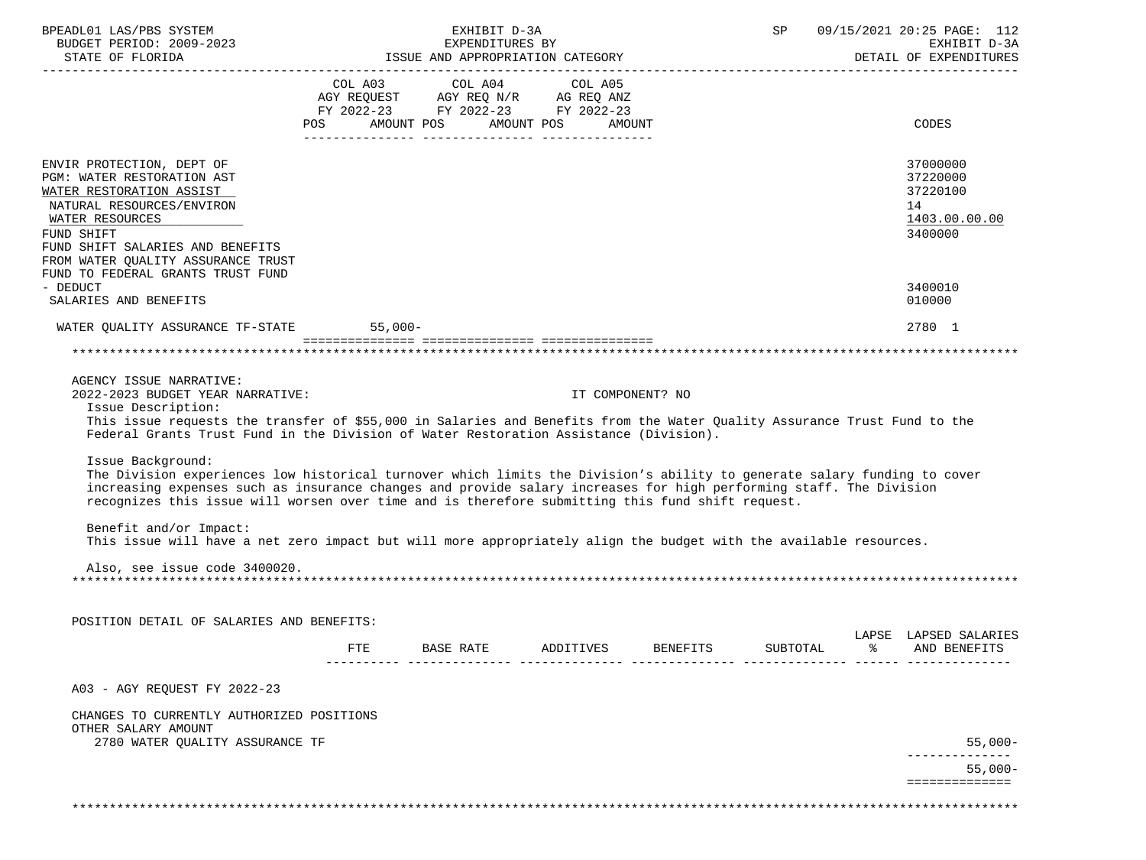| BPEADL01 LAS/PBS SYSTEM<br>BUDGET PERIOD: 2009-2023<br>STATE OF FLORIDA FEXPENDING ISSUE AND APPROPRIATION CATEGORY PEROPORTER STATE OF FAIL OF EXPENDING STATE OF EXPENDI                                                                                                                                                                                                                                                                                                                                             |     |                                                                        | EXHIBIT D-3A | EXPENDITURES BY |                  |                 | SP       | 09/15/2021 20:25 PAGE: 112<br>EXHIBIT D-3A<br>DETAIL OF EXPENDITURES |
|------------------------------------------------------------------------------------------------------------------------------------------------------------------------------------------------------------------------------------------------------------------------------------------------------------------------------------------------------------------------------------------------------------------------------------------------------------------------------------------------------------------------|-----|------------------------------------------------------------------------|--------------|-----------------|------------------|-----------------|----------|----------------------------------------------------------------------|
|                                                                                                                                                                                                                                                                                                                                                                                                                                                                                                                        |     | COL A03 COL A04 COL A05                                                |              |                 |                  |                 |          |                                                                      |
|                                                                                                                                                                                                                                                                                                                                                                                                                                                                                                                        |     | AGY REQUEST AGY REQ N/R AG REQ ANZ<br>FY 2022-23 FY 2022-23 FY 2022-23 |              |                 |                  |                 |          |                                                                      |
|                                                                                                                                                                                                                                                                                                                                                                                                                                                                                                                        |     |                                                                        |              |                 |                  |                 |          |                                                                      |
|                                                                                                                                                                                                                                                                                                                                                                                                                                                                                                                        |     | POS AMOUNT POS AMOUNT POS AMOUNT                                       |              |                 |                  |                 |          | <b>CODES</b>                                                         |
| ENVIR PROTECTION, DEPT OF<br>PGM: WATER RESTORATION AST<br>WATER RESTORATION ASSIST<br>NATURAL RESOURCES/ENVIRON<br>WATER RESOURCES<br>FUND SHIFT<br>FUND SHIFT SALARIES AND BENEFITS                                                                                                                                                                                                                                                                                                                                  |     |                                                                        |              |                 |                  |                 |          | 37000000<br>37220000<br>37220100<br>14<br>1403.00.00.00<br>3400000   |
| FROM WATER QUALITY ASSURANCE TRUST                                                                                                                                                                                                                                                                                                                                                                                                                                                                                     |     |                                                                        |              |                 |                  |                 |          |                                                                      |
| FUND TO FEDERAL GRANTS TRUST FUND<br>- DEDUCT                                                                                                                                                                                                                                                                                                                                                                                                                                                                          |     |                                                                        |              |                 |                  |                 |          | 3400010                                                              |
| SALARIES AND BENEFITS                                                                                                                                                                                                                                                                                                                                                                                                                                                                                                  |     |                                                                        |              |                 |                  |                 |          | 010000                                                               |
| WATER QUALITY ASSURANCE TF-STATE 55,000-                                                                                                                                                                                                                                                                                                                                                                                                                                                                               |     |                                                                        |              |                 |                  |                 |          | 2780 1                                                               |
|                                                                                                                                                                                                                                                                                                                                                                                                                                                                                                                        |     |                                                                        |              |                 |                  |                 |          |                                                                      |
| AGENCY ISSUE NARRATIVE:                                                                                                                                                                                                                                                                                                                                                                                                                                                                                                |     |                                                                        |              |                 |                  |                 |          |                                                                      |
| 2022-2023 BUDGET YEAR NARRATIVE:                                                                                                                                                                                                                                                                                                                                                                                                                                                                                       |     |                                                                        |              |                 | IT COMPONENT? NO |                 |          |                                                                      |
| Issue Description:<br>This issue requests the transfer of \$55,000 in Salaries and Benefits from the Water Ouality Assurance Trust Fund to the<br>Federal Grants Trust Fund in the Division of Water Restoration Assistance (Division).                                                                                                                                                                                                                                                                                |     |                                                                        |              |                 |                  |                 |          |                                                                      |
| Issue Background:<br>The Division experiences low historical turnover which limits the Division's ability to generate salary funding to cover<br>increasing expenses such as insurance changes and provide salary increases for high performing staff. The Division<br>recognizes this issue will worsen over time and is therefore submitting this fund shift request.<br>Benefit and/or Impact:<br>This issue will have a net zero impact but will more appropriately align the budget with the available resources. |     |                                                                        |              |                 |                  |                 |          |                                                                      |
| Also, see issue code 3400020.                                                                                                                                                                                                                                                                                                                                                                                                                                                                                          |     |                                                                        |              |                 |                  |                 |          |                                                                      |
| POSITION DETAIL OF SALARIES AND BENEFITS:                                                                                                                                                                                                                                                                                                                                                                                                                                                                              |     |                                                                        |              |                 |                  |                 |          |                                                                      |
|                                                                                                                                                                                                                                                                                                                                                                                                                                                                                                                        | FTE | BASE RATE                                                              |              | ADDITIVES       |                  | <b>BENEFITS</b> | SUBTOTAL | LAPSE LAPSED SALARIES<br>AND BENEFITS                                |
| A03 - AGY REQUEST FY 2022-23                                                                                                                                                                                                                                                                                                                                                                                                                                                                                           |     |                                                                        |              |                 |                  |                 |          |                                                                      |
| CHANGES TO CURRENTLY AUTHORIZED POSITIONS<br>OTHER SALARY AMOUNT<br>2780 WATER QUALITY ASSURANCE TF                                                                                                                                                                                                                                                                                                                                                                                                                    |     |                                                                        |              |                 |                  |                 |          | $55,000-$                                                            |
|                                                                                                                                                                                                                                                                                                                                                                                                                                                                                                                        |     |                                                                        |              |                 |                  |                 |          | $55.000 -$                                                           |
|                                                                                                                                                                                                                                                                                                                                                                                                                                                                                                                        |     |                                                                        |              |                 |                  |                 |          | ==============                                                       |
|                                                                                                                                                                                                                                                                                                                                                                                                                                                                                                                        |     |                                                                        |              |                 |                  |                 |          |                                                                      |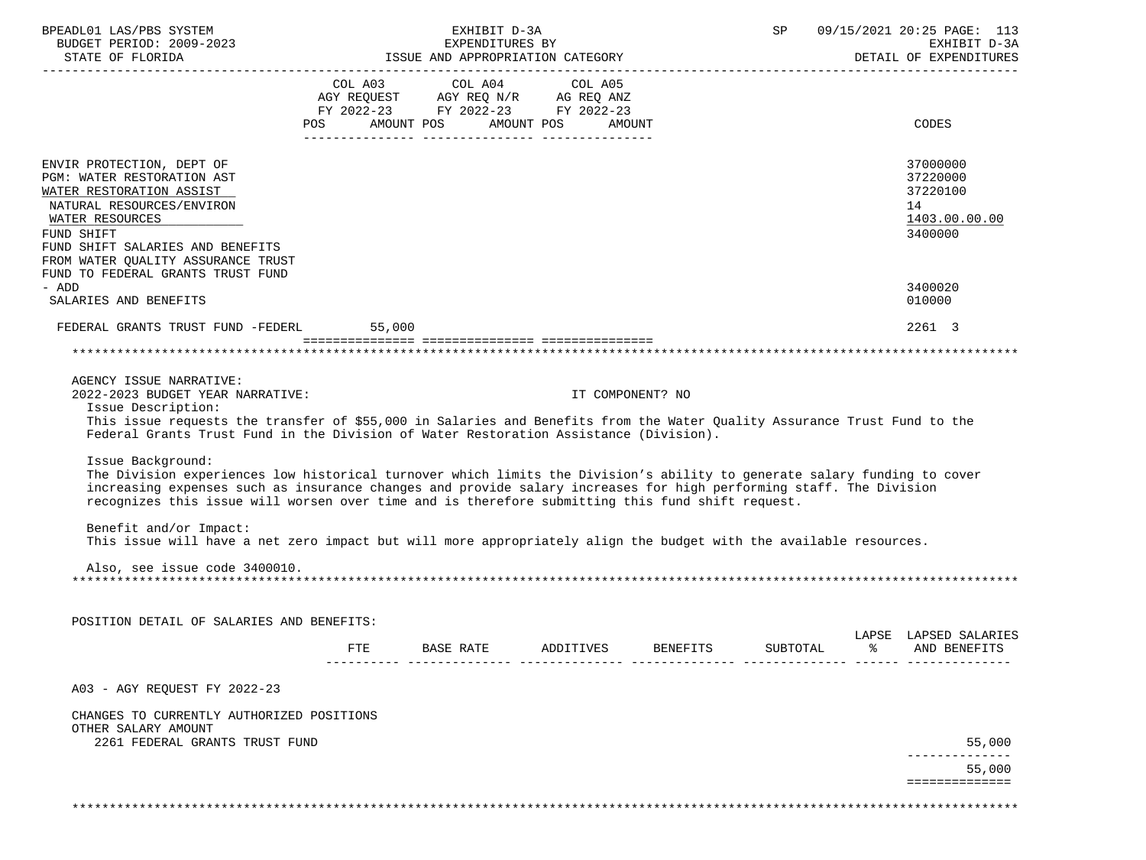| BPEADL01 LAS/PBS SYSTEM<br>BUDGET PERIOD: 2009-2023                                                                                                                                                                                                                                                                                                                                                                                                                                                                                                     |     | EXHIBIT D-3A<br>EXPENDITURES BY                                                                                                |           |                  | $\mathsf{SP}^-$ | 09/15/2021 20:25 PAGE: 113<br>EXHIBIT D-3A<br>DETAIL OF EXPENDITURES |
|---------------------------------------------------------------------------------------------------------------------------------------------------------------------------------------------------------------------------------------------------------------------------------------------------------------------------------------------------------------------------------------------------------------------------------------------------------------------------------------------------------------------------------------------------------|-----|--------------------------------------------------------------------------------------------------------------------------------|-----------|------------------|-----------------|----------------------------------------------------------------------|
|                                                                                                                                                                                                                                                                                                                                                                                                                                                                                                                                                         |     | COL A03 COL A04 COL A05<br>AGY REQUEST AGY REQ N/R AG REQ ANZ<br>FY 2022-23 FY 2022-23 FY 2022-23<br>POS AMOUNT POS AMOUNT POS |           | AMOUNT           |                 | CODES                                                                |
| ENVIR PROTECTION, DEPT OF<br>PGM: WATER RESTORATION AST<br>WATER RESTORATION ASSIST<br>NATURAL RESOURCES/ENVIRON<br>WATER RESOURCES<br>FUND SHIFT<br>FUND SHIFT SALARIES AND BENEFITS<br>FROM WATER QUALITY ASSURANCE TRUST<br>FUND TO FEDERAL GRANTS TRUST FUND                                                                                                                                                                                                                                                                                        |     |                                                                                                                                |           |                  |                 | 37000000<br>37220000<br>37220100<br>14<br>1403.00.00.00<br>3400000   |
| - ADD<br>SALARIES AND BENEFITS                                                                                                                                                                                                                                                                                                                                                                                                                                                                                                                          |     |                                                                                                                                |           |                  |                 | 3400020<br>010000                                                    |
| FEDERAL GRANTS TRUST FUND -FEDERL 55,000                                                                                                                                                                                                                                                                                                                                                                                                                                                                                                                |     |                                                                                                                                |           |                  |                 | 2261 3                                                               |
|                                                                                                                                                                                                                                                                                                                                                                                                                                                                                                                                                         |     |                                                                                                                                |           |                  |                 |                                                                      |
| AGENCY ISSUE NARRATIVE:<br>2022-2023 BUDGET YEAR NARRATIVE:<br>Issue Description:<br>This issue requests the transfer of \$55,000 in Salaries and Benefits from the Water Quality Assurance Trust Fund to the<br>Federal Grants Trust Fund in the Division of Water Restoration Assistance (Division).                                                                                                                                                                                                                                                  |     |                                                                                                                                |           | IT COMPONENT? NO |                 |                                                                      |
| Issue Background:<br>The Division experiences low historical turnover which limits the Division's ability to generate salary funding to cover<br>increasing expenses such as insurance changes and provide salary increases for high performing staff. The Division<br>recognizes this issue will worsen over time and is therefore submitting this fund shift request.<br>Benefit and/or Impact:<br>This issue will have a net zero impact but will more appropriately align the budget with the available resources.<br>Also, see issue code 3400010. |     |                                                                                                                                |           |                  |                 |                                                                      |
| POSITION DETAIL OF SALARIES AND BENEFITS:                                                                                                                                                                                                                                                                                                                                                                                                                                                                                                               |     |                                                                                                                                |           |                  |                 |                                                                      |
|                                                                                                                                                                                                                                                                                                                                                                                                                                                                                                                                                         | FTE | BASE RATE                                                                                                                      | ADDITIVES | <b>BENEFITS</b>  | SUBTOTAL        | LAPSE LAPSED SALARIES<br>AND BENEFITS                                |
| A03 - AGY REQUEST FY 2022-23                                                                                                                                                                                                                                                                                                                                                                                                                                                                                                                            |     |                                                                                                                                |           |                  |                 |                                                                      |
| CHANGES TO CURRENTLY AUTHORIZED POSITIONS<br>OTHER SALARY AMOUNT<br>2261 FEDERAL GRANTS TRUST FUND                                                                                                                                                                                                                                                                                                                                                                                                                                                      |     |                                                                                                                                |           |                  |                 | 55,000                                                               |
|                                                                                                                                                                                                                                                                                                                                                                                                                                                                                                                                                         |     |                                                                                                                                |           |                  |                 | 55,000                                                               |
|                                                                                                                                                                                                                                                                                                                                                                                                                                                                                                                                                         |     |                                                                                                                                |           |                  |                 | ==============                                                       |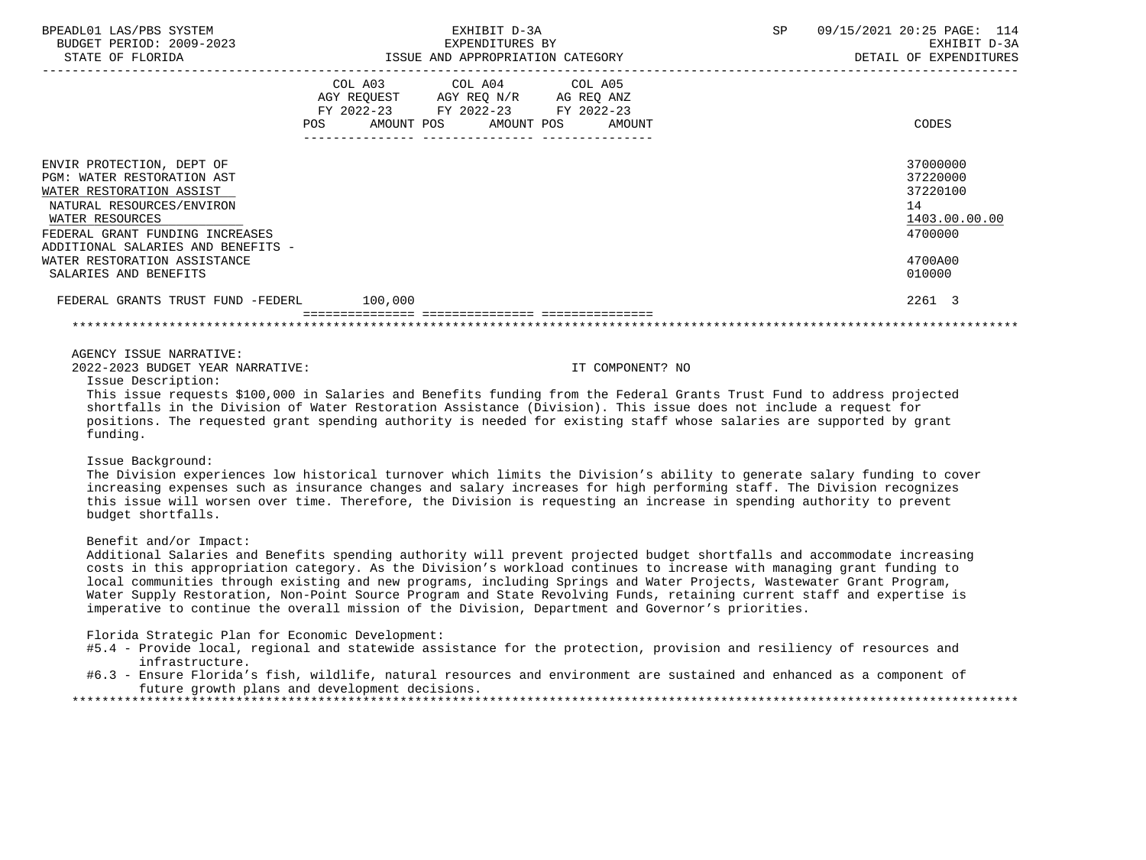| BPEADL01 LAS/PBS SYSTEM<br>BUDGET PERIOD: 2009-2023                                                                                                                                                                                                                                                                                                                                                                                                                 | EXHIBIT D-3A<br>EXPENDITURES BY                                                                   |                                  | 09/15/2021 20:25 PAGE: 114<br>SP<br>EXHIBIT D-3A |                                                                                         |  |
|---------------------------------------------------------------------------------------------------------------------------------------------------------------------------------------------------------------------------------------------------------------------------------------------------------------------------------------------------------------------------------------------------------------------------------------------------------------------|---------------------------------------------------------------------------------------------------|----------------------------------|--------------------------------------------------|-----------------------------------------------------------------------------------------|--|
| STATE OF FLORIDA                                                                                                                                                                                                                                                                                                                                                                                                                                                    |                                                                                                   | ISSUE AND APPROPRIATION CATEGORY |                                                  | DETAIL OF EXPENDITURES                                                                  |  |
|                                                                                                                                                                                                                                                                                                                                                                                                                                                                     | COL A03 COL A04 COL A05<br>AGY REQUEST AGY REQ N/R AG REQ ANZ<br>FY 2022-23 FY 2022-23 FY 2022-23 | POS AMOUNT POS AMOUNT POS AMOUNT |                                                  | CODES                                                                                   |  |
| ENVIR PROTECTION, DEPT OF<br>PGM: WATER RESTORATION AST<br>WATER RESTORATION ASSIST<br>NATURAL RESOURCES/ENVIRON<br>WATER RESOURCES<br>FEDERAL GRANT FUNDING INCREASES<br>ADDITIONAL SALARIES AND BENEFITS -<br>WATER RESTORATION ASSISTANCE<br>SALARIES AND BENEFITS                                                                                                                                                                                               |                                                                                                   |                                  |                                                  | 37000000<br>37220000<br>37220100<br>14<br>1403.00.00.00<br>4700000<br>4700A00<br>010000 |  |
| FEDERAL GRANTS TRUST FUND -FEDERL 100,000                                                                                                                                                                                                                                                                                                                                                                                                                           |                                                                                                   |                                  |                                                  | 2261 3                                                                                  |  |
|                                                                                                                                                                                                                                                                                                                                                                                                                                                                     |                                                                                                   |                                  |                                                  |                                                                                         |  |
| AGENCY ISSUE NARRATIVE:<br>2022-2023 BUDGET YEAR NARRATIVE:<br>Issue Description:<br>This issue requests \$100,000 in Salaries and Benefits funding from the Federal Grants Trust Fund to address projected<br>shortfalls in the Division of Water Restoration Assistance (Division). This issue does not include a request for<br>positions. The requested grant spending authority is needed for existing staff whose salaries are supported by grant<br>funding. |                                                                                                   | IT COMPONENT? NO                 |                                                  |                                                                                         |  |
| Issue Background:<br>The Division experiences low historical turnover which limits the Division's ability to generate salary funding to cover<br>increasing expenses such as insurance changes and salary increases for high performing staff. The Division recognizes<br>this issue will worsen over time. Therefore, the Division is requesting an increase in spending authority to prevent<br>budget shortfalls.                                                |                                                                                                   |                                  |                                                  |                                                                                         |  |
| Benefit and/or Impact:<br>Additional Salaries and Benefits spending authority will prevent projected budget shortfalls and accommodate increasing                                                                                                                                                                                                                                                                                                                   |                                                                                                   |                                  |                                                  |                                                                                         |  |

 costs in this appropriation category. As the Division's workload continues to increase with managing grant funding to local communities through existing and new programs, including Springs and Water Projects, Wastewater Grant Program, Water Supply Restoration, Non-Point Source Program and State Revolving Funds, retaining current staff and expertise is imperative to continue the overall mission of the Division, Department and Governor's priorities.

Florida Strategic Plan for Economic Development:

- #5.4 Provide local, regional and statewide assistance for the protection, provision and resiliency of resources and infrastructure.
- #6.3 Ensure Florida's fish, wildlife, natural resources and environment are sustained and enhanced as a component of future growth plans and development decisions. \*\*\*\*\*\*\*\*\*\*\*\*\*\*\*\*\*\*\*\*\*\*\*\*\*\*\*\*\*\*\*\*\*\*\*\*\*\*\*\*\*\*\*\*\*\*\*\*\*\*\*\*\*\*\*\*\*\*\*\*\*\*\*\*\*\*\*\*\*\*\*\*\*\*\*\*\*\*\*\*\*\*\*\*\*\*\*\*\*\*\*\*\*\*\*\*\*\*\*\*\*\*\*\*\*\*\*\*\*\*\*\*\*\*\*\*\*\*\*\*\*\*\*\*\*\*\*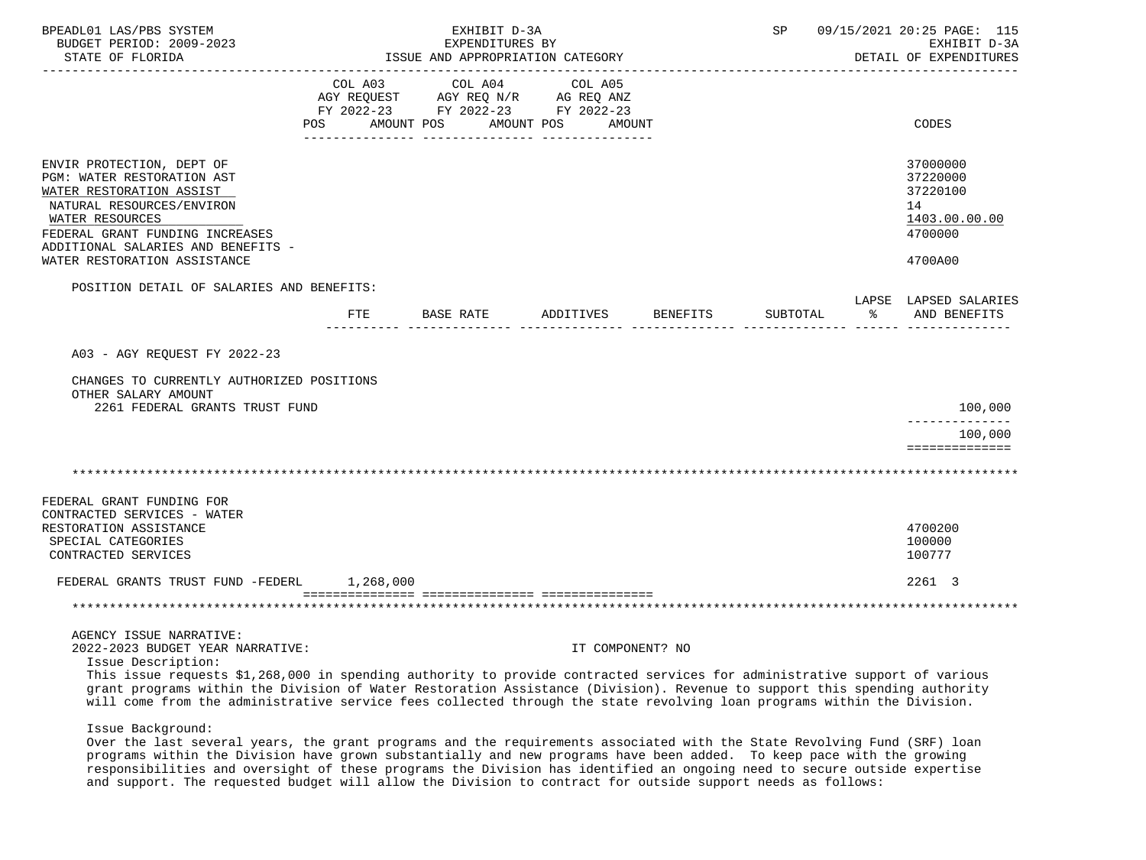| BPEADL01 LAS/PBS SYSTEM<br>BUDGET PERIOD: 2009-2023<br>STATE OF FLORIDA                                                                                                                                                                                                                                                                                                                                  | EXHIBIT D-3A<br>EXPENDITURES BY<br>ISSUE AND APPROPRIATION CATEGORY |                                                                       |                  | 09/15/2021 20:25 PAGE: 115<br>SP<br>EXHIBIT D-3A<br>DETAIL OF EXPENDITURES |          |                                                                               |
|----------------------------------------------------------------------------------------------------------------------------------------------------------------------------------------------------------------------------------------------------------------------------------------------------------------------------------------------------------------------------------------------------------|---------------------------------------------------------------------|-----------------------------------------------------------------------|------------------|----------------------------------------------------------------------------|----------|-------------------------------------------------------------------------------|
|                                                                                                                                                                                                                                                                                                                                                                                                          | COL A03<br>AGY REQUEST                                              | COL A04<br>AGY REQ N/R AG REQ ANZ<br>FY 2022-23 FY 2022-23 FY 2022-23 | COL A05          |                                                                            |          |                                                                               |
|                                                                                                                                                                                                                                                                                                                                                                                                          | POS                                                                 | AMOUNT POS<br>AMOUNT POS                                              | AMOUNT           |                                                                            |          | CODES                                                                         |
| ENVIR PROTECTION, DEPT OF<br>PGM: WATER RESTORATION AST<br>WATER RESTORATION ASSIST<br>NATURAL RESOURCES/ENVIRON<br>WATER RESOURCES<br>FEDERAL GRANT FUNDING INCREASES<br>ADDITIONAL SALARIES AND BENEFITS -<br>WATER RESTORATION ASSISTANCE                                                                                                                                                             |                                                                     |                                                                       |                  |                                                                            |          | 37000000<br>37220000<br>37220100<br>14<br>1403.00.00.00<br>4700000<br>4700A00 |
| POSITION DETAIL OF SALARIES AND BENEFITS:                                                                                                                                                                                                                                                                                                                                                                |                                                                     |                                                                       |                  |                                                                            |          |                                                                               |
|                                                                                                                                                                                                                                                                                                                                                                                                          | $_{\rm FTE}$                                                        | BASE RATE                                                             | ADDITIVES        | BENEFITS                                                                   | SUBTOTAL | LAPSE LAPSED SALARIES<br>ႜႂ<br>AND BENEFITS                                   |
| A03 - AGY REOUEST FY 2022-23<br>CHANGES TO CURRENTLY AUTHORIZED POSITIONS                                                                                                                                                                                                                                                                                                                                |                                                                     |                                                                       |                  |                                                                            |          |                                                                               |
| OTHER SALARY AMOUNT<br>2261 FEDERAL GRANTS TRUST FUND                                                                                                                                                                                                                                                                                                                                                    |                                                                     |                                                                       |                  |                                                                            |          | 100,000                                                                       |
|                                                                                                                                                                                                                                                                                                                                                                                                          |                                                                     |                                                                       |                  |                                                                            |          | --------------<br>100,000                                                     |
|                                                                                                                                                                                                                                                                                                                                                                                                          |                                                                     |                                                                       |                  |                                                                            |          | ==============                                                                |
| FEDERAL GRANT FUNDING FOR<br>CONTRACTED SERVICES - WATER<br>RESTORATION ASSISTANCE                                                                                                                                                                                                                                                                                                                       |                                                                     |                                                                       |                  |                                                                            |          | 4700200                                                                       |
| SPECIAL CATEGORIES<br>CONTRACTED SERVICES                                                                                                                                                                                                                                                                                                                                                                |                                                                     |                                                                       |                  |                                                                            |          | 100000<br>100777                                                              |
| FEDERAL GRANTS TRUST FUND -FEDERL                                                                                                                                                                                                                                                                                                                                                                        | 1,268,000                                                           |                                                                       |                  |                                                                            |          | 2261 3                                                                        |
|                                                                                                                                                                                                                                                                                                                                                                                                          |                                                                     |                                                                       |                  |                                                                            |          |                                                                               |
| AGENCY ISSUE NARRATIVE:<br>2022-2023 BUDGET YEAR NARRATIVE:                                                                                                                                                                                                                                                                                                                                              |                                                                     |                                                                       | IT COMPONENT? NO |                                                                            |          |                                                                               |
| Issue Description:<br>This issue requests \$1,268,000 in spending authority to provide contracted services for administrative support of various<br>grant programs within the Division of Water Restoration Assistance (Division). Revenue to support this spending authority<br>will come from the administrative service fees collected through the state revolving loan programs within the Division. |                                                                     |                                                                       |                  |                                                                            |          |                                                                               |
| Issue Background:<br>Over the last several years, the grant programs and the requirements associated with the State Revolving Fund (SRF) loan                                                                                                                                                                                                                                                            |                                                                     |                                                                       |                  |                                                                            |          |                                                                               |

 programs within the Division have grown substantially and new programs have been added. To keep pace with the growing responsibilities and oversight of these programs the Division has identified an ongoing need to secure outside expertise and support. The requested budget will allow the Division to contract for outside support needs as follows: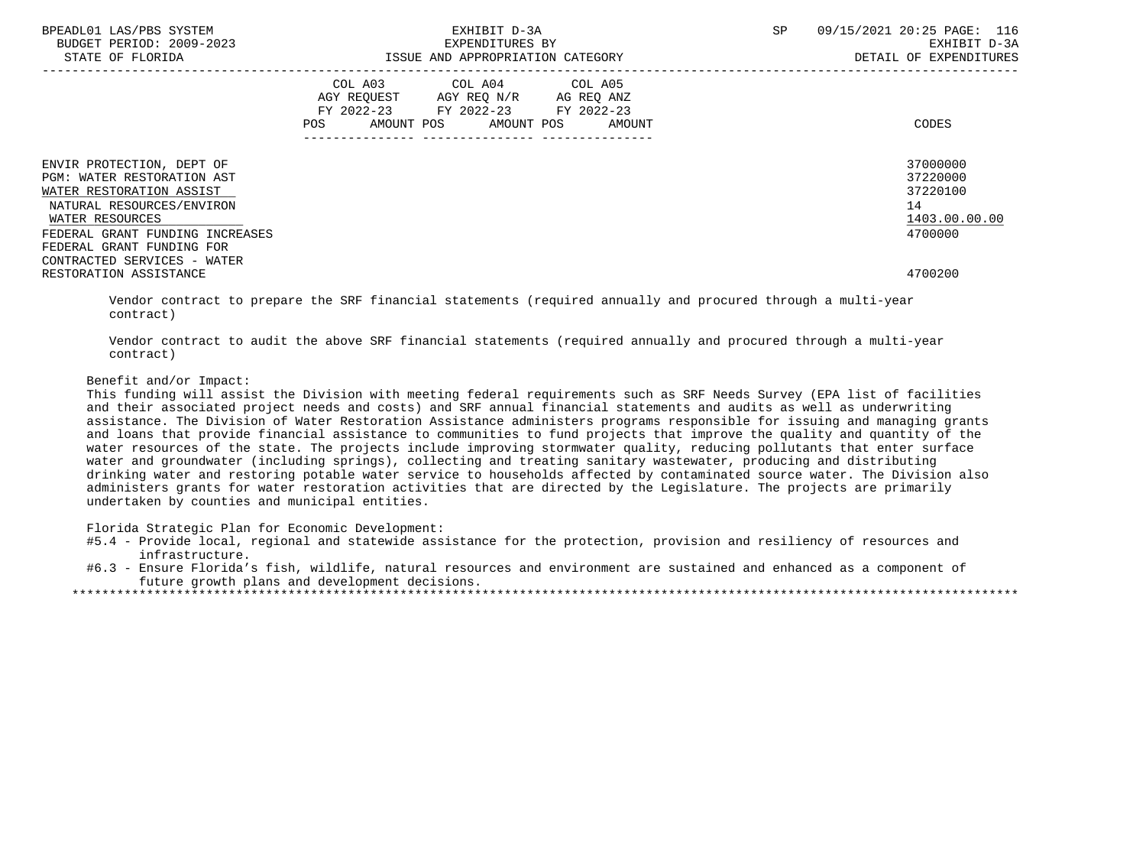| BPEADL01 LAS/PBS SYSTEM<br>BUDGET PERIOD: 2009-2023<br>STATE OF FLORIDA                                                                                                | EXHIBIT D-3A<br>EXPENDITURES BY<br>ISSUE AND APPROPRIATION CATEGORY                                                                                   | <b>SP</b><br>09/15/2021 20:25 PAGE: 116<br>EXHIBIT D-3A<br>DETAIL OF EXPENDITURES |
|------------------------------------------------------------------------------------------------------------------------------------------------------------------------|-------------------------------------------------------------------------------------------------------------------------------------------------------|-----------------------------------------------------------------------------------|
|                                                                                                                                                                        | COL A03<br>COL A04 COL A05<br>AGY REOUEST AGY REO N/R AG REO ANZ<br>FY 2022-23 FY 2022-23<br>FY 2022-23<br>AMOUNT POS AMOUNT POS<br>AMOUNT<br>POS FOR | CODES                                                                             |
| ENVIR PROTECTION, DEPT OF<br>PGM: WATER RESTORATION AST<br>WATER RESTORATION ASSIST<br>NATURAL RESOURCES/ENVIRON<br>WATER RESOURCES<br>FEDERAL GRANT FUNDING INCREASES |                                                                                                                                                       | 37000000<br>37220000<br>37220100<br>14<br>1403.00.00.00<br>4700000                |
| FEDERAL GRANT FUNDING FOR<br>CONTRACTED SERVICES - WATER<br>RESTORATION ASSISTANCE                                                                                     |                                                                                                                                                       | 4700200                                                                           |

 Vendor contract to prepare the SRF financial statements (required annually and procured through a multi-year contract)

 Vendor contract to audit the above SRF financial statements (required annually and procured through a multi-year contract)

# Benefit and/or Impact:

 This funding will assist the Division with meeting federal requirements such as SRF Needs Survey (EPA list of facilities and their associated project needs and costs) and SRF annual financial statements and audits as well as underwriting assistance. The Division of Water Restoration Assistance administers programs responsible for issuing and managing grants and loans that provide financial assistance to communities to fund projects that improve the quality and quantity of the water resources of the state. The projects include improving stormwater quality, reducing pollutants that enter surface water and groundwater (including springs), collecting and treating sanitary wastewater, producing and distributing drinking water and restoring potable water service to households affected by contaminated source water. The Division also administers grants for water restoration activities that are directed by the Legislature. The projects are primarily undertaken by counties and municipal entities.

Florida Strategic Plan for Economic Development:

- #5.4 Provide local, regional and statewide assistance for the protection, provision and resiliency of resources and infrastructure.
- #6.3 Ensure Florida's fish, wildlife, natural resources and environment are sustained and enhanced as a component of future growth plans and development decisions.

|--|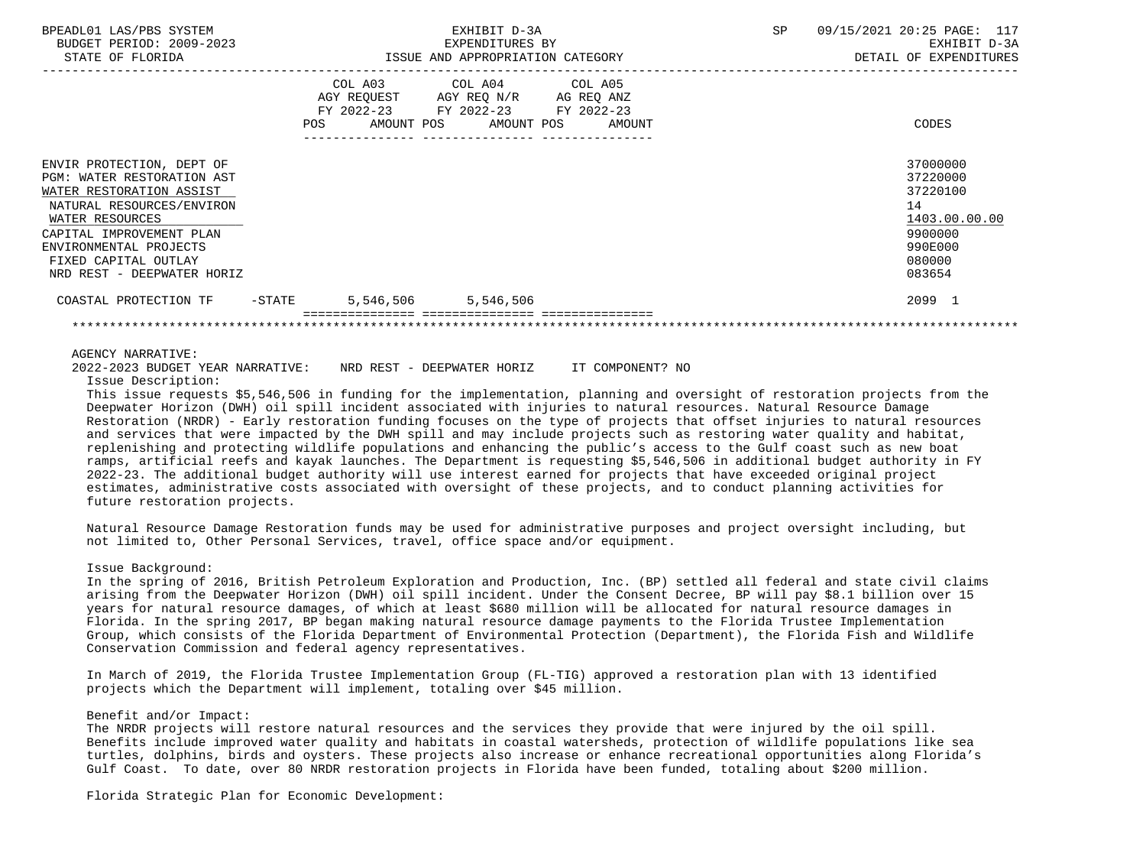| BPEADL01 LAS/PBS SYSTEM<br>BUDGET PERIOD: 2009-2023<br>STATE OF FLORIDA                                                                                                                                                                                |                                                                                             | EXHIBIT D-3A<br>EXPENDITURES BY<br>ISSUE AND APPROPRIATION CATEGORY | <b>SP</b> | 09/15/2021 20:25 PAGE: 117<br>EXHIBIT D-3A<br>DETAIL OF EXPENDITURES                              |
|--------------------------------------------------------------------------------------------------------------------------------------------------------------------------------------------------------------------------------------------------------|---------------------------------------------------------------------------------------------|---------------------------------------------------------------------|-----------|---------------------------------------------------------------------------------------------------|
|                                                                                                                                                                                                                                                        | COL A03<br>AGY REQUEST AGY REQ N/R<br>FY 2022-23 FY 2022-23 FY 2022-23<br>AMOUNT POS<br>POS | COL A04 COL A05<br>AG REQ ANZ<br>AMOUNT POS<br>AMOUNT               |           | CODES                                                                                             |
| ENVIR PROTECTION, DEPT OF<br><b>PGM: WATER RESTORATION AST</b><br>WATER RESTORATION ASSIST<br>NATURAL RESOURCES/ENVIRON<br>WATER RESOURCES<br>CAPITAL IMPROVEMENT PLAN<br>ENVIRONMENTAL PROJECTS<br>FIXED CAPITAL OUTLAY<br>NRD REST - DEEPWATER HORIZ |                                                                                             |                                                                     |           | 37000000<br>37220000<br>37220100<br>14<br>1403.00.00.00<br>9900000<br>990E000<br>080000<br>083654 |
| COASTAL PROTECTION TF<br>-STATE                                                                                                                                                                                                                        | 5,546,506<br>5,546,506                                                                      |                                                                     |           | 2099 1                                                                                            |
|                                                                                                                                                                                                                                                        |                                                                                             |                                                                     |           |                                                                                                   |

## AGENCY NARRATIVE:

2022-2023 BUDGET YEAR NARRATIVE: NRD REST - DEEPWATER HORIZ IT COMPONENT? NO

Issue Description:

 This issue requests \$5,546,506 in funding for the implementation, planning and oversight of restoration projects from the Deepwater Horizon (DWH) oil spill incident associated with injuries to natural resources. Natural Resource Damage Restoration (NRDR) - Early restoration funding focuses on the type of projects that offset injuries to natural resources and services that were impacted by the DWH spill and may include projects such as restoring water quality and habitat, replenishing and protecting wildlife populations and enhancing the public's access to the Gulf coast such as new boat ramps, artificial reefs and kayak launches. The Department is requesting \$5,546,506 in additional budget authority in FY 2022-23. The additional budget authority will use interest earned for projects that have exceeded original project estimates, administrative costs associated with oversight of these projects, and to conduct planning activities for future restoration projects.

 Natural Resource Damage Restoration funds may be used for administrative purposes and project oversight including, but not limited to, Other Personal Services, travel, office space and/or equipment.

# Issue Background:

 In the spring of 2016, British Petroleum Exploration and Production, Inc. (BP) settled all federal and state civil claims arising from the Deepwater Horizon (DWH) oil spill incident. Under the Consent Decree, BP will pay \$8.1 billion over 15 years for natural resource damages, of which at least \$680 million will be allocated for natural resource damages in Florida. In the spring 2017, BP began making natural resource damage payments to the Florida Trustee Implementation Group, which consists of the Florida Department of Environmental Protection (Department), the Florida Fish and Wildlife Conservation Commission and federal agency representatives.

 In March of 2019, the Florida Trustee Implementation Group (FL-TIG) approved a restoration plan with 13 identified projects which the Department will implement, totaling over \$45 million.

# Benefit and/or Impact:

 The NRDR projects will restore natural resources and the services they provide that were injured by the oil spill. Benefits include improved water quality and habitats in coastal watersheds, protection of wildlife populations like sea turtles, dolphins, birds and oysters. These projects also increase or enhance recreational opportunities along Florida's Gulf Coast. To date, over 80 NRDR restoration projects in Florida have been funded, totaling about \$200 million.

Florida Strategic Plan for Economic Development: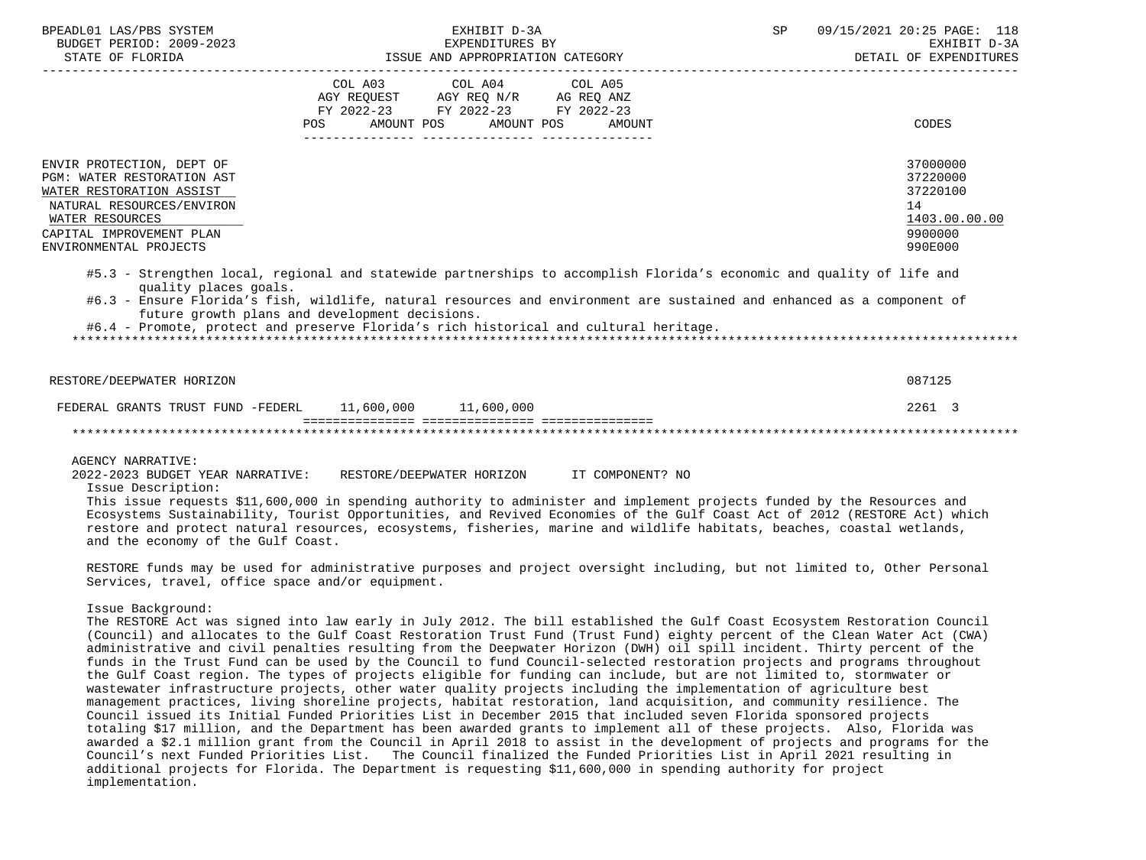| BPEADL01 LAS/PBS SYSTEM<br>BUDGET PERIOD: 2009-2023<br>STATE OF FLORIDA                                                                                                                                                                                                                                                                                           | EXHIBIT D-3A<br>EXPENDITURES BY<br>ISSUE AND APPROPRIATION CATEGORY                                        |                                      | SP | 09/15/2021 20:25 PAGE: 118<br>EXHIBIT D-3A<br>DETAIL OF EXPENDITURES |                                                                               |
|-------------------------------------------------------------------------------------------------------------------------------------------------------------------------------------------------------------------------------------------------------------------------------------------------------------------------------------------------------------------|------------------------------------------------------------------------------------------------------------|--------------------------------------|----|----------------------------------------------------------------------|-------------------------------------------------------------------------------|
|                                                                                                                                                                                                                                                                                                                                                                   | AGY REQUEST AGY REQ N/R AG REQ ANZ<br>FY 2022-23 FY 2022-23 FY 2022-23<br>POS AMOUNT POS AMOUNT POS AMOUNT | COL A03 COL A04 COL A05              |    |                                                                      | CODES                                                                         |
| ENVIR PROTECTION, DEPT OF<br>PGM: WATER RESTORATION AST<br>WATER RESTORATION ASSIST<br>NATURAL RESOURCES/ENVIRON<br>WATER RESOURCES<br>CAPITAL IMPROVEMENT PLAN<br>ENVIRONMENTAL PROJECTS                                                                                                                                                                         |                                                                                                            |                                      |    |                                                                      | 37000000<br>37220000<br>37220100<br>14<br>1403.00.00.00<br>9900000<br>990E000 |
| #5.3 - Strengthen local, regional and statewide partnerships to accomplish Florida's economic and quality of life and<br>quality places goals.<br>#6.3 - Ensure Florida's fish, wildlife, natural resources and environment are sustained and enhanced as a component of<br>#6.4 - Promote, protect and preserve Florida's rich historical and cultural heritage. | future growth plans and development decisions.                                                             |                                      |    |                                                                      |                                                                               |
| RESTORE/DEEPWATER HORIZON                                                                                                                                                                                                                                                                                                                                         |                                                                                                            |                                      |    |                                                                      | 087125                                                                        |
| FEDERAL GRANTS TRUST FUND -FEDERL 11,600,000 11,600,000                                                                                                                                                                                                                                                                                                           |                                                                                                            | ----------- ---------------- ------- |    |                                                                      | 2261 3                                                                        |
|                                                                                                                                                                                                                                                                                                                                                                   |                                                                                                            |                                      |    |                                                                      |                                                                               |
| AGENCY NARRATIVE:                                                                                                                                                                                                                                                                                                                                                 |                                                                                                            |                                      |    |                                                                      |                                                                               |

 2022-2023 BUDGET YEAR NARRATIVE: RESTORE/DEEPWATER HORIZON IT COMPONENT? NO Issue Description:

 This issue requests \$11,600,000 in spending authority to administer and implement projects funded by the Resources and Ecosystems Sustainability, Tourist Opportunities, and Revived Economies of the Gulf Coast Act of 2012 (RESTORE Act) which restore and protect natural resources, ecosystems, fisheries, marine and wildlife habitats, beaches, coastal wetlands, and the economy of the Gulf Coast.

 RESTORE funds may be used for administrative purposes and project oversight including, but not limited to, Other Personal Services, travel, office space and/or equipment.

Issue Background:

 The RESTORE Act was signed into law early in July 2012. The bill established the Gulf Coast Ecosystem Restoration Council (Council) and allocates to the Gulf Coast Restoration Trust Fund (Trust Fund) eighty percent of the Clean Water Act (CWA) administrative and civil penalties resulting from the Deepwater Horizon (DWH) oil spill incident. Thirty percent of the funds in the Trust Fund can be used by the Council to fund Council-selected restoration projects and programs throughout the Gulf Coast region. The types of projects eligible for funding can include, but are not limited to, stormwater or wastewater infrastructure projects, other water quality projects including the implementation of agriculture best management practices, living shoreline projects, habitat restoration, land acquisition, and community resilience. The Council issued its Initial Funded Priorities List in December 2015 that included seven Florida sponsored projects totaling \$17 million, and the Department has been awarded grants to implement all of these projects. Also, Florida was awarded a \$2.1 million grant from the Council in April 2018 to assist in the development of projects and programs for the Council's next Funded Priorities List. The Council finalized the Funded Priorities List in April 2021 resulting in additional projects for Florida. The Department is requesting \$11,600,000 in spending authority for project implementation.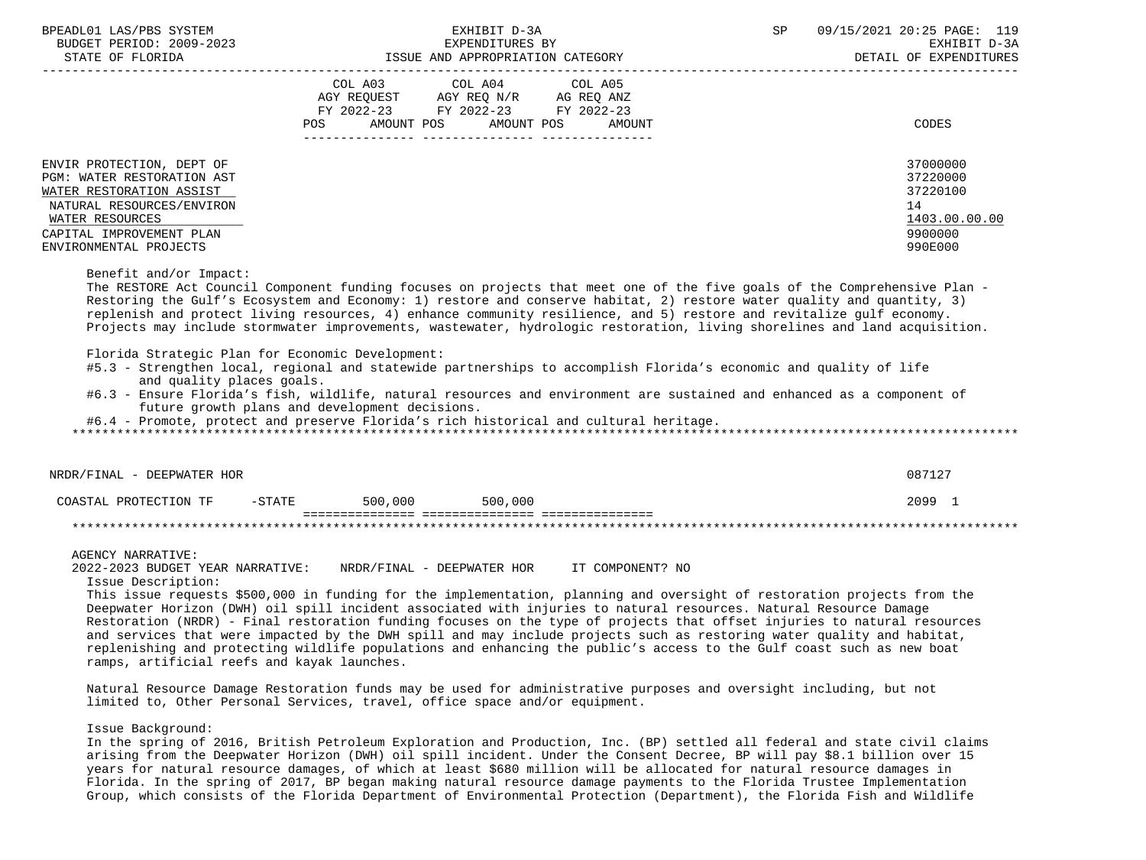| BPEADL01 LAS/PBS SYSTEM<br>BUDGET PERIOD: 2009-2023<br>STATE OF FLORIDA                                                                                                                   |                                                | EXHIBIT D-3A<br>EXPENDITURES BY<br>EAPENDITURES BI<br>ISSUE AND APPROPRIATION CATEGORY                                                                                                                                                                                                                                                                                                                                                                                                                                                                                                                                                                                                                                                                                                                                                           | SP<br>_______________________ | 09/15/2021 20:25 PAGE: 119<br>EXHIBIT D-3A<br>DETAIL OF EXPENDITURES          |
|-------------------------------------------------------------------------------------------------------------------------------------------------------------------------------------------|------------------------------------------------|--------------------------------------------------------------------------------------------------------------------------------------------------------------------------------------------------------------------------------------------------------------------------------------------------------------------------------------------------------------------------------------------------------------------------------------------------------------------------------------------------------------------------------------------------------------------------------------------------------------------------------------------------------------------------------------------------------------------------------------------------------------------------------------------------------------------------------------------------|-------------------------------|-------------------------------------------------------------------------------|
|                                                                                                                                                                                           | COL A03<br>POS AMOUNT POS                      | COL A04<br>COL A05<br>AGY REQUEST AGY REQ N/R AG REQ ANZ<br>FY 2022-23 FY 2022-23 FY 2022-23<br>AMOUNT POS<br>AMOUNT                                                                                                                                                                                                                                                                                                                                                                                                                                                                                                                                                                                                                                                                                                                             |                               | <b>CODES</b>                                                                  |
| ENVIR PROTECTION, DEPT OF<br>PGM: WATER RESTORATION AST<br>WATER RESTORATION ASSIST<br>NATURAL RESOURCES/ENVIRON<br>WATER RESOURCES<br>CAPITAL IMPROVEMENT PLAN<br>ENVIRONMENTAL PROJECTS |                                                |                                                                                                                                                                                                                                                                                                                                                                                                                                                                                                                                                                                                                                                                                                                                                                                                                                                  |                               | 37000000<br>37220000<br>37220100<br>14<br>1403.00.00.00<br>9900000<br>990E000 |
| Benefit and/or Impact:<br>Florida Strategic Plan for Economic Development:<br>and quality places goals.                                                                                   | future growth plans and development decisions. | The RESTORE Act Council Component funding focuses on projects that meet one of the five goals of the Comprehensive Plan -<br>Restoring the Gulf's Ecosystem and Economy: 1) restore and conserve habitat, 2) restore water quality and quantity, 3)<br>replenish and protect living resources, 4) enhance community resilience, and 5) restore and revitalize gulf economy.<br>Projects may include stormwater improvements, wastewater, hydrologic restoration, living shorelines and land acquisition.<br>#5.3 - Strengthen local, regional and statewide partnerships to accomplish Florida's economic and quality of life<br>#6.3 - Ensure Florida's fish, wildlife, natural resources and environment are sustained and enhanced as a component of<br>#6.4 - Promote, protect and preserve Florida's rich historical and cultural heritage. |                               |                                                                               |
| NRDR/FINAL - DEEPWATER HOR                                                                                                                                                                |                                                |                                                                                                                                                                                                                                                                                                                                                                                                                                                                                                                                                                                                                                                                                                                                                                                                                                                  |                               | 087127                                                                        |
| COASTAL PROTECTION TF                                                                                                                                                                     | $-$ STATE<br>500,000                           | 500,000                                                                                                                                                                                                                                                                                                                                                                                                                                                                                                                                                                                                                                                                                                                                                                                                                                          |                               | 2099 1                                                                        |
|                                                                                                                                                                                           |                                                |                                                                                                                                                                                                                                                                                                                                                                                                                                                                                                                                                                                                                                                                                                                                                                                                                                                  |                               |                                                                               |
| <b>AGENCY NARRATIVE:</b><br>2022-2023 BUDGET YEAR NARRATIVE:<br>Issue Description:<br>ramps, artificial reefs and kayak launches.                                                         |                                                | NRDR/FINAL - DEEPWATER HOR IT COMPONENT? NO<br>This issue requests \$500,000 in funding for the implementation, planning and oversight of restoration projects from the<br>Deepwater Horizon (DWH) oil spill incident associated with injuries to natural resources. Natural Resource Damage<br>Restoration (NRDR) - Final restoration funding focuses on the type of projects that offset injuries to natural resources<br>and services that were impacted by the DWH spill and may include projects such as restoring water quality and habitat,<br>replenishing and protecting wildlife populations and enhancing the public's access to the Gulf coast such as new boat                                                                                                                                                                      |                               |                                                                               |

 Natural Resource Damage Restoration funds may be used for administrative purposes and oversight including, but not limited to, Other Personal Services, travel, office space and/or equipment.

Issue Background:

 In the spring of 2016, British Petroleum Exploration and Production, Inc. (BP) settled all federal and state civil claims arising from the Deepwater Horizon (DWH) oil spill incident. Under the Consent Decree, BP will pay \$8.1 billion over 15 years for natural resource damages, of which at least \$680 million will be allocated for natural resource damages in Florida. In the spring of 2017, BP began making natural resource damage payments to the Florida Trustee Implementation Group, which consists of the Florida Department of Environmental Protection (Department), the Florida Fish and Wildlife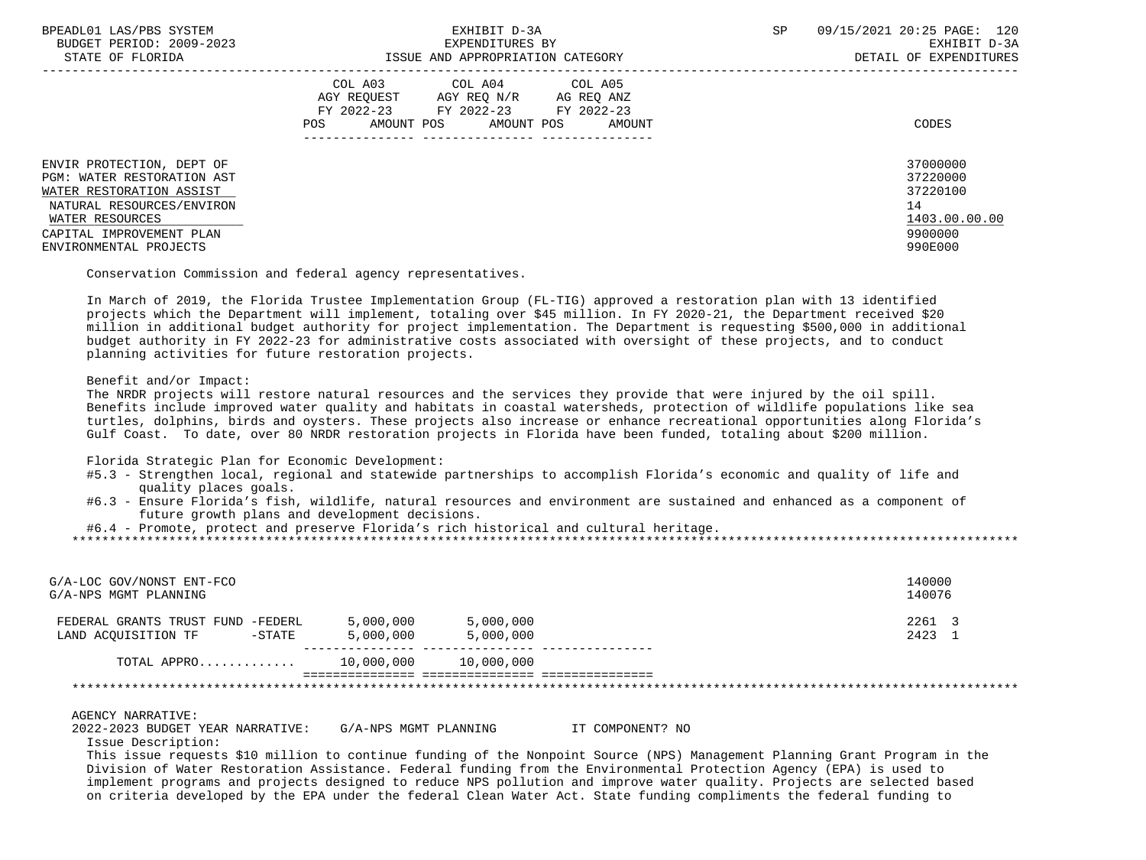| BPEADL01 LAS/PBS SYSTEM<br>BUDGET PERIOD: 2009-2023<br>STATE OF FLORIDA                                                                                                | EXHIBIT D-3A<br>EXPENDITURES BY<br>ISSUE AND APPROPRIATION CATEGORY                                                                                  | 09/15/2021 20:25 PAGE: 120<br>SP<br>EXHIBIT D-3A<br>DETAIL OF EXPENDITURES |
|------------------------------------------------------------------------------------------------------------------------------------------------------------------------|------------------------------------------------------------------------------------------------------------------------------------------------------|----------------------------------------------------------------------------|
|                                                                                                                                                                        | COL A03 COL A04 COL A05<br>AGY REOUEST<br>AGY REO N/R<br>AG REQ ANZ<br>FY 2022-23 FY 2022-23 FY 2022-23<br>AMOUNT POS<br>POS<br>AMOUNT POS<br>AMOUNT | CODES                                                                      |
| ENVIR PROTECTION, DEPT OF<br><b>PGM: WATER RESTORATION AST</b><br>WATER RESTORATION ASSIST<br>NATURAL RESOURCES/ENVIRON<br>WATER RESOURCES<br>CAPITAL IMPROVEMENT PLAN |                                                                                                                                                      | 37000000<br>37220000<br>37220100<br>14<br>1403.00.00.00<br>9900000         |
| ENVIRONMENTAL PROJECTS                                                                                                                                                 |                                                                                                                                                      | 990E000                                                                    |

Conservation Commission and federal agency representatives.

 In March of 2019, the Florida Trustee Implementation Group (FL-TIG) approved a restoration plan with 13 identified projects which the Department will implement, totaling over \$45 million. In FY 2020-21, the Department received \$20 million in additional budget authority for project implementation. The Department is requesting \$500,000 in additional budget authority in FY 2022-23 for administrative costs associated with oversight of these projects, and to conduct planning activities for future restoration projects.

Benefit and/or Impact:

 The NRDR projects will restore natural resources and the services they provide that were injured by the oil spill. Benefits include improved water quality and habitats in coastal watersheds, protection of wildlife populations like sea turtles, dolphins, birds and oysters. These projects also increase or enhance recreational opportunities along Florida's Gulf Coast. To date, over 80 NRDR restoration projects in Florida have been funded, totaling about \$200 million.

Florida Strategic Plan for Economic Development:

- #5.3 Strengthen local, regional and statewide partnerships to accomplish Florida's economic and quality of life and quality places goals.
- #6.3 Ensure Florida's fish, wildlife, natural resources and environment are sustained and enhanced as a component of future growth plans and development decisions.

#6.4 - Promote, protect and preserve Florida's rich historical and cultural heritage.

| G/A-LOC GOV/NONST ENT-FCO<br>G/A-NPS MGMT PLANNING                    |                        |                        | 140000<br>140076 |
|-----------------------------------------------------------------------|------------------------|------------------------|------------------|
| FEDERAL GRANTS TRUST FUND -FEDERL<br>LAND ACOUISITION TF<br>$-$ STATE | 5,000,000<br>5,000,000 | 5,000,000<br>5,000,000 | 2261 3<br>2423 1 |
| TOTAL APPRO                                                           | 10,000,000             | 10,000,000             |                  |
|                                                                       |                        |                        |                  |

AGENCY NARRATIVE:

 2022-2023 BUDGET YEAR NARRATIVE: G/A-NPS MGMT PLANNING IT COMPONENT? NO Issue Description:

 This issue requests \$10 million to continue funding of the Nonpoint Source (NPS) Management Planning Grant Program in the Division of Water Restoration Assistance. Federal funding from the Environmental Protection Agency (EPA) is used to implement programs and projects designed to reduce NPS pollution and improve water quality. Projects are selected based on criteria developed by the EPA under the federal Clean Water Act. State funding compliments the federal funding to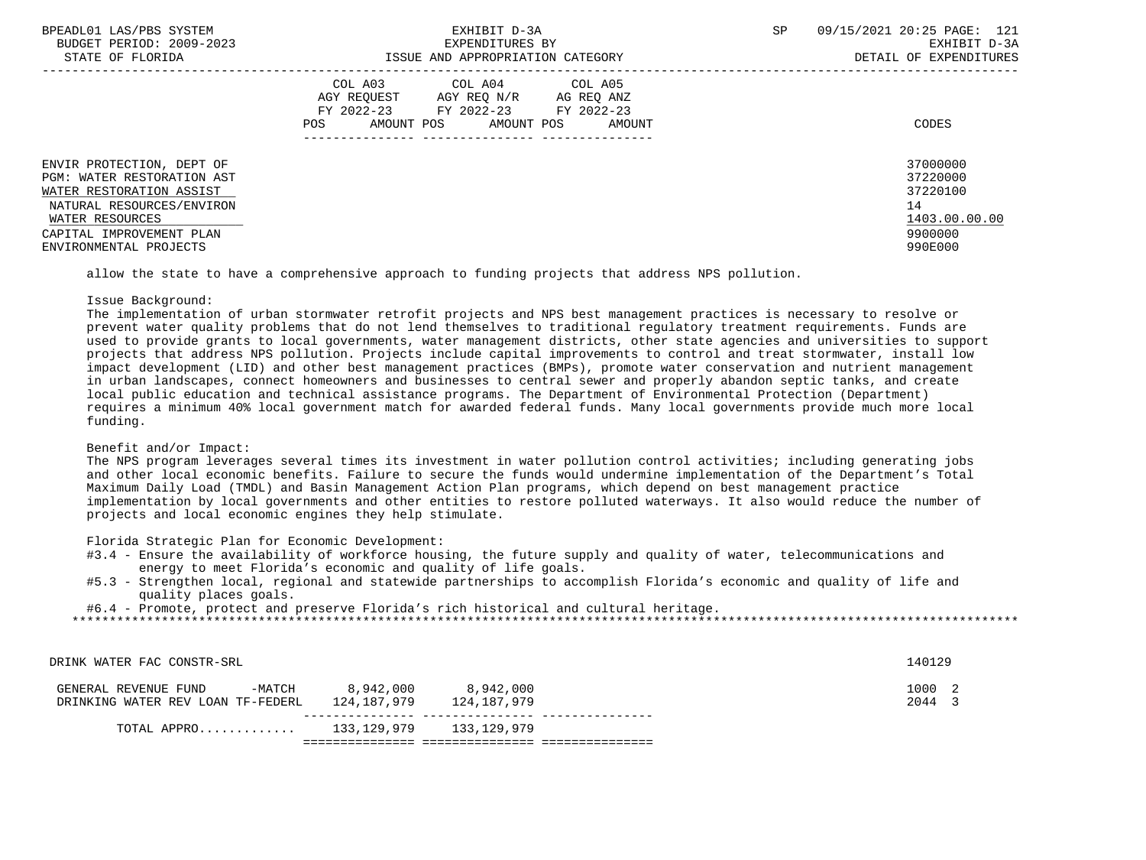| BPEADL01 LAS/PBS SYSTEM           | EXHIBIT D-3A                              | SP<br>09/15/2021 20:25 PAGE: 121 |
|-----------------------------------|-------------------------------------------|----------------------------------|
| BUDGET PERIOD: 2009-2023          | EXPENDITURES BY                           | EXHIBIT D-3A                     |
| STATE OF FLORIDA                  | ISSUE AND APPROPRIATION CATEGORY          | DETAIL OF EXPENDITURES           |
|                                   | COL A03 COL A04 COL A05                   |                                  |
|                                   | AGY REOUEST<br>AGY REO N/R<br>AG REO ANZ  |                                  |
|                                   | FY 2022-23<br>FY 2022-23<br>FY 2022-23    |                                  |
|                                   | AMOUNT POS<br>AMOUNT POS<br>POS<br>AMOUNT | CODES                            |
|                                   |                                           |                                  |
| ENVIR PROTECTION, DEPT OF         |                                           | 37000000                         |
| <b>PGM: WATER RESTORATION AST</b> |                                           | 37220000                         |
| WATER RESTORATION ASSIST          |                                           | 37220100                         |
|                                   |                                           |                                  |
| NATURAL RESOURCES/ENVIRON         |                                           | 14                               |
| WATER RESOURCES                   |                                           | 1403.00.00.00                    |
| CAPITAL IMPROVEMENT PLAN          |                                           | 9900000                          |
| ENVIRONMENTAL PROJECTS            |                                           | 990E000                          |
|                                   |                                           |                                  |

allow the state to have a comprehensive approach to funding projects that address NPS pollution.

#### Issue Background:

 The implementation of urban stormwater retrofit projects and NPS best management practices is necessary to resolve or prevent water quality problems that do not lend themselves to traditional regulatory treatment requirements. Funds are used to provide grants to local governments, water management districts, other state agencies and universities to support projects that address NPS pollution. Projects include capital improvements to control and treat stormwater, install low impact development (LID) and other best management practices (BMPs), promote water conservation and nutrient management in urban landscapes, connect homeowners and businesses to central sewer and properly abandon septic tanks, and create local public education and technical assistance programs. The Department of Environmental Protection (Department) requires a minimum 40% local government match for awarded federal funds. Many local governments provide much more local funding.

## Benefit and/or Impact:

 The NPS program leverages several times its investment in water pollution control activities; including generating jobs and other local economic benefits. Failure to secure the funds would undermine implementation of the Department's Total Maximum Daily Load (TMDL) and Basin Management Action Plan programs, which depend on best management practice implementation by local governments and other entities to restore polluted waterways. It also would reduce the number of projects and local economic engines they help stimulate.

Florida Strategic Plan for Economic Development:

#3.4 - Ensure the availability of workforce housing, the future supply and quality of water, telecommunications and energy to meet Florida's economic and quality of life goals.

DRINK WATER FAC CONSTR-SRL 140129

 #5.3 - Strengthen local, regional and statewide partnerships to accomplish Florida's economic and quality of life and quality places goals.

\*\*\*\*\*\*\*\*\*\*\*\*\*\*\*\*\*\*\*\*\*\*\*\*\*\*\*\*\*\*\*\*\*\*\*\*\*\*\*\*\*\*\*\*\*\*\*\*\*\*\*\*\*\*\*\*\*\*\*\*\*\*\*\*\*\*\*\*\*\*\*\*\*\*\*\*\*\*\*\*\*\*\*\*\*\*\*\*\*\*\*\*\*\*\*\*\*\*\*\*\*\*\*\*\*\*\*\*\*\*\*\*\*\*\*\*\*\*\*\*\*\*\*\*\*\*\*

#6.4 - Promote, protect and preserve Florida's rich historical and cultural heritage.

GENERAL REVENUE FUND -MATCH 8,942,000 8,942,000 0 0 0 1000 2 DRINKING WATER REV LOAN TF-FEDERL 124,187,979 124,187,979 2044 3 --------------- --------------- --------------- TOTAL APPRO............. 133,129,979 133,129,979 =============== =============== ===============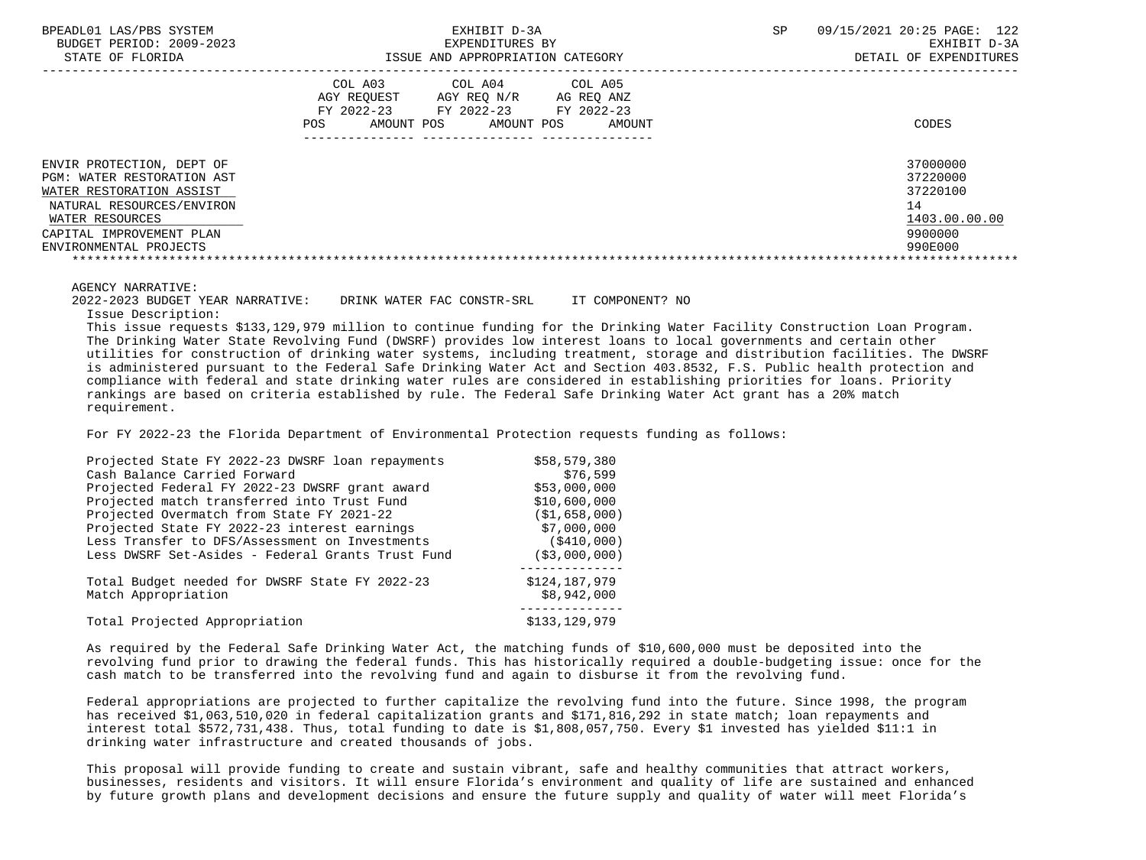BPEADL01 LAS/PBS SYSTEM SALL SERVICES TO A SP SEXHIBIT D-3A SP 09/15/2021 20:25 PAGE: 122 BUDGET PERIOD: 2009-2023 EXPENDITURES BY EXHIBIT D-3A

|                                                                                                                                                                                           | COL A03<br>AGY REQUEST<br>FY 2022-23<br>AMOUNT POS<br>POS. | COL A04<br>AGY REO N/R<br>FY 2022-23<br>AMOUNT POS | COL A05<br>AG REQ ANZ<br>FY 2022-23<br>AMOUNT | CODES                                                                         |
|-------------------------------------------------------------------------------------------------------------------------------------------------------------------------------------------|------------------------------------------------------------|----------------------------------------------------|-----------------------------------------------|-------------------------------------------------------------------------------|
| ENVIR PROTECTION, DEPT OF<br>PGM: WATER RESTORATION AST<br>WATER RESTORATION ASSIST<br>NATURAL RESOURCES/ENVIRON<br>WATER RESOURCES<br>CAPITAL IMPROVEMENT PLAN<br>ENVIRONMENTAL PROJECTS |                                                            |                                                    |                                               | 37000000<br>37220000<br>37220100<br>14<br>1403.00.00.00<br>9900000<br>990E000 |

#### AGENCY NARRATIVE:

2022-2023 BUDGET YEAR NARRATIVE: DRINK WATER FAC CONSTR-SRL IT COMPONENT? NO

Issue Description:

 This issue requests \$133,129,979 million to continue funding for the Drinking Water Facility Construction Loan Program. The Drinking Water State Revolving Fund (DWSRF) provides low interest loans to local governments and certain other utilities for construction of drinking water systems, including treatment, storage and distribution facilities. The DWSRF is administered pursuant to the Federal Safe Drinking Water Act and Section 403.8532, F.S. Public health protection and compliance with federal and state drinking water rules are considered in establishing priorities for loans. Priority rankings are based on criteria established by rule. The Federal Safe Drinking Water Act grant has a 20% match requirement.

For FY 2022-23 the Florida Department of Environmental Protection requests funding as follows:

| Projected State FY 2022-23 DWSRF loan repayments                      | \$58,579,380                 |
|-----------------------------------------------------------------------|------------------------------|
| Cash Balance Carried Forward                                          | \$76,599                     |
| Projected Federal FY 2022-23 DWSRF grant award                        | \$53,000,000                 |
| Projected match transferred into Trust Fund                           | \$10,600,000                 |
| Projected Overmatch from State FY 2021-22                             | (S1, 658, 000)               |
| Projected State FY 2022-23 interest earnings                          | \$7,000,000                  |
| Less Transfer to DFS/Assessment on Investments                        | (\$410,000)                  |
| Less DWSRF Set-Asides - Federal Grants Trust Fund                     | ( \$3,000,000)               |
| Total Budget needed for DWSRF State FY 2022-23<br>Match Appropriation | \$124,187,979<br>\$8,942,000 |
| Total Projected Appropriation                                         | \$133,129,979                |

 As required by the Federal Safe Drinking Water Act, the matching funds of \$10,600,000 must be deposited into the revolving fund prior to drawing the federal funds. This has historically required a double-budgeting issue: once for the cash match to be transferred into the revolving fund and again to disburse it from the revolving fund.

 Federal appropriations are projected to further capitalize the revolving fund into the future. Since 1998, the program has received \$1,063,510,020 in federal capitalization grants and \$171,816,292 in state match; loan repayments and interest total \$572,731,438. Thus, total funding to date is \$1,808,057,750. Every \$1 invested has yielded \$11:1 in drinking water infrastructure and created thousands of jobs.

 This proposal will provide funding to create and sustain vibrant, safe and healthy communities that attract workers, businesses, residents and visitors. It will ensure Florida's environment and quality of life are sustained and enhanced by future growth plans and development decisions and ensure the future supply and quality of water will meet Florida's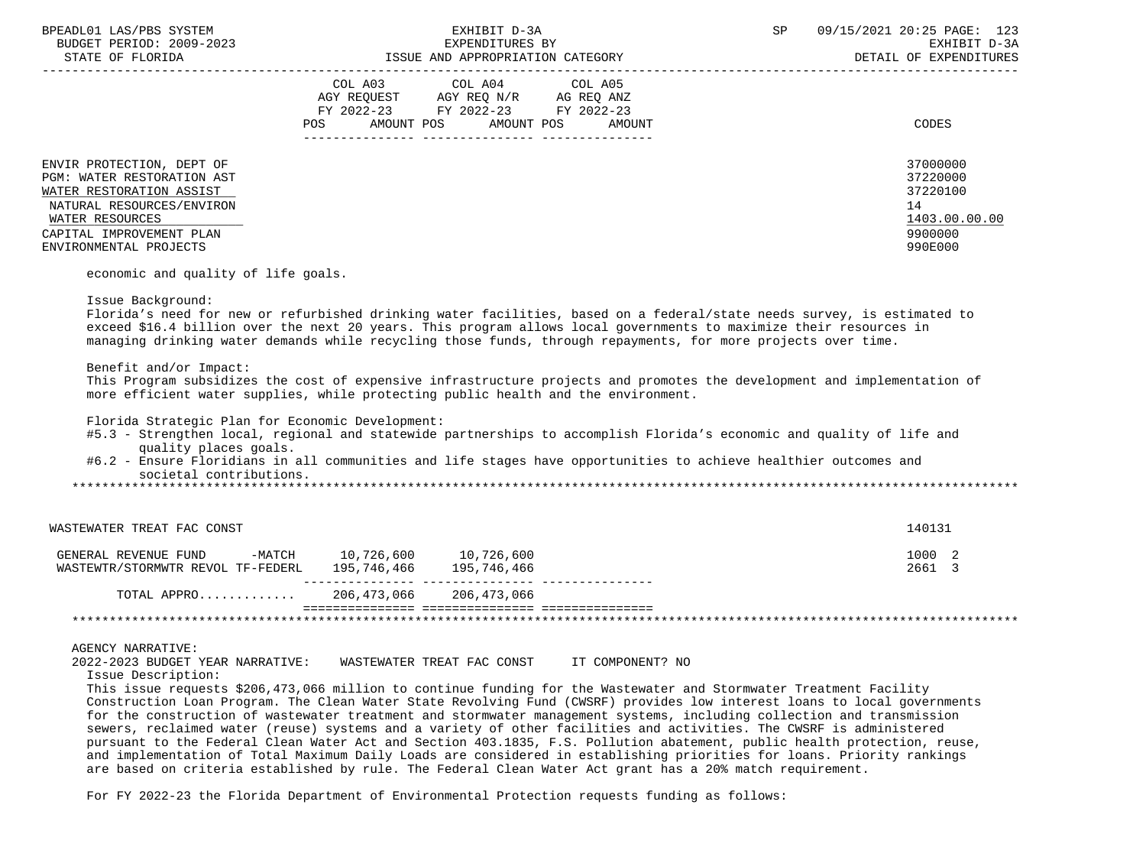| BPEADL01 LAS/PBS SYSTEM                                                                                                                                                                   | EXHIBIT D-3A                                                                                                                                                                                                                                                                                                                                                                                                                                                                                                                                                                                                                                                                                                                                                                                                                  | SP | 09/15/2021 20:25 PAGE: 123<br>EXHIBIT D-3A<br>DETAIL OF EXPENDITURES          |
|-------------------------------------------------------------------------------------------------------------------------------------------------------------------------------------------|-------------------------------------------------------------------------------------------------------------------------------------------------------------------------------------------------------------------------------------------------------------------------------------------------------------------------------------------------------------------------------------------------------------------------------------------------------------------------------------------------------------------------------------------------------------------------------------------------------------------------------------------------------------------------------------------------------------------------------------------------------------------------------------------------------------------------------|----|-------------------------------------------------------------------------------|
|                                                                                                                                                                                           | COL A03 COL A04 COL A05<br>AGY REQUEST AGY REQ N/R AG REQ ANZ<br>FY 2022-23 FY 2022-23 FY 2022-23                                                                                                                                                                                                                                                                                                                                                                                                                                                                                                                                                                                                                                                                                                                             |    |                                                                               |
|                                                                                                                                                                                           | POS AMOUNT POS AMOUNT POS AMOUNT                                                                                                                                                                                                                                                                                                                                                                                                                                                                                                                                                                                                                                                                                                                                                                                              |    | CODES                                                                         |
| ENVIR PROTECTION, DEPT OF<br>PGM: WATER RESTORATION AST<br>WATER RESTORATION ASSIST<br>NATURAL RESOURCES/ENVIRON<br>WATER RESOURCES<br>CAPITAL IMPROVEMENT PLAN<br>ENVIRONMENTAL PROJECTS |                                                                                                                                                                                                                                                                                                                                                                                                                                                                                                                                                                                                                                                                                                                                                                                                                               |    | 37000000<br>37220000<br>37220100<br>14<br>1403.00.00.00<br>9900000<br>990E000 |
| economic and quality of life goals.                                                                                                                                                       |                                                                                                                                                                                                                                                                                                                                                                                                                                                                                                                                                                                                                                                                                                                                                                                                                               |    |                                                                               |
| Benefit and/or Impact:<br>Florida Strategic Plan for Economic Development:<br>quality places goals.<br>societal contributions.                                                            | Florida's need for new or refurbished drinking water facilities, based on a federal/state needs survey, is estimated to<br>exceed \$16.4 billion over the next 20 years. This program allows local governments to maximize their resources in<br>managing drinking water demands while recycling those funds, through repayments, for more projects over time.<br>This Program subsidizes the cost of expensive infrastructure projects and promotes the development and implementation of<br>more efficient water supplies, while protecting public health and the environment.<br>#5.3 - Strengthen local, regional and statewide partnerships to accomplish Florida's economic and quality of life and<br>#6.2 - Ensure Floridians in all communities and life stages have opportunities to achieve healthier outcomes and |    |                                                                               |
| WASTEWATER TREAT FAC CONST                                                                                                                                                                |                                                                                                                                                                                                                                                                                                                                                                                                                                                                                                                                                                                                                                                                                                                                                                                                                               |    | 140131                                                                        |
| GENERAL REVENUE FUND -MATCH 10,726,600 10,726,600<br>WASTEWTR/STORMWTR REVOL TF-FEDERL 195,746,466 195,746,466 195,746,466                                                                |                                                                                                                                                                                                                                                                                                                                                                                                                                                                                                                                                                                                                                                                                                                                                                                                                               |    | 1000 2<br>2661 3                                                              |
| TOTAL APPRO 206,473,066 206,473,066                                                                                                                                                       |                                                                                                                                                                                                                                                                                                                                                                                                                                                                                                                                                                                                                                                                                                                                                                                                                               |    |                                                                               |
|                                                                                                                                                                                           |                                                                                                                                                                                                                                                                                                                                                                                                                                                                                                                                                                                                                                                                                                                                                                                                                               |    |                                                                               |
| <b>AGENCY NARRATIVE:</b><br>2022-2023 BUDGET YEAR NARRATIVE: WASTEWATER TREAT FAC CONST IT COMPONENT? NO                                                                                  |                                                                                                                                                                                                                                                                                                                                                                                                                                                                                                                                                                                                                                                                                                                                                                                                                               |    |                                                                               |

Issue Description:

 This issue requests \$206,473,066 million to continue funding for the Wastewater and Stormwater Treatment Facility Construction Loan Program. The Clean Water State Revolving Fund (CWSRF) provides low interest loans to local governments for the construction of wastewater treatment and stormwater management systems, including collection and transmission sewers, reclaimed water (reuse) systems and a variety of other facilities and activities. The CWSRF is administered pursuant to the Federal Clean Water Act and Section 403.1835, F.S. Pollution abatement, public health protection, reuse, and implementation of Total Maximum Daily Loads are considered in establishing priorities for loans. Priority rankings are based on criteria established by rule. The Federal Clean Water Act grant has a 20% match requirement.

For FY 2022-23 the Florida Department of Environmental Protection requests funding as follows: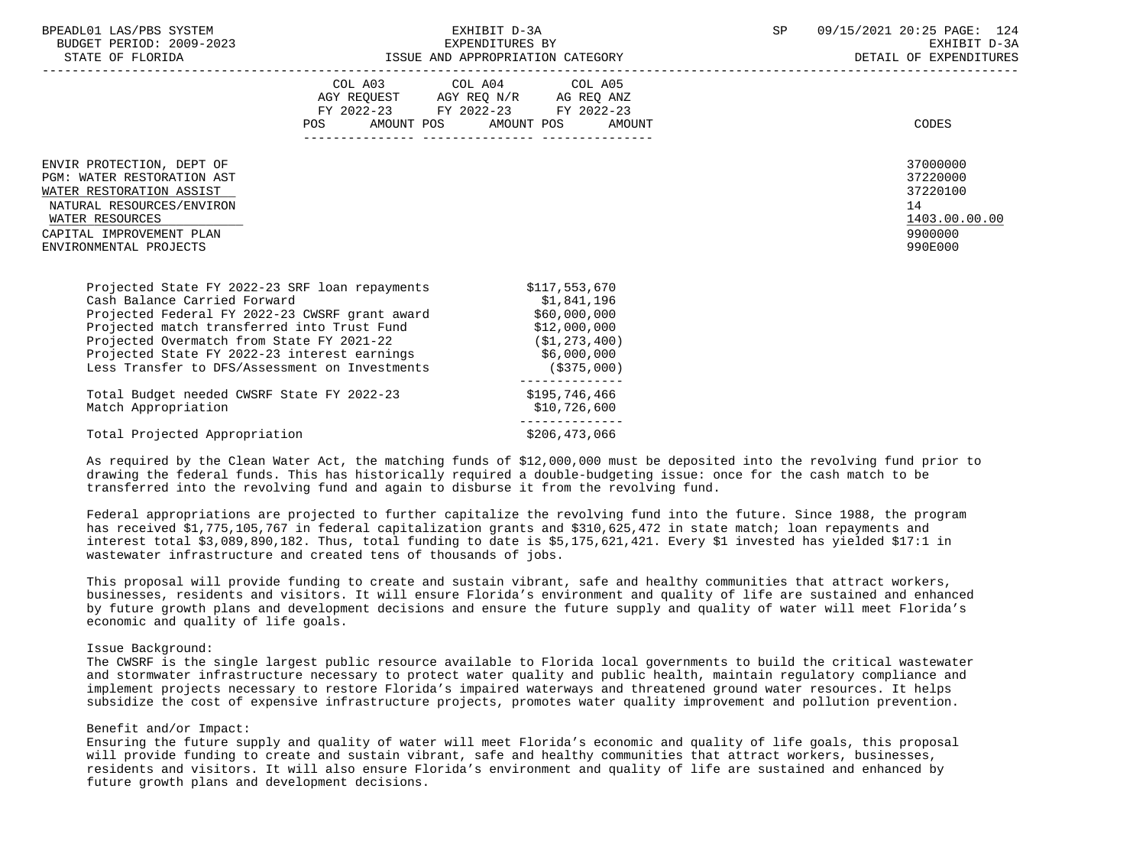| BPEADL01 LAS/PBS SYSTEM<br>BUDGET PERIOD: 2009-2023<br>STATE OF FLORIDA                                                                                                                   | ISSUE AND APPROPRIATION CATEGORY                                                                                                         | EXHIBIT D-3A<br>EXPENDITURES BY                                                                                                  |        | SP | 09/15/2021 20:25 PAGE: 124<br>EXHIBIT D-3A<br>DETAIL OF EXPENDITURES          |
|-------------------------------------------------------------------------------------------------------------------------------------------------------------------------------------------|------------------------------------------------------------------------------------------------------------------------------------------|----------------------------------------------------------------------------------------------------------------------------------|--------|----|-------------------------------------------------------------------------------|
|                                                                                                                                                                                           | COL A03 COL A04 COL A05<br>AGY REQUEST AGY REQ N/R AG REQ ANZ<br>FY 2022-23 FY 2022-23 FY 2022-23<br>POS                                 | AMOUNT POS AMOUNT POS                                                                                                            | AMOUNT |    | CODES                                                                         |
| ENVIR PROTECTION, DEPT OF<br>PGM: WATER RESTORATION AST<br>WATER RESTORATION ASSIST<br>NATURAL RESOURCES/ENVIRON<br>WATER RESOURCES<br>CAPITAL IMPROVEMENT PLAN<br>ENVIRONMENTAL PROJECTS |                                                                                                                                          |                                                                                                                                  |        |    | 37000000<br>37220000<br>37220100<br>14<br>1403.00.00.00<br>9900000<br>990E000 |
| Projected State FY 2022-23 SRF loan repayments<br>Cash Balance Carried Forward<br>Projected Federal FY 2022-23 CWSRF grant award<br>Less Transfer to DFS/Assessment on Investments        | Projected match transferred into Trust Fund<br>Projected Overmatch from State FY 2021-22<br>Projected State FY 2022-23 interest earnings | \$117,553,670<br>\$1,841,196<br>\$60,000,000<br>\$12,000,000<br>( \$1, 273, 400)<br>\$6,000,000<br>(\$375,000)<br>-------------- |        |    |                                                                               |

Total Budget needed CWSRF State FY 2022-23 \$195,746,466 Match Appropriation  $$10,726,600$ --------------

Total Projected Appropriation  $$206,473,066$ 

 As required by the Clean Water Act, the matching funds of \$12,000,000 must be deposited into the revolving fund prior to drawing the federal funds. This has historically required a double-budgeting issue: once for the cash match to be transferred into the revolving fund and again to disburse it from the revolving fund.

 Federal appropriations are projected to further capitalize the revolving fund into the future. Since 1988, the program has received \$1,775,105,767 in federal capitalization grants and \$310,625,472 in state match; loan repayments and interest total \$3,089,890,182. Thus, total funding to date is \$5,175,621,421. Every \$1 invested has yielded \$17:1 in wastewater infrastructure and created tens of thousands of jobs.

 This proposal will provide funding to create and sustain vibrant, safe and healthy communities that attract workers, businesses, residents and visitors. It will ensure Florida's environment and quality of life are sustained and enhanced by future growth plans and development decisions and ensure the future supply and quality of water will meet Florida's economic and quality of life goals.

## Issue Background:

 The CWSRF is the single largest public resource available to Florida local governments to build the critical wastewater and stormwater infrastructure necessary to protect water quality and public health, maintain regulatory compliance and implement projects necessary to restore Florida's impaired waterways and threatened ground water resources. It helps subsidize the cost of expensive infrastructure projects, promotes water quality improvement and pollution prevention.

#### Benefit and/or Impact:

 Ensuring the future supply and quality of water will meet Florida's economic and quality of life goals, this proposal will provide funding to create and sustain vibrant, safe and healthy communities that attract workers, businesses, residents and visitors. It will also ensure Florida's environment and quality of life are sustained and enhanced by future growth plans and development decisions.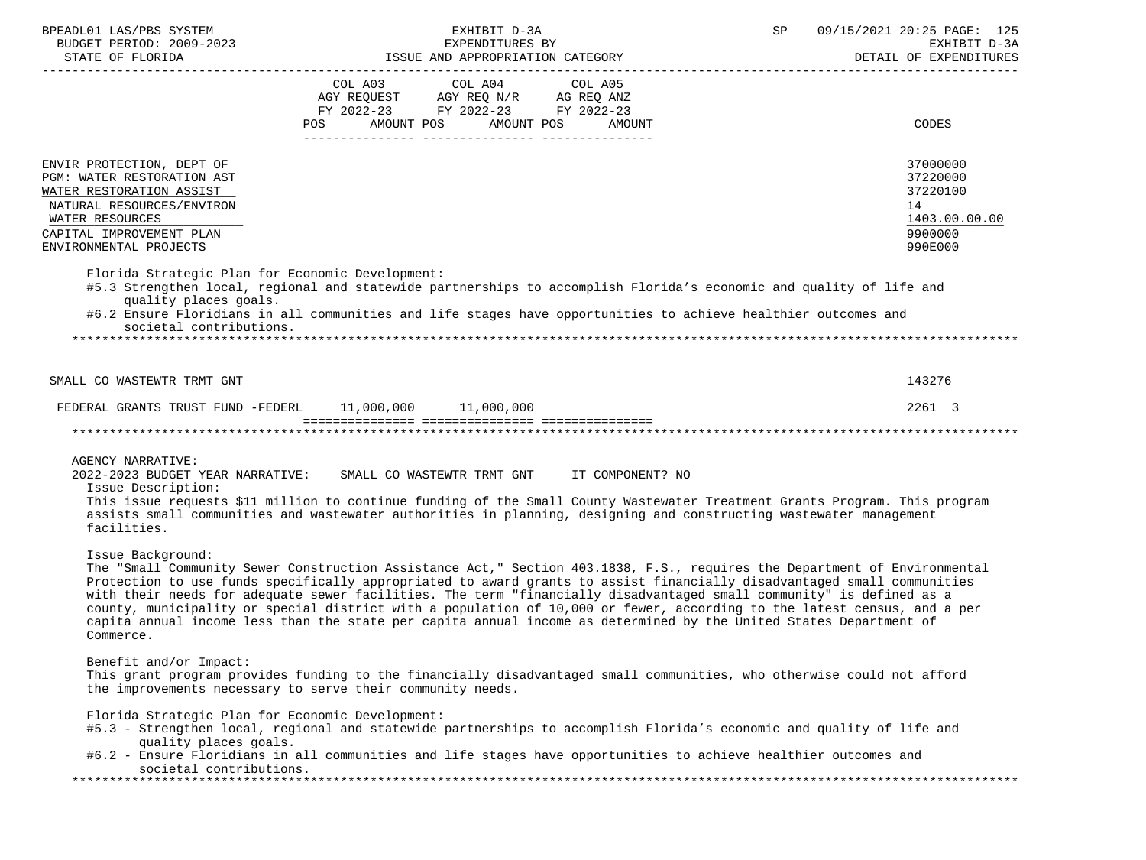| BPEADL01 LAS/PBS SYSTEM                                                                                                                   | EXHIBIT D-3A                                        |                                               |                              | SP | 09/15/2021 20:25 PAGE: 125 |  |  |  |
|-------------------------------------------------------------------------------------------------------------------------------------------|-----------------------------------------------------|-----------------------------------------------|------------------------------|----|----------------------------|--|--|--|
| BUDGET PERIOD: 2009-2023                                                                                                                  | EXPENDITURES BY<br>ISSUE AND APPROPRIATION CATEGORY |                                               |                              |    | EXHIBIT D-3A               |  |  |  |
| STATE OF FLORIDA                                                                                                                          |                                                     |                                               |                              |    | DETAIL OF EXPENDITURES     |  |  |  |
|                                                                                                                                           |                                                     |                                               |                              |    |                            |  |  |  |
|                                                                                                                                           | COL A03                                             | COL A04<br>AGY REQUEST AGY REQ N/R AG REQ ANZ | COL A05                      |    |                            |  |  |  |
|                                                                                                                                           |                                                     | FY 2022-23 FY 2022-23 FY 2022-23              |                              |    |                            |  |  |  |
|                                                                                                                                           | POS                                                 |                                               | AMOUNT POS AMOUNT POS AMOUNT |    | CODES                      |  |  |  |
|                                                                                                                                           |                                                     |                                               |                              |    |                            |  |  |  |
|                                                                                                                                           |                                                     |                                               |                              |    |                            |  |  |  |
| ENVIR PROTECTION, DEPT OF                                                                                                                 |                                                     |                                               |                              |    | 37000000                   |  |  |  |
| PGM: WATER RESTORATION AST                                                                                                                |                                                     |                                               |                              |    | 37220000                   |  |  |  |
| WATER RESTORATION ASSIST                                                                                                                  |                                                     |                                               |                              |    | 37220100                   |  |  |  |
| NATURAL RESOURCES/ENVIRON                                                                                                                 |                                                     |                                               |                              |    | 14                         |  |  |  |
| WATER RESOURCES                                                                                                                           |                                                     |                                               |                              |    | 1403.00.00.00              |  |  |  |
| CAPITAL IMPROVEMENT PLAN                                                                                                                  |                                                     |                                               |                              |    | 9900000                    |  |  |  |
| ENVIRONMENTAL PROJECTS                                                                                                                    |                                                     |                                               |                              |    | 990E000                    |  |  |  |
|                                                                                                                                           |                                                     |                                               |                              |    |                            |  |  |  |
| Florida Strategic Plan for Economic Development:                                                                                          |                                                     |                                               |                              |    |                            |  |  |  |
| #5.3 Strengthen local, regional and statewide partnerships to accomplish Florida's economic and quality of life and                       |                                                     |                                               |                              |    |                            |  |  |  |
| quality places goals.                                                                                                                     |                                                     |                                               |                              |    |                            |  |  |  |
| #6.2 Ensure Floridians in all communities and life stages have opportunities to achieve healthier outcomes and<br>societal contributions. |                                                     |                                               |                              |    |                            |  |  |  |
|                                                                                                                                           |                                                     |                                               |                              |    |                            |  |  |  |
|                                                                                                                                           |                                                     |                                               |                              |    |                            |  |  |  |
|                                                                                                                                           |                                                     |                                               |                              |    |                            |  |  |  |
| SMALL CO WASTEWTR TRMT GNT                                                                                                                |                                                     |                                               |                              |    | 143276                     |  |  |  |
|                                                                                                                                           |                                                     |                                               |                              |    |                            |  |  |  |
| FEDERAL GRANTS TRUST FUND -FEDERL 11,000,000 11,000,000                                                                                   |                                                     |                                               |                              |    | 2261 3                     |  |  |  |
|                                                                                                                                           |                                                     |                                               |                              |    |                            |  |  |  |
|                                                                                                                                           |                                                     |                                               |                              |    |                            |  |  |  |
|                                                                                                                                           |                                                     |                                               |                              |    |                            |  |  |  |
| <b>AGENCY NARRATIVE:</b>                                                                                                                  |                                                     |                                               |                              |    |                            |  |  |  |
| 2022-2023 BUDGET YEAR NARRATIVE: SMALL CO WASTEWTR TRMT GNT IT COMPONENT? NO<br>Issue Description:                                        |                                                     |                                               |                              |    |                            |  |  |  |
| This issue requests \$11 million to continue funding of the Small County Wastewater Treatment Grants Program. This program                |                                                     |                                               |                              |    |                            |  |  |  |
| assists small communities and wastewater authorities in planning, designing and constructing wastewater management                        |                                                     |                                               |                              |    |                            |  |  |  |
| facilities.                                                                                                                               |                                                     |                                               |                              |    |                            |  |  |  |
|                                                                                                                                           |                                                     |                                               |                              |    |                            |  |  |  |
| Issue Background:                                                                                                                         |                                                     |                                               |                              |    |                            |  |  |  |
| The "Small Community Sewer Construction Assistance Act," Section 403.1838, F.S., requires the Department of Environmental                 |                                                     |                                               |                              |    |                            |  |  |  |
| Protection to use funds specifically appropriated to award grants to assist financially disadvantaged small communities                   |                                                     |                                               |                              |    |                            |  |  |  |
| with their needs for adequate sewer facilities. The term "financially disadvantaged small community" is defined as a                      |                                                     |                                               |                              |    |                            |  |  |  |
| county, municipality or special district with a population of 10,000 or fewer, according to the latest census, and a per                  |                                                     |                                               |                              |    |                            |  |  |  |
| capita annual income less than the state per capita annual income as determined by the United States Department of                        |                                                     |                                               |                              |    |                            |  |  |  |
| Commerce.                                                                                                                                 |                                                     |                                               |                              |    |                            |  |  |  |
|                                                                                                                                           |                                                     |                                               |                              |    |                            |  |  |  |
| Benefit and/or Impact:                                                                                                                    |                                                     |                                               |                              |    |                            |  |  |  |
| This grant program provides funding to the financially disadvantaged small communities, who otherwise could not afford                    |                                                     |                                               |                              |    |                            |  |  |  |
| the improvements necessary to serve their community needs.                                                                                |                                                     |                                               |                              |    |                            |  |  |  |
| Florida Strategic Plan for Economic Development:                                                                                          |                                                     |                                               |                              |    |                            |  |  |  |
| #5.3 - Strengthen local, regional and statewide partnerships to accomplish Florida's economic and quality of life and                     |                                                     |                                               |                              |    |                            |  |  |  |
| quality places goals.                                                                                                                     |                                                     |                                               |                              |    |                            |  |  |  |
| #6.2 - Ensure Floridians in all communities and life stages have opportunities to achieve healthier outcomes and                          |                                                     |                                               |                              |    |                            |  |  |  |
| societal contributions.                                                                                                                   |                                                     |                                               |                              |    |                            |  |  |  |
|                                                                                                                                           |                                                     |                                               |                              |    |                            |  |  |  |
|                                                                                                                                           |                                                     |                                               |                              |    |                            |  |  |  |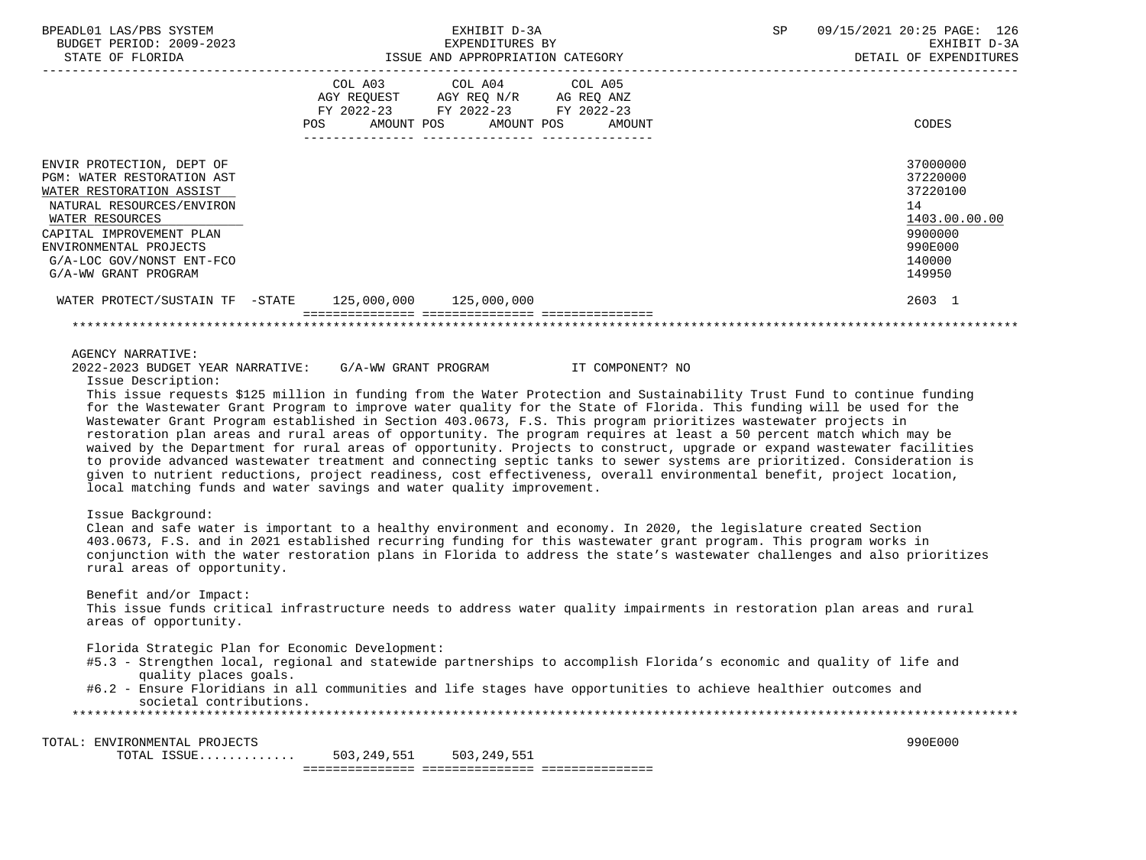| BPEADL01 LAS/PBS SYSTEM<br>EUDGET PERIOD: 2009-2023<br>STATE OF FLORIDA                                                                                                                                                                        | EXHIBIT D-3A<br>EXPENDITURES BY<br>EXPENDITURES BY<br>ISSUE AND APPROPRIATION CATEGORY                                                                                                                                                                                                                                                                                                                                                                                                                                                                                                                                                                                                                                                                                                                                                                                                                                                                                                                                         | SP | 09/15/2021 20:25 PAGE: 126<br>EXHIBIT D-3A<br>DETAIL OF EXPENDITURES                              |
|------------------------------------------------------------------------------------------------------------------------------------------------------------------------------------------------------------------------------------------------|--------------------------------------------------------------------------------------------------------------------------------------------------------------------------------------------------------------------------------------------------------------------------------------------------------------------------------------------------------------------------------------------------------------------------------------------------------------------------------------------------------------------------------------------------------------------------------------------------------------------------------------------------------------------------------------------------------------------------------------------------------------------------------------------------------------------------------------------------------------------------------------------------------------------------------------------------------------------------------------------------------------------------------|----|---------------------------------------------------------------------------------------------------|
|                                                                                                                                                                                                                                                | COL A03 COL A04 COL A05<br>AGY REQUEST AGY REQ N/R AG REQ ANZ<br>FY 2022-23 FY 2022-23 FY 2022-23<br>AMOUNT POS AMOUNT POS AMOUNT<br>POS                                                                                                                                                                                                                                                                                                                                                                                                                                                                                                                                                                                                                                                                                                                                                                                                                                                                                       |    | CODES                                                                                             |
| ENVIR PROTECTION, DEPT OF<br>PGM: WATER RESTORATION AST<br>WATER RESTORATION ASSIST<br>NATURAL RESOURCES/ENVIRON<br>WATER RESOURCES<br>CAPITAL IMPROVEMENT PLAN<br>ENVIRONMENTAL PROJECTS<br>G/A-LOC GOV/NONST ENT-FCO<br>G/A-WW GRANT PROGRAM |                                                                                                                                                                                                                                                                                                                                                                                                                                                                                                                                                                                                                                                                                                                                                                                                                                                                                                                                                                                                                                |    | 37000000<br>37220000<br>37220100<br>14<br>1403.00.00.00<br>9900000<br>990E000<br>140000<br>149950 |
|                                                                                                                                                                                                                                                | WATER PROTECT/SUSTAIN TF -STATE 125,000,000 125,000,000                                                                                                                                                                                                                                                                                                                                                                                                                                                                                                                                                                                                                                                                                                                                                                                                                                                                                                                                                                        |    | 2603 1                                                                                            |
|                                                                                                                                                                                                                                                |                                                                                                                                                                                                                                                                                                                                                                                                                                                                                                                                                                                                                                                                                                                                                                                                                                                                                                                                                                                                                                |    |                                                                                                   |
| <b>AGENCY NARRATIVE:</b><br>Issue Description:                                                                                                                                                                                                 | 2022-2023 BUDGET YEAR NARRATIVE: G/A-WW GRANT PROGRAM THE COMPONENT? NO<br>This issue requests \$125 million in funding from the Water Protection and Sustainability Trust Fund to continue funding<br>for the Wastewater Grant Program to improve water quality for the State of Florida. This funding will be used for the<br>Wastewater Grant Program established in Section 403.0673, F.S. This program prioritizes wastewater projects in<br>restoration plan areas and rural areas of opportunity. The program requires at least a 50 percent match which may be<br>waived by the Department for rural areas of opportunity. Projects to construct, upgrade or expand wastewater facilities<br>to provide advanced wastewater treatment and connecting septic tanks to sewer systems are prioritized. Consideration is<br>given to nutrient reductions, project readiness, cost effectiveness, overall environmental benefit, project location,<br>local matching funds and water savings and water quality improvement. |    |                                                                                                   |
| Issue Background:<br>rural areas of opportunity.                                                                                                                                                                                               | Clean and safe water is important to a healthy environment and economy. In 2020, the legislature created Section<br>403.0673, F.S. and in 2021 established recurring funding for this wastewater grant program. This program works in<br>conjunction with the water restoration plans in Florida to address the state's wastewater challenges and also prioritizes                                                                                                                                                                                                                                                                                                                                                                                                                                                                                                                                                                                                                                                             |    |                                                                                                   |
| Benefit and/or Impact:<br>areas of opportunity.                                                                                                                                                                                                | This issue funds critical infrastructure needs to address water quality impairments in restoration plan areas and rural                                                                                                                                                                                                                                                                                                                                                                                                                                                                                                                                                                                                                                                                                                                                                                                                                                                                                                        |    |                                                                                                   |
| quality places goals.<br>societal contributions.                                                                                                                                                                                               | Florida Strategic Plan for Economic Development:<br>#5.3 - Strengthen local, regional and statewide partnerships to accomplish Florida's economic and quality of life and<br>#6.2 - Ensure Floridians in all communities and life stages have opportunities to achieve healthier outcomes and                                                                                                                                                                                                                                                                                                                                                                                                                                                                                                                                                                                                                                                                                                                                  |    |                                                                                                   |
| TOTAL: ENVIRONMENTAL PROJECTS<br>TOTAL ISSUE                                                                                                                                                                                                   | 503,249,551<br>503,249,551                                                                                                                                                                                                                                                                                                                                                                                                                                                                                                                                                                                                                                                                                                                                                                                                                                                                                                                                                                                                     |    | 990E000                                                                                           |
|                                                                                                                                                                                                                                                |                                                                                                                                                                                                                                                                                                                                                                                                                                                                                                                                                                                                                                                                                                                                                                                                                                                                                                                                                                                                                                |    |                                                                                                   |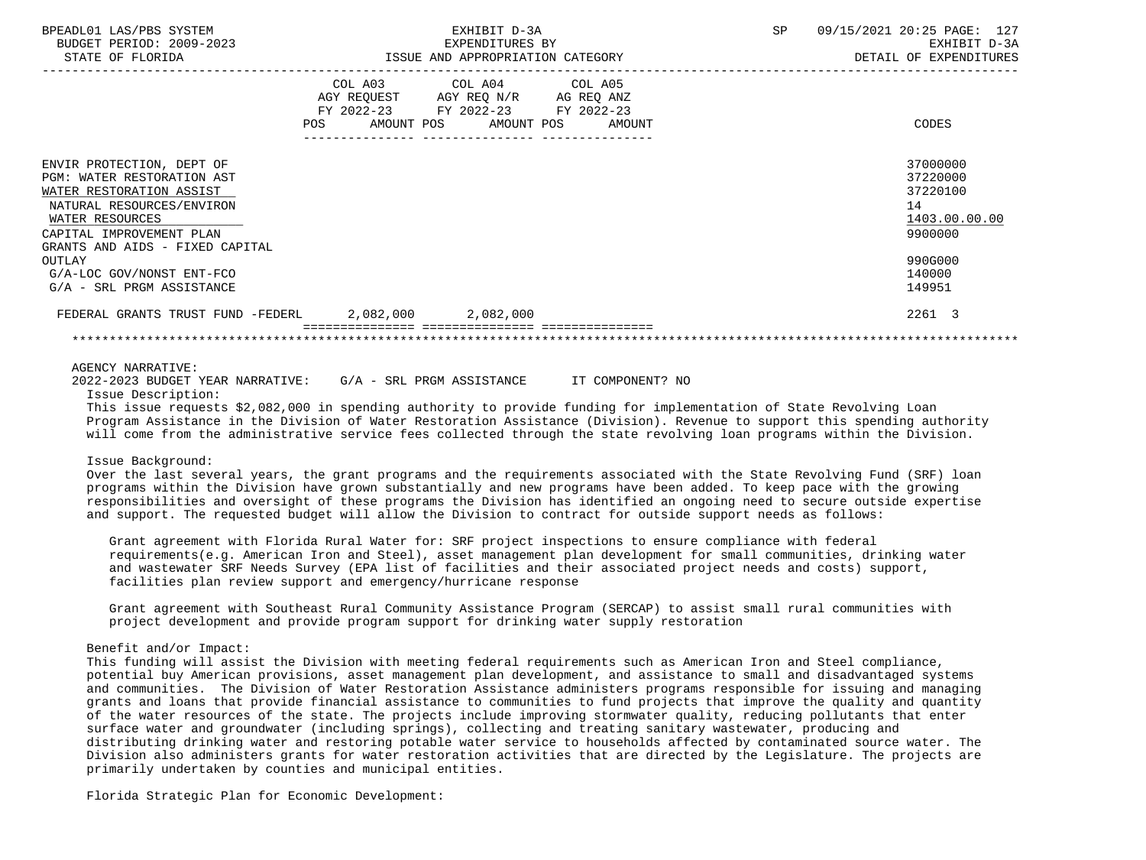| BPEADL01 LAS/PBS SYSTEM<br>BUDGET PERIOD: 2009-2023   | EXHIBIT D-3A<br>EXPENDITURES BY    | <b>SP</b> | 09/15/2021 20:25 PAGE: 127<br>EXHIBIT D-3A |  |  |
|-------------------------------------------------------|------------------------------------|-----------|--------------------------------------------|--|--|
| STATE OF FLORIDA                                      | ISSUE AND APPROPRIATION CATEGORY   |           | DETAIL OF EXPENDITURES                     |  |  |
|                                                       | COL A03 COL A04 COL A05            |           |                                            |  |  |
|                                                       | AGY REQUEST AGY REQ N/R AG REQ ANZ |           |                                            |  |  |
|                                                       | FY 2022-23 FY 2022-23 FY 2022-23   |           |                                            |  |  |
|                                                       | POS AMOUNT POS AMOUNT POS AMOUNT   |           | CODES                                      |  |  |
|                                                       |                                    |           |                                            |  |  |
| ENVIR PROTECTION, DEPT OF                             |                                    |           | 37000000                                   |  |  |
| PGM: WATER RESTORATION AST                            |                                    |           | 37220000                                   |  |  |
| WATER RESTORATION ASSIST                              |                                    |           | 37220100                                   |  |  |
| NATURAL RESOURCES/ENVIRON                             |                                    |           | 14                                         |  |  |
| WATER RESOURCES                                       |                                    |           | 1403.00.00.00                              |  |  |
| CAPITAL IMPROVEMENT PLAN                              |                                    |           | 9900000                                    |  |  |
| GRANTS AND AIDS - FIXED CAPITAL                       |                                    |           |                                            |  |  |
| OUTLAY                                                |                                    |           | 990G000                                    |  |  |
| G/A-LOC GOV/NONST ENT-FCO                             |                                    |           | 140000                                     |  |  |
| G/A - SRL PRGM ASSISTANCE                             |                                    |           | 149951                                     |  |  |
| FEDERAL GRANTS TRUST FUND -FEDERL 2,082,000 2,082,000 |                                    |           | 2261 3                                     |  |  |
|                                                       |                                    |           |                                            |  |  |

## AGENCY NARRATIVE:

 2022-2023 BUDGET YEAR NARRATIVE: G/A - SRL PRGM ASSISTANCE IT COMPONENT? NO Issue Description:

 This issue requests \$2,082,000 in spending authority to provide funding for implementation of State Revolving Loan Program Assistance in the Division of Water Restoration Assistance (Division). Revenue to support this spending authority will come from the administrative service fees collected through the state revolving loan programs within the Division.

#### Issue Background:

 Over the last several years, the grant programs and the requirements associated with the State Revolving Fund (SRF) loan programs within the Division have grown substantially and new programs have been added. To keep pace with the growing responsibilities and oversight of these programs the Division has identified an ongoing need to secure outside expertise and support. The requested budget will allow the Division to contract for outside support needs as follows:

 Grant agreement with Florida Rural Water for: SRF project inspections to ensure compliance with federal requirements(e.g. American Iron and Steel), asset management plan development for small communities, drinking water and wastewater SRF Needs Survey (EPA list of facilities and their associated project needs and costs) support, facilities plan review support and emergency/hurricane response

 Grant agreement with Southeast Rural Community Assistance Program (SERCAP) to assist small rural communities with project development and provide program support for drinking water supply restoration

## Benefit and/or Impact:

 This funding will assist the Division with meeting federal requirements such as American Iron and Steel compliance, potential buy American provisions, asset management plan development, and assistance to small and disadvantaged systems and communities. The Division of Water Restoration Assistance administers programs responsible for issuing and managing grants and loans that provide financial assistance to communities to fund projects that improve the quality and quantity of the water resources of the state. The projects include improving stormwater quality, reducing pollutants that enter surface water and groundwater (including springs), collecting and treating sanitary wastewater, producing and distributing drinking water and restoring potable water service to households affected by contaminated source water. The Division also administers grants for water restoration activities that are directed by the Legislature. The projects are primarily undertaken by counties and municipal entities.

Florida Strategic Plan for Economic Development: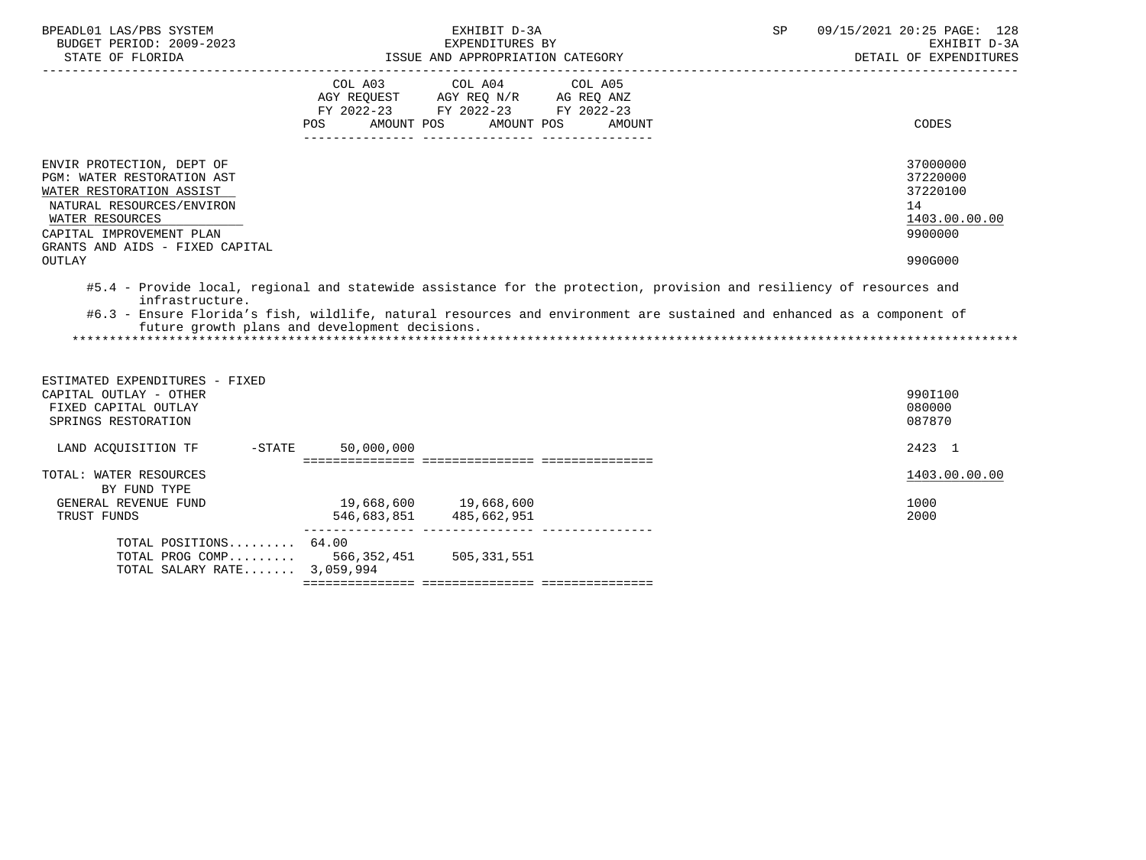| BPEADL01 LAS/PBS SYSTEM<br>BUDGET PERIOD: 2009-2023                                                                                                                      |                                                                                                 | EXHIBIT D-3A<br>EXPENDITURES BY  |                      | <b>SP</b> | 09/15/2021 20:25 PAGE: 128<br>EXHIBIT D-3A |
|--------------------------------------------------------------------------------------------------------------------------------------------------------------------------|-------------------------------------------------------------------------------------------------|----------------------------------|----------------------|-----------|--------------------------------------------|
| STATE OF FLORIDA                                                                                                                                                         |                                                                                                 | ISSUE AND APPROPRIATION CATEGORY |                      |           | DETAIL OF EXPENDITURES                     |
|                                                                                                                                                                          | AGY REQUEST AGY REQ N/R AG REQ ANZ<br>FY 2022-23 FY 2022-23 FY 2022-23<br>AMOUNT POS<br>POS FOR | COL A03 COL A04 COL A05          | AMOUNT POS<br>AMOUNT |           | CODES                                      |
| ENVIR PROTECTION, DEPT OF                                                                                                                                                |                                                                                                 |                                  |                      |           | 37000000                                   |
| PGM: WATER RESTORATION AST                                                                                                                                               |                                                                                                 |                                  |                      |           | 37220000                                   |
| WATER RESTORATION ASSIST                                                                                                                                                 |                                                                                                 |                                  |                      |           | 37220100                                   |
| NATURAL RESOURCES/ENVIRON                                                                                                                                                |                                                                                                 |                                  |                      |           | 14                                         |
| WATER RESOURCES                                                                                                                                                          |                                                                                                 |                                  |                      |           | 1403.00.00.00                              |
| CAPITAL IMPROVEMENT PLAN                                                                                                                                                 |                                                                                                 |                                  |                      |           | 9900000                                    |
| GRANTS AND AIDS - FIXED CAPITAL<br>OUTLAY                                                                                                                                |                                                                                                 |                                  |                      |           | 990G000                                    |
| #6.3 - Ensure Florida's fish, wildlife, natural resources and environment are sustained and enhanced as a component of<br>future growth plans and development decisions. |                                                                                                 |                                  |                      |           |                                            |
| ESTIMATED EXPENDITURES - FIXED<br>CAPITAL OUTLAY - OTHER<br>FIXED CAPITAL OUTLAY<br>SPRINGS RESTORATION                                                                  |                                                                                                 |                                  |                      |           | 990I100<br>080000<br>087870                |
| $-STATE$<br>LAND ACOUISITION TF                                                                                                                                          | 50,000,000                                                                                      |                                  |                      |           | 2423 1                                     |
| TOTAL: WATER RESOURCES<br>BY FUND TYPE                                                                                                                                   |                                                                                                 |                                  |                      |           | 1403.00.00.00                              |
| GENERAL REVENUE FUND                                                                                                                                                     | 19,668,600 19,668,600                                                                           |                                  |                      |           | 1000                                       |
| TRUST FUNDS                                                                                                                                                              |                                                                                                 | 546,683,851 485,662,951          |                      |           | 2000                                       |
| TOTAL POSITIONS 64.00                                                                                                                                                    |                                                                                                 |                                  |                      |           |                                            |
| TOTAL PROG COMP                                                                                                                                                          | 566,352,451                                                                                     | 505, 331, 551                    |                      |           |                                            |

=============== =============== ===============

TOTAL SALARY RATE....... 3,059,994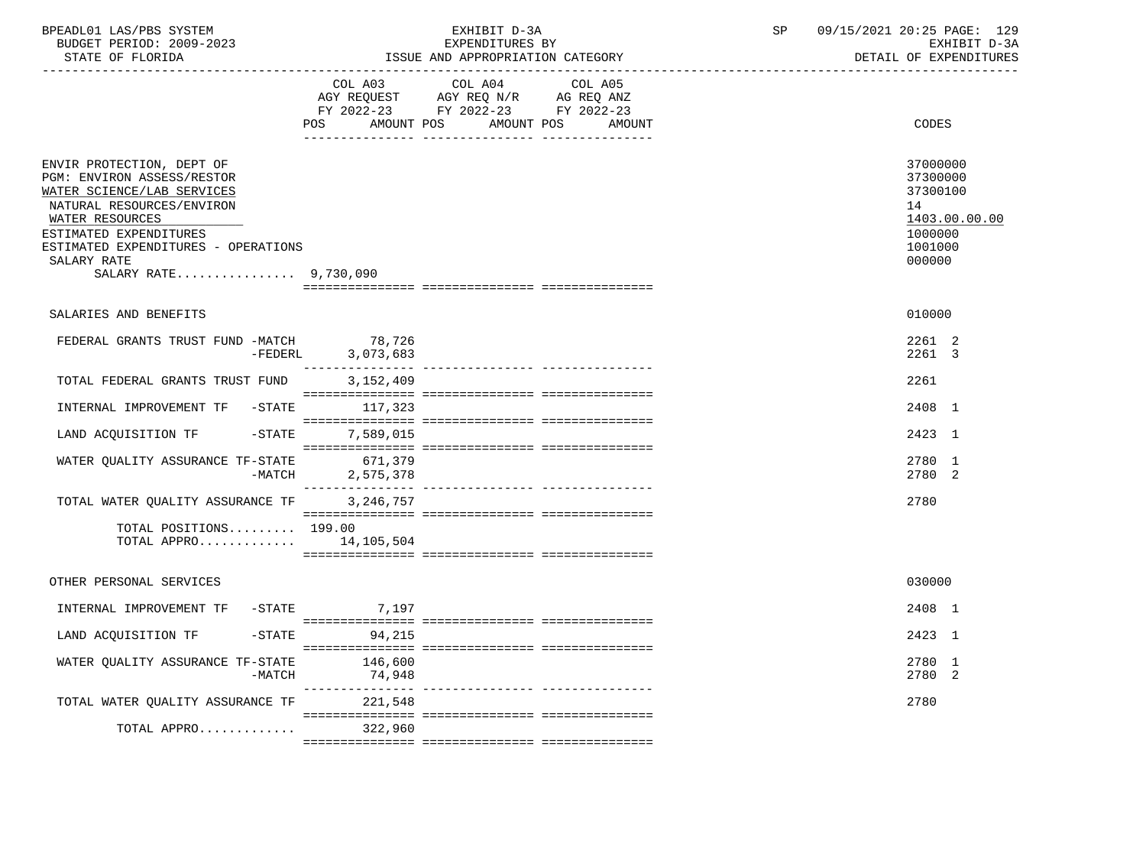| BPEADL01 LAS/PBS SYSTEM<br>BUDGET PERIOD: 2009-2023<br>STATE OF FLORIDA                                                                                                                                                                        |                             | EXHIBIT D-3A<br>EXPENDITURES BY<br>ISSUE AND APPROPRIATION CATEGORY                                                       | SP | 09/15/2021 20:25 PAGE: 129<br>EXHIBIT D-3A<br>DETAIL OF EXPENDITURES                    |
|------------------------------------------------------------------------------------------------------------------------------------------------------------------------------------------------------------------------------------------------|-----------------------------|---------------------------------------------------------------------------------------------------------------------------|----|-----------------------------------------------------------------------------------------|
|                                                                                                                                                                                                                                                | AMOUNT POS<br>POS DO        | COL A03 COL A04 COL A05<br>AGY REQUEST AGY REQ N/R AG REQ ANZ<br>FY 2022-23 FY 2022-23 FY 2022-23<br>AMOUNT POS<br>AMOUNT |    | <b>CODES</b>                                                                            |
| ENVIR PROTECTION, DEPT OF<br>PGM: ENVIRON ASSESS/RESTOR<br>WATER SCIENCE/LAB SERVICES<br>NATURAL RESOURCES/ENVIRON<br>WATER RESOURCES<br>ESTIMATED EXPENDITURES<br>ESTIMATED EXPENDITURES - OPERATIONS<br>SALARY RATE<br>SALARY RATE 9,730,090 |                             |                                                                                                                           |    | 37000000<br>37300000<br>37300100<br>14<br>1403.00.00.00<br>1000000<br>1001000<br>000000 |
| SALARIES AND BENEFITS                                                                                                                                                                                                                          |                             |                                                                                                                           |    | 010000                                                                                  |
| FEDERAL GRANTS TRUST FUND -MATCH                                                                                                                                                                                                               | 78,726<br>-FEDERL 3,073,683 |                                                                                                                           |    | 2261 2<br>2261 3                                                                        |
| TOTAL FEDERAL GRANTS TRUST FUND                                                                                                                                                                                                                | 3,152,409                   |                                                                                                                           |    | 2261                                                                                    |
| INTERNAL IMPROVEMENT TF -STATE 117,323                                                                                                                                                                                                         |                             |                                                                                                                           |    | 2408 1                                                                                  |
| LAND ACQUISITION TF -STATE 7,589,015                                                                                                                                                                                                           |                             |                                                                                                                           |    | 2423 1                                                                                  |
| WATER QUALITY ASSURANCE TF-STATE<br>$-MATCH$                                                                                                                                                                                                   | 671,379<br>2,575,378        |                                                                                                                           |    | 2780 1<br>2780 2                                                                        |
| TOTAL WATER QUALITY ASSURANCE TF                                                                                                                                                                                                               | 3,246,757                   |                                                                                                                           |    | 2780                                                                                    |
| TOTAL POSITIONS 199.00<br>TOTAL APPRO $14,105,504$                                                                                                                                                                                             |                             |                                                                                                                           |    |                                                                                         |
| OTHER PERSONAL SERVICES                                                                                                                                                                                                                        |                             |                                                                                                                           |    | 030000                                                                                  |
| INTERNAL IMPROVEMENT TF -STATE 7,197                                                                                                                                                                                                           |                             |                                                                                                                           |    | 2408 1                                                                                  |
| LAND ACQUISITION TF                                                                                                                                                                                                                            | $-STATE$ 94, 215            |                                                                                                                           |    | 2423 1                                                                                  |
| WATER QUALITY ASSURANCE TF-STATE<br>$-MATCH$                                                                                                                                                                                                   | 146,600<br>74,948           |                                                                                                                           |    | 2780 1<br>2780 2                                                                        |
| TOTAL WATER QUALITY ASSURANCE TF 221,548                                                                                                                                                                                                       |                             |                                                                                                                           |    | 2780                                                                                    |
| $TOTAL$ APPRO 322,960                                                                                                                                                                                                                          |                             |                                                                                                                           |    |                                                                                         |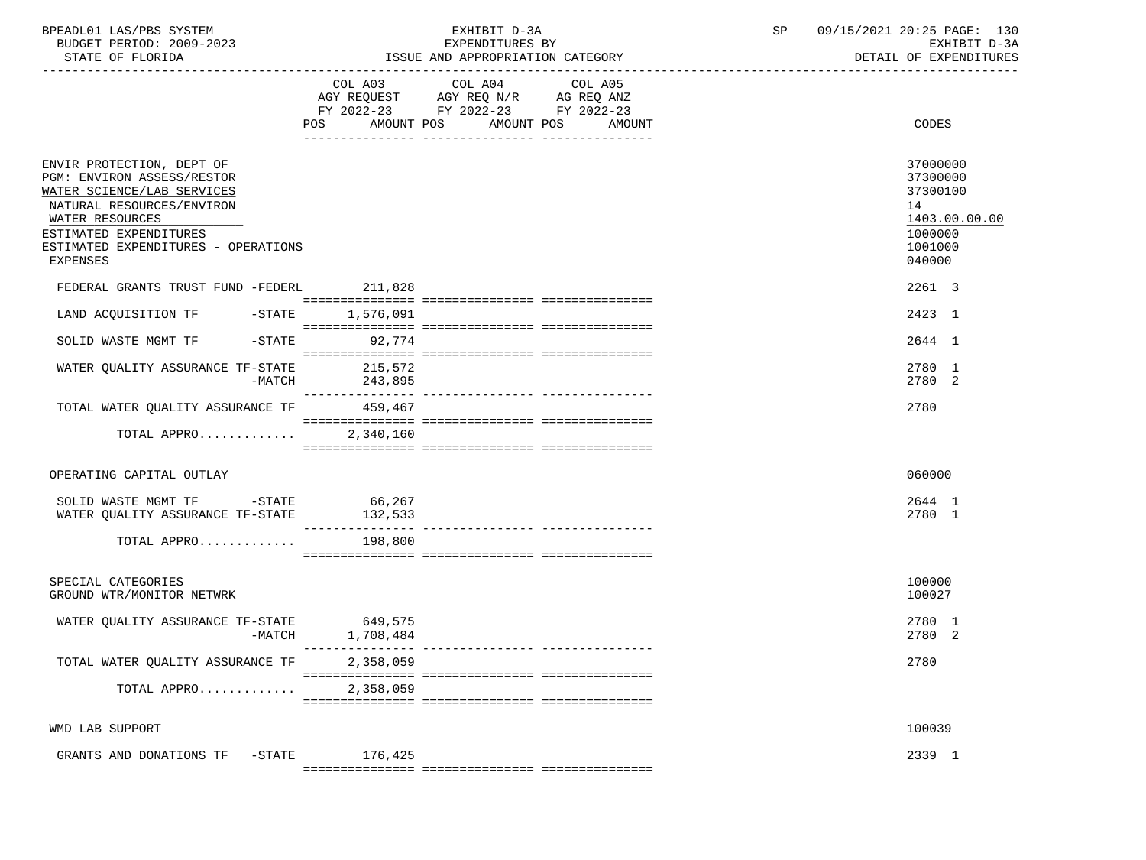| BPEADL01 LAS/PBS SYSTEM<br>BUDGET PERIOD: 2009-2023<br>STATE OF FLORIDA                                                                                                                                            |                              | EXHIBIT D-3A<br>EXPENDITURES BY<br>ISSUE AND APPROPRIATION CATEGORY                                                                         | 09/15/2021 20:25 PAGE: 130<br>SP<br>EXHIBIT D-3A<br>DETAIL OF EXPENDITURES              |  |  |
|--------------------------------------------------------------------------------------------------------------------------------------------------------------------------------------------------------------------|------------------------------|---------------------------------------------------------------------------------------------------------------------------------------------|-----------------------------------------------------------------------------------------|--|--|
|                                                                                                                                                                                                                    |                              | COL A03 COL A04<br>COL A05<br>AGY REQUEST AGY REQ N/R AG REQ ANZ<br>FY 2022-23 FY 2022-23 FY 2022-23<br>POS AMOUNT POS AMOUNT POS<br>AMOUNT | CODES                                                                                   |  |  |
| ENVIR PROTECTION, DEPT OF<br>PGM: ENVIRON ASSESS/RESTOR<br>WATER SCIENCE/LAB SERVICES<br>NATURAL RESOURCES/ENVIRON<br>WATER RESOURCES<br>ESTIMATED EXPENDITURES<br>ESTIMATED EXPENDITURES - OPERATIONS<br>EXPENSES |                              |                                                                                                                                             | 37000000<br>37300000<br>37300100<br>14<br>1403.00.00.00<br>1000000<br>1001000<br>040000 |  |  |
| FEDERAL GRANTS TRUST FUND -FEDERL 211,828                                                                                                                                                                          |                              |                                                                                                                                             | 2261 3                                                                                  |  |  |
| LAND ACQUISITION TF -STATE 1,576,091<br>SOLID WASTE MGMT TF -STATE                                                                                                                                                 |                              |                                                                                                                                             | 2423 1                                                                                  |  |  |
| WATER OUALITY ASSURANCE TF-STATE<br>-MATCH                                                                                                                                                                         | 92,774<br>215,572<br>243,895 |                                                                                                                                             | 2644 1<br>2780 1<br>2780 2                                                              |  |  |
| TOTAL WATER QUALITY ASSURANCE TF 459,467                                                                                                                                                                           |                              |                                                                                                                                             | 2780                                                                                    |  |  |
| TOTAL APPRO                                                                                                                                                                                                        | 2,340,160                    |                                                                                                                                             |                                                                                         |  |  |
| OPERATING CAPITAL OUTLAY                                                                                                                                                                                           |                              |                                                                                                                                             | 060000                                                                                  |  |  |
| SOLID WASTE MGMT TF -STATE 66,267<br>WATER QUALITY ASSURANCE TF-STATE                                                                                                                                              | 132,533                      |                                                                                                                                             | 2644 1<br>2780 1                                                                        |  |  |
| TOTAL APPRO 198,800                                                                                                                                                                                                |                              |                                                                                                                                             |                                                                                         |  |  |
| SPECIAL CATEGORIES<br>GROUND WTR/MONITOR NETWRK                                                                                                                                                                    |                              |                                                                                                                                             | 100000<br>100027                                                                        |  |  |
| WATER QUALITY ASSURANCE TF-STATE 649,575<br>-MATCH                                                                                                                                                                 | 1,708,484                    |                                                                                                                                             | 2780 1<br>2780 2                                                                        |  |  |
| TOTAL WATER QUALITY ASSURANCE TF                                                                                                                                                                                   | 2,358,059                    |                                                                                                                                             | 2780                                                                                    |  |  |
| TOTAL APPRO                                                                                                                                                                                                        | 2,358,059                    |                                                                                                                                             |                                                                                         |  |  |
| WMD LAB SUPPORT                                                                                                                                                                                                    |                              |                                                                                                                                             | 100039                                                                                  |  |  |
| GRANTS AND DONATIONS TF -STATE                                                                                                                                                                                     | 176,425                      |                                                                                                                                             | 2339 1                                                                                  |  |  |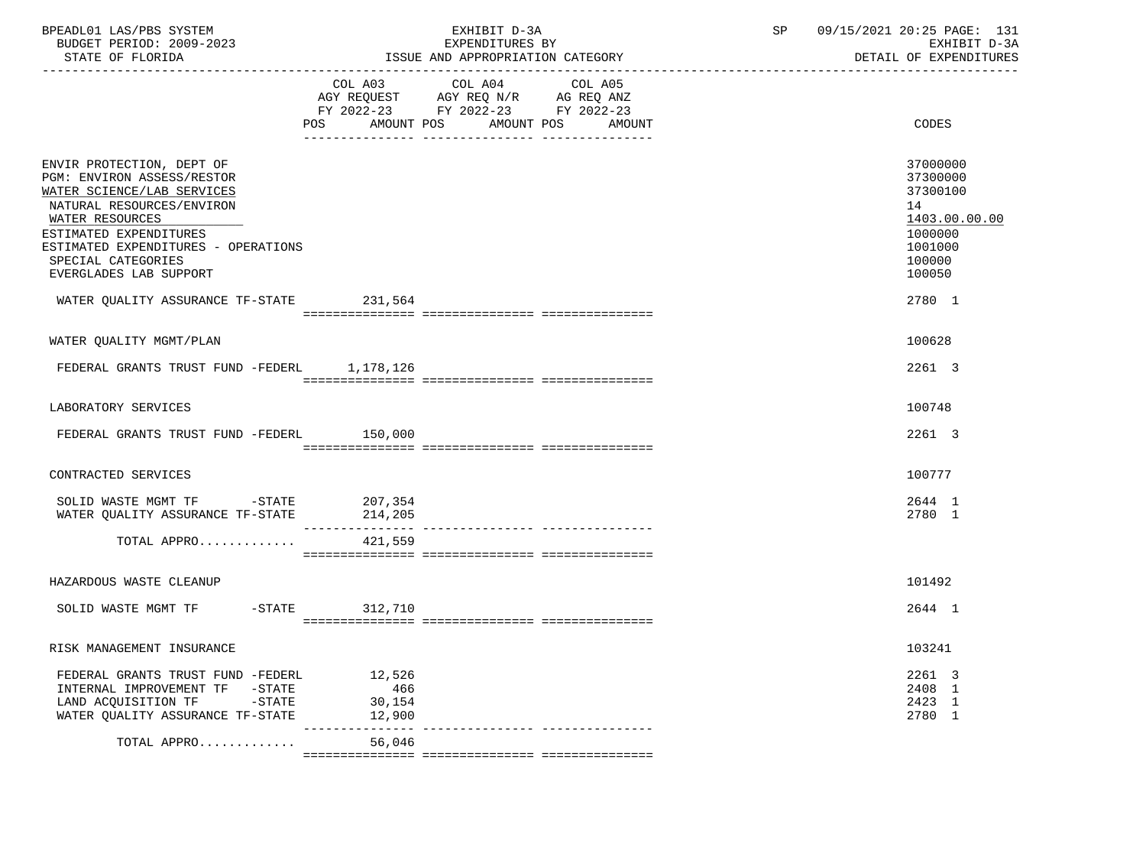| BPEADL01 LAS/PBS SYSTEM<br>BUDGET PERIOD: 2009-2023<br>STATE OF FLORIDA                                                                                                                                                                                                                            |                                   | EXHIBIT D-3A<br>EXPENDITURES BY<br>ISSUE AND APPROPRIATION CATEGORY                                                   | SP | 09/15/2021 20:25 PAGE: 131<br>EXHIBIT D-3A<br>DETAIL OF EXPENDITURES                                        |
|----------------------------------------------------------------------------------------------------------------------------------------------------------------------------------------------------------------------------------------------------------------------------------------------------|-----------------------------------|-----------------------------------------------------------------------------------------------------------------------|----|-------------------------------------------------------------------------------------------------------------|
|                                                                                                                                                                                                                                                                                                    | COL A03 COL A04                   | COL A05<br>AGY REQUEST AGY REQ N/R AG REQ ANZ<br>FY 2022-23 FY 2022-23 FY 2022-23<br>POS AMOUNT POS AMOUNT POS AMOUNT |    | CODES                                                                                                       |
| ENVIR PROTECTION, DEPT OF<br>PGM: ENVIRON ASSESS/RESTOR<br>WATER SCIENCE/LAB SERVICES<br>NATURAL RESOURCES/ENVIRON<br>WATER RESOURCES<br>ESTIMATED EXPENDITURES<br>ESTIMATED EXPENDITURES - OPERATIONS<br>SPECIAL CATEGORIES<br>EVERGLADES LAB SUPPORT<br>WATER QUALITY ASSURANCE TF-STATE 231,564 |                                   |                                                                                                                       |    | 37000000<br>37300000<br>37300100<br>14<br>1403.00.00.00<br>1000000<br>1001000<br>100000<br>100050<br>2780 1 |
| WATER QUALITY MGMT/PLAN                                                                                                                                                                                                                                                                            |                                   |                                                                                                                       |    | 100628                                                                                                      |
| FEDERAL GRANTS TRUST FUND -FEDERL 1,178,126                                                                                                                                                                                                                                                        |                                   |                                                                                                                       |    | 2261 3                                                                                                      |
| LABORATORY SERVICES                                                                                                                                                                                                                                                                                |                                   |                                                                                                                       |    | 100748                                                                                                      |
| FEDERAL GRANTS TRUST FUND -FEDERL 150,000                                                                                                                                                                                                                                                          |                                   |                                                                                                                       |    | 2261 3                                                                                                      |
| CONTRACTED SERVICES                                                                                                                                                                                                                                                                                |                                   |                                                                                                                       |    | 100777                                                                                                      |
| SOLID WASTE MGMT TF -STATE 207,354<br>WATER QUALITY ASSURANCE TF-STATE 214,205                                                                                                                                                                                                                     |                                   |                                                                                                                       |    | 2644 1<br>2780 1                                                                                            |
| TOTAL APPRO $421,559$                                                                                                                                                                                                                                                                              |                                   |                                                                                                                       |    |                                                                                                             |
| HAZARDOUS WASTE CLEANUP                                                                                                                                                                                                                                                                            |                                   |                                                                                                                       |    | 101492                                                                                                      |
| SOLID WASTE MGMT TF -STATE 312,710                                                                                                                                                                                                                                                                 |                                   |                                                                                                                       |    | 2644 1                                                                                                      |
| RISK MANAGEMENT INSURANCE                                                                                                                                                                                                                                                                          |                                   |                                                                                                                       |    | 103241                                                                                                      |
| FEDERAL GRANTS TRUST FUND -FEDERL<br>INTERNAL IMPROVEMENT TF -STATE<br>LAND ACQUISITION TF -STATE<br>WATER QUALITY ASSURANCE TF-STATE                                                                                                                                                              | 12,526<br>466<br>30,154<br>12,900 |                                                                                                                       |    | 2261 3<br>2408 1<br>2423 1<br>2780 1                                                                        |
| TOTAL APPRO                                                                                                                                                                                                                                                                                        | 56,046                            | -------------- -----------------                                                                                      |    |                                                                                                             |
|                                                                                                                                                                                                                                                                                                    |                                   |                                                                                                                       |    |                                                                                                             |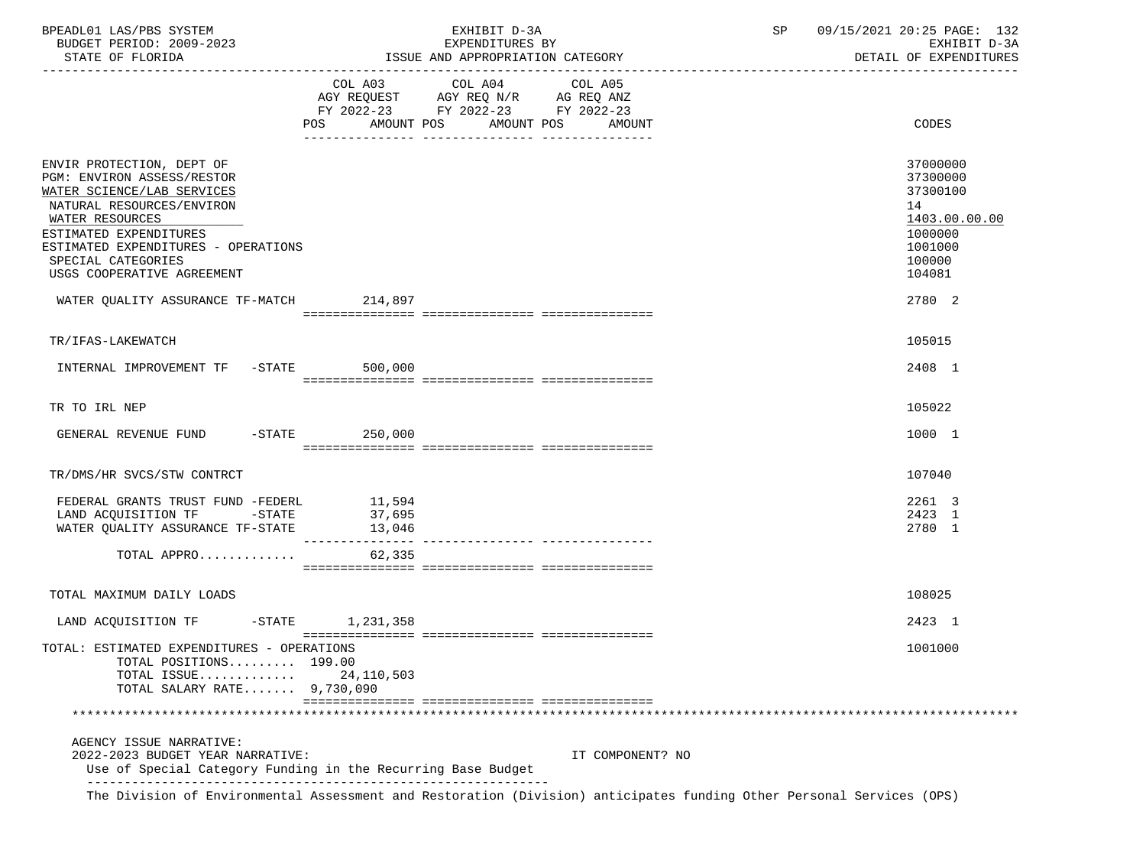| BPEADL01 LAS/PBS SYSTEM<br>BUDGET PERIOD: 2009-2023                                                                                                                                                                                                        |                  | EXHIBIT D-3A<br>EXPENDITURES BY                                                                                        | SP and the set of the set of the set of the set of the set of the set of the set of the set of the set of the s | 09/15/2021 20:25 PAGE: 132<br>EXHIBIT D-3A<br>DETAIL OF EXPENDITURES |                                                                                                   |  |
|------------------------------------------------------------------------------------------------------------------------------------------------------------------------------------------------------------------------------------------------------------|------------------|------------------------------------------------------------------------------------------------------------------------|-----------------------------------------------------------------------------------------------------------------|----------------------------------------------------------------------|---------------------------------------------------------------------------------------------------|--|
| STATE OF FLORIDA                                                                                                                                                                                                                                           |                  | ISSUE AND APPROPRIATION CATEGORY                                                                                       |                                                                                                                 |                                                                      |                                                                                                   |  |
|                                                                                                                                                                                                                                                            |                  | COL A03 COL A04<br>AGY REQUEST AGY REQ N/R AG REQ ANZ<br>FY 2022-23 FY 2022-23 FY 2022-23<br>POS AMOUNT POS AMOUNT POS | COL A05<br>AMOUNT                                                                                               |                                                                      | CODES                                                                                             |  |
|                                                                                                                                                                                                                                                            |                  |                                                                                                                        |                                                                                                                 |                                                                      |                                                                                                   |  |
| ENVIR PROTECTION, DEPT OF<br>PGM: ENVIRON ASSESS/RESTOR<br>WATER SCIENCE/LAB SERVICES<br>NATURAL RESOURCES/ENVIRON<br>WATER RESOURCES<br>ESTIMATED EXPENDITURES<br>ESTIMATED EXPENDITURES - OPERATIONS<br>SPECIAL CATEGORIES<br>USGS COOPERATIVE AGREEMENT |                  |                                                                                                                        |                                                                                                                 |                                                                      | 37000000<br>37300000<br>37300100<br>14<br>1403.00.00.00<br>1000000<br>1001000<br>100000<br>104081 |  |
| WATER QUALITY ASSURANCE TF-MATCH 214,897                                                                                                                                                                                                                   |                  |                                                                                                                        |                                                                                                                 |                                                                      | 2780 2                                                                                            |  |
|                                                                                                                                                                                                                                                            |                  |                                                                                                                        |                                                                                                                 |                                                                      |                                                                                                   |  |
| TR/IFAS-LAKEWATCH                                                                                                                                                                                                                                          |                  |                                                                                                                        |                                                                                                                 |                                                                      | 105015                                                                                            |  |
| INTERNAL IMPROVEMENT TF -STATE 500,000                                                                                                                                                                                                                     |                  |                                                                                                                        |                                                                                                                 |                                                                      | 2408 1                                                                                            |  |
| TR TO IRL NEP                                                                                                                                                                                                                                              |                  |                                                                                                                        |                                                                                                                 |                                                                      | 105022                                                                                            |  |
| GENERAL REVENUE FUND -STATE 250,000                                                                                                                                                                                                                        |                  |                                                                                                                        |                                                                                                                 |                                                                      | 1000 1                                                                                            |  |
| TR/DMS/HR SVCS/STW CONTRCT                                                                                                                                                                                                                                 |                  |                                                                                                                        |                                                                                                                 |                                                                      | 107040                                                                                            |  |
| FEDERAL GRANTS TRUST FUND -FEDERL                                                                                                                                                                                                                          |                  |                                                                                                                        |                                                                                                                 |                                                                      | 2261 3                                                                                            |  |
| LAND ACQUISITION TF -STATE                                                                                                                                                                                                                                 | 11,594<br>37,695 |                                                                                                                        |                                                                                                                 |                                                                      | 2423 1                                                                                            |  |
| WATER QUALITY ASSURANCE TF-STATE 13,046                                                                                                                                                                                                                    |                  |                                                                                                                        |                                                                                                                 |                                                                      | 2780 1                                                                                            |  |
| TOTAL APPRO                                                                                                                                                                                                                                                | 62,335           |                                                                                                                        |                                                                                                                 |                                                                      |                                                                                                   |  |
|                                                                                                                                                                                                                                                            |                  |                                                                                                                        |                                                                                                                 |                                                                      |                                                                                                   |  |
| TOTAL MAXIMUM DAILY LOADS                                                                                                                                                                                                                                  |                  |                                                                                                                        |                                                                                                                 |                                                                      | 108025                                                                                            |  |
| LAND ACQUISITION TF -STATE 1,231,358                                                                                                                                                                                                                       |                  |                                                                                                                        |                                                                                                                 |                                                                      | 2423 1                                                                                            |  |
| TOTAL: ESTIMATED EXPENDITURES - OPERATIONS<br>TOTAL POSITIONS 199.00<br>TOTAL ISSUE<br>TOTAL SALARY RATE 9,730,090                                                                                                                                         | 24,110,503       |                                                                                                                        |                                                                                                                 |                                                                      | 1001000                                                                                           |  |
|                                                                                                                                                                                                                                                            |                  |                                                                                                                        |                                                                                                                 |                                                                      |                                                                                                   |  |
| AGENCY ISSUE NARRATIVE:<br>2022-2023 BUDGET YEAR NARRATIVE:<br>Use of Special Category Funding in the Recurring Base Budget                                                                                                                                |                  |                                                                                                                        | IT COMPONENT? NO                                                                                                |                                                                      |                                                                                                   |  |
| The Division of Environmental Assessment and Restoration (Division) anticipates funding Other Personal Services (OPS)                                                                                                                                      |                  |                                                                                                                        |                                                                                                                 |                                                                      |                                                                                                   |  |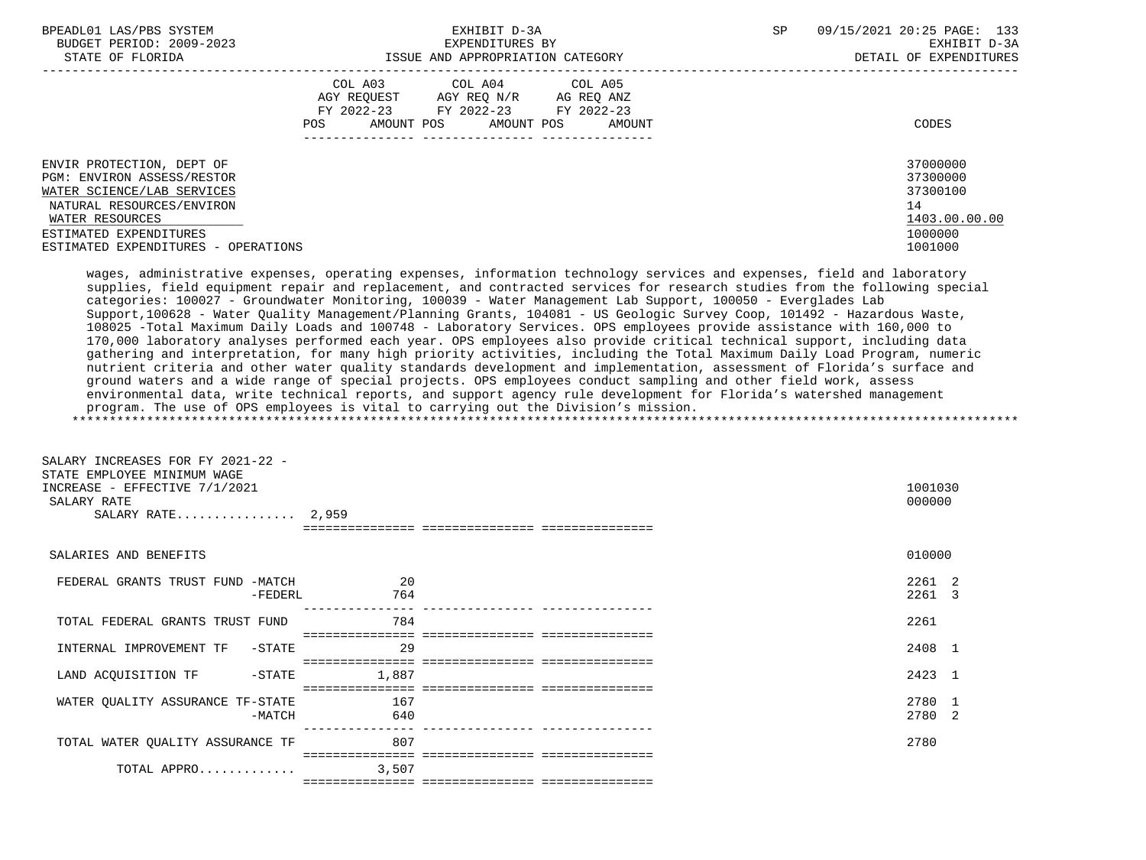| BPEADL01 LAS/PBS SYSTEM<br>BUDGET PERIOD: 2009-2023<br>STATE OF FLORIDA                                                                                                                                | EXHIBIT D-3A<br>EXPENDITURES BY<br>ISSUE AND APPROPRIATION CATEGORY                                                                                                                                                                                                                                                                                                                                                                                                                                                                                                                                                                                                                                                                                                                                                                                                                                                                                                                                                                                                                                                                                                                                                                                                                                                                    | SP. | 09/15/2021 20:25 PAGE: 133<br>EXHIBIT D-3A<br>DETAIL OF EXPENDITURES          |
|--------------------------------------------------------------------------------------------------------------------------------------------------------------------------------------------------------|----------------------------------------------------------------------------------------------------------------------------------------------------------------------------------------------------------------------------------------------------------------------------------------------------------------------------------------------------------------------------------------------------------------------------------------------------------------------------------------------------------------------------------------------------------------------------------------------------------------------------------------------------------------------------------------------------------------------------------------------------------------------------------------------------------------------------------------------------------------------------------------------------------------------------------------------------------------------------------------------------------------------------------------------------------------------------------------------------------------------------------------------------------------------------------------------------------------------------------------------------------------------------------------------------------------------------------------|-----|-------------------------------------------------------------------------------|
|                                                                                                                                                                                                        | COL A03 COL A04<br>COL A05<br>AGY REQUEST AGY REQ N/R AG REQ ANZ<br>FY 2022-23 FY 2022-23 FY 2022-23<br>AMOUNT POS<br>POS<br>AMOUNT POS<br>AMOUNT                                                                                                                                                                                                                                                                                                                                                                                                                                                                                                                                                                                                                                                                                                                                                                                                                                                                                                                                                                                                                                                                                                                                                                                      |     | CODES                                                                         |
| ENVIR PROTECTION, DEPT OF<br>PGM: ENVIRON ASSESS/RESTOR<br>WATER SCIENCE/LAB SERVICES<br>NATURAL RESOURCES/ENVIRON<br>WATER RESOURCES<br>ESTIMATED EXPENDITURES<br>ESTIMATED EXPENDITURES - OPERATIONS |                                                                                                                                                                                                                                                                                                                                                                                                                                                                                                                                                                                                                                                                                                                                                                                                                                                                                                                                                                                                                                                                                                                                                                                                                                                                                                                                        |     | 37000000<br>37300000<br>37300100<br>14<br>1403.00.00.00<br>1000000<br>1001000 |
|                                                                                                                                                                                                        | wages, administrative expenses, operating expenses, information technology services and expenses, field and laboratory<br>supplies, field equipment repair and replacement, and contracted services for research studies from the following special<br>categories: 100027 - Groundwater Monitoring, 100039 - Water Management Lab Support, 100050 - Everglades Lab<br>Support, 100628 - Water Quality Management/Planning Grants, 104081 - US Geologic Survey Coop, 101492 - Hazardous Waste,<br>108025 -Total Maximum Daily Loads and 100748 - Laboratory Services. OPS employees provide assistance with 160,000 to<br>170,000 laboratory analyses performed each year. OPS employees also provide critical technical support, including data<br>gathering and interpretation, for many high priority activities, including the Total Maximum Daily Load Program, numeric<br>nutrient criteria and other water quality standards development and implementation, assessment of Florida's surface and<br>ground waters and a wide range of special projects. OPS employees conduct sampling and other field work, assess<br>environmental data, write technical reports, and support agency rule development for Florida's watershed management<br>program. The use of OPS employees is vital to carrying out the Division's mission. |     |                                                                               |
| SALARY INCREASES FOR FY 2021-22 -<br>STATE EMPLOYEE MINIMUM WAGE<br>INCREASE - EFFECTIVE 7/1/2021<br>SALARY RATE<br>SALARY RATE 2,959                                                                  |                                                                                                                                                                                                                                                                                                                                                                                                                                                                                                                                                                                                                                                                                                                                                                                                                                                                                                                                                                                                                                                                                                                                                                                                                                                                                                                                        |     | 1001030<br>000000                                                             |
| SALARIES AND BENEFITS                                                                                                                                                                                  |                                                                                                                                                                                                                                                                                                                                                                                                                                                                                                                                                                                                                                                                                                                                                                                                                                                                                                                                                                                                                                                                                                                                                                                                                                                                                                                                        |     | 010000                                                                        |
| FEDERAL GRANTS TRUST FUND -MATCH<br>-FEDERL                                                                                                                                                            | 20<br>764                                                                                                                                                                                                                                                                                                                                                                                                                                                                                                                                                                                                                                                                                                                                                                                                                                                                                                                                                                                                                                                                                                                                                                                                                                                                                                                              |     | 2261 2<br>2261 3                                                              |
| TOTAL FEDERAL GRANTS TRUST FUND                                                                                                                                                                        | 784                                                                                                                                                                                                                                                                                                                                                                                                                                                                                                                                                                                                                                                                                                                                                                                                                                                                                                                                                                                                                                                                                                                                                                                                                                                                                                                                    |     | 2261                                                                          |
| INTERNAL IMPROVEMENT TF<br>-STATE                                                                                                                                                                      | 29                                                                                                                                                                                                                                                                                                                                                                                                                                                                                                                                                                                                                                                                                                                                                                                                                                                                                                                                                                                                                                                                                                                                                                                                                                                                                                                                     |     | 2408 1                                                                        |
| LAND ACQUISITION TF<br>$-STATE$                                                                                                                                                                        | 1,887                                                                                                                                                                                                                                                                                                                                                                                                                                                                                                                                                                                                                                                                                                                                                                                                                                                                                                                                                                                                                                                                                                                                                                                                                                                                                                                                  |     | 2423 1                                                                        |
| WATER QUALITY ASSURANCE TF-STATE<br>$-MATCH$                                                                                                                                                           | 167<br>640                                                                                                                                                                                                                                                                                                                                                                                                                                                                                                                                                                                                                                                                                                                                                                                                                                                                                                                                                                                                                                                                                                                                                                                                                                                                                                                             |     | 2780 1<br>2780 2                                                              |
| TOTAL WATER QUALITY ASSURANCE TF                                                                                                                                                                       | 807                                                                                                                                                                                                                                                                                                                                                                                                                                                                                                                                                                                                                                                                                                                                                                                                                                                                                                                                                                                                                                                                                                                                                                                                                                                                                                                                    |     | 2780                                                                          |
| TOTAL APPRO                                                                                                                                                                                            | 3,507                                                                                                                                                                                                                                                                                                                                                                                                                                                                                                                                                                                                                                                                                                                                                                                                                                                                                                                                                                                                                                                                                                                                                                                                                                                                                                                                  |     |                                                                               |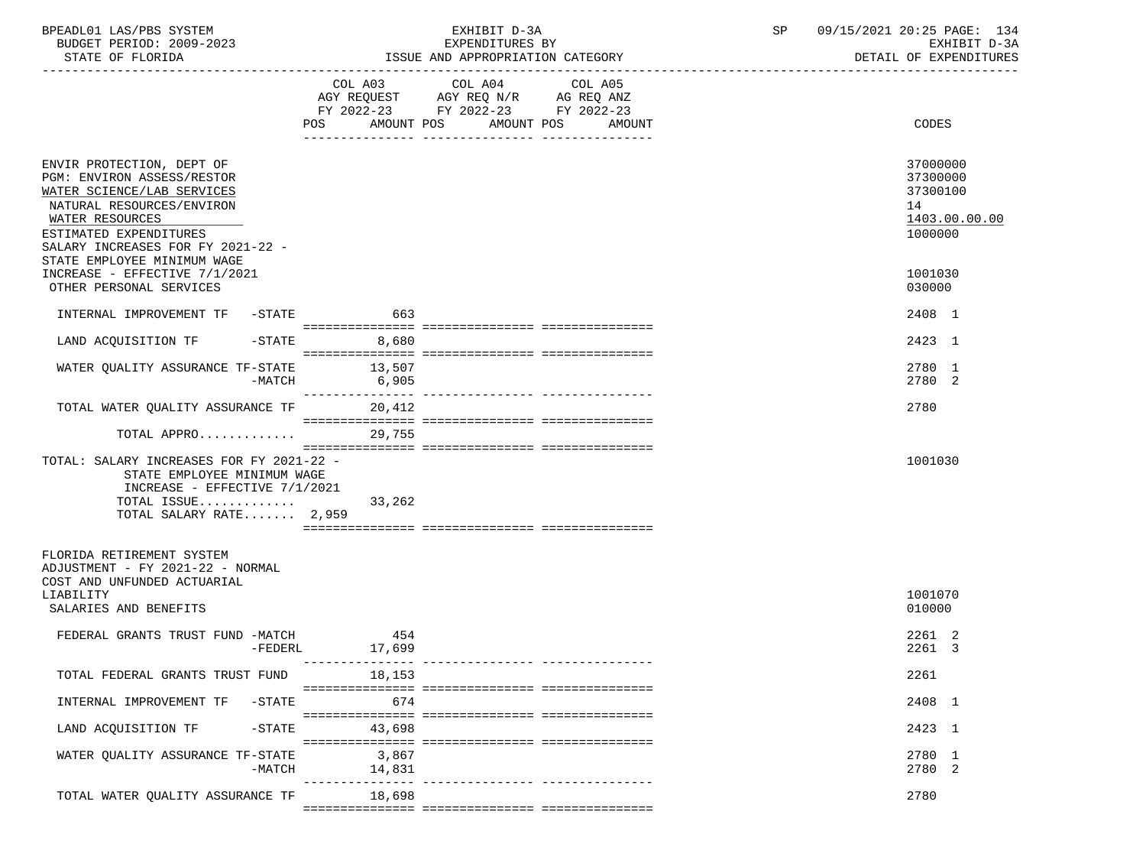| BPEADL01 LAS/PBS SYSTEM<br>BUDGET PERIOD: 2009-2023<br>STATE OF FLORIDA                                                                                                                                                                                              |                 | EXHIBIT D-3A<br>EXPENDITURES BY<br>ISSUE AND APPROPRIATION CATEGORY                                                                      | SP | 09/15/2021 20:25 PAGE: 134<br>EXHIBIT D-3A<br>DETAIL OF EXPENDITURES          |
|----------------------------------------------------------------------------------------------------------------------------------------------------------------------------------------------------------------------------------------------------------------------|-----------------|------------------------------------------------------------------------------------------------------------------------------------------|----|-------------------------------------------------------------------------------|
|                                                                                                                                                                                                                                                                      |                 | COL A03 COL A04<br>COL A05<br>AGY REQUEST AGY REQ N/R AG REQ ANZ<br>FY 2022-23 FY 2022-23 FY 2022-23<br>POS AMOUNT POS AMOUNT POS AMOUNT |    | CODES                                                                         |
| ENVIR PROTECTION, DEPT OF<br>PGM: ENVIRON ASSESS/RESTOR<br>WATER SCIENCE/LAB SERVICES<br>NATURAL RESOURCES/ENVIRON<br>WATER RESOURCES<br>ESTIMATED EXPENDITURES<br>SALARY INCREASES FOR FY 2021-22 -<br>STATE EMPLOYEE MINIMUM WAGE<br>INCREASE - EFFECTIVE 7/1/2021 |                 |                                                                                                                                          |    | 37000000<br>37300000<br>37300100<br>14<br>1403.00.00.00<br>1000000<br>1001030 |
| OTHER PERSONAL SERVICES                                                                                                                                                                                                                                              |                 |                                                                                                                                          |    | 030000                                                                        |
| INTERNAL IMPROVEMENT TF -STATE 663                                                                                                                                                                                                                                   |                 |                                                                                                                                          |    | 2408 1                                                                        |
| LAND ACQUISITION TF -STATE 8,680                                                                                                                                                                                                                                     |                 |                                                                                                                                          |    | 2423 1                                                                        |
| WATER QUALITY ASSURANCE TF-STATE<br>$-MATCH$                                                                                                                                                                                                                         | 13,507<br>6,905 |                                                                                                                                          |    | 2780 1<br>2780 2                                                              |
| TOTAL WATER QUALITY ASSURANCE TF                                                                                                                                                                                                                                     | 20,412          |                                                                                                                                          |    | 2780                                                                          |
| TOTAL APPRO                                                                                                                                                                                                                                                          | 29,755          |                                                                                                                                          |    |                                                                               |
| TOTAL: SALARY INCREASES FOR FY 2021-22 -<br>STATE EMPLOYEE MINIMUM WAGE<br>INCREASE - EFFECTIVE 7/1/2021<br>TOTAL ISSUE<br>TOTAL SALARY RATE 2,959                                                                                                                   | 33,262          |                                                                                                                                          |    | 1001030                                                                       |
| FLORIDA RETIREMENT SYSTEM<br>ADJUSTMENT - FY 2021-22 - NORMAL<br>COST AND UNFUNDED ACTUARIAL                                                                                                                                                                         |                 |                                                                                                                                          |    |                                                                               |
| LIABILITY<br>SALARIES AND BENEFITS                                                                                                                                                                                                                                   |                 |                                                                                                                                          |    | 1001070<br>010000                                                             |
| FEDERAL GRANTS TRUST FUND -MATCH<br>$-FEDERL$                                                                                                                                                                                                                        | 454<br>17,699   |                                                                                                                                          |    | 2261 2<br>2261 3                                                              |
| TOTAL FEDERAL GRANTS TRUST FUND                                                                                                                                                                                                                                      | 18,153          | ______________________________________                                                                                                   |    | 2261                                                                          |
| INTERNAL IMPROVEMENT TF -STATE                                                                                                                                                                                                                                       | 674             |                                                                                                                                          |    | 2408 1                                                                        |
| -STATE<br>LAND ACQUISITION TF                                                                                                                                                                                                                                        | 43,698          |                                                                                                                                          |    | 2423 1                                                                        |
| WATER QUALITY ASSURANCE TF-STATE<br>$-MATCH$                                                                                                                                                                                                                         | 3,867<br>14,831 |                                                                                                                                          |    | 2780 1<br>2780 2                                                              |
| TOTAL WATER QUALITY ASSURANCE TF                                                                                                                                                                                                                                     | 18,698          | ____________ _______________                                                                                                             |    | 2780                                                                          |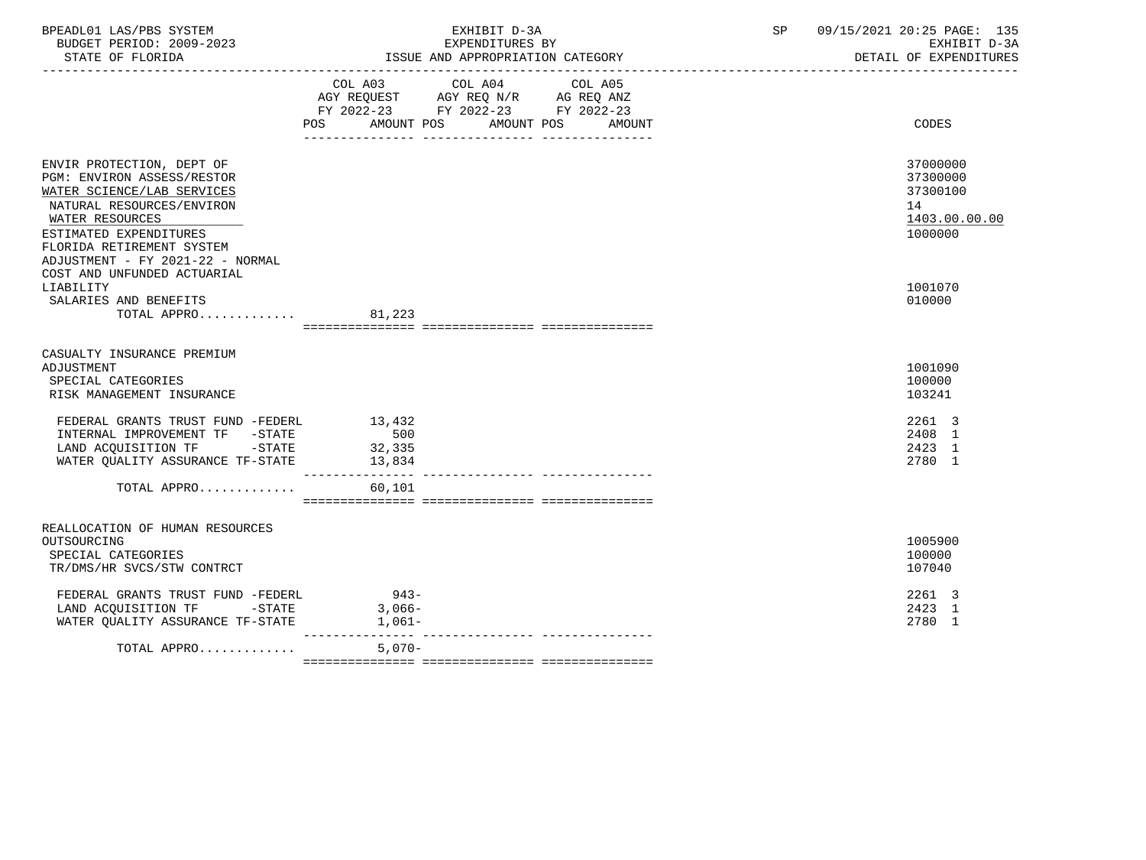| BPEADL01 LAS/PBS SYSTEM<br>BUDGET PERIOD: 2009-2023                                                                                                                                                                              | EXHIBIT D-3A<br>EXPENDITURES BY                                                                                                          | 09/15/2021 20:25 PAGE: 135<br>SP<br>EXHIBIT D-3A<br>DETAIL OF EXPENDITURES |
|----------------------------------------------------------------------------------------------------------------------------------------------------------------------------------------------------------------------------------|------------------------------------------------------------------------------------------------------------------------------------------|----------------------------------------------------------------------------|
|                                                                                                                                                                                                                                  | COL A03 COL A04<br>COL A05<br>AGY REQUEST AGY REQ N/R AG REQ ANZ<br>FY 2022-23 FY 2022-23 FY 2022-23<br>POS AMOUNT POS AMOUNT POS AMOUNT | CODES                                                                      |
| ENVIR PROTECTION, DEPT OF<br>PGM: ENVIRON ASSESS/RESTOR<br>WATER SCIENCE/LAB SERVICES<br>NATURAL RESOURCES/ENVIRON<br>WATER RESOURCES<br>ESTIMATED EXPENDITURES<br>FLORIDA RETIREMENT SYSTEM<br>ADJUSTMENT - FY 2021-22 - NORMAL |                                                                                                                                          | 37000000<br>37300000<br>37300100<br>14<br>1403.00.00.00<br>1000000         |
| COST AND UNFUNDED ACTUARIAL<br>LIABILITY<br>SALARIES AND BENEFITS<br>TOTAL APPRO                                                                                                                                                 | 81,223                                                                                                                                   | 1001070<br>010000                                                          |
| CASUALTY INSURANCE PREMIUM<br>ADJUSTMENT<br>SPECIAL CATEGORIES<br>RISK MANAGEMENT INSURANCE                                                                                                                                      |                                                                                                                                          | 1001090<br>100000<br>103241                                                |
| FEDERAL GRANTS TRUST FUND -FEDERL 13,432<br>INTERNAL IMPROVEMENT TF -STATE<br>LAND ACQUISITION TF -STATE 32,335                                                                                                                  | 500                                                                                                                                      | 2261 3<br>2408 1<br>2423 1<br>2780 1                                       |
| TOTAL APPRO                                                                                                                                                                                                                      | 60,101                                                                                                                                   |                                                                            |
| REALLOCATION OF HUMAN RESOURCES<br>OUTSOURCING<br>SPECIAL CATEGORIES<br>TR/DMS/HR SVCS/STW CONTRCT                                                                                                                               |                                                                                                                                          | 1005900<br>100000<br>107040                                                |
| FEDERAL GRANTS TRUST FUND -FEDERL 943-<br>LAND ACQUISITION TF -STATE 3,066-<br>WATER QUALITY ASSURANCE TF-STATE                                                                                                                  | $1,061-$                                                                                                                                 | 2261 3<br>2423 1<br>2780 1                                                 |
| TOTAL APPRO                                                                                                                                                                                                                      | $5,070-$                                                                                                                                 |                                                                            |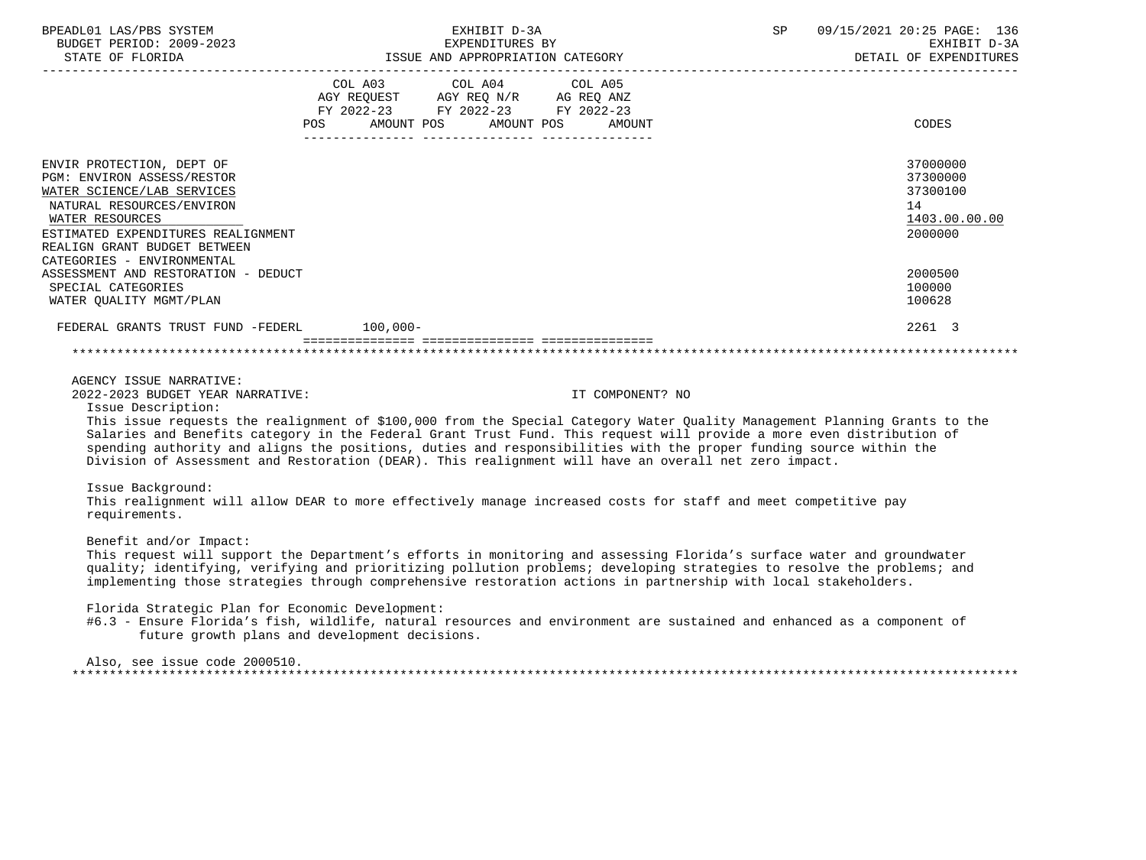| BPEADL01 LAS/PBS SYSTEM<br>EXPENDITURES BY<br>BUDGET PERIOD: 2009-2023<br>STATE OF FLORIDA STATE OF STATE OF STATE OF STATE OF STATES                                                                                                                                                                                                                                                                                                                                                                                                                                   |                                                                                                                                                                                                                                 | EXHIBIT D-3A |                  | SP | 09/15/2021 20:25 PAGE: 136<br>EXHIBIT D-3A<br>DETAIL OF EXPENDITURES |
|-------------------------------------------------------------------------------------------------------------------------------------------------------------------------------------------------------------------------------------------------------------------------------------------------------------------------------------------------------------------------------------------------------------------------------------------------------------------------------------------------------------------------------------------------------------------------|---------------------------------------------------------------------------------------------------------------------------------------------------------------------------------------------------------------------------------|--------------|------------------|----|----------------------------------------------------------------------|
|                                                                                                                                                                                                                                                                                                                                                                                                                                                                                                                                                                         | COL A03 COL A04 COL A05<br>$\begin{tabular}{lllllll} \bf AGY & \bf REQUEST & \bf AGY & \bf REQ & \bf N/R & \bf AG & \bf REQ & \bf ANZ \\ \end{tabular}$<br>FY 2022-23 FY 2022-23 FY 2022-23<br>POS AMOUNT POS AMOUNT POS AMOUNT |              |                  |    | CODES                                                                |
| ENVIR PROTECTION, DEPT OF<br>PGM: ENVIRON ASSESS/RESTOR<br>WATER SCIENCE/LAB SERVICES<br>NATURAL RESOURCES/ENVIRON<br>WATER RESOURCES<br>ESTIMATED EXPENDITURES REALIGNMENT<br>REALIGN GRANT BUDGET BETWEEN<br>CATEGORIES - ENVIRONMENTAL                                                                                                                                                                                                                                                                                                                               |                                                                                                                                                                                                                                 |              |                  |    | 37000000<br>37300000<br>37300100<br>14<br>1403.00.00.00<br>2000000   |
| ASSESSMENT AND RESTORATION - DEDUCT<br>SPECIAL CATEGORIES<br>WATER QUALITY MGMT/PLAN                                                                                                                                                                                                                                                                                                                                                                                                                                                                                    |                                                                                                                                                                                                                                 |              |                  |    | 2000500<br>100000<br>100628                                          |
| FEDERAL GRANTS TRUST FUND -FEDERL 100,000-                                                                                                                                                                                                                                                                                                                                                                                                                                                                                                                              |                                                                                                                                                                                                                                 |              |                  |    | 2261 3                                                               |
|                                                                                                                                                                                                                                                                                                                                                                                                                                                                                                                                                                         |                                                                                                                                                                                                                                 |              |                  |    |                                                                      |
| AGENCY ISSUE NARRATIVE:<br>2022-2023 BUDGET YEAR NARRATIVE:<br>Issue Description:<br>This issue requests the realignment of \$100,000 from the Special Category Water Quality Management Planning Grants to the<br>Salaries and Benefits category in the Federal Grant Trust Fund. This request will provide a more even distribution of<br>spending authority and aligns the positions, duties and responsibilities with the proper funding source within the<br>Division of Assessment and Restoration (DEAR). This realignment will have an overall net zero impact. |                                                                                                                                                                                                                                 |              | IT COMPONENT? NO |    |                                                                      |
| Issue Background:<br>This realignment will allow DEAR to more effectively manage increased costs for staff and meet competitive pay<br>requirements.                                                                                                                                                                                                                                                                                                                                                                                                                    |                                                                                                                                                                                                                                 |              |                  |    |                                                                      |
| Benefit and/or Impact:<br>This request will support the Department's efforts in monitoring and assessing Florida's surface water and groundwater<br>quality; identifying, verifying and prioritizing pollution problems; developing strategies to resolve the problems; and<br>implementing those strategies through comprehensive restoration actions in partnership with local stakeholders.                                                                                                                                                                          |                                                                                                                                                                                                                                 |              |                  |    |                                                                      |
| Florida Strategic Plan for Economic Development:<br>#6.3 - Ensure Florida's fish, wildlife, natural resources and environment are sustained and enhanced as a component of<br>future growth plans and development decisions.                                                                                                                                                                                                                                                                                                                                            |                                                                                                                                                                                                                                 |              |                  |    |                                                                      |
| Also, see issue code 2000510.                                                                                                                                                                                                                                                                                                                                                                                                                                                                                                                                           |                                                                                                                                                                                                                                 |              |                  |    |                                                                      |

\*\*\*\*\*\*\*\*\*\*\*\*\*\*\*\*\*\*\*\*\*\*\*\*\*\*\*\*\*\*\*\*\*\*\*\*\*\*\*\*\*\*\*\*\*\*\*\*\*\*\*\*\*\*\*\*\*\*\*\*\*\*\*\*\*\*\*\*\*\*\*\*\*\*\*\*\*\*\*\*\*\*\*\*\*\*\*\*\*\*\*\*\*\*\*\*\*\*\*\*\*\*\*\*\*\*\*\*\*\*\*\*\*\*\*\*\*\*\*\*\*\*\*\*\*\*\*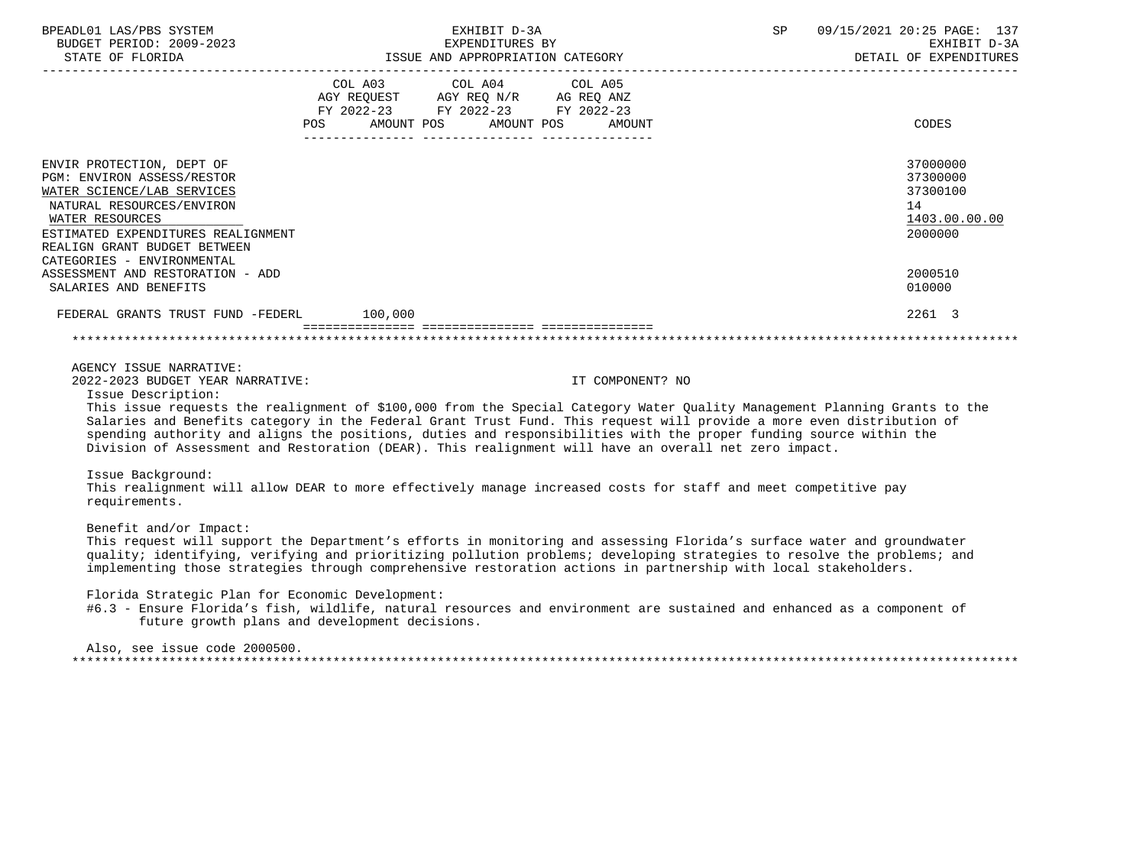| BPEADL01 LAS/PBS SYSTEM                                                                                                                                                                                                                                                                                | EXHIBIT D-3A                                                                                                                                                                                                                                                                                                                                                         | SP<br>09/15/2021 20:25 PAGE: 137<br>EXHIBIT D-3A<br>DETAIL OF EXPENDITURES              |
|--------------------------------------------------------------------------------------------------------------------------------------------------------------------------------------------------------------------------------------------------------------------------------------------------------|----------------------------------------------------------------------------------------------------------------------------------------------------------------------------------------------------------------------------------------------------------------------------------------------------------------------------------------------------------------------|-----------------------------------------------------------------------------------------|
|                                                                                                                                                                                                                                                                                                        | COL A03 COL A04 COL A05<br>AGY REQUEST AGY REQ N/R AG REQ ANZ<br>FY 2022-23 FY 2022-23 FY 2022-23<br>POS AMOUNT POS AMOUNT POS AMOUNT                                                                                                                                                                                                                                | CODES                                                                                   |
| ENVIR PROTECTION, DEPT OF<br>PGM: ENVIRON ASSESS/RESTOR<br>WATER SCIENCE/LAB SERVICES<br>NATURAL RESOURCES/ENVIRON<br>WATER RESOURCES<br>ESTIMATED EXPENDITURES REALIGNMENT<br>REALIGN GRANT BUDGET BETWEEN<br>CATEGORIES - ENVIRONMENTAL<br>ASSESSMENT AND RESTORATION - ADD<br>SALARIES AND BENEFITS |                                                                                                                                                                                                                                                                                                                                                                      | 37000000<br>37300000<br>37300100<br>14<br>1403.00.00.00<br>2000000<br>2000510<br>010000 |
| FEDERAL GRANTS TRUST FUND -FEDERL 100,000                                                                                                                                                                                                                                                              |                                                                                                                                                                                                                                                                                                                                                                      | 2261 3                                                                                  |
|                                                                                                                                                                                                                                                                                                        |                                                                                                                                                                                                                                                                                                                                                                      |                                                                                         |
|                                                                                                                                                                                                                                                                                                        |                                                                                                                                                                                                                                                                                                                                                                      |                                                                                         |
| AGENCY ISSUE NARRATIVE:<br>2022-2023 BUDGET YEAR NARRATIVE:<br>Issue Description:                                                                                                                                                                                                                      | IT COMPONENT? NO<br>This issue requests the realignment of \$100,000 from the Special Category Water Quality Management Planning Grants to the<br>Salaries and Benefits category in the Federal Grant Trust Fund. This request will provide a more even distribution of                                                                                              |                                                                                         |
|                                                                                                                                                                                                                                                                                                        | spending authority and aligns the positions, duties and responsibilities with the proper funding source within the<br>Division of Assessment and Restoration (DEAR). This realignment will have an overall net zero impact.                                                                                                                                          |                                                                                         |
| Issue Background:<br>requirements.                                                                                                                                                                                                                                                                     | This realignment will allow DEAR to more effectively manage increased costs for staff and meet competitive pay                                                                                                                                                                                                                                                       |                                                                                         |
| Benefit and/or Impact:                                                                                                                                                                                                                                                                                 | This request will support the Department's efforts in monitoring and assessing Florida's surface water and groundwater<br>quality; identifying, verifying and prioritizing pollution problems; developing strategies to resolve the problems; and<br>implementing those strategies through comprehensive restoration actions in partnership with local stakeholders. |                                                                                         |
| Florida Strategic Plan for Economic Development:                                                                                                                                                                                                                                                       | #6.3 - Ensure Florida's fish, wildlife, natural resources and environment are sustained and enhanced as a component of<br>future growth plans and development decisions.                                                                                                                                                                                             |                                                                                         |
| Also, see issue code 2000500.                                                                                                                                                                                                                                                                          |                                                                                                                                                                                                                                                                                                                                                                      |                                                                                         |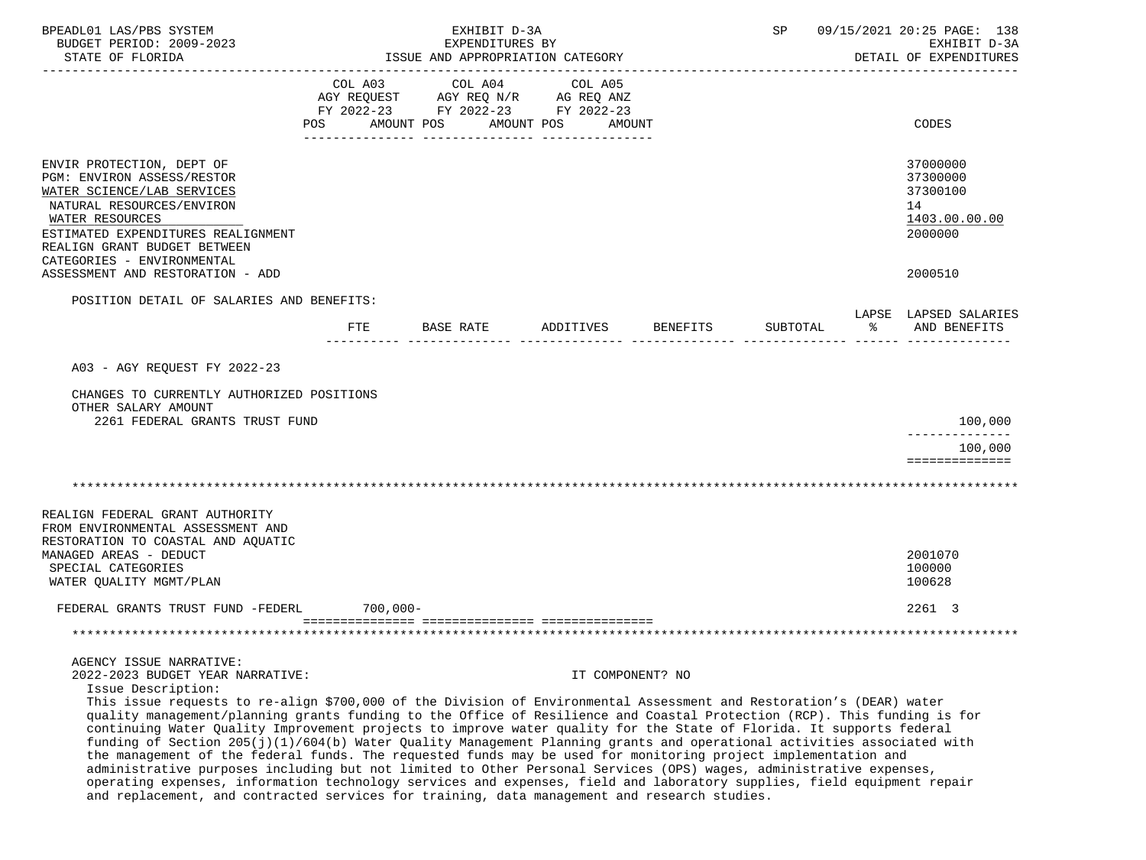| BPEADL01 LAS/PBS SYSTEM<br>BUDGET PERIOD: 2009-2023<br>STATE OF FLORIDA                                                                                                                                                                                                                                                                                                                                                                                                                                                                                                                  |                |            | EXHIBIT D-3A<br>EXPENDITURES BY | ISSUE AND APPROPRIATION CATEGORY                                                  |                  | SP       |   | 09/15/2021 20:25 PAGE: 138<br>EXHIBIT D-3A<br>DETAIL OF EXPENDITURES |
|------------------------------------------------------------------------------------------------------------------------------------------------------------------------------------------------------------------------------------------------------------------------------------------------------------------------------------------------------------------------------------------------------------------------------------------------------------------------------------------------------------------------------------------------------------------------------------------|----------------|------------|---------------------------------|-----------------------------------------------------------------------------------|------------------|----------|---|----------------------------------------------------------------------|
|                                                                                                                                                                                                                                                                                                                                                                                                                                                                                                                                                                                          | COL A03<br>POS | AMOUNT POS | COL A04<br>AMOUNT POS           | COL A05<br>AGY REQUEST AGY REQ N/R AG REQ ANZ<br>FY 2022-23 FY 2022-23 FY 2022-23 | AMOUNT           |          |   | CODES                                                                |
| ENVIR PROTECTION, DEPT OF<br><b>PGM: ENVIRON ASSESS/RESTOR</b><br>WATER SCIENCE/LAB SERVICES<br>NATURAL RESOURCES/ENVIRON<br>WATER RESOURCES<br>ESTIMATED EXPENDITURES REALIGNMENT<br>REALIGN GRANT BUDGET BETWEEN<br>CATEGORIES - ENVIRONMENTAL                                                                                                                                                                                                                                                                                                                                         |                |            |                                 |                                                                                   |                  |          |   | 37000000<br>37300000<br>37300100<br>14<br>1403.00.00.00<br>2000000   |
| ASSESSMENT AND RESTORATION - ADD                                                                                                                                                                                                                                                                                                                                                                                                                                                                                                                                                         |                |            |                                 |                                                                                   |                  |          |   | 2000510                                                              |
| POSITION DETAIL OF SALARIES AND BENEFITS:                                                                                                                                                                                                                                                                                                                                                                                                                                                                                                                                                | FTE            | BASE RATE  |                                 | ADDITIVES                                                                         | BENEFITS         | SUBTOTAL | ႜ | LAPSE LAPSED SALARIES<br>AND BENEFITS                                |
| A03 - AGY REQUEST FY 2022-23                                                                                                                                                                                                                                                                                                                                                                                                                                                                                                                                                             |                |            |                                 |                                                                                   |                  |          |   |                                                                      |
| CHANGES TO CURRENTLY AUTHORIZED POSITIONS<br>OTHER SALARY AMOUNT                                                                                                                                                                                                                                                                                                                                                                                                                                                                                                                         |                |            |                                 |                                                                                   |                  |          |   | 100,000                                                              |
| 2261 FEDERAL GRANTS TRUST FUND                                                                                                                                                                                                                                                                                                                                                                                                                                                                                                                                                           |                |            |                                 |                                                                                   |                  |          |   | --------------<br>100,000                                            |
|                                                                                                                                                                                                                                                                                                                                                                                                                                                                                                                                                                                          |                |            |                                 |                                                                                   |                  |          |   | ==============                                                       |
|                                                                                                                                                                                                                                                                                                                                                                                                                                                                                                                                                                                          |                |            |                                 |                                                                                   |                  |          |   |                                                                      |
| REALIGN FEDERAL GRANT AUTHORITY<br>FROM ENVIRONMENTAL ASSESSMENT AND<br>RESTORATION TO COASTAL AND AQUATIC<br>MANAGED AREAS - DEDUCT<br>SPECIAL CATEGORIES<br>WATER QUALITY MGMT/PLAN                                                                                                                                                                                                                                                                                                                                                                                                    |                |            |                                 |                                                                                   |                  |          |   | 2001070<br>100000<br>100628                                          |
| FEDERAL GRANTS TRUST FUND -FEDERL                                                                                                                                                                                                                                                                                                                                                                                                                                                                                                                                                        |                | 700,000-   |                                 |                                                                                   |                  |          |   | 2261 3                                                               |
|                                                                                                                                                                                                                                                                                                                                                                                                                                                                                                                                                                                          |                |            |                                 |                                                                                   |                  |          |   |                                                                      |
| AGENCY ISSUE NARRATIVE:<br>2022-2023 BUDGET YEAR NARRATIVE:<br>Issue Description:<br>This issue requests to re-align \$700,000 of the Division of Environmental Assessment and Restoration's (DEAR) water<br>quality management/planning grants funding to the Office of Resilience and Coastal Protection (RCP). This funding is for<br>continuing Water Quality Improvement projects to improve water quality for the State of Florida. It supports federal<br>funding of Section 205(j)(1)/604(b) Water Quality Management Planning grants and operational activities associated with |                |            |                                 |                                                                                   | IT COMPONENT? NO |          |   |                                                                      |
| the management of the federal funds. The requested funds may be used for monitoring project implementation and<br>administrative purposes including but not limited to Other Personal Services (OPS) wages, administrative expenses,<br>operating expenses, information technology services and expenses, field and laboratory supplies, field equipment repair<br>and replacement, and contracted services for training, data management and research studies.                                                                                                                          |                |            |                                 |                                                                                   |                  |          |   |                                                                      |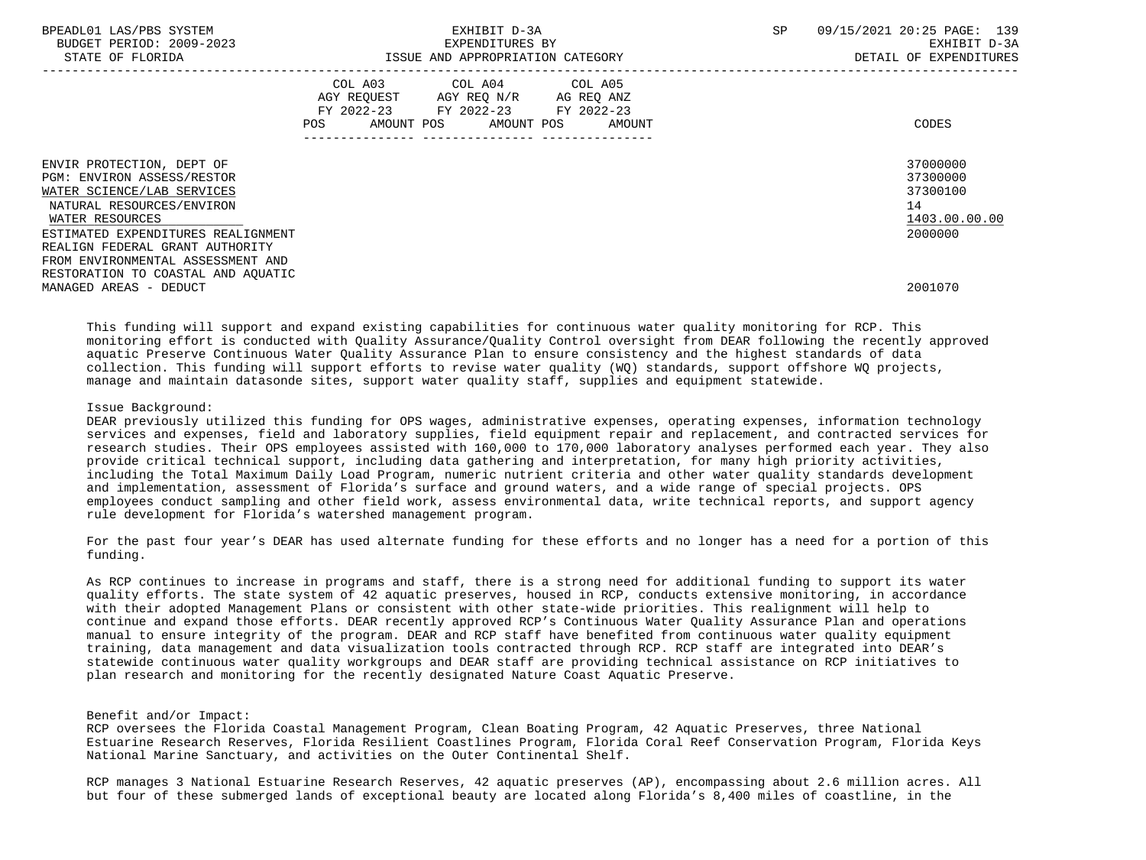| BPEADL01 LAS/PBS SYSTEM<br>BUDGET PERIOD: 2009-2023<br>STATE OF FLORIDA                                            | EXHIBIT D-3A<br>EXPENDITURES BY<br>ISSUE AND APPROPRIATION CATEGORY                                                                         | 09/15/2021 20:25 PAGE: 139<br>SP<br>EXHIBIT D-3A<br>DETAIL OF EXPENDITURES |
|--------------------------------------------------------------------------------------------------------------------|---------------------------------------------------------------------------------------------------------------------------------------------|----------------------------------------------------------------------------|
|                                                                                                                    | COL A03 COL A04 COL A05<br>AGY REQUEST AGY REQ N/R AG REQ ANZ<br>FY 2022-23 FY 2022-23 FY 2022-23<br>AMOUNT POS AMOUNT POS<br>POS<br>AMOUNT | CODES                                                                      |
| ENVIR PROTECTION, DEPT OF<br>PGM: ENVIRON ASSESS/RESTOR<br>WATER SCIENCE/LAB SERVICES<br>NATURAL RESOURCES/ENVIRON |                                                                                                                                             | 37000000<br>37300000<br>37300100<br>14                                     |
| WATER RESOURCES<br>ESTIMATED EXPENDITURES REALIGNMENT<br>REALIGN FEDERAL GRANT AUTHORITY                           |                                                                                                                                             | 1403.00.00.00<br>2000000                                                   |
| FROM ENVIRONMENTAL ASSESSMENT AND<br>RESTORATION TO COASTAL AND AQUATIC<br>MANAGED AREAS - DEDUCT                  |                                                                                                                                             | 2001070                                                                    |

 This funding will support and expand existing capabilities for continuous water quality monitoring for RCP. This monitoring effort is conducted with Quality Assurance/Quality Control oversight from DEAR following the recently approved aquatic Preserve Continuous Water Quality Assurance Plan to ensure consistency and the highest standards of data collection. This funding will support efforts to revise water quality (WQ) standards, support offshore WQ projects, manage and maintain datasonde sites, support water quality staff, supplies and equipment statewide.

## Issue Background:

 DEAR previously utilized this funding for OPS wages, administrative expenses, operating expenses, information technology services and expenses, field and laboratory supplies, field equipment repair and replacement, and contracted services for research studies. Their OPS employees assisted with 160,000 to 170,000 laboratory analyses performed each year. They also provide critical technical support, including data gathering and interpretation, for many high priority activities, including the Total Maximum Daily Load Program, numeric nutrient criteria and other water quality standards development and implementation, assessment of Florida's surface and ground waters, and a wide range of special projects. OPS employees conduct sampling and other field work, assess environmental data, write technical reports, and support agency rule development for Florida's watershed management program.

 For the past four year's DEAR has used alternate funding for these efforts and no longer has a need for a portion of this funding.

 As RCP continues to increase in programs and staff, there is a strong need for additional funding to support its water quality efforts. The state system of 42 aquatic preserves, housed in RCP, conducts extensive monitoring, in accordance with their adopted Management Plans or consistent with other state-wide priorities. This realignment will help to continue and expand those efforts. DEAR recently approved RCP's Continuous Water Quality Assurance Plan and operations manual to ensure integrity of the program. DEAR and RCP staff have benefited from continuous water quality equipment training, data management and data visualization tools contracted through RCP. RCP staff are integrated into DEAR's statewide continuous water quality workgroups and DEAR staff are providing technical assistance on RCP initiatives to plan research and monitoring for the recently designated Nature Coast Aquatic Preserve.

# Benefit and/or Impact:

 RCP oversees the Florida Coastal Management Program, Clean Boating Program, 42 Aquatic Preserves, three National Estuarine Research Reserves, Florida Resilient Coastlines Program, Florida Coral Reef Conservation Program, Florida Keys National Marine Sanctuary, and activities on the Outer Continental Shelf.

 RCP manages 3 National Estuarine Research Reserves, 42 aquatic preserves (AP), encompassing about 2.6 million acres. All but four of these submerged lands of exceptional beauty are located along Florida's 8,400 miles of coastline, in the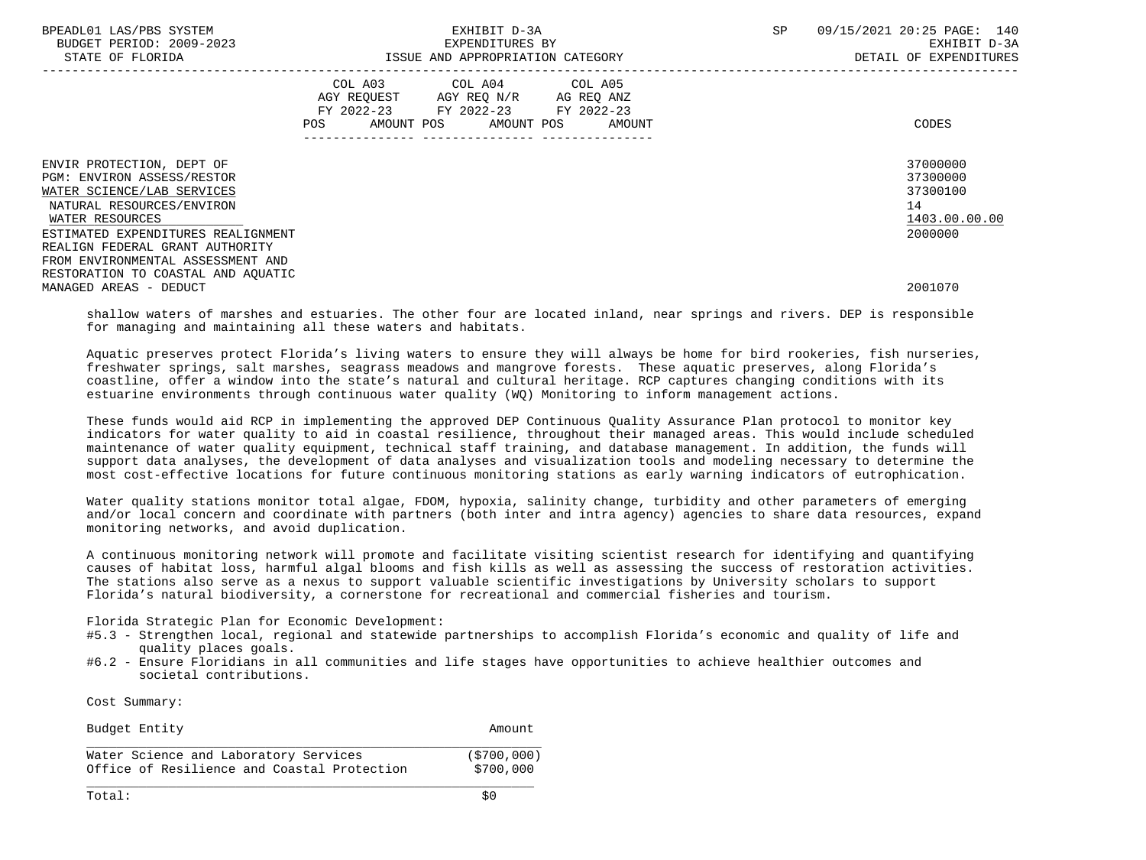| BPEADL01 LAS/PBS SYSTEM<br>BUDGET PERIOD: 2009-2023<br>STATE OF FLORIDA                                                                                                    | EXHIBIT D-3A<br>EXPENDITURES BY<br>ISSUE AND APPROPRIATION CATEGORY                                                                         | 09/15/2021 20:25 PAGE: 140<br>SP<br>EXHIBIT D-3A<br>DETAIL OF EXPENDITURES |
|----------------------------------------------------------------------------------------------------------------------------------------------------------------------------|---------------------------------------------------------------------------------------------------------------------------------------------|----------------------------------------------------------------------------|
|                                                                                                                                                                            | COL A03 COL A04 COL A05<br>AGY REQUEST AGY REQ N/R AG REQ ANZ<br>FY 2022-23 FY 2022-23 FY 2022-23<br>AMOUNT POS AMOUNT POS<br>POS<br>AMOUNT | CODES                                                                      |
| ENVIR PROTECTION, DEPT OF<br>PGM: ENVIRON ASSESS/RESTOR<br>WATER SCIENCE/LAB SERVICES<br>NATURAL RESOURCES/ENVIRON<br>WATER RESOURCES                                      |                                                                                                                                             | 37000000<br>37300000<br>37300100<br>14<br>1403.00.00.00                    |
| ESTIMATED EXPENDITURES REALIGNMENT<br>REALIGN FEDERAL GRANT AUTHORITY<br>FROM ENVIRONMENTAL ASSESSMENT AND<br>RESTORATION TO COASTAL AND AOUATIC<br>MANAGED AREAS - DEDUCT |                                                                                                                                             | 2000000<br>2001070                                                         |

 shallow waters of marshes and estuaries. The other four are located inland, near springs and rivers. DEP is responsible for managing and maintaining all these waters and habitats.

 Aquatic preserves protect Florida's living waters to ensure they will always be home for bird rookeries, fish nurseries, freshwater springs, salt marshes, seagrass meadows and mangrove forests. These aquatic preserves, along Florida's coastline, offer a window into the state's natural and cultural heritage. RCP captures changing conditions with its estuarine environments through continuous water quality (WQ) Monitoring to inform management actions.

 These funds would aid RCP in implementing the approved DEP Continuous Quality Assurance Plan protocol to monitor key indicators for water quality to aid in coastal resilience, throughout their managed areas. This would include scheduled maintenance of water quality equipment, technical staff training, and database management. In addition, the funds will support data analyses, the development of data analyses and visualization tools and modeling necessary to determine the most cost-effective locations for future continuous monitoring stations as early warning indicators of eutrophication.

 Water quality stations monitor total algae, FDOM, hypoxia, salinity change, turbidity and other parameters of emerging and/or local concern and coordinate with partners (both inter and intra agency) agencies to share data resources, expand monitoring networks, and avoid duplication.

 A continuous monitoring network will promote and facilitate visiting scientist research for identifying and quantifying causes of habitat loss, harmful algal blooms and fish kills as well as assessing the success of restoration activities. The stations also serve as a nexus to support valuable scientific investigations by University scholars to support Florida's natural biodiversity, a cornerstone for recreational and commercial fisheries and tourism.

Florida Strategic Plan for Economic Development:

- #5.3 Strengthen local, regional and statewide partnerships to accomplish Florida's economic and quality of life and quality places goals.
- #6.2 Ensure Floridians in all communities and life stages have opportunities to achieve healthier outcomes and societal contributions.

Cost Summary:

| Budget Entity                               | Amount      |
|---------------------------------------------|-------------|
| Water Science and Laboratory Services       | (5700, 000) |
| Office of Resilience and Coastal Protection | \$700,000   |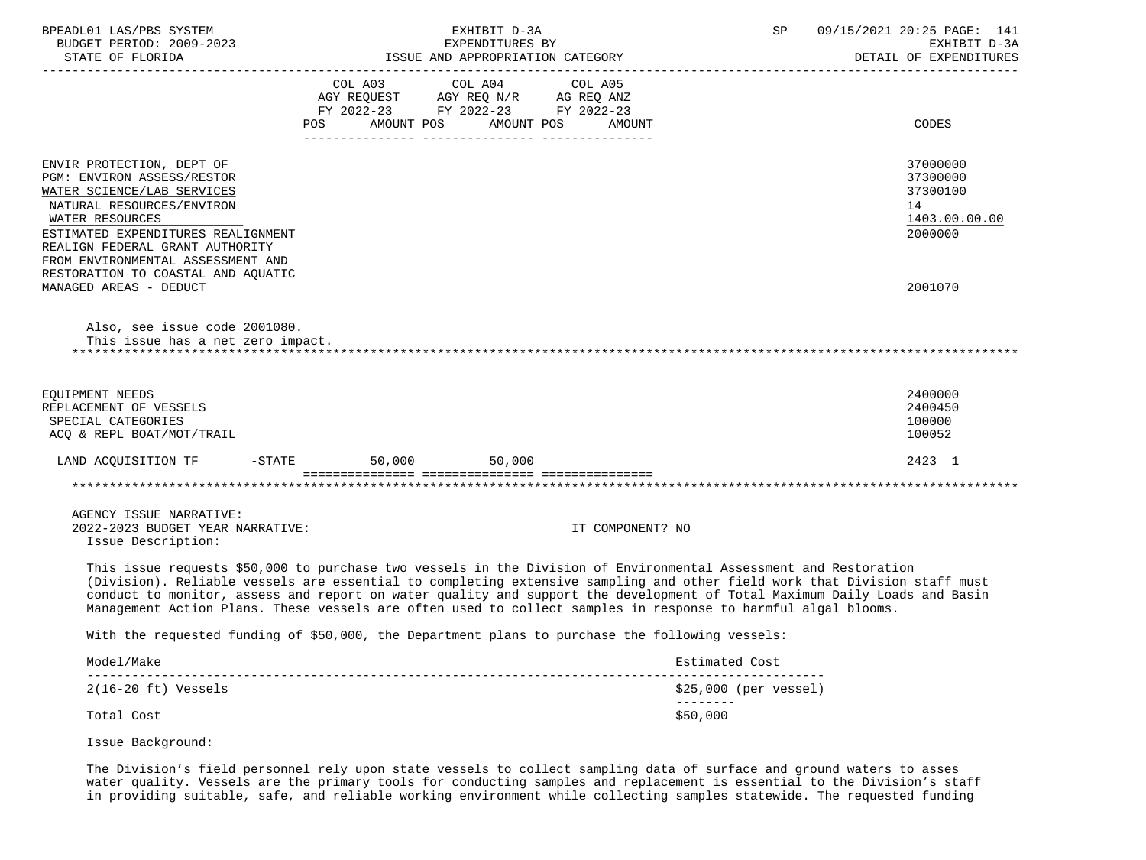| BPEADL01 LAS/PBS SYSTEM<br>BUDGET PERIOD: 2009-2023                                                                                                                                                                                                                                       | EXHIBIT D-3A<br>EXPENDITURES BY                                                                                                                                                                                                   | 09/15/2021 20:25 PAGE: 141<br>SP<br>EXHIBIT D-3A<br>DETAIL OF EXPENDITURES                                                                                                                                                                             |
|-------------------------------------------------------------------------------------------------------------------------------------------------------------------------------------------------------------------------------------------------------------------------------------------|-----------------------------------------------------------------------------------------------------------------------------------------------------------------------------------------------------------------------------------|--------------------------------------------------------------------------------------------------------------------------------------------------------------------------------------------------------------------------------------------------------|
|                                                                                                                                                                                                                                                                                           | FY 2022-23 FY 2022-23 FY 2022-23<br>POS AMOUNT POS AMOUNT POS AMOUNT                                                                                                                                                              | CODES                                                                                                                                                                                                                                                  |
| ENVIR PROTECTION, DEPT OF<br>PGM: ENVIRON ASSESS/RESTOR<br>WATER SCIENCE/LAB SERVICES<br>NATURAL RESOURCES/ENVIRON<br>WATER RESOURCES<br>ESTIMATED EXPENDITURES REALIGNMENT<br>REALIGN FEDERAL GRANT AUTHORITY<br>FROM ENVIRONMENTAL ASSESSMENT AND<br>RESTORATION TO COASTAL AND AQUATIC |                                                                                                                                                                                                                                   | 37000000<br>37300000<br>37300100<br>14<br>1403.00.00.00<br>2000000                                                                                                                                                                                     |
| MANAGED AREAS - DEDUCT<br>Also, see issue code 2001080.<br>This issue has a net zero impact.                                                                                                                                                                                              |                                                                                                                                                                                                                                   | 2001070                                                                                                                                                                                                                                                |
|                                                                                                                                                                                                                                                                                           |                                                                                                                                                                                                                                   |                                                                                                                                                                                                                                                        |
| EQUIPMENT NEEDS<br>REPLACEMENT OF VESSELS<br>SPECIAL CATEGORIES<br>ACQ & REPL BOAT/MOT/TRAIL                                                                                                                                                                                              |                                                                                                                                                                                                                                   | 2400000<br>2400450<br>100000<br>100052                                                                                                                                                                                                                 |
| LAND ACQUISITION TF -STATE 50,000 50,000                                                                                                                                                                                                                                                  |                                                                                                                                                                                                                                   | 2423 1                                                                                                                                                                                                                                                 |
|                                                                                                                                                                                                                                                                                           |                                                                                                                                                                                                                                   |                                                                                                                                                                                                                                                        |
| AGENCY ISSUE NARRATIVE:<br>2022-2023 BUDGET YEAR NARRATIVE:<br>Issue Description:                                                                                                                                                                                                         | IT COMPONENT? NO                                                                                                                                                                                                                  |                                                                                                                                                                                                                                                        |
|                                                                                                                                                                                                                                                                                           | This issue requests \$50,000 to purchase two vessels in the Division of Environmental Assessment and Restoration<br>Management Action Plans. These vessels are often used to collect samples in response to harmful algal blooms. | (Division). Reliable vessels are essential to completing extensive sampling and other field work that Division staff must<br>conduct to monitor, assess and report on water quality and support the development of Total Maximum Daily Loads and Basin |
|                                                                                                                                                                                                                                                                                           | With the requested funding of \$50,000, the Department plans to purchase the following vessels:                                                                                                                                   |                                                                                                                                                                                                                                                        |
| Model/Make                                                                                                                                                                                                                                                                                |                                                                                                                                                                                                                                   | Estimated Cost                                                                                                                                                                                                                                         |
| $2(16-20 \text{ ft})$ Vessels                                                                                                                                                                                                                                                             |                                                                                                                                                                                                                                   | $$25,000$ (per vessel)<br>--------                                                                                                                                                                                                                     |
| Total Cost                                                                                                                                                                                                                                                                                |                                                                                                                                                                                                                                   | \$50,000                                                                                                                                                                                                                                               |
| Issue Background:                                                                                                                                                                                                                                                                         |                                                                                                                                                                                                                                   |                                                                                                                                                                                                                                                        |

 The Division's field personnel rely upon state vessels to collect sampling data of surface and ground waters to asses water quality. Vessels are the primary tools for conducting samples and replacement is essential to the Division's staff in providing suitable, safe, and reliable working environment while collecting samples statewide. The requested funding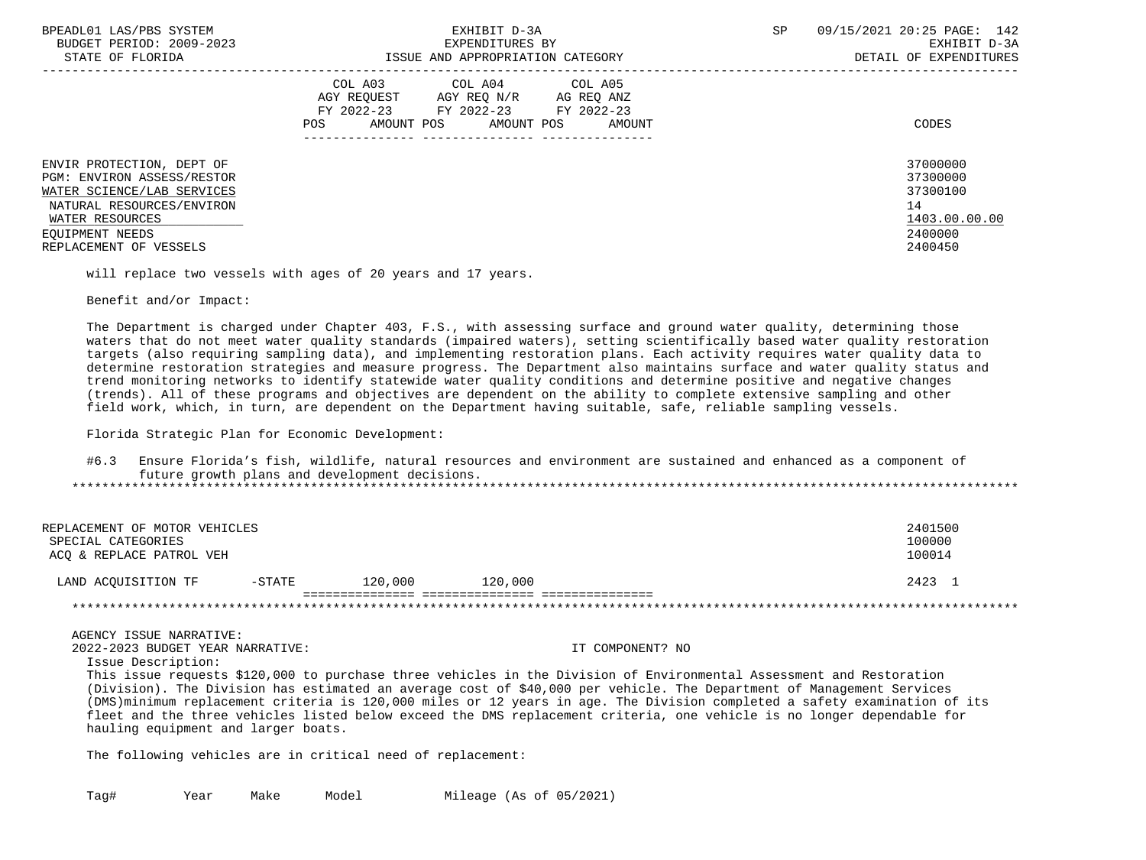| BPEADL01 LAS/PBS SYSTEM<br>BUDGET PERIOD: 2009-2023<br>STATE OF FLORIDA                                                                                                            | EXHIBIT D-3A<br>EXPENDITURES BY<br>ISSUE AND APPROPRIATION CATEGORY                                                                                     | 09/15/2021 20:25 PAGE: 142<br>SP<br>EXHIBIT D-3A<br>DETAIL OF EXPENDITURES             |
|------------------------------------------------------------------------------------------------------------------------------------------------------------------------------------|---------------------------------------------------------------------------------------------------------------------------------------------------------|----------------------------------------------------------------------------------------|
| ENVIR PROTECTION, DEPT OF<br>PGM: ENVIRON ASSESS/RESTOR<br>WATER SCIENCE/LAB SERVICES<br>NATURAL RESOURCES/ENVIRON<br>WATER RESOURCES<br>EOUIPMENT NEEDS<br>REPLACEMENT OF VESSELS | COL A04 COL A05<br>COL A03<br>AGY REOUEST<br>AGY REO N/R<br>AG REO ANZ<br>FY 2022-23 FY 2022-23 FY 2022-23<br>AMOUNT POS<br>AMOUNT POS<br>AMOUNT<br>POS | CODES<br>37000000<br>37300000<br>37300100<br>14<br>1403.00.00.00<br>2400000<br>2400450 |
|                                                                                                                                                                                    |                                                                                                                                                         |                                                                                        |

will replace two vessels with ages of 20 years and 17 years.

Benefit and/or Impact:

 The Department is charged under Chapter 403, F.S., with assessing surface and ground water quality, determining those waters that do not meet water quality standards (impaired waters), setting scientifically based water quality restoration targets (also requiring sampling data), and implementing restoration plans. Each activity requires water quality data to determine restoration strategies and measure progress. The Department also maintains surface and water quality status and trend monitoring networks to identify statewide water quality conditions and determine positive and negative changes (trends). All of these programs and objectives are dependent on the ability to complete extensive sampling and other field work, which, in turn, are dependent on the Department having suitable, safe, reliable sampling vessels.

Florida Strategic Plan for Economic Development:

 #6.3 Ensure Florida's fish, wildlife, natural resources and environment are sustained and enhanced as a component of future growth plans and development decisions. \*\*\*\*\*\*\*\*\*\*\*\*\*\*\*\*\*\*\*\*\*\*\*\*\*\*\*\*\*\*\*\*\*\*\*\*\*\*\*\*\*\*\*\*\*\*\*\*\*\*\*\*\*\*\*\*\*\*\*\*\*\*\*\*\*\*\*\*\*\*\*\*\*\*\*\*\*\*\*\*\*\*\*\*\*\*\*\*\*\*\*\*\*\*\*\*\*\*\*\*\*\*\*\*\*\*\*\*\*\*\*\*\*\*\*\*\*\*\*\*\*\*\*\*\*\*\*

| REPLACEMENT OF MOTOR VEHICLES<br>SPECIAL CATEGORIES<br>ACO & REPLACE PATROL VEH |           |         |         | 2401500<br>100000<br>100014 |
|---------------------------------------------------------------------------------|-----------|---------|---------|-----------------------------|
| LAND ACQUISITION TF                                                             | $-$ STATE | 120,000 | 120,000 | 2423 1                      |
|                                                                                 |           |         |         |                             |

AGENCY ISSUE NARRATIVE:

2022-2023 BUDGET YEAR NARRATIVE: IT COMPONENT? NO

Issue Description:

 This issue requests \$120,000 to purchase three vehicles in the Division of Environmental Assessment and Restoration (Division). The Division has estimated an average cost of \$40,000 per vehicle. The Department of Management Services (DMS)minimum replacement criteria is 120,000 miles or 12 years in age. The Division completed a safety examination of its fleet and the three vehicles listed below exceed the DMS replacement criteria, one vehicle is no longer dependable for hauling equipment and larger boats.

The following vehicles are in critical need of replacement: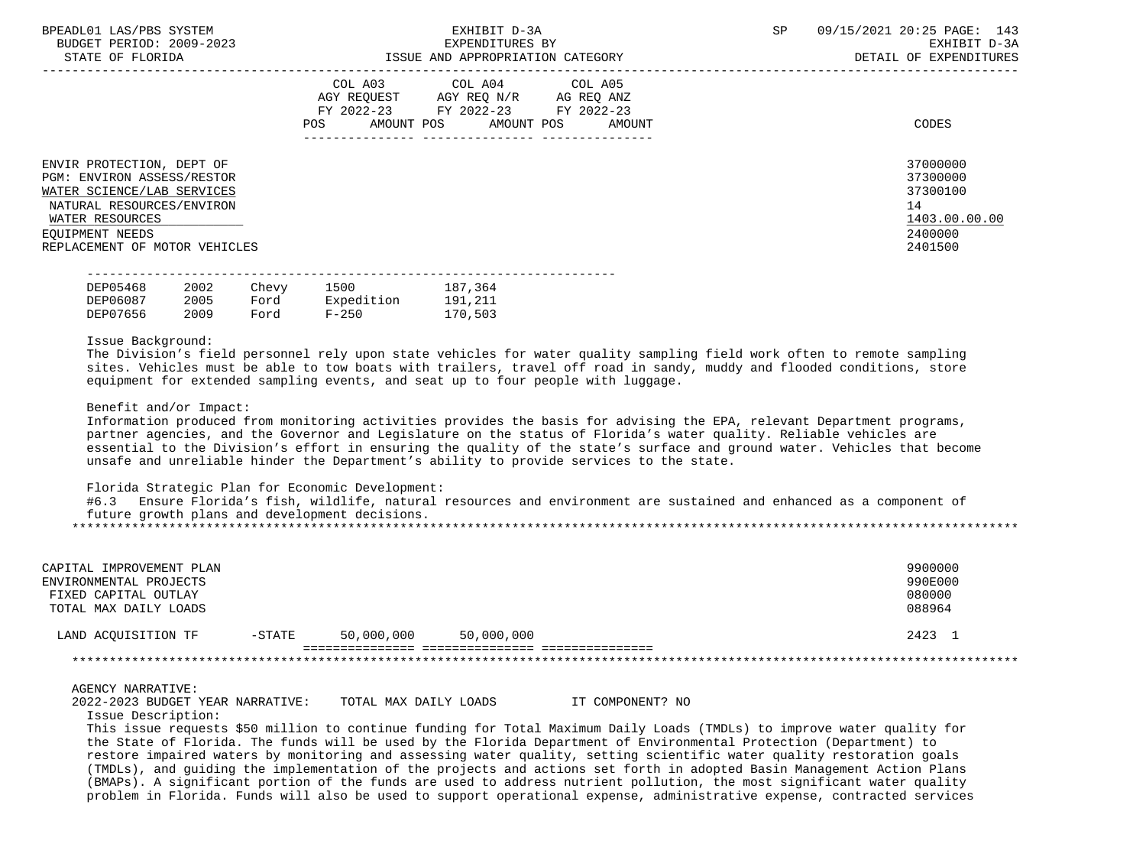| BPEADL01 LAS/PBS SYSTEM<br>BUDGET PERIOD: 2009-2023<br>STATE OF FLORIDA                                                                                      | EXHIBIT D-3A<br>EXPENDITURES BY<br>ISSUE AND APPROPRIATION CATEGORY                                                                         | <b>SP</b><br>09/15/2021 20:25 PAGE: 143<br>EXHIBIT D-3A<br>DETAIL OF EXPENDITURES |
|--------------------------------------------------------------------------------------------------------------------------------------------------------------|---------------------------------------------------------------------------------------------------------------------------------------------|-----------------------------------------------------------------------------------|
| ENVIR PROTECTION, DEPT OF                                                                                                                                    | COL A03 COL A04 COL A05<br>AGY REOUEST AGY REO N/R AG REO ANZ<br>FY 2022-23 FY 2022-23 FY 2022-23<br>POS<br>AMOUNT POS AMOUNT POS<br>AMOUNT | CODES<br>37000000                                                                 |
| PGM: ENVIRON ASSESS/RESTOR<br>WATER SCIENCE/LAB SERVICES<br>NATURAL RESOURCES/ENVIRON<br>WATER RESOURCES<br>EOUIPMENT NEEDS<br>REPLACEMENT OF MOTOR VEHICLES |                                                                                                                                             | 37300000<br>37300100<br>14<br>1403.00.00.00<br>2400000<br>2401500                 |

| DEP05468 | 2002 | Chevy | 1500       | 187,364 |
|----------|------|-------|------------|---------|
| DEP06087 | 2005 | Ford  | Expedition | 191,211 |
| DEP07656 | 2009 | Ford  | $F - 250$  | 170,503 |

#### Issue Background:

 The Division's field personnel rely upon state vehicles for water quality sampling field work often to remote sampling sites. Vehicles must be able to tow boats with trailers, travel off road in sandy, muddy and flooded conditions, store equipment for extended sampling events, and seat up to four people with luggage.

## Benefit and/or Impact:

 Information produced from monitoring activities provides the basis for advising the EPA, relevant Department programs, partner agencies, and the Governor and Legislature on the status of Florida's water quality. Reliable vehicles are essential to the Division's effort in ensuring the quality of the state's surface and ground water. Vehicles that become unsafe and unreliable hinder the Department's ability to provide services to the state.

Florida Strategic Plan for Economic Development:

|  |  |                                                |  | Ensure Florida's fish, wildlife, natural resources and environment are sustained and enhanced as a component of |  |  |  |  |
|--|--|------------------------------------------------|--|-----------------------------------------------------------------------------------------------------------------|--|--|--|--|
|  |  | future growth plans and development decisions. |  |                                                                                                                 |  |  |  |  |
|  |  |                                                |  |                                                                                                                 |  |  |  |  |

| CAPITAL IMPROVEMENT PLAN<br>ENVIRONMENTAL PROJECTS<br>FIXED CAPITAL OUTLAY<br>TOTAL MAX DAILY LOADS |           |            |            | 9900000<br>990E000<br>080000<br>088964 |
|-----------------------------------------------------------------------------------------------------|-----------|------------|------------|----------------------------------------|
| LAND ACOUISITION TF                                                                                 | $-$ STATE | 50,000,000 | 50,000,000 | 2423 1                                 |
|                                                                                                     |           |            |            |                                        |

# AGENCY NARRATIVE:

| 2022-2023 BUDGET YEAR NARRATIVE: | TOTAL MAX DAILY LOADS | IT COMPONENT? NO |
|----------------------------------|-----------------------|------------------|
|----------------------------------|-----------------------|------------------|

Issue Description:

 This issue requests \$50 million to continue funding for Total Maximum Daily Loads (TMDLs) to improve water quality for the State of Florida. The funds will be used by the Florida Department of Environmental Protection (Department) to restore impaired waters by monitoring and assessing water quality, setting scientific water quality restoration goals (TMDLs), and guiding the implementation of the projects and actions set forth in adopted Basin Management Action Plans (BMAPs). A significant portion of the funds are used to address nutrient pollution, the most significant water quality problem in Florida. Funds will also be used to support operational expense, administrative expense, contracted services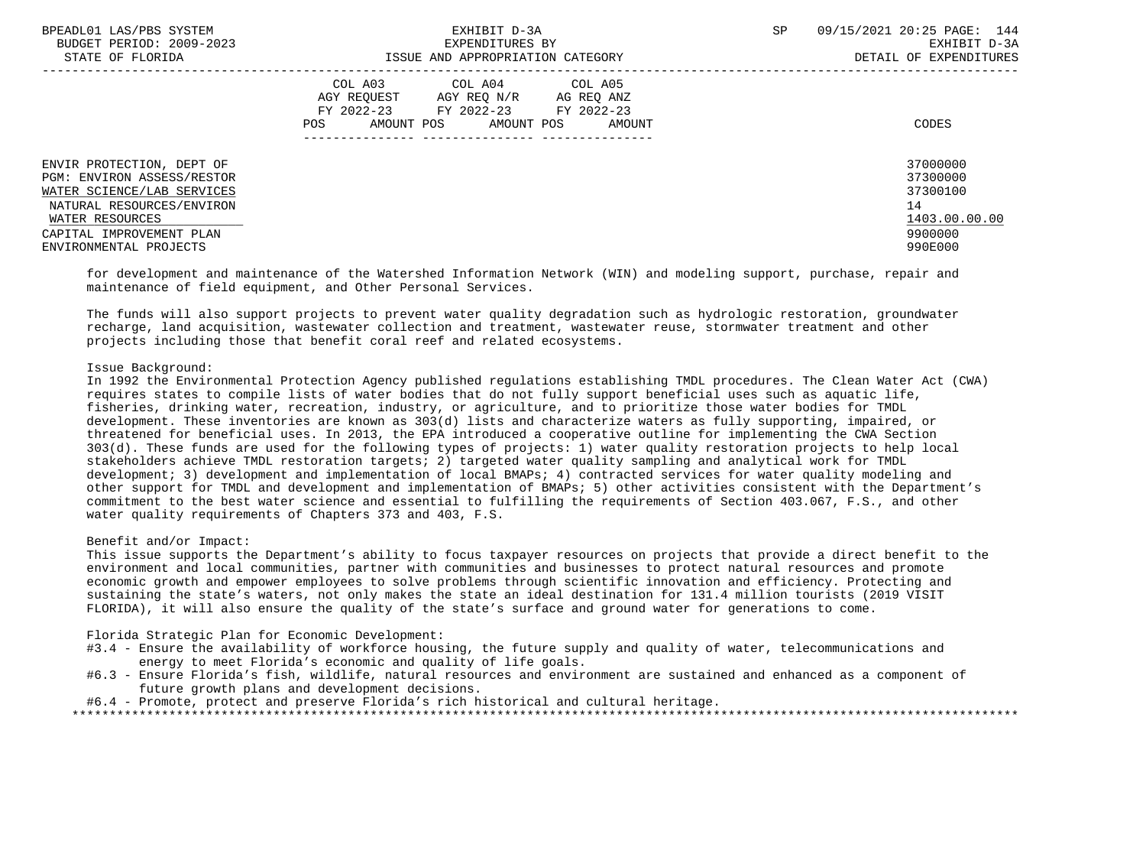| BPEADL01 LAS/PBS SYSTEM<br>BUDGET PERIOD: 2009-2023<br>STATE OF FLORIDA                                                                                                                     | EXHIBIT D-3A<br>EXPENDITURES BY<br>ISSUE AND APPROPRIATION CATEGORY                                                                            | 09/15/2021 20:25 PAGE: 144<br>SP<br>EXHIBIT D-3A<br>DETAIL OF EXPENDITURES    |
|---------------------------------------------------------------------------------------------------------------------------------------------------------------------------------------------|------------------------------------------------------------------------------------------------------------------------------------------------|-------------------------------------------------------------------------------|
|                                                                                                                                                                                             | COL A03 COL A04 COL A05<br>AGY REO N/R AG REO ANZ<br>AGY REOUEST<br>FY 2022-23 FY 2022-23 FY 2022-23<br>AMOUNT POS AMOUNT POS<br>POS<br>AMOUNT | CODES                                                                         |
| ENVIR PROTECTION, DEPT OF<br>PGM: ENVIRON ASSESS/RESTOR<br>WATER SCIENCE/LAB SERVICES<br>NATURAL RESOURCES/ENVIRON<br>WATER RESOURCES<br>CAPITAL IMPROVEMENT PLAN<br>ENVIRONMENTAL PROJECTS |                                                                                                                                                | 37000000<br>37300000<br>37300100<br>14<br>1403.00.00.00<br>9900000<br>990E000 |

 for development and maintenance of the Watershed Information Network (WIN) and modeling support, purchase, repair and maintenance of field equipment, and Other Personal Services.

 The funds will also support projects to prevent water quality degradation such as hydrologic restoration, groundwater recharge, land acquisition, wastewater collection and treatment, wastewater reuse, stormwater treatment and other projects including those that benefit coral reef and related ecosystems.

## Issue Background:

 In 1992 the Environmental Protection Agency published regulations establishing TMDL procedures. The Clean Water Act (CWA) requires states to compile lists of water bodies that do not fully support beneficial uses such as aquatic life, fisheries, drinking water, recreation, industry, or agriculture, and to prioritize those water bodies for TMDL development. These inventories are known as 303(d) lists and characterize waters as fully supporting, impaired, or threatened for beneficial uses. In 2013, the EPA introduced a cooperative outline for implementing the CWA Section 303(d). These funds are used for the following types of projects: 1) water quality restoration projects to help local stakeholders achieve TMDL restoration targets; 2) targeted water quality sampling and analytical work for TMDL development; 3) development and implementation of local BMAPs; 4) contracted services for water quality modeling and other support for TMDL and development and implementation of BMAPs; 5) other activities consistent with the Department's commitment to the best water science and essential to fulfilling the requirements of Section 403.067, F.S., and other water quality requirements of Chapters 373 and 403, F.S.

### Benefit and/or Impact:

 This issue supports the Department's ability to focus taxpayer resources on projects that provide a direct benefit to the environment and local communities, partner with communities and businesses to protect natural resources and promote economic growth and empower employees to solve problems through scientific innovation and efficiency. Protecting and sustaining the state's waters, not only makes the state an ideal destination for 131.4 million tourists (2019 VISIT FLORIDA), it will also ensure the quality of the state's surface and ground water for generations to come.

### Florida Strategic Plan for Economic Development:

- #3.4 Ensure the availability of workforce housing, the future supply and quality of water, telecommunications and energy to meet Florida's economic and quality of life goals.
- #6.3 Ensure Florida's fish, wildlife, natural resources and environment are sustained and enhanced as a component of future growth plans and development decisions.

#6.4 - Promote, protect and preserve Florida's rich historical and cultural heritage.

\*\*\*\*\*\*\*\*\*\*\*\*\*\*\*\*\*\*\*\*\*\*\*\*\*\*\*\*\*\*\*\*\*\*\*\*\*\*\*\*\*\*\*\*\*\*\*\*\*\*\*\*\*\*\*\*\*\*\*\*\*\*\*\*\*\*\*\*\*\*\*\*\*\*\*\*\*\*\*\*\*\*\*\*\*\*\*\*\*\*\*\*\*\*\*\*\*\*\*\*\*\*\*\*\*\*\*\*\*\*\*\*\*\*\*\*\*\*\*\*\*\*\*\*\*\*\*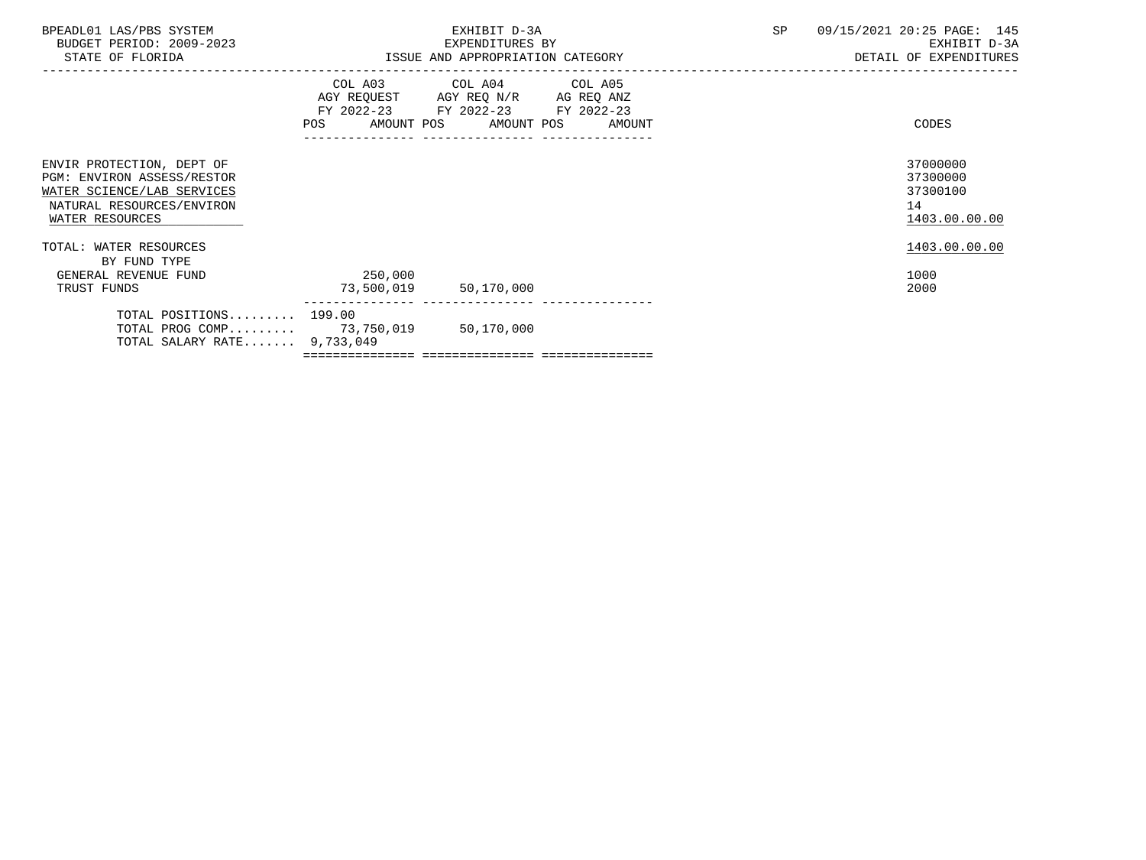| BPEADL01 LAS/PBS SYSTEM<br>BUDGET PERIOD: 2009-2023<br>STATE OF FLORIDA                                                               |                                  | EXHIBIT D-3A<br>EXPENDITURES BY<br>ISSUE AND APPROPRIATION CATEGORY                                                                  | SP | 09/15/2021 20:25 PAGE: 145<br>EXHIBIT D-3A<br>DETAIL OF EXPENDITURES |
|---------------------------------------------------------------------------------------------------------------------------------------|----------------------------------|--------------------------------------------------------------------------------------------------------------------------------------|----|----------------------------------------------------------------------|
|                                                                                                                                       |                                  | COL A03 COL A04 COL A05<br>AGY REQUEST AGY REQ N/R AG REQ ANZ<br>FY 2022-23 FY 2022-23 FY 2022-23<br>AMOUNT POS AMOUNT POS<br>AMOUNT |    | CODES                                                                |
| ENVIR PROTECTION, DEPT OF<br>PGM: ENVIRON ASSESS/RESTOR<br>WATER SCIENCE/LAB SERVICES<br>NATURAL RESOURCES/ENVIRON<br>WATER RESOURCES |                                  |                                                                                                                                      |    | 37000000<br>37300000<br>37300100<br>14<br>1403.00.00.00              |
| TOTAL: WATER RESOURCES<br>BY FUND TYPE<br>GENERAL REVENUE FUND<br>TRUST FUNDS                                                         | 250,000<br>73,500,019 50,170,000 |                                                                                                                                      |    | 1403.00.00.00<br>1000<br>2000                                        |
| TOTAL POSITIONS 199.00<br>TOTAL PROG COMP 73,750,019 50,170,000<br>TOTAL SALARY RATE 9,733,049                                        |                                  |                                                                                                                                      |    |                                                                      |
|                                                                                                                                       |                                  |                                                                                                                                      |    |                                                                      |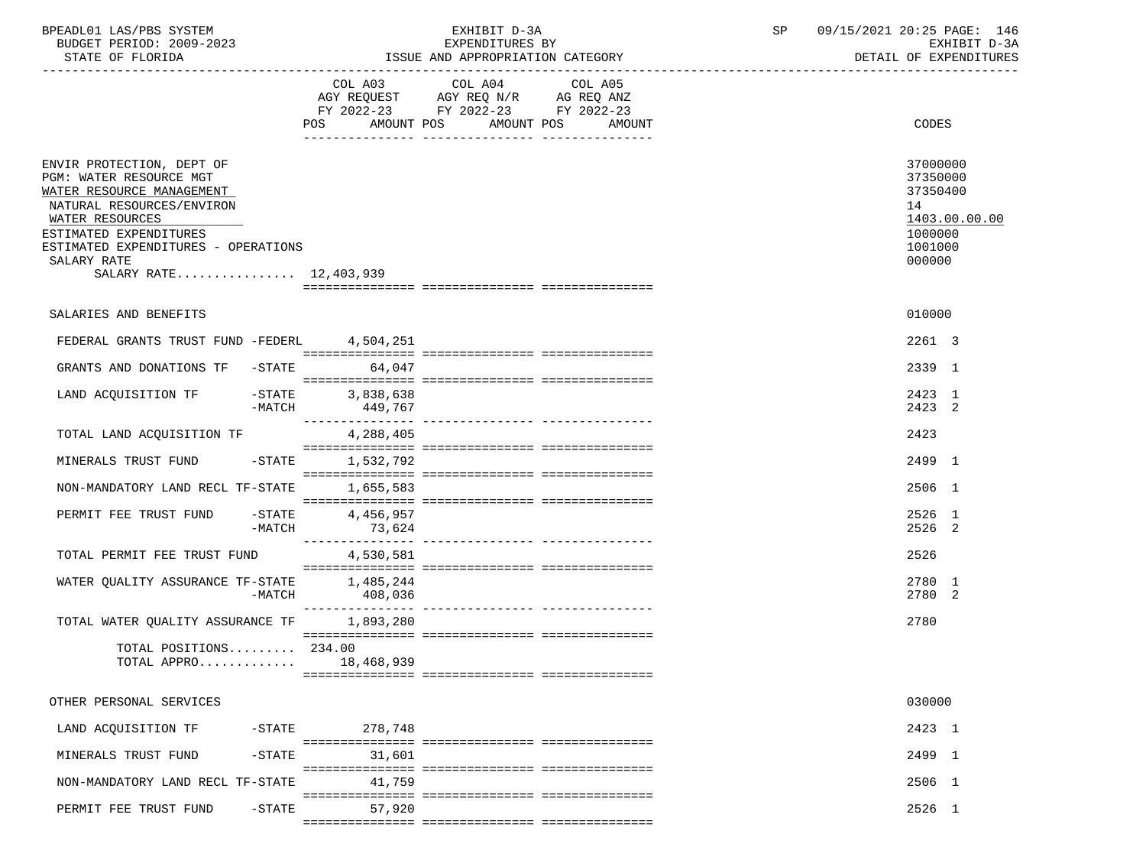| BPEADL01 LAS/PBS SYSTEM<br>BUDGET PERIOD: 2009-2023<br>STATE OF FLORIDA                                                                                                                                                                     |                     | EXHIBIT D-3A<br>EXPENDITURES BY<br>ISSUE AND APPROPRIATION CATEGORY                                  | SP | 09/15/2021 20:25 PAGE: 146<br>EXHIBIT D-3A<br>DETAIL OF EXPENDITURES                    |
|---------------------------------------------------------------------------------------------------------------------------------------------------------------------------------------------------------------------------------------------|---------------------|------------------------------------------------------------------------------------------------------|----|-----------------------------------------------------------------------------------------|
|                                                                                                                                                                                                                                             |                     | COL A03 COL A04<br>COL A05<br>AGY REQUEST AGY REQ N/R AG REQ ANZ<br>FY 2022-23 FY 2022-23 FY 2022-23 |    |                                                                                         |
|                                                                                                                                                                                                                                             |                     | POS AMOUNT POS AMOUNT POS AMOUNT                                                                     |    | CODES                                                                                   |
| ENVIR PROTECTION, DEPT OF<br>PGM: WATER RESOURCE MGT<br>WATER RESOURCE MANAGEMENT<br>NATURAL RESOURCES/ENVIRON<br>WATER RESOURCES<br>ESTIMATED EXPENDITURES<br>ESTIMATED EXPENDITURES - OPERATIONS<br>SALARY RATE<br>SALARY RATE 12,403,939 |                     |                                                                                                      |    | 37000000<br>37350000<br>37350400<br>14<br>1403.00.00.00<br>1000000<br>1001000<br>000000 |
| SALARIES AND BENEFITS                                                                                                                                                                                                                       |                     |                                                                                                      |    | 010000                                                                                  |
| FEDERAL GRANTS TRUST FUND -FEDERL 4,504,251                                                                                                                                                                                                 |                     |                                                                                                      |    | 2261 3                                                                                  |
| GRANTS AND DONATIONS TF -STATE 64,047                                                                                                                                                                                                       |                     |                                                                                                      |    | 2339 1                                                                                  |
| LAND ACQUISITION TF -STATE 3,838,638<br>-MATCH                                                                                                                                                                                              | 449.767             |                                                                                                      |    | 2423 1<br>2423 2                                                                        |
| TOTAL LAND ACQUISITION TF                                                                                                                                                                                                                   | 4,288,405           |                                                                                                      |    | 2423                                                                                    |
| MINERALS TRUST FUND -STATE 1,532,792                                                                                                                                                                                                        |                     |                                                                                                      |    | 2499 1                                                                                  |
| NON-MANDATORY LAND RECL TF-STATE 1,655,583                                                                                                                                                                                                  |                     |                                                                                                      |    | 2506 1                                                                                  |
| PERMIT FEE TRUST FUND -STATE<br>-MATCH                                                                                                                                                                                                      | 4,456,957<br>73,624 |                                                                                                      |    | 2526 1<br>2526 2                                                                        |
| TOTAL PERMIT FEE TRUST FUND                                                                                                                                                                                                                 | 4,530,581           |                                                                                                      |    | 2526                                                                                    |
| $\begin{tabular}{lllllllll} \texttt{WATER QUALITY ASSURANCE TF-STATE} & & 1,485,244 \\ \texttt{-MATCH} & & & 408,036 \end{tabular}$                                                                                                         |                     |                                                                                                      |    | 2780 1<br>2780 2                                                                        |
| TOTAL WATER QUALITY ASSURANCE TF 1,893,280                                                                                                                                                                                                  |                     |                                                                                                      |    | 2780                                                                                    |
| TOTAL POSITIONS $234.00$<br>TOTAL APPRO                                                                                                                                                                                                     | 18,468,939          |                                                                                                      |    |                                                                                         |
| OTHER PERSONAL SERVICES                                                                                                                                                                                                                     |                     |                                                                                                      |    | 030000                                                                                  |
| LAND ACQUISITION TF<br>$-$ STATE                                                                                                                                                                                                            | 278,748             |                                                                                                      |    | 2423 1                                                                                  |
| MINERALS TRUST FUND<br>$-STATE$                                                                                                                                                                                                             | 31,601              |                                                                                                      |    | 2499 1                                                                                  |
| NON-MANDATORY LAND RECL TF-STATE                                                                                                                                                                                                            | 41,759              |                                                                                                      |    | 2506 1                                                                                  |

=============== =============== ===============

=============== =============== ===============

PERMIT FEE TRUST FUND -STATE 57,920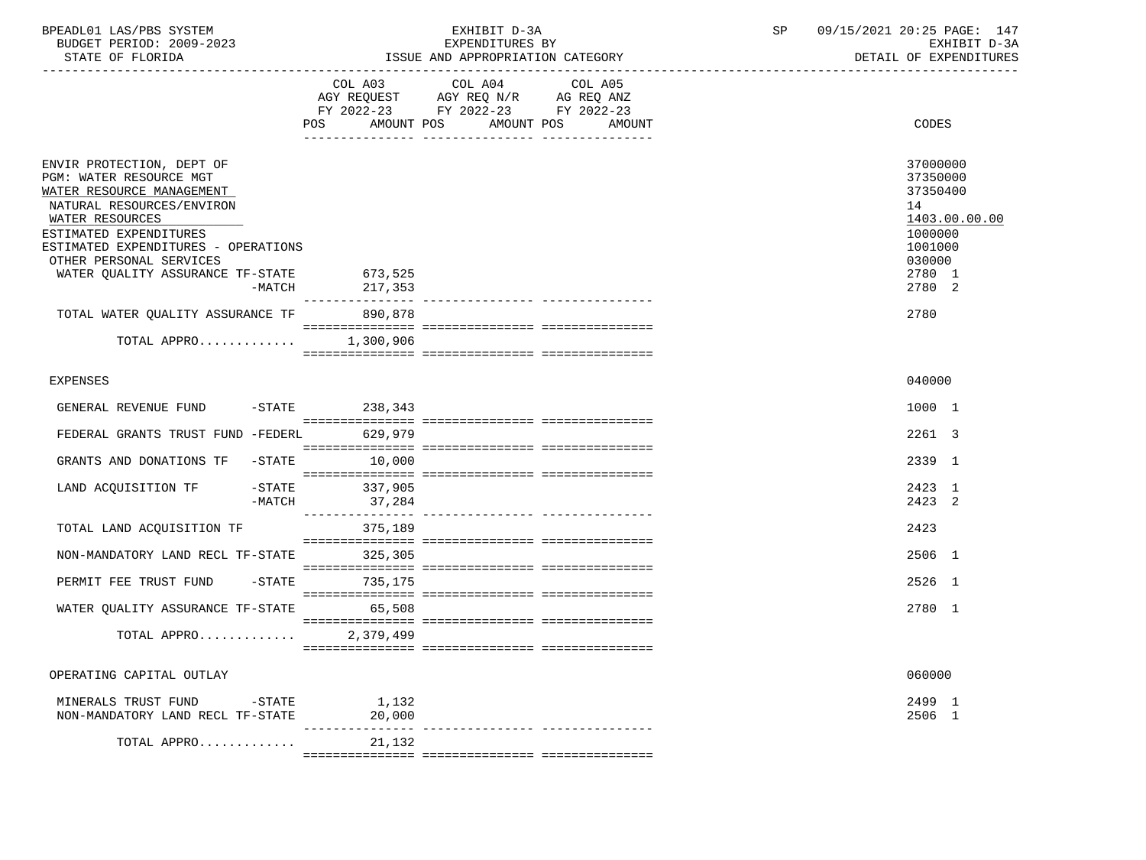| BPEADL01 LAS/PBS SYSTEM  | EXHIBIT D                             | 09/15/2021 20:25 PAGE:<br>147 |
|--------------------------|---------------------------------------|-------------------------------|
| BUDGET PERIOD: 2009-2023 | EXPENDITURES BY                       | EXHIBIT D-3A                  |
| STATE OF FLORIDA         | : AND APPROPRIATION CATEGORY<br>"SSUE | DETAIL OF EXPENDITURES        |

|                                                                                                                                                                                                                                                                             | COL A03<br>POS.<br>AMOUNT POS          | COL A04<br>AGY REQUEST AGY REQ N/R AG REQ ANZ<br>FY 2022-23 FY 2022-23 FY 2022-23<br>AMOUNT POS | COL A05<br>AMOUNT | CODES                                                                                                       |
|-----------------------------------------------------------------------------------------------------------------------------------------------------------------------------------------------------------------------------------------------------------------------------|----------------------------------------|-------------------------------------------------------------------------------------------------|-------------------|-------------------------------------------------------------------------------------------------------------|
| ENVIR PROTECTION, DEPT OF<br>PGM: WATER RESOURCE MGT<br>WATER RESOURCE MANAGEMENT<br>NATURAL RESOURCES/ENVIRON<br>WATER RESOURCES<br>ESTIMATED EXPENDITURES<br>ESTIMATED EXPENDITURES - OPERATIONS<br>OTHER PERSONAL SERVICES<br>WATER QUALITY ASSURANCE TF-STATE<br>-MATCH | 673,525<br>217,353<br>________________ |                                                                                                 |                   | 37000000<br>37350000<br>37350400<br>14<br>1403.00.00.00<br>1000000<br>1001000<br>030000<br>2780 1<br>2780 2 |
| TOTAL WATER QUALITY ASSURANCE TF                                                                                                                                                                                                                                            | 890,878                                |                                                                                                 |                   | 2780                                                                                                        |
| TOTAL APPRO                                                                                                                                                                                                                                                                 | 1,300,906                              |                                                                                                 |                   |                                                                                                             |
| <b>EXPENSES</b>                                                                                                                                                                                                                                                             |                                        |                                                                                                 |                   | 040000                                                                                                      |
| GENERAL REVENUE FUND                                                                                                                                                                                                                                                        | -STATE 238,343                         |                                                                                                 |                   | 1000 1                                                                                                      |
| FEDERAL GRANTS TRUST FUND -FEDERL                                                                                                                                                                                                                                           | 629,979                                |                                                                                                 |                   | 2261 3                                                                                                      |
| GRANTS AND DONATIONS TF -STATE 10,000                                                                                                                                                                                                                                       |                                        |                                                                                                 |                   | 2339 1                                                                                                      |
| $-$ STATE<br>LAND ACQUISITION TF<br>$-MATCH$                                                                                                                                                                                                                                | 337,905<br>37,284                      |                                                                                                 |                   | 2423 1<br>2423 2                                                                                            |
| TOTAL LAND ACQUISITION TF                                                                                                                                                                                                                                                   | 375,189                                |                                                                                                 |                   | 2423                                                                                                        |
| NON-MANDATORY LAND RECL TF-STATE                                                                                                                                                                                                                                            | 325,305                                |                                                                                                 |                   | 2506 1                                                                                                      |
| PERMIT FEE TRUST FUND<br>$ STATE$                                                                                                                                                                                                                                           | 735,175                                |                                                                                                 |                   | 2526 1                                                                                                      |
| WATER OUALITY ASSURANCE TF-STATE 65,508                                                                                                                                                                                                                                     |                                        |                                                                                                 |                   | 2780 1                                                                                                      |
| TOTAL APPRO                                                                                                                                                                                                                                                                 | 2,379,499                              |                                                                                                 |                   |                                                                                                             |
| OPERATING CAPITAL OUTLAY                                                                                                                                                                                                                                                    |                                        |                                                                                                 |                   | 060000                                                                                                      |
| MINERALS TRUST FUND -STATE<br>NON-MANDATORY LAND RECL TF-STATE                                                                                                                                                                                                              | 1,132<br>20,000                        |                                                                                                 |                   | 2499 1<br>2506 1                                                                                            |
| TOTAL APPRO                                                                                                                                                                                                                                                                 | 21,132                                 |                                                                                                 |                   |                                                                                                             |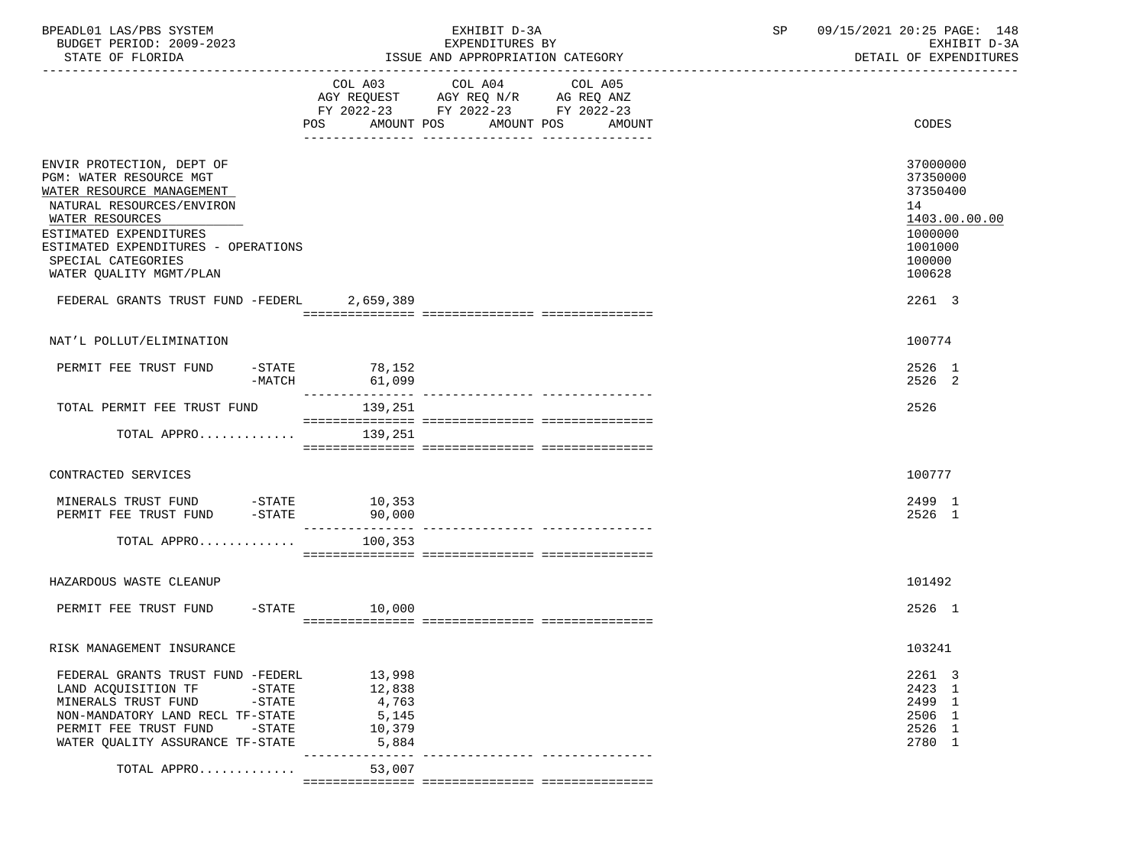| BPEADL01 LAS/PBS SYSTEM<br>BUDGET PERIOD: 2009-2023<br>STATE OF FLORIDA |                          | EXHIBIT D-3A<br>EXPENDITURES BY<br>ISSUE AND APPROPRIATION CATEGORY | 09/15/2021 20:25 PAGE: 148<br>SP<br>EXHIBIT D-3A<br>DETAIL OF EXPENDITURES |
|-------------------------------------------------------------------------|--------------------------|---------------------------------------------------------------------|----------------------------------------------------------------------------|
|                                                                         |                          |                                                                     |                                                                            |
|                                                                         |                          | COL A03 COL A04<br>COL A05<br>AGY REQUEST AGY REQ N/R AG REQ ANZ    |                                                                            |
|                                                                         |                          | FY 2022-23 FY 2022-23 FY 2022-23                                    |                                                                            |
|                                                                         |                          | POS AMOUNT POS AMOUNT POS AMOUNT                                    | CODES                                                                      |
|                                                                         |                          |                                                                     |                                                                            |
| ENVIR PROTECTION, DEPT OF                                               |                          |                                                                     | 37000000                                                                   |
| PGM: WATER RESOURCE MGT                                                 |                          |                                                                     | 37350000                                                                   |
| WATER RESOURCE MANAGEMENT<br>NATURAL RESOURCES/ENVIRON                  |                          |                                                                     | 37350400<br>14                                                             |
| WATER RESOURCES                                                         |                          |                                                                     | 1403.00.00.00                                                              |
| ESTIMATED EXPENDITURES                                                  |                          |                                                                     | 1000000                                                                    |
| ESTIMATED EXPENDITURES - OPERATIONS                                     |                          |                                                                     | 1001000                                                                    |
| SPECIAL CATEGORIES                                                      |                          |                                                                     | 100000                                                                     |
| WATER QUALITY MGMT/PLAN                                                 |                          |                                                                     | 100628                                                                     |
| FEDERAL GRANTS TRUST FUND -FEDERL 2,659,389                             |                          |                                                                     | 2261 3                                                                     |
|                                                                         |                          |                                                                     |                                                                            |
| NAT'L POLLUT/ELIMINATION                                                |                          |                                                                     | 100774                                                                     |
| PERMIT FEE TRUST FUND                                                   | $-STATE$ 78, 152         |                                                                     | 2526 1                                                                     |
| $-MATCH$                                                                | 61,099                   |                                                                     | 2526 2                                                                     |
| TOTAL PERMIT FEE TRUST FUND                                             | 139,251                  |                                                                     | 2526                                                                       |
| TOTAL APPRO                                                             | 139,251                  |                                                                     |                                                                            |
|                                                                         |                          |                                                                     |                                                                            |
| CONTRACTED SERVICES                                                     |                          |                                                                     | 100777                                                                     |
| MINERALS TRUST FUND -STATE 10,353                                       |                          |                                                                     | 2499 1                                                                     |
| PERMIT FEE TRUST FUND -STATE                                            | 90,000                   |                                                                     | 2526 1                                                                     |
| TOTAL APPRO $100,353$                                                   |                          |                                                                     |                                                                            |
|                                                                         |                          |                                                                     |                                                                            |
| HAZARDOUS WASTE CLEANUP                                                 |                          |                                                                     | 101492                                                                     |
| PERMIT FEE TRUST FUND -STATE 10,000                                     |                          |                                                                     | 2526 1                                                                     |
|                                                                         |                          |                                                                     |                                                                            |
| RISK MANAGEMENT INSURANCE                                               |                          |                                                                     | 103241                                                                     |
| FEDERAL GRANTS TRUST FUND -FEDERL                                       | 13,998                   |                                                                     | 2261 3                                                                     |
| LAND ACQUISITION TF<br>$-$ STATE                                        | 12,838                   |                                                                     | 2423 1                                                                     |
| $-STATE$<br>MINERALS TRUST FUND                                         | 4,763                    |                                                                     | 2499 1                                                                     |
| NON-MANDATORY LAND RECL TF-STATE                                        | 5,145                    |                                                                     | 2506 1                                                                     |
| PERMIT FEE TRUST FUND -STATE                                            | 10,379                   |                                                                     | 2526 1                                                                     |
| WATER OUALITY ASSURANCE TF-STATE                                        | 5,884<br>--------------- |                                                                     | 2780 1                                                                     |
| TOTAL APPRO                                                             | 53,007                   |                                                                     |                                                                            |
|                                                                         |                          |                                                                     |                                                                            |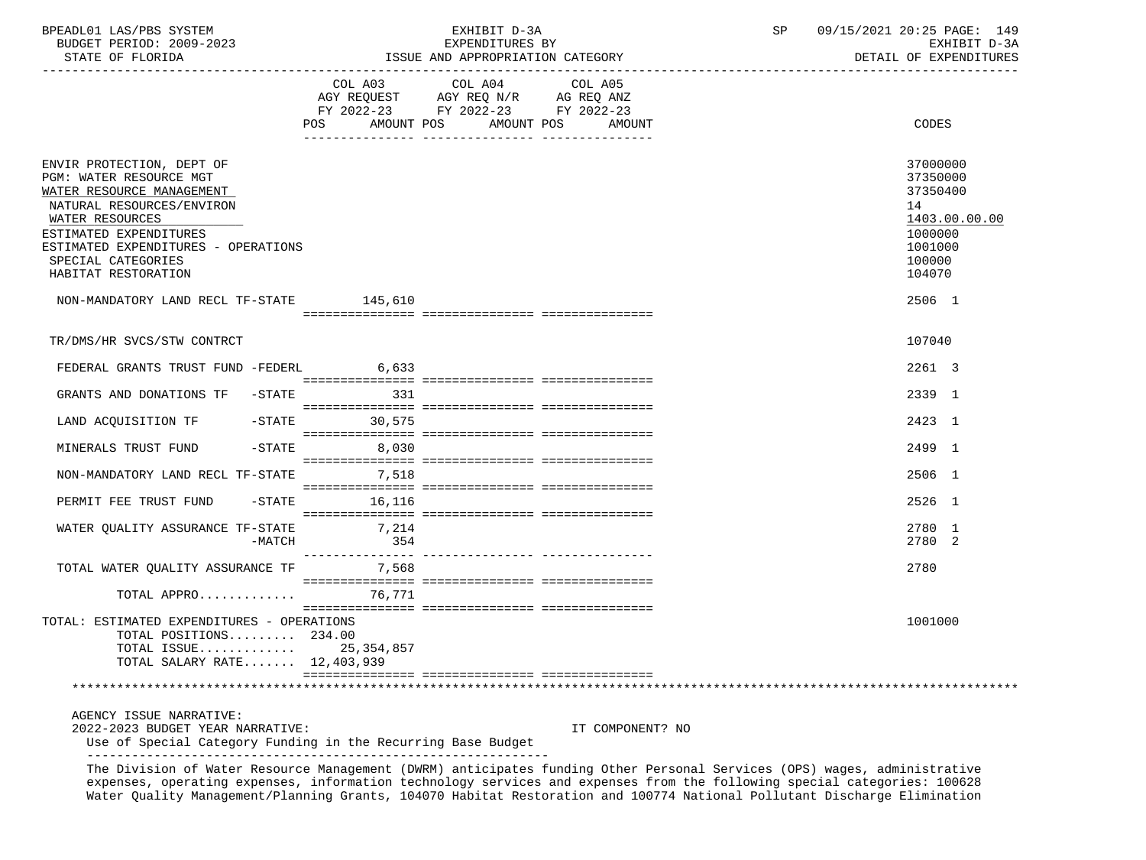| BPEADL01 LAS/PBS SYSTEM<br>BUDGET PERIOD: 2009-2023<br>STATE OF FLORIDA                                                                                                                                                                              |                     | EXHIBIT D-3A<br>EXPENDITURES BY<br>ISSUE AND APPROPRIATION CATEGORY    |                                  | SP | 09/15/2021 20:25 PAGE: 149<br>EXHIBIT D-3A<br>DETAIL OF EXPENDITURES                              |
|------------------------------------------------------------------------------------------------------------------------------------------------------------------------------------------------------------------------------------------------------|---------------------|------------------------------------------------------------------------|----------------------------------|----|---------------------------------------------------------------------------------------------------|
|                                                                                                                                                                                                                                                      |                     | COL A03 COL A04                                                        | COL A05                          |    |                                                                                                   |
|                                                                                                                                                                                                                                                      |                     | AGY REQUEST AGY REQ N/R AG REQ ANZ<br>FY 2022-23 FY 2022-23 FY 2022-23 | POS AMOUNT POS AMOUNT POS AMOUNT |    | CODES                                                                                             |
| ENVIR PROTECTION, DEPT OF<br>PGM: WATER RESOURCE MGT<br>WATER RESOURCE MANAGEMENT<br>NATURAL RESOURCES/ENVIRON<br>WATER RESOURCES<br>ESTIMATED EXPENDITURES<br>ESTIMATED EXPENDITURES - OPERATIONS<br>SPECIAL CATEGORIES<br>HABITAT RESTORATION      |                     |                                                                        |                                  |    | 37000000<br>37350000<br>37350400<br>14<br>1403.00.00.00<br>1000000<br>1001000<br>100000<br>104070 |
| NON-MANDATORY LAND RECL TF-STATE 145,610                                                                                                                                                                                                             |                     |                                                                        |                                  |    | 2506 1                                                                                            |
| TR/DMS/HR SVCS/STW CONTRCT                                                                                                                                                                                                                           |                     |                                                                        |                                  |    | 107040                                                                                            |
| FEDERAL GRANTS TRUST FUND -FEDERL 6,633                                                                                                                                                                                                              |                     |                                                                        |                                  |    | 2261 3                                                                                            |
| GRANTS AND DONATIONS TF -STATE 331                                                                                                                                                                                                                   |                     |                                                                        |                                  |    | 2339 1                                                                                            |
| LAND ACQUISITION TF -STATE 30,575                                                                                                                                                                                                                    |                     |                                                                        |                                  |    | 2423 1                                                                                            |
| MINERALS TRUST FUND                                                                                                                                                                                                                                  | $-$ STATE<br>8,030  |                                                                        |                                  |    | 2499 1                                                                                            |
| NON-MANDATORY LAND RECL TF-STATE 7,518                                                                                                                                                                                                               |                     |                                                                        |                                  |    | 2506 1                                                                                            |
| PERMIT FEE TRUST FUND                                                                                                                                                                                                                                | $-$ STATE<br>16,116 |                                                                        |                                  |    | 2526 1                                                                                            |
| WATER QUALITY ASSURANCE TF-STATE 7,214<br>$-MATCH$                                                                                                                                                                                                   | 354                 |                                                                        |                                  |    | 2780 1<br>2780 2                                                                                  |
| TOTAL WATER QUALITY ASSURANCE TF 7,568                                                                                                                                                                                                               |                     |                                                                        |                                  |    | 2780                                                                                              |
| TOTAL APPRO 76,771                                                                                                                                                                                                                                   |                     |                                                                        |                                  |    |                                                                                                   |
| TOTAL: ESTIMATED EXPENDITURES - OPERATIONS<br>TOTAL POSITIONS $234.00$<br>TOTAL $ISSUE$<br>TOTAL SALARY RATE 12,403,939                                                                                                                              | 25,354,857          |                                                                        |                                  |    | 1001000                                                                                           |
|                                                                                                                                                                                                                                                      |                     |                                                                        |                                  |    |                                                                                                   |
| AGENCY ISSUE NARRATIVE:<br>2022-2023 BUDGET YEAR NARRATIVE:<br>Use of Special Category Funding in the Recurring Base Budget                                                                                                                          |                     |                                                                        | IT COMPONENT? NO                 |    |                                                                                                   |
| The Division of Water Resource Management (DWRM) anticipates funding Other Personal Services (OPS) wages, administrative<br>expenses, operating expenses, information technology services and expenses from the following special categories: 100628 |                     |                                                                        |                                  |    |                                                                                                   |

Water Quality Management/Planning Grants, 104070 Habitat Restoration and 100774 National Pollutant Discharge Elimination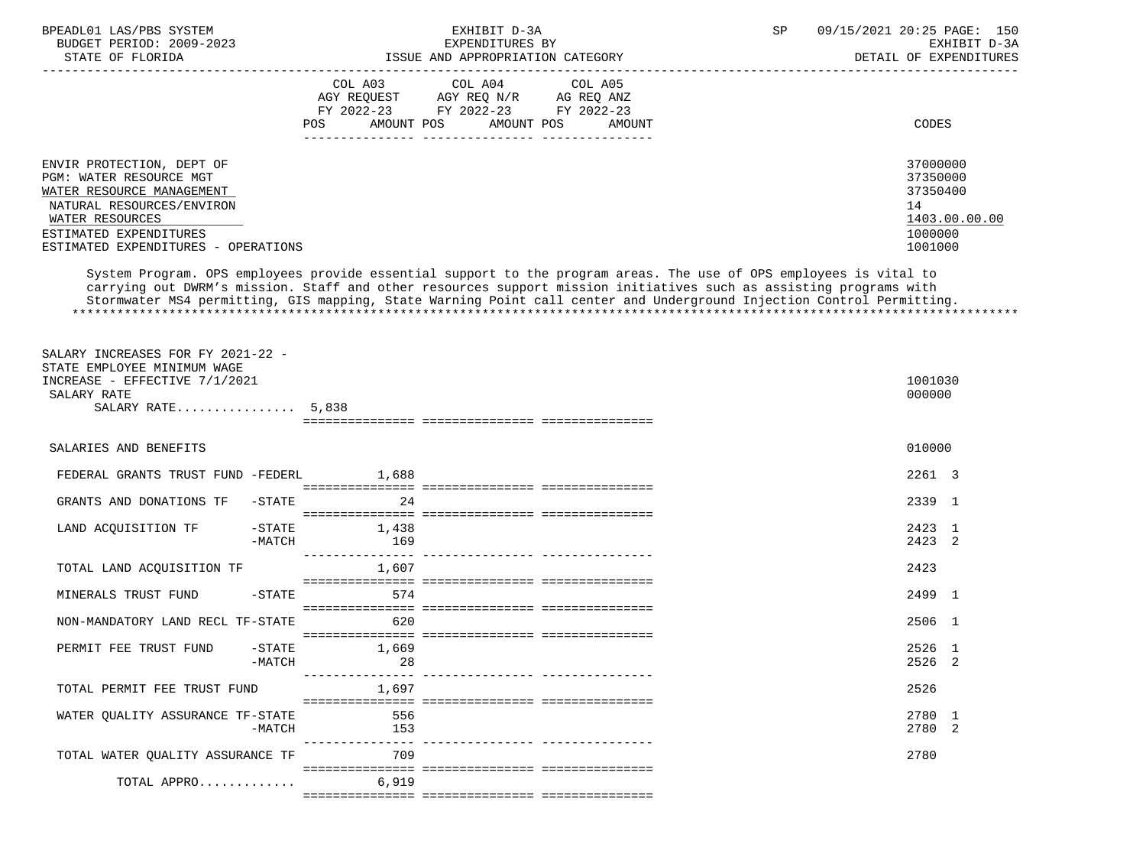| BPEADL01 LAS/PBS SYSTEM                                      |                                               | EXHIBIT D-3A                                                                                                                                                                                                                                | 09/15/2021 20:25 PAGE: 150<br>SP |
|--------------------------------------------------------------|-----------------------------------------------|---------------------------------------------------------------------------------------------------------------------------------------------------------------------------------------------------------------------------------------------|----------------------------------|
| BUDGET PERIOD: 2009-2023                                     |                                               | EXPENDITURES BY                                                                                                                                                                                                                             | EXHIBIT D-3A                     |
| STATE OF FLORIDA                                             |                                               | ISSUE AND APPROPRIATION CATEGORY                                                                                                                                                                                                            | DETAIL OF EXPENDITURES           |
|                                                              | COL A03                                       | COL A04<br>COL A05                                                                                                                                                                                                                          |                                  |
|                                                              |                                               | AGY REQUEST AGY REQ N/R AG REQ ANZ                                                                                                                                                                                                          |                                  |
|                                                              |                                               | FY 2022-23 FY 2022-23 FY 2022-23                                                                                                                                                                                                            |                                  |
|                                                              | POS                                           | AMOUNT POS AMOUNT POS<br>AMOUNT                                                                                                                                                                                                             | <b>CODES</b>                     |
|                                                              |                                               |                                                                                                                                                                                                                                             |                                  |
| ENVIR PROTECTION, DEPT OF                                    |                                               |                                                                                                                                                                                                                                             | 37000000                         |
| PGM: WATER RESOURCE MGT                                      |                                               |                                                                                                                                                                                                                                             | 37350000                         |
| WATER RESOURCE MANAGEMENT                                    |                                               |                                                                                                                                                                                                                                             | 37350400                         |
| NATURAL RESOURCES/ENVIRON                                    |                                               |                                                                                                                                                                                                                                             | 14                               |
| WATER RESOURCES<br>ESTIMATED EXPENDITURES                    |                                               |                                                                                                                                                                                                                                             | 1403.00.00.00<br>1000000         |
| ESTIMATED EXPENDITURES - OPERATIONS                          |                                               |                                                                                                                                                                                                                                             | 1001000                          |
|                                                              |                                               |                                                                                                                                                                                                                                             |                                  |
|                                                              |                                               | System Program. OPS employees provide essential support to the program areas. The use of OPS employees is vital to                                                                                                                          |                                  |
|                                                              |                                               | carrying out DWRM's mission. Staff and other resources support mission initiatives such as assisting programs with<br>Stormwater MS4 permitting, GIS mapping, State Warning Point call center and Underground Injection Control Permitting. |                                  |
|                                                              |                                               |                                                                                                                                                                                                                                             |                                  |
|                                                              |                                               |                                                                                                                                                                                                                                             |                                  |
|                                                              |                                               |                                                                                                                                                                                                                                             |                                  |
| SALARY INCREASES FOR FY 2021-22 -                            |                                               |                                                                                                                                                                                                                                             |                                  |
| STATE EMPLOYEE MINIMUM WAGE<br>INCREASE - EFFECTIVE 7/1/2021 |                                               |                                                                                                                                                                                                                                             | 1001030                          |
| SALARY RATE                                                  |                                               |                                                                                                                                                                                                                                             | 000000                           |
| SALARY RATE $5.838$                                          |                                               |                                                                                                                                                                                                                                             |                                  |
|                                                              |                                               |                                                                                                                                                                                                                                             |                                  |
|                                                              |                                               |                                                                                                                                                                                                                                             |                                  |
| SALARIES AND BENEFITS                                        |                                               |                                                                                                                                                                                                                                             | 010000                           |
| FEDERAL GRANTS TRUST FUND -FEDERL 1,688                      |                                               |                                                                                                                                                                                                                                             | 2261 3                           |
|                                                              |                                               |                                                                                                                                                                                                                                             |                                  |
| $-STATE$<br>GRANTS AND DONATIONS TF                          | 24                                            |                                                                                                                                                                                                                                             | 2339 1                           |
| LAND ACQUISITION TF                                          | $-$ STATE<br>1,438                            |                                                                                                                                                                                                                                             | 2423 1                           |
| $-MATCH$                                                     | 169                                           |                                                                                                                                                                                                                                             | 2423 2                           |
|                                                              |                                               |                                                                                                                                                                                                                                             |                                  |
| TOTAL LAND ACQUISITION TF                                    | 1,607                                         |                                                                                                                                                                                                                                             | 2423                             |
|                                                              |                                               |                                                                                                                                                                                                                                             |                                  |
| MINERALS TRUST FUND<br>$-$ STATE                             | 574                                           |                                                                                                                                                                                                                                             | 2499 1                           |
| NON-MANDATORY LAND RECL TF-STATE                             | 620                                           |                                                                                                                                                                                                                                             | 2506 1                           |
|                                                              |                                               |                                                                                                                                                                                                                                             |                                  |
| PERMIT FEE TRUST FUND<br>$-STATE$                            | 1,669                                         |                                                                                                                                                                                                                                             | 2526 1                           |
| $-MATCH$                                                     | 28                                            |                                                                                                                                                                                                                                             | 2526 2                           |
| TOTAL PERMIT FEE TRUST FUND                                  | <u>u dia dia dia dia dali dia 19</u><br>1,697 | ________________________________                                                                                                                                                                                                            | 2526                             |
|                                                              |                                               |                                                                                                                                                                                                                                             |                                  |
| WATER OUALITY ASSURANCE TF-STATE                             | 556                                           |                                                                                                                                                                                                                                             | 2780 1                           |
| -MATCH                                                       | 153                                           |                                                                                                                                                                                                                                             | 2780 2                           |
|                                                              | ----------------                              |                                                                                                                                                                                                                                             |                                  |
| TOTAL WATER OUALITY ASSURANCE TF                             | 709                                           |                                                                                                                                                                                                                                             | 2780                             |
| TOTAL APPRO                                                  | 6,919                                         |                                                                                                                                                                                                                                             |                                  |
|                                                              |                                               |                                                                                                                                                                                                                                             |                                  |
|                                                              |                                               |                                                                                                                                                                                                                                             |                                  |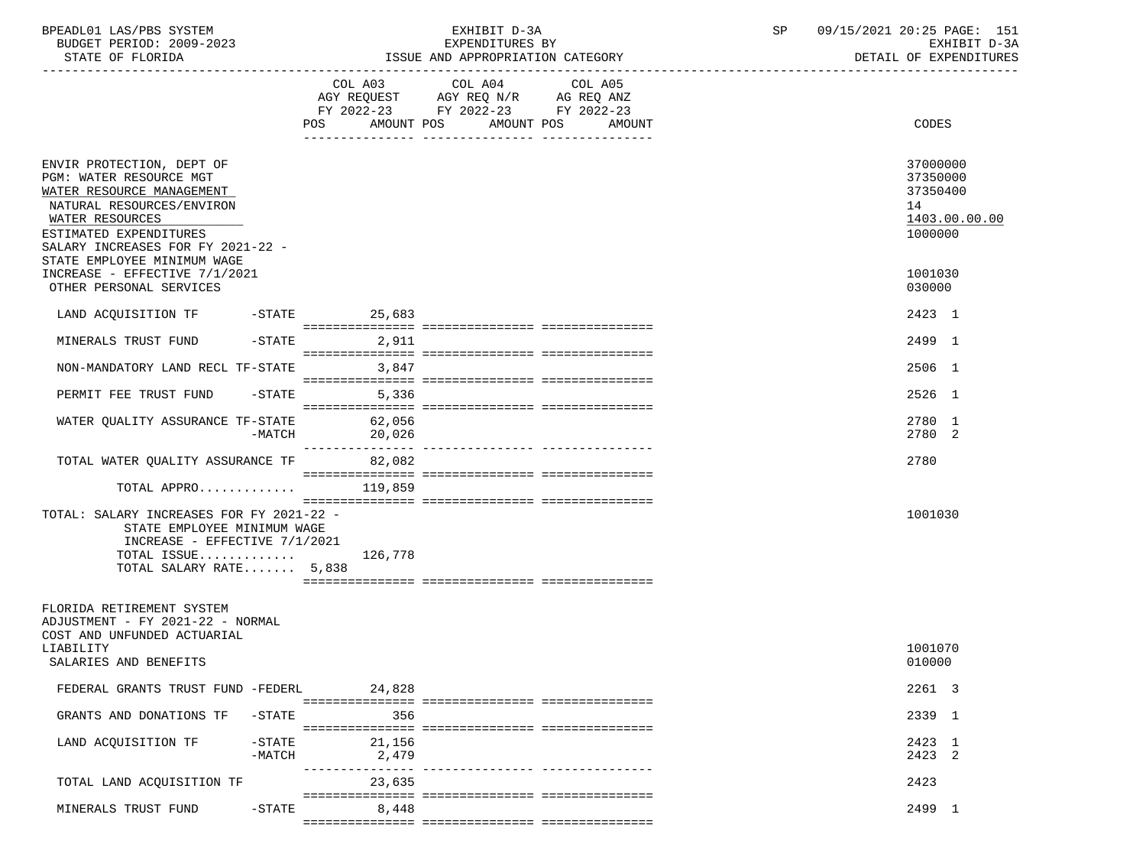| BPEADL01 LAS/PBS SYSTEM<br>BUDGET PERIOD: 2009-2023<br>STATE OF FLORIDA                                                                                                                                                                                                                     |                 | EXHIBIT D-3A<br>EXPENDITURES BY<br>ISSUE AND APPROPRIATION CATEGORY                                                                      | 09/15/2021 20:25 PAGE: 151<br>SP<br>EXHIBIT D-3A<br>DETAIL OF EXPENDITURES              |
|---------------------------------------------------------------------------------------------------------------------------------------------------------------------------------------------------------------------------------------------------------------------------------------------|-----------------|------------------------------------------------------------------------------------------------------------------------------------------|-----------------------------------------------------------------------------------------|
|                                                                                                                                                                                                                                                                                             |                 | COL A03 COL A04<br>COL A05<br>AGY REQUEST AGY REQ N/R AG REQ ANZ<br>FY 2022-23 FY 2022-23 FY 2022-23<br>POS AMOUNT POS AMOUNT POS AMOUNT | CODES                                                                                   |
| ENVIR PROTECTION, DEPT OF<br>PGM: WATER RESOURCE MGT<br>WATER RESOURCE MANAGEMENT<br>NATURAL RESOURCES/ENVIRON<br>WATER RESOURCES<br>ESTIMATED EXPENDITURES<br>SALARY INCREASES FOR FY 2021-22 -<br>STATE EMPLOYEE MINIMUM WAGE<br>INCREASE - EFFECTIVE 7/1/2021<br>OTHER PERSONAL SERVICES |                 |                                                                                                                                          | 37000000<br>37350000<br>37350400<br>14<br>1403.00.00.00<br>1000000<br>1001030<br>030000 |
|                                                                                                                                                                                                                                                                                             |                 |                                                                                                                                          |                                                                                         |
| LAND ACQUISITION TF -STATE 25,683<br>MINERALS TRUST FUND                                                                                                                                                                                                                                    | $-$ STATE 2,911 |                                                                                                                                          | 2423 1<br>2499 1                                                                        |
| NON-MANDATORY LAND RECL TF-STATE                                                                                                                                                                                                                                                            | 3,847           |                                                                                                                                          | 2506 1                                                                                  |
| PERMIT FEE TRUST FUND -STATE 5,336                                                                                                                                                                                                                                                          |                 |                                                                                                                                          | 2526 1                                                                                  |
| WATER QUALITY ASSURANCE TF-STATE 62,056<br>-MATCH                                                                                                                                                                                                                                           | 20,026          |                                                                                                                                          | 2780 1<br>2780 2                                                                        |
| TOTAL WATER QUALITY ASSURANCE TF 82,082                                                                                                                                                                                                                                                     |                 |                                                                                                                                          | 2780                                                                                    |
| TOTAL APPRO $119,859$<br>TOTAL: SALARY INCREASES FOR FY 2021-22 -<br>STATE EMPLOYEE MINIMUM WAGE<br>INCREASE - EFFECTIVE $7/1/2021$                                                                                                                                                         |                 |                                                                                                                                          | 1001030                                                                                 |
| TOTAL ISSUE $126,778$<br>TOTAL SALARY RATE 5,838                                                                                                                                                                                                                                            |                 |                                                                                                                                          |                                                                                         |
| FLORIDA RETIREMENT SYSTEM<br>ADJUSTMENT - FY 2021-22 - NORMAL<br>COST AND UNFUNDED ACTUARIAL<br>LIABILITY<br>SALARIES AND BENEFITS                                                                                                                                                          |                 |                                                                                                                                          | 1001070<br>010000                                                                       |
| FEDERAL GRANTS TRUST FUND -FEDERL                                                                                                                                                                                                                                                           | 24,828          |                                                                                                                                          | 2261 3                                                                                  |
| GRANTS AND DONATIONS TF<br>$-$ STATE                                                                                                                                                                                                                                                        | 356             |                                                                                                                                          | 2339 1                                                                                  |
| LAND ACQUISITION TF<br>$-STATE$<br>$-MATCH$                                                                                                                                                                                                                                                 | 21,156<br>2,479 | ---------- -----------------                                                                                                             | 2423 1<br>2423 2                                                                        |
| TOTAL LAND ACQUISITION TF                                                                                                                                                                                                                                                                   | 23,635          |                                                                                                                                          | 2423                                                                                    |
| MINERALS TRUST FUND<br>$-$ STATE                                                                                                                                                                                                                                                            | 8,448           |                                                                                                                                          | 2499 1                                                                                  |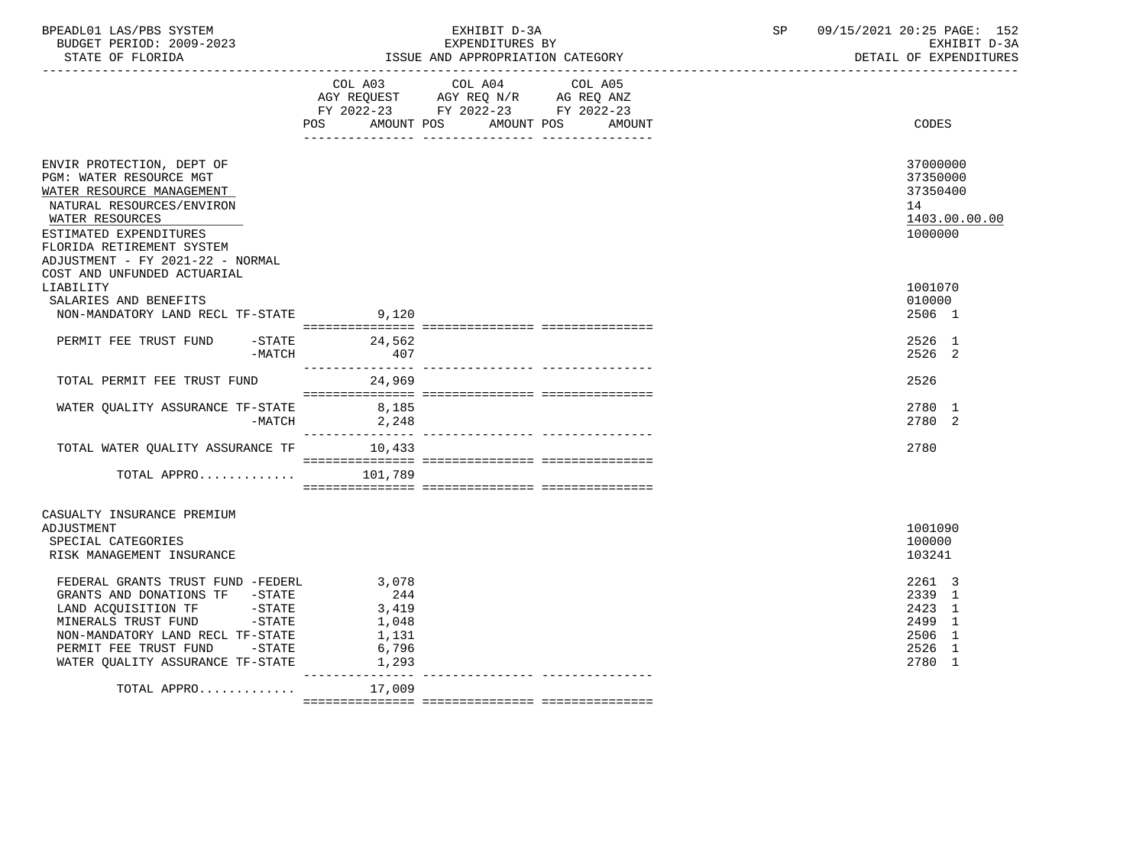| BPEADL01 LAS/PBS SYSTEM<br>BUDGET PERIOD: 2009-2023<br>STATE OF FLORIDA |                            | EXHIBIT D-3A<br>EXPENDITURES BY<br>ISSUE AND APPROPRIATION CATEGORY                               | SP | 09/15/2021 20:25 PAGE: 152<br>EXHIBIT D-3A<br>DETAIL OF EXPENDITURES |
|-------------------------------------------------------------------------|----------------------------|---------------------------------------------------------------------------------------------------|----|----------------------------------------------------------------------|
|                                                                         |                            | COL A03 COL A04 COL A05<br>AGY REQUEST AGY REQ N/R AG REQ ANZ<br>FY 2022-23 FY 2022-23 FY 2022-23 |    |                                                                      |
|                                                                         |                            | POS AMOUNT POS AMOUNT POS<br>AMOUNT                                                               |    | CODES                                                                |
| ENVIR PROTECTION, DEPT OF                                               |                            |                                                                                                   |    | 37000000                                                             |
| PGM: WATER RESOURCE MGT                                                 |                            |                                                                                                   |    | 37350000                                                             |
| WATER RESOURCE MANAGEMENT                                               |                            |                                                                                                   |    | 37350400                                                             |
| NATURAL RESOURCES/ENVIRON                                               |                            |                                                                                                   |    | 14                                                                   |
| WATER RESOURCES                                                         |                            |                                                                                                   |    | 1403.00.00.00                                                        |
| ESTIMATED EXPENDITURES                                                  |                            |                                                                                                   |    | 1000000                                                              |
| FLORIDA RETIREMENT SYSTEM<br>ADJUSTMENT - FY 2021-22 - NORMAL           |                            |                                                                                                   |    |                                                                      |
| COST AND UNFUNDED ACTUARIAL                                             |                            |                                                                                                   |    |                                                                      |
| LIABILITY                                                               |                            |                                                                                                   |    | 1001070                                                              |
| SALARIES AND BENEFITS                                                   |                            |                                                                                                   |    | 010000                                                               |
| NON-MANDATORY LAND RECL TF-STATE                                        | 9,120                      |                                                                                                   |    | 2506 1                                                               |
|                                                                         |                            |                                                                                                   |    |                                                                      |
| PERMIT FEE TRUST FUND                                                   | $-$ STATE 24,562           |                                                                                                   |    | 2526 1                                                               |
| $-MATCH$                                                                | 407                        |                                                                                                   |    | 2526 2                                                               |
| TOTAL PERMIT FEE TRUST FUND                                             | 24,969                     |                                                                                                   |    | 2526                                                                 |
|                                                                         |                            |                                                                                                   |    |                                                                      |
| WATER QUALITY ASSURANCE TF-STATE                                        | 8,185                      |                                                                                                   |    | 2780 1                                                               |
| -MATCH                                                                  | 2,248                      |                                                                                                   |    | 2780 2                                                               |
| TOTAL WATER QUALITY ASSURANCE TF 10,433                                 |                            |                                                                                                   |    | 2780                                                                 |
|                                                                         |                            |                                                                                                   |    |                                                                      |
| TOTAL APPRO                                                             | 101,789                    |                                                                                                   |    |                                                                      |
|                                                                         |                            |                                                                                                   |    |                                                                      |
| CASUALTY INSURANCE PREMIUM                                              |                            |                                                                                                   |    |                                                                      |
| ADJUSTMENT                                                              |                            |                                                                                                   |    | 1001090                                                              |
| SPECIAL CATEGORIES                                                      |                            |                                                                                                   |    | 100000                                                               |
| RISK MANAGEMENT INSURANCE                                               |                            |                                                                                                   |    | 103241                                                               |
| FEDERAL GRANTS TRUST FUND -FEDERL                                       | 3,078                      |                                                                                                   |    | 2261 3                                                               |
| GRANTS AND DONATIONS TF -STATE                                          | 244                        |                                                                                                   |    | 2339 1                                                               |
| LAND ACQUISITION TF -STATE                                              | 3,419                      |                                                                                                   |    | 2423 1                                                               |
| $-STATE$<br>MINERALS TRUST FUND                                         | 1,048                      |                                                                                                   |    | 2499 1                                                               |
| NON-MANDATORY LAND RECL TF-STATE                                        | 1,131                      |                                                                                                   |    | 2506 1                                                               |
| PERMIT FEE TRUST FUND -STATE                                            | 6,796                      |                                                                                                   |    | 2526 1                                                               |
| WATER QUALITY ASSURANCE TF-STATE                                        | 1,293                      |                                                                                                   |    | 2780 1                                                               |
| TOTAL APPRO                                                             | ----------------<br>17,009 |                                                                                                   |    |                                                                      |
|                                                                         |                            |                                                                                                   |    |                                                                      |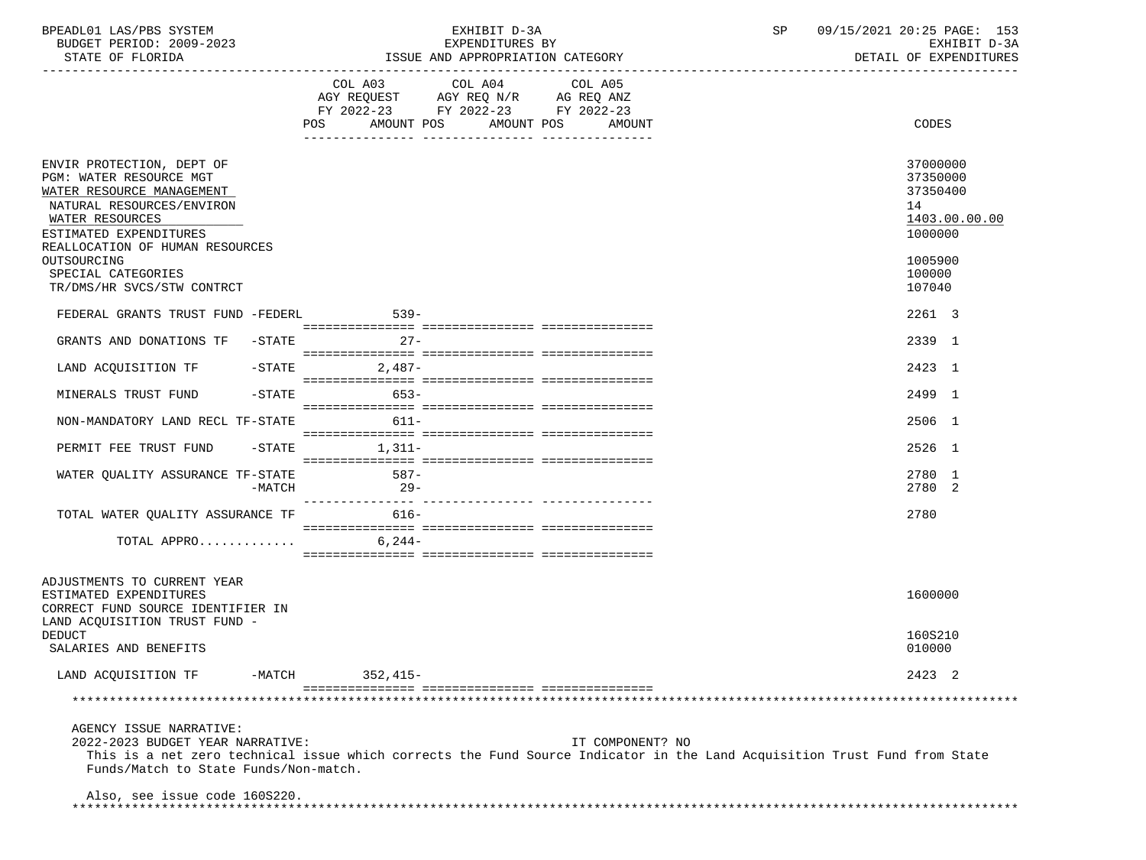| BPEADL01<br>DR C<br>SYSTEM<br>LAS.                     | --------<br>$\overline{ }$<br>╰<br>≞∠⊥⊥⊥∟<br>دمت | / 2021<br>---<br>20<br>$\sqrt{2}$<br>n a<br>PAGE .<br>∸ ~ ~ |  |
|--------------------------------------------------------|--------------------------------------------------|-------------------------------------------------------------|--|
| $\cap$<br>2009-20<br>ח∩ד ¤ים ס<br>BUDGET<br>ن ۷ لا ۷ ۰ | $T^{\pi}$<br>TURES<br>IXPENDI'<br>∸∡⊾            | $\sim$ $\sim$<br>----<br>rvu:<br>- ⊷                        |  |

STATE OF FLORIDA **ISSUE AND APPROPRIATION CATEGORY ISSUE AND APPROPRIATION** CATEGORY

|                                                                                                                                                                                                               | COL A03 COL A04 COL A05<br>AGY REQUEST AGY REQ N/R AG REQ ANZ<br>FY 2022-23 FY 2022-23 FY 2022-23<br>POS AMOUNT POS AMOUNT POS | AMOUNT | CODES                                                                         |
|---------------------------------------------------------------------------------------------------------------------------------------------------------------------------------------------------------------|--------------------------------------------------------------------------------------------------------------------------------|--------|-------------------------------------------------------------------------------|
| ENVIR PROTECTION, DEPT OF<br>PGM: WATER RESOURCE MGT<br>WATER RESOURCE MANAGEMENT<br>NATURAL RESOURCES/ENVIRON<br>WATER RESOURCES<br>ESTIMATED EXPENDITURES<br>REALLOCATION OF HUMAN RESOURCES<br>OUTSOURCING |                                                                                                                                |        | 37000000<br>37350000<br>37350400<br>14<br>1403.00.00.00<br>1000000<br>1005900 |
| SPECIAL CATEGORIES                                                                                                                                                                                            |                                                                                                                                |        | 100000                                                                        |
| TR/DMS/HR SVCS/STW CONTRCT                                                                                                                                                                                    |                                                                                                                                |        | 107040                                                                        |
| FEDERAL GRANTS TRUST FUND -FEDERL                                                                                                                                                                             | $539-$                                                                                                                         |        | 2261 3                                                                        |
| GRANTS AND DONATIONS TF -STATE                                                                                                                                                                                | $27 -$                                                                                                                         |        | 2339 1                                                                        |
| LAND ACQUISITION TF<br>$-$ STATE                                                                                                                                                                              | $2,487-$                                                                                                                       |        | 2423 1                                                                        |
| $-$ STATE<br>MINERALS TRUST FUND                                                                                                                                                                              | $653-$                                                                                                                         |        | 2499 1                                                                        |
| NON-MANDATORY LAND RECL TF-STATE                                                                                                                                                                              | $611 -$                                                                                                                        |        | 2506 1                                                                        |
| PERMIT FEE TRUST FUND                                                                                                                                                                                         | $-STATE$ 1, 311-                                                                                                               |        | 2526 1                                                                        |
| WATER QUALITY ASSURANCE TF-STATE<br>$-MATCH$                                                                                                                                                                  | $587-$<br>$29 -$                                                                                                               |        | 2780 1<br>2780 2                                                              |
| TOTAL WATER QUALITY ASSURANCE TF                                                                                                                                                                              | 616-                                                                                                                           |        | 2780                                                                          |
| TOTAL APPRO $6,244-$                                                                                                                                                                                          |                                                                                                                                |        |                                                                               |
| ADJUSTMENTS TO CURRENT YEAR<br>ESTIMATED EXPENDITURES<br>CORRECT FUND SOURCE IDENTIFIER IN<br>LAND ACOUISITION TRUST FUND -                                                                                   |                                                                                                                                |        | 1600000                                                                       |
| <b>DEDUCT</b><br>SALARIES AND BENEFITS                                                                                                                                                                        |                                                                                                                                |        | 160S210<br>010000                                                             |
| LAND ACQUISITION TF -MATCH 352,415-                                                                                                                                                                           |                                                                                                                                |        | 2423 2                                                                        |

AGENCY ISSUE NARRATIVE:

 2022-2023 BUDGET YEAR NARRATIVE: IT COMPONENT? NO This is a net zero technical issue which corrects the Fund Source Indicator in the Land Acquisition Trust Fund from State Funds/Match to State Funds/Non-match.

Also, see issue code 160S220.

\*\*\*\*\*\*\*\*\*\*\*\*\*\*\*\*\*\*\*\*\*\*\*\*\*\*\*\*\*\*\*\*\*\*\*\*\*\*\*\*\*\*\*\*\*\*\*\*\*\*\*\*\*\*\*\*\*\*\*\*\*\*\*\*\*\*\*\*\*\*\*\*\*\*\*\*\*\*\*\*\*\*\*\*\*\*\*\*\*\*\*\*\*\*\*\*\*\*\*\*\*\*\*\*\*\*\*\*\*\*\*\*\*\*\*\*\*\*\*\*\*\*\*\*\*\*\*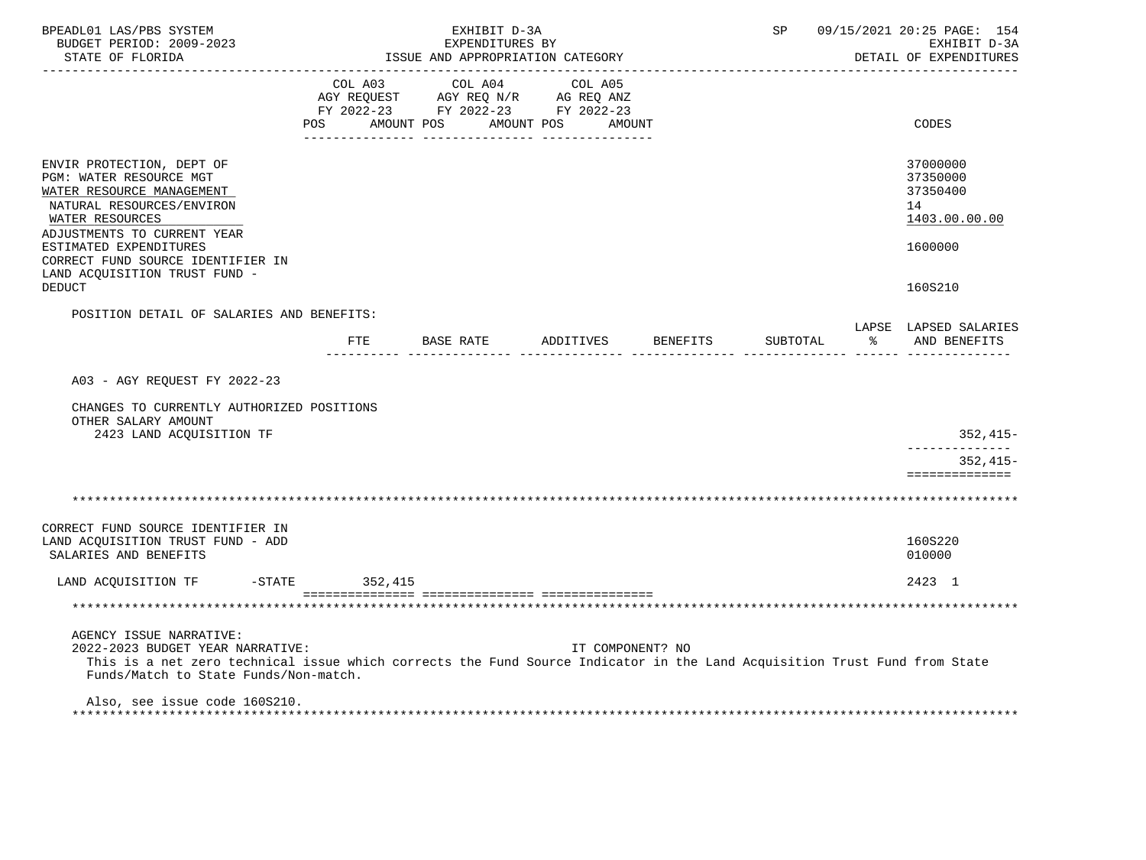| BPEADL01 LAS/PBS SYSTEM<br>BUDGET PERIOD: 2009-2023<br>STATE OF FLORIDA                                                                                                                                                           |                           | EXHIBIT D-3A<br>EXPENDITURES BY<br>ISSUE AND APPROPRIATION CATEGORY |                                                                                                                   | SP       |          | 09/15/2021 20:25 PAGE: 154<br>EXHIBIT D-3A<br>DETAIL OF EXPENDITURES |                                                                    |
|-----------------------------------------------------------------------------------------------------------------------------------------------------------------------------------------------------------------------------------|---------------------------|---------------------------------------------------------------------|-------------------------------------------------------------------------------------------------------------------|----------|----------|----------------------------------------------------------------------|--------------------------------------------------------------------|
|                                                                                                                                                                                                                                   | COL A03<br>POS AMOUNT POS |                                                                     | COL A04 COL A05<br>AGY REQUEST AGY REQ N/R AG REQ ANZ<br>FY 2022-23 FY 2022-23 FY 2022-23<br>AMOUNT POS<br>AMOUNT |          |          |                                                                      | CODES                                                              |
| ENVIR PROTECTION, DEPT OF<br>PGM: WATER RESOURCE MGT<br>WATER RESOURCE MANAGEMENT<br>NATURAL RESOURCES/ENVIRON<br>WATER RESOURCES<br>ADJUSTMENTS TO CURRENT YEAR<br>ESTIMATED EXPENDITURES                                        |                           |                                                                     |                                                                                                                   |          |          |                                                                      | 37000000<br>37350000<br>37350400<br>14<br>1403.00.00.00<br>1600000 |
| CORRECT FUND SOURCE IDENTIFIER IN<br>LAND ACQUISITION TRUST FUND -<br><b>DEDUCT</b>                                                                                                                                               |                           |                                                                     |                                                                                                                   |          |          |                                                                      | 160S210                                                            |
| POSITION DETAIL OF SALARIES AND BENEFITS:                                                                                                                                                                                         |                           |                                                                     | FTE BASE RATE ADDITIVES                                                                                           | BENEFITS | SUBTOTAL | $\approx$                                                            | LAPSE LAPSED SALARIES<br>AND BENEFITS                              |
| A03 - AGY REQUEST FY 2022-23                                                                                                                                                                                                      |                           |                                                                     |                                                                                                                   |          |          |                                                                      |                                                                    |
| CHANGES TO CURRENTLY AUTHORIZED POSITIONS<br>OTHER SALARY AMOUNT<br>2423 LAND ACQUISITION TF                                                                                                                                      |                           |                                                                     |                                                                                                                   |          |          |                                                                      | 352,415-                                                           |
|                                                                                                                                                                                                                                   |                           |                                                                     |                                                                                                                   |          |          |                                                                      | $352.415-$<br>==============                                       |
|                                                                                                                                                                                                                                   |                           |                                                                     |                                                                                                                   |          |          |                                                                      |                                                                    |
| CORRECT FUND SOURCE IDENTIFIER IN<br>LAND ACQUISITION TRUST FUND - ADD<br>SALARIES AND BENEFITS                                                                                                                                   |                           |                                                                     |                                                                                                                   |          |          |                                                                      | 160S220<br>010000                                                  |
| LAND ACQUISITION TF -STATE                                                                                                                                                                                                        | 352,415                   |                                                                     |                                                                                                                   |          |          |                                                                      | 2423 1                                                             |
|                                                                                                                                                                                                                                   |                           |                                                                     |                                                                                                                   |          |          |                                                                      |                                                                    |
| AGENCY ISSUE NARRATIVE:<br>2022-2023 BUDGET YEAR NARRATIVE:<br>This is a net zero technical issue which corrects the Fund Source Indicator in the Land Acquisition Trust Fund from State<br>Funds/Match to State Funds/Non-match. |                           |                                                                     | IT COMPONENT? NO                                                                                                  |          |          |                                                                      |                                                                    |
| Also, see issue code 160S210.                                                                                                                                                                                                     |                           |                                                                     |                                                                                                                   |          |          |                                                                      |                                                                    |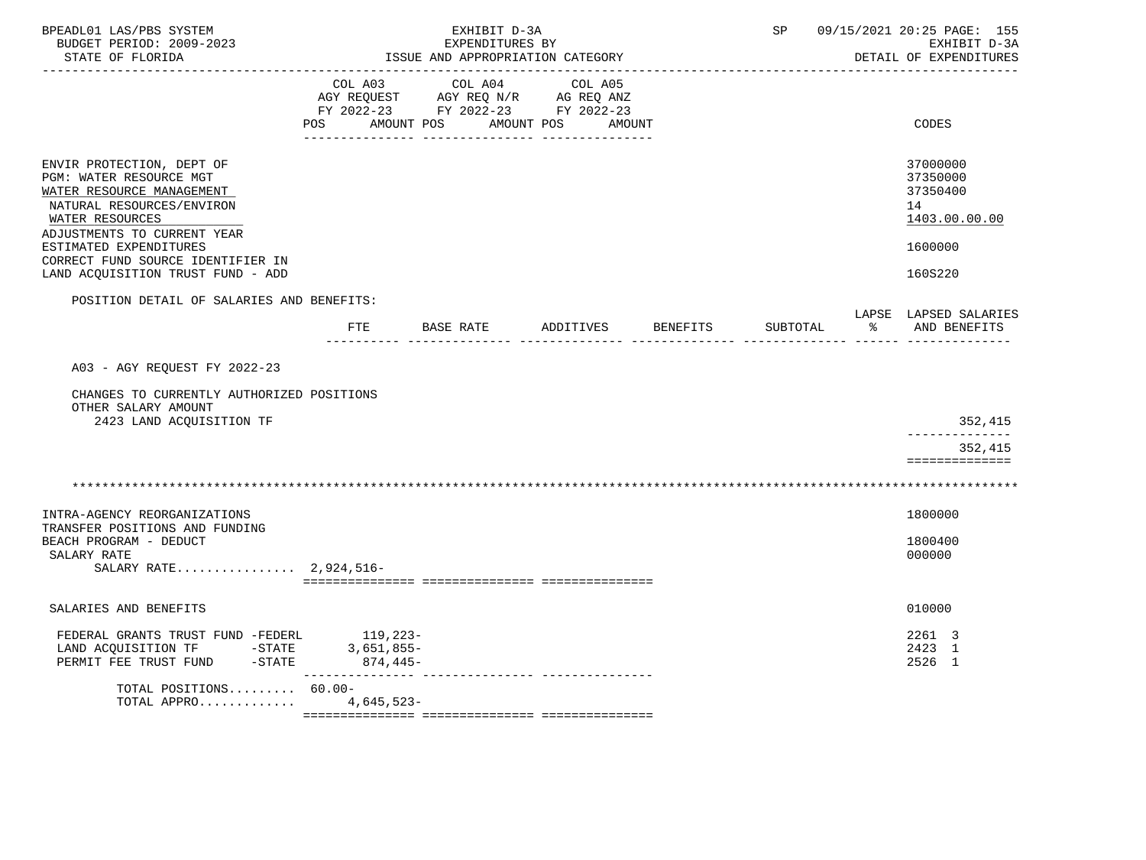| BPEADL01 LAS/PBS SYSTEM<br>BUDGET PERIOD: 2009-2023<br>STATE OF FLORIDA                                                                                                                    |                                          | EXHIBIT D-3A<br>EXPENDITURES BY<br>ISSUE AND APPROPRIATION CATEGORY                 | SP                |          | 09/15/2021 20:25 PAGE: 155<br>EXHIBIT D-3A<br>DETAIL OF EXPENDITURES |   |                                                                    |
|--------------------------------------------------------------------------------------------------------------------------------------------------------------------------------------------|------------------------------------------|-------------------------------------------------------------------------------------|-------------------|----------|----------------------------------------------------------------------|---|--------------------------------------------------------------------|
|                                                                                                                                                                                            | COL A03<br>AGY REQUEST<br>POS AMOUNT POS | COL A04<br>AGY REQ N/R AG REQ ANZ<br>FY 2022-23 FY 2022-23 FY 2022-23<br>AMOUNT POS | COL A05<br>AMOUNT |          |                                                                      |   | CODES                                                              |
| ENVIR PROTECTION, DEPT OF<br>PGM: WATER RESOURCE MGT<br>WATER RESOURCE MANAGEMENT<br>NATURAL RESOURCES/ENVIRON<br>WATER RESOURCES<br>ADJUSTMENTS TO CURRENT YEAR<br>ESTIMATED EXPENDITURES |                                          |                                                                                     |                   |          |                                                                      |   | 37000000<br>37350000<br>37350400<br>14<br>1403.00.00.00<br>1600000 |
| CORRECT FUND SOURCE IDENTIFIER IN<br>LAND ACQUISITION TRUST FUND - ADD                                                                                                                     |                                          |                                                                                     |                   |          |                                                                      |   | 160S220                                                            |
| POSITION DETAIL OF SALARIES AND BENEFITS:                                                                                                                                                  | FTE                                      | BASE RATE                                                                           | ADDITIVES         | BENEFITS | SUBTOTAL                                                             | ႜ | LAPSE LAPSED SALARIES<br>AND BENEFITS                              |
| A03 - AGY REQUEST FY 2022-23                                                                                                                                                               |                                          |                                                                                     |                   |          |                                                                      |   |                                                                    |
| CHANGES TO CURRENTLY AUTHORIZED POSITIONS<br>OTHER SALARY AMOUNT<br>2423 LAND ACQUISITION TF                                                                                               |                                          |                                                                                     |                   |          |                                                                      |   | 352,415                                                            |
|                                                                                                                                                                                            |                                          |                                                                                     |                   |          |                                                                      |   | --------------<br>352,415<br>==============                        |
|                                                                                                                                                                                            |                                          |                                                                                     |                   |          |                                                                      |   |                                                                    |
| INTRA-AGENCY REORGANIZATIONS<br>TRANSFER POSITIONS AND FUNDING                                                                                                                             |                                          |                                                                                     |                   |          |                                                                      |   | 1800000                                                            |
| BEACH PROGRAM - DEDUCT<br>SALARY RATE<br>SALARY RATE 2,924,516-                                                                                                                            |                                          |                                                                                     |                   |          |                                                                      |   | 1800400<br>000000                                                  |
| SALARIES AND BENEFITS                                                                                                                                                                      |                                          |                                                                                     |                   |          |                                                                      |   | 010000                                                             |
| FEDERAL GRANTS TRUST FUND -FEDERL<br>LAND ACQUISITION TF -STATE<br>PERMIT FEE TRUST FUND -STATE                                                                                            | 119,223-<br>$3,651,855-$<br>874,445-     |                                                                                     |                   |          |                                                                      |   | 2261 3<br>2423 1<br>2526 1                                         |
| TOTAL POSITIONS 60.00-<br>TOTAL APPRO 4,645,523-                                                                                                                                           |                                          |                                                                                     |                   |          |                                                                      |   |                                                                    |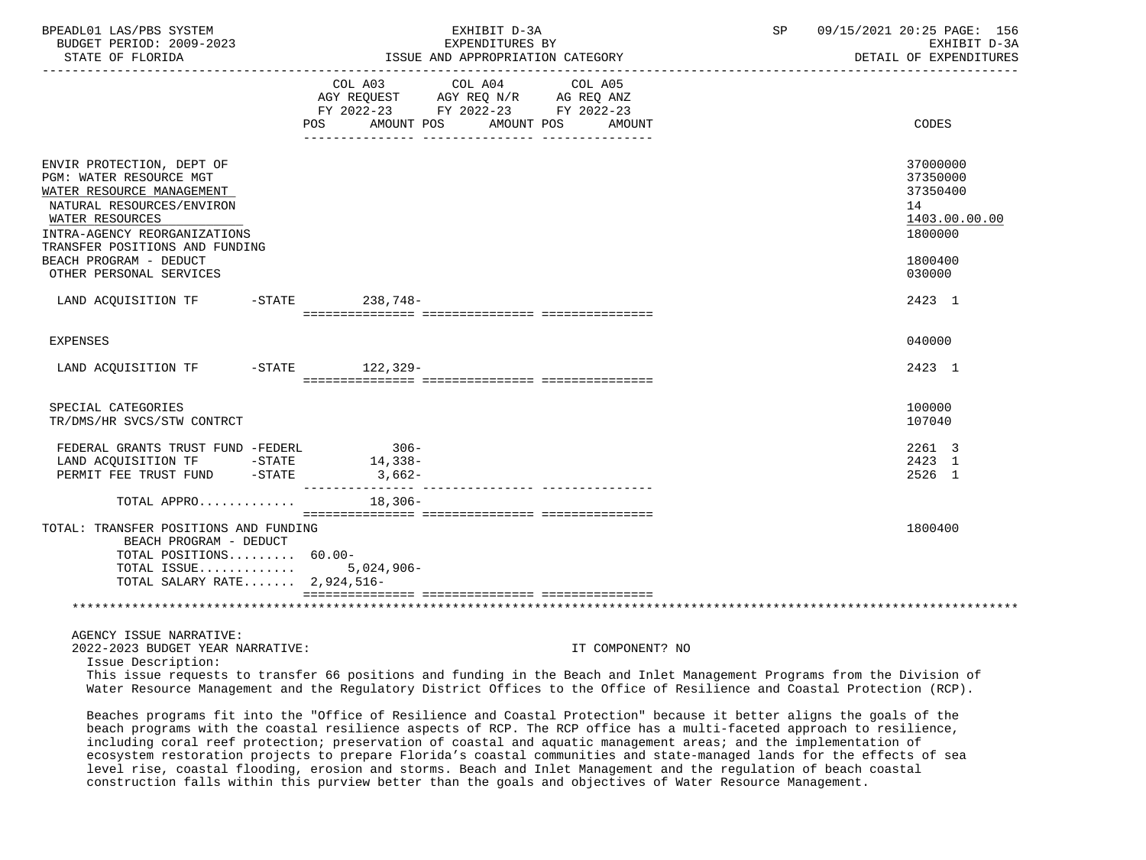| BPEADL01 LAS/PBS SYSTEM<br>BUDGET PERIOD: 2009-2023<br>STATE OF FLORIDA                                                                                                                                                                                  |                                                                                                                                                                                                                                                                      | EXHIBIT D-3A<br>EXPENDITURES BY<br>ISSUE AND APPROPRIATION CATEGORY | <b>SP</b> SP     | 09/15/2021 20:25 PAGE: 156<br>EXHIBIT D-3A<br>DETAIL OF EXPENDITURES |  |                                                                                         |
|----------------------------------------------------------------------------------------------------------------------------------------------------------------------------------------------------------------------------------------------------------|----------------------------------------------------------------------------------------------------------------------------------------------------------------------------------------------------------------------------------------------------------------------|---------------------------------------------------------------------|------------------|----------------------------------------------------------------------|--|-----------------------------------------------------------------------------------------|
|                                                                                                                                                                                                                                                          | $\begin{tabular}{lllllllll} COL & A03 & \multicolumn{2}{l}COL & A04 & \multicolumn{2}{l}COL & A05 \\ AGY & REQUEST & \multicolumn{2}{l}AGY & REQ & N/R & \multicolumn{2}{l}AG & REQ & ANZ \\ \end{tabular}$<br>FY 2022-23 FY 2022-23 FY 2022-23<br>AMOUNT POS<br>POS | AMOUNT POS                                                          | AMOUNT           |                                                                      |  | CODES                                                                                   |
| ENVIR PROTECTION, DEPT OF<br>PGM: WATER RESOURCE MGT<br>WATER RESOURCE MANAGEMENT<br>NATURAL RESOURCES/ENVIRON<br>WATER RESOURCES<br>INTRA-AGENCY REORGANIZATIONS<br>TRANSFER POSITIONS AND FUNDING<br>BEACH PROGRAM - DEDUCT<br>OTHER PERSONAL SERVICES |                                                                                                                                                                                                                                                                      |                                                                     |                  |                                                                      |  | 37000000<br>37350000<br>37350400<br>14<br>1403.00.00.00<br>1800000<br>1800400<br>030000 |
| LAND ACQUISITION TF -STATE 238,748-                                                                                                                                                                                                                      |                                                                                                                                                                                                                                                                      |                                                                     |                  |                                                                      |  | 2423 1                                                                                  |
|                                                                                                                                                                                                                                                          |                                                                                                                                                                                                                                                                      |                                                                     |                  |                                                                      |  |                                                                                         |
| <b>EXPENSES</b>                                                                                                                                                                                                                                          |                                                                                                                                                                                                                                                                      |                                                                     |                  |                                                                      |  | 040000                                                                                  |
| LAND ACQUISITION TF -STATE 122,329-                                                                                                                                                                                                                      |                                                                                                                                                                                                                                                                      |                                                                     |                  |                                                                      |  | 2423 1                                                                                  |
| SPECIAL CATEGORIES<br>TR/DMS/HR SVCS/STW CONTRCT                                                                                                                                                                                                         |                                                                                                                                                                                                                                                                      |                                                                     |                  |                                                                      |  | 100000<br>107040                                                                        |
| FEDERAL GRANTS TRUST FUND -FEDERL<br>LAND ACQUISITION TF -STATE<br>PERMIT FEE TRUST FUND -STATE 3,662-                                                                                                                                                   | $306 -$<br>14,338-                                                                                                                                                                                                                                                   |                                                                     |                  |                                                                      |  | 2261 3<br>2423 1<br>2526 1                                                              |
| TOTAL APPRO                                                                                                                                                                                                                                              | 18,306-                                                                                                                                                                                                                                                              |                                                                     |                  |                                                                      |  |                                                                                         |
| TOTAL: TRANSFER POSITIONS AND FUNDING<br>BEACH PROGRAM - DEDUCT<br>TOTAL POSITIONS 60.00-<br>TOTAL ISSUE $5.024.906 -$<br>TOTAL SALARY RATE 2,924,516-                                                                                                   |                                                                                                                                                                                                                                                                      |                                                                     |                  |                                                                      |  | 1800400                                                                                 |
|                                                                                                                                                                                                                                                          |                                                                                                                                                                                                                                                                      |                                                                     |                  |                                                                      |  |                                                                                         |
| AGENCY ISSUE NARRATIVE:<br>2022-2023 BUDGET YEAR NARRATIVE:<br>Issue Description:                                                                                                                                                                        |                                                                                                                                                                                                                                                                      |                                                                     | IT COMPONENT? NO |                                                                      |  |                                                                                         |
| This issue requests to transfer 66 positions and funding in the Beach and Inlet Management Programs from the Division of<br>Water Resource Management and the Regulatory District Offices to the Office of Resilience and Coastal Protection (RCP).      |                                                                                                                                                                                                                                                                      |                                                                     |                  |                                                                      |  |                                                                                         |
| Beaches programs fit into the "Office of Resilience and Coastal Protection" because it better aligns the goals of the                                                                                                                                    |                                                                                                                                                                                                                                                                      |                                                                     |                  |                                                                      |  |                                                                                         |

 beach programs with the coastal resilience aspects of RCP. The RCP office has a multi-faceted approach to resilience, including coral reef protection; preservation of coastal and aquatic management areas; and the implementation of ecosystem restoration projects to prepare Florida's coastal communities and state-managed lands for the effects of sea level rise, coastal flooding, erosion and storms. Beach and Inlet Management and the regulation of beach coastal construction falls within this purview better than the goals and objectives of Water Resource Management.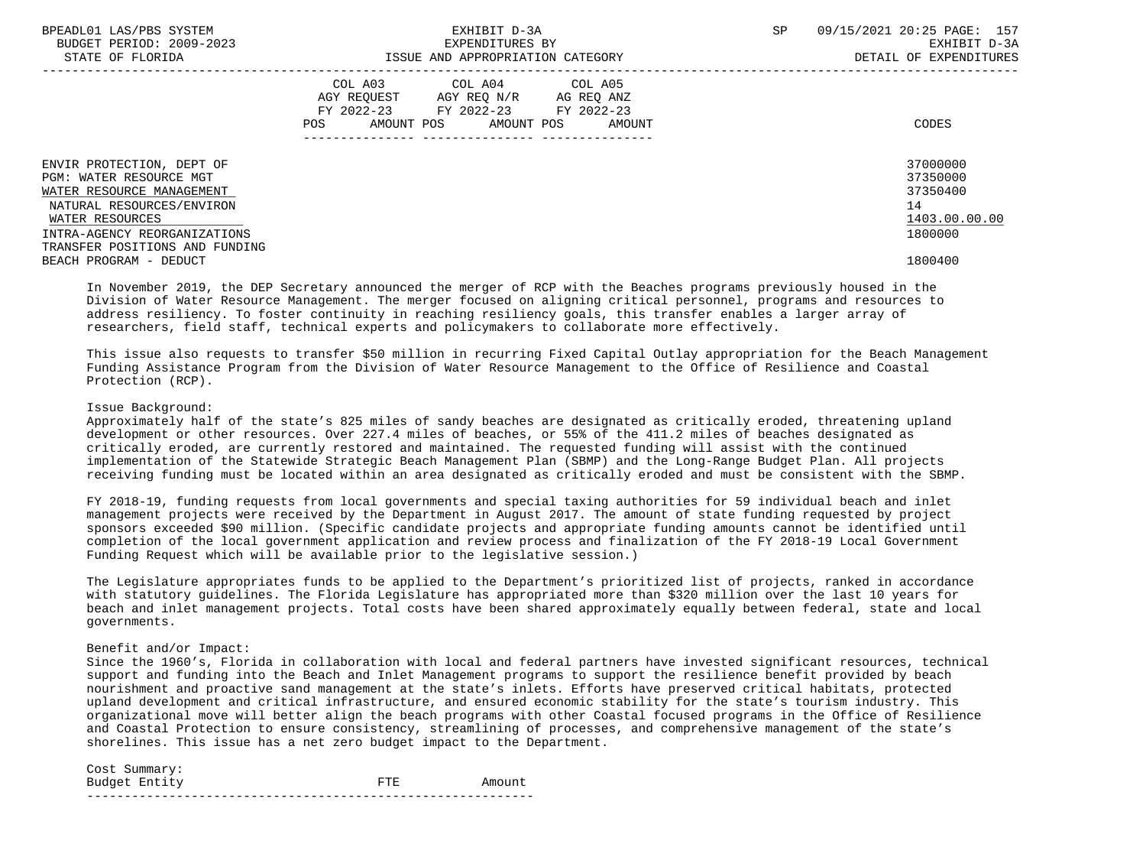| BPEADL01 LAS/PBS SYSTEM<br>BUDGET PERIOD: 2009-2023<br>STATE OF FLORIDA | EXHIBIT D-3A<br>EXPENDITURES BY<br>ISSUE AND APPROPRIATION CATEGORY                                                                      | 09/15/2021 20:25 PAGE: 157<br>SP<br>EXHIBIT D-3A<br>DETAIL OF EXPENDITURES |
|-------------------------------------------------------------------------|------------------------------------------------------------------------------------------------------------------------------------------|----------------------------------------------------------------------------|
|                                                                         | COL A03<br>COL A04 COL A05<br>AGY REQUEST AGY REQ N/R AG REQ ANZ<br>FY 2022-23 FY 2022-23 FY 2022-23<br>POS AMOUNT POS AMOUNT POS AMOUNT | CODES                                                                      |
| ENVIR PROTECTION, DEPT OF<br>PGM: WATER RESOURCE MGT                    |                                                                                                                                          | 37000000<br>37350000                                                       |
| WATER RESOURCE MANAGEMENT                                               |                                                                                                                                          | 37350400                                                                   |
| NATURAL RESOURCES/ENVIRON                                               |                                                                                                                                          | 14                                                                         |
| WATER RESOURCES                                                         |                                                                                                                                          | 1403.00.00.00                                                              |
| INTRA-AGENCY REORGANIZATIONS                                            |                                                                                                                                          | 1800000                                                                    |
| TRANSFER POSITIONS AND FUNDING                                          |                                                                                                                                          |                                                                            |
| BEACH PROGRAM - DEDUCT                                                  |                                                                                                                                          | 1800400                                                                    |

 In November 2019, the DEP Secretary announced the merger of RCP with the Beaches programs previously housed in the Division of Water Resource Management. The merger focused on aligning critical personnel, programs and resources to address resiliency. To foster continuity in reaching resiliency goals, this transfer enables a larger array of researchers, field staff, technical experts and policymakers to collaborate more effectively.

 This issue also requests to transfer \$50 million in recurring Fixed Capital Outlay appropriation for the Beach Management Funding Assistance Program from the Division of Water Resource Management to the Office of Resilience and Coastal Protection (RCP).

#### Issue Background:

 Approximately half of the state's 825 miles of sandy beaches are designated as critically eroded, threatening upland development or other resources. Over 227.4 miles of beaches, or 55% of the 411.2 miles of beaches designated as critically eroded, are currently restored and maintained. The requested funding will assist with the continued implementation of the Statewide Strategic Beach Management Plan (SBMP) and the Long-Range Budget Plan. All projects receiving funding must be located within an area designated as critically eroded and must be consistent with the SBMP.

 FY 2018-19, funding requests from local governments and special taxing authorities for 59 individual beach and inlet management projects were received by the Department in August 2017. The amount of state funding requested by project sponsors exceeded \$90 million. (Specific candidate projects and appropriate funding amounts cannot be identified until completion of the local government application and review process and finalization of the FY 2018-19 Local Government Funding Request which will be available prior to the legislative session.)

 The Legislature appropriates funds to be applied to the Department's prioritized list of projects, ranked in accordance with statutory guidelines. The Florida Legislature has appropriated more than \$320 million over the last 10 years for beach and inlet management projects. Total costs have been shared approximately equally between federal, state and local governments.

### Benefit and/or Impact:

 Since the 1960's, Florida in collaboration with local and federal partners have invested significant resources, technical support and funding into the Beach and Inlet Management programs to support the resilience benefit provided by beach nourishment and proactive sand management at the state's inlets. Efforts have preserved critical habitats, protected upland development and critical infrastructure, and ensured economic stability for the state's tourism industry. This organizational move will better align the beach programs with other Coastal focused programs in the Office of Resilience and Coastal Protection to ensure consistency, streamlining of processes, and comprehensive management of the state's shorelines. This issue has a net zero budget impact to the Department.

| Cost Summary: |     |        |
|---------------|-----|--------|
| Budget Entity | FTF | Amount |
|               |     |        |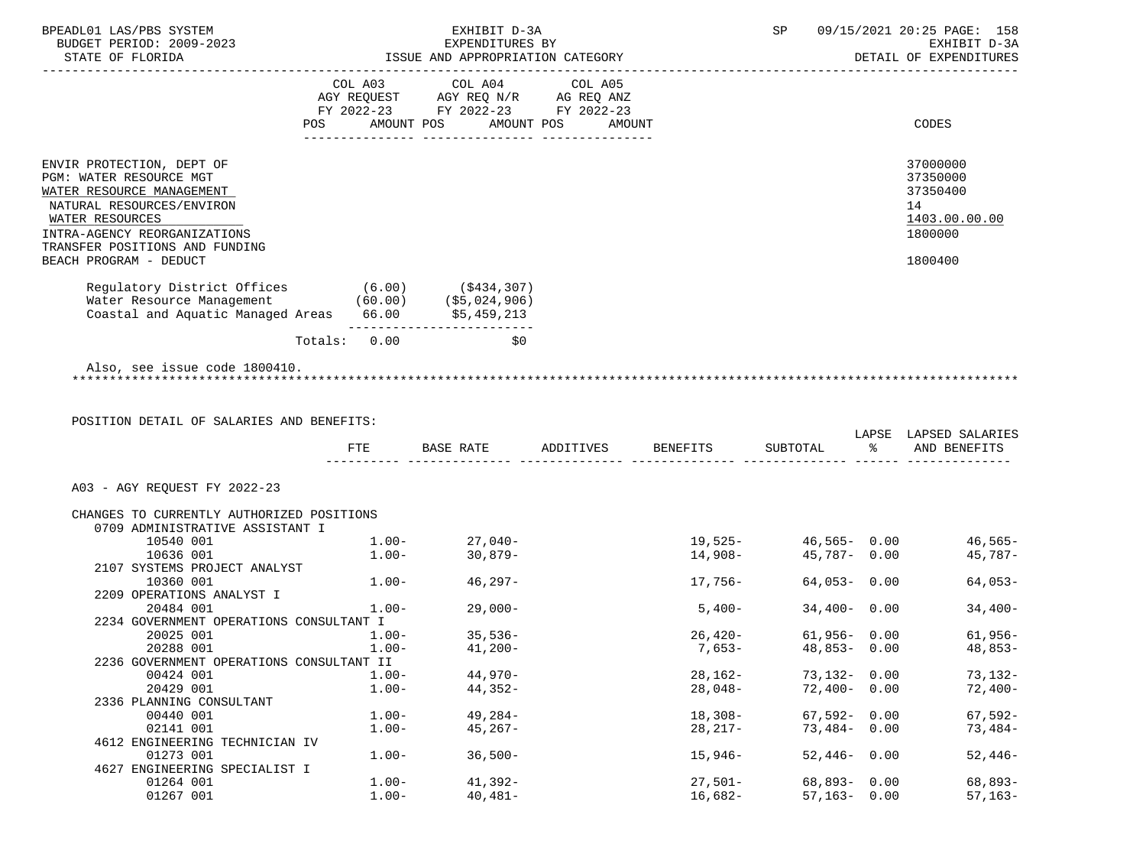| BPEADL01 LAS/PBS SYSTEM<br>BUDGET PERIOD: 2009-2023                                                                                                               |     |          | EXHIBIT D-3A<br>EXPENDITURES BY                  |                                                                                  | SP                           |                 | 09/15/2021 20:25 PAGE: 158<br>EXHIBIT D-3A<br>DETAIL OF EXPENDITURES |                                                                    |
|-------------------------------------------------------------------------------------------------------------------------------------------------------------------|-----|----------|--------------------------------------------------|----------------------------------------------------------------------------------|------------------------------|-----------------|----------------------------------------------------------------------|--------------------------------------------------------------------|
|                                                                                                                                                                   | POS |          | COL A03 COL A04 COL A05<br>AMOUNT POS AMOUNT POS | AGY REQUEST AGY REQ N/R AG REQ ANZ<br>FY 2022-23 FY 2022-23 FY 2022-23<br>AMOUNT |                              |                 |                                                                      | CODES                                                              |
|                                                                                                                                                                   |     |          |                                                  |                                                                                  |                              |                 |                                                                      |                                                                    |
| ENVIR PROTECTION, DEPT OF<br>PGM: WATER RESOURCE MGT<br>WATER RESOURCE MANAGEMENT<br>NATURAL RESOURCES/ENVIRON<br>WATER RESOURCES<br>INTRA-AGENCY REORGANIZATIONS |     |          |                                                  |                                                                                  |                              |                 |                                                                      | 37000000<br>37350000<br>37350400<br>14<br>1403.00.00.00<br>1800000 |
| TRANSFER POSITIONS AND FUNDING<br>BEACH PROGRAM - DEDUCT                                                                                                          |     |          |                                                  |                                                                                  |                              |                 |                                                                      | 1800400                                                            |
|                                                                                                                                                                   |     |          |                                                  |                                                                                  |                              |                 |                                                                      |                                                                    |
| Regulatory District Offices (6.00) (\$434,307)<br>Water Resource Management (60.00) (\$5,024,906)<br>Coastal and Aquatic Managed Areas 66.00 \$5,459,213          |     |          | ___________________________                      |                                                                                  |                              |                 |                                                                      |                                                                    |
|                                                                                                                                                                   |     |          | Totals: 0.00<br>\$0                              |                                                                                  |                              |                 |                                                                      |                                                                    |
| POSITION DETAIL OF SALARIES AND BENEFITS:                                                                                                                         |     | FTE      |                                                  |                                                                                  | BASE RATE ADDITIVES BENEFITS |                 |                                                                      | LAPSE LAPSED SALARIES<br>SUBTOTAL % AND BENEFITS                   |
| A03 - AGY REQUEST FY 2022-23                                                                                                                                      |     |          |                                                  |                                                                                  |                              |                 |                                                                      |                                                                    |
| CHANGES TO CURRENTLY AUTHORIZED POSITIONS                                                                                                                         |     |          |                                                  |                                                                                  |                              |                 |                                                                      |                                                                    |
| 0709 ADMINISTRATIVE ASSISTANT I                                                                                                                                   |     |          |                                                  |                                                                                  |                              |                 |                                                                      |                                                                    |
| 10540 001                                                                                                                                                         |     |          | $1.00 - 27,040 -$                                |                                                                                  | $19,525-$                    |                 |                                                                      | $46,565 - 0.00$ $46,565 -$                                         |
| 10636 001                                                                                                                                                         |     | $1.00 -$ | $30,879-$                                        |                                                                                  | 14,908-                      | 45,787- 0.00    |                                                                      | $45,787-$                                                          |
| 2107 SYSTEMS PROJECT ANALYST                                                                                                                                      |     |          |                                                  |                                                                                  |                              |                 |                                                                      |                                                                    |
| 10360 001                                                                                                                                                         |     |          | $1.00 - 46,297 -$                                |                                                                                  | 17,756-                      | $64,053 - 0.00$ |                                                                      | $64,053-$                                                          |
| 2209 OPERATIONS ANALYST I                                                                                                                                         |     |          |                                                  |                                                                                  |                              |                 |                                                                      |                                                                    |
| 20484 001<br>2234 GOVERNMENT OPERATIONS CONSULTANT I                                                                                                              |     | $1.00 -$ | $29,000-$                                        |                                                                                  | 5,400-                       | $34,400 - 0.00$ |                                                                      | $34,400-$                                                          |
| 20025 001                                                                                                                                                         |     | $1.00 -$ | $35,536-$                                        |                                                                                  | 26,420-                      | $61,956 - 0.00$ |                                                                      | $61,956-$                                                          |
| 20288 001                                                                                                                                                         |     | $1.00-$  | $41,200-$                                        |                                                                                  | $7,653-$                     | $48,853 - 0.00$ |                                                                      | $48,853-$                                                          |
| 2236 GOVERNMENT OPERATIONS CONSULTANT II                                                                                                                          |     |          |                                                  |                                                                                  |                              |                 |                                                                      |                                                                    |
| 00424 001                                                                                                                                                         |     | $1.00-$  | $44,970-$                                        |                                                                                  | $28,162-$                    | 73,132-         | 0.00                                                                 | $73,132-$                                                          |
| 20429 001                                                                                                                                                         |     | $1.00 -$ | 44,352-                                          |                                                                                  | $28,048-$                    | 72,400-         | 0.00                                                                 | $72,400-$                                                          |
| 2336 PLANNING CONSULTANT                                                                                                                                          |     |          |                                                  |                                                                                  |                              |                 |                                                                      |                                                                    |
| 00440 001                                                                                                                                                         |     | $1.00 -$ | $49,284-$                                        |                                                                                  | $18,308-$                    | 67,592-         | 0.00                                                                 | $67,592-$                                                          |
| 02141 001                                                                                                                                                         |     | $1.00 -$ | $45,267-$                                        |                                                                                  | $28,217-$                    | 73,484-         | 0.00                                                                 | $73,484-$                                                          |
| 4612 ENGINEERING TECHNICIAN IV<br>01273 001                                                                                                                       |     | $1.00-$  | $36,500-$                                        |                                                                                  | $15,946-$                    | 52,446-         | 0.00                                                                 | $52,446-$                                                          |
| 4627 ENGINEERING SPECIALIST I                                                                                                                                     |     |          |                                                  |                                                                                  |                              |                 |                                                                      |                                                                    |
| 01264 001                                                                                                                                                         |     |          |                                                  |                                                                                  |                              |                 |                                                                      |                                                                    |
|                                                                                                                                                                   |     | $1.00 -$ | $41,392-$                                        |                                                                                  | $27,501-$                    | 68,893-         | 0.00                                                                 | 68,893-                                                            |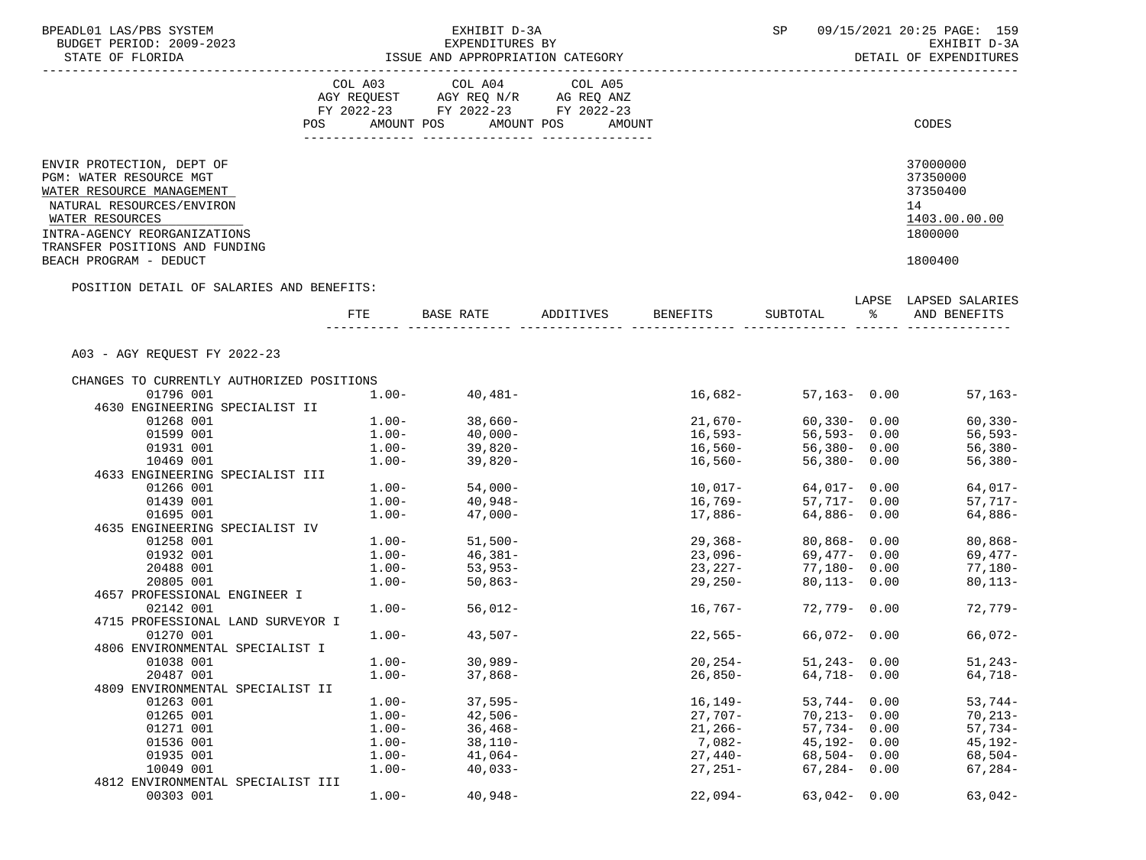| BPEADL01 LAS/PBS SYSTEM<br>BUDGET PERIOD: 2009-2023    |                                                                                                                | EXHIBIT D-3A<br>EXPENDITURES BY    | 09/15/2021 20:25 PAGE: 159<br>SP<br>EXHIBIT D-3A |                    |                             |                      |                                |
|--------------------------------------------------------|----------------------------------------------------------------------------------------------------------------|------------------------------------|--------------------------------------------------|--------------------|-----------------------------|----------------------|--------------------------------|
| STATE OF FLORIDA                                       |                                                                                                                | ISSUE AND APPROPRIATION CATEGORY   |                                                  |                    |                             |                      | DETAIL OF EXPENDITURES         |
|                                                        |                                                                                                                | COL A03 COL A04                    | COL A05                                          |                    |                             |                      |                                |
|                                                        |                                                                                                                | AGY REQUEST AGY REQ N/R AG REQ ANZ |                                                  |                    |                             |                      |                                |
|                                                        |                                                                                                                | FY 2022-23 FY 2022-23 FY 2022-23   |                                                  |                    |                             |                      |                                |
|                                                        | POS FOR THE POST OF THE STATE STATE STATE STATE STATE STATE STATE STATE STATE STATE STATE STATE STATE STATE ST | AMOUNT POS AMOUNT POS              | AMOUNT                                           |                    |                             |                      | CODES                          |
| ENVIR PROTECTION, DEPT OF                              |                                                                                                                |                                    |                                                  |                    |                             |                      | 37000000                       |
| PGM: WATER RESOURCE MGT                                |                                                                                                                |                                    |                                                  |                    |                             |                      | 37350000                       |
| WATER RESOURCE MANAGEMENT<br>NATURAL RESOURCES/ENVIRON |                                                                                                                |                                    |                                                  |                    |                             |                      | 37350400<br>14                 |
| WATER RESOURCES                                        |                                                                                                                |                                    |                                                  |                    |                             |                      | 1403.00.00.00                  |
| INTRA-AGENCY REORGANIZATIONS                           |                                                                                                                |                                    |                                                  |                    |                             |                      | 1800000                        |
| TRANSFER POSITIONS AND FUNDING                         |                                                                                                                |                                    |                                                  |                    |                             |                      |                                |
| BEACH PROGRAM - DEDUCT                                 |                                                                                                                |                                    |                                                  |                    |                             |                      | 1800400                        |
| POSITION DETAIL OF SALARIES AND BENEFITS:              |                                                                                                                |                                    |                                                  |                    |                             |                      | LAPSE LAPSED SALARIES          |
|                                                        | FTE                                                                                                            | BASE RATE                          | ADDITIVES BENEFITS                               |                    | SUBTOTAL                    | $\frac{1}{\sqrt{2}}$ | AND BENEFITS                   |
|                                                        |                                                                                                                |                                    |                                                  |                    |                             |                      |                                |
| A03 - AGY REOUEST FY 2022-23                           |                                                                                                                |                                    |                                                  |                    |                             |                      |                                |
| CHANGES TO CURRENTLY AUTHORIZED POSITIONS              |                                                                                                                |                                    |                                                  |                    |                             |                      |                                |
| 01796 001                                              |                                                                                                                | $1.00 - 40,481 -$                  |                                                  | 16,682-            |                             |                      | $57.163 - 0.00$<br>$57,163-$   |
| 4630 ENGINEERING SPECIALIST II                         |                                                                                                                |                                    |                                                  |                    |                             |                      |                                |
| 01268 001                                              | $1.00 -$                                                                                                       | $38,660-$                          |                                                  | $21,670-$          |                             |                      | $60,330 - 0.00$<br>$60, 330 -$ |
| 01599 001<br>01931 001                                 | $1.00 -$<br>$1.00 -$                                                                                           | 40,000-<br>39,820-                 |                                                  | 16,593–<br>16,560– | 56,593-0.00<br>56,380- 0.00 |                      | $56, 593 -$<br>56,380-         |
| 10469 001                                              | $1.00-$                                                                                                        | $39,820-$                          |                                                  | $16,560-$          | 56,380- 0.00                |                      | $56,380-$                      |
| 4633 ENGINEERING SPECIALIST III                        |                                                                                                                |                                    |                                                  |                    |                             |                      |                                |
| 01266 001                                              |                                                                                                                | $1.00 - 54,000 -$                  |                                                  | $10,017-$          | 64,017-0.00                 |                      | $64,017-$                      |
| 01439 001                                              | $1.00-$                                                                                                        | $40,948-$                          |                                                  | $16,769-$          | 57,717- 0.00                |                      | $57,717-$                      |
| 01695 001                                              | $1.00-$                                                                                                        | $47,000-$                          |                                                  | 17,886-            | 64,886- 0.00                |                      | 64,886-                        |
| 4635 ENGINEERING SPECIALIST IV                         |                                                                                                                |                                    |                                                  |                    |                             |                      |                                |
| 01258 001                                              | $1.00-$                                                                                                        | 51,500-<br>46,381-                 |                                                  | 29,368-<br>23,096- | 80,868-0.00                 |                      | $80,868-$                      |
| 01932 001                                              | $1.00-$                                                                                                        |                                    |                                                  |                    | 69,477- 0.00                |                      | 69,477-                        |
| 20488 001                                              | $1.00-$                                                                                                        | $53,953-$                          |                                                  | $23,227-$          | 77,180- 0.00                |                      | $77,180-$                      |
| 20805 001<br>4657 PROFESSIONAL ENGINEER I              | $1.00-$                                                                                                        | $50,863-$                          |                                                  | 29,250-            | $80.113 - 0.00$             |                      | $80,113-$                      |
| 02142 001                                              |                                                                                                                | $1.00 - 56,012 -$                  |                                                  | 16,767-            | 72,779-0.00                 |                      | 72,779-                        |
| 4715 PROFESSIONAL LAND SURVEYOR I                      |                                                                                                                |                                    |                                                  |                    |                             |                      |                                |
| 01270 001                                              | $1.00-$                                                                                                        | $43,507-$                          |                                                  | $22,565-$          | 66,072- 0.00                |                      | 66,072-                        |
| 4806 ENVIRONMENTAL SPECIALIST I                        |                                                                                                                |                                    |                                                  |                    |                             |                      |                                |
| 01038 001                                              | $1.00 -$                                                                                                       | $30,989-$                          |                                                  | $20, 254 -$        | $51,243 - 0.00$             |                      | $51,243-$                      |
| 20487 001                                              | $1.00 -$                                                                                                       | $37,868-$                          |                                                  | $26,850-$          | $64,718 - 0.00$             |                      | 64,718-                        |
| 4809 ENVIRONMENTAL SPECIALIST II                       |                                                                                                                |                                    |                                                  |                    |                             |                      |                                |
| 01263 001                                              | $1.00-$                                                                                                        | $37,595-$                          |                                                  | 16,149–            | $53,744 - 0.00$             |                      | $53,744-$                      |
| 01265 001                                              | $1.00 -$                                                                                                       | $42,506-$                          |                                                  | $27,707-$          | $70,213 - 0.00$             |                      | $70,213-$                      |
| 01271 001                                              | $1.00-$                                                                                                        | $36,468-$                          |                                                  | $21,266-$          | $57,734 - 0.00$             |                      | $57,734-$                      |
| 01536 001                                              | $1.00-$                                                                                                        | $38,110-$                          |                                                  | 7,082-             | $45,192 - 0.00$             |                      | $45, 192 -$                    |
| 01935 001<br>10049 001                                 | $1.00 -$                                                                                                       | $41,064-$                          |                                                  | $27,440-$          | $68,504 - 0.00$             |                      | $68,504-$                      |
| 4812 ENVIRONMENTAL SPECIALIST III                      | $1.00-$                                                                                                        | $40,033-$                          |                                                  | $27,251-$          | $67,284 - 0.00$             |                      | $67, 284-$                     |
| 00303 001                                              | $1.00-$                                                                                                        | $40,948-$                          |                                                  | $22,094-$          | $63,042 - 0.00$             |                      | $63,042-$                      |
|                                                        |                                                                                                                |                                    |                                                  |                    |                             |                      |                                |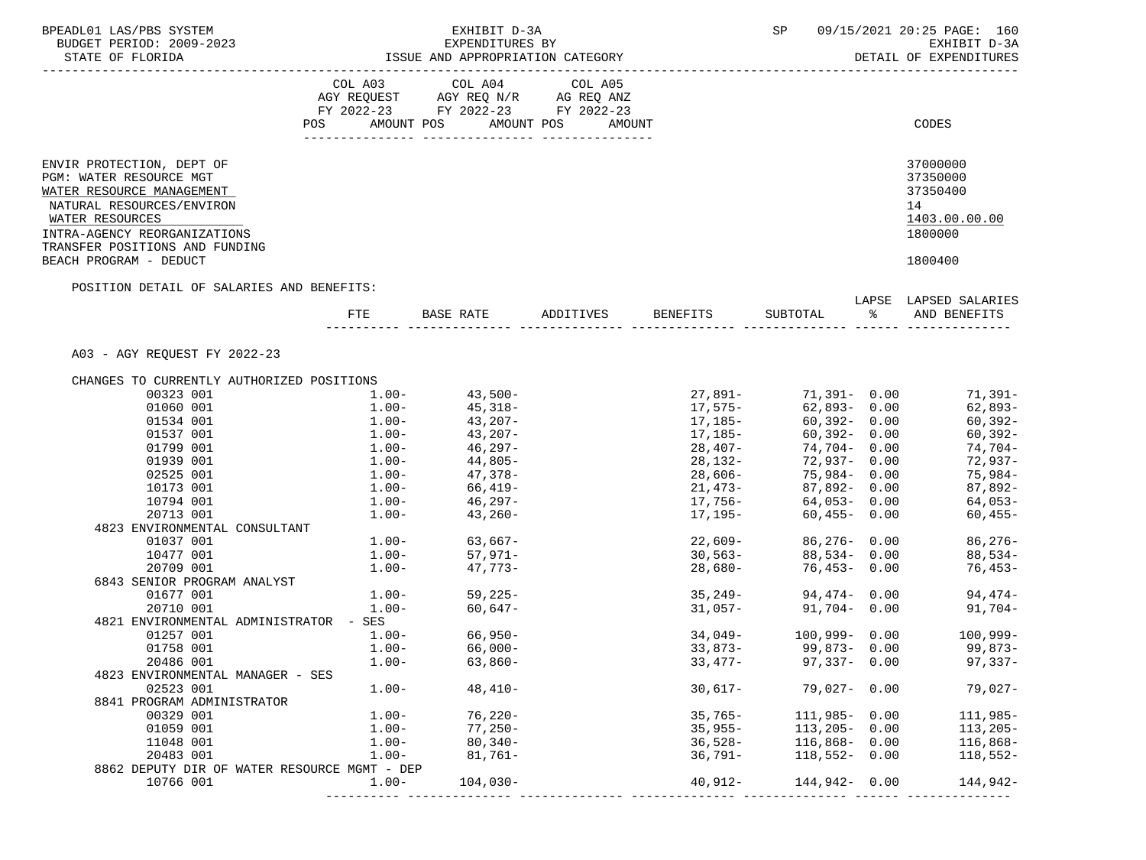| BPEADL01 LAS/PBS SYSTEM<br>BUDGET PERIOD: 2009-2023      |                                  | EXHIBIT D-3A<br>EXPENDITURES BY                                                                                                                                                         | SP                                        | 09/15/2021 20:25 PAGE: 160<br>EXHIBIT D-3A |                              |               |                                  |
|----------------------------------------------------------|----------------------------------|-----------------------------------------------------------------------------------------------------------------------------------------------------------------------------------------|-------------------------------------------|--------------------------------------------|------------------------------|---------------|----------------------------------|
| STATE OF FLORIDA                                         | ISSUE AND APPROPRIATION CATEGORY | DETAIL OF EXPENDITURES                                                                                                                                                                  |                                           |                                            |                              |               |                                  |
|                                                          |                                  | $\begin{tabular}{lllllllllll} COL & A03 & \multicolumn{2}{l}COL & A04 & \multicolumn{2}{l}COL & A05 \\ AGY & REQUEST & AGY REQ & N/R & \multicolumn{2}{l}AG REQ & ANZ \\ \end{tabular}$ |                                           |                                            |                              |               |                                  |
|                                                          |                                  |                                                                                                                                                                                         |                                           |                                            |                              |               |                                  |
|                                                          |                                  | FY 2022-23 FY 2022-23 FY 2022-23                                                                                                                                                        |                                           |                                            |                              |               |                                  |
|                                                          |                                  |                                                                                                                                                                                         | POS AMOUNT POS AMOUNT POS AMOUNT          |                                            |                              |               | CODES                            |
| ENVIR PROTECTION, DEPT OF                                |                                  |                                                                                                                                                                                         |                                           |                                            |                              |               | 37000000                         |
| PGM: WATER RESOURCE MGT                                  |                                  |                                                                                                                                                                                         |                                           |                                            |                              |               | 37350000                         |
| WATER RESOURCE MANAGEMENT                                |                                  |                                                                                                                                                                                         |                                           |                                            |                              |               | 37350400                         |
| NATURAL RESOURCES/ENVIRON                                |                                  |                                                                                                                                                                                         |                                           |                                            |                              |               | 14                               |
| WATER RESOURCES                                          |                                  |                                                                                                                                                                                         |                                           |                                            |                              |               | 1403.00.00.00                    |
| INTRA-AGENCY REORGANIZATIONS                             |                                  |                                                                                                                                                                                         |                                           |                                            |                              |               | 1800000                          |
| TRANSFER POSITIONS AND FUNDING<br>BEACH PROGRAM - DEDUCT |                                  |                                                                                                                                                                                         |                                           |                                            |                              |               | 1800400                          |
| POSITION DETAIL OF SALARIES AND BENEFITS:                |                                  |                                                                                                                                                                                         |                                           |                                            |                              |               |                                  |
|                                                          |                                  |                                                                                                                                                                                         |                                           |                                            |                              |               | LAPSE LAPSED SALARIES            |
|                                                          |                                  |                                                                                                                                                                                         | FTE BASE RATE ADDITIVES BENEFITS SUBTOTAL |                                            |                              | $\frac{1}{6}$ | AND BENEFITS                     |
| A03 - AGY REQUEST FY 2022-23                             |                                  |                                                                                                                                                                                         |                                           |                                            |                              |               |                                  |
| CHANGES TO CURRENTLY AUTHORIZED POSITIONS                |                                  |                                                                                                                                                                                         |                                           |                                            |                              |               |                                  |
| 00323 001                                                |                                  | $1.00 - 43,500 -$                                                                                                                                                                       |                                           |                                            |                              |               | $27,891 - 71,391 - 0.00$ 71,391- |
| 01060 001                                                |                                  | $1.00 45,318-$<br>$1.00 43,207-$                                                                                                                                                        |                                           | 17,575–<br>17,185–                         | 62,893-0.00                  |               | 62,893-                          |
| 01534 001                                                |                                  |                                                                                                                                                                                         |                                           |                                            | 60,392- 0.00                 |               | 60,392-                          |
| 01537 001                                                |                                  | $1.00 43.207-$<br>$1.00 46.297-$<br>$1.00 44.805-$                                                                                                                                      |                                           | $17,185-$                                  | 60,392-0.00                  |               | $60, 392 -$                      |
| 01799 001<br>01939 001                                   |                                  |                                                                                                                                                                                         |                                           | 28,407-<br>28,132-                         | 74,704-0.00<br>72,937-0.00   |               | 74,704-<br>72,937-               |
| 02525 001                                                |                                  |                                                                                                                                                                                         |                                           |                                            |                              |               | 75,984-                          |
| 10173 001                                                |                                  | $1.00 - 47,378 - 1.00 - 66,419 -$                                                                                                                                                       |                                           | 28,606-<br>21,473-                         | 75,984- 0.00<br>87,892- 0.00 |               | 87,892-                          |
| 10794 001                                                |                                  | $1.00 - 46,297 -$                                                                                                                                                                       |                                           | 17,756-                                    |                              |               | $64,053 - 0.00$ 64,053-          |
| 20713 001                                                |                                  | $1.00 - 43,260 -$                                                                                                                                                                       |                                           | 17,195-                                    | $60,455 - 0.00$              |               | $60,455-$                        |
| 4823 ENVIRONMENTAL CONSULTANT                            |                                  |                                                                                                                                                                                         |                                           |                                            |                              |               |                                  |
| 01037 001                                                |                                  | $1.00 - 63,667 - 1.00 - 57,971 -$                                                                                                                                                       |                                           | 22,609–<br>30,563–                         |                              |               | $86,276 - 0.00$ 86,276-          |
| 10477 001                                                |                                  |                                                                                                                                                                                         |                                           |                                            | 88,534- 0.00                 |               | 88,534-                          |
| 20709 001                                                |                                  | $1.00 - 47.773 -$                                                                                                                                                                       |                                           | $28,680-$                                  | $76,453 - 0.00$              |               | 76,453-                          |
| 6843 SENIOR PROGRAM ANALYST                              |                                  |                                                                                                                                                                                         |                                           |                                            |                              |               |                                  |
| 01677 001                                                |                                  | $1.00 - 59,225 -$                                                                                                                                                                       |                                           | $35,249-$                                  |                              |               | $94,474 - 0.00$ 94,474-          |
| 20710 001<br>4821 ENVIRONMENTAL ADMINISTRATOR - SES      | $1.00-$                          | 60,647-                                                                                                                                                                                 |                                           |                                            | $31,057 - 91,704 - 0.00$     |               | $91,704-$                        |
| 01257 001                                                | $1.00-$                          | $66,950-$                                                                                                                                                                               |                                           |                                            | $34,049 - 100,999 - 0.00$    |               | $100,999-$                       |
| 01758 001                                                | $1.00-$                          | $66,000-$                                                                                                                                                                               |                                           | $33,873-$                                  | 99,873- 0.00                 |               | 99,873-                          |
| 20486 001                                                | $1.00-$                          | $63,860-$                                                                                                                                                                               |                                           | 33,477-                                    | $97,337 - 0.00$              |               | $97,337-$                        |
| 4823 ENVIRONMENTAL MANAGER - SES                         |                                  |                                                                                                                                                                                         |                                           |                                            |                              |               |                                  |
| 02523 001                                                | $1.00 -$                         | $48,410-$                                                                                                                                                                               |                                           | $30,617-$                                  | $79,027 - 0.00$              |               | $79,027-$                        |
| 8841 PROGRAM ADMINISTRATOR                               |                                  |                                                                                                                                                                                         |                                           |                                            |                              |               |                                  |
| 00329 001                                                | $1.00 -$                         | $76,220-$                                                                                                                                                                               |                                           | $35,765-$                                  | $111,985 - 0.00$             |               | $111,985-$                       |
| 01059 001                                                | $1.00 -$                         | $77,250-$                                                                                                                                                                               |                                           | $35,955-$                                  | $113, 205 - 0.00$            |               | $113,205-$                       |
| 11048 001                                                | $1.00 -$                         | $80,340-$                                                                                                                                                                               |                                           | $36,528-$                                  | $116,868 - 0.00$             |               | $116,868-$                       |
| 20483 001                                                | $1.00 -$                         | $81,761-$                                                                                                                                                                               |                                           | 36,791-                                    | $118,552 - 0.00$             |               | $118,552-$                       |
| 8862 DEPUTY DIR OF WATER RESOURCE MGMT - DEP             |                                  |                                                                                                                                                                                         |                                           |                                            |                              |               |                                  |
| 10766 001                                                | $1.00-$                          | $104,030-$                                                                                                                                                                              |                                           | $40,912-$                                  | $144,942 - 0.00$             |               | 144,942-                         |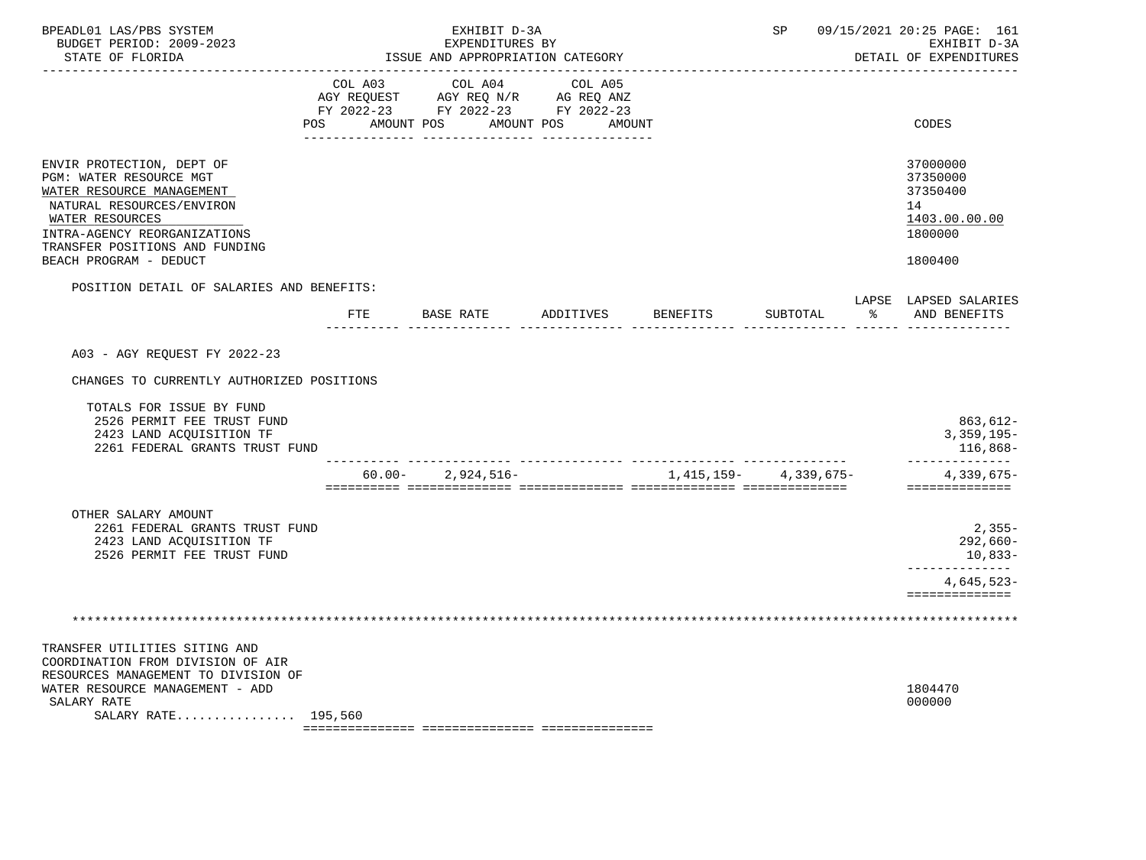| BPEADL01 LAS/PBS SYSTEM<br>BUDGET PERIOD: 2009-2023<br>STATE OF FLORIDA                                                                                                                                                       |                | EXHIBIT D-3A<br>EXPENDITURES BY<br>ISSUE AND APPROPRIATION CATEGORY                                               | SP        |                 | 09/15/2021 20:25 PAGE: 161<br>EXHIBIT D-3A<br>DETAIL OF EXPENDITURES |        |                                                                               |
|-------------------------------------------------------------------------------------------------------------------------------------------------------------------------------------------------------------------------------|----------------|-------------------------------------------------------------------------------------------------------------------|-----------|-----------------|----------------------------------------------------------------------|--------|-------------------------------------------------------------------------------|
|                                                                                                                                                                                                                               | COL A03<br>POS | COL A04<br>AGY REQUEST AGY REQ N/R AG REQ ANZ<br>FY 2022-23 FY 2022-23 FY 2022-23<br>AMOUNT POS AMOUNT POS AMOUNT | COL A05   |                 |                                                                      |        | <b>CODES</b>                                                                  |
| ENVIR PROTECTION, DEPT OF<br>PGM: WATER RESOURCE MGT<br>WATER RESOURCE MANAGEMENT<br>NATURAL RESOURCES/ENVIRON<br>WATER RESOURCES<br>INTRA-AGENCY REORGANIZATIONS<br>TRANSFER POSITIONS AND FUNDING<br>BEACH PROGRAM - DEDUCT |                |                                                                                                                   |           |                 |                                                                      |        | 37000000<br>37350000<br>37350400<br>14<br>1403.00.00.00<br>1800000<br>1800400 |
| POSITION DETAIL OF SALARIES AND BENEFITS:                                                                                                                                                                                     | FTE            | <b>BASE RATE</b>                                                                                                  | ADDITIVES | <b>BENEFITS</b> | SUBTOTAL                                                             | နွေ တာ | LAPSE LAPSED SALARIES<br>AND BENEFITS                                         |
| A03 - AGY REQUEST FY 2022-23<br>CHANGES TO CURRENTLY AUTHORIZED POSITIONS<br>TOTALS FOR ISSUE BY FUND<br>2526 PERMIT FEE TRUST FUND<br>2423 LAND ACQUISITION TF<br>2261 FEDERAL GRANTS TRUST FUND                             |                |                                                                                                                   |           |                 |                                                                      |        | 863,612-<br>$3,359,195-$<br>116,868–<br>--------------                        |
|                                                                                                                                                                                                                               | 60.00-         | $2,924,516-$                                                                                                      |           | 1,415,159–      | 4,339,675-                                                           |        | $4,339,675-$<br>==============                                                |
| OTHER SALARY AMOUNT<br>2261 FEDERAL GRANTS TRUST FUND<br>2423 LAND ACOUISITION TF<br>2526 PERMIT FEE TRUST FUND                                                                                                               |                |                                                                                                                   |           |                 |                                                                      |        | 2,355-<br>$292,660-$<br>10,833-<br><u> Liberal Liberal III</u>                |
|                                                                                                                                                                                                                               |                |                                                                                                                   |           |                 |                                                                      |        | $4,645,523-$<br>==============                                                |
|                                                                                                                                                                                                                               |                |                                                                                                                   |           |                 |                                                                      |        |                                                                               |
| TRANSFER UTILITIES SITING AND<br>COORDINATION FROM DIVISION OF AIR<br>RESOURCES MANAGEMENT TO DIVISION OF<br>WATER RESOURCE MANAGEMENT - ADD<br>SALARY RATE<br>SALARY RATE 195,560                                            |                |                                                                                                                   |           |                 |                                                                      |        | 1804470<br>000000                                                             |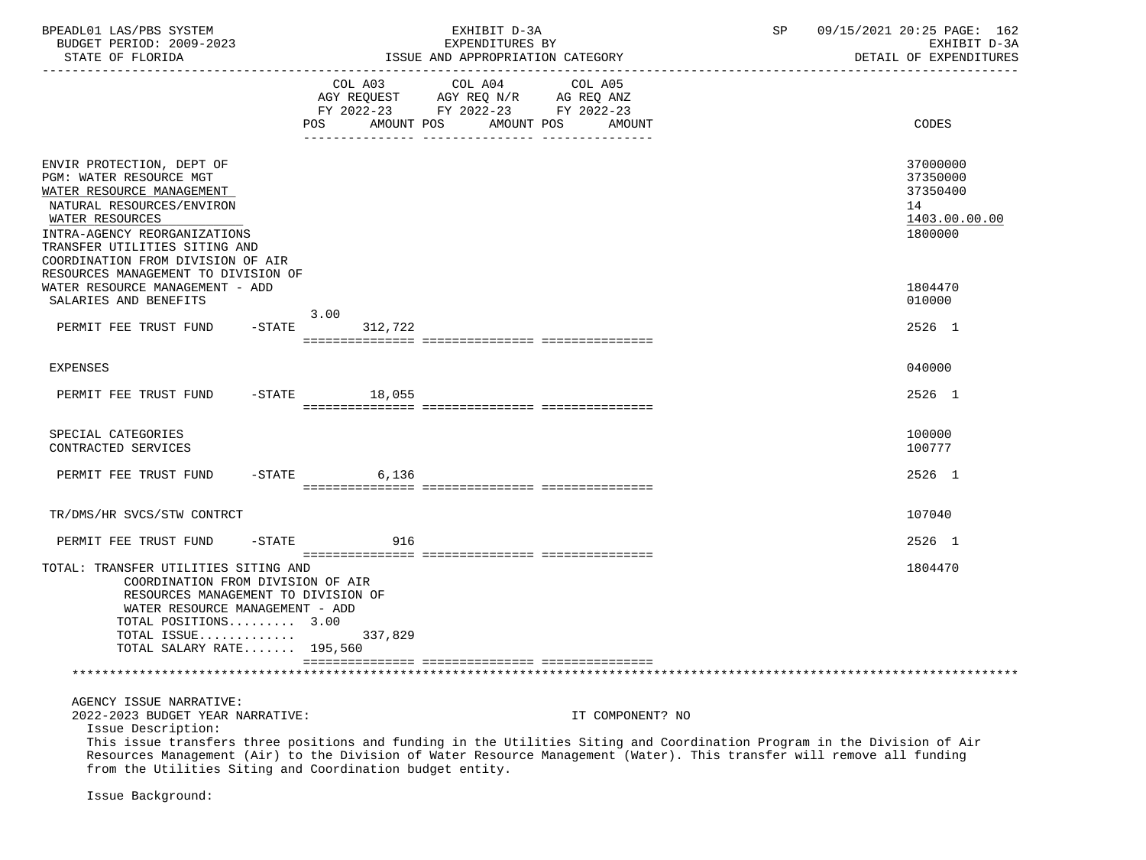| BPEADL01 LAS/PBS SYSTEM                                                                                                                                                                                                                                                                                                               |                                    |  |  | EXHIBIT D-3A                     |         |                  | 09/15/2021 20:25 PAGE: 162<br>SP |  |                                                                    |  |  |
|---------------------------------------------------------------------------------------------------------------------------------------------------------------------------------------------------------------------------------------------------------------------------------------------------------------------------------------|------------------------------------|--|--|----------------------------------|---------|------------------|----------------------------------|--|--------------------------------------------------------------------|--|--|
| BUDGET PERIOD: 2009-2023                                                                                                                                                                                                                                                                                                              | EXPENDITURES BY                    |  |  |                                  |         |                  |                                  |  | EXHIBIT D-3A                                                       |  |  |
| STATE OF FLORIDA                                                                                                                                                                                                                                                                                                                      |                                    |  |  | ISSUE AND APPROPRIATION CATEGORY |         |                  |                                  |  | DETAIL OF EXPENDITURES                                             |  |  |
|                                                                                                                                                                                                                                                                                                                                       | AGY REQUEST AGY REQ N/R AG REQ ANZ |  |  | COL A03 COL A04                  | COL A05 |                  |                                  |  |                                                                    |  |  |
|                                                                                                                                                                                                                                                                                                                                       | FY 2022-23 FY 2022-23 FY 2022-23   |  |  |                                  |         |                  |                                  |  |                                                                    |  |  |
|                                                                                                                                                                                                                                                                                                                                       | POS AMOUNT POS AMOUNT POS          |  |  |                                  |         | AMOUNT           |                                  |  | CODES                                                              |  |  |
| ENVIR PROTECTION, DEPT OF<br>PGM: WATER RESOURCE MGT<br>WATER RESOURCE MANAGEMENT<br>NATURAL RESOURCES/ENVIRON<br>WATER RESOURCES<br>INTRA-AGENCY REORGANIZATIONS<br>TRANSFER UTILITIES SITING AND                                                                                                                                    |                                    |  |  |                                  |         |                  |                                  |  | 37000000<br>37350000<br>37350400<br>14<br>1403.00.00.00<br>1800000 |  |  |
| COORDINATION FROM DIVISION OF AIR                                                                                                                                                                                                                                                                                                     |                                    |  |  |                                  |         |                  |                                  |  |                                                                    |  |  |
| RESOURCES MANAGEMENT TO DIVISION OF<br>WATER RESOURCE MANAGEMENT - ADD<br>SALARIES AND BENEFITS                                                                                                                                                                                                                                       |                                    |  |  |                                  |         |                  |                                  |  | 1804470<br>010000                                                  |  |  |
|                                                                                                                                                                                                                                                                                                                                       | 3.00                               |  |  |                                  |         |                  |                                  |  |                                                                    |  |  |
| PERMIT FEE TRUST FUND -STATE 312,722                                                                                                                                                                                                                                                                                                  |                                    |  |  |                                  |         |                  |                                  |  | 2526 1                                                             |  |  |
| EXPENSES                                                                                                                                                                                                                                                                                                                              |                                    |  |  |                                  |         |                  |                                  |  | 040000                                                             |  |  |
| PERMIT FEE TRUST FUND -STATE 18,055                                                                                                                                                                                                                                                                                                   |                                    |  |  |                                  |         |                  |                                  |  | 2526 1                                                             |  |  |
| SPECIAL CATEGORIES<br>CONTRACTED SERVICES                                                                                                                                                                                                                                                                                             |                                    |  |  |                                  |         |                  |                                  |  | 100000<br>100777                                                   |  |  |
| PERMIT FEE TRUST FUND -STATE 6,136                                                                                                                                                                                                                                                                                                    |                                    |  |  |                                  |         |                  |                                  |  | 2526 1                                                             |  |  |
| TR/DMS/HR SVCS/STW CONTRCT                                                                                                                                                                                                                                                                                                            |                                    |  |  |                                  |         |                  |                                  |  | 107040                                                             |  |  |
| PERMIT FEE TRUST FUND                                                                                                                                                                                                                                                                                                                 | -STATE 916                         |  |  |                                  |         |                  |                                  |  | 2526 1                                                             |  |  |
| TOTAL: TRANSFER UTILITIES SITING AND<br>COORDINATION FROM DIVISION OF AIR<br>RESOURCES MANAGEMENT TO DIVISION OF<br>WATER RESOURCE MANAGEMENT - ADD<br>TOTAL POSITIONS 3.00<br>TOTAL ISSUE 337,829<br>TOTAL SALARY RATE 195,560                                                                                                       |                                    |  |  |                                  |         |                  |                                  |  | 1804470                                                            |  |  |
|                                                                                                                                                                                                                                                                                                                                       |                                    |  |  |                                  |         |                  |                                  |  |                                                                    |  |  |
| AGENCY ISSUE NARRATIVE:<br>2022-2023 BUDGET YEAR NARRATIVE:                                                                                                                                                                                                                                                                           |                                    |  |  |                                  |         | IT COMPONENT? NO |                                  |  |                                                                    |  |  |
| Issue Description:<br>This issue transfers three positions and funding in the Utilities Siting and Coordination Program in the Division of Air<br>Resources Management (Air) to the Division of Water Resource Management (Water). This transfer will remove all funding<br>from the Utilities Siting and Coordination budget entity. |                                    |  |  |                                  |         |                  |                                  |  |                                                                    |  |  |
| Issue Background:                                                                                                                                                                                                                                                                                                                     |                                    |  |  |                                  |         |                  |                                  |  |                                                                    |  |  |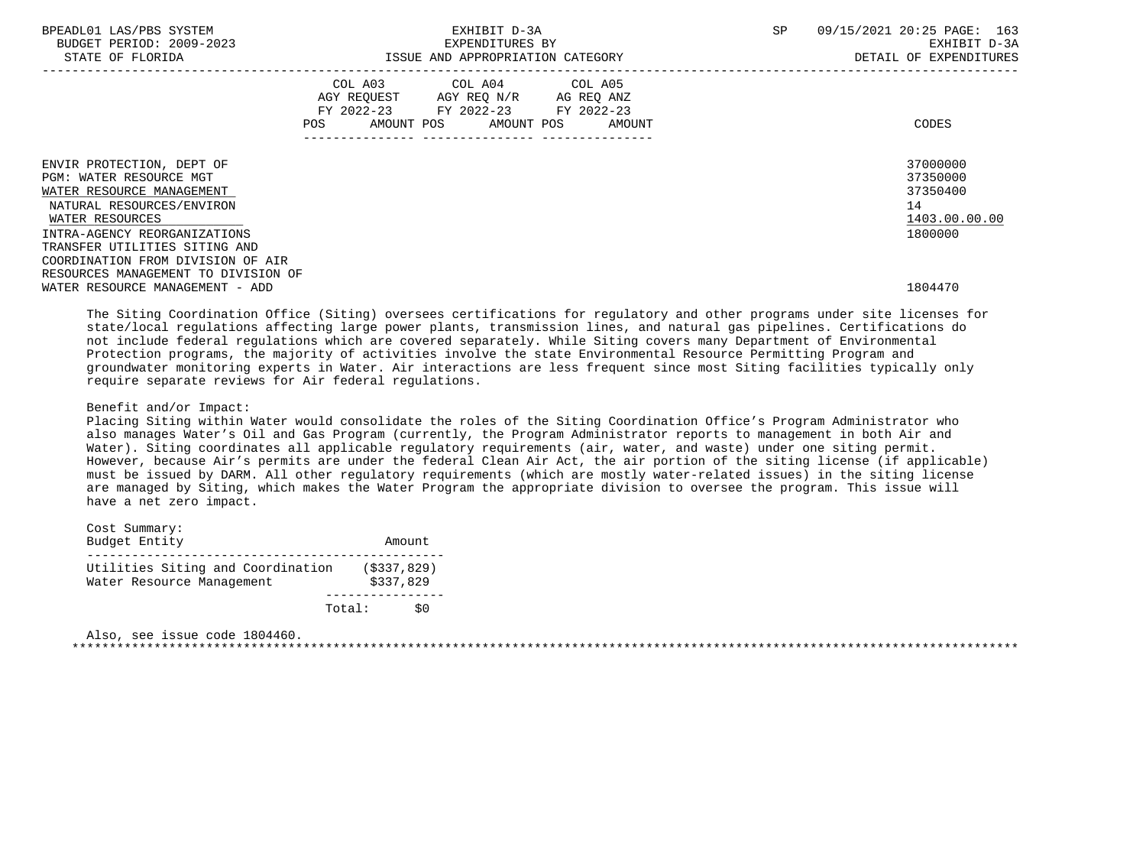| BPEADL01 LAS/PBS SYSTEM<br>BUDGET PERIOD: 2009-2023<br>STATE OF FLORIDA                                                                                                                                                                 |                                                                                                                | EXHIBIT D-3A<br>EXPENDITURES BY                                                                                      | ISSUE AND APPROPRIATION CATEGORY | SP | 09/15/2021 20:25 PAGE: 163<br>EXHIBIT D-3A<br>DETAIL OF EXPENDITURES |
|-----------------------------------------------------------------------------------------------------------------------------------------------------------------------------------------------------------------------------------------|----------------------------------------------------------------------------------------------------------------|----------------------------------------------------------------------------------------------------------------------|----------------------------------|----|----------------------------------------------------------------------|
|                                                                                                                                                                                                                                         | POS FOR THE POST OF THE STATE STATE STATE STATE STATE STATE STATE STATE STATE STATE STATE STATE STATE STATE ST | COL A03 COL A04 COL A05<br>AGY REQUEST AGY REQ N/R AG REQ ANZ<br>FY 2022-23 FY 2022-23 FY 2022-23<br>--------------- | AMOUNT POS AMOUNT POS AMOUNT     |    | CODES                                                                |
| ENVIR PROTECTION, DEPT OF<br>PGM: WATER RESOURCE MGT<br>WATER RESOURCE MANAGEMENT<br>NATURAL RESOURCES/ENVIRON<br>WATER RESOURCES<br>INTRA-AGENCY REORGANIZATIONS<br>TRANSFER UTILITIES SITING AND<br>COORDINATION FROM DIVISION OF AIR |                                                                                                                |                                                                                                                      |                                  |    | 37000000<br>37350000<br>37350400<br>14<br>1403.00.00.00<br>1800000   |
| RESOURCES MANAGEMENT TO DIVISION OF<br>WATER RESOURCE MANAGEMENT - ADD                                                                                                                                                                  |                                                                                                                |                                                                                                                      |                                  |    | 1804470                                                              |

 The Siting Coordination Office (Siting) oversees certifications for regulatory and other programs under site licenses for state/local regulations affecting large power plants, transmission lines, and natural gas pipelines. Certifications do not include federal regulations which are covered separately. While Siting covers many Department of Environmental Protection programs, the majority of activities involve the state Environmental Resource Permitting Program and groundwater monitoring experts in Water. Air interactions are less frequent since most Siting facilities typically only require separate reviews for Air federal regulations.

#### Benefit and/or Impact:

 Placing Siting within Water would consolidate the roles of the Siting Coordination Office's Program Administrator who also manages Water's Oil and Gas Program (currently, the Program Administrator reports to management in both Air and Water). Siting coordinates all applicable regulatory requirements (air, water, and waste) under one siting permit. However, because Air's permits are under the federal Clean Air Act, the air portion of the siting license (if applicable) must be issued by DARM. All other regulatory requirements (which are mostly water-related issues) in the siting license are managed by Siting, which makes the Water Program the appropriate division to oversee the program. This issue will have a net zero impact.

| Cost Summary:                                                  |                            |    |
|----------------------------------------------------------------|----------------------------|----|
| Budget Entity                                                  | Amount                     |    |
|                                                                |                            |    |
| Utilities Siting and Coordination<br>Water Resource Management | ( \$337, 829)<br>\$337,829 |    |
| Total:                                                         |                            | S0 |

 Also, see issue code 1804460. \*\*\*\*\*\*\*\*\*\*\*\*\*\*\*\*\*\*\*\*\*\*\*\*\*\*\*\*\*\*\*\*\*\*\*\*\*\*\*\*\*\*\*\*\*\*\*\*\*\*\*\*\*\*\*\*\*\*\*\*\*\*\*\*\*\*\*\*\*\*\*\*\*\*\*\*\*\*\*\*\*\*\*\*\*\*\*\*\*\*\*\*\*\*\*\*\*\*\*\*\*\*\*\*\*\*\*\*\*\*\*\*\*\*\*\*\*\*\*\*\*\*\*\*\*\*\*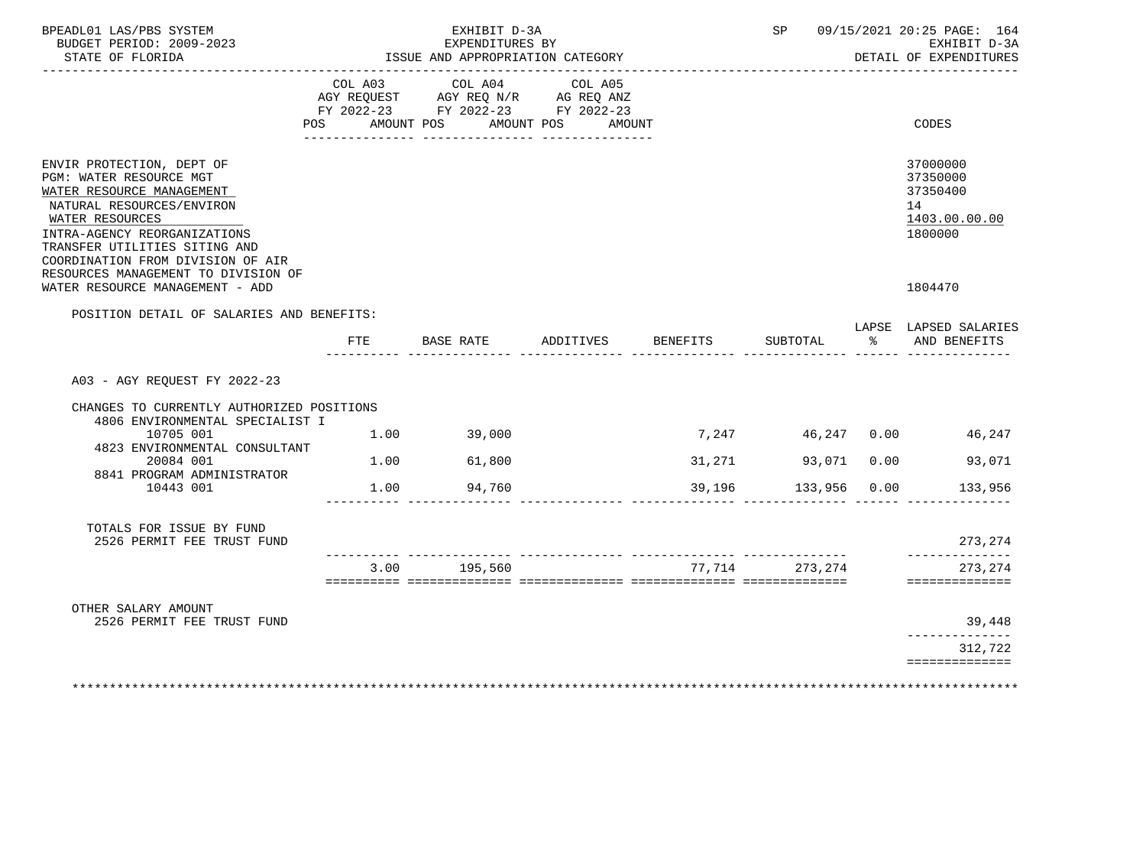| BPEADL01 LAS/PBS SYSTEM<br>BUDGET PERIOD: 2009-2023<br>STATE OF FLORIDA                                                                                                                                                                                                        | EXHIBIT D-3A<br>EXPENDITURES BY<br>ISSUE AND APPROPRIATION CATEGORY |                       |           |             |                                                                                                        | SP |          | 09/15/2021 20:25 PAGE: 164<br>EXHIBIT D-3A<br>DETAIL OF EXPENDITURES |               |                                                                    |
|--------------------------------------------------------------------------------------------------------------------------------------------------------------------------------------------------------------------------------------------------------------------------------|---------------------------------------------------------------------|-----------------------|-----------|-------------|--------------------------------------------------------------------------------------------------------|----|----------|----------------------------------------------------------------------|---------------|--------------------------------------------------------------------|
|                                                                                                                                                                                                                                                                                | POS                                                                 | COL A03<br>AMOUNT POS |           | COL A04     | COL A05<br>AGY REQUEST AGY REQ N/R AG REQ ANZ<br>FY 2022-23 FY 2022-23 FY 2022-23<br>AMOUNT POS AMOUNT |    |          |                                                                      |               | CODES                                                              |
| ENVIR PROTECTION, DEPT OF<br>PGM: WATER RESOURCE MGT<br>WATER RESOURCE MANAGEMENT<br>NATURAL RESOURCES/ENVIRON<br>WATER RESOURCES<br>INTRA-AGENCY REORGANIZATIONS<br>TRANSFER UTILITIES SITING AND<br>COORDINATION FROM DIVISION OF AIR<br>RESOURCES MANAGEMENT TO DIVISION OF |                                                                     |                       |           |             |                                                                                                        |    |          |                                                                      |               | 37000000<br>37350000<br>37350400<br>14<br>1403.00.00.00<br>1800000 |
| WATER RESOURCE MANAGEMENT - ADD                                                                                                                                                                                                                                                |                                                                     |                       |           |             |                                                                                                        |    |          |                                                                      |               | 1804470                                                            |
| POSITION DETAIL OF SALARIES AND BENEFITS:                                                                                                                                                                                                                                      |                                                                     |                       |           |             |                                                                                                        |    |          |                                                                      |               | LAPSE LAPSED SALARIES                                              |
|                                                                                                                                                                                                                                                                                |                                                                     | FTE.                  | BASE RATE |             | ADDITIVES                                                                                              |    | BENEFITS | SUBTOTAL                                                             | $\frac{1}{2}$ | AND BENEFITS                                                       |
| A03 - AGY REOUEST FY 2022-23                                                                                                                                                                                                                                                   |                                                                     |                       |           |             |                                                                                                        |    |          |                                                                      |               |                                                                    |
| CHANGES TO CURRENTLY AUTHORIZED POSITIONS<br>4806 ENVIRONMENTAL SPECIALIST I                                                                                                                                                                                                   |                                                                     |                       |           |             |                                                                                                        |    |          |                                                                      |               |                                                                    |
| 10705 001<br>4823 ENVIRONMENTAL CONSULTANT                                                                                                                                                                                                                                     |                                                                     |                       |           | 1.00 39,000 |                                                                                                        |    | 7,247    |                                                                      |               | 46,247 0.00<br>46,247                                              |
| 20084 001<br>8841 PROGRAM ADMINISTRATOR                                                                                                                                                                                                                                        |                                                                     | 1.00                  |           | 61,800      |                                                                                                        |    | 31,271   | 93,071 0.00                                                          |               | 93,071                                                             |
| 10443 001                                                                                                                                                                                                                                                                      |                                                                     | 1.00                  |           | 94,760      |                                                                                                        |    | 39,196   | 133,956 0.00                                                         |               | 133,956                                                            |
| TOTALS FOR ISSUE BY FUND<br>2526 PERMIT FEE TRUST FUND                                                                                                                                                                                                                         |                                                                     |                       |           |             |                                                                                                        |    |          |                                                                      |               | 273, 274                                                           |
|                                                                                                                                                                                                                                                                                |                                                                     | 3.00                  |           | 195,560     |                                                                                                        |    |          | 77,714 273,274                                                       |               | --------------<br>273, 274                                         |
|                                                                                                                                                                                                                                                                                |                                                                     |                       |           |             |                                                                                                        |    |          |                                                                      |               | ==============                                                     |
| OTHER SALARY AMOUNT<br>2526 PERMIT FEE TRUST FUND                                                                                                                                                                                                                              |                                                                     |                       |           |             |                                                                                                        |    |          |                                                                      |               | 39,448                                                             |
|                                                                                                                                                                                                                                                                                |                                                                     |                       |           |             |                                                                                                        |    |          |                                                                      |               | -------------<br>312,722                                           |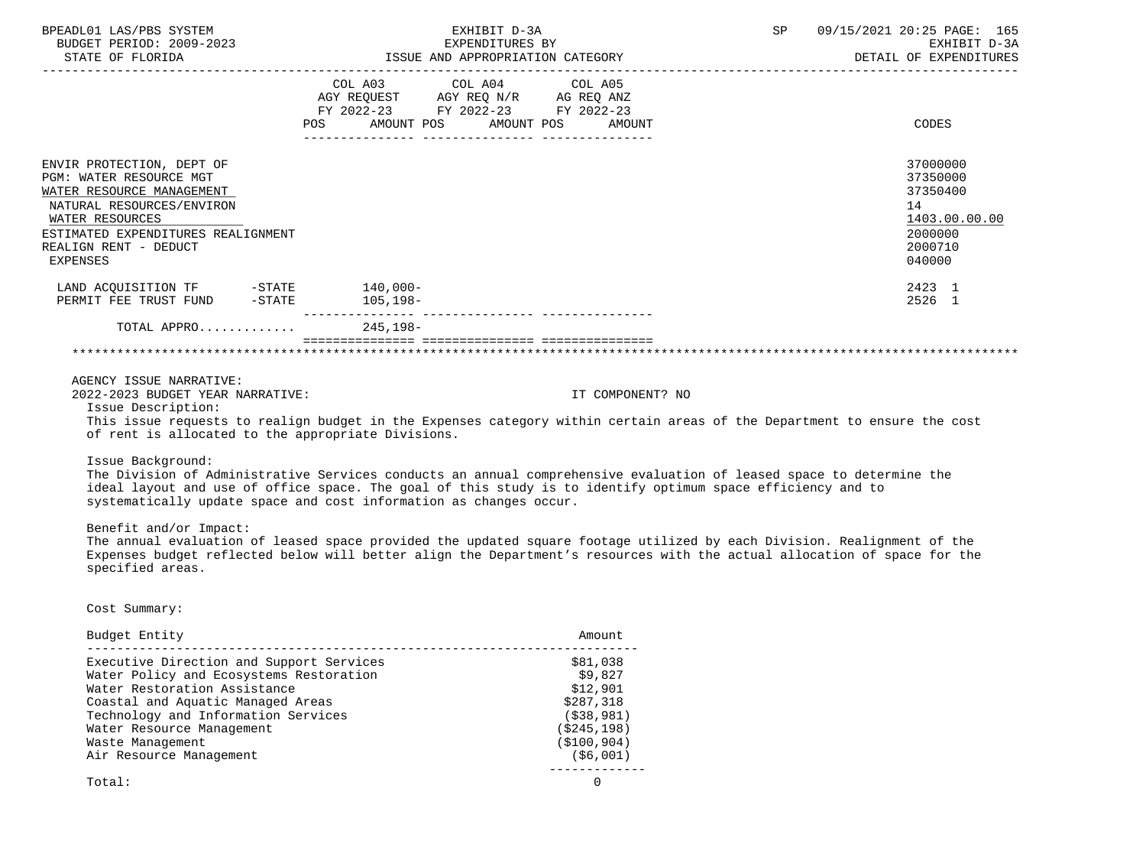| BPEADL01 LAS/PBS SYSTEM<br>BUDGET PERIOD: 2009-2023<br>STATE OF FLORIDA                                                                                                                                      | EXHIBIT D-3A<br>EXPENDITURES BY<br>ISSUE AND APPROPRIATION CATEGORY                                                                                                                 | SP<br>09/15/2021 20:25 PAGE: 165<br>EXHIBIT D-3A<br>DETAIL OF EXPENDITURES              |
|--------------------------------------------------------------------------------------------------------------------------------------------------------------------------------------------------------------|-------------------------------------------------------------------------------------------------------------------------------------------------------------------------------------|-----------------------------------------------------------------------------------------|
|                                                                                                                                                                                                              | COL A03 COL A04 COL A05<br>AGY REQUEST AGY REQ N/R AG REQ ANZ<br>FY 2022-23 FY 2022-23 FY 2022-23<br>AMOUNT POS AMOUNT POS<br>POS<br>AMOUNT<br>_______ _______________ ____________ | CODES                                                                                   |
| ENVIR PROTECTION, DEPT OF<br>PGM: WATER RESOURCE MGT<br>WATER RESOURCE MANAGEMENT<br>NATURAL RESOURCES/ENVIRON<br>WATER RESOURCES<br>ESTIMATED EXPENDITURES REALIGNMENT<br>REALIGN RENT - DEDUCT<br>EXPENSES |                                                                                                                                                                                     | 37000000<br>37350000<br>37350400<br>14<br>1403.00.00.00<br>2000000<br>2000710<br>040000 |
| LAND ACQUISITION TF -STATE<br>PERMIT FEE TRUST FUND -STATE                                                                                                                                                   | $140.000 -$<br>105,198–                                                                                                                                                             | 2423 1<br>2526 1                                                                        |
| TOTAL APPRO 245,198-                                                                                                                                                                                         |                                                                                                                                                                                     |                                                                                         |

### AGENCY ISSUE NARRATIVE:

2022-2023 BUDGET YEAR NARRATIVE: IT COMPONENT? NO

Issue Description:

 This issue requests to realign budget in the Expenses category within certain areas of the Department to ensure the cost of rent is allocated to the appropriate Divisions.

Issue Background:

 The Division of Administrative Services conducts an annual comprehensive evaluation of leased space to determine the ideal layout and use of office space. The goal of this study is to identify optimum space efficiency and to systematically update space and cost information as changes occur.

Benefit and/or Impact:

 The annual evaluation of leased space provided the updated square footage utilized by each Division. Realignment of the Expenses budget reflected below will better align the Department's resources with the actual allocation of space for the specified areas.

Cost Summary:

| Budget Entity                            | Amount       |
|------------------------------------------|--------------|
| Executive Direction and Support Services | \$81,038     |
| Water Policy and Ecosystems Restoration  | \$9.827      |
| Water Restoration Assistance             | \$12,901     |
| Coastal and Aquatic Managed Areas        | \$287,318    |
| Technology and Information Services      | ( \$38, 981) |
| Water Resource Management                | (\$245,198)  |
| Waste Management                         | (\$100,904)  |
| Air Resource Management                  | (\$6,001)    |
| Total:                                   |              |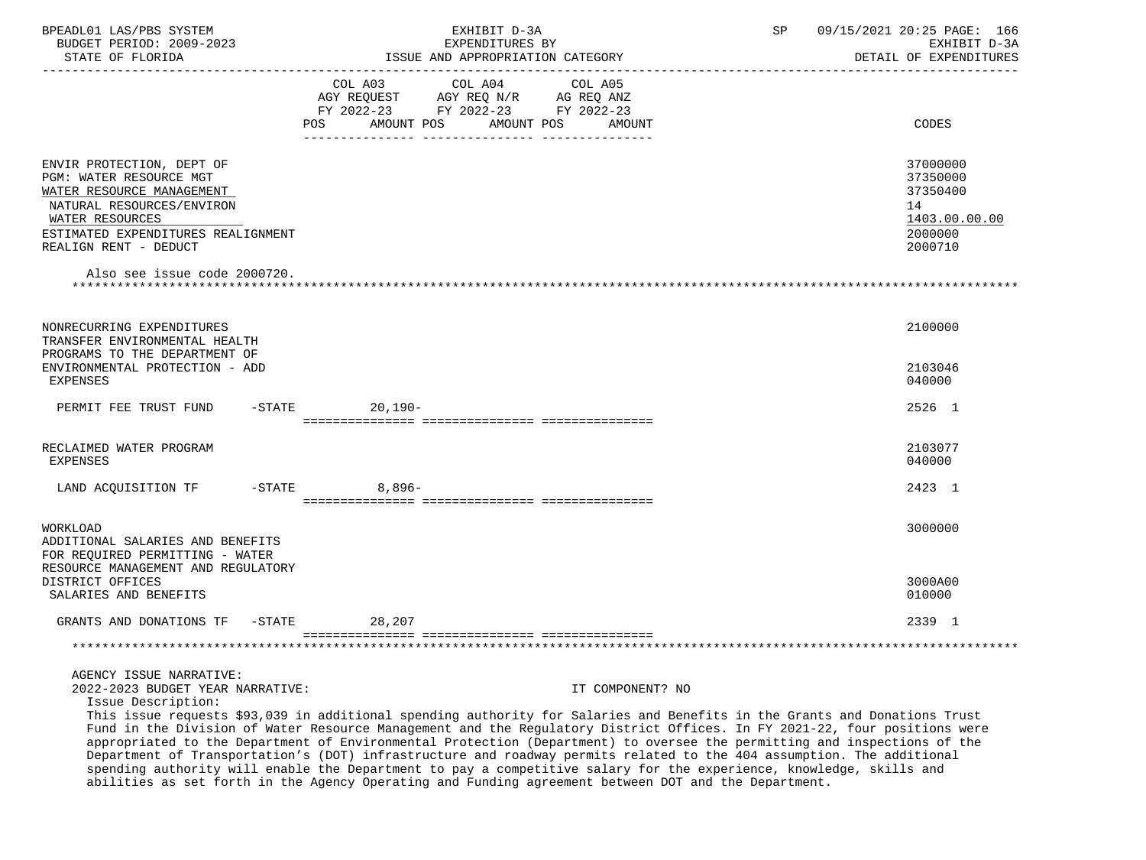| BPEADL01 LAS/PBS SYSTEM<br>BUDGET PERIOD: 2009-2023<br>STATE OF FLORIDA                                                                                                                                                          | EXHIBIT D-3A<br>EXPENDITURES BY                                                                                     | ISSUE AND APPROPRIATION CATEGORY                                                                                                                                                                                                                                           | SP | 09/15/2021 20:25 PAGE: 166<br>EXHIBIT D-3A<br>DETAIL OF EXPENDITURES          |
|----------------------------------------------------------------------------------------------------------------------------------------------------------------------------------------------------------------------------------|---------------------------------------------------------------------------------------------------------------------|----------------------------------------------------------------------------------------------------------------------------------------------------------------------------------------------------------------------------------------------------------------------------|----|-------------------------------------------------------------------------------|
|                                                                                                                                                                                                                                  | COL A03<br>COL A04<br>AGY REQUEST AGY REQ $N/R$ AG REQ ANZ<br>FY 2022-23 FY 2022-23 FY 2022-23<br>AMOUNT POS<br>POS | COL A05<br>AMOUNT POS<br>AMOUNT                                                                                                                                                                                                                                            |    | CODES                                                                         |
| ENVIR PROTECTION, DEPT OF<br>PGM: WATER RESOURCE MGT<br>WATER RESOURCE MANAGEMENT<br>NATURAL RESOURCES/ENVIRON<br>WATER RESOURCES<br>ESTIMATED EXPENDITURES REALIGNMENT<br>REALIGN RENT - DEDUCT<br>Also see issue code 2000720. |                                                                                                                     |                                                                                                                                                                                                                                                                            |    | 37000000<br>37350000<br>37350400<br>14<br>1403.00.00.00<br>2000000<br>2000710 |
| NONRECURRING EXPENDITURES<br>TRANSFER ENVIRONMENTAL HEALTH<br>PROGRAMS TO THE DEPARTMENT OF<br>ENVIRONMENTAL PROTECTION - ADD<br><b>EXPENSES</b>                                                                                 |                                                                                                                     |                                                                                                                                                                                                                                                                            |    | 2100000<br>2103046<br>040000                                                  |
| PERMIT FEE TRUST FUND                                                                                                                                                                                                            | $-STATE$<br>$20,190-$                                                                                               |                                                                                                                                                                                                                                                                            |    | 2526 1                                                                        |
| RECLAIMED WATER PROGRAM<br><b>EXPENSES</b>                                                                                                                                                                                       |                                                                                                                     |                                                                                                                                                                                                                                                                            |    | 2103077<br>040000                                                             |
| LAND ACQUISITION TF                                                                                                                                                                                                              | $8,896-$<br>$-$ STATE                                                                                               |                                                                                                                                                                                                                                                                            |    | 2423 1                                                                        |
| WORKLOAD<br>ADDITIONAL SALARIES AND BENEFITS<br>FOR REQUIRED PERMITTING - WATER<br>RESOURCE MANAGEMENT AND REGULATORY                                                                                                            |                                                                                                                     |                                                                                                                                                                                                                                                                            |    | 3000000                                                                       |
| DISTRICT OFFICES<br>SALARIES AND BENEFITS                                                                                                                                                                                        |                                                                                                                     |                                                                                                                                                                                                                                                                            |    | 3000A00<br>010000                                                             |
| GRANTS AND DONATIONS TF -STATE                                                                                                                                                                                                   | 28,207                                                                                                              |                                                                                                                                                                                                                                                                            |    | 2339 1                                                                        |
|                                                                                                                                                                                                                                  |                                                                                                                     |                                                                                                                                                                                                                                                                            |    |                                                                               |
| AGENCY ISSUE NARRATIVE:<br>2022-2023 BUDGET YEAR NARRATIVE:<br>Issue Description:                                                                                                                                                |                                                                                                                     | IT COMPONENT? NO<br>This issue requests \$93,039 in additional spending authority for Salaries and Benefits in the Grants and Donations Trust<br>Fund in the Division of Water Resource Management and the Requisiony District Offices. In FV 2021-22, four positions were |    |                                                                               |

 Fund in the Division of Water Resource Management and the Regulatory District Offices. In FY 2021-22, four positions were appropriated to the Department of Environmental Protection (Department) to oversee the permitting and inspections of the Department of Transportation's (DOT) infrastructure and roadway permits related to the 404 assumption. The additional spending authority will enable the Department to pay a competitive salary for the experience, knowledge, skills and abilities as set forth in the Agency Operating and Funding agreement between DOT and the Department.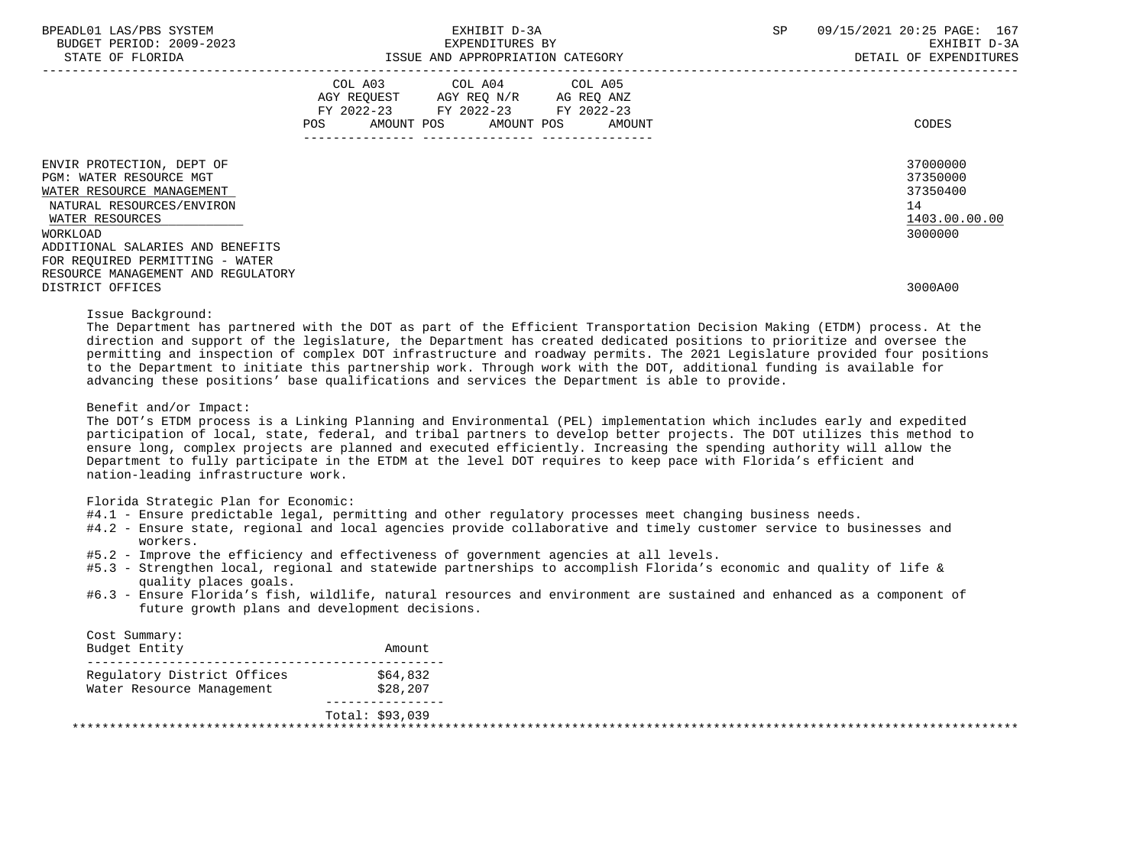| BPEADL01 LAS/PBS SYSTEM |                   |                          |
|-------------------------|-------------------|--------------------------|
|                         |                   | BUDGET PERIOD: 2009-2023 |
|                         | גתדכת זה הם היהיה |                          |

|                                    | COL A03<br>AGY REQUEST<br>FY 2022-23<br><b>POS</b><br>AMOUNT POS | COL A04<br>AGY REQ N/R<br>FY 2022-23<br>AMOUNT POS | COL A05<br>AG REQ ANZ<br>FY 2022-23<br>AMOUNT | CODES         |
|------------------------------------|------------------------------------------------------------------|----------------------------------------------------|-----------------------------------------------|---------------|
|                                    |                                                                  |                                                    |                                               |               |
| ENVIR PROTECTION, DEPT OF          |                                                                  |                                                    |                                               | 37000000      |
| PGM: WATER RESOURCE MGT            |                                                                  |                                                    |                                               | 37350000      |
| WATER RESOURCE MANAGEMENT          |                                                                  |                                                    |                                               | 37350400      |
| NATURAL RESOURCES/ENVIRON          |                                                                  |                                                    |                                               | 14            |
| WATER RESOURCES                    |                                                                  |                                                    |                                               | 1403.00.00.00 |
| WORKLOAD                           |                                                                  |                                                    |                                               | 3000000       |
| ADDITIONAL SALARIES AND BENEFITS   |                                                                  |                                                    |                                               |               |
| FOR REQUIRED PERMITTING - WATER    |                                                                  |                                                    |                                               |               |
| RESOURCE MANAGEMENT AND REGULATORY |                                                                  |                                                    |                                               |               |
| DISTRICT OFFICES                   |                                                                  |                                                    |                                               | 3000A00       |

Issue Background:

 The Department has partnered with the DOT as part of the Efficient Transportation Decision Making (ETDM) process. At the direction and support of the legislature, the Department has created dedicated positions to prioritize and oversee the permitting and inspection of complex DOT infrastructure and roadway permits. The 2021 Legislature provided four positions to the Department to initiate this partnership work. Through work with the DOT, additional funding is available for advancing these positions' base qualifications and services the Department is able to provide.

Benefit and/or Impact:

 The DOT's ETDM process is a Linking Planning and Environmental (PEL) implementation which includes early and expedited participation of local, state, federal, and tribal partners to develop better projects. The DOT utilizes this method to ensure long, complex projects are planned and executed efficiently. Increasing the spending authority will allow the Department to fully participate in the ETDM at the level DOT requires to keep pace with Florida's efficient and nation-leading infrastructure work.

Florida Strategic Plan for Economic:

- #4.1 Ensure predictable legal, permitting and other regulatory processes meet changing business needs.
- #4.2 Ensure state, regional and local agencies provide collaborative and timely customer service to businesses and workers.
- #5.2 Improve the efficiency and effectiveness of government agencies at all levels.
- #5.3 Strengthen local, regional and statewide partnerships to accomplish Florida's economic and quality of life & quality places goals.
- #6.3 Ensure Florida's fish, wildlife, natural resources and environment are sustained and enhanced as a component of future growth plans and development decisions.

| Cost Summary:<br>Budget Entity | Amount          |  |
|--------------------------------|-----------------|--|
| Requlatory District Offices    | \$64,832        |  |
| Water Resource Management      | \$28,207        |  |
|                                | Total: \$93,039 |  |
|                                |                 |  |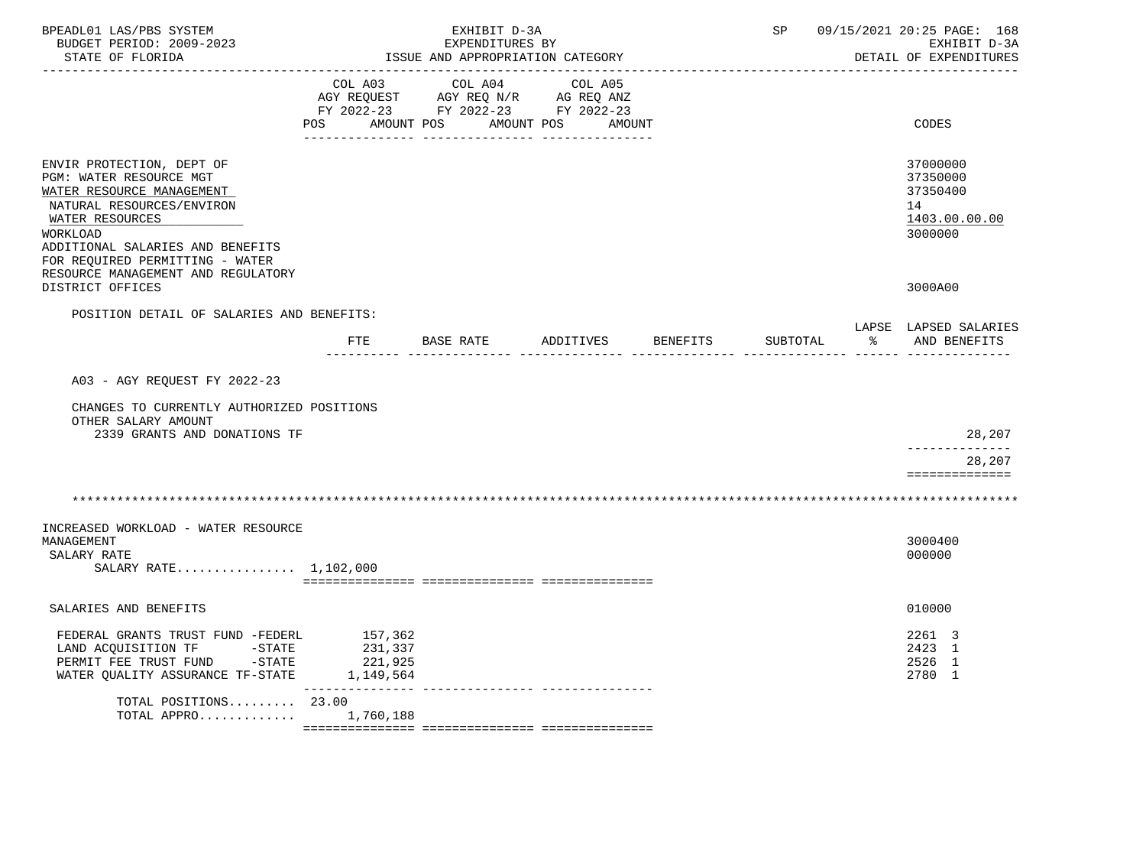| BPEADL01 LAS/PBS SYSTEM<br>BUDGET PERIOD: 2009-2023<br>STATE OF FLORIDA                                                                                                                                                                                    | EXHIBIT D-3A<br>EXPENDITURES BY<br>ISSUE AND APPROPRIATION CATEGORY |                                                                                                                            |                    |  | SP       | 09/15/2021 20:25 PAGE: 168<br>EXHIBIT D-3A<br>DETAIL OF EXPENDITURES |                                                                    |
|------------------------------------------------------------------------------------------------------------------------------------------------------------------------------------------------------------------------------------------------------------|---------------------------------------------------------------------|----------------------------------------------------------------------------------------------------------------------------|--------------------|--|----------|----------------------------------------------------------------------|--------------------------------------------------------------------|
|                                                                                                                                                                                                                                                            | POS                                                                 | COL A03 COL A04 COL A05<br>AGY REQUEST AGY REQ N/R AG REQ ANZ FY 2022-23 FY 2022-23 FY 2022-23<br>AMOUNT POS<br>AMOUNT POS | AMOUNT             |  |          |                                                                      | CODES                                                              |
| ENVIR PROTECTION, DEPT OF<br>PGM: WATER RESOURCE MGT<br>WATER RESOURCE MANAGEMENT<br>NATURAL RESOURCES/ENVIRON<br>WATER RESOURCES<br>WORKLOAD<br>ADDITIONAL SALARIES AND BENEFITS<br>FOR REQUIRED PERMITTING - WATER<br>RESOURCE MANAGEMENT AND REGULATORY |                                                                     |                                                                                                                            |                    |  |          |                                                                      | 37000000<br>37350000<br>37350400<br>14<br>1403.00.00.00<br>3000000 |
| DISTRICT OFFICES                                                                                                                                                                                                                                           |                                                                     |                                                                                                                            |                    |  |          |                                                                      | 3000A00                                                            |
| POSITION DETAIL OF SALARIES AND BENEFITS:                                                                                                                                                                                                                  | FTE                                                                 | BASE RATE                                                                                                                  | ADDITIVES BENEFITS |  | SUBTOTAL | $\frac{1}{2}$                                                        | LAPSE LAPSED SALARIES<br>AND BENEFITS                              |
|                                                                                                                                                                                                                                                            |                                                                     | . Le Le Le Le Le Le L                                                                                                      |                    |  |          |                                                                      |                                                                    |
| A03 - AGY REQUEST FY 2022-23                                                                                                                                                                                                                               |                                                                     |                                                                                                                            |                    |  |          |                                                                      |                                                                    |
| CHANGES TO CURRENTLY AUTHORIZED POSITIONS<br>OTHER SALARY AMOUNT<br>2339 GRANTS AND DONATIONS TF                                                                                                                                                           |                                                                     |                                                                                                                            |                    |  |          |                                                                      | 28,207                                                             |
|                                                                                                                                                                                                                                                            |                                                                     |                                                                                                                            |                    |  |          |                                                                      | -------------<br>28,207<br>==============                          |
|                                                                                                                                                                                                                                                            |                                                                     |                                                                                                                            |                    |  |          |                                                                      |                                                                    |
| INCREASED WORKLOAD - WATER RESOURCE<br>MANAGEMENT<br>SALARY RATE                                                                                                                                                                                           |                                                                     |                                                                                                                            |                    |  |          |                                                                      | 3000400<br>000000                                                  |
| SALARY RATE 1,102,000                                                                                                                                                                                                                                      |                                                                     |                                                                                                                            |                    |  |          |                                                                      |                                                                    |
| SALARIES AND BENEFITS                                                                                                                                                                                                                                      |                                                                     |                                                                                                                            |                    |  |          |                                                                      | 010000                                                             |
| FEDERAL GRANTS TRUST FUND -FEDERL 157,362<br>LAND ACQUISITION TF<br>$-STATE$<br>PERMIT FEE TRUST FUND -STATE<br>WATER QUALITY ASSURANCE TF-STATE 1,149,564                                                                                                 | 231,337<br>221,925                                                  |                                                                                                                            |                    |  |          |                                                                      | 2261 3<br>2423 1<br>2526 1<br>2780 1                               |
| TOTAL POSITIONS $23.00$<br>TOTAL APPRO                                                                                                                                                                                                                     | ---------------<br>1,760,188                                        |                                                                                                                            |                    |  |          |                                                                      |                                                                    |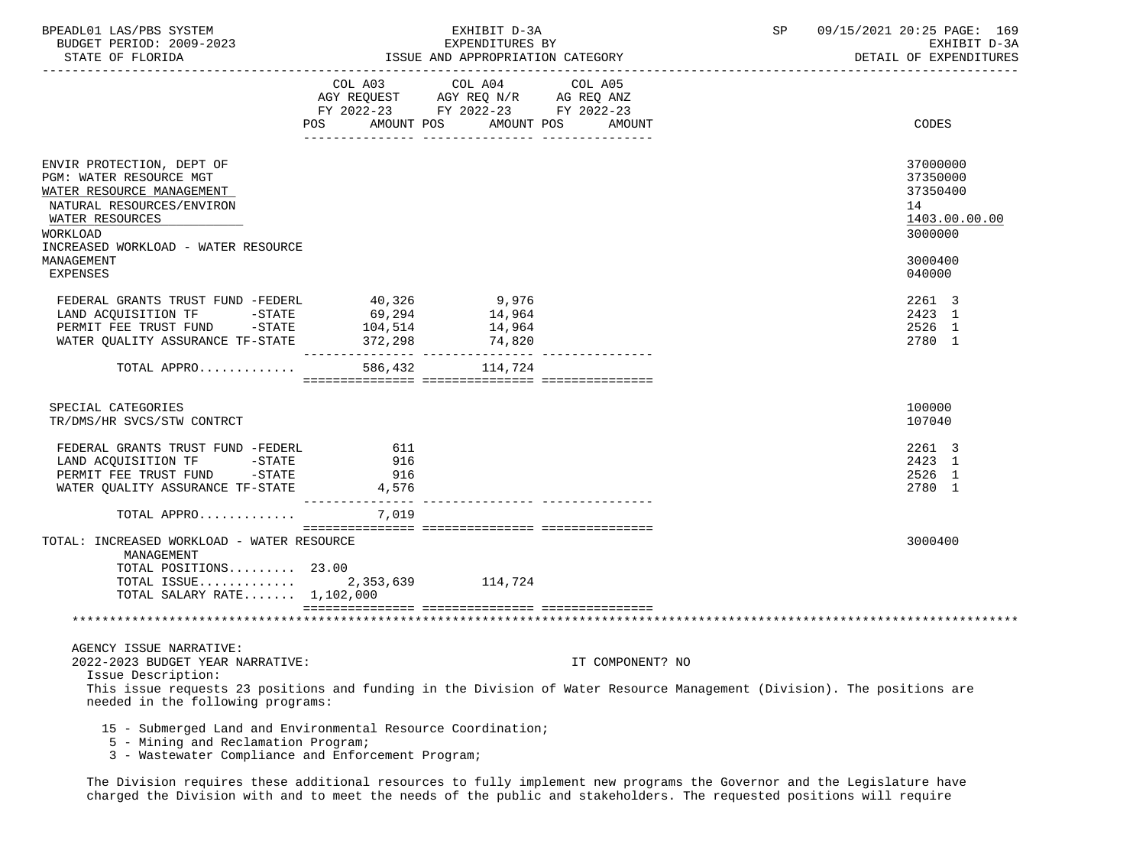| BPEADL01 LAS/PBS SYSTEM<br>BUDGET PERIOD: 2009-2023<br>STATE OF FLORIDA                                                                                                                                      |                             | EXHIBIT D-3A<br>EXPENDITURES BY<br>ISSUE AND APPROPRIATION CATEGORY                                                        | SP               | 09/15/2021 20:25 PAGE: 169<br>EXHIBIT D-3A<br>DETAIL OF EXPENDITURES |                                                                    |
|--------------------------------------------------------------------------------------------------------------------------------------------------------------------------------------------------------------|-----------------------------|----------------------------------------------------------------------------------------------------------------------------|------------------|----------------------------------------------------------------------|--------------------------------------------------------------------|
|                                                                                                                                                                                                              | POS                         | COL A03 COL A04 COL A05<br>AGY REQUEST AGY REQ N/R AG REQ ANZ<br>FY 2022-23 FY 2022-23 FY 2022-23<br>AMOUNT POS AMOUNT POS | AMOUNT           |                                                                      | CODES                                                              |
| ENVIR PROTECTION, DEPT OF<br>PGM: WATER RESOURCE MGT<br>WATER RESOURCE MANAGEMENT<br>NATURAL RESOURCES/ENVIRON<br>WATER RESOURCES<br>WORKLOAD<br>INCREASED WORKLOAD - WATER RESOURCE                         |                             |                                                                                                                            |                  |                                                                      | 37000000<br>37350000<br>37350400<br>14<br>1403.00.00.00<br>3000000 |
| MANAGEMENT<br><b>EXPENSES</b>                                                                                                                                                                                |                             |                                                                                                                            |                  |                                                                      | 3000400<br>040000                                                  |
| FEDERAL GRANTS TRUST FUND -FEDERL<br>LAND ACQUISITION TF -STATE<br>PERMIT FEE TRUST FUND -STATE<br>WATER QUALITY ASSURANCE TF-STATE 372,298                                                                  | 40,326<br>69,294<br>104,514 | 9,976<br>14,964<br>14,964<br>74,820                                                                                        |                  |                                                                      | 2261 3<br>2423 1<br>2526 1<br>2780 1                               |
| TOTAL APPRO 586,432 114,724                                                                                                                                                                                  |                             |                                                                                                                            |                  |                                                                      |                                                                    |
| SPECIAL CATEGORIES<br>TR/DMS/HR SVCS/STW CONTRCT                                                                                                                                                             |                             |                                                                                                                            |                  |                                                                      | 100000<br>107040                                                   |
| FEDERAL GRANTS TRUST FUND -FEDERL<br>LAND ACQUISITION TF -STATE<br>PERMIT FEE TRUST FUND -STATE<br>WATER QUALITY ASSURANCE TF-STATE                                                                          | 611<br>916<br>916<br>4,576  |                                                                                                                            |                  |                                                                      | 2261 3<br>2423 1<br>2526 1<br>2780 1                               |
| TOTAL APPRO                                                                                                                                                                                                  | 7,019                       |                                                                                                                            |                  |                                                                      |                                                                    |
| TOTAL: INCREASED WORKLOAD - WATER RESOURCE<br>MANAGEMENT<br>TOTAL POSITIONS 23.00                                                                                                                            |                             |                                                                                                                            |                  |                                                                      | 3000400                                                            |
| TOTAL ISSUE<br>TOTAL SALARY RATE $1,102,000$                                                                                                                                                                 |                             | 2,353,639 114,724                                                                                                          |                  |                                                                      |                                                                    |
|                                                                                                                                                                                                              |                             |                                                                                                                            |                  |                                                                      |                                                                    |
| AGENCY ISSUE NARRATIVE:<br>2022-2023 BUDGET YEAR NARRATIVE:<br>Issue Description:<br>This issue requests 23 positions and funding in the Division of Water Resource Management (Division). The positions are |                             |                                                                                                                            | IT COMPONENT? NO |                                                                      |                                                                    |
| needed in the following programs:<br>15 - Submerged Land and Environmental Resource Coordination;                                                                                                            |                             |                                                                                                                            |                  |                                                                      |                                                                    |

- 5 Mining and Reclamation Program;
	- 3 Wastewater Compliance and Enforcement Program;

 The Division requires these additional resources to fully implement new programs the Governor and the Legislature have charged the Division with and to meet the needs of the public and stakeholders. The requested positions will require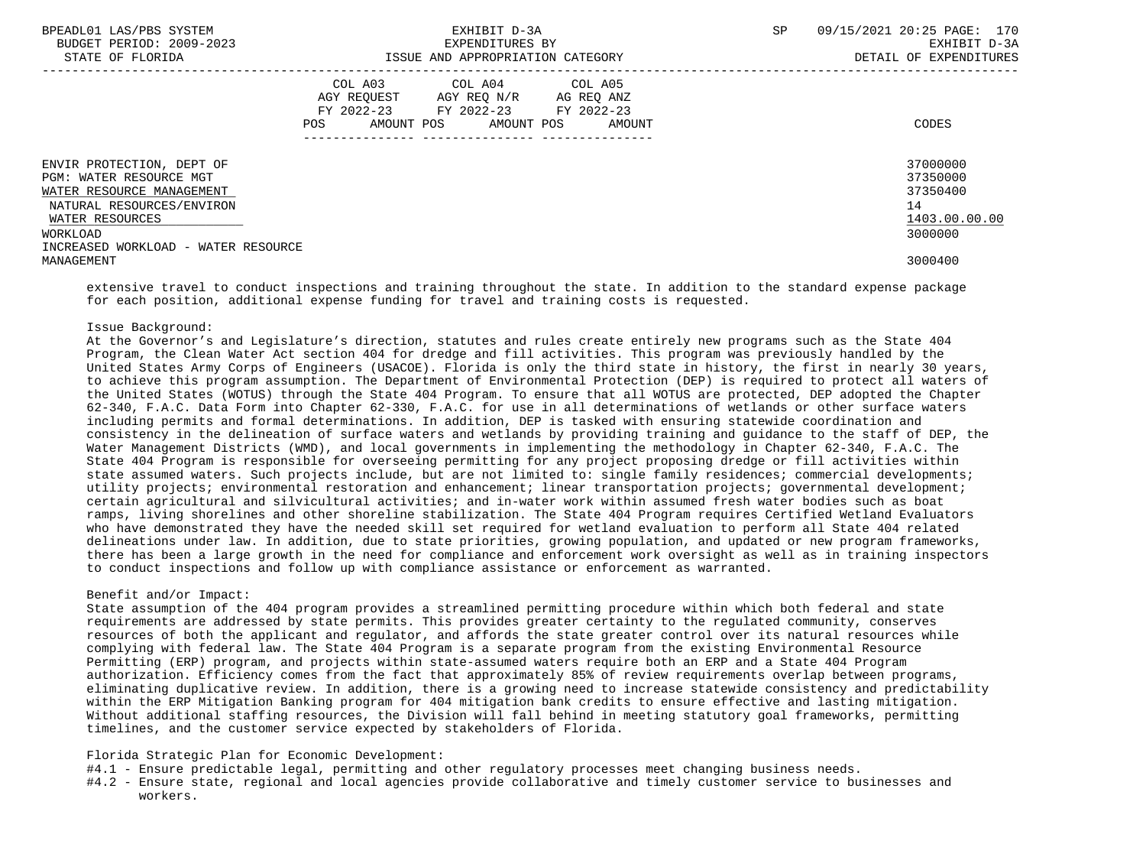| BPEADL01 LAS/PBS SYSTEM<br>BUDGET PERIOD: 2009-2023<br>STATE OF FLORIDA | EXHIBIT D-3A<br>EXPENDITURES BY<br>ISSUE AND APPROPRIATION CATEGORY                                                                                     | 09/15/2021 20:25 PAGE: 170<br><b>SP</b><br>EXHIBIT D-3A<br>DETAIL OF EXPENDITURES |
|-------------------------------------------------------------------------|---------------------------------------------------------------------------------------------------------------------------------------------------------|-----------------------------------------------------------------------------------|
|                                                                         | COL A03 COL A04 COL A05<br>AGY REOUEST<br>AGY REO N/R<br>AG REO ANZ<br>FY 2022-23 FY 2022-23<br>FY 2022-23<br>AMOUNT POS<br>AMOUNT POS<br>AMOUNT<br>POS | CODES                                                                             |
| ENVIR PROTECTION, DEPT OF<br><b>PGM: WATER RESOURCE MGT</b>             |                                                                                                                                                         | 37000000<br>37350000                                                              |
| WATER RESOURCE MANAGEMENT<br>NATURAL RESOURCES/ENVIRON                  |                                                                                                                                                         | 37350400<br>14                                                                    |
| WATER RESOURCES                                                         |                                                                                                                                                         | 1403.00.00.00                                                                     |
| WORKLOAD                                                                |                                                                                                                                                         | 3000000                                                                           |
| INCREASED WORKLOAD - WATER RESOURCE                                     |                                                                                                                                                         |                                                                                   |
| MANAGEMENT                                                              |                                                                                                                                                         | 3000400                                                                           |

 extensive travel to conduct inspections and training throughout the state. In addition to the standard expense package for each position, additional expense funding for travel and training costs is requested.

### Issue Background:

 At the Governor's and Legislature's direction, statutes and rules create entirely new programs such as the State 404 Program, the Clean Water Act section 404 for dredge and fill activities. This program was previously handled by the United States Army Corps of Engineers (USACOE). Florida is only the third state in history, the first in nearly 30 years, to achieve this program assumption. The Department of Environmental Protection (DEP) is required to protect all waters of the United States (WOTUS) through the State 404 Program. To ensure that all WOTUS are protected, DEP adopted the Chapter 62-340, F.A.C. Data Form into Chapter 62-330, F.A.C. for use in all determinations of wetlands or other surface waters including permits and formal determinations. In addition, DEP is tasked with ensuring statewide coordination and consistency in the delineation of surface waters and wetlands by providing training and guidance to the staff of DEP, the Water Management Districts (WMD), and local governments in implementing the methodology in Chapter 62-340, F.A.C. The State 404 Program is responsible for overseeing permitting for any project proposing dredge or fill activities within state assumed waters. Such projects include, but are not limited to: single family residences; commercial developments; utility projects; environmental restoration and enhancement; linear transportation projects; governmental development; certain agricultural and silvicultural activities; and in-water work within assumed fresh water bodies such as boat ramps, living shorelines and other shoreline stabilization. The State 404 Program requires Certified Wetland Evaluators who have demonstrated they have the needed skill set required for wetland evaluation to perform all State 404 related delineations under law. In addition, due to state priorities, growing population, and updated or new program frameworks, there has been a large growth in the need for compliance and enforcement work oversight as well as in training inspectors to conduct inspections and follow up with compliance assistance or enforcement as warranted.

#### Benefit and/or Impact:

 State assumption of the 404 program provides a streamlined permitting procedure within which both federal and state requirements are addressed by state permits. This provides greater certainty to the regulated community, conserves resources of both the applicant and regulator, and affords the state greater control over its natural resources while complying with federal law. The State 404 Program is a separate program from the existing Environmental Resource Permitting (ERP) program, and projects within state-assumed waters require both an ERP and a State 404 Program authorization. Efficiency comes from the fact that approximately 85% of review requirements overlap between programs, eliminating duplicative review. In addition, there is a growing need to increase statewide consistency and predictability within the ERP Mitigation Banking program for 404 mitigation bank credits to ensure effective and lasting mitigation. Without additional staffing resources, the Division will fall behind in meeting statutory goal frameworks, permitting timelines, and the customer service expected by stakeholders of Florida.

## Florida Strategic Plan for Economic Development:

- #4.1 Ensure predictable legal, permitting and other regulatory processes meet changing business needs.
- #4.2 Ensure state, regional and local agencies provide collaborative and timely customer service to businesses and workers.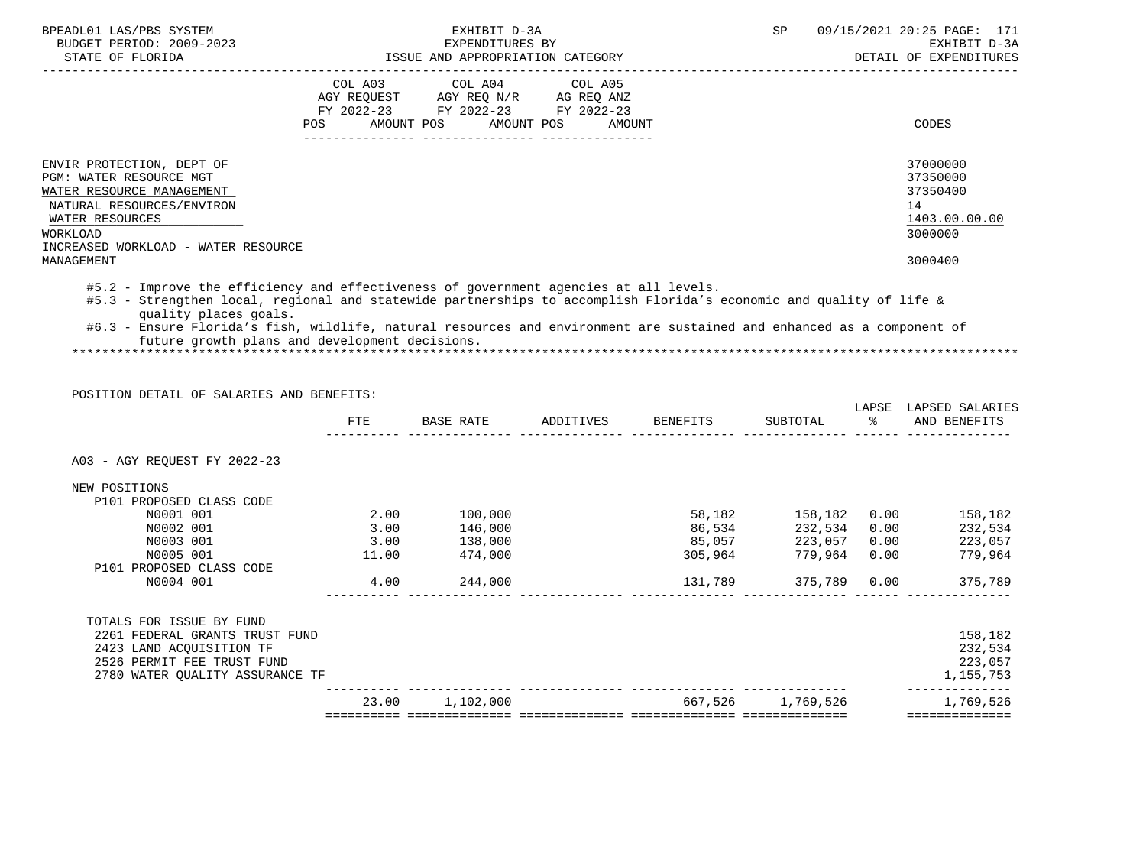| BPEADL01 LAS/PBS SYSTEM<br>BUDGET PERIOD: 2009-2023<br>STATE OF FLORIDA                                                                                                                     | EXHIBIT D-3A<br>SP<br>EXPENDITURES BY<br>ISSUE AND APPROPRIATION CATEGORY                                                                                                                                                                                                                                                                                                                | 09/15/2021 20:25 PAGE: 171<br>EXHIBIT D-3A<br>DETAIL OF EXPENDITURES |
|---------------------------------------------------------------------------------------------------------------------------------------------------------------------------------------------|------------------------------------------------------------------------------------------------------------------------------------------------------------------------------------------------------------------------------------------------------------------------------------------------------------------------------------------------------------------------------------------|----------------------------------------------------------------------|
|                                                                                                                                                                                             | COL A03<br>COL A04 COL A05<br>AGY REQUEST AGY REQ N/R AG REQ ANZ<br>FY 2022-23 FY 2022-23 FY 2022-23<br>AMOUNT POS AMOUNT POS<br><b>POS</b><br>AMOUNT                                                                                                                                                                                                                                    | CODES                                                                |
| ENVIR PROTECTION, DEPT OF<br>PGM: WATER RESOURCE MGT<br>WATER RESOURCE MANAGEMENT<br>NATURAL RESOURCES/ENVIRON<br>WATER RESOURCES<br><b>WORKLOAD</b><br>INCREASED WORKLOAD - WATER RESOURCE |                                                                                                                                                                                                                                                                                                                                                                                          | 37000000<br>37350000<br>37350400<br>14<br>1403.00.00.00<br>3000000   |
| MANAGEMENT                                                                                                                                                                                  |                                                                                                                                                                                                                                                                                                                                                                                          | 3000400                                                              |
| quality places goals.                                                                                                                                                                       | #5.2 - Improve the efficiency and effectiveness of government agencies at all levels.<br>#5.3 - Strengthen local, regional and statewide partnerships to accomplish Florida's economic and quality of life &<br>#6.3 - Ensure Florida's fish, wildlife, natural resources and environment are sustained and enhanced as a component of<br>future growth plans and development decisions. |                                                                      |
|                                                                                                                                                                                             |                                                                                                                                                                                                                                                                                                                                                                                          |                                                                      |

POSITION DETAIL OF SALARIES AND BENEFITS:

|                                 | FTE   | BASE RATE       | ADDITIVES | BENEFITS                   | SUBTOTAL          | LAPSE<br>ႜ | LAPSED SALARIES<br>AND BENEFITS |
|---------------------------------|-------|-----------------|-----------|----------------------------|-------------------|------------|---------------------------------|
| A03 - AGY REQUEST FY 2022-23    |       |                 |           |                            |                   |            |                                 |
| NEW POSITIONS                   |       |                 |           |                            |                   |            |                                 |
| P101 PROPOSED CLASS CODE        |       |                 |           |                            |                   |            |                                 |
| N0001 001                       | 2.00  | 100,000         |           | 58,182                     | 158,182           | 0.00       | 158,182                         |
| N0002 001                       | 3.00  | 146,000         |           | 86,534                     | 232,534           | 0.00       | 232,534                         |
| N0003 001                       | 3.00  | 138,000         |           | 85,057                     | 223,057           | 0.00       | 223,057                         |
| N0005 001                       | 11.00 | 474,000         |           | 305,964                    | 779,964           | 0.00       | 779,964                         |
| P101 PROPOSED CLASS CODE        |       |                 |           |                            |                   |            |                                 |
| N0004 001                       | 4.00  | 244,000         |           | 131,789                    | 375,789           | 0.00       | 375,789                         |
| TOTALS FOR ISSUE BY FUND        |       |                 |           |                            |                   |            |                                 |
| 2261 FEDERAL GRANTS TRUST FUND  |       |                 |           |                            |                   |            | 158,182                         |
| 2423 LAND ACQUISITION TF        |       |                 |           |                            |                   |            | 232,534                         |
| 2526 PERMIT FEE TRUST FUND      |       |                 |           |                            |                   |            | 223,057                         |
| 2780 WATER QUALITY ASSURANCE TF |       |                 |           |                            |                   |            | 1,155,753                       |
|                                 |       | 23.00 1,102,000 |           |                            | 667,526 1,769,526 |            | 1,769,526                       |
|                                 |       |                 |           | -========================= |                   |            | ==============                  |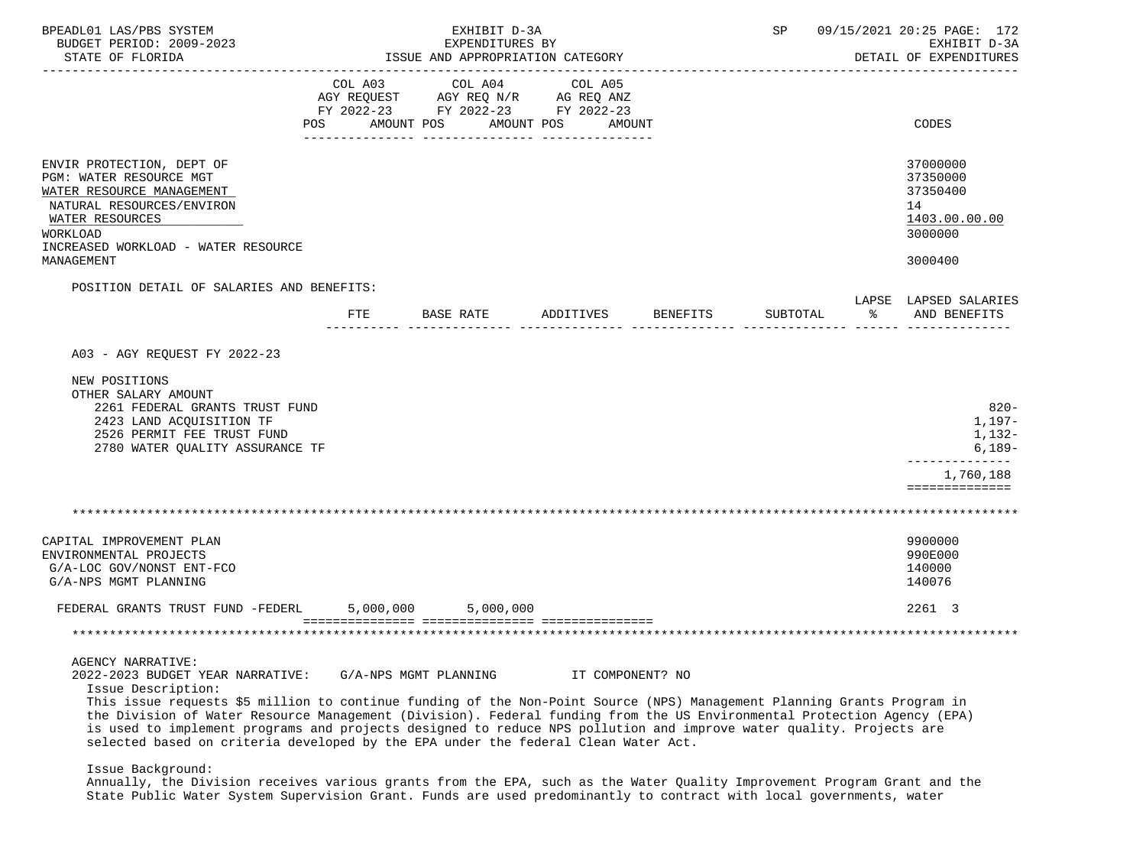| BPEADL01 LAS/PBS SYSTEM<br>BUDGET PERIOD: 2009-2023<br>STATE OF FLORIDA                                                                                                                                                                                                                                                                                                                                                                                                                                                                        |                |                       | EXHIBIT D-3A<br>EXPENDITURES BY | ISSUE AND APPROPRIATION CATEGORY                                                            |                 | SP       |   | 09/15/2021 20:25 PAGE: 172<br>EXHIBIT D-3A<br>DETAIL OF EXPENDITURES          |
|------------------------------------------------------------------------------------------------------------------------------------------------------------------------------------------------------------------------------------------------------------------------------------------------------------------------------------------------------------------------------------------------------------------------------------------------------------------------------------------------------------------------------------------------|----------------|-----------------------|---------------------------------|---------------------------------------------------------------------------------------------|-----------------|----------|---|-------------------------------------------------------------------------------|
|                                                                                                                                                                                                                                                                                                                                                                                                                                                                                                                                                | COL A03<br>POS | AMOUNT POS            | COL A04<br>AMOUNT POS           | COL A05<br>AGY REQUEST AGY REQ N/R AG REQ ANZ<br>FY 2022-23 FY 2022-23 FY 2022-23<br>AMOUNT |                 |          |   | CODES                                                                         |
| ENVIR PROTECTION, DEPT OF<br>PGM: WATER RESOURCE MGT<br>WATER RESOURCE MANAGEMENT<br>NATURAL RESOURCES/ENVIRON<br>WATER RESOURCES<br>WORKLOAD<br>INCREASED WORKLOAD - WATER RESOURCE<br>MANAGEMENT                                                                                                                                                                                                                                                                                                                                             |                |                       |                                 |                                                                                             |                 |          |   | 37000000<br>37350000<br>37350400<br>14<br>1403.00.00.00<br>3000000<br>3000400 |
| POSITION DETAIL OF SALARIES AND BENEFITS:                                                                                                                                                                                                                                                                                                                                                                                                                                                                                                      |                |                       |                                 |                                                                                             |                 |          |   | LAPSE LAPSED SALARIES                                                         |
|                                                                                                                                                                                                                                                                                                                                                                                                                                                                                                                                                | FTE            | BASE RATE             |                                 | ADDITIVES                                                                                   | <b>BENEFITS</b> | SUBTOTAL | ႜ | AND BENEFITS                                                                  |
| A03 - AGY REOUEST FY 2022-23                                                                                                                                                                                                                                                                                                                                                                                                                                                                                                                   |                |                       |                                 |                                                                                             |                 |          |   |                                                                               |
| NEW POSITIONS<br>OTHER SALARY AMOUNT<br>2261 FEDERAL GRANTS TRUST FUND<br>2423 LAND ACQUISITION TF<br>2526 PERMIT FEE TRUST FUND<br>2780 WATER QUALITY ASSURANCE TF                                                                                                                                                                                                                                                                                                                                                                            |                |                       |                                 |                                                                                             |                 |          |   | $820 -$<br>1,197-<br>1,132-<br>$6,189-$<br>1,760,188<br>==============        |
|                                                                                                                                                                                                                                                                                                                                                                                                                                                                                                                                                |                |                       |                                 |                                                                                             |                 |          |   |                                                                               |
| CAPITAL IMPROVEMENT PLAN<br>ENVIRONMENTAL PROJECTS<br>G/A-LOC GOV/NONST ENT-FCO<br>G/A-NPS MGMT PLANNING                                                                                                                                                                                                                                                                                                                                                                                                                                       |                |                       |                                 |                                                                                             |                 |          |   | 9900000<br>990E000<br>140000<br>140076                                        |
| FEDERAL GRANTS TRUST FUND -FEDERL                                                                                                                                                                                                                                                                                                                                                                                                                                                                                                              |                | 5,000,000             | 5,000,000                       |                                                                                             |                 |          |   | 2261 3                                                                        |
|                                                                                                                                                                                                                                                                                                                                                                                                                                                                                                                                                |                |                       |                                 |                                                                                             |                 |          |   |                                                                               |
| AGENCY NARRATIVE:<br>2022-2023 BUDGET YEAR NARRATIVE:<br>Issue Description:<br>This issue requests \$5 million to continue funding of the Non-Point Source (NPS) Management Planning Grants Program in<br>the Division of Water Resource Management (Division). Federal funding from the US Environmental Protection Agency (EPA)<br>is used to implement programs and projects designed to reduce NPS pollution and improve water quality. Projects are<br>selected based on criteria developed by the EPA under the federal Clean Water Act. |                | G/A-NPS MGMT PLANNING |                                 | IT COMPONENT? NO                                                                            |                 |          |   |                                                                               |
| Issue Background:<br>Annually, the Division receives various grants from the EPA, such as the Water Quality Improvement Program Grant and the                                                                                                                                                                                                                                                                                                                                                                                                  |                |                       |                                 |                                                                                             |                 |          |   |                                                                               |

State Public Water System Supervision Grant. Funds are used predominantly to contract with local governments, water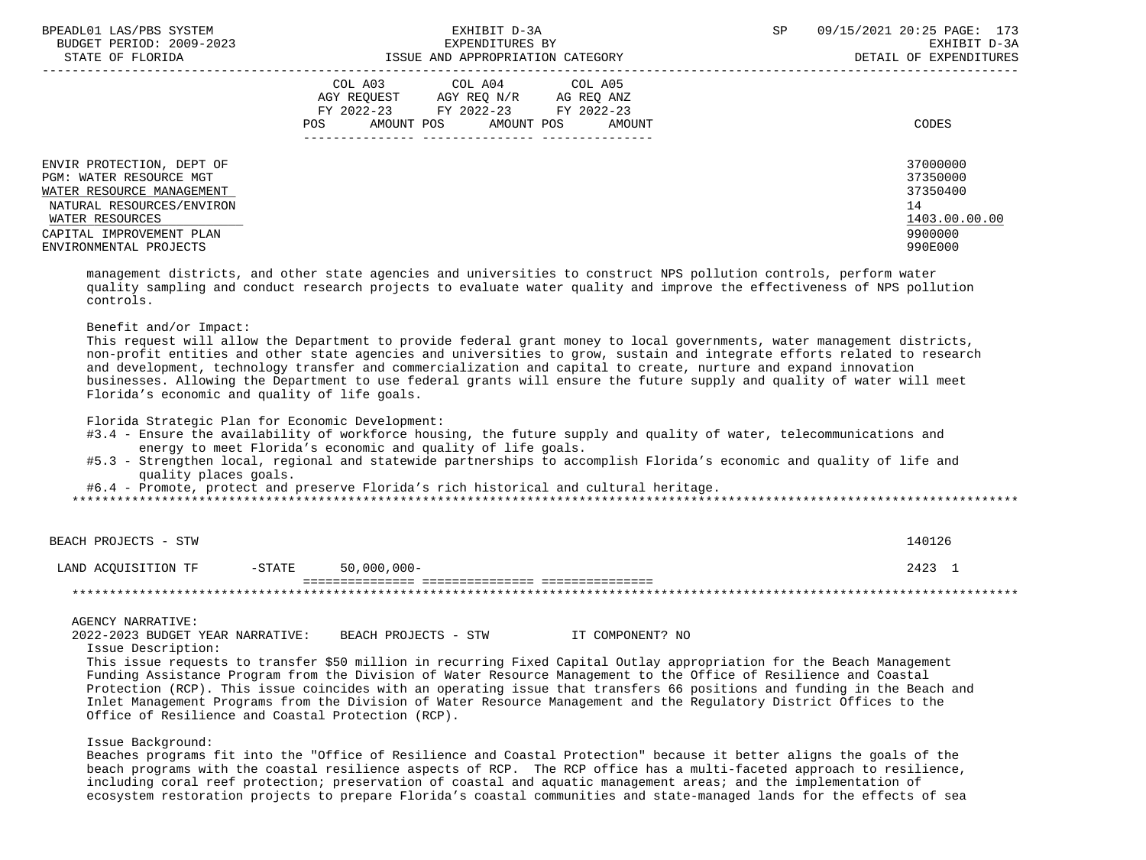| BPEADL01 LAS/PBS SYSTEM   | EXHIBIT D-3A                           | 09/15/2021 20:25 PAGE: 173<br><b>SP</b> |
|---------------------------|----------------------------------------|-----------------------------------------|
| BUDGET PERIOD: 2009-2023  | EXPENDITURES BY                        | EXHIBIT D-3A                            |
| STATE OF FLORIDA          | ISSUE AND APPROPRIATION CATEGORY       | DETAIL OF EXPENDITURES                  |
|                           | COL A03 COL A04 COL A05                |                                         |
|                           | AGY REOUEST<br>AGY REO N/R AG REO ANZ  |                                         |
|                           | FY 2022-23 FY 2022-23<br>FY 2022-23    |                                         |
|                           | AMOUNT POS AMOUNT POS<br>POS<br>AMOUNT | CODES                                   |
|                           |                                        |                                         |
| ENVIR PROTECTION, DEPT OF |                                        | 37000000                                |
| PGM: WATER RESOURCE MGT   |                                        | 37350000                                |
| WATER RESOURCE MANAGEMENT |                                        | 37350400                                |
| NATURAL RESOURCES/ENVIRON |                                        | 14                                      |
| WATER RESOURCES           |                                        | 1403.00.00.00                           |
| CAPITAL IMPROVEMENT PLAN  |                                        | 9900000                                 |
| ENVIRONMENTAL PROJECTS    |                                        | 990E000                                 |

 management districts, and other state agencies and universities to construct NPS pollution controls, perform water quality sampling and conduct research projects to evaluate water quality and improve the effectiveness of NPS pollution controls.

Benefit and/or Impact:

 This request will allow the Department to provide federal grant money to local governments, water management districts, non-profit entities and other state agencies and universities to grow, sustain and integrate efforts related to research and development, technology transfer and commercialization and capital to create, nurture and expand innovation businesses. Allowing the Department to use federal grants will ensure the future supply and quality of water will meet Florida's economic and quality of life goals.

Florida Strategic Plan for Economic Development:

- #3.4 Ensure the availability of workforce housing, the future supply and quality of water, telecommunications and energy to meet Florida's economic and quality of life goals.
- #5.3 Strengthen local, regional and statewide partnerships to accomplish Florida's economic and quality of life and quality places goals.

#6.4 - Promote, protect and preserve Florida's rich historical and cultural heritage.

| BEACH PROJECTS - STW |        |             | 140126 |
|----------------------|--------|-------------|--------|
| LAND ACOUISITION TF  | -STATE | 50,000,000- | 2423   |
|                      |        |             |        |

AGENCY NARRATIVE:

 2022-2023 BUDGET YEAR NARRATIVE: BEACH PROJECTS - STW IT COMPONENT? NO Issue Description:

 This issue requests to transfer \$50 million in recurring Fixed Capital Outlay appropriation for the Beach Management Funding Assistance Program from the Division of Water Resource Management to the Office of Resilience and Coastal Protection (RCP). This issue coincides with an operating issue that transfers 66 positions and funding in the Beach and Inlet Management Programs from the Division of Water Resource Management and the Regulatory District Offices to the Office of Resilience and Coastal Protection (RCP).

Issue Background:

 Beaches programs fit into the "Office of Resilience and Coastal Protection" because it better aligns the goals of the beach programs with the coastal resilience aspects of RCP. The RCP office has a multi-faceted approach to resilience, including coral reef protection; preservation of coastal and aquatic management areas; and the implementation of ecosystem restoration projects to prepare Florida's coastal communities and state-managed lands for the effects of sea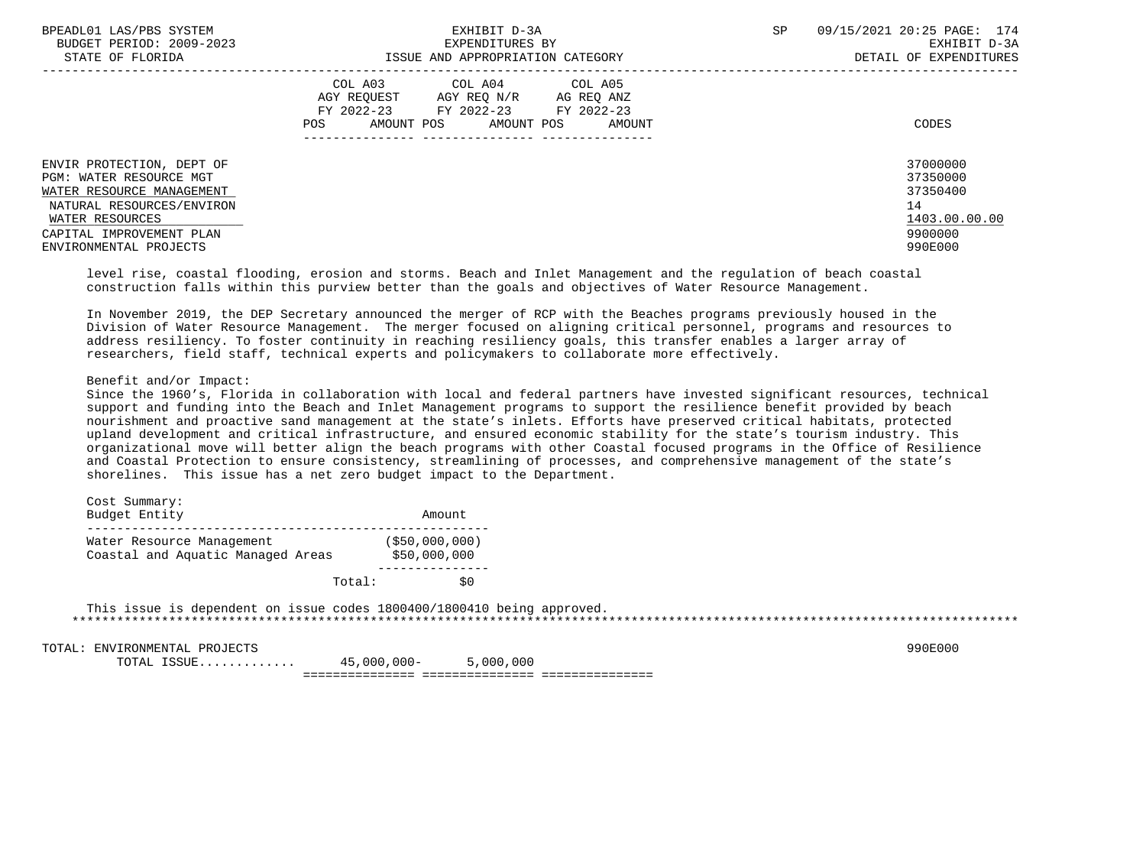| BPEADL01 LAS/PBS SYSTEM<br>BUDGET PERIOD: 2009-2023                                                                                                                                            | EXHIBIT D-3A<br>EXPENDITURES BY                                                                                                                | 09/15/2021 20:25 PAGE: 174<br>SP<br>EXHIBIT D-3A                              |
|------------------------------------------------------------------------------------------------------------------------------------------------------------------------------------------------|------------------------------------------------------------------------------------------------------------------------------------------------|-------------------------------------------------------------------------------|
| STATE OF FLORIDA                                                                                                                                                                               | ISSUE AND APPROPRIATION CATEGORY                                                                                                               | DETAIL OF EXPENDITURES                                                        |
|                                                                                                                                                                                                | COL A03 COL A04 COL A05<br>AGY REOUEST AGY REO N/R<br>AG REO ANZ<br>FY 2022-23 FY 2022-23 FY 2022-23<br>AMOUNT POS AMOUNT POS<br>POS<br>AMOUNT | CODES                                                                         |
| ENVIR PROTECTION, DEPT OF<br><b>PGM: WATER RESOURCE MGT</b><br>WATER RESOURCE MANAGEMENT<br>NATURAL RESOURCES/ENVIRON<br>WATER RESOURCES<br>CAPITAL IMPROVEMENT PLAN<br>ENVIRONMENTAL PROJECTS |                                                                                                                                                | 37000000<br>37350000<br>37350400<br>14<br>1403.00.00.00<br>9900000<br>990E000 |

 level rise, coastal flooding, erosion and storms. Beach and Inlet Management and the regulation of beach coastal construction falls within this purview better than the goals and objectives of Water Resource Management.

 In November 2019, the DEP Secretary announced the merger of RCP with the Beaches programs previously housed in the Division of Water Resource Management. The merger focused on aligning critical personnel, programs and resources to address resiliency. To foster continuity in reaching resiliency goals, this transfer enables a larger array of researchers, field staff, technical experts and policymakers to collaborate more effectively.

# Benefit and/or Impact:

 Since the 1960's, Florida in collaboration with local and federal partners have invested significant resources, technical support and funding into the Beach and Inlet Management programs to support the resilience benefit provided by beach nourishment and proactive sand management at the state's inlets. Efforts have preserved critical habitats, protected upland development and critical infrastructure, and ensured economic stability for the state's tourism industry. This organizational move will better align the beach programs with other Coastal focused programs in the Office of Resilience and Coastal Protection to ensure consistency, streamlining of processes, and comprehensive management of the state's shorelines. This issue has a net zero budget impact to the Department.

| Cost Summary:<br>Budget Entity                                 | Amount                          |
|----------------------------------------------------------------|---------------------------------|
| Water Resource Management<br>Coastal and Aquatic Managed Areas | ( \$50,000,000)<br>\$50,000,000 |
| Total:                                                         | sο                              |

 This issue is dependent on issue codes 1800400/1800410 being approved. \*\*\*\*\*\*\*\*\*\*\*\*\*\*\*\*\*\*\*\*\*\*\*\*\*\*\*\*\*\*\*\*\*\*\*\*\*\*\*\*\*\*\*\*\*\*\*\*\*\*\*\*\*\*\*\*\*\*\*\*\*\*\*\*\*\*\*\*\*\*\*\*\*\*\*\*\*\*\*\*\*\*\*\*\*\*\*\*\*\*\*\*\*\*\*\*\*\*\*\*\*\*\*\*\*\*\*\*\*\*\*\*\*\*\*\*\*\*\*\*\*\*\*\*\*\*\*

TOTAL: ENVIRONMENTAL PROJECTS 990E000

 TOTAL ISSUE............. 45,000,000- 5,000,000 =============== =============== ===============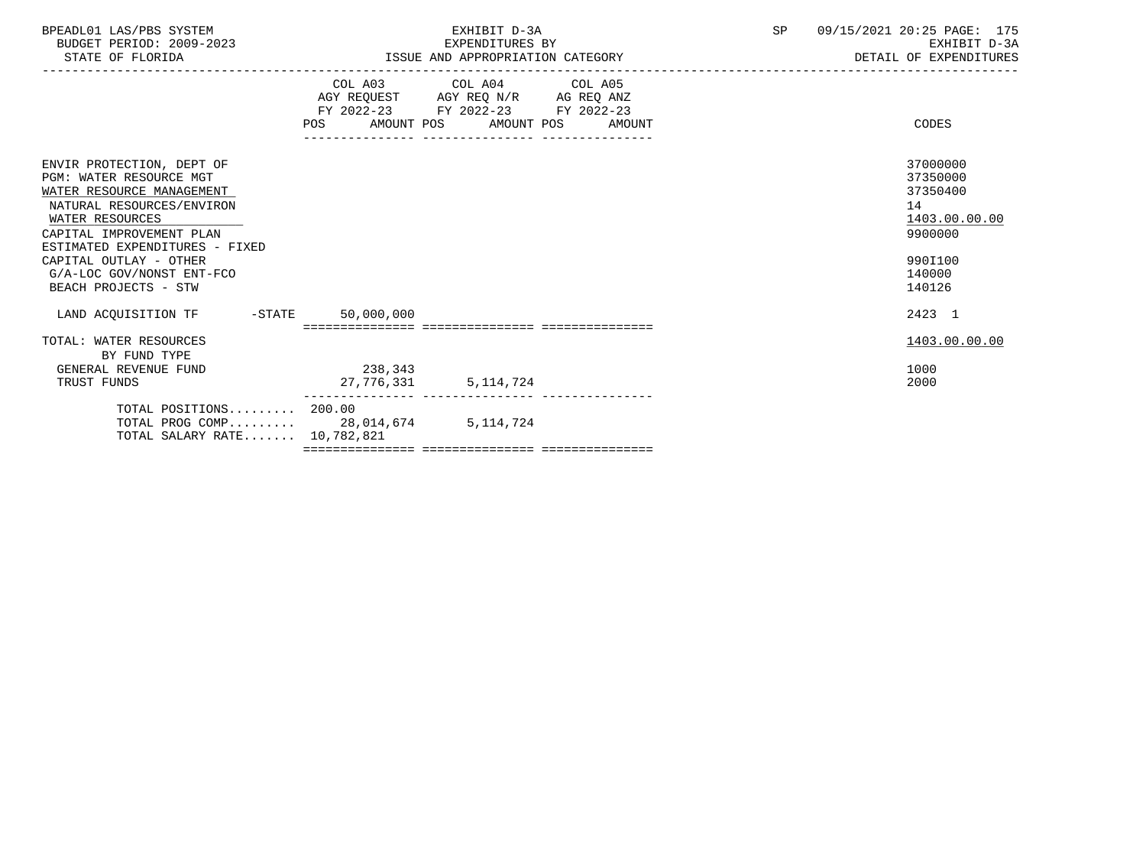| BPEADL01 LAS/PBS SYSTEM<br>BUDGET PERIOD: 2009-2023<br>STATE OF FLORIDA                                                                                                                                                                                                        | EXHIBIT D-3A<br>EXPENDITURES BY<br>ISSUE AND APPROPRIATION CATEGORY                                                                                                                                                                   | 09/15/2021 20:25 PAGE: 175<br>SP<br>EXHIBIT D-3A<br>DETAIL OF EXPENDITURES                        |
|--------------------------------------------------------------------------------------------------------------------------------------------------------------------------------------------------------------------------------------------------------------------------------|---------------------------------------------------------------------------------------------------------------------------------------------------------------------------------------------------------------------------------------|---------------------------------------------------------------------------------------------------|
|                                                                                                                                                                                                                                                                                | COL A03 COL A04 COL A05<br>$\begin{tabular}{lllllll} AGY & \texttt{REQUEST} & \texttt{AGY REQ} & \texttt{N/R} & \texttt{AG REQ} & \texttt{ANZ} \end{tabular}$<br>FY 2022-23 FY 2022-23 FY 2022-23<br>POS AMOUNT POS AMOUNT POS AMOUNT | CODES                                                                                             |
| ENVIR PROTECTION, DEPT OF<br>PGM: WATER RESOURCE MGT<br>WATER RESOURCE MANAGEMENT<br>NATURAL RESOURCES/ENVIRON<br>WATER RESOURCES<br>CAPITAL IMPROVEMENT PLAN<br>ESTIMATED EXPENDITURES - FIXED<br>CAPITAL OUTLAY - OTHER<br>G/A-LOC GOV/NONST ENT-FCO<br>BEACH PROJECTS - STW |                                                                                                                                                                                                                                       | 37000000<br>37350000<br>37350400<br>14<br>1403.00.00.00<br>9900000<br>990I100<br>140000<br>140126 |
| LAND ACQUISITION TF -STATE                                                                                                                                                                                                                                                     | 50,000,000                                                                                                                                                                                                                            | 2423 1                                                                                            |
| TOTAL: WATER RESOURCES<br>BY FUND TYPE<br>GENERAL REVENUE FUND<br>TRUST FUNDS                                                                                                                                                                                                  | 238, 343<br>27,776,331 5,114,724                                                                                                                                                                                                      | 1403.00.00.00<br>1000<br>2000                                                                     |
| TOTAL POSITIONS 200.00<br>TOTAL SALARY RATE 10,782,821                                                                                                                                                                                                                         | TOTAL PROG COMP 28,014,674 5,114,724                                                                                                                                                                                                  |                                                                                                   |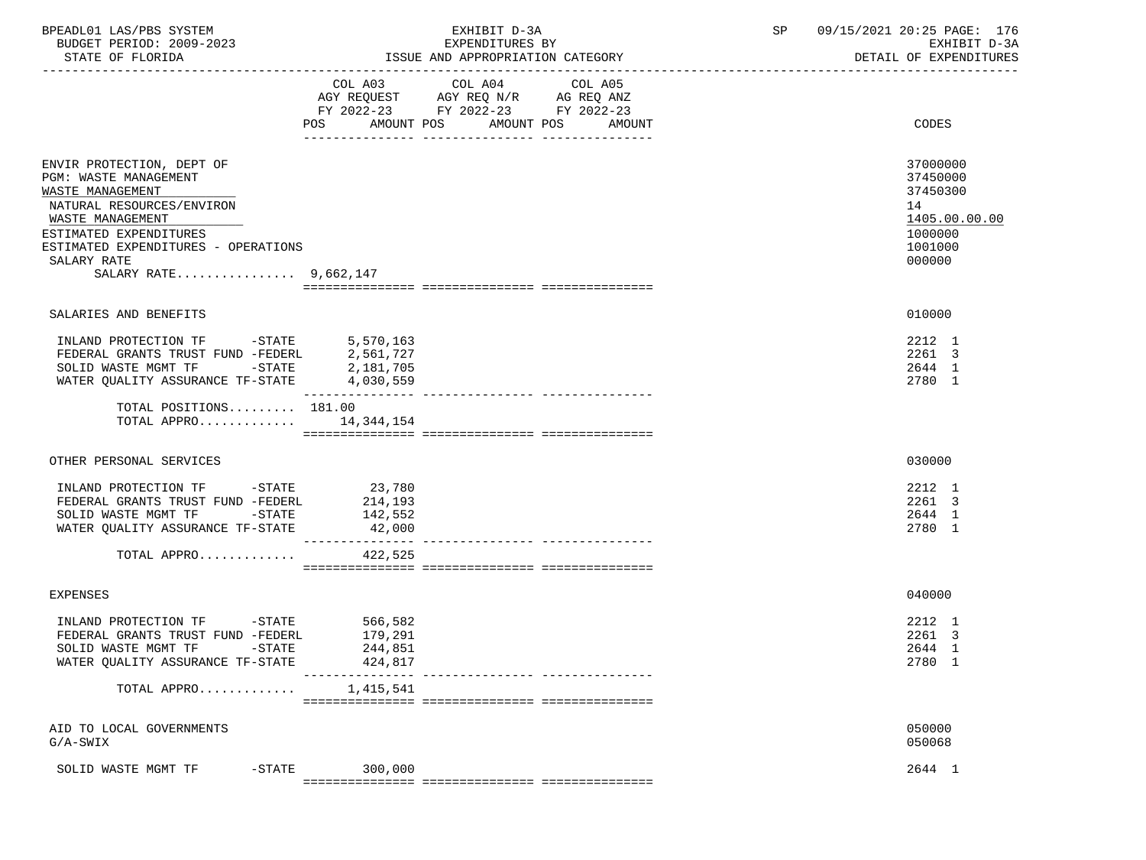| BPEADL01 LAS/PBS SYSTEM<br>BUDGET PERIOD: 2009-2023<br>STATE OF FLORIDA                                                                      | EXHIBIT D-3A<br>EXPENDITURES BY<br>ISSUE AND APPROPRIATION CATEGORY                                                                                  | 09/15/2021 20:25 PAGE: 176<br>SP<br>EXHIBIT D-3A<br>DETAIL OF EXPENDITURES |
|----------------------------------------------------------------------------------------------------------------------------------------------|------------------------------------------------------------------------------------------------------------------------------------------------------|----------------------------------------------------------------------------|
|                                                                                                                                              | COL A03<br>COL A04<br>COL A05<br>AGY REQUEST AGY REQ N/R AG REQ ANZ<br>FY 2022-23 FY 2022-23 FY 2022-23                                              |                                                                            |
|                                                                                                                                              | AMOUNT POS<br>AMOUNT POS<br>POS FOR THE POST OF THE STATE STATE STATE STATE STATE STATE STATE STATE STATE STATE STATE STATE STATE STATE ST<br>AMOUNT | CODES                                                                      |
| ENVIR PROTECTION, DEPT OF<br><b>PGM: WASTE MANAGEMENT</b><br>WASTE MANAGEMENT<br>NATURAL RESOURCES/ENVIRON                                   |                                                                                                                                                      | 37000000<br>37450000<br>37450300<br>14                                     |
| WASTE MANAGEMENT<br>ESTIMATED EXPENDITURES<br>ESTIMATED EXPENDITURES - OPERATIONS<br>SALARY RATE<br>SALARY RATE 9,662,147                    |                                                                                                                                                      | 1405.00.00.00<br>1000000<br>1001000<br>000000                              |
|                                                                                                                                              |                                                                                                                                                      |                                                                            |
| SALARIES AND BENEFITS                                                                                                                        |                                                                                                                                                      | 010000                                                                     |
| INLAND PROTECTION TF -STATE<br>FEDERAL GRANTS TRUST FUND -FEDERL<br>SOLID WASTE MGMT TF -STATE<br>WATER QUALITY ASSURANCE TF-STATE 4,030,559 | 5,570,163<br>2,561,727<br>2,181,705<br>----------------<br>---------------- ----------------                                                         | 2212 1<br>2261 3<br>2644 1<br>2780 1                                       |
| TOTAL POSITIONS 181.00<br>TOTAL APPRO $14,344,154$                                                                                           |                                                                                                                                                      |                                                                            |
| OTHER PERSONAL SERVICES                                                                                                                      |                                                                                                                                                      | 030000                                                                     |
| INLAND PROTECTION TF -STATE 23,780<br>FEDERAL GRANTS TRUST FUND -FEDERL<br>SOLID WASTE MGMT TF -STATE<br>WATER QUALITY ASSURANCE TF-STATE    | 214,193<br>142,552<br>42,000                                                                                                                         | 2212 1<br>2261 3<br>2644 1<br>2780 1                                       |
| TOTAL APPRO                                                                                                                                  | ---------------<br>422,525                                                                                                                           |                                                                            |
|                                                                                                                                              |                                                                                                                                                      |                                                                            |
| <b>EXPENSES</b>                                                                                                                              |                                                                                                                                                      | 040000                                                                     |
| INLAND PROTECTION TF -STATE<br>FEDERAL GRANTS TRUST FUND -FEDERL<br>SOLID WASTE MGMT TF<br>-STATE<br>WATER QUALITY ASSURANCE TF-STATE        | 566,582<br>179,291<br>244,851<br>424,817                                                                                                             | 2212 1<br>2261 3<br>2644 1<br>2780 1                                       |
| TOTAL APPRO                                                                                                                                  | ------------- ----------------<br>1,415,541                                                                                                          |                                                                            |
| AID TO LOCAL GOVERNMENTS<br>$G/A-SWIX$                                                                                                       |                                                                                                                                                      | 050000<br>050068                                                           |
| SOLID WASTE MGMT TF<br>$-STATE$                                                                                                              | 300,000                                                                                                                                              | 2644 1                                                                     |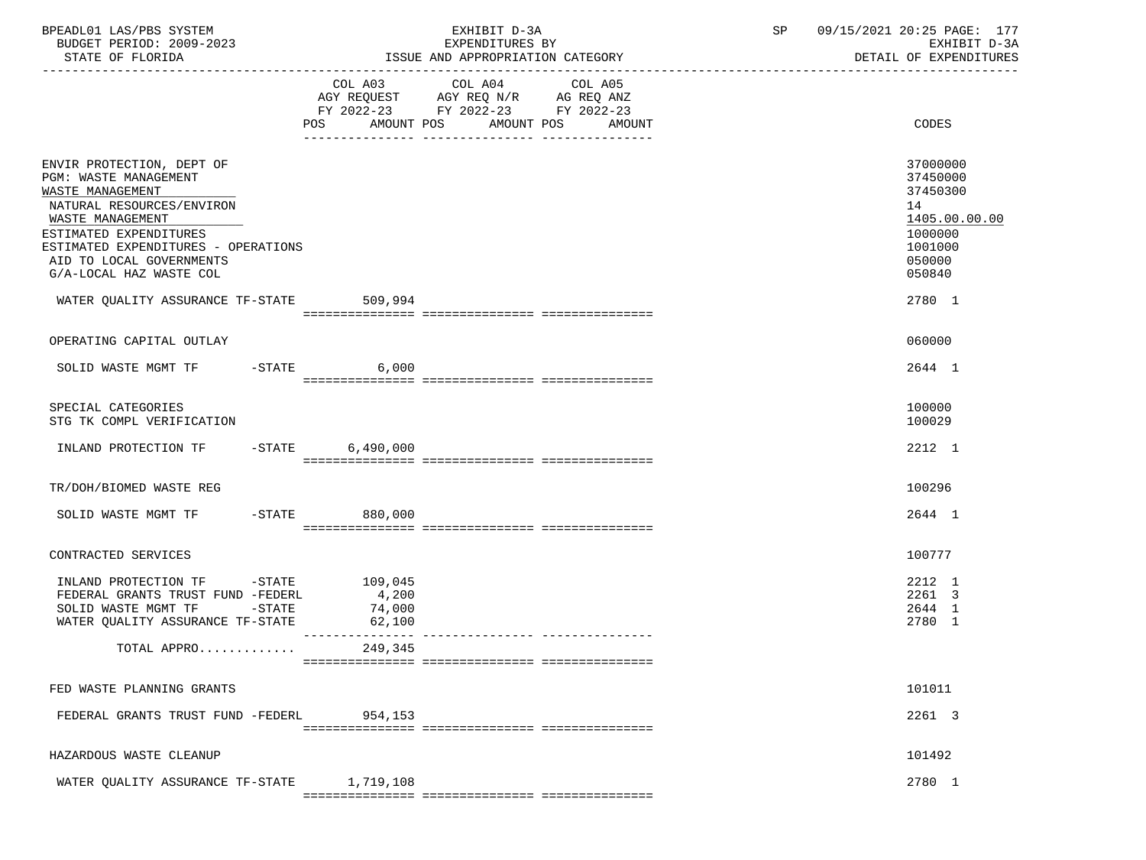| BPEADL01 LAS/PBS SYSTEM<br>BUDGET PERIOD: 2009-2023                                                                                                                                                                                             |                 | EXHIBIT D-3A<br>EXPENDITURES BY                                                                                                          | 09/15/2021 20:25 PAGE: 177<br>SP<br>EXHIBIT D-3A                                                  |
|-------------------------------------------------------------------------------------------------------------------------------------------------------------------------------------------------------------------------------------------------|-----------------|------------------------------------------------------------------------------------------------------------------------------------------|---------------------------------------------------------------------------------------------------|
| STATE OF FLORIDA                                                                                                                                                                                                                                |                 | ISSUE AND APPROPRIATION CATEGORY                                                                                                         | DETAIL OF EXPENDITURES                                                                            |
|                                                                                                                                                                                                                                                 |                 | COL A03 COL A04<br>COL A05<br>AGY REQUEST AGY REQ N/R AG REQ ANZ<br>FY 2022-23 FY 2022-23 FY 2022-23<br>POS AMOUNT POS AMOUNT POS AMOUNT | CODES                                                                                             |
| ENVIR PROTECTION, DEPT OF<br>PGM: WASTE MANAGEMENT<br>WASTE MANAGEMENT<br>NATURAL RESOURCES/ENVIRON<br>WASTE MANAGEMENT<br>ESTIMATED EXPENDITURES<br>ESTIMATED EXPENDITURES - OPERATIONS<br>AID TO LOCAL GOVERNMENTS<br>G/A-LOCAL HAZ WASTE COL |                 |                                                                                                                                          | 37000000<br>37450000<br>37450300<br>14<br>1405.00.00.00<br>1000000<br>1001000<br>050000<br>050840 |
| WATER QUALITY ASSURANCE TF-STATE 509,994                                                                                                                                                                                                        |                 |                                                                                                                                          | 2780 1                                                                                            |
| OPERATING CAPITAL OUTLAY                                                                                                                                                                                                                        |                 |                                                                                                                                          | 060000                                                                                            |
| SOLID WASTE MGMT TF -STATE 6,000                                                                                                                                                                                                                |                 |                                                                                                                                          | 2644 1                                                                                            |
| SPECIAL CATEGORIES<br>STG TK COMPL VERIFICATION                                                                                                                                                                                                 |                 |                                                                                                                                          | 100000<br>100029                                                                                  |
| INLAND PROTECTION TF -STATE 6,490,000                                                                                                                                                                                                           |                 |                                                                                                                                          | 2212 1                                                                                            |
| TR/DOH/BIOMED WASTE REG                                                                                                                                                                                                                         |                 |                                                                                                                                          | 100296                                                                                            |
| SOLID WASTE MGMT TF -STATE 880,000                                                                                                                                                                                                              |                 |                                                                                                                                          | 2644 1                                                                                            |
| CONTRACTED SERVICES                                                                                                                                                                                                                             |                 |                                                                                                                                          | 100777                                                                                            |
| INLAND PROTECTION TF -STATE 109,045<br>FEDERAL GRANTS TRUST FUND -FEDERL<br>SOLID WASTE MGMT TF -STATE 74,000<br>WATER QUALITY ASSURANCE TF-STATE                                                                                               | 4,200<br>62,100 |                                                                                                                                          | 2212 1<br>2261 3<br>2644 1<br>2780 1                                                              |
| TOTAL APPRO                                                                                                                                                                                                                                     | 249,345         |                                                                                                                                          |                                                                                                   |
| FED WASTE PLANNING GRANTS                                                                                                                                                                                                                       |                 |                                                                                                                                          | 101011                                                                                            |
| FEDERAL GRANTS TRUST FUND -FEDERL                                                                                                                                                                                                               | 954,153         |                                                                                                                                          | 2261 3                                                                                            |
| HAZARDOUS WASTE CLEANUP                                                                                                                                                                                                                         |                 |                                                                                                                                          | 101492                                                                                            |
| WATER QUALITY ASSURANCE TF-STATE                                                                                                                                                                                                                | 1,719,108       |                                                                                                                                          | 2780 1                                                                                            |

=============== =============== ===============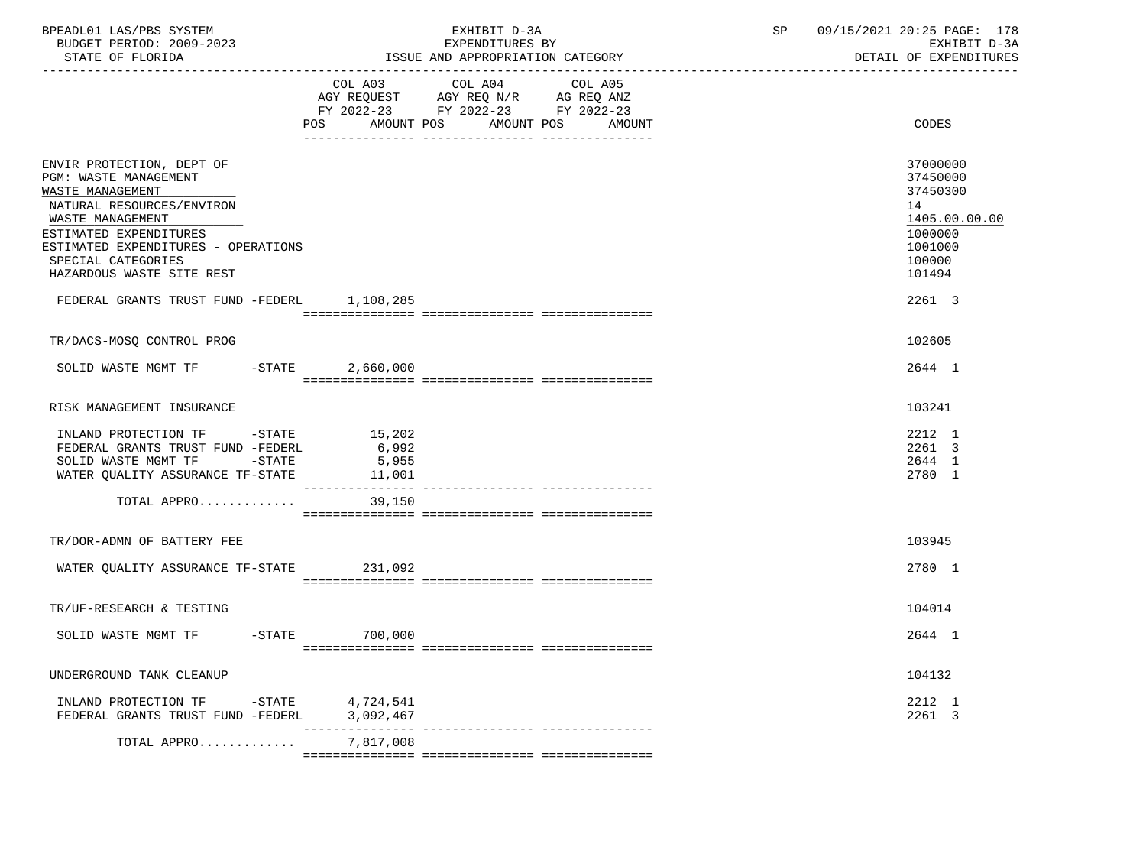| BPEADL01 LAS/PBS SYSTEM<br>BUDGET PERIOD: 2009-2023<br>STATE OF FLORIDA                                                                                                                                                                     |                                    | EXHIBIT D-3A<br>EXPENDITURES BY<br>ISSUE AND APPROPRIATION CATEGORY                                                                      | SP | 09/15/2021 20:25 PAGE: 178<br>EXHIBIT D-3A<br>DETAIL OF EXPENDITURES                              |
|---------------------------------------------------------------------------------------------------------------------------------------------------------------------------------------------------------------------------------------------|------------------------------------|------------------------------------------------------------------------------------------------------------------------------------------|----|---------------------------------------------------------------------------------------------------|
|                                                                                                                                                                                                                                             |                                    | COL A03 COL A04<br>COL A05<br>AGY REQUEST AGY REQ N/R AG REQ ANZ<br>FY 2022-23 FY 2022-23 FY 2022-23<br>POS AMOUNT POS AMOUNT POS AMOUNT |    | CODES                                                                                             |
| ENVIR PROTECTION, DEPT OF<br>PGM: WASTE MANAGEMENT<br>WASTE MANAGEMENT<br>NATURAL RESOURCES/ENVIRON<br>WASTE MANAGEMENT<br>ESTIMATED EXPENDITURES<br>ESTIMATED EXPENDITURES - OPERATIONS<br>SPECIAL CATEGORIES<br>HAZARDOUS WASTE SITE REST |                                    |                                                                                                                                          |    | 37000000<br>37450000<br>37450300<br>14<br>1405.00.00.00<br>1000000<br>1001000<br>100000<br>101494 |
| FEDERAL GRANTS TRUST FUND -FEDERL 1,108,285                                                                                                                                                                                                 |                                    |                                                                                                                                          |    | 2261 3                                                                                            |
| TR/DACS-MOSQ CONTROL PROG                                                                                                                                                                                                                   |                                    |                                                                                                                                          |    | 102605                                                                                            |
| SOLID WASTE MGMT TF -STATE 2,660,000                                                                                                                                                                                                        |                                    |                                                                                                                                          |    | 2644 1                                                                                            |
| RISK MANAGEMENT INSURANCE                                                                                                                                                                                                                   |                                    |                                                                                                                                          |    | 103241                                                                                            |
| INLAND PROTECTION TF -STATE<br>FEDERAL GRANTS TRUST FUND -FEDERL<br>SOLID WASTE MGMT TF -STATE<br>WATER QUALITY ASSURANCE TF-STATE                                                                                                          | 15,202<br>6,992<br>5,955<br>11,001 |                                                                                                                                          |    | 2212 1<br>2261 3<br>2644 1<br>2780 1                                                              |
| TOTAL APPRO                                                                                                                                                                                                                                 | 39,150                             |                                                                                                                                          |    |                                                                                                   |
| TR/DOR-ADMN OF BATTERY FEE                                                                                                                                                                                                                  |                                    |                                                                                                                                          |    | 103945                                                                                            |
| WATER QUALITY ASSURANCE TF-STATE 231,092                                                                                                                                                                                                    |                                    |                                                                                                                                          |    | 2780 1                                                                                            |
| TR/UF-RESEARCH & TESTING                                                                                                                                                                                                                    |                                    |                                                                                                                                          |    | 104014                                                                                            |
| SOLID WASTE MGMT TF -STATE 700,000                                                                                                                                                                                                          |                                    |                                                                                                                                          |    | 2644 1                                                                                            |
| UNDERGROUND TANK CLEANUP                                                                                                                                                                                                                    |                                    |                                                                                                                                          |    | 104132                                                                                            |
| INLAND PROTECTION TF -STATE 4,724,541<br>FEDERAL GRANTS TRUST FUND -FEDERL                                                                                                                                                                  | 3,092,467                          |                                                                                                                                          |    | 2212 1<br>2261 3                                                                                  |
| TOTAL APPRO                                                                                                                                                                                                                                 | 7,817,008                          | -------------- ----------------                                                                                                          |    |                                                                                                   |
|                                                                                                                                                                                                                                             |                                    |                                                                                                                                          |    |                                                                                                   |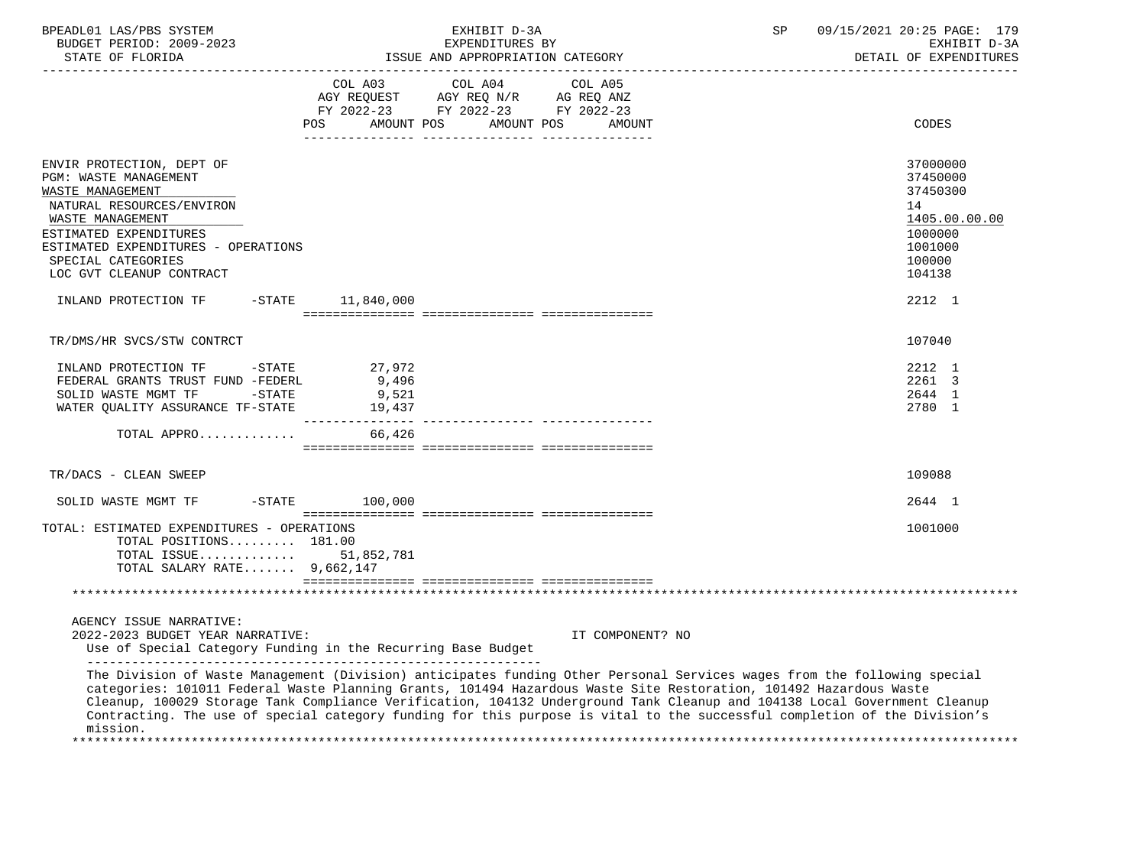| BPEADL01 LAS/PBS SYSTEM<br>BUDGET PERIOD: 2009-2023<br>STATE OF FLORIDA                                                                                                                                                                                                                                                                                                                                                                                                                                   |                                    | EXHIBIT D-3A<br>EXPENDITURES BY<br>ISSUE AND APPROPRIATION CATEGORY                                             |                  | SP | 09/15/2021 20:25 PAGE: 179<br>EXHIBIT D-3A<br>DETAIL OF EXPENDITURES                                        |
|-----------------------------------------------------------------------------------------------------------------------------------------------------------------------------------------------------------------------------------------------------------------------------------------------------------------------------------------------------------------------------------------------------------------------------------------------------------------------------------------------------------|------------------------------------|-----------------------------------------------------------------------------------------------------------------|------------------|----|-------------------------------------------------------------------------------------------------------------|
|                                                                                                                                                                                                                                                                                                                                                                                                                                                                                                           | <b>POS</b><br>AMOUNT POS           | COL A03 COL A04 COL A05<br>AGY REQUEST AGY REQ N/R AG REQ ANZ<br>FY 2022-23 FY 2022-23 FY 2022-23<br>AMOUNT POS | <b>AMOUNT</b>    |    | <b>CODES</b>                                                                                                |
| ENVIR PROTECTION, DEPT OF<br>PGM: WASTE MANAGEMENT<br>WASTE MANAGEMENT<br>NATURAL RESOURCES/ENVIRON<br>WASTE MANAGEMENT<br>ESTIMATED EXPENDITURES<br>ESTIMATED EXPENDITURES - OPERATIONS<br>SPECIAL CATEGORIES<br>LOC GVT CLEANUP CONTRACT<br>INLAND PROTECTION TF                                                                                                                                                                                                                                        | $-STATE$ 11,840,000                |                                                                                                                 |                  |    | 37000000<br>37450000<br>37450300<br>14<br>1405.00.00.00<br>1000000<br>1001000<br>100000<br>104138<br>2212 1 |
|                                                                                                                                                                                                                                                                                                                                                                                                                                                                                                           |                                    |                                                                                                                 |                  |    |                                                                                                             |
| TR/DMS/HR SVCS/STW CONTRCT                                                                                                                                                                                                                                                                                                                                                                                                                                                                                |                                    |                                                                                                                 |                  |    | 107040                                                                                                      |
| INLAND PROTECTION TF -STATE<br>FEDERAL GRANTS TRUST FUND -FEDERL<br>SOLID WASTE MGMT TF -STATE<br>WATER QUALITY ASSURANCE TF-STATE                                                                                                                                                                                                                                                                                                                                                                        | 27,972<br>9,496<br>9,521<br>19,437 |                                                                                                                 |                  |    | 2212 1<br>2261 3<br>2644 1<br>2780 1                                                                        |
| TOTAL APPRO                                                                                                                                                                                                                                                                                                                                                                                                                                                                                               | 66,426                             |                                                                                                                 |                  |    |                                                                                                             |
| TR/DACS - CLEAN SWEEP                                                                                                                                                                                                                                                                                                                                                                                                                                                                                     |                                    |                                                                                                                 |                  |    | 109088                                                                                                      |
| $-$ STATE<br>SOLID WASTE MGMT TF                                                                                                                                                                                                                                                                                                                                                                                                                                                                          | 100,000                            |                                                                                                                 |                  |    | 2644 1                                                                                                      |
| TOTAL: ESTIMATED EXPENDITURES - OPERATIONS<br>TOTAL POSITIONS 181.00<br>TOTAL ISSUE 51,852,781<br>TOTAL SALARY RATE $9,662,147$                                                                                                                                                                                                                                                                                                                                                                           |                                    |                                                                                                                 |                  |    | 1001000                                                                                                     |
|                                                                                                                                                                                                                                                                                                                                                                                                                                                                                                           |                                    |                                                                                                                 |                  |    |                                                                                                             |
| AGENCY ISSUE NARRATIVE:<br>2022-2023 BUDGET YEAR NARRATIVE:<br>Use of Special Category Funding in the Recurring Base Budget<br>The Division of Waste Management (Division) anticipates funding Other Personal Services wages from the following special<br>categories: 101011 Federal Waste Planning Grants, 101494 Hazardous Waste Site Restoration, 101492 Hazardous Waste<br>Cleanup, 100029 Storage Tank Compliance Verification, 104132 Underground Tank Cleanup and 104138 Local Government Cleanup |                                    |                                                                                                                 | IT COMPONENT? NO |    |                                                                                                             |
| Contracting. The use of special category funding for this purpose is vital to the successful completion of the Division's<br>mission.                                                                                                                                                                                                                                                                                                                                                                     |                                    |                                                                                                                 |                  |    |                                                                                                             |

\*\*\*\*\*\*\*\*\*\*\*\*\*\*\*\*\*\*\*\*\*\*\*\*\*\*\*\*\*\*\*\*\*\*\*\*\*\*\*\*\*\*\*\*\*\*\*\*\*\*\*\*\*\*\*\*\*\*\*\*\*\*\*\*\*\*\*\*\*\*\*\*\*\*\*\*\*\*\*\*\*\*\*\*\*\*\*\*\*\*\*\*\*\*\*\*\*\*\*\*\*\*\*\*\*\*\*\*\*\*\*\*\*\*\*\*\*\*\*\*\*\*\*\*\*\*\*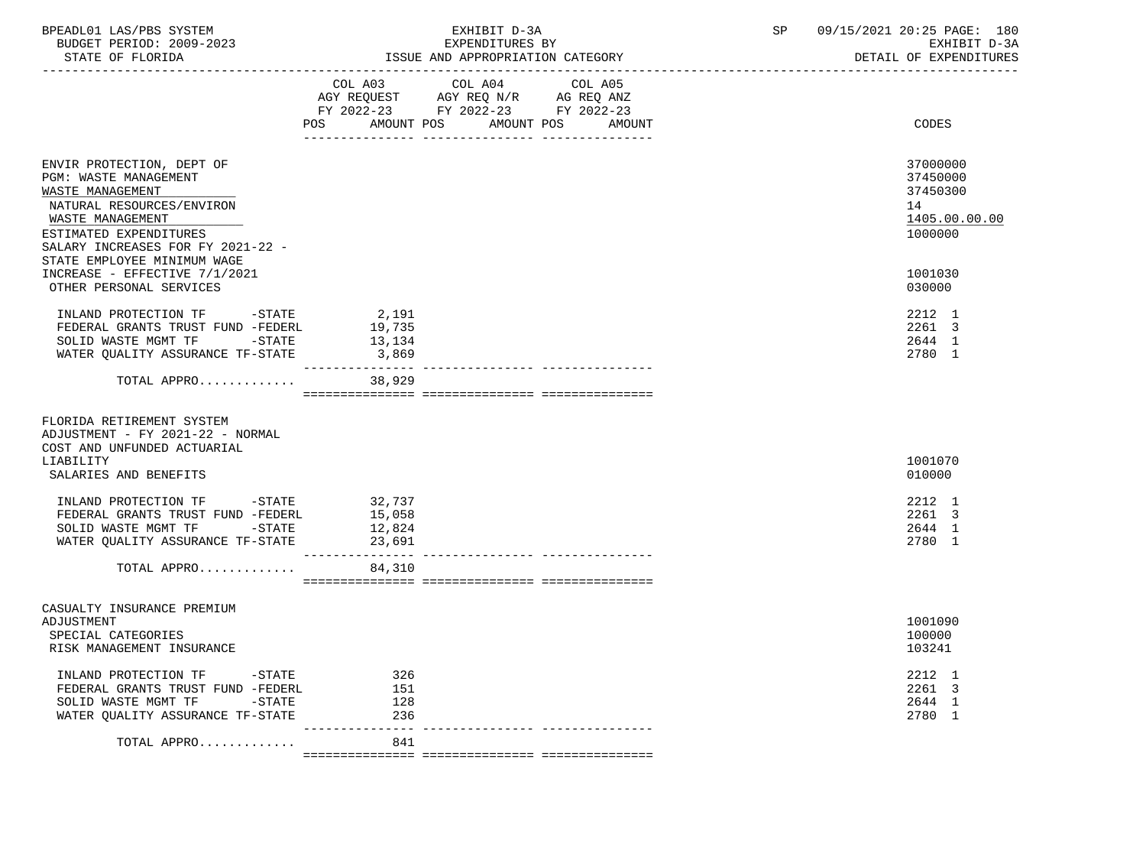| BPEADL01 LAS/PBS SYSTEM<br>BUDGET PERIOD: 2009-2023<br>STATE OF FLORIDA                                                                                                                                               |                                      | EXHIBIT D-3A<br>EXPENDITURES BY<br>ISSUE AND APPROPRIATION CATEGORY                                                         | SP | 09/15/2021 20:25 PAGE: 180<br>EXHIBIT D-3A<br>DETAIL OF EXPENDITURES |
|-----------------------------------------------------------------------------------------------------------------------------------------------------------------------------------------------------------------------|--------------------------------------|-----------------------------------------------------------------------------------------------------------------------------|----|----------------------------------------------------------------------|
|                                                                                                                                                                                                                       | AMOUNT POS<br>POS                    | COL A03 COL A04 COL A05<br>AGY REQUEST AGY REQ $N/R$ AG REQ ANZ<br>FY 2022-23 FY 2022-23 FY 2022-23<br>AMOUNT POS<br>AMOUNT |    | CODES                                                                |
| ENVIR PROTECTION, DEPT OF<br>PGM: WASTE MANAGEMENT<br>WASTE MANAGEMENT<br>NATURAL RESOURCES/ENVIRON<br>WASTE MANAGEMENT<br>ESTIMATED EXPENDITURES<br>SALARY INCREASES FOR FY 2021-22 -<br>STATE EMPLOYEE MINIMUM WAGE |                                      |                                                                                                                             |    | 37000000<br>37450000<br>37450300<br>14<br>1405.00.00.00<br>1000000   |
| INCREASE - EFFECTIVE 7/1/2021<br>OTHER PERSONAL SERVICES                                                                                                                                                              |                                      |                                                                                                                             |    | 1001030<br>030000                                                    |
| INLAND PROTECTION TF -STATE<br>FEDERAL GRANTS TRUST FUND -FEDERL<br>SOLID WASTE MGMT TF -STATE<br>WATER QUALITY ASSURANCE TF-STATE                                                                                    | 2,191<br>19,735<br>13,134<br>3,869   |                                                                                                                             |    | 2212 1<br>2261 3<br>2644 1<br>2780 1                                 |
| TOTAL APPRO                                                                                                                                                                                                           | 38,929                               |                                                                                                                             |    |                                                                      |
| FLORIDA RETIREMENT SYSTEM<br>ADJUSTMENT - FY 2021-22 - NORMAL<br>COST AND UNFUNDED ACTUARIAL<br>LIABILITY<br>SALARIES AND BENEFITS                                                                                    |                                      |                                                                                                                             |    | 1001070<br>010000                                                    |
| INLAND PROTECTION TF -STATE<br>FEDERAL GRANTS TRUST FUND -FEDERL<br>SOLID WASTE MGMT TF<br>$-$ STATE<br>WATER QUALITY ASSURANCE TF-STATE                                                                              | 32,737<br>15,058<br>12,824<br>23,691 |                                                                                                                             |    | 2212 1<br>2261 3<br>2644 1<br>2780 1                                 |
| TOTAL APPRO                                                                                                                                                                                                           | 84,310                               |                                                                                                                             |    |                                                                      |
| CASUALTY INSURANCE PREMIUM<br>ADJUSTMENT<br>SPECIAL CATEGORIES<br>RISK MANAGEMENT INSURANCE                                                                                                                           |                                      |                                                                                                                             |    | 1001090<br>100000<br>103241                                          |
| INLAND PROTECTION TF<br>$-$ STATE<br>FEDERAL GRANTS TRUST FUND -FEDERL<br>SOLID WASTE MGMT TF<br>$-STATE$<br>WATER OUALITY ASSURANCE TF-STATE                                                                         | 326<br>151<br>128<br>236             |                                                                                                                             |    | 2212 1<br>2261 3<br>2644 1<br>2780 1                                 |
| TOTAL APPRO                                                                                                                                                                                                           | 841                                  |                                                                                                                             |    |                                                                      |

=============== =============== ===============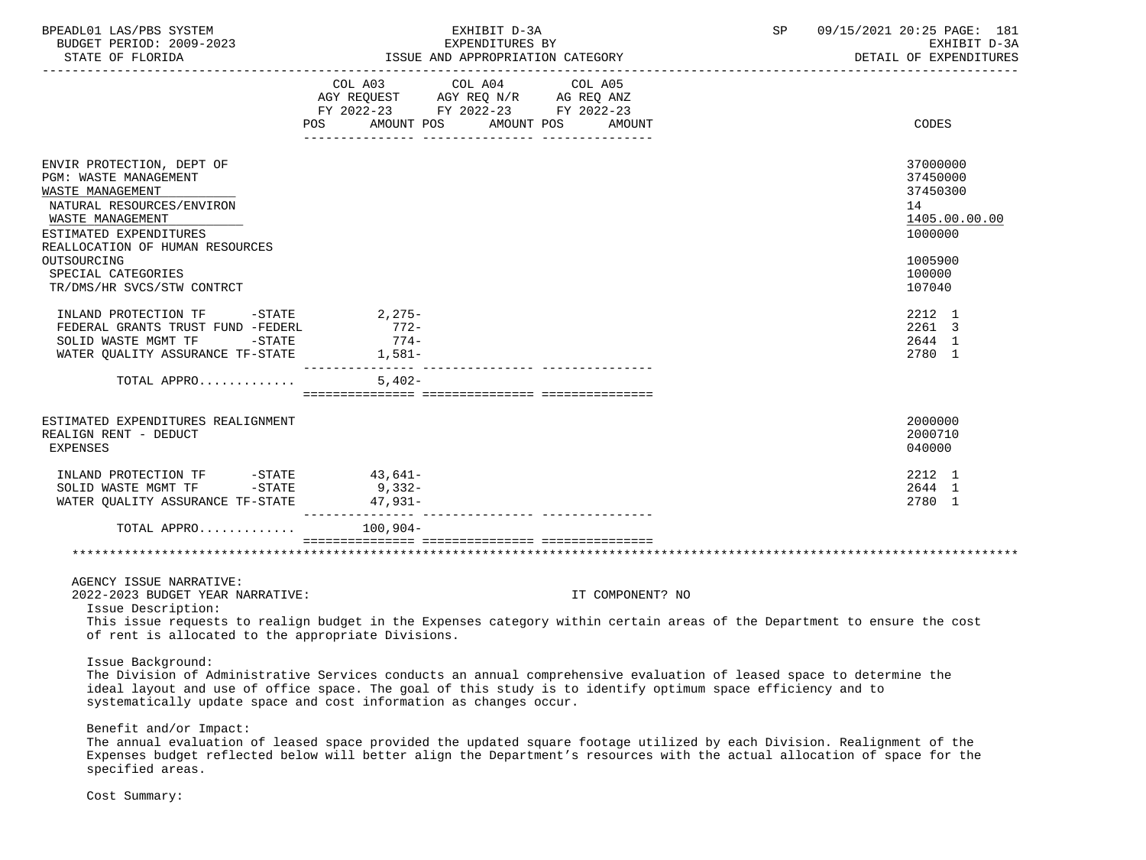| BPEADL01 LAS/PBS SYSTEM<br>BUDGET PERIOD: 2009-2023<br>STATE OF FLORIDA                                                                                                                                                                                                                                                                                                                                     |                            | EXHIBIT D-3A<br>EXPENDITURES BY<br>ISSUE AND APPROPRIATION CATEGORY                                             |                  | SP | 09/15/2021 20:25 PAGE: 181<br>EXHIBIT D-3A<br>DETAIL OF EXPENDITURES                                                                      |
|-------------------------------------------------------------------------------------------------------------------------------------------------------------------------------------------------------------------------------------------------------------------------------------------------------------------------------------------------------------------------------------------------------------|----------------------------|-----------------------------------------------------------------------------------------------------------------|------------------|----|-------------------------------------------------------------------------------------------------------------------------------------------|
|                                                                                                                                                                                                                                                                                                                                                                                                             | POS AMOUNT POS             | COL A03 COL A04 COL A05<br>AGY REQUEST AGY REQ N/R AG REQ ANZ<br>FY 2022-23 FY 2022-23 FY 2022-23<br>AMOUNT POS | AMOUNT           |    | CODES                                                                                                                                     |
| ENVIR PROTECTION, DEPT OF<br><b>PGM: WASTE MANAGEMENT</b><br>WASTE MANAGEMENT<br>NATURAL RESOURCES/ENVIRON<br>WASTE MANAGEMENT<br>ESTIMATED EXPENDITURES<br>REALLOCATION OF HUMAN RESOURCES<br>OUTSOURCING<br>SPECIAL CATEGORIES<br>TR/DMS/HR SVCS/STW CONTRCT<br>INLAND PROTECTION TF -STATE 2,275-<br>FEDERAL GRANTS TRUST FUND -FEDERL<br>SOLID WASTE MGMT TF -STATE<br>WATER OUALITY ASSURANCE TF-STATE | $772-$<br>774-<br>$1,581-$ |                                                                                                                 |                  |    | 37000000<br>37450000<br>37450300<br>14<br>1405.00.00.00<br>1000000<br>1005900<br>100000<br>107040<br>2212 1<br>2261 3<br>2644 1<br>2780 1 |
| TOTAL APPRO                                                                                                                                                                                                                                                                                                                                                                                                 | $5.402 -$                  |                                                                                                                 |                  |    |                                                                                                                                           |
| ESTIMATED EXPENDITURES REALIGNMENT<br>REALIGN RENT - DEDUCT<br><b>EXPENSES</b>                                                                                                                                                                                                                                                                                                                              |                            |                                                                                                                 |                  |    | 2000000<br>2000710<br>040000                                                                                                              |
| INLAND PROTECTION TF -STATE 43,641-<br>SOLID WASTE MGMT TF -STATE<br>WATER QUALITY ASSURANCE TF-STATE 47,931-                                                                                                                                                                                                                                                                                               | $9,332-$                   |                                                                                                                 |                  |    | 2212 1<br>2644 1<br>2780 1                                                                                                                |
| TOTAL APPRO 100,904-                                                                                                                                                                                                                                                                                                                                                                                        |                            |                                                                                                                 |                  |    |                                                                                                                                           |
|                                                                                                                                                                                                                                                                                                                                                                                                             |                            |                                                                                                                 |                  |    |                                                                                                                                           |
| AGENCY ISSUE NARRATIVE:<br>2022-2023 BUDGET YEAR NARRATIVE:                                                                                                                                                                                                                                                                                                                                                 |                            |                                                                                                                 | IT COMPONENT? NO |    |                                                                                                                                           |

Issue Description:

 This issue requests to realign budget in the Expenses category within certain areas of the Department to ensure the cost of rent is allocated to the appropriate Divisions.

Issue Background:

 The Division of Administrative Services conducts an annual comprehensive evaluation of leased space to determine the ideal layout and use of office space. The goal of this study is to identify optimum space efficiency and to systematically update space and cost information as changes occur.

Benefit and/or Impact:

 The annual evaluation of leased space provided the updated square footage utilized by each Division. Realignment of the Expenses budget reflected below will better align the Department's resources with the actual allocation of space for the specified areas.

Cost Summary: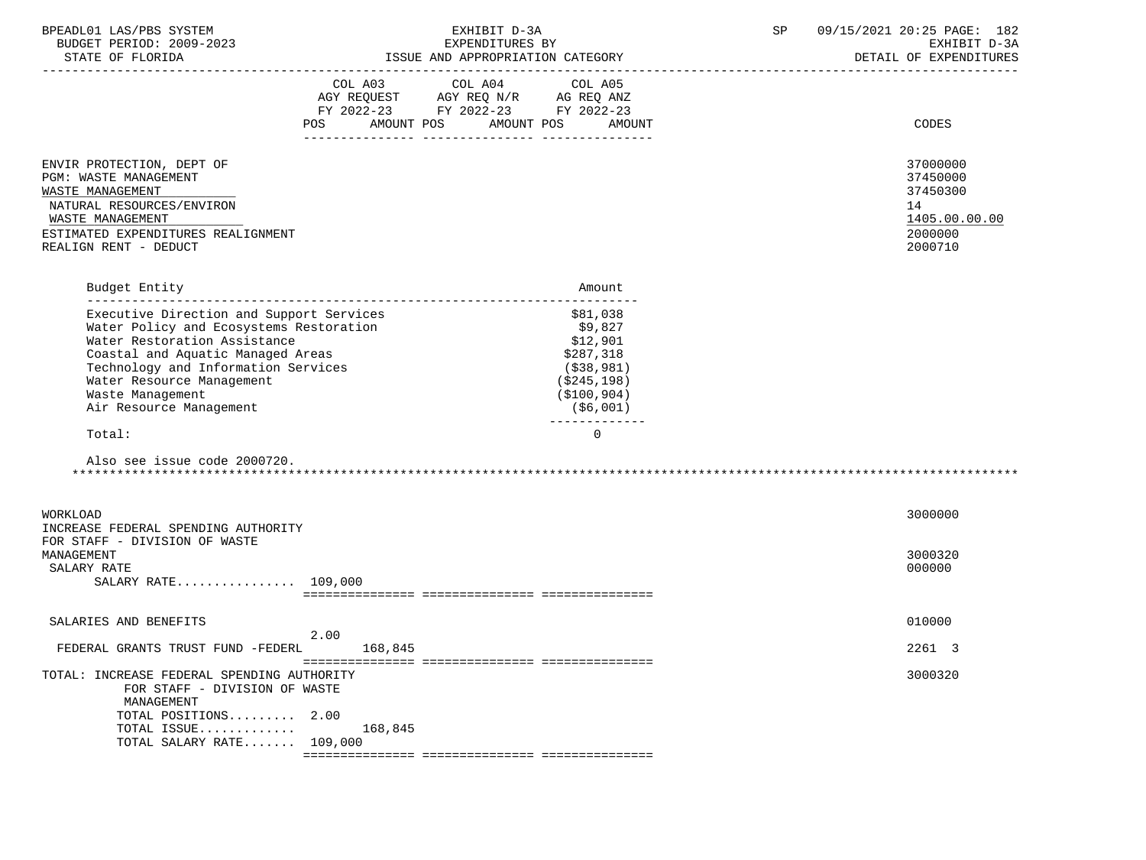| BPEADL01 LAS/PBS SYSTEM |                  |                          | EXHIBIT D-3A                     |  |
|-------------------------|------------------|--------------------------|----------------------------------|--|
|                         |                  | BUDGET PERIOD: 2009-2023 | EXPENDITURES BY                  |  |
|                         | STATE OF FLORIDA |                          | ISSUE AND APPROPRIATION CATEGORY |  |

|                                                                                                                                                                                                                                                                             | COL A03 COL A04 COL A05<br>AGY REQUEST AGY REQ N/R AG REQ ANZ<br>FY 2022-23 FY 2022-23 FY 2022-23<br>AMOUNT POS<br>POS | AMOUNT POS | AMOUNT                                                                                                                     | <b>CODES</b>                                                                  |
|-----------------------------------------------------------------------------------------------------------------------------------------------------------------------------------------------------------------------------------------------------------------------------|------------------------------------------------------------------------------------------------------------------------|------------|----------------------------------------------------------------------------------------------------------------------------|-------------------------------------------------------------------------------|
|                                                                                                                                                                                                                                                                             |                                                                                                                        |            |                                                                                                                            |                                                                               |
| ENVIR PROTECTION, DEPT OF<br><b>PGM: WASTE MANAGEMENT</b><br>WASTE MANAGEMENT<br>NATURAL RESOURCES/ENVIRON<br>WASTE MANAGEMENT<br>ESTIMATED EXPENDITURES REALIGNMENT<br>REALIGN RENT - DEDUCT                                                                               |                                                                                                                        |            |                                                                                                                            | 37000000<br>37450000<br>37450300<br>14<br>1405.00.00.00<br>2000000<br>2000710 |
| Budget Entity                                                                                                                                                                                                                                                               |                                                                                                                        |            | Amount                                                                                                                     |                                                                               |
| Executive Direction and Support Services<br>Water Policy and Ecosystems Restoration<br>Water Restoration Assistance<br>Coastal and Aquatic Managed Areas<br>Technology and Information Services<br>Water Resource Management<br>Waste Management<br>Air Resource Management |                                                                                                                        |            | \$81,038<br>\$9,827<br>\$12,901<br>\$287,318<br>(\$38,981)<br>( \$245, 198)<br>( \$100, 904)<br>(\$6,001)<br>------------- |                                                                               |
| Total:                                                                                                                                                                                                                                                                      |                                                                                                                        |            | $\Omega$                                                                                                                   |                                                                               |
| Also see issue code 2000720.                                                                                                                                                                                                                                                |                                                                                                                        |            |                                                                                                                            |                                                                               |
| WORKLOAD                                                                                                                                                                                                                                                                    |                                                                                                                        |            |                                                                                                                            | 3000000                                                                       |
| INCREASE FEDERAL SPENDING AUTHORITY                                                                                                                                                                                                                                         |                                                                                                                        |            |                                                                                                                            |                                                                               |
| FOR STAFF - DIVISION OF WASTE<br>MANAGEMENT<br>SALARY RATE<br>SALARY RATE 109,000                                                                                                                                                                                           |                                                                                                                        |            |                                                                                                                            | 3000320<br>000000                                                             |
|                                                                                                                                                                                                                                                                             |                                                                                                                        |            |                                                                                                                            |                                                                               |
| SALARIES AND BENEFITS                                                                                                                                                                                                                                                       |                                                                                                                        |            |                                                                                                                            | 010000                                                                        |
|                                                                                                                                                                                                                                                                             | 2.00<br>168,845                                                                                                        |            |                                                                                                                            | 2261 3                                                                        |
| FEDERAL GRANTS TRUST FUND -FEDERL                                                                                                                                                                                                                                           |                                                                                                                        |            |                                                                                                                            |                                                                               |
| TOTAL: INCREASE FEDERAL SPENDING AUTHORITY<br>FOR STAFF - DIVISION OF WASTE<br>MANAGEMENT<br>TOTAL POSITIONS 2.00<br>TOTAL ISSUE                                                                                                                                            | 168,845                                                                                                                |            |                                                                                                                            | 3000320                                                                       |
| TOTAL SALARY RATE $109,000$                                                                                                                                                                                                                                                 |                                                                                                                        |            |                                                                                                                            |                                                                               |
|                                                                                                                                                                                                                                                                             |                                                                                                                        |            |                                                                                                                            |                                                                               |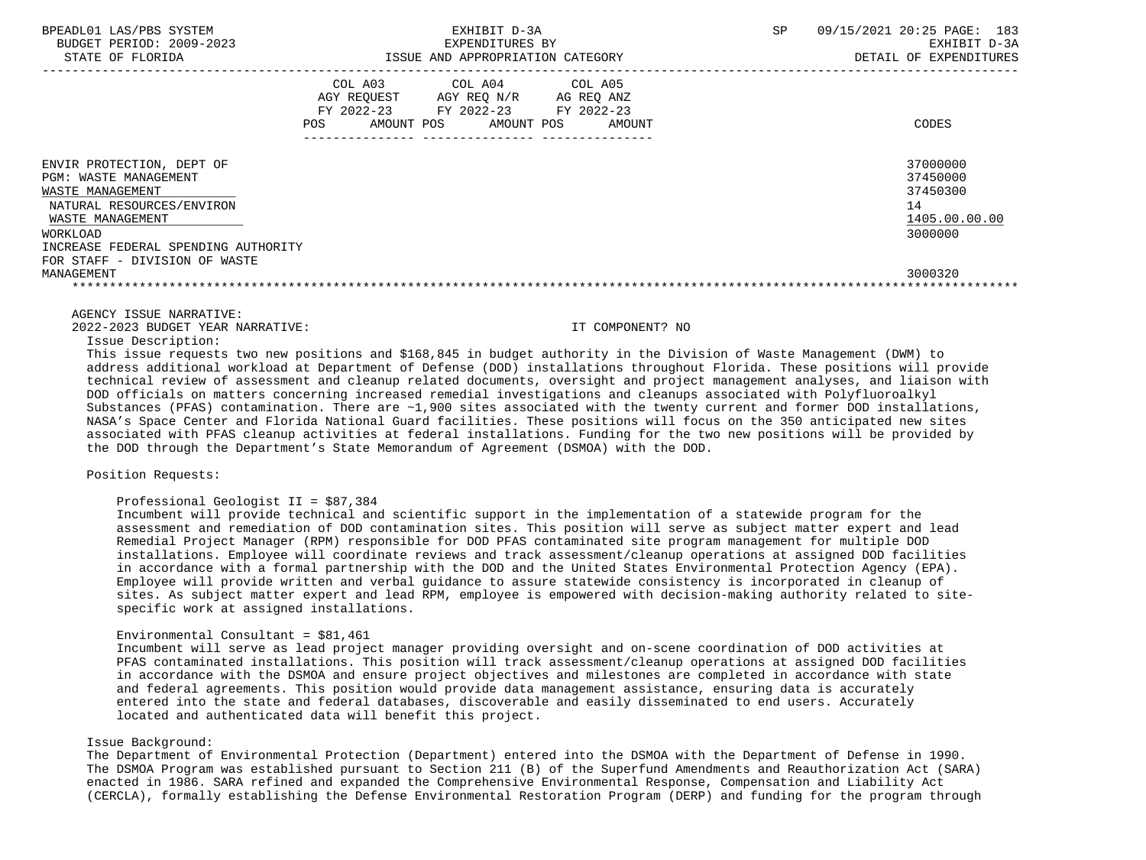| BPEADL01 LAS/PBS SYSTEM<br>BUDGET PERIOD: 2009-2023<br>STATE OF FLORIDA                                                                                                    | EXHIBIT D-3A<br>EXPENDITURES BY<br>ISSUE AND APPROPRIATION CATEGORY                                                                                           | <b>SP</b><br>09/15/2021 20:25 PAGE:<br>183<br>EXHIBIT D-3A<br>DETAIL OF EXPENDITURES |
|----------------------------------------------------------------------------------------------------------------------------------------------------------------------------|---------------------------------------------------------------------------------------------------------------------------------------------------------------|--------------------------------------------------------------------------------------|
|                                                                                                                                                                            | COL A03<br>COL A04 COL A05<br>AGY REOUEST<br>AGY REO N/R<br>AG REO ANZ<br>FY 2022-23<br>FY 2022-23<br>FY 2022-23<br>AMOUNT POS<br>POS<br>AMOUNT POS<br>AMOUNT | CODES                                                                                |
| ENVIR PROTECTION, DEPT OF<br>PGM: WASTE MANAGEMENT<br>WASTE MANAGEMENT<br>NATURAL RESOURCES/ENVIRON<br>WASTE MANAGEMENT<br>WORKLOAD<br>INCREASE FEDERAL SPENDING AUTHORITY |                                                                                                                                                               | 37000000<br>37450000<br>37450300<br>14<br>1405.00.00.00<br>3000000                   |
| FOR STAFF - DIVISION OF WASTE<br>MANAGEMENT                                                                                                                                |                                                                                                                                                               | 3000320                                                                              |

AGENCY ISSUE NARRATIVE:

2022-2023 BUDGET YEAR NARRATIVE: IT COMPONENT? NO

Issue Description:

 This issue requests two new positions and \$168,845 in budget authority in the Division of Waste Management (DWM) to address additional workload at Department of Defense (DOD) installations throughout Florida. These positions will provide technical review of assessment and cleanup related documents, oversight and project management analyses, and liaison with DOD officials on matters concerning increased remedial investigations and cleanups associated with Polyfluoroalkyl Substances (PFAS) contamination. There are  $~1,900$  sites associated with the twenty current and former DOD installations, NASA's Space Center and Florida National Guard facilities. These positions will focus on the 350 anticipated new sites associated with PFAS cleanup activities at federal installations. Funding for the two new positions will be provided by the DOD through the Department's State Memorandum of Agreement (DSMOA) with the DOD.

# Position Requests:

## Professional Geologist II = \$87,384

 Incumbent will provide technical and scientific support in the implementation of a statewide program for the assessment and remediation of DOD contamination sites. This position will serve as subject matter expert and lead Remedial Project Manager (RPM) responsible for DOD PFAS contaminated site program management for multiple DOD installations. Employee will coordinate reviews and track assessment/cleanup operations at assigned DOD facilities in accordance with a formal partnership with the DOD and the United States Environmental Protection Agency (EPA). Employee will provide written and verbal guidance to assure statewide consistency is incorporated in cleanup of sites. As subject matter expert and lead RPM, employee is empowered with decision-making authority related to site specific work at assigned installations.

### Environmental Consultant = \$81,461

 Incumbent will serve as lead project manager providing oversight and on-scene coordination of DOD activities at PFAS contaminated installations. This position will track assessment/cleanup operations at assigned DOD facilities in accordance with the DSMOA and ensure project objectives and milestones are completed in accordance with state and federal agreements. This position would provide data management assistance, ensuring data is accurately entered into the state and federal databases, discoverable and easily disseminated to end users. Accurately located and authenticated data will benefit this project.

### Issue Background:

 The Department of Environmental Protection (Department) entered into the DSMOA with the Department of Defense in 1990. The DSMOA Program was established pursuant to Section 211 (B) of the Superfund Amendments and Reauthorization Act (SARA) enacted in 1986. SARA refined and expanded the Comprehensive Environmental Response, Compensation and Liability Act (CERCLA), formally establishing the Defense Environmental Restoration Program (DERP) and funding for the program through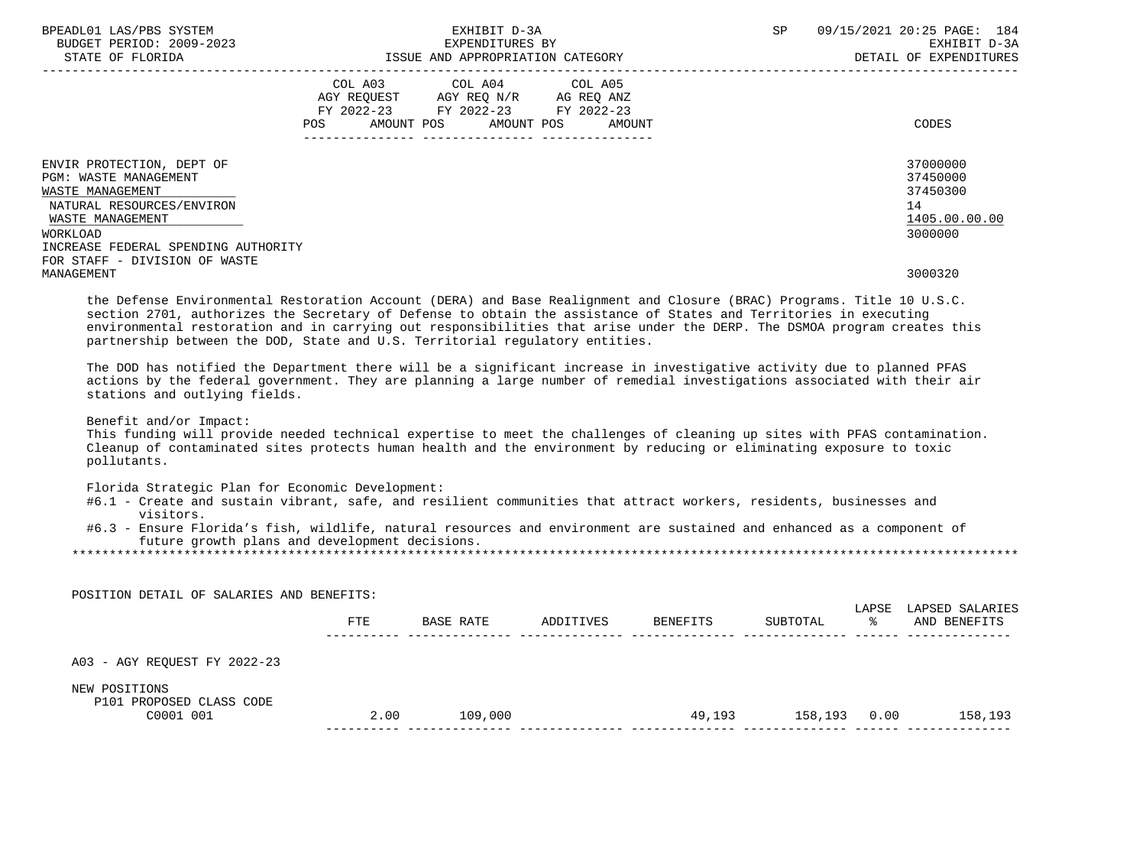| BPEADL01 LAS/PBS SYSTEM<br>BUDGET PERIOD: 2009-2023<br>STATE OF FLORIDA                                    |                | EXHIBIT D-3A<br>EXPENDITURES BY<br>ISSUE AND APPROPRIATION CATEGORY                  |                                         | SP | 09/15/2021 20:25 PAGE: 184<br>EXHIBIT D-3A<br>DETAIL OF EXPENDITURES |
|------------------------------------------------------------------------------------------------------------|----------------|--------------------------------------------------------------------------------------|-----------------------------------------|----|----------------------------------------------------------------------|
|                                                                                                            | COL A03<br>POS | AGY REQUEST AGY REQ N/R AG REQ ANZ<br>FY 2022-23 FY 2022-23<br>AMOUNT POS AMOUNT POS | COL A04 COL A05<br>FY 2022-23<br>AMOUNT |    | CODES                                                                |
| ENVIR PROTECTION, DEPT OF<br><b>PGM: WASTE MANAGEMENT</b><br>WASTE MANAGEMENT<br>NATURAL RESOURCES/ENVIRON |                |                                                                                      |                                         |    | 37000000<br>37450000<br>37450300<br>14                               |
| WASTE MANAGEMENT<br>WORKLOAD<br>INCREASE FEDERAL SPENDING AUTHORITY                                        |                |                                                                                      |                                         |    | 1405.00.00.00<br>3000000                                             |
| FOR STAFF - DIVISION OF WASTE<br>MANAGEMENT                                                                |                |                                                                                      |                                         |    | 3000320                                                              |

 the Defense Environmental Restoration Account (DERA) and Base Realignment and Closure (BRAC) Programs. Title 10 U.S.C. section 2701, authorizes the Secretary of Defense to obtain the assistance of States and Territories in executing environmental restoration and in carrying out responsibilities that arise under the DERP. The DSMOA program creates this partnership between the DOD, State and U.S. Territorial regulatory entities.

 The DOD has notified the Department there will be a significant increase in investigative activity due to planned PFAS actions by the federal government. They are planning a large number of remedial investigations associated with their air stations and outlying fields.

Benefit and/or Impact:

 This funding will provide needed technical expertise to meet the challenges of cleaning up sites with PFAS contamination. Cleanup of contaminated sites protects human health and the environment by reducing or eliminating exposure to toxic pollutants.

Florida Strategic Plan for Economic Development:

- #6.1 Create and sustain vibrant, safe, and resilient communities that attract workers, residents, businesses and visitors.
- #6.3 Ensure Florida's fish, wildlife, natural resources and environment are sustained and enhanced as a component of future growth plans and development decisions.

\*\*\*\*\*\*\*\*\*\*\*\*\*\*\*\*\*\*\*\*\*\*\*\*\*\*\*\*\*\*\*\*\*\*\*\*\*\*\*\*\*\*\*\*\*\*\*\*\*\*\*\*\*\*\*\*\*\*\*\*\*\*\*\*\*\*\*\*\*\*\*\*\*\*\*\*\*\*\*\*\*\*\*\*\*\*\*\*\*\*\*\*\*\*\*\*\*\*\*\*\*\*\*\*\*\*\*\*\*\*\*\*\*\*\*\*\*\*\*\*\*\*\*\*\*\*\*

| POSITION DETAIL OF SALARIES AND BENEFITS: |            |           |           |          |          |            |                                 |
|-------------------------------------------|------------|-----------|-----------|----------|----------|------------|---------------------------------|
|                                           | <b>FTE</b> | BASE RATE | ADDITIVES | BENEFITS | SUBTOTAL | LAPSE<br>ႜ | LAPSED SALARIES<br>AND BENEFITS |
| A03 - AGY REQUEST FY 2022-23              |            |           |           |          |          |            |                                 |
| NEW POSITIONS<br>P101 PROPOSED CLASS CODE |            |           |           |          |          |            |                                 |
| C0001 001                                 | 2.00       | 109,000   |           | 49,193   | 158,193  | 0.00       | 158,193                         |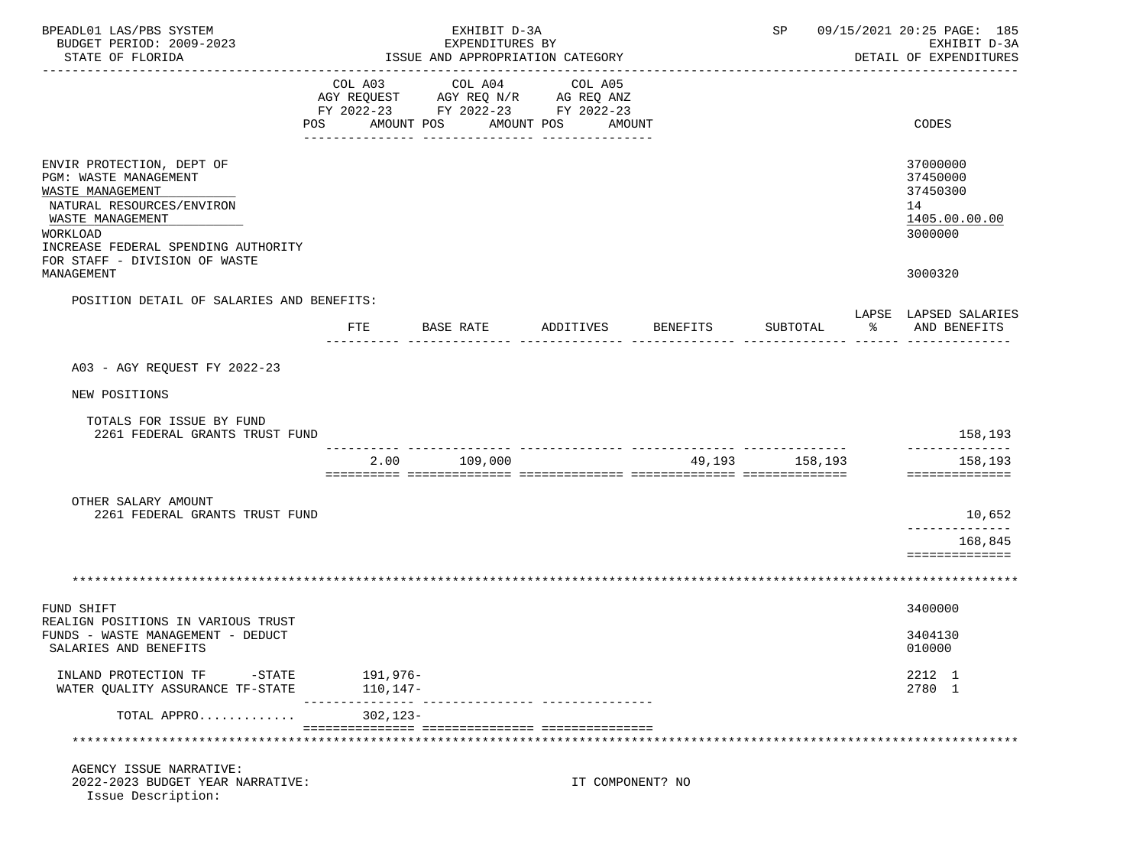| BPEADL01 LAS/PBS SYSTEM<br>BUDGET PERIOD: 2009-2023<br>STATE OF FLORIDA                                                                                                                                                   |                         | EXHIBIT D-3A<br>EXPENDITURES BY<br>ISSUE AND APPROPRIATION CATEGORY                             |                                 |          | SP       |    | 09/15/2021 20:25 PAGE: 185<br>EXHIBIT D-3A<br>DETAIL OF EXPENDITURES          |
|---------------------------------------------------------------------------------------------------------------------------------------------------------------------------------------------------------------------------|-------------------------|-------------------------------------------------------------------------------------------------|---------------------------------|----------|----------|----|-------------------------------------------------------------------------------|
|                                                                                                                                                                                                                           | COL A03<br>POS          | COL A04<br>AGY REQUEST AGY REQ N/R AG REQ ANZ<br>FY 2022-23 FY 2022-23 FY 2022-23<br>AMOUNT POS | COL A05<br>AMOUNT POS<br>AMOUNT |          |          |    | CODES                                                                         |
| ENVIR PROTECTION, DEPT OF<br>PGM: WASTE MANAGEMENT<br>WASTE MANAGEMENT<br>NATURAL RESOURCES/ENVIRON<br>WASTE MANAGEMENT<br>WORKLOAD<br>INCREASE FEDERAL SPENDING AUTHORITY<br>FOR STAFF - DIVISION OF WASTE<br>MANAGEMENT |                         |                                                                                                 |                                 |          |          |    | 37000000<br>37450000<br>37450300<br>14<br>1405.00.00.00<br>3000000<br>3000320 |
| POSITION DETAIL OF SALARIES AND BENEFITS:                                                                                                                                                                                 |                         |                                                                                                 |                                 |          |          |    | LAPSE LAPSED SALARIES                                                         |
|                                                                                                                                                                                                                           | FTE                     | BASE RATE                                                                                       | ADDITIVES                       | BENEFITS | SUBTOTAL | ႜႂ | AND BENEFITS                                                                  |
| A03 - AGY REQUEST FY 2022-23                                                                                                                                                                                              |                         |                                                                                                 |                                 |          |          |    |                                                                               |
| NEW POSITIONS                                                                                                                                                                                                             |                         |                                                                                                 |                                 |          |          |    |                                                                               |
| TOTALS FOR ISSUE BY FUND<br>2261 FEDERAL GRANTS TRUST FUND                                                                                                                                                                |                         |                                                                                                 |                                 |          |          |    | 158,193                                                                       |
|                                                                                                                                                                                                                           | 2.00                    | 109,000                                                                                         |                                 | 49,193   | 158,193  |    | 158,193<br>==============                                                     |
| OTHER SALARY AMOUNT<br>2261 FEDERAL GRANTS TRUST FUND                                                                                                                                                                     |                         |                                                                                                 |                                 |          |          |    | 10,652<br>_____________<br>168,845<br>==============                          |
|                                                                                                                                                                                                                           |                         |                                                                                                 |                                 |          |          |    |                                                                               |
| FUND SHIFT                                                                                                                                                                                                                |                         |                                                                                                 |                                 |          |          |    | 3400000                                                                       |
| REALIGN POSITIONS IN VARIOUS TRUST<br>FUNDS - WASTE MANAGEMENT - DEDUCT<br>SALARIES AND BENEFITS                                                                                                                          |                         |                                                                                                 |                                 |          |          |    | 3404130<br>010000                                                             |
| INLAND PROTECTION TF -STATE<br>WATER QUALITY ASSURANCE TF-STATE                                                                                                                                                           | 191,976–<br>$110, 147-$ |                                                                                                 |                                 |          |          |    | 2212 1<br>2780 1                                                              |
| TOTAL APPRO                                                                                                                                                                                                               | 302,123-                |                                                                                                 |                                 |          |          |    |                                                                               |
|                                                                                                                                                                                                                           |                         |                                                                                                 |                                 |          |          |    |                                                                               |
| AGENCY ISSUE NARRATIVE:<br>2022-2023 BUDGET YEAR NARRATIVE:<br>Issue Description:                                                                                                                                         |                         |                                                                                                 | IT COMPONENT? NO                |          |          |    |                                                                               |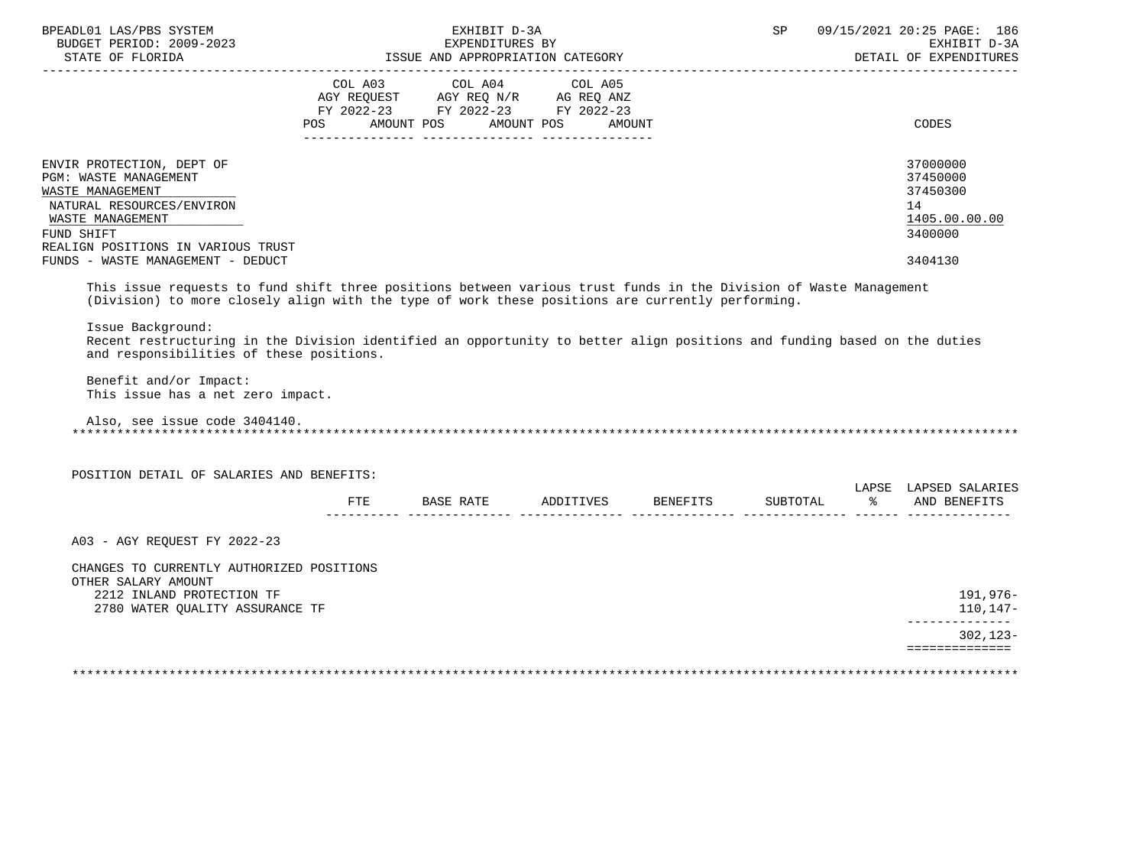| _____________________                                                                                                                                                                                                                                                                                                                                                                                              |     | EXHIBIT D-3A<br>EXPENDITURES BY<br>ISSUE AND APPROPRIATION CATEGORY                                                                   |  | SP | 09/15/2021 20:25 PAGE: 186<br>EXHIBIT D-3A<br>DETAIL OF EXPENDITURES          |
|--------------------------------------------------------------------------------------------------------------------------------------------------------------------------------------------------------------------------------------------------------------------------------------------------------------------------------------------------------------------------------------------------------------------|-----|---------------------------------------------------------------------------------------------------------------------------------------|--|----|-------------------------------------------------------------------------------|
|                                                                                                                                                                                                                                                                                                                                                                                                                    |     | COL A03 COL A04 COL A05<br>AGY REQUEST AGY REQ N/R AG REQ ANZ<br>FY 2022-23 FY 2022-23 FY 2022-23<br>POS AMOUNT POS AMOUNT POS AMOUNT |  |    | CODES                                                                         |
| ENVIR PROTECTION, DEPT OF<br>PGM: WASTE MANAGEMENT<br>WASTE MANAGEMENT<br>NATURAL RESOURCES/ENVIRON<br>WASTE MANAGEMENT<br>FUND SHIFT<br>REALIGN POSITIONS IN VARIOUS TRUST<br>FUNDS - WASTE MANAGEMENT - DEDUCT                                                                                                                                                                                                   |     |                                                                                                                                       |  |    | 37000000<br>37450000<br>37450300<br>14<br>1405.00.00.00<br>3400000<br>3404130 |
| This issue requests to fund shift three positions between various trust funds in the Division of Waste Management<br>(Division) to more closely align with the type of work these positions are currently performing.<br>Issue Background:<br>Recent restructuring in the Division identified an opportunity to better align positions and funding based on the duties<br>and responsibilities of these positions. |     |                                                                                                                                       |  |    |                                                                               |
| Benefit and/or Impact:<br>This issue has a net zero impact.                                                                                                                                                                                                                                                                                                                                                        |     |                                                                                                                                       |  |    |                                                                               |
| Also, see issue code 3404140.                                                                                                                                                                                                                                                                                                                                                                                      |     |                                                                                                                                       |  |    |                                                                               |
| POSITION DETAIL OF SALARIES AND BENEFITS:                                                                                                                                                                                                                                                                                                                                                                          |     |                                                                                                                                       |  |    |                                                                               |
|                                                                                                                                                                                                                                                                                                                                                                                                                    | FTE | BASE RATE ADDITIVES BENEFITS SUBTOTAL                                                                                                 |  |    | LAPSE LAPSED SALARIES<br>% AND BENEFITS                                       |
| A03 - AGY REQUEST FY 2022-23                                                                                                                                                                                                                                                                                                                                                                                       |     |                                                                                                                                       |  |    |                                                                               |
| CHANGES TO CURRENTLY AUTHORIZED POSITIONS<br>OTHER SALARY AMOUNT<br>2212 INLAND PROTECTION TF<br>2780 WATER QUALITY ASSURANCE TF                                                                                                                                                                                                                                                                                   |     |                                                                                                                                       |  |    | 191,976-<br>$110.147-$<br>______________                                      |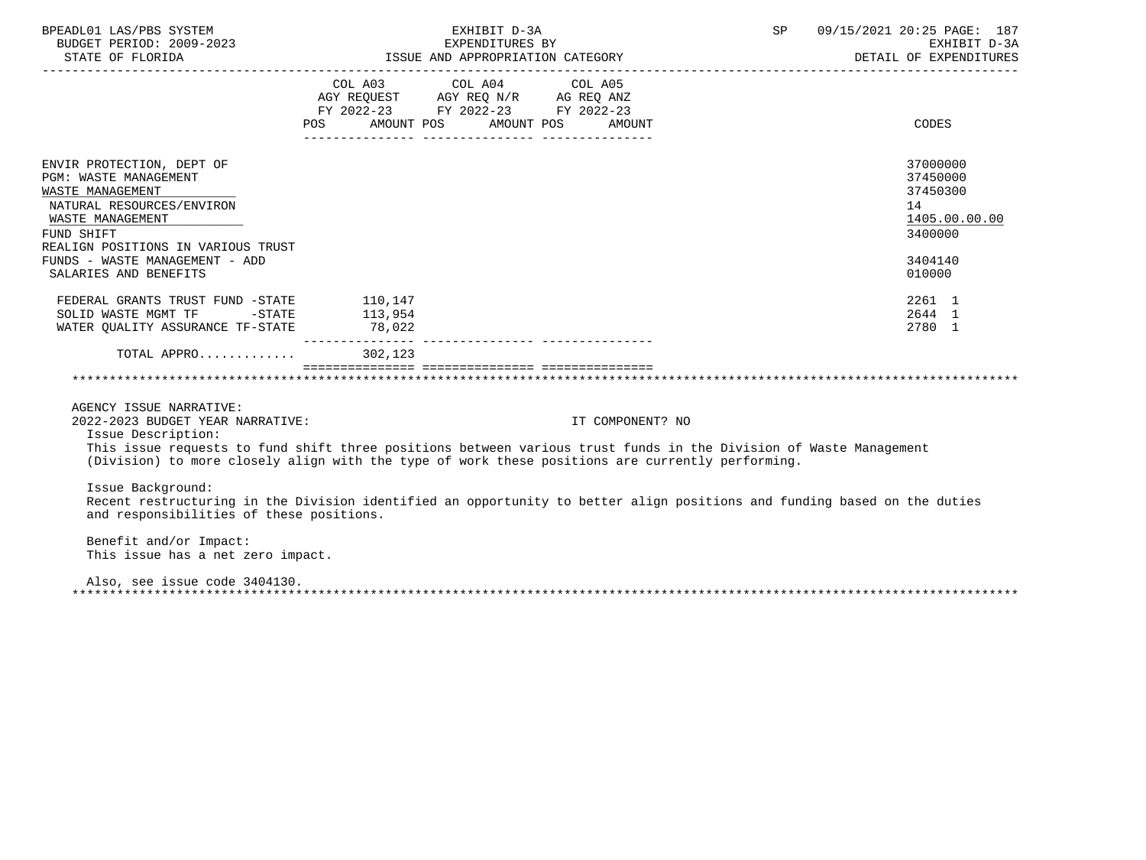| BPEADL01 LAS/PBS SYSTEM<br>BUDGET PERIOD: 2009-2023<br>STATE OF FLORIDA                                                                                                                                                                                                                                    |                                                                                                     | EXHIBIT D-3A<br>EXPENDITURES BY | ISSUE AND APPROPRIATION CATEGORY | 09/15/2021 20:25 PAGE: 187<br>SP<br>EXHIBIT D-3A<br>DETAIL OF EXPENDITURES                                               |  |
|------------------------------------------------------------------------------------------------------------------------------------------------------------------------------------------------------------------------------------------------------------------------------------------------------------|-----------------------------------------------------------------------------------------------------|---------------------------------|----------------------------------|--------------------------------------------------------------------------------------------------------------------------|--|
|                                                                                                                                                                                                                                                                                                            | AGY REQUEST AGY REQ N/R AG REQ ANZ<br>FY 2022-23 FY 2022-23 FY 2022-23<br>POS AMOUNT POS AMOUNT POS | COL A03 COL A04 COL A05         | AMOUNT                           | CODES                                                                                                                    |  |
| ENVIR PROTECTION, DEPT OF<br>PGM: WASTE MANAGEMENT<br>WASTE MANAGEMENT<br>NATURAL RESOURCES/ENVIRON<br>WASTE MANAGEMENT<br>FUND SHIFT<br>REALIGN POSITIONS IN VARIOUS TRUST<br>FUNDS - WASTE MANAGEMENT - ADD                                                                                              |                                                                                                     |                                 |                                  | 37000000<br>37450000<br>37450300<br>14<br>1405.00.00.00<br>3400000<br>3404140                                            |  |
| SALARIES AND BENEFITS<br>FEDERAL GRANTS TRUST FUND -STATE 110,147<br>SOLID WASTE MGMT TF -STATE 113,954<br>WATER QUALITY ASSURANCE TF-STATE 78,022                                                                                                                                                         |                                                                                                     |                                 |                                  | 010000<br>2261 1<br>2644 1<br>2780 1                                                                                     |  |
| TOTAL APPRO                                                                                                                                                                                                                                                                                                | 302,123                                                                                             |                                 |                                  |                                                                                                                          |  |
|                                                                                                                                                                                                                                                                                                            |                                                                                                     |                                 |                                  |                                                                                                                          |  |
| AGENCY ISSUE NARRATIVE:<br>2022-2023 BUDGET YEAR NARRATIVE:<br>Issue Description:<br>This issue requests to fund shift three positions between various trust funds in the Division of Waste Management<br>(Division) to more closely align with the type of work these positions are currently performing. |                                                                                                     |                                 | IT COMPONENT? NO                 |                                                                                                                          |  |
| Issue Background:<br>and responsibilities of these positions.                                                                                                                                                                                                                                              |                                                                                                     |                                 |                                  | Recent restructuring in the Division identified an opportunity to better align positions and funding based on the duties |  |
| Benefit and/or Impact:<br>This issue has a net zero impact.                                                                                                                                                                                                                                                |                                                                                                     |                                 |                                  |                                                                                                                          |  |
| Also, see issue code 3404130.                                                                                                                                                                                                                                                                              |                                                                                                     |                                 |                                  |                                                                                                                          |  |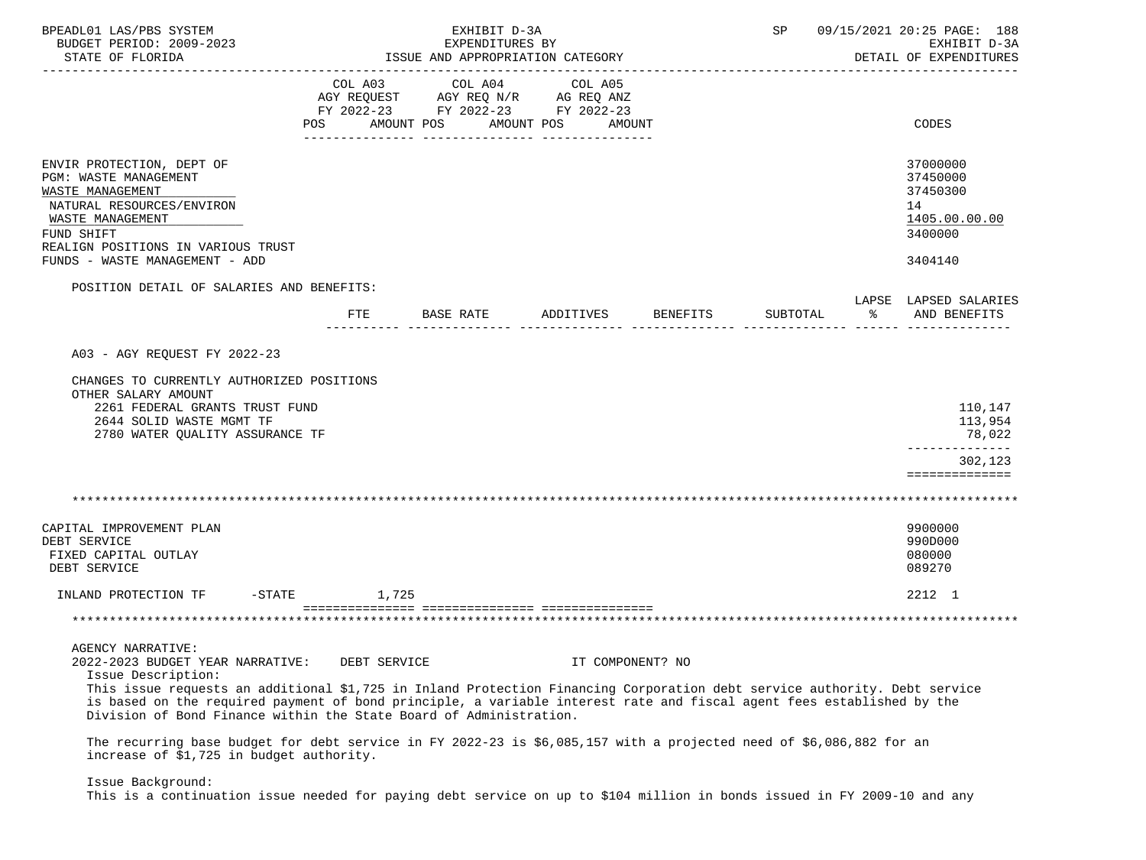| BPEADL01 LAS/PBS SYSTEM<br>BUDGET PERIOD: 2009-2023<br>STATE OF FLORIDA                                                                                                                                                                                                                                                                                                                                        |                | EXHIBIT D-3A<br>EXPENDITURES BY<br>ISSUE AND APPROPRIATION CATEGORY                             |                       |                  | SP       |           | 09/15/2021 20:25 PAGE: 188<br>EXHIBIT D-3A<br>DETAIL OF EXPENDITURES |
|----------------------------------------------------------------------------------------------------------------------------------------------------------------------------------------------------------------------------------------------------------------------------------------------------------------------------------------------------------------------------------------------------------------|----------------|-------------------------------------------------------------------------------------------------|-----------------------|------------------|----------|-----------|----------------------------------------------------------------------|
|                                                                                                                                                                                                                                                                                                                                                                                                                | COL A03<br>POS | COL A04<br>AGY REQUEST AGY REQ N/R AG REQ ANZ<br>FY 2022-23 FY 2022-23 FY 2022-23<br>AMOUNT POS | COL A05<br>AMOUNT POS | AMOUNT           |          |           | CODES                                                                |
|                                                                                                                                                                                                                                                                                                                                                                                                                |                |                                                                                                 |                       |                  |          |           |                                                                      |
| ENVIR PROTECTION, DEPT OF<br>PGM: WASTE MANAGEMENT<br><b>WASTE MANAGEMENT</b><br>NATURAL RESOURCES/ENVIRON<br>WASTE MANAGEMENT<br>FUND SHIFT<br>REALIGN POSITIONS IN VARIOUS TRUST                                                                                                                                                                                                                             |                |                                                                                                 |                       |                  |          |           | 37000000<br>37450000<br>37450300<br>14<br>1405.00.00.00<br>3400000   |
| FUNDS - WASTE MANAGEMENT - ADD                                                                                                                                                                                                                                                                                                                                                                                 |                |                                                                                                 |                       |                  |          |           | 3404140                                                              |
| POSITION DETAIL OF SALARIES AND BENEFITS:                                                                                                                                                                                                                                                                                                                                                                      |                |                                                                                                 |                       |                  |          |           |                                                                      |
|                                                                                                                                                                                                                                                                                                                                                                                                                | FTE.           | BASE RATE                                                                                       | ADDITIVES             | BENEFITS         | SUBTOTAL | $\approx$ | LAPSE LAPSED SALARIES<br>AND BENEFITS                                |
| A03 - AGY REOUEST FY 2022-23                                                                                                                                                                                                                                                                                                                                                                                   |                |                                                                                                 |                       |                  |          |           |                                                                      |
| CHANGES TO CURRENTLY AUTHORIZED POSITIONS                                                                                                                                                                                                                                                                                                                                                                      |                |                                                                                                 |                       |                  |          |           |                                                                      |
| OTHER SALARY AMOUNT<br>2261 FEDERAL GRANTS TRUST FUND<br>2644 SOLID WASTE MGMT TF<br>2780 WATER QUALITY ASSURANCE TF                                                                                                                                                                                                                                                                                           |                |                                                                                                 |                       |                  |          |           | 110,147<br>113,954<br>78,022                                         |
|                                                                                                                                                                                                                                                                                                                                                                                                                |                |                                                                                                 |                       |                  |          |           | ______________<br>302,123<br>==============                          |
|                                                                                                                                                                                                                                                                                                                                                                                                                |                |                                                                                                 |                       |                  |          |           |                                                                      |
| CAPITAL IMPROVEMENT PLAN<br>DEBT SERVICE<br>FIXED CAPITAL OUTLAY<br>DEBT SERVICE                                                                                                                                                                                                                                                                                                                               |                |                                                                                                 |                       |                  |          |           | 9900000<br>990D000<br>080000<br>089270                               |
| INLAND PROTECTION TF                                                                                                                                                                                                                                                                                                                                                                                           | $-$ STATE      | 1,725                                                                                           |                       |                  |          |           | 2212 1                                                               |
|                                                                                                                                                                                                                                                                                                                                                                                                                |                |                                                                                                 |                       |                  |          |           |                                                                      |
|                                                                                                                                                                                                                                                                                                                                                                                                                |                |                                                                                                 |                       |                  |          |           |                                                                      |
| <b>AGENCY NARRATIVE:</b><br>2022-2023 BUDGET YEAR NARRATIVE:<br>Issue Description:<br>This issue requests an additional \$1,725 in Inland Protection Financing Corporation debt service authority. Debt service<br>is based on the required payment of bond principle, a variable interest rate and fiscal agent fees established by the<br>Division of Bond Finance within the State Board of Administration. | DEBT SERVICE   |                                                                                                 |                       | IT COMPONENT? NO |          |           |                                                                      |
| The recurring base budget for debt service in FY 2022-23 is \$6,085,157 with a projected need of \$6,086,882 for an<br>increase of \$1,725 in budget authority.                                                                                                                                                                                                                                                |                |                                                                                                 |                       |                  |          |           |                                                                      |

 Issue Background: This is a continuation issue needed for paying debt service on up to \$104 million in bonds issued in FY 2009-10 and any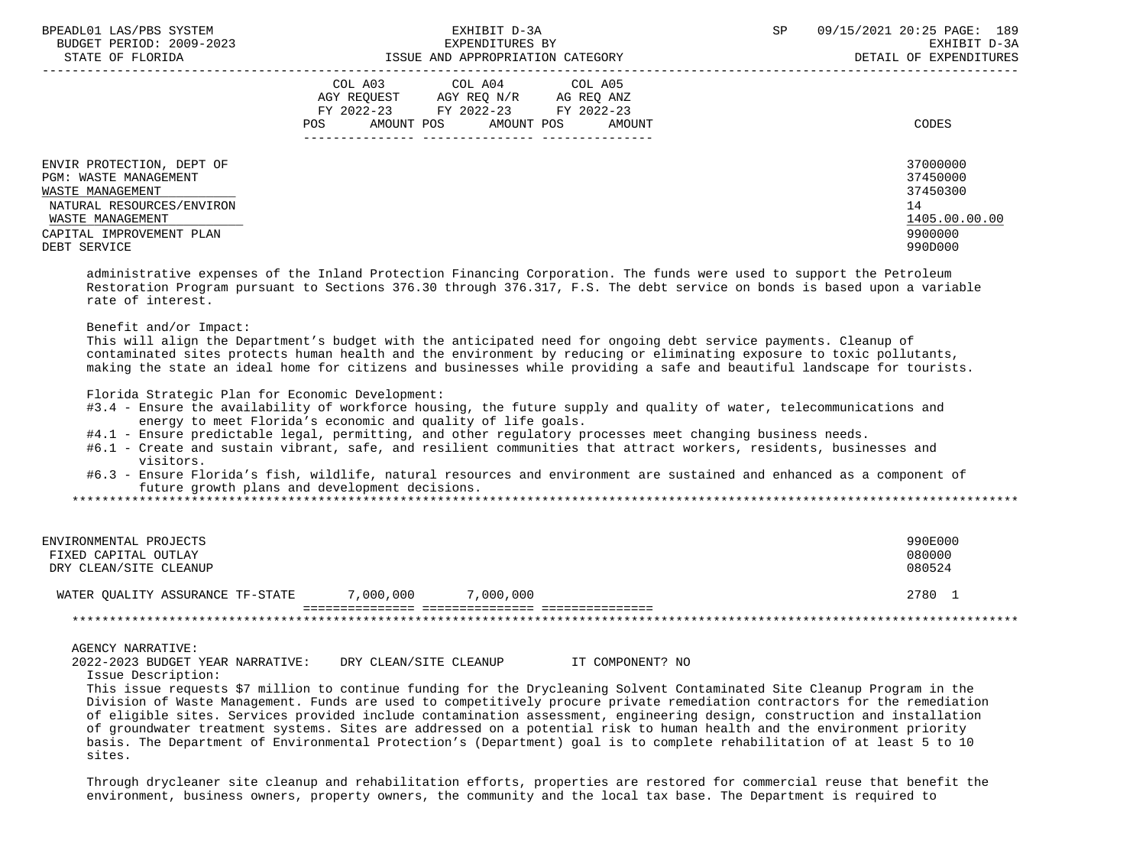| BPEADL01 LAS/PBS SYSTEM<br>BUDGET PERIOD: 2009-2023<br>STATE OF FLORIDA                                                                                             | EXHIBIT D-3A<br>EXPENDITURES BY<br>ISSUE AND APPROPRIATION CATEGORY                                                                                     | 09/15/2021 20:25 PAGE: 189<br><b>SP</b><br>EXHIBIT D-3A<br>DETAIL OF EXPENDITURES |
|---------------------------------------------------------------------------------------------------------------------------------------------------------------------|---------------------------------------------------------------------------------------------------------------------------------------------------------|-----------------------------------------------------------------------------------|
|                                                                                                                                                                     | COL A03<br>COL A04 COL A05<br>AGY REOUEST<br>AGY REO N/R<br>AG REO ANZ<br>FY 2022-23 FY 2022-23<br>FY 2022-23<br>AMOUNT POS AMOUNT POS<br>AMOUNT<br>POS | CODES                                                                             |
| ENVIR PROTECTION, DEPT OF<br>PGM: WASTE MANAGEMENT<br>WASTE MANAGEMENT<br>NATURAL RESOURCES/ENVIRON<br>WASTE MANAGEMENT<br>CAPITAL IMPROVEMENT PLAN<br>DEBT SERVICE |                                                                                                                                                         | 37000000<br>37450000<br>37450300<br>14<br>1405.00.00.00<br>9900000<br>990D000     |

 administrative expenses of the Inland Protection Financing Corporation. The funds were used to support the Petroleum Restoration Program pursuant to Sections 376.30 through 376.317, F.S. The debt service on bonds is based upon a variable rate of interest.

# Benefit and/or Impact:

 This will align the Department's budget with the anticipated need for ongoing debt service payments. Cleanup of contaminated sites protects human health and the environment by reducing or eliminating exposure to toxic pollutants, making the state an ideal home for citizens and businesses while providing a safe and beautiful landscape for tourists.

Florida Strategic Plan for Economic Development:

- #3.4 Ensure the availability of workforce housing, the future supply and quality of water, telecommunications and energy to meet Florida's economic and quality of life goals.
- #4.1 Ensure predictable legal, permitting, and other regulatory processes meet changing business needs.
- #6.1 Create and sustain vibrant, safe, and resilient communities that attract workers, residents, businesses and visitors.
- #6.3 Ensure Florida's fish, wildlife, natural resources and environment are sustained and enhanced as a component of future growth plans and development decisions.

\*\*\*\*\*\*\*\*\*\*\*\*\*\*\*\*\*\*\*\*\*\*\*\*\*\*\*\*\*\*\*\*\*\*\*\*\*\*\*\*\*\*\*\*\*\*\*\*\*\*\*\*\*\*\*\*\*\*\*\*\*\*\*\*\*\*\*\*\*\*\*\*\*\*\*\*\*\*\*\*\*\*\*\*\*\*\*\*\*\*\*\*\*\*\*\*\*\*\*\*\*\*\*\*\*\*\*\*\*\*\*\*\*\*\*\*\*\*\*\*\*\*\*\*\*\*\*

| ENVIRONMENTAL PROJECTS<br>FIXED CAPITAL OUTLAY<br>DRY CLEAN/SITE CLEANUP |           |           | 990E000<br>080000<br>080524 |
|--------------------------------------------------------------------------|-----------|-----------|-----------------------------|
| WATER OUALITY ASSURANCE TF-STATE                                         | 7,000,000 | 7,000,000 | 2780                        |
|                                                                          |           |           |                             |

### AGENCY NARRATIVE:

| 2022-2023 BUDGET YEAR NARRATIVE: | DRY CLEAN/SITE CLEANUP | IT COMPONENT? NO |
|----------------------------------|------------------------|------------------|
| Issue Description:               |                        |                  |

 This issue requests \$7 million to continue funding for the Drycleaning Solvent Contaminated Site Cleanup Program in the Division of Waste Management. Funds are used to competitively procure private remediation contractors for the remediation of eligible sites. Services provided include contamination assessment, engineering design, construction and installation of groundwater treatment systems. Sites are addressed on a potential risk to human health and the environment priority basis. The Department of Environmental Protection's (Department) goal is to complete rehabilitation of at least 5 to 10 sites.

 Through drycleaner site cleanup and rehabilitation efforts, properties are restored for commercial reuse that benefit the environment, business owners, property owners, the community and the local tax base. The Department is required to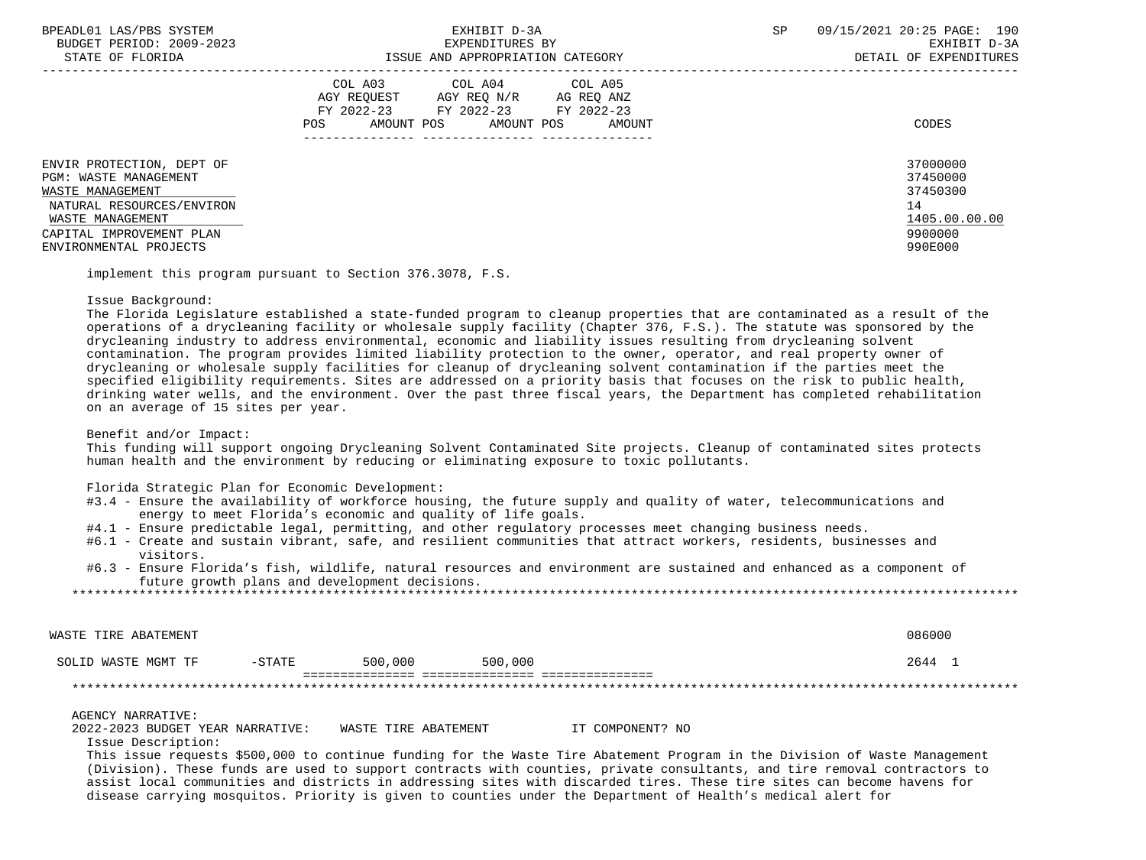| BPEADL01 LAS/PBS SYSTEM<br>BUDGET PERIOD: 2009-2023<br>STATE OF FLORIDA                                                                                                       | EXHIBIT D-3A<br>EXPENDITURES BY<br>ISSUE AND APPROPRIATION CATEGORY                                                                               | 09/15/2021 20:25 PAGE: 190<br>SP<br>EXHIBIT D-3A<br>DETAIL OF EXPENDITURES    |
|-------------------------------------------------------------------------------------------------------------------------------------------------------------------------------|---------------------------------------------------------------------------------------------------------------------------------------------------|-------------------------------------------------------------------------------|
|                                                                                                                                                                               | COL A03 COL A04 COL A05<br>AGY REOUEST<br>AGY REO N/R AG REO ANZ<br>FY 2022-23 FY 2022-23 FY 2022-23<br>AMOUNT POS<br>POS<br>AMOUNT POS<br>AMOUNT | CODES                                                                         |
| ENVIR PROTECTION, DEPT OF<br>PGM: WASTE MANAGEMENT<br>WASTE MANAGEMENT<br>NATURAL RESOURCES/ENVIRON<br>WASTE MANAGEMENT<br>CAPITAL IMPROVEMENT PLAN<br>ENVIRONMENTAL PROJECTS |                                                                                                                                                   | 37000000<br>37450000<br>37450300<br>14<br>1405.00.00.00<br>9900000<br>990E000 |

implement this program pursuant to Section 376.3078, F.S.

### Issue Background:

 The Florida Legislature established a state-funded program to cleanup properties that are contaminated as a result of the operations of a drycleaning facility or wholesale supply facility (Chapter 376, F.S.). The statute was sponsored by the drycleaning industry to address environmental, economic and liability issues resulting from drycleaning solvent contamination. The program provides limited liability protection to the owner, operator, and real property owner of drycleaning or wholesale supply facilities for cleanup of drycleaning solvent contamination if the parties meet the specified eligibility requirements. Sites are addressed on a priority basis that focuses on the risk to public health, drinking water wells, and the environment. Over the past three fiscal years, the Department has completed rehabilitation on an average of 15 sites per year.

Benefit and/or Impact:

 This funding will support ongoing Drycleaning Solvent Contaminated Site projects. Cleanup of contaminated sites protects human health and the environment by reducing or eliminating exposure to toxic pollutants.

Florida Strategic Plan for Economic Development:

- #3.4 Ensure the availability of workforce housing, the future supply and quality of water, telecommunications and energy to meet Florida's economic and quality of life goals.
- #4.1 Ensure predictable legal, permitting, and other regulatory processes meet changing business needs.
- #6.1 Create and sustain vibrant, safe, and resilient communities that attract workers, residents, businesses and visitors.
- #6.3 Ensure Florida's fish, wildlife, natural resources and environment are sustained and enhanced as a component of future growth plans and development decisions.

| WASTE TIRE ABATEMENT |           |         |         | 086000 |
|----------------------|-----------|---------|---------|--------|
| SOLID WASTE MGMT TF  | $-$ STATE | 500,000 | 500,000 | 2644   |
|                      |           |         |         |        |

### AGENCY NARRATIVE:

2022-2023 BUDGET YEAR NARRATIVE: WASTE TIRE ABATEMENT IT COMPONENT? NO

Issue Description:

 This issue requests \$500,000 to continue funding for the Waste Tire Abatement Program in the Division of Waste Management (Division). These funds are used to support contracts with counties, private consultants, and tire removal contractors to assist local communities and districts in addressing sites with discarded tires. These tire sites can become havens for disease carrying mosquitos. Priority is given to counties under the Department of Health's medical alert for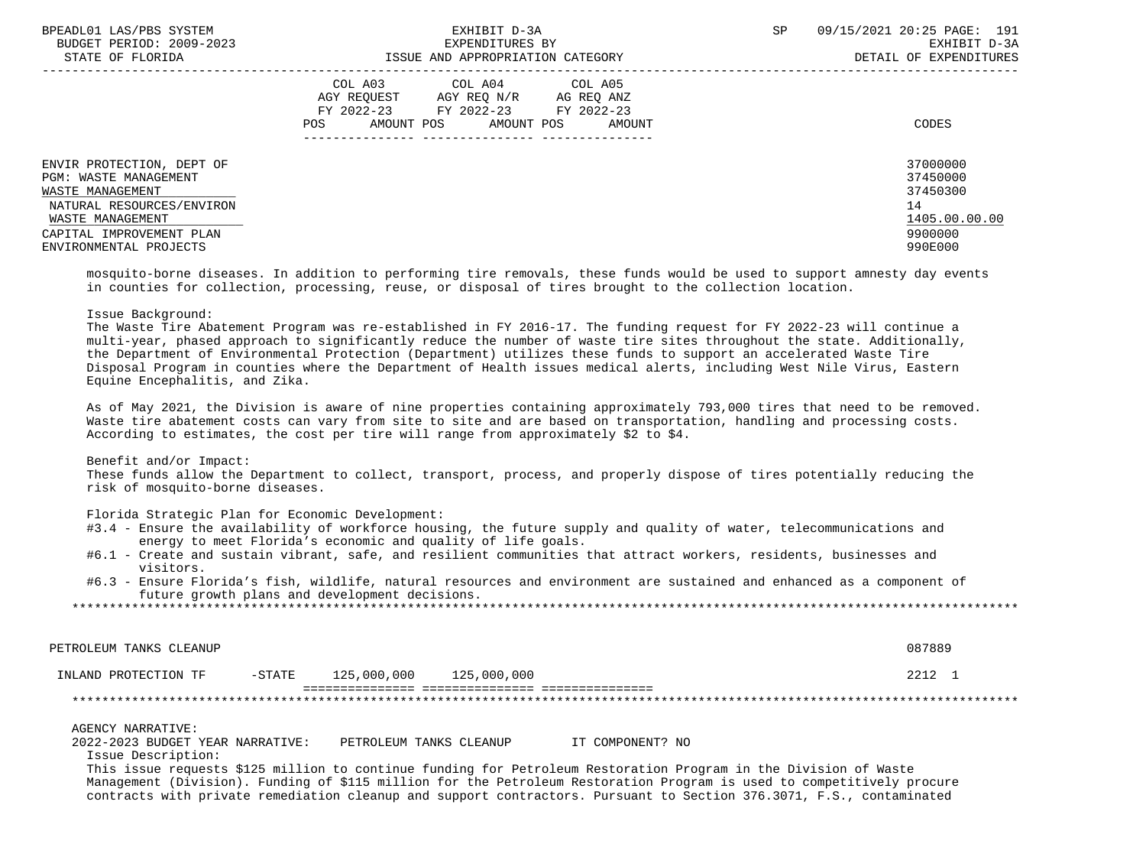| BPEADL01 LAS/PBS SYSTEM   | EXHIBIT D-3A                             | 09/15/2021 20:25 PAGE: 191<br><b>SP</b> |
|---------------------------|------------------------------------------|-----------------------------------------|
| BUDGET PERIOD: 2009-2023  | EXPENDITURES BY                          | EXHIBIT D-3A                            |
| STATE OF FLORIDA          | ISSUE AND APPROPRIATION CATEGORY         | DETAIL OF EXPENDITURES                  |
|                           | COL A03 COL A04 COL A05                  |                                         |
|                           | AGY REOUEST<br>AGY REO N/R<br>AG REO ANZ |                                         |
|                           | FY 2022-23 FY 2022-23<br>FY 2022-23      |                                         |
|                           | POS<br>AMOUNT POS AMOUNT POS<br>AMOUNT   | CODES                                   |
|                           |                                          |                                         |
| ENVIR PROTECTION, DEPT OF |                                          | 37000000                                |
| PGM: WASTE MANAGEMENT     |                                          | 37450000                                |
| WASTE MANAGEMENT          |                                          | 37450300                                |
| NATURAL RESOURCES/ENVIRON |                                          | 14                                      |
| WASTE MANAGEMENT          |                                          | 1405.00.00.00                           |
| CAPITAL IMPROVEMENT PLAN  |                                          | 9900000                                 |
| ENVIRONMENTAL PROJECTS    |                                          | 990E000                                 |
|                           |                                          |                                         |

 mosquito-borne diseases. In addition to performing tire removals, these funds would be used to support amnesty day events in counties for collection, processing, reuse, or disposal of tires brought to the collection location.

# Issue Background:

 The Waste Tire Abatement Program was re-established in FY 2016-17. The funding request for FY 2022-23 will continue a multi-year, phased approach to significantly reduce the number of waste tire sites throughout the state. Additionally, the Department of Environmental Protection (Department) utilizes these funds to support an accelerated Waste Tire Disposal Program in counties where the Department of Health issues medical alerts, including West Nile Virus, Eastern Equine Encephalitis, and Zika.

 As of May 2021, the Division is aware of nine properties containing approximately 793,000 tires that need to be removed. Waste tire abatement costs can vary from site to site and are based on transportation, handling and processing costs. According to estimates, the cost per tire will range from approximately \$2 to \$4.

### Benefit and/or Impact:

 These funds allow the Department to collect, transport, process, and properly dispose of tires potentially reducing the risk of mosquito-borne diseases.

#### Florida Strategic Plan for Economic Development:

- #3.4 Ensure the availability of workforce housing, the future supply and quality of water, telecommunications and energy to meet Florida's economic and quality of life goals.
- #6.1 Create and sustain vibrant, safe, and resilient communities that attract workers, residents, businesses and visitors.
- #6.3 Ensure Florida's fish, wildlife, natural resources and environment are sustained and enhanced as a component of future growth plans and development decisions.

\*\*\*\*\*\*\*\*\*\*\*\*\*\*\*\*\*\*\*\*\*\*\*\*\*\*\*\*\*\*\*\*\*\*\*\*\*\*\*\*\*\*\*\*\*\*\*\*\*\*\*\*\*\*\*\*\*\*\*\*\*\*\*\*\*\*\*\*\*\*\*\*\*\*\*\*\*\*\*\*\*\*\*\*\*\*\*\*\*\*\*\*\*\*\*\*\*\*\*\*\*\*\*\*\*\*\*\*\*\*\*\*\*\*\*\*\*\*\*\*\*\*\*\*\*\*\*

PETROLEUM TANKS CLEANUP 087889

#### INLAND PROTECTION TF -STATE 125,000,000 125,000,000 2212 1 =============== =============== ===============

\*\*\*\*\*\*\*\*\*\*\*\*\*\*\*\*\*\*\*\*\*\*\*\*\*\*\*\*\*\*\*\*\*\*\*\*\*\*\*\*\*\*\*\*\*\*\*\*\*\*\*\*\*\*\*\*\*\*\*\*\*\*\*\*\*\*\*\*\*\*\*\*\*\*\*\*\*\*\*\*\*\*\*\*\*\*\*\*\*\*\*\*\*\*\*\*\*\*\*\*\*\*\*\*\*\*\*\*\*\*\*\*\*\*\*\*\*\*\*\*\*\*\*\*\*\*\*

AGENCY NARRATIVE:

2022-2023 BUDGET YEAR NARRATIVE: PETROLEUM TANKS CLEANUP IT COMPONENT? NO

Issue Description:

 This issue requests \$125 million to continue funding for Petroleum Restoration Program in the Division of Waste Management (Division). Funding of \$115 million for the Petroleum Restoration Program is used to competitively procure contracts with private remediation cleanup and support contractors. Pursuant to Section 376.3071, F.S., contaminated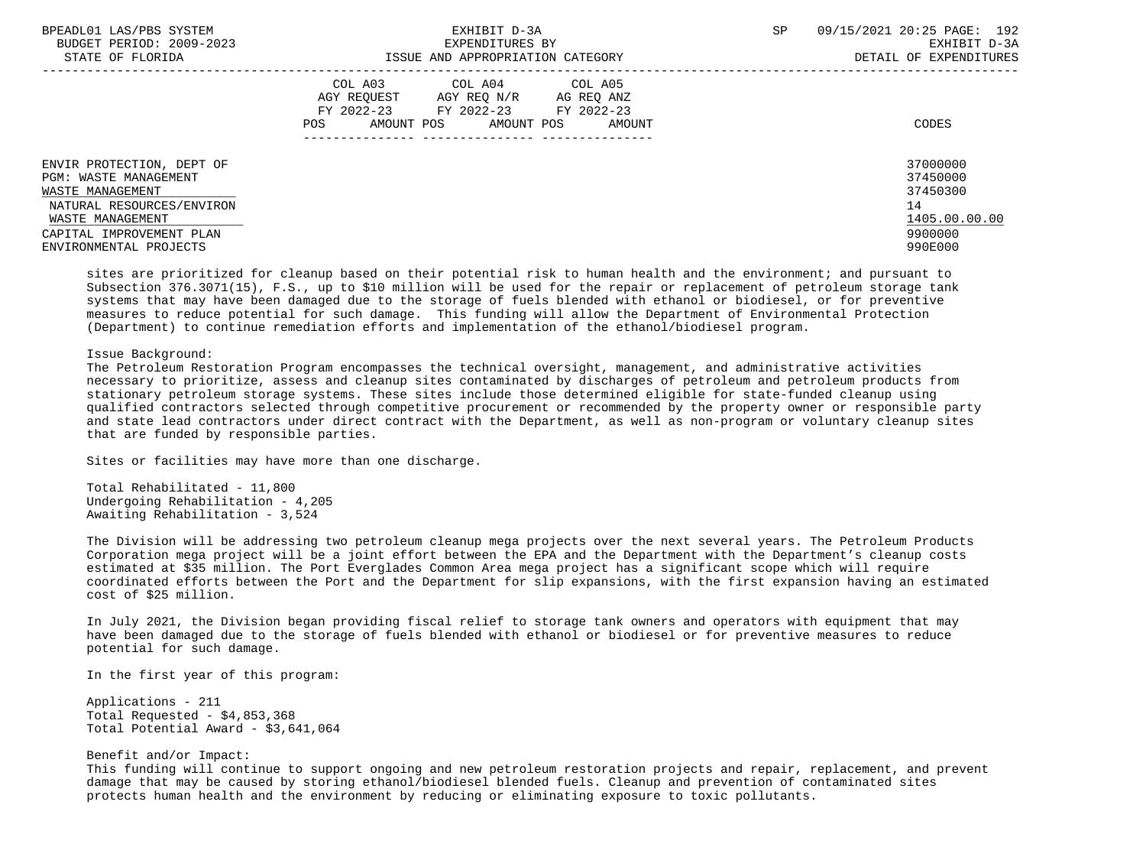| BPEADL01 LAS/PBS SYSTEM<br>BUDGET PERIOD: 2009-2023<br>STATE OF FLORIDA                                                                                                       | EXHIBIT D-3A<br>EXPENDITURES BY<br>ISSUE AND APPROPRIATION CATEGORY                                                                               | 09/15/2021 20:25 PAGE: 192<br><b>SP</b><br>EXHIBIT D-3A<br>DETAIL OF EXPENDITURES |
|-------------------------------------------------------------------------------------------------------------------------------------------------------------------------------|---------------------------------------------------------------------------------------------------------------------------------------------------|-----------------------------------------------------------------------------------|
|                                                                                                                                                                               | COL A03 COL A04 COL A05<br>AGY REOUEST<br>AGY REO N/R<br>AG REQ ANZ<br>FY 2022-23 FY 2022-23 FY 2022-23<br>AMOUNT POS AMOUNT POS<br>POS<br>AMOUNT | CODES                                                                             |
| ENVIR PROTECTION, DEPT OF<br>PGM: WASTE MANAGEMENT<br>WASTE MANAGEMENT<br>NATURAL RESOURCES/ENVIRON<br>WASTE MANAGEMENT<br>CAPITAL IMPROVEMENT PLAN<br>ENVIRONMENTAL PROJECTS |                                                                                                                                                   | 37000000<br>37450000<br>37450300<br>14<br>1405.00.00.00<br>9900000<br>990E000     |

 sites are prioritized for cleanup based on their potential risk to human health and the environment; and pursuant to Subsection 376.3071(15), F.S., up to \$10 million will be used for the repair or replacement of petroleum storage tank systems that may have been damaged due to the storage of fuels blended with ethanol or biodiesel, or for preventive measures to reduce potential for such damage. This funding will allow the Department of Environmental Protection (Department) to continue remediation efforts and implementation of the ethanol/biodiesel program.

# Issue Background:

 The Petroleum Restoration Program encompasses the technical oversight, management, and administrative activities necessary to prioritize, assess and cleanup sites contaminated by discharges of petroleum and petroleum products from stationary petroleum storage systems. These sites include those determined eligible for state-funded cleanup using qualified contractors selected through competitive procurement or recommended by the property owner or responsible party and state lead contractors under direct contract with the Department, as well as non-program or voluntary cleanup sites that are funded by responsible parties.

Sites or facilities may have more than one discharge.

 Total Rehabilitated - 11,800 Undergoing Rehabilitation - 4,205 Awaiting Rehabilitation - 3,524

 The Division will be addressing two petroleum cleanup mega projects over the next several years. The Petroleum Products Corporation mega project will be a joint effort between the EPA and the Department with the Department's cleanup costs estimated at \$35 million. The Port Everglades Common Area mega project has a significant scope which will require coordinated efforts between the Port and the Department for slip expansions, with the first expansion having an estimated cost of \$25 million.

 In July 2021, the Division began providing fiscal relief to storage tank owners and operators with equipment that may have been damaged due to the storage of fuels blended with ethanol or biodiesel or for preventive measures to reduce potential for such damage.

In the first year of this program:

 Applications - 211 Total Requested - \$4,853,368 Total Potential Award - \$3,641,064

# Benefit and/or Impact:

 This funding will continue to support ongoing and new petroleum restoration projects and repair, replacement, and prevent damage that may be caused by storing ethanol/biodiesel blended fuels. Cleanup and prevention of contaminated sites protects human health and the environment by reducing or eliminating exposure to toxic pollutants.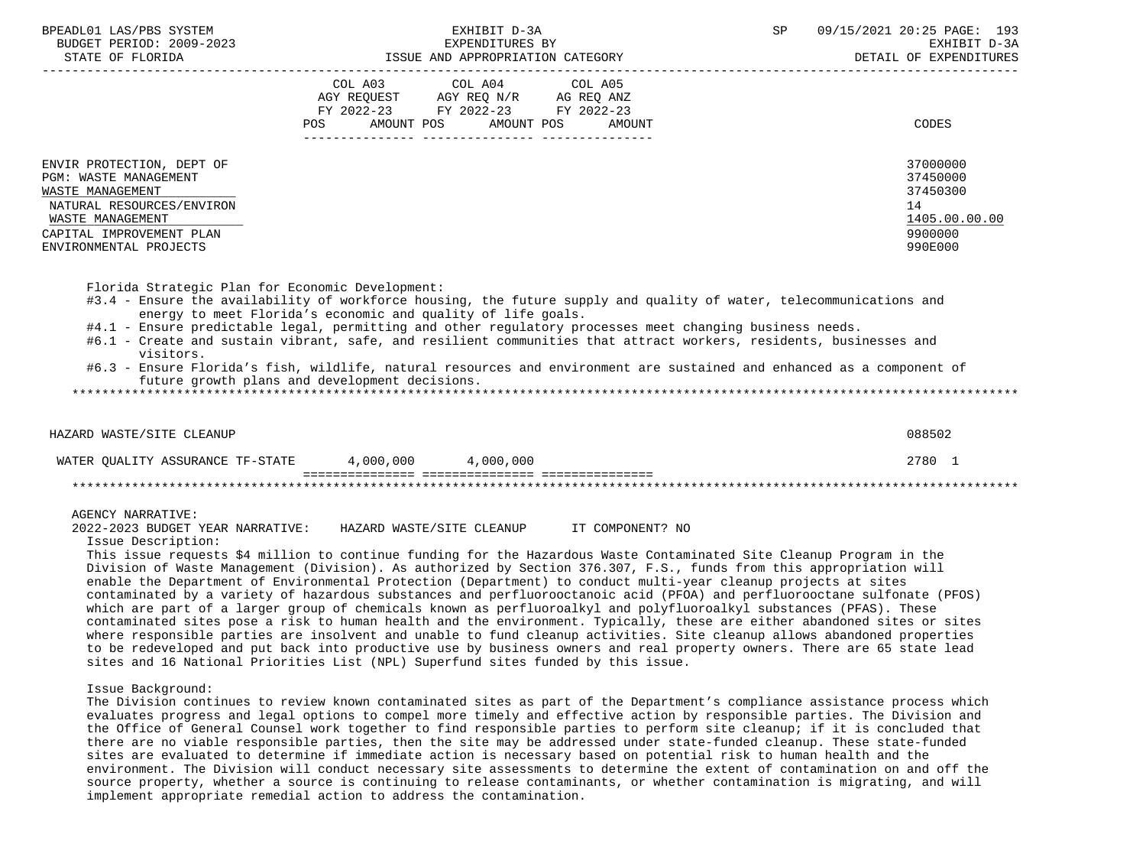| BPEADL01 LAS/PBS SYSTEM                                                                                                                             | EXHIBIT D-3A                                                                                                                                                                                                                                                                                                                                                                                                                                                                                                                                                                                                                                                                                                                                | 09/15/2021 20:25 PAGE: 193<br>SP                                   |
|-----------------------------------------------------------------------------------------------------------------------------------------------------|---------------------------------------------------------------------------------------------------------------------------------------------------------------------------------------------------------------------------------------------------------------------------------------------------------------------------------------------------------------------------------------------------------------------------------------------------------------------------------------------------------------------------------------------------------------------------------------------------------------------------------------------------------------------------------------------------------------------------------------------|--------------------------------------------------------------------|
|                                                                                                                                                     | COL A03 COL A04 COL A05<br>AGY REQUEST AGY REQ N/R AG REQ ANZ                                                                                                                                                                                                                                                                                                                                                                                                                                                                                                                                                                                                                                                                               |                                                                    |
|                                                                                                                                                     | FY 2022-23 FY 2022-23 FY 2022-23<br>AMOUNT POS<br>AMOUNT POS<br><b>AMOUNT</b><br><b>POS</b>                                                                                                                                                                                                                                                                                                                                                                                                                                                                                                                                                                                                                                                 | CODES                                                              |
| ENVIR PROTECTION, DEPT OF<br>PGM: WASTE MANAGEMENT<br>WASTE MANAGEMENT<br>NATURAL RESOURCES/ENVIRON<br>WASTE MANAGEMENT<br>CAPITAL IMPROVEMENT PLAN |                                                                                                                                                                                                                                                                                                                                                                                                                                                                                                                                                                                                                                                                                                                                             | 37000000<br>37450000<br>37450300<br>14<br>1405.00.00.00<br>9900000 |
| ENVIRONMENTAL PROJECTS                                                                                                                              |                                                                                                                                                                                                                                                                                                                                                                                                                                                                                                                                                                                                                                                                                                                                             | 990E000                                                            |
| visitors.                                                                                                                                           | #3.4 - Ensure the availability of workforce housing, the future supply and quality of water, telecommunications and<br>energy to meet Florida's economic and quality of life goals.<br>#4.1 - Ensure predictable legal, permitting and other regulatory processes meet changing business needs.<br>#6.1 - Create and sustain vibrant, safe, and resilient communities that attract workers, residents, businesses and<br>#6.3 - Ensure Florida's fish, wildlife, natural resources and environment are sustained and enhanced as a component of<br>future growth plans and development decisions.                                                                                                                                           |                                                                    |
| HAZARD WASTE/SITE CLEANUP                                                                                                                           |                                                                                                                                                                                                                                                                                                                                                                                                                                                                                                                                                                                                                                                                                                                                             | 088502                                                             |
|                                                                                                                                                     | WATER QUALITY ASSURANCE TF-STATE 4,000,000 4,000,000                                                                                                                                                                                                                                                                                                                                                                                                                                                                                                                                                                                                                                                                                        | 2780 1                                                             |
|                                                                                                                                                     |                                                                                                                                                                                                                                                                                                                                                                                                                                                                                                                                                                                                                                                                                                                                             |                                                                    |
| <b>AGENCY NARRATIVE:</b><br>Issue Description:                                                                                                      | 2022-2023 BUDGET YEAR NARRATIVE: HAZARD WASTE/SITE CLEANUP IT COMPONENT? NO                                                                                                                                                                                                                                                                                                                                                                                                                                                                                                                                                                                                                                                                 |                                                                    |
|                                                                                                                                                     | This issue requests \$4 million to continue funding for the Hazardous Waste Contaminated Site Cleanup Program in the<br>Division of Waste Management (Division). As authorized by Section 376.307, F.S., funds from this appropriation will<br>enable the Department of Environmental Protection (Department) to conduct multi-year cleanup projects at sites<br>contaminated by a variety of hazardous substances and perfluorooctanoic acid (PFOA) and perfluorooctane sulfonate (PFOS)<br>which are part of a larger group of chemicals known as perfluoroalkyl and polyfluoroalkyl substances (PFAS). These<br>contaminated sites pose a risk to human health and the environment. Typically, these are either abandoned sites or sites |                                                                    |

 where responsible parties are insolvent and unable to fund cleanup activities. Site cleanup allows abandoned properties to be redeveloped and put back into productive use by business owners and real property owners. There are 65 state lead sites and 16 National Priorities List (NPL) Superfund sites funded by this issue.

Issue Background:

 The Division continues to review known contaminated sites as part of the Department's compliance assistance process which evaluates progress and legal options to compel more timely and effective action by responsible parties. The Division and the Office of General Counsel work together to find responsible parties to perform site cleanup; if it is concluded that there are no viable responsible parties, then the site may be addressed under state-funded cleanup. These state-funded sites are evaluated to determine if immediate action is necessary based on potential risk to human health and the environment. The Division will conduct necessary site assessments to determine the extent of contamination on and off the source property, whether a source is continuing to release contaminants, or whether contamination is migrating, and will implement appropriate remedial action to address the contamination.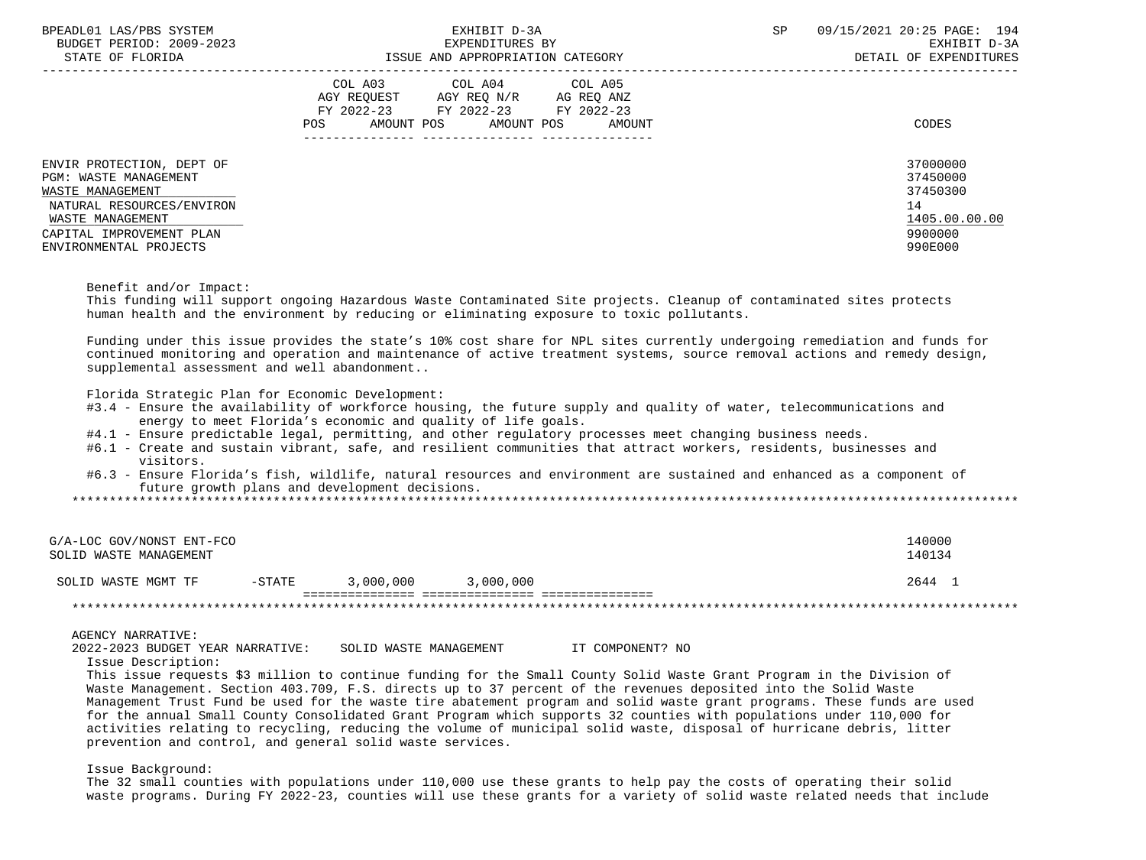| BPEADL01 LAS/PBS SYSTEM<br>BUDGET PERIOD: 2009-2023<br>STATE OF FLORIDA                                                                                                              | EXHIBIT D-3A<br>EXPENDITURES BY<br>ISSUE AND APPROPRIATION CATEGORY                                                                                  | 09/15/2021 20:25 PAGE: 194<br><b>SP</b><br>EXHIBIT D-3A<br>DETAIL OF EXPENDITURES |
|--------------------------------------------------------------------------------------------------------------------------------------------------------------------------------------|------------------------------------------------------------------------------------------------------------------------------------------------------|-----------------------------------------------------------------------------------|
|                                                                                                                                                                                      | COL A03<br>COL A04 COL A05<br>AGY REQUEST AGY REQ N/R<br>AG REQ ANZ<br>FY 2022-23 FY 2022-23 FY 2022-23<br>AMOUNT POS<br>AMOUNT POS<br>POS<br>AMOUNT | CODES                                                                             |
| ENVIR PROTECTION, DEPT OF<br><b>PGM: WASTE MANAGEMENT</b><br>WASTE MANAGEMENT<br>NATURAL RESOURCES/ENVIRON<br>WASTE MANAGEMENT<br>CAPITAL IMPROVEMENT PLAN<br>ENVIRONMENTAL PROJECTS |                                                                                                                                                      | 37000000<br>37450000<br>37450300<br>14<br>1405.00.00.00<br>9900000<br>990E000     |

Benefit and/or Impact:

 This funding will support ongoing Hazardous Waste Contaminated Site projects. Cleanup of contaminated sites protects human health and the environment by reducing or eliminating exposure to toxic pollutants.

 Funding under this issue provides the state's 10% cost share for NPL sites currently undergoing remediation and funds for continued monitoring and operation and maintenance of active treatment systems, source removal actions and remedy design, supplemental assessment and well abandonment..

Florida Strategic Plan for Economic Development:

- #3.4 Ensure the availability of workforce housing, the future supply and quality of water, telecommunications and energy to meet Florida's economic and quality of life goals.
- #4.1 Ensure predictable legal, permitting, and other regulatory processes meet changing business needs.
- #6.1 Create and sustain vibrant, safe, and resilient communities that attract workers, residents, businesses and visitors.
- #6.3 Ensure Florida's fish, wildlife, natural resources and environment are sustained and enhanced as a component of future growth plans and development decisions.

\*\*\*\*\*\*\*\*\*\*\*\*\*\*\*\*\*\*\*\*\*\*\*\*\*\*\*\*\*\*\*\*\*\*\*\*\*\*\*\*\*\*\*\*\*\*\*\*\*\*\*\*\*\*\*\*\*\*\*\*\*\*\*\*\*\*\*\*\*\*\*\*\*\*\*\*\*\*\*\*\*\*\*\*\*\*\*\*\*\*\*\*\*\*\*\*\*\*\*\*\*\*\*\*\*\*\*\*\*\*\*\*\*\*\*\*\*\*\*\*\*\*\*\*\*\*\*

| G/A-LOC GOV/NONST ENT-FCO<br>SOLID WASTE MANAGEMENT |           |           |           | 140000<br>140134 |
|-----------------------------------------------------|-----------|-----------|-----------|------------------|
| SOLID WASTE MGMT TF                                 | $-$ STATE | 3,000,000 | 3,000,000 | 2644             |
|                                                     |           |           |           |                  |

AGENCY NARRATIVE:

2022-2023 BUDGET YEAR NARRATIVE: SOLID WASTE MANAGEMENT IT COMPONENT? NO

Issue Description:

 This issue requests \$3 million to continue funding for the Small County Solid Waste Grant Program in the Division of Waste Management. Section 403.709, F.S. directs up to 37 percent of the revenues deposited into the Solid Waste Management Trust Fund be used for the waste tire abatement program and solid waste grant programs. These funds are used for the annual Small County Consolidated Grant Program which supports 32 counties with populations under 110,000 for activities relating to recycling, reducing the volume of municipal solid waste, disposal of hurricane debris, litter prevention and control, and general solid waste services.

Issue Background:

 The 32 small counties with populations under 110,000 use these grants to help pay the costs of operating their solid waste programs. During FY 2022-23, counties will use these grants for a variety of solid waste related needs that include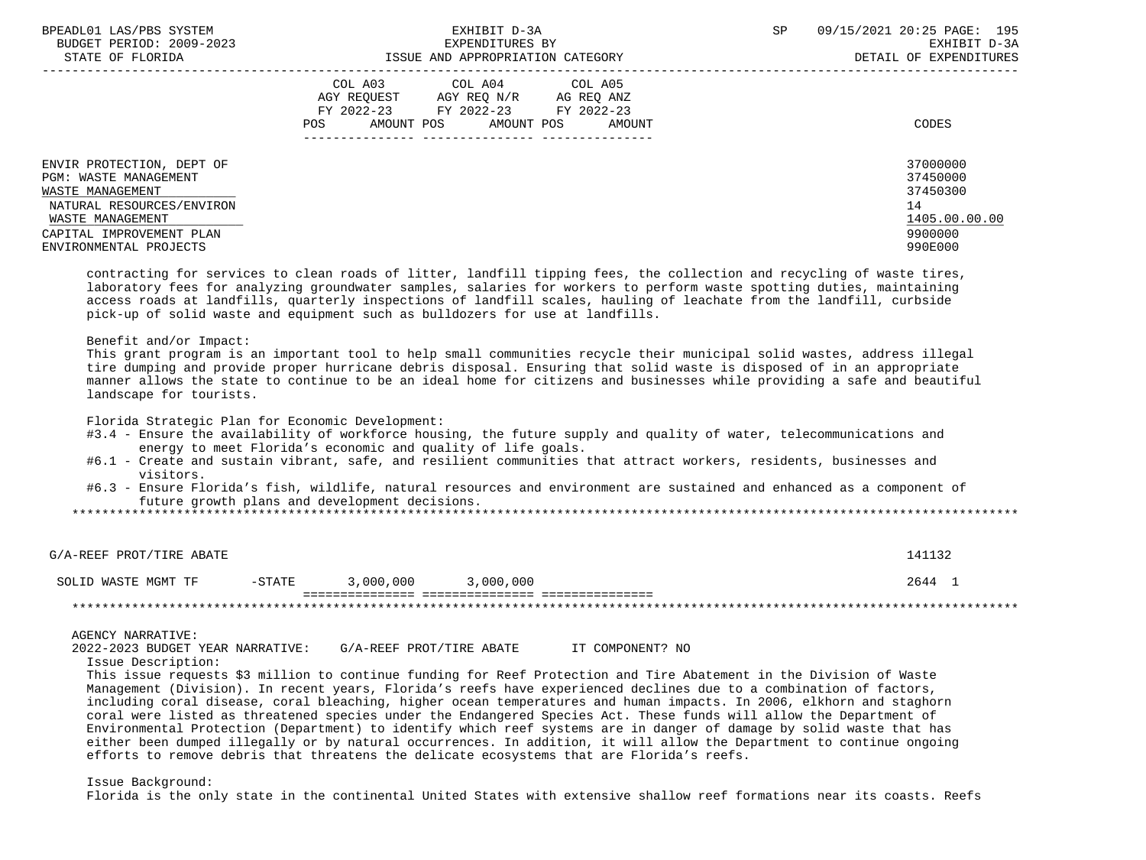| BPEADL01 LAS/PBS SYSTEM<br>BUDGET PERIOD: 2009-2023<br>STATE OF FLORIDA                                                                                                       | EXHIBIT D-3A<br>EXPENDITURES BY<br>ISSUE AND APPROPRIATION CATEGORY                                                                               | 09/15/2021 20:25 PAGE: 195<br><b>SP</b><br>EXHIBIT D-3A<br>DETAIL OF EXPENDITURES |
|-------------------------------------------------------------------------------------------------------------------------------------------------------------------------------|---------------------------------------------------------------------------------------------------------------------------------------------------|-----------------------------------------------------------------------------------|
|                                                                                                                                                                               | COL A03 COL A04 COL A05<br>AGY REOUEST AGY REO N/R<br>AG REO ANZ<br>FY 2022-23 FY 2022-23<br>FY 2022-23<br>AMOUNT POS AMOUNT POS<br>POS<br>AMOUNT | CODES                                                                             |
| ENVIR PROTECTION, DEPT OF<br>PGM: WASTE MANAGEMENT<br>WASTE MANAGEMENT<br>NATURAL RESOURCES/ENVIRON<br>WASTE MANAGEMENT<br>CAPITAL IMPROVEMENT PLAN<br>ENVIRONMENTAL PROJECTS |                                                                                                                                                   | 37000000<br>37450000<br>37450300<br>14<br>1405.00.00.00<br>9900000<br>990E000     |

 contracting for services to clean roads of litter, landfill tipping fees, the collection and recycling of waste tires, laboratory fees for analyzing groundwater samples, salaries for workers to perform waste spotting duties, maintaining access roads at landfills, quarterly inspections of landfill scales, hauling of leachate from the landfill, curbside pick-up of solid waste and equipment such as bulldozers for use at landfills.

#### Benefit and/or Impact:

 This grant program is an important tool to help small communities recycle their municipal solid wastes, address illegal tire dumping and provide proper hurricane debris disposal. Ensuring that solid waste is disposed of in an appropriate manner allows the state to continue to be an ideal home for citizens and businesses while providing a safe and beautiful landscape for tourists.

Florida Strategic Plan for Economic Development:

- #3.4 Ensure the availability of workforce housing, the future supply and quality of water, telecommunications and energy to meet Florida's economic and quality of life goals.
- #6.1 Create and sustain vibrant, safe, and resilient communities that attract workers, residents, businesses and visitors.
- #6.3 Ensure Florida's fish, wildlife, natural resources and environment are sustained and enhanced as a component of future growth plans and development decisions.

\*\*\*\*\*\*\*\*\*\*\*\*\*\*\*\*\*\*\*\*\*\*\*\*\*\*\*\*\*\*\*\*\*\*\*\*\*\*\*\*\*\*\*\*\*\*\*\*\*\*\*\*\*\*\*\*\*\*\*\*\*\*\*\*\*\*\*\*\*\*\*\*\*\*\*\*\*\*\*\*\*\*\*\*\*\*\*\*\*\*\*\*\*\*\*\*\*\*\*\*\*\*\*\*\*\*\*\*\*\*\*\*\*\*\*\*\*\*\*\*\*\*\*\*\*\*\*

| G/A-REEF PROT/TIRE ABATE |           |           |           | 141132 |
|--------------------------|-----------|-----------|-----------|--------|
| SOLID WASTE MGMT TF      | $-$ STATE | 3,000,000 | 3,000,000 | 2644   |
|                          |           |           |           |        |

## AGENCY NARRATIVE:

2022-2023 BUDGET YEAR NARRATIVE: G/A-REEF PROT/TIRE ABATE IT COMPONENT? NO

Issue Description:

 This issue requests \$3 million to continue funding for Reef Protection and Tire Abatement in the Division of Waste Management (Division). In recent years, Florida's reefs have experienced declines due to a combination of factors, including coral disease, coral bleaching, higher ocean temperatures and human impacts. In 2006, elkhorn and staghorn coral were listed as threatened species under the Endangered Species Act. These funds will allow the Department of Environmental Protection (Department) to identify which reef systems are in danger of damage by solid waste that has either been dumped illegally or by natural occurrences. In addition, it will allow the Department to continue ongoing efforts to remove debris that threatens the delicate ecosystems that are Florida's reefs.

Issue Background:

Florida is the only state in the continental United States with extensive shallow reef formations near its coasts. Reefs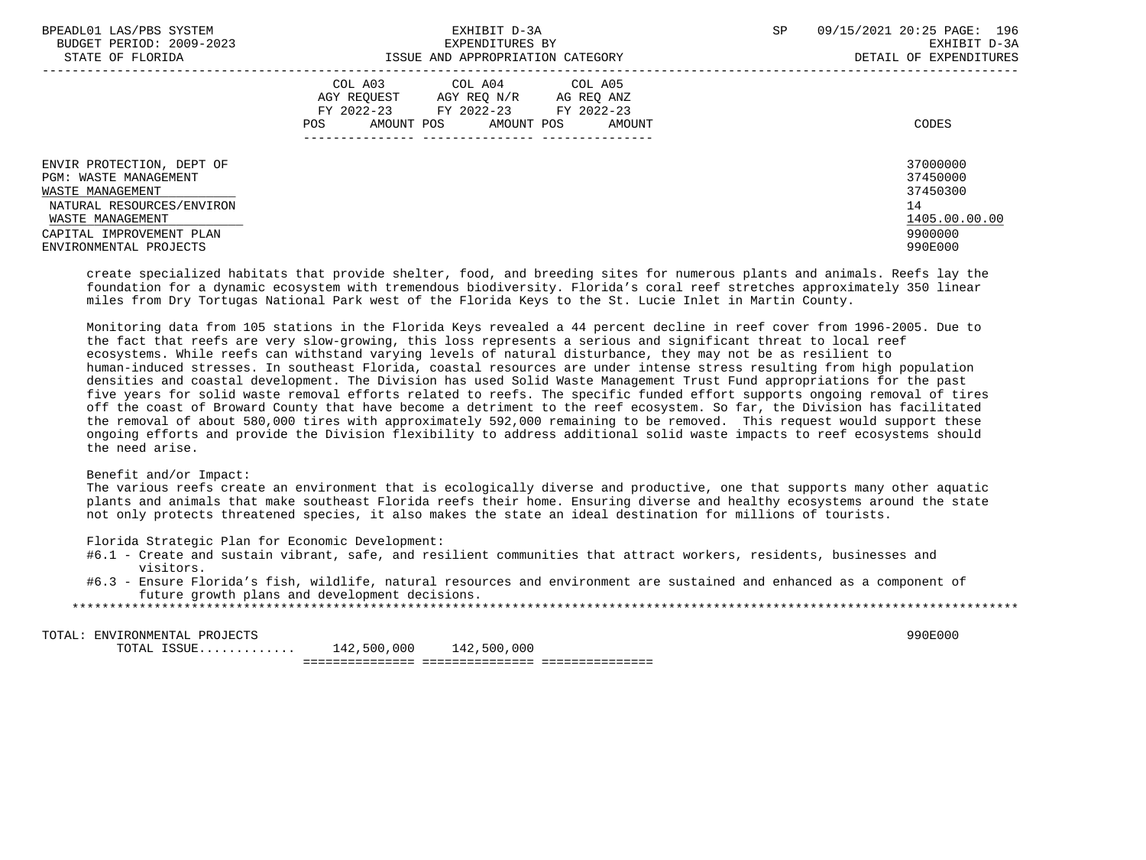| BPEADL01 LAS/PBS SYSTEM                          | EXHIBIT D-3A                                                                        | SP<br>09/15/2021 20:25 PAGE: 196 |
|--------------------------------------------------|-------------------------------------------------------------------------------------|----------------------------------|
| BUDGET PERIOD: 2009-2023                         | EXPENDITURES BY                                                                     | EXHIBIT D-3A                     |
| STATE OF FLORIDA                                 | ISSUE AND APPROPRIATION CATEGORY                                                    | DETAIL OF EXPENDITURES           |
|                                                  | COL A03 COL A04 COL A05<br>AGY REOUEST<br>AGY REO N/R<br>AG REQ ANZ                 |                                  |
|                                                  | FY 2022-23<br>FY 2022-23<br>FY 2022-23<br>AMOUNT POS<br>AMOUNT POS<br>POS<br>AMOUNT | CODES                            |
| ENVIR PROTECTION, DEPT OF                        |                                                                                     | 37000000                         |
| <b>PGM: WASTE MANAGEMENT</b><br>WASTE MANAGEMENT |                                                                                     | 37450000<br>37450300             |
| NATURAL RESOURCES/ENVIRON                        |                                                                                     | 14                               |
| WASTE MANAGEMENT                                 |                                                                                     | 1405.00.00.00                    |
| CAPITAL IMPROVEMENT PLAN                         |                                                                                     | 9900000                          |
| ENVIRONMENTAL PROJECTS                           |                                                                                     | 990E000                          |

 create specialized habitats that provide shelter, food, and breeding sites for numerous plants and animals. Reefs lay the foundation for a dynamic ecosystem with tremendous biodiversity. Florida's coral reef stretches approximately 350 linear miles from Dry Tortugas National Park west of the Florida Keys to the St. Lucie Inlet in Martin County.

 Monitoring data from 105 stations in the Florida Keys revealed a 44 percent decline in reef cover from 1996-2005. Due to the fact that reefs are very slow-growing, this loss represents a serious and significant threat to local reef ecosystems. While reefs can withstand varying levels of natural disturbance, they may not be as resilient to human-induced stresses. In southeast Florida, coastal resources are under intense stress resulting from high population densities and coastal development. The Division has used Solid Waste Management Trust Fund appropriations for the past five years for solid waste removal efforts related to reefs. The specific funded effort supports ongoing removal of tires off the coast of Broward County that have become a detriment to the reef ecosystem. So far, the Division has facilitated the removal of about 580,000 tires with approximately 592,000 remaining to be removed. This request would support these ongoing efforts and provide the Division flexibility to address additional solid waste impacts to reef ecosystems should the need arise.

# Benefit and/or Impact:

 The various reefs create an environment that is ecologically diverse and productive, one that supports many other aquatic plants and animals that make southeast Florida reefs their home. Ensuring diverse and healthy ecosystems around the state not only protects threatened species, it also makes the state an ideal destination for millions of tourists.

Florida Strategic Plan for Economic Development:

- #6.1 Create and sustain vibrant, safe, and resilient communities that attract workers, residents, businesses and visitors.
- #6.3 Ensure Florida's fish, wildlife, natural resources and environment are sustained and enhanced as a component of future growth plans and development decisions.

\*\*\*\*\*\*\*\*\*\*\*\*\*\*\*\*\*\*\*\*\*\*\*\*\*\*\*\*\*\*\*\*\*\*\*\*\*\*\*\*\*\*\*\*\*\*\*\*\*\*\*\*\*\*\*\*\*\*\*\*\*\*\*\*\*\*\*\*\*\*\*\*\*\*\*\*\*\*\*\*\*\*\*\*\*\*\*\*\*\*\*\*\*\*\*\*\*\*\*\*\*\*\*\*\*\*\*\*\*\*\*\*\*\*\*\*\*\*\*\*\*\*\*\*\*\*\*

TOTAL: ENVIRONMENTAL PROJECTS<br>
TOTAL ISSUE............. 142.500.000 142.500.000  $TOTAL$   $ISSUE$ ............ =============== =============== ===============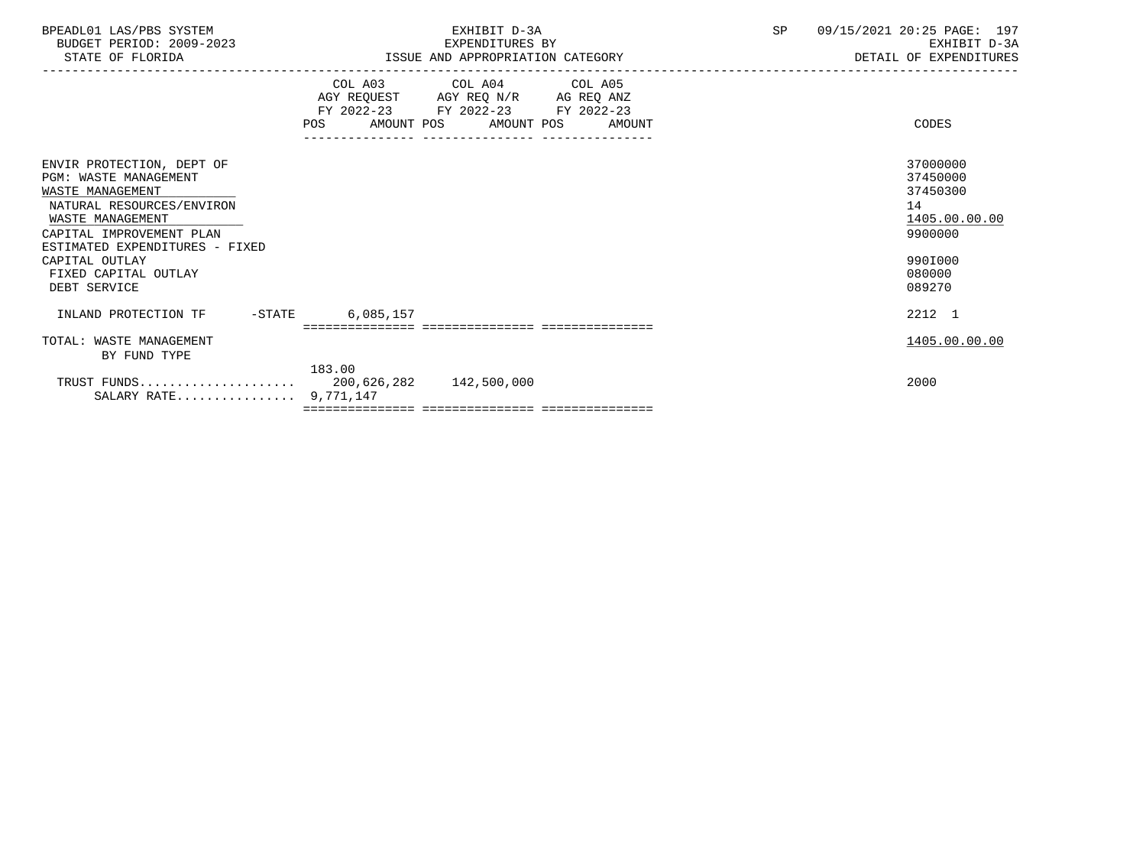| BPEADL01 LAS/PBS SYSTEM<br>BUDGET PERIOD: 2009-2023<br>STATE OF FLORIDA                                                                                                                                                                                | EXHIBIT D-3A<br>EXPENDITURES BY<br>ISSUE AND APPROPRIATION CATEGORY                                                                                                                      | SP | 09/15/2021 20:25 PAGE: 197<br>EXHIBIT D-3A<br>DETAIL OF EXPENDITURES                              |
|--------------------------------------------------------------------------------------------------------------------------------------------------------------------------------------------------------------------------------------------------------|------------------------------------------------------------------------------------------------------------------------------------------------------------------------------------------|----|---------------------------------------------------------------------------------------------------|
|                                                                                                                                                                                                                                                        | COL A03 COL A04 COL A05<br>AGY REQUEST AGY REQ N/R AG REQ ANZ<br>FY 2022-23 FY 2022-23 FY 2022-23<br><b>POS</b><br>AMOUNT POS AMOUNT POS AMOUNT<br>_____________________________________ |    | CODES                                                                                             |
| ENVIR PROTECTION, DEPT OF<br><b>PGM: WASTE MANAGEMENT</b><br>WASTE MANAGEMENT<br>NATURAL RESOURCES/ENVIRON<br>WASTE MANAGEMENT<br>CAPITAL IMPROVEMENT PLAN<br>ESTIMATED EXPENDITURES - FIXED<br>CAPITAL OUTLAY<br>FIXED CAPITAL OUTLAY<br>DEBT SERVICE |                                                                                                                                                                                          |    | 37000000<br>37450000<br>37450300<br>14<br>1405.00.00.00<br>9900000<br>990I000<br>080000<br>089270 |
| INLAND PROTECTION TF -STATE                                                                                                                                                                                                                            | 6,085,157                                                                                                                                                                                |    | 2212 1                                                                                            |
| TOTAL: WASTE MANAGEMENT<br>BY FUND TYPE                                                                                                                                                                                                                |                                                                                                                                                                                          |    | 1405.00.00.00                                                                                     |
| SALARY RATE 9,771,147                                                                                                                                                                                                                                  | 183.00                                                                                                                                                                                   |    | 2000                                                                                              |
|                                                                                                                                                                                                                                                        |                                                                                                                                                                                          |    |                                                                                                   |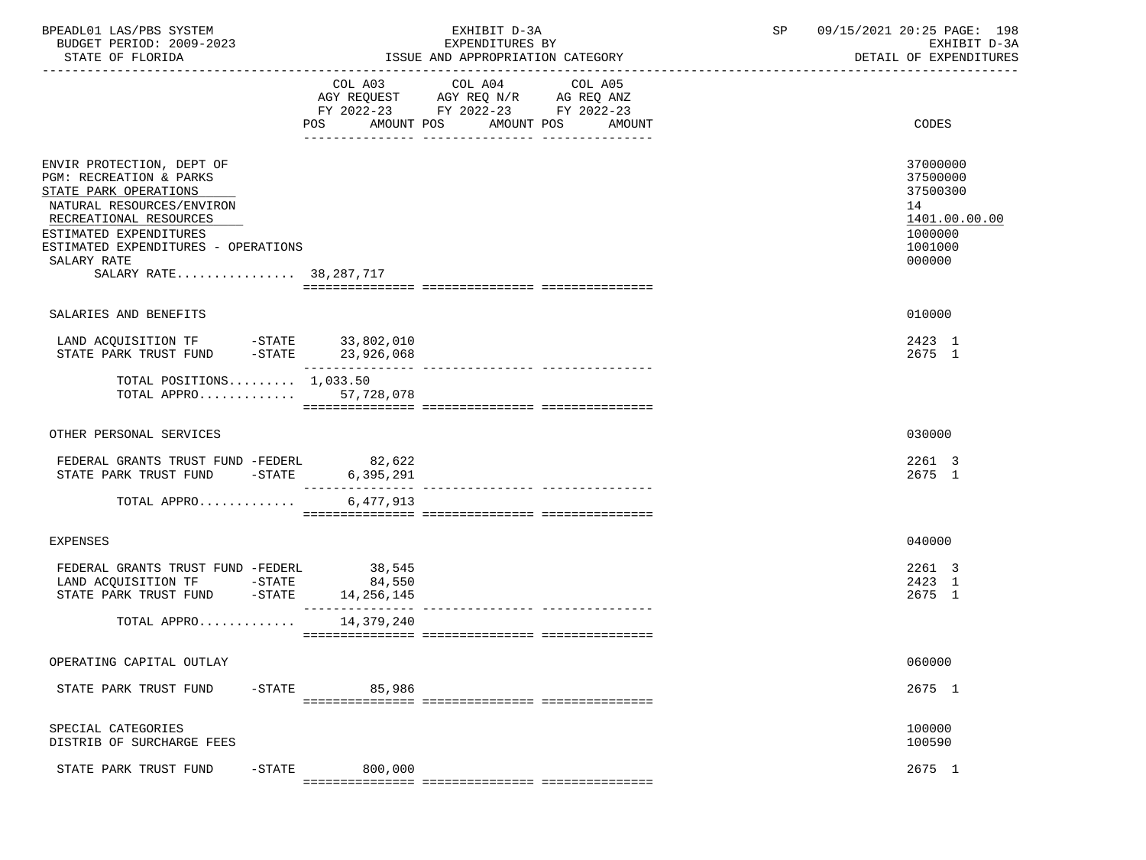| BPEADL01 LAS/PBS SYSTEM<br>BUDGET PERIOD: 2009-2023<br>STATE OF FLORIDA                                                                                                                                                                          |                  | EXHIBIT D-3A<br>EXPENDITURES BY<br>ISSUE AND APPROPRIATION CATEGORY                                                          | SP | 09/15/2021 20:25 PAGE: 198<br>EXHIBIT D-3A<br>DETAIL OF EXPENDITURES                    |  |
|--------------------------------------------------------------------------------------------------------------------------------------------------------------------------------------------------------------------------------------------------|------------------|------------------------------------------------------------------------------------------------------------------------------|----|-----------------------------------------------------------------------------------------|--|
|                                                                                                                                                                                                                                                  | COL A03<br>POS   | COL A04<br>COL A05<br>AGY REQUEST AGY REQ N/R AG REQ ANZ<br>FY 2022-23 FY 2022-23 FY 2022-23<br>AMOUNT POS AMOUNT POS AMOUNT |    | CODES                                                                                   |  |
| ENVIR PROTECTION, DEPT OF<br>PGM: RECREATION & PARKS<br>STATE PARK OPERATIONS<br>NATURAL RESOURCES/ENVIRON<br>RECREATIONAL RESOURCES<br>ESTIMATED EXPENDITURES<br>ESTIMATED EXPENDITURES - OPERATIONS<br>SALARY RATE<br>SALARY RATE 38, 287, 717 |                  |                                                                                                                              |    | 37000000<br>37500000<br>37500300<br>14<br>1401.00.00.00<br>1000000<br>1001000<br>000000 |  |
| SALARIES AND BENEFITS                                                                                                                                                                                                                            |                  |                                                                                                                              |    | 010000                                                                                  |  |
|                                                                                                                                                                                                                                                  | ________________ |                                                                                                                              |    | 2423 1<br>2675 1                                                                        |  |
| TOTAL POSITIONS $1,033.50$<br>TOTAL APPRO 57.728.078                                                                                                                                                                                             |                  |                                                                                                                              |    |                                                                                         |  |
| OTHER PERSONAL SERVICES                                                                                                                                                                                                                          |                  |                                                                                                                              |    | 030000                                                                                  |  |
| FEDERAL GRANTS TRUST FUND -FEDERL 82,622<br>STATE PARK TRUST FUND -STATE 6,395,291                                                                                                                                                               |                  |                                                                                                                              |    | 2261 3<br>2675 1                                                                        |  |
| TOTAL APPRO                                                                                                                                                                                                                                      | 6,477,913        |                                                                                                                              |    |                                                                                         |  |
| <b>EXPENSES</b>                                                                                                                                                                                                                                  |                  |                                                                                                                              |    | 040000                                                                                  |  |
| FEDERAL GRANTS TRUST FUND -FEDERL 38,545                                                                                                                                                                                                         |                  |                                                                                                                              |    | 2261 3<br>2423 1<br>2675 1                                                              |  |
| TOTAL APPRO 14,379,240                                                                                                                                                                                                                           |                  |                                                                                                                              |    |                                                                                         |  |
| OPERATING CAPITAL OUTLAY                                                                                                                                                                                                                         |                  |                                                                                                                              |    | 060000                                                                                  |  |
| STATE PARK TRUST FUND<br>$-$ STATE                                                                                                                                                                                                               | 85,986           |                                                                                                                              |    | 2675 1                                                                                  |  |
| SPECIAL CATEGORIES<br>DISTRIB OF SURCHARGE FEES                                                                                                                                                                                                  |                  |                                                                                                                              |    | 100000<br>100590                                                                        |  |
| $-$ STATE<br>STATE PARK TRUST FUND                                                                                                                                                                                                               | 800,000          |                                                                                                                              |    | 2675 1                                                                                  |  |
|                                                                                                                                                                                                                                                  |                  |                                                                                                                              |    |                                                                                         |  |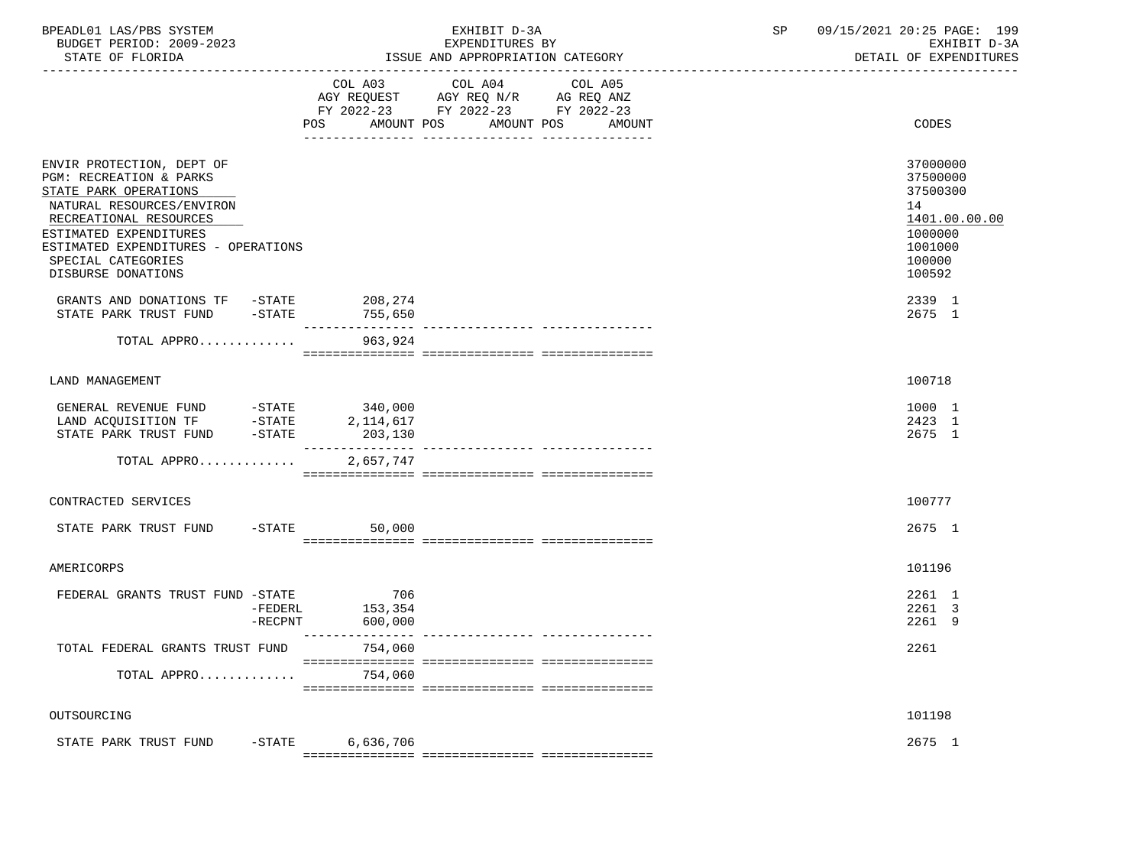| BPEADL01 LAS/PBS SYSTEM<br>BUDGET PERIOD: 2009-2023<br>STATE OF FLORIDA                                                                                                                                                                                                                                                 |                | EXHIBIT D-3A<br>EXPENDITURES BY<br>ISSUE AND APPROPRIATION CATEGORY                                                              | 09/15/2021 20:25 PAGE: 199<br>SP<br>EXHIBIT D-3A<br>DETAIL OF EXPENDITURES |
|-------------------------------------------------------------------------------------------------------------------------------------------------------------------------------------------------------------------------------------------------------------------------------------------------------------------------|----------------|----------------------------------------------------------------------------------------------------------------------------------|----------------------------------------------------------------------------|
|                                                                                                                                                                                                                                                                                                                         | COL A03        | COL A04<br>COL A05<br>AGY REQUEST AGY REQ N/R AG REQ ANZ<br>FY 2022-23 FY 2022-23 FY 2022-23<br>POS AMOUNT POS AMOUNT POS AMOUNT | CODES                                                                      |
| ENVIR PROTECTION, DEPT OF                                                                                                                                                                                                                                                                                               |                |                                                                                                                                  | 37000000                                                                   |
| PGM: RECREATION & PARKS<br>STATE PARK OPERATIONS<br>NATURAL RESOURCES/ENVIRON                                                                                                                                                                                                                                           |                |                                                                                                                                  | 37500000<br>37500300<br>14                                                 |
| RECREATIONAL RESOURCES<br>ESTIMATED EXPENDITURES                                                                                                                                                                                                                                                                        |                |                                                                                                                                  | 1401.00.00.00<br>1000000                                                   |
| ESTIMATED EXPENDITURES - OPERATIONS<br>SPECIAL CATEGORIES<br>DISBURSE DONATIONS                                                                                                                                                                                                                                         |                |                                                                                                                                  | 1001000<br>100000<br>100592                                                |
| GRANTS AND DONATIONS TF -STATE 208,274                                                                                                                                                                                                                                                                                  |                |                                                                                                                                  | 2339 1                                                                     |
| STATE PARK TRUST FUND - STATE                                                                                                                                                                                                                                                                                           | 755,650        |                                                                                                                                  | 2675 1                                                                     |
| TOTAL APPRO 963,924                                                                                                                                                                                                                                                                                                     |                |                                                                                                                                  |                                                                            |
| LAND MANAGEMENT                                                                                                                                                                                                                                                                                                         |                |                                                                                                                                  | 100718                                                                     |
|                                                                                                                                                                                                                                                                                                                         |                |                                                                                                                                  | 1000 1                                                                     |
| $\begin{tabular}{lcccc} \texttt{GENERAL} & \texttt{REVENUE} & \texttt{FUND} & & -\texttt{STATE} & & 340,000 \\ \texttt{LAND} & \texttt{ACQUISITION} & \texttt{FF} & & -\texttt{STATE} & & 2,114,617 \\ \texttt{STATE} & \texttt{PARK} & \texttt{TRUST} & \texttt{UND} & & -\texttt{STATE} & & 203,130 \\ \end{tabular}$ |                |                                                                                                                                  | 2423 1<br>2675 1                                                           |
| TOTAL APPRO                                                                                                                                                                                                                                                                                                             | 2,657,747      |                                                                                                                                  |                                                                            |
| CONTRACTED SERVICES                                                                                                                                                                                                                                                                                                     |                |                                                                                                                                  | 100777                                                                     |
| STATE PARK TRUST FUND -STATE                                                                                                                                                                                                                                                                                            | 50,000         |                                                                                                                                  | 2675 1                                                                     |
|                                                                                                                                                                                                                                                                                                                         |                |                                                                                                                                  |                                                                            |
| AMERICORPS                                                                                                                                                                                                                                                                                                              |                |                                                                                                                                  | 101196                                                                     |
| FEDERAL GRANTS TRUST FUND -STATE<br>-FEDERL                                                                                                                                                                                                                                                                             | 706<br>153,354 |                                                                                                                                  | 2261 1<br>2261 3                                                           |
| -RECPNT                                                                                                                                                                                                                                                                                                                 | 600,000        |                                                                                                                                  | 2261 9                                                                     |
| TOTAL FEDERAL GRANTS TRUST FUND                                                                                                                                                                                                                                                                                         | 754,060        |                                                                                                                                  | 2261                                                                       |
| TOTAL APPRO                                                                                                                                                                                                                                                                                                             | 754,060        |                                                                                                                                  |                                                                            |
| OUTSOURCING                                                                                                                                                                                                                                                                                                             |                |                                                                                                                                  | 101198                                                                     |
| $-STATE$<br>STATE PARK TRUST FUND                                                                                                                                                                                                                                                                                       | 6,636,706      |                                                                                                                                  | 2675 1                                                                     |
|                                                                                                                                                                                                                                                                                                                         |                |                                                                                                                                  |                                                                            |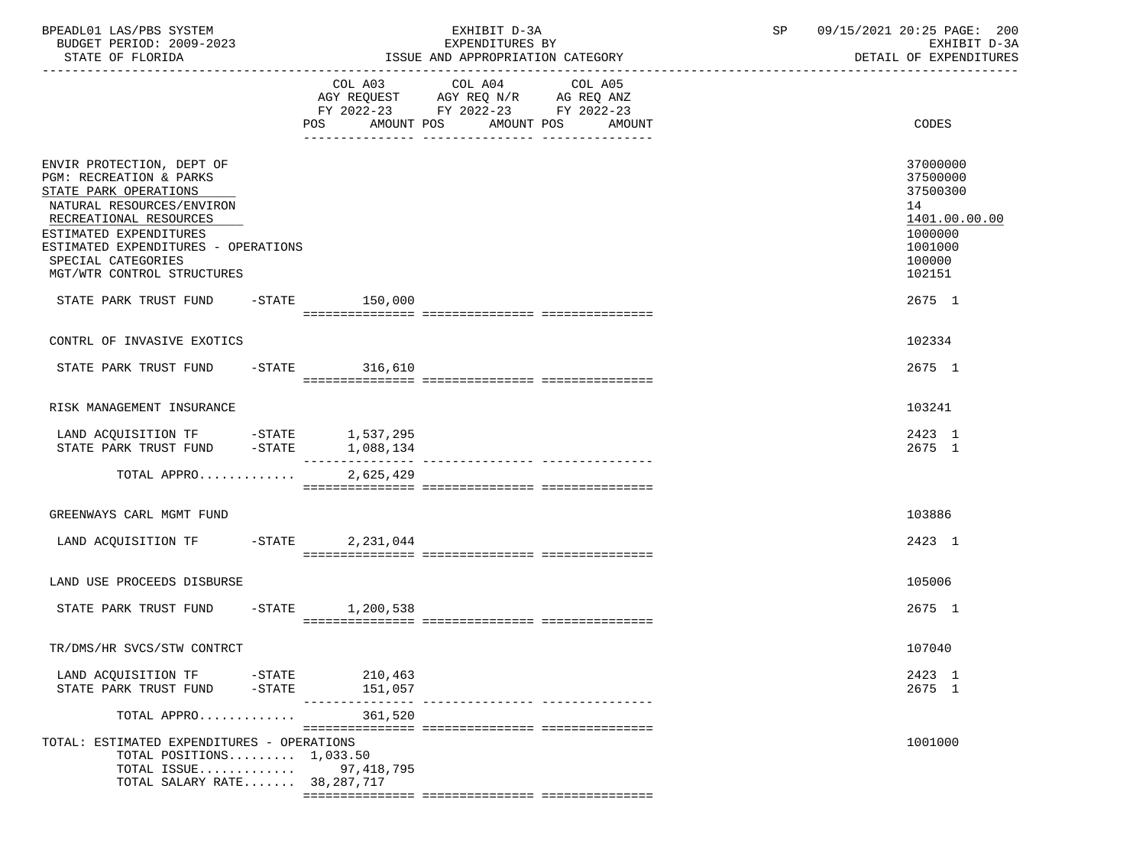| BPEADL01 LAS/PBS SYSTEM<br>BUDGET PERIOD: 2009-2023<br>STATE OF FLORIDA                                                                                                                                                                                              |                             | EXHIBIT D-3A<br>EXPENDITURES BY<br>ISSUE AND APPROPRIATION CATEGORY                                        |  |                 |         |  | SP | 09/15/2021 20:25 PAGE: 200<br>EXHIBIT D-3A<br>DETAIL OF EXPENDITURES |                                                                                                   |
|----------------------------------------------------------------------------------------------------------------------------------------------------------------------------------------------------------------------------------------------------------------------|-----------------------------|------------------------------------------------------------------------------------------------------------|--|-----------------|---------|--|----|----------------------------------------------------------------------|---------------------------------------------------------------------------------------------------|
|                                                                                                                                                                                                                                                                      |                             |                                                                                                            |  | COL A03 COL A04 | COL A05 |  |    |                                                                      |                                                                                                   |
|                                                                                                                                                                                                                                                                      |                             | AGY REQUEST AGY REQ N/R AG REQ ANZ<br>FY 2022-23 FY 2022-23 FY 2022-23<br>POS AMOUNT POS AMOUNT POS AMOUNT |  |                 |         |  |    |                                                                      | CODES                                                                                             |
| ENVIR PROTECTION, DEPT OF<br><b>PGM: RECREATION &amp; PARKS</b><br>STATE PARK OPERATIONS<br>NATURAL RESOURCES/ENVIRON<br>RECREATIONAL RESOURCES<br>ESTIMATED EXPENDITURES<br>ESTIMATED EXPENDITURES - OPERATIONS<br>SPECIAL CATEGORIES<br>MGT/WTR CONTROL STRUCTURES |                             |                                                                                                            |  |                 |         |  |    |                                                                      | 37000000<br>37500000<br>37500300<br>14<br>1401.00.00.00<br>1000000<br>1001000<br>100000<br>102151 |
| STATE PARK TRUST FUND -STATE 150,000                                                                                                                                                                                                                                 |                             |                                                                                                            |  |                 |         |  |    |                                                                      | 2675 1                                                                                            |
| CONTRL OF INVASIVE EXOTICS                                                                                                                                                                                                                                           |                             |                                                                                                            |  |                 |         |  |    |                                                                      | 102334                                                                                            |
| STATE PARK TRUST FUND -STATE 316,610                                                                                                                                                                                                                                 |                             |                                                                                                            |  |                 |         |  |    |                                                                      | 2675 1                                                                                            |
| RISK MANAGEMENT INSURANCE                                                                                                                                                                                                                                            |                             |                                                                                                            |  |                 |         |  |    |                                                                      | 103241                                                                                            |
| $\begin{tabular}{llllll} \texttt{LAND ACQUISITION TF} & \texttt{-STATE} & \texttt{1,537,295} \\ \texttt{STATE} & \texttt{PARK TRUST FUND} & \texttt{-STATE} & \texttt{1,088,134} \end{tabular}$                                                                      |                             |                                                                                                            |  |                 |         |  |    |                                                                      | 2423 1<br>2675 1                                                                                  |
| TOTAL APPRO                                                                                                                                                                                                                                                          |                             | 2,625,429                                                                                                  |  |                 |         |  |    |                                                                      |                                                                                                   |
| GREENWAYS CARL MGMT FUND                                                                                                                                                                                                                                             |                             |                                                                                                            |  |                 |         |  |    |                                                                      | 103886                                                                                            |
| LAND ACQUISITION TF -STATE 2,231,044                                                                                                                                                                                                                                 |                             |                                                                                                            |  |                 |         |  |    |                                                                      | 2423 1                                                                                            |
| LAND USE PROCEEDS DISBURSE                                                                                                                                                                                                                                           |                             |                                                                                                            |  |                 |         |  |    |                                                                      | 105006                                                                                            |
| STATE PARK TRUST FUND -STATE 1,200,538                                                                                                                                                                                                                               |                             |                                                                                                            |  |                 |         |  |    |                                                                      | 2675 1                                                                                            |
| TR/DMS/HR SVCS/STW CONTRCT                                                                                                                                                                                                                                           |                             |                                                                                                            |  |                 |         |  |    |                                                                      | 107040                                                                                            |
| LAND ACQUISITION TF<br>STATE PARK TRUST FUND                                                                                                                                                                                                                         | $-\mathtt{STATE}$<br>-STATE | 210,463<br>151,057                                                                                         |  |                 |         |  |    |                                                                      | 2423 1<br>2675 1                                                                                  |
| TOTAL APPRO                                                                                                                                                                                                                                                          |                             | ---------------<br>361,520                                                                                 |  |                 |         |  |    |                                                                      |                                                                                                   |
| TOTAL: ESTIMATED EXPENDITURES - OPERATIONS<br>TOTAL POSITIONS $1,033.50$<br>TOTAL ISSUE<br>TOTAL SALARY RATE 38,287,717                                                                                                                                              |                             | 97,418,795                                                                                                 |  |                 |         |  |    |                                                                      | 1001000                                                                                           |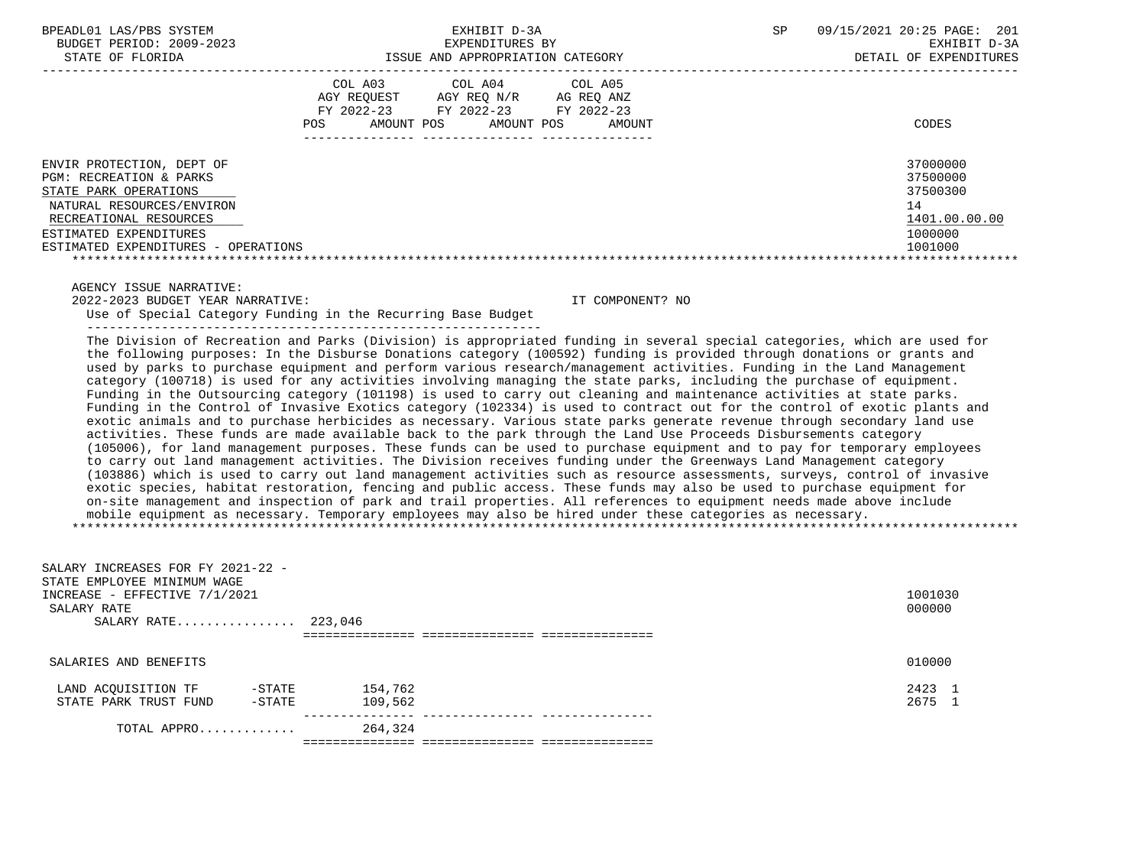|                                                                                                                                                                                                       | COL A03<br>AGY REOUEST<br>FY 2022-23<br>AMOUNT POS<br>POS. | COL A04<br>AGY REO N/R<br>FY 2022-23<br>AMOUNT POS | COL A05<br>AG REQ ANZ<br>FY 2022-23<br>AMOUNT | CODES                                                                         |
|-------------------------------------------------------------------------------------------------------------------------------------------------------------------------------------------------------|------------------------------------------------------------|----------------------------------------------------|-----------------------------------------------|-------------------------------------------------------------------------------|
| ENVIR PROTECTION, DEPT OF<br>PGM: RECREATION & PARKS<br>STATE PARK OPERATIONS<br>NATURAL RESOURCES/ENVIRON<br>RECREATIONAL RESOURCES<br>ESTIMATED EXPENDITURES<br>ESTIMATED EXPENDITURES - OPERATIONS |                                                            |                                                    |                                               | 37000000<br>37500000<br>37500300<br>14<br>1401.00.00.00<br>1000000<br>1001000 |

AGENCY ISSUE NARRATIVE:

 2022-2023 BUDGET YEAR NARRATIVE: IT COMPONENT? NO Use of Special Category Funding in the Recurring Base Budget

-------------------------------------------------------------

 The Division of Recreation and Parks (Division) is appropriated funding in several special categories, which are used for the following purposes: In the Disburse Donations category (100592) funding is provided through donations or grants and used by parks to purchase equipment and perform various research/management activities. Funding in the Land Management category (100718) is used for any activities involving managing the state parks, including the purchase of equipment. Funding in the Outsourcing category (101198) is used to carry out cleaning and maintenance activities at state parks. Funding in the Control of Invasive Exotics category (102334) is used to contract out for the control of exotic plants and exotic animals and to purchase herbicides as necessary. Various state parks generate revenue through secondary land use activities. These funds are made available back to the park through the Land Use Proceeds Disbursements category (105006), for land management purposes. These funds can be used to purchase equipment and to pay for temporary employees to carry out land management activities. The Division receives funding under the Greenways Land Management category (103886) which is used to carry out land management activities such as resource assessments, surveys, control of invasive exotic species, habitat restoration, fencing and public access. These funds may also be used to purchase equipment for on-site management and inspection of park and trail properties. All references to equipment needs made above include mobile equipment as necessary. Temporary employees may also be hired under these categories as necessary. \*\*\*\*\*\*\*\*\*\*\*\*\*\*\*\*\*\*\*\*\*\*\*\*\*\*\*\*\*\*\*\*\*\*\*\*\*\*\*\*\*\*\*\*\*\*\*\*\*\*\*\*\*\*\*\*\*\*\*\*\*\*\*\*\*\*\*\*\*\*\*\*\*\*\*\*\*\*\*\*\*\*\*\*\*\*\*\*\*\*\*\*\*\*\*\*\*\*\*\*\*\*\*\*\*\*\*\*\*\*\*\*\*\*\*\*\*\*\*\*\*\*\*\*\*\*\*

| SALARY INCREASES FOR FY 2021-22 -<br>STATE EMPLOYEE MINIMUM WAGE<br>INCREASE - EFFECTIVE 7/1/2021<br>SALARY RATE<br>SALARY RATE 223,046 |         | 1001030<br>000000 |  |  |  |  |  |
|-----------------------------------------------------------------------------------------------------------------------------------------|---------|-------------------|--|--|--|--|--|
|                                                                                                                                         |         |                   |  |  |  |  |  |
| SALARIES AND BENEFITS                                                                                                                   |         | 010000            |  |  |  |  |  |
| LAND ACOUISITION TF<br>$-$ STATE                                                                                                        | 154,762 | 2423 1            |  |  |  |  |  |
|                                                                                                                                         |         |                   |  |  |  |  |  |
| STATE PARK TRUST FUND<br>$-$ STATE                                                                                                      | 109,562 | 2675 1            |  |  |  |  |  |
|                                                                                                                                         |         |                   |  |  |  |  |  |
| TOTAL APPRO                                                                                                                             | 264,324 |                   |  |  |  |  |  |
|                                                                                                                                         |         |                   |  |  |  |  |  |
|                                                                                                                                         |         |                   |  |  |  |  |  |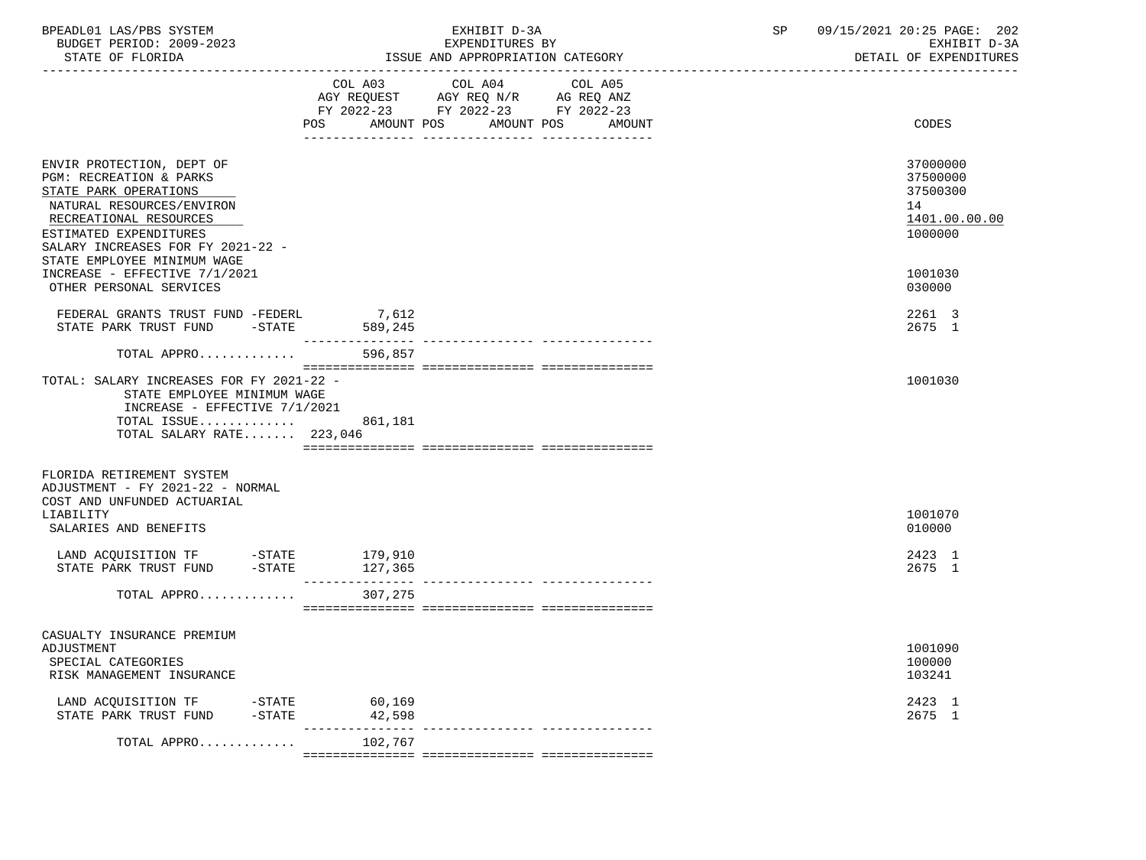| BPEADL01 LAS/PBS SYSTEM<br>BUDGET PERIOD: 2009-2023<br>STATE OF FLORIDA                                                                                                                             |                               | EXHIBIT D-3A<br>EXPENDITURES BY<br>ISSUE AND APPROPRIATION CATEGORY                                                                  | SP | 09/15/2021 20:25 PAGE: 202<br>EXHIBIT D-3A<br>DETAIL OF EXPENDITURES |  |
|-----------------------------------------------------------------------------------------------------------------------------------------------------------------------------------------------------|-------------------------------|--------------------------------------------------------------------------------------------------------------------------------------|----|----------------------------------------------------------------------|--|
|                                                                                                                                                                                                     | <b>POS</b>                    | COL A03 COL A04<br>COL A05<br>AGY REQUEST AGY REQ N/R AG REQ ANZ<br>FY 2022-23 FY 2022-23 FY 2022-23<br>AMOUNT POS AMOUNT POS AMOUNT |    | CODES                                                                |  |
| ENVIR PROTECTION, DEPT OF<br>PGM: RECREATION & PARKS<br>STATE PARK OPERATIONS<br>NATURAL RESOURCES/ENVIRON<br>RECREATIONAL RESOURCES<br>ESTIMATED EXPENDITURES<br>SALARY INCREASES FOR FY 2021-22 - |                               |                                                                                                                                      |    | 37000000<br>37500000<br>37500300<br>14<br>1401.00.00.00<br>1000000   |  |
| STATE EMPLOYEE MINIMUM WAGE<br>INCREASE - EFFECTIVE 7/1/2021<br>OTHER PERSONAL SERVICES                                                                                                             |                               |                                                                                                                                      |    | 1001030<br>030000                                                    |  |
| FEDERAL GRANTS TRUST FUND -FEDERL 7,612<br>STATE PARK TRUST FUND -STATE 589,245                                                                                                                     |                               |                                                                                                                                      |    | 2261 3<br>2675 1                                                     |  |
| TOTAL APPRO                                                                                                                                                                                         | 596,857                       |                                                                                                                                      |    |                                                                      |  |
| TOTAL: SALARY INCREASES FOR FY 2021-22 -<br>STATE EMPLOYEE MINIMUM WAGE<br>INCREASE - EFFECTIVE 7/1/2021<br>TOTAL ISSUE<br>TOTAL SALARY RATE 223,046                                                | 861,181                       |                                                                                                                                      |    | 1001030                                                              |  |
| FLORIDA RETIREMENT SYSTEM<br>ADJUSTMENT - FY 2021-22 - NORMAL<br>COST AND UNFUNDED ACTUARIAL<br>LIABILITY<br>SALARIES AND BENEFITS                                                                  |                               |                                                                                                                                      |    | 1001070<br>010000                                                    |  |
| LAND ACQUISITION TF -STATE 179,910<br>STATE PARK TRUST FUND -STATE                                                                                                                                  | 127,365<br>________________   |                                                                                                                                      |    | 2423 1<br>2675 1                                                     |  |
| TOTAL APPRO                                                                                                                                                                                         | 307,275                       |                                                                                                                                      |    |                                                                      |  |
| CASUALTY INSURANCE PREMIUM<br>ADJUSTMENT<br>SPECIAL CATEGORIES<br>RISK MANAGEMENT INSURANCE                                                                                                         |                               |                                                                                                                                      |    | 1001090<br>100000<br>103241                                          |  |
| LAND ACQUISITION TF<br>$-$ STATE<br>STATE PARK TRUST FUND                                                                                                                                           | 60,169<br>$-$ STATE<br>42,598 |                                                                                                                                      |    | 2423 1<br>2675 1                                                     |  |
| TOTAL APPRO                                                                                                                                                                                         | 102,767                       | _______________________________                                                                                                      |    |                                                                      |  |
|                                                                                                                                                                                                     |                               |                                                                                                                                      |    |                                                                      |  |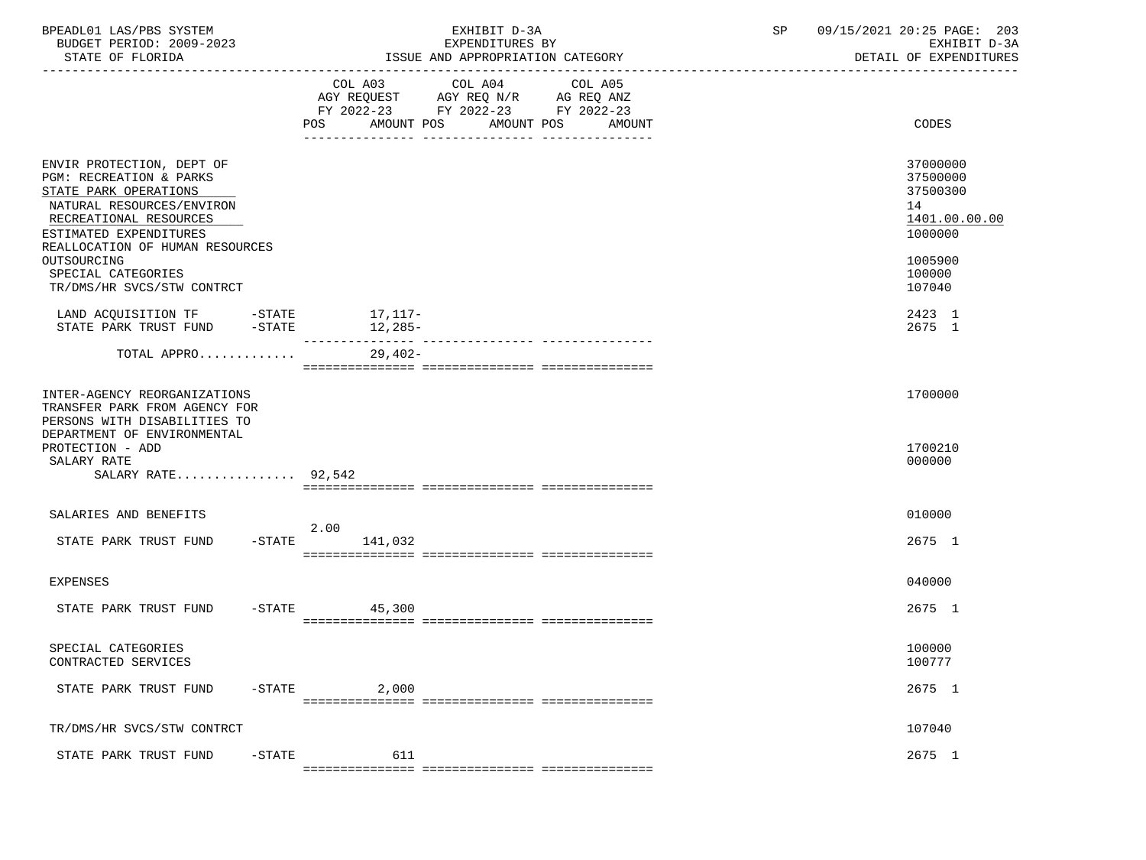| BPEADL01 LAS/PBS SYSTEM<br>BUDGET PERIOD: 2009-2023<br>STATE OF FLORIDA                                                                                                                                                                |                |                                                                                                                              | EXHIBIT D-3A<br>EXPENDITURES BY<br>ISSUE AND APPROPRIATION CATEGORY | SP    | 09/15/2021 20:25 PAGE: 203<br>EXHIBIT D-3A<br>DETAIL OF EXPENDITURES                    |
|----------------------------------------------------------------------------------------------------------------------------------------------------------------------------------------------------------------------------------------|----------------|------------------------------------------------------------------------------------------------------------------------------|---------------------------------------------------------------------|-------|-----------------------------------------------------------------------------------------|
|                                                                                                                                                                                                                                        | COL A03<br>POS | COL A04<br>COL A05<br>AGY REQUEST AGY REQ N/R AG REQ ANZ<br>FY 2022-23 FY 2022-23 FY 2022-23<br>AMOUNT POS AMOUNT POS AMOUNT |                                                                     | CODES |                                                                                         |
| ENVIR PROTECTION, DEPT OF<br>PGM: RECREATION & PARKS<br>STATE PARK OPERATIONS<br>NATURAL RESOURCES/ENVIRON<br>RECREATIONAL RESOURCES<br>ESTIMATED EXPENDITURES<br>REALLOCATION OF HUMAN RESOURCES<br>OUTSOURCING<br>SPECIAL CATEGORIES |                |                                                                                                                              |                                                                     |       | 37000000<br>37500000<br>37500300<br>14<br>1401.00.00.00<br>1000000<br>1005900<br>100000 |
| TR/DMS/HR SVCS/STW CONTRCT<br>LAND ACQUISITION TF -STATE 17, 117-                                                                                                                                                                      |                |                                                                                                                              |                                                                     |       | 107040<br>2423 1                                                                        |
| STATE PARK TRUST FUND -STATE                                                                                                                                                                                                           |                | $12,285-$                                                                                                                    |                                                                     |       | 2675 1                                                                                  |
| TOTAL APPRO                                                                                                                                                                                                                            |                | $29,402-$                                                                                                                    |                                                                     |       |                                                                                         |
| INTER-AGENCY REORGANIZATIONS<br>TRANSFER PARK FROM AGENCY FOR<br>PERSONS WITH DISABILITIES TO<br>DEPARTMENT OF ENVIRONMENTAL<br>PROTECTION - ADD<br>SALARY RATE<br>SALARY RATE $92,542$                                                |                |                                                                                                                              |                                                                     |       | 1700000<br>1700210<br>000000                                                            |
|                                                                                                                                                                                                                                        |                |                                                                                                                              |                                                                     |       |                                                                                         |
| SALARIES AND BENEFITS                                                                                                                                                                                                                  |                | 2.00                                                                                                                         |                                                                     |       | 010000                                                                                  |
| STATE PARK TRUST FUND                                                                                                                                                                                                                  |                | $-$ STATE $141,032$                                                                                                          |                                                                     |       | 2675 1                                                                                  |
| EXPENSES                                                                                                                                                                                                                               |                |                                                                                                                              |                                                                     |       | 040000                                                                                  |
| STATE PARK TRUST FUND                                                                                                                                                                                                                  |                | $-STATE$ 45,300                                                                                                              |                                                                     |       | 2675 1                                                                                  |
| SPECIAL CATEGORIES<br>CONTRACTED SERVICES                                                                                                                                                                                              |                |                                                                                                                              |                                                                     |       | 100000<br>100777                                                                        |
| STATE PARK TRUST FUND                                                                                                                                                                                                                  | $-$ STATE      | 2,000                                                                                                                        |                                                                     |       | 2675 1                                                                                  |
| TR/DMS/HR SVCS/STW CONTRCT                                                                                                                                                                                                             |                |                                                                                                                              |                                                                     |       | 107040                                                                                  |
| STATE PARK TRUST FUND                                                                                                                                                                                                                  | $-$ STATE      | 611                                                                                                                          |                                                                     |       | 2675 1                                                                                  |
|                                                                                                                                                                                                                                        |                |                                                                                                                              |                                                                     |       |                                                                                         |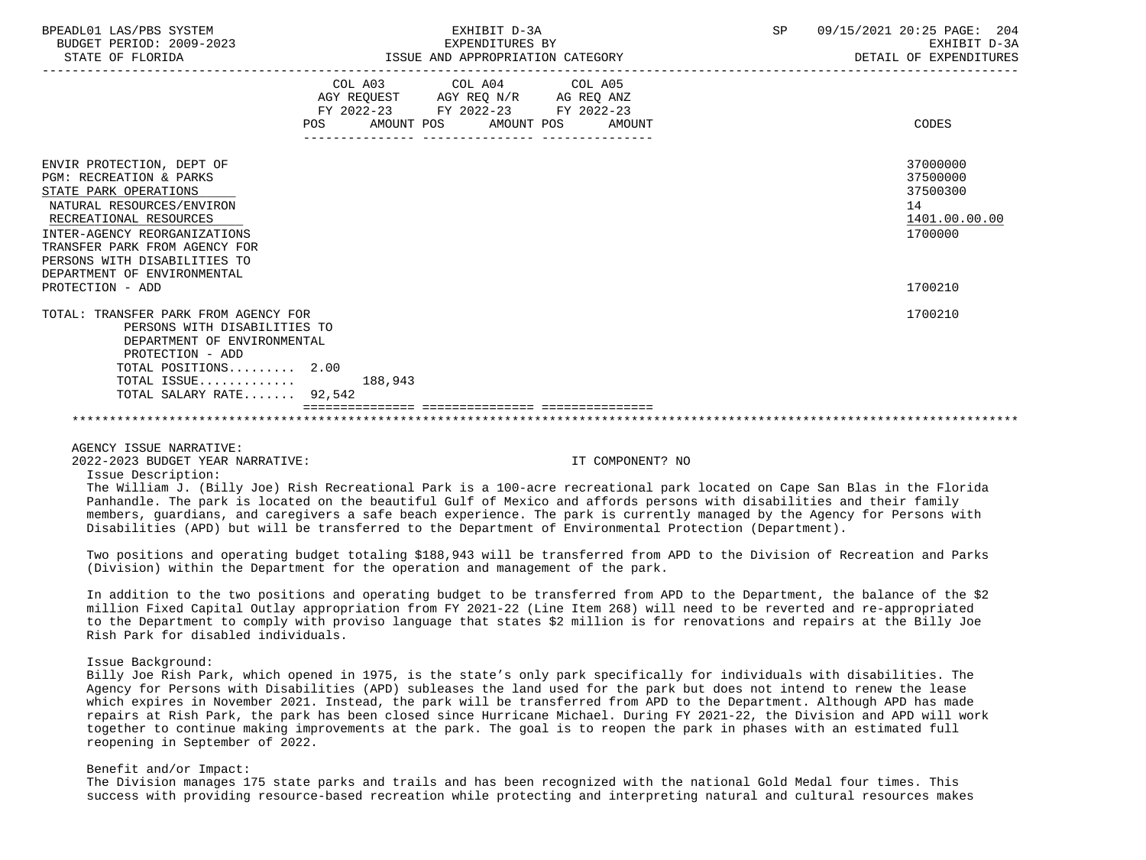| BPEADL01 LAS/PBS SYSTEM<br>BUDGET PERIOD: 2009-2023<br>STATE OF FLORIDA                                                                                                                                                                                                         | EXHIBIT D-3A<br>EXPENDITURES BY<br>EXPENDITURES BI<br>ISSUE AND APPROPRIATION CATEGORY                                         | SP     | 09/15/2021 20:25 PAGE: 204<br>EXHIBIT D-3A<br>DETAIL OF EXPENDITURES |                                                                    |
|---------------------------------------------------------------------------------------------------------------------------------------------------------------------------------------------------------------------------------------------------------------------------------|--------------------------------------------------------------------------------------------------------------------------------|--------|----------------------------------------------------------------------|--------------------------------------------------------------------|
|                                                                                                                                                                                                                                                                                 | COL A03 COL A04 COL A05<br>AGY REQUEST AGY REQ N/R AG REQ ANZ<br>FY 2022-23 FY 2022-23 FY 2022-23<br>POS AMOUNT POS AMOUNT POS | AMOUNT |                                                                      | CODES                                                              |
| ENVIR PROTECTION, DEPT OF<br><b>PGM: RECREATION &amp; PARKS</b><br>STATE PARK OPERATIONS<br>NATURAL RESOURCES/ENVIRON<br>RECREATIONAL RESOURCES<br>INTER-AGENCY REORGANIZATIONS<br>TRANSFER PARK FROM AGENCY FOR<br>PERSONS WITH DISABILITIES TO<br>DEPARTMENT OF ENVIRONMENTAL |                                                                                                                                |        |                                                                      | 37000000<br>37500000<br>37500300<br>14<br>1401.00.00.00<br>1700000 |
| PROTECTION - ADD                                                                                                                                                                                                                                                                |                                                                                                                                |        |                                                                      | 1700210                                                            |
| TOTAL: TRANSFER PARK FROM AGENCY FOR<br>PERSONS WITH DISABILITIES TO<br>DEPARTMENT OF ENVIRONMENTAL<br>PROTECTION - ADD<br>TOTAL POSITIONS 2.00                                                                                                                                 |                                                                                                                                |        |                                                                      | 1700210                                                            |
| $\texttt{TOTAL}$ $\texttt{ISSUE} \dots \dots \dots \dots \dots \qquad \texttt{188.943}$<br>TOTAL SALARY RATE 92,542                                                                                                                                                             |                                                                                                                                |        |                                                                      |                                                                    |
|                                                                                                                                                                                                                                                                                 |                                                                                                                                |        |                                                                      |                                                                    |

AGENCY ISSUE NARRATIVE:

2022-2023 BUDGET YEAR NARRATIVE: IT COMPONENT? NO

Issue Description:

 The William J. (Billy Joe) Rish Recreational Park is a 100-acre recreational park located on Cape San Blas in the Florida Panhandle. The park is located on the beautiful Gulf of Mexico and affords persons with disabilities and their family members, guardians, and caregivers a safe beach experience. The park is currently managed by the Agency for Persons with Disabilities (APD) but will be transferred to the Department of Environmental Protection (Department).

 Two positions and operating budget totaling \$188,943 will be transferred from APD to the Division of Recreation and Parks (Division) within the Department for the operation and management of the park.

 In addition to the two positions and operating budget to be transferred from APD to the Department, the balance of the \$2 million Fixed Capital Outlay appropriation from FY 2021-22 (Line Item 268) will need to be reverted and re-appropriated to the Department to comply with proviso language that states \$2 million is for renovations and repairs at the Billy Joe Rish Park for disabled individuals.

## Issue Background:

 Billy Joe Rish Park, which opened in 1975, is the state's only park specifically for individuals with disabilities. The Agency for Persons with Disabilities (APD) subleases the land used for the park but does not intend to renew the lease which expires in November 2021. Instead, the park will be transferred from APD to the Department. Although APD has made repairs at Rish Park, the park has been closed since Hurricane Michael. During FY 2021-22, the Division and APD will work together to continue making improvements at the park. The goal is to reopen the park in phases with an estimated full reopening in September of 2022.

## Benefit and/or Impact:

 The Division manages 175 state parks and trails and has been recognized with the national Gold Medal four times. This success with providing resource-based recreation while protecting and interpreting natural and cultural resources makes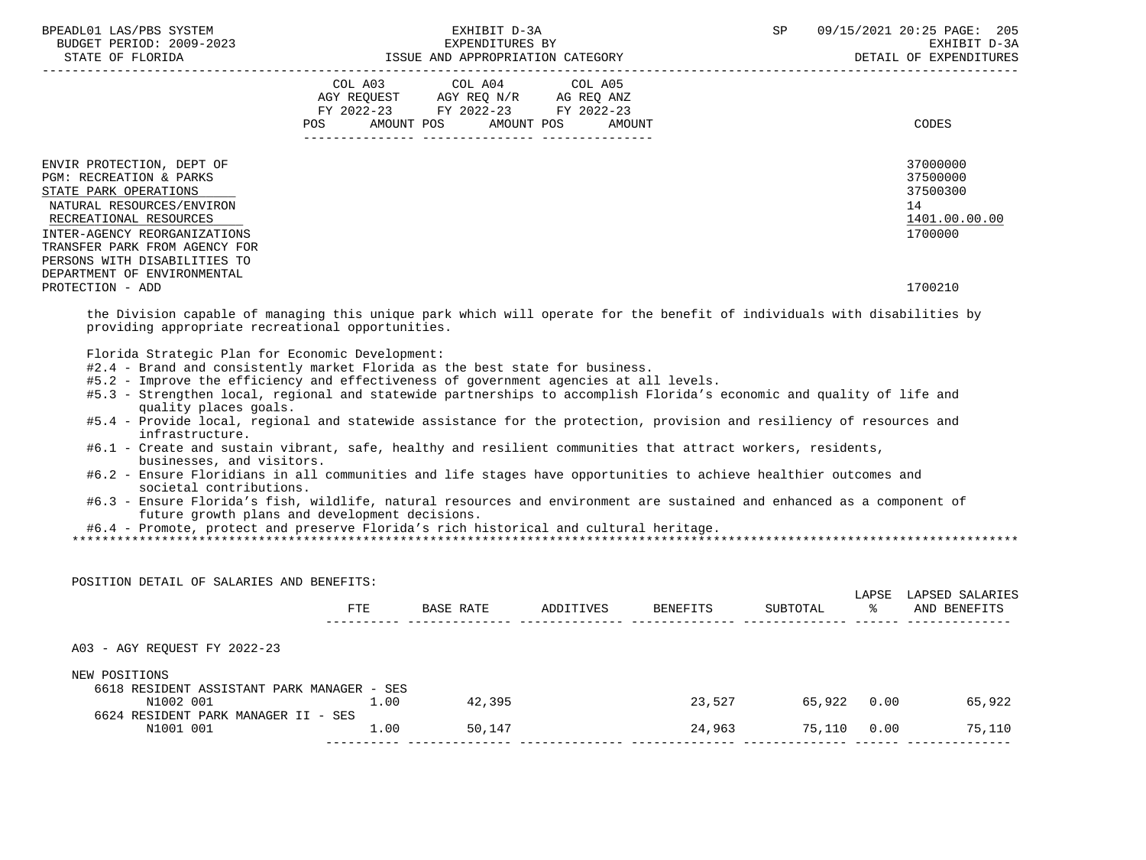| BPEADL01 LAS/PBS SYSTEM<br>BUDGET PERIOD: 2009-2023<br>STATE OF FLORIDA                                                                                                                                          | EXHIBIT D-3A<br>EXPENDITURES BY<br>ISSUE AND APPROPRIATION CATEGORY                                                                                                              | SP<br>09/15/2021 20:25 PAGE: 205<br>EXHIBIT D-3A<br>DETAIL OF EXPENDITURES |
|------------------------------------------------------------------------------------------------------------------------------------------------------------------------------------------------------------------|----------------------------------------------------------------------------------------------------------------------------------------------------------------------------------|----------------------------------------------------------------------------|
|                                                                                                                                                                                                                  | COL A03 COL A04 COL A05<br>AGY REQUEST AGY REQ N/R AG REQ ANZ<br>FY 2022-23 FY 2022-23 FY 2022-23<br>AMOUNT POS AMOUNT POS AMOUNT<br>POS FOR<br>--------------- ---------------- | CODES                                                                      |
| ENVIR PROTECTION, DEPT OF<br><b>PGM: RECREATION &amp; PARKS</b><br>STATE PARK OPERATIONS<br>NATURAL RESOURCES/ENVIRON<br>RECREATIONAL RESOURCES<br>INTER-AGENCY REORGANIZATIONS<br>TRANSFER PARK FROM AGENCY FOR |                                                                                                                                                                                  | 37000000<br>37500000<br>37500300<br>14<br>1401.00.00.00<br>1700000         |
| PERSONS WITH DISABILITIES TO<br>DEPARTMENT OF ENVIRONMENTAL<br>PROTECTION - ADD                                                                                                                                  |                                                                                                                                                                                  | 1700210                                                                    |

 the Division capable of managing this unique park which will operate for the benefit of individuals with disabilities by providing appropriate recreational opportunities.

Florida Strategic Plan for Economic Development:

- #2.4 Brand and consistently market Florida as the best state for business.
- #5.2 Improve the efficiency and effectiveness of government agencies at all levels.
- #5.3 Strengthen local, regional and statewide partnerships to accomplish Florida's economic and quality of life and quality places goals.
- #5.4 Provide local, regional and statewide assistance for the protection, provision and resiliency of resources and infrastructure.
- #6.1 Create and sustain vibrant, safe, healthy and resilient communities that attract workers, residents, businesses, and visitors.
- #6.2 Ensure Floridians in all communities and life stages have opportunities to achieve healthier outcomes and societal contributions.
- #6.3 Ensure Florida's fish, wildlife, natural resources and environment are sustained and enhanced as a component of future growth plans and development decisions.

#6.4 - Promote, protect and preserve Florida's rich historical and cultural heritage.

\*\*\*\*\*\*\*\*\*\*\*\*\*\*\*\*\*\*\*\*\*\*\*\*\*\*\*\*\*\*\*\*\*\*\*\*\*\*\*\*\*\*\*\*\*\*\*\*\*\*\*\*\*\*\*\*\*\*\*\*\*\*\*\*\*\*\*\*\*\*\*\*\*\*\*\*\*\*\*\*\*\*\*\*\*\*\*\*\*\*\*\*\*\*\*\*\*\*\*\*\*\*\*\*\*\*\*\*\*\*\*\*\*\*\*\*\*\*\*\*\*\*\*\*\*\*\*

| POSITION DETAIL OF SALARIES AND BENEFITS:  |      |           |           |          |          |             |                                 |
|--------------------------------------------|------|-----------|-----------|----------|----------|-------------|---------------------------------|
| <b>FTE</b>                                 |      | BASE RATE | ADDITIVES | BENEFITS | SUBTOTAL | LAPSE<br>ႜႜ | LAPSED SALARIES<br>AND BENEFITS |
| A03 - AGY REOUEST FY 2022-23               |      |           |           |          |          |             |                                 |
| NEW POSITIONS                              |      |           |           |          |          |             |                                 |
| 6618 RESIDENT ASSISTANT PARK MANAGER - SES |      |           |           |          |          |             |                                 |
| N1002 001                                  | 1.00 | 42,395    |           | 23,527   | 65,922   | 0.00        | 65,922                          |
| 6624 RESIDENT PARK MANAGER II - SES        |      |           |           |          |          |             |                                 |
| N1001 001                                  | 1.00 | 50,147    |           | 24,963   | 75,110   | 0.00        | 75,110                          |
|                                            |      |           |           |          |          |             |                                 |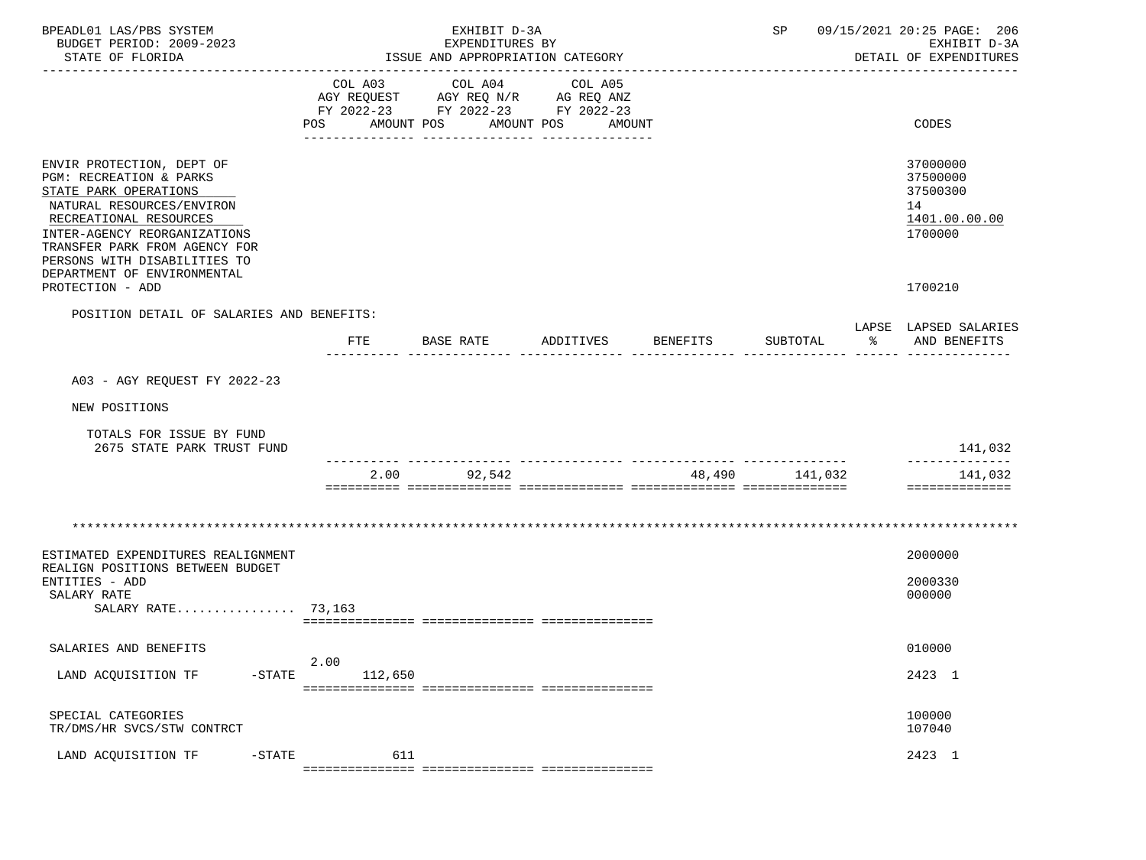| BPEADL01 LAS/PBS SYSTEM<br>BUDGET PERIOD: 2009-2023<br>STATE OF FLORIDA                                                                                                                                                                                              |                 | EXHIBIT D-3A<br>EXPENDITURES BY<br>ISSUE AND APPROPRIATION CATEGORY                             |                                 |                 | SP             |                | 09/15/2021 20:25 PAGE: 206<br>EXHIBIT D-3A<br>DETAIL OF EXPENDITURES |
|----------------------------------------------------------------------------------------------------------------------------------------------------------------------------------------------------------------------------------------------------------------------|-----------------|-------------------------------------------------------------------------------------------------|---------------------------------|-----------------|----------------|----------------|----------------------------------------------------------------------|
|                                                                                                                                                                                                                                                                      | COL A03<br>POS  | COL A04<br>AGY REQUEST AGY REQ N/R AG REQ ANZ<br>FY 2022-23 FY 2022-23 FY 2022-23<br>AMOUNT POS | COL A05<br>AMOUNT POS<br>AMOUNT |                 |                |                | CODES                                                                |
|                                                                                                                                                                                                                                                                      |                 |                                                                                                 |                                 |                 |                |                |                                                                      |
| ENVIR PROTECTION, DEPT OF<br>PGM: RECREATION & PARKS<br>STATE PARK OPERATIONS<br>NATURAL RESOURCES/ENVIRON<br>RECREATIONAL RESOURCES<br>INTER-AGENCY REORGANIZATIONS<br>TRANSFER PARK FROM AGENCY FOR<br>PERSONS WITH DISABILITIES TO<br>DEPARTMENT OF ENVIRONMENTAL |                 |                                                                                                 |                                 |                 |                |                | 37000000<br>37500000<br>37500300<br>14<br>1401.00.00.00<br>1700000   |
| PROTECTION - ADD                                                                                                                                                                                                                                                     |                 |                                                                                                 |                                 |                 |                |                | 1700210                                                              |
| POSITION DETAIL OF SALARIES AND BENEFITS:                                                                                                                                                                                                                            |                 |                                                                                                 |                                 |                 |                |                |                                                                      |
|                                                                                                                                                                                                                                                                      | FTE             | BASE RATE                                                                                       | ADDITIVES                       | <b>BENEFITS</b> | SUBTOTAL       | <u>. 영어 19</u> | LAPSE LAPSED SALARIES<br>AND BENEFITS                                |
|                                                                                                                                                                                                                                                                      |                 |                                                                                                 |                                 |                 |                |                |                                                                      |
| A03 - AGY REOUEST FY 2022-23                                                                                                                                                                                                                                         |                 |                                                                                                 |                                 |                 |                |                |                                                                      |
| NEW POSITIONS                                                                                                                                                                                                                                                        |                 |                                                                                                 |                                 |                 |                |                |                                                                      |
| TOTALS FOR ISSUE BY FUND<br>2675 STATE PARK TRUST FUND                                                                                                                                                                                                               |                 |                                                                                                 |                                 |                 |                |                | 141,032                                                              |
|                                                                                                                                                                                                                                                                      |                 | 92,542<br>2.00                                                                                  |                                 |                 | 48,490 141,032 |                | 141,032<br>==============                                            |
|                                                                                                                                                                                                                                                                      |                 |                                                                                                 |                                 |                 |                |                |                                                                      |
| ESTIMATED EXPENDITURES REALIGNMENT<br>REALIGN POSITIONS BETWEEN BUDGET                                                                                                                                                                                               |                 |                                                                                                 |                                 |                 |                |                | 2000000                                                              |
| ENTITIES - ADD<br>SALARY RATE                                                                                                                                                                                                                                        |                 |                                                                                                 |                                 |                 |                |                | 2000330<br>000000                                                    |
| SALARY RATE 73,163                                                                                                                                                                                                                                                   |                 |                                                                                                 |                                 |                 |                |                |                                                                      |
| SALARIES AND BENEFITS                                                                                                                                                                                                                                                |                 |                                                                                                 |                                 |                 |                |                | 010000                                                               |
| LAND ACQUISITION TF<br>$-$ STATE                                                                                                                                                                                                                                     | 2.00<br>112,650 |                                                                                                 |                                 |                 |                |                | 2423 1                                                               |
| SPECIAL CATEGORIES<br>TR/DMS/HR SVCS/STW CONTRCT                                                                                                                                                                                                                     |                 |                                                                                                 |                                 |                 |                |                | 100000<br>107040                                                     |
| LAND ACQUISITION TF<br>$-$ STATE                                                                                                                                                                                                                                     |                 | 611                                                                                             |                                 |                 |                |                | 2423 1                                                               |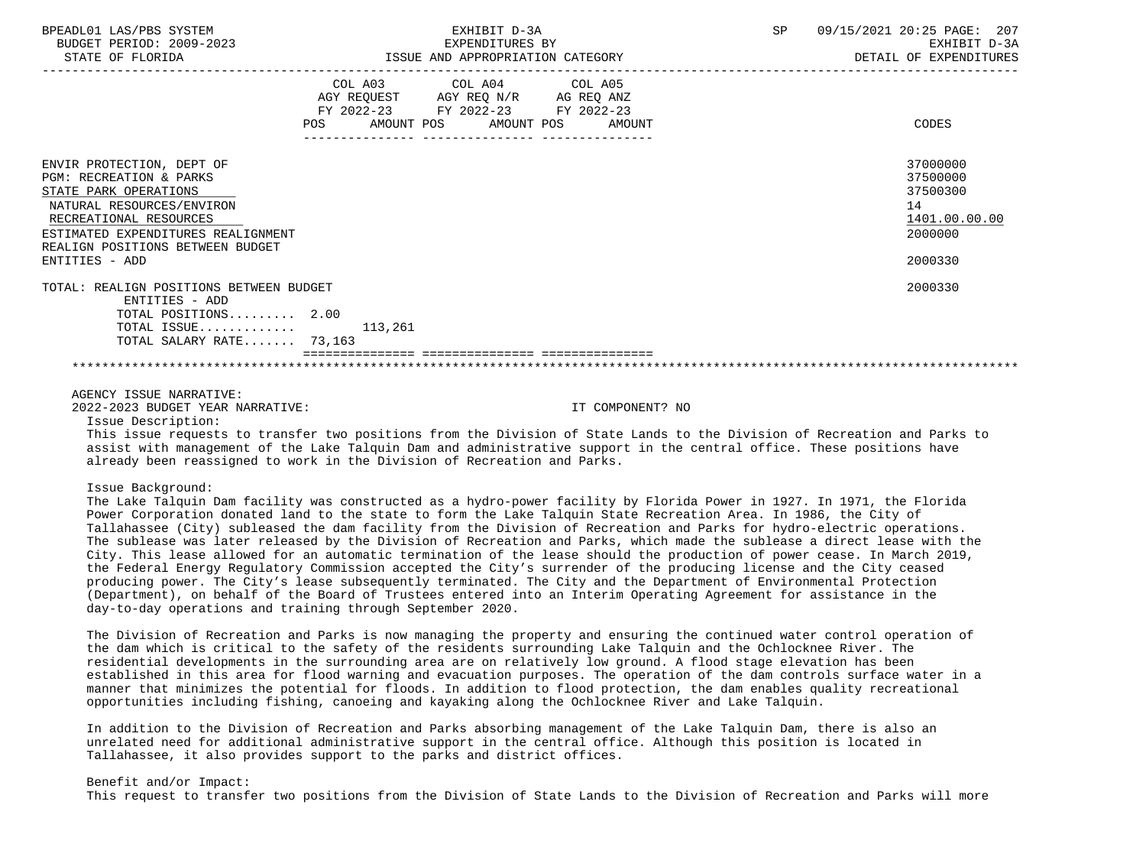| BPEADL01 LAS/PBS SYSTEM<br>BUDGET PERIOD: 2009-2023<br>STATE OF FLORIDA                                                                                                                                                                     | EXHIBIT D-3A<br>EXPENDITURES BY<br>ISSUE AND APPROPRIATION CATEGORY                                                               | 09/15/2021 20:25 PAGE: 207<br>SP<br>EXHIBIT D-3A<br>DETAIL OF EXPENDITURES    |
|---------------------------------------------------------------------------------------------------------------------------------------------------------------------------------------------------------------------------------------------|-----------------------------------------------------------------------------------------------------------------------------------|-------------------------------------------------------------------------------|
|                                                                                                                                                                                                                                             | COL A03 COL A04 COL A05<br>AGY REQUEST AGY REQ N/R AG REQ ANZ<br>FY 2022-23 FY 2022-23 FY 2022-23<br>AMOUNT POS AMOUNT POS AMOUNT | CODES                                                                         |
| ENVIR PROTECTION, DEPT OF<br><b>PGM: RECREATION &amp; PARKS</b><br>STATE PARK OPERATIONS<br>NATURAL RESOURCES/ENVIRON<br>RECREATIONAL RESOURCES<br>ESTIMATED EXPENDITURES REALIGNMENT<br>REALIGN POSITIONS BETWEEN BUDGET<br>ENTITIES - ADD |                                                                                                                                   | 37000000<br>37500000<br>37500300<br>14<br>1401.00.00.00<br>2000000<br>2000330 |
| TOTAL: REALIGN POSITIONS BETWEEN BUDGET<br>ENTITIES - ADD<br>TOTAL POSITIONS 2.00<br>TOTAL ISSUE $113,261$<br>TOTAL SALARY RATE 73,163                                                                                                      |                                                                                                                                   | 2000330                                                                       |
| AGENCY ISSUE NARRATIVE:                                                                                                                                                                                                                     |                                                                                                                                   |                                                                               |

2022-2023 BUDGET YEAR NARRATIVE: IT COMPONENT? NO

Issue Description:

 This issue requests to transfer two positions from the Division of State Lands to the Division of Recreation and Parks to assist with management of the Lake Talquin Dam and administrative support in the central office. These positions have already been reassigned to work in the Division of Recreation and Parks.

Issue Background:

 The Lake Talquin Dam facility was constructed as a hydro-power facility by Florida Power in 1927. In 1971, the Florida Power Corporation donated land to the state to form the Lake Talquin State Recreation Area. In 1986, the City of Tallahassee (City) subleased the dam facility from the Division of Recreation and Parks for hydro-electric operations. The sublease was later released by the Division of Recreation and Parks, which made the sublease a direct lease with the City. This lease allowed for an automatic termination of the lease should the production of power cease. In March 2019, the Federal Energy Regulatory Commission accepted the City's surrender of the producing license and the City ceased producing power. The City's lease subsequently terminated. The City and the Department of Environmental Protection (Department), on behalf of the Board of Trustees entered into an Interim Operating Agreement for assistance in the day-to-day operations and training through September 2020.

 The Division of Recreation and Parks is now managing the property and ensuring the continued water control operation of the dam which is critical to the safety of the residents surrounding Lake Talquin and the Ochlocknee River. The residential developments in the surrounding area are on relatively low ground. A flood stage elevation has been established in this area for flood warning and evacuation purposes. The operation of the dam controls surface water in a manner that minimizes the potential for floods. In addition to flood protection, the dam enables quality recreational opportunities including fishing, canoeing and kayaking along the Ochlocknee River and Lake Talquin.

 In addition to the Division of Recreation and Parks absorbing management of the Lake Talquin Dam, there is also an unrelated need for additional administrative support in the central office. Although this position is located in Tallahassee, it also provides support to the parks and district offices.

 Benefit and/or Impact: This request to transfer two positions from the Division of State Lands to the Division of Recreation and Parks will more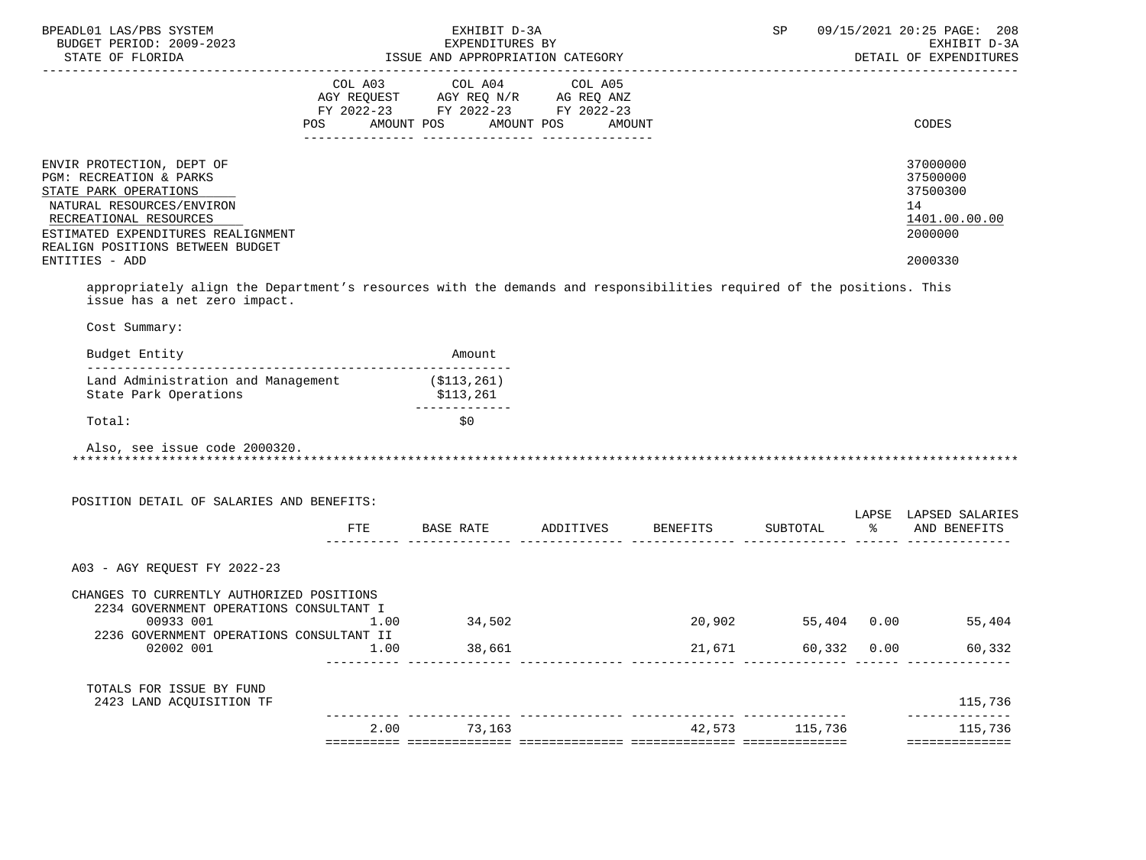| BPEADL01 LAS/PBS SYSTEM<br>BUDGET PERIOD: 2009-2023<br>STATE OF FLORIDA                                                                                                                                                                                                                                                                                  |      | EXHIBIT D-3A<br>EXPENDITURES BY<br>ISSUE AND APPROPRIATION CATEGORY                                                                                                                                                                                                            |        |        | SP                 |      | 09/15/2021 20:25 PAGE: 208<br>EXHIBIT D-3A<br>DETAIL OF EXPENDITURES          |
|----------------------------------------------------------------------------------------------------------------------------------------------------------------------------------------------------------------------------------------------------------------------------------------------------------------------------------------------------------|------|--------------------------------------------------------------------------------------------------------------------------------------------------------------------------------------------------------------------------------------------------------------------------------|--------|--------|--------------------|------|-------------------------------------------------------------------------------|
|                                                                                                                                                                                                                                                                                                                                                          |      | $\begin{tabular}{lllllllllll} COL & A03 & \multicolumn{2}{l}COL & A04 & \multicolumn{2}{l}COL & A05 \\ AGY & REQUEST & \multicolumn{2}{l}AGY & REQ & N/R & \multicolumn{2}{l}AG & REQ & ANZ \\ \end{tabular}$<br>FY 2022-23 FY 2022-23 FY 2022-23<br>POS AMOUNT POS AMOUNT POS | AMOUNT |        |                    |      | CODES                                                                         |
| ENVIR PROTECTION, DEPT OF<br>PGM: RECREATION & PARKS<br>STATE PARK OPERATIONS<br>NATURAL RESOURCES/ENVIRON<br>RECREATIONAL RESOURCES<br>ESTIMATED EXPENDITURES REALIGNMENT<br>REALIGN POSITIONS BETWEEN BUDGET<br>ENTITIES - ADD<br>appropriately align the Department's resources with the demands and responsibilities required of the positions. This |      |                                                                                                                                                                                                                                                                                |        |        |                    |      | 37000000<br>37500000<br>37500300<br>14<br>1401.00.00.00<br>2000000<br>2000330 |
| issue has a net zero impact.<br>Cost Summary:                                                                                                                                                                                                                                                                                                            |      |                                                                                                                                                                                                                                                                                |        |        |                    |      |                                                                               |
| Budget Entity                                                                                                                                                                                                                                                                                                                                            |      | Amount                                                                                                                                                                                                                                                                         |        |        |                    |      |                                                                               |
| Land Administration and Management<br>State Park Operations                                                                                                                                                                                                                                                                                              |      | ( \$113, 261)<br>\$113,261                                                                                                                                                                                                                                                     |        |        |                    |      |                                                                               |
| Total:                                                                                                                                                                                                                                                                                                                                                   |      | _____________<br>\$0                                                                                                                                                                                                                                                           |        |        |                    |      |                                                                               |
| Also, see issue code 2000320.<br>POSITION DETAIL OF SALARIES AND BENEFITS:                                                                                                                                                                                                                                                                               | FTE  | BASE RATE ADDITIVES BENEFITS                                                                                                                                                                                                                                                   |        |        |                    |      | LAPSE LAPSED SALARIES<br>SUBTOTAL % AND BENEFITS                              |
|                                                                                                                                                                                                                                                                                                                                                          |      |                                                                                                                                                                                                                                                                                |        |        |                    |      |                                                                               |
| A03 - AGY REQUEST FY 2022-23                                                                                                                                                                                                                                                                                                                             |      |                                                                                                                                                                                                                                                                                |        |        |                    |      |                                                                               |
| CHANGES TO CURRENTLY AUTHORIZED POSITIONS<br>2234 GOVERNMENT OPERATIONS CONSULTANT I<br>00933 001<br>2236 GOVERNMENT OPERATIONS CONSULTANT II                                                                                                                                                                                                            | 1.00 | 34,502                                                                                                                                                                                                                                                                         |        |        | 20,902 55,404 0.00 |      | 55,404                                                                        |
| 02002 001                                                                                                                                                                                                                                                                                                                                                | 1.00 | 38,661                                                                                                                                                                                                                                                                         |        | 21,671 | 60,332             | 0.00 | 60,332                                                                        |
| TOTALS FOR ISSUE BY FUND<br>2423 LAND ACQUISITION TF                                                                                                                                                                                                                                                                                                     |      |                                                                                                                                                                                                                                                                                |        |        |                    |      | 115,736                                                                       |
|                                                                                                                                                                                                                                                                                                                                                          | 2.00 | 73,163                                                                                                                                                                                                                                                                         |        | 42,573 | 115,736            |      | ------------<br>115,736                                                       |
|                                                                                                                                                                                                                                                                                                                                                          |      |                                                                                                                                                                                                                                                                                |        |        |                    |      | ==============                                                                |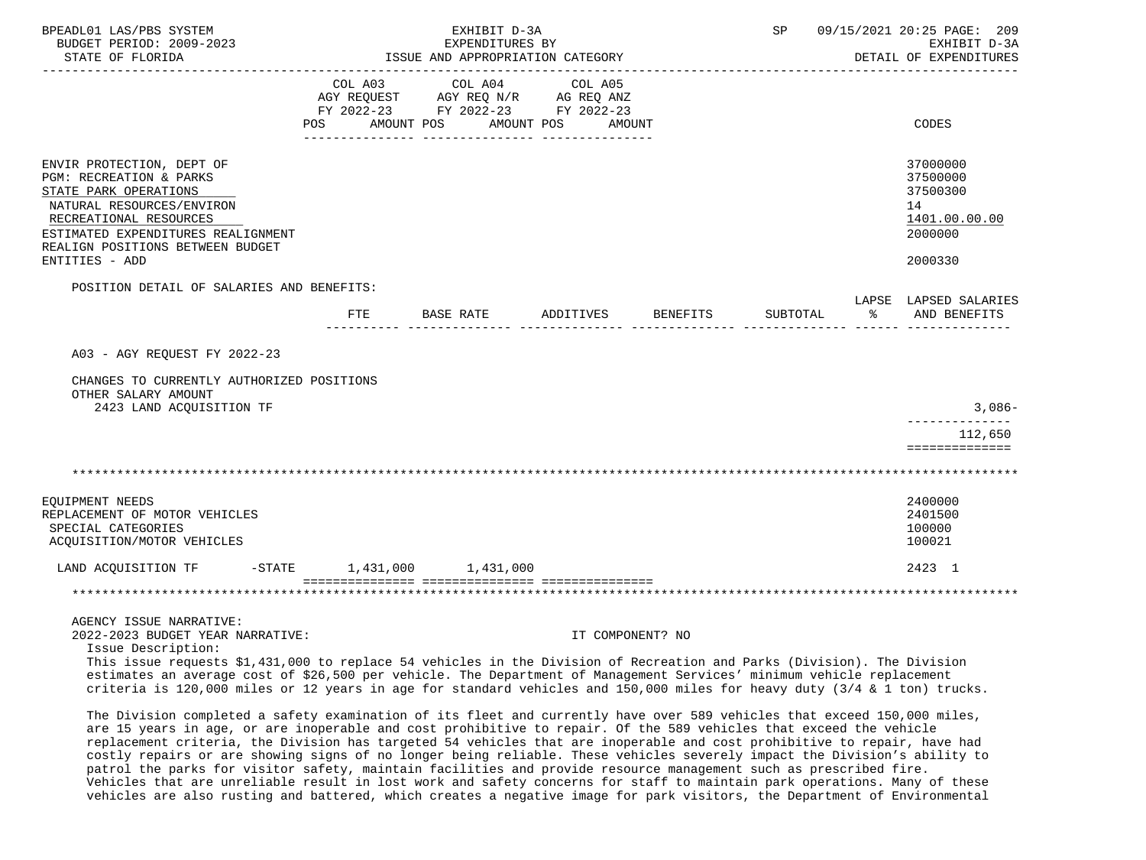| BPEADL01 LAS/PBS SYSTEM<br>BUDGET PERIOD: 2009-2023<br>STATE OF FLORIDA                                                                                                                                                                                                                                                               | ISSUE AND APPROPRIATION CATEGORY | SP                                                                                                              | 09/15/2021 20:25 PAGE: 209<br>EXHIBIT D-3A<br>DETAIL OF EXPENDITURES |  |          |      |                                                                    |
|---------------------------------------------------------------------------------------------------------------------------------------------------------------------------------------------------------------------------------------------------------------------------------------------------------------------------------------|----------------------------------|-----------------------------------------------------------------------------------------------------------------|----------------------------------------------------------------------|--|----------|------|--------------------------------------------------------------------|
|                                                                                                                                                                                                                                                                                                                                       | <b>POS</b>                       | COL A03 COL A04 COL A05<br>AGY REQUEST AGY REQ N/R AG REQ ANZ<br>FY 2022-23 FY 2022-23 FY 2022-23<br>AMOUNT POS | AMOUNT POS<br>AMOUNT                                                 |  |          |      | CODES                                                              |
| ENVIR PROTECTION, DEPT OF<br>PGM: RECREATION & PARKS<br>STATE PARK OPERATIONS<br>NATURAL RESOURCES/ENVIRON<br>RECREATIONAL RESOURCES<br>ESTIMATED EXPENDITURES REALIGNMENT<br>REALIGN POSITIONS BETWEEN BUDGET                                                                                                                        |                                  |                                                                                                                 |                                                                      |  |          |      | 37000000<br>37500000<br>37500300<br>14<br>1401.00.00.00<br>2000000 |
| ENTITIES - ADD                                                                                                                                                                                                                                                                                                                        |                                  |                                                                                                                 |                                                                      |  |          |      | 2000330                                                            |
| POSITION DETAIL OF SALARIES AND BENEFITS:                                                                                                                                                                                                                                                                                             |                                  |                                                                                                                 |                                                                      |  | SUBTOTAL | - ခု | LAPSE LAPSED SALARIES<br>AND BENEFITS                              |
| A03 - AGY REQUEST FY 2022-23<br>CHANGES TO CURRENTLY AUTHORIZED POSITIONS<br>OTHER SALARY AMOUNT<br>2423 LAND ACQUISITION TF                                                                                                                                                                                                          |                                  |                                                                                                                 |                                                                      |  |          |      | 3,086-<br>_____________                                            |
|                                                                                                                                                                                                                                                                                                                                       |                                  |                                                                                                                 |                                                                      |  |          |      | 112,650<br>==============                                          |
|                                                                                                                                                                                                                                                                                                                                       |                                  |                                                                                                                 |                                                                      |  |          |      |                                                                    |
| EQUIPMENT NEEDS<br>REPLACEMENT OF MOTOR VEHICLES<br>SPECIAL CATEGORIES<br>ACQUISITION/MOTOR VEHICLES                                                                                                                                                                                                                                  |                                  |                                                                                                                 |                                                                      |  |          |      | 2400000<br>2401500<br>100000<br>100021                             |
| LAND ACQUISITION TF                                                                                                                                                                                                                                                                                                                   |                                  | $-STATE$ 1,431,000 1,431,000                                                                                    |                                                                      |  |          |      | 2423 1                                                             |
|                                                                                                                                                                                                                                                                                                                                       |                                  |                                                                                                                 |                                                                      |  |          |      |                                                                    |
| AGENCY ISSUE NARRATIVE:<br>2022-2023 BUDGET YEAR NARRATIVE:<br>Issue Description:<br>This issue requests \$1,431,000 to replace 54 vehicles in the Division of Recreation and Parks (Division). The Division<br>estimates an average cost of \$26,500 per vehicle. The Department of Management Services' minimum vehicle replacement |                                  |                                                                                                                 | IT COMPONENT? NO                                                     |  |          |      |                                                                    |
| criteria is 120,000 miles or 12 years in age for standard vehicles and 150,000 miles for heavy duty (3/4 & 1 ton) trucks.<br>The Division completed a safety examination of its fleet and currently have over 589 vehicles that exceed 150,000 miles,                                                                                 |                                  |                                                                                                                 |                                                                      |  |          |      |                                                                    |
| are 15 years in age, or are inoperable and cost prohibitive to repair. Of the 589 vehicles that exceed the vehicle                                                                                                                                                                                                                    |                                  |                                                                                                                 |                                                                      |  |          |      |                                                                    |

 replacement criteria, the Division has targeted 54 vehicles that are inoperable and cost prohibitive to repair, have had costly repairs or are showing signs of no longer being reliable. These vehicles severely impact the Division's ability to patrol the parks for visitor safety, maintain facilities and provide resource management such as prescribed fire. Vehicles that are unreliable result in lost work and safety concerns for staff to maintain park operations. Many of these vehicles are also rusting and battered, which creates a negative image for park visitors, the Department of Environmental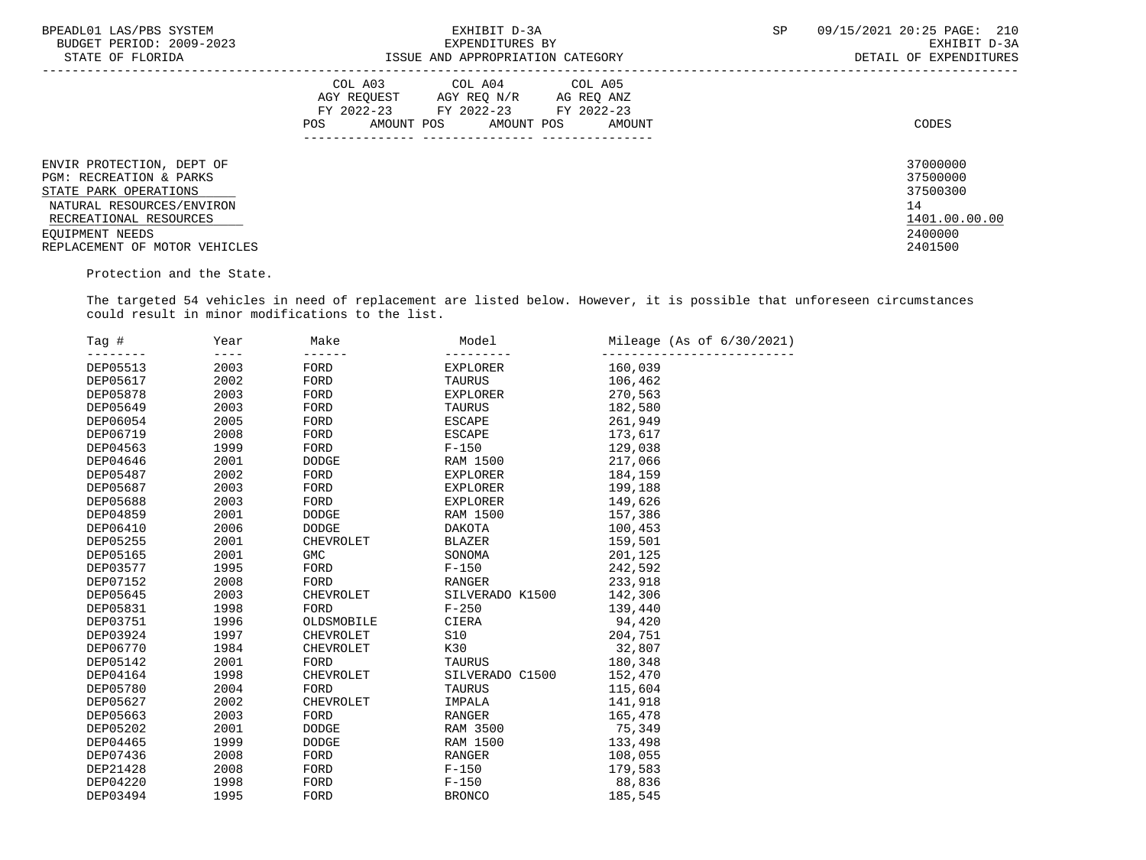| BPEADL01 LAS/PBS SYSTEM       | EXHIBIT D-3A                              | SP<br>09/15/2021 20:25 PAGE: 210 |
|-------------------------------|-------------------------------------------|----------------------------------|
| BUDGET PERIOD: 2009-2023      | EXPENDITURES BY                           | EXHIBIT D-3A                     |
| STATE OF FLORIDA              | ISSUE AND APPROPRIATION CATEGORY          | DETAIL OF EXPENDITURES           |
|                               | COL A03 COL A04 COL A05                   |                                  |
|                               | AGY REOUEST<br>AGY REO N/R<br>AG REO ANZ  |                                  |
|                               | FY 2022-23 FY 2022-23 FY 2022-23          |                                  |
|                               | AMOUNT POS<br>AMOUNT POS<br>AMOUNT<br>POS | CODES                            |
|                               |                                           |                                  |
|                               |                                           |                                  |
| ENVIR PROTECTION, DEPT OF     |                                           | 37000000                         |
| PGM: RECREATION & PARKS       |                                           | 37500000                         |
| STATE PARK OPERATIONS         |                                           | 37500300                         |
| NATURAL RESOURCES/ENVIRON     |                                           | 14                               |
| RECREATIONAL RESOURCES        |                                           | 1401.00.00.00                    |
| EOUIPMENT NEEDS               |                                           | 2400000                          |
| REPLACEMENT OF MOTOR VEHICLES |                                           | 2401500                          |

Protection and the State.

 The targeted 54 vehicles in need of replacement are listed below. However, it is possible that unforeseen circumstances could result in minor modifications to the list.

| Tag #           | Year | Make             | Model           | Mileage (As of $6/30/2021$ ) |
|-----------------|------|------------------|-----------------|------------------------------|
| DEP05513        | 2003 | FORD             | <b>EXPLORER</b> | 160,039                      |
| DEP05617        | 2002 | FORD             | <b>TAURUS</b>   | 106,462                      |
| DEP05878        | 2003 | FORD             | <b>EXPLORER</b> | 270,563                      |
| DEP05649        | 2003 | FORD             | <b>TAURUS</b>   | 182,580                      |
| DEP06054        | 2005 | FORD             | <b>ESCAPE</b>   | 261,949                      |
| DEP06719        | 2008 | FORD             | <b>ESCAPE</b>   | 173,617                      |
| DEP04563        | 1999 | FORD             | $F-150$         | 129,038                      |
| DEP04646        | 2001 | DODGE            | RAM 1500        | 217,066                      |
| DEP05487        | 2002 | FORD             | EXPLORER        | 184,159                      |
| DEP05687        | 2003 | FORD             | <b>EXPLORER</b> | 199,188                      |
| DEP05688        | 2003 | FORD             | EXPLORER        | 149,626                      |
| DEP04859        | 2001 | <b>DODGE</b>     | <b>RAM 1500</b> | 157,386                      |
| DEP06410        | 2006 | <b>DODGE</b>     | DAKOTA          | 100,453                      |
| DEP05255        | 2001 | CHEVROLET        | <b>BLAZER</b>   | 159,501                      |
| DEP05165        | 2001 | <b>GMC</b>       | SONOMA          | 201,125                      |
| DEP03577        | 1995 | FORD             | $F-150$         | 242,592                      |
| DEP07152        | 2008 | FORD             | RANGER          | 233,918                      |
| DEP05645        | 2003 | <b>CHEVROLET</b> | SILVERADO K1500 | 142,306                      |
| DEP05831        | 1998 | FORD             | $F - 250$       | 139,440                      |
| DEP03751        | 1996 | OLDSMOBILE       | CIERA           | 94,420                       |
| DEP03924        | 1997 | <b>CHEVROLET</b> | S10             | 204,751                      |
| DEP06770        | 1984 | CHEVROLET        | K30             | 32,807                       |
| DEP05142        | 2001 | FORD             | TAURUS          | 180,348                      |
| DEP04164        | 1998 | <b>CHEVROLET</b> | SILVERADO C1500 | 152,470                      |
| DEP05780        | 2004 | FORD             | <b>TAURUS</b>   | 115,604                      |
| DEP05627        | 2002 | CHEVROLET        | IMPALA          | 141,918                      |
| DEP05663        | 2003 | FORD             | RANGER          | 165,478                      |
| <b>DEP05202</b> | 2001 | <b>DODGE</b>     | RAM 3500        | 75,349                       |
| DEP04465        | 1999 | <b>DODGE</b>     | RAM 1500        | 133,498                      |
| DEP07436        | 2008 | FORD             | <b>RANGER</b>   | 108,055                      |
| DEP21428        | 2008 | FORD             | $F-150$         | 179,583                      |
| <b>DEP04220</b> | 1998 | FORD             | $F-150$         | 88,836                       |
| DEP03494        | 1995 | FORD             | <b>BRONCO</b>   | 185,545                      |
|                 |      | $- - - -$        | ------          |                              |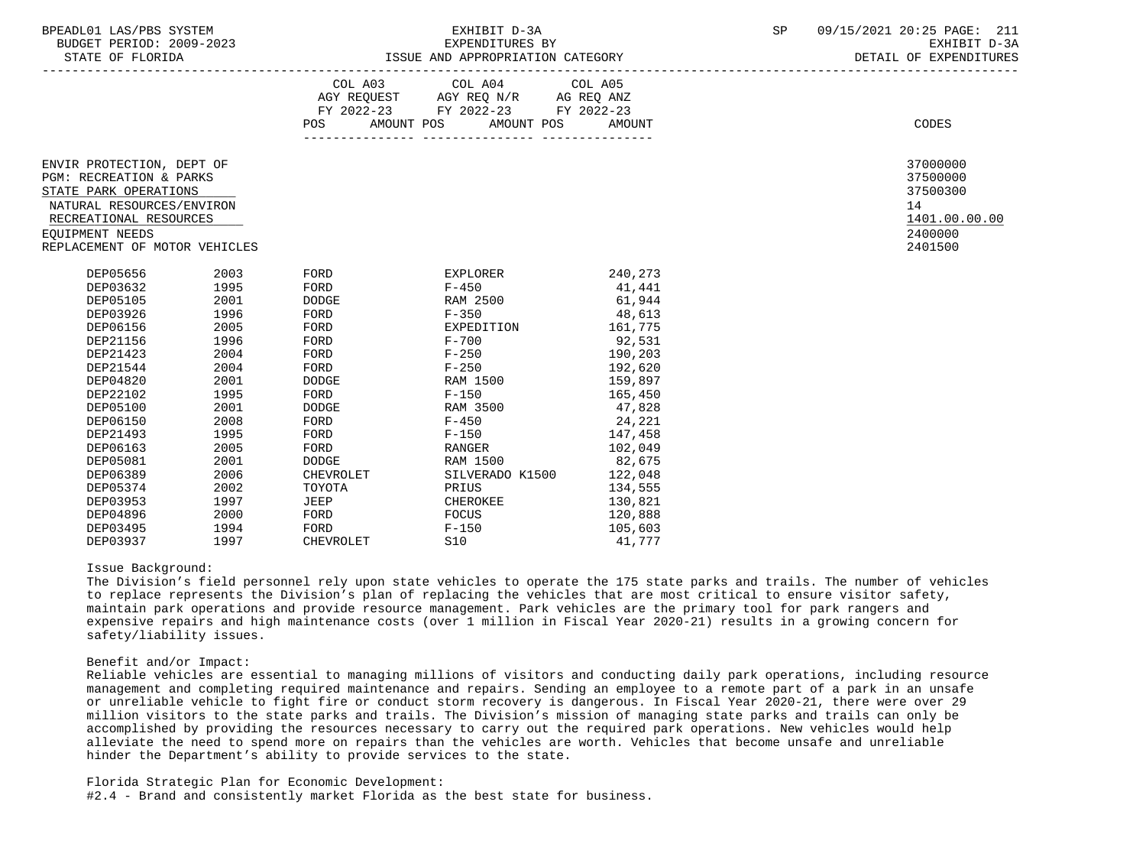| BPEADL01<br>T.A C / DR C<br>/PBS SYSTEM<br>⊥AS7' | EXHIBIT D-3A    | en<br>ء ت | 09/<br>\/15/2021<br>20:25 PAGE: | -999<br>∠⊥⊥           |
|--------------------------------------------------|-----------------|-----------|---------------------------------|-----------------------|
| 2009-2023<br>BUDGET PERIOD:                      | EXPENDITURES BY |           | ---------<br>ы.<br>. ⊥ط⊥⊥⊥∆∟    | $\sim$ $\sim$<br>בת כ |

|                                                                                                                                                                                          |      | POS FOR      | COL A03 COL A04 COL A05<br>AGY REQUEST AGY REQ N/R AG REQ ANZ<br>FY 2022-23 FY 2022-23 FY 2022-23<br>AMOUNT POS AMOUNT POS | AMOUNT  | CODES                                                                         |
|------------------------------------------------------------------------------------------------------------------------------------------------------------------------------------------|------|--------------|----------------------------------------------------------------------------------------------------------------------------|---------|-------------------------------------------------------------------------------|
|                                                                                                                                                                                          |      |              |                                                                                                                            |         |                                                                               |
| ENVIR PROTECTION, DEPT OF<br>PGM: RECREATION & PARKS<br>STATE PARK OPERATIONS<br>NATURAL RESOURCES/ENVIRON<br>RECREATIONAL RESOURCES<br>EQUIPMENT NEEDS<br>REPLACEMENT OF MOTOR VEHICLES |      |              |                                                                                                                            |         | 37000000<br>37500000<br>37500300<br>14<br>1401.00.00.00<br>2400000<br>2401500 |
| DEP05656                                                                                                                                                                                 | 2003 | FORD         | EXPLORER                                                                                                                   | 240,273 |                                                                               |
|                                                                                                                                                                                          |      |              |                                                                                                                            |         |                                                                               |
| DEP03632                                                                                                                                                                                 | 1995 | FORD         | $F - 450$                                                                                                                  | 41,441  |                                                                               |
| DEP05105                                                                                                                                                                                 | 2001 | DODGE        | RAM 2500                                                                                                                   | 61,944  |                                                                               |
| DEP03926                                                                                                                                                                                 | 1996 | FORD         | $F - 350$                                                                                                                  | 48,613  |                                                                               |
| DEP06156                                                                                                                                                                                 | 2005 | FORD         | EXPEDITION                                                                                                                 | 161,775 |                                                                               |
| DEP21156                                                                                                                                                                                 | 1996 | FORD         | $F - 700$                                                                                                                  | 92,531  |                                                                               |
| DEP21423                                                                                                                                                                                 | 2004 | FORD         | $F - 250$                                                                                                                  | 190,203 |                                                                               |
| DEP21544                                                                                                                                                                                 | 2004 | FORD         | $F - 250$                                                                                                                  | 192,620 |                                                                               |
| DEP04820                                                                                                                                                                                 | 2001 | <b>DODGE</b> | RAM 1500                                                                                                                   | 159,897 |                                                                               |
| DEP22102                                                                                                                                                                                 | 1995 | FORD         | $F - 150$                                                                                                                  | 165,450 |                                                                               |
| DEP05100                                                                                                                                                                                 | 2001 | <b>DODGE</b> | RAM 3500                                                                                                                   | 47,828  |                                                                               |
| DEP06150                                                                                                                                                                                 | 2008 | FORD         | $F - 450$                                                                                                                  | 24,221  |                                                                               |
| DEP21493                                                                                                                                                                                 | 1995 | FORD         | $F - 150$                                                                                                                  | 147,458 |                                                                               |
| DEP06163                                                                                                                                                                                 | 2005 | FORD         | RANGER                                                                                                                     | 102,049 |                                                                               |
| DEP05081                                                                                                                                                                                 | 2001 | DODGE        | RAM 1500                                                                                                                   | 82,675  |                                                                               |
| DEP06389                                                                                                                                                                                 | 2006 | CHEVROLET    | SILVERADO K1500                                                                                                            | 122,048 |                                                                               |
| DEP05374                                                                                                                                                                                 | 2002 | TOYOTA       | PRIUS                                                                                                                      | 134,555 |                                                                               |
| DEP03953                                                                                                                                                                                 | 1997 | JEEP         | CHEROKEE                                                                                                                   | 130,821 |                                                                               |
| DEP04896                                                                                                                                                                                 | 2000 | FORD         | FOCUS                                                                                                                      | 120,888 |                                                                               |
| DEP03495                                                                                                                                                                                 | 1994 | FORD         | $F-150$                                                                                                                    | 105,603 |                                                                               |

### Issue Background:

 The Division's field personnel rely upon state vehicles to operate the 175 state parks and trails. The number of vehicles to replace represents the Division's plan of replacing the vehicles that are most critical to ensure visitor safety, maintain park operations and provide resource management. Park vehicles are the primary tool for park rangers and expensive repairs and high maintenance costs (over 1 million in Fiscal Year 2020-21) results in a growing concern for safety/liability issues.

# Benefit and/or Impact:

 Reliable vehicles are essential to managing millions of visitors and conducting daily park operations, including resource management and completing required maintenance and repairs. Sending an employee to a remote part of a park in an unsafe or unreliable vehicle to fight fire or conduct storm recovery is dangerous. In Fiscal Year 2020-21, there were over 29 million visitors to the state parks and trails. The Division's mission of managing state parks and trails can only be accomplished by providing the resources necessary to carry out the required park operations. New vehicles would help alleviate the need to spend more on repairs than the vehicles are worth. Vehicles that become unsafe and unreliable hinder the Department's ability to provide services to the state.

Florida Strategic Plan for Economic Development:

#2.4 - Brand and consistently market Florida as the best state for business.

DEP03937 1997 CHEVROLET S10 41,777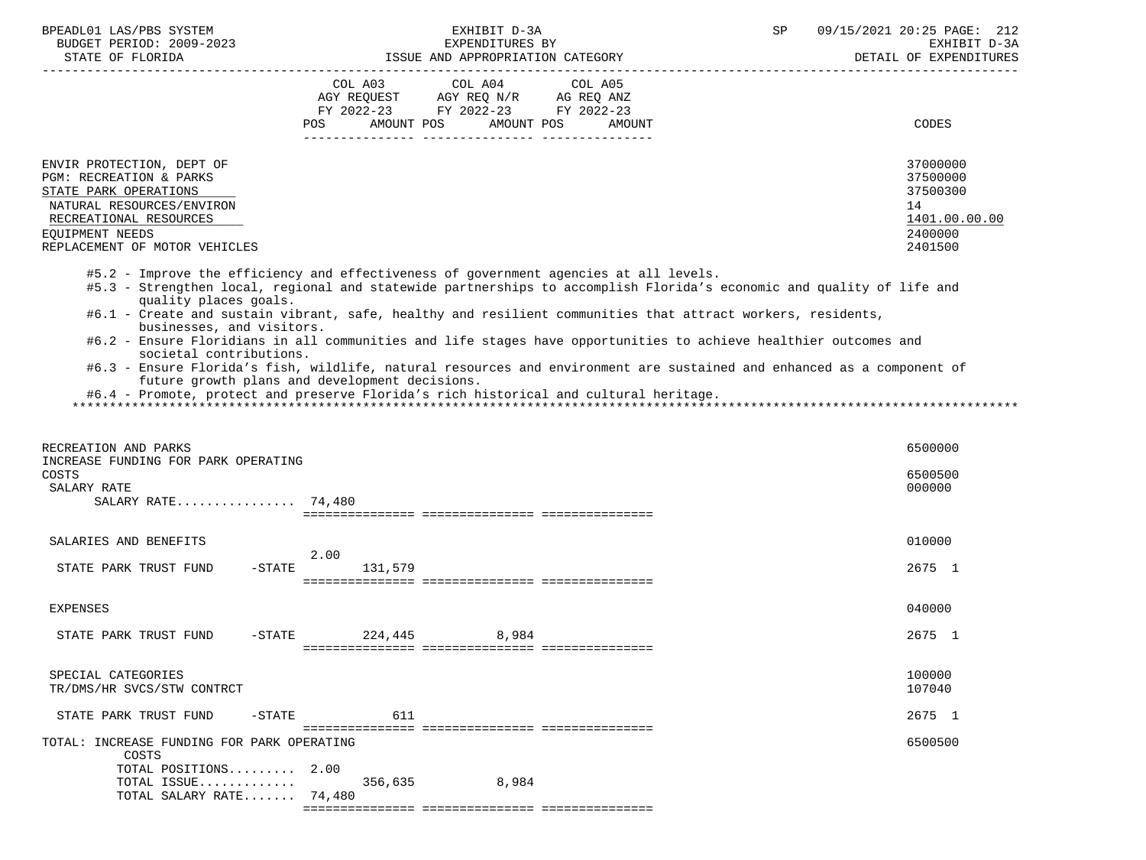| BPEADL01 LAS/PBS SYSTEM                    |                                                | EXHIBIT D-3A                                                                                                | 09/15/2021 20:25 PAGE: 212<br>SP                                                                                       |
|--------------------------------------------|------------------------------------------------|-------------------------------------------------------------------------------------------------------------|------------------------------------------------------------------------------------------------------------------------|
| BUDGET PERIOD: 2009-2023                   |                                                | EXPENDITURES BY                                                                                             | EXHIBIT D-3A                                                                                                           |
| STATE OF FLORIDA                           |                                                | ISSUE AND APPROPRIATION CATEGORY                                                                            | DETAIL OF EXPENDITURES                                                                                                 |
|                                            | COL A03                                        | COL A04<br>COL A05                                                                                          |                                                                                                                        |
|                                            |                                                | AGY REQUEST AGY REQ N/R AG REQ ANZ                                                                          |                                                                                                                        |
|                                            |                                                | FY 2022-23 FY 2022-23 FY 2022-23                                                                            |                                                                                                                        |
|                                            | POS                                            | AMOUNT POS AMOUNT POS<br>AMOUNT                                                                             | CODES                                                                                                                  |
|                                            |                                                |                                                                                                             |                                                                                                                        |
|                                            |                                                |                                                                                                             |                                                                                                                        |
| ENVIR PROTECTION, DEPT OF                  |                                                |                                                                                                             | 37000000                                                                                                               |
| PGM: RECREATION & PARKS                    |                                                |                                                                                                             | 37500000                                                                                                               |
| STATE PARK OPERATIONS                      |                                                |                                                                                                             | 37500300                                                                                                               |
| NATURAL RESOURCES/ENVIRON                  |                                                |                                                                                                             | 14                                                                                                                     |
| RECREATIONAL RESOURCES                     |                                                |                                                                                                             | 1401.00.00.00                                                                                                          |
| EQUIPMENT NEEDS                            |                                                |                                                                                                             | 2400000                                                                                                                |
| REPLACEMENT OF MOTOR VEHICLES              |                                                |                                                                                                             | 2401500                                                                                                                |
|                                            |                                                | #5.2 - Improve the efficiency and effectiveness of government agencies at all levels.                       |                                                                                                                        |
|                                            |                                                |                                                                                                             | #5.3 - Strengthen local, regional and statewide partnerships to accomplish Florida's economic and quality of life and  |
| quality places goals.                      |                                                |                                                                                                             |                                                                                                                        |
|                                            |                                                | #6.1 - Create and sustain vibrant, safe, healthy and resilient communities that attract workers, residents, |                                                                                                                        |
| businesses, and visitors.                  |                                                |                                                                                                             |                                                                                                                        |
|                                            |                                                |                                                                                                             | #6.2 - Ensure Floridians in all communities and life stages have opportunities to achieve healthier outcomes and       |
| societal contributions.                    |                                                |                                                                                                             |                                                                                                                        |
|                                            | future growth plans and development decisions. |                                                                                                             | #6.3 - Ensure Florida's fish, wildlife, natural resources and environment are sustained and enhanced as a component of |
|                                            |                                                | #6.4 - Promote, protect and preserve Florida's rich historical and cultural heritage.                       |                                                                                                                        |
|                                            |                                                |                                                                                                             |                                                                                                                        |
|                                            |                                                |                                                                                                             |                                                                                                                        |
|                                            |                                                |                                                                                                             |                                                                                                                        |
| RECREATION AND PARKS                       |                                                |                                                                                                             | 6500000                                                                                                                |
| INCREASE FUNDING FOR PARK OPERATING        |                                                |                                                                                                             |                                                                                                                        |
| COSTS                                      |                                                |                                                                                                             | 6500500                                                                                                                |
| SALARY RATE                                |                                                |                                                                                                             | 000000                                                                                                                 |
| SALARY RATE 74,480                         |                                                |                                                                                                             |                                                                                                                        |
|                                            |                                                |                                                                                                             |                                                                                                                        |
| SALARIES AND BENEFITS                      |                                                |                                                                                                             | 010000                                                                                                                 |
|                                            | 2.00                                           |                                                                                                             |                                                                                                                        |
| STATE PARK TRUST FUND                      | $-STATE$<br>131,579                            |                                                                                                             | 2675 1                                                                                                                 |
|                                            |                                                |                                                                                                             |                                                                                                                        |
|                                            |                                                |                                                                                                             |                                                                                                                        |
| <b>EXPENSES</b>                            |                                                |                                                                                                             | 040000                                                                                                                 |
|                                            |                                                |                                                                                                             |                                                                                                                        |
| STATE PARK TRUST FUND                      | -STATE 224,445                                 | 8,984                                                                                                       | 2675 1                                                                                                                 |
|                                            |                                                |                                                                                                             |                                                                                                                        |
| SPECIAL CATEGORIES                         |                                                |                                                                                                             | 100000                                                                                                                 |
| TR/DMS/HR SVCS/STW CONTRCT                 |                                                |                                                                                                             | 107040                                                                                                                 |
|                                            |                                                |                                                                                                             |                                                                                                                        |
| STATE PARK TRUST FUND                      | 611<br>$-STATE$                                |                                                                                                             | 2675 1                                                                                                                 |
|                                            |                                                |                                                                                                             |                                                                                                                        |
| TOTAL: INCREASE FUNDING FOR PARK OPERATING |                                                |                                                                                                             | 6500500                                                                                                                |
| COSTS                                      |                                                |                                                                                                             |                                                                                                                        |
| TOTAL POSITIONS                            | 2.00                                           |                                                                                                             |                                                                                                                        |
| TOTAL ISSUE                                | 356,635                                        | 8,984                                                                                                       |                                                                                                                        |
| TOTAL SALARY RATE 74,480                   |                                                |                                                                                                             |                                                                                                                        |
|                                            |                                                |                                                                                                             |                                                                                                                        |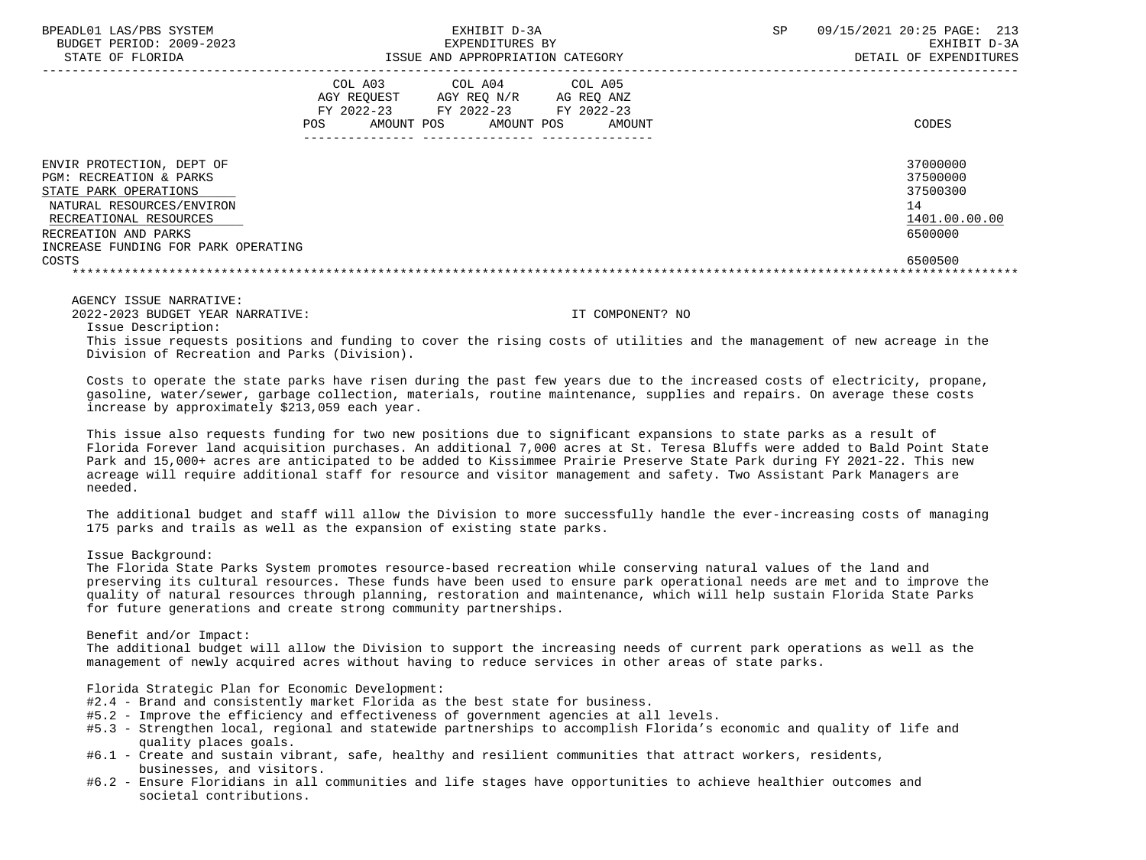| BPEADL01 LAS/PBS SYSTEM<br>BUDGET PERIOD: 2009-2023<br>STATE OF FLORIDA |                                                           | EXHIBIT D-3A<br>EXPENDITURES BY<br>ISSUE AND APPROPRIATION CATEGORY |                                               | <b>SP</b> | 09/15/2021 20:25 PAGE:<br>213<br>EXHIBIT D-3A<br>DETAIL OF EXPENDITURES |
|-------------------------------------------------------------------------|-----------------------------------------------------------|---------------------------------------------------------------------|-----------------------------------------------|-----------|-------------------------------------------------------------------------|
|                                                                         | COL A03<br>AGY REOUEST<br>FY 2022-23<br>POS<br>AMOUNT POS | COL A04<br>AGY REO N/R<br>FY 2022-23<br>AMOUNT POS                  | COL A05<br>AG REO ANZ<br>FY 2022-23<br>AMOUNT |           | CODES                                                                   |
| ENVIR PROTECTION, DEPT OF                                               |                                                           |                                                                     |                                               |           | 37000000                                                                |
| PGM: RECREATION & PARKS<br>STATE PARK OPERATIONS                        |                                                           |                                                                     |                                               |           | 37500000<br>37500300                                                    |
| NATURAL RESOURCES/ENVIRON                                               |                                                           |                                                                     |                                               |           | 14                                                                      |
| RECREATIONAL RESOURCES                                                  |                                                           |                                                                     |                                               |           | 1401.00.00.00                                                           |
| RECREATION AND PARKS                                                    |                                                           |                                                                     |                                               |           | 6500000                                                                 |
| INCREASE FUNDING FOR PARK OPERATING                                     |                                                           |                                                                     |                                               |           |                                                                         |
| COSTS                                                                   |                                                           |                                                                     |                                               |           | 6500500                                                                 |
|                                                                         |                                                           |                                                                     |                                               |           |                                                                         |

AGENCY ISSUE NARRATIVE:

2022-2023 BUDGET YEAR NARRATIVE: IT COMPONENT? NO

Issue Description:

 This issue requests positions and funding to cover the rising costs of utilities and the management of new acreage in the Division of Recreation and Parks (Division).

 Costs to operate the state parks have risen during the past few years due to the increased costs of electricity, propane, gasoline, water/sewer, garbage collection, materials, routine maintenance, supplies and repairs. On average these costs increase by approximately \$213,059 each year.

 This issue also requests funding for two new positions due to significant expansions to state parks as a result of Florida Forever land acquisition purchases. An additional 7,000 acres at St. Teresa Bluffs were added to Bald Point State Park and 15,000+ acres are anticipated to be added to Kissimmee Prairie Preserve State Park during FY 2021-22. This new acreage will require additional staff for resource and visitor management and safety. Two Assistant Park Managers are needed.

 The additional budget and staff will allow the Division to more successfully handle the ever-increasing costs of managing 175 parks and trails as well as the expansion of existing state parks.

## Issue Background:

 The Florida State Parks System promotes resource-based recreation while conserving natural values of the land and preserving its cultural resources. These funds have been used to ensure park operational needs are met and to improve the quality of natural resources through planning, restoration and maintenance, which will help sustain Florida State Parks for future generations and create strong community partnerships.

Benefit and/or Impact:

 The additional budget will allow the Division to support the increasing needs of current park operations as well as the management of newly acquired acres without having to reduce services in other areas of state parks.

Florida Strategic Plan for Economic Development:

- #2.4 Brand and consistently market Florida as the best state for business.
- #5.2 Improve the efficiency and effectiveness of government agencies at all levels.
- #5.3 Strengthen local, regional and statewide partnerships to accomplish Florida's economic and quality of life and quality places goals.
- #6.1 Create and sustain vibrant, safe, healthy and resilient communities that attract workers, residents, businesses, and visitors.
- #6.2 Ensure Floridians in all communities and life stages have opportunities to achieve healthier outcomes and societal contributions.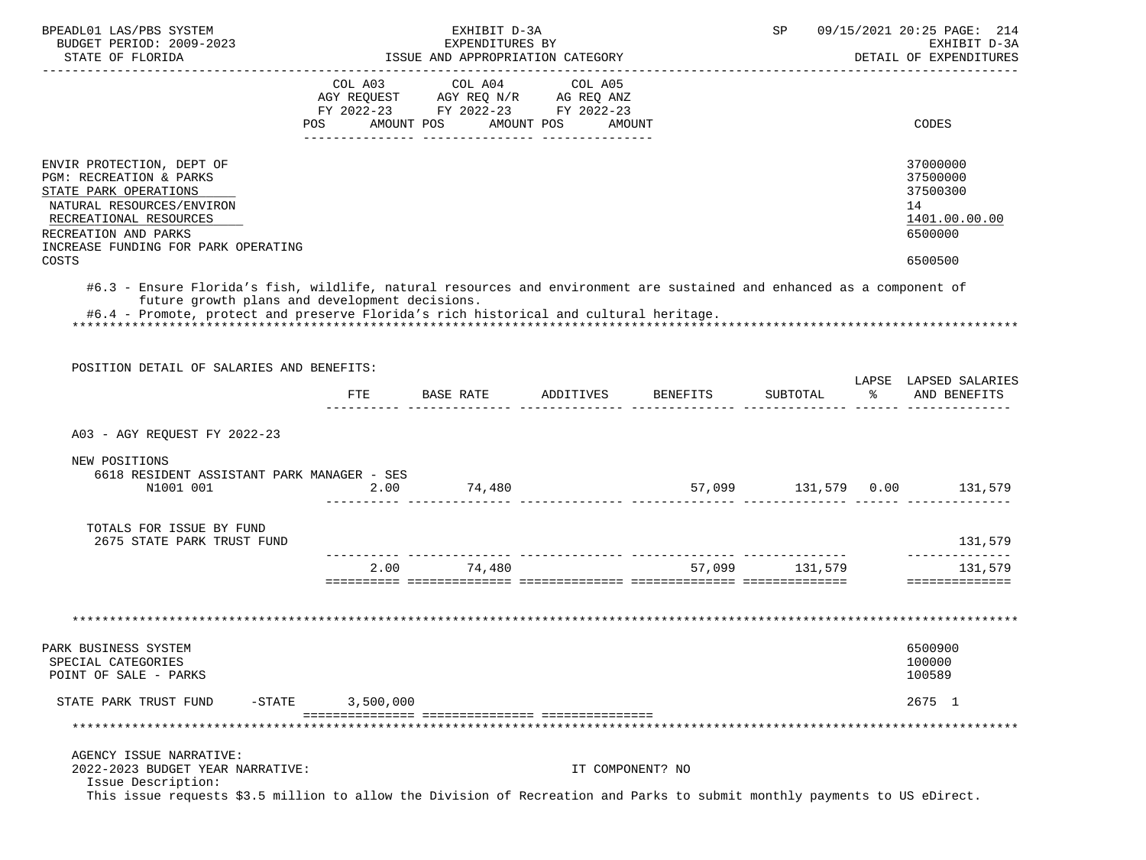| BPEADL01 LAS/PBS SYSTEM                                                                                                   |           | EXHIBIT D-3A                                        |                  |                             | SP             |               | 09/15/2021 20:25 PAGE: 214             |
|---------------------------------------------------------------------------------------------------------------------------|-----------|-----------------------------------------------------|------------------|-----------------------------|----------------|---------------|----------------------------------------|
| BUDGET PERIOD: 2009-2023<br>STATE OF FLORIDA                                                                              |           | EXPENDITURES BY<br>ISSUE AND APPROPRIATION CATEGORY |                  |                             |                |               | EXHIBIT D-3A<br>DETAIL OF EXPENDITURES |
|                                                                                                                           |           |                                                     |                  |                             |                |               |                                        |
|                                                                                                                           | COL A03   | COL A04                                             | COL A05          |                             |                |               |                                        |
|                                                                                                                           |           | AGY REQUEST AGY REQ N/R AG REQ ANZ                  |                  |                             |                |               |                                        |
|                                                                                                                           |           | FY 2022-23 FY 2022-23 FY 2022-23                    |                  |                             |                |               |                                        |
|                                                                                                                           |           | POS AMOUNT POS AMOUNT POS AMOUNT                    |                  |                             |                |               | CODES                                  |
|                                                                                                                           |           |                                                     |                  |                             |                |               |                                        |
| ENVIR PROTECTION, DEPT OF                                                                                                 |           |                                                     |                  |                             |                |               | 37000000                               |
| PGM: RECREATION & PARKS                                                                                                   |           |                                                     |                  |                             |                |               | 37500000                               |
| STATE PARK OPERATIONS                                                                                                     |           |                                                     |                  |                             |                |               | 37500300                               |
| NATURAL RESOURCES/ENVIRON                                                                                                 |           |                                                     |                  |                             |                |               | 14                                     |
| RECREATIONAL RESOURCES                                                                                                    |           |                                                     |                  |                             |                |               | 1401.00.00.00                          |
| RECREATION AND PARKS                                                                                                      |           |                                                     |                  |                             |                |               | 6500000                                |
| INCREASE FUNDING FOR PARK OPERATING<br>COSTS                                                                              |           |                                                     |                  |                             |                |               | 6500500                                |
|                                                                                                                           |           |                                                     |                  |                             |                |               |                                        |
| #6.3 - Ensure Florida's fish, wildlife, natural resources and environment are sustained and enhanced as a component of    |           |                                                     |                  |                             |                |               |                                        |
| future growth plans and development decisions.                                                                            |           |                                                     |                  |                             |                |               |                                        |
| #6.4 - Promote, protect and preserve Florida's rich historical and cultural heritage.                                     |           |                                                     |                  |                             |                |               |                                        |
|                                                                                                                           |           |                                                     |                  |                             |                |               |                                        |
|                                                                                                                           |           |                                                     |                  |                             |                |               |                                        |
| POSITION DETAIL OF SALARIES AND BENEFITS:                                                                                 |           |                                                     |                  |                             |                |               |                                        |
|                                                                                                                           |           |                                                     |                  |                             |                |               | LAPSE LAPSED SALARIES                  |
|                                                                                                                           |           | FTE BASE RATE ADDITIVES BENEFITS                    |                  |                             | SUBTOTAL       | $\frac{1}{2}$ | AND BENEFITS                           |
|                                                                                                                           |           |                                                     |                  |                             |                |               |                                        |
| A03 - AGY REQUEST FY 2022-23                                                                                              |           |                                                     |                  |                             |                |               |                                        |
|                                                                                                                           |           |                                                     |                  |                             |                |               |                                        |
| NEW POSITIONS                                                                                                             |           |                                                     |                  |                             |                |               |                                        |
| 6618 RESIDENT ASSISTANT PARK MANAGER - SES                                                                                |           |                                                     |                  |                             |                |               |                                        |
| N1001 001                                                                                                                 |           | 2.00 74,480                                         |                  | 57,099 131,579 0.00 131,579 |                |               |                                        |
|                                                                                                                           |           |                                                     |                  |                             |                |               |                                        |
| TOTALS FOR ISSUE BY FUND                                                                                                  |           |                                                     |                  |                             |                |               |                                        |
| 2675 STATE PARK TRUST FUND                                                                                                |           |                                                     |                  |                             |                |               | 131,579                                |
|                                                                                                                           |           |                                                     |                  |                             |                |               | --------------                         |
|                                                                                                                           |           | 2.00 74,480                                         |                  |                             | 57,099 131,579 |               | 131,579                                |
|                                                                                                                           |           |                                                     |                  |                             |                |               | ==============                         |
|                                                                                                                           |           |                                                     |                  |                             |                |               |                                        |
|                                                                                                                           |           |                                                     |                  |                             |                |               |                                        |
|                                                                                                                           |           |                                                     |                  |                             |                |               |                                        |
| PARK BUSINESS SYSTEM                                                                                                      |           |                                                     |                  |                             |                |               | 6500900                                |
| SPECIAL CATEGORIES                                                                                                        |           |                                                     |                  |                             |                |               | 100000                                 |
| POINT OF SALE - PARKS                                                                                                     |           |                                                     |                  |                             |                |               | 100589                                 |
| STATE PARK TRUST FUND<br>$-$ STATE                                                                                        | 3,500,000 |                                                     |                  |                             |                |               | 2675 1                                 |
|                                                                                                                           |           |                                                     |                  |                             |                |               |                                        |
|                                                                                                                           |           |                                                     |                  |                             |                |               |                                        |
|                                                                                                                           |           |                                                     |                  |                             |                |               |                                        |
| AGENCY ISSUE NARRATIVE:<br>2022-2023 BUDGET YEAR NARRATIVE:                                                               |           |                                                     | IT COMPONENT? NO |                             |                |               |                                        |
| Issue Description:                                                                                                        |           |                                                     |                  |                             |                |               |                                        |
| This issue requests \$3.5 million to allow the Division of Recreation and Parks to submit monthly payments to US eDirect. |           |                                                     |                  |                             |                |               |                                        |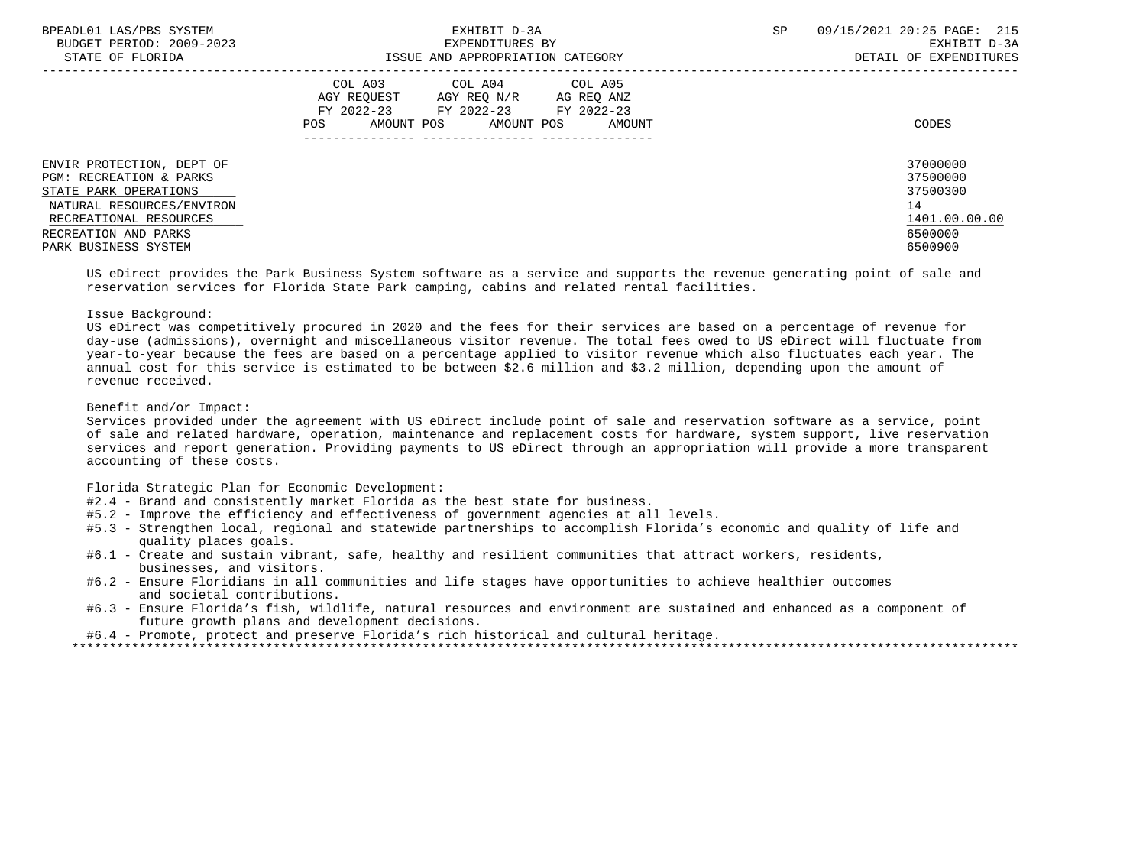| BPEADL01 LAS/PBS SYSTEM<br>BUDGET PERIOD: 2009-2023<br>STATE OF FLORIDA                                                              | EXHIBIT D-3A<br>EXPENDITURES BY<br>ISSUE AND APPROPRIATION CATEGORY                                                                            | 09/15/2021 20:25 PAGE: 215<br><b>SP</b><br>EXHIBIT D-3A<br>DETAIL OF EXPENDITURES |
|--------------------------------------------------------------------------------------------------------------------------------------|------------------------------------------------------------------------------------------------------------------------------------------------|-----------------------------------------------------------------------------------|
|                                                                                                                                      | COL A03 COL A04 COL A05<br>AGY REOUEST AGY REO N/R<br>AG REO ANZ<br>FY 2022-23 FY 2022-23 FY 2022-23<br>AMOUNT POS AMOUNT POS<br>AMOUNT<br>POS | CODES                                                                             |
| ENVIR PROTECTION, DEPT OF<br>PGM: RECREATION & PARKS<br>STATE PARK OPERATIONS<br>NATURAL RESOURCES/ENVIRON<br>RECREATIONAL RESOURCES |                                                                                                                                                | 37000000<br>37500000<br>37500300<br>14<br>1401.00.00.00                           |
| RECREATION AND PARKS<br>PARK BUSINESS SYSTEM                                                                                         |                                                                                                                                                | 6500000<br>6500900                                                                |

 US eDirect provides the Park Business System software as a service and supports the revenue generating point of sale and reservation services for Florida State Park camping, cabins and related rental facilities.

# Issue Background:

 US eDirect was competitively procured in 2020 and the fees for their services are based on a percentage of revenue for day-use (admissions), overnight and miscellaneous visitor revenue. The total fees owed to US eDirect will fluctuate from year-to-year because the fees are based on a percentage applied to visitor revenue which also fluctuates each year. The annual cost for this service is estimated to be between \$2.6 million and \$3.2 million, depending upon the amount of revenue received.

## Benefit and/or Impact:

 Services provided under the agreement with US eDirect include point of sale and reservation software as a service, point of sale and related hardware, operation, maintenance and replacement costs for hardware, system support, live reservation services and report generation. Providing payments to US eDirect through an appropriation will provide a more transparent accounting of these costs.

Florida Strategic Plan for Economic Development:

- #2.4 Brand and consistently market Florida as the best state for business.
- #5.2 Improve the efficiency and effectiveness of government agencies at all levels.
- #5.3 Strengthen local, regional and statewide partnerships to accomplish Florida's economic and quality of life and quality places goals.
- #6.1 Create and sustain vibrant, safe, healthy and resilient communities that attract workers, residents, businesses, and visitors.
- #6.2 Ensure Floridians in all communities and life stages have opportunities to achieve healthier outcomes and societal contributions.
- #6.3 Ensure Florida's fish, wildlife, natural resources and environment are sustained and enhanced as a component of future growth plans and development decisions.

#6.4 - Promote, protect and preserve Florida's rich historical and cultural heritage.

\*\*\*\*\*\*\*\*\*\*\*\*\*\*\*\*\*\*\*\*\*\*\*\*\*\*\*\*\*\*\*\*\*\*\*\*\*\*\*\*\*\*\*\*\*\*\*\*\*\*\*\*\*\*\*\*\*\*\*\*\*\*\*\*\*\*\*\*\*\*\*\*\*\*\*\*\*\*\*\*\*\*\*\*\*\*\*\*\*\*\*\*\*\*\*\*\*\*\*\*\*\*\*\*\*\*\*\*\*\*\*\*\*\*\*\*\*\*\*\*\*\*\*\*\*\*\*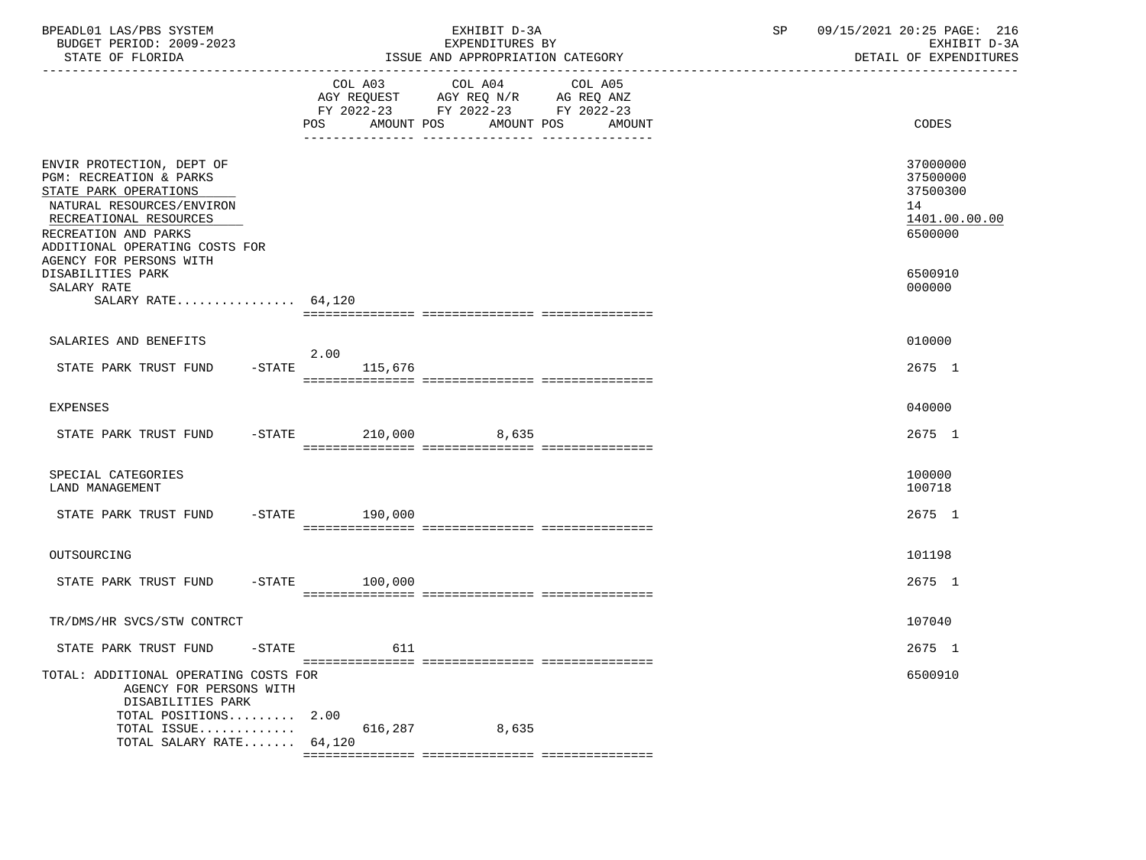| BPEADL01 LAS/PBS SYSTEM<br>BUDGET PERIOD: 2009-2023<br>STATE OF FLORIDA                                                                                                                                                   | EXHIBIT D-3A<br>EXPENDITURES BY<br>ISSUE AND APPROPRIATION CATEGORY                                                                         | 09/15/2021 20:25 PAGE: 216<br>SP<br>EXHIBIT D-3A<br>DETAIL OF EXPENDITURES |
|---------------------------------------------------------------------------------------------------------------------------------------------------------------------------------------------------------------------------|---------------------------------------------------------------------------------------------------------------------------------------------|----------------------------------------------------------------------------|
|                                                                                                                                                                                                                           | COL A03 COL A04<br>COL A05<br>AGY REQUEST AGY REQ N/R AG REQ ANZ<br>FY 2022-23 FY 2022-23 FY 2022-23<br>POS AMOUNT POS<br>AMOUNT POS AMOUNT | CODES                                                                      |
| ENVIR PROTECTION, DEPT OF<br>PGM: RECREATION & PARKS<br>STATE PARK OPERATIONS<br>NATURAL RESOURCES/ENVIRON<br>RECREATIONAL RESOURCES<br>RECREATION AND PARKS<br>ADDITIONAL OPERATING COSTS FOR<br>AGENCY FOR PERSONS WITH |                                                                                                                                             | 37000000<br>37500000<br>37500300<br>14<br>1401.00.00.00<br>6500000         |
| DISABILITIES PARK<br>SALARY RATE<br>SALARY RATE $64,120$                                                                                                                                                                  |                                                                                                                                             | 6500910<br>000000                                                          |
| SALARIES AND BENEFITS                                                                                                                                                                                                     |                                                                                                                                             | 010000                                                                     |
| STATE PARK TRUST FUND                                                                                                                                                                                                     | 2.00<br>$-$ STATE<br>115,676                                                                                                                | 2675 1                                                                     |
| <b>EXPENSES</b>                                                                                                                                                                                                           |                                                                                                                                             | 040000                                                                     |
| STATE PARK TRUST FUND                                                                                                                                                                                                     | $-$ STATE 210,000 8,635                                                                                                                     | 2675 1                                                                     |
| SPECIAL CATEGORIES<br>LAND MANAGEMENT                                                                                                                                                                                     |                                                                                                                                             | 100000<br>100718                                                           |
| STATE PARK TRUST FUND                                                                                                                                                                                                     | $-STATE$ 190,000                                                                                                                            | 2675 1                                                                     |
| OUTSOURCING                                                                                                                                                                                                               |                                                                                                                                             | 101198                                                                     |
| STATE PARK TRUST FUND                                                                                                                                                                                                     | $-$ STATE 100,000                                                                                                                           | 2675 1                                                                     |
| TR/DMS/HR SVCS/STW CONTRCT                                                                                                                                                                                                |                                                                                                                                             | 107040                                                                     |
| STATE PARK TRUST FUND - STATE                                                                                                                                                                                             | 611                                                                                                                                         | 2675 1                                                                     |
| TOTAL: ADDITIONAL OPERATING COSTS FOR<br>AGENCY FOR PERSONS WITH<br>DISABILITIES PARK<br>TOTAL POSITIONS $2.00$                                                                                                           |                                                                                                                                             | 6500910                                                                    |
| TOTAL ISSUE<br>TOTAL SALARY RATE 64,120                                                                                                                                                                                   | 616,287<br>8,635                                                                                                                            |                                                                            |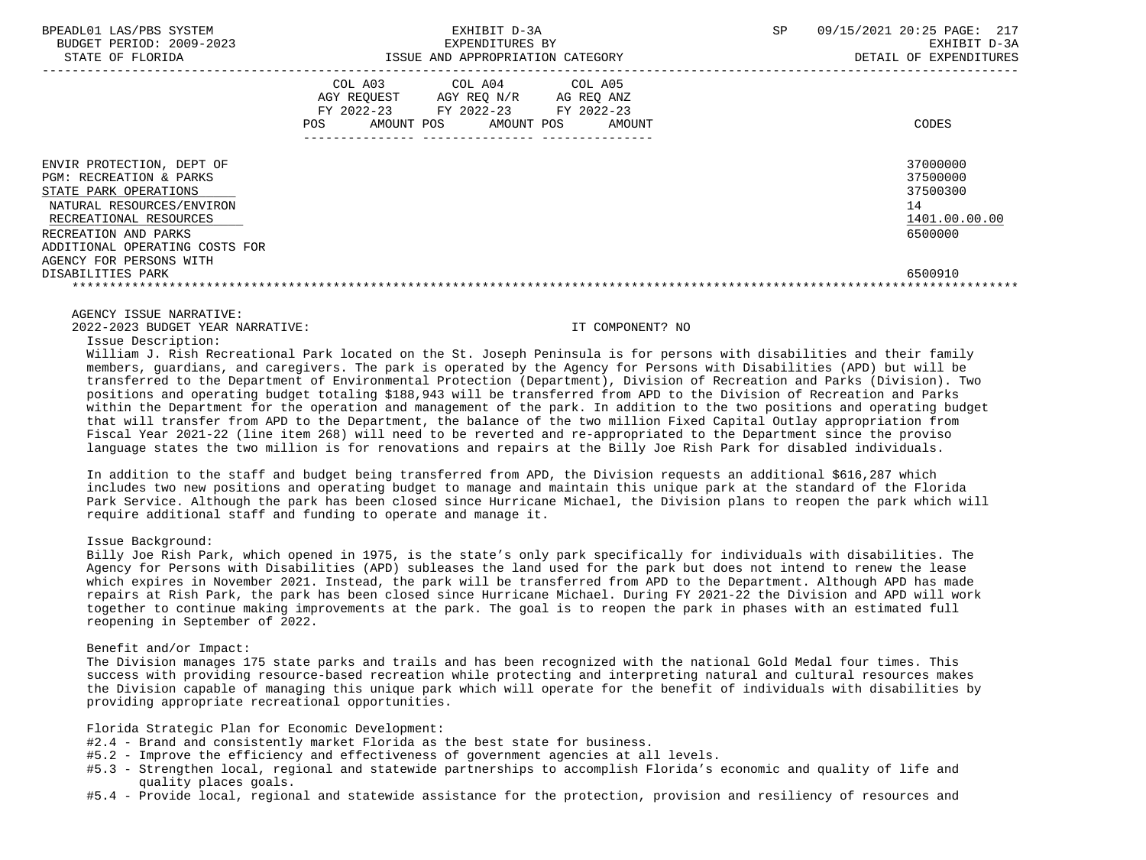| BPEADL01 LAS/PBS SYSTEM<br>BUDGET PERIOD: 2009-2023<br>STATE OF FLORIDA                                                                                                                        | EXHIBIT D-3A<br>EXPENDITURES BY<br>ISSUE AND APPROPRIATION CATEGORY                                                                               | SP | 09/15/2021 20:25 PAGE: 217<br>EXHIBIT D-3A<br>DETAIL OF EXPENDITURES |
|------------------------------------------------------------------------------------------------------------------------------------------------------------------------------------------------|---------------------------------------------------------------------------------------------------------------------------------------------------|----|----------------------------------------------------------------------|
|                                                                                                                                                                                                | COL A03 COL A04 COL A05<br>AGY REOUEST<br>AGY REQ N/R AG REQ ANZ<br>FY 2022-23 FY 2022-23 FY 2022-23<br>AMOUNT POS<br>AMOUNT POS<br>POS<br>AMOUNT |    | CODES                                                                |
| ENVIR PROTECTION, DEPT OF<br>PGM: RECREATION & PARKS<br>STATE PARK OPERATIONS<br>NATURAL RESOURCES/ENVIRON<br>RECREATIONAL RESOURCES<br>RECREATION AND PARKS<br>ADDITIONAL OPERATING COSTS FOR |                                                                                                                                                   |    | 37000000<br>37500000<br>37500300<br>14<br>1401.00.00.00<br>6500000   |

AGENCY FOR PERSONS WITH

 DISABILITIES PARK 6500910 \*\*\*\*\*\*\*\*\*\*\*\*\*\*\*\*\*\*\*\*\*\*\*\*\*\*\*\*\*\*\*\*\*\*\*\*\*\*\*\*\*\*\*\*\*\*\*\*\*\*\*\*\*\*\*\*\*\*\*\*\*\*\*\*\*\*\*\*\*\*\*\*\*\*\*\*\*\*\*\*\*\*\*\*\*\*\*\*\*\*\*\*\*\*\*\*\*\*\*\*\*\*\*\*\*\*\*\*\*\*\*\*\*\*\*\*\*\*\*\*\*\*\*\*\*\*\*

AGENCY ISSUE NARRATIVE:

2022-2023 BUDGET YEAR NARRATIVE: IT COMPONENT? NO

Issue Description:

 William J. Rish Recreational Park located on the St. Joseph Peninsula is for persons with disabilities and their family members, guardians, and caregivers. The park is operated by the Agency for Persons with Disabilities (APD) but will be transferred to the Department of Environmental Protection (Department), Division of Recreation and Parks (Division). Two positions and operating budget totaling \$188,943 will be transferred from APD to the Division of Recreation and Parks within the Department for the operation and management of the park. In addition to the two positions and operating budget that will transfer from APD to the Department, the balance of the two million Fixed Capital Outlay appropriation from Fiscal Year 2021-22 (line item 268) will need to be reverted and re-appropriated to the Department since the proviso language states the two million is for renovations and repairs at the Billy Joe Rish Park for disabled individuals.

 In addition to the staff and budget being transferred from APD, the Division requests an additional \$616,287 which includes two new positions and operating budget to manage and maintain this unique park at the standard of the Florida Park Service. Although the park has been closed since Hurricane Michael, the Division plans to reopen the park which will require additional staff and funding to operate and manage it.

## Issue Background:

 Billy Joe Rish Park, which opened in 1975, is the state's only park specifically for individuals with disabilities. The Agency for Persons with Disabilities (APD) subleases the land used for the park but does not intend to renew the lease which expires in November 2021. Instead, the park will be transferred from APD to the Department. Although APD has made repairs at Rish Park, the park has been closed since Hurricane Michael. During FY 2021-22 the Division and APD will work together to continue making improvements at the park. The goal is to reopen the park in phases with an estimated full reopening in September of 2022.

## Benefit and/or Impact:

 The Division manages 175 state parks and trails and has been recognized with the national Gold Medal four times. This success with providing resource-based recreation while protecting and interpreting natural and cultural resources makes the Division capable of managing this unique park which will operate for the benefit of individuals with disabilities by providing appropriate recreational opportunities.

Florida Strategic Plan for Economic Development:

- #2.4 Brand and consistently market Florida as the best state for business.
- #5.2 Improve the efficiency and effectiveness of government agencies at all levels.
- #5.3 Strengthen local, regional and statewide partnerships to accomplish Florida's economic and quality of life and quality places goals.
- #5.4 Provide local, regional and statewide assistance for the protection, provision and resiliency of resources and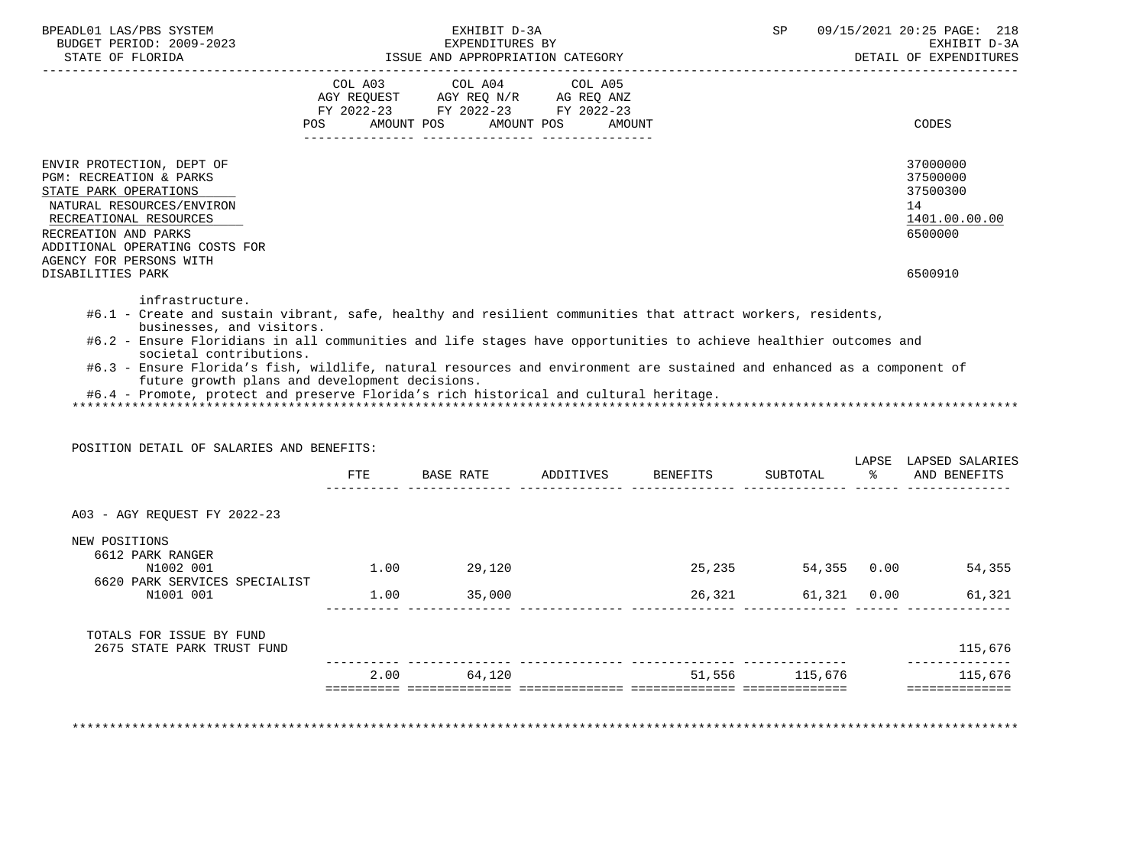| BUDGET PERIOD: 2009-2023<br>STATE OF FLORIDA                                                                                                                                                                                                                                                                                                                                                                                                                                                                                                                                                              |     | EXHIBIT D-3A<br>EXPENDITURES BY<br>ISSUE AND APPROPRIATION CATEGORY                                             |                      |        | SP          | 09/15/2021 20:25 PAGE: 218<br>EXHIBIT D-3A<br>DETAIL OF EXPENDITURES          |
|-----------------------------------------------------------------------------------------------------------------------------------------------------------------------------------------------------------------------------------------------------------------------------------------------------------------------------------------------------------------------------------------------------------------------------------------------------------------------------------------------------------------------------------------------------------------------------------------------------------|-----|-----------------------------------------------------------------------------------------------------------------|----------------------|--------|-------------|-------------------------------------------------------------------------------|
|                                                                                                                                                                                                                                                                                                                                                                                                                                                                                                                                                                                                           | POS | COL A03 COL A04 COL A05<br>AGY REQUEST AGY REQ N/R AG REQ ANZ<br>FY 2022-23 FY 2022-23 FY 2022-23<br>AMOUNT POS | AMOUNT POS<br>AMOUNT |        |             | CODES                                                                         |
| ENVIR PROTECTION, DEPT OF<br>PGM: RECREATION & PARKS<br>STATE PARK OPERATIONS<br>NATURAL RESOURCES/ENVIRON<br>RECREATIONAL RESOURCES<br>RECREATION AND PARKS<br>ADDITIONAL OPERATING COSTS FOR<br>AGENCY FOR PERSONS WITH<br>DISABILITIES PARK                                                                                                                                                                                                                                                                                                                                                            |     |                                                                                                                 |                      |        |             | 37000000<br>37500000<br>37500300<br>14<br>1401.00.00.00<br>6500000<br>6500910 |
| infrastructure.                                                                                                                                                                                                                                                                                                                                                                                                                                                                                                                                                                                           |     |                                                                                                                 |                      |        |             |                                                                               |
| #6.1 - Create and sustain vibrant, safe, healthy and resilient communities that attract workers, residents,<br>businesses, and visitors.<br>#6.2 - Ensure Floridians in all communities and life stages have opportunities to achieve healthier outcomes and<br>societal contributions.<br>#6.3 - Ensure Florida's fish, wildlife, natural resources and environment are sustained and enhanced as a component of<br>future growth plans and development decisions.<br>#6.4 - Promote, protect and preserve Florida's rich historical and cultural heritage.<br>POSITION DETAIL OF SALARIES AND BENEFITS: |     |                                                                                                                 |                      |        |             |                                                                               |
|                                                                                                                                                                                                                                                                                                                                                                                                                                                                                                                                                                                                           | ETE |                                                                                                                 |                      |        | SUBTOTAL    | % AND BENEFITS                                                                |
| A03 - AGY REQUEST FY 2022-23                                                                                                                                                                                                                                                                                                                                                                                                                                                                                                                                                                              |     |                                                                                                                 |                      |        |             | LAPSE LAPSED SALARIES                                                         |
| NEW POSITIONS<br>6612 PARK RANGER<br>N1002 001                                                                                                                                                                                                                                                                                                                                                                                                                                                                                                                                                            |     | $1.00$ 29,120                                                                                                   |                      |        |             | 25,235 54,355 0.00 54,355                                                     |
| 6620 PARK SERVICES SPECIALIST<br>N1001 001                                                                                                                                                                                                                                                                                                                                                                                                                                                                                                                                                                |     | $1.00$ 35,000                                                                                                   |                      | 26,321 | 61,321 0.00 |                                                                               |
| TOTALS FOR ISSUE BY FUND<br>2675 STATE PARK TRUST FUND                                                                                                                                                                                                                                                                                                                                                                                                                                                                                                                                                    |     |                                                                                                                 |                      |        |             | 61,321<br>115,676<br>______________                                           |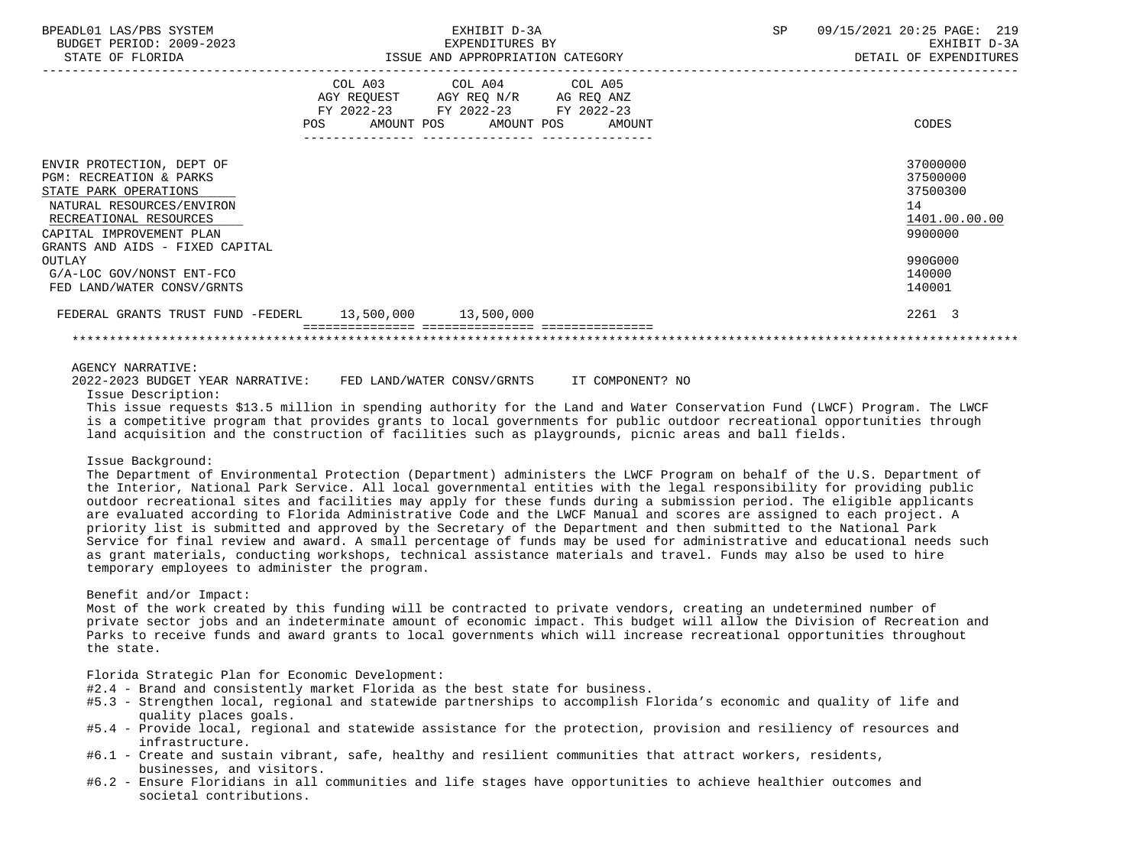| BPEADL01 LAS/PBS SYSTEM                                 |                                                                                                                | EXHIBIT D-3A                                        | 09/15/2021 20:25 PAGE: 219<br>SP       |
|---------------------------------------------------------|----------------------------------------------------------------------------------------------------------------|-----------------------------------------------------|----------------------------------------|
| BUDGET PERIOD: 2009-2023<br>STATE OF FLORIDA            |                                                                                                                | EXPENDITURES BY<br>ISSUE AND APPROPRIATION CATEGORY | EXHIBIT D-3A<br>DETAIL OF EXPENDITURES |
|                                                         |                                                                                                                |                                                     |                                        |
|                                                         |                                                                                                                | COL A03 COL A04 COL A05                             |                                        |
|                                                         |                                                                                                                | AGY REQUEST AGY REO N/R AG REO ANZ                  |                                        |
|                                                         |                                                                                                                | FY 2022-23 FY 2022-23 FY 2022-23                    |                                        |
|                                                         | POS FOR THE POST OF THE STATE STATE STATE STATE STATE STATE STATE STATE STATE STATE STATE STATE STATE STATE ST | AMOUNT POS AMOUNT POS AMOUNT                        | CODES                                  |
|                                                         |                                                                                                                |                                                     |                                        |
| ENVIR PROTECTION, DEPT OF                               |                                                                                                                |                                                     | 37000000                               |
| <b>PGM: RECREATION &amp; PARKS</b>                      |                                                                                                                |                                                     | 37500000                               |
| STATE PARK OPERATIONS                                   |                                                                                                                |                                                     | 37500300                               |
| NATURAL RESOURCES/ENVIRON                               |                                                                                                                |                                                     | 14                                     |
| RECREATIONAL RESOURCES                                  |                                                                                                                |                                                     | 1401.00.00.00                          |
| CAPITAL IMPROVEMENT PLAN                                |                                                                                                                |                                                     | 9900000                                |
| GRANTS AND AIDS - FIXED CAPITAL                         |                                                                                                                |                                                     |                                        |
| OUTLAY                                                  |                                                                                                                |                                                     | 990G000                                |
| G/A-LOC GOV/NONST ENT-FCO                               |                                                                                                                |                                                     | 140000                                 |
| FED LAND/WATER CONSV/GRNTS                              |                                                                                                                |                                                     | 140001                                 |
| FEDERAL GRANTS TRUST FUND -FEDERL 13,500,000 13,500,000 |                                                                                                                |                                                     | 2261 3                                 |
|                                                         |                                                                                                                |                                                     |                                        |

AGENCY NARRATIVE:

2022-2023 BUDGET YEAR NARRATIVE: FED LAND/WATER CONSV/GRNTS IT COMPONENT? NO

Issue Description:

 This issue requests \$13.5 million in spending authority for the Land and Water Conservation Fund (LWCF) Program. The LWCF is a competitive program that provides grants to local governments for public outdoor recreational opportunities through land acquisition and the construction of facilities such as playgrounds, picnic areas and ball fields.

### Issue Background:

 The Department of Environmental Protection (Department) administers the LWCF Program on behalf of the U.S. Department of the Interior, National Park Service. All local governmental entities with the legal responsibility for providing public outdoor recreational sites and facilities may apply for these funds during a submission period. The eligible applicants are evaluated according to Florida Administrative Code and the LWCF Manual and scores are assigned to each project. A priority list is submitted and approved by the Secretary of the Department and then submitted to the National Park Service for final review and award. A small percentage of funds may be used for administrative and educational needs such as grant materials, conducting workshops, technical assistance materials and travel. Funds may also be used to hire temporary employees to administer the program.

### Benefit and/or Impact:

 Most of the work created by this funding will be contracted to private vendors, creating an undetermined number of private sector jobs and an indeterminate amount of economic impact. This budget will allow the Division of Recreation and Parks to receive funds and award grants to local governments which will increase recreational opportunities throughout the state.

Florida Strategic Plan for Economic Development:

- #2.4 Brand and consistently market Florida as the best state for business.
- #5.3 Strengthen local, regional and statewide partnerships to accomplish Florida's economic and quality of life and quality places goals.
- #5.4 Provide local, regional and statewide assistance for the protection, provision and resiliency of resources and infrastructure.
- #6.1 Create and sustain vibrant, safe, healthy and resilient communities that attract workers, residents, businesses, and visitors.
- #6.2 Ensure Floridians in all communities and life stages have opportunities to achieve healthier outcomes and societal contributions.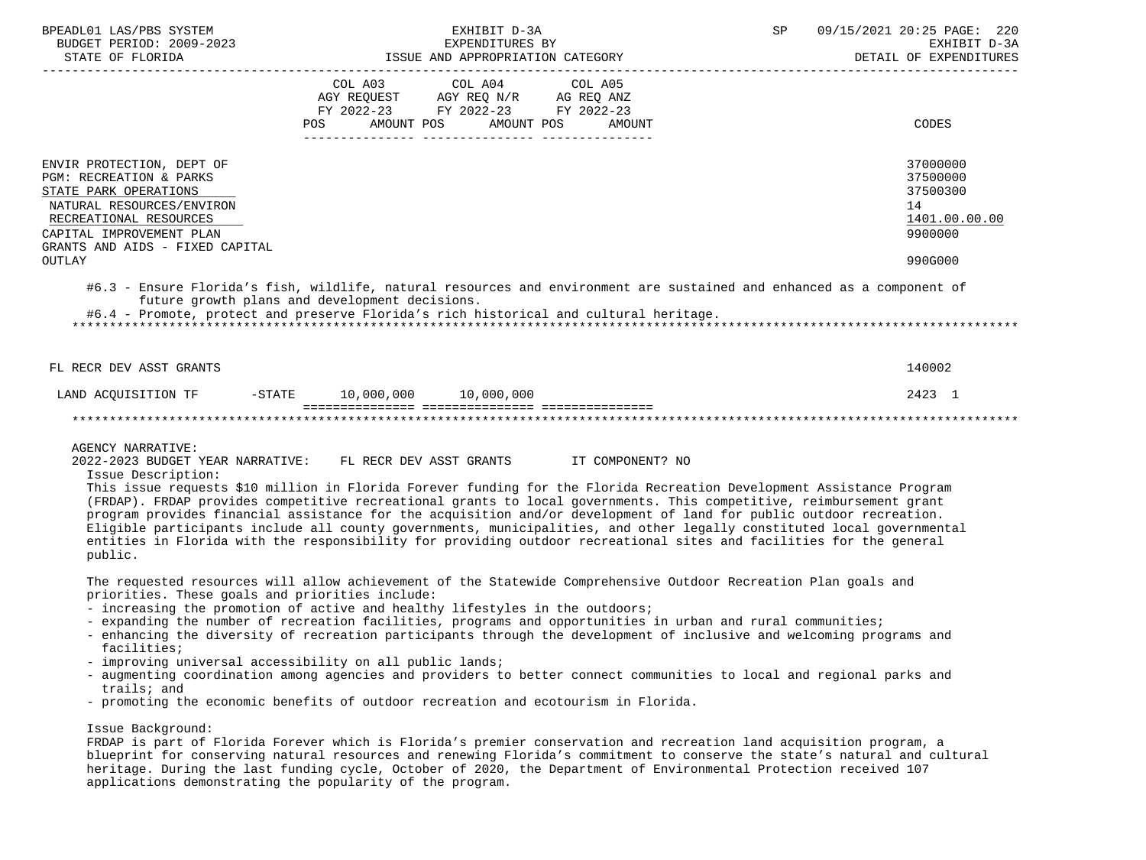| BPEADL01 LAS/PBS SYSTEM<br>BUDGET PERIOD: 2009-2023<br>STATE OF FLORIDA                                                                                                                                                                                                                                                                                                                                                                                                                                                                                                                                                                                                                                                                                                                           |                                                |                                                                                                                                                                                                                             | EXHIBIT D-3A<br>EXPENDITURES BY | ISSUE AND APPROPRIATION CATEGORY | SP | 09/15/2021 20:25 PAGE: 220<br>EXHIBIT D-3A<br>DETAIL OF EXPENDITURES          |
|---------------------------------------------------------------------------------------------------------------------------------------------------------------------------------------------------------------------------------------------------------------------------------------------------------------------------------------------------------------------------------------------------------------------------------------------------------------------------------------------------------------------------------------------------------------------------------------------------------------------------------------------------------------------------------------------------------------------------------------------------------------------------------------------------|------------------------------------------------|-----------------------------------------------------------------------------------------------------------------------------------------------------------------------------------------------------------------------------|---------------------------------|----------------------------------|----|-------------------------------------------------------------------------------|
|                                                                                                                                                                                                                                                                                                                                                                                                                                                                                                                                                                                                                                                                                                                                                                                                   | <b>POS</b>                                     | COL A03<br>$\begin{tabular}{lllllll} \bf AGY & \bf REQUEST & \bf AGY & \bf REQ & \tt N/R & \bf AG & \bf REQ & \tt ANZ \\ \bf FY & \tt 2022-23 & \tt FY & \tt 2022-23 & \tt FY & \tt 2022-23 \\ \end{tabular}$<br>AMOUNT POS | COL A04<br>AMOUNT POS           | COL A05<br>AMOUNT                |    | CODES                                                                         |
| ENVIR PROTECTION, DEPT OF<br>PGM: RECREATION & PARKS<br>STATE PARK OPERATIONS<br>NATURAL RESOURCES/ENVIRON<br>RECREATIONAL RESOURCES<br>CAPITAL IMPROVEMENT PLAN<br>GRANTS AND AIDS - FIXED CAPITAL<br><b>OUTLAY</b>                                                                                                                                                                                                                                                                                                                                                                                                                                                                                                                                                                              |                                                |                                                                                                                                                                                                                             |                                 |                                  |    | 37000000<br>37500000<br>37500300<br>14<br>1401.00.00.00<br>9900000<br>990G000 |
| #6.3 - Ensure Florida's fish, wildlife, natural resources and environment are sustained and enhanced as a component of<br>#6.4 - Promote, protect and preserve Florida's rich historical and cultural heritage.                                                                                                                                                                                                                                                                                                                                                                                                                                                                                                                                                                                   | future growth plans and development decisions. |                                                                                                                                                                                                                             |                                 |                                  |    |                                                                               |
| FL RECR DEV ASST GRANTS                                                                                                                                                                                                                                                                                                                                                                                                                                                                                                                                                                                                                                                                                                                                                                           |                                                |                                                                                                                                                                                                                             |                                 |                                  |    | 140002                                                                        |
| LAND ACQUISITION TF                                                                                                                                                                                                                                                                                                                                                                                                                                                                                                                                                                                                                                                                                                                                                                               | $-STATE$ 10,000,000 10,000,000                 |                                                                                                                                                                                                                             |                                 |                                  |    | 2423 1                                                                        |
|                                                                                                                                                                                                                                                                                                                                                                                                                                                                                                                                                                                                                                                                                                                                                                                                   |                                                |                                                                                                                                                                                                                             |                                 |                                  |    |                                                                               |
| <b>AGENCY NARRATIVE:</b><br>2022-2023 BUDGET YEAR NARRATIVE:<br>Issue Description:<br>This issue requests \$10 million in Florida Forever funding for the Florida Recreation Development Assistance Program<br>(FRDAP). FRDAP provides competitive recreational grants to local governments. This competitive, reimbursement grant<br>program provides financial assistance for the acquisition and/or development of land for public outdoor recreation.<br>Eligible participants include all county governments, municipalities, and other legally constituted local governmental<br>entities in Florida with the responsibility for providing outdoor recreational sites and facilities for the general<br>public.                                                                             |                                                | FL RECR DEV ASST GRANTS                                                                                                                                                                                                     |                                 | IT COMPONENT? NO                 |    |                                                                               |
| The requested resources will allow achievement of the Statewide Comprehensive Outdoor Recreation Plan goals and<br>priorities. These goals and priorities include:<br>- increasing the promotion of active and healthy lifestyles in the outdoors;<br>- expanding the number of recreation facilities, programs and opportunities in urban and rural communities;<br>- enhancing the diversity of recreation participants through the development of inclusive and welcoming programs and<br>facilities;<br>- improving universal accessibility on all public lands;<br>- augmenting coordination among agencies and providers to better connect communities to local and regional parks and<br>trails; and<br>- promoting the economic benefits of outdoor recreation and ecotourism in Florida. |                                                |                                                                                                                                                                                                                             |                                 |                                  |    |                                                                               |
| Issue Background:                                                                                                                                                                                                                                                                                                                                                                                                                                                                                                                                                                                                                                                                                                                                                                                 |                                                |                                                                                                                                                                                                                             |                                 |                                  |    |                                                                               |

 FRDAP is part of Florida Forever which is Florida's premier conservation and recreation land acquisition program, a blueprint for conserving natural resources and renewing Florida's commitment to conserve the state's natural and cultural heritage. During the last funding cycle, October of 2020, the Department of Environmental Protection received 107 applications demonstrating the popularity of the program.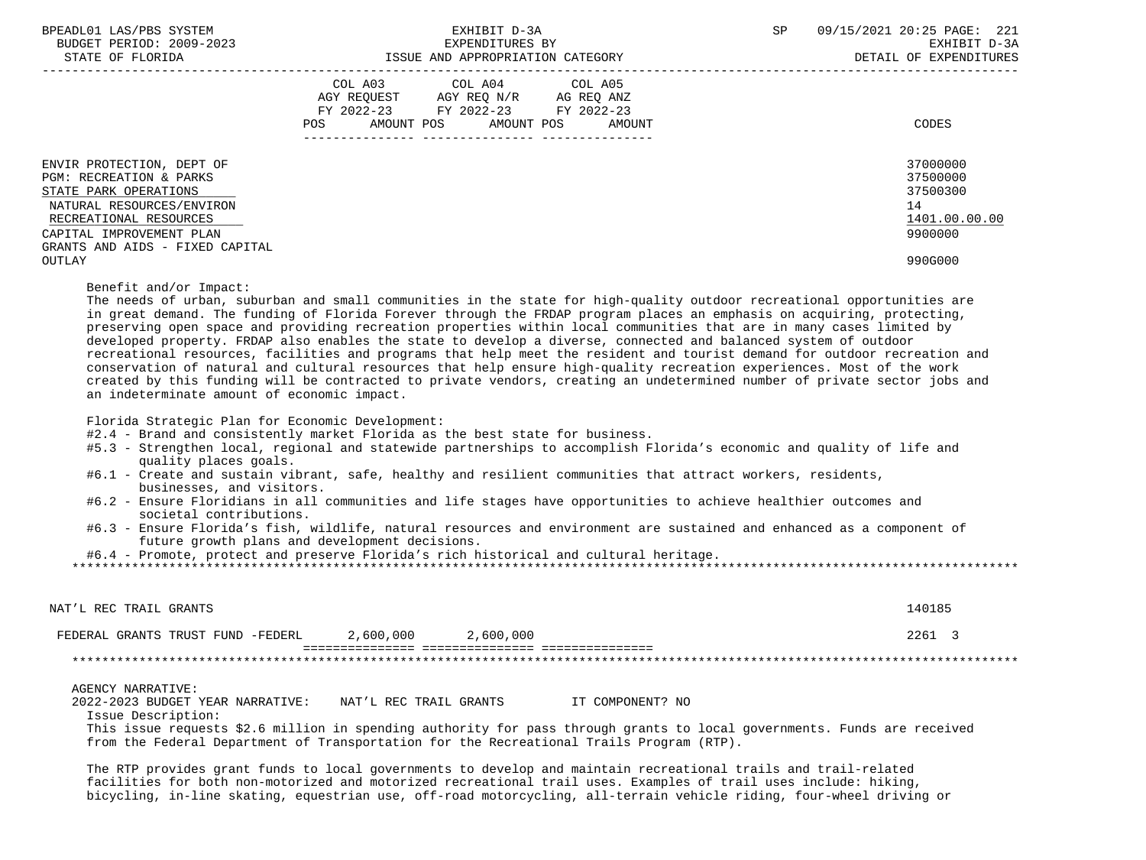| BPEADL01 LAS/PBS SYSTEM<br>BUDGET PERIOD: 2009-2023<br>STATE OF FLORIDA                                                                                                                             | EXHIBIT D-3A<br>EXPENDITURES BY<br>ISSUE AND APPROPRIATION CATEGORY                                                                         | 09/15/2021 20:25 PAGE: 221<br>SP<br>EXHIBIT D-3A<br>DETAIL OF EXPENDITURES |
|-----------------------------------------------------------------------------------------------------------------------------------------------------------------------------------------------------|---------------------------------------------------------------------------------------------------------------------------------------------|----------------------------------------------------------------------------|
|                                                                                                                                                                                                     | COL A03 COL A04 COL A05<br>AGY REQUEST AGY REQ N/R AG REQ ANZ<br>FY 2022-23 FY 2022-23 FY 2022-23<br>AMOUNT POS AMOUNT POS<br>POS<br>AMOUNT | CODES                                                                      |
| ENVIR PROTECTION, DEPT OF<br>PGM: RECREATION & PARKS<br>STATE PARK OPERATIONS<br>NATURAL RESOURCES/ENVIRON<br>RECREATIONAL RESOURCES<br>CAPITAL IMPROVEMENT PLAN<br>GRANTS AND AIDS - FIXED CAPITAL |                                                                                                                                             | 37000000<br>37500000<br>37500300<br>14<br>1401.00.00.00<br>9900000         |
| OUTLAY                                                                                                                                                                                              |                                                                                                                                             | 990G000                                                                    |

Benefit and/or Impact:

 The needs of urban, suburban and small communities in the state for high-quality outdoor recreational opportunities are in great demand. The funding of Florida Forever through the FRDAP program places an emphasis on acquiring, protecting, preserving open space and providing recreation properties within local communities that are in many cases limited by developed property. FRDAP also enables the state to develop a diverse, connected and balanced system of outdoor recreational resources, facilities and programs that help meet the resident and tourist demand for outdoor recreation and conservation of natural and cultural resources that help ensure high-quality recreation experiences. Most of the work created by this funding will be contracted to private vendors, creating an undetermined number of private sector jobs and an indeterminate amount of economic impact.

Florida Strategic Plan for Economic Development:

#2.4 - Brand and consistently market Florida as the best state for business.

- #5.3 Strengthen local, regional and statewide partnerships to accomplish Florida's economic and quality of life and quality places goals.
- #6.1 Create and sustain vibrant, safe, healthy and resilient communities that attract workers, residents, businesses, and visitors.
- #6.2 Ensure Floridians in all communities and life stages have opportunities to achieve healthier outcomes and societal contributions.
- #6.3 Ensure Florida's fish, wildlife, natural resources and environment are sustained and enhanced as a component of future growth plans and development decisions.

#6.4 - Promote, protect and preserve Florida's rich historical and cultural heritage.

\*\*\*\*\*\*\*\*\*\*\*\*\*\*\*\*\*\*\*\*\*\*\*\*\*\*\*\*\*\*\*\*\*\*\*\*\*\*\*\*\*\*\*\*\*\*\*\*\*\*\*\*\*\*\*\*\*\*\*\*\*\*\*\*\*\*\*\*\*\*\*\*\*\*\*\*\*\*\*\*\*\*\*\*\*\*\*\*\*\*\*\*\*\*\*\*\*\*\*\*\*\*\*\*\*\*\*\*\*\*\*\*\*\*\*\*\*\*\*\*\*\*\*\*\*\*\*

| NAT'L REC TRAIL GRANTS                                                                                                   |                        |           |                  | 140185 |  |
|--------------------------------------------------------------------------------------------------------------------------|------------------------|-----------|------------------|--------|--|
| FEDERAL GRANTS TRUST FUND -FEDERL                                                                                        | 2,600,000              | 2,600,000 |                  | 2261 3 |  |
|                                                                                                                          |                        |           |                  |        |  |
| AGENCY NARRATIVE:                                                                                                        |                        |           |                  |        |  |
| 2022-2023 BUDGET YEAR NARRATIVE:                                                                                         | NAT'L REC TRAIL GRANTS |           | IT COMPONENT? NO |        |  |
| Issue Description:                                                                                                       |                        |           |                  |        |  |
| This issue requests \$2.6 million in spending authority for pass through grants to local governments. Funds are received |                        |           |                  |        |  |
| from the Federal Department of Transportation for the Recreational Trails Program (RTP).                                 |                        |           |                  |        |  |

 The RTP provides grant funds to local governments to develop and maintain recreational trails and trail-related facilities for both non-motorized and motorized recreational trail uses. Examples of trail uses include: hiking, bicycling, in-line skating, equestrian use, off-road motorcycling, all-terrain vehicle riding, four-wheel driving or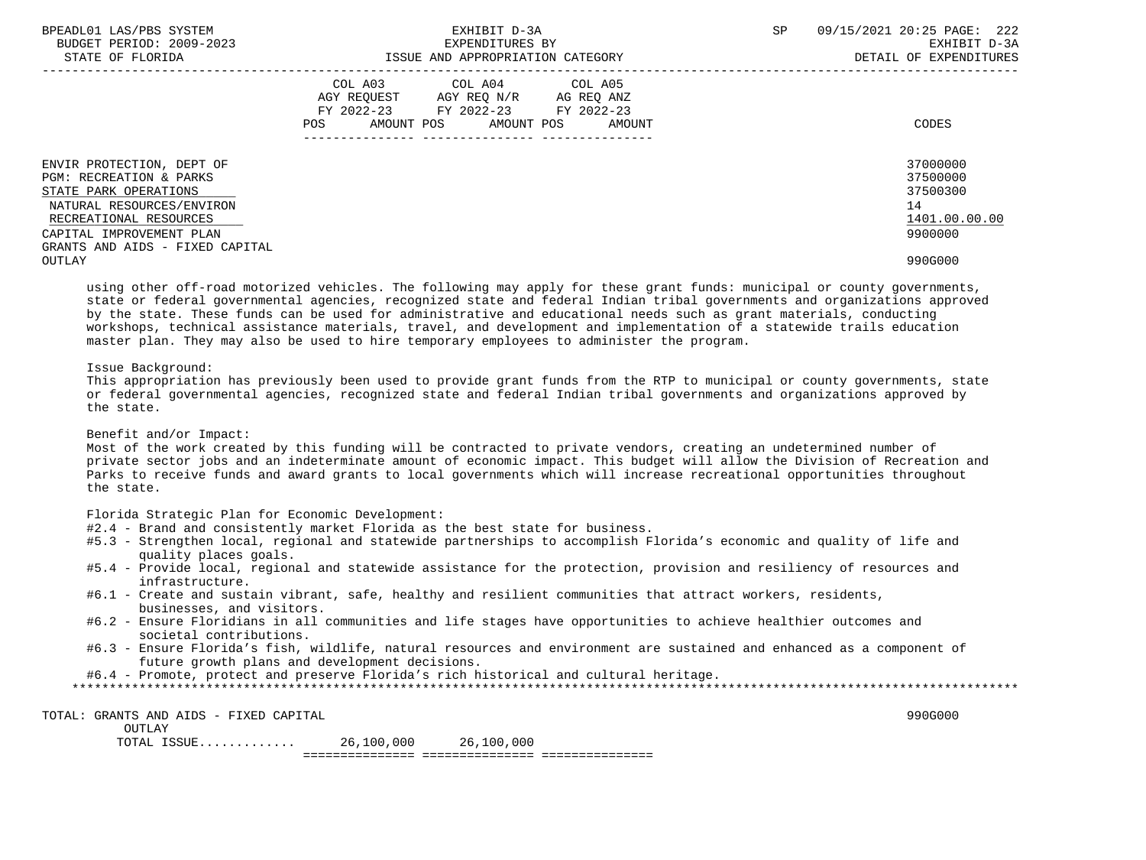| BPEADL01 LAS/PBS SYSTEM<br>BUDGET PERIOD: 2009-2023<br>STATE OF FLORIDA       | EXHIBIT D-3A<br>EXPENDITURES BY<br>ISSUE AND APPROPRIATION CATEGORY                                                                         | 09/15/2021 20:25 PAGE: 222<br>SP<br>EXHIBIT D-3A<br>DETAIL OF EXPENDITURES |
|-------------------------------------------------------------------------------|---------------------------------------------------------------------------------------------------------------------------------------------|----------------------------------------------------------------------------|
|                                                                               | COL A03 COL A04 COL A05<br>AGY REQUEST AGY REQ N/R AG REQ ANZ<br>FY 2022-23 FY 2022-23 FY 2022-23<br>AMOUNT POS AMOUNT POS<br>POS<br>AMOUNT | CODES                                                                      |
| ENVIR PROTECTION, DEPT OF<br>PGM: RECREATION & PARKS<br>STATE PARK OPERATIONS |                                                                                                                                             | 37000000<br>37500000<br>37500300                                           |
| NATURAL RESOURCES/ENVIRON                                                     |                                                                                                                                             | 14                                                                         |
| RECREATIONAL RESOURCES                                                        |                                                                                                                                             | 1401.00.00.00                                                              |
| CAPITAL IMPROVEMENT PLAN                                                      |                                                                                                                                             | 9900000                                                                    |
| GRANTS AND AIDS - FIXED CAPITAL                                               |                                                                                                                                             |                                                                            |
| OUTLAY                                                                        |                                                                                                                                             | 990G000                                                                    |

 using other off-road motorized vehicles. The following may apply for these grant funds: municipal or county governments, state or federal governmental agencies, recognized state and federal Indian tribal governments and organizations approved by the state. These funds can be used for administrative and educational needs such as grant materials, conducting workshops, technical assistance materials, travel, and development and implementation of a statewide trails education master plan. They may also be used to hire temporary employees to administer the program.

## Issue Background:

 This appropriation has previously been used to provide grant funds from the RTP to municipal or county governments, state or federal governmental agencies, recognized state and federal Indian tribal governments and organizations approved by the state.

Benefit and/or Impact:

 Most of the work created by this funding will be contracted to private vendors, creating an undetermined number of private sector jobs and an indeterminate amount of economic impact. This budget will allow the Division of Recreation and Parks to receive funds and award grants to local governments which will increase recreational opportunities throughout the state.

Florida Strategic Plan for Economic Development:

- #2.4 Brand and consistently market Florida as the best state for business.
- #5.3 Strengthen local, regional and statewide partnerships to accomplish Florida's economic and quality of life and quality places goals.
- #5.4 Provide local, regional and statewide assistance for the protection, provision and resiliency of resources and infrastructure.
- #6.1 Create and sustain vibrant, safe, healthy and resilient communities that attract workers, residents, businesses, and visitors.
- #6.2 Ensure Floridians in all communities and life stages have opportunities to achieve healthier outcomes and societal contributions.
- #6.3 Ensure Florida's fish, wildlife, natural resources and environment are sustained and enhanced as a component of future growth plans and development decisions.

#6.4 - Promote, protect and preserve Florida's rich historical and cultural heritage.

 TOTAL: GRANTS AND AIDS - FIXED CAPITAL 990G000 OUTLAY TOTAL ISSUE............. 26,100,000 26,100,000

=============== =============== ===============

 <sup>\*\*\*\*\*\*\*\*\*\*\*\*\*\*\*\*\*\*\*\*\*\*\*\*\*\*\*\*\*\*\*\*\*\*\*\*\*\*\*\*\*\*\*\*\*\*\*\*\*\*\*\*\*\*\*\*\*\*\*\*\*\*\*\*\*\*\*\*\*\*\*\*\*\*\*\*\*\*\*\*\*\*\*\*\*\*\*\*\*\*\*\*\*\*\*\*\*\*\*\*\*\*\*\*\*\*\*\*\*\*\*\*\*\*\*\*\*\*\*\*\*\*\*\*\*\*\*</sup>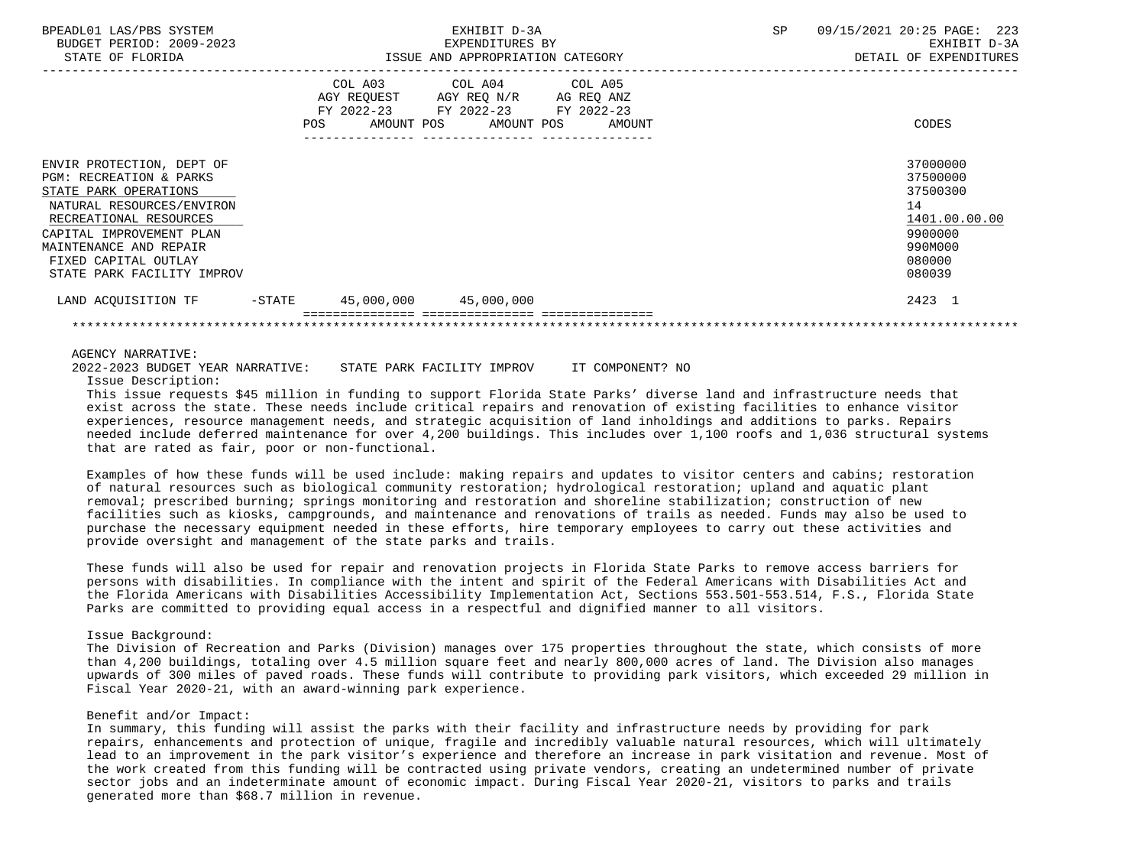| BPEADL01 LAS/PBS SYSTEM<br>BUDGET PERIOD: 2009-2023<br>STATE OF FLORIDA                                                                                                                                                                                     |                              | EXHIBIT D-3A<br>EXPENDITURES BY<br>ISSUE AND APPROPRIATION CATEGORY                                                                 | SP | 09/15/2021 20:25 PAGE: 223<br>EXHIBIT D-3A<br>DETAIL OF EXPENDITURES                              |
|-------------------------------------------------------------------------------------------------------------------------------------------------------------------------------------------------------------------------------------------------------------|------------------------------|-------------------------------------------------------------------------------------------------------------------------------------|----|---------------------------------------------------------------------------------------------------|
|                                                                                                                                                                                                                                                             | COL A03<br>AMOUNT POS<br>POS | COL A04 COL A05<br>AGY REQUEST AGY REQ N/R AG REQ ANZ<br>FY 2022-23 FY 2022-23 FY 2022-23<br>AMOUNT POS<br>AMOUNT<br>-------------- |    | CODES                                                                                             |
| ENVIR PROTECTION, DEPT OF<br><b>PGM: RECREATION &amp; PARKS</b><br>STATE PARK OPERATIONS<br>NATURAL RESOURCES/ENVIRON<br>RECREATIONAL RESOURCES<br>CAPITAL IMPROVEMENT PLAN<br>MAINTENANCE AND REPAIR<br>FIXED CAPITAL OUTLAY<br>STATE PARK FACILITY IMPROV |                              |                                                                                                                                     |    | 37000000<br>37500000<br>37500300<br>14<br>1401.00.00.00<br>9900000<br>990M000<br>080000<br>080039 |
| -STATE<br>LAND ACOUISITION TF                                                                                                                                                                                                                               | 45,000,000 45,000,000        |                                                                                                                                     |    | 2423 1                                                                                            |
|                                                                                                                                                                                                                                                             |                              |                                                                                                                                     |    |                                                                                                   |

### AGENCY NARRATIVE:

 2022-2023 BUDGET YEAR NARRATIVE: STATE PARK FACILITY IMPROV IT COMPONENT? NO Issue Description:

 This issue requests \$45 million in funding to support Florida State Parks' diverse land and infrastructure needs that exist across the state. These needs include critical repairs and renovation of existing facilities to enhance visitor experiences, resource management needs, and strategic acquisition of land inholdings and additions to parks. Repairs needed include deferred maintenance for over 4,200 buildings. This includes over 1,100 roofs and 1,036 structural systems that are rated as fair, poor or non-functional.

 Examples of how these funds will be used include: making repairs and updates to visitor centers and cabins; restoration of natural resources such as biological community restoration; hydrological restoration; upland and aquatic plant removal; prescribed burning; springs monitoring and restoration and shoreline stabilization; construction of new facilities such as kiosks, campgrounds, and maintenance and renovations of trails as needed. Funds may also be used to purchase the necessary equipment needed in these efforts, hire temporary employees to carry out these activities and provide oversight and management of the state parks and trails.

 These funds will also be used for repair and renovation projects in Florida State Parks to remove access barriers for persons with disabilities. In compliance with the intent and spirit of the Federal Americans with Disabilities Act and the Florida Americans with Disabilities Accessibility Implementation Act, Sections 553.501-553.514, F.S., Florida State Parks are committed to providing equal access in a respectful and dignified manner to all visitors.

## Issue Background:

 The Division of Recreation and Parks (Division) manages over 175 properties throughout the state, which consists of more than 4,200 buildings, totaling over 4.5 million square feet and nearly 800,000 acres of land. The Division also manages upwards of 300 miles of paved roads. These funds will contribute to providing park visitors, which exceeded 29 million in Fiscal Year 2020-21, with an award-winning park experience.

## Benefit and/or Impact:

 In summary, this funding will assist the parks with their facility and infrastructure needs by providing for park repairs, enhancements and protection of unique, fragile and incredibly valuable natural resources, which will ultimately lead to an improvement in the park visitor's experience and therefore an increase in park visitation and revenue. Most of the work created from this funding will be contracted using private vendors, creating an undetermined number of private sector jobs and an indeterminate amount of economic impact. During Fiscal Year 2020-21, visitors to parks and trails generated more than \$68.7 million in revenue.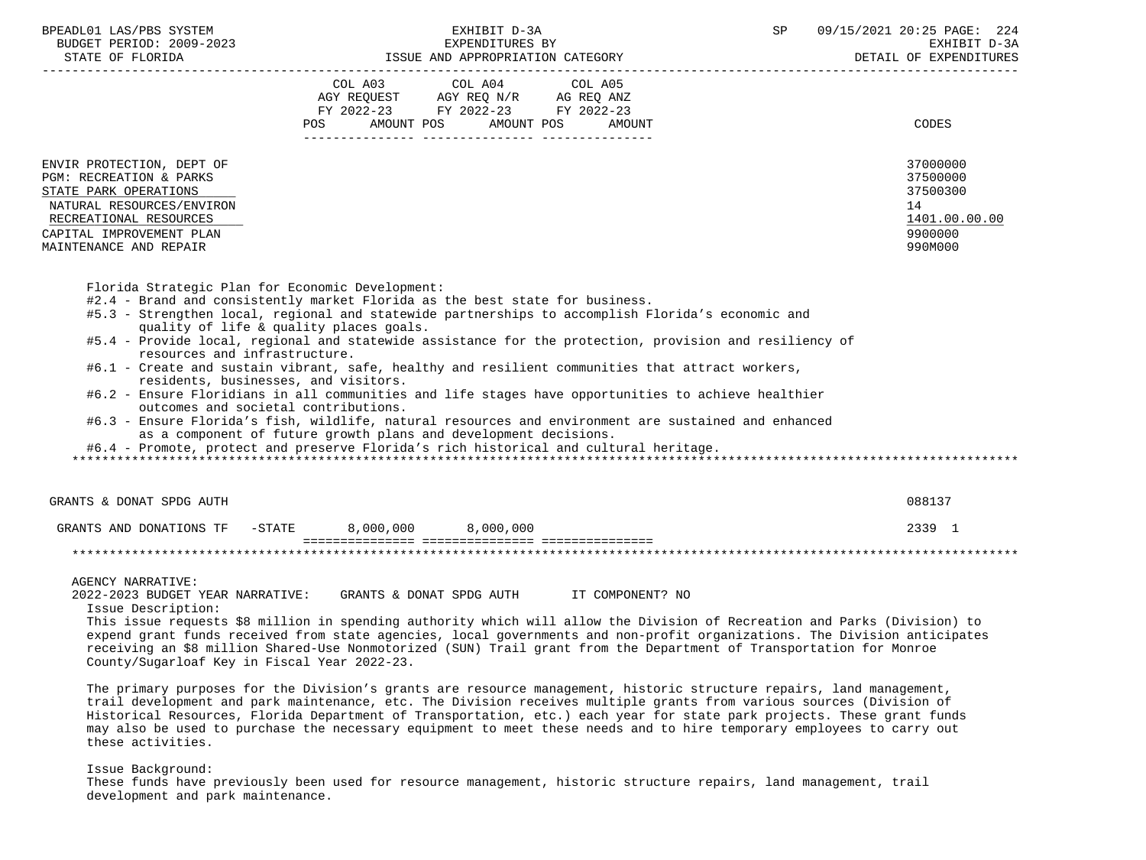| BPEADL01 LAS/PBS SYSTEM<br>BUDGET PERIOD: 2009-2023<br>STATE OF FLORIDA                                                                                                                               | EXHIBIT D-3A<br>EXPENDITURES BY<br>ISSUE AND APPROPRIATION CATEGORY                                                                                                    | 09/15/2021 20:25 PAGE: 224<br>SP<br>EXHIBIT D-3A<br>DETAIL OF EXPENDITURES    |
|-------------------------------------------------------------------------------------------------------------------------------------------------------------------------------------------------------|------------------------------------------------------------------------------------------------------------------------------------------------------------------------|-------------------------------------------------------------------------------|
|                                                                                                                                                                                                       | COL A03 COL A04 COL A05<br>AGY REQUEST AGY REQ N/R AG REQ ANZ<br>FY 2022-23 FY 2022-23 FY 2022-23<br>AMOUNT POS AMOUNT POS<br>AMOUNT<br>POS FOR THE POST OF THE STREET | CODES                                                                         |
| ENVIR PROTECTION, DEPT OF<br><b>PGM: RECREATION &amp; PARKS</b><br>STATE PARK OPERATIONS<br>NATURAL RESOURCES/ENVIRON<br>RECREATIONAL RESOURCES<br>CAPITAL IMPROVEMENT PLAN<br>MAINTENANCE AND REPAIR |                                                                                                                                                                        | 37000000<br>37500000<br>37500300<br>14<br>1401.00.00.00<br>9900000<br>990M000 |

- #2.4 Brand and consistently market Florida as the best state for business.
- #5.3 Strengthen local, regional and statewide partnerships to accomplish Florida's economic and quality of life & quality places goals.
- #5.4 Provide local, regional and statewide assistance for the protection, provision and resiliency of resources and infrastructure.
- #6.1 Create and sustain vibrant, safe, healthy and resilient communities that attract workers, residents, businesses, and visitors.
- #6.2 Ensure Floridians in all communities and life stages have opportunities to achieve healthier outcomes and societal contributions.
- #6.3 Ensure Florida's fish, wildlife, natural resources and environment are sustained and enhanced as a component of future growth plans and development decisions.

#6.4 - Promote, protect and preserve Florida's rich historical and cultural heritage.

\*\*\*\*\*\*\*\*\*\*\*\*\*\*\*\*\*\*\*\*\*\*\*\*\*\*\*\*\*\*\*\*\*\*\*\*\*\*\*\*\*\*\*\*\*\*\*\*\*\*\*\*\*\*\*\*\*\*\*\*\*\*\*\*\*\*\*\*\*\*\*\*\*\*\*\*\*\*\*\*\*\*\*\*\*\*\*\*\*\*\*\*\*\*\*\*\*\*\*\*\*\*\*\*\*\*\*\*\*\*\*\*\*\*\*\*\*\*\*\*\*\*\*\*\*\*\*

| GRANTS & DONAT SPDG AUTH |           |           |           | 088137 |
|--------------------------|-----------|-----------|-----------|--------|
| GRANTS AND DONATIONS TF  | $-$ STATE | 8,000,000 | 8,000,000 | 2339   |
|                          |           |           |           |        |
|                          |           |           |           |        |

AGENCY NARRATIVE:

2022-2023 BUDGET YEAR NARRATIVE: GRANTS & DONAT SPDG AUTH IT COMPONENT? NO

Issue Description:

 This issue requests \$8 million in spending authority which will allow the Division of Recreation and Parks (Division) to expend grant funds received from state agencies, local governments and non-profit organizations. The Division anticipates receiving an \$8 million Shared-Use Nonmotorized (SUN) Trail grant from the Department of Transportation for Monroe County/Sugarloaf Key in Fiscal Year 2022-23.

 The primary purposes for the Division's grants are resource management, historic structure repairs, land management, trail development and park maintenance, etc. The Division receives multiple grants from various sources (Division of Historical Resources, Florida Department of Transportation, etc.) each year for state park projects. These grant funds may also be used to purchase the necessary equipment to meet these needs and to hire temporary employees to carry out these activities.

### Issue Background:

 These funds have previously been used for resource management, historic structure repairs, land management, trail development and park maintenance.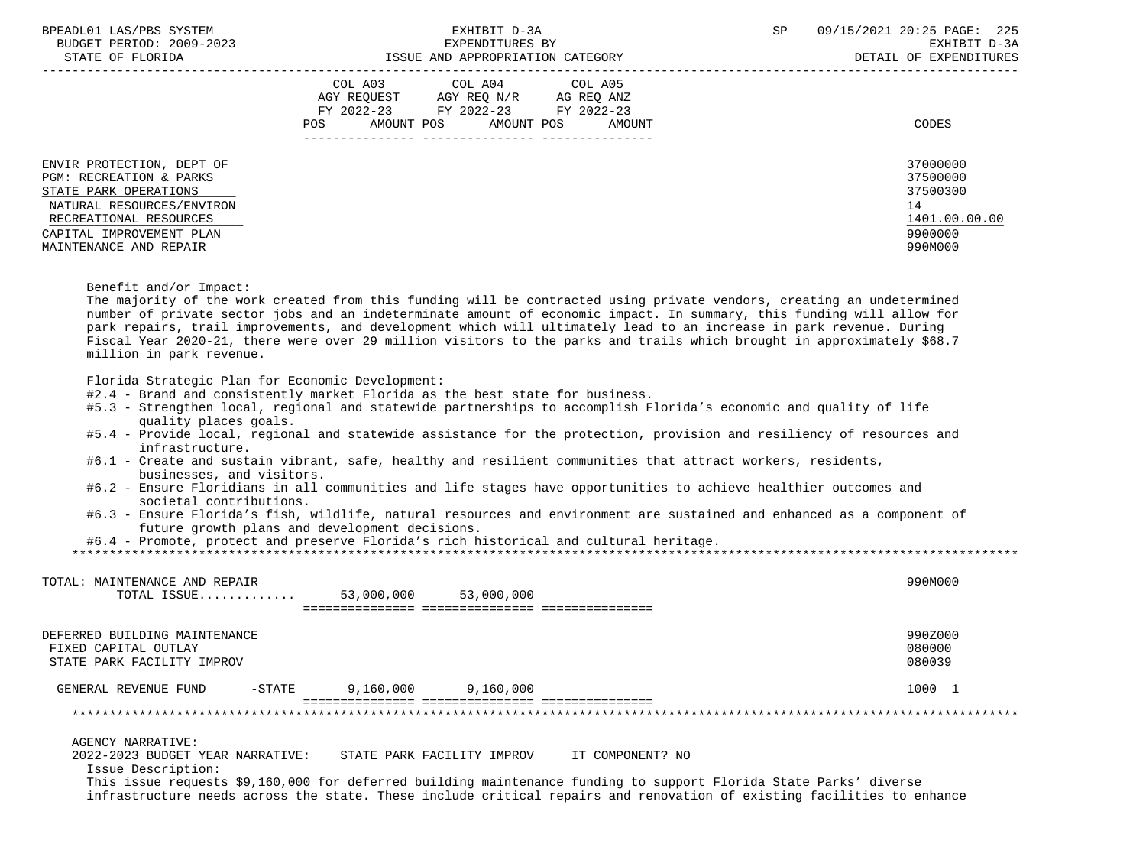| BPEADL01 LAS/PBS SYSTEM<br>BUDGET PERIOD: 2009-2023<br>STATE OF FLORIDA                                                                                                                    | EXHIBIT D-3A<br>EXPENDITURES BY<br>ISSUE AND APPROPRIATION CATEGORY                                                                                                                                                                                                                                                                                                                                                                                                                             | SP<br>09/15/2021 20:25 PAGE: 225<br>EXHIBIT D-3A<br>DETAIL OF EXPENDITURES    |
|--------------------------------------------------------------------------------------------------------------------------------------------------------------------------------------------|-------------------------------------------------------------------------------------------------------------------------------------------------------------------------------------------------------------------------------------------------------------------------------------------------------------------------------------------------------------------------------------------------------------------------------------------------------------------------------------------------|-------------------------------------------------------------------------------|
|                                                                                                                                                                                            | COL A03 COL A04<br>COL A05<br>AGY REQUEST AGY REQ N/R AG REQ ANZ<br>FY 2022-23 FY 2022-23 FY 2022-23<br>AMOUNT POS<br><b>POS</b><br>AMOUNT POS<br>AMOUNT                                                                                                                                                                                                                                                                                                                                        | CODES                                                                         |
| ENVIR PROTECTION, DEPT OF<br>PGM: RECREATION & PARKS<br>STATE PARK OPERATIONS<br>NATURAL RESOURCES/ENVIRON<br>RECREATIONAL RESOURCES<br>CAPITAL IMPROVEMENT PLAN<br>MAINTENANCE AND REPAIR |                                                                                                                                                                                                                                                                                                                                                                                                                                                                                                 | 37000000<br>37500000<br>37500300<br>14<br>1401.00.00.00<br>9900000<br>990M000 |
| Benefit and/or Impact:<br>million in park revenue.                                                                                                                                         | The majority of the work created from this funding will be contracted using private vendors, creating an undetermined<br>number of private sector jobs and an indeterminate amount of economic impact. In summary, this funding will allow for<br>park repairs, trail improvements, and development which will ultimately lead to an increase in park revenue. During<br>Fiscal Year 2020-21, there were over 29 million visitors to the parks and trails which brought in approximately \$68.7 |                                                                               |
| Florida Strategic Plan for Economic Development:<br>quality places goals.<br>infrastructure.                                                                                               | #2.4 - Brand and consistently market Florida as the best state for business.<br>#5.3 - Strengthen local, regional and statewide partnerships to accomplish Florida's economic and quality of life<br>#5.4 - Provide local, regional and statewide assistance for the protection, provision and resiliency of resources and<br>#6.1 - Create and sustain vibrant, safe, healthy and resilient communities that attract workers, residents,                                                       |                                                                               |
| businesses, and visitors.<br>societal contributions.                                                                                                                                       | #6.2 - Ensure Floridians in all communities and life stages have opportunities to achieve healthier outcomes and<br>#6.3 - Ensure Florida's fish, wildlife, natural resources and environment are sustained and enhanced as a component of<br>future growth plans and development decisions.<br>#6.4 - Promote, protect and preserve Florida's rich historical and cultural heritage.                                                                                                           |                                                                               |
| TOTAL: MAINTENANCE AND REPAIR<br>TOTAL ISSUE                                                                                                                                               | 53,000,000<br>53,000,000                                                                                                                                                                                                                                                                                                                                                                                                                                                                        | 990M000                                                                       |
| DEFERRED BUILDING MAINTENANCE<br>FIXED CAPITAL OUTLAY                                                                                                                                      |                                                                                                                                                                                                                                                                                                                                                                                                                                                                                                 | 990Z000<br>080000                                                             |

STATE PARK FACILITY IMPROV 800039

GENERAL REVENUE FUND -STATE 9,160,000 9,160,000 1000 1000 1000 1

 =============== =============== =============== \*\*\*\*\*\*\*\*\*\*\*\*\*\*\*\*\*\*\*\*\*\*\*\*\*\*\*\*\*\*\*\*\*\*\*\*\*\*\*\*\*\*\*\*\*\*\*\*\*\*\*\*\*\*\*\*\*\*\*\*\*\*\*\*\*\*\*\*\*\*\*\*\*\*\*\*\*\*\*\*\*\*\*\*\*\*\*\*\*\*\*\*\*\*\*\*\*\*\*\*\*\*\*\*\*\*\*\*\*\*\*\*\*\*\*\*\*\*\*\*\*\*\*\*\*\*\*

AGENCY NARRATIVE:<br>2022-2023 BUDGET YEAR NARRATIVE: STATE PARK FACILITY IMPROV IT COMPONENT? NO

Issue Description:

 This issue requests \$9,160,000 for deferred building maintenance funding to support Florida State Parks' diverse infrastructure needs across the state. These include critical repairs and renovation of existing facilities to enhance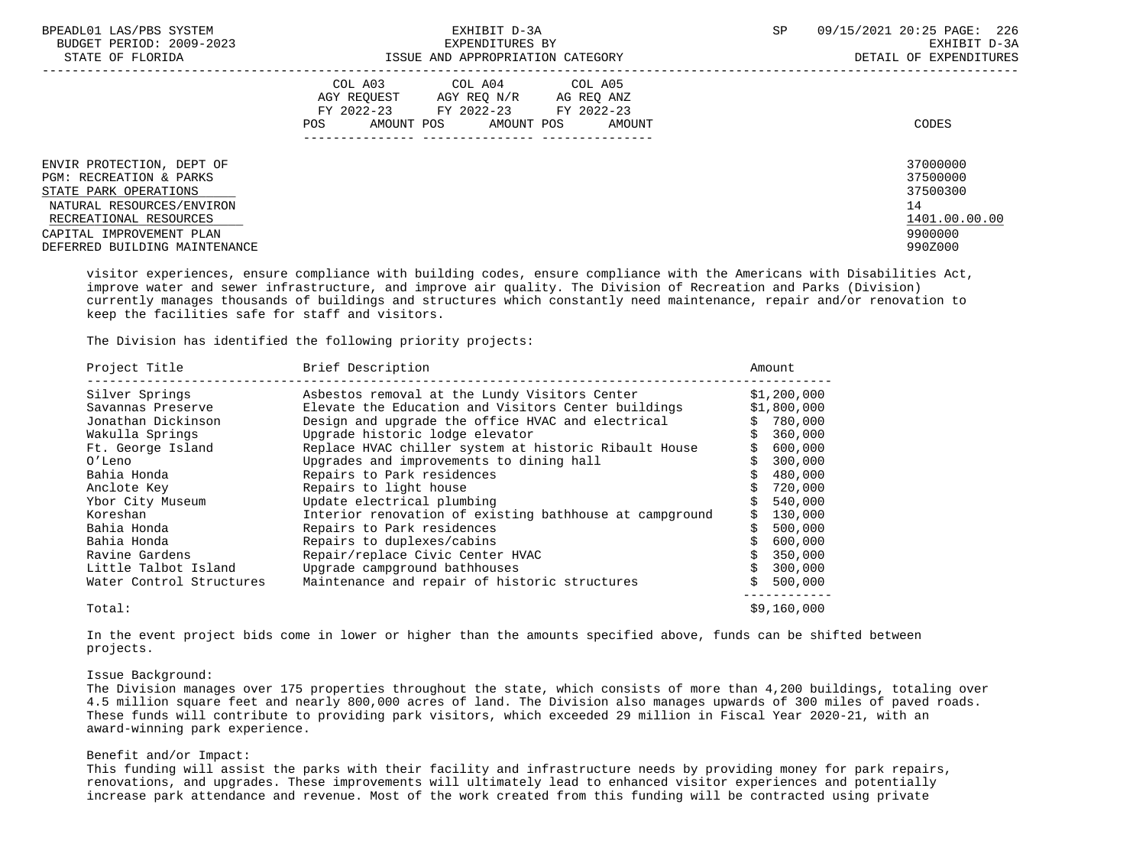| BPEADL01 LAS/PBS SYSTEM<br>BUDGET PERIOD: 2009-2023<br>STATE OF FLORIDA                                                                                                                                      | EXHIBIT D-3A<br>EXPENDITURES BY<br>ISSUE AND APPROPRIATION CATEGORY                                                                               | <b>SP</b><br>09/15/2021 20:25 PAGE: 226<br>EXHIBIT D-3A<br>DETAIL OF EXPENDITURES |
|--------------------------------------------------------------------------------------------------------------------------------------------------------------------------------------------------------------|---------------------------------------------------------------------------------------------------------------------------------------------------|-----------------------------------------------------------------------------------|
|                                                                                                                                                                                                              | COL A03<br>COL A04 COL A05<br>AGY REOUEST<br>AGY REQ N/R AG REQ ANZ<br>FY 2022-23 FY 2022-23 FY 2022-23<br>AMOUNT POS AMOUNT POS<br>POS<br>AMOUNT | CODES                                                                             |
| ENVIR PROTECTION, DEPT OF<br><b>PGM: RECREATION &amp; PARKS</b><br>STATE PARK OPERATIONS<br>NATURAL RESOURCES/ENVIRON<br>RECREATIONAL RESOURCES<br>CAPITAL IMPROVEMENT PLAN<br>DEFERRED BUILDING MAINTENANCE |                                                                                                                                                   | 37000000<br>37500000<br>37500300<br>14<br>1401.00.00.00<br>9900000<br>990Z000     |

 visitor experiences, ensure compliance with building codes, ensure compliance with the Americans with Disabilities Act, improve water and sewer infrastructure, and improve air quality. The Division of Recreation and Parks (Division) currently manages thousands of buildings and structures which constantly need maintenance, repair and/or renovation to keep the facilities safe for staff and visitors.

The Division has identified the following priority projects:

| Project Title            | Brief Description                                       | Amount      |
|--------------------------|---------------------------------------------------------|-------------|
| Silver Springs           | Asbestos removal at the Lundy Visitors Center           | \$1,200,000 |
| Savannas Preserve        | Elevate the Education and Visitors Center buildings     | \$1,800,000 |
| Jonathan Dickinson       | Design and upgrade the office HVAC and electrical       | 780,000     |
| Wakulla Springs          | Upgrade historic lodge elevator                         | 360,000     |
| Ft. George Island        | Replace HVAC chiller system at historic Ribault House   | 600,000     |
| O'Leno                   | Upgrades and improvements to dining hall                | 300,000     |
| Bahia Honda              | Repairs to Park residences                              | 480,000     |
| Anclote Key              | Repairs to light house                                  | 720,000     |
| Ybor City Museum         | Update electrical plumbing                              | 540,000     |
| Koreshan                 | Interior renovation of existing bathhouse at campground | 130,000     |
| Bahia Honda              | Repairs to Park residences                              | 500,000     |
| Bahia Honda              | Repairs to duplexes/cabins                              | 600,000     |
| Ravine Gardens           | Repair/replace Civic Center HVAC                        | 350,000     |
| Little Talbot Island     | Upgrade campground bathhouses                           | 300,000     |
| Water Control Structures | Maintenance and repair of historic structures           | 500,000     |
| Total:                   |                                                         | \$9,160,000 |

 In the event project bids come in lower or higher than the amounts specified above, funds can be shifted between projects.

### Issue Background:

 The Division manages over 175 properties throughout the state, which consists of more than 4,200 buildings, totaling over 4.5 million square feet and nearly 800,000 acres of land. The Division also manages upwards of 300 miles of paved roads. These funds will contribute to providing park visitors, which exceeded 29 million in Fiscal Year 2020-21, with an award-winning park experience.

## Benefit and/or Impact:

 This funding will assist the parks with their facility and infrastructure needs by providing money for park repairs, renovations, and upgrades. These improvements will ultimately lead to enhanced visitor experiences and potentially increase park attendance and revenue. Most of the work created from this funding will be contracted using private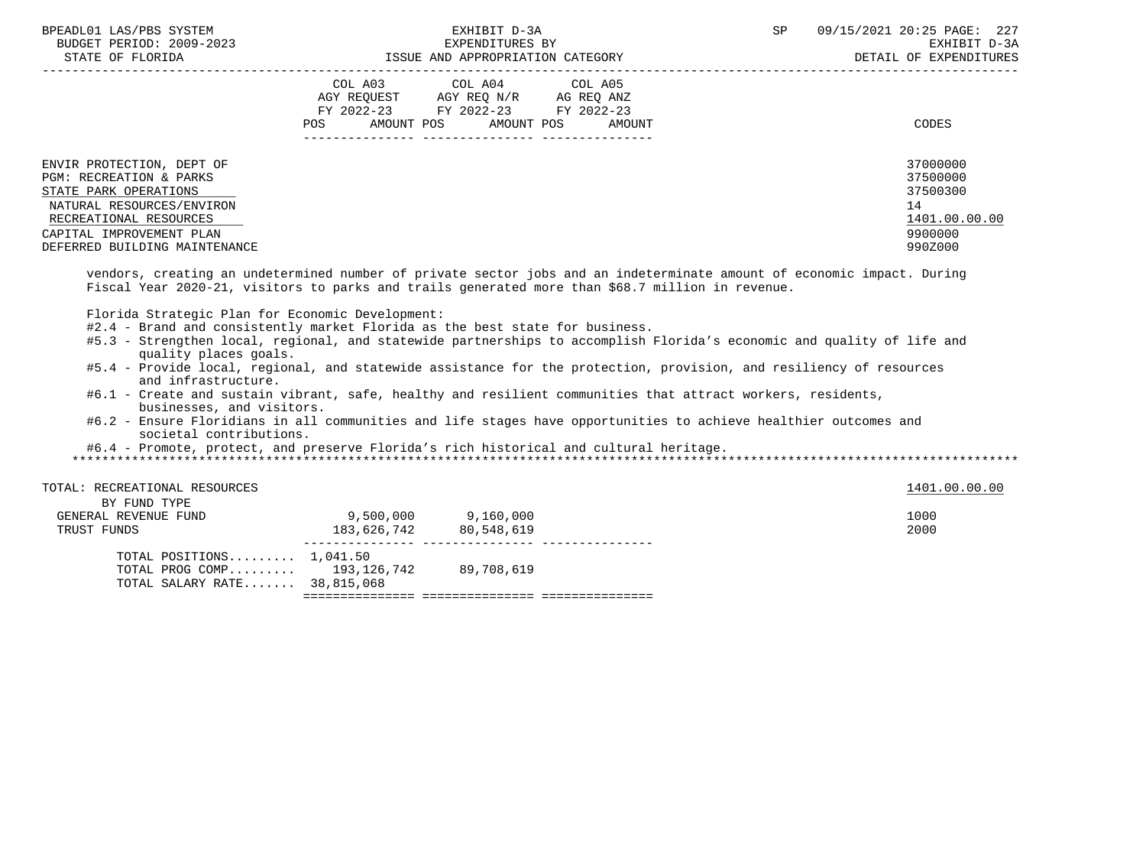| BPEADL01 LAS/PBS SYSTEM<br>BUDGET PERIOD: 2009-2023<br>STATE OF FLORIDA                                                                                                                           | EXHIBIT D-3A<br>EXPENDITURES BY<br>ISSUE AND APPROPRIATION CATEGORY                                                                      | SP | 09/15/2021 20:25 PAGE: 227<br>EXHIBIT D-3A<br>DETAIL OF EXPENDITURES          |
|---------------------------------------------------------------------------------------------------------------------------------------------------------------------------------------------------|------------------------------------------------------------------------------------------------------------------------------------------|----|-------------------------------------------------------------------------------|
|                                                                                                                                                                                                   | COL A03 COL A04 COL A05<br>AGY REQUEST AGY REQ N/R AG REQ ANZ<br>FY 2022-23 FY 2022-23 FY 2022-23<br>AMOUNT POS AMOUNT POS AMOUNT<br>POS |    | CODES                                                                         |
| ENVIR PROTECTION, DEPT OF<br>PGM: RECREATION & PARKS<br>STATE PARK OPERATIONS<br>NATURAL RESOURCES/ENVIRON<br>RECREATIONAL RESOURCES<br>CAPITAL IMPROVEMENT PLAN<br>DEFERRED BUILDING MAINTENANCE |                                                                                                                                          |    | 37000000<br>37500000<br>37500300<br>14<br>1401.00.00.00<br>9900000<br>990Z000 |

 vendors, creating an undetermined number of private sector jobs and an indeterminate amount of economic impact. During Fiscal Year 2020-21, visitors to parks and trails generated more than \$68.7 million in revenue.

Florida Strategic Plan for Economic Development:

- #2.4 Brand and consistently market Florida as the best state for business.
- #5.3 Strengthen local, regional, and statewide partnerships to accomplish Florida's economic and quality of life and quality places goals.
- #5.4 Provide local, regional, and statewide assistance for the protection, provision, and resiliency of resources and infrastructure.
- #6.1 Create and sustain vibrant, safe, healthy and resilient communities that attract workers, residents, businesses, and visitors.
- #6.2 Ensure Floridians in all communities and life stages have opportunities to achieve healthier outcomes and societal contributions.

#6.4 - Promote, protect, and preserve Florida's rich historical and cultural heritage.

\*\*\*\*\*\*\*\*\*\*\*\*\*\*\*\*\*\*\*\*\*\*\*\*\*\*\*\*\*\*\*\*\*\*\*\*\*\*\*\*\*\*\*\*\*\*\*\*\*\*\*\*\*\*\*\*\*\*\*\*\*\*\*\*\*\*\*\*\*\*\*\*\*\*\*\*\*\*\*\*\*\*\*\*\*\*\*\*\*\*\*\*\*\*\*\*\*\*\*\*\*\*\*\*\*\*\*\*\*\*\*\*\*\*\*\*\*\*\*\*\*\*\*\*\*\*\*

| TOTAL: RECREATIONAL RESOURCES |             |            | 1401.00.00.00 |
|-------------------------------|-------------|------------|---------------|
| BY FUND TYPE                  |             |            |               |
| GENERAL REVENUE FUND          | 9,500,000   | 9,160,000  | 1000          |
| TRUST FUNDS                   | 183,626,742 | 80,548,619 | 2000          |
| TOTAL POSITIONS $1,041.50$    |             |            |               |
| TOTAL PROG COMP $193,126,742$ |             | 89,708,619 |               |
| TOTAL SALARY RATE 38,815,068  |             |            |               |

=============== =============== ===============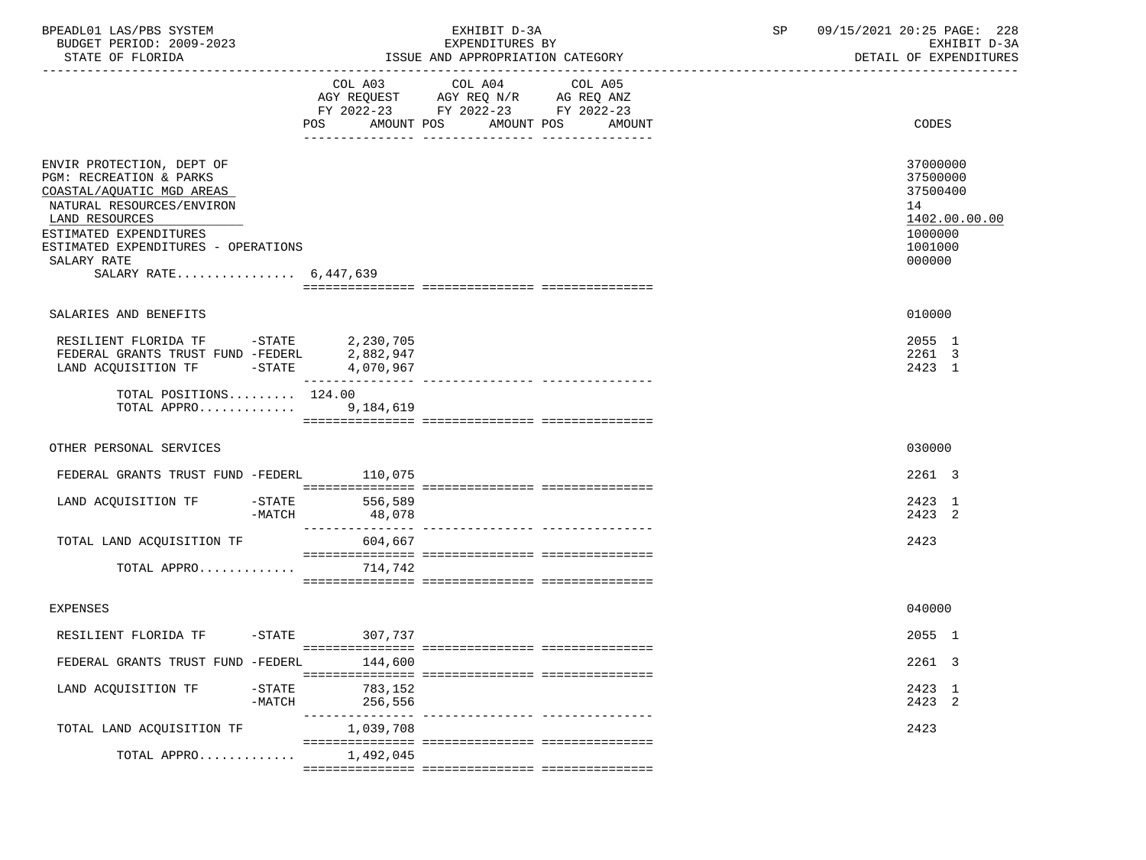| BPEADL01 LAS/PBS SYSTEM<br>BUDGET PERIOD: 2009-2023<br>STATE OF FLORIDA                                                                                                                                                                   | EXHIBIT D-3A<br>EXPENDITURES BY<br>ISSUE AND APPROPRIATION CATEGORY                                                                               | 09/15/2021 20:25 PAGE: 228<br>SP<br>EXHIBIT D-3A<br>DETAIL OF EXPENDITURES              |
|-------------------------------------------------------------------------------------------------------------------------------------------------------------------------------------------------------------------------------------------|---------------------------------------------------------------------------------------------------------------------------------------------------|-----------------------------------------------------------------------------------------|
|                                                                                                                                                                                                                                           | COL A03<br>COL A04<br>COL A05<br>AGY REQUEST AGY REQ N/R AG REQ ANZ<br>FY 2022-23 FY 2022-23 FY 2022-23<br>AMOUNT POS AMOUNT POS<br>POS<br>AMOUNT | CODES                                                                                   |
| ENVIR PROTECTION, DEPT OF<br>PGM: RECREATION & PARKS<br>COASTAL/AQUATIC MGD AREAS<br>NATURAL RESOURCES/ENVIRON<br>LAND RESOURCES<br>ESTIMATED EXPENDITURES<br>ESTIMATED EXPENDITURES - OPERATIONS<br>SALARY RATE<br>SALARY RATE 6,447,639 |                                                                                                                                                   | 37000000<br>37500000<br>37500400<br>14<br>1402.00.00.00<br>1000000<br>1001000<br>000000 |
| SALARIES AND BENEFITS                                                                                                                                                                                                                     |                                                                                                                                                   | 010000                                                                                  |
| $-STATE$<br>LAND ACQUISITION TF                                                                                                                                                                                                           | 4,070,967                                                                                                                                         | 2055 1<br>2261 3<br>2423 1                                                              |
| TOTAL POSITIONS 124.00<br>TOTAL APPRO 9, 184, 619                                                                                                                                                                                         |                                                                                                                                                   |                                                                                         |
| OTHER PERSONAL SERVICES                                                                                                                                                                                                                   |                                                                                                                                                   | 030000                                                                                  |
| FEDERAL GRANTS TRUST FUND -FEDERL 110,075                                                                                                                                                                                                 |                                                                                                                                                   | 2261 3                                                                                  |
| LAND ACQUISITION TF -STATE 556,589<br>-MATCH                                                                                                                                                                                              | 48,078                                                                                                                                            | 2423 1<br>2423 2                                                                        |
| TOTAL LAND ACQUISITION TF                                                                                                                                                                                                                 | 604,667                                                                                                                                           | 2423                                                                                    |
| TOTAL APPRO $714,742$                                                                                                                                                                                                                     |                                                                                                                                                   |                                                                                         |
| <b>EXPENSES</b>                                                                                                                                                                                                                           |                                                                                                                                                   | 040000                                                                                  |
| RESILIENT FLORIDA TF -STATE 307,737                                                                                                                                                                                                       |                                                                                                                                                   | 2055 1                                                                                  |
| FEDERAL GRANTS TRUST FUND -FEDERL                                                                                                                                                                                                         | 144,600                                                                                                                                           | 2261 3                                                                                  |
| LAND ACOUISITION TF<br>$-STATE$<br>$-MATCH$                                                                                                                                                                                               | 783,152<br>256,556                                                                                                                                | 2423 1<br>2423 2                                                                        |
| TOTAL LAND ACQUISITION TF                                                                                                                                                                                                                 | ------------- ---------------<br>1,039,708                                                                                                        | 2423                                                                                    |
| TOTAL APPRO                                                                                                                                                                                                                               | 1,492,045                                                                                                                                         |                                                                                         |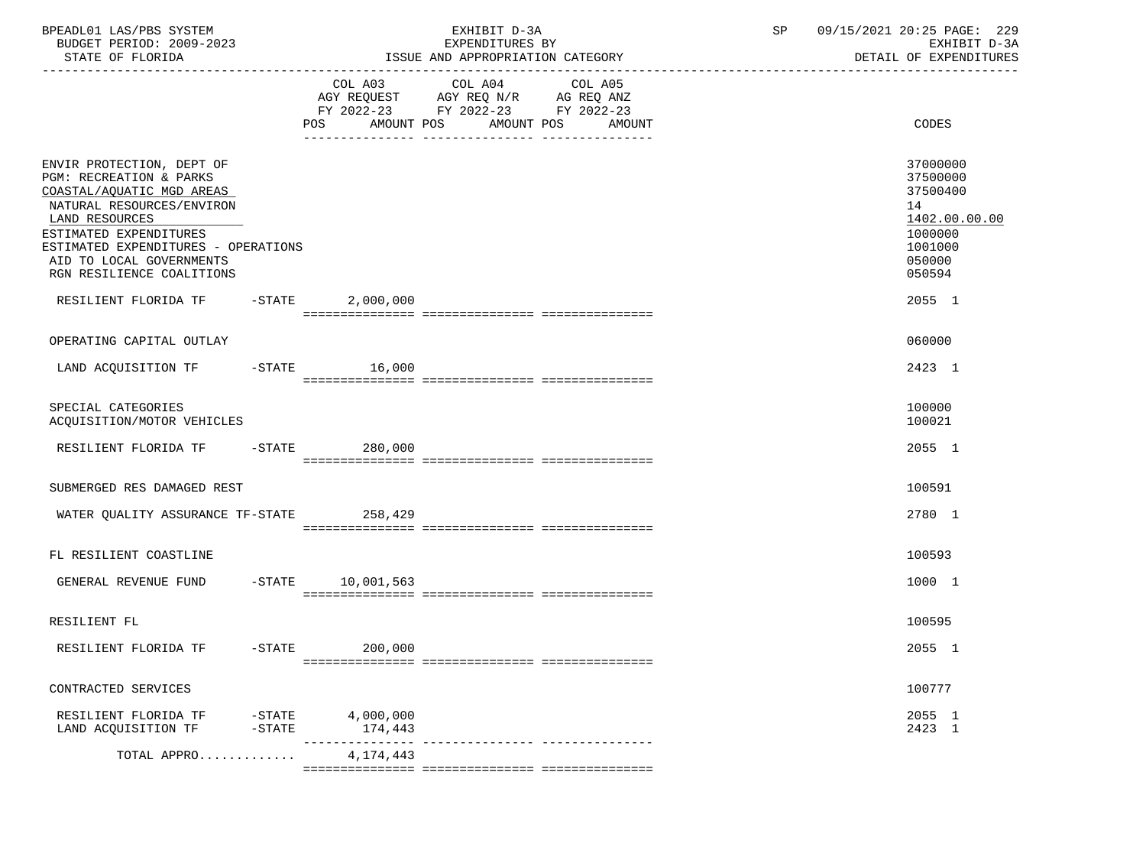| BPEADL01 LAS/PBS SYSTEM<br>BUDGET PERIOD: 2009-2023<br>STATE OF FLORIDA                                                                                                                                                                                    |                        |                      | EXHIBIT D-3A<br>EXPENDITURES BY<br>ISSUE AND APPROPRIATION CATEGORY                                                                      | 09/15/2021 20:25 PAGE: 229<br>SP<br>EXHIBIT D-3A<br>DETAIL OF EXPENDITURES                        |  |  |
|------------------------------------------------------------------------------------------------------------------------------------------------------------------------------------------------------------------------------------------------------------|------------------------|----------------------|------------------------------------------------------------------------------------------------------------------------------------------|---------------------------------------------------------------------------------------------------|--|--|
|                                                                                                                                                                                                                                                            |                        |                      | COL A03 COL A04<br>COL A05<br>AGY REQUEST AGY REQ N/R AG REQ ANZ<br>FY 2022-23 FY 2022-23 FY 2022-23<br>POS AMOUNT POS AMOUNT POS AMOUNT | CODES                                                                                             |  |  |
| ENVIR PROTECTION, DEPT OF<br>PGM: RECREATION & PARKS<br>COASTAL/AQUATIC MGD AREAS<br>NATURAL RESOURCES/ENVIRON<br>LAND RESOURCES<br>ESTIMATED EXPENDITURES<br>ESTIMATED EXPENDITURES - OPERATIONS<br>AID TO LOCAL GOVERNMENTS<br>RGN RESILIENCE COALITIONS |                        |                      |                                                                                                                                          | 37000000<br>37500000<br>37500400<br>14<br>1402.00.00.00<br>1000000<br>1001000<br>050000<br>050594 |  |  |
| RESILIENT FLORIDA TF -STATE 2,000,000                                                                                                                                                                                                                      |                        |                      |                                                                                                                                          | 2055 1                                                                                            |  |  |
| OPERATING CAPITAL OUTLAY                                                                                                                                                                                                                                   |                        |                      |                                                                                                                                          | 060000                                                                                            |  |  |
| LAND ACQUISITION TF  -STATE  16,000                                                                                                                                                                                                                        |                        |                      |                                                                                                                                          | 2423 1                                                                                            |  |  |
| SPECIAL CATEGORIES<br>ACQUISITION/MOTOR VEHICLES                                                                                                                                                                                                           |                        |                      |                                                                                                                                          | 100000<br>100021                                                                                  |  |  |
| RESILIENT FLORIDA TF -STATE 280,000                                                                                                                                                                                                                        |                        |                      |                                                                                                                                          | 2055 1                                                                                            |  |  |
| SUBMERGED RES DAMAGED REST                                                                                                                                                                                                                                 |                        |                      |                                                                                                                                          | 100591                                                                                            |  |  |
| WATER QUALITY ASSURANCE TF-STATE 258,429                                                                                                                                                                                                                   |                        |                      |                                                                                                                                          | 2780 1                                                                                            |  |  |
| FL RESILIENT COASTLINE                                                                                                                                                                                                                                     |                        |                      |                                                                                                                                          | 100593                                                                                            |  |  |
| GENERAL REVENUE FUND -STATE 10,001,563                                                                                                                                                                                                                     |                        |                      |                                                                                                                                          | 1000 1                                                                                            |  |  |
| RESILIENT FL                                                                                                                                                                                                                                               |                        |                      |                                                                                                                                          | 100595                                                                                            |  |  |
| RESILIENT FLORIDA TF                                                                                                                                                                                                                                       | $-$ STATE              | 200,000              |                                                                                                                                          | 2055 1                                                                                            |  |  |
| CONTRACTED SERVICES                                                                                                                                                                                                                                        |                        |                      |                                                                                                                                          | 100777                                                                                            |  |  |
| RESILIENT FLORIDA TF<br>LAND ACQUISITION TF                                                                                                                                                                                                                | $-$ STATE<br>$-$ STATE | 4,000,000<br>174,443 |                                                                                                                                          | 2055 1<br>2423 1                                                                                  |  |  |
| TOTAL APPRO                                                                                                                                                                                                                                                |                        | 4,174,443            |                                                                                                                                          |                                                                                                   |  |  |
|                                                                                                                                                                                                                                                            |                        |                      |                                                                                                                                          |                                                                                                   |  |  |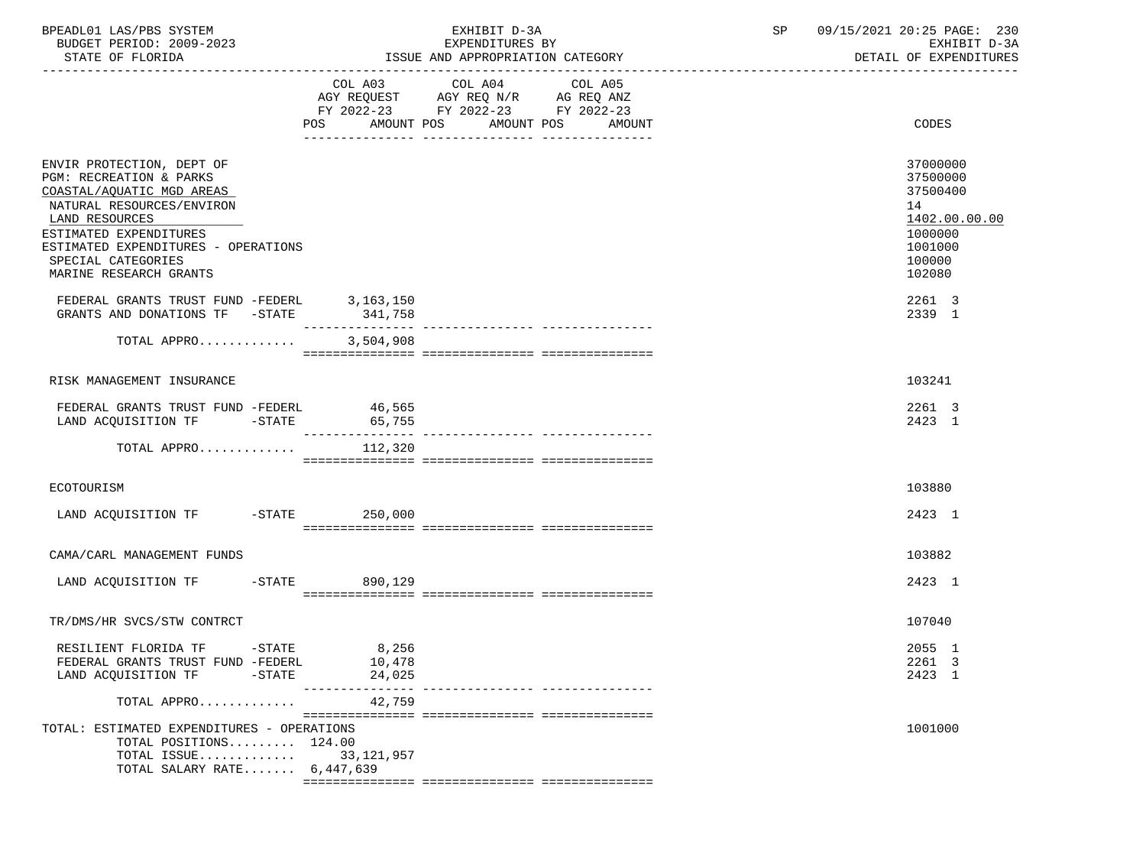| BPEADL01 LAS/PBS SYSTEM<br>BUDGET PERIOD: 2009-2023<br>STATE OF FLORIDA                                                                                                                                                                           |                           | EXHIBIT D-3A<br>EXPENDITURES BY<br>ISSUE AND APPROPRIATION CATEGORY                                                                         | SP | 09/15/2021 20:25 PAGE: 230<br>EXHIBIT D-3A<br>DETAIL OF EXPENDITURES                              |  |
|---------------------------------------------------------------------------------------------------------------------------------------------------------------------------------------------------------------------------------------------------|---------------------------|---------------------------------------------------------------------------------------------------------------------------------------------|----|---------------------------------------------------------------------------------------------------|--|
|                                                                                                                                                                                                                                                   |                           | COL A03 COL A04<br>COL A05<br>AGY REQUEST AGY REQ N/R AG REQ ANZ<br>FY 2022-23 FY 2022-23 FY 2022-23<br>POS AMOUNT POS AMOUNT POS<br>AMOUNT |    | <b>CODES</b>                                                                                      |  |
| ENVIR PROTECTION, DEPT OF<br>PGM: RECREATION & PARKS<br>COASTAL/AQUATIC MGD AREAS<br>NATURAL RESOURCES/ENVIRON<br>LAND RESOURCES<br>ESTIMATED EXPENDITURES<br>ESTIMATED EXPENDITURES - OPERATIONS<br>SPECIAL CATEGORIES<br>MARINE RESEARCH GRANTS |                           |                                                                                                                                             |    | 37000000<br>37500000<br>37500400<br>14<br>1402.00.00.00<br>1000000<br>1001000<br>100000<br>102080 |  |
| FEDERAL GRANTS TRUST FUND -FEDERL 3,163,150<br>GRANTS AND DONATIONS TF -STATE                                                                                                                                                                     | 341,758                   |                                                                                                                                             |    | 2261 3<br>2339 1                                                                                  |  |
| TOTAL APPRO                                                                                                                                                                                                                                       | 3,504,908                 |                                                                                                                                             |    |                                                                                                   |  |
| RISK MANAGEMENT INSURANCE                                                                                                                                                                                                                         |                           |                                                                                                                                             |    | 103241                                                                                            |  |
| FEDERAL GRANTS TRUST FUND -FEDERL 46,565<br>LAND ACQUISITION TF -STATE 65,755                                                                                                                                                                     |                           |                                                                                                                                             |    | 2261 3<br>2423 1                                                                                  |  |
| TOTAL APPRO                                                                                                                                                                                                                                       | 112,320                   |                                                                                                                                             |    |                                                                                                   |  |
| ECOTOURISM                                                                                                                                                                                                                                        |                           |                                                                                                                                             |    | 103880                                                                                            |  |
| LAND ACQUISITION TF -STATE 250,000                                                                                                                                                                                                                |                           |                                                                                                                                             |    | 2423 1                                                                                            |  |
| CAMA/CARL MANAGEMENT FUNDS                                                                                                                                                                                                                        |                           |                                                                                                                                             |    | 103882                                                                                            |  |
| LAND ACQUISITION TF -STATE 890,129                                                                                                                                                                                                                |                           |                                                                                                                                             |    | 2423 1                                                                                            |  |
| TR/DMS/HR SVCS/STW CONTRCT                                                                                                                                                                                                                        |                           |                                                                                                                                             |    | 107040                                                                                            |  |
| RESILIENT FLORIDA TF<br>$-STATE$                                                                                                                                                                                                                  | 8,256                     |                                                                                                                                             |    | 2055 1                                                                                            |  |
| FEDERAL GRANTS TRUST FUND -FEDERL                                                                                                                                                                                                                 | 10,478                    |                                                                                                                                             |    | 2261 3                                                                                            |  |
| LAND ACQUISITION TF<br>$-$ STATE                                                                                                                                                                                                                  | 24,025<br>--------------- |                                                                                                                                             |    | 2423 1                                                                                            |  |
| TOTAL APPRO                                                                                                                                                                                                                                       | 42,759                    |                                                                                                                                             |    |                                                                                                   |  |
| TOTAL: ESTIMATED EXPENDITURES - OPERATIONS<br>TOTAL POSITIONS 124.00<br>TOTAL ISSUE<br>TOTAL SALARY RATE 6,447,639                                                                                                                                | 33, 121, 957              |                                                                                                                                             |    | 1001000                                                                                           |  |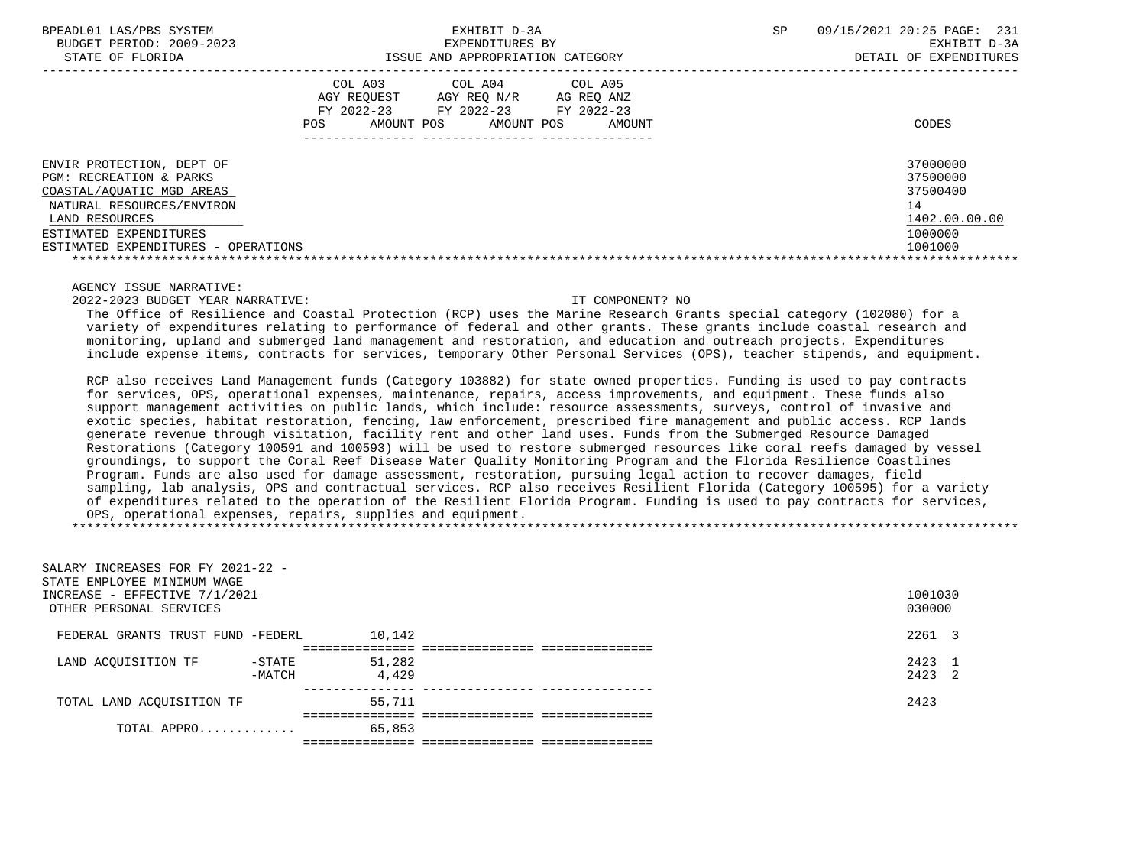ISSUE AND APPROPRIATION CATEGORY

BPEADL01 LAS/PBS SYSTEM SALL SALL STATES TO A SP 09/15/2021 20:25 PAGE: 231 BUDGET PERIOD: 2009-2023 EXPENDITURES BY EXHIBIT D-3A

|                                                                                                                                                                                                   | COL A03<br>AGY REOUEST<br>FY 2022-23<br>AMOUNT POS<br>POS | COL A04<br>AGY REO N/R<br>FY 2022-23<br>AMOUNT POS | COL A05<br>AG REO ANZ<br>FY 2022-23<br>AMOUNT | CODES                                                                         |
|---------------------------------------------------------------------------------------------------------------------------------------------------------------------------------------------------|-----------------------------------------------------------|----------------------------------------------------|-----------------------------------------------|-------------------------------------------------------------------------------|
| ENVIR PROTECTION, DEPT OF<br>PGM: RECREATION & PARKS<br>COASTAL/AOUATIC MGD AREAS<br>NATURAL RESOURCES/ENVIRON<br>LAND RESOURCES<br>ESTIMATED EXPENDITURES<br>ESTIMATED EXPENDITURES - OPERATIONS |                                                           |                                                    |                                               | 37000000<br>37500000<br>37500400<br>14<br>1402.00.00.00<br>1000000<br>1001000 |

AGENCY ISSUE NARRATIVE:

2022-2023 BUDGET YEAR NARRATIVE: IT COMPONENT? NO

 The Office of Resilience and Coastal Protection (RCP) uses the Marine Research Grants special category (102080) for a variety of expenditures relating to performance of federal and other grants. These grants include coastal research and monitoring, upland and submerged land management and restoration, and education and outreach projects. Expenditures include expense items, contracts for services, temporary Other Personal Services (OPS), teacher stipends, and equipment.

 RCP also receives Land Management funds (Category 103882) for state owned properties. Funding is used to pay contracts for services, OPS, operational expenses, maintenance, repairs, access improvements, and equipment. These funds also support management activities on public lands, which include: resource assessments, surveys, control of invasive and exotic species, habitat restoration, fencing, law enforcement, prescribed fire management and public access. RCP lands generate revenue through visitation, facility rent and other land uses. Funds from the Submerged Resource Damaged Restorations (Category 100591 and 100593) will be used to restore submerged resources like coral reefs damaged by vessel groundings, to support the Coral Reef Disease Water Quality Monitoring Program and the Florida Resilience Coastlines Program. Funds are also used for damage assessment, restoration, pursuing legal action to recover damages, field sampling, lab analysis, OPS and contractual services. RCP also receives Resilient Florida (Category 100595) for a variety of expenditures related to the operation of the Resilient Florida Program. Funding is used to pay contracts for services, OPS, operational expenses, repairs, supplies and equipment. \*\*\*\*\*\*\*\*\*\*\*\*\*\*\*\*\*\*\*\*\*\*\*\*\*\*\*\*\*\*\*\*\*\*\*\*\*\*\*\*\*\*\*\*\*\*\*\*\*\*\*\*\*\*\*\*\*\*\*\*\*\*\*\*\*\*\*\*\*\*\*\*\*\*\*\*\*\*\*\*\*\*\*\*\*\*\*\*\*\*\*\*\*\*\*\*\*\*\*\*\*\*\*\*\*\*\*\*\*\*\*\*\*\*\*\*\*\*\*\*\*\*\*\*\*\*\*

| SALARY INCREASES FOR FY 2021-22 -<br>STATE EMPLOYEE MINIMUM WAGE |           |        |                   |
|------------------------------------------------------------------|-----------|--------|-------------------|
| INCREASE - EFFECTIVE 7/1/2021<br>OTHER PERSONAL SERVICES         |           |        | 1001030<br>030000 |
| FEDERAL GRANTS TRUST FUND -FEDERL                                |           | 10,142 | 2261 3            |
|                                                                  |           |        |                   |
| LAND ACOUISITION TF                                              | $-$ STATE | 51,282 | 2423 1            |
|                                                                  | -MATCH    | 4,429  | 2423 2            |
| TOTAL LAND ACQUISITION TF                                        |           | 55,711 | 2423              |
|                                                                  |           |        |                   |
| TOTAL APPRO                                                      |           | 65,853 |                   |
|                                                                  |           |        |                   |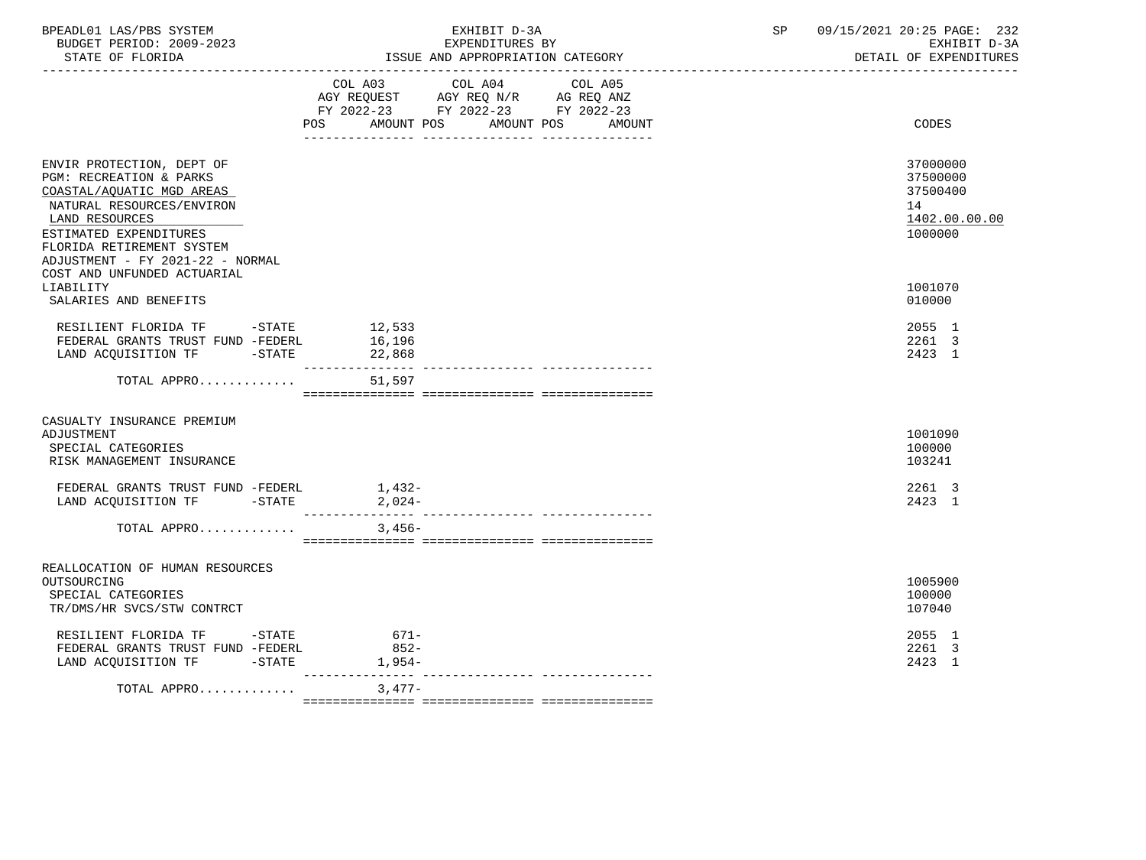| BPEADL01 LAS/PBS SYSTEM<br>BUDGET PERIOD: 2009-2023<br>STATE OF FLORIDA                                                                                                                                                     | EXHIBIT D-3A<br>EXPENDITURES BY<br>ISSUE AND APPROPRIATION CATEGORY                                                                                                                                                                                                               | 09/15/2021 20:25 PAGE: 232<br>SP<br>EXHIBIT D-3A<br>DETAIL OF EXPENDITURES |
|-----------------------------------------------------------------------------------------------------------------------------------------------------------------------------------------------------------------------------|-----------------------------------------------------------------------------------------------------------------------------------------------------------------------------------------------------------------------------------------------------------------------------------|----------------------------------------------------------------------------|
|                                                                                                                                                                                                                             | COL A03 COL A04 COL A05<br>$\begin{tabular}{lllllll} \bf AGY \,\, REQUEST \,\, & \,\, AGY \,\, REQ \,\, N/R \,\, & \,\, AG \,\, REQ \,\, ANZ \\ \bf FY \,\, 2022-23 \,\, & \,\, FY \,\, 2022-23 \,\, & \,\, FY \,\, 2022-23 \end{tabular}$<br>POS AMOUNT POS AMOUNT POS<br>AMOUNT | CODES                                                                      |
| ENVIR PROTECTION, DEPT OF<br>PGM: RECREATION & PARKS<br>COASTAL/AQUATIC MGD AREAS<br>NATURAL RESOURCES/ENVIRON<br>LAND RESOURCES<br>ESTIMATED EXPENDITURES<br>FLORIDA RETIREMENT SYSTEM<br>ADJUSTMENT - FY 2021-22 - NORMAL |                                                                                                                                                                                                                                                                                   | 37000000<br>37500000<br>37500400<br>14<br>1402.00.00.00<br>1000000         |
| COST AND UNFUNDED ACTUARIAL<br>LIABILITY<br>SALARIES AND BENEFITS                                                                                                                                                           |                                                                                                                                                                                                                                                                                   | 1001070<br>010000                                                          |
| LAND ACQUISITION TF -STATE                                                                                                                                                                                                  | 22,868                                                                                                                                                                                                                                                                            | 2055 1<br>2261 3<br>2423 1                                                 |
| TOTAL APPRO                                                                                                                                                                                                                 | 51,597                                                                                                                                                                                                                                                                            |                                                                            |
| CASUALTY INSURANCE PREMIUM<br>ADJUSTMENT<br>SPECIAL CATEGORIES<br>RISK MANAGEMENT INSURANCE                                                                                                                                 |                                                                                                                                                                                                                                                                                   | 1001090<br>100000<br>103241                                                |
| FEDERAL GRANTS TRUST FUND -FEDERL<br>LAND ACQUISITION TF -STATE                                                                                                                                                             | $1,432-$<br>$2,024-$                                                                                                                                                                                                                                                              | 2261 3<br>2423 1                                                           |
| TOTAL APPRO                                                                                                                                                                                                                 | 3,456-                                                                                                                                                                                                                                                                            |                                                                            |
| REALLOCATION OF HUMAN RESOURCES<br>OUTSOURCING<br>SPECIAL CATEGORIES<br>TR/DMS/HR SVCS/STW CONTRCT                                                                                                                          |                                                                                                                                                                                                                                                                                   | 1005900<br>100000<br>107040                                                |
| RESILIENT FLORIDA TF -STATE<br>FEDERAL GRANTS TRUST FUND -FEDERL<br>LAND ACQUISITION TF -STATE                                                                                                                              | $671-$<br>$852-$<br>$1,954-$                                                                                                                                                                                                                                                      | 2055 1<br>2261 3<br>2423 1                                                 |
| TOTAL APPRO                                                                                                                                                                                                                 | 3,477-                                                                                                                                                                                                                                                                            |                                                                            |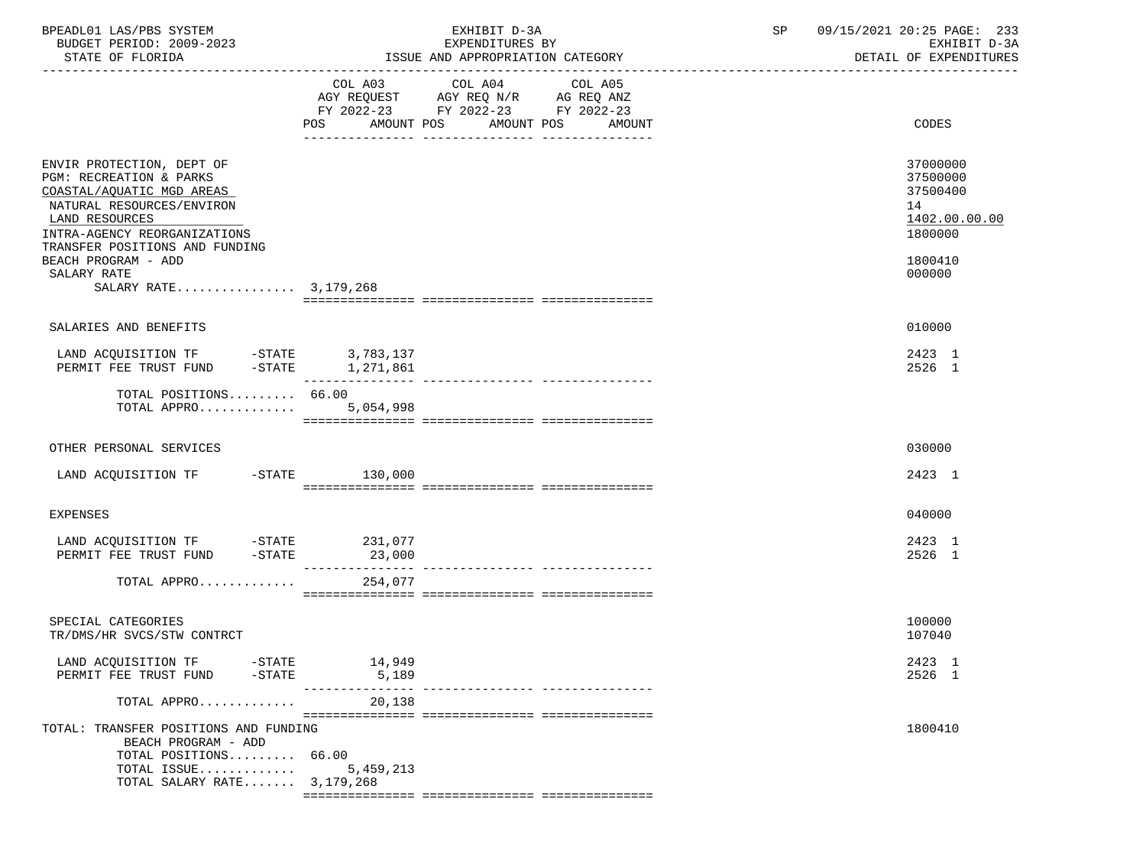| BPEADL01 LAS/PBS SYSTEM<br>BUDGET PERIOD: 2009-2023<br>STATE OF FLORIDA                                                                                                                                                   | EXHIBIT D-3A<br>EXPENDITURES BY<br>ISSUE AND APPROPRIATION CATEGORY                                                                            | SP<br>09/15/2021 20:25 PAGE: 233<br>EXHIBIT D-3A<br>DETAIL OF EXPENDITURES    |
|---------------------------------------------------------------------------------------------------------------------------------------------------------------------------------------------------------------------------|------------------------------------------------------------------------------------------------------------------------------------------------|-------------------------------------------------------------------------------|
|                                                                                                                                                                                                                           | COL A05<br>COL A03 COL A04<br>AGY REQUEST AGY REQ N/R AG REQ ANZ<br>FY 2022-23 FY 2022-23 FY 2022-23<br>AMOUNT POS AMOUNT POS<br>POS<br>AMOUNT | CODES                                                                         |
| ENVIR PROTECTION, DEPT OF<br>PGM: RECREATION & PARKS<br>COASTAL/AQUATIC MGD AREAS<br>NATURAL RESOURCES/ENVIRON<br>LAND RESOURCES<br>INTRA-AGENCY REORGANIZATIONS<br>TRANSFER POSITIONS AND FUNDING<br>BEACH PROGRAM - ADD |                                                                                                                                                | 37000000<br>37500000<br>37500400<br>14<br>1402.00.00.00<br>1800000<br>1800410 |
| SALARY RATE<br>SALARY RATE 3,179,268                                                                                                                                                                                      |                                                                                                                                                | 000000                                                                        |
| SALARIES AND BENEFITS                                                                                                                                                                                                     |                                                                                                                                                | 010000                                                                        |
| LAND ACQUISITION TF -STATE 3,783,137<br>PERMIT FEE TRUST FUND -STATE 1,271,861                                                                                                                                            |                                                                                                                                                | 2423 1<br>2526 1                                                              |
| TOTAL POSITIONS 66.00<br>TOTAL APPRO                                                                                                                                                                                      | ---------------<br>5,054,998                                                                                                                   |                                                                               |
| OTHER PERSONAL SERVICES                                                                                                                                                                                                   |                                                                                                                                                | 030000                                                                        |
| LAND ACQUISITION TF -STATE                                                                                                                                                                                                | 130,000                                                                                                                                        | 2423 1                                                                        |
| <b>EXPENSES</b>                                                                                                                                                                                                           |                                                                                                                                                | 040000                                                                        |
| LAND ACQUISITION TF -STATE 231,077<br>PERMIT FEE TRUST FUND<br>$-$ STATE                                                                                                                                                  | 23,000                                                                                                                                         | 2423 1<br>2526 1                                                              |
| TOTAL APPRO                                                                                                                                                                                                               | 254,077                                                                                                                                        |                                                                               |
| SPECIAL CATEGORIES<br>TR/DMS/HR SVCS/STW CONTRCT                                                                                                                                                                          |                                                                                                                                                | 100000<br>107040                                                              |
| LAND ACQUISITION TF -STATE 14,949<br>PERMIT FEE TRUST FUND -STATE                                                                                                                                                         | 5,189                                                                                                                                          | 2423 1<br>2526 1                                                              |
| TOTAL APPRO                                                                                                                                                                                                               | 20,138                                                                                                                                         |                                                                               |
| TOTAL: TRANSFER POSITIONS AND FUNDING<br>BEACH PROGRAM - ADD<br>TOTAL POSITIONS 66.00<br>TOTAL ISSUE<br>TOTAL SALARY RATE 3,179,268                                                                                       | 5,459,213                                                                                                                                      | 1800410                                                                       |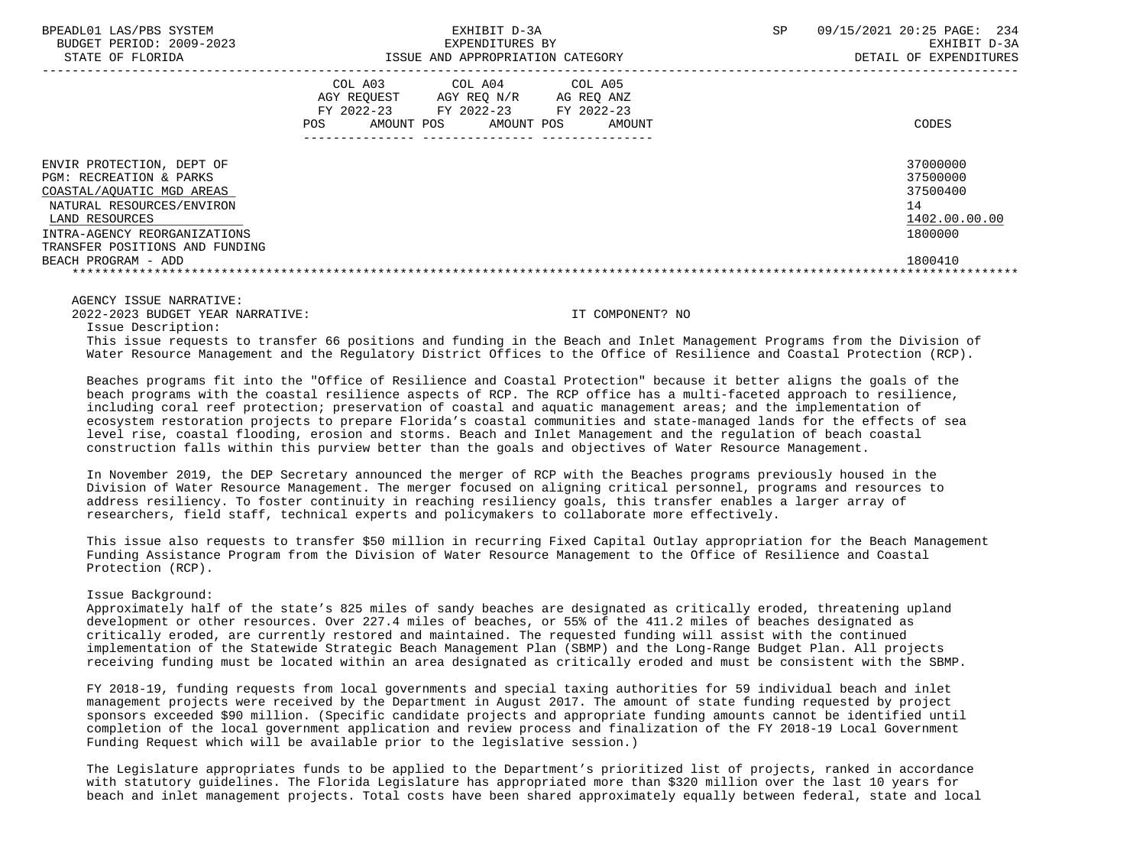| BPEADL01 LAS/PBS SYSTEM<br>BUDGET PERIOD: 2009-2023<br>STATE OF FLORIDA |                                                           | EXHIBIT D-3A<br>EXPENDITURES BY<br>ISSUE AND APPROPRIATION CATEGORY                       |        | SP. | 09/15/2021 20:25 PAGE:<br>- 234<br>EXHIBIT D-3A<br>DETAIL OF EXPENDITURES |
|-------------------------------------------------------------------------|-----------------------------------------------------------|-------------------------------------------------------------------------------------------|--------|-----|---------------------------------------------------------------------------|
|                                                                         | COL A03<br>AGY REOUEST<br>FY 2022-23<br>POS<br>AMOUNT POS | COL A04<br>COL A05<br>AGY REO N/R<br>AG REO ANZ<br>FY 2022-23<br>FY 2022-23<br>AMOUNT POS | AMOUNT |     | CODES                                                                     |
| ENVIR PROTECTION, DEPT OF<br>PGM: RECREATION & PARKS                    |                                                           |                                                                                           |        |     | 37000000<br>37500000                                                      |
| COASTAL/AQUATIC MGD AREAS                                               |                                                           |                                                                                           |        |     | 37500400                                                                  |
| NATURAL RESOURCES/ENVIRON                                               |                                                           |                                                                                           |        |     | 14                                                                        |
| LAND RESOURCES                                                          |                                                           |                                                                                           |        |     | 1402.00.00.00                                                             |
| INTRA-AGENCY REORGANIZATIONS                                            |                                                           |                                                                                           |        |     | 1800000                                                                   |
| TRANSFER POSITIONS AND FUNDING                                          |                                                           |                                                                                           |        |     |                                                                           |
| BEACH PROGRAM - ADD                                                     |                                                           |                                                                                           |        |     | 1800410                                                                   |
|                                                                         |                                                           |                                                                                           |        |     |                                                                           |

2022-2023 BUDGET YEAR NARRATIVE: IT COMPONENT? NO

Issue Description:

 This issue requests to transfer 66 positions and funding in the Beach and Inlet Management Programs from the Division of Water Resource Management and the Regulatory District Offices to the Office of Resilience and Coastal Protection (RCP).

 Beaches programs fit into the "Office of Resilience and Coastal Protection" because it better aligns the goals of the beach programs with the coastal resilience aspects of RCP. The RCP office has a multi-faceted approach to resilience, including coral reef protection; preservation of coastal and aquatic management areas; and the implementation of ecosystem restoration projects to prepare Florida's coastal communities and state-managed lands for the effects of sea level rise, coastal flooding, erosion and storms. Beach and Inlet Management and the regulation of beach coastal construction falls within this purview better than the goals and objectives of Water Resource Management.

 In November 2019, the DEP Secretary announced the merger of RCP with the Beaches programs previously housed in the Division of Water Resource Management. The merger focused on aligning critical personnel, programs and resources to address resiliency. To foster continuity in reaching resiliency goals, this transfer enables a larger array of researchers, field staff, technical experts and policymakers to collaborate more effectively.

 This issue also requests to transfer \$50 million in recurring Fixed Capital Outlay appropriation for the Beach Management Funding Assistance Program from the Division of Water Resource Management to the Office of Resilience and Coastal Protection (RCP).

### Issue Background:

 Approximately half of the state's 825 miles of sandy beaches are designated as critically eroded, threatening upland development or other resources. Over 227.4 miles of beaches, or 55% of the 411.2 miles of beaches designated as critically eroded, are currently restored and maintained. The requested funding will assist with the continued implementation of the Statewide Strategic Beach Management Plan (SBMP) and the Long-Range Budget Plan. All projects receiving funding must be located within an area designated as critically eroded and must be consistent with the SBMP.

 FY 2018-19, funding requests from local governments and special taxing authorities for 59 individual beach and inlet management projects were received by the Department in August 2017. The amount of state funding requested by project sponsors exceeded \$90 million. (Specific candidate projects and appropriate funding amounts cannot be identified until completion of the local government application and review process and finalization of the FY 2018-19 Local Government Funding Request which will be available prior to the legislative session.)

 The Legislature appropriates funds to be applied to the Department's prioritized list of projects, ranked in accordance with statutory guidelines. The Florida Legislature has appropriated more than \$320 million over the last 10 years for beach and inlet management projects. Total costs have been shared approximately equally between federal, state and local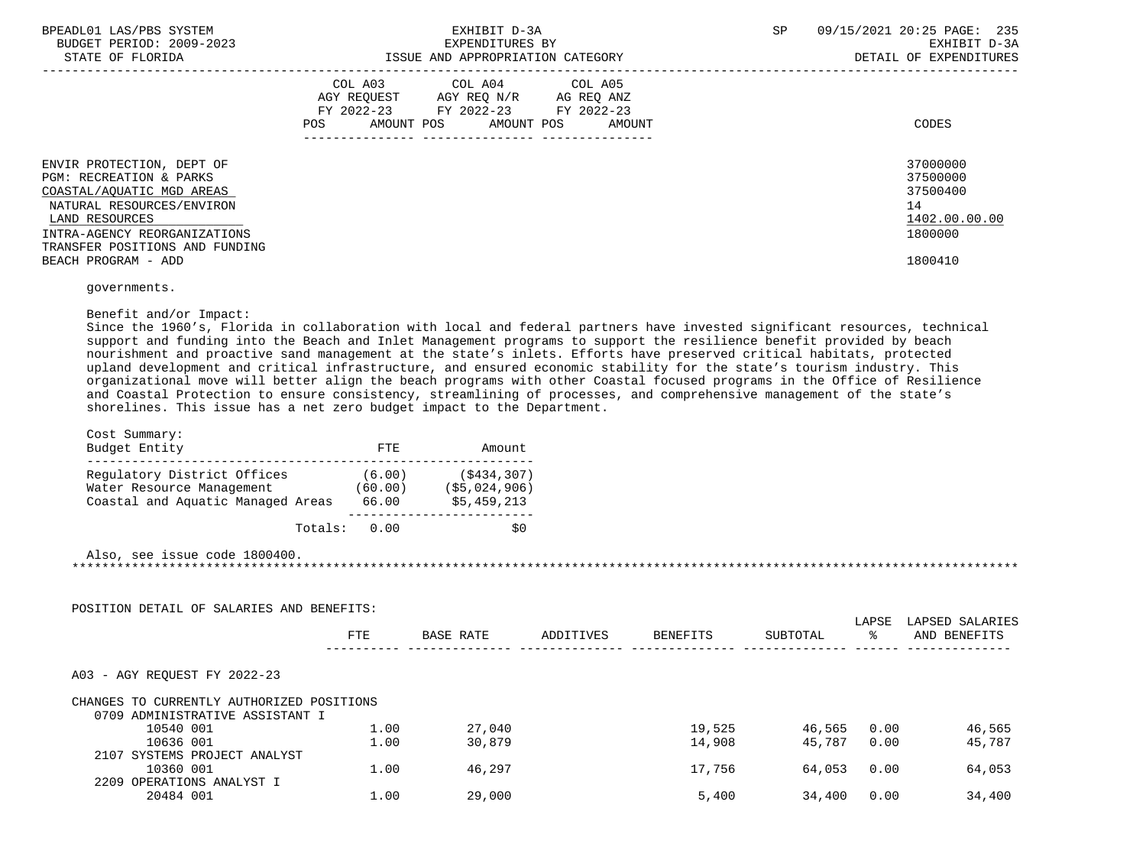| BPEADL01 LAS/PBS SYSTEM<br>BUDGET PERIOD: 2009-2023<br>STATE OF FLORIDA                                                                                                                                       | EXHIBIT D-3A<br>EXPENDITURES BY<br>ISSUE AND APPROPRIATION CATEGORY                                                                         | 09/15/2021 20:25 PAGE: 235<br>SP<br>EXHIBIT D-3A<br>DETAIL OF EXPENDITURES |
|---------------------------------------------------------------------------------------------------------------------------------------------------------------------------------------------------------------|---------------------------------------------------------------------------------------------------------------------------------------------|----------------------------------------------------------------------------|
|                                                                                                                                                                                                               | COL A03 COL A04 COL A05<br>AGY REOUEST AGY REO N/R AG REO ANZ<br>FY 2022-23 FY 2022-23 FY 2022-23<br>AMOUNT POS AMOUNT POS<br>POS<br>AMOUNT | CODES                                                                      |
| ENVIR PROTECTION, DEPT OF<br><b>PGM: RECREATION &amp; PARKS</b><br>COASTAL/AOUATIC MGD AREAS<br>NATURAL RESOURCES/ENVIRON<br>LAND RESOURCES<br>INTRA-AGENCY REORGANIZATIONS<br>TRANSFER POSITIONS AND FUNDING |                                                                                                                                             | 37000000<br>37500000<br>37500400<br>14<br>1402.00.00.00<br>1800000         |
| BEACH PROGRAM - ADD                                                                                                                                                                                           |                                                                                                                                             | 1800410                                                                    |
|                                                                                                                                                                                                               |                                                                                                                                             |                                                                            |

governments.

### Benefit and/or Impact:

 Since the 1960's, Florida in collaboration with local and federal partners have invested significant resources, technical support and funding into the Beach and Inlet Management programs to support the resilience benefit provided by beach nourishment and proactive sand management at the state's inlets. Efforts have preserved critical habitats, protected upland development and critical infrastructure, and ensured economic stability for the state's tourism industry. This organizational move will better align the beach programs with other Coastal focused programs in the Office of Resilience and Coastal Protection to ensure consistency, streamlining of processes, and comprehensive management of the state's shorelines. This issue has a net zero budget impact to the Department.

| Cost Summary:<br>Budget Entity                                                                | FTE.                       | Amount                                     |
|-----------------------------------------------------------------------------------------------|----------------------------|--------------------------------------------|
| Regulatory District Offices<br>Water Resource Management<br>Coastal and Aquatic Managed Areas | (6.00)<br>(60.00)<br>66.00 | (S434, 307)<br>(S5.024.906)<br>\$5,459,213 |
| Totals:                                                                                       | 0.00                       |                                            |

 Also, see issue code 1800400. \*\*\*\*\*\*\*\*\*\*\*\*\*\*\*\*\*\*\*\*\*\*\*\*\*\*\*\*\*\*\*\*\*\*\*\*\*\*\*\*\*\*\*\*\*\*\*\*\*\*\*\*\*\*\*\*\*\*\*\*\*\*\*\*\*\*\*\*\*\*\*\*\*\*\*\*\*\*\*\*\*\*\*\*\*\*\*\*\*\*\*\*\*\*\*\*\*\*\*\*\*\*\*\*\*\*\*\*\*\*\*\*\*\*\*\*\*\*\*\*\*\*\*\*\*\*\*

| POSITION DETAIL OF SALARIES AND BENEFITS: |            |           |           |          |          |             |                                 |
|-------------------------------------------|------------|-----------|-----------|----------|----------|-------------|---------------------------------|
|                                           | <b>FTE</b> | BASE RATE | ADDITIVES | BENEFITS | SUBTOTAL | LAPSE<br>ႜႜ | LAPSED SALARIES<br>AND BENEFITS |
| A03 - AGY REOUEST FY 2022-23              |            |           |           |          |          |             |                                 |
| CHANGES TO CURRENTLY AUTHORIZED POSITIONS |            |           |           |          |          |             |                                 |
| 0709 ADMINISTRATIVE ASSISTANT I           |            |           |           |          |          |             |                                 |
| 10540 001                                 | 1.00       | 27,040    |           | 19,525   | 46,565   | 0.00        | 46,565                          |
| 10636 001                                 | 1.00       | 30,879    |           | 14,908   | 45,787   | 0.00        | 45,787                          |
| 2107 SYSTEMS PROJECT ANALYST              |            |           |           |          |          |             |                                 |
| 10360 001                                 | 1.00       | 46,297    |           | 17,756   | 64,053   | 0.00        | 64,053                          |
| 2209 OPERATIONS ANALYST I                 |            |           |           |          |          |             |                                 |
| 20484 001                                 | 1.00       | 29,000    |           | 5,400    | 34,400   | 0.00        | 34,400                          |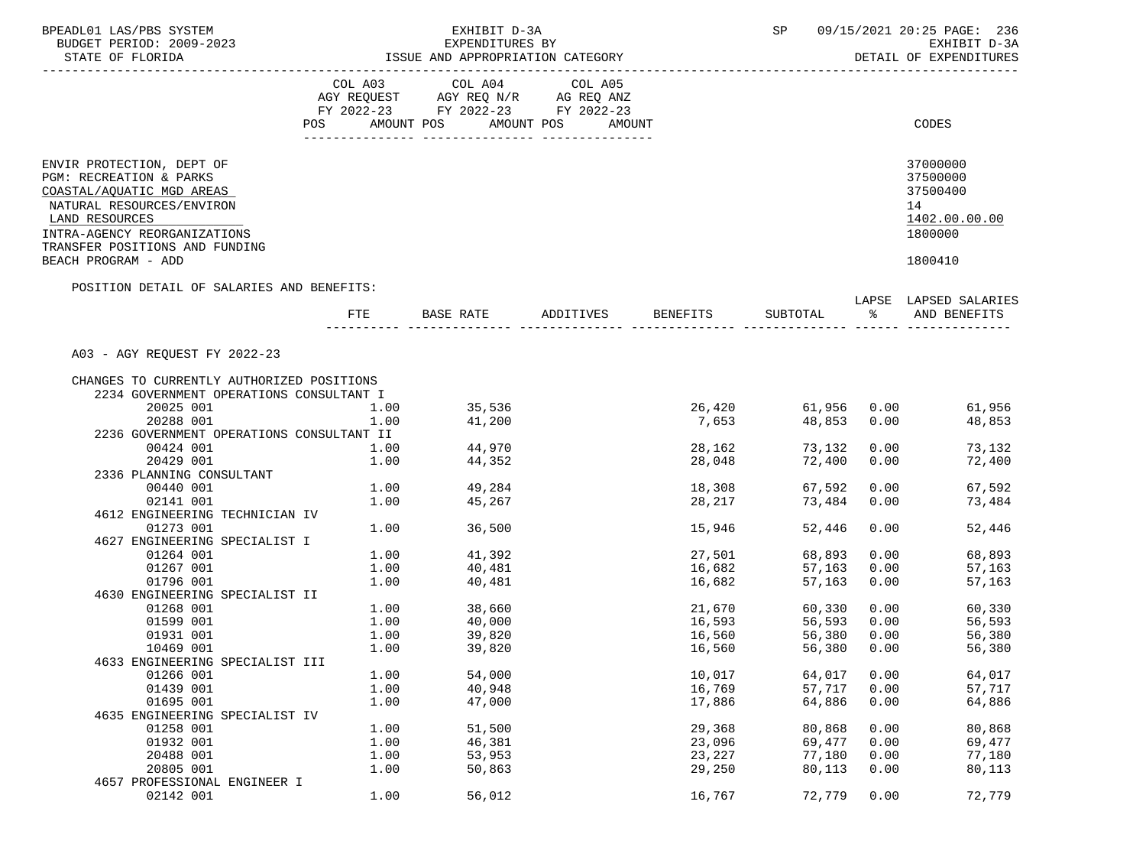| BPEADL01 LAS/PBS SYSTEM<br>BUDGET PERIOD: 2009-2023                                                                                                                                                |                                             | EXHIBIT D-3A<br>EXPENDITURES BY                                                           |                                  |                            | SP and the set of the set of the set of the set of the set of the set of the set of the set of the set of the s |               | 09/15/2021 20:25 PAGE: 236<br>EXHIBIT D-3A                         |
|----------------------------------------------------------------------------------------------------------------------------------------------------------------------------------------------------|---------------------------------------------|-------------------------------------------------------------------------------------------|----------------------------------|----------------------------|-----------------------------------------------------------------------------------------------------------------|---------------|--------------------------------------------------------------------|
| STATE OF FLORIDA<br>__________________________                                                                                                                                                     |                                             | ISSUE AND APPROPRIATION CATEGORY                                                          |                                  |                            |                                                                                                                 |               | DETAIL OF EXPENDITURES                                             |
|                                                                                                                                                                                                    |                                             | COL A03 COL A04<br>AGY REQUEST AGY REQ N/R AG REQ ANZ<br>FY 2022-23 FY 2022-23 FY 2022-23 | COL A05                          |                            |                                                                                                                 |               |                                                                    |
|                                                                                                                                                                                                    |                                             |                                                                                           | POS AMOUNT POS AMOUNT POS AMOUNT |                            |                                                                                                                 |               | CODES                                                              |
| ENVIR PROTECTION, DEPT OF<br>PGM: RECREATION & PARKS<br>COASTAL/AQUATIC MGD AREAS<br>NATURAL RESOURCES/ENVIRON<br>LAND RESOURCES<br>INTRA-AGENCY REORGANIZATIONS<br>TRANSFER POSITIONS AND FUNDING |                                             |                                                                                           |                                  |                            |                                                                                                                 |               | 37000000<br>37500000<br>37500400<br>14<br>1402.00.00.00<br>1800000 |
| BEACH PROGRAM - ADD                                                                                                                                                                                |                                             |                                                                                           |                                  |                            |                                                                                                                 |               | 1800410                                                            |
| POSITION DETAIL OF SALARIES AND BENEFITS:                                                                                                                                                          |                                             |                                                                                           |                                  |                            |                                                                                                                 |               | LAPSE LAPSED SALARIES                                              |
|                                                                                                                                                                                                    | FTE                                         |                                                                                           | BASE RATE ADDITIVES BENEFITS     |                            | SUBTOTAL                                                                                                        | $\frac{8}{6}$ | AND BENEFITS                                                       |
| A03 - AGY REQUEST FY 2022-23                                                                                                                                                                       |                                             |                                                                                           |                                  |                            |                                                                                                                 |               |                                                                    |
| CHANGES TO CURRENTLY AUTHORIZED POSITIONS                                                                                                                                                          |                                             |                                                                                           |                                  |                            |                                                                                                                 |               |                                                                    |
| 2234 GOVERNMENT OPERATIONS CONSULTANT I                                                                                                                                                            |                                             |                                                                                           |                                  |                            |                                                                                                                 |               |                                                                    |
| 20025 001                                                                                                                                                                                          | $\begin{array}{c} 1.00 \\ 1.00 \end{array}$ | 35,536<br>41,200                                                                          |                                  |                            |                                                                                                                 |               | 26,420 61,956 0.00 61,956<br>7,653 48,853 0.00 48,853              |
| 20288 001                                                                                                                                                                                          | 1.00                                        |                                                                                           |                                  |                            |                                                                                                                 |               | 48,853                                                             |
| 2236 GOVERNMENT OPERATIONS CONSULTANT II                                                                                                                                                           |                                             |                                                                                           |                                  |                            |                                                                                                                 |               |                                                                    |
| 00424 001                                                                                                                                                                                          | 1.00                                        | 44,970                                                                                    |                                  | 28,162                     |                                                                                                                 |               | 73,132 0.00<br>73,132                                              |
| 20429 001                                                                                                                                                                                          | 1.00                                        | 44,352                                                                                    |                                  | 28,048                     | 72,400 0.00                                                                                                     |               | 72,400                                                             |
| 2336 PLANNING CONSULTANT                                                                                                                                                                           |                                             |                                                                                           |                                  |                            |                                                                                                                 |               |                                                                    |
| 00440 001                                                                                                                                                                                          |                                             | $1.00$ 49,284                                                                             |                                  | 18,308                     | 67,592                                                                                                          |               | 0.00<br>67,592                                                     |
| 02141 001                                                                                                                                                                                          |                                             | 1.00 45,267                                                                               |                                  | 28,217                     | 73,484                                                                                                          | 0.00          | 73,484                                                             |
| 4612 ENGINEERING TECHNICIAN IV                                                                                                                                                                     |                                             |                                                                                           |                                  |                            |                                                                                                                 |               |                                                                    |
| 01273 001<br>4627 ENGINEERING SPECIALIST I                                                                                                                                                         |                                             | 1.00 36,500                                                                               |                                  | 15,946                     | 52,446                                                                                                          | 0.00          | 52,446                                                             |
| 01264 001                                                                                                                                                                                          |                                             | $1.00$ $41,392$                                                                           |                                  | 27,501                     | 68,893                                                                                                          | 0.00          | 68,893                                                             |
| 01267 001                                                                                                                                                                                          | 1.00                                        | 40,481                                                                                    |                                  | 16,682                     | 57,163                                                                                                          | 0.00          | 57,163                                                             |
| 01796 001                                                                                                                                                                                          | 1.00                                        | 40,481                                                                                    |                                  | 16,682                     | 57,163                                                                                                          | 0.00          | 57,163                                                             |
| 4630 ENGINEERING SPECIALIST II                                                                                                                                                                     |                                             |                                                                                           |                                  |                            |                                                                                                                 |               |                                                                    |
| 01268 001                                                                                                                                                                                          |                                             |                                                                                           |                                  |                            | 60,330                                                                                                          |               | $0.00$ 60,330                                                      |
| 01599 001                                                                                                                                                                                          |                                             | $1.00$ $38,660$<br>$1.00$ $40,000$                                                        |                                  | 21,670<br>16.593<br>16,593 | 56,593 0.00                                                                                                     |               | 56,593                                                             |
| 01931 001                                                                                                                                                                                          | 1.00                                        | 39,820                                                                                    |                                  | 16,560                     | 56,380 0.00                                                                                                     |               | 56,380                                                             |
| 10469 001                                                                                                                                                                                          | 1.00                                        | 39,820                                                                                    |                                  | 16,560                     | 56,380 0.00                                                                                                     |               | 56,380                                                             |
| 4633 ENGINEERING SPECIALIST III                                                                                                                                                                    |                                             |                                                                                           |                                  |                            |                                                                                                                 |               |                                                                    |
| 01266 001                                                                                                                                                                                          | 1.00                                        | 54,000                                                                                    |                                  | 10,017                     | 64,017                                                                                                          | 0.00          | 64,017                                                             |
| 01439 001                                                                                                                                                                                          | 1.00                                        | 40,948                                                                                    |                                  | 16,769                     | 57,717                                                                                                          | 0.00          | 57,717                                                             |
| 01695 001                                                                                                                                                                                          | 1.00                                        | 47,000                                                                                    |                                  | 17,886                     | 64,886                                                                                                          | 0.00          | 64,886                                                             |
| 4635 ENGINEERING SPECIALIST IV                                                                                                                                                                     |                                             |                                                                                           |                                  |                            |                                                                                                                 |               |                                                                    |
| 01258 001                                                                                                                                                                                          | 1.00                                        | 51,500                                                                                    |                                  | 29,368                     | 80,868                                                                                                          | 0.00          | 80,868                                                             |
| 01932 001                                                                                                                                                                                          | 1.00                                        | 46,381                                                                                    |                                  | 23,096                     | 69,477                                                                                                          | 0.00          | 69,477                                                             |
| 20488 001                                                                                                                                                                                          | 1.00                                        | 53,953                                                                                    |                                  | 23,227                     | 77,180                                                                                                          | 0.00          | 77,180                                                             |
| 20805 001                                                                                                                                                                                          | 1.00                                        | 50,863                                                                                    |                                  | 29,250                     | 80,113                                                                                                          | 0.00          | 80,113                                                             |
| 4657 PROFESSIONAL ENGINEER I                                                                                                                                                                       |                                             |                                                                                           |                                  |                            |                                                                                                                 |               |                                                                    |
| 02142 001                                                                                                                                                                                          | 1.00                                        | 56,012                                                                                    |                                  | 16,767                     | 72,779                                                                                                          | 0.00          | 72,779                                                             |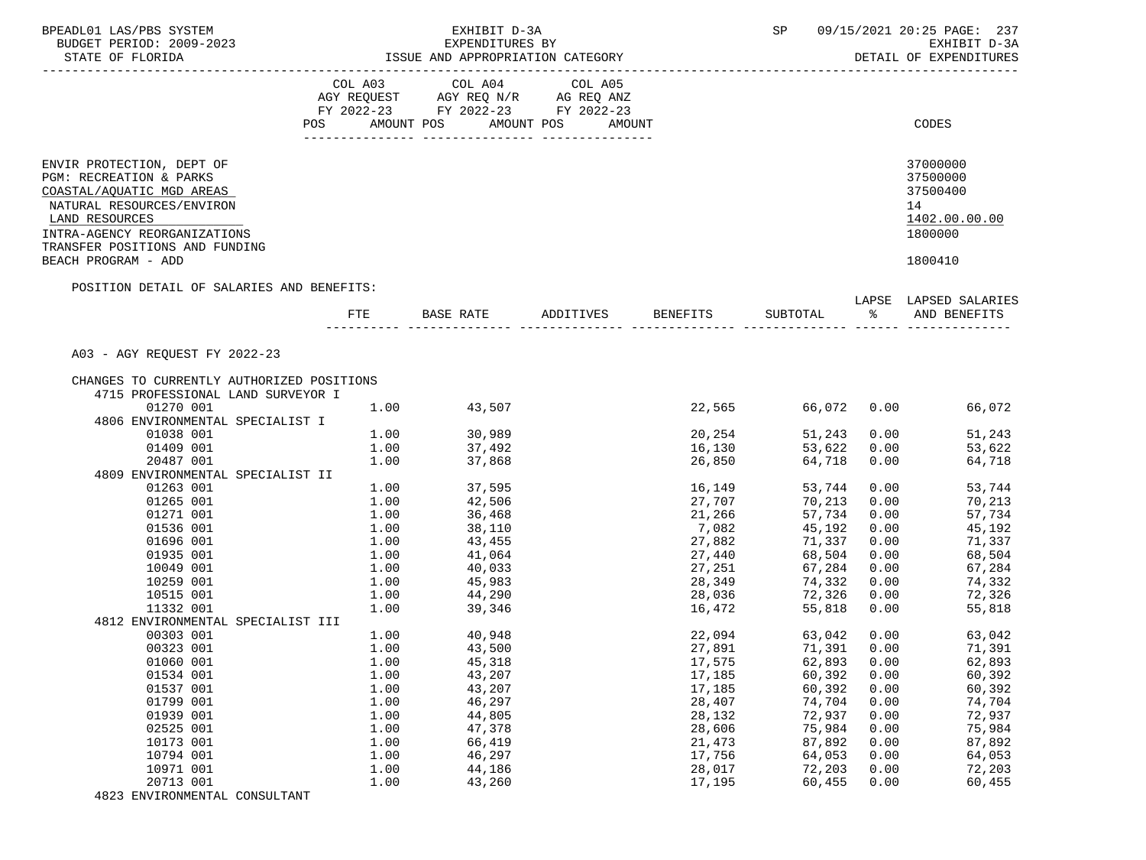| BPEADL01 LAS/PBS SYSTEM                                        |      | EXHIBIT D-3A                                          |                    |                  | SP and the set of the set of the set of the set of the set of the set of the set of the set of the set of the s |               | 09/15/2021 20:25 PAGE: 237 |
|----------------------------------------------------------------|------|-------------------------------------------------------|--------------------|------------------|-----------------------------------------------------------------------------------------------------------------|---------------|----------------------------|
| BUDGET PERIOD: 2009-2023                                       |      | EXPENDITURES BY                                       |                    |                  |                                                                                                                 |               | EXHIBIT D-3A               |
| STATE OF FLORIDA                                               |      | ISSUE AND APPROPRIATION CATEGORY                      |                    |                  |                                                                                                                 |               | DETAIL OF EXPENDITURES     |
| -----------------------                                        |      |                                                       |                    |                  |                                                                                                                 |               |                            |
|                                                                |      | COL A03 COL A04<br>AGY REQUEST AGY REQ N/R AG REQ ANZ | COL A05            |                  |                                                                                                                 |               |                            |
|                                                                |      | FY 2022-23 FY 2022-23 FY 2022-23                      |                    |                  |                                                                                                                 |               |                            |
|                                                                |      | POS AMOUNT POS AMOUNT POS                             | AMOUNT             |                  |                                                                                                                 |               | CODES                      |
|                                                                |      |                                                       |                    |                  |                                                                                                                 |               |                            |
|                                                                |      |                                                       |                    |                  |                                                                                                                 |               |                            |
| ENVIR PROTECTION, DEPT OF<br>PGM: RECREATION & PARKS           |      |                                                       |                    |                  |                                                                                                                 |               | 37000000<br>37500000       |
|                                                                |      |                                                       |                    |                  |                                                                                                                 |               | 37500400                   |
| COASTAL/AQUATIC MGD AREAS                                      |      |                                                       |                    |                  |                                                                                                                 |               |                            |
| NATURAL RESOURCES/ENVIRON                                      |      |                                                       |                    |                  |                                                                                                                 |               | 14                         |
| LAND RESOURCES                                                 |      |                                                       |                    |                  |                                                                                                                 |               | 1402.00.00.00<br>1800000   |
| INTRA-AGENCY REORGANIZATIONS<br>TRANSFER POSITIONS AND FUNDING |      |                                                       |                    |                  |                                                                                                                 |               |                            |
| BEACH PROGRAM - ADD                                            |      |                                                       |                    |                  |                                                                                                                 |               | 1800410                    |
| POSITION DETAIL OF SALARIES AND BENEFITS:                      |      |                                                       |                    |                  |                                                                                                                 |               |                            |
|                                                                |      |                                                       |                    |                  |                                                                                                                 |               | LAPSE LAPSED SALARIES      |
|                                                                |      | FTE BASE RATE                                         | ADDITIVES BENEFITS |                  | SUBTOTAL                                                                                                        | $\frac{1}{6}$ | AND BENEFITS               |
|                                                                |      |                                                       |                    |                  |                                                                                                                 |               |                            |
| A03 - AGY REQUEST FY 2022-23                                   |      |                                                       |                    |                  |                                                                                                                 |               |                            |
| CHANGES TO CURRENTLY AUTHORIZED POSITIONS                      |      |                                                       |                    |                  |                                                                                                                 |               |                            |
| 4715 PROFESSIONAL LAND SURVEYOR I                              |      |                                                       |                    |                  |                                                                                                                 |               |                            |
| 01270 001                                                      | 1.00 | 43,507                                                |                    | 22,565           | 66,072   0.00                                                                                                   |               | 66,072                     |
| 4806 ENVIRONMENTAL SPECIALIST I                                |      |                                                       |                    |                  |                                                                                                                 |               |                            |
| 01038 001                                                      | 1.00 | 30,989<br>37,492                                      |                    | 20,254<br>16,130 | 51,243 0.00                                                                                                     |               | 51,243                     |
| 01409 001                                                      | 1.00 | 37,868                                                |                    |                  | 53,622 0.00                                                                                                     |               | 53,622                     |
| 20487 001                                                      | 1.00 |                                                       |                    | 26,850           | 64,718 0.00                                                                                                     |               | 64,718                     |
| 4809 ENVIRONMENTAL SPECIALIST II                               |      | 1.00 37,595                                           |                    | 16,149           |                                                                                                                 |               |                            |
| 01263 001<br>01265 001                                         | 1.00 |                                                       |                    |                  | 53,744<br>70,213                                                                                                | 0.00<br>0.00  | 53,744<br>70,213           |
| 01271 001                                                      | 1.00 | 42,506<br>36,468                                      |                    | 27,707<br>21,266 | 57,734                                                                                                          | 0.00          | 57,734                     |
| 01536 001                                                      | 1.00 | 38,110                                                |                    | 21,266<br>7,082  | 45,192                                                                                                          | 0.00          | 45,192                     |
| 01696 001                                                      | 1.00 |                                                       |                    |                  | 71,337                                                                                                          | 0.00          | 71,337                     |
| 01935 001                                                      | 1.00 | 43, 455<br>41,064                                     |                    | 27,882<br>27,440 | 68,504                                                                                                          | 0.00          | 68,504                     |
| 10049 001                                                      | 1.00 | 40,033                                                |                    | 27,251           | 67,284                                                                                                          | 0.00          | 67,284                     |
| 10259 001                                                      | 1.00 |                                                       |                    |                  | 74,332                                                                                                          | 0.00          | 74,332                     |
| 10515 001                                                      | 1.00 | 45,983<br>44,290                                      |                    | 28,349<br>28,036 | 72,326                                                                                                          |               | $0.00$ $72,326$            |
| 11332 001                                                      | 1.00 | 39,346                                                |                    | 16,472           | 55,818                                                                                                          | 0.00          | 55,818                     |
| 4812 ENVIRONMENTAL SPECIALIST III                              |      |                                                       |                    |                  |                                                                                                                 |               |                            |
| 00303 001                                                      | 1.00 | 40,948                                                |                    | 22,094           | 63,042 0.00                                                                                                     |               | 63,042                     |
| 00323 001                                                      | 1.00 | 43,500                                                |                    | 27,891           | 71,391  0.00                                                                                                    |               | 71,391                     |
| 01060 001                                                      | 1.00 | 45,318                                                |                    | 17,575           | 62,893                                                                                                          | 0.00          | 62,893                     |
| 01534 001                                                      | 1.00 | 43,207                                                |                    | 17,185           | 60,392                                                                                                          | 0.00          | 60,392                     |
| 01537 001                                                      | 1.00 | 43,207                                                |                    | 17,185           | 60,392                                                                                                          | 0.00          | 60,392                     |
| 01799 001                                                      | 1.00 | 46,297                                                |                    | 28,407           | 74,704                                                                                                          | 0.00          | 74,704                     |
| 01939 001                                                      | 1.00 | 44,805                                                |                    | 28,132           | 72,937                                                                                                          | 0.00          | 72,937                     |
| 02525 001                                                      | 1.00 | 47,378                                                |                    | 28,606           | 75,984                                                                                                          | 0.00          | 75,984                     |
| 10173 001                                                      | 1.00 | 66,419                                                |                    | 21,473           | 87,892                                                                                                          | 0.00          | 87,892                     |
| 10794 001                                                      | 1.00 | 46,297                                                |                    | 17,756           | 64,053                                                                                                          | 0.00          | 64,053                     |
| 10971 001                                                      | 1.00 | 44,186                                                |                    | 28,017           | 72,203                                                                                                          | 0.00          | 72,203                     |
| 20713 001                                                      | 1.00 | 43,260                                                |                    | 17,195           | 60,455                                                                                                          | 0.00          | 60,455                     |
| 4823 ENVIRONMENTAL CONSULTANT                                  |      |                                                       |                    |                  |                                                                                                                 |               |                            |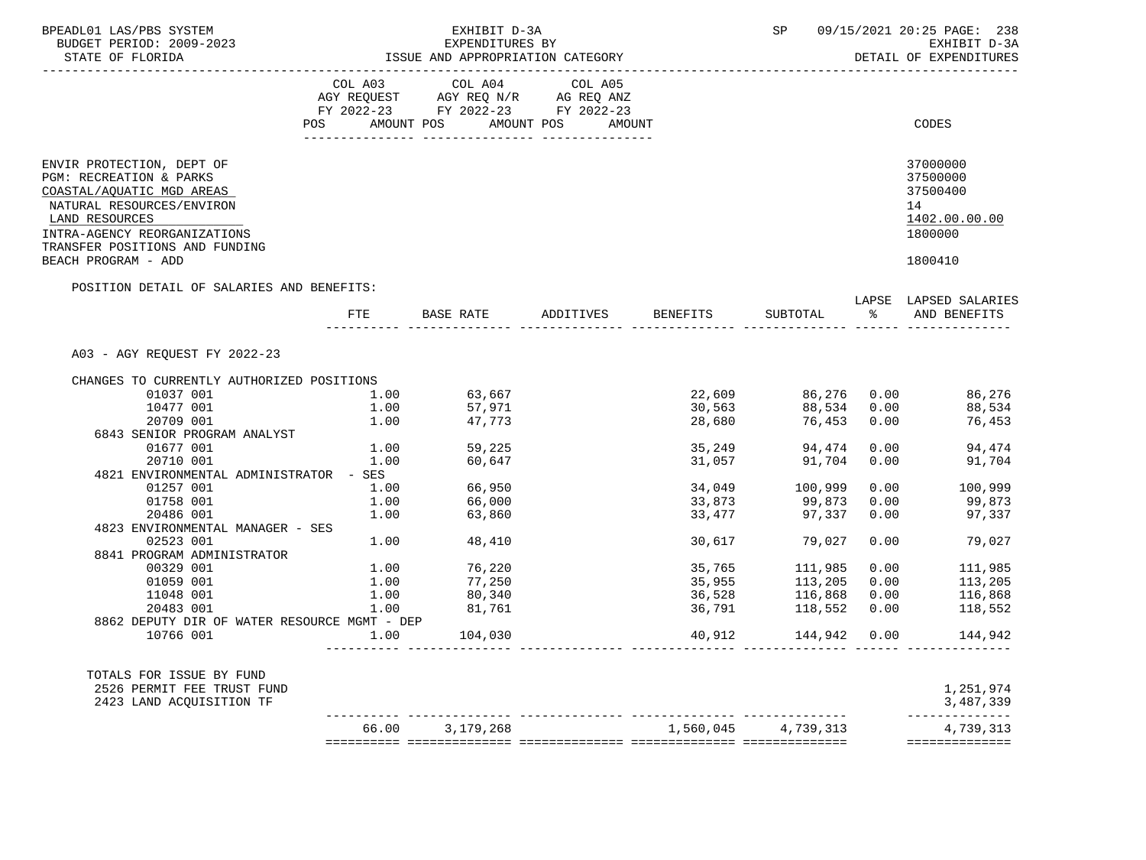| BPEADL01 LAS/PBS SYSTEM<br>BUDGET PERIOD: 2009-2023                                                                                                                                                                       |               | EXHIBIT D-3A<br>EXPENDITURES BY                                                                                                                                                                                                                                                                                                                   |                                           |                  |                                            |               | SP 09/15/2021 20:25 PAGE: 238<br>EXHIBIT D-3A                                 |
|---------------------------------------------------------------------------------------------------------------------------------------------------------------------------------------------------------------------------|---------------|---------------------------------------------------------------------------------------------------------------------------------------------------------------------------------------------------------------------------------------------------------------------------------------------------------------------------------------------------|-------------------------------------------|------------------|--------------------------------------------|---------------|-------------------------------------------------------------------------------|
| STATE OF FLORIDA                                                                                                                                                                                                          |               |                                                                                                                                                                                                                                                                                                                                                   | ISSUE AND APPROPRIATION CATEGORY          |                  |                                            |               | DETAIL OF EXPENDITURES                                                        |
|                                                                                                                                                                                                                           |               | $\begin{tabular}{lllllllllll} &\multicolumn{4}{c}{\text{COL A03}} &\multicolumn{4}{c}{\text{COL A04}} &\multicolumn{4}{c}{\text{COL A05}} \\ \multicolumn{4}{c}{\text{AGY REQUEST}} &\multicolumn{4}{c}{\text{AGY REQ}} &\multicolumn{4}{c}{\text{N/C}} &\multicolumn{4}{c}{\text{AG REQ ANZ}} \end{tabular}$<br>FY 2022-23 FY 2022-23 FY 2022-23 |                                           |                  |                                            |               |                                                                               |
|                                                                                                                                                                                                                           |               | POS AMOUNT POS AMOUNT POS                                                                                                                                                                                                                                                                                                                         | AMOUNT                                    |                  |                                            |               | CODES                                                                         |
| ENVIR PROTECTION, DEPT OF<br>PGM: RECREATION & PARKS<br>COASTAL/AQUATIC MGD AREAS<br>NATURAL RESOURCES/ENVIRON<br>LAND RESOURCES<br>INTRA-AGENCY REORGANIZATIONS<br>TRANSFER POSITIONS AND FUNDING<br>BEACH PROGRAM - ADD |               |                                                                                                                                                                                                                                                                                                                                                   |                                           |                  |                                            |               | 37000000<br>37500000<br>37500400<br>14<br>1402.00.00.00<br>1800000<br>1800410 |
| POSITION DETAIL OF SALARIES AND BENEFITS:                                                                                                                                                                                 |               |                                                                                                                                                                                                                                                                                                                                                   |                                           |                  |                                            |               | LAPSE LAPSED SALARIES                                                         |
|                                                                                                                                                                                                                           |               |                                                                                                                                                                                                                                                                                                                                                   | FTE BASE RATE ADDITIVES BENEFITS SUBTOTAL |                  |                                            | $\frac{1}{6}$ | AND BENEFITS                                                                  |
| A03 - AGY REOUEST FY 2022-23                                                                                                                                                                                              |               |                                                                                                                                                                                                                                                                                                                                                   |                                           |                  |                                            |               |                                                                               |
| CHANGES TO CURRENTLY AUTHORIZED POSITIONS                                                                                                                                                                                 |               |                                                                                                                                                                                                                                                                                                                                                   |                                           |                  |                                            |               |                                                                               |
| 01037 001                                                                                                                                                                                                                 | $1.00$ 63,667 |                                                                                                                                                                                                                                                                                                                                                   |                                           |                  |                                            |               | 22,609 86,276 0.00 86,276                                                     |
| 10477 001                                                                                                                                                                                                                 |               | 1.00 57,971<br>1.00 47,773                                                                                                                                                                                                                                                                                                                        |                                           | 30,563<br>28,680 |                                            |               | 88,534 0.00 88,534                                                            |
| 20709 001                                                                                                                                                                                                                 |               |                                                                                                                                                                                                                                                                                                                                                   |                                           |                  | 76,453 0.00                                |               | 76,453                                                                        |
| 6843 SENIOR PROGRAM ANALYST                                                                                                                                                                                               |               |                                                                                                                                                                                                                                                                                                                                                   |                                           |                  |                                            |               |                                                                               |
| 01677 001                                                                                                                                                                                                                 |               | $1.00$ 59,225<br>1 00 60,647                                                                                                                                                                                                                                                                                                                      |                                           | 35,249           |                                            |               | 94,474 0.00 94,474                                                            |
| 20710 001                                                                                                                                                                                                                 |               |                                                                                                                                                                                                                                                                                                                                                   |                                           | 31,057           | 91,704 0.00                                |               | 91,704                                                                        |
| 4821 ENVIRONMENTAL ADMINISTRATOR - SES                                                                                                                                                                                    |               |                                                                                                                                                                                                                                                                                                                                                   |                                           |                  |                                            |               |                                                                               |
| 01257 001                                                                                                                                                                                                                 | 1.00          | 66,950                                                                                                                                                                                                                                                                                                                                            |                                           |                  | 34,049 100,999                             |               | 0.00<br>100,999                                                               |
| 01758 001                                                                                                                                                                                                                 | 1.00          | 66,000                                                                                                                                                                                                                                                                                                                                            |                                           |                  | 33,873 99,873                              | 0.00          | 99,873                                                                        |
| 20486 001                                                                                                                                                                                                                 | 1.00          | 63,860                                                                                                                                                                                                                                                                                                                                            |                                           | 33,477           | 97,337                                     | 0.00          | 97,337                                                                        |
| 4823 ENVIRONMENTAL MANAGER - SES                                                                                                                                                                                          |               |                                                                                                                                                                                                                                                                                                                                                   |                                           |                  |                                            |               |                                                                               |
| 02523 001<br>8841 PROGRAM ADMINISTRATOR                                                                                                                                                                                   |               | $1.00$ 48,410                                                                                                                                                                                                                                                                                                                                     |                                           | 30,617           | 79,027                                     | 0.00          | 79,027                                                                        |
| 00329 001                                                                                                                                                                                                                 |               | 1.00 76,220                                                                                                                                                                                                                                                                                                                                       |                                           | 35,765           | 111,985                                    | 0.00          | 111,985                                                                       |
| 01059 001                                                                                                                                                                                                                 | 1.00          |                                                                                                                                                                                                                                                                                                                                                   |                                           |                  |                                            | 0.00          | 113,205                                                                       |
| 11048 001                                                                                                                                                                                                                 | 1.00          | 77,250<br>80,340                                                                                                                                                                                                                                                                                                                                  |                                           |                  | 35,955<br>35,955 113,205<br>36 528 116,868 | 0.00          | 116,868                                                                       |
| 20483 001                                                                                                                                                                                                                 | 1.00          | 81,761                                                                                                                                                                                                                                                                                                                                            |                                           | 36,791           | 118,552 0.00                               |               | 118,552                                                                       |
| 8862 DEPUTY DIR OF WATER RESOURCE MGMT - DEP                                                                                                                                                                              |               |                                                                                                                                                                                                                                                                                                                                                   |                                           |                  |                                            |               |                                                                               |
| 10766 001                                                                                                                                                                                                                 | 1.00          | 104,030                                                                                                                                                                                                                                                                                                                                           |                                           |                  | 40,912   144,942   0.00                    |               | 144,942                                                                       |
| TOTALS FOR ISSUE BY FUND<br>2526 PERMIT FEE TRUST FUND<br>2423 LAND ACQUISITION TF                                                                                                                                        |               |                                                                                                                                                                                                                                                                                                                                                   |                                           |                  |                                            |               | 1,251,974<br>3,487,339                                                        |
|                                                                                                                                                                                                                           |               | 66.00 3,179,268                                                                                                                                                                                                                                                                                                                                   |                                           |                  | 1,560,045 4,739,313                        |               | 4,739,313<br>==============                                                   |
|                                                                                                                                                                                                                           |               |                                                                                                                                                                                                                                                                                                                                                   |                                           |                  |                                            |               |                                                                               |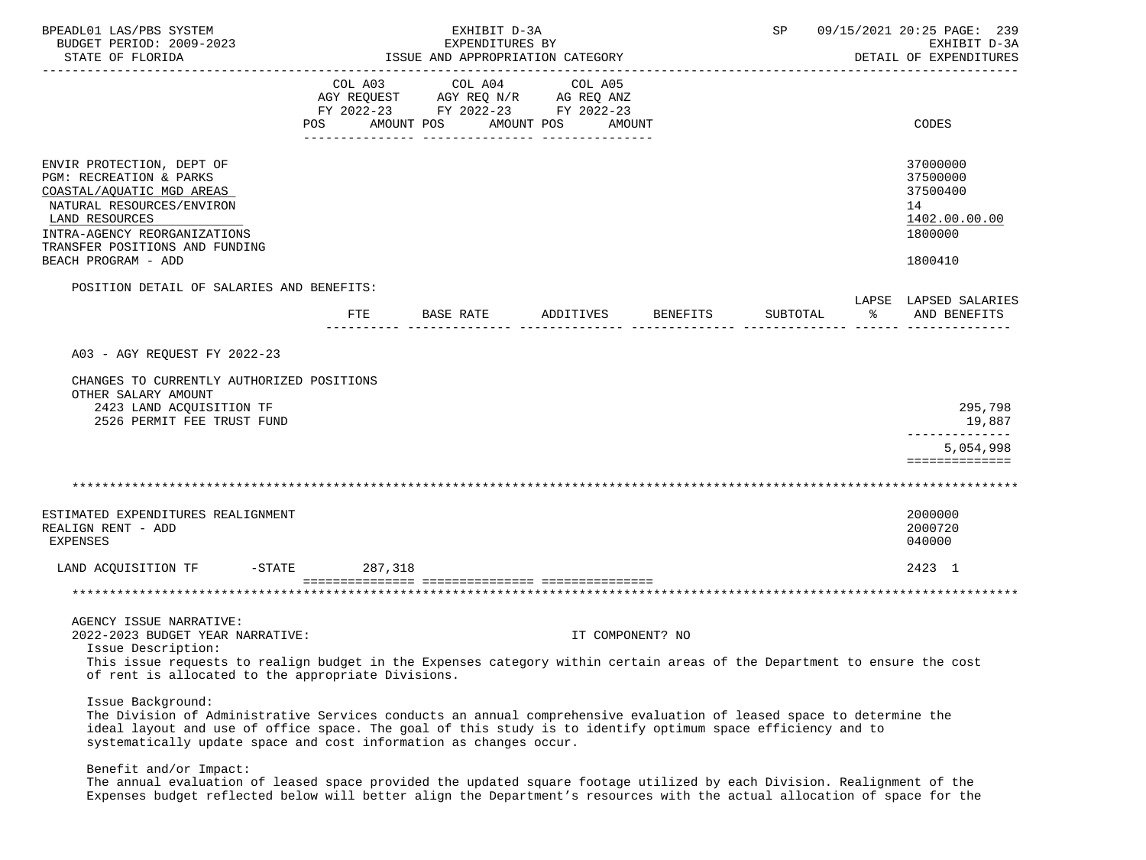| BPEADL01 LAS/PBS SYSTEM<br>BUDGET PERIOD: 2009-2023<br>STATE OF FLORIDA                                                                                                                                                                                                                                                        |                      | EXHIBIT D-3A<br>EXPENDITURES BY<br>ISSUE AND APPROPRIATION CATEGORY                                           |                   |          | SP       |    | 09/15/2021 20:25 PAGE: 239<br>EXHIBIT D-3A<br>DETAIL OF EXPENDITURES          |
|--------------------------------------------------------------------------------------------------------------------------------------------------------------------------------------------------------------------------------------------------------------------------------------------------------------------------------|----------------------|---------------------------------------------------------------------------------------------------------------|-------------------|----------|----------|----|-------------------------------------------------------------------------------|
|                                                                                                                                                                                                                                                                                                                                | COL A03<br>POS       | COL A04<br>AGY REQUEST AGY REQ N/R AG REQ ANZ<br>FY 2022-23 FY 2022-23 FY 2022-23<br>AMOUNT POS<br>AMOUNT POS | COL A05<br>AMOUNT |          |          |    | CODES                                                                         |
| ENVIR PROTECTION, DEPT OF<br>PGM: RECREATION & PARKS<br>COASTAL/AQUATIC MGD AREAS<br>NATURAL RESOURCES/ENVIRON<br>LAND RESOURCES<br>INTRA-AGENCY REORGANIZATIONS<br>TRANSFER POSITIONS AND FUNDING<br>BEACH PROGRAM - ADD                                                                                                      |                      |                                                                                                               |                   |          |          |    | 37000000<br>37500000<br>37500400<br>14<br>1402.00.00.00<br>1800000<br>1800410 |
| POSITION DETAIL OF SALARIES AND BENEFITS:                                                                                                                                                                                                                                                                                      | FTE                  | BASE RATE                                                                                                     | ADDITIVES         | BENEFITS | SUBTOTAL | ిన | LAPSE LAPSED SALARIES<br>AND BENEFITS                                         |
| A03 - AGY REOUEST FY 2022-23<br>CHANGES TO CURRENTLY AUTHORIZED POSITIONS<br>OTHER SALARY AMOUNT<br>2423 LAND ACQUISITION TF<br>2526 PERMIT FEE TRUST FUND                                                                                                                                                                     |                      |                                                                                                               |                   |          |          |    | 295,798<br>19,887                                                             |
|                                                                                                                                                                                                                                                                                                                                |                      |                                                                                                               |                   |          |          |    | 5,054,998<br>==============                                                   |
| ESTIMATED EXPENDITURES REALIGNMENT<br>REALIGN RENT - ADD<br>EXPENSES                                                                                                                                                                                                                                                           |                      |                                                                                                               |                   |          |          |    | 2000000<br>2000720<br>040000                                                  |
| LAND ACQUISITION TF                                                                                                                                                                                                                                                                                                            | 287,318<br>$-$ STATE |                                                                                                               |                   |          |          |    | 2423 1                                                                        |
|                                                                                                                                                                                                                                                                                                                                |                      |                                                                                                               |                   |          |          |    |                                                                               |
| AGENCY ISSUE NARRATIVE:<br>2022-2023 BUDGET YEAR NARRATIVE:<br>Issue Description:                                                                                                                                                                                                                                              |                      |                                                                                                               | IT COMPONENT? NO  |          |          |    |                                                                               |
| This issue requests to realign budget in the Expenses category within certain areas of the Department to ensure the cost<br>of rent is allocated to the appropriate Divisions.                                                                                                                                                 |                      |                                                                                                               |                   |          |          |    |                                                                               |
| Issue Background:<br>The Division of Administrative Services conducts an annual comprehensive evaluation of leased space to determine the<br>ideal layout and use of office space. The goal of this study is to identify optimum space efficiency and to<br>systematically update space and cost information as changes occur. |                      |                                                                                                               |                   |          |          |    |                                                                               |
| Benefit and/or Impact:<br>The annual evaluation of leased space provided the updated square footage utilized by each Division. Realignment of the<br>Expenses budget reflected below will better align the Department's resources with the actual allocation of space for the                                                  |                      |                                                                                                               |                   |          |          |    |                                                                               |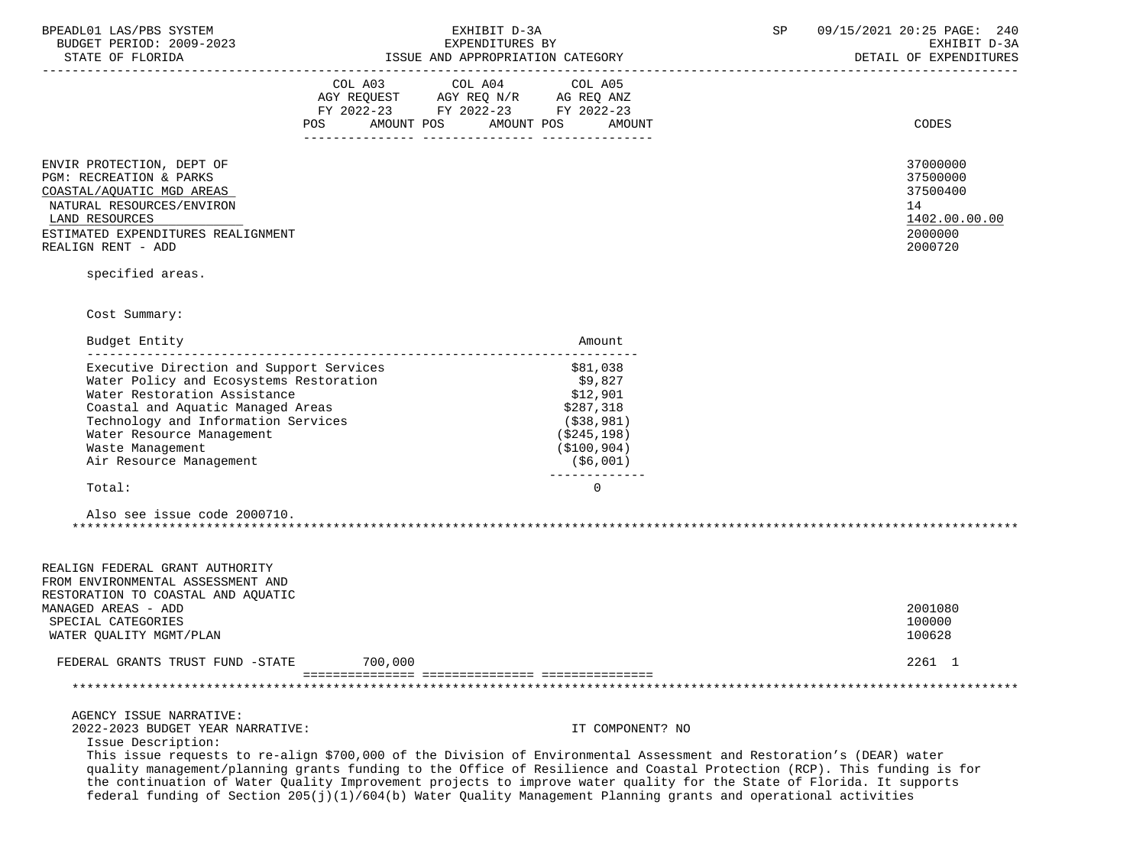| BPEADL01 LAS/PBS SYSTEM |                          |
|-------------------------|--------------------------|
|                         | BUDGET PERIOD: 2009-2023 |
|                         |                          |

-----------------------------------------------------------------------------------------------------------------------------------

| ISSUE AND APPROPRIATION CATEGORY<br>STATE OF FLORIDA |  | DETAIL OF EXPENDITURES |
|------------------------------------------------------|--|------------------------|
|------------------------------------------------------|--|------------------------|

| AGY REOUEST<br>AGY REO N/R<br>AG REO ANZ<br>FY 2022-23<br>FY 2022-23<br>FY 2022-23<br>POS.<br>AMOUNT<br>AMOUNT POS<br>AMOUNT POS | COL A03 |  | COL A04 |  | COL A05 |  |
|----------------------------------------------------------------------------------------------------------------------------------|---------|--|---------|--|---------|--|
|                                                                                                                                  |         |  |         |  |         |  |
|                                                                                                                                  |         |  |         |  |         |  |
|                                                                                                                                  |         |  |         |  |         |  |

ENVIR PROTECTION, DEPT OF 37000000 ENVIR PROTECTION, DEPT OF A SAMPLE OF A STOOD OF A STOOD OF A STOOD OF A STOOD OF A STOOD OF A STOOD OF A STOOD OF A STOOD OF A STOOD OF A STOOD OF A STOOD OF A STOOD OF A STOOD OF A STOO PGM: RECREATION & PARKS 37500000 COASTAL/AQUATIC MGD AREAS NATURAL RESOURCES/ENVIRON 14<br>1402.00.00.00 1600 1600 171 1720 1720 1730 17402.00.00

# ESTIMATED EXPENDITURES REALIGNMENT 2000000 PENDENT AND SOLUTION OF THE SETIMATED EXPENDITURES REALIGNMENT 2000000<br>REALIGN RENT - ADD 2000720 REALIGN RENT - ADD

specified areas.

Cost Summary:

| Budget Entity                            | Amount.       |
|------------------------------------------|---------------|
| Executive Direction and Support Services | \$81,038      |
| Water Policy and Ecosystems Restoration  | \$9.827       |
| Water Restoration Assistance             | \$12,901      |
| Coastal and Aquatic Managed Areas        | \$287,318     |
| Technology and Information Services      | ( \$38, 981)  |
| Water Resource Management                | (\$245,198)   |
| Waste Management                         | ( \$100, 904) |
| Air Resource Management                  | \$6,001)      |
| Total:                                   |               |
|                                          |               |

 Also see issue code 2000710. \*\*\*\*\*\*\*\*\*\*\*\*\*\*\*\*\*\*\*\*\*\*\*\*\*\*\*\*\*\*\*\*\*\*\*\*\*\*\*\*\*\*\*\*\*\*\*\*\*\*\*\*\*\*\*\*\*\*\*\*\*\*\*\*\*\*\*\*\*\*\*\*\*\*\*\*\*\*\*\*\*\*\*\*\*\*\*\*\*\*\*\*\*\*\*\*\*\*\*\*\*\*\*\*\*\*\*\*\*\*\*\*\*\*\*\*\*\*\*\*\*\*\*\*\*\*\*

| REALIGN FEDERAL GRANT AUTHORITY<br>FROM ENVIRONMENTAL ASSESSMENT AND<br>RESTORATION TO COASTAL AND AOUATIC<br>MANAGED AREAS - ADD<br>SPECIAL CATEGORIES<br>WATER OUALITY MGMT/PLAN |         | 2001080<br>100000<br>100628 |  |
|------------------------------------------------------------------------------------------------------------------------------------------------------------------------------------|---------|-----------------------------|--|
| FEDERAL GRANTS TRUST FUND -STATE                                                                                                                                                   | 700,000 | 2261 1                      |  |
|                                                                                                                                                                                    |         |                             |  |

 AGENCY ISSUE NARRATIVE: 2022-2023 BUDGET YEAR NARRATIVE: IT COMPONENT? NO

Issue Description:

 This issue requests to re-align \$700,000 of the Division of Environmental Assessment and Restoration's (DEAR) water quality management/planning grants funding to the Office of Resilience and Coastal Protection (RCP). This funding is for the continuation of Water Quality Improvement projects to improve water quality for the State of Florida. It supports federal funding of Section 205(j)(1)/604(b) Water Quality Management Planning grants and operational activities

 $\underline{\text{LAND RESOUTCES}} \underbrace{\text{1402.00.00}}$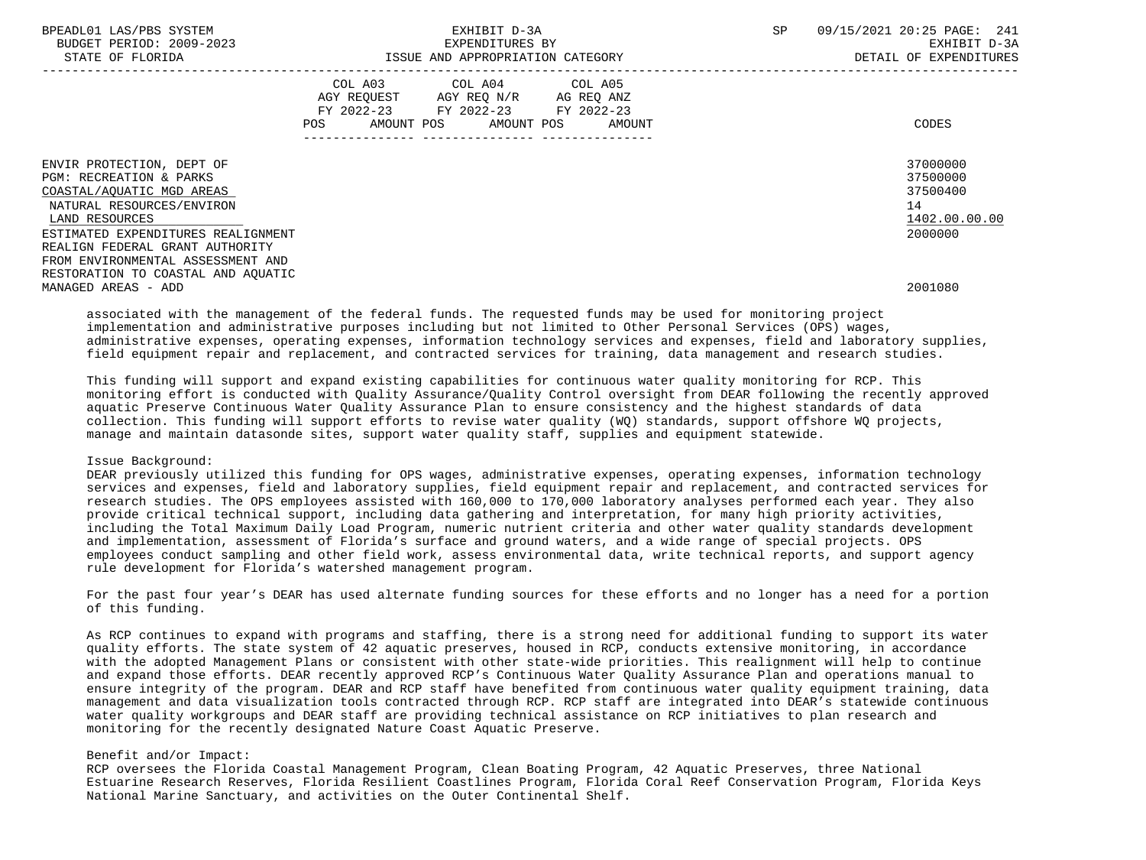| BPEADL01 LAS/PBS SYSTEM<br>BUDGET PERIOD: 2009-2023<br>STATE OF FLORIDA                                                                                                           | EXHIBIT D-3A<br>EXPENDITURES BY<br>ISSUE AND APPROPRIATION CATEGORY                                                                            | 09/15/2021 20:25 PAGE: 241<br><b>SP</b><br>EXHIBIT D-3A<br>DETAIL OF EXPENDITURES |
|-----------------------------------------------------------------------------------------------------------------------------------------------------------------------------------|------------------------------------------------------------------------------------------------------------------------------------------------|-----------------------------------------------------------------------------------|
|                                                                                                                                                                                   | COL A04 COL A05<br>COL A03<br>AGY REQUEST AGY REQ N/R AG REQ ANZ<br>FY 2022-23 FY 2022-23 FY 2022-23<br>AMOUNT POS AMOUNT POS<br>POS<br>AMOUNT | CODES                                                                             |
| ENVIR PROTECTION, DEPT OF<br><b>PGM: RECREATION &amp; PARKS</b><br>COASTAL/AQUATIC MGD AREAS<br>NATURAL RESOURCES/ENVIRON<br>LAND RESOURCES<br>ESTIMATED EXPENDITURES REALIGNMENT |                                                                                                                                                | 37000000<br>37500000<br>37500400<br>14<br>1402.00.00.00<br>2000000                |
| REALIGN FEDERAL GRANT AUTHORITY<br>FROM ENVIRONMENTAL ASSESSMENT AND<br>RESTORATION TO COASTAL AND AQUATIC<br>MANAGED AREAS - ADD                                                 |                                                                                                                                                | 2001080                                                                           |

 associated with the management of the federal funds. The requested funds may be used for monitoring project implementation and administrative purposes including but not limited to Other Personal Services (OPS) wages, administrative expenses, operating expenses, information technology services and expenses, field and laboratory supplies, field equipment repair and replacement, and contracted services for training, data management and research studies.

 This funding will support and expand existing capabilities for continuous water quality monitoring for RCP. This monitoring effort is conducted with Quality Assurance/Quality Control oversight from DEAR following the recently approved aquatic Preserve Continuous Water Quality Assurance Plan to ensure consistency and the highest standards of data collection. This funding will support efforts to revise water quality (WQ) standards, support offshore WQ projects, manage and maintain datasonde sites, support water quality staff, supplies and equipment statewide.

### Issue Background:

 DEAR previously utilized this funding for OPS wages, administrative expenses, operating expenses, information technology services and expenses, field and laboratory supplies, field equipment repair and replacement, and contracted services for research studies. The OPS employees assisted with 160,000 to 170,000 laboratory analyses performed each year. They also provide critical technical support, including data gathering and interpretation, for many high priority activities, including the Total Maximum Daily Load Program, numeric nutrient criteria and other water quality standards development and implementation, assessment of Florida's surface and ground waters, and a wide range of special projects. OPS employees conduct sampling and other field work, assess environmental data, write technical reports, and support agency rule development for Florida's watershed management program.

 For the past four year's DEAR has used alternate funding sources for these efforts and no longer has a need for a portion of this funding.

 As RCP continues to expand with programs and staffing, there is a strong need for additional funding to support its water quality efforts. The state system of 42 aquatic preserves, housed in RCP, conducts extensive monitoring, in accordance with the adopted Management Plans or consistent with other state-wide priorities. This realignment will help to continue and expand those efforts. DEAR recently approved RCP's Continuous Water Quality Assurance Plan and operations manual to ensure integrity of the program. DEAR and RCP staff have benefited from continuous water quality equipment training, data management and data visualization tools contracted through RCP. RCP staff are integrated into DEAR's statewide continuous water quality workgroups and DEAR staff are providing technical assistance on RCP initiatives to plan research and monitoring for the recently designated Nature Coast Aquatic Preserve.

## Benefit and/or Impact:

 RCP oversees the Florida Coastal Management Program, Clean Boating Program, 42 Aquatic Preserves, three National Estuarine Research Reserves, Florida Resilient Coastlines Program, Florida Coral Reef Conservation Program, Florida Keys National Marine Sanctuary, and activities on the Outer Continental Shelf.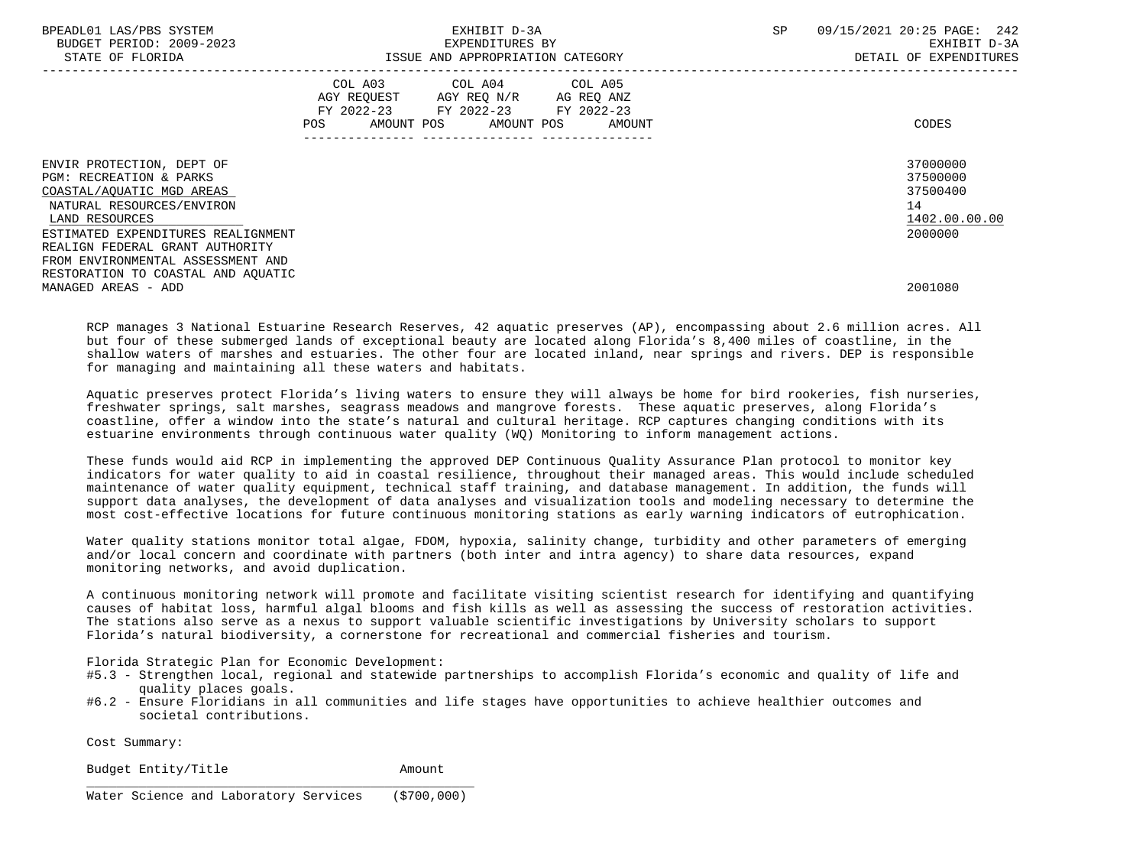| BPEADL01 LAS/PBS SYSTEM<br>BUDGET PERIOD: 2009-2023 | EXHIBIT D-3A<br>EXPENDITURES BY        | 09/15/2021 20:25 PAGE: 242<br><b>SP</b><br>EXHIBIT D-3A |
|-----------------------------------------------------|----------------------------------------|---------------------------------------------------------|
| STATE OF FLORIDA                                    | ISSUE AND APPROPRIATION CATEGORY       | DETAIL OF EXPENDITURES                                  |
|                                                     | COL A03 COL A04 COL A05                |                                                         |
|                                                     | AGY REQUEST AGY REQ N/R AG REQ ANZ     |                                                         |
|                                                     | FY 2022-23 FY 2022-23 FY 2022-23       |                                                         |
|                                                     | AMOUNT POS AMOUNT POS<br>POS<br>AMOUNT | CODES                                                   |
|                                                     | ------------                           |                                                         |
| ENVIR PROTECTION, DEPT OF                           |                                        | 37000000                                                |
| PGM: RECREATION & PARKS                             |                                        | 37500000                                                |
| COASTAL/AQUATIC MGD AREAS                           |                                        | 37500400                                                |
| NATURAL RESOURCES/ENVIRON                           |                                        | 14                                                      |
| LAND RESOURCES                                      |                                        | 1402.00.00.00                                           |
| ESTIMATED EXPENDITURES REALIGNMENT                  |                                        | 2000000                                                 |
| REALIGN FEDERAL GRANT AUTHORITY                     |                                        |                                                         |
| FROM ENVIRONMENTAL ASSESSMENT AND                   |                                        |                                                         |
| RESTORATION TO COASTAL AND AQUATIC                  |                                        |                                                         |
| MANAGED AREAS - ADD                                 |                                        | 2001080                                                 |

 RCP manages 3 National Estuarine Research Reserves, 42 aquatic preserves (AP), encompassing about 2.6 million acres. All but four of these submerged lands of exceptional beauty are located along Florida's 8,400 miles of coastline, in the shallow waters of marshes and estuaries. The other four are located inland, near springs and rivers. DEP is responsible for managing and maintaining all these waters and habitats.

 Aquatic preserves protect Florida's living waters to ensure they will always be home for bird rookeries, fish nurseries, freshwater springs, salt marshes, seagrass meadows and mangrove forests. These aquatic preserves, along Florida's coastline, offer a window into the state's natural and cultural heritage. RCP captures changing conditions with its estuarine environments through continuous water quality (WQ) Monitoring to inform management actions.

 These funds would aid RCP in implementing the approved DEP Continuous Quality Assurance Plan protocol to monitor key indicators for water quality to aid in coastal resilience, throughout their managed areas. This would include scheduled maintenance of water quality equipment, technical staff training, and database management. In addition, the funds will support data analyses, the development of data analyses and visualization tools and modeling necessary to determine the most cost-effective locations for future continuous monitoring stations as early warning indicators of eutrophication.

 Water quality stations monitor total algae, FDOM, hypoxia, salinity change, turbidity and other parameters of emerging and/or local concern and coordinate with partners (both inter and intra agency) to share data resources, expand monitoring networks, and avoid duplication.

 A continuous monitoring network will promote and facilitate visiting scientist research for identifying and quantifying causes of habitat loss, harmful algal blooms and fish kills as well as assessing the success of restoration activities. The stations also serve as a nexus to support valuable scientific investigations by University scholars to support Florida's natural biodiversity, a cornerstone for recreational and commercial fisheries and tourism.

Florida Strategic Plan for Economic Development:

- #5.3 Strengthen local, regional and statewide partnerships to accomplish Florida's economic and quality of life and quality places goals.
- #6.2 Ensure Floridians in all communities and life stages have opportunities to achieve healthier outcomes and societal contributions.

Cost Summary:

Budget Entity/Title **Amount** 

 $\frac{1}{\sqrt{2}}$  ,  $\frac{1}{\sqrt{2}}$  ,  $\frac{1}{\sqrt{2}}$  ,  $\frac{1}{\sqrt{2}}$  ,  $\frac{1}{\sqrt{2}}$  ,  $\frac{1}{\sqrt{2}}$  ,  $\frac{1}{\sqrt{2}}$  ,  $\frac{1}{\sqrt{2}}$  ,  $\frac{1}{\sqrt{2}}$  ,  $\frac{1}{\sqrt{2}}$  ,  $\frac{1}{\sqrt{2}}$  ,  $\frac{1}{\sqrt{2}}$  ,  $\frac{1}{\sqrt{2}}$  ,  $\frac{1}{\sqrt{2}}$  ,  $\frac{1}{\sqrt{2}}$ 

Water Science and Laboratory Services (\$700,000)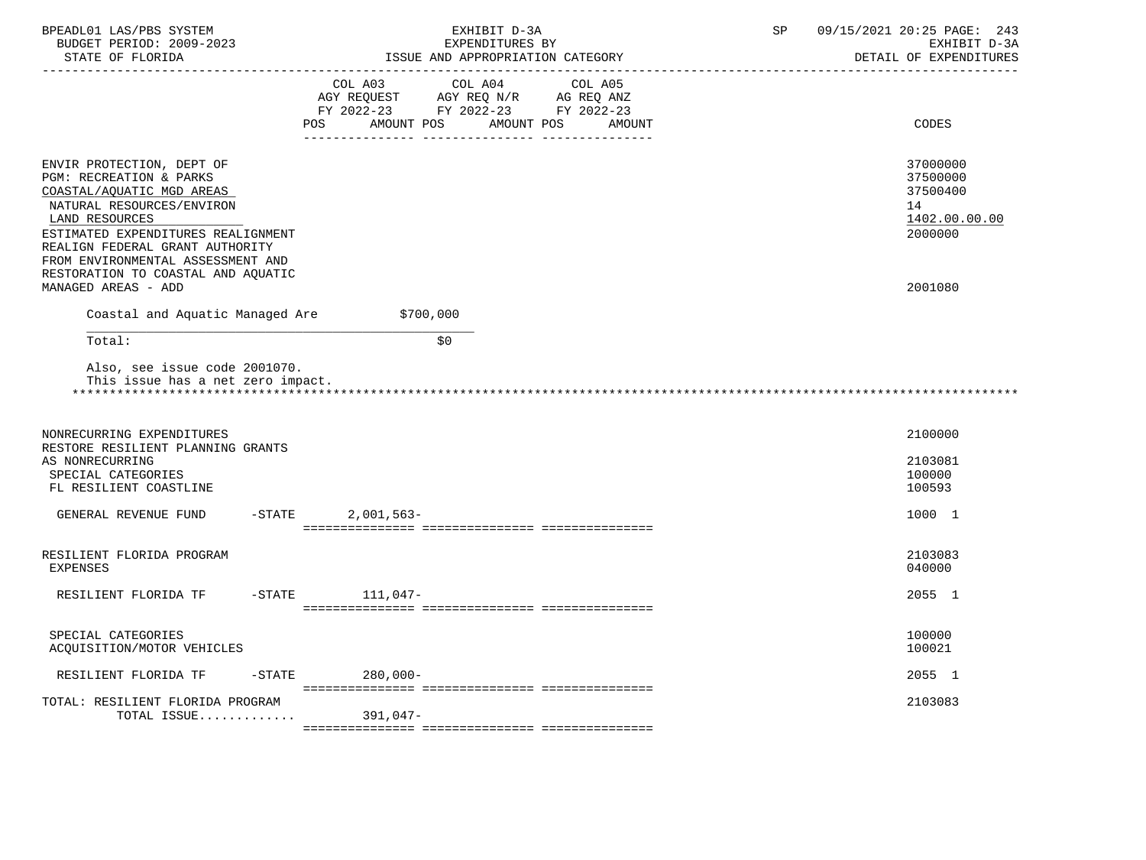| BPEADL01 LAS/PBS SYSTEM<br>BUDGET PERIOD: 2009-2023<br>STATE OF FLORIDA                                                                                                                                                                                                                                     | EXHIBIT D-3A<br>EXPENDITURES BY<br>ISSUE AND APPROPRIATION CATEGORY                                                                                                                                                                                                                          | 09/15/2021 20:25 PAGE: 243<br>SP<br>EXHIBIT D-3A<br>DETAIL OF EXPENDITURES    |
|-------------------------------------------------------------------------------------------------------------------------------------------------------------------------------------------------------------------------------------------------------------------------------------------------------------|----------------------------------------------------------------------------------------------------------------------------------------------------------------------------------------------------------------------------------------------------------------------------------------------|-------------------------------------------------------------------------------|
|                                                                                                                                                                                                                                                                                                             | $\begin{tabular}{lllllllll} COL & A03 & \multicolumn{2}{l}COL & A04 & \multicolumn{2}{l}COL & A05 \\ AGY & REQUEST & \multicolumn{2}{l}AGY & REQ & N/R & \multicolumn{2}{l}AG & REQ & ANZ \\ \end{tabular}$<br>FY 2022-23 FY 2022-23 FY 2022-23<br>POS<br>AMOUNT POS<br>AMOUNT POS<br>AMOUNT | CODES                                                                         |
| ENVIR PROTECTION, DEPT OF<br>PGM: RECREATION & PARKS<br>COASTAL/AQUATIC MGD AREAS<br>NATURAL RESOURCES/ENVIRON<br>LAND RESOURCES<br>ESTIMATED EXPENDITURES REALIGNMENT<br>REALIGN FEDERAL GRANT AUTHORITY<br>FROM ENVIRONMENTAL ASSESSMENT AND<br>RESTORATION TO COASTAL AND AQUATIC<br>MANAGED AREAS - ADD |                                                                                                                                                                                                                                                                                              | 37000000<br>37500000<br>37500400<br>14<br>1402.00.00.00<br>2000000<br>2001080 |
| Coastal and Aquatic Managed Are                                                                                                                                                                                                                                                                             | \$700,000                                                                                                                                                                                                                                                                                    |                                                                               |
| Total:                                                                                                                                                                                                                                                                                                      | \$0                                                                                                                                                                                                                                                                                          |                                                                               |
| Also, see issue code 2001070.<br>This issue has a net zero impact.                                                                                                                                                                                                                                          |                                                                                                                                                                                                                                                                                              |                                                                               |
| NONRECURRING EXPENDITURES<br>RESTORE RESILIENT PLANNING GRANTS<br>AS NONRECURRING<br>SPECIAL CATEGORIES<br>FL RESILIENT COASTLINE                                                                                                                                                                           |                                                                                                                                                                                                                                                                                              | 2100000<br>2103081<br>100000<br>100593                                        |
| $-$ STATE<br>GENERAL REVENUE FUND                                                                                                                                                                                                                                                                           | $2,001,563-$                                                                                                                                                                                                                                                                                 | 1000 1                                                                        |
| RESILIENT FLORIDA PROGRAM<br><b>EXPENSES</b>                                                                                                                                                                                                                                                                |                                                                                                                                                                                                                                                                                              | 2103083<br>040000                                                             |
| RESILIENT FLORIDA TF                                                                                                                                                                                                                                                                                        | $-$ STATE 111,047-                                                                                                                                                                                                                                                                           | 2055 1                                                                        |
| SPECIAL CATEGORIES<br>ACQUISITION/MOTOR VEHICLES                                                                                                                                                                                                                                                            |                                                                                                                                                                                                                                                                                              | 100000<br>100021                                                              |
| RESILIENT FLORIDA TF                                                                                                                                                                                                                                                                                        | $-STATE$ 280,000-                                                                                                                                                                                                                                                                            | 2055 1                                                                        |
| TOTAL: RESILIENT FLORIDA PROGRAM<br>TOTAL ISSUE                                                                                                                                                                                                                                                             |                                                                                                                                                                                                                                                                                              | 2103083                                                                       |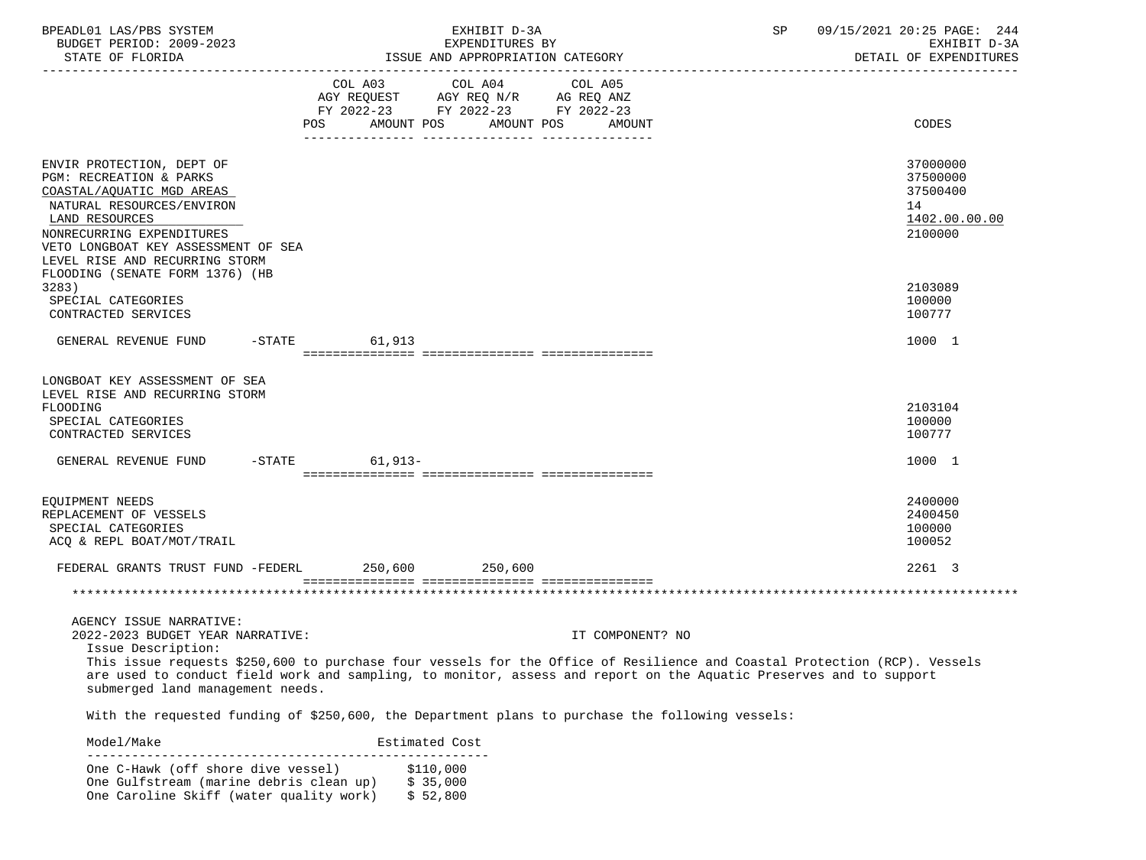| BPEADL01 LAS/PBS SYSTEM<br>BUDGET PERIOD: 2009-2023<br>STATE OF FLORIDA                                                                                                                                                                |                | EXHIBIT D-3A<br>EXPENDITURES BY<br>ISSUE AND APPROPRIATION CATEGORY                                                                                                                                                                                                 | 09/15/2021 20:25 PAGE: 244<br>SP | EXHIBIT D-3A<br>DETAIL OF EXPENDITURES                       |
|----------------------------------------------------------------------------------------------------------------------------------------------------------------------------------------------------------------------------------------|----------------|---------------------------------------------------------------------------------------------------------------------------------------------------------------------------------------------------------------------------------------------------------------------|----------------------------------|--------------------------------------------------------------|
|                                                                                                                                                                                                                                        |                | COL A03 COL A04 COL A05<br>AGY REQUEST AGY REQ N/R AG REQ ANZ<br>FY 2022-23 FY 2022-23 FY 2022-23<br>POS AMOUNT POS AMOUNT POS AMOUNT                                                                                                                               |                                  | CODES                                                        |
|                                                                                                                                                                                                                                        |                |                                                                                                                                                                                                                                                                     |                                  |                                                              |
| ENVIR PROTECTION, DEPT OF<br>PGM: RECREATION & PARKS<br>COASTAL/AQUATIC MGD AREAS<br>NATURAL RESOURCES/ENVIRON<br>LAND RESOURCES<br>NONRECURRING EXPENDITURES<br>VETO LONGBOAT KEY ASSESSMENT OF SEA<br>LEVEL RISE AND RECURRING STORM |                |                                                                                                                                                                                                                                                                     | 14                               | 37000000<br>37500000<br>37500400<br>1402.00.00.00<br>2100000 |
| FLOODING (SENATE FORM 1376) (HB                                                                                                                                                                                                        |                |                                                                                                                                                                                                                                                                     |                                  |                                                              |
| 3283)<br>SPECIAL CATEGORIES<br>CONTRACTED SERVICES                                                                                                                                                                                     |                |                                                                                                                                                                                                                                                                     |                                  | 2103089<br>100000<br>100777                                  |
| GENERAL REVENUE FUND -STATE 61,913                                                                                                                                                                                                     |                |                                                                                                                                                                                                                                                                     |                                  | 1000 1                                                       |
| LONGBOAT KEY ASSESSMENT OF SEA<br>LEVEL RISE AND RECURRING STORM<br>FLOODING<br>SPECIAL CATEGORIES<br>CONTRACTED SERVICES<br>GENERAL REVENUE FUND -STATE 61,913-                                                                       |                |                                                                                                                                                                                                                                                                     |                                  | 2103104<br>100000<br>100777<br>1000 1                        |
|                                                                                                                                                                                                                                        |                |                                                                                                                                                                                                                                                                     |                                  |                                                              |
| EQUIPMENT NEEDS<br>REPLACEMENT OF VESSELS<br>SPECIAL CATEGORIES<br>ACQ & REPL BOAT/MOT/TRAIL                                                                                                                                           |                |                                                                                                                                                                                                                                                                     |                                  | 2400000<br>2400450<br>100000<br>100052                       |
| FEDERAL GRANTS TRUST FUND -FEDERL 250,600 250,600                                                                                                                                                                                      |                |                                                                                                                                                                                                                                                                     |                                  | 2261 3                                                       |
|                                                                                                                                                                                                                                        |                |                                                                                                                                                                                                                                                                     |                                  |                                                              |
| AGENCY ISSUE NARRATIVE:<br>2022-2023 BUDGET YEAR NARRATIVE:<br>Issue Description:<br>submerged land management needs.                                                                                                                  |                | IT COMPONENT? NO<br>This issue requests \$250,600 to purchase four vessels for the Office of Resilience and Coastal Protection (RCP). Vessels<br>are used to conduct field work and sampling, to monitor, assess and report on the Aquatic Preserves and to support |                                  |                                                              |
|                                                                                                                                                                                                                                        |                | With the requested funding of \$250,600, the Department plans to purchase the following vessels:                                                                                                                                                                    |                                  |                                                              |
| Model/Make                                                                                                                                                                                                                             | Estimated Cost |                                                                                                                                                                                                                                                                     |                                  |                                                              |

 ------------------------------------------------------ One C-Hawk (off shore dive vessel) \$110,000<br>One Gulfstream (marine debris clean up) \$35,000 One Gulfstream (marine debris clean up) \$ 35,000<br>One Caroline Skiff (water quality work) \$ 52,800 One Caroline Skiff (water quality work)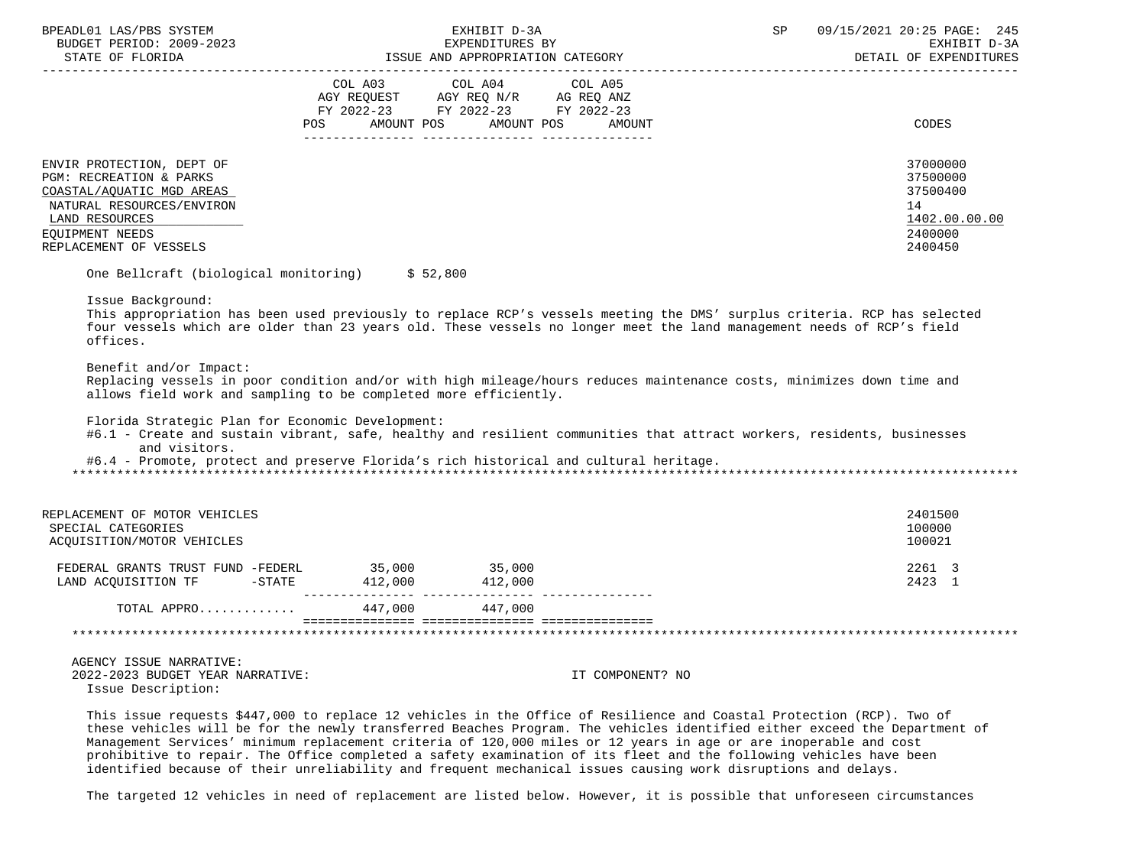| BPEADL01 LAS/PBS SYSTEM<br>BUDGET PERIOD: 2009-2023<br>STATE OF FLORIDA                                                                                                                                                                                                                                                                                                                                                               |                          | EXHIBIT D-3A<br>EXPENDITURES BY<br>13<br>ISSUE AND APPROPRIATION CATEGORY | SP | 09/15/2021 20:25 PAGE: 245<br>EXHIBIT D-3A<br>DETAIL OF EXPENDITURES |
|---------------------------------------------------------------------------------------------------------------------------------------------------------------------------------------------------------------------------------------------------------------------------------------------------------------------------------------------------------------------------------------------------------------------------------------|--------------------------|---------------------------------------------------------------------------|----|----------------------------------------------------------------------|
|                                                                                                                                                                                                                                                                                                                                                                                                                                       |                          | COL A03 COL A04 COL A05                                                   |    |                                                                      |
|                                                                                                                                                                                                                                                                                                                                                                                                                                       |                          |                                                                           |    |                                                                      |
|                                                                                                                                                                                                                                                                                                                                                                                                                                       |                          | AGY REQUEST AGY REQ N/R AG REQ ANZ<br>FY 2022-23 FY 2022-23 FY 2022-23    |    |                                                                      |
|                                                                                                                                                                                                                                                                                                                                                                                                                                       | AMOUNT POS<br><b>POS</b> | AMOUNT POS<br>AMOUNT                                                      |    | CODES                                                                |
| ENVIR PROTECTION, DEPT OF                                                                                                                                                                                                                                                                                                                                                                                                             |                          |                                                                           |    | 37000000                                                             |
| PGM: RECREATION & PARKS                                                                                                                                                                                                                                                                                                                                                                                                               |                          |                                                                           |    | 37500000                                                             |
| COASTAL/AQUATIC MGD AREAS                                                                                                                                                                                                                                                                                                                                                                                                             |                          |                                                                           |    | 37500400                                                             |
| NATURAL RESOURCES/ENVIRON                                                                                                                                                                                                                                                                                                                                                                                                             |                          |                                                                           |    | 14                                                                   |
| LAND RESOURCES                                                                                                                                                                                                                                                                                                                                                                                                                        |                          |                                                                           |    | 1402.00.00.00                                                        |
| EQUIPMENT NEEDS<br>REPLACEMENT OF VESSELS                                                                                                                                                                                                                                                                                                                                                                                             |                          |                                                                           |    | 2400000<br>2400450                                                   |
|                                                                                                                                                                                                                                                                                                                                                                                                                                       |                          |                                                                           |    |                                                                      |
| One Bellcraft (biological monitoring) \$52,800                                                                                                                                                                                                                                                                                                                                                                                        |                          |                                                                           |    |                                                                      |
| Issue Background:<br>This appropriation has been used previously to replace RCP's vessels meeting the DMS' surplus criteria. RCP has selected<br>four vessels which are older than 23 years old. These vessels no longer meet the land management needs of RCP's field<br>offices.<br>Benefit and/or Impact:<br>Replacing vessels in poor condition and/or with high mileage/hours reduces maintenance costs, minimizes down time and |                          |                                                                           |    |                                                                      |
| allows field work and sampling to be completed more efficiently.                                                                                                                                                                                                                                                                                                                                                                      |                          |                                                                           |    |                                                                      |
| Florida Strategic Plan for Economic Development:<br>#6.1 - Create and sustain vibrant, safe, healthy and resilient communities that attract workers, residents, businesses<br>and visitors.                                                                                                                                                                                                                                           |                          |                                                                           |    |                                                                      |
| #6.4 - Promote, protect and preserve Florida's rich historical and cultural heritage.                                                                                                                                                                                                                                                                                                                                                 |                          |                                                                           |    |                                                                      |
|                                                                                                                                                                                                                                                                                                                                                                                                                                       |                          |                                                                           |    |                                                                      |
| REPLACEMENT OF MOTOR VEHICLES                                                                                                                                                                                                                                                                                                                                                                                                         |                          |                                                                           |    | 2401500                                                              |
| SPECIAL CATEGORIES                                                                                                                                                                                                                                                                                                                                                                                                                    |                          |                                                                           |    | 100000                                                               |
| ACQUISITION/MOTOR VEHICLES                                                                                                                                                                                                                                                                                                                                                                                                            |                          |                                                                           |    | 100021                                                               |
|                                                                                                                                                                                                                                                                                                                                                                                                                                       |                          |                                                                           |    |                                                                      |
| FEDERAL GRANTS TRUST FUND -FEDERL 35,000 35,000                                                                                                                                                                                                                                                                                                                                                                                       |                          |                                                                           |    | 2261 3                                                               |
| LAND ACQUISITION TF -STATE 412,000 412,000                                                                                                                                                                                                                                                                                                                                                                                            |                          |                                                                           |    | 2423 1                                                               |
| TOTAL APPRO 447,000 447,000                                                                                                                                                                                                                                                                                                                                                                                                           |                          |                                                                           |    |                                                                      |
|                                                                                                                                                                                                                                                                                                                                                                                                                                       |                          |                                                                           |    |                                                                      |
| AGENCY ISSUE NARRATIVE:                                                                                                                                                                                                                                                                                                                                                                                                               |                          |                                                                           |    |                                                                      |
| 2022-2023 BUDGET YEAR NARRATIVE:<br>Issue Description:                                                                                                                                                                                                                                                                                                                                                                                |                          | IT COMPONENT? NO                                                          |    |                                                                      |
| This issue requests \$447,000 to replace 12 vehicles in the Office of Pesiliance and Coastal Protection (PCP), Two of                                                                                                                                                                                                                                                                                                                 |                          |                                                                           |    |                                                                      |

 This issue requests \$447,000 to replace 12 vehicles in the Office of Resilience and Coastal Protection (RCP). Two of these vehicles will be for the newly transferred Beaches Program. The vehicles identified either exceed the Department of Management Services' minimum replacement criteria of 120,000 miles or 12 years in age or are inoperable and cost prohibitive to repair. The Office completed a safety examination of its fleet and the following vehicles have been identified because of their unreliability and frequent mechanical issues causing work disruptions and delays.

The targeted 12 vehicles in need of replacement are listed below. However, it is possible that unforeseen circumstances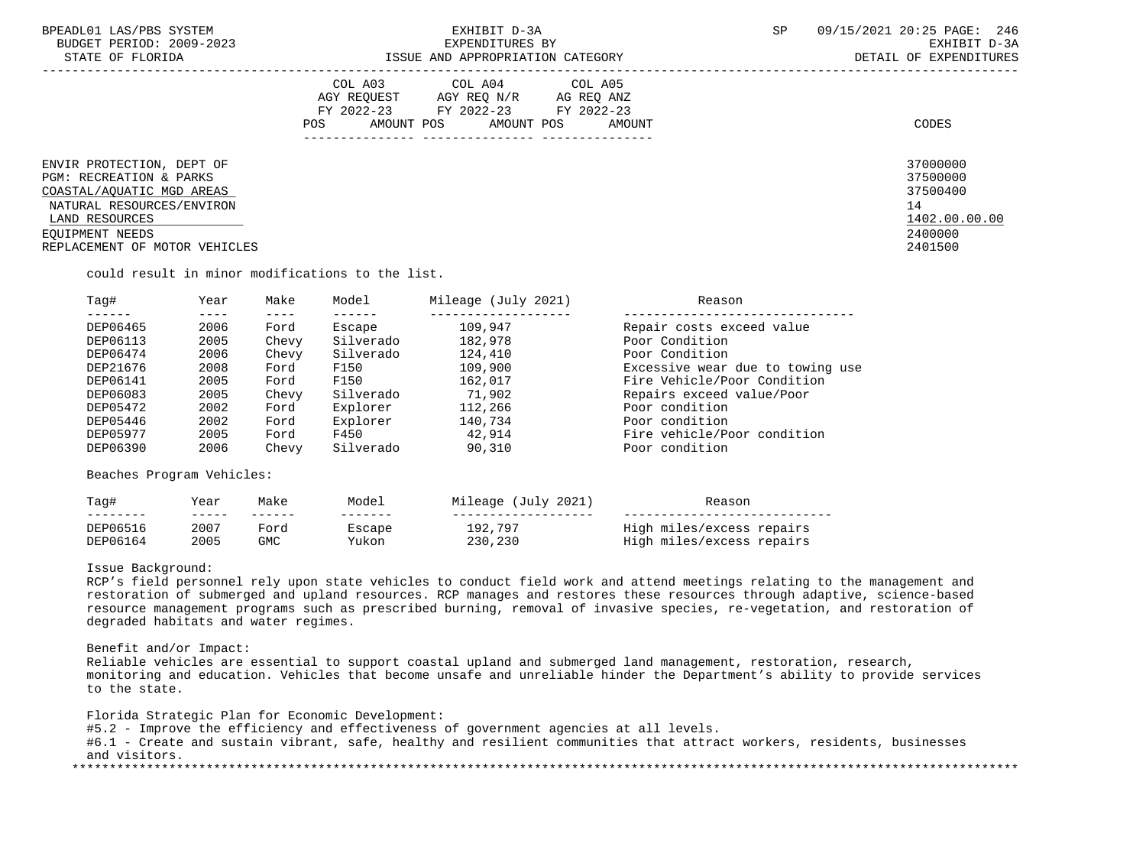| BPEADL01 LAS/PBS SYSTEM<br>BUDGET PERIOD: 2009-2023<br>STATE OF FLORIDA                                                                                                                         | EXHIBIT D-3A<br>EXPENDITURES BY<br>ISSUE AND APPROPRIATION CATEGORY                                                                         | <b>SP</b> | 09/15/2021 20:25 PAGE: 246<br>EXHIBIT D-3A<br>DETAIL OF EXPENDITURES          |
|-------------------------------------------------------------------------------------------------------------------------------------------------------------------------------------------------|---------------------------------------------------------------------------------------------------------------------------------------------|-----------|-------------------------------------------------------------------------------|
|                                                                                                                                                                                                 | COL A03 COL A04 COL A05<br>AGY REQUEST AGY REQ N/R AG REQ ANZ<br>FY 2022-23 FY 2022-23 FY 2022-23<br>AMOUNT POS AMOUNT POS<br>POS<br>AMOUNT |           | CODES                                                                         |
| ENVIR PROTECTION, DEPT OF<br><b>PGM: RECREATION &amp; PARKS</b><br>COASTAL/AOUATIC MGD AREAS<br>NATURAL RESOURCES/ENVIRON<br>LAND RESOURCES<br>EOUIPMENT NEEDS<br>REPLACEMENT OF MOTOR VEHICLES |                                                                                                                                             |           | 37000000<br>37500000<br>37500400<br>14<br>1402.00.00.00<br>2400000<br>2401500 |

could result in minor modifications to the list.

| Taq#     | Year | Make  | Model     | Mileage (July 2021) | Reason                           |
|----------|------|-------|-----------|---------------------|----------------------------------|
|          |      |       |           |                     |                                  |
| DEP06465 | 2006 | Ford  | Escape    | 109,947             | Repair costs exceed value        |
| DEP06113 | 2005 | Chevy | Silverado | 182,978             | Poor Condition                   |
| DEP06474 | 2006 | Chevy | Silverado | 124,410             | Poor Condition                   |
| DEP21676 | 2008 | Ford  | F150      | 109,900             | Excessive wear due to towing use |
| DEP06141 | 2005 | Ford  | F150      | 162,017             | Fire Vehicle/Poor Condition      |
| DEP06083 | 2005 | Chevy | Silverado | 71,902              | Repairs exceed value/Poor        |
| DEP05472 | 2002 | Ford  | Explorer  | 112,266             | Poor condition                   |
| DEP05446 | 2002 | Ford  | Explorer  | 140,734             | Poor condition                   |
| DEP05977 | 2005 | Ford  | F450      | 42,914              | Fire vehicle/Poor condition      |
| DEP06390 | 2006 | Chevy | Silverado | 90,310              | Poor condition                   |
|          |      |       |           |                     |                                  |

Beaches Program Vehicles:

| Taq#     | Year | Make | Model  | Mileage (July 2021) | Reason                    |
|----------|------|------|--------|---------------------|---------------------------|
|          |      |      |        |                     |                           |
| DEP06516 | 2007 | Ford | Escape | 192,797             | High miles/excess repairs |
| DEP06164 | 2005 | GMC  | Yukon  | 230,230             | High miles/excess repairs |

### Issue Background:

RCP's field personnel rely upon state vehicles to conduct field work and attend meetings relating to the management and restoration of submerged and upland resources. RCP manages and restores these resources through adaptive, science-based resource management programs such as prescribed burning, removal of invasive species, re-vegetation, and restoration of degraded habitats and water regimes.

### Benefit and/or Impact:

 Reliable vehicles are essential to support coastal upland and submerged land management, restoration, research, monitoring and education. Vehicles that become unsafe and unreliable hinder the Department's ability to provide services to the state.

 Florida Strategic Plan for Economic Development: #5.2 - Improve the efficiency and effectiveness of government agencies at all levels. #6.1 - Create and sustain vibrant, safe, healthy and resilient communities that attract workers, residents, businesses and visitors. \*\*\*\*\*\*\*\*\*\*\*\*\*\*\*\*\*\*\*\*\*\*\*\*\*\*\*\*\*\*\*\*\*\*\*\*\*\*\*\*\*\*\*\*\*\*\*\*\*\*\*\*\*\*\*\*\*\*\*\*\*\*\*\*\*\*\*\*\*\*\*\*\*\*\*\*\*\*\*\*\*\*\*\*\*\*\*\*\*\*\*\*\*\*\*\*\*\*\*\*\*\*\*\*\*\*\*\*\*\*\*\*\*\*\*\*\*\*\*\*\*\*\*\*\*\*\*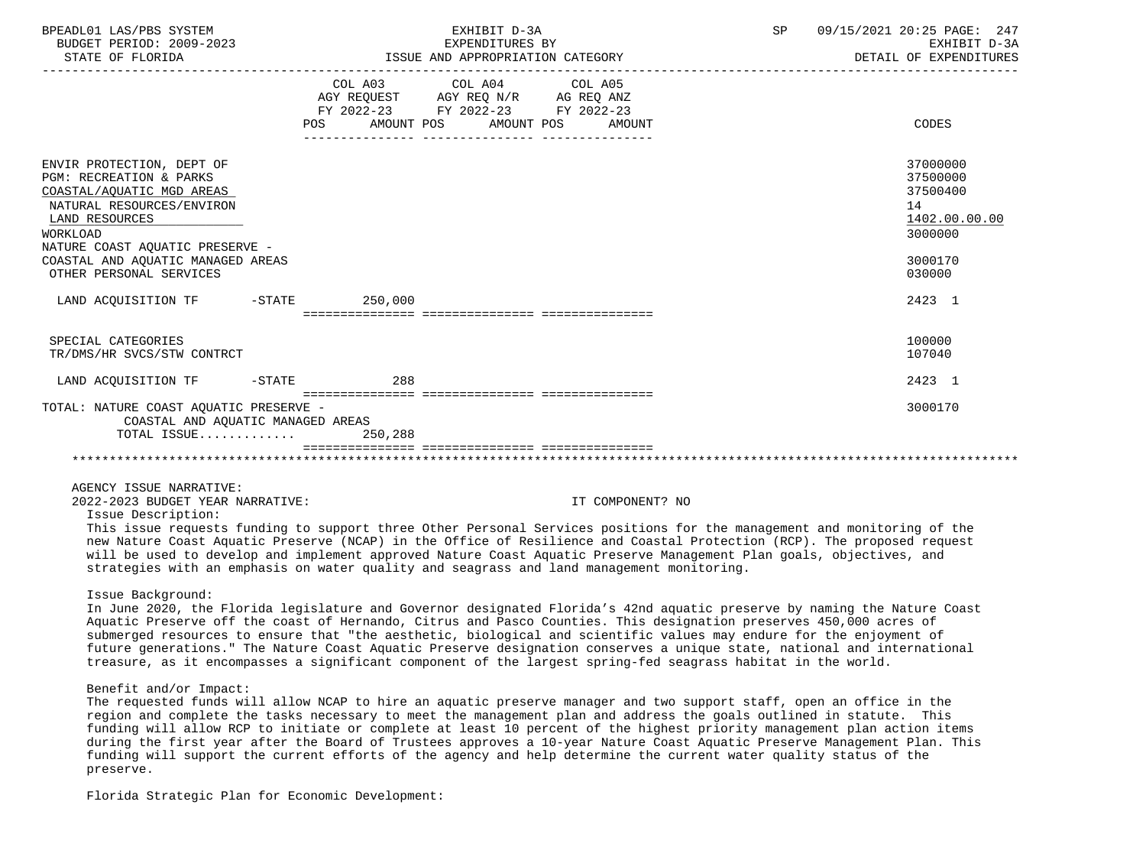| BPEADL01 LAS/PBS SYSTEM<br>BUDGET PERIOD: 2009-2023<br>STATE OF FLORIDA                                                                                                                                                                                           |         | EXHIBIT D-3A<br>EXPENDITURES BY<br>ISSUE AND APPROPRIATION CATEGORY                                                                   | SP<br>_______________________________ | 09/15/2021 20:25 PAGE: 247<br>EXHIBIT D-3A<br>DETAIL OF EXPENDITURES                    |
|-------------------------------------------------------------------------------------------------------------------------------------------------------------------------------------------------------------------------------------------------------------------|---------|---------------------------------------------------------------------------------------------------------------------------------------|---------------------------------------|-----------------------------------------------------------------------------------------|
|                                                                                                                                                                                                                                                                   |         | COL A03 COL A04 COL A05<br>AGY REQUEST AGY REQ N/R AG REQ ANZ<br>FY 2022-23 FY 2022-23 FY 2022-23<br>POS AMOUNT POS AMOUNT POS AMOUNT |                                       | CODES                                                                                   |
| ENVIR PROTECTION, DEPT OF<br><b>PGM: RECREATION &amp; PARKS</b><br>COASTAL/AQUATIC MGD AREAS<br>NATURAL RESOURCES/ENVIRON<br>LAND RESOURCES<br><b>WORKLOAD</b><br>NATURE COAST AOUATIC PRESERVE -<br>COASTAL AND AQUATIC MANAGED AREAS<br>OTHER PERSONAL SERVICES |         |                                                                                                                                       |                                       | 37000000<br>37500000<br>37500400<br>14<br>1402.00.00.00<br>3000000<br>3000170<br>030000 |
| LAND ACOUISITION TF -STATE 250,000                                                                                                                                                                                                                                |         |                                                                                                                                       |                                       | 2423 1                                                                                  |
| SPECIAL CATEGORIES<br>TR/DMS/HR SVCS/STW CONTRCT                                                                                                                                                                                                                  |         |                                                                                                                                       |                                       | 100000<br>107040                                                                        |
| LAND ACQUISITION TF -STATE 288                                                                                                                                                                                                                                    |         |                                                                                                                                       |                                       | 2423 1                                                                                  |
| TOTAL: NATURE COAST AOUATIC PRESERVE -<br>COASTAL AND AQUATIC MANAGED AREAS<br>TOTAL ISSUE                                                                                                                                                                        | 250,288 |                                                                                                                                       |                                       | 3000170                                                                                 |
|                                                                                                                                                                                                                                                                   |         |                                                                                                                                       |                                       |                                                                                         |

2022-2023 BUDGET YEAR NARRATIVE: IT COMPONENT? NO

Issue Description:

 This issue requests funding to support three Other Personal Services positions for the management and monitoring of the new Nature Coast Aquatic Preserve (NCAP) in the Office of Resilience and Coastal Protection (RCP). The proposed request will be used to develop and implement approved Nature Coast Aquatic Preserve Management Plan goals, objectives, and strategies with an emphasis on water quality and seagrass and land management monitoring.

### Issue Background:

 In June 2020, the Florida legislature and Governor designated Florida's 42nd aquatic preserve by naming the Nature Coast Aquatic Preserve off the coast of Hernando, Citrus and Pasco Counties. This designation preserves 450,000 acres of submerged resources to ensure that "the aesthetic, biological and scientific values may endure for the enjoyment of future generations." The Nature Coast Aquatic Preserve designation conserves a unique state, national and international treasure, as it encompasses a significant component of the largest spring-fed seagrass habitat in the world.

### Benefit and/or Impact:

 The requested funds will allow NCAP to hire an aquatic preserve manager and two support staff, open an office in the region and complete the tasks necessary to meet the management plan and address the goals outlined in statute. This funding will allow RCP to initiate or complete at least 10 percent of the highest priority management plan action items during the first year after the Board of Trustees approves a 10-year Nature Coast Aquatic Preserve Management Plan. This funding will support the current efforts of the agency and help determine the current water quality status of the preserve.

Florida Strategic Plan for Economic Development: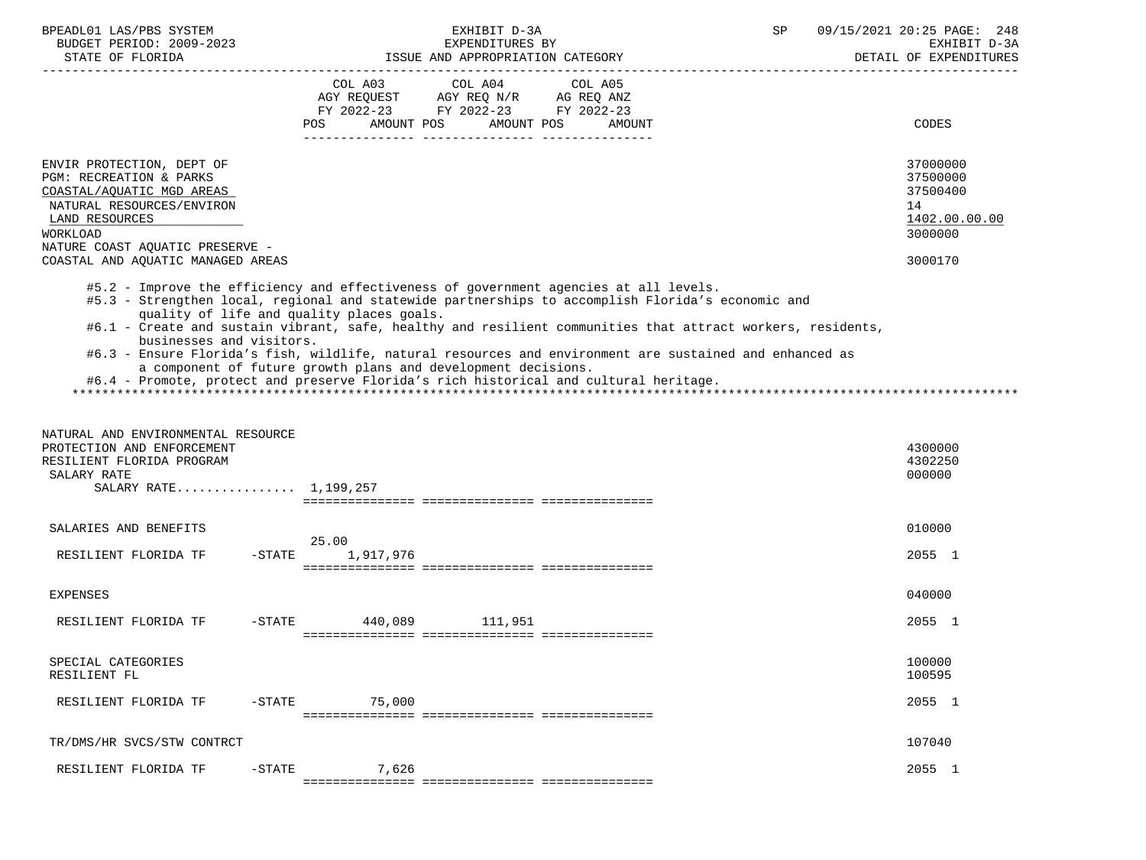| BPEADL01 LAS/PBS SYSTEM<br>BUDGET PERIOD: 2009-2023                                                                                                                                                                                                                                                             |           |                                           | EXHIBIT D-3A<br>EXPENDITURES BY                                                                         |                   | SP                                                                                                                                                                                                                     | 09/15/2021 20:25 PAGE: 248<br>EXHIBIT D-3A<br>DETAIL OF EXPENDITURES |
|-----------------------------------------------------------------------------------------------------------------------------------------------------------------------------------------------------------------------------------------------------------------------------------------------------------------|-----------|-------------------------------------------|---------------------------------------------------------------------------------------------------------|-------------------|------------------------------------------------------------------------------------------------------------------------------------------------------------------------------------------------------------------------|----------------------------------------------------------------------|
|                                                                                                                                                                                                                                                                                                                 |           | POS<br>AMOUNT POS                         | COL A03 COL A04<br>AGY REQUEST AGY REQ N/R AG REQ ANZ<br>FY 2022-23 FY 2022-23 FY 2022-23<br>AMOUNT POS | COL A05<br>AMOUNT |                                                                                                                                                                                                                        | CODES                                                                |
| ENVIR PROTECTION, DEPT OF<br>PGM: RECREATION & PARKS<br>COASTAL/AQUATIC MGD AREAS<br>NATURAL RESOURCES/ENVIRON<br>LAND RESOURCES<br>WORKLOAD<br>NATURE COAST AQUATIC PRESERVE -                                                                                                                                 |           |                                           |                                                                                                         |                   |                                                                                                                                                                                                                        | 37000000<br>37500000<br>37500400<br>14<br>1402.00.00.00<br>3000000   |
| COASTAL AND AQUATIC MANAGED AREAS                                                                                                                                                                                                                                                                               |           |                                           |                                                                                                         |                   |                                                                                                                                                                                                                        | 3000170                                                              |
| #5.2 - Improve the efficiency and effectiveness of government agencies at all levels.<br>#5.3 - Strengthen local, regional and statewide partnerships to accomplish Florida's economic and<br>businesses and visitors.<br>#6.4 - Promote, protect and preserve Florida's rich historical and cultural heritage. |           | quality of life and quality places goals. | a component of future growth plans and development decisions.                                           |                   | #6.1 - Create and sustain vibrant, safe, healthy and resilient communities that attract workers, residents,<br>#6.3 - Ensure Florida's fish, wildlife, natural resources and environment are sustained and enhanced as |                                                                      |
| NATURAL AND ENVIRONMENTAL RESOURCE<br>PROTECTION AND ENFORCEMENT<br>RESILIENT FLORIDA PROGRAM<br>SALARY RATE<br>SALARY RATE 1,199,257                                                                                                                                                                           |           |                                           |                                                                                                         |                   |                                                                                                                                                                                                                        | 4300000<br>4302250<br>000000                                         |
| SALARIES AND BENEFITS                                                                                                                                                                                                                                                                                           |           | 25.00                                     |                                                                                                         |                   |                                                                                                                                                                                                                        | 010000                                                               |
| RESILIENT FLORIDA TF                                                                                                                                                                                                                                                                                            |           | -STATE 1,917,976                          |                                                                                                         |                   |                                                                                                                                                                                                                        | 2055 1                                                               |
| <b>EXPENSES</b>                                                                                                                                                                                                                                                                                                 |           |                                           |                                                                                                         |                   |                                                                                                                                                                                                                        | 040000                                                               |
| RESILIENT FLORIDA TF                                                                                                                                                                                                                                                                                            |           | -STATE 440,089 111,951                    |                                                                                                         |                   |                                                                                                                                                                                                                        | 2055 1                                                               |
| SPECIAL CATEGORIES<br>RESILIENT FL                                                                                                                                                                                                                                                                              |           |                                           |                                                                                                         |                   |                                                                                                                                                                                                                        | 100000<br>100595                                                     |
| RESILIENT FLORIDA TF                                                                                                                                                                                                                                                                                            | $-$ STATE | 75,000                                    |                                                                                                         |                   |                                                                                                                                                                                                                        | 2055 1                                                               |
| TR/DMS/HR SVCS/STW CONTRCT                                                                                                                                                                                                                                                                                      |           |                                           |                                                                                                         |                   |                                                                                                                                                                                                                        | 107040                                                               |
| RESILIENT FLORIDA TF                                                                                                                                                                                                                                                                                            | $-$ STATE | 7,626                                     |                                                                                                         |                   |                                                                                                                                                                                                                        | 2055 1                                                               |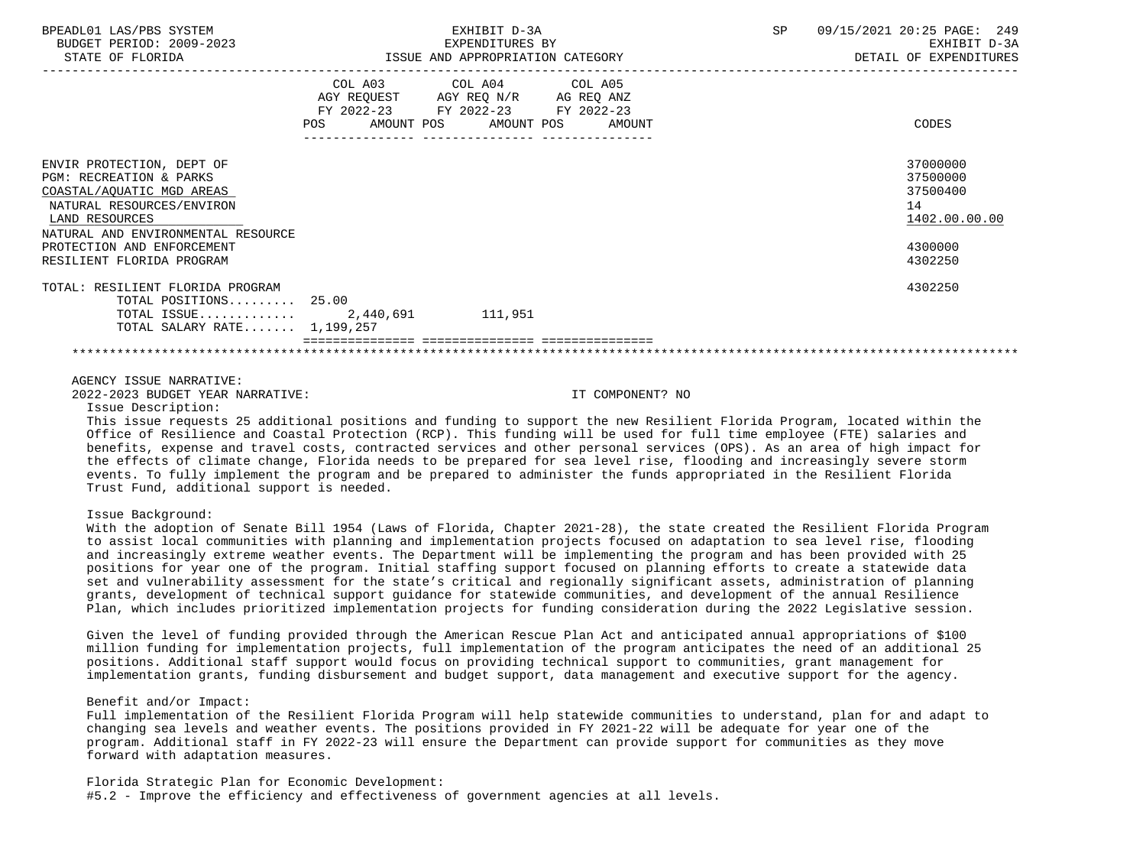| BPEADL01 LAS/PBS SYSTEM<br>BUDGET PERIOD: 2009-2023<br>STATE OF FLORIDA                                                                                                                                         |            | EXHIBIT D-3A<br>EXPENDITURES BY<br>ISSUE AND APPROPRIATION CATEGORY                                                                  | SP | 09/15/2021 20:25 PAGE: 249<br>EXHIBIT D-3A<br>DETAIL OF EXPENDITURES |
|-----------------------------------------------------------------------------------------------------------------------------------------------------------------------------------------------------------------|------------|--------------------------------------------------------------------------------------------------------------------------------------|----|----------------------------------------------------------------------|
|                                                                                                                                                                                                                 | <b>POS</b> | COL A03 COL A04 COL A05<br>AGY REQUEST AGY REQ N/R AG REQ ANZ<br>FY 2022-23 FY 2022-23 FY 2022-23<br>AMOUNT POS AMOUNT POS<br>AMOUNT |    | CODES                                                                |
| ENVIR PROTECTION, DEPT OF<br><b>PGM: RECREATION &amp; PARKS</b><br>COASTAL/AQUATIC MGD AREAS<br>NATURAL RESOURCES/ENVIRON<br>LAND RESOURCES<br>NATURAL AND ENVIRONMENTAL RESOURCE<br>PROTECTION AND ENFORCEMENT |            |                                                                                                                                      |    | 37000000<br>37500000<br>37500400<br>14<br>1402.00.00.00<br>4300000   |
| RESILIENT FLORIDA PROGRAM<br>TOTAL: RESILIENT FLORIDA PROGRAM<br>TOTAL POSITIONS 25.00<br>TOTAL ISSUE 2,440,691 111,951<br>TOTAL SALARY RATE $1,199,257$                                                        |            |                                                                                                                                      |    | 4302250<br>4302250                                                   |
|                                                                                                                                                                                                                 |            |                                                                                                                                      |    |                                                                      |

2022-2023 BUDGET YEAR NARRATIVE: IT COMPONENT? NO

Issue Description:

 This issue requests 25 additional positions and funding to support the new Resilient Florida Program, located within the Office of Resilience and Coastal Protection (RCP). This funding will be used for full time employee (FTE) salaries and benefits, expense and travel costs, contracted services and other personal services (OPS). As an area of high impact for the effects of climate change, Florida needs to be prepared for sea level rise, flooding and increasingly severe storm events. To fully implement the program and be prepared to administer the funds appropriated in the Resilient Florida Trust Fund, additional support is needed.

### Issue Background:

 With the adoption of Senate Bill 1954 (Laws of Florida, Chapter 2021-28), the state created the Resilient Florida Program to assist local communities with planning and implementation projects focused on adaptation to sea level rise, flooding and increasingly extreme weather events. The Department will be implementing the program and has been provided with 25 positions for year one of the program. Initial staffing support focused on planning efforts to create a statewide data set and vulnerability assessment for the state's critical and regionally significant assets, administration of planning grants, development of technical support guidance for statewide communities, and development of the annual Resilience Plan, which includes prioritized implementation projects for funding consideration during the 2022 Legislative session.

 Given the level of funding provided through the American Rescue Plan Act and anticipated annual appropriations of \$100 million funding for implementation projects, full implementation of the program anticipates the need of an additional 25 positions. Additional staff support would focus on providing technical support to communities, grant management for implementation grants, funding disbursement and budget support, data management and executive support for the agency.

### Benefit and/or Impact:

 Full implementation of the Resilient Florida Program will help statewide communities to understand, plan for and adapt to changing sea levels and weather events. The positions provided in FY 2021-22 will be adequate for year one of the program. Additional staff in FY 2022-23 will ensure the Department can provide support for communities as they move forward with adaptation measures.

 Florida Strategic Plan for Economic Development: #5.2 - Improve the efficiency and effectiveness of government agencies at all levels.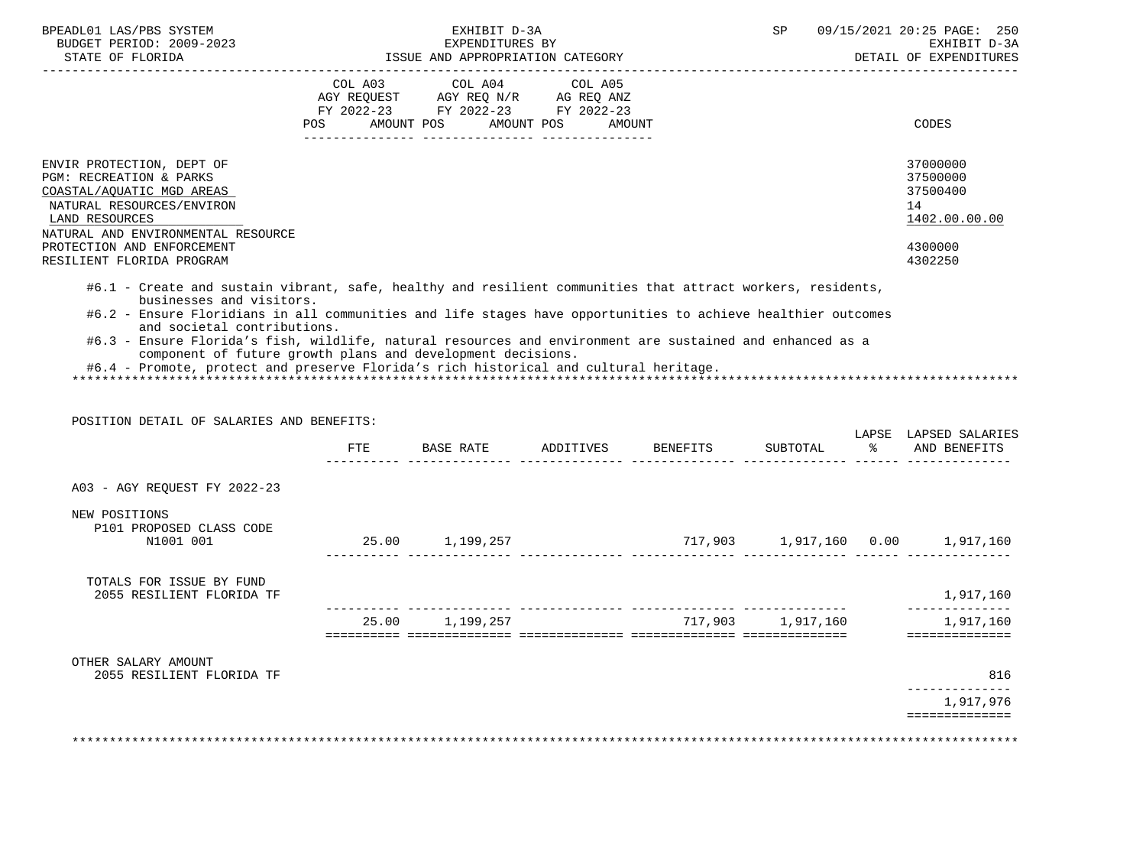| BUDGET PERIOD: 2009-2023                                                                                                                                                                                                                                                                                                                      |                             | EXHIBIT D-3A<br>EXPENDITURES BY                                                                                 |                   | SP                | 09/15/2021 20:25 PAGE: 250<br>EXHIBIT D-3A                                    |
|-----------------------------------------------------------------------------------------------------------------------------------------------------------------------------------------------------------------------------------------------------------------------------------------------------------------------------------------------|-----------------------------|-----------------------------------------------------------------------------------------------------------------|-------------------|-------------------|-------------------------------------------------------------------------------|
| STATE OF FLORIDA                                                                                                                                                                                                                                                                                                                              | --------------------------- | ISSUE AND APPROPRIATION CATEGORY                                                                                |                   |                   | DETAIL OF EXPENDITURES                                                        |
|                                                                                                                                                                                                                                                                                                                                               | POS                         | COL A03 COL A04 COL A05<br>AGY REQUEST AGY REQ N/R AG REQ ANZ<br>FY 2022-23 FY 2022-23 FY 2022-23<br>AMOUNT POS | AMOUNT POS AMOUNT |                   | CODES                                                                         |
| ENVIR PROTECTION, DEPT OF<br>PGM: RECREATION & PARKS<br>COASTAL/AQUATIC MGD AREAS<br>NATURAL RESOURCES/ENVIRON<br>LAND RESOURCES<br>NATURAL AND ENVIRONMENTAL RESOURCE<br>PROTECTION AND ENFORCEMENT<br>RESILIENT FLORIDA PROGRAM                                                                                                             |                             |                                                                                                                 |                   |                   | 37000000<br>37500000<br>37500400<br>14<br>1402.00.00.00<br>4300000<br>4302250 |
| #6.1 - Create and sustain vibrant, safe, healthy and resilient communities that attract workers, residents,<br>businesses and visitors.<br>#6.2 - Ensure Floridians in all communities and life stages have opportunities to achieve healthier outcomes                                                                                       |                             |                                                                                                                 |                   |                   |                                                                               |
| and societal contributions.<br>#6.3 - Ensure Florida's fish, wildlife, natural resources and environment are sustained and enhanced as a<br>component of future growth plans and development decisions.<br>#6.4 - Promote, protect and preserve Florida's rich historical and cultural heritage.<br>POSITION DETAIL OF SALARIES AND BENEFITS: |                             |                                                                                                                 |                   |                   |                                                                               |
|                                                                                                                                                                                                                                                                                                                                               | ETE                         |                                                                                                                 |                   | SUBTOTAL          | % AND BENEFITS                                                                |
| A03 - AGY REQUEST FY 2022-23                                                                                                                                                                                                                                                                                                                  |                             |                                                                                                                 |                   |                   |                                                                               |
| NEW POSITIONS<br>P101 PROPOSED CLASS CODE<br>N1001 001                                                                                                                                                                                                                                                                                        |                             | 25.00 1,199,257                                                                                                 |                   |                   |                                                                               |
| TOTALS FOR ISSUE BY FUND<br>2055 RESILIENT FLORIDA TF                                                                                                                                                                                                                                                                                         |                             |                                                                                                                 |                   |                   | 1,917,160                                                                     |
|                                                                                                                                                                                                                                                                                                                                               |                             | 25.00 1,199,257                                                                                                 |                   | 717,903 1,917,160 | --------------<br>1,917,160                                                   |
| OTHER SALARY AMOUNT<br>2055 RESILIENT FLORIDA TF                                                                                                                                                                                                                                                                                              |                             |                                                                                                                 |                   |                   | LAPSE LAPSED SALARIES<br>==============<br>816<br>--------------              |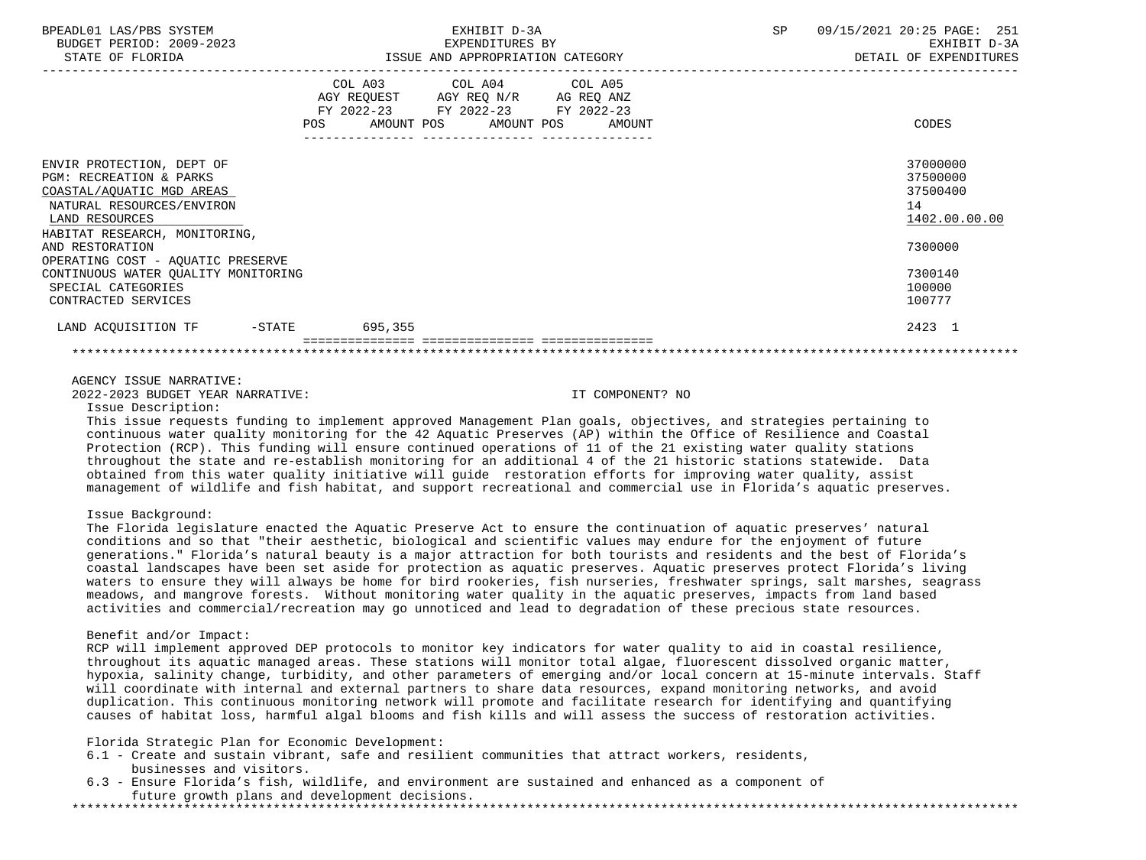| BPEADL01 LAS/PBS SYSTEM<br>BUDGET PERIOD: 2009-2023<br>STATE OF FLORIDA                                                                     | EXHIBIT D-3A<br>EXPENDITURES BY<br>ISSUE AND APPROPRIATION CATEGORY<br>---------------- |                                                                                                                                |        | SP | 09/15/2021 20:25 PAGE: 251<br>EXHIBIT D-3A<br>DETAIL OF EXPENDITURES |
|---------------------------------------------------------------------------------------------------------------------------------------------|-----------------------------------------------------------------------------------------|--------------------------------------------------------------------------------------------------------------------------------|--------|----|----------------------------------------------------------------------|
|                                                                                                                                             |                                                                                         | COL A03 COL A04 COL A05<br>AGY REQUEST AGY REQ N/R AG REQ ANZ<br>FY 2022-23 FY 2022-23 FY 2022-23<br>POS AMOUNT POS AMOUNT POS | AMOUNT |    | CODES                                                                |
| ENVIR PROTECTION, DEPT OF<br><b>PGM: RECREATION &amp; PARKS</b><br>COASTAL/AQUATIC MGD AREAS<br>NATURAL RESOURCES/ENVIRON<br>LAND RESOURCES |                                                                                         |                                                                                                                                |        |    | 37000000<br>37500000<br>37500400<br>14<br>1402.00.00.00              |
| HABITAT RESEARCH, MONITORING,<br>AND RESTORATION<br>OPERATING COST - AQUATIC PRESERVE                                                       |                                                                                         |                                                                                                                                |        |    | 7300000                                                              |
| CONTINUOUS WATER OUALITY MONITORING<br>SPECIAL CATEGORIES<br>CONTRACTED SERVICES                                                            |                                                                                         |                                                                                                                                |        |    | 7300140<br>100000<br>100777                                          |
| LAND ACQUISITION TF -STATE 695,355                                                                                                          |                                                                                         |                                                                                                                                |        |    | 2423 1                                                               |
|                                                                                                                                             |                                                                                         |                                                                                                                                |        |    |                                                                      |
|                                                                                                                                             |                                                                                         |                                                                                                                                |        |    |                                                                      |

2022-2023 BUDGET YEAR NARRATIVE: IT COMPONENT? NO

Issue Description:

 This issue requests funding to implement approved Management Plan goals, objectives, and strategies pertaining to continuous water quality monitoring for the 42 Aquatic Preserves (AP) within the Office of Resilience and Coastal Protection (RCP). This funding will ensure continued operations of 11 of the 21 existing water quality stations throughout the state and re-establish monitoring for an additional 4 of the 21 historic stations statewide. Data obtained from this water quality initiative will guide restoration efforts for improving water quality, assist management of wildlife and fish habitat, and support recreational and commercial use in Florida's aquatic preserves.

## Issue Background:

 The Florida legislature enacted the Aquatic Preserve Act to ensure the continuation of aquatic preserves' natural conditions and so that "their aesthetic, biological and scientific values may endure for the enjoyment of future generations." Florida's natural beauty is a major attraction for both tourists and residents and the best of Florida's coastal landscapes have been set aside for protection as aquatic preserves. Aquatic preserves protect Florida's living waters to ensure they will always be home for bird rookeries, fish nurseries, freshwater springs, salt marshes, seagrass meadows, and mangrove forests. Without monitoring water quality in the aquatic preserves, impacts from land based activities and commercial/recreation may go unnoticed and lead to degradation of these precious state resources.

### Benefit and/or Impact:

 RCP will implement approved DEP protocols to monitor key indicators for water quality to aid in coastal resilience, throughout its aquatic managed areas. These stations will monitor total algae, fluorescent dissolved organic matter, hypoxia, salinity change, turbidity, and other parameters of emerging and/or local concern at 15-minute intervals. Staff will coordinate with internal and external partners to share data resources, expand monitoring networks, and avoid duplication. This continuous monitoring network will promote and facilitate research for identifying and quantifying causes of habitat loss, harmful algal blooms and fish kills and will assess the success of restoration activities.

Florida Strategic Plan for Economic Development:

- 6.1 Create and sustain vibrant, safe and resilient communities that attract workers, residents, businesses and visitors.
- 6.3 Ensure Florida's fish, wildlife, and environment are sustained and enhanced as a component of future growth plans and development decisions. \*\*\*\*\*\*\*\*\*\*\*\*\*\*\*\*\*\*\*\*\*\*\*\*\*\*\*\*\*\*\*\*\*\*\*\*\*\*\*\*\*\*\*\*\*\*\*\*\*\*\*\*\*\*\*\*\*\*\*\*\*\*\*\*\*\*\*\*\*\*\*\*\*\*\*\*\*\*\*\*\*\*\*\*\*\*\*\*\*\*\*\*\*\*\*\*\*\*\*\*\*\*\*\*\*\*\*\*\*\*\*\*\*\*\*\*\*\*\*\*\*\*\*\*\*\*\*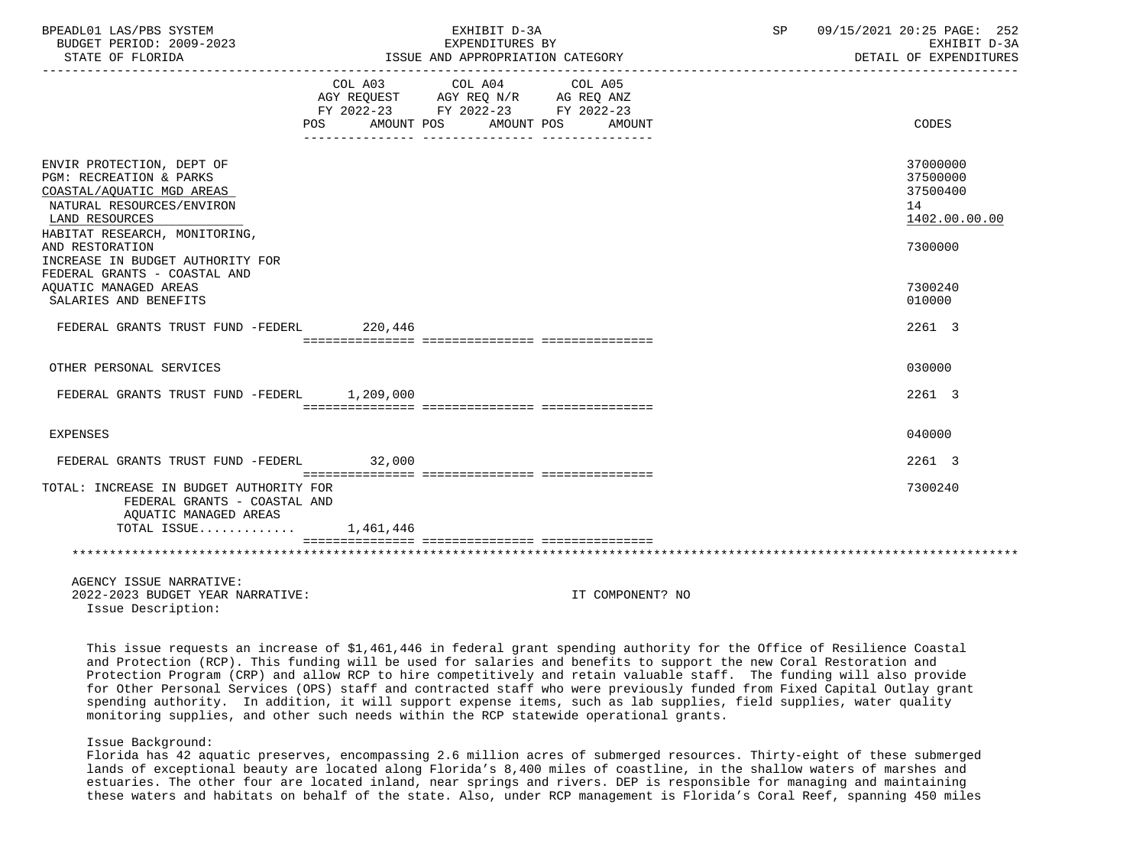| BPEADL01 LAS/PBS SYSTEM<br>BUDGET PERIOD: 2009-2023<br>STATE OF FLORIDA                                                                                           |                | EXHIBIT D-3A<br>EXPENDITURES BY<br>ISSUE AND APPROPRIATION CATEGORY                               |                      | SP 09/15/2021 20:25 PAGE: 252<br>EXHIBIT D-3A<br>DETAIL OF EXPENDITURES |
|-------------------------------------------------------------------------------------------------------------------------------------------------------------------|----------------|---------------------------------------------------------------------------------------------------|----------------------|-------------------------------------------------------------------------|
|                                                                                                                                                                   | POS AMOUNT POS | COL A03 COL A04 COL A05<br>AGY REQUEST AGY REQ N/R AG REQ ANZ<br>FY 2022-23 FY 2022-23 FY 2022-23 | AMOUNT POS<br>AMOUNT | CODES                                                                   |
| ENVIR PROTECTION, DEPT OF<br>PGM: RECREATION & PARKS<br>COASTAL/AQUATIC MGD AREAS<br>NATURAL RESOURCES/ENVIRON<br>LAND RESOURCES<br>HABITAT RESEARCH, MONITORING, |                |                                                                                                   |                      | 37000000<br>37500000<br>37500400<br>14<br>1402.00.00.00                 |
| AND RESTORATION<br>INCREASE IN BUDGET AUTHORITY FOR<br>FEDERAL GRANTS - COASTAL AND<br>AOUATIC MANAGED AREAS<br>SALARIES AND BENEFITS                             |                |                                                                                                   |                      | 7300000<br>7300240<br>010000                                            |
| FEDERAL GRANTS TRUST FUND -FEDERL 220,446                                                                                                                         |                |                                                                                                   |                      | 2261 3                                                                  |
| OTHER PERSONAL SERVICES                                                                                                                                           |                |                                                                                                   |                      | 030000                                                                  |
| FEDERAL GRANTS TRUST FUND -FEDERL 1,209,000                                                                                                                       |                |                                                                                                   |                      | 2261 3                                                                  |
| EXPENSES                                                                                                                                                          |                |                                                                                                   |                      | 040000                                                                  |
| FEDERAL GRANTS TRUST FUND -FEDERL 32,000                                                                                                                          |                |                                                                                                   |                      | 2261 3                                                                  |
| TOTAL: INCREASE IN BUDGET AUTHORITY FOR<br>FEDERAL GRANTS - COASTAL AND<br>AOUATIC MANAGED AREAS                                                                  |                |                                                                                                   |                      | 7300240                                                                 |
| TOTAL ISSUE 1,461,446                                                                                                                                             |                |                                                                                                   |                      |                                                                         |
|                                                                                                                                                                   |                |                                                                                                   |                      |                                                                         |
| AGENCY ISSUE NARRATIVE:<br>2022-2023 BUDGET YEAR NARRATIVE:<br>Issue Description:                                                                                 |                |                                                                                                   | IT COMPONENT? NO     |                                                                         |

 This issue requests an increase of \$1,461,446 in federal grant spending authority for the Office of Resilience Coastal and Protection (RCP). This funding will be used for salaries and benefits to support the new Coral Restoration and Protection Program (CRP) and allow RCP to hire competitively and retain valuable staff. The funding will also provide for Other Personal Services (OPS) staff and contracted staff who were previously funded from Fixed Capital Outlay grant spending authority. In addition, it will support expense items, such as lab supplies, field supplies, water quality monitoring supplies, and other such needs within the RCP statewide operational grants.

## Issue Background:

 Florida has 42 aquatic preserves, encompassing 2.6 million acres of submerged resources. Thirty-eight of these submerged lands of exceptional beauty are located along Florida's 8,400 miles of coastline, in the shallow waters of marshes and estuaries. The other four are located inland, near springs and rivers. DEP is responsible for managing and maintaining these waters and habitats on behalf of the state. Also, under RCP management is Florida's Coral Reef, spanning 450 miles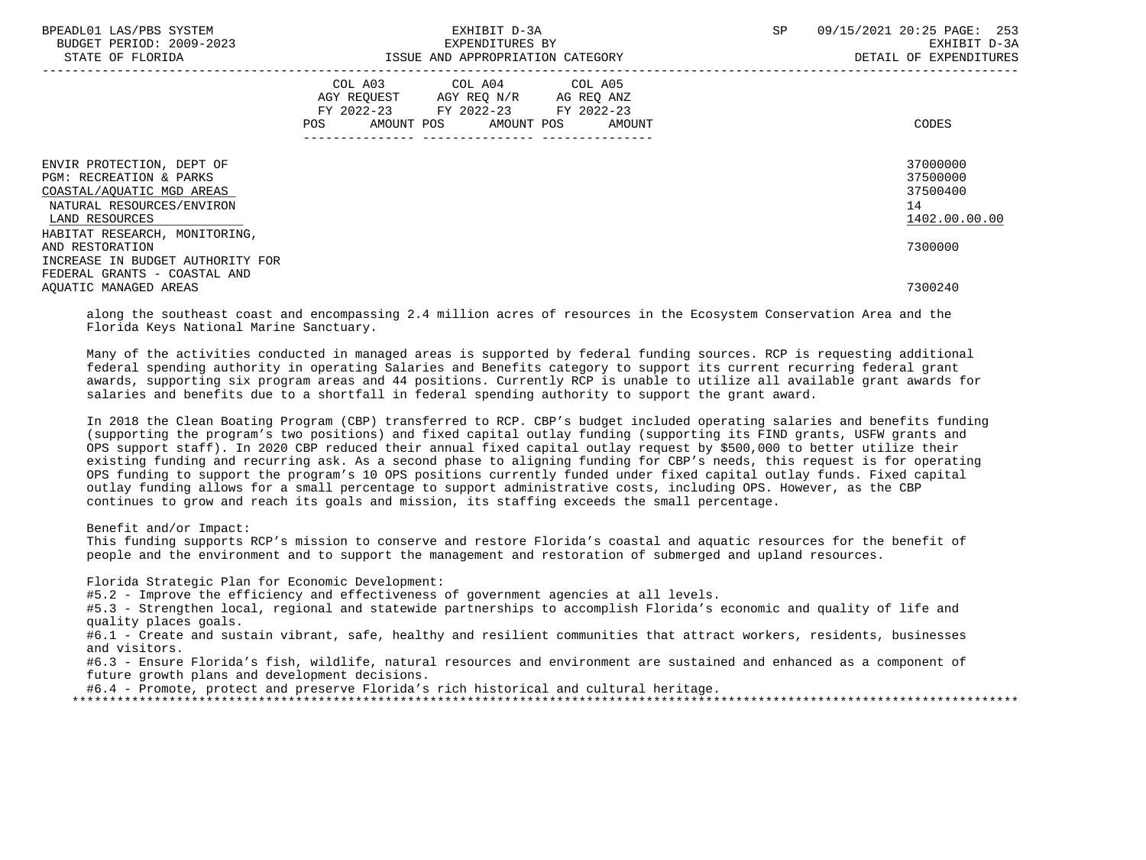| BPEADL01 LAS/PBS SYSTEM<br>BUDGET PERIOD: 2009-2023<br>STATE OF FLORIDA                                                                                                      | EXHIBIT D-3A<br>EXPENDITURES BY<br>ISSUE AND APPROPRIATION CATEGORY                                                                                | SP<br>253<br>09/15/2021 20:25 PAGE:<br>EXHIBIT D-3A<br>DETAIL OF EXPENDITURES |
|------------------------------------------------------------------------------------------------------------------------------------------------------------------------------|----------------------------------------------------------------------------------------------------------------------------------------------------|-------------------------------------------------------------------------------|
|                                                                                                                                                                              | COL A03 COL A04 COL A05<br>AGY REQUEST AGY REQ N/R AG REQ ANZ<br>FY 2022-23 FY 2022-23 FY 2022-23<br><b>POS</b><br>AMOUNT POS AMOUNT POS<br>AMOUNT | CODES                                                                         |
| ENVIR PROTECTION, DEPT OF<br><b>PGM: RECREATION &amp; PARKS</b><br>COASTAL/AQUATIC MGD AREAS<br>NATURAL RESOURCES/ENVIRON<br>LAND RESOURCES<br>HABITAT RESEARCH, MONITORING, |                                                                                                                                                    | 37000000<br>37500000<br>37500400<br>14<br>1402.00.00.00                       |
| AND RESTORATION<br>INCREASE IN BUDGET AUTHORITY FOR<br>FEDERAL GRANTS - COASTAL AND                                                                                          |                                                                                                                                                    | 7300000                                                                       |
| AOUATIC MANAGED AREAS                                                                                                                                                        |                                                                                                                                                    | 7300240                                                                       |

 along the southeast coast and encompassing 2.4 million acres of resources in the Ecosystem Conservation Area and the Florida Keys National Marine Sanctuary.

 Many of the activities conducted in managed areas is supported by federal funding sources. RCP is requesting additional federal spending authority in operating Salaries and Benefits category to support its current recurring federal grant awards, supporting six program areas and 44 positions. Currently RCP is unable to utilize all available grant awards for salaries and benefits due to a shortfall in federal spending authority to support the grant award.

 In 2018 the Clean Boating Program (CBP) transferred to RCP. CBP's budget included operating salaries and benefits funding (supporting the program's two positions) and fixed capital outlay funding (supporting its FIND grants, USFW grants and OPS support staff). In 2020 CBP reduced their annual fixed capital outlay request by \$500,000 to better utilize their existing funding and recurring ask. As a second phase to aligning funding for CBP's needs, this request is for operating OPS funding to support the program's 10 OPS positions currently funded under fixed capital outlay funds. Fixed capital outlay funding allows for a small percentage to support administrative costs, including OPS. However, as the CBP continues to grow and reach its goals and mission, its staffing exceeds the small percentage.

Benefit and/or Impact:

 This funding supports RCP's mission to conserve and restore Florida's coastal and aquatic resources for the benefit of people and the environment and to support the management and restoration of submerged and upland resources.

Florida Strategic Plan for Economic Development:

#5.2 - Improve the efficiency and effectiveness of government agencies at all levels.

 #5.3 - Strengthen local, regional and statewide partnerships to accomplish Florida's economic and quality of life and quality places goals.

 #6.1 - Create and sustain vibrant, safe, healthy and resilient communities that attract workers, residents, businesses and visitors.

 #6.3 - Ensure Florida's fish, wildlife, natural resources and environment are sustained and enhanced as a component of future growth plans and development decisions.

#6.4 - Promote, protect and preserve Florida's rich historical and cultural heritage.

\*\*\*\*\*\*\*\*\*\*\*\*\*\*\*\*\*\*\*\*\*\*\*\*\*\*\*\*\*\*\*\*\*\*\*\*\*\*\*\*\*\*\*\*\*\*\*\*\*\*\*\*\*\*\*\*\*\*\*\*\*\*\*\*\*\*\*\*\*\*\*\*\*\*\*\*\*\*\*\*\*\*\*\*\*\*\*\*\*\*\*\*\*\*\*\*\*\*\*\*\*\*\*\*\*\*\*\*\*\*\*\*\*\*\*\*\*\*\*\*\*\*\*\*\*\*\*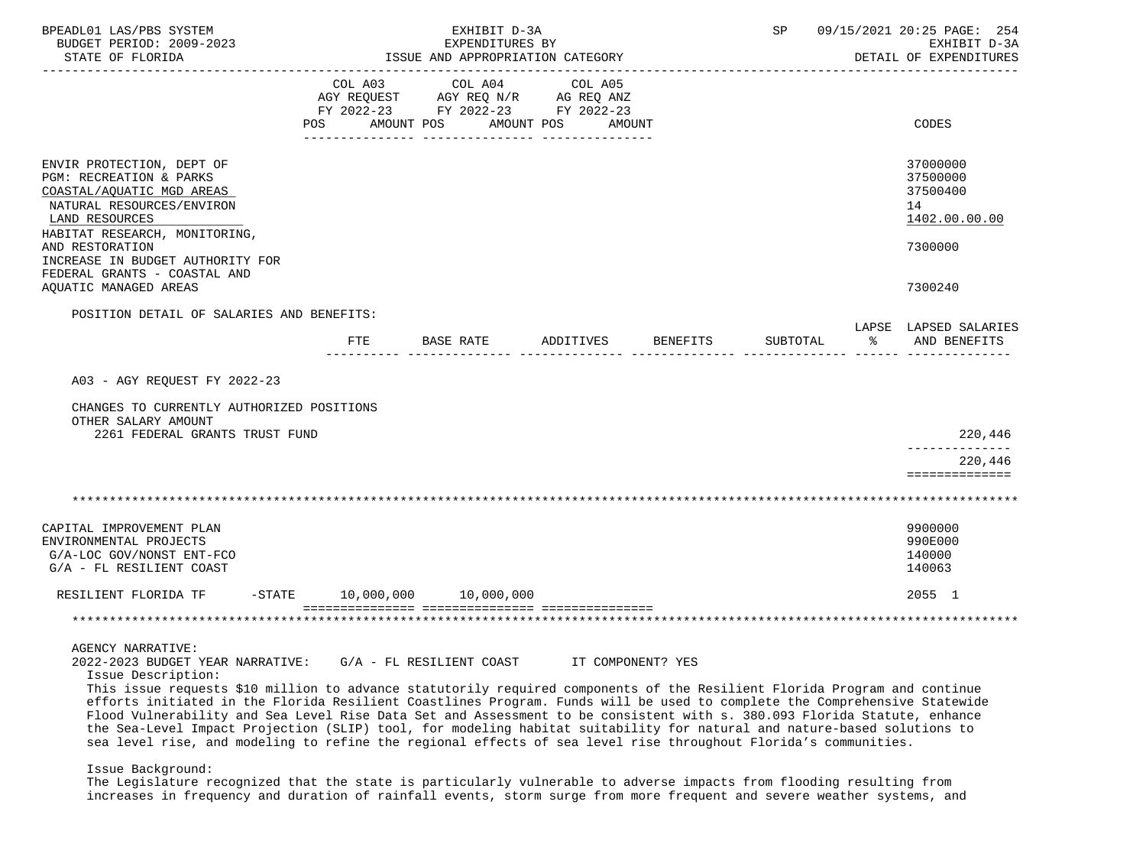| BPEADL01 LAS/PBS SYSTEM<br>BUDGET PERIOD: 2009-2023<br>STATE OF FLORIDA<br>---------------------                                                                                                                                                                                                                                                                                                                                                                                                                                                                                                                                                                                                                |                                                                                                                           | EXHIBIT D-3A<br>EXPENDITURES BY<br>ISSUE AND APPROPRIATION CATEGORY                             |                       |                   | SP       |    | 09/15/2021 20:25 PAGE: 254<br>EXHIBIT D-3A<br>DETAIL OF EXPENDITURES |
|-----------------------------------------------------------------------------------------------------------------------------------------------------------------------------------------------------------------------------------------------------------------------------------------------------------------------------------------------------------------------------------------------------------------------------------------------------------------------------------------------------------------------------------------------------------------------------------------------------------------------------------------------------------------------------------------------------------------|---------------------------------------------------------------------------------------------------------------------------|-------------------------------------------------------------------------------------------------|-----------------------|-------------------|----------|----|----------------------------------------------------------------------|
|                                                                                                                                                                                                                                                                                                                                                                                                                                                                                                                                                                                                                                                                                                                 | COL A03<br>POS FOR THE POST OF THE POST OF THE POST OF THE POST OF THE POST OF THE POST OF THE POST OF THE POST OF THE PO | COL A04<br>AGY REQUEST AGY REQ N/R AG REQ ANZ<br>FY 2022-23 FY 2022-23 FY 2022-23<br>AMOUNT POS | COL A05<br>AMOUNT POS | AMOUNT            |          |    | CODES                                                                |
| ENVIR PROTECTION, DEPT OF<br>PGM: RECREATION & PARKS<br>COASTAL/AQUATIC MGD AREAS<br>NATURAL RESOURCES/ENVIRON<br>LAND RESOURCES<br>HABITAT RESEARCH, MONITORING,<br>AND RESTORATION<br>INCREASE IN BUDGET AUTHORITY FOR<br>FEDERAL GRANTS - COASTAL AND                                                                                                                                                                                                                                                                                                                                                                                                                                                        |                                                                                                                           |                                                                                                 |                       |                   |          |    | 37000000<br>37500000<br>37500400<br>14<br>1402.00.00.00<br>7300000   |
| AQUATIC MANAGED AREAS                                                                                                                                                                                                                                                                                                                                                                                                                                                                                                                                                                                                                                                                                           |                                                                                                                           |                                                                                                 |                       |                   |          |    | 7300240                                                              |
| POSITION DETAIL OF SALARIES AND BENEFITS:                                                                                                                                                                                                                                                                                                                                                                                                                                                                                                                                                                                                                                                                       | FTE                                                                                                                       | BASE RATE                                                                                       | ADDITIVES BENEFITS    |                   | SUBTOTAL | ႜႂ | LAPSE LAPSED SALARIES<br>AND BENEFITS                                |
| A03 - AGY REQUEST FY 2022-23<br>CHANGES TO CURRENTLY AUTHORIZED POSITIONS<br>OTHER SALARY AMOUNT<br>2261 FEDERAL GRANTS TRUST FUND                                                                                                                                                                                                                                                                                                                                                                                                                                                                                                                                                                              |                                                                                                                           |                                                                                                 |                       |                   |          |    | 220,446<br>220,446                                                   |
|                                                                                                                                                                                                                                                                                                                                                                                                                                                                                                                                                                                                                                                                                                                 |                                                                                                                           |                                                                                                 |                       |                   |          |    | ==============                                                       |
| CAPITAL IMPROVEMENT PLAN<br>ENVIRONMENTAL PROJECTS<br>G/A-LOC GOV/NONST ENT-FCO<br>G/A - FL RESILIENT COAST<br>RESILIENT FLORIDA TF                                                                                                                                                                                                                                                                                                                                                                                                                                                                                                                                                                             |                                                                                                                           | $-STATE$ 10,000,000 10,000,000                                                                  |                       |                   |          |    | 9900000<br>990E000<br>140000<br>140063<br>2055 1                     |
|                                                                                                                                                                                                                                                                                                                                                                                                                                                                                                                                                                                                                                                                                                                 |                                                                                                                           |                                                                                                 |                       |                   |          |    |                                                                      |
| AGENCY NARRATIVE:<br>2022-2023 BUDGET YEAR NARRATIVE:<br>Issue Description:<br>This issue requests \$10 million to advance statutorily required components of the Resilient Florida Program and continue<br>efforts initiated in the Florida Resilient Coastlines Program. Funds will be used to complete the Comprehensive Statewide<br>Flood Vulnerability and Sea Level Rise Data Set and Assessment to be consistent with s. 380.093 Florida Statute, enhance<br>the Sea-Level Impact Projection (SLIP) tool, for modeling habitat suitability for natural and nature-based solutions to<br>sea level rise, and modeling to refine the regional effects of sea level rise throughout Florida's communities. |                                                                                                                           | G/A - FL RESILIENT COAST                                                                        |                       | IT COMPONENT? YES |          |    |                                                                      |
| Issue Background:                                                                                                                                                                                                                                                                                                                                                                                                                                                                                                                                                                                                                                                                                               |                                                                                                                           |                                                                                                 |                       |                   |          |    |                                                                      |

 The Legislature recognized that the state is particularly vulnerable to adverse impacts from flooding resulting from increases in frequency and duration of rainfall events, storm surge from more frequent and severe weather systems, and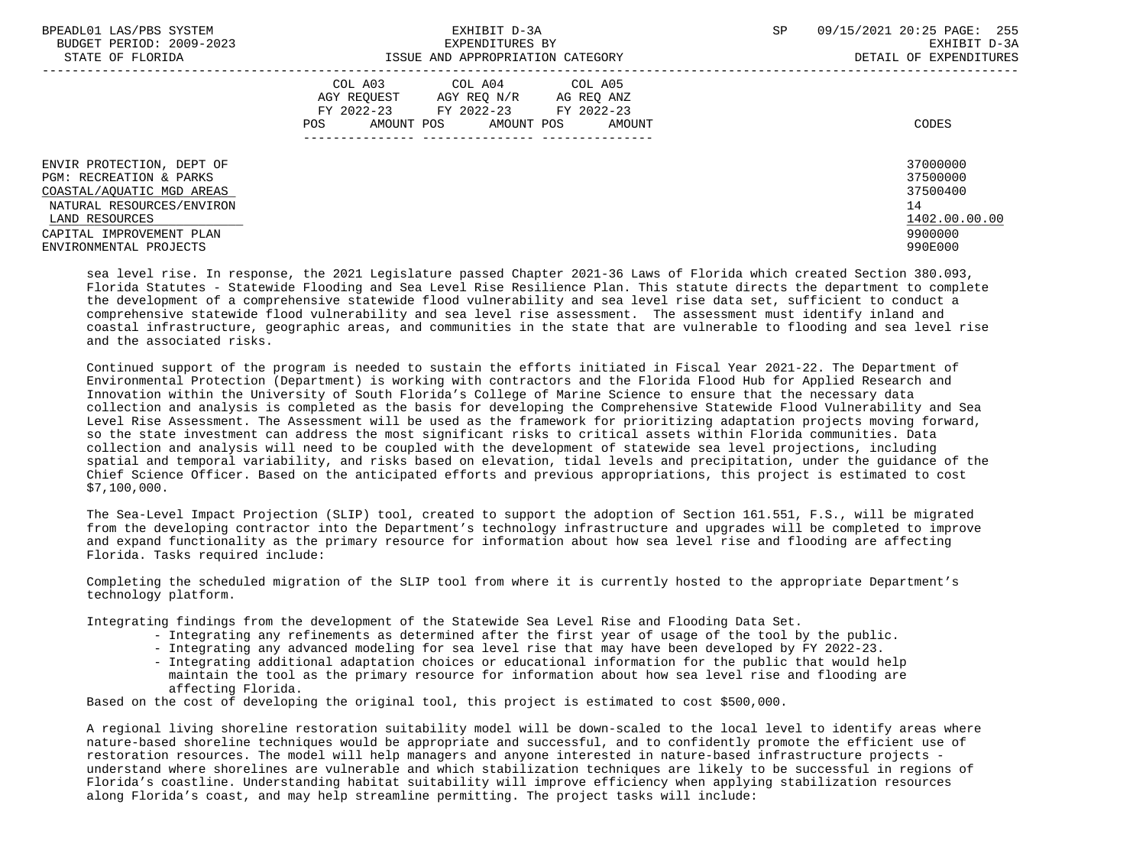| BPEADL01 LAS/PBS SYSTEM<br>BUDGET PERIOD: 2009-2023<br>STATE OF FLORIDA                                                                                                                | EXHIBIT D-3A<br>EXPENDITURES BY<br>ISSUE AND APPROPRIATION CATEGORY                                                                                  | SP<br>09/15/2021 20:25 PAGE: 255<br>EXHIBIT D-3A<br>DETAIL OF EXPENDITURES    |  |
|----------------------------------------------------------------------------------------------------------------------------------------------------------------------------------------|------------------------------------------------------------------------------------------------------------------------------------------------------|-------------------------------------------------------------------------------|--|
|                                                                                                                                                                                        | COL A03 COL A04 COL A05<br>AGY REOUEST<br>AGY REO N/R AG REO ANZ<br>FY 2022-23 FY 2022-23<br>FY 2022-23<br>AMOUNT POS<br>AMOUNT POS<br>POS<br>AMOUNT | CODES                                                                         |  |
| ENVIR PROTECTION, DEPT OF<br>PGM: RECREATION & PARKS<br>COASTAL/AOUATIC MGD AREAS<br>NATURAL RESOURCES/ENVIRON<br>LAND RESOURCES<br>CAPITAL IMPROVEMENT PLAN<br>ENVIRONMENTAL PROJECTS |                                                                                                                                                      | 37000000<br>37500000<br>37500400<br>14<br>1402.00.00.00<br>9900000<br>990E000 |  |

 sea level rise. In response, the 2021 Legislature passed Chapter 2021-36 Laws of Florida which created Section 380.093, Florida Statutes - Statewide Flooding and Sea Level Rise Resilience Plan. This statute directs the department to complete the development of a comprehensive statewide flood vulnerability and sea level rise data set, sufficient to conduct a comprehensive statewide flood vulnerability and sea level rise assessment. The assessment must identify inland and coastal infrastructure, geographic areas, and communities in the state that are vulnerable to flooding and sea level rise and the associated risks.

 Continued support of the program is needed to sustain the efforts initiated in Fiscal Year 2021-22. The Department of Environmental Protection (Department) is working with contractors and the Florida Flood Hub for Applied Research and Innovation within the University of South Florida's College of Marine Science to ensure that the necessary data collection and analysis is completed as the basis for developing the Comprehensive Statewide Flood Vulnerability and Sea Level Rise Assessment. The Assessment will be used as the framework for prioritizing adaptation projects moving forward, so the state investment can address the most significant risks to critical assets within Florida communities. Data collection and analysis will need to be coupled with the development of statewide sea level projections, including spatial and temporal variability, and risks based on elevation, tidal levels and precipitation, under the guidance of the Chief Science Officer. Based on the anticipated efforts and previous appropriations, this project is estimated to cost \$7,100,000.

 The Sea-Level Impact Projection (SLIP) tool, created to support the adoption of Section 161.551, F.S., will be migrated from the developing contractor into the Department's technology infrastructure and upgrades will be completed to improve and expand functionality as the primary resource for information about how sea level rise and flooding are affecting Florida. Tasks required include:

 Completing the scheduled migration of the SLIP tool from where it is currently hosted to the appropriate Department's technology platform.

Integrating findings from the development of the Statewide Sea Level Rise and Flooding Data Set.

- Integrating any refinements as determined after the first year of usage of the tool by the public.
- Integrating any advanced modeling for sea level rise that may have been developed by FY 2022-23.
- Integrating additional adaptation choices or educational information for the public that would help maintain the tool as the primary resource for information about how sea level rise and flooding are affecting Florida.

Based on the cost of developing the original tool, this project is estimated to cost \$500,000.

 A regional living shoreline restoration suitability model will be down-scaled to the local level to identify areas where nature-based shoreline techniques would be appropriate and successful, and to confidently promote the efficient use of restoration resources. The model will help managers and anyone interested in nature-based infrastructure projects understand where shorelines are vulnerable and which stabilization techniques are likely to be successful in regions of Florida's coastline. Understanding habitat suitability will improve efficiency when applying stabilization resources along Florida's coast, and may help streamline permitting. The project tasks will include: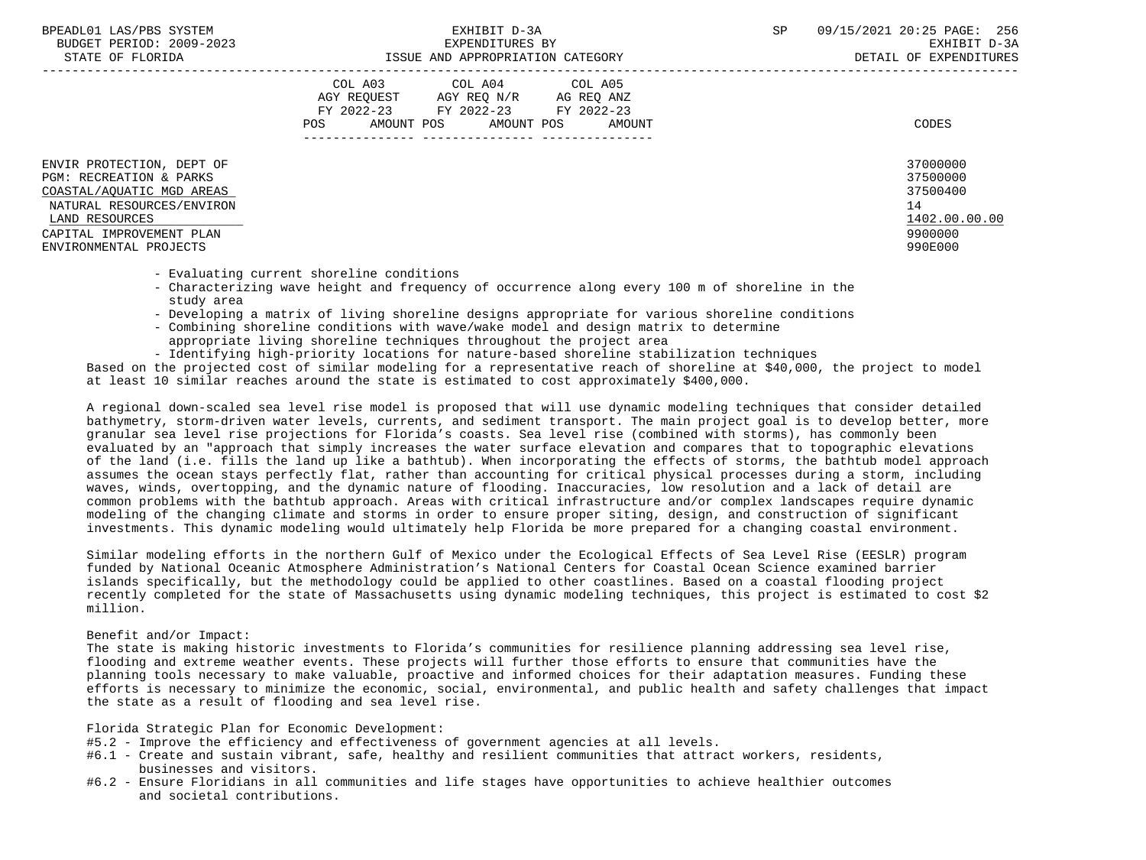| BPEADL01 LAS/PBS SYSTEM |                          |
|-------------------------|--------------------------|
|                         | BUDGET PERIOD: 2009-2023 |
|                         |                          |

|                                                                                                                                                                                        | COL A03<br>COL A04<br>AGY REOUEST<br>AGY REQ N/R<br>FY 2022-23<br>FY 2022-23<br>AMOUNT POS<br>AMOUNT POS<br>POS | COL A05<br>AG REQ ANZ<br>FY 2022-23<br>AMOUNT | CODES                                                                         |
|----------------------------------------------------------------------------------------------------------------------------------------------------------------------------------------|-----------------------------------------------------------------------------------------------------------------|-----------------------------------------------|-------------------------------------------------------------------------------|
| ENVIR PROTECTION, DEPT OF<br>PGM: RECREATION & PARKS<br>COASTAL/AQUATIC MGD AREAS<br>NATURAL RESOURCES/ENVIRON<br>LAND RESOURCES<br>CAPITAL IMPROVEMENT PLAN<br>ENVIRONMENTAL PROJECTS |                                                                                                                 |                                               | 37000000<br>37500000<br>37500400<br>14<br>1402.00.00.00<br>9900000<br>990E000 |

- Evaluating current shoreline conditions
- Characterizing wave height and frequency of occurrence along every 100 m of shoreline in the study area
- Developing a matrix of living shoreline designs appropriate for various shoreline conditions
- Combining shoreline conditions with wave/wake model and design matrix to determine appropriate living shoreline techniques throughout the project area
- Identifying high-priority locations for nature-based shoreline stabilization techniques

 Based on the projected cost of similar modeling for a representative reach of shoreline at \$40,000, the project to model at least 10 similar reaches around the state is estimated to cost approximately \$400,000.

 A regional down-scaled sea level rise model is proposed that will use dynamic modeling techniques that consider detailed bathymetry, storm-driven water levels, currents, and sediment transport. The main project goal is to develop better, more granular sea level rise projections for Florida's coasts. Sea level rise (combined with storms), has commonly been evaluated by an "approach that simply increases the water surface elevation and compares that to topographic elevations of the land (i.e. fills the land up like a bathtub). When incorporating the effects of storms, the bathtub model approach assumes the ocean stays perfectly flat, rather than accounting for critical physical processes during a storm, including waves, winds, overtopping, and the dynamic nature of flooding. Inaccuracies, low resolution and a lack of detail are common problems with the bathtub approach. Areas with critical infrastructure and/or complex landscapes require dynamic modeling of the changing climate and storms in order to ensure proper siting, design, and construction of significant investments. This dynamic modeling would ultimately help Florida be more prepared for a changing coastal environment.

 Similar modeling efforts in the northern Gulf of Mexico under the Ecological Effects of Sea Level Rise (EESLR) program funded by National Oceanic Atmosphere Administration's National Centers for Coastal Ocean Science examined barrier islands specifically, but the methodology could be applied to other coastlines. Based on a coastal flooding project recently completed for the state of Massachusetts using dynamic modeling techniques, this project is estimated to cost \$2 million.

# Benefit and/or Impact:

 The state is making historic investments to Florida's communities for resilience planning addressing sea level rise, flooding and extreme weather events. These projects will further those efforts to ensure that communities have the planning tools necessary to make valuable, proactive and informed choices for their adaptation measures. Funding these efforts is necessary to minimize the economic, social, environmental, and public health and safety challenges that impact the state as a result of flooding and sea level rise.

Florida Strategic Plan for Economic Development:

- #5.2 Improve the efficiency and effectiveness of government agencies at all levels.
- #6.1 Create and sustain vibrant, safe, healthy and resilient communities that attract workers, residents, businesses and visitors.
- #6.2 Ensure Floridians in all communities and life stages have opportunities to achieve healthier outcomes and societal contributions.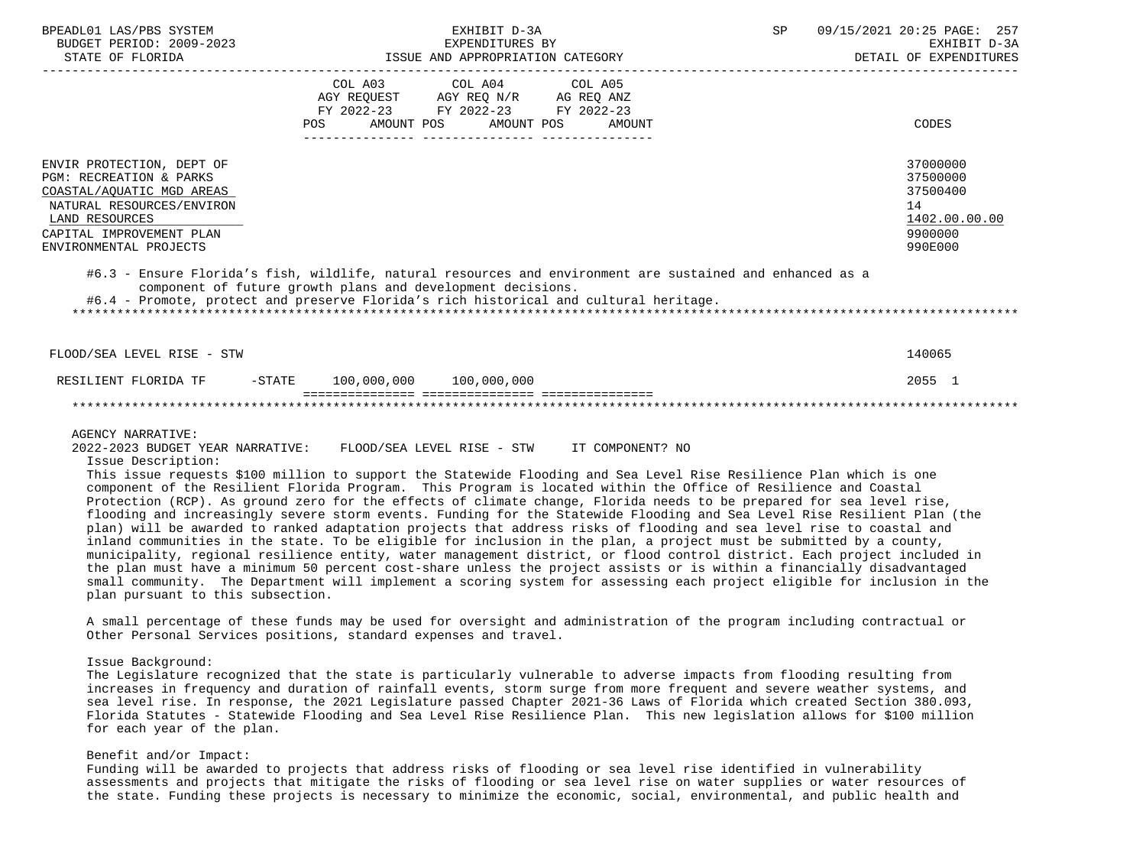| BPEADL01 LAS/PBS SYSTEM<br>BUDGET PERIOD: 2009-2023<br>STATE OF FLORIDA                                                                                                                | EXHIBIT D-3A<br>EXPENDITURES BY<br>ISSUE AND APPROPRIATION CATEGORY                                                                                                                                                                                                                                                                                                                                                                                                                                                                                                                                                                                                                                                                                                                                                                                                                                                                                                                                                                                                                                                                                                        | SP<br>09/15/2021 20:25 PAGE: 257<br>EXHIBIT D-3A<br>DETAIL OF EXPENDITURES    |
|----------------------------------------------------------------------------------------------------------------------------------------------------------------------------------------|----------------------------------------------------------------------------------------------------------------------------------------------------------------------------------------------------------------------------------------------------------------------------------------------------------------------------------------------------------------------------------------------------------------------------------------------------------------------------------------------------------------------------------------------------------------------------------------------------------------------------------------------------------------------------------------------------------------------------------------------------------------------------------------------------------------------------------------------------------------------------------------------------------------------------------------------------------------------------------------------------------------------------------------------------------------------------------------------------------------------------------------------------------------------------|-------------------------------------------------------------------------------|
|                                                                                                                                                                                        | COL A03 COL A04<br>COL A05<br>AGY REQUEST AGY REQ N/R AG REQ ANZ<br>FY 2022-23 FY 2022-23 FY 2022-23<br>AMOUNT POS<br>AMOUNT POS<br><b>AMOUNT</b><br>POS                                                                                                                                                                                                                                                                                                                                                                                                                                                                                                                                                                                                                                                                                                                                                                                                                                                                                                                                                                                                                   | CODES                                                                         |
| ENVIR PROTECTION, DEPT OF<br>PGM: RECREATION & PARKS<br>COASTAL/AQUATIC MGD AREAS<br>NATURAL RESOURCES/ENVIRON<br>LAND RESOURCES<br>CAPITAL IMPROVEMENT PLAN<br>ENVIRONMENTAL PROJECTS |                                                                                                                                                                                                                                                                                                                                                                                                                                                                                                                                                                                                                                                                                                                                                                                                                                                                                                                                                                                                                                                                                                                                                                            | 37000000<br>37500000<br>37500400<br>14<br>1402.00.00.00<br>9900000<br>990E000 |
|                                                                                                                                                                                        | #6.3 - Ensure Florida's fish, wildlife, natural resources and environment are sustained and enhanced as a<br>component of future growth plans and development decisions.<br>#6.4 - Promote, protect and preserve Florida's rich historical and cultural heritage.                                                                                                                                                                                                                                                                                                                                                                                                                                                                                                                                                                                                                                                                                                                                                                                                                                                                                                          |                                                                               |
| FLOOD/SEA LEVEL RISE - STW                                                                                                                                                             |                                                                                                                                                                                                                                                                                                                                                                                                                                                                                                                                                                                                                                                                                                                                                                                                                                                                                                                                                                                                                                                                                                                                                                            | 140065                                                                        |
| RESILIENT FLORIDA TF                                                                                                                                                                   | $-STATE$ 100,000,000 100,000,000                                                                                                                                                                                                                                                                                                                                                                                                                                                                                                                                                                                                                                                                                                                                                                                                                                                                                                                                                                                                                                                                                                                                           | 2055 1                                                                        |
|                                                                                                                                                                                        |                                                                                                                                                                                                                                                                                                                                                                                                                                                                                                                                                                                                                                                                                                                                                                                                                                                                                                                                                                                                                                                                                                                                                                            |                                                                               |
| <b>AGENCY NARRATIVE:</b><br>2022-2023 BUDGET YEAR NARRATIVE:<br>Issue Description:<br>plan pursuant to this subsection.                                                                | FLOOD/SEA LEVEL RISE - STW IT COMPONENT? NO<br>This issue requests \$100 million to support the Statewide Flooding and Sea Level Rise Resilience Plan which is one<br>component of the Resilient Florida Program. This Program is located within the Office of Resilience and Coastal<br>Protection (RCP). As ground zero for the effects of climate change, Florida needs to be prepared for sea level rise,<br>flooding and increasingly severe storm events. Funding for the Statewide Flooding and Sea Level Rise Resilient Plan (the<br>plan) will be awarded to ranked adaptation projects that address risks of flooding and sea level rise to coastal and<br>inland communities in the state. To be eligible for inclusion in the plan, a project must be submitted by a county,<br>municipality, regional resilience entity, water management district, or flood control district. Each project included in<br>the plan must have a minimum 50 percent cost-share unless the project assists or is within a financially disadvantaged<br>small community. The Department will implement a scoring system for assessing each project eligible for inclusion in the |                                                                               |
|                                                                                                                                                                                        | A small percentage of these funds may be used for oversight and administration of the program including contractual or<br>Other Personal Services positions, standard expenses and travel.                                                                                                                                                                                                                                                                                                                                                                                                                                                                                                                                                                                                                                                                                                                                                                                                                                                                                                                                                                                 |                                                                               |

## Issue Background:

 The Legislature recognized that the state is particularly vulnerable to adverse impacts from flooding resulting from increases in frequency and duration of rainfall events, storm surge from more frequent and severe weather systems, and sea level rise. In response, the 2021 Legislature passed Chapter 2021-36 Laws of Florida which created Section 380.093, Florida Statutes - Statewide Flooding and Sea Level Rise Resilience Plan. This new legislation allows for \$100 million for each year of the plan.

## Benefit and/or Impact:

 Funding will be awarded to projects that address risks of flooding or sea level rise identified in vulnerability assessments and projects that mitigate the risks of flooding or sea level rise on water supplies or water resources of the state. Funding these projects is necessary to minimize the economic, social, environmental, and public health and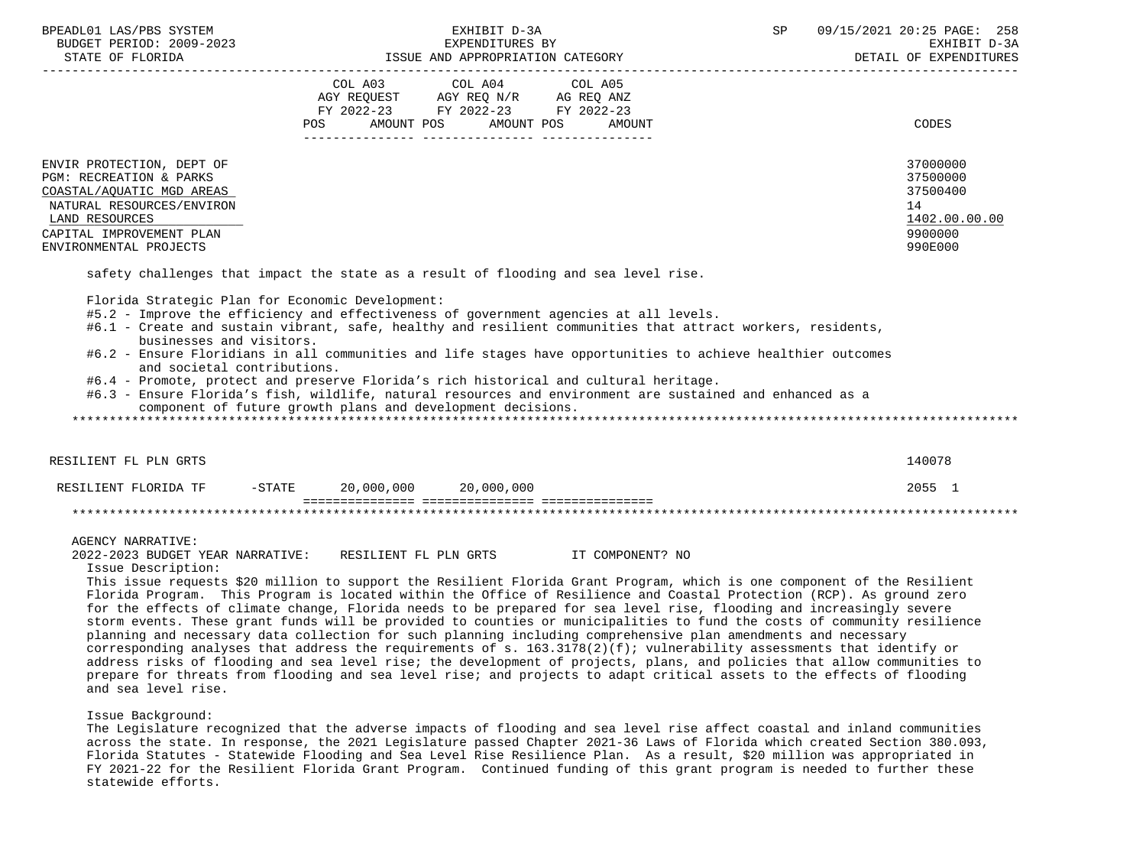| BPEADL01 LAS/PBS SYSTEM<br>BUDGET PERIOD: 2009-2023<br>STATE OF FLORIDA                                                                                                                                                                                                                                                                                                                                                                                                                                                                                                                                                                                                                                                                                                                                                                                                                                                                                                                                                                                                                                                                             |           | EXHIBIT D-3A<br>EXPENDITURES BY<br>EAPENDITURES BI<br>ISSUE AND APPROPRIATION CATEGORY                                                                                                                         |         |        | SP |                                | 09/15/2021 20:25 PAGE: 258<br>EXHIBIT D-3A<br>DETAIL OF EXPENDITURES          |
|-----------------------------------------------------------------------------------------------------------------------------------------------------------------------------------------------------------------------------------------------------------------------------------------------------------------------------------------------------------------------------------------------------------------------------------------------------------------------------------------------------------------------------------------------------------------------------------------------------------------------------------------------------------------------------------------------------------------------------------------------------------------------------------------------------------------------------------------------------------------------------------------------------------------------------------------------------------------------------------------------------------------------------------------------------------------------------------------------------------------------------------------------------|-----------|----------------------------------------------------------------------------------------------------------------------------------------------------------------------------------------------------------------|---------|--------|----|--------------------------------|-------------------------------------------------------------------------------|
|                                                                                                                                                                                                                                                                                                                                                                                                                                                                                                                                                                                                                                                                                                                                                                                                                                                                                                                                                                                                                                                                                                                                                     | COL A03   | COL A04<br>$\begin{tabular}{lllllll} AGY & \texttt{REQUEST} & \texttt{AGY REQ} & \texttt{N/R} & \texttt{AG REQ} & \texttt{ANZ} \end{tabular}$<br>FY 2022-23 FY 2022-23 FY 2022-23<br>POS AMOUNT POS AMOUNT POS | COL A05 | AMOUNT |    | ______________________________ | CODES                                                                         |
| ENVIR PROTECTION, DEPT OF<br>PGM: RECREATION & PARKS<br>COASTAL/AQUATIC MGD AREAS<br>NATURAL RESOURCES/ENVIRON<br>LAND RESOURCES<br>CAPITAL IMPROVEMENT PLAN<br>ENVIRONMENTAL PROJECTS                                                                                                                                                                                                                                                                                                                                                                                                                                                                                                                                                                                                                                                                                                                                                                                                                                                                                                                                                              |           |                                                                                                                                                                                                                |         |        |    |                                | 37000000<br>37500000<br>37500400<br>14<br>1402.00.00.00<br>9900000<br>990E000 |
| Florida Strategic Plan for Economic Development:<br>#5.2 - Improve the efficiency and effectiveness of government agencies at all levels.<br>#6.1 - Create and sustain vibrant, safe, healthy and resilient communities that attract workers, residents,<br>businesses and visitors.<br>#6.2 - Ensure Floridians in all communities and life stages have opportunities to achieve healthier outcomes<br>and societal contributions.<br>#6.4 - Promote, protect and preserve Florida's rich historical and cultural heritage.<br>#6.3 - Ensure Florida's fish, wildlife, natural resources and environment are sustained and enhanced as a<br>component of future growth plans and development decisions.                                                                                                                                                                                                                                                                                                                                                                                                                                            |           |                                                                                                                                                                                                                |         |        |    |                                |                                                                               |
| RESILIENT FL PLN GRTS                                                                                                                                                                                                                                                                                                                                                                                                                                                                                                                                                                                                                                                                                                                                                                                                                                                                                                                                                                                                                                                                                                                               |           |                                                                                                                                                                                                                |         |        |    |                                | 140078                                                                        |
| RESILIENT FLORIDA TF                                                                                                                                                                                                                                                                                                                                                                                                                                                                                                                                                                                                                                                                                                                                                                                                                                                                                                                                                                                                                                                                                                                                | $-$ STATE | 20,000,000 20,000,000                                                                                                                                                                                          |         |        |    |                                | 2055 1                                                                        |
|                                                                                                                                                                                                                                                                                                                                                                                                                                                                                                                                                                                                                                                                                                                                                                                                                                                                                                                                                                                                                                                                                                                                                     |           |                                                                                                                                                                                                                |         |        |    |                                |                                                                               |
| AGENCY NARRATIVE:<br>2022-2023 BUDGET YEAR NARRATIVE: RESILIENT FL PLN GRTS TT COMPONENT? NO<br>Issue Description:<br>This issue requests \$20 million to support the Resilient Florida Grant Program, which is one component of the Resilient<br>Florida Program. This Program is located within the Office of Resilience and Coastal Protection (RCP). As ground zero<br>for the effects of climate change, Florida needs to be prepared for sea level rise, flooding and increasingly severe<br>storm events. These grant funds will be provided to counties or municipalities to fund the costs of community resilience<br>planning and necessary data collection for such planning including comprehensive plan amendments and necessary<br>corresponding analyses that address the requirements of s. 163.3178(2)(f); vulnerability assessments that identify or<br>address risks of flooding and sea level rise; the development of projects, plans, and policies that allow communities to<br>prepare for threats from flooding and sea level rise; and projects to adapt critical assets to the effects of flooding<br>and sea level rise. |           |                                                                                                                                                                                                                |         |        |    |                                |                                                                               |

Issue Background:

 The Legislature recognized that the adverse impacts of flooding and sea level rise affect coastal and inland communities across the state. In response, the 2021 Legislature passed Chapter 2021-36 Laws of Florida which created Section 380.093, Florida Statutes - Statewide Flooding and Sea Level Rise Resilience Plan. As a result, \$20 million was appropriated in FY 2021-22 for the Resilient Florida Grant Program. Continued funding of this grant program is needed to further these statewide efforts.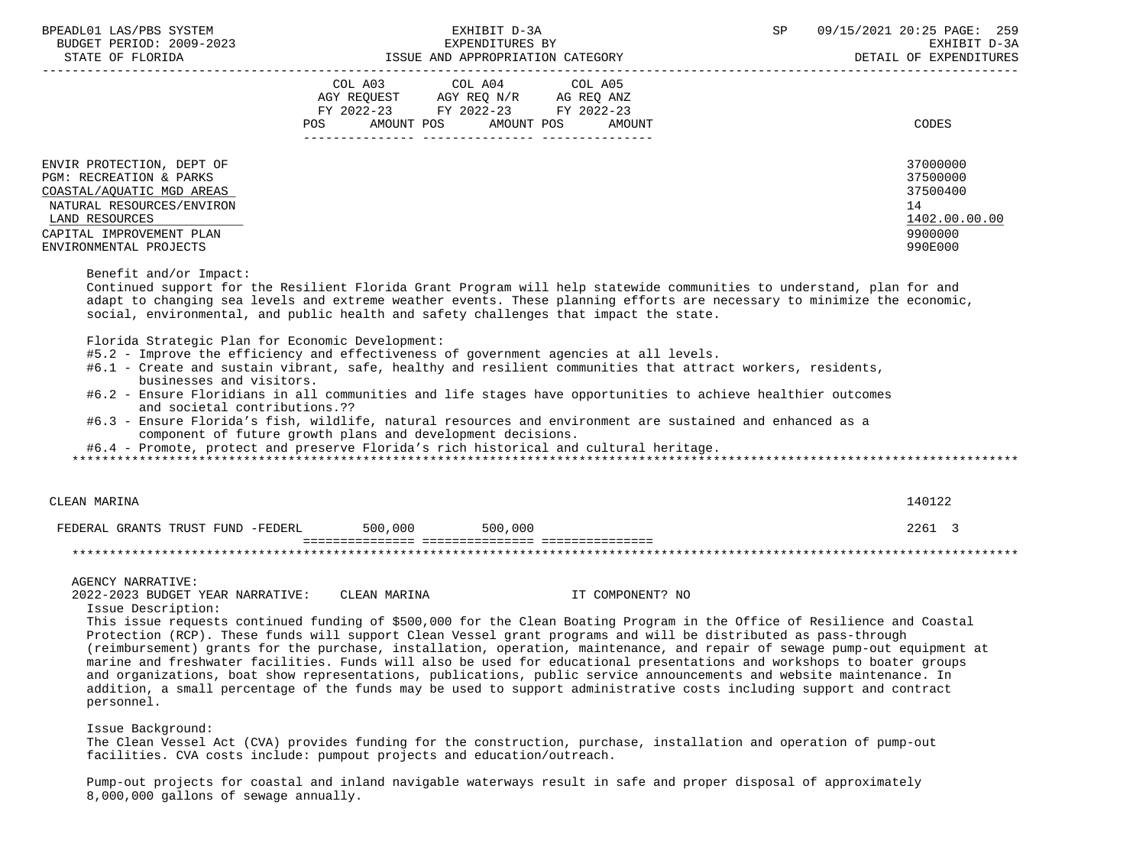BPEADL01 LAS/PBS SYSTEM EXHIBIT D-3A SP 09/15/2021 20:25 PAGE: 259 BUDGET PERIOD: 2009-2023 EXPENDITURES BY EXHIBIT D-3A STATE OF FLORIDA GALL SOLUTION ISSUE AND APPROPRIATION CATEGORY STATE OF SAMPLE OF EXPENDITURES ----------------------------------------------------------------------------------------------------------------------------------- COL A03 COL A04 AGY REQUEST AGY REQ N/R AG REQ ANZ FY 2022-23 FY 2022-23 FY 2022-23 POS AMOUNT POS AMOUNT POS AMOUNT CODES --------------- --------------- --------------- ENVIR PROTECTION, DEPT OF 37000000 PGM: RECREATION & PARKS 37500000<br>COASTAL/AOUATIC MGD AREAS 37500000 COASTAL/AQUATIC MGD AREAS NATURAL RESOURCES/ENVIRON 14  $\underline{\text{LAND RESOUTCES}} \underbrace{\text{1402.00.00}}$  CAPITAL IMPROVEMENT PLAN 9900000 ENVIRONMENTAL PROJECTS 990E000 Benefit and/or Impact: Continued support for the Resilient Florida Grant Program will help statewide communities to understand, plan for and adapt to changing sea levels and extreme weather events. These planning efforts are necessary to minimize the economic, social, environmental, and public health and safety challenges that impact the state. Florida Strategic Plan for Economic Development: #5.2 - Improve the efficiency and effectiveness of government agencies at all levels. #6.1 - Create and sustain vibrant, safe, healthy and resilient communities that attract workers, residents, businesses and visitors. #6.2 - Ensure Floridians in all communities and life stages have opportunities to achieve healthier outcomes and societal contributions.?? #6.3 - Ensure Florida's fish, wildlife, natural resources and environment are sustained and enhanced as a component of future growth plans and development decisions. #6.4 - Promote, protect and preserve Florida's rich historical and cultural heritage. \*\*\*\*\*\*\*\*\*\*\*\*\*\*\*\*\*\*\*\*\*\*\*\*\*\*\*\*\*\*\*\*\*\*\*\*\*\*\*\*\*\*\*\*\*\*\*\*\*\*\*\*\*\*\*\*\*\*\*\*\*\*\*\*\*\*\*\*\*\*\*\*\*\*\*\*\*\*\*\*\*\*\*\*\*\*\*\*\*\*\*\*\*\*\*\*\*\*\*\*\*\*\*\*\*\*\*\*\*\*\*\*\*\*\*\*\*\*\*\*\*\*\*\*\*\*\* CLEAN MARINA 140122 FEDERAL GRANTS TRUST FUND -FEDERL 500,000 500,000 2261 3 =============== =============== =============== \*\*\*\*\*\*\*\*\*\*\*\*\*\*\*\*\*\*\*\*\*\*\*\*\*\*\*\*\*\*\*\*\*\*\*\*\*\*\*\*\*\*\*\*\*\*\*\*\*\*\*\*\*\*\*\*\*\*\*\*\*\*\*\*\*\*\*\*\*\*\*\*\*\*\*\*\*\*\*\*\*\*\*\*\*\*\*\*\*\*\*\*\*\*\*\*\*\*\*\*\*\*\*\*\*\*\*\*\*\*\*\*\*\*\*\*\*\*\*\*\*\*\*\*\*\*\* AGENCY NARRATIVE: 2022-2023 BUDGET YEAR NARRATIVE: CLEAN MARINA IT COMPONENT? NO Issue Description: This issue requests continued funding of \$500,000 for the Clean Boating Program in the Office of Resilience and Coastal

 Protection (RCP). These funds will support Clean Vessel grant programs and will be distributed as pass-through (reimbursement) grants for the purchase, installation, operation, maintenance, and repair of sewage pump-out equipment at marine and freshwater facilities. Funds will also be used for educational presentations and workshops to boater groups and organizations, boat show representations, publications, public service announcements and website maintenance. In addition, a small percentage of the funds may be used to support administrative costs including support and contract personnel.

Issue Background:

 The Clean Vessel Act (CVA) provides funding for the construction, purchase, installation and operation of pump-out facilities. CVA costs include: pumpout projects and education/outreach.

 Pump-out projects for coastal and inland navigable waterways result in safe and proper disposal of approximately 8,000,000 gallons of sewage annually.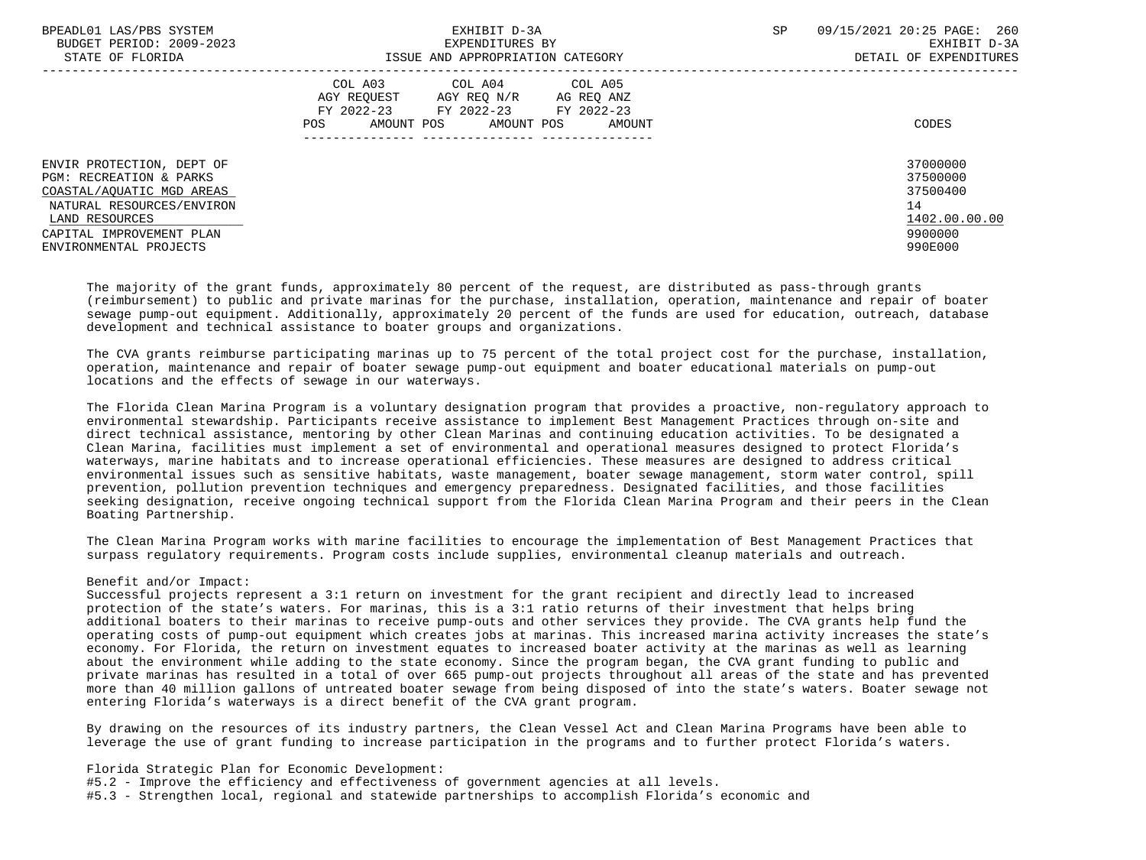| BPEADL01 LAS/PBS SYSTEM<br>BUDGET PERIOD: 2009-2023<br>STATE OF FLORIDA                                                                                                                | EXHIBIT D-3A<br>EXPENDITURES BY<br>ISSUE AND APPROPRIATION CATEGORY                                                                                  | <b>SP</b><br>09/15/2021 20:25 PAGE: 260<br>EXHIBIT D-3A<br>DETAIL OF EXPENDITURES |
|----------------------------------------------------------------------------------------------------------------------------------------------------------------------------------------|------------------------------------------------------------------------------------------------------------------------------------------------------|-----------------------------------------------------------------------------------|
|                                                                                                                                                                                        | COL A03 COL A04 COL A05<br>AGY REOUEST<br>AGY REO N/R<br>AG REO ANZ<br>FY 2022-23 FY 2022-23 FY 2022-23<br>AMOUNT POS<br>AMOUNT POS<br>POS<br>AMOUNT | CODES                                                                             |
| ENVIR PROTECTION, DEPT OF<br>PGM: RECREATION & PARKS<br>COASTAL/AOUATIC MGD AREAS<br>NATURAL RESOURCES/ENVIRON<br>LAND RESOURCES<br>CAPITAL IMPROVEMENT PLAN<br>ENVIRONMENTAL PROJECTS |                                                                                                                                                      | 37000000<br>37500000<br>37500400<br>14<br>1402.00.00.00<br>9900000<br>990E000     |

 The majority of the grant funds, approximately 80 percent of the request, are distributed as pass-through grants (reimbursement) to public and private marinas for the purchase, installation, operation, maintenance and repair of boater sewage pump-out equipment. Additionally, approximately 20 percent of the funds are used for education, outreach, database development and technical assistance to boater groups and organizations.

 The CVA grants reimburse participating marinas up to 75 percent of the total project cost for the purchase, installation, operation, maintenance and repair of boater sewage pump-out equipment and boater educational materials on pump-out locations and the effects of sewage in our waterways.

 The Florida Clean Marina Program is a voluntary designation program that provides a proactive, non-regulatory approach to environmental stewardship. Participants receive assistance to implement Best Management Practices through on-site and direct technical assistance, mentoring by other Clean Marinas and continuing education activities. To be designated a Clean Marina, facilities must implement a set of environmental and operational measures designed to protect Florida's waterways, marine habitats and to increase operational efficiencies. These measures are designed to address critical environmental issues such as sensitive habitats, waste management, boater sewage management, storm water control, spill prevention, pollution prevention techniques and emergency preparedness. Designated facilities, and those facilities seeking designation, receive ongoing technical support from the Florida Clean Marina Program and their peers in the Clean Boating Partnership.

 The Clean Marina Program works with marine facilities to encourage the implementation of Best Management Practices that surpass regulatory requirements. Program costs include supplies, environmental cleanup materials and outreach.

#### Benefit and/or Impact:

 Successful projects represent a 3:1 return on investment for the grant recipient and directly lead to increased protection of the state's waters. For marinas, this is a 3:1 ratio returns of their investment that helps bring additional boaters to their marinas to receive pump-outs and other services they provide. The CVA grants help fund the operating costs of pump-out equipment which creates jobs at marinas. This increased marina activity increases the state's economy. For Florida, the return on investment equates to increased boater activity at the marinas as well as learning about the environment while adding to the state economy. Since the program began, the CVA grant funding to public and private marinas has resulted in a total of over 665 pump-out projects throughout all areas of the state and has prevented more than 40 million gallons of untreated boater sewage from being disposed of into the state's waters. Boater sewage not entering Florida's waterways is a direct benefit of the CVA grant program.

 By drawing on the resources of its industry partners, the Clean Vessel Act and Clean Marina Programs have been able to leverage the use of grant funding to increase participation in the programs and to further protect Florida's waters.

Florida Strategic Plan for Economic Development:

#5.2 - Improve the efficiency and effectiveness of government agencies at all levels.

#5.3 - Strengthen local, regional and statewide partnerships to accomplish Florida's economic and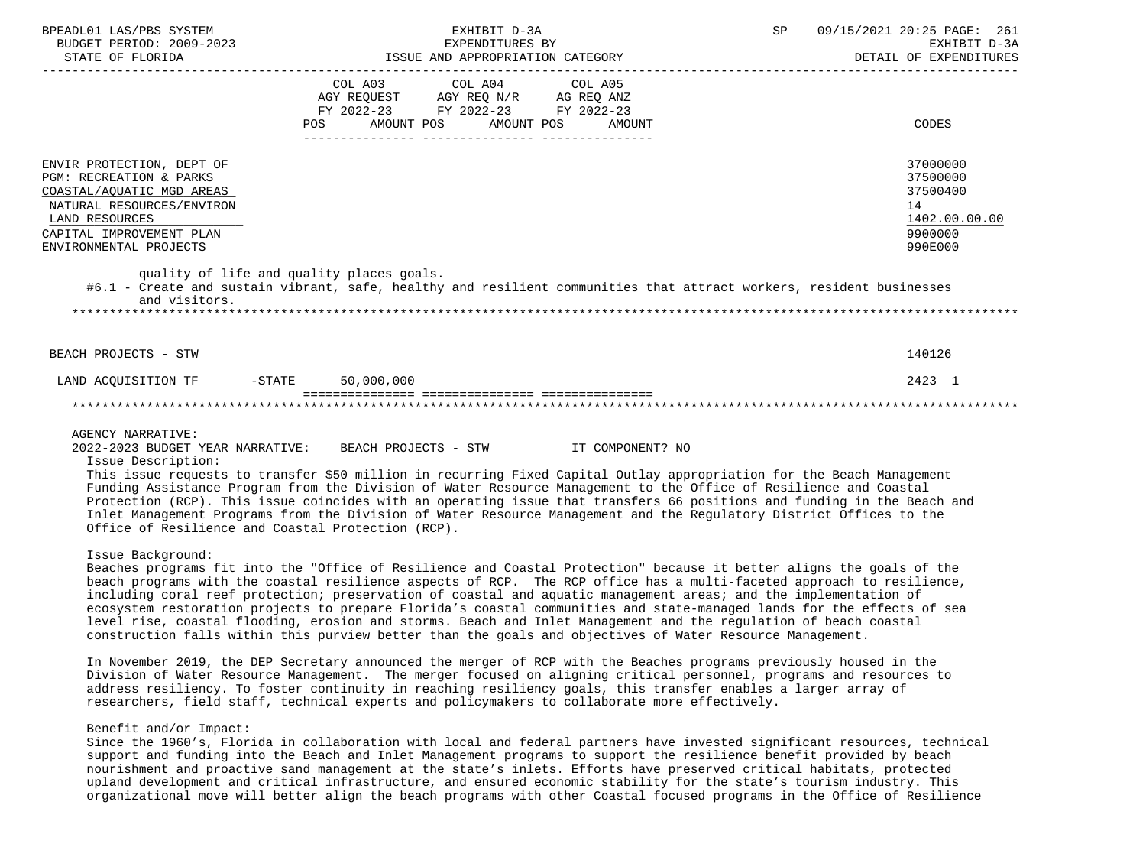| BPEADL01 LAS/PBS SYSTEM<br>BUDGET PERIOD: 2009-2023<br>STATE OF FLORIDA                                                                                                                | EXHIBIT D-3A<br>EXPENDITURES BY<br>ISSUE AND APPROPRIATION CATEGORY                                                                                                                                                                                                                                                                                                                                                                                                                                                                                                       | SP<br>09/15/2021 20:25 PAGE: 261<br>EXHIBIT D-3A<br>DETAIL OF EXPENDITURES    |
|----------------------------------------------------------------------------------------------------------------------------------------------------------------------------------------|---------------------------------------------------------------------------------------------------------------------------------------------------------------------------------------------------------------------------------------------------------------------------------------------------------------------------------------------------------------------------------------------------------------------------------------------------------------------------------------------------------------------------------------------------------------------------|-------------------------------------------------------------------------------|
|                                                                                                                                                                                        | COL A03<br>COL A04<br>COL A05<br>AGY REQUEST AGY REQ N/R AG REQ ANZ<br>FY 2022-23 FY 2022-23 FY 2022-23<br>POS<br>AMOUNT POS<br>AMOUNT POS<br>AMOUNT                                                                                                                                                                                                                                                                                                                                                                                                                      | CODES                                                                         |
| ENVIR PROTECTION, DEPT OF<br>PGM: RECREATION & PARKS<br>COASTAL/AQUATIC MGD AREAS<br>NATURAL RESOURCES/ENVIRON<br>LAND RESOURCES<br>CAPITAL IMPROVEMENT PLAN<br>ENVIRONMENTAL PROJECTS |                                                                                                                                                                                                                                                                                                                                                                                                                                                                                                                                                                           | 37000000<br>37500000<br>37500400<br>14<br>1402.00.00.00<br>9900000<br>990E000 |
| and visitors.                                                                                                                                                                          | quality of life and quality places goals.<br>#6.1 - Create and sustain vibrant, safe, healthy and resilient communities that attract workers, resident businesses                                                                                                                                                                                                                                                                                                                                                                                                         |                                                                               |
| BEACH PROJECTS - STW                                                                                                                                                                   |                                                                                                                                                                                                                                                                                                                                                                                                                                                                                                                                                                           | 140126                                                                        |
| LAND ACOUISITION TF -STATE                                                                                                                                                             | 50,000,000                                                                                                                                                                                                                                                                                                                                                                                                                                                                                                                                                                | 2423 1                                                                        |
|                                                                                                                                                                                        | ===============================                                                                                                                                                                                                                                                                                                                                                                                                                                                                                                                                           |                                                                               |
| <b>AGENCY NARRATIVE:</b><br>Issue Description:                                                                                                                                         | 2022-2023 BUDGET YEAR NARRATIVE: BEACH PROJECTS - STW<br>IT COMPONENT? NO<br>This issue requests to transfer \$50 million in recurring Fixed Capital Outlay appropriation for the Beach Management<br>Funding Assistance Program from the Division of Water Resource Management to the Office of Resilience and Coastal<br>Protection (RCP). This issue coincides with an operating issue that transfers 66 positions and funding in the Beach and<br>Inlet Management Programs from the Division of Water Resource Management and the Regulatory District Offices to the |                                                                               |

Issue Background:

Office of Resilience and Coastal Protection (RCP).

 Beaches programs fit into the "Office of Resilience and Coastal Protection" because it better aligns the goals of the beach programs with the coastal resilience aspects of RCP. The RCP office has a multi-faceted approach to resilience, including coral reef protection; preservation of coastal and aquatic management areas; and the implementation of ecosystem restoration projects to prepare Florida's coastal communities and state-managed lands for the effects of sea level rise, coastal flooding, erosion and storms. Beach and Inlet Management and the regulation of beach coastal construction falls within this purview better than the goals and objectives of Water Resource Management.

 In November 2019, the DEP Secretary announced the merger of RCP with the Beaches programs previously housed in the Division of Water Resource Management. The merger focused on aligning critical personnel, programs and resources to address resiliency. To foster continuity in reaching resiliency goals, this transfer enables a larger array of researchers, field staff, technical experts and policymakers to collaborate more effectively.

## Benefit and/or Impact:

 Since the 1960's, Florida in collaboration with local and federal partners have invested significant resources, technical support and funding into the Beach and Inlet Management programs to support the resilience benefit provided by beach nourishment and proactive sand management at the state's inlets. Efforts have preserved critical habitats, protected upland development and critical infrastructure, and ensured economic stability for the state's tourism industry. This organizational move will better align the beach programs with other Coastal focused programs in the Office of Resilience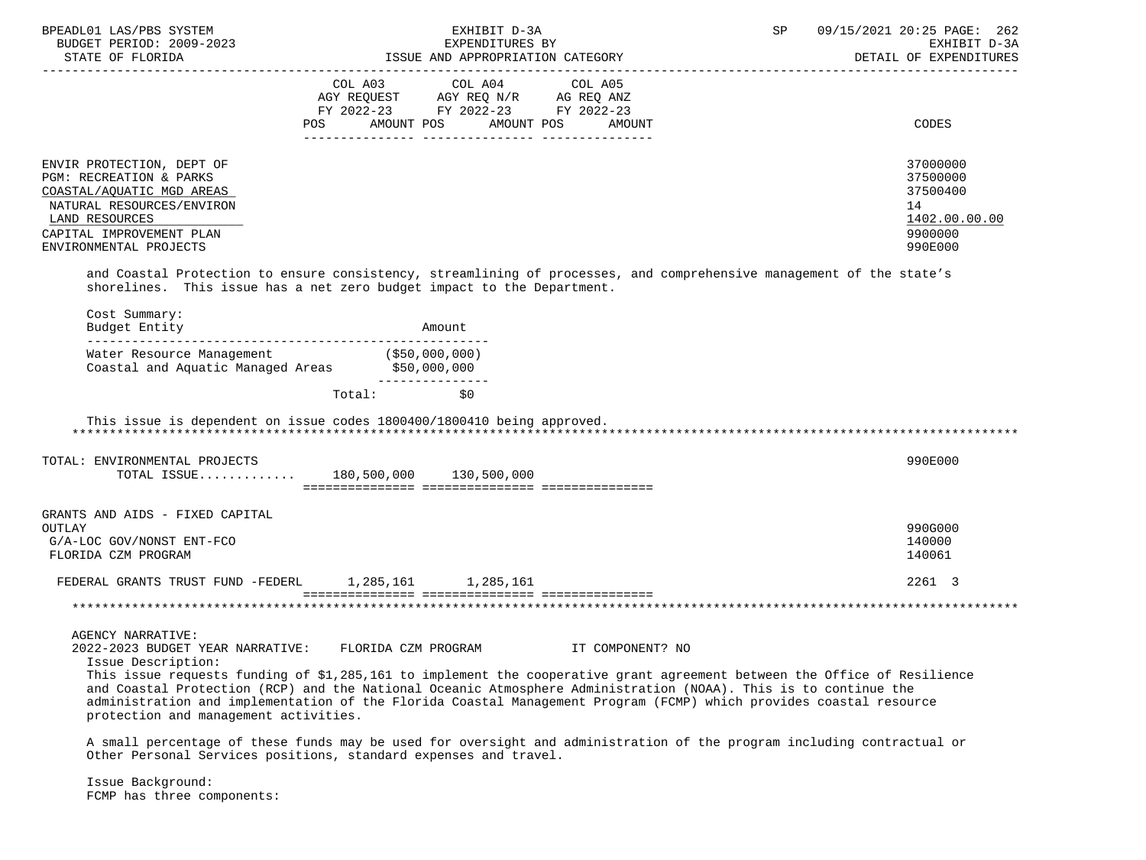| BPEADL01 LAS/PBS SYSTEM<br>BUDGET PERIOD: 2009-2023                                                                                                                                                                                                                                                                                                                                                                                                                                              |                     | EXHIBIT D-3A<br>EXPENDITURES BY                                                                                                                                                                                                                               |                                  | 09/15/2021 20:25 PAGE: 262<br>SP<br>EXHIBIT D-3A<br>DETAIL OF EXPENDITURES |                                                                               |  |
|--------------------------------------------------------------------------------------------------------------------------------------------------------------------------------------------------------------------------------------------------------------------------------------------------------------------------------------------------------------------------------------------------------------------------------------------------------------------------------------------------|---------------------|---------------------------------------------------------------------------------------------------------------------------------------------------------------------------------------------------------------------------------------------------------------|----------------------------------|----------------------------------------------------------------------------|-------------------------------------------------------------------------------|--|
|                                                                                                                                                                                                                                                                                                                                                                                                                                                                                                  |                     | $\begin{tabular}{lllllllll} COL & A03 & \multicolumn{2}{l}COL & A04 & \multicolumn{2}{l}COL & A05 \\ AGY & REQUEST & \multicolumn{2}{l}AGY REQ & N/R & \multicolumn{2}{l}AG REQ & \multicolumn{2}{l}AMZ \\ \end{tabular}$<br>FY 2022-23 FY 2022-23 FY 2022-23 | POS AMOUNT POS AMOUNT POS AMOUNT |                                                                            | CODES                                                                         |  |
| ENVIR PROTECTION, DEPT OF<br><b>PGM: RECREATION &amp; PARKS</b><br>COASTAL/AQUATIC MGD AREAS<br>NATURAL RESOURCES/ENVIRON<br>LAND RESOURCES<br>CAPITAL IMPROVEMENT PLAN<br>ENVIRONMENTAL PROJECTS                                                                                                                                                                                                                                                                                                |                     |                                                                                                                                                                                                                                                               |                                  |                                                                            | 37000000<br>37500000<br>37500400<br>14<br>1402.00.00.00<br>9900000<br>990E000 |  |
| and Coastal Protection to ensure consistency, streamlining of processes, and comprehensive management of the state's<br>shorelines. This issue has a net zero budget impact to the Department.<br>Cost Summary:                                                                                                                                                                                                                                                                                  |                     |                                                                                                                                                                                                                                                               |                                  |                                                                            |                                                                               |  |
| Budget Entity<br>Water Resource Management (\$50,000,000)<br>Coastal and Aquatic Managed Areas \$50,000,000                                                                                                                                                                                                                                                                                                                                                                                      |                     | Amount<br>________________                                                                                                                                                                                                                                    |                                  |                                                                            |                                                                               |  |
| This issue is dependent on issue codes 1800400/1800410 being approved.<br>TOTAL: ENVIRONMENTAL PROJECTS<br>TOTAL ISSUE 180,500,000 130,500,000                                                                                                                                                                                                                                                                                                                                                   | Total: \$0          |                                                                                                                                                                                                                                                               |                                  |                                                                            | 990E000                                                                       |  |
| GRANTS AND AIDS - FIXED CAPITAL<br>OUTLAY<br>G/A-LOC GOV/NONST ENT-FCO<br>FLORIDA CZM PROGRAM                                                                                                                                                                                                                                                                                                                                                                                                    |                     |                                                                                                                                                                                                                                                               |                                  |                                                                            | 990G000<br>140000<br>140061                                                   |  |
| FEDERAL GRANTS TRUST FUND -FEDERL 1,285,161 1,285,161                                                                                                                                                                                                                                                                                                                                                                                                                                            |                     |                                                                                                                                                                                                                                                               |                                  |                                                                            | 2261 3                                                                        |  |
| <b>AGENCY NARRATIVE:</b><br>2022-2023 BUDGET YEAR NARRATIVE:<br>Issue Description:<br>This issue requests funding of \$1,285,161 to implement the cooperative grant agreement between the Office of Resilience<br>and Coastal Protection (RCP) and the National Oceanic Atmosphere Administration (NOAA). This is to continue the<br>administration and implementation of the Florida Coastal Management Program (FCMP) which provides coastal resource<br>protection and management activities. | FLORIDA CZM PROGRAM |                                                                                                                                                                                                                                                               | IT COMPONENT? NO                 |                                                                            |                                                                               |  |
| A small percentage of these funds may be used for oversight and administration of the program including contractual or<br>Other Personal Services positions, standard expenses and travel.                                                                                                                                                                                                                                                                                                       |                     |                                                                                                                                                                                                                                                               |                                  |                                                                            |                                                                               |  |

 Issue Background: FCMP has three components: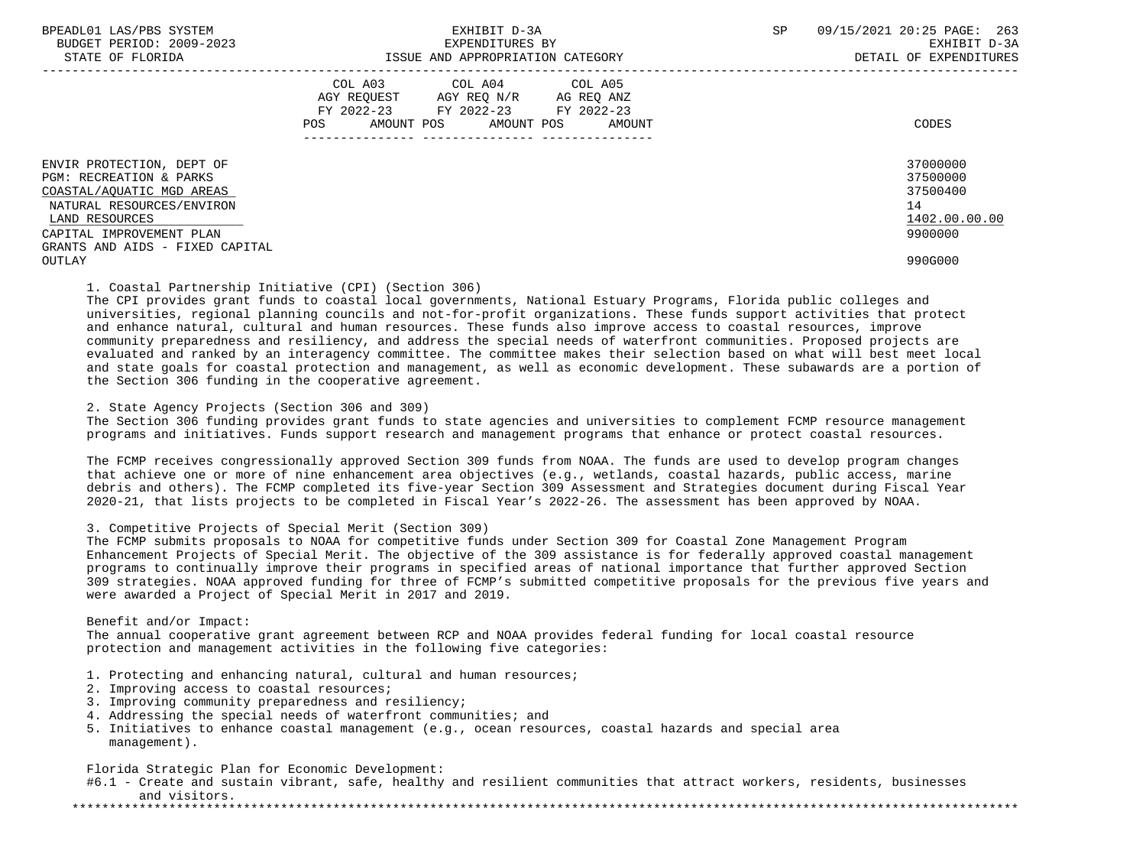|                                                                                                                                                                                                           | COL A03<br>COL A04<br>COL A05<br>AGY REOUEST<br>AGY REO N/R<br>AG REQ ANZ<br>FY 2022-23<br>FY 2022-23<br>FY 2022-23<br>POS.<br>AMOUNT POS<br>AMOUNT POS<br>AMOUNT | CODES                                                                         |
|-----------------------------------------------------------------------------------------------------------------------------------------------------------------------------------------------------------|-------------------------------------------------------------------------------------------------------------------------------------------------------------------|-------------------------------------------------------------------------------|
| ENVIR PROTECTION, DEPT OF<br>PGM: RECREATION & PARKS<br>COASTAL/AOUATIC MGD AREAS<br>NATURAL RESOURCES/ENVIRON<br>LAND RESOURCES<br>CAPITAL IMPROVEMENT PLAN<br>GRANTS AND AIDS - FIXED CAPITAL<br>OUTLAY |                                                                                                                                                                   | 37000000<br>37500000<br>37500400<br>14<br>1402.00.00.00<br>9900000<br>990G000 |

### 1. Coastal Partnership Initiative (CPI) (Section 306)

 The CPI provides grant funds to coastal local governments, National Estuary Programs, Florida public colleges and universities, regional planning councils and not-for-profit organizations. These funds support activities that protect and enhance natural, cultural and human resources. These funds also improve access to coastal resources, improve community preparedness and resiliency, and address the special needs of waterfront communities. Proposed projects are evaluated and ranked by an interagency committee. The committee makes their selection based on what will best meet local and state goals for coastal protection and management, as well as economic development. These subawards are a portion of the Section 306 funding in the cooperative agreement.

2. State Agency Projects (Section 306 and 309)

 The Section 306 funding provides grant funds to state agencies and universities to complement FCMP resource management programs and initiatives. Funds support research and management programs that enhance or protect coastal resources.

 The FCMP receives congressionally approved Section 309 funds from NOAA. The funds are used to develop program changes that achieve one or more of nine enhancement area objectives (e.g., wetlands, coastal hazards, public access, marine debris and others). The FCMP completed its five-year Section 309 Assessment and Strategies document during Fiscal Year 2020-21, that lists projects to be completed in Fiscal Year's 2022-26. The assessment has been approved by NOAA.

#### 3. Competitive Projects of Special Merit (Section 309)

 The FCMP submits proposals to NOAA for competitive funds under Section 309 for Coastal Zone Management Program Enhancement Projects of Special Merit. The objective of the 309 assistance is for federally approved coastal management programs to continually improve their programs in specified areas of national importance that further approved Section 309 strategies. NOAA approved funding for three of FCMP's submitted competitive proposals for the previous five years and were awarded a Project of Special Merit in 2017 and 2019.

 Benefit and/or Impact: The annual cooperative grant agreement between RCP and NOAA provides federal funding for local coastal resource protection and management activities in the following five categories:

- 1. Protecting and enhancing natural, cultural and human resources;
- 2. Improving access to coastal resources;
- 3. Improving community preparedness and resiliency;
- 4. Addressing the special needs of waterfront communities; and
- 5. Initiatives to enhance coastal management (e.g., ocean resources, coastal hazards and special area management).

Florida Strategic Plan for Economic Development:

 #6.1 - Create and sustain vibrant, safe, healthy and resilient communities that attract workers, residents, businesses and visitors.

\*\*\*\*\*\*\*\*\*\*\*\*\*\*\*\*\*\*\*\*\*\*\*\*\*\*\*\*\*\*\*\*\*\*\*\*\*\*\*\*\*\*\*\*\*\*\*\*\*\*\*\*\*\*\*\*\*\*\*\*\*\*\*\*\*\*\*\*\*\*\*\*\*\*\*\*\*\*\*\*\*\*\*\*\*\*\*\*\*\*\*\*\*\*\*\*\*\*\*\*\*\*\*\*\*\*\*\*\*\*\*\*\*\*\*\*\*\*\*\*\*\*\*\*\*\*\*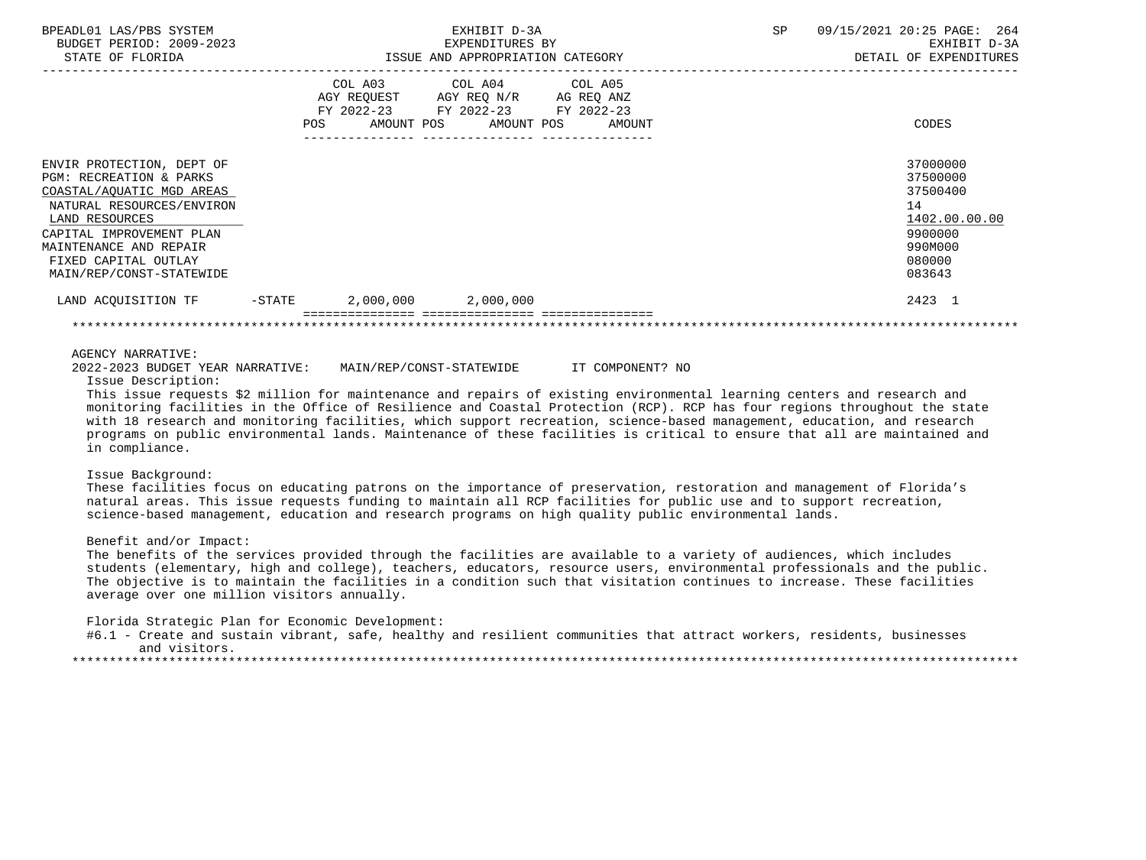| BPEADL01 LAS/PBS SYSTEM<br>BUDGET PERIOD: 2009-2023<br>STATE OF FLORIDA                                                                                                                                                                               |           |                       | EXHIBIT D-3A<br>EXPENDITURES BY<br>ISSUE AND APPROPRIATION CATEGORY |                                                                                                     | <b>SP</b> | 09/15/2021 20:25 PAGE: 264<br>EXHIBIT D-3A<br>DETAIL OF EXPENDITURES                              |
|-------------------------------------------------------------------------------------------------------------------------------------------------------------------------------------------------------------------------------------------------------|-----------|-----------------------|---------------------------------------------------------------------|-----------------------------------------------------------------------------------------------------|-----------|---------------------------------------------------------------------------------------------------|
|                                                                                                                                                                                                                                                       | POS       | COL A03<br>AMOUNT POS | AMOUNT POS<br>-----------------------                               | COL A04 COL A05<br>AGY REQUEST AGY REQ N/R AG REQ ANZ<br>FY 2022-23 FY 2022-23 FY 2022-23<br>AMOUNT |           | CODES                                                                                             |
| ENVIR PROTECTION, DEPT OF<br><b>PGM: RECREATION &amp; PARKS</b><br>COASTAL/AOUATIC MGD AREAS<br>NATURAL RESOURCES/ENVIRON<br>LAND RESOURCES<br>CAPITAL IMPROVEMENT PLAN<br>MAINTENANCE AND REPAIR<br>FIXED CAPITAL OUTLAY<br>MAIN/REP/CONST-STATEWIDE |           |                       |                                                                     |                                                                                                     |           | 37000000<br>37500000<br>37500400<br>14<br>1402.00.00.00<br>9900000<br>990M000<br>080000<br>083643 |
| LAND ACOUISITION TF                                                                                                                                                                                                                                   | $-$ STATE | 2,000,000             | 2,000,000                                                           |                                                                                                     |           | 2423 1                                                                                            |
|                                                                                                                                                                                                                                                       |           |                       |                                                                     |                                                                                                     |           |                                                                                                   |

AGENCY NARRATIVE:

2022-2023 BUDGET YEAR NARRATIVE: MAIN/REP/CONST-STATEWIDE IT COMPONENT? NO

Issue Description:

 This issue requests \$2 million for maintenance and repairs of existing environmental learning centers and research and monitoring facilities in the Office of Resilience and Coastal Protection (RCP). RCP has four regions throughout the state with 18 research and monitoring facilities, which support recreation, science-based management, education, and research programs on public environmental lands. Maintenance of these facilities is critical to ensure that all are maintained and in compliance.

# Issue Background:

 These facilities focus on educating patrons on the importance of preservation, restoration and management of Florida's natural areas. This issue requests funding to maintain all RCP facilities for public use and to support recreation, science-based management, education and research programs on high quality public environmental lands.

## Benefit and/or Impact:

 The benefits of the services provided through the facilities are available to a variety of audiences, which includes students (elementary, high and college), teachers, educators, resource users, environmental professionals and the public. The objective is to maintain the facilities in a condition such that visitation continues to increase. These facilities average over one million visitors annually.

Florida Strategic Plan for Economic Development:

 #6.1 - Create and sustain vibrant, safe, healthy and resilient communities that attract workers, residents, businesses and visitors.

\*\*\*\*\*\*\*\*\*\*\*\*\*\*\*\*\*\*\*\*\*\*\*\*\*\*\*\*\*\*\*\*\*\*\*\*\*\*\*\*\*\*\*\*\*\*\*\*\*\*\*\*\*\*\*\*\*\*\*\*\*\*\*\*\*\*\*\*\*\*\*\*\*\*\*\*\*\*\*\*\*\*\*\*\*\*\*\*\*\*\*\*\*\*\*\*\*\*\*\*\*\*\*\*\*\*\*\*\*\*\*\*\*\*\*\*\*\*\*\*\*\*\*\*\*\*\*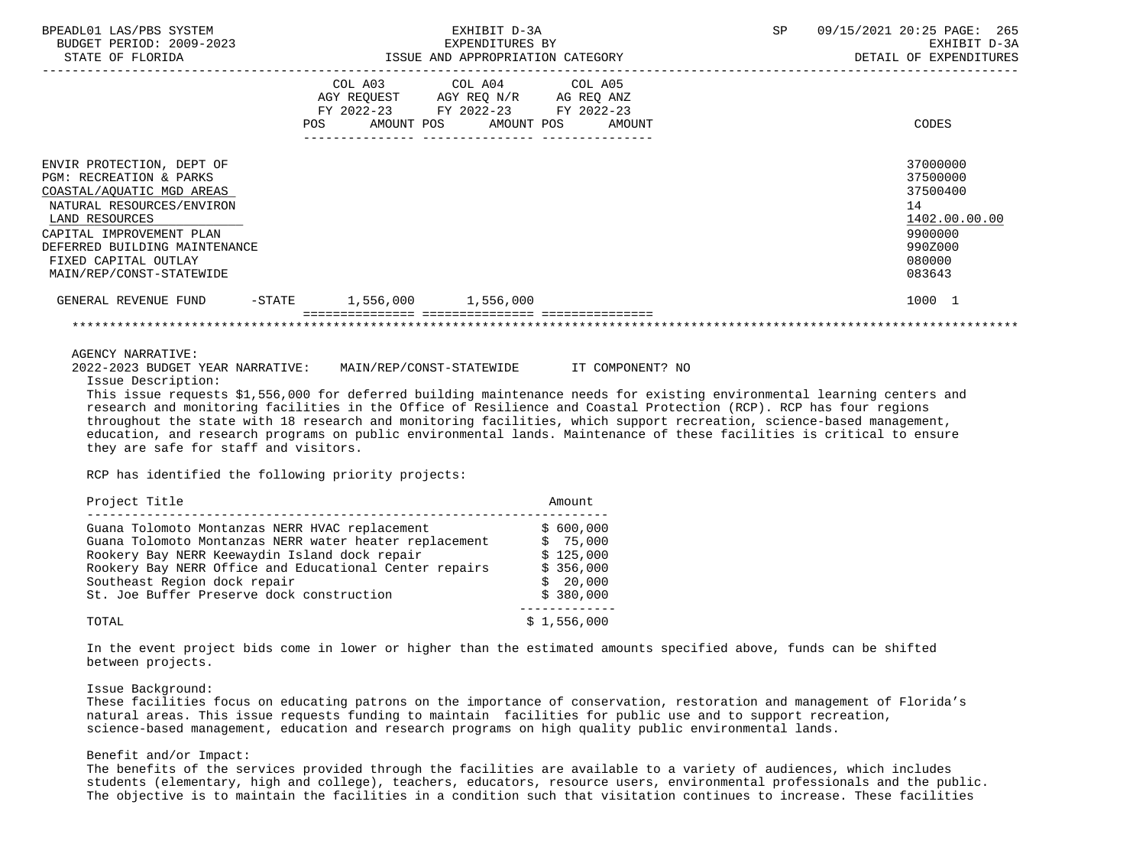| BPEADL01 LAS/PBS SYSTEM<br>BUDGET PERIOD: 2009-2023<br>STATE OF FLORIDA                                                                                                                                                                                                                                                                                                                                                                                                                                                                                                                                                                                                |                                  | EXHIBIT D-3A<br>EXPENDITURES BY                                                                   | ISSUE AND APPROPRIATION CATEGORY | SP | 09/15/2021 20:25 PAGE: 265<br>EXHIBIT D-3A<br>DETAIL OF EXPENDITURES                              |
|------------------------------------------------------------------------------------------------------------------------------------------------------------------------------------------------------------------------------------------------------------------------------------------------------------------------------------------------------------------------------------------------------------------------------------------------------------------------------------------------------------------------------------------------------------------------------------------------------------------------------------------------------------------------|----------------------------------|---------------------------------------------------------------------------------------------------|----------------------------------|----|---------------------------------------------------------------------------------------------------|
|                                                                                                                                                                                                                                                                                                                                                                                                                                                                                                                                                                                                                                                                        | POS AMOUNT POS AMOUNT POS AMOUNT | COL A03 COL A04 COL A05<br>AGY REQUEST AGY REQ N/R AG REQ ANZ<br>FY 2022-23 FY 2022-23 FY 2022-23 |                                  |    | CODES                                                                                             |
| ENVIR PROTECTION, DEPT OF<br><b>PGM: RECREATION &amp; PARKS</b><br>COASTAL/AQUATIC MGD AREAS<br>NATURAL RESOURCES/ENVIRON<br>LAND RESOURCES<br>CAPITAL IMPROVEMENT PLAN<br>DEFERRED BUILDING MAINTENANCE<br>FIXED CAPITAL OUTLAY<br>MAIN/REP/CONST-STATEWIDE                                                                                                                                                                                                                                                                                                                                                                                                           |                                  |                                                                                                   |                                  |    | 37000000<br>37500000<br>37500400<br>14<br>1402.00.00.00<br>9900000<br>990Z000<br>080000<br>083643 |
| GENERAL REVENUE FUND -STATE 1,556,000 1,556,000                                                                                                                                                                                                                                                                                                                                                                                                                                                                                                                                                                                                                        |                                  |                                                                                                   |                                  |    | 1000 1                                                                                            |
|                                                                                                                                                                                                                                                                                                                                                                                                                                                                                                                                                                                                                                                                        |                                  |                                                                                                   |                                  |    |                                                                                                   |
| <b>AGENCY NARRATIVE:</b><br>2022-2023 BUDGET YEAR NARRATIVE: MAIN/REP/CONST-STATEWIDE TT COMPONENT? NO<br>Issue Description:<br>This issue requests \$1,556,000 for deferred building maintenance needs for existing environmental learning centers and<br>research and monitoring facilities in the Office of Resilience and Coastal Protection (RCP). RCP has four regions<br>throughout the state with 18 research and monitoring facilities, which support recreation, science-based management,<br>education, and research programs on public environmental lands. Maintenance of these facilities is critical to ensure<br>they are safe for staff and visitors. |                                  |                                                                                                   |                                  |    |                                                                                                   |

RCP has identified the following priority projects:

| Project Title                                                                                                                                                                                                                                                                                    | Amount                                                                   |
|--------------------------------------------------------------------------------------------------------------------------------------------------------------------------------------------------------------------------------------------------------------------------------------------------|--------------------------------------------------------------------------|
| Guana Tolomoto Montanzas NERR HVAC replacement<br>Guana Tolomoto Montanzas NERR water heater replacement<br>Rookery Bay NERR Keewaydin Island dock repair<br>Rookery Bay NERR Office and Educational Center repairs<br>Southeast Region dock repair<br>St. Joe Buffer Preserve dock construction | \$600,000<br>\$75,000<br>\$125,000<br>\$356,000<br>\$20.000<br>\$380,000 |
| TOTAL                                                                                                                                                                                                                                                                                            | \$1,556,000                                                              |

 In the event project bids come in lower or higher than the estimated amounts specified above, funds can be shifted between projects.

#### Issue Background:

 These facilities focus on educating patrons on the importance of conservation, restoration and management of Florida's natural areas. This issue requests funding to maintain facilities for public use and to support recreation, science-based management, education and research programs on high quality public environmental lands.

## Benefit and/or Impact:

 The benefits of the services provided through the facilities are available to a variety of audiences, which includes students (elementary, high and college), teachers, educators, resource users, environmental professionals and the public. The objective is to maintain the facilities in a condition such that visitation continues to increase. These facilities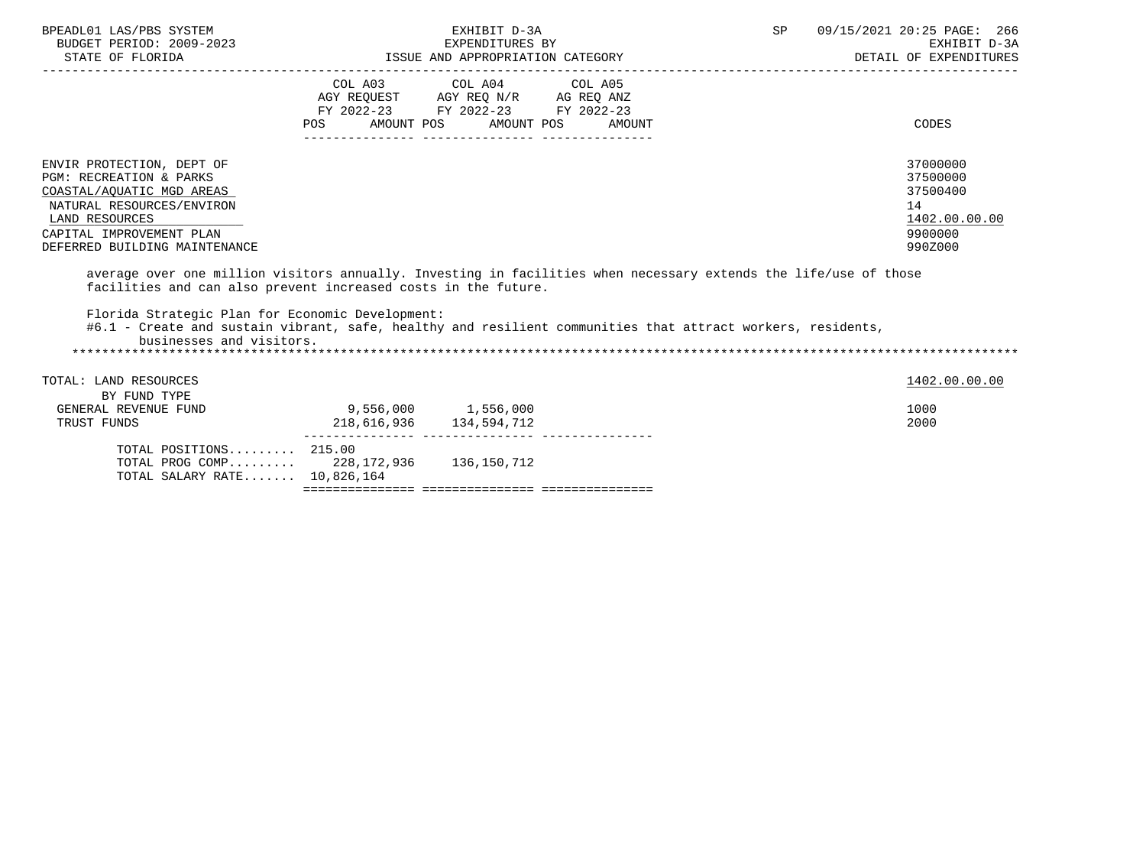| BPEADL01 LAS/PBS SYSTEM<br>BUDGET PERIOD: 2009-2023<br>STATE OF FLORIDA                                                                                                                                                                |                                                                                                    | EXHIBIT D-3A<br>EXPENDITURES BY<br>ISSUE AND APPROPRIATION CATEGORY |        | SP | 09/15/2021 20:25 PAGE: 266<br>EXHIBIT D-3A<br>DETAIL OF EXPENDITURES          |
|----------------------------------------------------------------------------------------------------------------------------------------------------------------------------------------------------------------------------------------|----------------------------------------------------------------------------------------------------|---------------------------------------------------------------------|--------|----|-------------------------------------------------------------------------------|
|                                                                                                                                                                                                                                        | AGY REQUEST AGY REQ N/R AG REQ ANZ<br>FY 2022-23 FY 2022-23 FY 2022-23<br>AMOUNT POS<br><b>POS</b> | COL A03 COL A04 COL A05<br>AMOUNT POS                               | AMOUNT |    | CODES                                                                         |
| ENVIR PROTECTION, DEPT OF<br><b>PGM: RECREATION &amp; PARKS</b><br>COASTAL/AQUATIC MGD AREAS<br>NATURAL RESOURCES/ENVIRON<br>LAND RESOURCES<br>CAPITAL IMPROVEMENT PLAN<br>DEFERRED BUILDING MAINTENANCE                               |                                                                                                    |                                                                     |        |    | 37000000<br>37500000<br>37500400<br>14<br>1402.00.00.00<br>9900000<br>990Z000 |
| average over one million visitors annually. Investing in facilities when necessary extends the life/use of those<br>facilities and can also prevent increased costs in the future.<br>Florida Strategic Plan for Economic Development: |                                                                                                    |                                                                     |        |    |                                                                               |
| #6.1 - Create and sustain vibrant, safe, healthy and resilient communities that attract workers, residents,<br>businesses and visitors.                                                                                                |                                                                                                    |                                                                     |        |    |                                                                               |
| TOTAL: LAND RESOURCES<br>BY FUND TYPE                                                                                                                                                                                                  |                                                                                                    |                                                                     |        |    | 1402.00.00.00                                                                 |
| GENERAL REVENUE FUND<br>TRUST FUNDS                                                                                                                                                                                                    | $9,556,000$ 1,556,000<br>218,616,936 134,594,712                                                   |                                                                     |        |    | 1000<br>2000                                                                  |
| TOTAL POSITIONS 215.00<br>TOTAL PROG COMP 228, 172, 936 136, 150, 712<br>TOTAL SALARY RATE 10,826,164                                                                                                                                  |                                                                                                    |                                                                     |        |    |                                                                               |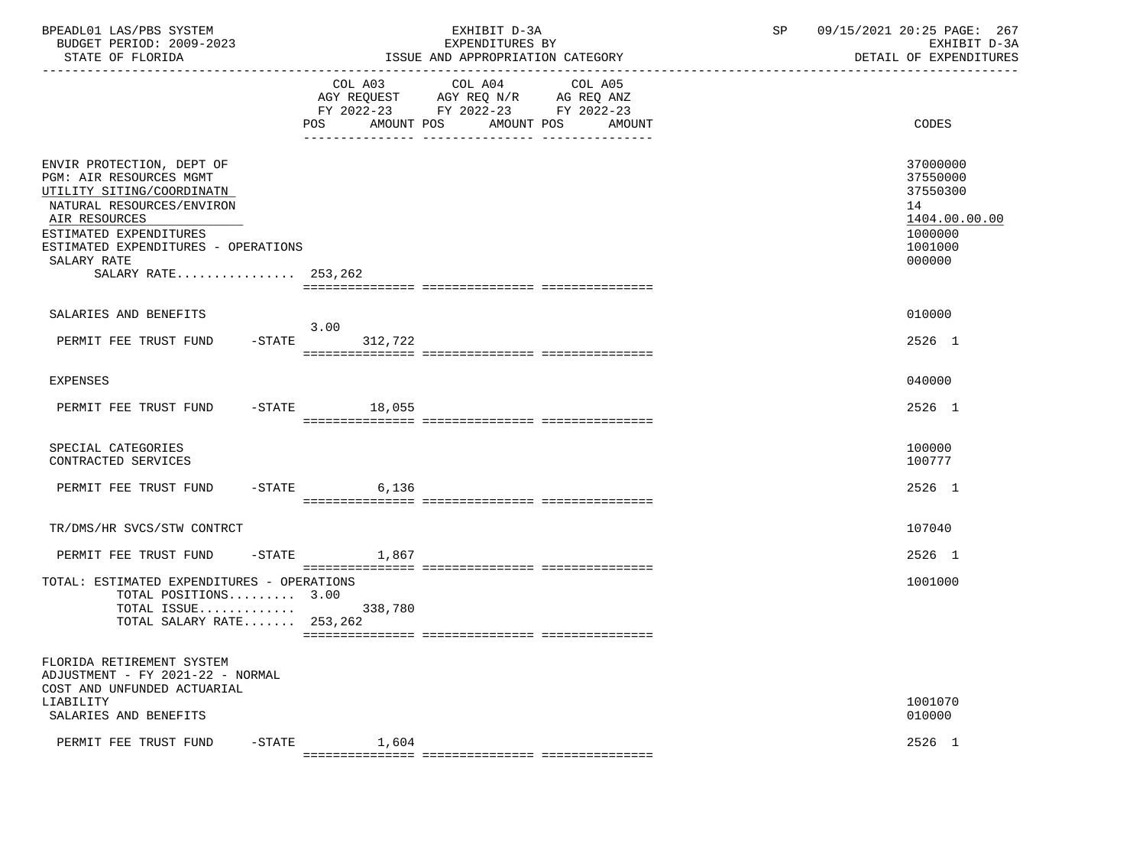| BPEADL01 LAS/PBS SYSTEM<br>BUDGET PERIOD: 2009-2023<br>STATE OF FLORIDA                                                                                                                                                                |                        | EXHIBIT D-3A<br>EXPENDITURES BY<br>ISSUE AND APPROPRIATION CATEGORY                                                                      | SP | 09/15/2021 20:25 PAGE: 267<br>EXHIBIT D-3A<br>DETAIL OF EXPENDITURES                    |  |
|----------------------------------------------------------------------------------------------------------------------------------------------------------------------------------------------------------------------------------------|------------------------|------------------------------------------------------------------------------------------------------------------------------------------|----|-----------------------------------------------------------------------------------------|--|
|                                                                                                                                                                                                                                        |                        | COL A03 COL A04 COL A05<br>AGY REQUEST AGY REQ N/R AG REQ ANZ<br>FY 2022-23 FY 2022-23 FY 2022-23<br>POS AMOUNT POS AMOUNT POS<br>AMOUNT |    | CODES                                                                                   |  |
| ENVIR PROTECTION, DEPT OF<br>PGM: AIR RESOURCES MGMT<br>UTILITY SITING/COORDINATN<br>NATURAL RESOURCES/ENVIRON<br>AIR RESOURCES<br>ESTIMATED EXPENDITURES<br>ESTIMATED EXPENDITURES - OPERATIONS<br>SALARY RATE<br>SALARY RATE 253,262 |                        |                                                                                                                                          |    | 37000000<br>37550000<br>37550300<br>14<br>1404.00.00.00<br>1000000<br>1001000<br>000000 |  |
| SALARIES AND BENEFITS<br>PERMIT FEE TRUST FUND                                                                                                                                                                                         | 3.00<br>-STATE 312,722 |                                                                                                                                          |    | 010000<br>2526 1                                                                        |  |
| EXPENSES<br>PERMIT FEE TRUST FUND -STATE 18,055                                                                                                                                                                                        |                        |                                                                                                                                          |    | 040000<br>2526 1                                                                        |  |
| SPECIAL CATEGORIES<br>CONTRACTED SERVICES                                                                                                                                                                                              |                        |                                                                                                                                          |    | 100000<br>100777                                                                        |  |
| PERMIT FEE TRUST FUND -STATE 6,136                                                                                                                                                                                                     |                        |                                                                                                                                          |    | 2526 1                                                                                  |  |
| TR/DMS/HR SVCS/STW CONTRCT                                                                                                                                                                                                             |                        |                                                                                                                                          |    | 107040                                                                                  |  |
| PERMIT FEE TRUST FUND -STATE 1,867                                                                                                                                                                                                     |                        |                                                                                                                                          |    | 2526 1                                                                                  |  |
| TOTAL: ESTIMATED EXPENDITURES - OPERATIONS<br>TOTAL POSITIONS 3.00<br>TOTAL SALARY RATE 253,262                                                                                                                                        |                        |                                                                                                                                          |    | 1001000                                                                                 |  |
| FLORIDA RETIREMENT SYSTEM<br>ADJUSTMENT - FY 2021-22 - NORMAL<br>COST AND UNFUNDED ACTUARIAL<br>LIABILITY<br>SALARIES AND BENEFITS                                                                                                     |                        |                                                                                                                                          |    | 1001070<br>010000                                                                       |  |
| $-$ STATE<br>PERMIT FEE TRUST FUND                                                                                                                                                                                                     | 1,604                  |                                                                                                                                          |    | 2526 1                                                                                  |  |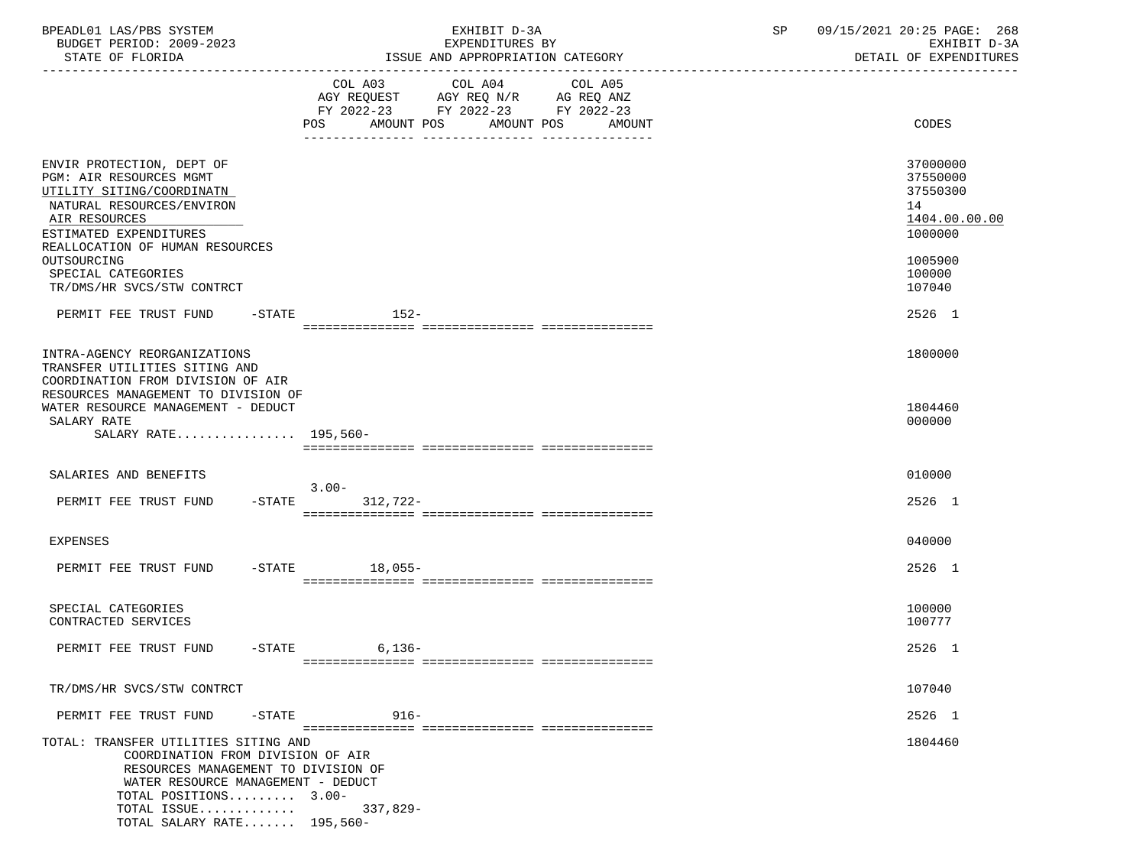| BPEADL01 LAS/PBS SYSTEM<br>BUDGET PERIOD: 2009-2023<br>STATE OF FLORIDA                                                                                                                                                      |           | EXHIBIT D-3A<br>EXPENDITURES BY<br>ISSUE AND APPROPRIATION CATEGORY                                                                         | SP<br>09/15/2021 20:25 PAGE: 268<br>EXHIBIT D-3A<br>DETAIL OF EXPENDITURES |
|------------------------------------------------------------------------------------------------------------------------------------------------------------------------------------------------------------------------------|-----------|---------------------------------------------------------------------------------------------------------------------------------------------|----------------------------------------------------------------------------|
|                                                                                                                                                                                                                              |           | COL A03 COL A04 COL A05<br>AGY REQUEST AGY REQ N/R AG REQ ANZ<br>FY 2022-23 FY 2022-23 FY 2022-23<br>POS AMOUNT POS<br>AMOUNT POS<br>AMOUNT | CODES                                                                      |
| ENVIR PROTECTION, DEPT OF<br><b>PGM: AIR RESOURCES MGMT</b><br>UTILITY SITING/COORDINATN<br>NATURAL RESOURCES/ENVIRON<br>AIR RESOURCES<br>ESTIMATED EXPENDITURES<br>REALLOCATION OF HUMAN RESOURCES                          |           |                                                                                                                                             | 37000000<br>37550000<br>37550300<br>14<br>1404.00.00.00<br>1000000         |
| OUTSOURCING<br>SPECIAL CATEGORIES<br>TR/DMS/HR SVCS/STW CONTRCT                                                                                                                                                              |           |                                                                                                                                             | 1005900<br>100000<br>107040                                                |
| PERMIT FEE TRUST FUND                                                                                                                                                                                                        | -STATE    | $152-$                                                                                                                                      | 2526 1                                                                     |
| INTRA-AGENCY REORGANIZATIONS<br>TRANSFER UTILITIES SITING AND<br>COORDINATION FROM DIVISION OF AIR<br>RESOURCES MANAGEMENT TO DIVISION OF<br>WATER RESOURCE MANAGEMENT - DEDUCT<br>SALARY RATE                               |           |                                                                                                                                             | 1800000<br>1804460<br>000000                                               |
| SALARY RATE 195,560-                                                                                                                                                                                                         |           |                                                                                                                                             |                                                                            |
| SALARIES AND BENEFITS                                                                                                                                                                                                        |           | $3.00 -$                                                                                                                                    | 010000                                                                     |
| PERMIT FEE TRUST FUND                                                                                                                                                                                                        | $-$ STATE | 312,722-                                                                                                                                    | 2526 1                                                                     |
| EXPENSES                                                                                                                                                                                                                     |           |                                                                                                                                             | 040000                                                                     |
| PERMIT FEE TRUST FUND                                                                                                                                                                                                        |           | -STATE 18,055-                                                                                                                              | 2526 1                                                                     |
| SPECIAL CATEGORIES<br>CONTRACTED SERVICES                                                                                                                                                                                    |           |                                                                                                                                             | 100000<br>100777                                                           |
| PERMIT FEE TRUST FUND                                                                                                                                                                                                        | $-$ STATE | $6,136-$                                                                                                                                    | 2526 1                                                                     |
| TR/DMS/HR SVCS/STW CONTRCT                                                                                                                                                                                                   |           |                                                                                                                                             | 107040                                                                     |
| PERMIT FEE TRUST FUND                                                                                                                                                                                                        | $-$ STATE | $916 -$                                                                                                                                     | 2526 1                                                                     |
| TOTAL: TRANSFER UTILITIES SITING AND<br>COORDINATION FROM DIVISION OF AIR<br>RESOURCES MANAGEMENT TO DIVISION OF<br>WATER RESOURCE MANAGEMENT - DEDUCT<br>TOTAL POSITIONS 3.00-<br>TOTAL ISSUE<br>TOTAL SALARY RATE 195,560- |           | $337,829-$                                                                                                                                  | 1804460                                                                    |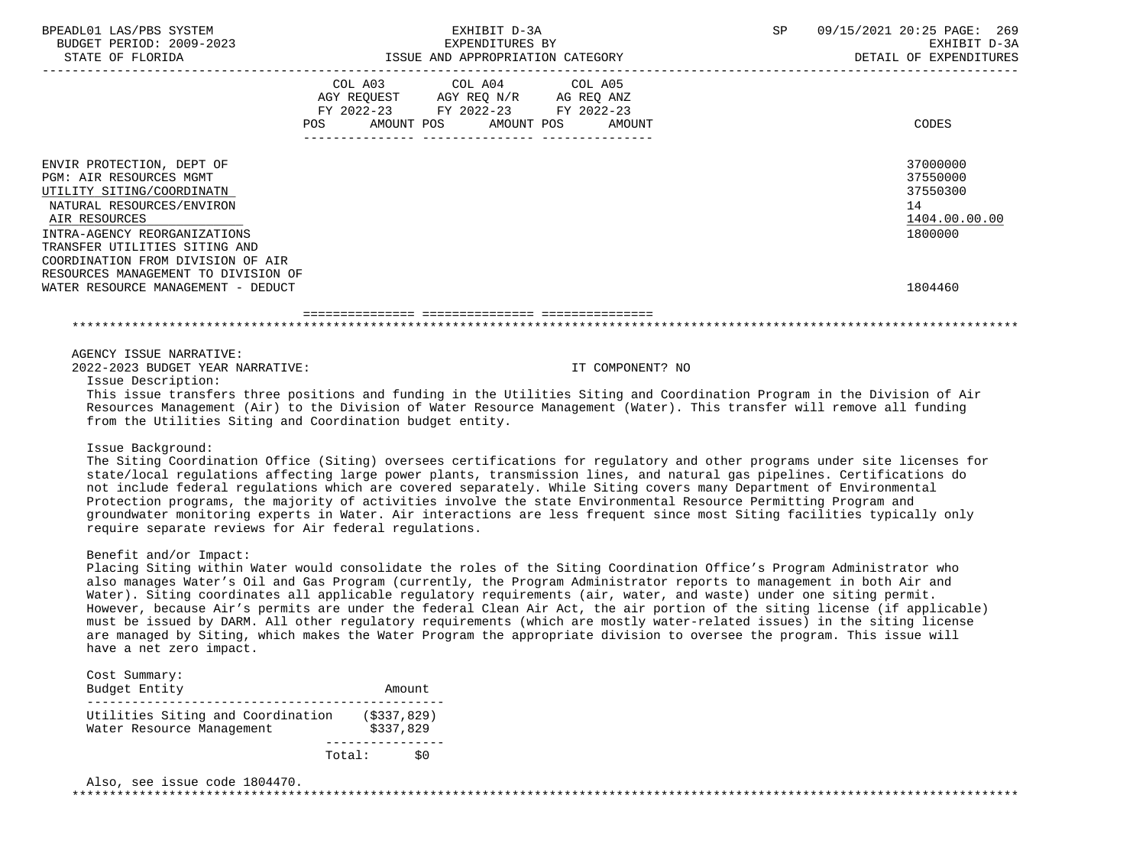| BPEADL01 LAS/PBS SYSTEM<br>BUDGET PERIOD: 2009-2023<br>STATE OF FLORIDA                                                                                                                                                                                                      | EXHIBIT D-3A<br>EXPENDITURES BY<br>ISSUE AND APPROPRIATION CATEGORY                                                                                                                                                                                                                                                                                                                                                                                                                                                                                                                                                                                                                                                                                  | SP<br>09/15/2021 20:25 PAGE: 269<br>EXHIBIT D-3A<br>DETAIL OF EXPENDITURES |
|------------------------------------------------------------------------------------------------------------------------------------------------------------------------------------------------------------------------------------------------------------------------------|------------------------------------------------------------------------------------------------------------------------------------------------------------------------------------------------------------------------------------------------------------------------------------------------------------------------------------------------------------------------------------------------------------------------------------------------------------------------------------------------------------------------------------------------------------------------------------------------------------------------------------------------------------------------------------------------------------------------------------------------------|----------------------------------------------------------------------------|
|                                                                                                                                                                                                                                                                              | COL A03 COL A04 COL A05<br>AGY REQUEST AGY REQ N/R AG REQ ANZ<br>FY 2022-23 FY 2022-23 FY 2022-23<br>AMOUNT POS<br>AMOUNT POS<br>POS<br>AMOUNT                                                                                                                                                                                                                                                                                                                                                                                                                                                                                                                                                                                                       | CODES                                                                      |
| ENVIR PROTECTION, DEPT OF<br>PGM: AIR RESOURCES MGMT<br>UTILITY SITING/COORDINATN<br>NATURAL RESOURCES/ENVIRON<br>AIR RESOURCES<br>INTRA-AGENCY REORGANIZATIONS<br>TRANSFER UTILITIES SITING AND<br>COORDINATION FROM DIVISION OF AIR<br>RESOURCES MANAGEMENT TO DIVISION OF |                                                                                                                                                                                                                                                                                                                                                                                                                                                                                                                                                                                                                                                                                                                                                      | 37000000<br>37550000<br>37550300<br>14<br>1404.00.00.00<br>1800000         |
| WATER RESOURCE MANAGEMENT - DEDUCT                                                                                                                                                                                                                                           |                                                                                                                                                                                                                                                                                                                                                                                                                                                                                                                                                                                                                                                                                                                                                      | 1804460                                                                    |
|                                                                                                                                                                                                                                                                              |                                                                                                                                                                                                                                                                                                                                                                                                                                                                                                                                                                                                                                                                                                                                                      |                                                                            |
|                                                                                                                                                                                                                                                                              |                                                                                                                                                                                                                                                                                                                                                                                                                                                                                                                                                                                                                                                                                                                                                      |                                                                            |
| AGENCY ISSUE NARRATIVE:<br>2022-2023 BUDGET YEAR NARRATIVE:                                                                                                                                                                                                                  | IT COMPONENT? NO                                                                                                                                                                                                                                                                                                                                                                                                                                                                                                                                                                                                                                                                                                                                     |                                                                            |
| Issue Description:<br>from the Utilities Siting and Coordination budget entity.                                                                                                                                                                                              | This issue transfers three positions and funding in the Utilities Siting and Coordination Program in the Division of Air<br>Resources Management (Air) to the Division of Water Resource Management (Water). This transfer will remove all funding                                                                                                                                                                                                                                                                                                                                                                                                                                                                                                   |                                                                            |
| Issue Background:<br>require separate reviews for Air federal regulations.                                                                                                                                                                                                   | The Siting Coordination Office (Siting) oversees certifications for regulatory and other programs under site licenses for<br>state/local regulations affecting large power plants, transmission lines, and natural gas pipelines. Certifications do<br>not include federal regulations which are covered separately. While Siting covers many Department of Environmental<br>Protection programs, the majority of activities involve the state Environmental Resource Permitting Program and<br>groundwater monitoring experts in Water. Air interactions are less frequent since most Siting facilities typically only                                                                                                                              |                                                                            |
| Benefit and/or Impact:<br>have a net zero impact.                                                                                                                                                                                                                            | Placing Siting within Water would consolidate the roles of the Siting Coordination Office's Program Administrator who<br>also manages Water's Oil and Gas Program (currently, the Program Administrator reports to management in both Air and<br>Water). Siting coordinates all applicable regulatory requirements (air, water, and waste) under one siting permit.<br>However, because Air's permits are under the federal Clean Air Act, the air portion of the siting license (if applicable)<br>must be issued by DARM. All other regulatory requirements (which are mostly water-related issues) in the siting license<br>are managed by Siting, which makes the Water Program the appropriate division to oversee the program. This issue will |                                                                            |
| Cost Summary:<br>Budget Entity                                                                                                                                                                                                                                               | Amount                                                                                                                                                                                                                                                                                                                                                                                                                                                                                                                                                                                                                                                                                                                                               |                                                                            |
| Utilities Siting and Coordination<br>Water Resource Management                                                                                                                                                                                                               | ( \$337, 829)<br>\$337,829                                                                                                                                                                                                                                                                                                                                                                                                                                                                                                                                                                                                                                                                                                                           |                                                                            |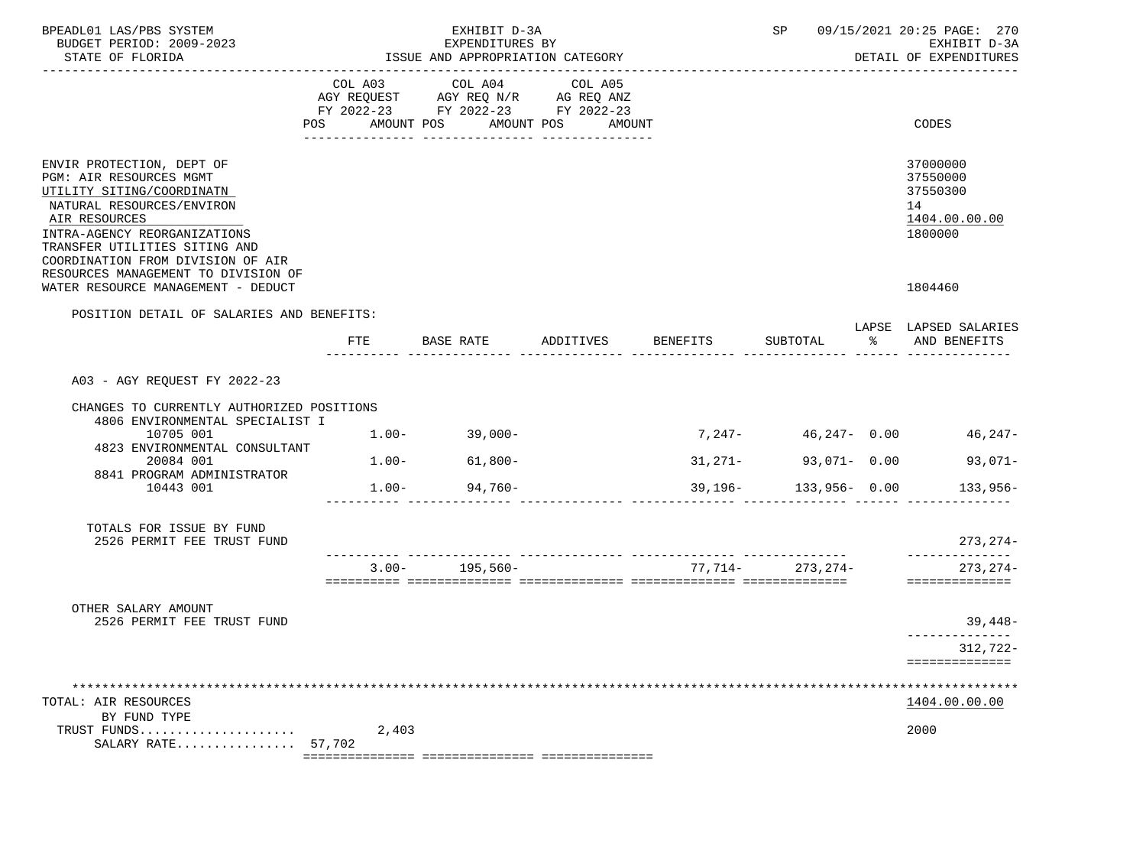| BPEADL01 LAS/PBS SYSTEM<br>BUDGET PERIOD: 2009-2023<br>STATE OF FLORIDA<br>------------------------                                                                                                                                                                          |                |           | EXHIBIT D-3A<br>EXPENDITURES BY<br>ISSUE AND APPROPRIATION CATEGORY                       |                              |                 |                           |               | SP 09/15/2021 20:25 PAGE: 270<br>EXHIBIT D-3A<br>DETAIL OF EXPENDITURES |
|------------------------------------------------------------------------------------------------------------------------------------------------------------------------------------------------------------------------------------------------------------------------------|----------------|-----------|-------------------------------------------------------------------------------------------|------------------------------|-----------------|---------------------------|---------------|-------------------------------------------------------------------------|
|                                                                                                                                                                                                                                                                              | POS AMOUNT POS |           | COL A03 COL A04<br>AGY REQUEST AGY REQ N/R AG REQ ANZ<br>FY 2022-23 FY 2022-23 FY 2022-23 | COL A05<br>AMOUNT POS AMOUNT |                 |                           |               | CODES                                                                   |
| ENVIR PROTECTION, DEPT OF<br>PGM: AIR RESOURCES MGMT<br>UTILITY SITING/COORDINATN<br>NATURAL RESOURCES/ENVIRON<br>AIR RESOURCES<br>INTRA-AGENCY REORGANIZATIONS<br>TRANSFER UTILITIES SITING AND<br>COORDINATION FROM DIVISION OF AIR<br>RESOURCES MANAGEMENT TO DIVISION OF |                |           |                                                                                           |                              |                 |                           |               | 37000000<br>37550000<br>37550300<br>14<br>1404.00.00.00<br>1800000      |
| WATER RESOURCE MANAGEMENT - DEDUCT                                                                                                                                                                                                                                           |                |           |                                                                                           |                              |                 |                           |               | 1804460                                                                 |
| POSITION DETAIL OF SALARIES AND BENEFITS:                                                                                                                                                                                                                                    | FTE            | BASE RATE |                                                                                           | ADDITIVES                    | <b>BENEFITS</b> | SUBTOTAL                  | $\frac{1}{2}$ | LAPSE LAPSED SALARIES<br>AND BENEFITS                                   |
| A03 - AGY REQUEST FY 2022-23                                                                                                                                                                                                                                                 |                |           |                                                                                           |                              |                 |                           |               |                                                                         |
| CHANGES TO CURRENTLY AUTHORIZED POSITIONS<br>4806 ENVIRONMENTAL SPECIALIST I<br>10705 001                                                                                                                                                                                    |                |           | $1.00 - 39,000 -$                                                                         |                              |                 | $7,247-$<br>46,247- 0.00  |               | 46,247-                                                                 |
| 4823 ENVIRONMENTAL CONSULTANT<br>20084 001                                                                                                                                                                                                                                   |                |           | $1.00 - 61,800 -$                                                                         |                              |                 | 93,071- 0.00<br>$31,271-$ |               | 93,071-                                                                 |
| 8841 PROGRAM ADMINISTRATOR<br>10443 001                                                                                                                                                                                                                                      |                |           | $1.00 - 94,760 -$                                                                         |                              |                 | $39,196 - 133,956 - 0.00$ |               | $133,956-$                                                              |
| TOTALS FOR ISSUE BY FUND<br>2526 PERMIT FEE TRUST FUND                                                                                                                                                                                                                       |                |           |                                                                                           |                              |                 |                           |               | $273, 274-$                                                             |
|                                                                                                                                                                                                                                                                              |                |           | $3.00 - 195.560 -$                                                                        |                              |                 | 77,714- 273,274-          |               | --------------<br>$273, 274-$<br>==============                         |
| OTHER SALARY AMOUNT                                                                                                                                                                                                                                                          |                |           |                                                                                           |                              |                 |                           |               |                                                                         |
| 2526 PERMIT FEE TRUST FUND                                                                                                                                                                                                                                                   |                |           |                                                                                           |                              |                 |                           |               | $39,448-$                                                               |
|                                                                                                                                                                                                                                                                              |                |           |                                                                                           |                              |                 |                           |               | 312,722-<br>==============                                              |
| *******<br>TOTAL: AIR RESOURCES                                                                                                                                                                                                                                              |                |           |                                                                                           |                              |                 |                           |               | *********************************<br>1404.00.00.00                      |
| BY FUND TYPE<br>TRUST FUNDS<br>SALARY RATE $57.702$                                                                                                                                                                                                                          |                | 2,403     |                                                                                           |                              |                 |                           |               | 2000                                                                    |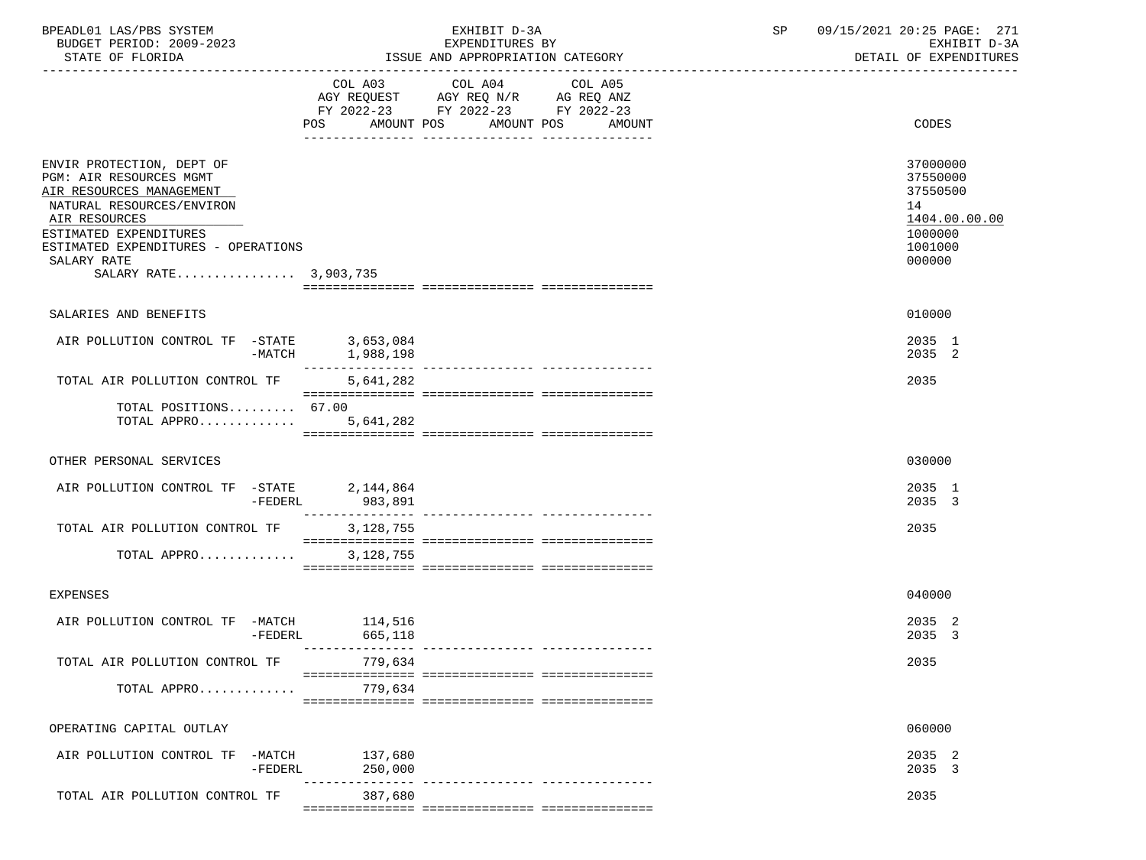| BPEADL01 LAS/PBS SYSTEM<br>BUDGET PERIOD: 2009-2023<br>STATE OF FLORIDA                                                                                                                                                                 |                                      | EXHIBIT D-3A<br>EXPENDITURES BY<br>ISSUE AND APPROPRIATION CATEGORY                                                | SP                | 09/15/2021 20:25 PAGE: 271<br>EXHIBIT D-3A<br>DETAIL OF EXPENDITURES |                                                                                         |
|-----------------------------------------------------------------------------------------------------------------------------------------------------------------------------------------------------------------------------------------|--------------------------------------|--------------------------------------------------------------------------------------------------------------------|-------------------|----------------------------------------------------------------------|-----------------------------------------------------------------------------------------|
|                                                                                                                                                                                                                                         | POS                                  | COL A03 COL A04<br>AGY REQUEST AGY REQ N/R AG REQ ANZ<br>FY 2022-23 FY 2022-23 FY 2022-23<br>AMOUNT POS AMOUNT POS | COL A05<br>AMOUNT |                                                                      | CODES                                                                                   |
| ENVIR PROTECTION, DEPT OF<br>PGM: AIR RESOURCES MGMT<br>AIR RESOURCES MANAGEMENT<br>NATURAL RESOURCES/ENVIRON<br>AIR RESOURCES<br>ESTIMATED EXPENDITURES<br>ESTIMATED EXPENDITURES - OPERATIONS<br>SALARY RATE<br>SALARY RATE 3,903,735 |                                      |                                                                                                                    |                   |                                                                      | 37000000<br>37550000<br>37550500<br>14<br>1404.00.00.00<br>1000000<br>1001000<br>000000 |
| SALARIES AND BENEFITS                                                                                                                                                                                                                   |                                      |                                                                                                                    |                   |                                                                      | 010000                                                                                  |
| AIR POLLUTION CONTROL TF -STATE 3,653,084<br>-MATCH 1,988,198                                                                                                                                                                           |                                      |                                                                                                                    |                   |                                                                      | 2035 1<br>2035 2                                                                        |
| TOTAL AIR POLLUTION CONTROL TF                                                                                                                                                                                                          | 5,641,282                            |                                                                                                                    |                   |                                                                      | 2035                                                                                    |
| TOTAL POSITIONS $67.00$<br>TOTAL APPRO                                                                                                                                                                                                  | 5,641,282                            |                                                                                                                    |                   |                                                                      |                                                                                         |
| OTHER PERSONAL SERVICES                                                                                                                                                                                                                 |                                      |                                                                                                                    |                   |                                                                      | 030000                                                                                  |
| AIR POLLUTION CONTROL TF -STATE 2,144,864<br>-FEDERL                                                                                                                                                                                    | 983,891                              |                                                                                                                    |                   |                                                                      | 2035 1<br>2035 3                                                                        |
| TOTAL AIR POLLUTION CONTROL TF<br>TOTAL APPRO                                                                                                                                                                                           | $--------$<br>3,128,755<br>3,128,755 |                                                                                                                    |                   |                                                                      | 2035                                                                                    |
|                                                                                                                                                                                                                                         |                                      |                                                                                                                    |                   |                                                                      |                                                                                         |
| <b>EXPENSES</b>                                                                                                                                                                                                                         |                                      |                                                                                                                    |                   |                                                                      | 040000                                                                                  |
| AIR POLLUTION CONTROL TF -MATCH 114,516<br>$-FEDERL$                                                                                                                                                                                    | 665,118                              |                                                                                                                    |                   |                                                                      | 2035 2<br>2035 3                                                                        |
| TOTAL AIR POLLUTION CONTROL TF                                                                                                                                                                                                          | 779,634                              |                                                                                                                    |                   |                                                                      | 2035                                                                                    |
| TOTAL APPRO                                                                                                                                                                                                                             | 779,634                              |                                                                                                                    |                   |                                                                      |                                                                                         |
| OPERATING CAPITAL OUTLAY                                                                                                                                                                                                                |                                      |                                                                                                                    |                   |                                                                      | 060000                                                                                  |
| AIR POLLUTION CONTROL TF -MATCH<br>$-FEDERL$                                                                                                                                                                                            | 137,680<br>250,000                   |                                                                                                                    |                   |                                                                      | 2035 2<br>2035 3                                                                        |
| TOTAL AIR POLLUTION CONTROL TF                                                                                                                                                                                                          | 387,680                              | ---------------- ----------------                                                                                  |                   |                                                                      | 2035                                                                                    |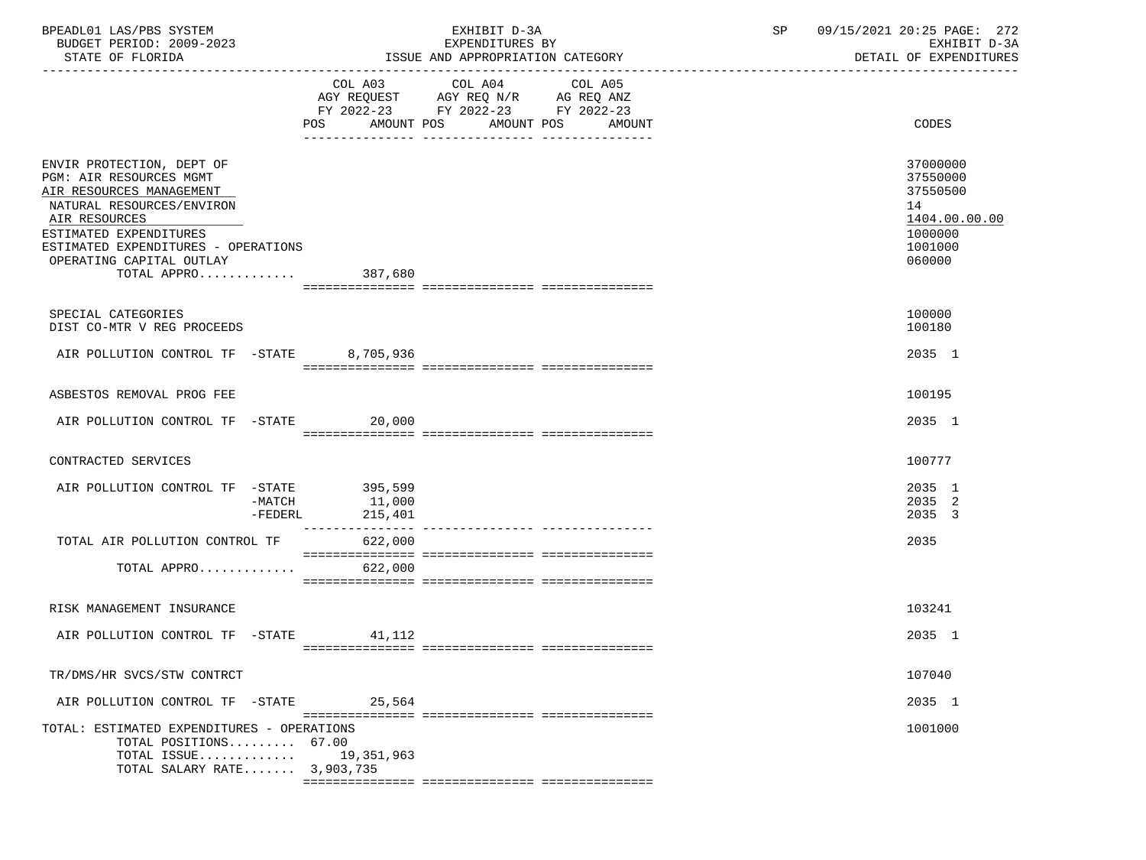| BPEADL01 LAS/PBS SYSTEM<br>BUDGET PERIOD: 2009-2023<br>STATE OF FLORIDA                                                                                                                                                                            | ISSUE AND APPROPRIATION CATEGORY | 09/15/2021 20:25 PAGE: 272<br>SP<br>EXHIBIT D-3A<br>DETAIL OF EXPENDITURES                                 |                                                                                         |
|----------------------------------------------------------------------------------------------------------------------------------------------------------------------------------------------------------------------------------------------------|----------------------------------|------------------------------------------------------------------------------------------------------------|-----------------------------------------------------------------------------------------|
|                                                                                                                                                                                                                                                    |                                  | COL A03 COL A04<br>COL A05                                                                                 |                                                                                         |
|                                                                                                                                                                                                                                                    |                                  | AGY REQUEST AGY REQ N/R AG REQ ANZ<br>FY 2022-23 FY 2022-23 FY 2022-23<br>POS AMOUNT POS AMOUNT POS AMOUNT | CODES                                                                                   |
| ENVIR PROTECTION, DEPT OF<br>PGM: AIR RESOURCES MGMT<br>AIR RESOURCES MANAGEMENT<br>NATURAL RESOURCES/ENVIRON<br>AIR RESOURCES<br>ESTIMATED EXPENDITURES<br>ESTIMATED EXPENDITURES - OPERATIONS<br>OPERATING CAPITAL OUTLAY<br>TOTAL APPRO 387,680 |                                  |                                                                                                            | 37000000<br>37550000<br>37550500<br>14<br>1404.00.00.00<br>1000000<br>1001000<br>060000 |
| SPECIAL CATEGORIES<br>DIST CO-MTR V REG PROCEEDS                                                                                                                                                                                                   |                                  |                                                                                                            | 100000<br>100180                                                                        |
| AIR POLLUTION CONTROL TF -STATE 8,705,936                                                                                                                                                                                                          |                                  |                                                                                                            | 2035 1                                                                                  |
| ASBESTOS REMOVAL PROG FEE                                                                                                                                                                                                                          |                                  |                                                                                                            | 100195                                                                                  |
| AIR POLLUTION CONTROL TF -STATE 20,000                                                                                                                                                                                                             |                                  |                                                                                                            | 2035 1                                                                                  |
| CONTRACTED SERVICES                                                                                                                                                                                                                                |                                  |                                                                                                            | 100777                                                                                  |
| AIR POLLUTION CONTROL TF -STATE 395,599<br>-MATCH                                                                                                                                                                                                  | 11,000<br>$-FEDERL$ 215,401      |                                                                                                            | 2035 1<br>2035 2<br>2035 3                                                              |
| TOTAL AIR POLLUTION CONTROL TF 622,000                                                                                                                                                                                                             |                                  |                                                                                                            | 2035                                                                                    |
| TOTAL APPRO                                                                                                                                                                                                                                        | 622,000                          |                                                                                                            |                                                                                         |
| RISK MANAGEMENT INSURANCE                                                                                                                                                                                                                          |                                  |                                                                                                            | 103241                                                                                  |
| AIR POLLUTION CONTROL TF -STATE 41,112                                                                                                                                                                                                             |                                  |                                                                                                            | 2035 1                                                                                  |
| TR/DMS/HR SVCS/STW CONTRCT                                                                                                                                                                                                                         |                                  |                                                                                                            | 107040                                                                                  |
| AIR POLLUTION CONTROL TF -STATE                                                                                                                                                                                                                    | 25,564                           |                                                                                                            | 2035 1                                                                                  |
| TOTAL: ESTIMATED EXPENDITURES - OPERATIONS<br>TOTAL POSITIONS 67.00<br>TOTAL ISSUE<br>TOTAL SALARY RATE 3,903,735                                                                                                                                  | 19,351,963                       |                                                                                                            | 1001000                                                                                 |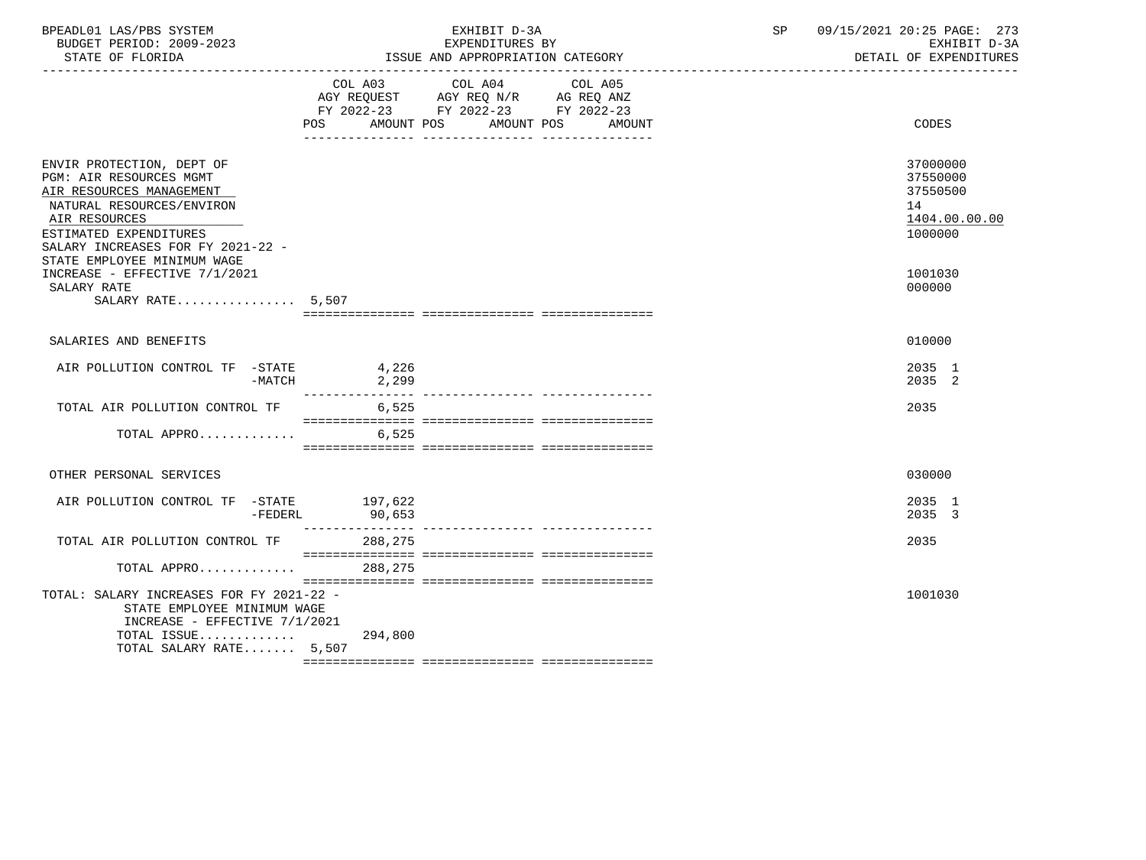| BPEADL01 LAS/PBS SYSTEM<br>BUDGET PERIOD: 2009-2023<br>STATE OF FLORIDA                                                                                                                                                                                       |                 | EXHIBIT D-3A<br>EXPENDITURES BY<br>ISSUE AND APPROPRIATION CATEGORY                                                          | SP | 09/15/2021 20:25 PAGE: 273<br>EXHIBIT D-3A<br>DETAIL OF EXPENDITURES          |
|---------------------------------------------------------------------------------------------------------------------------------------------------------------------------------------------------------------------------------------------------------------|-----------------|------------------------------------------------------------------------------------------------------------------------------|----|-------------------------------------------------------------------------------|
|                                                                                                                                                                                                                                                               | POS AMOUNT POS  | COL A03 COL A04<br>COL A05<br>AGY REQUEST AGY REQ N/R AG REQ ANZ<br>FY 2022-23 FY 2022-23 FY 2022-23<br>AMOUNT POS<br>AMOUNT |    | CODES                                                                         |
| ENVIR PROTECTION, DEPT OF<br>PGM: AIR RESOURCES MGMT<br>AIR RESOURCES MANAGEMENT<br>NATURAL RESOURCES/ENVIRON<br>AIR RESOURCES<br>ESTIMATED EXPENDITURES<br>SALARY INCREASES FOR FY 2021-22 -<br>STATE EMPLOYEE MINIMUM WAGE<br>INCREASE - EFFECTIVE 7/1/2021 |                 |                                                                                                                              |    | 37000000<br>37550000<br>37550500<br>14<br>1404.00.00.00<br>1000000<br>1001030 |
| SALARY RATE<br>SALARY RATE 5,507                                                                                                                                                                                                                              |                 |                                                                                                                              |    | 000000                                                                        |
| SALARIES AND BENEFITS                                                                                                                                                                                                                                         |                 |                                                                                                                              |    | 010000                                                                        |
| AIR POLLUTION CONTROL TF -STATE<br>-MATCH                                                                                                                                                                                                                     | 4,226<br>2, 299 |                                                                                                                              |    | 2035 1<br>2035 2                                                              |
| TOTAL AIR POLLUTION CONTROL TF 6,525                                                                                                                                                                                                                          |                 |                                                                                                                              |    | 2035                                                                          |
| TOTAL APPRO                                                                                                                                                                                                                                                   | 6,525           |                                                                                                                              |    |                                                                               |
| OTHER PERSONAL SERVICES                                                                                                                                                                                                                                       |                 |                                                                                                                              |    | 030000                                                                        |
| AIR POLLUTION CONTROL TF -STATE 197,622<br>$-FEDERL$                                                                                                                                                                                                          | 90,653          |                                                                                                                              |    | 2035 1<br>2035 3                                                              |
| TOTAL AIR POLLUTION CONTROL TF                                                                                                                                                                                                                                | 288,275         |                                                                                                                              |    | 2035                                                                          |
| TOTAL APPRO                                                                                                                                                                                                                                                   | 288,275         |                                                                                                                              |    |                                                                               |
| TOTAL: SALARY INCREASES FOR FY 2021-22 -<br>STATE EMPLOYEE MINIMUM WAGE<br>INCREASE - EFFECTIVE $7/1/2021$<br>TOTAL ISSUE $294,800$<br>TOTAL SALARY RATE 5,507                                                                                                |                 |                                                                                                                              |    | 1001030                                                                       |
|                                                                                                                                                                                                                                                               |                 |                                                                                                                              |    |                                                                               |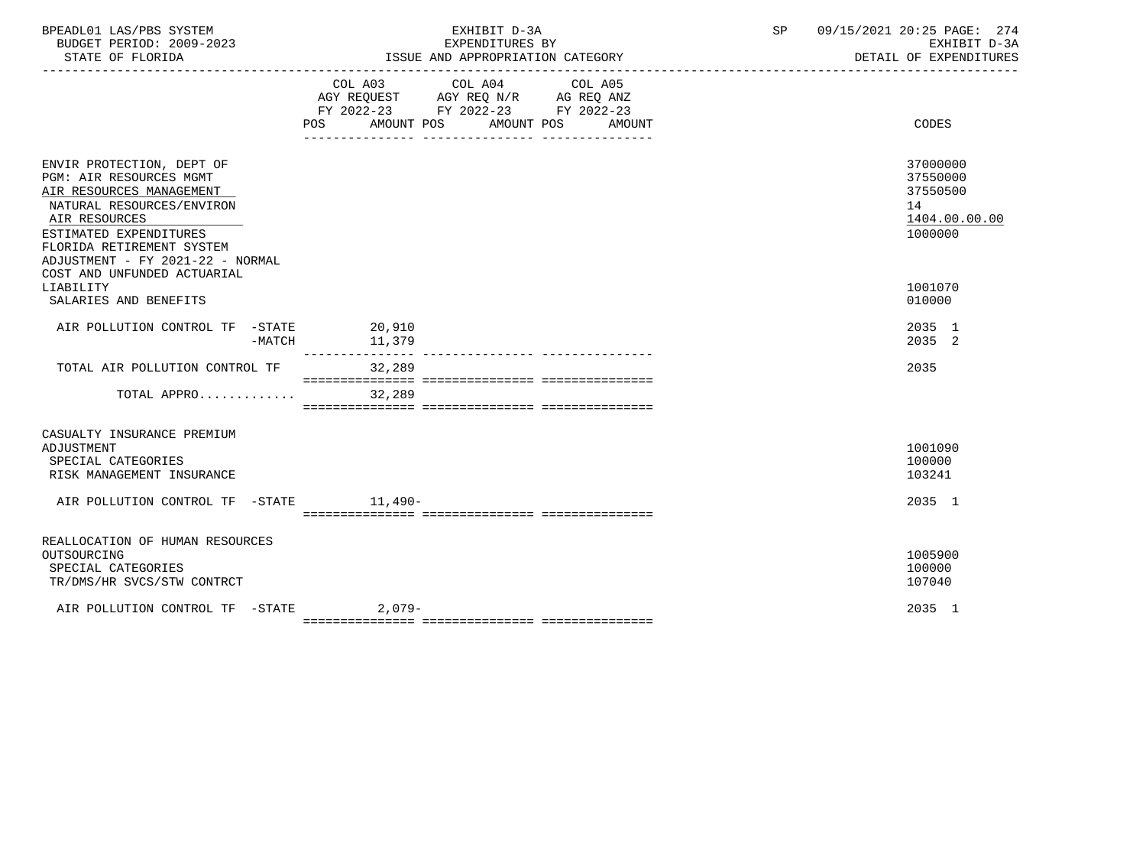| BPEADL01 LAS/PBS SYSTEM<br>BUDGET PERIOD: 2009-2023<br>STATE OF FLORIDA                                                                                                                                                   | EXHIBIT D-3A<br>EXPENDITURES BY<br>ISSUE AND APPROPRIATION CATEGORY                                                                                  | 09/15/2021 20:25 PAGE: 274<br>SP<br>EXHIBIT D-3A<br>DETAIL OF EXPENDITURES |
|---------------------------------------------------------------------------------------------------------------------------------------------------------------------------------------------------------------------------|------------------------------------------------------------------------------------------------------------------------------------------------------|----------------------------------------------------------------------------|
|                                                                                                                                                                                                                           | COL A03<br>COL A04<br>COL A05<br>AGY REQUEST AGY REQ N/R AG REQ ANZ<br>FY 2022-23 FY 2022-23 FY 2022-23<br>POS<br>AMOUNT POS<br>AMOUNT POS<br>AMOUNT | CODES                                                                      |
| ENVIR PROTECTION, DEPT OF<br>PGM: AIR RESOURCES MGMT<br>AIR RESOURCES MANAGEMENT<br>NATURAL RESOURCES/ENVIRON<br>AIR RESOURCES<br>ESTIMATED EXPENDITURES<br>FLORIDA RETIREMENT SYSTEM<br>ADJUSTMENT - FY 2021-22 - NORMAL |                                                                                                                                                      | 37000000<br>37550000<br>37550500<br>14<br>1404.00.00.00<br>1000000         |
| COST AND UNFUNDED ACTUARIAL<br>LIABILITY<br>SALARIES AND BENEFITS                                                                                                                                                         |                                                                                                                                                      | 1001070<br>010000                                                          |
| AIR POLLUTION CONTROL TF -STATE 20,910<br>$-MATCH$                                                                                                                                                                        | 11,379<br>---------------                                                                                                                            | 2035 1<br>2035 2                                                           |
| TOTAL AIR POLLUTION CONTROL TF                                                                                                                                                                                            | 32,289                                                                                                                                               | 2035                                                                       |
| TOTAL APPRO                                                                                                                                                                                                               | 32,289                                                                                                                                               |                                                                            |
| CASUALTY INSURANCE PREMIUM<br>ADJUSTMENT<br>SPECIAL CATEGORIES<br>RISK MANAGEMENT INSURANCE                                                                                                                               |                                                                                                                                                      | 1001090<br>100000<br>103241                                                |
| AIR POLLUTION CONTROL TF -STATE 11,490-                                                                                                                                                                                   |                                                                                                                                                      | 2035 1                                                                     |
| REALLOCATION OF HUMAN RESOURCES<br>OUTSOURCING<br>SPECIAL CATEGORIES<br>TR/DMS/HR SVCS/STW CONTRCT                                                                                                                        |                                                                                                                                                      | 1005900<br>100000<br>107040                                                |
| AIR POLLUTION CONTROL TF -STATE 2,079-                                                                                                                                                                                    |                                                                                                                                                      | 2035 1                                                                     |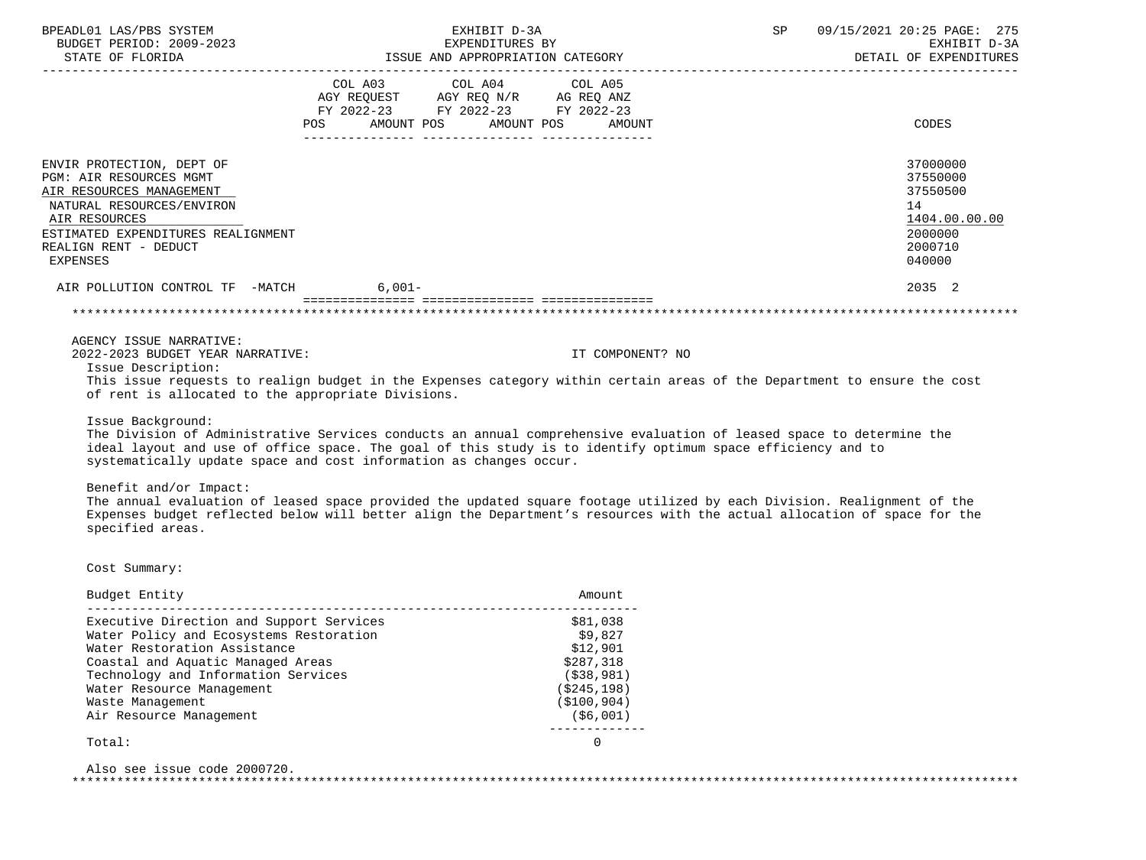| BPEADL01 LAS/PBS SYSTEM<br>BUDGET PERIOD: 2009-2023<br>STATE OF FLORIDA                                                                                                                                   | EXHIBIT D-3A<br>EXPENDITURES BY<br>ISSUE AND APPROPRIATION CATEGORY                                                                   |                  | SP | 09/15/2021 20:25 PAGE: 275<br>EXHIBIT D-3A<br>DETAIL OF EXPENDITURES                    |
|-----------------------------------------------------------------------------------------------------------------------------------------------------------------------------------------------------------|---------------------------------------------------------------------------------------------------------------------------------------|------------------|----|-----------------------------------------------------------------------------------------|
|                                                                                                                                                                                                           | COL A03 COL A04 COL A05<br>AGY REQUEST AGY REQ N/R AG REQ ANZ<br>FY 2022-23 FY 2022-23 FY 2022-23<br>POS AMOUNT POS AMOUNT POS AMOUNT |                  |    | CODES                                                                                   |
| ENVIR PROTECTION, DEPT OF<br>PGM: AIR RESOURCES MGMT<br>AIR RESOURCES MANAGEMENT<br>NATURAL RESOURCES/ENVIRON<br>AIR RESOURCES<br>ESTIMATED EXPENDITURES REALIGNMENT<br>REALIGN RENT - DEDUCT<br>EXPENSES |                                                                                                                                       |                  |    | 37000000<br>37550000<br>37550500<br>14<br>1404.00.00.00<br>2000000<br>2000710<br>040000 |
| AIR POLLUTION CONTROL TF -MATCH 6,001-                                                                                                                                                                    |                                                                                                                                       |                  |    | 2035 2                                                                                  |
|                                                                                                                                                                                                           |                                                                                                                                       |                  |    |                                                                                         |
| AGENCY ISSUE NARRATIVE:<br>2022-2023 BUDGET YEAR NARRATIVE:<br>Issue Description:                                                                                                                         | Mbia iaani niamisaka ka niilimu budaak in kba Muningara askininginithin annkilu iniin af kba Muninguk ka ininning kba asak            | IT COMPONENT? NO |    |                                                                                         |

 This issue requests to realign budget in the Expenses category within certain areas of the Department to ensure the cost of rent is allocated to the appropriate Divisions.

Issue Background:

 The Division of Administrative Services conducts an annual comprehensive evaluation of leased space to determine the ideal layout and use of office space. The goal of this study is to identify optimum space efficiency and to systematically update space and cost information as changes occur.

Benefit and/or Impact:

 The annual evaluation of leased space provided the updated square footage utilized by each Division. Realignment of the Expenses budget reflected below will better align the Department's resources with the actual allocation of space for the specified areas.

Cost Summary:

| Budget Entity                            | Amount.       |
|------------------------------------------|---------------|
| Executive Direction and Support Services | \$81,038      |
| Water Policy and Ecosystems Restoration  | \$9,827       |
| Water Restoration Assistance             | \$12.901      |
| Coastal and Aquatic Managed Areas        | \$287,318     |
| Technology and Information Services      | (538, 981)    |
| Water Resource Management                | (\$245,198)   |
| Waste Management                         | ( \$100, 904) |
| Air Resource Management                  | (\$6,001)     |
|                                          |               |

Total: 0

 Also see issue code 2000720. \*\*\*\*\*\*\*\*\*\*\*\*\*\*\*\*\*\*\*\*\*\*\*\*\*\*\*\*\*\*\*\*\*\*\*\*\*\*\*\*\*\*\*\*\*\*\*\*\*\*\*\*\*\*\*\*\*\*\*\*\*\*\*\*\*\*\*\*\*\*\*\*\*\*\*\*\*\*\*\*\*\*\*\*\*\*\*\*\*\*\*\*\*\*\*\*\*\*\*\*\*\*\*\*\*\*\*\*\*\*\*\*\*\*\*\*\*\*\*\*\*\*\*\*\*\*\*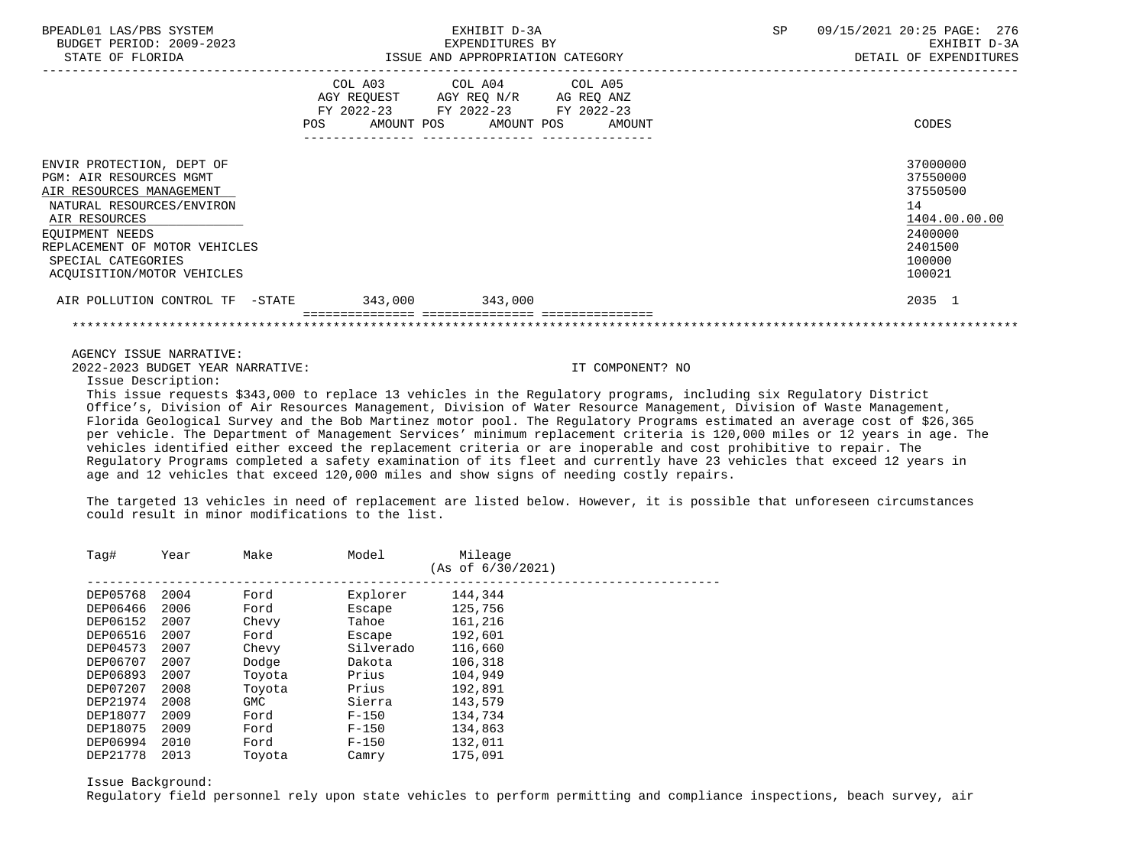| BPEADL01 LAS/PBS SYSTEM<br>BUDGET PERIOD: 2009-2023<br>STATE OF FLORIDA                                                                                                                                                                       | EXHIBIT D-3A<br>EXPENDITURES BY<br>EXPENDITURES BY<br>ISSUE AND APPROPRIATION CATEGORY |  |                                                                                                                                | SP               | 09/15/2021 20:25 PAGE: 276<br>EXHIBIT D-3A<br>DETAIL OF EXPENDITURES |                                                                                                   |
|-----------------------------------------------------------------------------------------------------------------------------------------------------------------------------------------------------------------------------------------------|----------------------------------------------------------------------------------------|--|--------------------------------------------------------------------------------------------------------------------------------|------------------|----------------------------------------------------------------------|---------------------------------------------------------------------------------------------------|
|                                                                                                                                                                                                                                               |                                                                                        |  | COL A03 COL A04 COL A05<br>AGY REQUEST AGY REQ N/R AG REQ ANZ<br>FY 2022-23 FY 2022-23 FY 2022-23<br>POS AMOUNT POS AMOUNT POS | AMOUNT           |                                                                      | CODES                                                                                             |
| ENVIR PROTECTION, DEPT OF<br><b>PGM: AIR RESOURCES MGMT</b><br>AIR RESOURCES MANAGEMENT<br>NATURAL RESOURCES/ENVIRON<br>AIR RESOURCES<br>EOUIPMENT NEEDS<br>REPLACEMENT OF MOTOR VEHICLES<br>SPECIAL CATEGORIES<br>ACQUISITION/MOTOR VEHICLES |                                                                                        |  |                                                                                                                                |                  |                                                                      | 37000000<br>37550000<br>37550500<br>14<br>1404.00.00.00<br>2400000<br>2401500<br>100000<br>100021 |
| AIR POLLUTION CONTROL TF -STATE 343,000 343,000                                                                                                                                                                                               |                                                                                        |  |                                                                                                                                |                  |                                                                      | 2035 1                                                                                            |
|                                                                                                                                                                                                                                               |                                                                                        |  |                                                                                                                                |                  |                                                                      |                                                                                                   |
| AGENCY ISSUE NARRATIVE:                                                                                                                                                                                                                       |                                                                                        |  |                                                                                                                                |                  |                                                                      |                                                                                                   |
| 2022-2023 BUDGET YEAR NARRATIVE:<br>Issue Description:                                                                                                                                                                                        |                                                                                        |  |                                                                                                                                | IT COMPONENT? NO |                                                                      |                                                                                                   |
| This issue requests \$343,000 to replace 13 vehicles in the Requlatory programs, including six Requlatory District                                                                                                                            |                                                                                        |  |                                                                                                                                |                  |                                                                      |                                                                                                   |

 Office's, Division of Air Resources Management, Division of Water Resource Management, Division of Waste Management, Florida Geological Survey and the Bob Martinez motor pool. The Regulatory Programs estimated an average cost of \$26,365 per vehicle. The Department of Management Services' minimum replacement criteria is 120,000 miles or 12 years in age. The vehicles identified either exceed the replacement criteria or are inoperable and cost prohibitive to repair. The Regulatory Programs completed a safety examination of its fleet and currently have 23 vehicles that exceed 12 years in age and 12 vehicles that exceed 120,000 miles and show signs of needing costly repairs.

 The targeted 13 vehicles in need of replacement are listed below. However, it is possible that unforeseen circumstances could result in minor modifications to the list.

| Tag#     | Year | Make       | Model     | Mileage<br>(As of 6/30/2021) |
|----------|------|------------|-----------|------------------------------|
| DEP05768 | 2004 | Ford       | Explorer  | 144,344                      |
| DEP06466 | 2006 | Ford       | Escape    | 125,756                      |
| DEP06152 | 2007 | Chevy      | Tahoe     | 161,216                      |
| DEP06516 | 2007 | Ford       | Escape    | 192,601                      |
| DEP04573 | 2007 | Chevy      | Silverado | 116,660                      |
| DEP06707 | 2007 | Dodge      | Dakota    | 106,318                      |
| DEP06893 | 2007 | Toyota     | Prius     | 104,949                      |
| DEP07207 | 2008 | Toyota     | Prius     | 192,891                      |
| DEP21974 | 2008 | <b>GMC</b> | Sierra    | 143,579                      |
| DEP18077 | 2009 | Ford       | $F - 150$ | 134,734                      |
| DEP18075 | 2009 | Ford       | $F - 150$ | 134,863                      |
| DEP06994 | 2010 | Ford       | $F - 150$ | 132,011                      |
| DEP21778 | 2013 | Toyota     | Camry     | 175,091                      |

Issue Background:

Regulatory field personnel rely upon state vehicles to perform permitting and compliance inspections, beach survey, air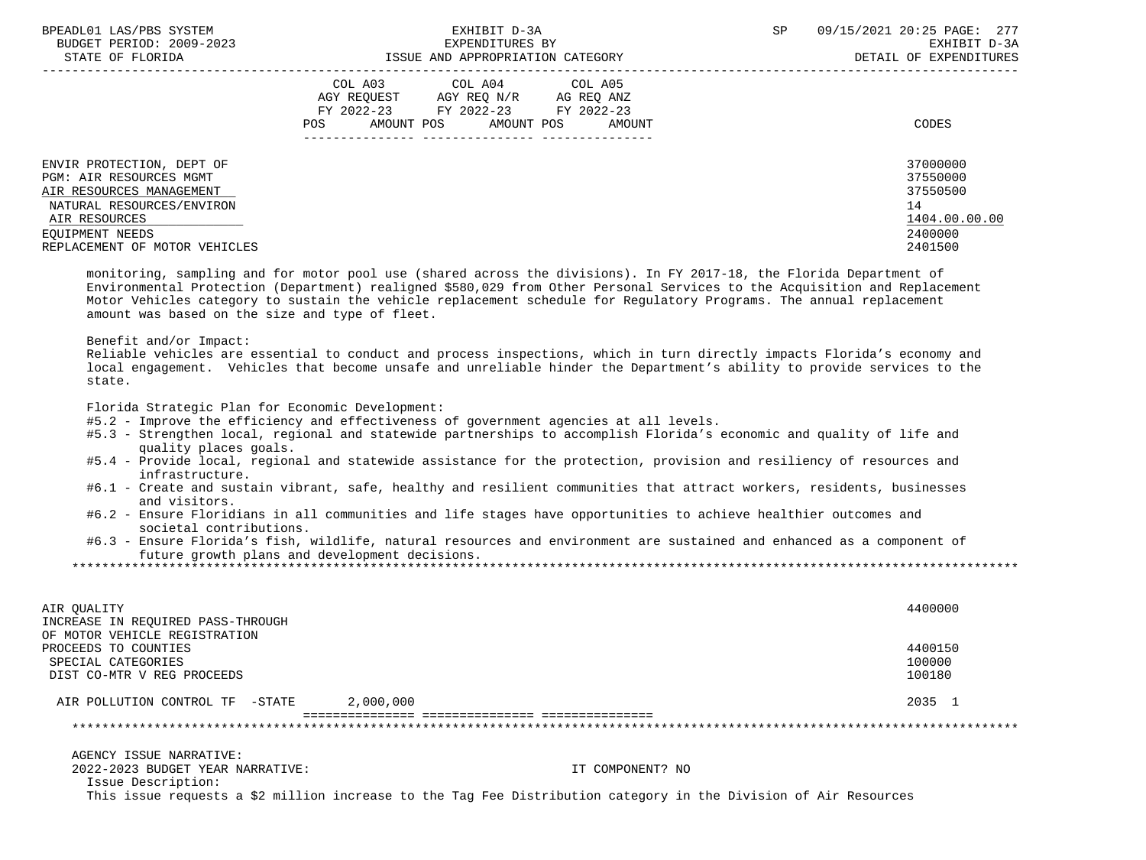| BPEADL01 LAS/PBS SYSTEM<br>BUDGET PERIOD: 2009-2023                                                                                   | EXHIBIT D-3A<br>EXPENDITURES BY                                                                                                                | 09/15/2021 20:25 PAGE: 277<br>SP<br>EXHIBIT D-3A                   |
|---------------------------------------------------------------------------------------------------------------------------------------|------------------------------------------------------------------------------------------------------------------------------------------------|--------------------------------------------------------------------|
| STATE OF FLORIDA                                                                                                                      | ISSUE AND APPROPRIATION CATEGORY                                                                                                               | DETAIL OF EXPENDITURES                                             |
|                                                                                                                                       | COL A03 COL A04 COL A05<br>AGY REQUEST AGY REQ N/R AG REQ ANZ<br>FY 2022-23 FY 2022-23<br>FY 2022-23<br>AMOUNT POS AMOUNT POS<br>POS<br>AMOUNT | CODES                                                              |
| ENVIR PROTECTION, DEPT OF<br><b>PGM: AIR RESOURCES MGMT</b><br>AIR RESOURCES MANAGEMENT<br>NATURAL RESOURCES/ENVIRON<br>AIR RESOURCES |                                                                                                                                                | 37000000<br>37550000<br>37550500<br>14<br>1404.00.00.00<br>2400000 |
| EOUIPMENT NEEDS<br>REPLACEMENT OF MOTOR VEHICLES                                                                                      |                                                                                                                                                | 2401500                                                            |

 monitoring, sampling and for motor pool use (shared across the divisions). In FY 2017-18, the Florida Department of Environmental Protection (Department) realigned \$580,029 from Other Personal Services to the Acquisition and Replacement Motor Vehicles category to sustain the vehicle replacement schedule for Regulatory Programs. The annual replacement amount was based on the size and type of fleet.

Benefit and/or Impact:

 Reliable vehicles are essential to conduct and process inspections, which in turn directly impacts Florida's economy and local engagement. Vehicles that become unsafe and unreliable hinder the Department's ability to provide services to the state.

Florida Strategic Plan for Economic Development:

#5.2 - Improve the efficiency and effectiveness of government agencies at all levels.

- #5.3 Strengthen local, regional and statewide partnerships to accomplish Florida's economic and quality of life and quality places goals.
- #5.4 Provide local, regional and statewide assistance for the protection, provision and resiliency of resources and infrastructure.
- #6.1 Create and sustain vibrant, safe, healthy and resilient communities that attract workers, residents, businesses and visitors.
- #6.2 Ensure Floridians in all communities and life stages have opportunities to achieve healthier outcomes and societal contributions.
- #6.3 Ensure Florida's fish, wildlife, natural resources and environment are sustained and enhanced as a component of future growth plans and development decisions.

\*\*\*\*\*\*\*\*\*\*\*\*\*\*\*\*\*\*\*\*\*\*\*\*\*\*\*\*\*\*\*\*\*\*\*\*\*\*\*\*\*\*\*\*\*\*\*\*\*\*\*\*\*\*\*\*\*\*\*\*\*\*\*\*\*\*\*\*\*\*\*\*\*\*\*\*\*\*\*\*\*\*\*\*\*\*\*\*\*\*\*\*\*\*\*\*\*\*\*\*\*\*\*\*\*\*\*\*\*\*\*\*\*\*\*\*\*\*\*\*\*\*\*\*\*\*\*

| AIR OUALITY<br>INCREASE IN REOUIRED PASS-THROUGH<br>OF MOTOR VEHICLE REGISTRATION | 4400000                     |
|-----------------------------------------------------------------------------------|-----------------------------|
| PROCEEDS TO COUNTIES<br>SPECIAL CATEGORIES<br>DIST CO-MTR V REG PROCEEDS          | 4400150<br>100000<br>100180 |
| 2,000,000<br>AIR POLLUTION CONTROL TF -STATE                                      | 2035 1                      |
|                                                                                   |                             |

 AGENCY ISSUE NARRATIVE: 2022-2023 BUDGET YEAR NARRATIVE: IT COMPONENT? NO

Issue Description:

This issue requests a \$2 million increase to the Tag Fee Distribution category in the Division of Air Resources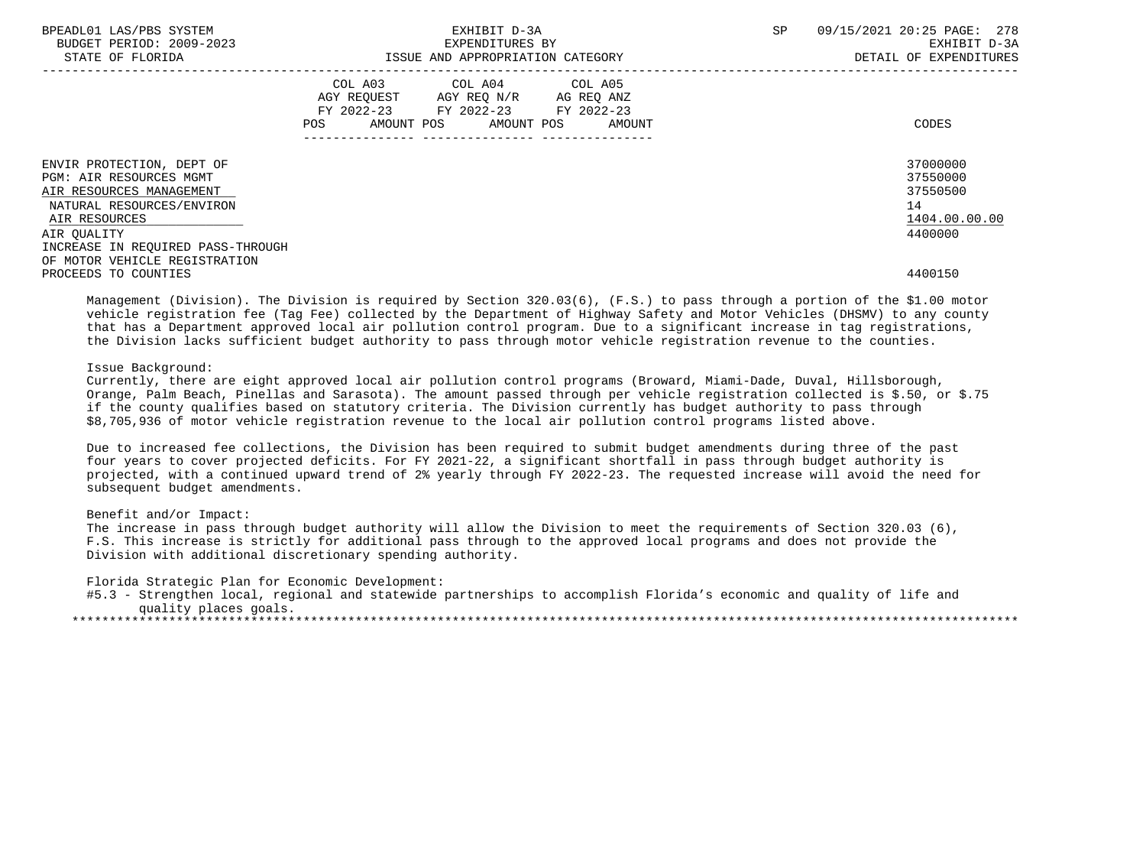| BPEADL01 LAS/PBS SYSTEM<br>BUDGET PERIOD: 2009-2023 |                                                                                                                | EXHIBIT D-3A<br>EXPENDITURES BY    | SP | 09/15/2021 20:25 PAGE: 278<br>EXHIBIT D-3A |
|-----------------------------------------------------|----------------------------------------------------------------------------------------------------------------|------------------------------------|----|--------------------------------------------|
| STATE OF FLORIDA                                    |                                                                                                                | ISSUE AND APPROPRIATION CATEGORY   |    | DETAIL OF EXPENDITURES                     |
|                                                     |                                                                                                                | COL A03 COL A04 COL A05            |    |                                            |
|                                                     |                                                                                                                | AGY REQUEST AGY REQ N/R AG REQ ANZ |    |                                            |
|                                                     |                                                                                                                | FY 2022-23 FY 2022-23 FY 2022-23   |    |                                            |
|                                                     | POS FOR THE POST OF THE POST OF THE POST OF THE POST OF THE POST OF THE POST OF THE POST OF THE POST OF THE PO | AMOUNT POS AMOUNT POS AMOUNT       |    | CODES                                      |
|                                                     |                                                                                                                |                                    |    |                                            |
| ENVIR PROTECTION, DEPT OF                           |                                                                                                                |                                    |    | 37000000                                   |
| PGM: AIR RESOURCES MGMT                             |                                                                                                                |                                    |    | 37550000                                   |
| AIR RESOURCES MANAGEMENT                            |                                                                                                                |                                    |    | 37550500                                   |
| NATURAL RESOURCES/ENVIRON                           |                                                                                                                |                                    |    | 14                                         |
| AIR RESOURCES                                       |                                                                                                                |                                    |    | 1404.00.00.00                              |
| AIR OUALITY                                         |                                                                                                                |                                    |    | 4400000                                    |
| INCREASE IN REQUIRED PASS-THROUGH                   |                                                                                                                |                                    |    |                                            |
| OF MOTOR VEHICLE REGISTRATION                       |                                                                                                                |                                    |    |                                            |
| PROCEEDS TO COUNTIES                                |                                                                                                                |                                    |    | 4400150                                    |

 Management (Division). The Division is required by Section 320.03(6), (F.S.) to pass through a portion of the \$1.00 motor vehicle registration fee (Tag Fee) collected by the Department of Highway Safety and Motor Vehicles (DHSMV) to any county that has a Department approved local air pollution control program. Due to a significant increase in tag registrations, the Division lacks sufficient budget authority to pass through motor vehicle registration revenue to the counties.

## Issue Background:

 Currently, there are eight approved local air pollution control programs (Broward, Miami-Dade, Duval, Hillsborough, Orange, Palm Beach, Pinellas and Sarasota). The amount passed through per vehicle registration collected is \$.50, or \$.75 if the county qualifies based on statutory criteria. The Division currently has budget authority to pass through \$8,705,936 of motor vehicle registration revenue to the local air pollution control programs listed above.

 Due to increased fee collections, the Division has been required to submit budget amendments during three of the past four years to cover projected deficits. For FY 2021-22, a significant shortfall in pass through budget authority is projected, with a continued upward trend of 2% yearly through FY 2022-23. The requested increase will avoid the need for subsequent budget amendments.

#### Benefit and/or Impact:

 The increase in pass through budget authority will allow the Division to meet the requirements of Section 320.03 (6), F.S. This increase is strictly for additional pass through to the approved local programs and does not provide the Division with additional discretionary spending authority.

Florida Strategic Plan for Economic Development:

 #5.3 - Strengthen local, regional and statewide partnerships to accomplish Florida's economic and quality of life and quality places goals. \*\*\*\*\*\*\*\*\*\*\*\*\*\*\*\*\*\*\*\*\*\*\*\*\*\*\*\*\*\*\*\*\*\*\*\*\*\*\*\*\*\*\*\*\*\*\*\*\*\*\*\*\*\*\*\*\*\*\*\*\*\*\*\*\*\*\*\*\*\*\*\*\*\*\*\*\*\*\*\*\*\*\*\*\*\*\*\*\*\*\*\*\*\*\*\*\*\*\*\*\*\*\*\*\*\*\*\*\*\*\*\*\*\*\*\*\*\*\*\*\*\*\*\*\*\*\*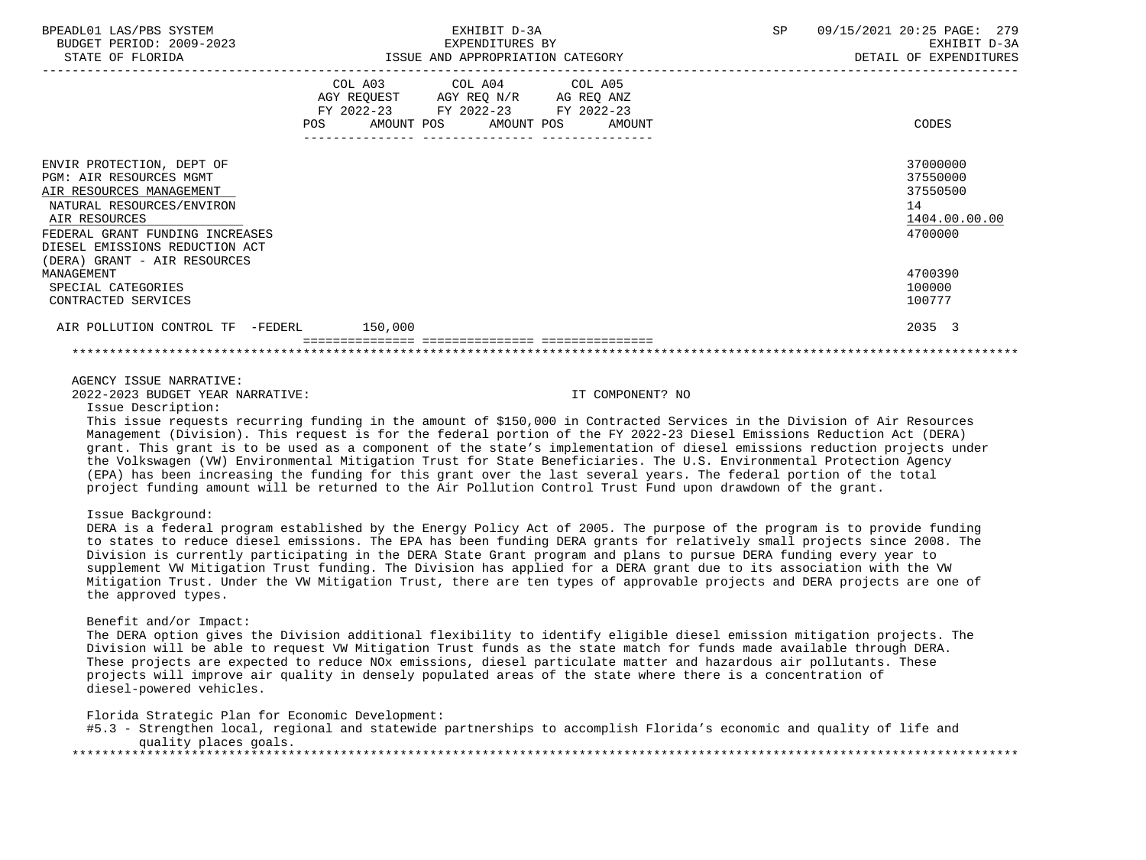| BPEADL01 LAS/PBS SYSTEM<br>BUDGET PERIOD: 2009-2023<br>STATE OF FLORIDA                                                                                                                                                                    | EXHIBIT D-3A<br>EXPENDITURES BY<br>ISSUE AND APPROPRIATION CATEGORY                                                                                | 09/15/2021 20:25 PAGE: 279<br>SP<br>EXHIBIT D-3A<br>DETAIL OF EXPENDITURES |
|--------------------------------------------------------------------------------------------------------------------------------------------------------------------------------------------------------------------------------------------|----------------------------------------------------------------------------------------------------------------------------------------------------|----------------------------------------------------------------------------|
|                                                                                                                                                                                                                                            | COL A03 COL A04 COL A05<br>AGY REQUEST AGY REQ N/R AG REQ ANZ<br>FY 2022-23 FY 2022-23 FY 2022-23<br><b>POS</b><br>AMOUNT POS AMOUNT POS<br>AMOUNT | CODES                                                                      |
| ENVIR PROTECTION, DEPT OF<br><b>PGM: AIR RESOURCES MGMT</b><br>AIR RESOURCES MANAGEMENT<br>NATURAL RESOURCES/ENVIRON<br>AIR RESOURCES<br>FEDERAL GRANT FUNDING INCREASES<br>DIESEL EMISSIONS REDUCTION ACT<br>(DERA) GRANT - AIR RESOURCES |                                                                                                                                                    | 37000000<br>37550000<br>37550500<br>14<br>1404.00.00.00<br>4700000         |
| MANAGEMENT<br>SPECIAL CATEGORIES<br>CONTRACTED SERVICES                                                                                                                                                                                    |                                                                                                                                                    | 4700390<br>100000<br>100777                                                |
| AIR POLLUTION CONTROL TF -FEDERL 150,000                                                                                                                                                                                                   |                                                                                                                                                    | 2035 3                                                                     |
|                                                                                                                                                                                                                                            |                                                                                                                                                    |                                                                            |

## AGENCY ISSUE NARRATIVE:

2022-2023 BUDGET YEAR NARRATIVE: IT COMPONENT? NO

Issue Description:

 This issue requests recurring funding in the amount of \$150,000 in Contracted Services in the Division of Air Resources Management (Division). This request is for the federal portion of the FY 2022-23 Diesel Emissions Reduction Act (DERA) grant. This grant is to be used as a component of the state's implementation of diesel emissions reduction projects under the Volkswagen (VW) Environmental Mitigation Trust for State Beneficiaries. The U.S. Environmental Protection Agency (EPA) has been increasing the funding for this grant over the last several years. The federal portion of the total project funding amount will be returned to the Air Pollution Control Trust Fund upon drawdown of the grant.

# Issue Background:

 DERA is a federal program established by the Energy Policy Act of 2005. The purpose of the program is to provide funding to states to reduce diesel emissions. The EPA has been funding DERA grants for relatively small projects since 2008. The Division is currently participating in the DERA State Grant program and plans to pursue DERA funding every year to supplement VW Mitigation Trust funding. The Division has applied for a DERA grant due to its association with the VW Mitigation Trust. Under the VW Mitigation Trust, there are ten types of approvable projects and DERA projects are one of the approved types.

#### Benefit and/or Impact:

 The DERA option gives the Division additional flexibility to identify eligible diesel emission mitigation projects. The Division will be able to request VW Mitigation Trust funds as the state match for funds made available through DERA. These projects are expected to reduce NOx emissions, diesel particulate matter and hazardous air pollutants. These projects will improve air quality in densely populated areas of the state where there is a concentration of diesel-powered vehicles.

Florida Strategic Plan for Economic Development:

| #5.3 - Strengthen local, regional and statewide partnerships to accomplish Florida's economic and quality of life and |  |  |  |
|-----------------------------------------------------------------------------------------------------------------------|--|--|--|
| quality places goals.                                                                                                 |  |  |  |
|                                                                                                                       |  |  |  |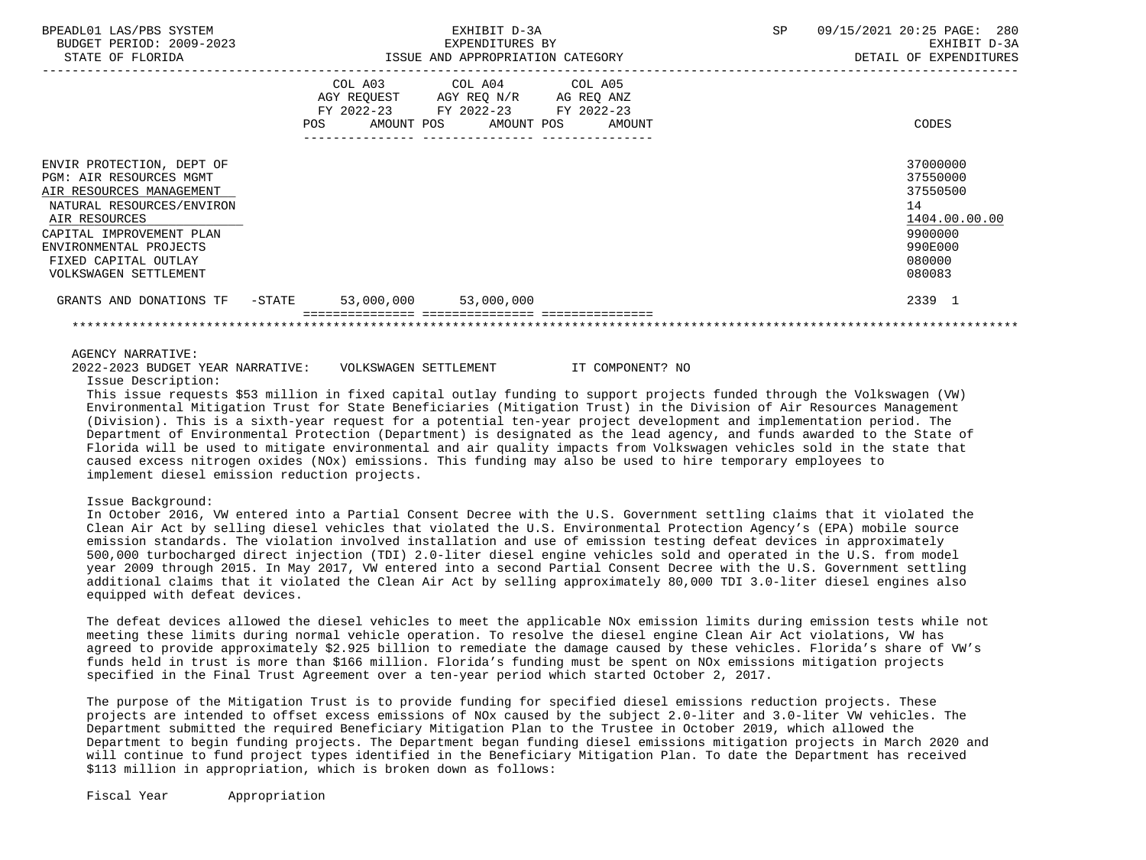| BPEADL01 LAS/PBS SYSTEM<br>BUDGET PERIOD: 2009-2023<br>STATE OF FLORIDA                                                                                                                                                               | EXHIBIT D-3A<br>EXPENDITURES BY<br>ISSUE AND APPROPRIATION CATEGORY                                             |                 |                              | SP | 09/15/2021 20:25 PAGE: 280<br>EXHIBIT D-3A<br>DETAIL OF EXPENDITURES                              |
|---------------------------------------------------------------------------------------------------------------------------------------------------------------------------------------------------------------------------------------|-----------------------------------------------------------------------------------------------------------------|-----------------|------------------------------|----|---------------------------------------------------------------------------------------------------|
|                                                                                                                                                                                                                                       | COL A03 COL A04 COL A05<br>AGY REQUEST AGY REQ N/R AG REQ ANZ<br>FY 2022-23 FY 2022-23 FY 2022-23<br><b>POS</b> | --------------- | AMOUNT POS AMOUNT POS AMOUNT |    | CODES                                                                                             |
| ENVIR PROTECTION, DEPT OF<br>PGM: AIR RESOURCES MGMT<br>AIR RESOURCES MANAGEMENT<br>NATURAL RESOURCES/ENVIRON<br>AIR RESOURCES<br>CAPITAL IMPROVEMENT PLAN<br>ENVIRONMENTAL PROJECTS<br>FIXED CAPITAL OUTLAY<br>VOLKSWAGEN SETTLEMENT |                                                                                                                 |                 |                              |    | 37000000<br>37550000<br>37550500<br>14<br>1404.00.00.00<br>9900000<br>990E000<br>080000<br>080083 |
| GRANTS AND DONATIONS TF - STATE                                                                                                                                                                                                       | 53,000,000 53,000,000                                                                                           |                 |                              |    | 2339 1                                                                                            |
|                                                                                                                                                                                                                                       |                                                                                                                 |                 |                              |    |                                                                                                   |

#### AGENCY NARRATIVE:

2022-2023 BUDGET YEAR NARRATIVE: VOLKSWAGEN SETTLEMENT IT COMPONENT? NO

Issue Description:

 This issue requests \$53 million in fixed capital outlay funding to support projects funded through the Volkswagen (VW) Environmental Mitigation Trust for State Beneficiaries (Mitigation Trust) in the Division of Air Resources Management (Division). This is a sixth-year request for a potential ten-year project development and implementation period. The Department of Environmental Protection (Department) is designated as the lead agency, and funds awarded to the State of Florida will be used to mitigate environmental and air quality impacts from Volkswagen vehicles sold in the state that caused excess nitrogen oxides (NOx) emissions. This funding may also be used to hire temporary employees to implement diesel emission reduction projects.

#### Issue Background:

 In October 2016, VW entered into a Partial Consent Decree with the U.S. Government settling claims that it violated the Clean Air Act by selling diesel vehicles that violated the U.S. Environmental Protection Agency's (EPA) mobile source emission standards. The violation involved installation and use of emission testing defeat devices in approximately 500,000 turbocharged direct injection (TDI) 2.0-liter diesel engine vehicles sold and operated in the U.S. from model year 2009 through 2015. In May 2017, VW entered into a second Partial Consent Decree with the U.S. Government settling additional claims that it violated the Clean Air Act by selling approximately 80,000 TDI 3.0-liter diesel engines also equipped with defeat devices.

 The defeat devices allowed the diesel vehicles to meet the applicable NOx emission limits during emission tests while not meeting these limits during normal vehicle operation. To resolve the diesel engine Clean Air Act violations, VW has agreed to provide approximately \$2.925 billion to remediate the damage caused by these vehicles. Florida's share of VW's funds held in trust is more than \$166 million. Florida's funding must be spent on NOx emissions mitigation projects specified in the Final Trust Agreement over a ten-year period which started October 2, 2017.

 The purpose of the Mitigation Trust is to provide funding for specified diesel emissions reduction projects. These projects are intended to offset excess emissions of NOx caused by the subject 2.0-liter and 3.0-liter VW vehicles. The Department submitted the required Beneficiary Mitigation Plan to the Trustee in October 2019, which allowed the Department to begin funding projects. The Department began funding diesel emissions mitigation projects in March 2020 and will continue to fund project types identified in the Beneficiary Mitigation Plan. To date the Department has received \$113 million in appropriation, which is broken down as follows:

Fiscal Year Appropriation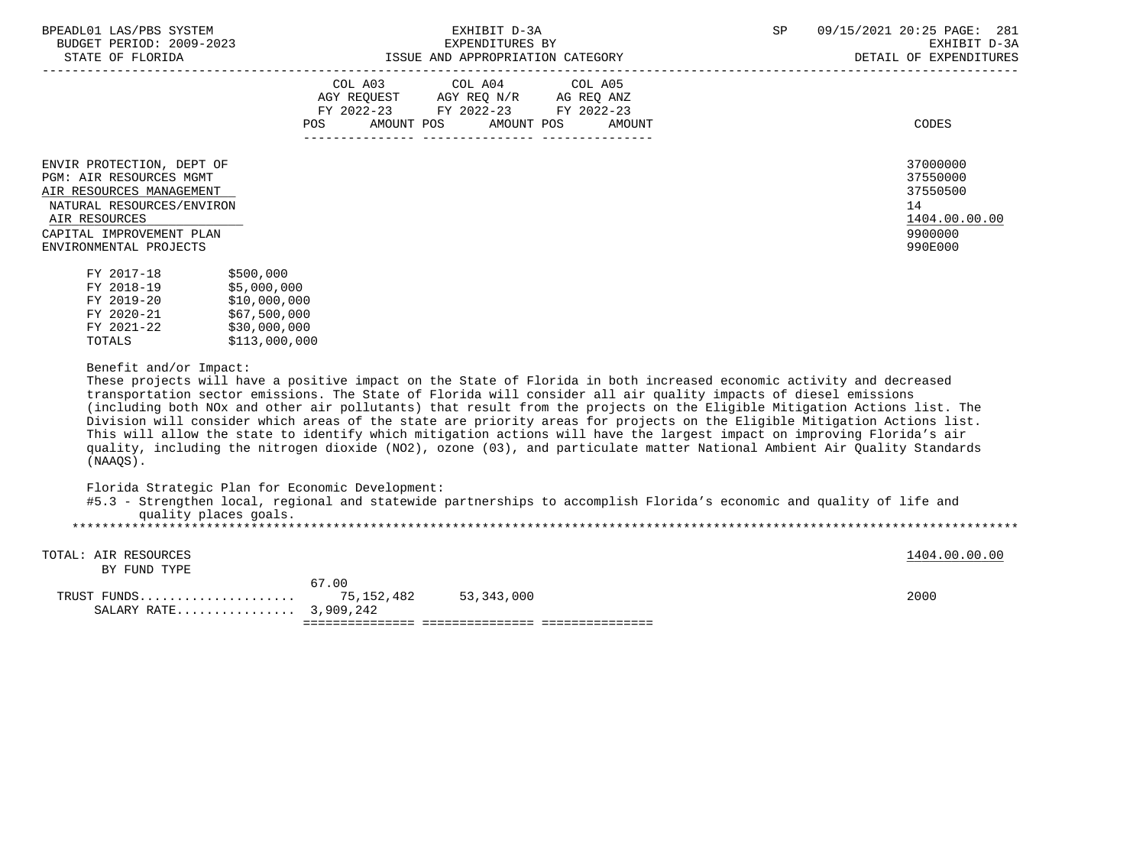| BPEADL01 LAS/PBS SYSTEM |                          |
|-------------------------|--------------------------|
|                         | BUDGET PERIOD: 2009-2023 |

| DINIB OI IBORIDNI                                                                                                                                                                           |                                                                          | TOOOD IND INTINGINIIIION CHILDOONI                               | DDININ OI DAIBHDIUDD                          |                                                                               |
|---------------------------------------------------------------------------------------------------------------------------------------------------------------------------------------------|--------------------------------------------------------------------------|------------------------------------------------------------------|-----------------------------------------------|-------------------------------------------------------------------------------|
|                                                                                                                                                                                             | COL A03<br>AGY REQUEST<br>FY 2022-23<br>POS                              | COL A04<br>AGY REQ N/R<br>FY 2022-23<br>AMOUNT POS<br>AMOUNT POS | COL A05<br>AG REQ ANZ<br>FY 2022-23<br>AMOUNT | CODES                                                                         |
| ENVIR PROTECTION, DEPT OF<br><b>PGM: AIR RESOURCES MGMT</b><br>AIR RESOURCES MANAGEMENT<br>NATURAL RESOURCES/ENVIRON<br>AIR RESOURCES<br>CAPITAL IMPROVEMENT PLAN<br>ENVIRONMENTAL PROJECTS |                                                                          |                                                                  |                                               | 37000000<br>37550000<br>37550500<br>14<br>1404.00.00.00<br>9900000<br>990E000 |
| FY 2017-18<br>FY 2018-19<br>FY 2019-20<br>FY 2020-21<br>FY 2021-22                                                                                                                          | \$500,000<br>\$5,000,000<br>\$10,000,000<br>\$67,500,000<br>\$30.000.000 |                                                                  |                                               |                                                                               |

 $$30,000,000$ TOTALS \$113,000,000

# Benefit and/or Impact:

 These projects will have a positive impact on the State of Florida in both increased economic activity and decreased transportation sector emissions. The State of Florida will consider all air quality impacts of diesel emissions (including both NOx and other air pollutants) that result from the projects on the Eligible Mitigation Actions list. The Division will consider which areas of the state are priority areas for projects on the Eligible Mitigation Actions list. This will allow the state to identify which mitigation actions will have the largest impact on improving Florida's air quality, including the nitrogen dioxide (NO2), ozone (03), and particulate matter National Ambient Air Quality Standards (NAAQS).

Florida Strategic Plan for Economic Development:

| #5.3 - Strengthen local, regional and statewide partnerships to accomplish Florida's economic and quality of life and |  |  |
|-----------------------------------------------------------------------------------------------------------------------|--|--|
| quality places goals.                                                                                                 |  |  |
|                                                                                                                       |  |  |

TOTAL: AIR RESOURCES 1404.00.00 **1404.00.00** 

BY FUND TYPE

| .<br>SALARY RATE 3,909,242 |                   |            |      |  |
|----------------------------|-------------------|------------|------|--|
| FIMDS<br>TRIJST            | .00<br>75,152,482 | 53,343,000 | 200C |  |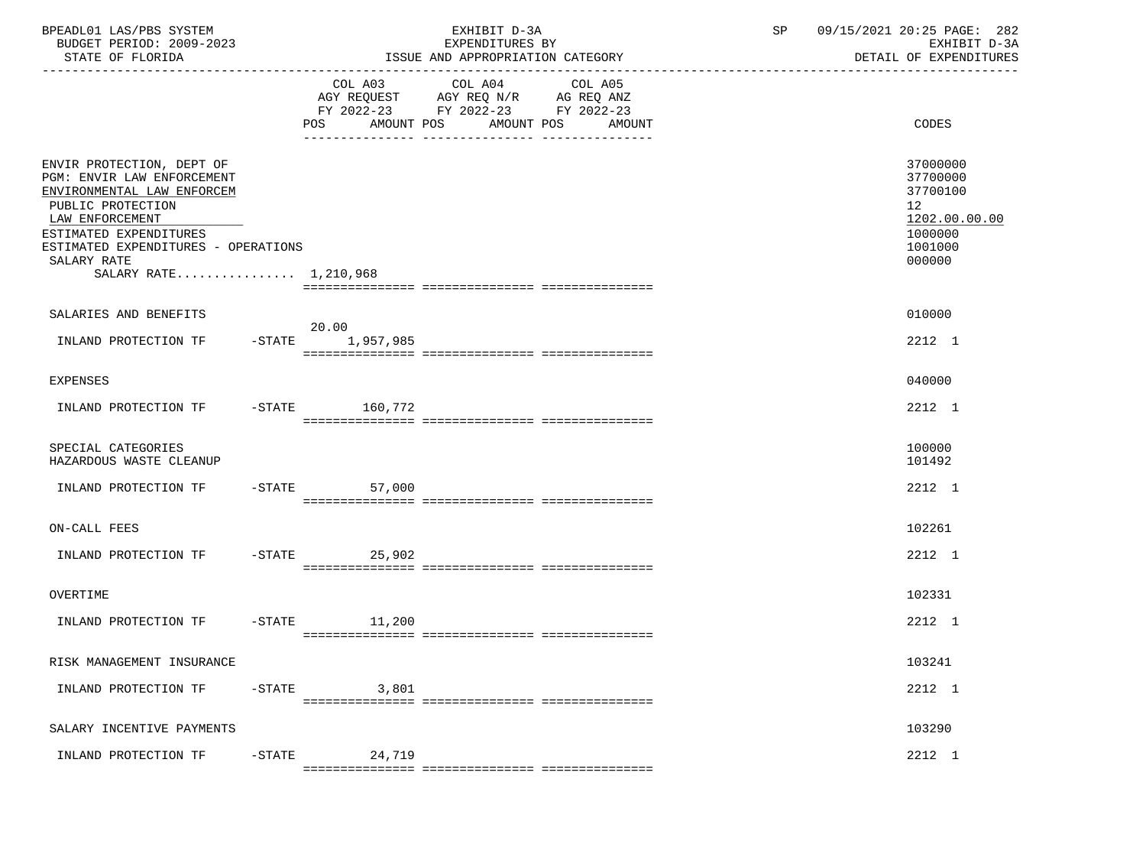| BPEADL01 LAS/PBS SYSTEM<br>BUDGET PERIOD: 2009-2023<br>STATE OF FLORIDA                                                                                                                                                                |           |                 | EXHIBIT D-3A<br>EXPENDITURES BY<br>ISSUE AND APPROPRIATION CATEGORY                                                                      | 09/15/2021 20:25 PAGE: 282<br>SP<br>EXHIBIT D-3A<br>DETAIL OF EXPENDITURES |                                                                                                      |
|----------------------------------------------------------------------------------------------------------------------------------------------------------------------------------------------------------------------------------------|-----------|-----------------|------------------------------------------------------------------------------------------------------------------------------------------|----------------------------------------------------------------------------|------------------------------------------------------------------------------------------------------|
|                                                                                                                                                                                                                                        |           |                 | COL A03 COL A04 COL A05<br>AGY REQUEST AGY REQ N/R AG REQ ANZ<br>FY 2022-23 FY 2022-23 FY 2022-23<br>POS AMOUNT POS AMOUNT POS<br>AMOUNT |                                                                            | CODES                                                                                                |
| ENVIR PROTECTION, DEPT OF<br>PGM: ENVIR LAW ENFORCEMENT<br>ENVIRONMENTAL LAW ENFORCEM<br>PUBLIC PROTECTION<br>LAW ENFORCEMENT<br>ESTIMATED EXPENDITURES<br>ESTIMATED EXPENDITURES - OPERATIONS<br>SALARY RATE<br>SALARY RATE 1,210,968 |           |                 |                                                                                                                                          |                                                                            | 37000000<br>37700000<br>37700100<br>12 <sup>°</sup><br>1202.00.00.00<br>1000000<br>1001000<br>000000 |
| SALARIES AND BENEFITS                                                                                                                                                                                                                  |           |                 |                                                                                                                                          |                                                                            | 010000                                                                                               |
| INLAND PROTECTION TF -STATE 1,957,985                                                                                                                                                                                                  |           | 20.00           |                                                                                                                                          |                                                                            | 2212 1                                                                                               |
| <b>EXPENSES</b>                                                                                                                                                                                                                        |           |                 |                                                                                                                                          |                                                                            | 040000                                                                                               |
| INLAND PROTECTION TF -STATE 160,772                                                                                                                                                                                                    |           |                 |                                                                                                                                          |                                                                            | 2212 1                                                                                               |
| SPECIAL CATEGORIES<br>HAZARDOUS WASTE CLEANUP                                                                                                                                                                                          |           |                 |                                                                                                                                          |                                                                            | 100000<br>101492                                                                                     |
| INLAND PROTECTION TF -STATE                                                                                                                                                                                                            |           | 57,000          |                                                                                                                                          |                                                                            | 2212 1                                                                                               |
| ON-CALL FEES                                                                                                                                                                                                                           |           |                 |                                                                                                                                          |                                                                            | 102261                                                                                               |
| INLAND PROTECTION TF -STATE 25,902                                                                                                                                                                                                     |           |                 |                                                                                                                                          |                                                                            | 2212 1                                                                                               |
| OVERTIME                                                                                                                                                                                                                               |           |                 |                                                                                                                                          |                                                                            | 102331                                                                                               |
| INLAND PROTECTION TF                                                                                                                                                                                                                   |           | $-STATE$ 11,200 |                                                                                                                                          |                                                                            | 2212 1                                                                                               |
| RISK MANAGEMENT INSURANCE                                                                                                                                                                                                              |           |                 |                                                                                                                                          |                                                                            | 103241                                                                                               |
| INLAND PROTECTION TF                                                                                                                                                                                                                   | $-$ STATE | 3,801           |                                                                                                                                          |                                                                            | 2212 1                                                                                               |
| SALARY INCENTIVE PAYMENTS                                                                                                                                                                                                              |           |                 |                                                                                                                                          |                                                                            | 103290                                                                                               |
| INLAND PROTECTION TF                                                                                                                                                                                                                   | $-$ STATE | 24,719          |                                                                                                                                          |                                                                            | 2212 1                                                                                               |
|                                                                                                                                                                                                                                        |           |                 |                                                                                                                                          |                                                                            |                                                                                                      |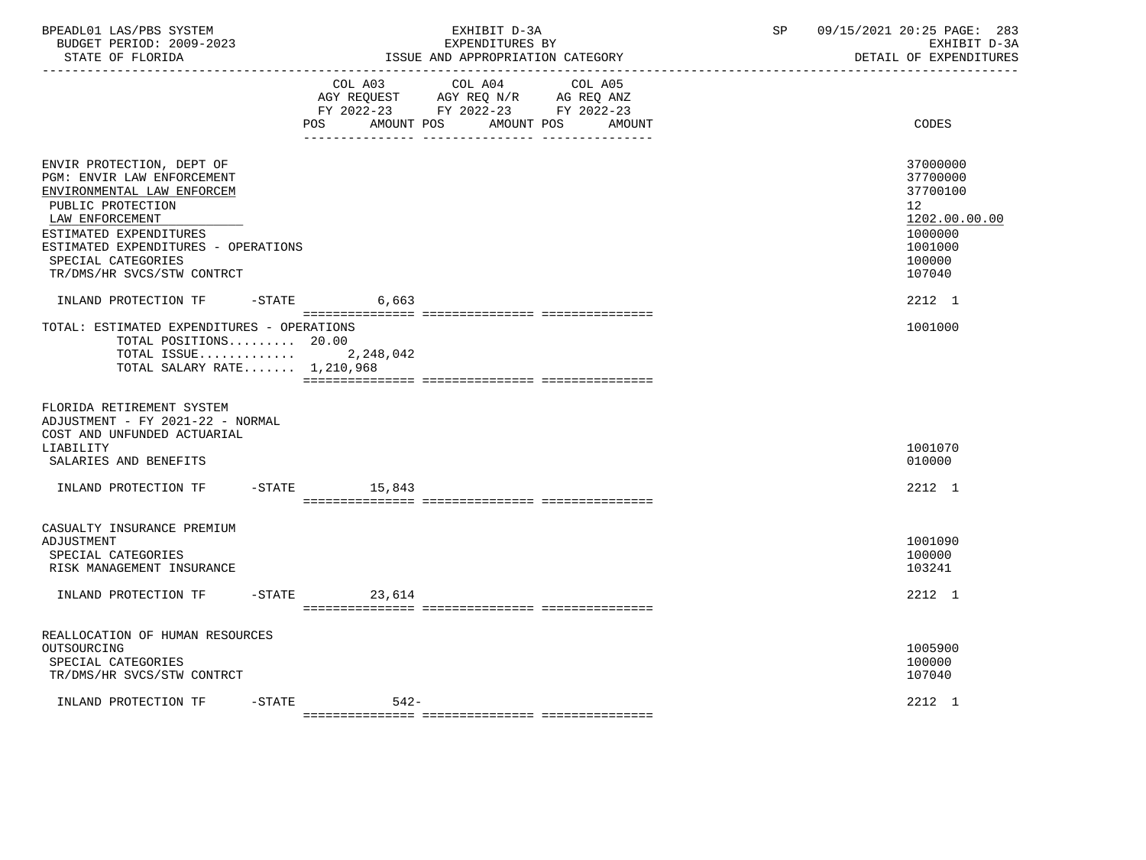| BPEADL01 LAS/PBS SYSTEM<br>BUDGET PERIOD: 2009-2023<br>STATE OF FLORIDA<br><u>. Le de de de de de de de de</u>                                                                                                                                     | EXHIBIT D-3A<br>EXPENDITURES BY<br>ISSUE AND APPROPRIATION CATEGORY |                       |                                                                                                 |                   | SP | 09/15/2021 20:25 PAGE: 283<br>EXHIBIT D-3A<br>DETAIL OF EXPENDITURES                                           |
|----------------------------------------------------------------------------------------------------------------------------------------------------------------------------------------------------------------------------------------------------|---------------------------------------------------------------------|-----------------------|-------------------------------------------------------------------------------------------------|-------------------|----|----------------------------------------------------------------------------------------------------------------|
|                                                                                                                                                                                                                                                    | POS.                                                                | COL A03<br>AMOUNT POS | COL A04<br>AGY REQUEST AGY REQ N/R AG REQ ANZ<br>FY 2022-23 FY 2022-23 FY 2022-23<br>AMOUNT POS | COL A05<br>AMOUNT |    | CODES                                                                                                          |
| ENVIR PROTECTION, DEPT OF<br>PGM: ENVIR LAW ENFORCEMENT<br>ENVIRONMENTAL LAW ENFORCEM<br>PUBLIC PROTECTION<br>LAW ENFORCEMENT<br>ESTIMATED EXPENDITURES<br>ESTIMATED EXPENDITURES - OPERATIONS<br>SPECIAL CATEGORIES<br>TR/DMS/HR SVCS/STW CONTRCT |                                                                     |                       |                                                                                                 |                   |    | 37000000<br>37700000<br>37700100<br>12 <sup>°</sup><br>1202.00.00.00<br>1000000<br>1001000<br>100000<br>107040 |
| INLAND PROTECTION TF<br>TOTAL: ESTIMATED EXPENDITURES - OPERATIONS<br>TOTAL POSITIONS 20.00<br>TOTAL ISSUE $2,248,042$<br>TOTAL SALARY RATE 1,210,968                                                                                              | $-$ STATE                                                           | 6,663                 |                                                                                                 |                   |    | 2212 1<br>1001000                                                                                              |
| FLORIDA RETIREMENT SYSTEM<br>ADJUSTMENT - FY 2021-22 - NORMAL<br>COST AND UNFUNDED ACTUARIAL<br>LIABILITY<br>SALARIES AND BENEFITS                                                                                                                 |                                                                     |                       |                                                                                                 |                   |    | 1001070<br>010000                                                                                              |
| INLAND PROTECTION TF                                                                                                                                                                                                                               | $-STATE$                                                            | 15,843                |                                                                                                 |                   |    | 2212 1                                                                                                         |
| CASUALTY INSURANCE PREMIUM<br>ADJUSTMENT<br>SPECIAL CATEGORIES<br>RISK MANAGEMENT INSURANCE                                                                                                                                                        |                                                                     |                       |                                                                                                 |                   |    | 1001090<br>100000<br>103241                                                                                    |
| INLAND PROTECTION TF                                                                                                                                                                                                                               | $-$ STATE                                                           | 23,614                |                                                                                                 |                   |    | 2212 1                                                                                                         |
| REALLOCATION OF HUMAN RESOURCES<br>OUTSOURCING<br>SPECIAL CATEGORIES<br>TR/DMS/HR SVCS/STW CONTRCT                                                                                                                                                 |                                                                     |                       |                                                                                                 |                   |    | 1005900<br>100000<br>107040                                                                                    |
| INLAND PROTECTION TF                                                                                                                                                                                                                               | -STATE                                                              | $542 -$               |                                                                                                 |                   |    | 2212 1                                                                                                         |

=============== =============== ===============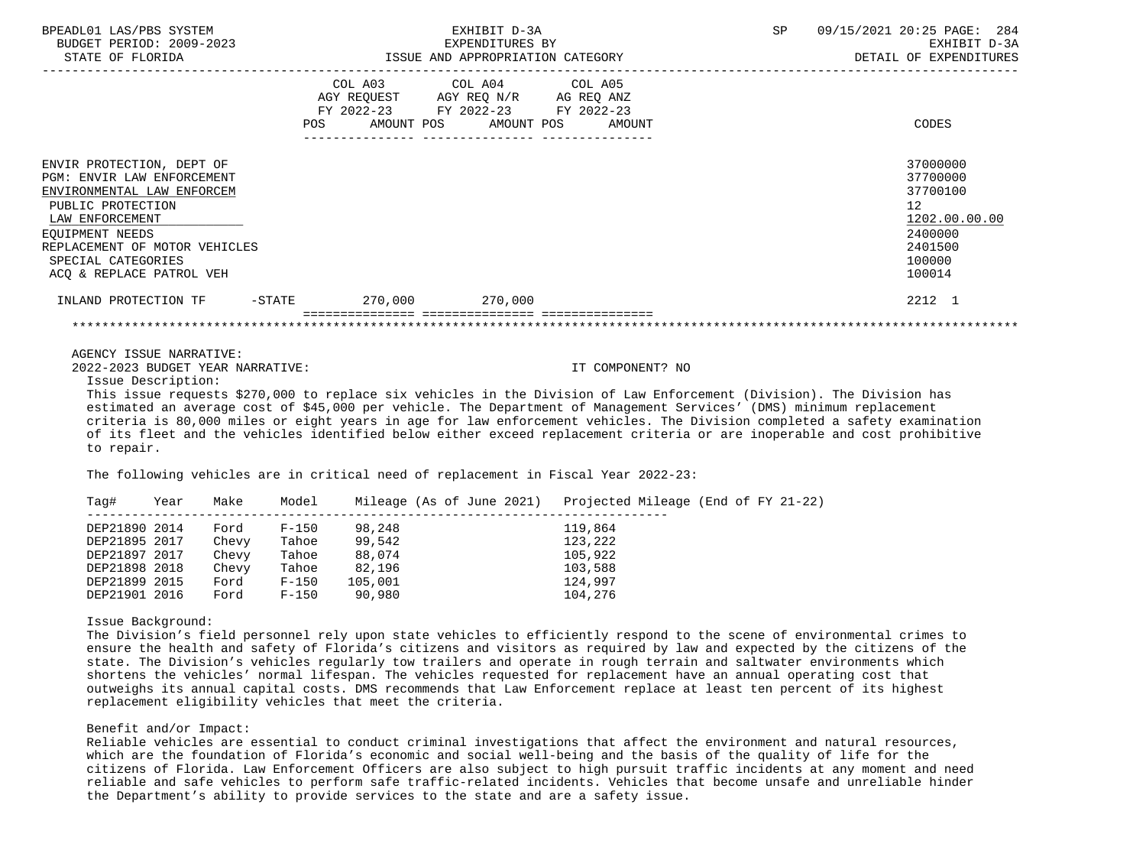| SP<br>09/15/2021 20:25 PAGE: 284<br>EXHIBIT D-3A<br>ISSUE AND APPROPRIATION CATEGORY<br>DETAIL OF EXPENDITURES                                                                                                                                                   |  |
|------------------------------------------------------------------------------------------------------------------------------------------------------------------------------------------------------------------------------------------------------------------|--|
| CODES                                                                                                                                                                                                                                                            |  |
| 37000000<br>37700000<br>37700100<br>12<br>1202.00.00.00<br>2400000<br>2401500<br>100000<br>100014                                                                                                                                                                |  |
| 2212 1                                                                                                                                                                                                                                                           |  |
|                                                                                                                                                                                                                                                                  |  |
| IT COMPONENT? NO<br>This issue requests \$270,000 to replace six vehicles in the Division of Law Enforcement (Division). The Division has<br>estimated an average cost of \$45,000 per vehicle. The Department of Management Services' (DMS) minimum replacement |  |
|                                                                                                                                                                                                                                                                  |  |

 criteria is 80,000 miles or eight years in age for law enforcement vehicles. The Division completed a safety examination of its fleet and the vehicles identified below either exceed replacement criteria or are inoperable and cost prohibitive to repair.

The following vehicles are in critical need of replacement in Fiscal Year 2022-23:

| Taq#          | Year | Make  | Model     | Mileage (As of June 2021) | Projected Mileage (End of FY 21-22) |
|---------------|------|-------|-----------|---------------------------|-------------------------------------|
| DEP21890 2014 |      | Ford  | $F - 150$ | 98,248                    | 119,864                             |
| DEP21895 2017 |      | Chevy | Tahoe     | 99,542                    | 123,222                             |
| DEP21897 2017 |      | Chevy | Tahoe     | 88,074                    | 105,922                             |
| DEP21898 2018 |      | Chevy | Tahoe     | 82,196                    | 103,588                             |
| DEP21899 2015 |      | Ford  | $F-150$   | 105,001                   | 124,997                             |
| DEP21901 2016 |      | Ford  | $F-150$   | 90,980                    | 104,276                             |

Issue Background:

 The Division's field personnel rely upon state vehicles to efficiently respond to the scene of environmental crimes to ensure the health and safety of Florida's citizens and visitors as required by law and expected by the citizens of the state. The Division's vehicles regularly tow trailers and operate in rough terrain and saltwater environments which shortens the vehicles' normal lifespan. The vehicles requested for replacement have an annual operating cost that outweighs its annual capital costs. DMS recommends that Law Enforcement replace at least ten percent of its highest replacement eligibility vehicles that meet the criteria.

#### Benefit and/or Impact:

 Reliable vehicles are essential to conduct criminal investigations that affect the environment and natural resources, which are the foundation of Florida's economic and social well-being and the basis of the quality of life for the citizens of Florida. Law Enforcement Officers are also subject to high pursuit traffic incidents at any moment and need reliable and safe vehicles to perform safe traffic-related incidents. Vehicles that become unsafe and unreliable hinder the Department's ability to provide services to the state and are a safety issue.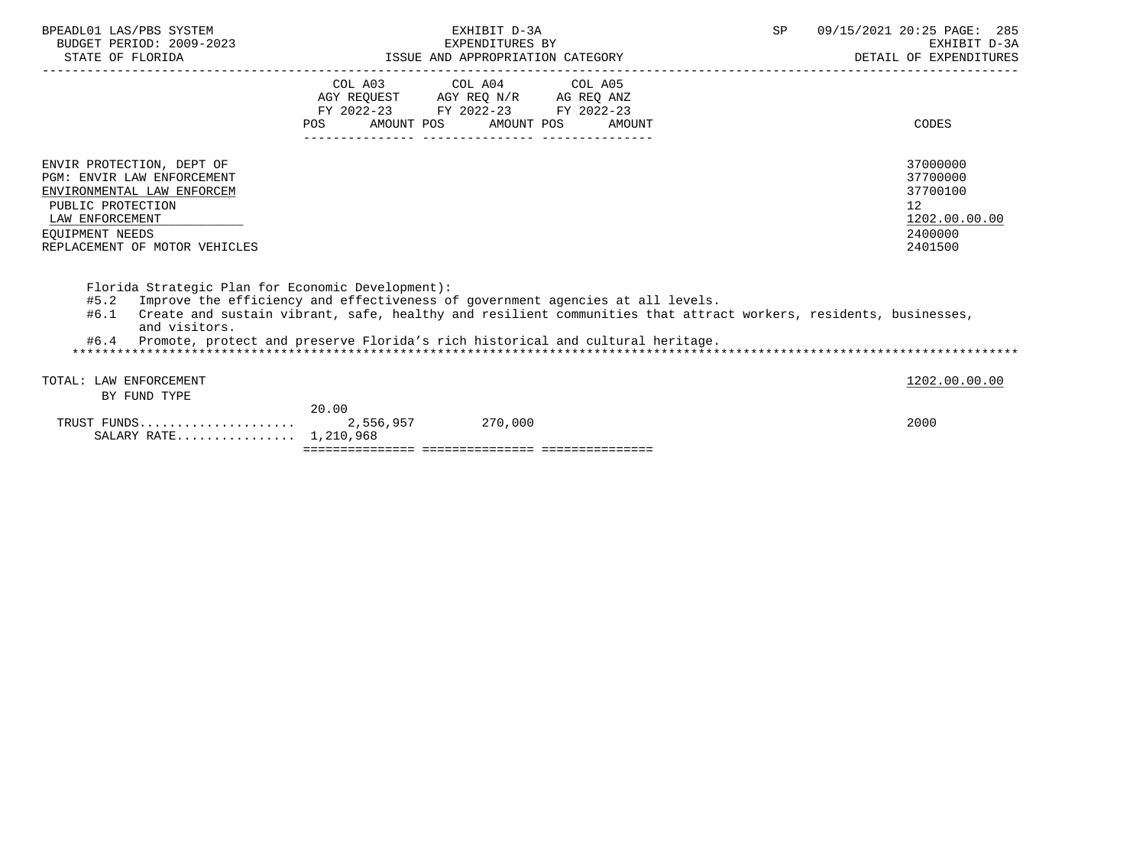| BPEADL01 LAS/PBS SYSTEM<br>BUDGET PERIOD: 2009-2023<br>STATE OF FLORIDA                                                                                                           |                    | EXHIBIT D-3A<br>EXPENDITURES BY<br>ISSUE AND APPROPRIATION CATEGORY                                                                                                                                                                                                                  | SP. | 09/15/2021 20:25 PAGE: 285<br>EXHIBIT D-3A<br>DETAIL OF EXPENDITURES          |
|-----------------------------------------------------------------------------------------------------------------------------------------------------------------------------------|--------------------|--------------------------------------------------------------------------------------------------------------------------------------------------------------------------------------------------------------------------------------------------------------------------------------|-----|-------------------------------------------------------------------------------|
|                                                                                                                                                                                   | POS                | COL A03 COL A04 COL A05<br>AGY REQUEST AGY REQ N/R AG REQ ANZ<br>FY 2022-23 FY 2022-23 FY 2022-23<br>AMOUNT POS AMOUNT POS<br>AMOUNT                                                                                                                                                 |     | CODES                                                                         |
| ENVIR PROTECTION, DEPT OF<br>PGM: ENVIR LAW ENFORCEMENT<br>ENVIRONMENTAL LAW ENFORCEM<br>PUBLIC PROTECTION<br>LAW ENFORCEMENT<br>EOUIPMENT NEEDS<br>REPLACEMENT OF MOTOR VEHICLES |                    |                                                                                                                                                                                                                                                                                      |     | 37000000<br>37700000<br>37700100<br>12<br>1202.00.00.00<br>2400000<br>2401500 |
| Florida Strategic Plan for Economic Development):<br>#5.2<br>#6.1<br>and visitors.<br>#6.4                                                                                        |                    | Improve the efficiency and effectiveness of government agencies at all levels.<br>Create and sustain vibrant, safe, healthy and resilient communities that attract workers, residents, businesses,<br>Promote, protect and preserve Florida's rich historical and cultural heritage. |     |                                                                               |
| TOTAL: LAW ENFORCEMENT<br>BY FUND TYPE                                                                                                                                            |                    |                                                                                                                                                                                                                                                                                      |     | 1202.00.00.00                                                                 |
| TRUST FUNDS<br>SALARY RATE 1,210,968                                                                                                                                              | 20.00<br>2,556,957 | 270,000                                                                                                                                                                                                                                                                              |     | 2000                                                                          |

=============== =============== ===============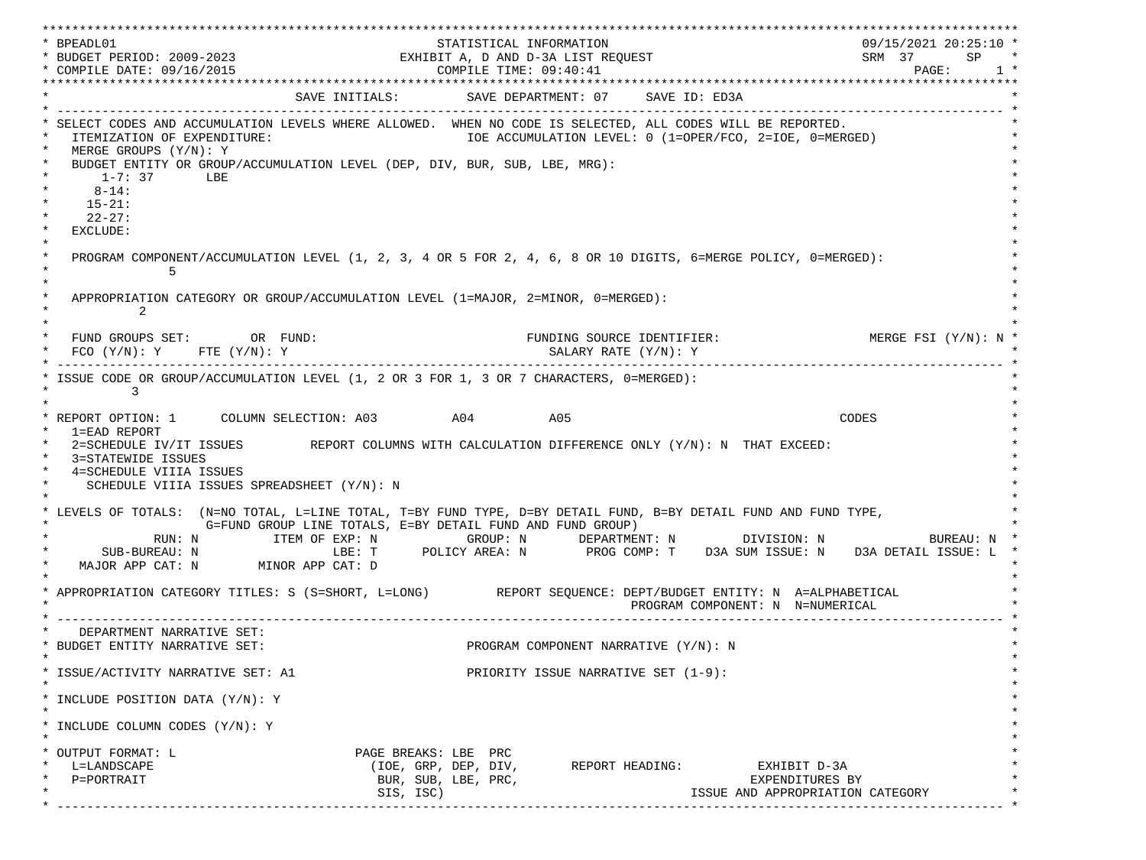\*\*\*\*\*\*\*\*\*\*\*\*\*\*\*\*\*\*\*\*\*\*\*\*\*\*\*\*\*\*\*\*\*\*\*\*\*\*\*\*\*\*\*\*\*\*\*\*\*\*\*\*\*\*\*\*\*\*\*\*\*\*\*\*\*\*\*\*\*\*\*\*\*\*\*\*\*\*\*\*\*\*\*\*\*\*\*\*\*\*\*\*\*\*\*\*\*\*\*\*\*\*\*\*\*\*\*\*\*\*\*\*\*\*\*\*\*\*\*\*\*\*\*\*\*\*\*\*\*\*\* \* BPEADL01 STATISTICAL INFORMATION 09/15/2021 20:25:10 \* \* BUDGET PERIOD: 2009-2023 EXHIBIT A, D AND D-3A LIST REQUEST SRM 37 SP \* \* COMPILE DATE: 09/16/2015 2010 2020 COMPILE TIME: 09:40:41 \*\*\*\*\*\*\*\*\*\*\*\*\*\*\*\*\*\*\*\*\*\*\*\*\*\*\*\*\*\*\*\*\*\*\*\*\*\*\*\*\*\*\*\*\*\*\*\*\*\*\*\*\*\*\*\*\*\*\*\*\*\*\*\*\*\*\*\*\*\*\*\*\*\*\*\*\*\*\*\*\*\*\*\*\*\*\*\*\*\*\*\*\*\*\*\*\*\*\*\*\*\*\*\*\*\*\*\*\*\*\*\*\*\*\*\*\*\*\*\*\*\*\*\*\*\*\*\*\*\*\* SAVE INITIALS: SAVE DEPARTMENT: 07 SAVE ID: ED3A \* ------------------------------------------------------------------------------------------------------------------------------- \* SELECT CODES AND ACCUMULATION LEVELS WHERE ALLOWED. WHEN NO CODE IS SELECTED, ALL CODES WILL BE REPORTED. ITEMIZATION OF EXPENDITURE:  $\overline{10E}$  accumulation level: 0 (1=OPER/FCO, 2=IOE, 0=MERGED) MERGE GROUPS (Y/N): Y BUDGET ENTITY OR GROUP/ACCUMULATION LEVEL (DEP, DIV, BUR, SUB, LBE, MRG):  $*$  1-7: 37 LBE  $*$  $*$  8-14:  $*$  $*$  15-21:  $*$  $*$  22-27: \* \* EXCLUDE: \*  $\star$   $\star$  \* PROGRAM COMPONENT/ACCUMULATION LEVEL (1, 2, 3, 4 OR 5 FOR 2, 4, 6, 8 OR 10 DIGITS, 6=MERGE POLICY, 0=MERGED): \*  $\star$  5  $\star$  $\star$   $\star$ APPROPRIATION CATEGORY OR GROUP/ACCUMULATION LEVEL (1=MAJOR, 2=MINOR, 0=MERGED):  $\star$  2  $\star$  $\star$   $\star$ FUND GROUPS SET: OR FUND: THE SOURCE IDENTIFIER: MERGE FSI (Y/N): N  $FCO (Y/N): Y$  FTE  $(Y/N): Y$  SALARY RATE  $(Y/N): Y$  \* ------------------------------------------------------------------------------------------------------------------------------- \* ISSUE CODE OR GROUP/ACCUMULATION LEVEL (1, 2 OR 3 FOR 1, 3 OR 7 CHARACTERS, 0=MERGED):  $\star$  3  $\star$  $\star$   $\star$  \* REPORT OPTION: 1 COLUMN SELECTION: A03 A04 A05 CODES \* \* 1=EAD REPORT \* 2=SCHEDULE IV/IT ISSUES REPORT COLUMNS WITH CALCULATION DIFFERENCE ONLY (Y/N): N THAT EXCEED: 3=STATEWIDE ISSUES 4=SCHEDULE VIIIA ISSUES SCHEDULE VIIIA ISSUES SPREADSHEET (Y/N): N \* \* \* LEVELS OF TOTALS: (N=NO TOTAL, L=LINE TOTAL, T=BY FUND TYPE, D=BY DETAIL FUND, B=BY DETAIL FUND AND FUND TYPE, \* G=FUND GROUP LINE TOTALS, E=BY DETAIL FUND AND FUND GROUP) \* RUN: N ITEM OF EXP: N GROUP: N DEPARTMENT: N DIVISION: N BUREAU: N \* \* SUB-BUREAU: N LBE: T POLICY AREA: N PROG COMP: T D3A SUM ISSUE: N D3A DETAIL ISSUE: L \* MAJOR APP CAT: N MINOR APP CAT: D \* \* APPROPRIATION CATEGORY TITLES: S (S=SHORT, L=LONG) REPORT SEQUENCE: DEPT/BUDGET ENTITY: N A=ALPHABETICAL PROGRAM COMPONENT: N N=NUMERICAL \* ------------------------------------------------------------------------------------------------------------------------------- \* DEPARTMENT NARRATIVE SET:<br>BUDGET ENTITY NARRATIVE SET: PROGRAM COMPONENT NARRATIVE (Y/N): N \* \* \* ISSUE/ACTIVITY NARRATIVE SET: A1 PRIORITY ISSUE NARRATIVE SET (1-9): \*  $\star$   $\star$  \* INCLUDE POSITION DATA (Y/N): Y \* \* \* INCLUDE COLUMN CODES  $(Y/N): Y$  \* \* \* OUTPUT FORMAT: L PAGE BREAKS: LBE PRC \* \* L=LANDSCAPE (IOE, GRP, DEP, DIV, REPORT HEADING: EXHIBIT D-3A \* \* P=PORTRAIT BUR, SUB, LBE, PRC, EXPENDITURES BY \* \* SIS, ISC) ISSUE AND APPROPRIATION CATEGORY \* \* ------------------------------------------------------------------------------------------------------------------------------- \*